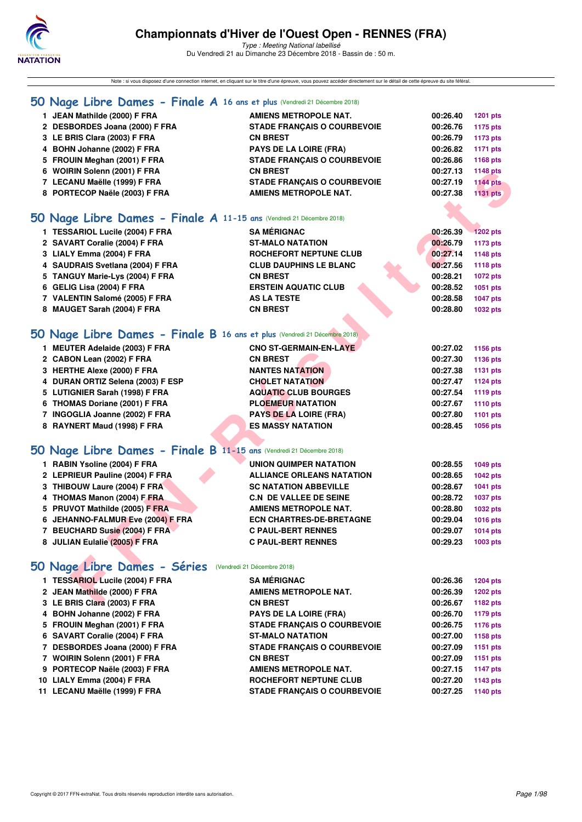

Type : Meeting National labellisé Du Vendredi 21 au Dimanche 23 Décembre 2018 - Bassin de : 50 m.

Note : si vous disposez d'une connection internet, en cliquant sur le titre d'une épreuve, vous pouvez accéder directement sur le détail de cette épreuve du site féféral.

### **[50 Nage Libre Dames - Finale A](http://www.ffnatation.fr/webffn/resultats.php?idact=nat&go=epr&idcpt=55947&idepr=1) 16 ans et plus** (Vendredi 21 Décembre 2018)

| JEAN Mathilde (2000) F FRA     | AMIENS METROPOLE NAT.              | 00:26.40 | 1201 pts |
|--------------------------------|------------------------------------|----------|----------|
| 2 DESBORDES Joana (2000) F FRA | <b>STADE FRANCAIS O COURBEVOIE</b> | 00:26.76 | 1175 pts |
| 3 LE BRIS Clara (2003) F FRA   | <b>CN BREST</b>                    | 00:26.79 | 1173 pts |
| 4 BOHN Johanne (2002) F FRA    | <b>PAYS DE LA LOIRE (FRA)</b>      | 00:26.82 | 1171 pts |
|                                |                                    |          |          |

- 
- 
- 
- 

## **5 FROUIN Meghan (2001) F FRA STADE FRANÇAIS O COURBEVOIE 00:26.86 1168 pts 6 WOIRIN Solenn (2001) F FRA CN BREST 00:27.13 1148 pts 7 LECANU Maëlle (1999) F FRA STADE FRANÇAIS O COURBEVOIE 00:27.19 1144 pts** 8 PORTECOP Naële (2003) F FRA AMIENS METROPOLE NAT. 00:27.38 1131 pts

### **[50 Nage Libre Dames - Finale A](http://www.ffnatation.fr/webffn/resultats.php?idact=nat&go=epr&idcpt=55947&idepr=1) 11-15 ans** (Vendredi 21 Décembre 2018)

| 6 WOIRIN Solenn (2001) F FRA                                              | <b>CN BREST</b>                    | 00:27.13 | 1148 pts        |
|---------------------------------------------------------------------------|------------------------------------|----------|-----------------|
| 7 LECANU Maëlle (1999) F FRA                                              | <b>STADE FRANÇAIS O COURBEVOIE</b> | 00:27.19 | <b>1144 pts</b> |
| 8 PORTECOP Naële (2003) F FRA                                             | <b>AMIENS METROPOLE NAT.</b>       | 00:27.38 | <b>1131 pts</b> |
|                                                                           |                                    |          |                 |
| 50 Nage Libre Dames - Finale A 11-15 ans (Vendredi 21 Décembre 2018)      |                                    |          |                 |
| 1 TESSARIOL Lucile (2004) F FRA                                           | <b>SA MÉRIGNAC</b>                 | 00:26.39 | <b>1202 pts</b> |
| 2 SAVART Coralie (2004) F FRA                                             | <b>ST-MALO NATATION</b>            | 00:26.79 | 1173 pts        |
| 3 LIALY Emma (2004) F FRA                                                 | <b>ROCHEFORT NEPTUNE CLUB</b>      | 00:27.14 | 1148 pts        |
| 4 SAUDRAIS Svetlana (2004) F FRA                                          | <b>CLUB DAUPHINS LE BLANC</b>      | 00:27.56 | <b>1118 pts</b> |
| 5 TANGUY Marie-Lys (2004) F FRA                                           | <b>CN BREST</b>                    | 00:28.21 | <b>1072 pts</b> |
| 6 GELIG Lisa (2004) F FRA                                                 | <b>ERSTEIN AQUATIC CLUB</b>        | 00:28.52 | 1051 pts        |
| 7 VALENTIN Salomé (2005) F FRA                                            | <b>AS LA TESTE</b>                 | 00:28.58 | <b>1047 pts</b> |
| 8 MAUGET Sarah (2004) F FRA                                               | <b>CN BREST</b>                    | 00:28.80 | 1032 pts        |
|                                                                           |                                    |          |                 |
| 50 Nage Libre Dames - Finale B 16 ans et plus (Vendredi 21 Décembre 2018) |                                    |          |                 |
| 1 MEUTER Adelaide (2003) F FRA                                            | <b>CNO ST-GERMAIN-EN-LAYE</b>      | 00:27.02 | 1156 pts        |
| 2 CABON Lean (2002) F FRA                                                 | <b>CN BREST</b>                    | 00:27.30 | 1136 pts        |
| 3 HERTHE Alexe (2000) F FRA                                               | <b>NANTES NATATION</b>             | 00:27.38 | <b>1131 pts</b> |
| 4 DURAN ORTIZ Selena (2003) F ESP                                         | <b>CHOLET NATATION</b>             | 00:27.47 | <b>1124 pts</b> |
| 5 LUTIGNIER Sarah (1998) F FRA                                            | <b>AQUATIC CLUB BOURGES</b>        | 00:27.54 | 1119 pts        |
| 6 THOMAS Doriane (2001) F FRA                                             | <b>PLOEMEUR NATATION</b>           | 00:27.67 | <b>1110 pts</b> |
| 7 INGOGLIA Joanne (2002) F FRA                                            | <b>PAYS DE LA LOIRE (FRA)</b>      | 00:27.80 | 1101 pts        |
| 8 RAYNERT Maud (1998) F FRA                                               | <b>ES MASSY NATATION</b>           | 00:28.45 | 1056 pts        |
| 50 Nage Libre Dames - Finale B 11-15 ans (Vendredi 21 Décembre 2018)      |                                    |          |                 |
| 1 RABIN Ysoline (2004) F FRA                                              |                                    |          |                 |
|                                                                           | <b>UNION QUIMPER NATATION</b>      | 00:28.55 | 1049 pts        |
| 2 LEPRIEUR Pauline (2004) F FRA                                           | <b>ALLIANCE ORLEANS NATATION</b>   | 00:28.65 | <b>1042 pts</b> |
| 3 THIBOUW Laure (2004) F FRA                                              | <b>SC NATATION ABBEVILLE</b>       | 00:28.67 | <b>1041 pts</b> |
| 4 THOMAS Manon (2004) F FRA                                               | <b>C.N. DE VALLEE DE SEINE</b>     | 00:28.72 | <b>1037 pts</b> |
| 5 PRUVOT Mathilde (2005) F FRA                                            | <b>AMIENS METROPOLE NAT.</b>       | 00:28.80 | 1032 pts        |
| 6 JEHANNO-FALMUR Eve (2004) F FRA                                         | <b>ECN CHARTRES-DE-BRETAGNE</b>    | 00:29.04 | 1016 pts        |
| 7 BEUCHARD Susie (2004) F FRA                                             | <b>C PAUL-BERT RENNES</b>          | 00:29.07 | <b>1014 pts</b> |
| 8 JULIAN Eulalie (2005) F FRA                                             | <b>C PAUL-BERT RENNES</b>          | 00:29.23 | 1003 pts        |
| 50 Nage Libre Dames - Séries (Vendredi 21 Décembre 2018)                  |                                    |          |                 |
| 1 TESSARIOL Lucile (2004) F FRA                                           | <b>SA MÉRIGNAC</b>                 | 00:26.36 | 1204 pts        |
| 2 JEAN Mathilde (2000) F FRA                                              | <b>AMIENS METROPOLE NAT.</b>       | 00:26.39 | <b>1202 pts</b> |
| 3 LE BRIS Clara (2003) F FRA                                              | <b>CN BREST</b>                    | 00:26.67 | 1182 pts        |
|                                                                           |                                    |          |                 |

| <b>MEUTER Adelaide (2003) F FRA</b> |                                                                     |                                                                                                                                                                                                                               | 1156 pts                                                                                     |
|-------------------------------------|---------------------------------------------------------------------|-------------------------------------------------------------------------------------------------------------------------------------------------------------------------------------------------------------------------------|----------------------------------------------------------------------------------------------|
| 2 CABON Lean (2002) F FRA           |                                                                     |                                                                                                                                                                                                                               | 1136 pts                                                                                     |
| 3 HERTHE Alexe (2000) F FRA         |                                                                     |                                                                                                                                                                                                                               | 1131 pts                                                                                     |
| 4 DURAN ORTIZ Selena (2003) F ESP   |                                                                     |                                                                                                                                                                                                                               | 1124 pts                                                                                     |
| 5 LUTIGNIER Sarah (1998) F FRA      |                                                                     |                                                                                                                                                                                                                               | 1119 pts                                                                                     |
| 6 THOMAS Doriane (2001) F FRA       |                                                                     |                                                                                                                                                                                                                               | 1110 pts                                                                                     |
| INGOGLIA Joanne (2002) F FRA        |                                                                     |                                                                                                                                                                                                                               | 1101 pts                                                                                     |
| 8 RAYNERT Maud (1998) F FRA         |                                                                     |                                                                                                                                                                                                                               | 1056 pts                                                                                     |
|                                     |                                                                     |                                                                                                                                                                                                                               |                                                                                              |
|                                     |                                                                     |                                                                                                                                                                                                                               |                                                                                              |
|                                     | <b>CN BREST</b><br><b>NANTES NATATION</b><br><b>CHOLET NATATION</b> | <b>CNO ST-GERMAIN-EN-LAYE</b><br><b>AQUATIC CLUB BOURGES</b><br><b>PLOEMEUR NATATION</b><br><b>PAYS DE LA LOIRE (FRA)</b><br><b>ES MASSY NATATION</b><br>50 Nage Libre Dames - Finale B 11-15 ans (Vendredi 21 Décembre 2018) | 00:27.02<br>00:27.30<br>00:27.38<br>00:27.47<br>00:27.54<br>00:27.67<br>00:27.80<br>00:28.45 |

|  | 1 RABIN Ysoline (2004) F FRA |  |  |
|--|------------------------------|--|--|

- **2 LEPRIEUR Pauline (2004) F FRA ALLIANCE ORLEANS NATATION 00:28.65 1042 pts**
- **3 THIBOUW Laure (2004) F FRA SC NATATION ABBEVILLE 00:28.67 1041 pts**
- **4 THOMAS Manon (2004) F FRA C.N DE VALLEE DE SEINE 00:28.72 1037 pts**
- **5 PRUVOT Mathilde (2005) F FRA AMIENS METROPOLE NAT. 00:28.80 1032 pts**
- **6 JEHANNO-FALMUR Eve (2004) F FRA ECN CHARTRES-DE-BRETAGNE 00:29.04 1016 pts**
- **7 BEUCHARD Susie (2004) F FRA C PAUL-BERT RENNES 00:29.07 1014 pts**
- **8 JULIAN Eulalie (2005) F FRA C PAUL-BERT RENNES 00:29.23 1003 pts**

### **[50 Nage Libre Dames - Séries](http://www.ffnatation.fr/webffn/resultats.php?idact=nat&go=epr&idcpt=55947&idepr=1)** (Vendredi 21 Décembre 2018)

| 1 TESSARIOL Lucile (2004) F FRA | <b>SA MÉRIGNAC</b>                 | 00:26.36 | 1204 pts |
|---------------------------------|------------------------------------|----------|----------|
| 2 JEAN Mathilde (2000) F FRA    | <b>AMIENS METROPOLE NAT.</b>       | 00:26.39 | 1202 pts |
| 3 LE BRIS Clara (2003) F FRA    | <b>CN BREST</b>                    | 00:26.67 | 1182 pts |
| 4 BOHN Johanne (2002) F FRA     | <b>PAYS DE LA LOIRE (FRA)</b>      | 00:26.70 | 1179 pts |
| 5 FROUIN Meghan (2001) F FRA    | <b>STADE FRANCAIS O COURBEVOIE</b> | 00:26.75 | 1176 pts |
| 6 SAVART Coralie (2004) F FRA   | <b>ST-MALO NATATION</b>            | 00:27.00 | 1158 pts |
| 7 DESBORDES Joana (2000) F FRA  | <b>STADE FRANCAIS O COURBEVOIE</b> | 00:27.09 | 1151 pts |
| 7 WOIRIN Solenn (2001) F FRA    | <b>CN BREST</b>                    | 00:27.09 | 1151 pts |
| 9 PORTECOP Naële (2003) F FRA   | AMIENS METROPOLE NAT.              | 00:27.15 | 1147 pts |
| 10 LIALY Emma (2004) F FRA      | ROCHEFORT NEPTUNE CLUB             | 00:27.20 | 1143 pts |
| 11 LECANU Maëlle (1999) F FRA   | <b>STADE FRANCAIS O COURBEVOIE</b> | 00:27.25 | 1140 pts |
|                                 |                                    |          |          |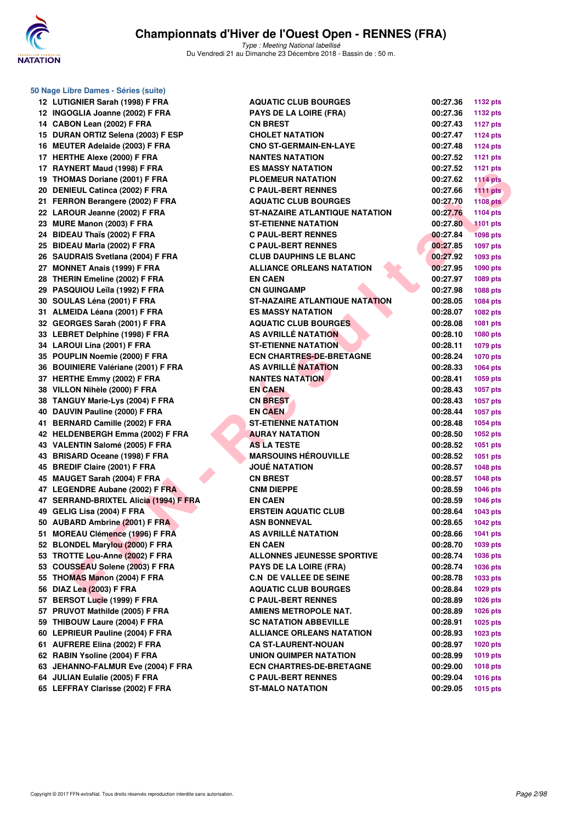

| 50 Nage Libre Dames - Séries (suite)   |                                         |          |                 |
|----------------------------------------|-----------------------------------------|----------|-----------------|
| 12 LUTIGNIER Sarah (1998) F FRA        | <b>AQUATIC CLUB BOURGES</b>             | 00:27.36 | <b>1132 pts</b> |
| 12 INGOGLIA Joanne (2002) F FRA        | <b>PAYS DE LA LOIRE (FRA)</b>           | 00:27.36 | <b>1132 pts</b> |
| 14 CABON Lean (2002) F FRA             | <b>CN BREST</b>                         | 00:27.43 | <b>1127 pts</b> |
| 15 DURAN ORTIZ Selena (2003) F ESP     | <b>CHOLET NATATION</b>                  | 00:27.47 | <b>1124 pts</b> |
| 16 MEUTER Adelaide (2003) F FRA        | <b>CNO ST-GERMAIN-EN-LAYE</b>           | 00:27.48 | <b>1124 pts</b> |
| 17 HERTHE Alexe (2000) F FRA           | <b>NANTES NATATION</b>                  | 00:27.52 | <b>1121 pts</b> |
| 17 RAYNERT Maud (1998) F FRA           | <b>ES MASSY NATATION</b>                | 00:27.52 | <b>1121 pts</b> |
| 19 THOMAS Doriane (2001) F FRA         | <b>PLOEMEUR NATATION</b>                | 00:27.62 | <b>1114 pts</b> |
| 20 DENIEUL Catinca (2002) F FRA        | <b>C PAUL-BERT RENNES</b>               | 00:27.66 | <b>1111 pts</b> |
| 21 FERRON Berangere (2002) F FRA       | <b>AQUATIC CLUB BOURGES</b>             | 00:27.70 | <b>1108 pts</b> |
| 22 LAROUR Jeanne (2002) F FRA          | <b>ST-NAZAIRE ATLANTIQUE NATATION</b>   | 00:27.76 | <b>1104 pts</b> |
| 23 MURE Manon (2003) F FRA             | <b>ST-ETIENNE NATATION</b>              | 00:27.80 | <b>1101 pts</b> |
| 24 BIDEAU Thaïs (2002) F FRA           | <b>C PAUL-BERT RENNES</b>               | 00:27.84 | <b>1098 pts</b> |
| 25 BIDEAU Marla (2002) F FRA           | <b>C PAUL-BERT RENNES</b>               | 00:27.85 | <b>1097 pts</b> |
| 26 SAUDRAIS Svetlana (2004) F FRA      | <b>CLUB DAUPHINS LE BLANC</b>           | 00:27.92 | 1093 pts        |
| 27 MONNET Anais (1999) F FRA           | <b>ALLIANCE ORLEANS NATATION</b>        | 00:27.95 | <b>1090 pts</b> |
| 28 THERIN Emeline (2002) F FRA         | <b>EN CAEN</b>                          | 00:27.97 | <b>1089 pts</b> |
| 29 PASQUIOU Leïla (1992) F FRA         | <b>CN GUINGAMP</b>                      | 00:27.98 | 1088 pts        |
| 30 SOULAS Léna (2001) F FRA            | ST-NAZAIRE ATLANTIQUE NATA <b>TI</b> ON | 00:28.05 | <b>1084 pts</b> |
| 31 ALMEIDA Léana (2001) F FRA          | <b>ES MASSY NATATION</b>                | 00:28.07 | <b>1082 pts</b> |
| 32 GEORGES Sarah (2001) F FRA          | <b>AQUATIC CLUB BOURGES</b>             | 00:28.08 | <b>1081 pts</b> |
| 33 LEBRET Delphine (1998) F FRA        | AS AVRILLÉ NATATION                     | 00:28.10 | 1080 pts        |
| 34 LAROUI Lina (2001) F FRA            | <b>ST-ETIENNE NATATION</b>              | 00:28.11 | 1079 pts        |
| 35 POUPLIN Noemie (2000) F FRA         | <b>ECN CHARTRES-DE-BRETAGNE</b>         | 00:28.24 | <b>1070 pts</b> |
| 36 BOUINIERE Valériane (2001) F FRA    | <b>AS AVRILLE NATATION</b>              | 00:28.33 | <b>1064 pts</b> |
| 37 HERTHE Emmy (2002) F FRA            | <b>NANTES NATATION</b>                  | 00:28.41 | 1059 pts        |
| 38 VILLON Nihèle (2000) F FRA          | <b>EN CAEN</b>                          | 00:28.43 | <b>1057 pts</b> |
| 38 TANGUY Marie-Lys (2004) F FRA       | <b>CN BREST</b>                         | 00:28.43 | <b>1057 pts</b> |
| 40 DAUVIN Pauline (2000) F FRA         | <b>EN CAEN</b>                          | 00:28.44 | <b>1057 pts</b> |
| 41 BERNARD Camille (2002) F FRA        | <b>ST-ETIENNE NATATION</b>              | 00:28.48 | <b>1054 pts</b> |
| 42 HELDENBERGH Emma (2002) F FRA       | <b>AURAY NATATION</b>                   | 00:28.50 | 1052 pts        |
| 43 VALENTIN Salomé (2005) F FRA        | <b>AS LA TESTE</b>                      | 00:28.52 | <b>1051 pts</b> |
| 43 BRISARD Oceane (1998) F FRA         | <b>MARSOUINS HEROUVILLE</b>             | 00:28.52 | <b>1051 pts</b> |
| 45 BREDIF Claire (2001) F FRA          | <b>JOUÉ NATATION</b>                    | 00:28.57 | <b>1048 pts</b> |
| 45 MAUGET Sarah (2004) F FRA           | <b>CN BREST</b>                         | 00:28.57 | <b>1048 pts</b> |
| 47 LEGENDRE Aubane (2002) F FRA        | <b>CNM DIEPPE</b>                       | 00:28.59 | <b>1046 pts</b> |
| 47 SERRAND-BRIXTEL Alicia (1994) F FRA | <b>EN CAEN</b>                          | 00:28.59 | <b>1046 pts</b> |
| 49 GELIG Lisa (2004) F FRA             | <b>ERSTEIN AQUATIC CLUB</b>             | 00:28.64 | 1043 pts        |
| 50 AUBARD Ambrine (2001) F FRA         | ASN BONNEVAL                            | 00:28.65 | <b>1042 pts</b> |
| 51 MOREAU Clémence (1996) F FRA        | AS AVRILLÉ NATATION                     | 00:28.66 | <b>1041 pts</b> |
| 52 BLONDEL Marylou (2000) F FRA        | <b>EN CAEN</b>                          | 00:28.70 | 1039 pts        |
| 53 TROTTE Lou-Anne (2002) F FRA        | <b>ALLONNES JEUNESSE SPORTIVE</b>       | 00:28.74 | <b>1036 pts</b> |
| 53 COUSSEAU Solene (2003) F FRA        | <b>PAYS DE LA LOIRE (FRA)</b>           | 00:28.74 | <b>1036 pts</b> |
| 55 THOMAS Manon (2004) F FRA           | <b>C.N DE VALLEE DE SEINE</b>           | 00:28.78 | <b>1033 pts</b> |
| 56 DIAZ Lea (2003) F FRA               | <b>AQUATIC CLUB BOURGES</b>             | 00:28.84 | <b>1029 pts</b> |
| 57 BERSOT Lucie (1999) F FRA           | <b>C PAUL-BERT RENNES</b>               | 00:28.89 | <b>1026 pts</b> |
| 57 PRUVOT Mathilde (2005) F FRA        | <b>AMIENS METROPOLE NAT.</b>            | 00:28.89 | <b>1026 pts</b> |
| 59 THIBOUW Laure (2004) F FRA          | <b>SC NATATION ABBEVILLE</b>            | 00:28.91 | 1025 pts        |
| 60 LEPRIEUR Pauline (2004) F FRA       | <b>ALLIANCE ORLEANS NATATION</b>        | 00:28.93 | 1023 pts        |
| 61 AUFRERE Elina (2002) F FRA          | <b>CA ST-LAURENT-NOUAN</b>              | 00:28.97 | 1020 pts        |
| 62 RABIN Ysoline (2004) F FRA          | <b>UNION QUIMPER NATATION</b>           | 00:28.99 | <b>1019 pts</b> |
| 63 JEHANNO-FALMUR Eve (2004) F FRA     | <b>ECN CHARTRES-DE-BRETAGNE</b>         | 00:29.00 | <b>1018 pts</b> |
| 64 JULIAN Eulalie (2005) F FRA         | <b>C PAUL-BERT RENNES</b>               | 00:29.04 | <b>1016 pts</b> |
| 65 LEFFRAY Clarisse (2002) F FRA       | ST-MALO NATATION                        | 00:29.05 | <b>1015 pts</b> |

| 00:27.36             | 1132 pts             |
|----------------------|----------------------|
| 00:27.36             | <b>1132 pts</b>      |
| 00:27.43             | <b>1127 pts</b>      |
| 00:27.47             | 1124 pts             |
| 00:27.48             | 1124 pts             |
| 00:27.52             | 1121 pts             |
| 00:27.52             | 1121 pts             |
| 00:27.62             | <b>1114 pts</b>      |
| 00:27.66             | <b>1111 pts</b>      |
| 00:27.70             | <b>1108 pts</b>      |
| 00:27.76             | 1104 pts             |
| 00:27.80             | <b>1101 pts</b>      |
| 00:27.84             | <b>1098 pts</b>      |
| 00:27.85             | 1097 pts             |
| 00:27.92             | 1093 pts             |
| 00:27.95             | 1090 pts             |
| 00:27.97             | 1089 pts             |
| 00:27.98             | 1088 pts             |
| 00:28.05             | 1084 pts             |
| 00:28.07             | 1082 pts             |
| 00:28.08             | 1081 pts             |
| 00:28.10             | <b>1080 pts</b>      |
| 00:28.11             | 1079 pts             |
| 00:28.24             | <b>1070 pts</b>      |
| 00:28.33             | 1064 pts             |
| 00:28.41             | 1059 pts             |
| 00:28.43             | 1057 pts             |
| 00:28.43             | 1057 pts             |
| 00:28.44             | 1057 pts             |
| 00:28.48             | 1054 pts             |
| 00:28.50             | 1052 pts             |
| 00:28.52             | 1051 pts             |
| 00:28.52             | 1051 pts             |
| 00:28.57             | 1048 pts             |
| 00:28.57             | <b>1048 pts</b>      |
| 00:28.59             | 1046 pts             |
| 00:28.59             | 1046 pts             |
| 00:28.64             | 1043 pts             |
| 00:28.65             | 1042 pts             |
| 00:28.66             | 1041 pts             |
| 00:28.70             | 1039 pts             |
| 00:28.74             | 1036 pts             |
| 00:28.74             | 1036 pts             |
| 00:28.78<br>00:28.84 | 1033 pts             |
| 00:28.89             | 1029 pts             |
| 00:28.89             | 1026 pts             |
| 00:28.91             | 1026 pts<br>1025 pts |
| 00:28.93             | 1023 pts             |
| 00:28.97             | 1020 pts             |
| 00:28.99             | 1019 pts             |
| 00:29.00             | 1018 pts             |
| 00:29.04             | 1016 pts             |
| 00:29.05             | 1015 pts             |
|                      |                      |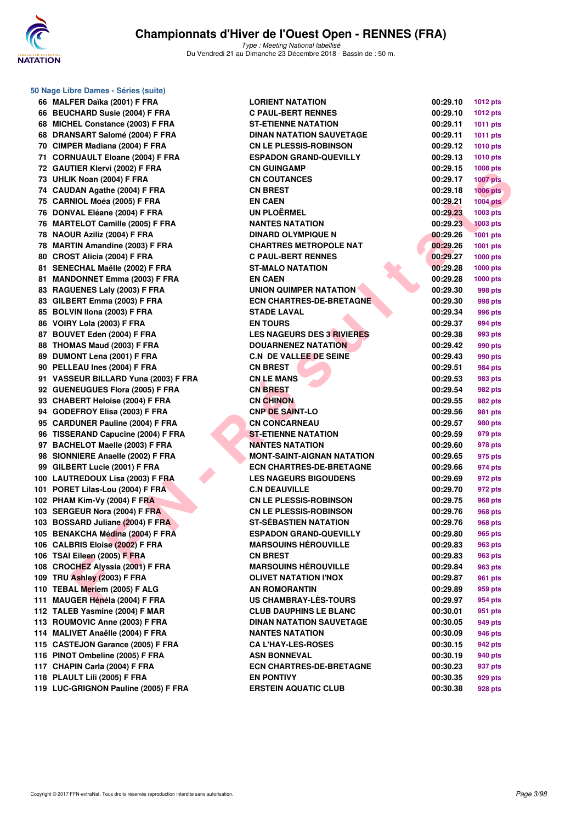

**50 Nage Libre Dames - Séries (suite)**

## **Championnats d'Hiver de l'Ouest Open - RENNES (FRA)**

Type : Meeting National labellisé Du Vendredi 21 au Dimanche 23 Décembre 2018 - Bassin de : 50 m.

| 66 MALFER Daïka (2001) F FRA         | <b>LORIENT NATATION</b>           | 00:29.10 | 1012 pts        |
|--------------------------------------|-----------------------------------|----------|-----------------|
| 66 BEUCHARD Susie (2004) F FRA       | <b>C PAUL-BERT RENNES</b>         | 00:29.10 | 1012 pts        |
| 68 MICHEL Constance (2003) F FRA     | <b>ST-ETIENNE NATATION</b>        | 00:29.11 | 1011 pts        |
| 68 DRANSART Salomé (2004) F FRA      | <b>DINAN NATATION SAUVETAGE</b>   | 00:29.11 | 1011 pts        |
| 70 CIMPER Madiana (2004) F FRA       | <b>CN LE PLESSIS-ROBINSON</b>     | 00:29.12 | <b>1010 pts</b> |
| 71 CORNUAULT Eloane (2004) F FRA     | <b>ESPADON GRAND-QUEVILLY</b>     | 00:29.13 | 1010 pts        |
| 72 GAUTIER Klervi (2002) F FRA       | <b>CN GUINGAMP</b>                | 00:29.15 | 1008 pts        |
| 73 UHLIK Noan (2004) F FRA           | <b>CN COUTANCES</b>               | 00:29.17 | <b>1007 pts</b> |
| 74 CAUDAN Agathe (2004) F FRA        | <b>CN BREST</b>                   | 00:29.18 | <b>1006 pts</b> |
| 75 CARNIOL Moéa (2005) F FRA         | <b>EN CAEN</b>                    | 00:29.21 | <b>1004 pts</b> |
| 76 DONVAL Eléane (2004) F FRA        | <b>UN PLOËRMEL</b>                | 00:29.23 | 1003 pts        |
| 76 MARTELOT Camille (2005) F FRA     | <b>NANTES NATATION</b>            | 00:29.23 | <b>1003 pts</b> |
| 78 NAOUR Aziliz (2004) F FRA         | <b>DINARD OLYMPIQUE N</b>         | 00:29.26 | <b>1001 pts</b> |
| 78 MARTIN Amandine (2003) F FRA      | <b>CHARTRES METROPOLE NAT</b>     | 00:29.26 | 1001 pts        |
| 80 CROST Alicia (2004) F FRA         | <b>C PAUL-BERT RENNES</b>         | 00:29.27 | <b>1000 pts</b> |
| 81 SENECHAL Maëlle (2002) F FRA      | <b>ST-MALO NATATION</b>           | 00:29.28 | <b>1000 pts</b> |
| 81 MANDONNET Emma (2003) F FRA       | <b>EN CAEN</b>                    | 00:29.28 | <b>1000 pts</b> |
| 83 RAGUENES Laly (2003) F FRA        | UNION QUIMPER NATATION            | 00:29.30 | 998 pts         |
| 83 GILBERT Emma (2003) F FRA         | <b>ECN CHARTRES-DE-BRETAGNE</b>   | 00:29.30 | 998 pts         |
| 85 BOLVIN Ilona (2003) F FRA         | <b>STADE LAVAL</b>                | 00:29.34 | 996 pts         |
| 86 VOIRY Lola (2003) F FRA           | <b>EN TOURS</b>                   | 00:29.37 | 994 pts         |
| 87 BOUVET Eden (2004) F FRA          | <b>LES NAGEURS DES 3 RIVIERES</b> | 00:29.38 | 993 pts         |
| 88 THOMAS Maud (2003) F FRA          | <b>DOUARNENEZ NATATION</b>        | 00:29.42 | 990 pts         |
| 89 DUMONT Lena (2001) F FRA          | <b>C.N DE VALLEE DE SEINE</b>     | 00:29.43 | 990 pts         |
| 90 PELLEAU Ines (2004) F FRA         | <b>CN BREST</b>                   | 00:29.51 | 984 pts         |
| 91 VASSEUR BILLARD Yuna (2003) F FRA | <b>CN LE MANS</b>                 | 00:29.53 | 983 pts         |
| 92 GUENEUGUES Flora (2005) F FRA     | <b>CN BREST</b>                   | 00:29.54 | 982 pts         |
| 93 CHABERT Heloise (2004) F FRA      | <b>CN CHINON</b>                  | 00:29.55 | 982 pts         |
| 94 GODEFROY Elisa (2003) F FRA       | <b>CNP DE SAINT-LO</b>            | 00:29.56 | 981 pts         |
| 95 CARDUNER Pauline (2004) F FRA     | <b>CN CONCARNEAU</b>              | 00:29.57 | 980 pts         |
| 96 TISSERAND Capucine (2004) F FRA   | <b>ST-ETIENNE NATATION</b>        | 00:29.59 | 979 pts         |
| 97 BACHELOT Maelle (2003) F FRA      | <b>NANTES NATATION</b>            | 00:29.60 | 978 pts         |
| 98 SIONNIERE Anaelle (2002) F FRA    | <b>MONT-SAINT-AIGNAN NATATION</b> | 00:29.65 | 975 pts         |
| 99 GILBERT Lucie (2001) F FRA        | <b>ECN CHARTRES-DE-BRETAGNE</b>   | 00:29.66 | 974 pts         |
| 100 LAUTREDOUX Lisa (2003) F FRA     | <b>LES NAGEURS BIGOUDENS</b>      | 00:29.69 | 972 pts         |
| 101 PORET Lilas-Lou (2004) F FRA     | <b>C.N DEAUVILLE</b>              | 00:29.70 | 972 pts         |
| 102 PHAM Kim-Vy (2004) F FRA         | <b>CN LE PLESSIS-ROBINSON</b>     | 00:29.75 | 968 pts         |
| 103 SERGEUR Nora (2004) F FRA        | <b>CN LE PLESSIS-ROBINSON</b>     | 00:29.76 | 968 pts         |
| 103 BOSSARD Juliane (2004) F FRA     | <b>ST-SÉBASTIEN NATATION</b>      | 00:29.76 | <b>968 pts</b>  |
| 105 BENAKCHA Médina (2004) F FRA     | <b>ESPADON GRAND-QUEVILLY</b>     | 00:29.80 | 965 pts         |
| 106 CALBRIS Eloise (2002) F FRA      | <b>MARSOUINS HEROUVILLE</b>       | 00:29.83 | 963 pts         |
| 106 TSAI Eileen (2005) F FRA         | <b>CN BREST</b>                   | 00:29.83 | 963 pts         |
| 108 CROCHEZ Alyssia (2001) F FRA     | <b>MARSOUINS HEROUVILLE</b>       | 00:29.84 | 963 pts         |
| 109 TRU Ashley (2003) F FRA          | <b>OLIVET NATATION I'NOX</b>      | 00:29.87 | 961 pts         |
| 110 TEBAL Meriem (2005) F ALG        | AN ROMORANTIN                     | 00:29.89 | 959 pts         |
| 111 MAUGER Hénéla (2004) F FRA       | US CHAMBRAY-LES-TOURS             | 00:29.97 | 954 pts         |
| 112 TALEB Yasmine (2004) F MAR       | <b>CLUB DAUPHINS LE BLANC</b>     | 00:30.01 | 951 pts         |
| 113 ROUMOVIC Anne (2003) F FRA       | <b>DINAN NATATION SAUVETAGE</b>   | 00:30.05 | 949 pts         |
| 114 MALIVET Anaëlle (2004) F FRA     | <b>NANTES NATATION</b>            | 00:30.09 | 946 pts         |
| 115 CASTEJON Garance (2005) F FRA    | <b>CA L'HAY-LES-ROSES</b>         | 00:30.15 | 942 pts         |
| 116 PINOT Ombeline (2005) F FRA      | <b>ASN BONNEVAL</b>               | 00:30.19 | 940 pts         |
| 117 CHAPIN Carla (2004) F FRA        | <b>ECN CHARTRES-DE-BRETAGNE</b>   | 00:30.23 | 937 pts         |
| 118 PLAULT Lili (2005) F FRA         | <b>EN PONTIVY</b>                 | 00:30.35 | 929 pts         |
| 119 LUC-GRIGNON Pauline (2005) F FRA | <b>ERSTEIN AQUATIC CLUB</b>       | 00:30.38 | 928 pts         |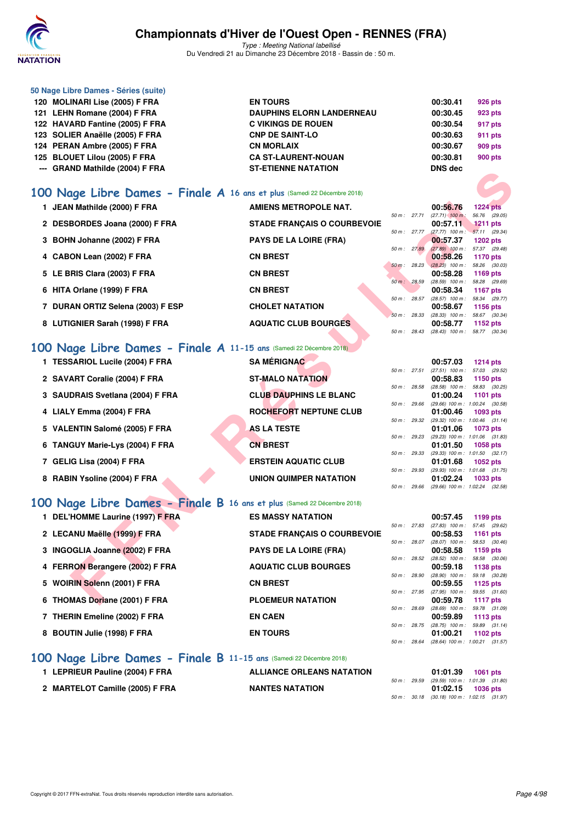

Type : Meeting National labellisé Du Vendredi 21 au Dimanche 23 Décembre 2018 - Bassin de : 50 m.

| 50 Nage Libre Dames - Séries (suite) |                                  |                |                |
|--------------------------------------|----------------------------------|----------------|----------------|
| 120 MOLINARI Lise (2005) F FRA       | <b>EN TOURS</b>                  | 00:30.41       | 926 pts        |
| 121 LEHN Romane (2004) F FRA         | <b>DAUPHINS ELORN LANDERNEAU</b> | 00:30.45       | 923 pts        |
| 122 HAVARD Fantine (2005) F FRA      | <b>C VIKINGS DE ROUEN</b>        | 00:30.54       | 917 pts        |
| 123 SOLIER Anaëlle (2005) F FRA      | <b>CNP DE SAINT-LO</b>           | 00:30.63       | 911 pts        |
| 124 PERAN Ambre (2005) F FRA         | <b>CN MORLAIX</b>                | 00:30.67       | 909 pts        |
| 125 BLOUET Lilou (2005) F FRA        | <b>CA ST-LAURENT-NOUAN</b>       | 00:30.81       | <b>900 pts</b> |
| --- GRAND Mathilde (2004) F FRA      | <b>ST-ETIENNE NATATION</b>       | <b>DNS</b> dec |                |

### **[100 Nage Libre Dames - Finale A](http://www.ffnatation.fr/webffn/resultats.php?idact=nat&go=epr&idcpt=55947&idepr=2) 16 ans et plus** (Samedi 22 Décembre 2018)

| -- GRAND Mathlice (2004) F FRA                                          | "E HEINNE INATATION                |              |              | <b>DIAS AGC</b>                            |                                  |  |
|-------------------------------------------------------------------------|------------------------------------|--------------|--------------|--------------------------------------------|----------------------------------|--|
| 00 Nage Libre Dames - Finale A 16 ans et plus (Samedi 22 Décembre 2018) |                                    |              |              |                                            |                                  |  |
| 1 JEAN Mathilde (2000) F FRA                                            | AMIENS METROPOLE NAT.              |              |              | 00:56.76                                   | <b>1224 pts</b>                  |  |
|                                                                         |                                    |              | 50 m : 27.71 | $(27.71)$ 100 m:                           | 56.76 (29.05)                    |  |
| 2 DESBORDES Joana (2000) F FRA                                          | <b>STADE FRANÇAIS O COURBEVOIE</b> |              |              | 00:57.11                                   | <b>1211 pts</b>                  |  |
|                                                                         |                                    | 50 m : 27.77 |              | $(27.77)$ 100 m : 57.11 (29.34)            |                                  |  |
| 3 BOHN Johanne (2002) F FRA                                             | <b>PAYS DE LA LOIRE (FRA)</b>      | 50 m: 27.89  |              | 00:57.37<br>$(27.89)$ 100 m :              | <b>1202 pts</b><br>57.37 (29.48) |  |
| 4 CABON Lean (2002) F FRA                                               | <b>CN BREST</b>                    |              |              | 00:58.26                                   | <b>1170 pts</b>                  |  |
|                                                                         |                                    | 50 m: 28.23  |              | $(28.23)$ 100 m : 58.26 $(30.03)$          |                                  |  |
| 5 LE BRIS Clara (2003) F FRA                                            | <b>CN BREST</b>                    |              |              | 00:58.28                                   | 1169 pts                         |  |
| 6 HITA Orlane (1999) F FRA                                              | <b>CN BREST</b>                    | 50 m : 28.59 |              | $(28.59)$ 100 m :<br>00:58.34              | 58.28 (29.69)<br><b>1167 pts</b> |  |
|                                                                         |                                    |              | 50 m : 28.57 | (28.57) 100 m: 58.34 (29.77)               |                                  |  |
| 7 DURAN ORTIZ Selena (2003) F ESP                                       | <b>CHOLET NATATION</b>             |              |              | 00:58.67                                   | <b>1156 pts</b>                  |  |
|                                                                         |                                    | 50 m: 28.33  |              | $(28.33)$ 100 m : 58.67 $(30.34)$          |                                  |  |
| 8 LUTIGNIER Sarah (1998) F FRA                                          | <b>AQUATIC CLUB BOURGES</b>        | 50 m: 28.43  |              | 00:58.77                                   | 1152 $pts$                       |  |
|                                                                         |                                    |              |              | $(28.43)$ 100 m :                          | 58.77 (30.34)                    |  |
| 00 Nage Libre Dames - Finale A 11-15 ans (Samedi 22 Décembre 2018)      |                                    |              |              |                                            |                                  |  |
| 1 TESSARIOL Lucile (2004) F FRA                                         | <b>SA MÉRIGNAC</b>                 |              |              | 00:57.03                                   | <b>1214 pts</b>                  |  |
|                                                                         |                                    |              | 50 m : 27.51 | $(27.51)$ 100 m : 57.03 $(29.52)$          |                                  |  |
| 2 SAVART Coralie (2004) F FRA                                           | <b>ST-MALO NATATION</b>            |              | 50 m : 28.58 | 00:58.83<br>$(28.58)$ 100 m :              | 1150 pts<br>58.83 (30.25)        |  |
| 3 SAUDRAIS Svetlana (2004) F FRA                                        | <b>CLUB DAUPHINS LE BLANC</b>      |              |              | 01:00.24                                   | <b>1101 pts</b>                  |  |
|                                                                         |                                    |              | 50 m : 29.66 | $(29.66)$ 100 m : 1:00.24 $(30.58)$        |                                  |  |
| 4 LIALY Emma (2004) F FRA                                               | <b>ROCHEFORT NEPTUNE CLUB</b>      |              |              | 01:00.46                                   | 1093 pts                         |  |
|                                                                         |                                    | 50 m: 29.32  |              | $(29.32)$ 100 m : 1:00.46 $(31.14)$        |                                  |  |
| 5 VALENTIN Salomé (2005) F FRA                                          | <b>AS LA TESTE</b>                 | 50 m: 29.23  |              | 01:01.06<br>(29.23) 100 m: 1:01.06 (31.83) | <b>1073 pts</b>                  |  |
| 6 TANGUY Marie-Lys (2004) F FRA                                         | <b>CN BREST</b>                    |              |              | 01:01.50                                   | 1058 pts                         |  |
|                                                                         |                                    | 50 m: 29.33  |              | (29.33) 100 m: 1:01.50 (32.17)             |                                  |  |
| 7 GELIG Lisa (2004) F FRA                                               | <b>ERSTEIN AQUATIC CLUB</b>        |              |              | 01:01.68                                   | 1052 pts                         |  |
| 8 RABIN Ysoline (2004) F FRA                                            | UNION QUIMPER NATATION             | 50 m: 29.93  |              | (29.93) 100 m: 1:01.68 (31.75)<br>01:02.24 | 1033 pts                         |  |
|                                                                         |                                    |              | 50 m : 29.66 | (29.66) 100 m: 1:02.24 (32.58)             |                                  |  |
| 00 Nage Libre Dames - Finale B 16 ans et plus (Samedi 22 Décembre 2018) |                                    |              |              |                                            |                                  |  |
|                                                                         |                                    |              |              |                                            |                                  |  |
| 1 DEL'HOMME Laurine (1997) F FRA                                        | <b>ES MASSY NATATION</b>           |              | 50 m : 27.83 | 00:57.45<br>$(27.83)$ 100 m :              | 1199 pts<br>57.45 (29.62)        |  |
| 2 LECANU Maëlle (1999) F FRA                                            | <b>STADE FRANÇAIS O COURBEVOIE</b> |              |              | 00:58.53                                   | 1161 pts                         |  |
|                                                                         |                                    | 50 m: 28.07  |              | $(28.07)$ 100 m :                          | 58.53 (30.46)                    |  |
| 3 INGOGLIA Joanne (2002) F FRA                                          | <b>PAYS DE LA LOIRE (FRA)</b>      |              |              | 00:58.58                                   | 1159 pts                         |  |
|                                                                         |                                    | 50 m: 28.52  |              | $(28.52)$ 100 m :                          | 58.58 (30.06)                    |  |
| 4 FERRON Berangere (2002) F FRA                                         | <b>AQUATIC CLUB BOURGES</b>        | 50 m : 28.90 |              | 00:59.18<br>$(28.90)$ 100 m :              | 1138 pts<br>59.18 (30.28)        |  |
| 5 WOIRIN Solenn (2001) F FRA                                            | <b>CN BREST</b>                    |              |              | 00:59.55                                   | 1125 pts                         |  |
|                                                                         |                                    |              | 50 m : 27.95 | $(27.95)$ 100 m :                          | 59.55 (31.60)                    |  |
| 6 THOMAS Doriane (2001) F FRA                                           | <b>PLOEMEUR NATATION</b>           |              |              | 00:59.78                                   | <b>1117 pts</b>                  |  |

## **[100 Nage Libre Dames - Finale A](http://www.ffnatation.fr/webffn/resultats.php?idact=nat&go=epr&idcpt=55947&idepr=2) 11-15 ans** (Samedi 22 Décembre 2018)

| 1 TESSARIOL Lucile (2004) F FRA  | <b>SA MÉRIGNAC</b>            |              | 00:57.03          | $1214$ pts                                 |
|----------------------------------|-------------------------------|--------------|-------------------|--------------------------------------------|
|                                  |                               | 50 m: 27.51  | $(27.51)$ 100 m : | 57.03 (29.52)                              |
| 2 SAVART Coralie (2004) F FRA    | <b>ST-MALO NATATION</b>       |              | 00:58.83          | 1150 pts                                   |
|                                  |                               | 50 m: 28.58  | $(28.58)$ 100 m : | 58.83 (30.25)                              |
| 3 SAUDRAIS Svetlana (2004) F FRA | <b>CLUB DAUPHINS LE BLANC</b> |              | 01:00.24          | <b>1101 pts</b>                            |
|                                  |                               | 50 m: 29.66  |                   | $(29.66)$ 100 m : 1:00.24 $(30.58)$        |
| 4 LIALY Emma (2004) F FRA        | ROCHEFORT NEPTUNE CLUB        |              | 01:00.46          | $1093$ pts                                 |
|                                  | <b>AS LA TESTE</b>            | 50 m: 29.32  | 01:01.06          | $(29.32)$ 100 m : 1:00.46 $(31.14)$        |
| 5 VALENTIN Salomé (2005) F FRA   |                               | 50 m: 29.23  |                   | 1073 pts<br>(29.23) 100 m: 1:01.06 (31.83) |
| 6 TANGUY Marie-Lys (2004) F FRA  | <b>CN BREST</b>               |              | 01:01.50          | 1058 pts                                   |
|                                  |                               | 50 m: 29.33  |                   | $(29.33)$ 100 m : 1:01.50 $(32.17)$        |
| 7 GELIG Lisa (2004) F FRA        | <b>ERSTEIN AQUATIC CLUB</b>   |              | 01:01.68          | <b>1052 pts</b>                            |
|                                  |                               | 50 m: 29.93  |                   | $(29.93)$ 100 m : 1:01.68 $(31.75)$        |
| 8 RABIN Ysoline (2004) F FRA     | UNION QUIMPER NATATION        |              | 01:02.24          | 1033 pts                                   |
|                                  |                               | 50 m : 29.66 |                   | $(29.66)$ 100 m : 1:02.24 $(32.58)$        |
|                                  |                               |              |                   |                                            |

## **[100 Nage Libre Dames - Finale B](http://www.ffnatation.fr/webffn/resultats.php?idact=nat&go=epr&idcpt=55947&idepr=2) 16 ans et plus** (Samedi 22 Décembre 2018)

| 1 DEL'HOMME Laurine (1997) F FRA | <b>ES MASSY NATATION</b>           |                        | 00:57.45                            | 1199 $pts$                   |
|----------------------------------|------------------------------------|------------------------|-------------------------------------|------------------------------|
| 2 LECANU Maëlle (1999) F FRA     | <b>STADE FRANÇAIS O COURBEVOIE</b> | $50 \text{ m}$ : 27.83 | $(27.83)$ 100 m :<br>00:58.53       | 57.45 (29.62)<br>1161 $pts$  |
| 3 INGOGLIA Joanne (2002) F FRA   | <b>PAYS DE LA LOIRE (FRA)</b>      | $50 m$ : 28.07         | $(28.07)$ 100 m :<br>00:58.58       | 58.53 (30.46)<br>1159 $pts$  |
| 4 FERRON Berangere (2002) F FRA  | <b>AQUATIC CLUB BOURGES</b>        | 50 m: 28.52            | $(28.52)$ 100 m :<br>00:59.18       | 58.58 (30.06)<br>1138 pts    |
| 5 WOIRIN Solenn (2001) F FRA     | <b>CN BREST</b>                    | 50 m : 28.90           | $(28.90)$ 100 m :<br>00:59.55       | 59.18 (30.28)<br>1125 $p$ ts |
| 6 THOMAS Doriane (2001) F FRA    | <b>PLOEMEUR NATATION</b>           | 50 m : 27.95           | $(27.95)$ 100 m :<br>00:59.78       | 59.55 (31.60)<br>1117 $pts$  |
| 7 THERIN Emeline (2002) F FRA    | <b>EN CAEN</b>                     | 50 m: 28.69            | $(28.69)$ 100 m :<br>00:59.89       | 59.78 (31.09)<br>1113 $pts$  |
| 8 BOUTIN Julie (1998) F FRA      | <b>EN TOURS</b>                    | $50 m$ : 28.75         | $(28.75)$ 100 m :<br>01:00.21       | 59.89 (31.14)<br>1102 $pts$  |
|                                  |                                    | 50 m: 28.64            | $(28.64)$ 100 m : 1:00.21 $(31.57)$ |                              |

### **[100 Nage Libre Dames - Finale B](http://www.ffnatation.fr/webffn/resultats.php?idact=nat&go=epr&idcpt=55947&idepr=2) 11-15 ans** (Samedi 22 Décembre 2018)

| 1 LEPRIEUR Pauline (2004) F FRA | <b>ALLIANCE ORLEANS NATATION</b> |  | 01:01.39                                                         | 1061 pts |  |
|---------------------------------|----------------------------------|--|------------------------------------------------------------------|----------|--|
| 2 MARTELOT Camille (2005) F FRA | <b>NANTES NATATION</b>           |  | 50 m: 29.59 (29.59) 100 m: 1:01.39 (31.80<br>$01:02.15$ 1036 pts |          |  |
|                                 |                                  |  | 50 m: 30.18 (30.18) 100 m: 1:02.15 (31.97                        |          |  |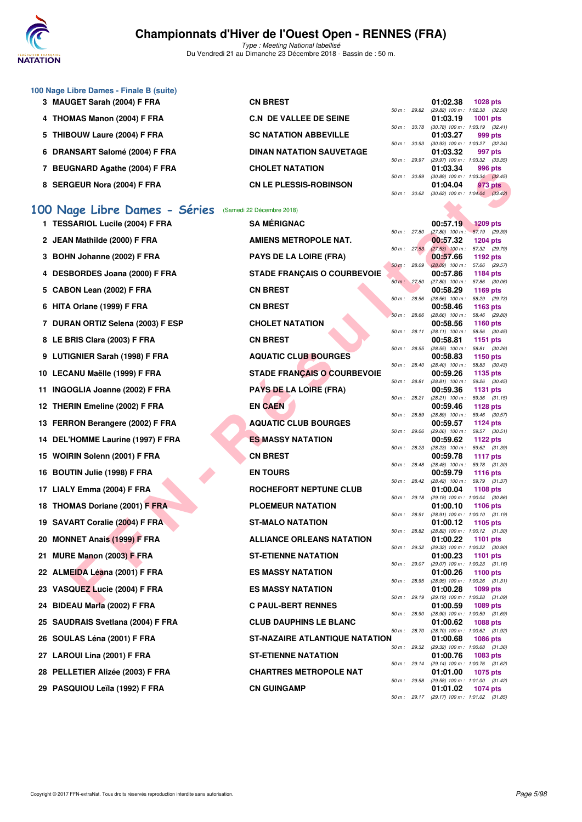

Type : Meeting National labellisé Du Vendredi 21 au Dimanche 23 Décembre 2018 - Bassin de : 50 m.

| 100 Nage Libre Dames - Finale B (suite) |                                 |             |                        |                                           |                 |  |
|-----------------------------------------|---------------------------------|-------------|------------------------|-------------------------------------------|-----------------|--|
| 3 MAUGET Sarah (2004) F FRA             | <b>CN BREST</b>                 |             |                        | 01:02.38                                  | <b>1028 pts</b> |  |
|                                         |                                 |             | $50 \text{ m}$ : 29.82 | (29.82) 100 m : 1:02.38 (32.56)           |                 |  |
| 4 THOMAS Manon (2004) F FRA             | <b>C.N. DE VALLEE DE SEINE</b>  |             |                        | 01:03.19                                  | 1001 $pts$      |  |
|                                         |                                 | 50 m: 30.78 |                        | $(30.78)$ 100 m : 1:03.19 $(32.41)$       |                 |  |
| 5 THIBOUW Laure (2004) F FRA            | <b>SC NATATION ABBEVILLE</b>    |             |                        | 01:03.27                                  | 999 pts         |  |
|                                         |                                 | 50 m: 30.93 |                        | (30.93) 100 m : 1:03.27 (32.34            |                 |  |
| 6 DRANSART Salomé (2004) F FRA          | <b>DINAN NATATION SAUVETAGE</b> |             |                        | 01:03.32                                  | 997 pts         |  |
|                                         |                                 |             |                        | 50 m: 29.97 (29.97) 100 m: 1:03.32 (33.35 |                 |  |
| <b>BEUGNARD Agathe (2004) F FRA</b>     | <b>CHOLET NATATION</b>          |             |                        | 01:03.34                                  | 996 pts         |  |
|                                         |                                 | 50 m: 30.89 |                        | $(30.89)$ 100 m : 1.03.34 $(32.45)$       |                 |  |
| 8 SERGEUR Nora (2004) F FRA             | <b>CN LE PLESSIS-ROBINSON</b>   |             |                        | 01:04.04                                  | 973 pts         |  |
|                                         |                                 |             | 50 m: 30.62            | $(30.62)$ 100 m : 1:04.04 $(33.42)$       |                 |  |

### **[100 Nage Libre Dames - Séries](http://www.ffnatation.fr/webffn/resultats.php?idact=nat&go=epr&idcpt=55947&idepr=2)** (Samedi 22 Décembre 2018)

| $\mu$ DEUGINAND Agatile (2004) F FRA                   | <b>UIULEI INAIAIIUN</b>               |                             | 01.03.34                                                                               |                                  | ອອບ µເວ       |
|--------------------------------------------------------|---------------------------------------|-----------------------------|----------------------------------------------------------------------------------------|----------------------------------|---------------|
| 8 SERGEUR Nora (2004) F FRA                            | <b>CN LE PLESSIS-ROBINSON</b>         | 50 m : 30.89<br>50 m: 30.62 | $(30.89)$ 100 m : 1:03.34 $(32.45)$<br>01:04.04<br>$(30.62)$ 100 m : 1:04.04 $(33.42)$ |                                  | 973 pts       |
| 00 Nage Libre Dames - Séries (Samedi 22 Décembre 2018) |                                       |                             |                                                                                        |                                  |               |
| 1 TESSARIOL Lucile (2004) F FRA                        | <b>SA MÉRIGNAC</b>                    |                             | 00:57.19                                                                               | <b>1209 pts</b>                  |               |
|                                                        |                                       | 50 m : 27.80                | $(27.80)$ 100 m : 57.19 (29.39)                                                        |                                  |               |
| 2 JEAN Mathilde (2000) F FRA                           | <b>AMIENS METROPOLE NAT.</b>          |                             | 00:57.32                                                                               | <b>1204 pts</b>                  |               |
| 3 BOHN Johanne (2002) F FRA                            | <b>PAYS DE LA LOIRE (FRA)</b>         | 50 m: 27.53                 | $(27.53)$ 100 m :<br>00:57.66                                                          | 57.32 (29.79)<br>1192 pts        |               |
| 4 DESBORDES Joana (2000) F FRA                         | <b>STADE FRANÇAIS O COURBEVOIE</b>    | 50 m: 28.09                 | $(28.09)$ 100 m :<br>00:57.86                                                          | 57.66 (29.57)<br>1184 pts        |               |
| 5 CABON Lean (2002) F FRA                              | <b>CN BREST</b>                       | 50 m: 27.80                 | $(27.80)$ 100 m : 57.86 $(30.06)$<br>00:58.29                                          | 1169 pts                         |               |
| 6 HITA Orlane (1999) F FRA                             | <b>CN BREST</b>                       | 50 m: 28.56                 | $(28.56)$ 100 m :<br>00:58.46                                                          | 58.29 (29.73)<br>1163 pts        |               |
|                                                        |                                       | 50 m: 28.66                 | $(28.66)$ 100 m :                                                                      | 58.46 (29.80)                    |               |
| 7 DURAN ORTIZ Selena (2003) F ESP                      | <b>CHOLET NATATION</b>                |                             | 00:58.56                                                                               | 1160 pts                         |               |
| 8 LE BRIS Clara (2003) F FRA                           | <b>CN BREST</b>                       | 50 m: 28.11                 | $(28.11)$ 100 m :<br>00:58.81                                                          | 58.56 (30.45)<br>1151 pts        |               |
|                                                        |                                       | 50 m: 28.55                 | $(28.55)$ 100 m :                                                                      | 58.81 (30.26)                    |               |
| 9 LUTIGNIER Sarah (1998) F FRA                         | <b>AQUATIC CLUB BOURGES</b>           | 50 m : 28.40                | 00:58.83<br>$(28.40)$ 100 m :                                                          | 1150 pts<br>58.83 (30.43)        |               |
| 10 LECANU Maëlle (1999) F FRA                          | <b>STADE FRANÇAIS O COURBEVOIE</b>    |                             | 00:59.26                                                                               | 1135 pts                         |               |
|                                                        |                                       | 50 m : 28.81                | $(28.81)$ 100 m :                                                                      |                                  | 59.26 (30.45) |
| 11 INGOGLIA Joanne (2002) F FRA                        | <b>PAYS DE LA LOIRE (FRA)</b>         | 50 m : 28.21                | 00:59.36<br>(28.21) 100 m :                                                            | <b>1131 pts</b><br>59.36 (31.15) |               |
| 12 THERIN Emeline (2002) F FRA                         | <b>EN CAEN</b>                        |                             | 00:59.46                                                                               | <b>1128 pts</b>                  |               |
|                                                        | <b>AQUATIC CLUB BOURGES</b>           | 50 m : 28.89                | (28.89) 100 m :                                                                        | 59.46 (30.57)                    |               |
| 13 FERRON Berangere (2002) F FRA                       |                                       | 50 m: 29.06                 | 00:59.57<br>$(29.06)$ 100 m : 59.57 $(30.51)$                                          | <b>1124 pts</b>                  |               |
| 14 DEL'HOMME Laurine (1997) F FRA                      | <b>ES MASSY NATATION</b>              |                             | 00:59.62                                                                               | 1122 pts                         |               |
| 15 WOIRIN Solenn (2001) F FRA                          | <b>CN BREST</b>                       | 50 m: 28.23                 | (28.23) 100 m: 59.62 (31.39)<br>00:59.78                                               | <b>1117 pts</b>                  |               |
| 16 BOUTIN Julie (1998) F FRA                           | <b>EN TOURS</b>                       | 50 m: 28.48                 | $(28.48)$ 100 m : 59.78 $(31.30)$<br>00:59.79                                          | <b>1116 pts</b>                  |               |
|                                                        |                                       | 50 m : 28.42                | $(28.42)$ 100 m :                                                                      | 59.79 (31.37)                    |               |
| 17 LIALY Emma (2004) F FRA                             | ROCHEFORT NEPTUNE CLUB                |                             | 01:00.04                                                                               | 1108 pts                         |               |
| 18 THOMAS Doriane (2001) F FRA                         | <b>PLOEMEUR NATATION</b>              | 50 m: 29.18                 | (29.18) 100 m: 1:00.04 (30.86)<br>01:00.10                                             | 1106 pts                         |               |
|                                                        |                                       | 50 m: 28.91                 | (28.91) 100 m: 1:00.10 (31.19)                                                         |                                  |               |
| 19 SAVART Coralie (2004) F FRA                         | <b>ST-MALO NATATION</b>               | 50 m : 28.82                | 01:00.12<br>(28.82) 100 m: 1:00.12 (31.30)                                             | 1105 pts                         |               |
| 20 MONNET Anais (1999) F FRA                           | <b>ALLIANCE ORLEANS NATATION</b>      |                             | 01:00.22                                                                               | <b>1101 pts</b>                  |               |
| 21 MURE Manon (2003) F FRA                             | <b>ST-ETIENNE NATATION</b>            | 50 m: 29.32                 | (29.32) 100 m: 1:00.22 (30.90)<br>01:00.23                                             |                                  |               |
|                                                        |                                       | 50 m : 29.07                | $(29.07)$ 100 m : 1:00.23 $(31.16)$                                                    | 1101 pts                         |               |
| 22 ALMEIDA Léana (2001) F FRA                          | <b>ES MASSY NATATION</b>              |                             | 01:00.26                                                                               | 1100 pts                         |               |
| 23 VASQUEZ Lucie (2004) F FRA                          | <b>ES MASSY NATATION</b>              | 50 m : 28.95                | (28.95) 100 m: 1:00.26 (31.31)<br>01:00.28                                             | 1099 pts                         |               |
|                                                        |                                       | 50 m: 29.19                 | (29.19) 100 m: 1:00.28 (31.09)                                                         |                                  |               |
| 24 BIDEAU Marla (2002) F FRA                           | <b>C PAUL-BERT RENNES</b>             |                             | 01:00.59<br>50 m: 28.90 (28.90) 100 m: 1:00.59 (31.69)                                 | 1089 pts                         |               |
| 25 SAUDRAIS Svetlana (2004) F FRA                      | <b>CLUB DAUPHINS LE BLANC</b>         |                             | 01:00.62                                                                               | 1088 pts                         |               |
|                                                        |                                       | 50 m : 28.70                | (28.70) 100 m: 1:00.62 (31.92)                                                         |                                  |               |
| 26 SOULAS Léna (2001) F FRA                            | <b>ST-NAZAIRE ATLANTIQUE NATATION</b> | 50 m : 29.32                | 01:00.68<br>(29.32) 100 m: 1:00.68 (31.36)                                             | <b>1086 pts</b>                  |               |
| 27 LAROUI Lina (2001) F FRA                            | <b>ST-ETIENNE NATATION</b>            |                             | 01:00.76                                                                               | 1083 pts                         |               |
| 28 PELLETIER Alizée (2003) F FRA                       | <b>CHARTRES METROPOLE NAT</b>         |                             | 50 m: 29.14 (29.14) 100 m: 1:00.76 (31.62)<br>01:01.00                                 | <b>1075 pts</b>                  |               |
|                                                        |                                       |                             | 50 m: 29.58 (29.58) 100 m: 1:01.00 (31.42)                                             |                                  |               |
| 29 PASQUIOU Leïla (1992) F FRA                         | <b>CN GUINGAMP</b>                    |                             | 01:01.02                                                                               | <b>1074 pts</b>                  |               |
|                                                        |                                       |                             | 50 m: 29.17 (29.17) 100 m: 1:01.02 (31.85)                                             |                                  |               |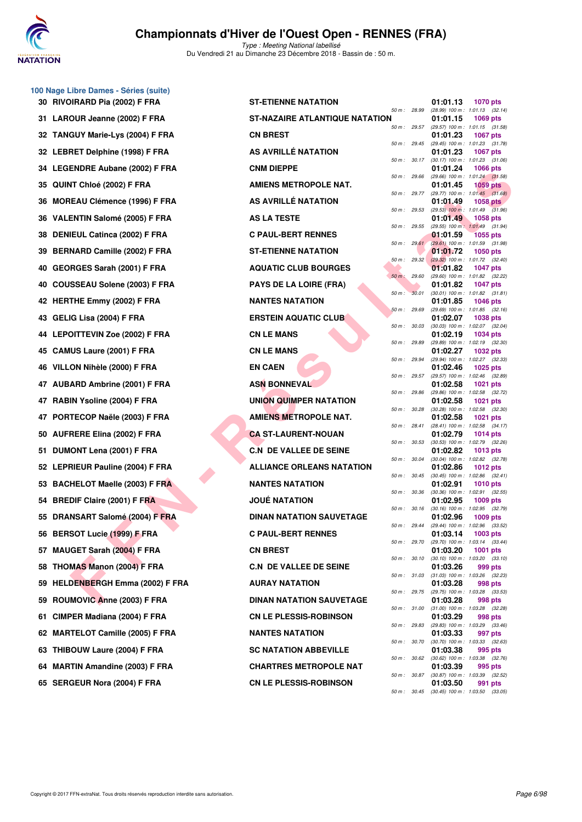

|    | 100 Nage Libre Dames - Séries (suite) |
|----|---------------------------------------|
| 30 | RIVOIRARD Pia (2002) F FRA            |
| 31 | LAROUR Jeanne (2002) F FRA            |
| 32 | TANGUY Marie-Lys (2004) F FRA         |
| 32 | LEBRET Delphine (1998) F FRA          |
| 34 | LEGENDRE Aubane (2002) F FRA          |
| 35 | QUINT Chloé (2002) F FRA              |
| 36 | MOREAU Clémence (1996) F FRA          |
| 36 | VALENTIN Salomé (2005) F FRA          |
| 38 | DENIEUL Catinca (2002) F FRA          |
| 39 | BERNARD Camille (2002) F FRA          |
| 40 | GEORGES Sarah (2001) F FRA            |
| 40 | COUSSEAU Solene (2003) F FRA          |
| 42 | <b>HERTHE Emmy (2002) F FRA</b>       |
| 43 | GELIG Lisa (2004) F FRA               |
| 44 | <b>LEPOITTEVIN Zoe (2002) F FRA</b>   |
| 45 | CAMUS Laure (2001) F FRA              |
| 46 | VILLON Nihèle (2000) F FRA            |
| 47 | <b>AUBARD Ambrine (2001) F FRA</b>    |
| 47 | RABIN Ysoline (2004) F FRA            |
| 47 | PORTECOP Naële (2003) F FRA           |
| 50 | <b>AUFRERE Elina (2002) F FRA</b>     |
| 51 | DUMONT Lena (2001) F FRA              |
| 52 | LEPRIEUR Pauline (2004) F FRA         |
| 53 | <b>BACHELOT Maelle (2003) F FRA</b>   |
| 54 | <b>BREDIF Claire (2001) F FRA</b>     |
| 55 | DRANSART Salomé (2004) F FRA          |
| 56 | <b>BERSOT Lucie (1999) F FRA</b>      |
| 57 | MAUGET Sarah (2004) F FRA             |
| 58 | <b>THOMAS Manon (2004) F FRA</b>      |
| 59 | HELDENBERGH Emma (2002) F FR.         |
| 59 | ROUMOVIC Anne (2003) F FRA            |
| 61 | CIMPER Madiana (2004) F FRA           |
| 62 | <b>MARTELOT Camille (2005) F FRA</b>  |
| 63 | THIBOUW Laure (2004) F FRA            |
| 64 | <b>MARTIN Amandine (2003) F FRA</b>   |
|    | 65 SERGEUR Nora (2004) F FRA          |

| <b>U Naye Libre Danies - Series (Suite)</b> |                                       |              |              |          |                                                         |
|---------------------------------------------|---------------------------------------|--------------|--------------|----------|---------------------------------------------------------|
| 30 RIVOIRARD Pia (2002) F FRA               | <b>ST-ETIENNE NATATION</b>            |              |              | 01:01.13 | <b>1070 pts</b>                                         |
| 31 LAROUR Jeanne (2002) F FRA               | <b>ST-NAZAIRE ATLANTIQUE NATATION</b> | 50 m : 28.99 |              | 01:01.15 | (28.99) 100 m: 1:01.13 (32.14)<br><b>1069 pts</b>       |
| 32 TANGUY Marie-Lys (2004) F FRA            | <b>CN BREST</b>                       | 50 m: 29.57  |              | 01:01.23 | $(29.57)$ 100 m : 1:01.15 $(31.58)$<br><b>1067 pts</b>  |
| 32 LEBRET Delphine (1998) F FRA             | AS AVRILLÉ NATATION                   | 50 m: 29.45  |              | 01:01.23 | (29.45) 100 m: 1:01.23 (31.78)<br><b>1067 pts</b>       |
| 34 LEGENDRE Aubane (2002) F FRA             | <b>CNM DIEPPE</b>                     | 50 m: 30.17  |              | 01:01.24 | $(30.17)$ 100 m : 1:01.23 $(31.06)$<br>1066 pts         |
| 35 QUINT Chloé (2002) F FRA                 | <b>AMIENS METROPOLE NAT.</b>          | 50 m: 29.66  |              | 01:01.45 | $(29.66)$ 100 m : 1:01.24 $(31.58)$<br>$1059$ pts       |
| 36 MOREAU Clémence (1996) F FRA             | AS AVRILLÉ NATATION                   |              | 50 m : 29.77 | 01:01.49 | $(29.77)$ 100 m : 1:01.45 $(31.68)$<br><b>1058 pts</b>  |
| 36 VALENTIN Salomé (2005) F FRA             | <b>AS LA TESTE</b>                    |              | 50 m : 29.53 | 01:01.49 | $(29.53)$ 100 m : 1:01.49 $(31.96)$<br>1058 pts         |
| 38 DENIEUL Catinca (2002) F FRA             | <b>C PAUL-BERT RENNES</b>             | 50 m: 29.55  |              | 01:01.59 | (29.55) 100 m: 1:01.49 (31.94)<br><b>1055 pts</b>       |
| 39 BERNARD Camille (2002) F FRA             | <b>ST-ETIENNE NATATION</b>            | 50 m: 29.61  |              | 01:01.72 | (29.61) 100 m: 1:01.59 (31.98)<br>1050 pts              |
| 40 GEORGES Sarah (2001) F FRA               | <b>AQUATIC CLUB BOURGES</b>           | 50 m: 29.32  |              | 01:01.82 | $(29.32)$ 100 m : 1:01.72 $(32.40)$<br><b>1047 pts</b>  |
| 40 COUSSEAU Solene (2003) F FRA             | <b>PAYS DE LA LOIRE (FRA)</b>         | 50 m: 29.60  |              | 01:01.82 | (29.60) 100 m : 1:01.82 (32.22)                         |
|                                             |                                       | 50 m: 30.01  |              |          | <b>1047 pts</b><br>$(30.01)$ 100 m : 1:01.82 $(31.81)$  |
| 42 HERTHE Emmy (2002) F FRA                 | <b>NANTES NATATION</b>                | 50 m: 29.69  |              | 01:01.85 | <b>1046 pts</b><br>$(29.69)$ 100 m : 1:01.85 $(32.16)$  |
| 43   GELIG Lisa (2004) F FRA                | <b>ERSTEIN AQUATIC CLUB</b>           | 50 m: 30.03  |              | 01:02.07 | 1038 pts<br>$(30.03)$ 100 m : 1:02.07 $(32.04)$         |
| 44 LEPOITTEVIN Zoe (2002) F FRA             | <b>CN LE MANS</b>                     | 50 m: 29.89  |              | 01:02.19 | <b>1034 pts</b><br>$(29.89)$ 100 m : 1:02.19 $(32.30)$  |
| 45 CAMUS Laure (2001) F FRA                 | <b>CN LE MANS</b>                     | 50 m: 29.94  |              | 01:02.27 | <b>1032 pts</b><br>(29.94) 100 m: 1:02.27 (32.33)       |
| 46 VILLON Nihèle (2000) F FRA               | <b>EN CAEN</b>                        | 50 m : 29.57 |              | 01:02.46 | <b>1025 pts</b><br>(29.57) 100 m: 1:02.46 (32.89)       |
| 47 AUBARD Ambrine (2001) F FRA              | <b>ASN BONNEVAL</b>                   | 50 m: 29.86  |              | 01:02.58 | <b>1021 pts</b><br>(29.86) 100 m : 1:02.58 (32.72)      |
| 47 RABIN Ysoline (2004) F FRA               | UNION QUIMPER NATATION                | 50 m : 30.28 |              | 01:02.58 | 1021 pts<br>$(30.28)$ 100 m : 1:02.58 $(32.30)$         |
| 47 PORTECOP Naële (2003) F FRA              | <b>AMIENS METROPOLE NAT.</b>          |              |              | 01:02.58 | 1021 pts                                                |
| 50 AUFRERE Elina (2002) F FRA               | <b>CA ST-LAURENT-NOUAN</b>            | 50 m: 28.41  |              | 01:02.79 | $(28.41)$ 100 m : 1:02.58 $(34.17)$<br><b>1014 pts</b>  |
| 51 DUMONT Lena (2001) F FRA                 | <b>C.N DE VALLEE DE SEINE</b>         | 50 m: 30.53  |              | 01:02.82 | $(30.53)$ 100 m : 1:02.79 $(32.26)$<br>1013 pts         |
| 52 LEPRIEUR Pauline (2004) F FRA            | <b>ALLIANCE ORLEANS NATATION</b>      | 50 m : 30.04 |              | 01:02.86 | (30.04) 100 m: 1:02.82 (32.78)<br><b>1012 pts</b>       |
| 53 BACHELOT Maelle (2003) F FRA             | <b>NANTES NATATION</b>                | 50 m: 30.45  |              | 01:02.91 | $(30.45)$ 100 m : 1:02.86 $(32.41)$<br>1010 pts         |
| 54 BREDIF Claire (2001) F FRA               | <b>JOUÉ NATATION</b>                  | 50 m : 30.36 |              | 01:02.95 | $(30.36)$ 100 m : 1:02.91 $(32.55)$<br>1009 pts         |
| 55 DRANSART Salomé (2004) F FRA             | <b>DINAN NATATION SAUVETAGE</b>       | 50 m : 30.16 |              | 01:02.96 | $(30.16)$ 100 m : 1:02.95 $(32.79)$<br>1009 pts         |
| 56 BERSOT Lucie (1999) F FRA                | <b>C PAUL-BERT RENNES</b>             |              | 50 m : 29.44 | 01:03.14 | (29.44) 100 m : 1:02.96 (33.52)<br>1003 pts             |
| 57 MAUGET Sarah (2004) F FRA                | <b>CN BREST</b>                       | 50 m : 29.70 |              | 01:03.20 | (29.70) 100 m : 1:03.14 (33.44)<br><b>1001 pts</b>      |
| 58 THOMAS Manon (2004) F FRA                | <b>C.N DE VALLEE DE SEINE</b>         | 50 m : 30.10 |              | 01:03.26 | $(30.10)$ 100 m : 1:03.20 $(33.10)$<br>999 pts          |
|                                             |                                       |              | 50 m : 31.03 |          | $(31.03)$ 100 m : 1:03.26 $(32.23)$                     |
| 59 HELDENBERGH Emma (2002) F FRA            | <b>AURAY NATATION</b>                 |              |              | 01:03.28 | 998 pts<br>50 m : 29.75 (29.75) 100 m : 1:03.28 (33.53) |
| 59 ROUMOVIC Anne (2003) F FRA               | <b>DINAN NATATION SAUVETAGE</b>       |              | 50 m : 31.00 | 01:03.28 | 998 pts<br>$(31.00)$ 100 m : 1:03.28 $(32.28)$          |
| 61 CIMPER Madiana (2004) F FRA              | <b>CN LE PLESSIS-ROBINSON</b>         |              | 50 m : 29.83 | 01:03.29 | 998 pts<br>(29.83) 100 m : 1:03.29 (33.46)              |
| 62 MARTELOT Camille (2005) F FRA            | <b>NANTES NATATION</b>                | 50 m : 30.70 |              | 01:03.33 | 997 pts<br>$(30.70)$ 100 m : 1:03.33 $(32.63)$          |
| 63 THIBOUW Laure (2004) F FRA               | <b>SC NATATION ABBEVILLE</b>          | 50 m: 30.62  |              | 01:03.38 | 995 pts<br>$(30.62)$ 100 m : 1:03.38 $(32.76)$          |
| 64   MARTIN Amandine (2003) F FRA           | <b>CHARTRES METROPOLE NAT</b>         | 50 m : 30.87 |              | 01:03.39 | 995 pts<br>$(30.87)$ 100 m : 1:03.39 $(32.52)$          |
| 65   SERGEUR Nora (2004) F FRA              | <b>CN LE PLESSIS-ROBINSON</b>         |              |              | 01:03.50 | 991 pts<br>50 m: 30.45 (30.45) 100 m: 1:03.50 (33.05)   |
|                                             |                                       |              |              |          |                                                         |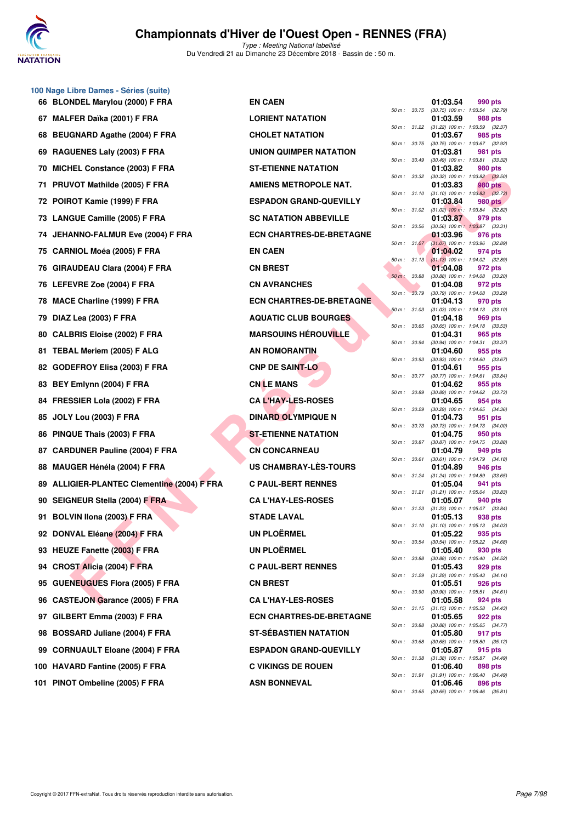

|    | 100 Nage Libre Dames - Séries (suite)    |                                 |              |              |                                                             |                    |         |
|----|------------------------------------------|---------------------------------|--------------|--------------|-------------------------------------------------------------|--------------------|---------|
|    | 66 BLONDEL Marylou (2000) F FRA          | <b>EN CAEN</b>                  |              | 50 m: 30.75  | 01:03.54<br>$(30.75)$ 100 m : 1:03.54 $(32.79)$             | 990 pts            |         |
| 67 | <b>MALFER Daïka (2001) F FRA</b>         | <b>LORIENT NATATION</b>         |              |              | 01:03.59<br>50 m: 31.22 (31.22) 100 m: 1:03.59 (32.37)      | 988 pts            |         |
| 68 | BEUGNARD Agathe (2004) F FRA             | <b>CHOLET NATATION</b>          | 50 m : 30.75 |              | 01:03.67<br>(30.75) 100 m : 1:03.67 (32.92)                 | 985 pts            |         |
|    | 69 RAGUENES Laly (2003) F FRA            | UNION QUIMPER NATATION          |              |              | 01:03.81                                                    | 981 pts            |         |
| 70 | MICHEL Constance (2003) F FRA            | <b>ST-ETIENNE NATATION</b>      | 50 m : 30.49 |              | (30.49) 100 m: 1:03.81 (33.32)<br>01:03.82                  | 980 pts            |         |
| 71 | PRUVOT Mathilde (2005) F FRA             | <b>AMIENS METROPOLE NAT.</b>    | 50 m : 30.32 |              | $(30.32)$ 100 m : 1:03.82 $(33.50)$<br>01:03.83             | 980 pts            |         |
| 72 | POIROT Kamie (1999) F FRA                | <b>ESPADON GRAND-QUEVILLY</b>   |              | 50 m: 31.10  | $(31.10)$ 100 m : 1:03.83 $(32.73)$<br>01:03.84             | <b>980 pts</b>     |         |
|    | 73 LANGUE Camille (2005) F FRA           | <b>SC NATATION ABBEVILLE</b>    |              | 50 m : 31.02 | $(31.02)$ 100 m : 1:03.84 $(32.82)$<br>01:03.87             | 979 pts            |         |
| 74 | JEHANNO-FALMUR Eve (2004) F FRA          | <b>ECN CHARTRES-DE-BRETAGNE</b> | 50 m : 30.56 |              | $(30.56)$ 100 m : 1:03.87 $(33.31)$<br>01:03.96             | 976 pts            |         |
| 75 | <b>CARNIOL Moéa (2005) F FRA</b>         | <b>EN CAEN</b>                  |              | 50 m: 31.07  | $(31.07)$ 100 m : 1:03.96 $(32.89)$<br>01:04.02             | 974 pts            |         |
| 76 | <b>GIRAUDEAU Clara (2004) F FRA</b>      | <b>CN BREST</b>                 | 50 m: 31.13  |              | $(31.13)$ 100 m : 1:04.02 $(32.89)$<br>01:04.08             | 972 pts            |         |
|    | 76 LEFEVRE Zoe (2004) F FRA              | <b>CN AVRANCHES</b>             | 50 m : 30.88 |              | (30.88) 100 m: 1:04.08 (33.20)<br>01:04.08                  | 972 pts            |         |
| 78 | MACE Charline (1999) F FRA               | <b>ECN CHARTRES-DE-BRETAGNE</b> | 50 m : 30.79 |              | $(30.79)$ 100 m : 1:04.08 $(33.29)$<br>01:04.13             | 970 pts            |         |
| 79 | DIAZ Lea (2003) F FRA                    | <b>AQUATIC CLUB BOURGES</b>     | 50 m: 31.03  |              | $(31.03)$ 100 m : 1:04.13 $(33.10)$<br>01:04.18             | 969 pts            |         |
| 80 | <b>CALBRIS Eloise (2002) F FRA</b>       | <b>MARSOUINS HÉROUVILLE</b>     |              | 50 m : 30.65 | $(30.65)$ 100 m : 1:04.18 $(33.53)$<br>01:04.31             | 965 pts            |         |
|    | 81 TEBAL Meriem (2005) F ALG             | AN ROMORANTIN                   | 50 m : 30.94 |              | $(30.94)$ 100 m : 1:04.31 $(33.37)$<br>01:04.60             | 955 pts            |         |
|    | 82 GODEFROY Elisa (2003) F FRA           | <b>CNP DE SAINT-LO</b>          | 50 m: 30.93  |              | $(30.93)$ 100 m : 1:04.60 $(33.67)$<br>01:04.61             | 955 pts            |         |
| 83 | BEY Emlynn (2004) F FRA                  | <b>CN LE MANS</b>               | 50 m : 30.77 |              | $(30.77)$ 100 m : 1:04.61 $(33.84)$<br>01:04.62             | 955 pts            |         |
| 84 | FRESSIER Lola (2002) F FRA               | <b>CA L'HAY-LES-ROSES</b>       | 50 m : 30.89 |              | $(30.89)$ 100 m : 1:04.62 $(33.73)$<br>01:04.65             | 954 pts            |         |
| 85 | <b>JOLY Lou (2003) F FRA</b>             | <b>DINARD OLYMPIQUE N</b>       | 50 m : 30.29 |              | (30.29) 100 m: 1:04.65 (34.36)<br>01:04.73                  | 951 pts            |         |
| 86 | PINQUE Thais (2003) F FRA                | <b>ST-ETIENNE NATATION</b>      | 50 m : 30.73 |              | $(30.73)$ 100 m : 1:04.73 $(34.00)$<br>01:04.75             | 950 pts            |         |
| 87 | <b>CARDUNER Pauline (2004) F FRA</b>     | <b>CN CONCARNEAU</b>            |              | 50 m : 30.87 | $(30.87)$ 100 m : 1:04.75 $(33.88)$<br>01:04.79             | 949 pts            |         |
| 88 | MAUGER Hénéla (2004) F FRA               | US CHAMBRAY-LES-TOURS           | 50 m: 30.61  |              | $(30.61)$ 100 m : 1:04.79 $(34.18)$<br>01:04.89             | 946 pts            |         |
| 89 | ALLIGIER-PLANTEC Clementine (2004) F FRA | <b>C PAUL-BERT RENNES</b>       | 50 m: 31.24  |              | $(31.24)$ 100 m : 1:04.89 $(33.65)$<br>01:05.04             | 941 pts            |         |
|    | 90 SEIGNEUR Stella (2004) F FRA          | <b>CA L'HAY-LES-ROSES</b>       |              | 50 m : 31.21 | $(31.21)$ 100 m : 1:05.04 $(33.83)$<br>01:05.07             | 940 pts            |         |
|    | 91 BOLVIN Ilona (2003) F FRA             | <b>STADE LAVAL</b>              |              | 50 m : 31.23 | $(31.23)$ 100 m : 1:05.07 $(33.84)$<br>01:05.13             | 938 pts            |         |
|    | 92 DONVAL Eléane (2004) F FRA            | <b>UN PLOËRMEL</b>              |              |              | 50 m: 31.10 (31.10) 100 m: 1:05.13 (34.03)<br>01:05.22      | 935 pts            |         |
|    | 93 HEUZE Fanette (2003) F FRA            | <b>UN PLOËRMEL</b>              | 50 m: 30.54  |              | $(30.54)$ 100 m : 1:05.22 $(34.68)$<br>01:05.40             | 930 pts            |         |
|    | 94 CROST Alicia (2004) F FRA             | <b>C PAUL-BERT RENNES</b>       | 50 m : 30.88 |              | (30.88) 100 m: 1:05.40 (34.52)                              |                    |         |
|    | <b>GUENEUGUES Flora (2005) F FRA</b>     | <b>CN BREST</b>                 | 50 m : 31.29 |              | 01:05.43<br>$(31.29)$ 100 m : 1:05.43 $(34.14)$<br>01:05.51 | 929 pts<br>926 pts |         |
| 95 |                                          | <b>CA L'HAY-LES-ROSES</b>       | 50 m : 30.90 |              | $(30.90)$ 100 m : 1:05.51 $(34.61)$                         |                    |         |
| 96 | <b>CASTEJON Garance (2005) F FRA</b>     |                                 |              | 50 m : 31.15 | 01:05.58<br>$(31.15)$ 100 m : 1:05.58 $(34.43)$             | 924 pts            |         |
| 97 | GILBERT Emma (2003) F FRA                | <b>ECN CHARTRES-DE-BRETAGNE</b> | 50 m : 30.88 |              | 01:05.65<br>$(30.88)$ 100 m : 1:05.65 $(34.77)$             | <b>922 pts</b>     |         |
| 98 | BOSSARD Juliane (2004) F FRA             | <b>ST-SÉBASTIEN NATATION</b>    |              | 50 m : 30.68 | 01:05.80<br>$(30.68)$ 100 m : 1:05.80 $(35.12)$             | 917 pts            |         |
| 99 | <b>CORNUAULT Eloane (2004) F FRA</b>     | <b>ESPADON GRAND-QUEVILLY</b>   | 50 m : 31.38 |              | 01:05.87<br>(31.38) 100 m: 1:05.87 (34.49)                  | 915 pts            |         |
|    | 100 HAVARD Fantine (2005) F FRA          | <b>C VIKINGS DE ROUEN</b>       | 50 m : 31.91 |              | 01:06.40<br>(31.91) 100 m : 1:06.40                         | 898 pts            | (34.49) |
|    | 101 PINOT Ombeline (2005) F FRA          | <b>ASN BONNEVAL</b>             |              |              | 01:06.46                                                    | 896 pts            |         |

|          |       | 01:03.54                      | 990 pts                              |
|----------|-------|-------------------------------|--------------------------------------|
| 50 m :   | 30.75 | $(30.75)$ 100 m :             | 1:03.54<br>(32.79)                   |
|          |       | 01:03.59                      | 988 pts                              |
| $50 m$ : | 31.22 | $(31.22)$ 100 m :<br>01:03.67 | 1:03.59<br>(32.37)<br>985            |
| $50 m$ : | 30.75 | $(30.75)$ 100 m :             | pts<br>1:03.67<br>(32.92)            |
|          |       | 01:03.81                      | 981<br>pts                           |
| $50 m$ : | 30.49 | $(30.49)$ 100 m :             | 1:03.81<br>(33.32)                   |
|          |       | 01:03.82                      | <b>980 pts</b>                       |
| $50 m$ : | 30.32 | $(30.32)$ 100 m :             | 1:03.82<br>(33.50)                   |
|          |       | 01:03.83                      | <b>980 pts</b>                       |
| $50 m$ : | 31.10 | (31.10) 100 m :               | 1:03.83<br>(32.73)                   |
|          |       | 01:03.84                      | 980 pts                              |
| 50 m :   | 31.02 | $(31.02)$ 100 m :             | 1:03.84<br>(32.82)                   |
| $50 m$ : | 30.56 | 01:03.87<br>$(30.56)$ 100 m : | 979 pts<br>1:03.87<br>(33.31)        |
|          |       | 01:03.96                      | 976 pts                              |
| $50 m$ : | 31.07 | $(31.07) 100 m$ :             | 1:03.96<br>(32.89)                   |
|          |       | 01:04.02                      | 974 pts                              |
| $50 m$ : | 31.13 | $(31.13) 100 m$ :             | 1:04.02<br>(32.89)                   |
|          |       | 01:04.08                      | 972 pts                              |
| $50 m$ : | 30.88 | $(30.88)$ 100 m :             | 1:04.08<br>(33.20)                   |
|          |       | 01:04.08                      | 972 pts                              |
| $50 m$ : | 30.79 | $(30.79)$ 100 m :             | 1:04.08<br>(33.29)                   |
|          |       | 01:04.13                      | 970 pts                              |
| $50 m$ : | 31.03 | $(31.03) 100 m$ :             | 1:04.13<br>(33.10)                   |
| $50 m$ : | 30.65 | 01:04.18<br>$(30.65)$ 100 m : | <b>969 pts</b><br>1:04.18<br>(33.53) |
|          |       | 01:04.31                      | 965 pts                              |
| $50 m$ : | 30.94 | $(30.94)$ 100 m :             | 1:04.31<br>(33.37)                   |
|          |       | 01:04.60                      | 955 pts                              |
| 50 m :   | 30.93 | $(30.93)$ 100 m :             | 1:04.60<br>(33.67)                   |
|          |       | 01:04.61                      | 955 pts                              |
| $50 m$ : | 30.77 | $(30.77)$ 100 m :             | (33.84)<br>1:04.61                   |
|          |       | 01:04.62                      | 955 pts                              |
| $50 m$ : | 30.89 | $(30.89)$ 100 m :             | 1:04.62<br>(33.73)                   |
|          |       | 01:04.65                      | 954 pts                              |
| $50 m$ : | 30.29 | $(30.29)$ 100 m :<br>01:04.73 | 1:04.65<br>(34.36)                   |
| $50 m$ : | 30.73 | $(30.73)$ 100 m :             | 951<br>pts<br>1:04.73<br>(34.00)     |
|          |       | 01:04.75                      | 950 pts                              |
| $50 m$ : | 30.87 | $(30.87)$ 100 m :             | 1:04.75<br>(33.88)                   |
|          |       | 01:04.79                      | 949<br>pts                           |
| 50 m :   | 30.61 | $(30.61)$ 100 m :             | 1:04.79<br>(34.18)                   |
|          |       | 01:04.89                      | 946 pts                              |
| $50 m$ : | 31.24 | $(31.24) 100 m$ :             | 1:04.89<br>(33.65)                   |
| $50 m$ : | 31.21 | 01.05.04                      | 941<br>pts<br>1:05.04                |
|          |       | $(31.21)$ 100 m :<br>01:05.07 | (33.83)<br>940 pts                   |
| 50 m :   | 31.23 | $(31.23)$ 100 m :             | 1:05.07<br>(33.84)                   |
|          |       | 01:05.13                      | 938 pts                              |
| $50 m$ : | 31.10 | $(31.10) 100 m$ :             | 1:05.13<br>(34.03)                   |
|          |       | 01:05.22                      | 935 pts                              |
| $50 m$ : | 30.54 | $(30.54)$ 100 m :             | 1:05.22<br>(34.68)                   |
|          |       | 01:05.40                      | 930 pts                              |
| $50 m$ : | 30.88 | $(30.88) 100 m$ :             | 1:05.40<br>(34.52)                   |
| $50 m$ : | 31.29 | 01:05.43                      | 929 pts<br>1:05.43<br>(34.14)        |
|          |       | $(31.29)$ 100 m :<br>01:05.51 | 926 pts                              |
| $50 m$ : | 30.90 | $(30.90)$ 100 m :             | 1:05.51<br>(34.61)                   |
|          |       | 01:05.58                      | 924 pts                              |
| $50 m$ : | 31.15 | $(31.15) 100 m$ :             | 1:05.58<br>(34.43)                   |
|          |       | 01:05.65                      | 922 pts                              |
| $50 m$ : | 30.88 | (30.88) 100 m :               | 1:05.65<br>(34.77)                   |
|          |       | 01:05.80                      | 917 pts                              |
| $50 m$ : | 30.68 | (30.68) 100 m :               | 1:05.80<br>(35.12)                   |
|          |       | 01:05.87                      | 915 pts                              |
| $50 m$ : | 31.38 | $(31.38) 100 m$ :<br>01:06.40 | 1:05.87<br>(34.49)<br>898 pts        |
| $50 m$ : | 31.91 | $(31.91)$ 100 m :             | 1:06.40<br>(34.49)                   |
|          |       | 01:06.46                      | 896 pts                              |
| $50 m$ : | 30.65 | $(30.65)$ 100 m :             | 1:06.46<br>(35.81)                   |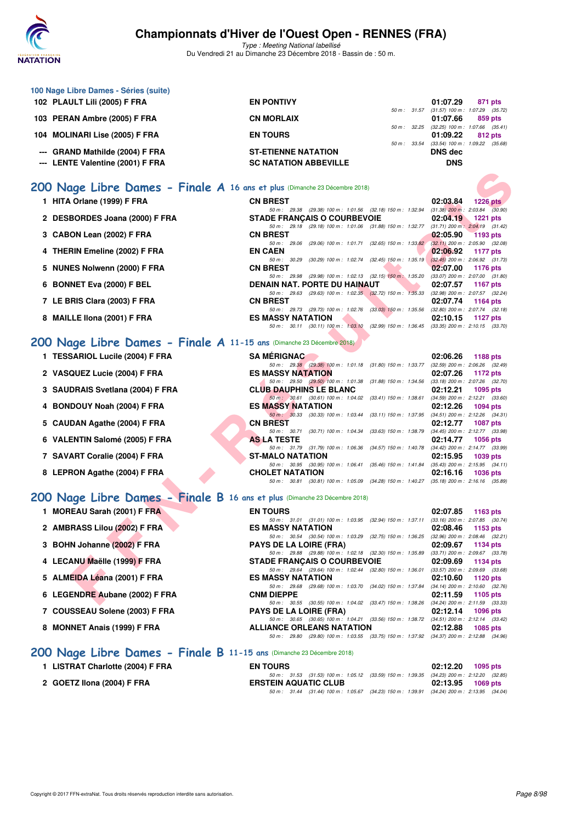

| 100 Nage Libre Dames - Séries (suite)                                                                     |                                                                                                                                  |                                                                      |
|-----------------------------------------------------------------------------------------------------------|----------------------------------------------------------------------------------------------------------------------------------|----------------------------------------------------------------------|
| 102 PLAULT Lili (2005) F FRA                                                                              | <b>EN PONTIVY</b><br>50 m : 31.57                                                                                                | 01:07.29<br>871 pts<br>$(31.57)$ 100 m : 1:07.29 $(35.72)$           |
| 103 PERAN Ambre (2005) F FRA                                                                              | <b>CN MORLAIX</b><br>50 m : 32.25                                                                                                | 01:07.66<br>859 pts<br>$(32.25)$ 100 m : 1:07.66 $(35.41)$           |
| 104 MOLINARI Lise (2005) F FRA                                                                            | <b>EN TOURS</b><br>50 m : 33.54                                                                                                  | 01:09.22<br>812 pts<br>$(33.54)$ 100 m : 1:09.22 $(35.68)$           |
| --- GRAND Mathilde (2004) F FRA                                                                           | <b>ST-ETIENNE NATATION</b>                                                                                                       | <b>DNS</b> dec                                                       |
| --- LENTE Valentine (2001) F FRA                                                                          | <b>SC NATATION ABBEVILLE</b>                                                                                                     | <b>DNS</b>                                                           |
| 200 Nage Libre Dames - Finale A 16 ans et plus (Dimanche 23 Décembre 2018)                                |                                                                                                                                  |                                                                      |
| 1 HITA Orlane (1999) F FRA                                                                                | <b>CN BREST</b>                                                                                                                  | 02:03.84<br><b>1226 pts</b>                                          |
| 2 DESBORDES Joana (2000) F FRA                                                                            | 50 m : 29.38 (29.38) 100 m : 1:01.56 (32.18) 150 m : 1:32.94<br><b>STADE FRANÇAIS O COURBEVOIE</b>                               | $(31.38)$ 200 m : 2:03.84 $(30.90)$<br>02:04.19<br><b>1221 pts</b>   |
| 3 CABON Lean (2002) F FRA                                                                                 | 50 m: 29.18 (29.18) 100 m: 1:01.06 (31.88) 150 m: 1:32.77<br><b>CN BREST</b>                                                     | $(31.71)$ 200 m : 2:04.19 $(31.42)$<br>02:05.90<br>1193 pts          |
|                                                                                                           | 50 m : 29.06<br>(29.06) 100 m : 1:01.71 (32.65) 150 m : 1:33.82<br><b>EN CAEN</b>                                                | $(32.11)$ 200 m : 2:05.90 $(32.08)$                                  |
| 4 THERIN Emeline (2002) F FRA                                                                             | 50 m: 30.29<br>(30.29) 100 m: 1:02.74 (32.45) 150 m: 1:35.19                                                                     | 02:06.92<br>1177 pts<br>$(32.45)$ 200 m : 2:06.92 $(31.73)$          |
| 5 NUNES Nolwenn (2000) F FRA                                                                              | <b>CN BREST</b><br>50 m : 29.98 (29.98) 100 m : 1:02.13 (32.15) 150 m : 1:35.20                                                  | 02:07.00<br>1176 pts<br>$(33.07)$ 200 m : 2:07.00 $(31.80)$          |
| 6 BONNET Eva (2000) F BEL                                                                                 | DENAIN NAT. PORTE DU HAINAUT<br>50 m : 29.63 (29.63) 100 m : 1:02.35 (32.72) 150 m : 1:35.33                                     | 02:07.57<br><b>1167 pts</b><br>(32.98) 200 m : 2:07.57 (32.24)       |
| 7 LE BRIS Clara (2003) F FRA                                                                              | <b>CN BREST</b><br>50 m: 29.73 (29.73) 100 m: 1:02.76 (33.03) 150 m: 1:35.56                                                     | 02:07.74<br><b>1164 pts</b><br>$(32.80)$ 200 m : $2.07.74$ $(32.18)$ |
| 8 MAILLE IIona (2001) F FRA                                                                               | <b>ES MASSY NATATION</b><br>50 m: 30.11 (30.11) 100 m: 1:03.10 (32.99) 150 m: 1:36.45 (33.35) 200 m: 2:10.15 (33.70)             | 02:10.15<br>1127 pts                                                 |
| 200 Nage Libre Dames - Finale A 11-15 ans (Dimanche 23 Décembre 2018)                                     |                                                                                                                                  |                                                                      |
| 1 TESSARIOL Lucile (2004) F FRA                                                                           | <b>SA MERIGNAC</b>                                                                                                               | 02:06.26<br>1188 pts                                                 |
| 2 VASQUEZ Lucie (2004) F FRA                                                                              | 50 m: 29.38 (29.38) 100 m: 1:01.18 (31.80) 150 m: 1:33.77<br><b>ES MASSY NATATION</b>                                            | $(32.59)$ 200 m : 2:06.26 $(32.49)$<br>02:07.26<br>1172 pts          |
|                                                                                                           | 50 m : 29.50 (29.50) 100 m : 1:01.38 (31.88) 150 m : 1:34.56                                                                     | $(33.18)$ 200 m : 2:07.26 $(32.70)$                                  |
| 3 SAUDRAIS Svetlana (2004) F FRA                                                                          | <b>CLUB DAUPHINS LE BLANC</b><br>50 m : 30.61 (30.61) 100 m : 1:04.02 (33.41) 150 m : 1:38.61                                    | 02:12.21<br>1095 pts<br>$(34.59)$ 200 m : 2:12.21 $(33.60)$          |
| 4 BONDOUY Noah (2004) F FRA                                                                               | <b>ES MASSY NATATION</b><br>50 m : 30.33 (30.33) 100 m : 1:03.44 (33.11) 150 m : 1:37.95                                         | 02:12.26<br>1094 pts<br>$(34.51)$ 200 m : 2:12.26 $(34.31)$          |
| 5 CAUDAN Agathe (2004) F FRA                                                                              | <b>CN BREST</b><br>50 m : 30.71 (30.71) 100 m : 1:04.34 (33.63) 150 m : 1:38.79                                                  | 02:12.77<br><b>1087 pts</b><br>$(34.45)$ 200 m : 2:12.77 $(33.98)$   |
| 6 VALENTIN Salomé (2005) F FRA                                                                            | <b>AS LA TESTE</b><br>50 m: 31.79 (31.79) 100 m: 1:06.36<br>$(34.57)$ 150 m : 1:40.78                                            | 02:14.77<br><b>1056 pts</b><br>(34.42) 200 m : 2:14.77 (33.99)       |
| 7 SAVART Coralie (2004) F FRA                                                                             | <b>ST-MALO NATATION</b><br>50 m : 30.95 (30.95) 100 m : 1:06.41 (35.46) 150 m : 1:41.84                                          | 02:15.95<br>1039 pts<br>$(35.43)$ 200 m : 2:15.95 $(34.11)$          |
| 8 LEPRON Agathe (2004) F FRA                                                                              | <b>CHOLET NATATION</b>                                                                                                           | 02:16.16<br><b>1036 pts</b>                                          |
|                                                                                                           | 50 m : 30.81 (30.81) 100 m : 1:05.09 (34.28) 150 m : 1:40.27                                                                     | $(35.18)$ 200 m : 2:16.16 $(35.89)$                                  |
| 200 Nage Libre Dames - Finale B 16 ans et plus (Dimanche 23 Décembre 2018)<br>1 MOREAU Sarah (2001) F FRA | <b>EN TOURS</b>                                                                                                                  | 02:07.85                                                             |
|                                                                                                           | 50 m: 31.01 (31.01) 100 m: 1:03.95 (32.94) 150 m: 1:37.11 (33.16) 200 m: 2:07.85 (30.74)                                         | 1163 pts                                                             |
| 2 AMBRASS Lilou (2002) F FRA                                                                              | <b>ES MASSY NATATION</b><br>50 m : 30.54 (30.54) 100 m : 1:03.29 (32.75) 150 m : 1:36.25                                         | 02:08.46<br>1153 pts<br>$(32.96)$ 200 m : 2:08.46 $(32.21)$          |
| 3 BOHN Johanne (2002) F FRA                                                                               | <b>PAYS DE LA LOIRE (FRA)</b><br>50 m : 29.88 (29.88) 100 m : 1:02.18 (32.30) 150 m : 1:35.89                                    | 02:09.67<br><b>1134 pts</b><br>$(33.71)$ 200 m : 2:09.67 $(33.78)$   |
| 4 LECANU Maëlle (1999) F FRA                                                                              | <b>STADE FRANÇAIS O COURBEVOIE</b><br>50 m : 29.64 (29.64) 100 m : 1:02.44 (32.80) 150 m : 1:36.01                               | 02:09.69<br>1134 pts<br>$(33.57)$ 200 m : 2:09.69 $(33.68)$          |
| 5 ALMEIDA Léana (2001) F FRA                                                                              | <b>ES MASSY NATATION</b><br>50 m : 29.68 (29.68) 100 m : 1:03.70 (34.02) 150 m : 1:37.84                                         | 02:10.60<br><b>1120 pts</b><br>$(34.14)$ 200 m : 2:10.60 $(32.76)$   |
| 6 LEGENDRE Aubane (2002) F FRA                                                                            | <b>CNM DIEPPE</b>                                                                                                                | 02:11.59<br>1105 pts                                                 |
| 7 COUSSEAU Solene (2003) F FRA                                                                            | 50 m: 30.55 (30.55) 100 m: 1:04.02 (33.47) 150 m: 1:38.26 (34.24) 200 m: 2:11.59 (33.33)<br><b>PAYS DE LA LOIRE (FRA)</b>        | 02:12.14<br>1096 pts                                                 |
| 8 MONNET Anais (1999) F FRA                                                                               | 50 m : 30.65 (30.65) 100 m : 1:04.21 (33.56) 150 m : 1:38.72 (34.51) 200 m : 2:12.14 (33.42)<br><b>ALLIANCE ORLEANS NATATION</b> | 02:12.88<br>1085 pts                                                 |
|                                                                                                           | 50 m: 29.80 (29.80) 100 m: 1:03.55 (33.75) 150 m: 1:37.92 (34.37) 200 m: 2:12.88 (34.96)                                         |                                                                      |
| 200 Nage Libre Dames - Finale B 11-15 ans (Dimanche 23 Décembre 2018)                                     |                                                                                                                                  |                                                                      |
| 1 LISTRAT Charlotte (2004) F FRA                                                                          | <b>EN TOURS</b><br>50 m: 31.53 (31.53) 100 m: 1:05.12 (33.59) 150 m: 1:39.35                                                     | 02:12.20<br>1095 pts<br>$(34.23)$ 200 m : 2:12.20 $(32.85)$          |
| 2 GOETZ Ilona (2004) F FRA                                                                                | <b>ERSTEIN AQUATIC CLUB</b><br>50 m : 31.44 (31.44) 100 m : 1:05.67 (34.23) 150 m : 1:39.91 (34.24) 200 m : 2:13.95 (34.04)      | 02:13.95<br>1069 pts                                                 |
|                                                                                                           |                                                                                                                                  |                                                                      |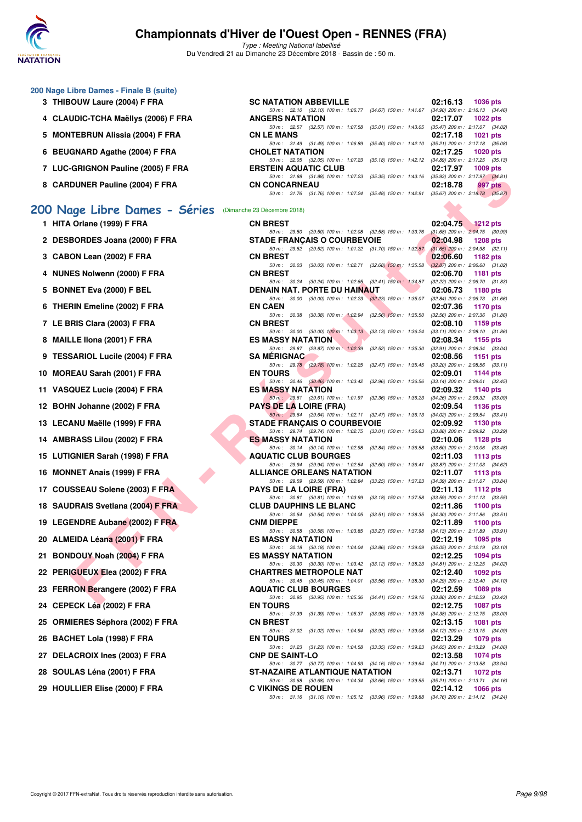

Type : Meeting National labellisé Du Vendredi 21 au Dimanche 23 Décembre 2018 - Bassin de : 50 m.

|  |  |  |  | 200 Nage Libre Dames - Finale B (suite) |  |  |
|--|--|--|--|-----------------------------------------|--|--|
|--|--|--|--|-----------------------------------------|--|--|

- **3 THIBOUW Laure (2004) F FRA**
- **4 CLAUDIC-TCHA Maëllys (2006) F FRA**
- **5 MONTEBRUN Alissia (2004) F FRA**
- **6 BEUGNARD Agathe (2004) F FRA**
- **7 LUC-GRIGNON Pauline (2005) F FRA**
- **8 CARDUNER Pauline (2004) F FRA**

### **[200 Nage Libre Dames - Séries](http://www.ffnatation.fr/webffn/resultats.php?idact=nat&go=epr&idcpt=55947&idepr=3)** (Dimanche 23 Décembre 2018)

| 1 HITA Orlane (1999) F FRA    |
|-------------------------------|
| 2 DESBORDES Joana (2000) F F  |
| 3 CABON Lean (2002) F FRA     |
| 4 NUNES Nolwenn (2000) F FRA  |
| 5 BONNET Eva (2000) F BEL     |
| 6 THERIN Emeline (2002) F FRA |

- 
- **7 LE BRIS Clara (2003) F FRA CN BREST 02:08.10 1159 pts**
- **8 MAILLE IIona (2001) F FRA**
- **9 TESSARIOL Lucile (2004) F FRA**
- **10 MOREAU Sarah (2001) F FRA**
- 11 VASQUEZ Lucie (2004) F FRA
- **12 BOHN Johanne (2002) F FRA**
- 13 LECANU Maëlle (1999) F FRA
- 14 AMBRASS Lilou (2002) F FRA
- **15 LUTIGNIER Sarah (1998) F FRA**
- **16 MONNET Anais (1999) F FRA**
- **17 COUSSEAU Solene (2003) F FRA**
- **18 SAUDRAIS Svetlana (2004) F FRA**
- **19 LEGENDRE Aubane (2002) F FRA**
- 20 ALMEIDA Léana (2001) F FRA
- **21 BONDOUY Noah (2004) F FRA**
- 22 PERIGUEUX Elea (2002) F FRA
- 23 FERRON Berangere (2002) F FRA
- **24 CEPECK Léa (2002) F FRA**
- 25 ORMIERES Séphora (2002) F FRA
- **26 BACHET Lola (1998) F FRA**
- 27 DELACROIX Ines (2003) F FRA
- 28 SOULAS Léna (2001) **F FRA**
- **29 HOULLIER Elise (2000) F FRA**

| <b>SC NATATION ABBEVILLE</b>                                                            |  | 02:16.13 1036 pts               |
|-----------------------------------------------------------------------------------------|--|---------------------------------|
| 50 m: 32.10 (32.10) 100 m: 1:06.77 (34.67) 150 m: 1:41.67 (34.90) 200 m: 2:16.13 (34.46 |  |                                 |
| <b>ANGERS NATATION</b>                                                                  |  | 02:17.07 1022 pts               |
| 50 m: 32.57 (32.57) 100 m: 1:07.58 (35.01) 150 m: 1:43.05 (35.47) 200 m: 2:17.07 (34.02 |  |                                 |
| <b>CN LE MANS</b>                                                                       |  | 02:17.18 1021 pts               |
| 50 m: 31.49 (31.49) 100 m: 1:06.89 (35.40) 150 m: 1:42.10 (35.21) 200 m: 2:17.18 (35.08 |  |                                 |
| <b>CHOLET NATATION</b>                                                                  |  | 02:17.25 1020 pts               |
| 50 m: 32.05 (32.05) 100 m: 1:07.23 (35.18) 150 m: 1:42.12 (34.89) 200 m: 2:17.25 (35.13 |  |                                 |
| <b>ERSTEIN AQUATIC CLUB</b>                                                             |  | 02:17.97 1009 pts               |
| 50 m: 31.88 (31.88) 100 m: 1:07.23 (35.35) 150 m: 1:43.16                               |  | (35.93) 200 m : 2:17.97 (34.81) |
| <b>CN CONCARNEAU</b>                                                                    |  | $02:18.78$ 997 pts              |
| 50 m: 31.76 (31.76) 100 m: 1:07.24 (35.48) 150 m: 1:42.91 (35.67) 200 m: 2:18.78 (35.87 |  |                                 |
|                                                                                         |  |                                 |

| $\overline{ }$ LOC-GNIGNON Fauline (2003) F FRA          | <b>ENSIEIN AWUATIU ULUD</b>                                                                                                    |          | UL.11.31 100305   |
|----------------------------------------------------------|--------------------------------------------------------------------------------------------------------------------------------|----------|-------------------|
| 8   CARDUNER Pauline (2004) F FRA                        | 50 m: 31.88 (31.88) 100 m: 1:07.23 (35.35) 150 m: 1:43.16 (35.93) 200 m: 2:17.97 (34.81)<br><b>CN CONCARNEAU</b>               | 02:18.78 | 997 pts           |
|                                                          | 50 m: 31.76 (31.76) 100 m: 1:07.24 (35.48) 150 m: 1:42.91 (35.67) 200 m: 2:18.78 (35.87)                                       |          |                   |
| 10 Nage Libre Dames - Séries (Dimanche 23 Décembre 2018) |                                                                                                                                |          |                   |
| 1 HITA Orlane (1999) F FRA                               | <b>CN BREST</b>                                                                                                                | 02:04.75 | $\sim$ 1212 pts   |
|                                                          | 50 m: 29.50 (29.50) 100 m: 1:02.08 (32.58) 150 m: 1:33.76 (31.68) 200 m: 2:04.75 (30.99)                                       |          |                   |
| 2 DESBORDES Joana (2000) F FRA                           | <b>STADE FRANÇAIS O COURBEVOIE</b>                                                                                             | 02:04.98 | <b>1208 pts</b>   |
| 3 CABON Lean (2002) F FRA                                | 50 m: 29.52 (29.52) 100 m: 1:01.22 (31.70) 150 m: 1:32.87 (31.65) 200 m: 2:04.98 (32.11)<br><b>CN BREST</b>                    | 02:06.60 | 1182 pts          |
|                                                          | 50 m: 30.03 (30.03) 100 m: 1:02.71 (32.68) 150 m: 1:35.58 (32.87) 200 m: 2:06.60 (31.02)                                       |          |                   |
| 4 NUNES Nolwenn (2000) F FRA                             | <b>CN BREST</b><br>50 m: 30.24 (30.24) 100 m: 1:02.65 (32.41) 150 m: 1:34.87 (32.22) 200 m: 2:06.70 (31.83)                    | 02:06.70 | 1181 pts          |
| 5 BONNET Eva (2000) F BEL                                | <b>DENAIN NAT. PORTE DU HAINAUT</b><br><b>Contract</b>                                                                         | 02:06.73 | 1180 pts          |
| 6 THERIN Emeline (2002) F FRA                            | 50 m: 30.00 (30.00) 100 m: 1:02.23 (32.23) 150 m: 1:35.07 (32.84) 200 m: 2:06.73 (31.66)<br><b>EN CAEN</b>                     | 02:07.36 | 1170 pts          |
|                                                          | 50 m: 30.38 (30.38) 100 m: 1:02.94 (32.56) 150 m: 1:35.50 (32.56) 200 m: 2:07.36 (31.86)                                       |          |                   |
| 7 LE BRIS Clara (2003) F FRA                             | <b>CN BREST</b><br>50 m: 30.00 (30.00) 100 m: 1:03.13 (33.13) 150 m: 1:36.24 (33.11) 200 m: 2:08.10 (31.86)                    | 02:08.10 | 1159 pts          |
| 8 MAILLE IIona (2001) F FRA                              | <b>ES MASSY NATATION</b>                                                                                                       | 02:08.34 | 1155 pts          |
|                                                          | 50 m: 29.87 (29.87) 100 m: 1:02.39 (32.52) 150 m: 1:35.30 (32.91) 200 m: 2:08.34 (33.04)                                       |          |                   |
| 9   TESSARIOL Lucile (2004) F FRA                        | <b>SA MERIGNAC</b><br>50 m: 29.78 (29.78) 100 m: 1:02.25 (32.47) 150 m: 1:35.45 (33.20) 200 m: 2:08.56 (33.11)                 | 02:08.56 | 1151 pts          |
| 0 MOREAU Sarah (2001) F FRA                              | <b>EN TOURS</b>                                                                                                                | 02:09.01 | 1144 pts          |
|                                                          | 50 m: 30.46 (30.46) 100 m: 1:03.42 (32.96) 150 m: 1:36.56 (33.14) 200 m: 2:09.01 (32.45)                                       | 02:09.32 |                   |
| 1 VASQUEZ Lucie (2004) F FRA                             | <b>ES MASSY NATATION</b><br>50 m: 29.61 (29.61) 100 m: 1:01.97 (32.36) 150 m: 1:36.23 (34.26) 200 m: 2:09.32 (33.09)           |          | 1140 pts          |
| 2 BOHN Johanne (2002) F FRA                              | <b>PAYS DE LA LOIRE (FRA)</b>                                                                                                  | 02:09.54 | 1136 pts          |
| 3   LECANU Maëlle (1999) F FRA                           | 50 m: 29.64 (29.64) 100 m: 1:02.11 (32.47) 150 m: 1:36.13 (34.02) 200 m: 2:09.54 (33.41)<br><b>STADE FRANÇAIS O COURBEVOIE</b> | 02:09.92 | 1130 pts          |
|                                                          | 50 m: 29.74 (29.74) 100 m: 1:02.75 (33.01) 150 m: 1:36.63 (33.88) 200 m: 2:09.92 (33.29)                                       |          |                   |
| 4 AMBRASS Lilou (2002) F FRA                             | <b>ES MASSY NATATION</b><br>50 m: 30.14 (30.14) 100 m: 1:02.98 (32.84) 150 m: 1:36.58 (33.60) 200 m: 2:10.06 (33.48)           | 02:10.06 | 1128 pts          |
| 5 LUTIGNIER Sarah (1998) F FRA                           | <b>AQUATIC CLUB BOURGES</b>                                                                                                    | 02:11.03 | 1113 pts          |
|                                                          | 50 m: 29.94 (29.94) 100 m: 1:02.54 (32.60) 150 m: 1:36.41 (33.87) 200 m: 2:11.03 (34.62)                                       |          |                   |
| 6 MONNET Anais (1999) F FRA                              | <b>ALLIANCE ORLEANS NATATION</b><br>50 m: 29.59 (29.59) 100 m: 1:02.84 (33.25) 150 m: 1:37.23 (34.39) 200 m: 2:11.07 (33.84)   | 02:11.07 | 1113 pts          |
| 7 COUSSEAU Solene (2003) F FRA                           | <b>PAYS DE LA LOIRE (FRA)</b>                                                                                                  | 02:11.13 | 1112 pts          |
| 8 SAUDRAIS Svetlana (2004) F FRA                         | 50 m: 30.81 (30.81) 100 m: 1:03.99 (33.18) 150 m: 1:37.58 (33.59) 200 m: 2:11.13 (33.55)<br><b>CLUB DAUPHINS LE BLANC</b>      | 02:11.86 | 1100 pts          |
|                                                          | 50 m: 30.54 (30.54) 100 m: 1:04.05 (33.51) 150 m: 1:38.35 (34.30) 200 m: 2:11.86 (33.51)                                       |          |                   |
| 9 LEGENDRE Aubane (2002) F FRA                           | <b>CNM DIEPPE</b><br>50 m: 30.58 (30.58) 100 m: 1:03.85 (33.27) 150 m: 1:37.98 (34.13) 200 m: 2:11.89 (33.91)                  | 02:11.89 | 1100 $pts$        |
| 0 ALMEIDA Léana (2001) F FRA                             | <b>ES MASSY NATATION</b>                                                                                                       | 02:12.19 | 1095 pts          |
|                                                          | 50 m: 30.18 (30.18) 100 m: 1:04.04 (33.86) 150 m: 1:39.09 (35.05) 200 m: 2:12.19 (33.10)                                       |          |                   |
| 1 BONDOUY Noah (2004) F FRA                              | <b>ES MASSY NATATION</b><br>50 m: 30.30 (30.30) 100 m: 1:03.42 (33.12) 150 m: 1:38.23 (34.81) 200 m: 2:12.25 (34.02)           | 02:12.25 | 1094 pts          |
| 2 PERIGUEUX Elea (2002) F FRA                            | <b>CHARTRES METROPOLE NAT</b>                                                                                                  | 02:12.40 | 1092 pts          |
| 3 FERRON Berangere (2002) F FRA                          | 50 m: 30.45 (30.45) 100 m: 1:04.01 (33.56) 150 m: 1:38.30 (34.29) 200 m: 2:12.40 (34.10)<br><b>AQUATIC CLUB BOURGES</b>        | 02:12.59 | 1089 pts          |
|                                                          | 50 m: 30.95 (30.95) 100 m: 1:05.36 (34.41) 150 m: 1:39.16 (33.80) 200 m: 2:12.59 (33.43)                                       |          |                   |
| 4 CEPECK Léa (2002) F FRA                                | <b>EN TOURS</b>                                                                                                                |          | 02:12.75 1087 pts |
| 5 ORMIERES Séphora (2002) F FRA                          | 50 m: 31.39 (31.39) 100 m: 1:05.37 (33.98) 150 m: 1:39.75 (34.38) 200 m: 2:12.75 (33.00)<br><b>CN BREST</b>                    | 02:13.15 | 1081 pts          |
|                                                          | 50 m: 31.02 (31.02) 100 m: 1:04.94 (33.92) 150 m: 1:39.06 (34.12) 200 m: 2:13.15 (34.09)                                       |          |                   |
| 6 BACHET Lola (1998) F FRA                               | <b>EN TOURS</b><br>50 m: 31.23 (31.23) 100 m: 1:04.58 (33.35) 150 m: 1:39.23 (34.65) 200 m: 2:13.29 (34.06)                    | 02:13.29 | 1079 pts          |
| 7 DELACROIX Ines (2003) F FRA                            | <b>CNP DE SAINT-LO</b>                                                                                                         | 02:13.58 | <b>1074 pts</b>   |
| 8 SOULAS Léna (2001) F FRA                               | 50 m: 30.77 (30.77) 100 m: 1:04.93 (34.16) 150 m: 1:39.64 (34.71) 200 m: 2:13.58 (33.94)<br>ST-NAZAIRE ATLANTIQUE NATATION     | 02:13.71 | 1072 pts          |
|                                                          | 50 m: 30.68 (30.68) 100 m: 1:04.34 (33.66) 150 m: 1:39.55 (35.21) 200 m: 2:13.71 (34.16)                                       |          |                   |
| 9 HOULLIER Elise (2000) F FRA                            | <b>C VIKINGS DE ROUEN</b>                                                                                                      | 02:14.12 | <b>1066 pts</b>   |
|                                                          | 50 m: 31.16 (31.16) 100 m: 1:05.12 (33.96) 150 m: 1:39.88 (34.76) 200 m: 2:14.12 (34.24)                                       |          |                   |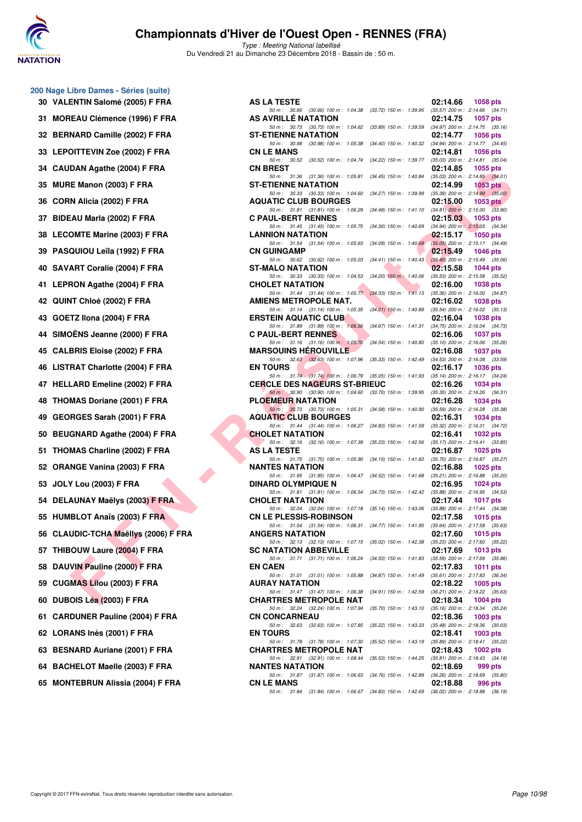

Type : Meeting National labellisé Du Vendredi 21 au Dimanche 23 Décembre 2018 - Bassin de : 50 m.

| 30 - | VALENTIN Salome (2005) F FRA            |
|------|-----------------------------------------|
| 31   | MOREAU Clémence (1996) F FRA            |
| 32   | BERNARD Camille (2002) F FRA            |
| 33   | <b>LEPOITTEVIN Zoe (2002) F FRA</b>     |
| 34   | <b>CAUDAN Agathe (2004) F FRA</b>       |
| 35   | MURE Manon (2003) F FRA                 |
| 36   | CORN Alicia (2002) F FRA                |
| 37   | BIDEAU Marla (2002) F FRA               |
| 38   | <b>LECOMTE Marine (2003) F FRA</b>      |
|      | 39 PASQUIOU Leïla (1992) F FRA          |
| 40   | SAVART Coralie (2004) F FRA             |
| 41   | LEPRON Agathe (2004) F FRA              |
| 42   | QUINT Chloé (2002) F FRA                |
| 43   | GOETZ Ilona (2004) F FRA                |
| 44   | SIMOËNS Jeanne (2000) F FRA             |
| 45   | <b>CALBRIS Eloise (2002) F FRA</b>      |
| 46   | LISTRAT Charlotte (2004) F FRA          |
| 47   | <b>HELLARD Emeline (2002) F FRA</b>     |
| 48   | THOMAS Doriane (2001) F FRA             |
| 49   | GEORGES Sarah (2001) F FRA              |
| 50   | <b>BEUGNARD Agathe (2004) F FRA</b>     |
| 51   | THOMAS Charline (2002) F FRA            |
| 52   | ORANGE Vanina (2003) F FRA              |
| 53   | JOLY Lou (2003) F FRA                   |
| 54   | <b>DELAUNAY Maëlys (2003) F FRA</b>     |
| 55   | HUMBLOT Anaïs (2003) F FRA              |
| 56   | <b>CLAUDIC-TCHA Maellys (2006) F FR</b> |
| 57   | THIBOUW Laure (2004) F FRA              |
| 58   | DAUVIN Pauline (2000) F FRA             |
| 59   | <b>CUGMAS Lilou (2003) F FRA</b>        |
| 60   | DUBOIS Léa (2003) F FRA                 |
| 61   | <b>CARDUNER Pauline (2004) F FRA</b>    |
| 62   | LORANS Inès (2001) F FRA                |
| 63   | <b>BESNARD Auriane (2001) F FRA</b>     |
| 64   | <b>BACHELOT Maelle (2003) F FRA</b>     |
| 65   | <b>MONTEBRUN Alissia (2004) F FRA</b>   |

**200 Nage Libre Dames - Séries (suite)**

| 30 VALENTIN Salomé (2005) F FRA      | <b>AS LA TESTE</b>                                                                                                                                                                                          | 02:14.66<br>1058 pts                                                            |
|--------------------------------------|-------------------------------------------------------------------------------------------------------------------------------------------------------------------------------------------------------------|---------------------------------------------------------------------------------|
| 31 MOREAU Clémence (1996) F FRA      | 50 m: 30.66 (30.66) 100 m: 1:04.38 (33.72) 150 m: 1:39.95 (35.57) 200 m: 2:14.66 (34.71)<br>AS AVRILLE NATATION<br>50 m: 30.73 (30.73) 100 m: 1:04.62 (33.89) 150 m: 1:39.59 (34.97) 200 m: 2:14.75 (35.16) | 02:14.75<br><b>1057 pts</b>                                                     |
| 32 BERNARD Camille (2002) F FRA      | <b>ST-ETIENNE NATATION</b>                                                                                                                                                                                  | 02:14.77<br>1056 pts                                                            |
| 33 LEPOITTEVIN Zoe (2002) F FRA      | 50 m: 30.98 (30.98) 100 m: 1:05.38 (34.40) 150 m: 1:40.32 (34.94) 200 m: 2:14.77 (34.45)<br><b>CN LE MANS</b>                                                                                               | 02:14.81<br><b>1056 pts</b>                                                     |
| 34 CAUDAN Agathe (2004) F FRA        | 50 m: 30.52 (30.52) 100 m: 1:04.74 (34.22) 150 m: 1:39.77 (35.03) 200 m: 2:14.81 (35.04)<br><b>CN BREST</b>                                                                                                 | 02:14.85<br>1055 pts                                                            |
| 35 MURE Manon (2003) F FRA           | 50 m: 31.36 (31.36) 100 m: 1:05.81 (34.45) 150 m: 1:40.84 (35.03) 200 m: 2:14.85 (34.01)<br><b>ST-ETIENNE NATATION</b>                                                                                      | 02:14.99<br>1053 pts                                                            |
| 36 CORN Alicia (2002) F FRA          | 50 m: 30.33 (30.33) 100 m: 1:04.60 (34.27) 150 m: 1:39.99 (35.39) 200 m: 2:14.99 (35.00)<br><b>AQUATIC CLUB BOURGES</b>                                                                                     | 02:15.00<br>1053 $pts$                                                          |
| 37 BIDEAU Marla (2002) F FRA         | 50 m: 31.81 (31.81) 100 m: 1:06.29 (34.48) 150 m: 1:41.10 (34.81) 200 m: 2:15.00 (33.90)<br><b>C PAUL-BERT RENNES</b>                                                                                       | 02:15.03<br>1053 pts                                                            |
| 38 LECOMTE Marine (2003) F FRA       | 50 m: 31.45 (31.45) 100 m: 1:05.75 (34.30) 150 m: 1:40.69 (34.94) 200 m: 2:15.03 (34.34)<br><b>LANNION NATATION</b>                                                                                         | 02:15.17<br>1050 pts                                                            |
| 39 PASQUIOU Leïla (1992) F FRA       | 50 m: 31.54 (31.54) 100 m: 1:05.63 (34.09) 150 m: 1:40.68 (35.05) 200 m: 2:15.17 (34.49)<br><b>CN GUINGAMP</b>                                                                                              | 02:15.49<br>1046 pts                                                            |
| 40 SAVART Coralie (2004) F FRA       | 50 m: 30.62 (30.62) 100 m: 1:05.03 (34.41) 150 m: 1:40.43 (35.40) 200 m: 2:15.49 (35.06)<br><b>ST-MALO NATATION</b>                                                                                         | 02:15.58<br>1044 pts                                                            |
| 41 LEPRON Agathe (2004) F FRA        | 50 m: 30.33 (30.33) 100 m: 1:04.53 (34.20) 150 m: 1:40.06 (35.53) 200 m: 2:15.58 (35.52)<br><b>CHOLET NATATION</b>                                                                                          | 02:16.00<br><b>1038 pts</b>                                                     |
| 42 QUINT Chloé (2002) F FRA          | 50 m: 31.44 (31.44) 100 m: 1:05.77 (34.33) 150 m: 1:41.13 (35.36) 200 m: 2:16.00 (34.87)<br>AMIENS METROPOLE NAT.                                                                                           | 02:16.02<br>1038 pts                                                            |
| 43 GOETZ Ilona (2004) F FRA          | 50 m: 31.14 (31.14) 100 m: 1:05.35<br><b>ERSTEIN AQUATIC CLUB</b>                                                                                                                                           | (34.21) 150 m : 1:40.89 (35.54) 200 m : 2:16.02 (35.13)<br>02:16.04<br>1038 pts |
| 44 SIMOËNS Jeanne (2000) F FRA       | 50 m: 31.89 (31.89) 100 m: 1:06.56 (34.67) 150 m: 1:41.31 (34.75) 200 m: 2:16.04 (34.73)<br><b>C PAUL-BERT RENNES</b>                                                                                       | 02:16.06<br>1037 pts                                                            |
| 45 CALBRIS Eloise (2002) F FRA       | 50 m: 31.16 (31.16) 100 m: 1:05.70 (34.54) 150 m: 1:40.80 (35.10) 200 m: 2:16.06 (35.26)<br><b>MARSOUINS HEROUVILLE</b>                                                                                     | 02:16.08<br>1037 pts                                                            |
| 46 LISTRAT Charlotte (2004) F FRA    | 50 m: 32.63 (32.63) 100 m: 1:07.96 (35.33) 150 m: 1:42.49 (34.53) 200 m: 2:16.08 (33.59)<br><b>EN TOURS</b>                                                                                                 | 02:16.17<br>1036 pts                                                            |
| 47 HELLARD Emeline (2002) F FRA      | 50 m: 31.74 (31.74) 100 m: 1:06.79 (35.05) 150 m: 1:41.93 (35.14) 200 m: 2:16.17 (34.24)<br><b>CERCLE DES NAGEURS ST-BRIEUC</b>                                                                             | 02:16.26<br>1034 pts                                                            |
| 48 THOMAS Doriane (2001) F FRA       | 50 m: 30.90 (30.90) 100 m: 1:04.60 (33.70) 150 m: 1:39.95 (35.35) 200 m: 2:16.26 (36.31)<br><b>PLOEMEUR NATATION</b>                                                                                        | 02:16.28<br>1034 pts                                                            |
| 49 GEORGES Sarah (2001) F FRA        | 50 m : 30.73 (30.73) 100 m : 1:05.31 (34.58) 150 m : 1:40.90 (35.59) 200 m : 2:16.28 (35.38)<br><b>AQUATIC CLUB BOURGES</b>                                                                                 | 02:16.31<br>1034 pts                                                            |
| 50 BEUGNARD Agathe (2004) F FRA      | 50 m: 31.44 (31.44) 100 m: 1:06.27 (34.83) 150 m: 1:41.59 (35.32) 200 m: 2:16.31 (34.72)<br><b>CHOLET NATATION</b>                                                                                          | 02:16.41<br>1032 pts                                                            |
| 51 THOMAS Charline (2002) F FRA      | 50 m: 32.16 (32.16) 100 m: 1.07.39 (35.23) 150 m: 1.42.56 (35.17) 200 m: 2.16.41 (33.85)<br>AS LA TESTE                                                                                                     | 02:16.87                                                                        |
|                                      | 50 m: 31.75 (31.75) 100 m: 1:05.90 (34.15) 150 m: 1:41.60 (35.70) 200 m: 2:16.87 (35.27)                                                                                                                    | 1025 pts                                                                        |
| 52 ORANGE Vanina (2003) F FRA        | <b>NANTES NATATION</b><br>50 m: 31.95 (31.95) 100 m: 1:06.47 (34.52) 150 m: 1:41.68 (35.21) 200 m: 2:16.88 (35.20)                                                                                          | 02:16.88<br>1025 pts                                                            |
| 53 JOLY Lou (2003) F FRA             | <b>DINARD OLYMPIQUE N</b><br>50 m: 31.81 (31.81) 100 m: 1:06.54 (34.73) 150 m: 1:42.42 (35.88) 200 m: 2:16.95 (34.53)                                                                                       | 02:16.95<br>1024 pts                                                            |
| 54 DELAUNAY Maëlys (2003) F FRA      | <b>CHOLET NATATION</b>                                                                                                                                                                                      | 02:17.44<br>1017 pts                                                            |
| 55 HUMBLOT Anaïs (2003) F FRA        | 50 m: 32.04 (32.04) 100 m: 1:07.18 (35.14) 150 m: 1:43.06 (35.88) 200 m: 2:17.44 (34.38)<br><b>CN LE PLESSIS-ROBINSON</b>                                                                                   | 02:17.58<br>1015 pts                                                            |
| 56 CLAUDIC-TCHA Maëllys (2006) F FRA | 50 m: 31.54 (31.54) 100 m: 1:06.31 (34.77) 150 m: 1:41.95 (35.64) 200 m: 2:17.58 (35.63)<br><b>ANGERS NATATION</b>                                                                                          | 02:17.60<br>1015 pts                                                            |
| 57 THIBOUW Laure (2004) F FRA        | 50 m: 32.13 (32.13) 100 m: 1:07.15 (35.02) 150 m: 1:42.38<br><b>SC NATATION ABBEVILLE</b>                                                                                                                   | $(35.23)$ 200 m : 2:17.60 $(35.22)$<br>02:17.69<br><b>1013 pts</b>              |
| 58 DAUVIN Pauline (2000) F FRA       | 50 m: 31.71 (31.71) 100 m: 1:06.24 (34.53) 150 m: 1:41.83<br><b>EN CAEN</b>                                                                                                                                 | $(35.59)$ 200 m : 2:17.69 $(35.86)$<br>02:17.83<br>1011 pts                     |
| 59 CUGMAS Lilou (2003) F FRA         | 50 m: 31.01 (31.01) 100 m: 1:05.88<br>$(34.87)$ 150 m : 1:41.49<br><b>AURAY NATATION</b>                                                                                                                    | $(35.61)$ 200 m : 2:17.83 $(36.34)$<br>02:18.22<br>1005 pts                     |
| 60   DUBOIS Léa (2003) F FRA         | $(34.91)$ 150 m : 1:42.59<br>50 m: 31.47 (31.47) 100 m: 1:06.38<br><b>CHARTRES METROPOLE NAT</b>                                                                                                            | $(36.21)$ 200 m : 2:18.22 $(35.63)$<br>02:18.34<br><b>1004 pts</b>              |
| 61 CARDUNER Pauline (2004) F FRA     | 50 m: 32.24 (32.24) 100 m: 1:07.94<br>$(35.70)$ 150 m : 1:43.10<br><b>CN CONCARNEAU</b>                                                                                                                     | $(35.16)$ 200 m : 2:18.34 $(35.24)$<br>02:18.36<br>1003 pts                     |
| 62 LORANS Inès (2001) F FRA          | 50 m: 32.63 (32.63) 100 m: 1:07.85<br>$(35.22)$ 150 m : 1:43.33<br><b>EN TOURS</b>                                                                                                                          | $(35.48)$ 200 m : 2:18.36 $(35.03)$<br>02:18.41<br>1003 pts                     |
| 63 BESNARD Auriane (2001) F FRA      | 50 m: 31.78 (31.78) 100 m: 1:07.30<br>(35.52) 150 m : 1:43.19<br><b>CHARTRES METROPOLE NAT</b>                                                                                                              | $(35.89)$ 200 m : 2:18.41 $(35.22)$<br>02:18.43<br>1002 pts                     |
|                                      | 50 m: 32.91 (32.91) 100 m: 1:08.44                                                                                                                                                                          | (35.53) 150 m: 1:44.25 (35.81) 200 m: 2:18.43 (34.18)                           |
| 64 BACHELOT Maelle (2003) F FRA      | <b>NANTES NATATION</b><br>50 m: 31.87 (31.87) 100 m: 1:06.63                                                                                                                                                | 02:18.69<br>999 pts<br>(34.76) 150 m : 1:42.89 (36.26) 200 m : 2:18.69 (35.80)  |
| 65 MONTEBRUN Alissia (2004) F FRA    | <b>CN LE MANS</b><br>50 m: 31.84 (31.84) 100 m: 1:06.67 (34.83) 150 m: 1:42.69 (36.02) 200 m: 2:18.88 (36.19)                                                                                               | 02:18.88<br>996 pts                                                             |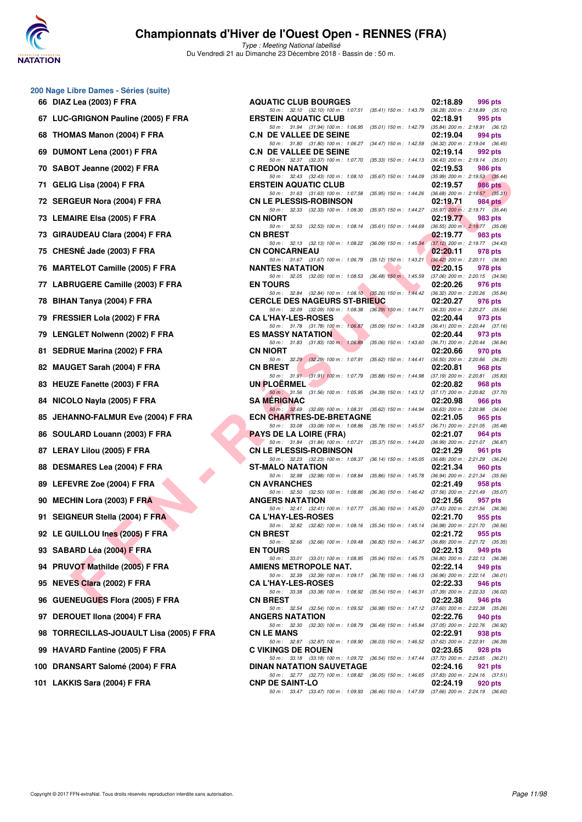

| 200 Nage Libre Dames - Séries (suite) |  |  |  |  |
|---------------------------------------|--|--|--|--|
|---------------------------------------|--|--|--|--|

| 66 | DIAZ Lea (2003) F FRA                |
|----|--------------------------------------|
| 67 | LUC-GRIGNON Pauline (2005) F FRA     |
| 68 | THOMAS Manon (2004) F FRA            |
| 69 | DUMONT Lena (2001) F FRA             |
| 70 | SABOT Jeanne (2002) F FRA            |
| 71 | GELIG Lisa (2004) F FRA              |
| 72 | SERGEUR Nora (2004) F FRA            |
| 73 | <b>LEMAIRE Elsa (2005) F FRA</b>     |
| 73 | GIRAUDEAU Clara (2004) F FRA         |
|    | 75 CHESNÉ Jade (2003) F FRA          |
| 76 | <b>MARTELOT Camille (2005) F FRA</b> |
| 77 | LABRUGERE Camille (2003) F FRA       |
| 78 | BIHAN Tanya (2004) F FRA             |
|    | 79 FRESSIER Lola (2002) F FRA        |
| 79 | <b>LENGLET Nolwenn (2002) F FRA</b>  |
| 81 | <b>SEDRUE Marina (2002) F FRA</b>    |
| 82 | <b>MAUGET Sarah (2004) F FRA</b>     |
| 83 | <b>HEUZE Fanette (2003) F FRA</b>    |
| 84 | NICOLO Nayla (2005) F FRA            |
| 85 | JEHANNO-FALMUR Eve (2004) F FR       |
| 86 | SOULARD Louann (2003) F FRA          |
| 87 | LERAY Lilou (2005) F FRA             |
| 88 | DESMARES Lea (2004) F FRA            |
| 89 | LEFEVRE Zoe (2004) F FRA             |
|    | 90 MECHIN Lora (2003) F FRA          |
| 91 | SEIGNEUR Stella (2004) F FRA         |
| 92 | LE GUILLOU Ines (2005) F FRA         |
|    | 93 SABARD Léa (2004) F FRA           |
| 94 | PRUVOT Mathilde (2005) F FRA         |
|    | 95 NEVES Clara (2002) F FRA          |
|    | 96 GUENEUGUES Flora (2005) F FRA     |
|    | 97 DEROUET IIona (2004) F FRA        |
|    | 98 TORRECILLAS-JOUAULT Lisa (2005    |
|    | 99 HAVARD Fantine (2005) F FRA       |
|    | 100 DRANSART Salomé (2004) F FRA     |
|    | 101 LAKKIS Sara (2004) F FRA         |

| 66 DIAZ Lea (2003) F FRA                 | <b>AQUATIC CLUB BOURGES</b>                                                                                                     | 02:18.89<br>996 pts                                           |
|------------------------------------------|---------------------------------------------------------------------------------------------------------------------------------|---------------------------------------------------------------|
| 67 LUC-GRIGNON Pauline (2005) F FRA      | 50 m: 32.10 (32.10) 100 m: 1:07.51 (35.41) 150 m: 1:43.79 (36.28) 200 m: 2:18.89 (35.10)<br><b>ERSTEIN AQUATIC CLUB</b>         | 02:18.91<br>995 pts                                           |
| 68 THOMAS Manon (2004) F FRA             | 50 m: 31.94 (31.94) 100 m: 1:06.95 (35.01) 150 m: 1:42.79 (35.84) 200 m: 2:18.91 (36.12)<br><b>C.N DE VALLEE DE SEINE</b>       | 02:19.04<br>994 pts                                           |
| 69 DUMONT Lena (2001) F FRA              | 50 m: 31.80 (31.80) 100 m: 1:06.27 (34.47) 150 m: 1:42.59<br><b>C.N DE VALLEE DE SEINE</b>                                      | (36.32) 200 m : 2:19.04 (36.45)<br>02:19.14<br>992 pts        |
| 70 SABOT Jeanne (2002) F FRA             | 50 m : 32.37 (32.37) 100 m : 1:07.70 (35.33) 150 m : 1:44.13<br><b>C REDON NATATION</b>                                         | $(36.43)$ 200 m : 2:19.14 $(35.01)$<br>02:19.53<br>986 pts    |
| 71 GELIG Lisa (2004) F FRA               | 50 m : 32.43 (32.43) 100 m : 1:08.10 (35.67) 150 m : 1:44.09 (35.99) 200 m : 2:19.53 (35.44)<br><b>ERSTEIN AQUATIC CLUB</b>     | 02:19.57<br>986 pts                                           |
| 72 SERGEUR Nora (2004) F FRA             | 50 m: 31.63 (31.63) 100 m: 1:07.58 (35.95) 150 m: 1:44.26 (36.68) 200 m: 2:19.57 (35.31)<br><b>CN LE PLESSIS-ROBINSON</b>       | 02:19.71<br>984 pts                                           |
| 73 LEMAIRE Elsa (2005) F FRA             | 50 m : 32.33 (32.33) 100 m : 1:08.30 (35.97) 150 m : 1:44.27<br><b>CN NIORT</b>                                                 | $(35.97)$ 200 m : 2:19.71 $(35.44)$<br>02:19.77<br>983 pts    |
| 73 GIRAUDEAU Clara (2004) F FRA          | 50 m: 32.53 (32.53) 100 m: 1:08.14 (35.61) 150 m: 1:44.69<br><b>CN BREST</b>                                                    | $(36.55)$ 200 m : 2:19.77 $(35.08)$<br>02:19.77<br>983 pts    |
| 75 CHESNÉ Jade (2003) F FRA              | 50 m: 32.13 (32.13) 100 m: 1:08.22 (36.09) 150 m: 1:45.34<br><b>CN CONCARNEAU</b>                                               | $(37.12)$ 200 m : 2:19.77 $(34.43)$<br>02:20.11<br>978 pts    |
| 76 MARTELOT Camille (2005) F FRA         | 50 m: 31.67 (31.67) 100 m: 1:06.79 (35.12) 150 m: 1:43.21<br><b>NANTES NATATION</b>                                             | $(36.42)$ 200 m : 2:20.11 $(36.90)$<br>02:20.15<br>978 pts    |
| 77 LABRUGERE Camille (2003) F FRA        | 50 m : 32.05 (32.05) 100 m : 1:08.53 (36.48) 150 m : 1:45.59<br><b>EN TOURS</b>                                                 | $(37.06)$ 200 m : 2:20.15 $(34.56)$<br>02:20.26<br>976 pts    |
| 78 BIHAN Tanya (2004) F FRA              | 50 m: 32.84 (32.84) 100 m: 1:08.10 (35.26) 150 m: 1:44.42 (36.32) 200 m: 2:20.26 (35.84)<br><b>CERCLE DES NAGEURS ST-BRIEUC</b> | 02:20.27<br>976 pts                                           |
| 79 FRESSIER Lola (2002) F FRA            | 50 m: 32.09 (32.09) 100 m: 1:08.38 (36.29) 150 m: 1:44.71 (36.33) 200 m: 2:20.27 (35.56)<br><b>CA L'HAY-LES-ROSES</b>           | 02:20.44<br>973 pts                                           |
| 79 LENGLET Nolwenn (2002) F FRA          | 50 m: 31.78 (31.78) 100 m: 1:06.87 (35.09) 150 m: 1:43.28<br><b>ES MASSY NATATION</b>                                           | $(36.41)$ 200 m : 2:20.44 $(37.16)$<br>02:20.44<br>973 pts    |
| 81 SEDRUE Marina (2002) F FRA            | 50 m: 31.83 (31.83) 100 m: 1:06.89 (35.06) 150 m: 1:43.60<br><b>CN NIORT</b>                                                    | (36.71) 200 m : 2:20.44 (36.84)<br>02:20.66<br>970 pts        |
| 82 MAUGET Sarah (2004) F FRA             | 50 m : 32.29 (32.29) 100 m : 1:07.91 (35.62) 150 m : 1:44.41<br><b>CN BREST</b>                                                 | $(36.50)$ 200 m : 2:20.66 $(36.25)$<br>02:20.81               |
|                                          | 50 m: 31.91 (31.91) 100 m: 1:07.79 (35.88) 150 m: 1:44.98                                                                       | 968 pts<br>$(37.19)$ 200 m : 2:20.81 $(35.83)$                |
| 83 HEUZE Fanette (2003) F FRA            | UN PLOERMEL<br>50 m: 31.56 (31.56) 100 m: 1:05.95 (34.39) 150 m: 1:43.12 (37.17) 200 m: 2:20.82 (37.70)                         | 02:20.82<br>968 pts                                           |
| 84 NICOLO Nayla (2005) F FRA             | <b>SA MERIGNAC</b><br>50 m : 32.69 (32.69) 100 m : 1:08.31 (35.62) 150 m : 1:44.94 (36.63) 200 m : 2:20.98 (36.04)              | 02:20.98<br>966 pts                                           |
| 85 JEHANNO-FALMUR Eve (2004) F FRA       | <b>ECN CHARTRES-DE-BRETAGNE</b><br>50 m: 33.08 (33.08) 100 m: 1:08.86 (35.78) 150 m: 1:45.57 (36.71) 200 m: 2:21.05 (35.48)     | 02:21.05<br>965 pts                                           |
| 86 SOULARD Louann (2003) F FRA           | <b>PAYS DE LA LOIRE (FRA)</b><br>50 m: 31.84 (31.84) 100 m: 1:07.21 (35.37) 150 m: 1:44.20 (36.99) 200 m: 2:21.07 (36.87)       | 02:21.07<br>964 pts                                           |
| 87 LERAY Lilou (2005) F FRA              | <b>CN LE PLESSIS-ROBINSON</b><br>50 m: 32.23 (32.23) 100 m: 1:08.37 (36.14) 150 m: 1:45.05 (36.68) 200 m: 2:21.29 (36.24)       | 02:21.29<br>961 pts                                           |
| 88 DESMARES Lea (2004) F FRA             | <b>ST-MALO NATATION</b><br>50 m : 32.98 (32.98) 100 m : 1:08.84 (35.86) 150 m : 1:45.78                                         | 02:21.34<br>960 pts<br>(36.94) 200 m : 2:21.34 (35.56)        |
| 89 LEFEVRE Zoe (2004) F FRA              | <b>CN AVRANCHES</b><br>50 m: 32.50 (32.50) 100 m: 1:08.86 (36.36) 150 m: 1:46.42 (37.56) 200 m: 2:21.49 (35.07)                 | 02:21.49<br>958 pts                                           |
| 90 MECHIN Lora (2003) F FRA              | <b>ANGERS NATATION</b><br>50 m: 32.41 (32.41) 100 m: 1:07.77 (35.36) 150 m: 1:45.20 (37.43) 200 m: 2:21.56 (36.36)              | 02:21.56<br>957 pts                                           |
| 91 SEIGNEUR Stella (2004) F FRA          | <b>CA L'HAY-LES-ROSES</b><br>50 m: 32.82 (32.82) 100 m: 1:08.16 (35.34) 150 m: 1:45.14 (36.98) 200 m: 2:21.70 (36.56)           | 02:21.70<br>955 pts                                           |
| 92 LE GUILLOU Ines (2005) F FRA          | <b>CN BREST</b><br>50 m: 32.66 (32.66) 100 m: 1:09.48 (36.82) 150 m: 1:46.37                                                    | 02:21.72<br>955 pts<br>$(36.89)$ 200 m : 2:21.72 $(35.35)$    |
| 93 SABARD Léa (2004) F FRA               | <b>EN TOURS</b><br>50 m: 33.01 (33.01) 100 m: 1:08.95 (35.94) 150 m: 1:45.75 (36.80) 200 m: 2:22.13 (36.38)                     | 02:22.13<br>949 pts                                           |
| 94 PRUVOT Mathilde (2005) F FRA          | AMIENS METROPOLE NAT.<br>50 m : 32.39 (32.39) 100 m : 1:09.17 (36.78) 150 m : 1:46.13 (36.96) 200 m : 2:22.14 (36.01)           | 02:22.14<br>949 pts                                           |
| 95 NEVES Clara (2002) F FRA              | <b>CA L'HAY-LES-ROSES</b><br>50 m: 33.38 (33.38) 100 m: 1:08.92 (35.54) 150 m: 1:46.31                                          | 02:22.33<br><b>946 pts</b><br>(37.39) 200 m : 2:22.33 (36.02) |
| 96 GUENEUGUES Flora (2005) F FRA         | <b>CN BREST</b>                                                                                                                 | 02:22.38<br>946 pts                                           |
| 97 DEROUET IIona (2004) F FRA            | 50 m: 32.54 (32.54) 100 m: 1:09.52 (36.98) 150 m: 1:47.12 (37.60) 200 m: 2:22.38 (35.26)<br><b>ANGERS NATATION</b>              | 02:22.76<br>940 pts                                           |
| 98 TORRECILLAS-JOUAULT Lisa (2005) F FRA | 50 m: 32.30 (32.30) 100 m: 1:08.79 (36.49) 150 m: 1:45.84<br><b>CN LE MANS</b>                                                  | (37.05) 200 m : 2:22.76 (36.92)<br>02:22.91<br>938 pts        |
| 99 HAVARD Fantine (2005) F FRA           | 50 m: 32.87 (32.87) 100 m: 1:08.90 (36.03) 150 m: 1:46.52 (37.62) 200 m: 2:22.91 (36.39)<br><b>C VIKINGS DE ROUEN</b>           | 02:23.65<br>928 pts                                           |
| 100 DRANSART Salomé (2004) F FRA         | 50 m: 33.18 (33.18) 100 m: 1:09.72 (36.54) 150 m: 1:47.44 (37.72) 200 m: 2:23.65 (36.21)<br><b>DINAN NATATION SAUVETAGE</b>     | 02:24.16<br>921 pts                                           |
| 101 LAKKIS Sara (2004) F FRA             | 50 m : 32.77 (32.77) 100 m : 1:08.82 (36.05) 150 m : 1:46.65 (37.83) 200 m : 2:24.16 (37.51)<br><b>CNP DE SAINT-LO</b>          | 02:24.19<br><b>920 pts</b>                                    |
|                                          | 50 m: 33.47 (33.47) 100 m: 1:09.93 (36.46) 150 m: 1:47.59 (37.66) 200 m: 2:24.19 (36.60)                                        |                                                               |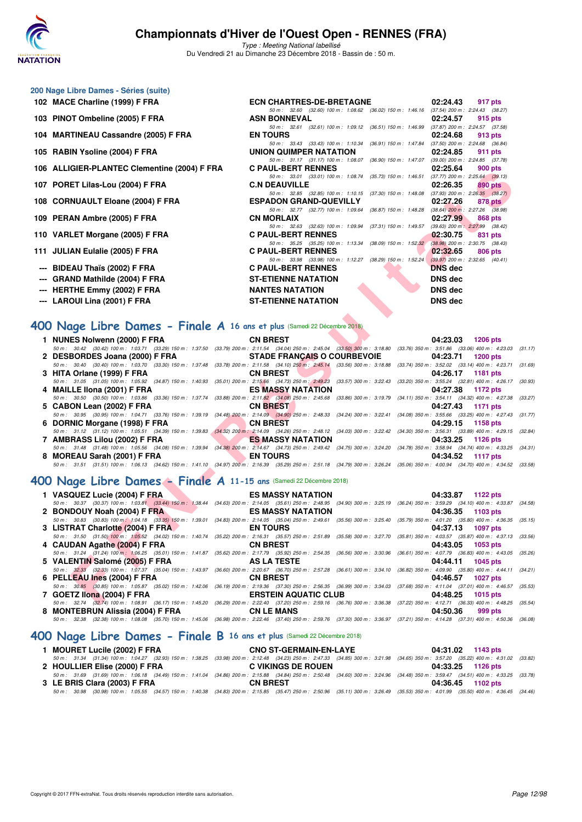

**200 Nage Libre Dames - Séries (suite)**

## **Championnats d'Hiver de l'Ouest Open - RENNES (FRA)**

Type : Meeting National labellisé Du Vendredi 21 au Dimanche 23 Décembre 2018 - Bassin de : 50 m.

| 102 MACE Charline (1999) F FRA                                                                                                                                                                                                                                                                                                                                                                         | 02:24.43<br><b>ECN CHARTRES-DE-BRETAGNE</b><br>917 pts                                                                                                                                                                                                                                                                                                                                                                                                                                                                                                                                                                                                                                                                                                                                                                                                                                                                                                                                                                                                                                                                                     |
|--------------------------------------------------------------------------------------------------------------------------------------------------------------------------------------------------------------------------------------------------------------------------------------------------------------------------------------------------------------------------------------------------------|--------------------------------------------------------------------------------------------------------------------------------------------------------------------------------------------------------------------------------------------------------------------------------------------------------------------------------------------------------------------------------------------------------------------------------------------------------------------------------------------------------------------------------------------------------------------------------------------------------------------------------------------------------------------------------------------------------------------------------------------------------------------------------------------------------------------------------------------------------------------------------------------------------------------------------------------------------------------------------------------------------------------------------------------------------------------------------------------------------------------------------------------|
| 103 PINOT Ombeline (2005) F FRA                                                                                                                                                                                                                                                                                                                                                                        | 50 m: 32.60 (32.60) 100 m: 1.08.62 (36.02) 150 m: 1.46.16 (37.54) 200 m: 2.24.43 (38.27)<br><b>ASN BONNEVAL</b><br>02:24.57<br>915 pts                                                                                                                                                                                                                                                                                                                                                                                                                                                                                                                                                                                                                                                                                                                                                                                                                                                                                                                                                                                                     |
| 104 MARTINEAU Cassandre (2005) F FRA                                                                                                                                                                                                                                                                                                                                                                   | 50 m: 32.61 (32.61) 100 m: 1:09.12 (36.51) 150 m: 1:46.99 (37.87) 200 m: 2:24.57 (37.58)<br><b>EN TOURS</b><br>02:24.68<br>913 pts                                                                                                                                                                                                                                                                                                                                                                                                                                                                                                                                                                                                                                                                                                                                                                                                                                                                                                                                                                                                         |
| 105 RABIN Ysoline (2004) F FRA                                                                                                                                                                                                                                                                                                                                                                         | 50 m: 33.43 (33.43) 100 m: 1:10.34 (36.91) 150 m: 1:47.84 (37.50) 200 m: 2:24.68 (36.84)<br>UNION QUIMPER NATATION<br>02:24.85<br>911 pts                                                                                                                                                                                                                                                                                                                                                                                                                                                                                                                                                                                                                                                                                                                                                                                                                                                                                                                                                                                                  |
| 106 ALLIGIER-PLANTEC Clementine (2004) F FRA                                                                                                                                                                                                                                                                                                                                                           | 50 m: 31.17 (31.17) 100 m: 1:08.07 (36.90) 150 m: 1:47.07 (39.00) 200 m: 2:24.85 (37.78)<br><b>C PAUL-BERT RENNES</b><br>02:25.64<br><b>900 pts</b>                                                                                                                                                                                                                                                                                                                                                                                                                                                                                                                                                                                                                                                                                                                                                                                                                                                                                                                                                                                        |
| 107 PORET Lilas-Lou (2004) F FRA                                                                                                                                                                                                                                                                                                                                                                       | 50 m: 33.01 (33.01) 100 m: 1:08.74 (35.73) 150 m: 1:46.51 (37.77) 200 m: 2:25.64 (39.13)<br><b>C.N DEAUVILLE</b><br>02:26.35<br>890 pts                                                                                                                                                                                                                                                                                                                                                                                                                                                                                                                                                                                                                                                                                                                                                                                                                                                                                                                                                                                                    |
| 108 CORNUAULT Eloane (2004) F FRA                                                                                                                                                                                                                                                                                                                                                                      | 50 m: 32.85 (32.85) 100 m: 1:10.15 (37.30) 150 m: 1:48.08 (37.93) 200 m: 2:26.35 (38.27)<br><b>ESPADON GRAND-QUEVILLY</b><br>02:27.26<br>878 pts                                                                                                                                                                                                                                                                                                                                                                                                                                                                                                                                                                                                                                                                                                                                                                                                                                                                                                                                                                                           |
| 109 PERAN Ambre (2005) F FRA                                                                                                                                                                                                                                                                                                                                                                           | 50 m: 32.77 (32.77) 100 m: 1.09.64 (36.87) 150 m: 1.48.28 (38.64) 200 m: 2.27.26 (38.98)<br><b>CN MORLAIX</b><br>02:27.99<br>868 pts                                                                                                                                                                                                                                                                                                                                                                                                                                                                                                                                                                                                                                                                                                                                                                                                                                                                                                                                                                                                       |
| 110 VARLET Morgane (2005) F FRA                                                                                                                                                                                                                                                                                                                                                                        | 50 m: 32.63 (32.63) 100 m: 1:09.94 (37.31) 150 m: 1:49.57 (39.63) 200 m: 2:27.99 (38.42)<br><b>C PAUL-BERT RENNES</b><br>02:30.75<br>831 pts                                                                                                                                                                                                                                                                                                                                                                                                                                                                                                                                                                                                                                                                                                                                                                                                                                                                                                                                                                                               |
| 111 JULIAN Eulalie (2005) F FRA                                                                                                                                                                                                                                                                                                                                                                        | 50 m: 35.25 (35.25) 100 m: 1:13.34 (38.09) 150 m: 1:52.32 (38.98) 200 m: 2:30.75 (38.43)<br><b>C PAUL-BERT RENNES</b><br>02:32.65<br>806 pts                                                                                                                                                                                                                                                                                                                                                                                                                                                                                                                                                                                                                                                                                                                                                                                                                                                                                                                                                                                               |
| --- BIDEAU Thaïs (2002) F FRA                                                                                                                                                                                                                                                                                                                                                                          | 50 m: 33.98 (33.98) 100 m: 1:12.27 (38.29) 150 m: 1:52.24<br>$(39.97)$ 200 m : 2:32.65 $(40.41)$<br><b>C PAUL-BERT RENNES</b><br><b>DNS</b> dec                                                                                                                                                                                                                                                                                                                                                                                                                                                                                                                                                                                                                                                                                                                                                                                                                                                                                                                                                                                            |
| --- GRAND Mathilde (2004) F FRA                                                                                                                                                                                                                                                                                                                                                                        | <b>ST-ETIENNE NATATION</b><br><b>DNS dec</b>                                                                                                                                                                                                                                                                                                                                                                                                                                                                                                                                                                                                                                                                                                                                                                                                                                                                                                                                                                                                                                                                                               |
| --- HERTHE Emmy (2002) F FRA                                                                                                                                                                                                                                                                                                                                                                           | DNS dec<br><b>NANTES NATATION</b>                                                                                                                                                                                                                                                                                                                                                                                                                                                                                                                                                                                                                                                                                                                                                                                                                                                                                                                                                                                                                                                                                                          |
| --- LAROUI Lina (2001) F FRA                                                                                                                                                                                                                                                                                                                                                                           | <b>ST-ETIENNE NATATION</b><br><b>DNS dec</b>                                                                                                                                                                                                                                                                                                                                                                                                                                                                                                                                                                                                                                                                                                                                                                                                                                                                                                                                                                                                                                                                                               |
| <b>100 Nage Libre Dames - Finale A 16 ans et plus (Samedi 22 Décembre 2018)</b><br>1 NUNES Nolwenn (2000) F FRA<br>2 DESBORDES Joana (2000) F FRA<br>3 HITA Orlane (1999) F FRA<br>50 m: 31.05 (31.05) 100 m: 1:05.92 (34.87) 150 m: 1:40.93<br>4 MAILLE IIona (2001) F FRA<br>50 m: 30.50 (30.50) 100 m: 1:03.86 (33.36) 150 m: 1:37.74<br>5 CABON Lean (2002) F FRA<br>6 DORNIC Morgane (1998) F FRA | <b>CN BREST</b><br>04:23.03<br><b>1206 pts</b><br>50 m: 30.42 (30.42) 100 m: 1:03.71 (33.29) 150 m: 1:37.50 (33.79) 200 m: 2:11.54 (34.04) 250 m: 2:45.04 (33.50) 300 m: 3:18.80 (33.76) 350 m: 3:51.86 (33.06) 400 m: 4:23.03 (3<br><b>STADE FRANCAIS O COURBEVOIE</b><br>04:23.71<br><b>1200 pts</b><br>50 m: 30.40 (30.40) 100 m: 1:03.70 (33.30) 150 m: 1:37.48 (33.78) 200 m: 2:11.58 (34.10) 250 m: 2:45.14 (33.56) 300 m: 3:18.88 (33.74) 350 m: 3:52.02 (33.14) 400 m: 4:23.71 (3<br><b>CN BREST</b><br>04:26.17<br>1181 pts<br>(35.01) 200 m : 2:15.66 (34.73) 250 m : 2:49.23 (33.57) 300 m : 3:22.43<br>(33.20) 350 m : 3:55.24 (32.81) 400 m : 4:26.17 (3)<br><b>ES MASSY NATATION</b><br>04:27.38<br>1172 pts<br>(33.88) 200 m : 2:11.82 (34.08) 250 m : 2:45.68 (33.86) 300 m : 3:19.79 (34.11) 350 m : 3:54.11 (34.32) 400 m : 4:27.38 (3:<br><b>CN BREST</b><br>04:27.43<br>1171 pts<br>50 m : 30.95 (30.95) 100 m : 1:04.71 (33.76) 150 m : 1:39.19 (34.48) 200 m : 2:14.09 (34.90) 250 m : 2:48.33 (34.24) 300 m : 3:22.41 (34.08) 350 m : 3:55.66 (33.25) 400 m : 4:27.43 (3<br>04:29.15<br><b>CN BREST</b><br>1158 pts |
| 50 m: 31.12 (31.12) 100 m: 1:05.51 (34.39) 150 m: 1:39.83<br>7 AMBRASS Lilou (2002) F FRA                                                                                                                                                                                                                                                                                                              | $(34.32)$ 200 m : 2:14.09 $(34.26)$ 250 m : 2:48.12 $(34.03)$ 300 m : 3:22.42 $(34.30)$ 350 m : 3:56.31 $(33.89)$ 400 m : 4:29.15 $(33.89)$<br><b>ES MASSY NATATION</b><br>04:33.25<br>1126 pts                                                                                                                                                                                                                                                                                                                                                                                                                                                                                                                                                                                                                                                                                                                                                                                                                                                                                                                                            |
| 50 m: 31.48 (31.48) 100 m: 1:05.56 (34.08) 150 m: 1:39.94<br>8 MOREAU Sarah (2001) F FRA                                                                                                                                                                                                                                                                                                               | (34.38) 200 m : 2:14.67 (34.73) 250 m : 2:49.42 (34.75) 300 m : 3:24.20 (34.78) 350 m : 3:58.94 (34.74) 400 m : 4:33.25 (34<br><b>EN TOURS</b><br>04:34.52<br>1117 pts<br>50 m: 31.51 (31.51) 100 m: 1:06.13 (34.62) 150 m: 1:41.10 (34.97) 200 m: 2:16.39 (35.29) 250 m: 2:51.18 (34.79) 300 m: 3:26.24 (35.06) 350 m: 4:00.94 (34.70) 400 m: 4:34.52 (3.                                                                                                                                                                                                                                                                                                                                                                                                                                                                                                                                                                                                                                                                                                                                                                                 |
| <b>100 Nage Libre Dames - Finale A 11-15 ans (Samedi 22 Décembre 2018)</b>                                                                                                                                                                                                                                                                                                                             |                                                                                                                                                                                                                                                                                                                                                                                                                                                                                                                                                                                                                                                                                                                                                                                                                                                                                                                                                                                                                                                                                                                                            |
|                                                                                                                                                                                                                                                                                                                                                                                                        |                                                                                                                                                                                                                                                                                                                                                                                                                                                                                                                                                                                                                                                                                                                                                                                                                                                                                                                                                                                                                                                                                                                                            |
| 1 VASQUEZ Lucie (2004) F FRA<br>2 BONDOUY Noah (2004) F FRA                                                                                                                                                                                                                                                                                                                                            | <b>ES MASSY NATATION</b><br>04:33.87<br>1122 pts<br>50 m: 30.37 (30.37) 100 m: 1:03.81 (33.44) 150 m: 1:38.44 (34.63) 200 m: 2:14.05 (35.61) 250 m: 2:48.95 (34.90) 300 m: 3:25.19 (36.24) 350 m: 3:59.29 (34.10) 400 m: 4:33.87 (34.<br><b>ES MASSY NATATION</b><br>04:36.35<br>1103 pts                                                                                                                                                                                                                                                                                                                                                                                                                                                                                                                                                                                                                                                                                                                                                                                                                                                  |
| 3 LISTRAT Charlotte (2004) F FRA                                                                                                                                                                                                                                                                                                                                                                       | 50 m: 30.83 (30.83) 100 m: 1:04.18 (33.35) 150 m: 1:39.01 (34.83) 200 m: 2:14.05 (35.04) 250 m: 2:49.61 (35.56) 300 m: 3:25.40 (35.79) 350 m: 4:01.20 (35.80) 400 m: 4:36.35 (3.<br><b>EN TOURS</b><br>04:37.13<br>1097 pts                                                                                                                                                                                                                                                                                                                                                                                                                                                                                                                                                                                                                                                                                                                                                                                                                                                                                                                |
| 4 CAUDAN Agathe (2004) F FRA                                                                                                                                                                                                                                                                                                                                                                           | 50 m: 31.50 (31.50) 100 m: 1:05,52 (34.02) 150 m: 1:40.74 (35.22) 200 m: 2:16.31 (35.57) 250 m: 2:51.89 (35.58) 300 m: 3:27.70 (35.81) 350 m: 4:03.57 (35.87) 400 m: 4:37.13 (3:<br><b>CN BREST</b><br>04:43.05<br>1053 pts                                                                                                                                                                                                                                                                                                                                                                                                                                                                                                                                                                                                                                                                                                                                                                                                                                                                                                                |
| 5 VALENTIN Salomé (2005) F FRA                                                                                                                                                                                                                                                                                                                                                                         | 50 m: 31.24 (31.24) 100 m: 1:06.25 (35.01) 150 m: 1:41.87 (35.62) 200 m: 2:17.79 (35.92) 250 m: 2:54.35 (36.66) 300 m: 3:30.96 (36.61) 350 m: 4:07.79 (36.83) 400 m: 4:43.05 (3:<br>AS LA TESTE<br>04:44.11<br>1045 pts                                                                                                                                                                                                                                                                                                                                                                                                                                                                                                                                                                                                                                                                                                                                                                                                                                                                                                                    |
| 6 PELLEAU Ines (2004) F FRA                                                                                                                                                                                                                                                                                                                                                                            | 50 m: 32.33 (32.33) 100 m: 1:07.37 (35.04) 150 m: 1:43.97 (36.60) 200 m: 2:20.67 (36.70) 250 m: 2:57.28 (36.61) 300 m: 3:34.10 (36.82) 350 m: 4:09.90 (35.80) 400 m: 4:44.11 (3<br><b>CN BREST</b><br>04:46.57<br><b>1027 pts</b>                                                                                                                                                                                                                                                                                                                                                                                                                                                                                                                                                                                                                                                                                                                                                                                                                                                                                                          |
| 7 GOETZ Ilona (2004) F FRA                                                                                                                                                                                                                                                                                                                                                                             | 50 m: 30.85 (30.85) 100 m: 1:05.87 (35.02) 150 m: 1:42.06 (36.19) 200 m: 2:19.36 (37.30) 250 m: 2:56.35 (36.99) 300 m: 3:34.03 (37.68) 350 m: 4:11.04 (37.01) 400 m: 4:46.57 (3.<br><b>ERSTEIN AQUATIC CLUB</b><br>04:48.25<br>1015 pts                                                                                                                                                                                                                                                                                                                                                                                                                                                                                                                                                                                                                                                                                                                                                                                                                                                                                                    |
|                                                                                                                                                                                                                                                                                                                                                                                                        | 50 m; 32.74 (32.74) 100 m; 1:08.91 (36.17) 150 m; 1:45.20 (36.29) 200 m; 2:22.40 (37.20) 250 m; 2:59.16 (36.76) 300 m; 3:36.38 (37.22) 350 m; 4:12.71 (36.33) 400 m; 4:48.25 (3                                                                                                                                                                                                                                                                                                                                                                                                                                                                                                                                                                                                                                                                                                                                                                                                                                                                                                                                                            |

## **[400 Nage Libre Dames - Finale A](http://www.ffnatation.fr/webffn/resultats.php?idact=nat&go=epr&idcpt=55947&idepr=4) 16 ans et plus** (Samedi 22 Décembre 2018)

| 1 NUNES Nolwenn (2000) F FRA                                                                                                                                                         | <b>CN BREST</b>                                    | 04:23.03 1206 pts                             |  |
|--------------------------------------------------------------------------------------------------------------------------------------------------------------------------------------|----------------------------------------------------|-----------------------------------------------|--|
| 50 m: 30.42 (30.42) 100 m: 1:03.71 (33.29) 150 m: 1:37.50 (33.79) 200 m: 2:11.54 (34.04) 250 m: 2:45.04 (33.50) 300 m: 3:18.80 (33.76) 350 m: 3:51.86 (33.06) 400 m: 4:23.03 (31.17) |                                                    |                                               |  |
| 2 DESBORDES Joana (2000) F FRA                                                                                                                                                       |                                                    | STADE FRANÇAIS O COURBEVOIE 04:23.71 1200 pts |  |
| 50 m: 30.40 (30.40) 100 m: 1:03.70 (33.30) 150 m: 1:37.48 (33.78) 200 m: 2:11.58 (34.10) 250 m: 2:45.14 (33.56) 300 m: 3:18.88 (33.74) 350 m: 3:52.02 (33.14) 400 m: 4:23.71 (31.69) |                                                    |                                               |  |
| 3 HITA Orlane (1999) F FRA                                                                                                                                                           | <b>CN BREST COMMUNISTIES ON BREST COMMUNISTIES</b> | 04:26.17 1181 pts                             |  |
| 50 m: 31.05 (31.05) 100 m: 1:05.92 (34.87) 150 m: 1:40.93 (35.01) 200 m: 2:15.66 (34.73) 250 m: 2:49.23 (33.57) 300 m: 3:22.43 (33.20) 350 m: 3:55.24 (32.81) 400 m: 4:26.17 (30.93) |                                                    |                                               |  |
| 4 MAILLE IIona (2001) F FRA                                                                                                                                                          | ES MASSY NATATION                                  | 04:27.38 1172 pts                             |  |
| 50 m: 30.50 (30.50) 100 m: 1:03.86 (33.36) 150 m: 1:37.74 (33.88) 200 m: 2:11.82 (34.08) 250 m: 2:45.68 (33.86) 300 m: 3:19.79 (34.11) 350 m: 3:54.11 (34.32) 400 m: 4:27.38 (33.27) |                                                    |                                               |  |
| 5 CABON Lean (2002) F FRA                                                                                                                                                            | <b>CN BREST</b>                                    | 04:27.43 1171 pts                             |  |
| 50 m: 30.95 (30.95) 100 m: 1:04.71 (33.76) 150 m: 1:39.19 (34.48) 200 m: 2:14.09 (34.90) 250 m: 2:48.33 (34.24) 300 m: 3:22.41 (34.08) 350 m: 3:55.66 (33.25) 400 m: 4:27.43 (31.77) |                                                    |                                               |  |
| 6 DORNIC Morgane (1998) F FRA                                                                                                                                                        | <b>CN BREST</b>                                    | 04:29.15 1158 pts                             |  |
| 50 m: 31.12 (31.12) 100 m: 1:05.51 (34.39) 150 m: 1:39.83 (34.32) 200 m: 2:14.09 (34.26) 250 m: 2:48.12 (34.03) 300 m: 3:22.42 (34.30) 350 m: 3:56.31 (33.89) 400 m: 4:29.15 (32.84) |                                                    |                                               |  |
| 7 AMBRASS Lilou (2002) F FRA <b>ES MASSY NATATION</b> 604:33.25 1126 pts                                                                                                             |                                                    |                                               |  |
| 50 m: 31.48 (31.48) 100 m: 1:05.56 (34.08) 150 m: 1:39.94 (34.38) 200 m: 2:14.67 (34.73) 250 m: 2:49.42 (34.75) 300 m: 3:24.20 (34.78) 350 m: 3:58.94 (34.74) 400 m: 4:33.25 (34.31) |                                                    |                                               |  |
| 8 MOREAU Sarah (2001) F FRA EN TOURS                                                                                                                                                 |                                                    | 04:34.52 1117 pts                             |  |
| 50 m: 31.51 (31.51) 100 m: 1:06.13 (34.62) 150 m: 1:41.10 (34.97) 200 m: 2:16.39 (35.29) 250 m: 2:51.18 (34.79) 300 m: 3:26.24 (35.06) 350 m: 4:00.94 (34.70) 400 m: 4:34.52 (33.58) |                                                    |                                               |  |
|                                                                                                                                                                                      |                                                    |                                               |  |

## **[400 Nage Libre Dames - Finale A](http://www.ffnatation.fr/webffn/resultats.php?idact=nat&go=epr&idcpt=55947&idepr=4) 11-15 ans** (Samedi 22 Décembre 2018)

| 1 VASQUEZ Lucie (2004) F FRA                                                                                                                                                                 | <b>ES MASSY NATATION</b>    | 04:33.87 1122 pts    |  |
|----------------------------------------------------------------------------------------------------------------------------------------------------------------------------------------------|-----------------------------|----------------------|--|
| 50 m: 30.37 (30.37) 100 m: 1:03.81 (33.44) 150 m: 1:38.44 (34.63) 200 m: 2:14.05 (35.61) 250 m: 2:48.95 (34.90) 300 m: 3:25.19 (36.24) 350 m: 3:59.29 (34.10) 400 m: 4:33.87 (34.58)         |                             |                      |  |
| 2 BONDOUY Noah (2004) F FRA                                                                                                                                                                  | <b>ES MASSY NATATION</b>    | $04:36.35$ 1103 pts  |  |
| 50 m : 30.83 (30.83) 100 m 1:04.18 (33.35) 150 m : 1:39.01 (34.83) 200 m : 2:14.05 (35.04) 250 m : 2:49.61 (35.56) 300 m : 3:25.40 (35.79) 350 m : 4:01.20 (35.80) 400 m : 4:36.35 (35.15)   |                             |                      |  |
| 3 LISTRAT Charlotte (2004) F FRA EXECUTION ENTOURS                                                                                                                                           |                             | 04:37.13 1097 pts    |  |
| 50 m: 31.50 (31.50) 100 m: 1:05.52 (34.02) 150 m: 1:40.74 (35.22) 200 m: 2:16.31 (35.57) 250 m: 2:51.89 (35.58) 300 m: 3:27.70 (35.81) 350 m: 4:03.57 (35.87) 400 m: 4:37.13 (33.56)         |                             |                      |  |
|                                                                                                                                                                                              |                             | 04:43.05 1053 pts    |  |
| 50 m: 31.24 (31.24) 100 m: 1:06.25 (35.01) 150 m: 1:41.87 (35.62) 200 m: 2:17.79 (35.92) 250 m: 2:54.35 (36.56) 300 m: 3:30.96 (36.61) 350 m: 4:07.79 (36.83) 400 m: 4:43.05 (35.26)         |                             |                      |  |
| 5 VALENTIN Salomé (2005) F FRA AS LA TESTE                                                                                                                                                   |                             | 04:44.11 1045 pts    |  |
| 50 m: 32.33 (32.33) 100 m: 1:07.37 (35.04) 150 m: 1:43.97 (36.60) 200 m: 2:20.67 (36.70) 250 m: 2:57.28 (36.61) 300 m: 3:34.10 (36.82) 350 m: 4:09.90 (35.80) 400 m: 4:44.11 (34.21)         |                             |                      |  |
|                                                                                                                                                                                              |                             | 04:46.57 1027 pts    |  |
| 50 m: 30.85 (30.85) 100 m: 1:05.87 (35.02) 150 m: 1:42.06 (36.19) 200 m: 2:19.36 (37.30) 250 m: 2:56.35 (36.99) 300 m: 3:34.03 (37.68) 350 m: 4:11.04 (37.01) 400 m: 4:46.57 (35.53)         |                             |                      |  |
| 7 GOETZ Ilona (2004) F FRA                                                                                                                                                                   | <b>ERSTEIN AQUATIC CLUB</b> | 04:48.25<br>1015 pts |  |
| 50 m : 32.74 (32.74) 100 m : 1:08.91 (36.17) 150 m : 1:45.20 (36.29) 200 m : 2:22.40 (37.20) 250 m : 2:59.16 (36.76) 300 m : 3:36.38 (37.22) 350 m : 4:12.71 (36.33) 400 m : 4:48.25 (35.54) |                             |                      |  |
| 8 MONTEBRUN Alissia (2004) F FRA                                                                                                                                                             | <b>CN LE MANS</b>           | 04:50.36<br>999 pts  |  |
| 50 m: 32.38 (32.38) 100 m: 1:08.08 (35.70) 150 m: 1:45.06 (36.98) 200 m: 2:22.46 (37.40) 250 m: 2:59.76 (37.30) 300 m: 3:36.97 (37.21) 350 m: 4:14.28 (37.31) 400 m: 4:50.36 (36.08)         |                             |                      |  |

## **[400 Nage Libre Dames - Finale B](http://www.ffnatation.fr/webffn/resultats.php?idact=nat&go=epr&idcpt=55947&idepr=4) 16 ans et plus** (Samedi 22 Décembre 2018)

| 1 MOURET Lucile (2002) F FRA                                                                                                                                                                 | <b>CNO ST-GERMAIN-EN-LAYE</b> | 04:31.02 1143 pts |  |
|----------------------------------------------------------------------------------------------------------------------------------------------------------------------------------------------|-------------------------------|-------------------|--|
| 50 m : 31.34 (31.34) 100 m : 1:04.27 (32.93) 150 m : 1:38.25 (33.98) 200 m : 2:12.48 (34.23) 250 m : 2:47.33 (34.85) 300 m : 3:21.98 (34.65) 350 m : 3:57.20 (35.22) 400 m : 4:31.02 (33.82) |                               |                   |  |
| 2 HOULLIER Elise (2000) F FRA                                                                                                                                                                | C VIKINGS DE ROUEN            | 04:33.25 1126 pts |  |
| 50 m: 31.69 (31.69) 100 m: 1:06.18 (34.49) 150 m: 1:41.04 (34.86) 200 m: 2:15.88 (34.84) 250 m: 2:50.48 (34.60) 300 m: 3:24.96 (34.48) 350 m: 3:59.47 (34.51) 400 m: 4:33.25 (33.78)         |                               |                   |  |
| 3 LE BRIS Clara (2003) F FRA                                                                                                                                                                 | <b>CN BREST</b>               | 04:36.45 1102 pts |  |
| 50 m: 30.98 (30.98) 100 m: 1:05.55 (34.57) 150 m: 1:40.38 (34.83) 200 m: 2:15.85 (35.47) 250 m: 2:50.96 (35.11) 300 m: 3:26.49 (35.53) 350 m: 4:01.99 (35.50) 400 m: 4:36.45 (34.46)         |                               |                   |  |
|                                                                                                                                                                                              |                               |                   |  |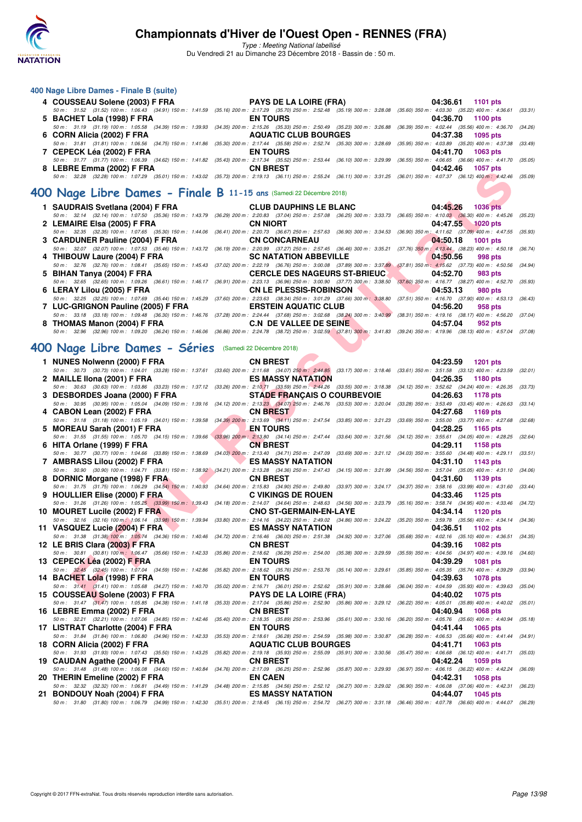

Type : Meeting National labellisé

Du Vendredi 21 au Dimanche 23 Décembre 2018 - Bassin de : 50 m.

| 400 Nage Libre Dames - Finale B (suite) |                                                                                                                                                                                              |                      |
|-----------------------------------------|----------------------------------------------------------------------------------------------------------------------------------------------------------------------------------------------|----------------------|
| 4 COUSSEAU Solene (2003) F FRA          | <b>PAYS DE LA LOIRE (FRA)</b>                                                                                                                                                                | 04:36.61 1101 pts    |
|                                         | 50 m: 31.52 (31.52) 100 m: 1:06.43 (34.91) 150 m: 1:41.59 (35.16) 200 m: 2:17.29 (35.70) 250 m: 2:52.48 (35.19) 300 m: 3:28.08 (35.00) 350 m: 4:03.30 (35.22) 400 m: 4:36.61 (33.31)         |                      |
| 5 BACHET Lola (1998) F FRA              | <b>EN TOURS</b>                                                                                                                                                                              | 04:36.70 1100 pts    |
|                                         | 50 m: 31.19 (31.19) 100 m: 1:05.58 (34.39) 150 m: 1:39.93 (34.35) 200 m: 2:15.26 (35.33) 250 m: 2:50.49 (35.23) 300 m: 3:26.88 (36.39) 350 m: 4:02.44 (35.56) 400 m: 4:36.70 (34.26)         |                      |
| 6 CORN Alicia (2002) F FRA              | <b>AQUATIC CLUB BOURGES</b>                                                                                                                                                                  | 04:37.38 1095 pts    |
|                                         | 50 m : 31.81 (31.81) 100 m : 1:06.56 (34.75) 150 m : 1:41.86 (35.30) 200 m : 2:17.44 (35.58) 250 m : 2:52.74 (35.30) 300 m : 3:28.69 (35.95) 350 m : 4:03.89 (35.20) 400 m : 4:37.38 (33.49) |                      |
| 7 CEPECK Léa (2002) F FRA               | <b>EN TOURS</b>                                                                                                                                                                              | 04:41.70 1063 pts    |
|                                         | 50 m: 31.77 (31.77) 100 m: 1:06.39 (34.62) 150 m: 1:41.82 (35.43) 200 m: 2:17.34 (35.52) 250 m: 2:53.44 (36.10) 300 m: 3:29.99 (36.55) 350 m: 4:06.65 (36.66) 400 m: 4:41.70 (35.05)         |                      |
| 8 LEBRE Emma (2002) F FRA               | <b>CN BREST</b>                                                                                                                                                                              | 04:42.46<br>1057 pts |
|                                         | 50 m: 32.28 (32.28) 100 m: 1:07.29 (35.01) 150 m: 1:43.02 (35.73) 200 m: 2:19.13 (36.11) 250 m: 2:55.24 (36.11) 300 m: 3:31.25 (36.01) 350 m: 4:07.37 (36.12) 400 m: 4:42.46 (35.09)         |                      |
|                                         |                                                                                                                                                                                              |                      |

### **[400 Nage Libre Dames - Finale B](http://www.ffnatation.fr/webffn/resultats.php?idact=nat&go=epr&idcpt=55947&idepr=4) 11-15 ans** (Samedi 22 Décembre 2018)

|                             | 1 SAUDRAIS Svetlana (2004) F FRA CLUB DAUPHINS LE BLANC 04:45.26 1036 pts                                                                                                                    |                                                               |
|-----------------------------|----------------------------------------------------------------------------------------------------------------------------------------------------------------------------------------------|---------------------------------------------------------------|
|                             | 50 m : 32.14 (32.14) 100 m : 1:07.50 (35.36) 150 m : 1:43.79 (36.29) 200 m : 2:20.83 (37.04) 250 m : 2:57.08 (36.25) 300 m : 3:33.73 (36.65) 350 m : 4:10.03 (36.30) 400 m : 4:45.26 (35.23) |                                                               |
| 2 LEMAIRE Elsa (2005) F FRA | CN NIORT                                                                                                                                                                                     | 04:47.55 1020 pts                                             |
|                             | 50 m: 32.35 (32.35) 100 m: 1:07.65 (35.30) 150 m: 1:44.06 (36.41) 200 m: 2:20.73 (36.67) 250 m: 2:57.63 (36.90) 300 m: 3:34.53 (36.90) 350 m: 4:11.62 (37.09) 400 m: 4:47.55 (35.93)         |                                                               |
|                             | 3 CARDUNER Pauline (2004) F FRA CN CONCARNEAU                                                                                                                                                | $04:50.18$ 1001 pts                                           |
|                             | 50 m : 32.07 (32.07) 100 m : 1:07.53 (35.46) 150 m : 1:43.72 (36.19) 200 m : 2:20.99 (37.27) 250 m : 2:57.45 (36.46) 300 m : 3:35.21 (37.76) 350 m : 4:13.44 (38.23) 400 m : 4:50.18 (36.74) |                                                               |
|                             | 4 THIBOUW Laure (2004) F FRA SC NATATION ABBEVILLE And the 1998 pts                                                                                                                          |                                                               |
|                             | 50 m: 32.76 (32.76) 100 m: 1:08.41 (35.65) 150 m: 1:45.43 (37.02) 200 m: 2:22.19 (36.76) 250 m: 3:00.08 (37.89) 300 m: 3:37.89 (37.81) 350 m: 4:15.62 (37.73) 400 m: 4:50.56 (34.94)         |                                                               |
|                             |                                                                                                                                                                                              | 983 pts                                                       |
|                             | 50 m: 32.65 (32.65) 100 m: 1:09.26 (36.61) 150 m: 1:46.17 (36.91) 200 m: 2:23.13 (36.96) 250 m: 3:00.90 (37.77) 300 m: 3:38.50                                                               | $(37.60)$ 350 m : 4:16.77 $(38.27)$ 400 m : 4:52.70 $(35.93)$ |
|                             | 6 LERAY Lilou (2005) F FRA CN LE PLESSIS-ROBINSON (2005) 7 64:53.13                                                                                                                          | 980 pts                                                       |
|                             | 50 m : 32.25 (32.25) 100 m : 1:07.69 (35.44) 150 m : 1:45.29 (37.60) 200 m : 2:23.63 (38.34) 250 m : 3:01.29 (37.66) 300 m : 3:38.80 (37.51) 350 m : 4:16.70 (37.90) 400 m : 4:53.13 (36.43) |                                                               |
|                             | 7 LUC-GRIGNON Pauline (2005) F FRA ERSTEIN AQUATIC CLUB                                                                                                                                      | 04:56.20<br>958 pts                                           |
|                             | 50 m: 33.18 (33.18) 100 m: 1:09.48 (36.30) 150 m: 1:46.76 (37.28) 200 m: 2:24.44 (37.68) 250 m: 3:02.68 (38.24) 300 m: 3:40.99 (38.31) 350 m: 4:19.16 (38.17) 400 m: 4:56.20 (37.04)         |                                                               |
|                             | 8 THOMAS Manon (2004) F FRA C.N DE VALLEE DE SEINE                                                                                                                                           | 04:57.04<br>952 pts                                           |
|                             | 50 m : 32.96 (32.96) 100 m : 1:09.20 (36.24) 150 m : 1:46.06 (36.86) 200 m : 2:24.78 (38.72) 250 m : 3:02.59 (37.81) 300 m : 3:41.83 (39.24) 350 m : 4:19.96 (38.13) 400 m : 4:57.04 (37.08) |                                                               |

### **[400 Nage Libre Dames - Séries](http://www.ffnatation.fr/webffn/resultats.php?idact=nat&go=epr&idcpt=55947&idepr=4)** (Samedi 22 Décembre 2018)

| 0 LEDNE EIIIIIIA (2002) F FNA                                                                 | <b>UN DREST</b><br>50 m: 32.28 (32.28) 100 m: 1:07.29 (35.01) 150 m: 1:43.02 (35.73) 200 m: 2:19.13 (36.11) 250 m: 2:55.24 (36.11) 300 m: 3:31.25 (36.01) 350 m: 4:07.37 (36.12) 400 m: 4:42.46 (35.09)                              | U4.44.40<br><b>אין ו</b> טו                                |  |
|-----------------------------------------------------------------------------------------------|--------------------------------------------------------------------------------------------------------------------------------------------------------------------------------------------------------------------------------------|------------------------------------------------------------|--|
|                                                                                               |                                                                                                                                                                                                                                      |                                                            |  |
| 00 Nage Libre Dames - Finale B 11-15 ans (Samedi 22 Décembre 2018)                            |                                                                                                                                                                                                                                      |                                                            |  |
| 1 SAUDRAIS Svetlana (2004) F FRA                                                              | <b>CLUB DAUPHINS LE BLANC</b>                                                                                                                                                                                                        | 04:45.26<br><b>1036 pts</b>                                |  |
|                                                                                               | 50 m: 32.14 (32.14) 100 m: 1:07.50 (35.36) 150 m: 1:43.79 (36.29) 200 m: 2:20.83 (37.04) 250 m: 2:57.08 (36.25) 300 m: 3:33.73 (36.65) 350 m: 4:10.03 (36.30) 400 m: 4:45.26                                                         | (35.23)                                                    |  |
| 2 LEMAIRE Elsa (2005) F FRA                                                                   | <b>CN NIORT</b>                                                                                                                                                                                                                      | 04:47.55<br><b>1020 pts</b>                                |  |
| 3 CARDUNER Pauline (2004) F FRA                                                               | 50 m: 32.35 (32.35) 100 m: 1:07.65 (35.30) 150 m: 1:44.06 (36.41) 200 m: 2:20.73 (36.67) 250 m: 2:57.63 (36.90) 300 m: 3:34.53 (36.90) 350 m; 4:11.62 (37.09) 400 m: 4:47.55<br><b>CN CONCARNEAU</b>                                 | (35.93)<br>04:50.18<br><b>1001 pts</b>                     |  |
|                                                                                               | 50 m: 32.07 (32.07) 100 m: 1:07.53 (35.46) 150 m: 1:43.72 (36.19) 200 m: 2:20.99 (37.27) 250 m: 2:57.45 (36.46) 300 m: 3:35.21 (37.76) 350 m; 4:13.44 (38.23) 400 m: 4:50.18                                                         | (36.74)                                                    |  |
| 4 THIBOUW Laure (2004) F FRA                                                                  | <b>SC NATATION ABBEVILLE</b>                                                                                                                                                                                                         | 04:50.56<br>998 pts                                        |  |
|                                                                                               | 50 m: 32.76 (32.76) 100 m: 1:08.41 (35.65) 150 m: 1:45.43 (37.02) 200 m: 2:22.19 (36.76) 250 m: 3:00.08 (37.89) 300 m: 3:37.89 (37.81) 350 m: 4:15.62 (37.73) 400 m: 4:50.56                                                         | (34.94)                                                    |  |
| 5 BIHAN Tanya (2004) F FRA                                                                    | <b>CERCLE DES NAGEURS ST-BRIEUC.</b><br>50 m : 32.65 (32.65) 100 m : 1:09.26 (36.61) 150 m : 1:46.17 (36.91) 200 m : 2:23.13 (36.96) 250 m : 3:00.90 (37.77) 300 m : 3:38.50 (37.60) 350 m : 4:16.77 (38.27) 400 m : 4:52.70 (35.93) | 04:52.70<br>983 pts                                        |  |
| 6 LERAY Lilou (2005) F FRA                                                                    | <b>CN LE PLESSIS-ROBINSON</b>                                                                                                                                                                                                        | 04:53.13<br>980 pts                                        |  |
|                                                                                               | 50 m: 32.25 (32.25) 100 m: 1:07.69 (35.44) 150 m: 1:45.29 (37.60) 200 m: 2:23.63 (38.34) 250 m: 3:01.29 (37.66) 300 m; 3:38.80 (37.51) 350 m: 4:16.70 (37.90) 400 m: 4:53.13                                                         | (36.43)                                                    |  |
| 7 LUC-GRIGNON Pauline (2005) F FRA                                                            | <b>ERSTEIN AQUATIC CLUB</b>                                                                                                                                                                                                          | 04:56.20<br>958 pts                                        |  |
| 8 THOMAS Manon (2004) F FRA                                                                   | 50 m: 33.18 (33.18) 100 m: 1:09.48 (36.30) 150 m: 1:46.76 (37.28) 200 m: 2:24.44 (37.68) 250 m: 3:02.68 (38.24) 300 m: 3:40.99 (38.31) 350 m: 4:19.16 (38.17) 400 m: 4:56.20 (37.04)<br>C.N DE VALLEE DE SEINE                       | 04:57.04<br>952 pts                                        |  |
|                                                                                               | 50 m : 32.96 (32.96) 100 m : 1:09.20 (36.24) 150 m : 1:46.06 (36.86) 200 m : 2:24.78 (38.72) 250 m : 3:02.59 (37.81) 300 m : 3:41.83 (39.24) 350 m : 4:19.96 (38.13) 400 m : 4:57.04 (37.08)                                         |                                                            |  |
|                                                                                               |                                                                                                                                                                                                                                      |                                                            |  |
| 00 Nage Libre Dames - Séries (Samedi 22 Décembre 2018)                                        |                                                                                                                                                                                                                                      |                                                            |  |
| 1 NUNES Nolwenn (2000) F FRA                                                                  | <b>CN BREST</b>                                                                                                                                                                                                                      | 04:23.59<br>1201 pts                                       |  |
|                                                                                               | 50 m: 30.73 (30.73) 100 m: 1:04.01 (33.28) 150 m: 1:37.61 (33.60) 200 m: 2:11.68 (34.07) 250 m: 2:44.85 (33.17) 300 m: 3:18.46 (33.61) 350 m: 3:51.58 (33.12) 400 m: 4:23.59                                                         | (32.01)                                                    |  |
| 2 MAILLE IIona (2001) F FRA                                                                   | <b>ES MASSY NATATION</b>                                                                                                                                                                                                             | 04:26.35<br>1180 pts                                       |  |
| 3 DESBORDES Joana (2000) F FRA                                                                | 50 m : 30.63 (30.63) 100 m : 1:03.86 (33.23) 150 m : 1:37.12 (33.26) 200 m : 2:10.71 (33.59) 250 m : 2:44.26 (33.55) 300 m : 3:18.38 (34.12) 350 m : 3:52.62 (34.24) 400 m : 4:26.35 (33.73)<br><b>STADE FRANÇAIS O COURBEVOIE</b>   | 04:26.63<br><b>1178 pts</b>                                |  |
|                                                                                               | 50 m : 30.95 (30.95) 100 m : 1:05.04 (34.09) 150 m : 1:39.16 (34.12) 200 m : 2:13.23 (34.07) 250 m : 2:46.76 (33.53) 300 m : 3:20.04 (33.28) 350 m : 3:53.49 (33.45) 400 m : 4:26.63                                                 | (33.14)                                                    |  |
| 4 CABON Lean (2002) F FRA                                                                     | <b>CN BREST</b>                                                                                                                                                                                                                      | 04:27.68<br>1169 pts                                       |  |
|                                                                                               | 50 m : 31.18 (31.18) 100 m : 1:05.19 (34.01) 150 m : 1:39.58 (34.39) 200 m : 2:13.69 (34.11) 250 m : 2:47.54 (33.65) 300 m : 3:21.23 (33.69) 350 m : 3:55.00 (33.77) 400 m : 4:27.68                                                 | (32.68)                                                    |  |
| 5 MOREAU Sarah (2001) F FRA                                                                   | <b>EN TOURS</b><br>50 m: 31.55 (31.55) 100 m: 1:05.70 (34.15) 150 m: 1:39.66 (33.96) 200 m: 2:13.80 (34.14) 250 m: 2:47.44 (33.64) 300 m: 3:21.56 (34.12) 350 m: 3:55.61 (34.05) 400 m: 4:28.25                                      | 04:28.25<br>1165 pts<br>(32.64)                            |  |
| 6 HITA Orlane (1999) F FRA                                                                    | <b>CN BREST</b>                                                                                                                                                                                                                      | 04:29.11<br>1158 pts                                       |  |
|                                                                                               | 50 m: 30.77 (30.77) 100 m: 1:04.66 (33.89) 150 m: 1:38.69 (34.03) 200 m: 2:13.40 (34.71) 250 m: 2:47.09 (33.69) 300 m: 3:21.12 (34.03) 350 m: 3:55.60 (34.48) 400 m: 4:29.11 (33.51)                                                 |                                                            |  |
| 7 AMBRASS Lilou (2002) F FRA                                                                  | $\overline{\phantom{a}}$<br>ES MASSY NATATION                                                                                                                                                                                        | 04:31.10<br>1143 pts                                       |  |
| 8 DORNIC Morgane (1998) F FRA                                                                 | 50 m: 30.90 (30.90) 100 m: 1:04.71 (33.81) 150 m: 1:38.92 (34.21) 200 m: 2:13.28 (34.36) 250 m: 2:47.43 (34.15) 300 m: 3:21.99 (34.56) 350 m: 3:57.04 (35.05) 400 m: 4:31.10 (34.06)<br><b>CN BREST</b>                              | 04:31.60<br>1139 pts                                       |  |
|                                                                                               | 50 m: 31.75 (31.75) 100 m: 1:06.29 (34.54) 150 m: 1:40.93 (34.64) 200 m: 2:15.83 (34.90) 250 m: 2:49.80 (33.97) 300 m: 3:24.17 (34.37) 350 m: 3:58.16 (33.99) 400 m: 4:31.60                                                         | (33.44)                                                    |  |
| 9 HOULLIER Elise (2000) F FRA                                                                 | <b>C VIKINGS DE ROUEN</b>                                                                                                                                                                                                            | 04:33.46<br>1125 pts                                       |  |
|                                                                                               | 50 m : 31.26 (31.26) 100 m : 1:05.25 (33.99) 150 m : 1:39.43 (34.18) 200 m : 2:14.07 (34.64) 250 m : 2:48.63 (34.56) 300 m : 3:23.79 (35.16) 350 m : 3:58.74 (34.95) 400 m : 4:33.46 (34.72)<br><b>CNO ST-GERMAIN-EN-LAYE</b>        | 04:34.14<br>1120 pts                                       |  |
| 10 MOURET Lucile (2002) F FRA<br>50 m : 32.16 (32.16) 100 m : 1:06.14 (33.98) 150 m : 1:39.94 | (33.80) 200 m : 2:14.16 (34.22) 250 m : 2:49.02 (34.86) 300 m : 3:24.22 (35.20) 350 m : 3:59.78 (35.56) 400 m : 4:34.14                                                                                                              | (34.36)                                                    |  |
| 11 VASQUEZ Lucie (2004) F FRA                                                                 | <b>ES MASSY NATATION</b>                                                                                                                                                                                                             | 04:36.51<br>1102 pts                                       |  |
|                                                                                               | 50 m : 31.38 (31.38) 100 m : 1:05.74 (34.36) 150 m : 1:40.46 (34.72) 200 m : 2:16.46 (36.00) 250 m : 2:51.38 (34.92) 300 m : 3:27.06 (35.68) 350 m : 4:02.16 (35.10) 400 m : 4:36.51 (34.35)                                         |                                                            |  |
| 12 LE BRIS Clara (2003) F FRA                                                                 | <b>CN BREST</b><br>50 m: 30.81 (30.81) 100 m: 1:06.47 (35.66) 150 m: 1:42.33 (35.86) 200 m: 2:18.62 (36.29) 250 m: 2:54.00 (35.38) 300 m: 3:29.59 (35.59) 350 m: 4:04.56 (34.97) 400 m: 4:39.16 (34.60)                              | 04:39.16<br>1082 pts                                       |  |
| 13 CEPECK Léa (2002) F FRA                                                                    | <b>EN TOURS</b>                                                                                                                                                                                                                      | 04:39.29<br><b>1081 pts</b>                                |  |
|                                                                                               | 50 m: 32.45 (32.45) 100 m: 1:07.04 (34.59) 150 m: 1:42.86 (35.82) 200 m: 2:18.62 (35.76) 250 m: 2:53.76 (35.14) 300 m: 3:29.61 (35.85) 350 m: 4:05.35 (35.74) 400 m: 4:39.29 (33.94)                                                 |                                                            |  |
| 14 BACHET Lola (1998) F FRA                                                                   | <b>EN TOURS</b>                                                                                                                                                                                                                      | 04:39.63<br><b>1078 pts</b>                                |  |
| 15 COUSSEAU Solene (2003) F FRA                                                               | 50 m: 31.41 (31.41) 100 m: 1:05.68 (34.27) 150 m: 1:40.70 (35.02) 200 m: 2:16.71 (36.01) 250 m: 2:52.62 (35.91) 300 m: 3:28.66 (36.04) 350 m: 4:04.59 (35.93) 400 m: 4:39.63 (35.04)<br><b>PAYS DE LA LOIRE (FRA)</b>                | 04:40.02<br>1075 pts                                       |  |
|                                                                                               | 50 m: 31.47 (31.47) 100 m: 1:05.85 (34.38) 150 m: 1:41.18 (35.33) 200 m: 2:17.04 (35.86) 250 m: 2:52.90 (35.86) 300 m: 3:29.12 (36.22) 350 m: 4:05.01 (35.89) 400 m: 4:40.02 (35.01)                                                 |                                                            |  |
| 16   LEBRE Emma (2002) F FRA                                                                  | <b>CN BREST</b>                                                                                                                                                                                                                      | 04:40.94<br><b>1068 pts</b>                                |  |
|                                                                                               | 50 m : 32.21 (32.21) 100 m : 1:07.06 (34.85) 150 m : 1:42.46 (35.40) 200 m : 2:18.35 (35.89) 250 m : 2:53.96 (35.61) 300 m : 3:30.16                                                                                                 | (36.20) 350 m : 4:05.76 (35.60) 400 m : 4:40.94<br>(35.18) |  |
| 17 LISTRAT Charlotte (2004) F FRA                                                             | <b>EN TOURS</b>                                                                                                                                                                                                                      | 04:41.44<br>1065 pts                                       |  |
| 18 CORN Alicia (2002) F FRA                                                                   | 50 m : 31.84 (31.84) 100 m : 1:06.80 (34.96) 150 m : 1:42.33 (35.53) 200 m : 2:18.61 (36.28) 250 m : 2:54.59 (35.98) 300 m : 3:30.87 (36.28) 350 m : 4:06.53 (35.66) 400 m : 4:41.44<br><b>AQUATIC CLUB BOURGES</b>                  | (34.91)<br>04:41.71<br>1063 pts                            |  |
| 50 m: 31.93 (31.93) 100 m: 1:07.43 (35.50) 150 m: 1:43.25                                     | (35.82) 200 m : 2:19.18 (35.93) 250 m : 2:55.09 (35.91) 300 m : 3:30.56                                                                                                                                                              | (35.47) 350 m : 4:06.68 (36.12) 400 m : 4:41.71<br>(35.03) |  |
| 19 CAUDAN Agathe (2004) F FRA                                                                 | <b>CN BREST</b>                                                                                                                                                                                                                      | 04:42.24<br>1059 pts                                       |  |
| 50 m: 31.48 (31.48) 100 m: 1:06.08 (34.60) 150 m: 1:40.84                                     | (34.76) 200 m : 2:17.09 (36.25) 250 m : 2:52.96<br>$(35.87)$ 300 m : 3:29.93                                                                                                                                                         | (36.97) 350 m : 4:06.15 (36.22) 400 m : 4:42.24<br>(36.09) |  |
| 20   THERIN Emeline (2002) F FRA                                                              | <b>EN CAEN</b><br>50 m : 32.32 (32.32) 100 m : 1:06.81 (34.49) 150 m : 1:41.29 (34.48) 200 m : 2:15.85 (34.56) 250 m : 2:52.12 (36.27) 300 m : 3:29.02 (36.90) 350 m : 4:06.08 (37.06) 400 m : 4:42.31 (36.23)                       | 04:42.31<br>1058 pts                                       |  |
| 21   BONDOUY Noah (2004) F FRA                                                                | <b>ES MASSY NATATION</b>                                                                                                                                                                                                             | 04:44.07<br>1045 pts                                       |  |
|                                                                                               | 50 m : 31.80 (31.80) 100 m : 1:06.79 (34.99) 150 m : 1:42.30 (35.51) 200 m : 2:18.45 (36.15) 250 m : 2:54.72 (36.27) 300 m : 3:31.18 (36.46) 350 m : 4:07.78 (36.60) 400 m : 4:44.07 (36.29)                                         |                                                            |  |
|                                                                                               |                                                                                                                                                                                                                                      |                                                            |  |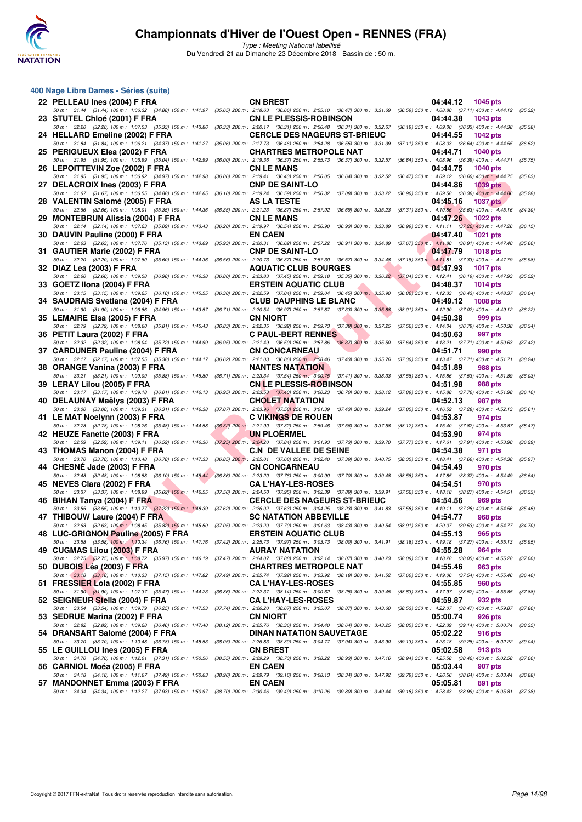

| 400 Nage Libre Dames - Séries (suite)<br>22 PELLEAU Ines (2004) F FRA                          | <b>CN BREST</b>                                                                                                                                                                                               | 04:44.12<br><b>1045 pts</b>                                                               |
|------------------------------------------------------------------------------------------------|---------------------------------------------------------------------------------------------------------------------------------------------------------------------------------------------------------------|-------------------------------------------------------------------------------------------|
|                                                                                                | 50 m : 31.44 (31.44) 100 m : 1:06.32 (34.88) 150 m : 1:41.97 (35.65) 200 m : 2:18.63 (36.66) 250 m : 2:55.10 (36.47) 300 m : 3:31.69                                                                          | (36.59) 350 m : 4:08.80 (37.11) 400 m : 4:44.12 (35.32)                                   |
| 23 STUTEL Chloé (2001) F FRA<br>50 m: 32.20 (32.20) 100 m: 1:07.53 (35.33) 150 m: 1:43.86      | <b>CN LE PLESSIS-ROBINSON</b><br>(36.33) 200 m : 2:20.17 (36.31) 250 m : 2:56.48 (36.31) 300 m : 3:32.67                                                                                                      | 04:44.38<br>1043 pts<br>(36.19) 350 m : 4:09.00 (36.33) 400 m : 4:44.38<br>(35.38)        |
| 24 HELLARD Emeline (2002) F FRA                                                                | <b>CERCLE DES NAGEURS ST-BRIEUC</b>                                                                                                                                                                           | 04:44.55<br>1042 pts                                                                      |
| 50 m: 31.84 (31.84) 100 m: 1:06.21 (34.37) 150 m: 1:41.27<br>25 PERIGUEUX Elea (2002) F FRA    | (35.06) 200 m : 2:17.73 (36.46) 250 m : 2:54.28 (36.55) 300 m : 3:31.39<br><b>CHARTRES METROPOLE NAT</b>                                                                                                      | (37.11) 350 m: 4:08.03 (36.64) 400 m: 4:44.55<br>(36.52)<br>04:44.71<br><b>1040 pts</b>   |
| 50 m: 31.95 (31.95) 100 m: 1:06.99 (35.04) 150 m: 1:42.99<br>26 LEPOITTEVIN Zoe (2002) F FRA   | (36.00) 200 m : 2:19.36 (36.37) 250 m : 2:55.73 (36.37) 300 m : 3:32.57<br><b>CN LE MANS</b>                                                                                                                  | (36.84) 350 m : 4:08.96 (36.39) 400 m : 4:44.71<br>(35.75)<br>04:44.75<br>1040 pts        |
| 50 m: 31.95 (31.95) 100 m: 1:06.92 (34.97) 150 m: 1:42.98                                      | (36.06) 200 m : 2:19.41 (36.43) 250 m : 2:56.05 (36.64) 300 m : 3:32.52                                                                                                                                       | $(36.47)$ 350 m : 4:09.12 $(36.60)$ 400 m : 4:44.75<br>(35.63)                            |
| 27 DELACROIX Ines (2003) F FRA<br>50 m: 31.67 (31.67) 100 m: 1:06.55 (34.88) 150 m: 1:42.65    | <b>CNP DE SAINT-LO</b><br>(36.10) 200 m : 2:19.24 (36.59) 250 m : 2:56.32 (37.08) 300 m : 3:33.22                                                                                                             | 04:44.86<br><b>1039 pts</b><br>(36.90) 350 m : 4:09.58 (36.36) 400 m : 4:44.86<br>(35.28) |
| 28 VALENTIN Salomé (2005) F FRA                                                                | AS LA TESTE                                                                                                                                                                                                   | 04:45.16<br><b>1037 pts</b>                                                               |
| 50 m: 32.66 (32.66) 100 m: 1:08.01 (35.35) 150 m: 1:44.36<br>29 MONTEBRUN Alissia (2004) F FRA | (36.35) 200 m : 2:21.23 (36.87) 250 m : 2:57.92 (36.69) 300 m : 3:35.23<br><b>CN LE MANS</b>                                                                                                                  | (37.31) 350 m : 4:10.86 (35.63) 400 m : 4:45.16<br>(34.30)<br>04:47.26<br>1022 pts        |
| 50 m: 32.14 (32.14) 100 m: 1:07.23 (35.09) 150 m: 1:43.43<br>30 DAUVIN Pauline (2000) F FRA    | (36.20) 200 m : 2:19.97 (36.54) 250 m : 2:56.90 (36.93) 300 m : 3:33.89<br><b>EN CAEN</b>                                                                                                                     | (36.99) 350 m: 4:11.11 (37.22) 400 m: 4:47.26<br>(36.15)<br>04:47.40<br><b>1021 pts</b>   |
| 50 m: 32.63 (32.63) 100 m: 1:07.76 (35.13) 150 m: 1:43.69                                      | (35.93) 200 m : 2:20.31 (36.62) 250 m : 2:57.22 (36.91) 300 m : 3:34.89                                                                                                                                       | $(37.67)$ $350$ m: $4:11.80$ $(36.91)$ $400$ m: $4:47.40$<br>(35.60)                      |
| 31 GAUTIER Marie (2002) F FRA<br>50 m: 32.20 (32.20) 100 m: 1:07.80 (35.60) 150 m: 1:44.36     | <b>CNP DE SAINT-LO</b><br>(36.56) 200 m : 2:20.73 (36.37) 250 m : 2:57.30 (36.57) 300 m : 3:34.48 (37.18) 350 m : 4:11.81 (37.33) 400 m : 4:47.79                                                             | 04:47.79<br><b>1018 pts</b><br>(35.98)                                                    |
| 32 DIAZ Lea (2003) F FRA                                                                       | <b>AQUATIC CLUB BOURGES</b>                                                                                                                                                                                   | 04:47.93<br>1017 pts                                                                      |
| 50 m: 32.60 (32.60) 100 m: 1:09.58 (36.98) 150 m: 1:46.38<br>33 GOETZ IIona (2004) F FRA       | (36.80) 200 m : 2:23.83 (37.45) 250 m : 2:59.18 (35.35) 300 m : 3:36.22 (37.04) 350 m : 4:12.41 (36.19) 400 m : 4:47.93<br><b>ERSTEIN AQUATIC CLUB</b>                                                        | (35.52)<br>04:48.37<br>1014 pts                                                           |
| 50 m: 33.15 (33.15) 100 m: 1:09.25 (36.10) 150 m: 1:45.55<br>34 SAUDRAIS Svetlana (2004) F FRA | $(36.30)$ 200 m : 2:22.59 $(37.04)$ 250 m : 2:59.04 $(36.45)$ 300 m : 3:35.90<br><b>CLUB DAUPHINS LE BLANC</b>                                                                                                | (36.86) 350 m : 4:12.33 (36.43) 400 m : 4:48.37<br>(36.04)<br>04:49.12<br><b>1008 pts</b> |
| 50 m: 31.90 (31.90) 100 m: 1:06.86 (34.96) 150 m: 1:43.57                                      | (36.71) 200 m : 2:20.54 (36.97) 250 m : 2:57.87 (37.33) 300 m : 3:35.88                                                                                                                                       | (38.01) 350 m: 4:12.90 (37.02) 400 m: 4:49.12<br>(36.22)                                  |
| 35 LEMAIRE Elsa (2005) F FRA<br>50 m: 32.79 (32.79) 100 m: 1:08.60 (35.81) 150 m: 1:45.43      | <b>CN NIORT</b><br>(36.83) 200 m : 2:22.35 (36.92) 250 m : 2:59.73 (37.38) 300 m : 3:37.25                                                                                                                    | 04:50.38<br>999 pts<br>(37.52) 350 m: 4:14.04 (36.79) 400 m: 4:50.38<br>(36.34)           |
| 36 PETIT Laura (2002) F FRA                                                                    | <b>C PAUL-BERT RENNES</b>                                                                                                                                                                                     | 04:50.63<br>997 pts                                                                       |
| 50 m: 32.32 (32.32) 100 m: 1:08.04 (35.72) 150 m: 1:44.99<br>37 CARDUNER Pauline (2004) F FRA  | (36.95) 200 m : 2:21.49 (36.50) 250 m : 2:57.86 (36.37) 300 m : 3:35.50<br><b>CN CONCARNEAU</b>                                                                                                               | (37.64) 350 m: 4:13.21 (37.71) 400 m: 4:50.63<br>(37.42)<br>04:51.71<br>990 pts           |
| 50 m: 32.17 (32.17) 100 m: 1:07.55 (35.38) 150 m: 1:44.17<br>38 ORANGE Vanina (2003) F FRA     | $(36.62)$ 200 m : 2:21.03 $(36.86)$ 250 m : 2:58.46 $(37.43)$ 300 m : 3:35.76<br><b>NANTES NATATION</b>                                                                                                       | (37.30) 350 m: 4:13.47 (37.71) 400 m: 4:51.71<br>(38.24)<br>04:51.89<br>988 pts           |
| 50 m: 33.21 (33.21) 100 m: 1:09.09 (35.88) 150 m: 1:45.80                                      | $(36.71)$ 200 m : 2:23.34 $(37.54)$ 250 m : 3:00.75 $(37.41)$ 300 m : 3:38.33                                                                                                                                 | (37.58) 350 m: 4:15.86 (37.53) 400 m: 4:51.89<br>(36.03)                                  |
| 39 LERAY Lilou (2005) F FRA<br>50 m: 33.17 (33.17) 100 m: 1:09.18 (36.01) 150 m: 1:46.13       | <b>CN LE PLESSIS-ROBINSON</b><br>$(36.95)$ 200 m : 2:23.53 $(37.40)$ 250 m : 3:00.23 $(36.70)$ 300 m : 3:38.12                                                                                                | 04:51.98<br>988 pts<br>(37.89) 350 m: 4:15.88 (37.76) 400 m: 4:51.98<br>(36.10)           |
| 40 DELAUNAY Maëlys (2003) F FRA                                                                | <b>CHOLET NATATION</b>                                                                                                                                                                                        | 04:52.13<br>987 pts<br>(37.85) 350 m : 4:16.52 (37.28) 400 m : 4:52.13<br>(35.61)         |
| 50 m: 33.00 (33.00) 100 m: 1:09.31 (36.31) 150 m: 1:46.38<br>41 LE MAT Noelynn (2003) F FRA    | (37.07) 200 m : 2:23.96 (37.58) 250 m : 3:01.39 (37.43) 300 m : 3:39.24<br><b>C VIKINGS DE ROUEN</b>                                                                                                          | 04:53.87<br>974 pts                                                                       |
| 50 m: 32.78 (32.78) 100 m: 1:08.26 (35.48) 150 m: 1:44.58<br>42 HEUZE Fanette (2003) F FRA     | (36.32) 200 m: 2:21.90 (37.32) 250 m: 2:59.46 (37.56) 300 m: 3:37.58<br><b>UN PLOERMEL</b>                                                                                                                    | (38.12) 350 m: 4:15.40 (37.82) 400 m: 4:53.87<br>(38.47)<br>04:53.90<br>974 pts           |
| 50 m: 32.59 (32.59) 100 m: 1:09.11 (36.52) 150 m: 1:46.36                                      | $(37.25)$ 200 m : $2:24.20$ $(37.84)$ 250 m : $3:01.93$ $(37.73)$ 300 m : $3:39.70$                                                                                                                           | (37.77) 350 m: 4:17.61 (37.91) 400 m: 4:53.90<br>(36.29)                                  |
| 43 THOMAS Manon (2004) F FRA<br>50 m: 33.70 (33.70) 100 m: 1:10.48 (36.78) 150 m: 1:47.33      | <b>C.N DE VALLEE DE SEINE</b><br>(36.85) 200 m: 2:25.01 (37.68) 250 m: 3:02.40 (37.39) 300 m: 3:40.75 (38.35) 350 m: 4:18.41 (37.66) 400 m: 4:54.38                                                           | 04:54.38<br>971 pts<br>(35.97)                                                            |
| 44 CHESNE Jade (2003) F FRA                                                                    | <b>CN CONCARNEAU</b><br>50 m : 32.48 (32.48) 100 m : 1:08.58 (36.10) 150 m : 1:45.44 (36.86) 200 m : 2:23.20 (37.76) 250 m : 3:00.90 (37.70) 300 m : 3:39.48 (38.58) 350 m : 4:17.85 (38.37) 400 m : 4:54.49  | 04:54.49<br>970 pts<br>(36.64)                                                            |
| 45 NEVES Clara (2002) F FRA                                                                    | <b>CA L'HAY-LES-ROSES</b>                                                                                                                                                                                     | 04:54.51<br>970 pts                                                                       |
| 50 m: 33.37 (33.37) 100 m: 1:08.99 (35.62) 150 m: 1:46.55<br>46 BIHAN Tanya (2004) F FRA       | (37.56) 200 m : 2:24.50 (37.95) 250 m : 3:02.39 (37.89) 300 m : 3:39.91 (37.52) 350 m : 4:18.18 (38.27) 400 m : 4:54.51<br><b>CERCLE DES NAGEURS ST-BRIEUC</b>                                                | (36.33)<br>04:54.56<br>969 pts                                                            |
| 50 m: 33.55 (33.55) 100 m: 1:10.77 (37.22) 150 m: 1:48.39<br>47 THIBOUW Laure (2004) F FRA     | (37.62) 200 m : 2:26.02 (37.63) 250 m : 3:04.25 (38.23) 300 m : 3:41.83 (37.58) 350 m : 4:19.11 (37.28) 400 m : 4:54.56 (35.45<br><b>SC NATATION ABBEVILLE</b>                                                | 04:54.77<br>968 pts                                                                       |
|                                                                                                | 50 m : 32.63 (32.63) 100 m : 1:08.45 (35.82) 150 m : 1:45.50 (37.05) 200 m : 2:23.20 (37.70) 250 m : 3:01.63 (38.43) 300 m : 3:40.54 (38.91) 350 m : 4:20.07 (39.53) 400 m : 4:54.77 (34.70)                  |                                                                                           |
| 48 LUC-GRIGNON Pauline (2005) F FRA                                                            | <b>ERSTEIN AQUATIC CLUB</b><br>50 m: 33.58 (33.58) 100 m: 1:10.34 (36.76) 150 m: 1:47.76 (37.42) 200 m: 2:25.73 (37.97) 250 m: 3:03.73 (38.00) 300 m: 3:41.91 (38.18) 350 m: 4:19.18 (37.27) 400 m: 4:55.13   | 04:55.13<br>965 pts<br>(35.95)                                                            |
| 49 CUGMAS Lilou (2003) F FRA                                                                   | <b>AURAY NATATION</b>                                                                                                                                                                                         | 04:55.28<br>964 pts                                                                       |
| 50 DUBOIS Léa (2003) F FRA                                                                     | 50 m: 32.75 (32.75) 100 m: 1:08.72 (35.97) 150 m: 1:46.19 (37.47) 200 m: 2:24.07 (37.88) 250 m: 3:02.14 (38.07) 300 m: 3:40.23 (38.09) 350 m: 4:16.28 (38.05) 400 m: 4:55.28<br><b>CHARTRES METROPOLE NAT</b> | (37.00)<br>04:55.46<br>963 pts                                                            |
| 51 FRESSIER Lola (2002) F FRA                                                                  | 50 m: 33.18 (33.18) 100 m: 1:10.33 (37.15) 150 m: 1:47.82 (37.49) 200 m: 2:25.74 (37.92) 250 m: 3:03.92 (38.18) 300 m: 3:41.52 (37.60) 350 m: 4:19.06 (37.54) 400 m: 4:55.46<br><b>CA L'HAY-LES-ROSES</b>     | (36.40)<br>04:55.85<br>960 pts                                                            |
|                                                                                                | 50 m : 31.90 (31.90) 100 m : 1:07.37 (35.47) 150 m : 1:44.23 (36.86) 200 m : 2:22.37 (38.14) 250 m : 3:00.62 (38.25) 300 m : 3:39.45                                                                          | (38.83) 350 m: 4:17.97 (38.52) 400 m: 4:55.85<br>(37.88)                                  |
| 52 SEIGNEUR Stella (2004) F FRA                                                                | <b>CA L'HAY-LES-ROSES</b><br>50 m: 33.54 (33.54) 100 m: 1:09.79 (36.25) 150 m: 1:47.53 (37.74) 200 m: 2:26.20 (38.67) 250 m: 3:05.07 (38.87) 300 m: 3:43.60                                                   | 04:59.87<br>932 pts<br>(38.53) 350 m: 4:22.07 (38.47) 400 m: 4:59.87 (37.80               |
| 53 SEDRUE Marina (2002) F FRA                                                                  | <b>CN NIORT</b><br>50 m : 32.82 (32.82) 100 m : 1:09.28 (36.46) 150 m : 1:47.40 (38.12) 200 m : 2:25.76 (38.36) 250 m : 3:04.40 (38.64) 300 m : 3:43.25 (38.85) 350 m : 4:22.39 (39.14) 400 m : 5:00.74       | 05:00.74<br>926 pts<br>(38.35)                                                            |
| 54 DRANSART Salomé (2004) F FRA                                                                | DINAN NATATION SAUVETAGE                                                                                                                                                                                      | 05:02.22<br>916 pts                                                                       |
| 55 LE GUILLOU Ines (2005) F FRA                                                                | 50 m : 33.70 (33.70) 100 m : 1:10.48 (36.78) 150 m : 1:48.53 (38.05) 200 m : 2:26.83 (38.30) 250 m : 3:04.77 (37.94) 300 m : 3:43.90<br><b>CN BREST</b>                                                       | (39.13) 350 m: 4:23.18 (39.28) 400 m: 5:02.22<br>(39.04)<br>05:02.58<br>913 pts           |
|                                                                                                | 50 m: 34.70 (34.70) 100 m: 1:12.01 (37.31) 150 m: 1:50.56 (38.55) 200 m: 2:29.29 (38.73) 250 m: 3:08.22 (38.93) 300 m: 3:47.16 (38.94) 350 m: 4:25.58 (38.42) 400 m: 5:02.58                                  | (37.00)                                                                                   |
| 56 CARNIOL Moéa (2005) F FRA                                                                   | <b>EN CAEN</b><br>50 m: 34.18 (34.18) 100 m: 1:11.67 (37.49) 150 m: 1:50.63 (38.96) 200 m: 2:29.79 (39.16) 250 m: 3:08.13 (38.34) 300 m: 3:47.92 (39.79) 350 m: 4:26.56 (38.64) 400 m: 5:03.44                | 05:03.44<br>907 pts<br>(36.88)                                                            |
| 57 MANDONNET Emma (2003) F FRA                                                                 | <b>EN CAEN</b><br>50 m : 34.34 (34.34) 100 m : 1:12.27 (37.93) 150 m : 1:50.97 (38.70) 200 m : 2:30.46 (39.49) 250 m : 3:10.26 (39.80) 300 m : 3:49.44 (39.18) 350 m : 4:28.43 (38.99) 400 m : 5:05.81 (37.38 | 05:05.81<br>891 pts                                                                       |
|                                                                                                |                                                                                                                                                                                                               |                                                                                           |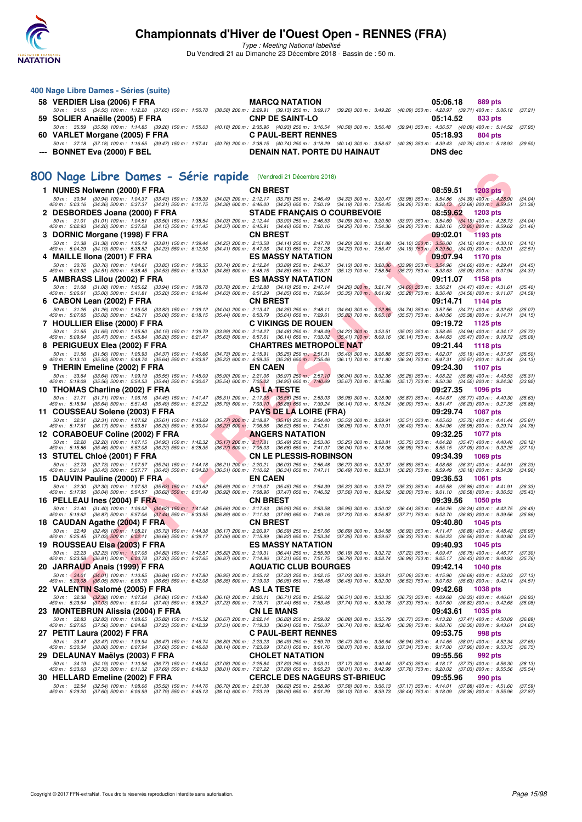

**400 Nage Libre Dames - Séries (suite)**

## **Championnats d'Hiver de l'Ouest Open - RENNES (FRA)**

Type : Meeting National labellisé Du Vendredi 21 au Dimanche 23 Décembre 2018 - Bassin de : 50 m.

**FIND BURGE - Série Papiel Countries (1998)**<br> **FEN - DE RESIDE - Série Papiel Countries (1998)**<br> **FEN - RESPONDED AND TRANSITION COUNTRY (1998)**<br> **FENDINAL TRANSITION COUNTRY (1998)**<br> **FENDINAL TRANSITION COUNTRY (1998)**<br> **58 VERDIER Lisa (2006) F FRA MARCQ NATATION 05:06.18 889 pts** 50 m : 34.55 (34.55) 100 m : 1:12.20 (37.65) 150 m : 1:50.78 (38.58) 200 m : 2:29.91 (39.13) 250 m : 3:09.17 (39.26) 300 m : 3:49.26 (40.09) 350 m : 4:28.97 (39.71) 400 m : 5:06.18 (37.21) **59 SOLIER Anaëlle (2005) F FRA CNP DE SAINT-LO 05:14.52 833 pts** 50 m : 35.59 (35.59) 100 m : 1:14.85 (39.26) 150 m : 1:55.03 (40.18) 200 m : 2:35.96 (40.93) 250 m : 3:16.54 (40.58) 300 m : 3:56.48 (39.94) 350 m : 4:36.57 (40.09) 400 m : 5:14.52 (37.95)<br>VARLET Morgane (2005) FFRA CPAUL-**60 VARLET Morgane (2005) F FRA** 50 m : 37.18 (37.18) 100 m : 1:16.65 (39.47) 150 m : 1:57.41 (40.76) 200 m : 2:38.15 (40.74) 250 m : 3:18.29 (40.14) 300 m : 3:58.67 (40.38) 350 m : 4:39.43 (40.76) 400 m : 5:18.93 (39.50) **--- BONNET Eva (2000) F BEL DENAIN NAT. PORTE DU HAINAUT DNS dec [800 Nage Libre Dames - Série rapide](http://www.ffnatation.fr/webffn/resultats.php?idact=nat&go=epr&idcpt=55947&idepr=5)** (Vendredi 21 Décembre 2018) **1 NUNES Nolwenn (2000) F FRA**<br>
50 m: 30.94 (30.94) 100 m: 1:04.37 (33.43) 150 m: 1:38.39 (34.02) 200 m: 2:12.17 (33.78) 250 m: 2:46.49 (34.32) 300 m: 3:20.47 (33.98) 350 m: 3:54.86 (34.39) 400 m: 4:28.90<br>
450 m: 5:03.16 ( 50 m; 30.94 (30.94) 100 m; 1:04.37 (34.43) 150 m; 1:38.39 (34.02) 200 m; 2:12.17 (33.78) 250 m; 34.454 (34.42) 300 m; 320.47 (33.68) 300 m; 354.45 (34.26) 400 m; 458.95 (34.26) 50 m; 458.57 (34.26) 50 m; 458.51 (31.38) 400 **2 DESBORDES Joana (2000) F FRA STADE FRANÇAIS O COURBEVOIE 08:59.62** 1203 pts<br>
50 m : 31.01 (31.01) 100 m : 1:04.51 (33.50) 150 m : 1:38.54 (34.03) 200 m : 2:12.44 (33.90) 250 m : 2:46.53 (34.09) 300 m : 3:20.50 (33.97) 3 50 m: 31.01 (31.01) 100 m: 1:04.51 (33.50) 150 m: 1:38.54 (34.03) 200 m: 2:12.44 (33.90) 250 m: 2:46.53 (34.09) 300 m: 3:20.50 (33.97) 350 m: 3:54.69 (34.19) 400 m: 4:28.73 (34.04)<br>450 m: 5:02.93 (34.20) 500 m: 5:37.08 (34 **3 DORNIC Morgane (1998) F FRA CN BREST 09:02.01 1193 pts** 50 m; 31.38 (31.38) 100 m; 1:05.19 (33.81) 150 m; 1:39.44 (34.25) 200 m; 2:13.58 (34.12) 560 m; 32.1.89 (34.10) 560 m; 32.1.88 (34.10) 560 m; 3:04.19) 500 m; 4:30.19 (34.19) 500 m; 4:30.52 (34.03) 800 m; 4:02.01 (32.51)<br>45 **4 MAILLE IIona (2001) F FRA** ES MASSY NATATION **ES MASSY 1170 pts**<br>
50 m : 30.76 (30.76) 100 m : 1:04.61 (33.85) 150 m : 1:38.35 (33.74) 200 m : 2:12.24 (33.89) 250 m : 2:46.37 (34.13) 300 m : 3:20.36 (33.99) 350 m : 3:54 50 m : 30.76 (30.76) 100 m : 1:04.61 (33.85) 150 m : 1:38.35 (33.74) 200 m : 2:12.24 (33.89) 250 m (34.13) 300 m : 3:20.36 (33.99) 350 m : 3:54.96 (34.60) 400 m : 4:29.41 (34.45)<br>450 m : 5:03.92 **5 AMBRASS Lilou (2002) F FRA ES MASSY NATATION 09:11.07 1158 pts** 50 m; 31.08 (31.08) 100 m; 1:05.02 (33.94) 150 m; 1:38.78 (33.76) 201 m; 2:12.88 (34.10) 250 m; 31.09 m; 32.1.74 (34.68) 350 m; 32.624 (34.49) 400 m; 4:31.61<br>450 m; 5:06.61 (35.00) 500 m; 5:41.81 (35.20) 550 m; 6:15.44 (34 **6 CABON Lean (2002) F FRA**<br>
50 m : 31.26 (31.26) 100 m : 1:05.08 (33.82) 150 m : 1:39.12 (34.04) 200 m : 2:13.47 (34.35) 250 m : 2:48.11 (34.64) 300 m : 3:22.85 (34.74) 350 m : 3:57.56 (34.71) 400 m : 4:32.63<br>
450 m : 5:0 50 m: 31.26 (31.26) 100 m: 1:05.08 (33.82) 150 m: 1:39.12 (34.04) 200 m: 2:13.47 (34.35) 250 m: 2:48.11 (34.64) 300 m: 3:22.85 (34.74) 350 m: 3:57.56 (34.71) 400 m: 4:32.63 (35.07)<br>450 m: 5:07.65 (35.02) 500 m: 5:42.71 (35 **7 HOULLIER Elise (2000) F FRA C VIKINGS DE ROUEN 09:19.72 1125 pts** 50 m; 31.65 (31.65) 100 m; 1.05.80 (34.15) 150 m; 1.39.79 (30.89) 200 m; 2:14.27 (34.48) 250 m; 32.69 300 m; 3:25.51 (35.02) 350 m; 3:36.45 (34.49 400 m; 4:34.1750 m; 4:34.183 (35.47) 800 m; 4:34.183 (35.47) 800 m; 4:34.18 **8 PERIGUEUX Elea (2002) F FRA CHARTRES METROPOLE NAT 09:21.44 1118 pts**<br>50 m : 31.56 (31.56) 100 m : 1:05.93 (34.37) 150 m : 1:40.66 (34.73) 200 m : 2:15.91 (35.25) 250 m : 2:51.31 (35.40) 300 m : 3:26.88 (35.57) 350 m 50 m: 31.56 (31.56) 100 m: 1:05.93 (34.37) 150 m: 1:40.66 (34.73) 200 m: 2:15.91 (35.25) 250 m: 2:51.31 (35.40) 300 m: 3:26.88 (35.57) 350 m: 4:02.07 (35.19) 400 m: 4:37.57 (35.50)<br>450 m: 5:13.10 (35.53) 500 m: 5:48.74 (35 **9 THERIN Emeline (2002) F FRA** EN CAEN 06.04) 300 m: 332.36 (35.26) 350 m: 4:05.27 10 09:24.30 1107 pts<br>
50 m: 33.64 (33.64) 100 m: 1:09.19 (35.55) 150 m: 1:45.09 (35.90) 200 m: 2:21.06 (35.97) 250 m: 2:57.10 (36.04) 300 50 m; 33.64 (33.64) 100 m; 1.09.19 (35.55) 150 m; 1.45.09 (200 m; 2.21.06 (35.97) 250 m; 2:57.10 (36.04) 300 m; 3:2.36 (35.26) 350 m; 4.08.22 (35.86) 400 m; 4.43.56) 500 m; 4.43.53 (35.44) 550 m; 4.50.38 (35.17) 56 m; 4. **10 THOMAS Charline (2002) F FRA 10 AS LA TESTE 09:37.35 1096 pts**<br>
50 m: 31.71 (31.71) 100 m: 1:06.16 (34.45) 150 m: 1:41.47 (35.31) 200 m: 2:17.05 (35.58) 250 m: 2:53.03 (35.98) 300 m: 3:28.90 (35.87) 350 m: 4:04.6 50 m : 31.71 (31.71) 100 m : 1.06.16 (34.45) 150 m : 1.41.47 (35.31) 200 m : 2:17.05 (35.58) 250 m 2:53.03 (35.98) 300 m : 3:28.90 (35.87) 350 m : 4:04.67 (35.77) 400 m : 4:40.30 (35.63)<br>450 m : **11 COUSSEAU Solene (2003) F FRA** PAYS DE LA LOIRE (FRA) 09:29.74 1087 pts<br>
50 m: 32.31 (32.31) 100 m: 1:07.92 (35.61) 150 m: 1:43.69 (35.77) 200 m: 2:18.87 (35.18) 250 m: 2:54.40 (35.53) 300 m: 3:29.91 (35.51) 350 m: 4:05 50 m : 2:18.87 (35.18) 250 m : 2:54.40 (35.53) 300 m : 3:29.91 (35.51) 350 m : 4:05.63 (35.72) 400 m : 4:41.44<br>136.23) 600 m : 7:06.56 (36.52) 650 m : 7:42.61 (36.05) 700 m : 8:19.01 (36.40) 750 m : 8:54.96 (35.95) 800 m : 450 m : 32.31 (32.31) 100 m : 1:07.92 (35.61) 150 m : 1:43.69 (35.77) 200 m : 2:18.87 (35.18) 250 m : 2:54.40 (35.52) 300 m : 3:29.91 (35.51) 350 m : 4:05.63 (35.72) 400 m : 4:4<br>450 m : 5:17.61 (36.17) 500 m : 5:53.81 (36. **12 CORABOEUF Coline (2002) F FRA**<br>
50 m : 32.20 (32.20) 100 m : 1:07.15 (34.95) 150 m : 1:42.32 (35.17) 200 m : 2:17.81 (35.49) 250 m : 2:53.06 (35.25) 300 m : 3:28.81 (35.75) 350 m : 4:04.28 (35.47) 400 m : 4:04.04<br>
450 50 m: 32.20 (32.20) 100 m: 1:07.15 (34.95) 150 m: 1:42.32 (35.17) 200 m: 2:17.81 (35.49) 250 m: 2:53.06 (35.25) 300 m: 3:28.81 (35.75) 350 m: 4:04.28 (35.47) 400 m: 4:40.40 (36.12)<br>450 m: 5:15.86 (35.46) 500 m: 5:52.08 (36 **13 STUTEL Chloé (2001) F FRA** CN LE PLESSIS-ROBINSON 50 m: 32.73 (35.24) 160 m: 1:44.91<br>
58 m: 32.73 (36.43) 100 m: 1:47.97 (36.24) 150 m: 1:44.18 (36.21) 200 m: 2:20.21 (36.03) 250 m: 2:56.48 (36.27) 300 m: 3:32.37 (35.8 50 m; 32.73 (32.73) 100 m; 1.07.97 (35.24) 150 m; 1.44.18 (36.21) 200 m; 2.20.21 (36.03) 250 m; 32.37 (36.29) 350 m; 4.08.68 (36.31) 400 m; 4.44.91 (36.28) 360 m; 4.44.91 (36.28) 360 m; 4.59.49 (36.18) 800 m; 4.34.39 (34.9 **15 DAUVIN Pauline (2000) F FRA**<br>
50 m: 32.30 (32.30) 100 m: 1:07.93 (35.63) 150 m: 1:43.62 (35.69) 200 m: 2:19.07 (35.45) 250 m: 2:54.39 (35.32) 300 m: 3:29.72 (35.33) 350 m: 4:05.53 (35.86) 400 m: 4:41.91<br>
450 m: 5:17.95 50 m: 32.30 (32.30) 100 m: 1:07.93 (35.63) 150 m: 1:43.62 (35.69) 200 m: 2:19.07 (35.45) 250 m: 2:54.39 (35.32) 300 m: 3:29.72 (35.33) 350 m: 4:05.58 (35.86) 400 m: 4:41.91 (36.33)<br>450 m: 5:17.95 (36.04) 500 m: 5:54.57 (36 **16 PELLEAU Ines (2004) F FRA CN BREST CN BREST 09:39.56 1050 pts** 50 m; 31.40 (31.40) 100 m; 1.06.02 (34.62) 150 m; 1.41.63 (35.66) 201 m; 2:17.63 (35.95) 200 m; 3.35.89 700 m; 3.30.02 (36.41) 350 m; 4.06.26 (36.24) 400 m; 4.42.75 (36.43) 800 m; 4.42.75 (36.43) 800 m; 4.42.75 (35.66, **18 CAUDAN Agathe (2004) F FRA 18 CN BREST 18 CAUDAN Agathe (2004) F FRA CN BREST** 50 m : 32.49 (32.49) 100 m : 1:08.21 (35.72) 150 m : 1:44.38 (36.17) 200 m : 2:20.97 (36.59) 250 m : 2:57.66 (36.69) 300 m : 3:34.58 50 m: 32.49 (32.49) 100 m: 1:08.21 (35.72) 150 m: 1:44.38 (36.17) 200 m: 2:20.97 (36.59) 250 m: 2:57.66 (36.69) 300 m: 3:34.58 (36.92) 350 m: 4:11.47 (36.89) 400 m: 4:48.42 (36.95)<br>450 m: 5:25.45 (37.03) 500 m: 6:02.11 (36 **19 ROUSSEAU Elsa (2003) F FRA** ES MASSY NATATION 60:10.93 1045 pts<br>
50 m: 32.23 (32.23) 100 m: 1:07.05 (34.82) 150 m: 1:42.87 (35.82) 200 m: 2:19.31 (36.44) 250 m: 2:55.50 (36.19) 300 m: 3:32.72 (37.22) 350 m: 4:09.47 (36 50 m : 32.23 (32.23) 100 m; 1.07.05 (34.82) 150 m; 1.42.87 (36.82) 200 m; 2:19.31 (36.49) 255.50 (36.19) 300 m; 32.72 (37.20) 350 m; 4.09.47 (36.75) 400 m; 4.46.77 (36.43) 500 m; 4.46.77 (36.43) 500 m; 4.46.77 (36.43) 500 **20 JARRAUD Anais (1999) F FRA AQUATIC CLUB BOURGES 09:42.14** 1040 pts<br>
50 m : 34.01 (34.01) 100 m : 1:10.85 (36.84) 150 m : 1:47.80 (36.95) 200 m : 2:25.12 (37.32) 250 m : 3:02.15 (37.03) 300 m : 3:39.21 (37.06) 350 m 50 m: (34.01) 100 m: 1:10.85 (36.84) 150 m: 1:47.80 (36.95) 200 m: 2:25.12 (37.32) 250 m: 3:02.15 (37.03) 300 m: 3:39.21 (37.06) 350 m: 4:15.90 (36.69) 400 m: 4:53.03 (37.13)<br>450 m: 5:29.08 (36.05) 500 m: 6:05.73 (36.65) 5 **22 VALENTIN Salomé (2005) F FRA AS LA TESTE 09:42.68 1038 pts** 50 m; 32.38 {32.89 100 m; 1.07.24 {34.86) 150 m; 1.43.40 {36.16} 200 m; 2.20.11 {36.71) 256.62 {36.59 {06.51) 300 m; 34.3.35 {36.83) 450 m; 4.09.68 {36.83) 400 m; 4.46.61 {36.82} 400 m; 4.46.61 {35.08} **23 MONTEBRUN Alissia (2004) F FRA 2004) CN LE MANS CN LE MANS 60 m**: 32.83 (38.71 1035 pts 50 m; 32.83 (38.81 1035 pts 60 m; 32.83 (38.82) 100 m; 1:08.65 (35.82) 150 m; 1:45.32 (36.67) 200 m; 2:22.14 (36.82) 250 m; 50 m: 32.83 (32.83) 100 m: 1:08.65 (35.82) 150 m: 1:45.32 (36.67) 200 m: 2:22.14 (36.82) 250 m: 2:59.02 (36.88) 300 m: 3:35.79 (36.77) 350 m: 4:13.20 (37.41) 400 m: 4:50.09 (36.89)<br>450 m: 5:27.65 (37.56) 500 m: 6:04.88 (37 **27 PETIT Laura (2002) F FRA C PAUL-BERT RENNES 09:53.75 998 pts**<br>27 *50m:* 33.47 (33.47) 100m: 1:09.94 (36.47) 150m: 1:46.74 (36.80) 200m: 2:23.23 (36.49) 250m: 2:59.70 (36.47) 300m: 3:36.64 (36.94) 350m: 4:14.65 (38.01 50 m; 33.47 (33.47) 100 m; 1.09.94 (36.47) 150 m; 1.48,74 (36.80) 200 m; 2.23.23 (36.49) 2.59.70 (36.47) 300 m; 3.36.64 (36.94) 350 m; 4.14.65 (38.01) 400 m; 4.52.34 (38.00) 500 m; 4.17.00 (37.90) 800 m; 4.52.75 (36.75; (3 **29 DELAUNAY Maëlys (2003) F FRA CHOLET NATATION 09:55.56 992 pts** 50 m: 34.19 (34.19) 100 m: 1:10.96 (36.77) 150 m: 1:48.04 (37.08) 200 m: 2:25.84 (37.80) 250 m: 3:03.01 (37.17) 300 m: 3:40.44 (37.43) 350 m: 4:18.17 (37.73) 400 m: 4:56.30 (38.13)<br>450 m: 5:33.63 (37.33) 500 m: 6:11.32 (37 **30 HELLARD Emeline (2002) F FRA CERCLE DES NAGEURS ST-BRIEUC 09:55.96 990 pts** 50 m : 3254 (3254) 100 m : 1:08.06 (35.52) 150 m : 1:44.76 (36.70) 200 m : 221.38 (36.62) 250 m : 35.900 m : 3:95.13 (37.13) 350 m : 414.01 (37.89) 400 m : 4:51.00 (37.89) 400 m : 4:51.09 (37.89) 500 m : 4:51.09 (37.87) 50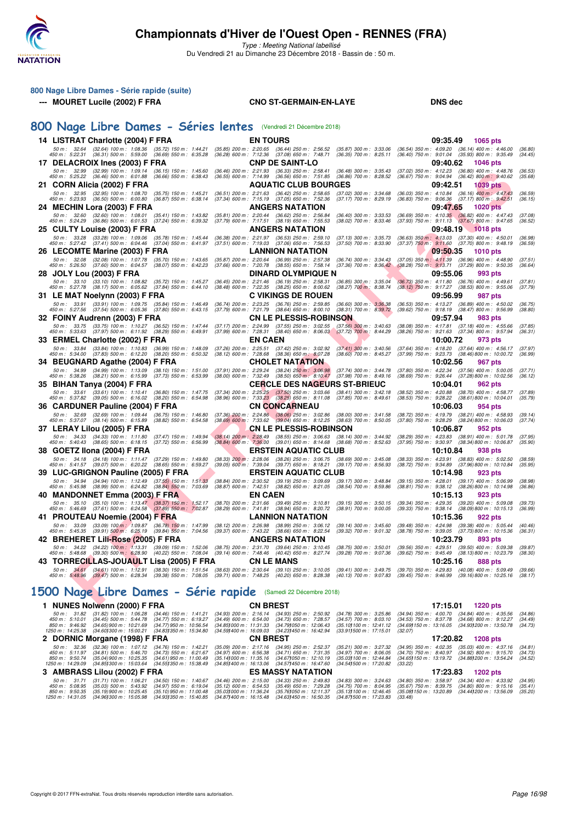

| 800 Nage Libre Dames - Série rapide (suite)                                                                                                                                                                                |                                                                                                              |                                                                                                                            |                                                          |                                                                                                          |                    |
|----------------------------------------------------------------------------------------------------------------------------------------------------------------------------------------------------------------------------|--------------------------------------------------------------------------------------------------------------|----------------------------------------------------------------------------------------------------------------------------|----------------------------------------------------------|----------------------------------------------------------------------------------------------------------|--------------------|
| --- MOURET Lucile (2002) F FRA                                                                                                                                                                                             |                                                                                                              | <b>CNO ST-GERMAIN-EN-LAYE</b>                                                                                              |                                                          | <b>DNS dec</b>                                                                                           |                    |
|                                                                                                                                                                                                                            |                                                                                                              |                                                                                                                            |                                                          |                                                                                                          |                    |
| 800 Nage Libre Dames - Séries lentes (Vendredi 21 Décembre 2018)                                                                                                                                                           |                                                                                                              |                                                                                                                            |                                                          |                                                                                                          |                    |
| 14 LISTRAT Charlotte (2004) F FRA                                                                                                                                                                                          |                                                                                                              | <b>EN TOURS</b>                                                                                                            |                                                          | 09:35.49<br>1065 pts                                                                                     |                    |
| 50 m: 32.64 (32.64) 100 m: 1:08.36 (35.72) 150 m: 1:44.21                                                                                                                                                                  |                                                                                                              | (35.85) 200 m : 2:20.65 (36.44) 250 m : 2:56.52 (35.87) 300 m : 3:33.06                                                    |                                                          | $(36.54)$ 350 m : 4:09.20 $(36.14)$ 400 m : 4:46.00                                                      | (36.80)            |
| 450 m : 5:22.31 (36.31) 500 m : 5:59.00<br>17 DELACROIX Ines (2003) F FRA                                                                                                                                                  | $(36.69)$ 550 m : 6:35.28                                                                                    | (36.28) 600 m : 7:12.36 (37.08) 650 m : 7:48.71<br><b>CNP DE SAINT-LO</b>                                                  | $(36.35)$ 700 m : 8:25.11                                | (36.40) 750 m : 9:01.04<br>$(35.93)$ 800 m : 9:35.49<br>09:40.62<br><b>1046 pts</b>                      | (34.45)            |
| 50 m: 32.99 (32.99) 100 m: 1:09.14 (36.15) 150 m: 1:45.60                                                                                                                                                                  |                                                                                                              | (36.46) 200 m : 2:21.93 (36.33) 250 m : 2:58.41                                                                            | $(36.48)$ 300 m : 3:35.43                                | $(37.02)$ 350 m : 4:12.23 $(36.80)$ 400 m : 4:48.76                                                      | (36.53)            |
| 450 m : 5:25.22 (36.46) 500 m : 6:01.88 (36.66) 550 m : 6:38.43                                                                                                                                                            |                                                                                                              | (36.55) 600 m: 7:14.99 (36.56) 650 m: 7:51.85                                                                              | $(36.86)$ 700 m : 8:28.52                                | (36.67) 750 m : 9:04.94<br>$(36.42)$ 800 m : 9:40.62                                                     | (35.68)            |
| 21 CORN Alicia (2002) F FRA                                                                                                                                                                                                |                                                                                                              | <b>AQUATIC CLUB BOURGES</b>                                                                                                | $(37.02)$ 300 m : 3:34.68                                | 09:42.51<br><b>1039 pts</b>                                                                              |                    |
| 50 m: 32.95 (32.95) 100 m: 1:08.70<br>450 m : 5:23.93 (36.50) 500 m : 6:00.80                                                                                                                                              | $(35.75)$ 150 m : 1:45.21<br>(36.87) 550 m : 6:38.14                                                         | (36.51) 200 m: 2:21.63 (36.42) 250 m: 2:58.65<br>(37.34) 600 m: 7:15.19 (37.05) 650 m: 7:52.36                             | $(37.17)$ 700 m : 8:29.19                                | (36.03) 350 m: 4:10.84 (36.16) 400 m: 4:47.43<br>(36.83) 750 m : 9:06.36 (37.17) 800 m : 9:42.51         | (36.59)<br>(36.15) |
| 24 MECHIN Lora (2003) F FRA                                                                                                                                                                                                |                                                                                                              | <b>ANGERS NATATION</b>                                                                                                     |                                                          | 09:47.65<br><b>1020 pts</b>                                                                              |                    |
| 50 m: 32.60 (32.60) 100 m: 1:08.01 (35.41) 150 m: 1:43.82<br>450 m : 5:24.29 (36.86) 500 m : 6:01.53 (37.24) 550 m : 6:39.32                                                                                               |                                                                                                              | (35.81) 200 m : 2:20.44 (36.62) 250 m : 2:56.84<br>(37.79) 600 m : 7:17.51 (38.19) 650 m : 7:55.53                         | $(36.40)$ 300 m : 3:33.53<br>$(38.02)$ 700 m : $8:33.46$ | (36.69) 350 m: 4:10.35 (36.82) 400 m: 4:47.43<br>$(37.93)$ 750 m : $9:11.13$ $(37.67)$ 800 m : $9:47.65$ | (37.08)<br>(36.52) |
| 25 CULTY Louise (2003) F FRA                                                                                                                                                                                               |                                                                                                              | ANGERS NATATION                                                                                                            |                                                          | 09:48.19 1018 pts                                                                                        |                    |
| 50 m: 33.28 (33.28) 100 m: 1:09.06                                                                                                                                                                                         | $(35.78)$ 150 m : 1:45.44                                                                                    | (36.38) 200 m : 2:21.97 (36.53) 250 m : 2:59.10                                                                            | $(37.13)$ 300 m : 3:35.73                                | $(36.63)$ 350 m : 4:13.03 $(37.30)$ 400 m : 4:50.01                                                      | (36.98)            |
| $(37.41)$ 500 m : 6:04.46<br>450 m : 5:27.42                                                                                                                                                                               | $(37.04)$ 550 m : 6:41.97                                                                                    | (37.51) 600 m : 7:19.03 (37.06) 650 m : 7:56.53                                                                            | $(37.50)$ 700 m : 8:33.90                                | $(37.37)$ 750 m : 9:11.60 $(37.70)$ 800 m : 9:48.19                                                      | (36.59)            |
| 26 LECOMTE Marine (2003) F FRA<br>50 m: 32.08 (32.08) 100 m: 1:07.78                                                                                                                                                       | (35.70) 150 m : 1:43.65                                                                                      | LANNION NATATION<br>(35.87) 200 m : 2:20.64 (36.99) 250 m : 2:57.38                                                        | $(36.74)$ 300 m : 3:34.43                                | 09:50.35<br><b>1010 pts</b><br>$(37.05)$ 350 m : 4:11.39 $(36.96)$ 400 m : 4:48.90                       | (37.51)            |
| 450 m : 5:26.50 (37.60) 500 m : 6:04.57 (38.07) 550 m : 6:42.23                                                                                                                                                            |                                                                                                              | (37.66) 600 m : 7:20.78 (38.55) 650 m : 7:58.14                                                                            | $(37.36)$ 700 m : $8.36.42$                              | $(38.28)$ 750 m : $9:13.71$ $(37.29)$ 800 m : $9:50.35$                                                  | (36.64)            |
| 28 JOLY Lou (2003) F FRA                                                                                                                                                                                                   |                                                                                                              | DINARD OLYMPIQUE N                                                                                                         |                                                          | 09:55.06<br>993 pts                                                                                      |                    |
| 50 m: 33.10 (33.10) 100 m: 1:08.82 (35.72) 150 m: 1:45.27<br>450 m : 5:27.78 (38.17) 500 m : 6:05.62 (37.84) 550 m : 6:44.10                                                                                               |                                                                                                              | (36.45) 200 m: 2:21.46 (36.19) 250 m: 2:58.31<br>(38.48) 600 m : 7:22.35 (38.25) 650 m : 8:00.62                           | $(36.85)$ 300 m : 3:35.04<br>$(38.27)$ 700 m : 8:38.74   | $(36.73)$ 350 m : 4:11.80 $(36.76)$ 400 m : 4:49.61<br>(38.12) 750 m : 9:17.27 (38.53) 800 m : 9:55.06   | (37.81)<br>(37.79) |
| 31 LE MAT Noelynn (2003) F FRA                                                                                                                                                                                             |                                                                                                              | <b>C VIKINGS DE ROUEN</b>                                                                                                  |                                                          | 09:56.99<br>987 pts                                                                                      |                    |
| 50 m: 33.91 (33.91) 100 m: 1:09.75                                                                                                                                                                                         | (35.84) 150 m : 1:46.49                                                                                      | (36.74) 200 m : 2:23.25 (36.76) 250 m : 2:59.85                                                                            | $(36.60)$ 300 m : 3:36.38                                | (36.53) 350 m : 4:13.27 (36.89) 400 m : 4:50.02                                                          | (36.75)            |
| 450 m : 5:27.56 (37.54) 500 m : 6:05.36 (37.80) 550 m : 6:43.15<br>32 FOINY Audrenn (2003) F FRA                                                                                                                           |                                                                                                              | (37.79) 600 m : 7:21.79 (38.64) 650 m : 8:00.10<br><b>CN LE PLESSIS-ROBINSON</b>                                           | $(38.31)$ 700 m : $8:39.72$                              | (39.62) 750 m : 9:18.19 (38.47) 800 m : 9:56.99<br>09:57.94<br>983 pts                                   | (38.80)            |
| 50 m: 33.75 (33.75) 100 m: 1:10.27 (36.52) 150 m: 1:47.44                                                                                                                                                                  | (37.17) 200 m : 2:24.99                                                                                      | $(37.55)$ 250 m : 3:02.55                                                                                                  | $(37.56)$ 300 m : 3:40.63                                | $(37.18)$ 400 m : 4:55.66<br>(38.08) 350 m : 4:17.81                                                     | (37.85)            |
| 450 m : 5:33.63 (37.97) 500 m : 6:11.92                                                                                                                                                                                    | $(38.29)$ 550 m : 6:49.91                                                                                    | $(37.99)$ 600 m : 7:28.31 $(38.40)$ 650 m : 8:06.03                                                                        | $(37.72)$ 700 m : 8:44.29                                | $(38.26)$ 750 m : $9:21.63$<br>$(37.34)$ 800 m : 9:57.94                                                 | (36.31)            |
| 33 ERMEL Charlotte (2002) F FRA                                                                                                                                                                                            |                                                                                                              | EN CAEN                                                                                                                    |                                                          | 10:00.72<br>973 pts                                                                                      |                    |
| 50 m : 33.84 (33.84) 100 m : 1:10.83<br>450 m : 5:34.00 (37.83) 500 m : 6:12.20                                                                                                                                            | (36.99) 150 m : 1:48.09<br>(37.26) 200 m : 2:25.51<br>$(38.20)$ 550 m : 6:50.32<br>$(38.12)$ 600 m : 7:28.68 | $(37.42)$ 250 m : 3:02.92<br>$(38.36)$ 650 m : 8:07.28                                                                     | $(37.41)$ 300 m : 3:40.56<br>$(38.60)$ 700 m : 8:45.27   | (37.64) 350 m: 4:18.20 (37.64) 400 m: 4:56.17<br>(37.99) 750 m : 9:23.73<br>(38.46) 800 m : 10:00.72     | (37.97)<br>(36.99) |
| 34 BEUGNARD Agathe (2004) F FRA                                                                                                                                                                                            |                                                                                                              | CHOLET NATATION                                                                                                            |                                                          | 10:02.56<br>967 pts                                                                                      |                    |
| 50 m: 34.99 (34.99) 100 m: 1:13.09 (38.10) 150 m: 1:51.00                                                                                                                                                                  | (37.91) 200 m : 2:29.24                                                                                      | $(38.24)$ 250 m : 3:06.98                                                                                                  | $(37.74)$ 300 m : 3:44.78                                | (37.80) 350 m : 4:22.34 (37.56) 400 m : 5:00.05                                                          | (37.71)            |
| 450 m : 5:38.26 (38.21) 500 m : 6:15.99 (37.73) 550 m : 6:53.99<br>35 BIHAN Tanya (2004) F FRA                                                                                                                             |                                                                                                              | (38.00) 600 m : 7:32.49 (38.50) 650 m : 8:10.47<br><b>CERCLE DES NAGEURS ST-BRIEUC</b>                                     | $(37.98)$ 700 m : 8:49.16                                | (38.69) 750 m : 9:26.44<br>(37.28) 800 m : 10:02.56<br>10:04.01<br><b>962 pts</b>                        | (36.12)            |
| 50 m: 33.61 (33.61) 100 m: 1:10.41 (36.80) 150 m: 1:47.75                                                                                                                                                                  |                                                                                                              |                                                                                                                            | $(38.41)$ 300 m : 3:42.18                                | (38.52) 350 m : 4:20.88 (38.70) 400 m : 4:58.77                                                          | (37.89)            |
| 450 m : 5:37.82 (39.05) 500 m : 6:16.02 (38.20) 550 m : 6:54.98                                                                                                                                                            |                                                                                                              | $(37.34)$ 200 m : 2:25.25 $(37.50)$ 250 m : 3:03.66<br>$(38.96)$ 600 m : 7:33.23 $(38.25)$ 650 m : 8:11.08                 | $(37.85)$ 700 m : 8:49.61                                | (38.53) 750 m : 9:28.22<br>(38.61) 800 m : 10:04.01                                                      | (35.79)            |
| 36 CARDUNER Pauline (2004) F FRA                                                                                                                                                                                           |                                                                                                              | <b>CN CONCARNEAU</b>                                                                                                       |                                                          | 10:06.03<br>954 pts                                                                                      |                    |
| 50 m : 32.69 (32.69) 100 m : 1:09.44 (36.75) 150 m : 1:46.80<br>450 m : 5:37.07 (38.14) 500 m : 6:15.89 (38.82) 550 m : 6:54.58                                                                                            |                                                                                                              | $(37.36)$ 200 m : 2:24.86 $(38.06)$ 250 m : 3:02.86<br>(38.69) 600 m : 7:33.62 (39.04) 650 m : 8:12.25                     | (38.00) 300 m : 3:41.58<br>$(38.63)$ 700 m : 8:50.05     | (38.72) 350 m : 4:19.79 (38.21) 400 m : 4:58.93<br>$(37.80)$ 750 m : $9:28.29$ $(38.24)800$ m : 10:06.03 | (39.14)<br>(37.74) |
| 37 LERAY Lilou (2005) F FRA                                                                                                                                                                                                |                                                                                                              | <b>CN LE PLESSIS-ROBINSON</b>                                                                                              |                                                          | 10:06.87<br>952 pts                                                                                      |                    |
| 50 m: 34.33 (34.33) 100 m: 1:11.80 (37.47) 150 m: 1:49.94<br>450 m : 5:40.43 (38.65) 500 m : 6:18.15                                                                                                                       | $(37.72)$ 550 m : 6:56.99                                                                                    | (38.14) 200 m : 2:28.49 (38.55) 250 m : 3:06.63 (38.14) 300 m : 3:44.92<br>(38.84) 600 m : 7:36.00 (39.01) 650 m : 8:14.68 | $(38.68)$ 700 m : 8:52.63                                | (38.29) 350 m : 4:23.83 (38.91) 400 m : 5:01.78<br>(37.95) 750 m : 9:30.97<br>(38.34) 800 m : 10:06.87   | (37.95)<br>(35.90) |
| 38 GOETZ IIona (2004) F FRA                                                                                                                                                                                                |                                                                                                              | <b>ERSTEIN AQUATIC CLUB</b>                                                                                                |                                                          | 10:10.84<br>938 pts                                                                                      |                    |
| 50 m: 34.18 (34.18) 100 m: 1:11.47 (37.29) 150 m: 1:49.80                                                                                                                                                                  |                                                                                                              | (38.33) 200 m: 2:28.06 (38.26) 250 m: 3:06.75                                                                              | $(38.69)$ 300 m : 3:45.08                                | (38.33) 350 m: 4:23.91 (38.83) 400 m: 5:02.50                                                            | (38.59)            |
| 450 m : 5:41.57 (39.07) 500 m : 6:20.22 (38.65) 550 m : 6:59.27                                                                                                                                                            |                                                                                                              | (39.05) 600 m : 7:39.04 (39.77) 650 m : 8:18.21                                                                            | $(39.17)$ 700 m : 8:56.93                                | (38.72) 750 m : 9:34.89 (37.96) 800 m : 10:10.84                                                         | (35.95)            |
| 39 LUC-GRIGNON Pauline (2005) F FRA<br>50 m: 34.94 (34.94) 100 m: 1:12.49 (37.55) 150 m: 1:51.33                                                                                                                           |                                                                                                              | <b>ERSTEIN AQUATIC CLUB</b><br>(38.84) 200 m : 2:30.52 (39.19) 250 m : 3:09.69                                             | $(39.17)$ 300 m : 3:48.84                                | 10:14.98<br>923 pts<br>(39.15) 350 m: 4:28.01 (39.17) 400 m: 5:06.99                                     | (38.98)            |
| 450 m : 5:45.98 (38.99) 500 m : 6:24.82 (38.84) 550 m : 7:03.69                                                                                                                                                            |                                                                                                              | (38.87) 600 m: 7:42.51 (38.82) 650 m: 8:21.05                                                                              | $(38.54)$ 700 m : 8:59.86                                | (38.81) 750 m : 9:38.12 (38.26) 800 m : 10:14.98                                                         | (36.86)            |
| 40 MANDONNET Emma (2003) F FRA                                                                                                                                                                                             |                                                                                                              | <b>EN CAEN</b>                                                                                                             |                                                          | 10:15.13<br>923 pts                                                                                      |                    |
| 50 m: 35.10 (35.10) 100 m: 1:13.47 (38.37) 150 m: 1:52.17<br>450 m : 5:46.69 (37.61) 500 m : 6:24.58 (37.89) 550 m : 7:02.87                                                                                               |                                                                                                              | (38.70) 200 m : 2:31.66 (39.49) 250 m : 3:10.81<br>(38.29) 600 m : 7:41.81 (38.94) 650 m : 8:20.72                         | $(39.15)$ 300 m : 3:50.15<br>$(38.91)$ 700 m : 9:00.05   | (39.34) 350 m: 4:29.35 (39.20) 400 m: 5:09.08<br>(39.33) 750 m : 9:38.14 (38.09) 800 m : 10:15.13        | (39.73)<br>(36.99) |
| 41 PROUTEAU Noemie (2004) F FRA                                                                                                                                                                                            |                                                                                                              | <b>LANNION NATATION</b>                                                                                                    |                                                          | 10:15.36<br>922 pts                                                                                      |                    |
| 50 m : 33.09 (33.09) 100 m : 1:09.87 (36.78) 150 m : 1:47.99 (38.12) 200 m : 2:26.98 (38.99) 250 m : 3:06.12 (39.14) 300 m : 3:45.60 (39.48) 350 m : 4:24.98 (39.38) 400 m : 5:05.44                                       |                                                                                                              |                                                                                                                            |                                                          |                                                                                                          | (40.46)            |
| 450 m : 5:45.35 (39.91) 500 m : 6:25.19 (39.84) 550 m : 7:04.56 (39.37) 600 m : 7:43.22 (38.66) 650 m : 8:22.54<br>42 BREHERET Lili-Rose (2005) F FRA                                                                      |                                                                                                              | <b>ANGERS NATATION</b>                                                                                                     | (39.32) 700 m : 9:01.32                                  | (38.78) 750 m : 9:39.05 (37.73) 800 m : 10:15.36<br>10:23.79<br>893 pts                                  | (36.31)            |
| 50 m: 34.22 (34.22) 100 m: 1:13.31 (39.09) 150 m: 1:52.06                                                                                                                                                                  |                                                                                                              | (38.75) 200 m : 2:31.70 (39.64) 250 m : 3:10.45                                                                            | $(38.75)$ 300 m : 3:50.01                                | (39.56) 350 m: 4:29.51 (39.50) 400 m: 5:09.38                                                            | (39.87)            |
| 450 m : 5:48.68 (39.30) 500 m : 6:28.90 (40.22) 550 m : 7:08.04                                                                                                                                                            |                                                                                                              | (39.14) 600 m: 7:48.46 (40.42) 650 m: 8:27.74                                                                              | (39.28) 700 m : 9:07.36                                  | (39.62) 750 m : 9:45.49 (38.13) 800 m : 10:23.79                                                         | (38.30)            |
| 43   TORRECILLAS-JOUAULT Lisa (2005) F FRA                                                                                                                                                                                 |                                                                                                              | <b>CN LE MANS</b>                                                                                                          |                                                          | 10:25.16<br>888 pts                                                                                      |                    |
| 50 m: 34.61 (34.61) 100 m: 1:12.91 (38.30) 150 m: 1:51.54 (38.63) 200 m: 2:30.64 (39.10) 250 m: 3:10.05<br>450 m : 5:48.96 (39.47) 500 m : 6:28.34 (39.38) 550 m : 7:08.05 (39.71) 600 m : 7:48.25 (40.20) 650 m : 8:28.38 |                                                                                                              |                                                                                                                            | $(39.41)$ 300 m : 3:49.75<br>$(40.13)$ 700 m : 9:07.83   | (39.70) 350 m : 4:29.83 (40.08) 400 m : 5:09.49<br>$(39.45)$ 750 m : 9:46.99<br>(39.16) 800 m : 10:25.16 | (39.66)<br>(38.17) |
|                                                                                                                                                                                                                            |                                                                                                              |                                                                                                                            |                                                          |                                                                                                          |                    |
| 1500 Nage Libre Dames - Série rapide                                                                                                                                                                                       |                                                                                                              | (Samedi 22 Décembre 2018)                                                                                                  |                                                          |                                                                                                          |                    |
| 1 NUNES Nolwenn (2000) F FRA                                                                                                                                                                                               |                                                                                                              | <b>CN BREST</b>                                                                                                            |                                                          | 17:15.01 1220 pts                                                                                        |                    |

|                                                                                                                                         |                         | .                                                    |                                                        |                                                               | .                                                                                                                  | ------                                                                                 |                    |
|-----------------------------------------------------------------------------------------------------------------------------------------|-------------------------|------------------------------------------------------|--------------------------------------------------------|---------------------------------------------------------------|--------------------------------------------------------------------------------------------------------------------|----------------------------------------------------------------------------------------|--------------------|
| 50 m: 31.82 (31.82) 100 m: 1:06.28 (34.46) 150 m: 1:41.21<br>450 m : 5:10.01 (34.45) 500 m : 5:44.78 (34.77) 550 m : 6:19.27            |                         | $(34.93)$ 200 m : 2:16.14<br>(34.49) 600 m : 6:54.00 | $(34.93)$ 250 m : 2.50.92<br>$(34.73)$ 650 m : 7:28.57 | $(34.78)$ 300 m : 3:25.86<br>$(34.57)$ 700 m : 8:03.10        | $(34.94)$ 350 m : $4:00.70$ $(34.84)$ 400 m : $4:35.56$<br>$(34.53)$ 750 m : $8.37.78$ $(34.68)$ 800 m : $9.12.27$ |                                                                                        | (34.86)<br>(34.49) |
| 850 m: 9:46.92 (34.65) 900 m: 10:21.69 (34.77) 950 m: 10:56.54<br>1250 m: 14:25.38 (34.601300 m: 15:00.21 (34.831350 m: 15:34.80)       |                         | (34.851000 m : 11:31.33<br>(34.591400 m : 16:09.03   | (34.791050 m : 12:06.43)<br>(34.231450 m : 16:42.94)   | $(35.101100 \text{ m} : 12.41.12)$<br>(33.911500 m : 17:15.01 | (32.07)                                                                                                            | (34.691150 m : 13:16.05 (34.931200 m : 13:50.78)                                       | (34, 73)           |
| 2 DORNIC Morgane (1998) F FRA                                                                                                           |                         | <b>CN BREST</b>                                      |                                                        |                                                               | 17:20.82                                                                                                           | <b>1208 pts</b>                                                                        |                    |
|                                                                                                                                         |                         |                                                      |                                                        |                                                               |                                                                                                                    |                                                                                        |                    |
| 50 m : 32.36 (32.36) 100 m : 1:07.12 (34.76) 150 m : 1:42.21<br>450 m : 5:11.97 (34.81) 500 m : 5:46.70 (34.73) 550 m : 6:21.67         |                         | (35.09) 200 m : 2:17.16<br>(34.97) 600 m : 6:56.38   | $(34.95)$ 250 m : 2:52.37<br>$(34.71)$ 650 m : 7:31.35 | (35.21) 300 m : 3:27.32<br>$(34.97)$ 700 m : 8:06.05          | $(34.95)$ 350 m : $4.02.35$                                                                                        | $(35.03)$ 400 m : 4:37.16 $(34.81)$<br>(34.70) 750 m : 8:40.97 (34.92) 800 m : 9:15.70 | (34, 73)           |
| 850 m : 9:50.74<br>(35.04) 900 m : 10:25.35 (34.61) 950 m : 11:00.49<br>1250 m: 14:29.09 (34.851300 m: 15:03.64 (34.551350 m: 15:38.49) |                         | (35.141000 m : 11:35.16<br>(34.851400 m : 16:13.06   | (34.671050 m : 12:10.19)<br>(34.571450 m : 16:47.60    | (35.03) 100 m : 12:44.84<br>(34.541500 m : 17:20.82)          | (33.22)                                                                                                            | (34.651150 m : 13:19.72 (34.881200 m : 13:54.24                                        | (34.52)            |
|                                                                                                                                         |                         |                                                      |                                                        |                                                               |                                                                                                                    |                                                                                        |                    |
| 3 AMBRASS Lilou (2002) F FRA                                                                                                            |                         |                                                      | <b>ES MASSY NATATION</b>                               |                                                               | 17:23.83                                                                                                           | $1202$ pts                                                                             |                    |
| (31.71) 100 m : 1:06.21<br>$50 \text{ m}$ : $31.71$                                                                                     | (34.50) 150 m : 1:40.67 | $(34.46)$ 200 m : 2:15.00                            | $(34.33)$ 250 m : 2:49.83                              | $(34.83)$ 300 m : 3:24.63                                     | $(34.80)$ 350 m : 3:58.97                                                                                          | $(34.34)$ 400 m : 4:33.92                                                              | (34.95)            |
| 450 m : 5:08.95<br>(35.03) 500 m : 5:43.92                                                                                              | (34.97) 550 m : 6:19.04 | $(35.12)$ 600 m : 6:54.53                            | $(35.49)$ 650 m : 7:29.28                              | $(34.75)$ 700 m : 8:04.95                                     | (35.67) 750 m : 8:39.75                                                                                            | (34.80) 800 m : 9:15.16                                                                | (35.41)            |
| (35.19) 900 m : 10:25.45 (35.10) 950 m : 11:00.48<br>850 m : 9:50.35                                                                    |                         | (35.031000 m : 11:36.24                              | (35.761050 m : 12:11.37                                | (35.131100 m : 12:46.45)                                      | (35.081150 m : 13:20.89                                                                                            | (34.441200 m : 13:56.09                                                                | (35.20)            |
| 1250 m : 14:31.05 (34.961300 m : 15:05.98)                                                                                              | (34.931350 m : 15:40.85 | (34.871400 m : 16:15.48                              | (34.631450 m : 16:50.35)                               | (34.871500 m : 17:23.83)                                      | (33.48)                                                                                                            |                                                                                        |                    |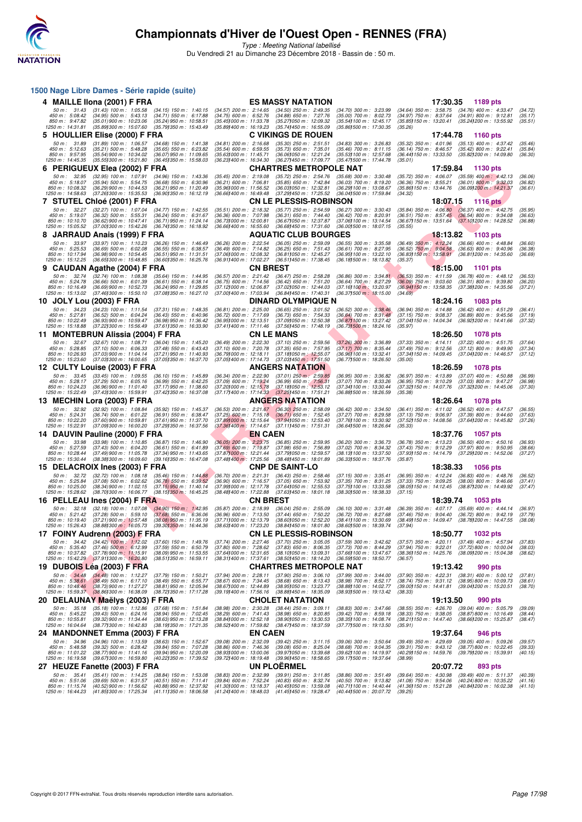

|     |                                       | 1500 Nage Libre Dames - Série rapide (suite)                                                                                                                  |                                                         |                                                              |                 |                                                                                                       |                                                                                                       |                                                          |          |                                                                                                            |                    |
|-----|---------------------------------------|---------------------------------------------------------------------------------------------------------------------------------------------------------------|---------------------------------------------------------|--------------------------------------------------------------|-----------------|-------------------------------------------------------------------------------------------------------|-------------------------------------------------------------------------------------------------------|----------------------------------------------------------|----------|------------------------------------------------------------------------------------------------------------|--------------------|
|     |                                       | 4 MAILLE IIona (2001) F FRA                                                                                                                                   |                                                         |                                                              |                 | <b>ES MASSY NATATION</b>                                                                              |                                                                                                       |                                                          | 17:30.35 | 1189 pts                                                                                                   |                    |
|     | 50 m: 31.43<br>450 m : 5:08.42        | $(31.43)$ 100 m : 1:05.58<br>$(34.95)$ 500 m : 5:43.13                                                                                                        | $(34.15)$ 150 m : 1:40.15<br>$(34.71)$ 550 m : 6:17.88  | $(34.57)$ 200 m : 2:14.65<br>$(34.75)$ 600 m : 6:52.76       |                 | $(34.50)$ 250 m : 2:49.35<br>$(34.88)$ 650 m : 7:27.76                                                | (34.70) 300 m : 3:23.99<br>$(35.00)$ 700 m : 8:02.73                                                  | $(34.64)$ 350 m : 3:58.75<br>(34.97) 750 m : 8:37.64     |          | $(34.76)$ 400 m : 4:33.47<br>$(34.91)$ 800 m : 9:12.81                                                     | (34.72)<br>(35.17) |
|     | 850 m : 9:47.82<br>1250 m : 14:31.81  | $(35.01)$ 900 m : 10:23.06<br>(35.89) 300 m : 15:07.60                                                                                                        | (35.24) 950 m : 10:58.51<br>(35.791350 m: 15:43.49)     | (35.45) 000 m: 11:33.78<br>(35.89) 400 m : 16:19.23          |                 | (35.271050 m: 12:09.32<br>(35.74) 450 m : 16:55.09                                                    | (35.54) 100 m : 12:45.17<br>(35.861500 m: 17:30.35                                                    | (35.85) 150 m : 13:20.41<br>(35.26)                      |          | (35.241200 m: 13:55.92                                                                                     | (35.51)            |
|     |                                       | 5 HOULLIER Elise (2000) F FRA                                                                                                                                 |                                                         |                                                              |                 | <b>C VIKINGS DE ROUEN</b>                                                                             |                                                                                                       |                                                          | 17:44.78 | 1160 pts                                                                                                   |                    |
|     | 50 m: 31.89<br>450 m: 5:12.63         | $(31.89)$ 100 m : 1:06.57                                                                                                                                     | $(34.68)$ 150 m : 1:41.38<br>$(35.65)$ 550 m : 6:23.82  | $(34.81)$ 200 m : 2:16.68                                    |                 | $(35.30)$ 250 m : 2:51.51<br>$(35.73)$ 650 m : 7:35.01                                                | $(34.83)$ 300 m : 3:26.83                                                                             |                                                          |          | (35.32) 350 m: 4:01.96 (35.13) 400 m: 4:37.42<br>$(35.42)$ 800 m : 9:22.41                                 | (35.46)            |
|     | 850 m : 9:57.95                       | $(35.21)$ 500 m : 5:48.28<br>$(35.54)$ 900 m : 10:34.02                                                                                                       | $(36.07)$ 950 m : 11:09.65                              | $(35.54)$ 600 m : 6:59.55<br>(35.63) 000 m: 11:45.71         |                 | (36.06) 050 m: 12:21.24                                                                               | $(35.46)$ 700 m : 8:11.15<br>(35.53) 100 m : 12:57.68                                                 | $(36.14)$ 750 m : 8:46.57<br>(36.44) 150 m : 13:33.50    |          | (35.82) 200 m : 14:09.80                                                                                   | (35.84)<br>(36.30) |
|     | 1250 m: 14:45.35                      | (35.55) 300 m : 15:21.80<br>6 PERIGUEUX Elea (2002) F FRA                                                                                                     | (36.45) 350 m : 15:58.03                                | (36.231400 m : 16:34.30                                      |                 | (36.27) 450 m : 17:09.77<br><b>CHARTRES METROPOLE NAT</b>                                             | (35.471500 m: 17:44.78)                                                                               | (35.01)                                                  | 17:59.84 | 1130 pts                                                                                                   |                    |
|     | 50 m: 32.95                           | $(32.95)$ 100 m : 1:07.91                                                                                                                                     | $(34.96)$ 150 m : 1:43.36                               | $(35.45)$ 200 m : 2:19.08                                    |                 | (35.72) 250 m : 2:54.76                                                                               | (35.68) 300 m : 3:30.48                                                                               |                                                          |          | (35.72) 350 m: 4:06.07 (35.59) 400 m: 4:42.13                                                              | (36.06)            |
|     | 450 m: 5:18.07<br>850 m : 10:08.32    | (35.94) 500 m : 5.54.75<br>(36.29) 900 m : 10:44.53                                                                                                           | $(36.68)$ 550 m : 6:30.96<br>(36.21) 950 m: 11:20.49    | $(36.21)$ 600 m : 7:06.81<br>(35.961000 m: 11:56.52          |                 | $(35.85)$ 650 m : 7:42.84<br>(36.03) 050 m : 12:32.81                                                 | $(36.03)$ 700 m : 8:19.20<br>(36.29) 100 m : 13:08.67                                                 | (36.36) 750 m : 8:55.21<br>(35.86) 150 m : 13:44.76      |          | $(36.01)$ 800 m : 9:32.03<br>(36.09) 200 m : 14:21.37                                                      | (36.82)<br>(36.61) |
|     | 1250 m: 14:58.63                      | $(37.26)300 \text{ m}$ : 15:35.53                                                                                                                             | (36.90) 350 m : 16:12.19                                | (36.66) 400 m : 16:49.48                                     |                 | (37.29) 450 m : 17:25.52                                                                              | (36.041500 m: 17:59.84)                                                                               | (34.32)                                                  |          |                                                                                                            |                    |
|     | 50 m : 32.27                          | 7 STUTEL Chloé (2001) F FRA<br>(32.27) 100 m : 1:07.04                                                                                                        | $(34.77)$ 150 m : 1:42.55                               | $(35.51)$ 200 m : 2:18.32                                    |                 | <b>CN LE PLESSIS-ROBINSON</b><br>$(35.77)$ 250 m : 2:54.59                                            | (36.27) 300 m : 3:30.43                                                                               |                                                          | 18:07.15 | <b>1116 pts</b><br>(35.84) 350 m: 4:06.80 (36.37) 400 m: 4:42.75                                           | (35.95)            |
|     | 450 m: 5:19.07<br>850 m: 10:10.70     | $(36.32)$ 500 m : 5:55.31<br>$(36.62)$ 900 m : 10:47.41                                                                                                       | $(36.24)$ 550 m : 6:31.67<br>(36.71) 950 m : 11:24.14   | $(36.36)$ 600 m : 7:07.98<br>(36.731000 m: 12.00.81          |                 | $(36.31)$ 650 m : 7:44.40<br>(36.671050 m: 12:37.87                                                   | $(36.42)$ 700 m : 8:20.91<br>(37.06) 100 m : 13:14.54                                                 | (36.671150 m: 13.51.64                                   |          | (36.51) 750 m : 8:57.45 (36.54) 800 m : 9:34.08<br>(37.101200 m : 14:28.52                                 | (36.63)<br>(36.88) |
|     | 1250 m: 15:05.52                      | (37.001300 m : 15:42.26                                                                                                                                       | (36.741350 m : 16:18.92                                 | $(36.66)400 \text{ m}$ : 16:55.60                            |                 | (36.68) 450 m : 17:31.60                                                                              | (36.001500 m: 18:07.15                                                                                | (35.55)                                                  |          |                                                                                                            |                    |
|     |                                       | 8 JARRAUD Anais (1999) F FRA                                                                                                                                  |                                                         |                                                              |                 | <b>AQUATIC CLUB BOURGES</b>                                                                           |                                                                                                       |                                                          | 18:13.82 | <b>1103 pts</b>                                                                                            |                    |
|     | 50 m: 33.97<br>450 m : 5:25.53        | $(33.97)$ 100 m : 1:10.23<br>$(36.69)$ 500 m : 6:02.08                                                                                                        | $(36.26)$ 150 m : 1:46.49<br>(36.55) 550 m : 6:38.57    | (36.26) 200 m : 2:22.54<br>$(36.49)$ 600 m : 7:14.82         |                 | $(36.05)$ 250 m : 2:59.09<br>$(36.25)$ 650 m : 7:51.43                                                | $(36.55)$ 300 m : 3:35.58<br>$(36.61)$ 700 m : 8:27.95                                                |                                                          |          | (36.49) 350 m : 4:12.24 (36.66) 400 m : 4:48.84<br>(36.52) 750 m: 9:04.58 (36.63) 800 m: 9:40.96           | (36.60)<br>(36.38) |
|     | 850 m: 10:17.94<br>1250 m: 15:12.25   | (36.98) 900 m : 10:54.45<br>(36.651300 m: 15:48.85)                                                                                                           | (36.51) 950 m: 11:31.51<br>(36.601350 m : 16:25.76      | (37.06) 000 m : 12:08.32<br>(36.911400 m: 17:02.27           |                 | (36.811050 m: 12:45.27<br>(36.511450 m: 17:38.45)                                                     | (36.95) 100 m : 13:22.10<br>(36.181500 m : 18:13.82                                                   | (36.83) 150 m : 13:58.91<br>(35.37)                      |          | (36.81) 200 m : 14:35.60                                                                                   | (36.69)            |
|     |                                       | 9 CAUDAN Agathe (2004) F FRA                                                                                                                                  |                                                         |                                                              | <b>CN BREST</b> |                                                                                                       |                                                                                                       |                                                          | 18:15.00 | <b>1101 pts</b>                                                                                            |                    |
|     | 50 m: 32.74<br>450 m: 5:24.78         | $(32.74)$ 100 m : 1:08.38<br>$(36.66)$ 500 m : 6:01.39                                                                                                        | (35.64) 150 m : 1:44.95<br>$(36.61)$ 550 m : 6:38.14    | $(36.57)$ 200 m : 2:21.42<br>$(36.75)$ 600 m : 7:14.56       |                 | $(36.47)$ 250 m : 2:58.28<br>$(36.42)$ 650 m : 7:51.20                                                | $(36.86)$ 300 m : 3:34.81<br>$(36.64)$ 700 m : 8:27.29                                                | $(36.09)$ 750 m : 9:03.60                                |          | $(36.53)$ 350 m : 4:11.59 $(36.78)$ 400 m : 4:48.12<br>$(36.31)$ 800 m : 9:39.80                           | (36.53)<br>(36.20) |
|     | 850 m : 10:16.49<br>1250 m: 15:13.02  | (36.69) 900 m : 10:52.73<br>$(37.46)300 \text{ m}$ : 15:50.10                                                                                                 | (36.24) 950 m : 11:29.85<br>(37.081350 m: 16:27.10      | (37.12) 000 m : 12:06.87<br>(37.001400 m: 17:03.94           |                 | (37.02) 050 m : 12:44.03<br>(36.841450 m : 17:40.31                                                   | (37.16) 100 m : 13:20.97<br>$(36.371500 \text{ m} : 18.15.00$                                         | (36.94 <b>)</b> 150 m : 13:58.35<br>(34.69)              |          | (37.38) 200 m : 14:35.56                                                                                   | (37.21)            |
|     |                                       | 10 JOLY Lou (2003) F FRA                                                                                                                                      |                                                         |                                                              |                 | <b>DINARD OLYMPIQUE N</b>                                                                             |                                                                                                       |                                                          | 18:24.16 | 1083 pts                                                                                                   |                    |
|     | 50 m: 34.23<br>450 m : 5:27.81        | $(34.23)$ 100 m : 1:11.54                                                                                                                                     | $(37.31)$ 150 m : 1:48.35<br>$(36.43)$ 550 m : 6:40.96  | $(36.81)$ 200 m : 2:25.00<br>$(36.72)$ 600 m : 7:17.69       |                 | $(36.65)$ 250 m : 3:01.52                                                                             | $(36.52)$ 300 m : 3:38.46<br>$(36.64)$ 700 m : $8.31.48$                                              | $(36.94)$ 350 m : 4:14.88<br>$(37.15)$ 750 m : $9:08.37$ |          | $(36.42)$ 400 m : 4:51.29                                                                                  | (36.41)            |
|     | 850 m: 10:22.49                       | $(36.52)$ 500 m : 6:04.24<br>(36.93) 900 m : 10:59.47                                                                                                         | (36.98) 950 m : 11:36.42                                | (36.951000 m: 12:13.51                                       |                 | $(36.73)$ 650 m : 7:54.33<br>(37.09) 050 m : 12:50.38                                                 | (36.87) 100 m : 13:27.42                                                                              | (37.04) 150 m : 14.04.34                                 |          | $(36.89)$ 800 m : 9:45.56<br>(36.921200 m : 14:41.66                                                       | (37.19)<br>(37.32) |
| 11. | 1250 m: 15:18.88                      | (37.22) 300 m : 15:56.49<br><b>MONTEBRUN Alissia (2004) F FRA</b>                                                                                             | (37.611350 m : 16:33.90                                 | $(37.41)400 \text{ m}$ : 17:11.46                            |                 | (37.56) 450 m : 17:48.19<br><b>CN LE MANS</b>                                                         | (36.731500 m : 18:24.16                                                                               | (35.97)                                                  | 18:26.50 | <b>1078 pts</b>                                                                                            |                    |
|     | 50 m : 32.67                          | $(32.67)$ 100 m : 1:08.71                                                                                                                                     | $(36.04)$ 150 m : 1:45.20                               | $(36.49)$ 200 m : 2:22.30                                    |                 | $(37.10)$ 250 m : 2:59.56                                                                             | $(37.26)$ 300 m : 3:36.89                                                                             |                                                          |          | (37.33) 350 m: 4:14.11 (37.22) 400 m: 4:51.75                                                              | (37.64)            |
|     | 450 m : 5:28.85<br>850 m: 10:26.93    | $(37.10)$ 500 m : 6:06.33<br>(37.03) 900 m : 11:04.14                                                                                                         | $(37.48)$ 550 m : 6:43.43<br>(37.21) 950 m : 11:40.93   | $(37.10)$ 600 m : 7:20.78<br>(36.791000 m: 12:18.11          |                 | $(37.35)$ 650 m : 7:57.95<br>(37.18) 050 m : 12:55.07                                                 | $(37.17)$ 700 m : 8:35.44<br>(36.961100 m: 13:32.41)                                                  | $(37.49)$ 750 m : $9:12.56$                              |          | $(37.12)$ 800 m : 9:49.90<br>(37.34) 150 m : 14:09.45 (37.04) 200 m : 14:46.57                             | (37.34)<br>(37.12) |
|     | 1250 m : 15:23.60                     | $(37.031300 \text{ m} : 16.00.65)$                                                                                                                            | (37.051350 m : 16:37.70                                 | (37.051400 m : 17:14.73)                                     |                 | (37.031450 m : 17:51.50                                                                               | (36.771500 m: 18:26.50                                                                                | (35.00)                                                  |          |                                                                                                            |                    |
|     | 50 m : 33.45                          | 12 CULTY Louise (2003) F FRA<br>$(33.45)$ 100 m : 1:09.55                                                                                                     | $(36.10)$ 150 m : 1:45.89                               | $(36.34)$ 200 m : 2:22.90                                    |                 | <b>ANGERS NATATION</b><br>$(37.01)$ 250 m : 2:59.85                                                   | (36.95) 300 m : 3:36.82                                                                               |                                                          | 18:26.59 | <b>1078 pts</b><br>(36.97) 350 m: 4:13.89 (37.07) 400 m: 4:50.88                                           | (36.99)            |
|     | 450 m: 5:28.17<br>850 m: 10:24.23     | $(37.29)$ 500 m : 6:05.16<br>$(36.96)$ 900 m : 11:01.40                                                                                                       | $(36.99)$ 550 m : 6:42.25<br>(37.17) 950 m: 11:38.60    | $(37.09)$ 600 m : 7:19.24<br>(37.201000 m: 12:15.78          |                 | $(36.99)$ 650 m : 7:56.31<br>(37.18) 050 m : 12:53.12                                                 | (37.07) 700 m : 8:33.26<br>(37.341100 m: 13:30.44)                                                    | (36.95) 750 m : 9:10.29<br>(37.32) 150 m : 14:07.76      |          | $(37.03)$ 800 m : 9:47.27<br>(37.32) 200 m : 14:45.06                                                      | (36.98)<br>(37.30) |
|     | 1250 m : 15:22.49                     | (37.43) 300 m : 15:59.91                                                                                                                                      | (37.42) 350 m : 16:37.08                                | (37.17) 400 m : 17:14.33                                     |                 | (37.25) 450 m : 17:51.21                                                                              | (36.88) 500 m : 18:26.59                                                                              | (35.38)                                                  |          |                                                                                                            |                    |
|     | 50 m: 32.92                           | 13 MECHIN Lora (2003) F FRA<br>(32.92) 100 m : 1:08.84                                                                                                        | $(35.92)$ 150 m : 1:45.37                               | $(36.53)$ 200 m : 2:21.67                                    |                 | ANGERS NATATION<br>$(36.30)$ 250 m : 2:58.09                                                          | $(36.42)$ 300 m : 3:34.50                                                                             | $(36.41)$ 350 m : 4:11.02                                | 18:26.64 | <b>1078 pts</b><br>$(36.52)$ 400 m : 4:47.57                                                               | (36.55)            |
|     | 450 m : 5:24.31                       | $(36.74)$ 500 m : 6:01.22                                                                                                                                     | $(36.91)$ 550 m : 6:38.47                               | $(37.25)$ 600 m : 7:15.18                                    |                 | $(36.71)$ 650 m : 7:52.45                                                                             | $(37.27)$ 700 m : 8:29.58                                                                             | (37.13) 750 m : 9:06.97                                  |          | $(37.39)$ 800 m : 9:44.60                                                                                  | (37.63)            |
|     | 850 m: 10:22.20<br>1250 m: 15:22.91   | $(37.60)$ 900 m : 10:59.81<br>(37.09) 300 m : 16:00.20                                                                                                        | $(37.61)$ 950 m : 11:37.70<br>(37.291350 m: 16:37.56    | (37.891000 m: 12:15.64                                       |                 | (37.941050 m : 12:53.40<br>(37.36) 400 m: 17:14.67 (37.11) 450 m: 17:51.31                            | (37.76) 100 m : 13:30.92<br>(36.641500 m : 18:26.64                                                   | (37.52) 150 m : 14:08.56<br>(35.33)                      |          | (37.64) 200 m : 14:45.82                                                                                   | (37.26)            |
|     |                                       | 14 DAUVIN Pauline (2000) F FRA                                                                                                                                |                                                         |                                                              | <b>EN CAEN</b>  |                                                                                                       |                                                                                                       |                                                          | 18:37.76 | 1057 pts                                                                                                   |                    |
|     | 50 m : 33.98<br>450 m : 5:27.59       | $(33.98)$ 100 m : 1:10.85<br>$(37.43)$ 500 m : 6:04.20                                                                                                        | $(36.87)$ 150 m : 1:46.90<br>$(36.61)$ 550 m : 6:41.89  | $(36.05)$ 200 m : 2:23.75<br>$(37.69)$ 600 m : 7:19.87       |                 | $(36.85)$ 250 m : 2:59.95<br>$(37.98)$ 650 m : 7:56.89                                                | $(36.20)$ 300 m : 3:36.73<br>(37.02) 700 m : 8:34.32                                                  | (36.78) 350 m : 4:13.23<br>(37.43) 750 m : 9:12.29       |          | $(36.50)$ 400 m : 4:50.16<br>$(37.97)$ 800 m : 9:50.95                                                     | (36.93)<br>(38.66) |
|     | 850 m: 10:28.44<br>1250 m: 15:30.44   | (37.49) 900 m : 11:05.78<br>(38.38) 300 m : 16:09.60                                                                                                          | (37.34) 950 m : 11:43.65<br>(39.161350 m: 16:47.08      | (37.871000 m : 12:21.44<br>$(37.48)400 \text{ m}$ : 17:25.56 |                 | (37.79) 050 m : 12:59.57<br>(38.48) 450 m : 18:01.89                                                  | (38.13) 100 m : 13:37.50<br>(36.331500 m: 18:37.76                                                    | (37.93) 150 m : 14:14.79<br>(35.87)                      |          | (37.29) 200 m : 14:52.06                                                                                   | (37.27)            |
|     |                                       | 15 DELACROIX Ines (2003) F FRA                                                                                                                                |                                                         |                                                              |                 | <b>CNP DE SAINT-LO</b>                                                                                |                                                                                                       |                                                          | 18:38.33 | <b>1056 pts</b>                                                                                            |                    |
|     | 50 m: 32.72<br>450 m : 5:25.84        | $(32.72)$ 100 m : 1:08.18<br>$(37.08)$ 500 m : 6:02.62                                                                                                        | $(35.46)$ 150 m : 1:44.88<br>$(36.78)$ 550 m : 6:39.52  | $(36.70)$ 200 m : 2:21.31<br>$(36.90)$ 600 m : 7:16.57       |                 | $(36.43)$ 250 m : 2:58.46<br>$(37.05)$ 650 m : 7:53.92                                                | $(37.15)$ 300 m : 3:35.41<br>$(37.35)$ 700 m : 8:31.25                                                | (37.33) 750 m : 9:09.25                                  |          | (36.95) 350 m : 4:12.24 (36.83) 400 m : 4:48.76<br>$(38.00)$ 800 m : 9:46.66                               | (36.52)<br>(37.41) |
|     | 850 m : 10:25.00<br>1250 m : 15:28.62 | $(38.34)$ 900 m : 11:02.15<br>(38.70) 300 m : 16:06.77                                                                                                        | (37.15) 950 m : 11:40.14<br>(38.151350 m : 16:45.25     | (37.991000 m: 12:17.78<br>(38.48) 400 m : 17:22.88           |                 | (37.641050 m : 12:55.53<br>(37.631450 m : 18:01.18                                                    | (37.75) 100 m : 13:33.58<br>(38.301500 m: 18:38.33)                                                   | (38.05) 150 m : 14:12.45<br>(37.15)                      |          | (38.87) 200 m : 14:49.92                                                                                   | (37.47)            |
|     |                                       | 16 PELLEAU Ines (2004) F FRA                                                                                                                                  |                                                         |                                                              | <b>CN BREST</b> |                                                                                                       |                                                                                                       |                                                          | 18:39.74 | <b>1053 pts</b>                                                                                            |                    |
|     |                                       | 50 m: 32.18 (32.18) 100 m: 1:07.08 (34.90) 150 m: 1:42.95 (35.87) 200 m: 2:18.99<br>450 m : 5:21.42 (37.28) 500 m : 5:59.10 (37.68) 550 m : 6:36.06           |                                                         | (36.96) 600 m : 7:13.50                                      |                 | $(36.04)$ 250 m : 2:55.09<br>(37.44) 650 m : 7:50.22                                                  | $(36.10)$ 300 m : 3:31.48<br>$(36.72)$ 700 m : 8:27.68                                                |                                                          |          | (36.39) 350 m : 4:07.17 (35.69) 400 m : 4:44.14 (36.97)<br>(37.46) 750 m : 9:04.40 (36.72) 800 m : 9:42.19 | (37.79)            |
|     |                                       | 850 m: 10:19.40 (37.21) 900 m: 10:57.48 (38.08) 950 m: 11:35.19 (37.711000 m: 12:13.79<br>1250 m : 15:26.43 (38.88) 300 m : 16:05.73 (39.30) 350 m : 16:44.36 |                                                         |                                                              |                 | (38.601050 m : 12:52.20<br>(38.63) 400 m : 17:23.20 (38.84) 450 m : 18:01.80 (38.60) 500 m : 18:39.74 | $(38.411100 \text{ m} : 13.30.69$ $(38.491150 \text{ m} : 14.09.47$ $(38.781200 \text{ m} : 14.47.55$ | (37.94)                                                  |          |                                                                                                            | (38.08             |
|     |                                       | 17 FOINY Audrenn (2003) F FRA                                                                                                                                 |                                                         |                                                              |                 | <b>CN LE PLESSIS-ROBINSON</b>                                                                         |                                                                                                       |                                                          | 18:50.77 | 1032 pts                                                                                                   |                    |
|     |                                       | 50 m: 34.42 (34.42) 100 m: 1:12.02<br>$(37.46)$ 500 m : 6:12.99                                                                                               | $(37.60)$ 150 m : 1:49.76<br>$(37.59)$ 550 m : 6:50.79  | $(37.74)$ 200 m : 2:27.46<br>$(37.80)$ 600 m : 7:28.62       |                 | $(37.70)$ 250 m : 3:05.05<br>$(37.83)$ 650 m : 8:06.35                                                | $(37.59)$ 300 m : 3:42.62                                                                             |                                                          |          | (37.57) 350 m : 4:20.11 (37.49) 400 m : 4:57.94                                                            | (37.83)            |
|     | 450 m : 5:35.40<br>850 m : 10:37.82   | $(37.78)900 \text{ m}$ : 11:15.91                                                                                                                             | $(38.09)$ 950 m : 11:53.55                              | (37.641000 m: 12:31.65                                       |                 | (38.101050 m : 13:09.31                                                                               | $(37.73)$ 700 m : 8:44.29<br>(37.661100 m: 13:47.67)                                                  |                                                          |          | (37.94) 750 m : 9:22.01 (37.72) 800 m : 10:00.04<br>(38.36) 150 m: 14:25.76 (38.09) 200 m: 15:04.38        | (38.03)<br>(38.62) |
|     |                                       | 1250 m: 15:42.29 (37.911300 m: 16:20.80)<br>19 DUBOIS Léa (2003) F FRA                                                                                        | (38.511350 m : 16:59.11                                 | (38.311400 m : 17:37.61                                      |                 | (38.50) 450 m : 18:14.20<br><b>CHARTRES METROPOLE NAT</b>                                             | (36.591500 m: 18:50.77                                                                                | (36.57)                                                  | 19:13.42 | 990 pts                                                                                                    |                    |
|     | 50 m : 34.48                          | $(34.48)$ 100 m : 1:12.27                                                                                                                                     | $(37.79)$ 150 m : 1:50.21                               | $(37.94)$ 200 m : 2:28.11                                    |                 | (37.90) 250 m : 3:06.10                                                                               | $(37.99)$ 300 m : 3:44.00                                                                             | $(37.90)$ 350 m : 4:22.31                                |          | $(38.31)$ 400 m : 5:00.12                                                                                  | (37.81)            |
|     | 450 m: 5:38.61<br>850 m : 10:48.46    | (38.49) 500 m : 6.17.10<br>$(38.73)$ 900 m : 11:27.27                                                                                                         | (38.49) 550 m : 6:55.77<br>(38.81) 950 m : 12:05.94     | $(38.67)$ 600 m : 7:34.45<br>(38.67) 000 m : 12:44.89        |                 | $(38.68)$ 650 m : 8:13.43<br>(38.95) 050 m: 13:23.77                                                  | (38.98) 700 m : 8:52.17<br>(38.88) 100 m : 14:02.77                                                   | (39.00) 150 m : 14:41.81                                 |          | (38.74) 750 m: 9:31.12 (38.95) 800 m: 10:09.73<br>(39.041200 m: 15:20.51                                   | (38.61)<br>(38.70) |
|     | 1250 m: 15:59.37                      | $(38.86)300 \text{ m}$ : 16:38.09                                                                                                                             | (38.721350 m: 17:17.28                                  | (39.19) 400 m : 17:56.16                                     |                 | (38.88) 450 m : 18:35.09<br><b>CHOLET NATATION</b>                                                    | (38.93) 500 m : 19:13.42                                                                              | (38.33)                                                  |          |                                                                                                            |                    |
|     | 50 m: 35.18                           | 20 DELAUNAY Maëlys (2003) F FRA<br>$(35.18)$ 100 m : 1:12.86                                                                                                  | (37.68) 150 m : 1:51.84                                 | $(38.98)$ 200 m : 2:30.28                                    |                 | $(38.44)$ 250 m : 3:09.11                                                                             | $(38.83)$ 300 m : 3:47.66                                                                             | $(38.55)$ 350 m : 4:26.70                                | 19:13.50 | 990 pts<br>(39.04) 400 m : 5:05.79                                                                         | (39.09)            |
|     | 450 m : 5:45.22<br>850 m : 10:55.81   | $(39.43)$ 500 m : 6:24.16<br>(39.32) 900 m : 11:34.44                                                                                                         | $(38.94)$ 550 m : 7:02.45<br>$(38.63)$ 950 m : 12:13.28 | $(38.29)$ 600 m : 7:41.43<br>(38.84) 000 m : 12:52.18        |                 | $(38.98)$ 650 m : 8:20.85<br>(38.901050 m: 13:30.53)                                                  | $(39.42)$ 700 m : 8:59.18<br>(38.35) 100 m : 14:08.74                                                 | $(38.33)$ 750 m : $9:38.05$<br>(38.211150 m: 14:47.40    |          | (38.87) 800 m : 10:16.49<br>(38.66) 200 m : 15:25.87                                                       | (38.44)<br>(38.47) |
|     | 1250 m: 16:04.64                      | (38.77) 300 m : 16:42.83                                                                                                                                      | (38.191350 m: 17:21.35                                  | (38.52) 400 m : 17:59.82                                     |                 | (38.47) 450 m : 18:37.59                                                                              | (37.771500 m: 19:13.50                                                                                | (35.91)                                                  |          |                                                                                                            |                    |
|     | 50 m : 34.96                          | 24 MANDONNET Emma (2003) F FRA<br>$(34.96)$ 100 m : 1:13.59                                                                                                   | $(38.63)$ 150 m : 1:52.67                               | $(39.08)$ 200 m : 2:32.09                                    | <b>EN CAEN</b>  | $(39.42)$ 250 m : 3:11.15                                                                             | $(39.06)$ 300 m : 3:50.64                                                                             |                                                          | 19:37.64 | 946 pts<br>(39.49) 350 m: 4:29.69 (39.05) 400 m: 5:09.26                                                   | (39.57)            |
|     | 450 m : 5:48.58<br>850 m: 11:01.22    | $(39.32)$ 500 m : 6:28.42<br>$(38.77)900 \text{ m}$ : 11:41.16                                                                                                | (39.84) 550 m : 7:07.28<br>(39.94) 950 m : 12:20.09     | $(38.86)$ 600 m : 7:46.36<br>(38.93) 000 m : 13:00.06        |                 | $(39.08)$ 650 m : 8:25.04<br>(39.971050 m: 13:39.68                                                   | $(38.68)$ 700 m : 9:04.35<br>(39.62) 100 m : 14:19.97                                                 | $(39.31)$ 750 m : $9.43.12$<br>(40.29) 150 m : 14:59.76  |          | (38.77) 800 m : 10:22.45<br>(39.79) 200 m : 15:39.91                                                       | (39.33)<br>(40.15) |
|     | 1250 m : 16:19.58                     | (39.67) 300 m : 16:59.80                                                                                                                                      | (40.22) 350 m : 17:39.52                                | (39.72) 400 m : 18:19.48                                     |                 | (39.96) 450 m : 18:58.65                                                                              | (39.171500 m: 19:37.64                                                                                | (38.99)                                                  |          |                                                                                                            |                    |
|     |                                       | 27 HEUZE Fanette (2003) F FRA                                                                                                                                 |                                                         |                                                              |                 | <b>UN PLOERMEL</b>                                                                                    |                                                                                                       |                                                          | 20:07.72 | 893 pts                                                                                                    |                    |
|     | 50 m: 35.41<br>450 m : 5:51.06        | $(35.41)$ 100 m : 1:14.25<br>$(39.69)$ 500 m : 6:31.57                                                                                                        | $(38.84)$ 150 m : 1:53.08<br>(40.51) 550 m : 7:11.41    | $(38.83)$ 200 m : 2:32.99<br>(39.84) 600 m : 7:52.24         |                 | $(39.91)$ 250 m : 3:11.85<br>$(40.83)$ 650 m : 8:32.74                                                | $(38.86)$ 300 m : 3:51.49<br>(40.50) 700 m : 9:13.82                                                  | (39.64) 350 m : 4:30.98<br>(41.08) 750 m : 9:54.06       |          | $(39.49)$ 400 m : 5:11.37<br>(40.24) 800 m : 10:35.22                                                      | (40.39)<br>(41.16) |
|     | 850 m : 11:15.74<br>1250 m : 16:44.23 | (40.52) 900 m : 11:56.62<br>(41.85) 300 m : 17:25.34                                                                                                          | (40.88) 950 m : 12:37.92<br>(41.111350 m : 18:06.58     | (41.30) 000 m: 13:18.37<br>(41.24) 400 m : 18:48.03          |                 | (40.45) 050 m: 13:59.08<br>(41.45) 450 m : 19:28.47                                                   | (40.711100 m: 14:40.44)<br>(40.441500 m : 20:07.72                                                    | (41.36) 150 m : 15:21.28<br>(39.25)                      |          | (40.84) 200 m : 16:02.38                                                                                   | (41.10)            |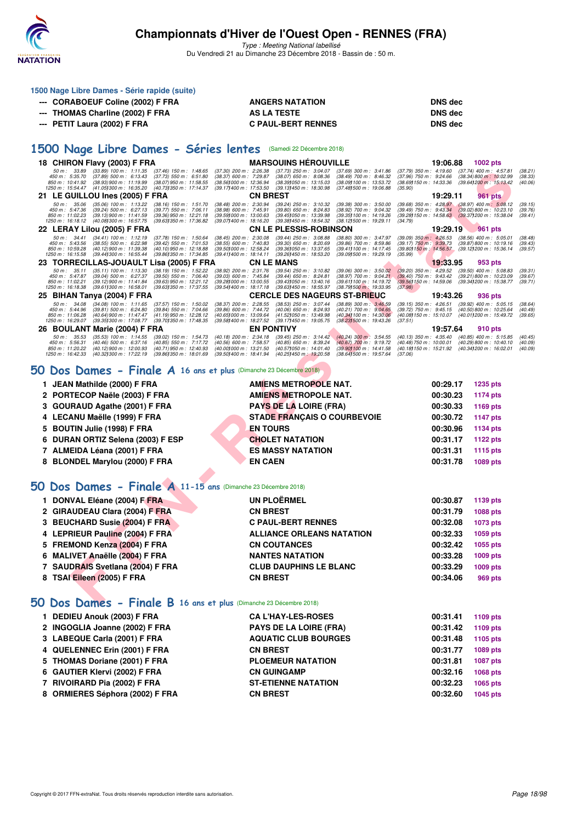

Type : Meeting National labellisé Du Vendredi 21 au Dimanche 23 Décembre 2018 - Bassin de : 50 m.

|    | 1500 Nage Libre Dames - Série rapide (suite)                                                                                                                                                                                                             |                                                                                                                                                                                    |                                                                                                                 |
|----|----------------------------------------------------------------------------------------------------------------------------------------------------------------------------------------------------------------------------------------------------------|------------------------------------------------------------------------------------------------------------------------------------------------------------------------------------|-----------------------------------------------------------------------------------------------------------------|
|    | --- CORABOEUF Coline (2002) F FRA                                                                                                                                                                                                                        | <b>ANGERS NATATION</b>                                                                                                                                                             | <b>DNS dec</b>                                                                                                  |
|    | <b>THOMAS Charline (2002) F FRA</b>                                                                                                                                                                                                                      | <b>AS LA TESTE</b>                                                                                                                                                                 | <b>DNS dec</b>                                                                                                  |
|    | PETIT Laura (2002) F FRA                                                                                                                                                                                                                                 | <b>C PAUL-BERT RENNES</b>                                                                                                                                                          | <b>DNS dec</b>                                                                                                  |
|    |                                                                                                                                                                                                                                                          |                                                                                                                                                                                    |                                                                                                                 |
|    | 1500 Nage Libre Dames - Séries lentes (Samedi 22 Décembre 2018)                                                                                                                                                                                          |                                                                                                                                                                                    |                                                                                                                 |
|    | 18 CHIRON Flavy (2003) F FRA                                                                                                                                                                                                                             | <b>MARSOUINS HEROUVILLE</b>                                                                                                                                                        | 19:06.88<br><b>1002 pts</b>                                                                                     |
|    | 50 m : 33.89<br>$(33.89)$ 100 m : 1:11.35<br>$(37.46)$ 150 m : 1:48.65<br>$(37.30)$ 200 m : 2:26.38<br>$(37.89)$ 500 m : 6:13.43<br>(37.73) 550 m : 6:51.80<br>(38.37) 600 m : 7:29.87<br>450 m : 5:35.70<br>850 m: 10:41.92<br>(38.93) 900 m : 11:19.99 | $(37.73)$ 250 m : 3:04.07<br>$(37.69)$ 300 m : 3:41.86<br>$(38.07)$ 650 m : 8:08.36<br>$(38.49)$ 700 m : $8:46.32$<br>$(37.96)$ 750 m : 9:24.66<br>(38.69) 150 m : 14:33.36        | (37.79) 350 m : 4:19.60<br>$(37.74)$ 400 m : 4:57.81<br>(38.21)<br>$(38.34)800 \text{ m}$ : 10:02.99<br>(38.33) |
|    | $(38.07)$ 950 m : 11:58.55<br>(38.56) 000 m : 12:36.94<br>1250 m: 15:54.47<br>(41.05) 300 m : 16:35.20<br>(40.73) 350 m : 17:14.37<br>(39.17) 400 m : 17:53.50                                                                                           | (38.39) 050 m : 13:15.03<br>(38.09) 100 m : 13:53.72<br>(39.13) 450 m : 18:30.98<br>(37.48) 500 m : 19:06.88<br>(35.90)                                                            | (39.64) 200 m : 15:13.42<br>(40.06)                                                                             |
|    | 21 LE GUILLOU Ines (2005) F FRA<br>50 m: 35.06 (35.06) 100 m: 1:13.22<br>$(38.48)$ 200 m : 2:30.94<br>$(38.16)$ 150 m : 1:51.70                                                                                                                          | <b>CN BREST</b><br>$(39.24)$ 250 m : 3:10.32<br>$(39.38)$ 300 m : 3:50.00                                                                                                          | 19:29.11<br>961 pts<br>(39.68) 350 m : 4:28.97 (38.97) 400 m : 5:08.12<br>(39.15)                               |
|    | $(39.24)$ 500 m : 6:27.13<br>450 m : 5:47.36<br>$(39.77)$ 550 m : 7:06.11<br>$(38.98)$ 600 m : 7:45.91<br>850 m: 11:02.23<br>(39.13) 900 m : 11:41.59<br>$(39.36)$ 950 m : 12:21.18<br>(39.591000 m: 13:00.63                                            | $(39.80)$ 650 m : 8:24.83<br>(38.92) 700 m : 9:04.32<br>$(39.49)$ 750 m : 9:43.34<br>(39.451050 m: 13:39.98)<br>(39.35) 100 m : 14:19.26                                           | $(39.02)$ 800 m : 10:23.10<br>(39.76)<br>(39.28) 150 m : 14.58.63 (39.37) 200 m : 15:38.04<br>(39.41)           |
|    | 1250 m : 16:18.12<br>(40.08) 300 m : 16:57.75<br>(39.631350 m : 17:36.82)<br>(39.07) 400 m : 18:16.20                                                                                                                                                    | (38.121500 m: 19:29.11<br>(39.381450 m : 18:54.32)<br>(34.79)                                                                                                                      | 19:29.19 961 pts                                                                                                |
|    | 22 LERAY Lilou (2005) F FRA<br>$(34.41)$ 100 m : 1:12.19<br>50 m : 34.41<br>$(38.45)$ 200 m : 2:30.08<br>$(37.78)$ 150 m : 1:50.64                                                                                                                       | <b>CN LE PLESSIS-ROBINSON</b><br>$(39.44)$ 250 m : 3:08.88<br>(38.80) 300 m : 3:47.97                                                                                              | $(39.09)$ 350 m : 4:26.53<br>$(38.56)$ 400 m : 5:05.01<br>(38.48)                                               |
|    | 450 m : 5:43.56<br>$(38.55)$ 500 m : 6:22.98<br>$(39.42)$ 550 m : 7:01.53<br>$(38.55)$ 600 m : 7:40.83<br>850 m: 10:59.28<br>(40.12) 900 m : 11:39.38<br>(40.10) 950 m : 12:18.88<br>(39.50) 000 m : 12:58.24                                            | $(39.30)$ 650 m : 8:20.69<br>$(39.86)$ 700 m : 8:59.86<br>$(39.17)$ 750 m : 9:39.73<br>(39.36) 050 m : 13:37.65<br>(39.411100 m: 14:17.45)<br>(39.80) 150 m : 14:56.57             | $(39.87)800 \text{ m}$ : 10:19.16<br>(39.43)<br>(39.12) 200 m : 15:36.14<br>(39.57)                             |
|    | 1250 m : 16:15.58<br>(39.44) 300 m : 16:55.44<br>(39.861350 m : 17:34.85<br>(39.411400 m : 18:14.11<br>23 TORRECILLAS-JOUAULT Lisa (2005) F FRA                                                                                                          | (39.26) 450 m : 18:53.20<br>(39.09) 500 m : 19:29.19<br>(35.99)<br><b>CN LE MANS</b>                                                                                               | 19:33.95<br>953 pts                                                                                             |
|    | 50 m : 35.11<br>$(35.11)$ 100 m : 1:13.30<br>(38.19) 150 m : 1:52.22<br>(38.92) 200 m : 2:31.76                                                                                                                                                          | $(39.54)$ 250 m : 3:10.82<br>$(39.20)$ 350 m : 4:29.52<br>$(39.06)$ 300 m : $3:50.02$                                                                                              | $(39.50)$ 400 m : 5:08.83<br>(39.31)                                                                            |
|    | 450 m : 5:47.87<br>$(39.04)$ 500 m : 6:27.37<br>$(39.50)$ 550 m : 7:06.40<br>(39.03) 600 m : 7:45.84<br>850 m : 11:02.21<br>(39.12) 900 m : 11:41.84<br>$(39.63)$ 950 m : 12:21.12<br>(39.28) 000 m : 13:00.55                                           | $(39.44)$ 650 m : 8:24.81<br>$(38.97)$ 700 m : $9.04.21$<br>$(39.40)$ 750 m : 9:43.42<br>(39.43) 050 m : 13:40.16<br>$(39.61)100 \text{ m}$ : 14:19.72<br>(39.56) 150 m : 14:59.06 | $(39.21)800 \text{ m}$ : 10:23.09<br>(39.67)<br>(39.341200 m: 15:38.77<br>(39.71)                               |
|    | 1250 m: 16:18.38<br>$(39.61)300 \text{ m}$ : 16:58.01<br>(39.63) 350 m : 17:37.55<br>(39.54) 400 m : 18:17.18<br>25 BIHAN Tanya (2004) F FRA                                                                                                             | (39.63) 450 m : 18:55.97<br>(38.791500 m : 19:33.95<br>(37.98)<br><b>CERCLE DES NAGEURS ST-BRIEUC</b>                                                                              | 19:43.26<br>936 pts                                                                                             |
|    | 50 m: 34.08<br>$(34.08)$ 100 m : 1:11.65<br>$(38.37)$ 200 m : 2:28.55<br>$(37.57)$ 150 m : 1:50.02                                                                                                                                                       | $(38.89)$ 300 m : 3:46.59<br>$(38.53)$ 250 m : 3:07.44<br>$(39.15)$ 350 m : 4:26.51                                                                                                | $(39.92)$ 400 m : 5:05.15<br>(38.64)                                                                            |
|    | 450 m: 5:44.96<br>$(39.81)$ 500 m : 6:24.80<br>$(39.84)$ 550 m : 7:04.66<br>(39.86) 600 m : 7:44.72<br>850 m: 11:06.28<br>(40.64) 900 m : 11:47.47<br>(41.19) 950 m : 12:28.12<br>(40.65) 000 m : 13:09.64                                               | $(40.06)$ 650 m : 8:24.93<br>(40.21) 700 m : 9:04.65<br>$(39.72)$ 750 m : $9.45.15$<br>(41.52) 050 m: 13:49.98<br>(40.34) 100 m : 14:30.06<br>(40.08) 150 m : 15:10.07             | $(40.50)$ 800 m : 10:25.64<br>(40.49)<br>(40.011200 m : 15:49.72)<br>(39.65)                                    |
|    | 1250 m: 16:29.07<br>(39.35) 300 m : 17:08.77<br>(39.701350 m: 17:48.35<br>(39.58) 400 m : 18:27.52<br>26 BOULANT Marie (2004) F FRA                                                                                                                      | (39.171450 m: 19.05.75)<br>(38.231500 m: 19.43.26)<br>(37.51)<br><b>EN PONTIVY</b>                                                                                                 | 19:57.64<br>910 pts                                                                                             |
|    | 50 m : 35.53<br>$(35.53)$ 100 m : 1:14.55<br>(40.18) 200 m : 2:34.18<br>$(39.02)$ 150 m : 1:54.73                                                                                                                                                        | $(39.45)$ 250 m : 3:14.42<br>$(40.24)$ 300 m : 3:54.55                                                                                                                             | $(40.13)$ 350 m : 4:35.40<br>$(40.85)$ 400 m : 5:15.85<br>(40.45)                                               |
|    | 450 m: 5:56.31<br>$(40.46)$ 500 m : 6:37.16<br>$(40.85)$ 550 m : 7:17.72<br>(40.56) 600 m : 7:58.57<br>850 m: 11:20.22<br>(40.71) 950 m : 12:40.93<br>(40.001000 m: 13:21.50<br>$(40.12)$ 900 m : 12:00.93                                               | (40.85) 650 m : 8:39.24<br>(40.67) 700 m : 9:19.72<br>(40.48) 750 m : 10:00.01<br>(40.57) 050 m: 14:01.40<br>(39.90) 100 m : 14:41.58                                              | $(40.29) 800 \text{ m}$ : 10:40.10<br>(40.09)<br>(40.18) 150 m : 15:21.92 (40.34) 200 m : 16:02.01<br>(40.09)   |
|    | 1250 m : 16:42.33<br>(40.32) 300 m : 17:22.19<br>(39.861350 m : 18:01.69<br>(39.50) 400 m : 18:41.94                                                                                                                                                     | (40.25) 450 m : 19:20.58<br>(38.641500 m : 19:57.64<br>(37.06)                                                                                                                     |                                                                                                                 |
| 50 | Dos Dames - Finale A 16 ans et plus (Dimanche 23 Décembre 2018)                                                                                                                                                                                          |                                                                                                                                                                                    |                                                                                                                 |
|    | 1 JEAN Mathilde (2000) F FRA                                                                                                                                                                                                                             | <b>AMIENS METROPOLE NAT.</b>                                                                                                                                                       | 00:29.17<br>1235 pts                                                                                            |
|    | 2 PORTECOP Naële (2003) F FRA                                                                                                                                                                                                                            | <b>AMIENS METROPOLE NAT.</b>                                                                                                                                                       | 00:30.23<br><b>1174 pts</b>                                                                                     |
| 3  | <b>GOURAUD Agathe (2001) F FRA</b>                                                                                                                                                                                                                       | <b>PAYS DE LA LOIRE (FRA)</b>                                                                                                                                                      | 00:30.33<br>1169 pts                                                                                            |
|    | 4 LECANU Maëlle (1999) F FRA                                                                                                                                                                                                                             | <b>STADE FRANÇAIS O COURBEVOIE</b>                                                                                                                                                 | 00:30.72<br><b>1147 pts</b>                                                                                     |
| 5  | <b>BOUTIN Julie (1998) F FRA</b>                                                                                                                                                                                                                         | <b>EN TOURS</b>                                                                                                                                                                    | 00:30.96<br><b>1134 pts</b>                                                                                     |
| 6  | DURAN ORTIZ Selena (2003) F ESP                                                                                                                                                                                                                          | <b>CHOLET NATATION</b>                                                                                                                                                             | 00:31.17<br><b>1122 pts</b>                                                                                     |
|    | 7 ALMEIDA Léana (2001) F FRA                                                                                                                                                                                                                             | <b>ES MASSY NATATION</b>                                                                                                                                                           | 00:31.31<br><b>1115 pts</b>                                                                                     |
|    | 8 BLONDEL Marylou (2000) F FRA                                                                                                                                                                                                                           | <b>EN CAEN</b>                                                                                                                                                                     | 00:31.78<br>1089 pts                                                                                            |
|    | 50 Dos Dames - Finale A 11-15 ans (Dimanche 23 Décembre 2018)                                                                                                                                                                                            |                                                                                                                                                                                    |                                                                                                                 |
|    |                                                                                                                                                                                                                                                          |                                                                                                                                                                                    |                                                                                                                 |
|    | 1 DONVAL Eléane (2004) F FRA                                                                                                                                                                                                                             | <b>UN PLOËRMEL</b>                                                                                                                                                                 | 00:30.87<br>1139 pts                                                                                            |
|    | 2 GIRAUDEAU Clara (2004) F FRA                                                                                                                                                                                                                           | <b>CN BREST</b>                                                                                                                                                                    | 00:31.79<br>1088 pts                                                                                            |
|    | 3 BEUCHARD Susie (2004) F FRA                                                                                                                                                                                                                            | <b>C PAUL-BERT RENNES</b>                                                                                                                                                          | 00:32.08<br>1073 pts                                                                                            |
|    | 4 LEPRIEUR Pauline (2004) F FRA                                                                                                                                                                                                                          | <b>ALLIANCE ORLEANS NATATION</b>                                                                                                                                                   | 00:32.33<br>1059 pts                                                                                            |
|    | 5 FREMOND Kenza (2004) F FRA                                                                                                                                                                                                                             | <b>CN COUTANCES</b>                                                                                                                                                                | 00:32.42<br>1055 pts                                                                                            |
|    | 6 MALIVET Anaëlle (2004) F FRA                                                                                                                                                                                                                           | <b>NANTES NATATION</b>                                                                                                                                                             | 00:33.28<br>1009 pts                                                                                            |
|    | 7 SAUDRAIS Svetlana (2004) F FRA                                                                                                                                                                                                                         | <b>CLUB DAUPHINS LE BLANC</b>                                                                                                                                                      | 00:33.29<br>1009 pts                                                                                            |
|    | 8 TSAI Eileen (2005) F FRA                                                                                                                                                                                                                               | <b>CN BREST</b>                                                                                                                                                                    | 00:34.06<br>969 pts                                                                                             |
|    | 50 Dos Dames - Finale B 16 ans et plus (Dimanche 23 Décembre 2018)                                                                                                                                                                                       |                                                                                                                                                                                    |                                                                                                                 |
|    |                                                                                                                                                                                                                                                          |                                                                                                                                                                                    |                                                                                                                 |

# **[50 Dos Dames - Finale A](http://www.ffnatation.fr/webffn/resultats.php?idact=nat&go=epr&idcpt=55947&idepr=11) 16 ans et plus** (Dimanche 23 Décembre 2018)

| 1 JEAN Mathilde (2000) F FRA      | <b>AMIENS METROPOLE NAT.</b>       | 00:29.17 | 1235 pts |
|-----------------------------------|------------------------------------|----------|----------|
| 2 PORTECOP Naële (2003) F FRA     | <b>AMIENS METROPOLE NAT.</b>       | 00:30.23 | 1174 pts |
| 3 GOURAUD Agathe (2001) F FRA     | <b>PAYS DE LA LOIRE (FRA)</b>      | 00:30.33 | 1169 pts |
| 4 LECANU Maëlle (1999) F FRA      | <b>STADE FRANÇAIS O COURBEVOIE</b> | 00:30.72 | 1147 pts |
| 5 BOUTIN Julie (1998) F FRA       | <b>EN TOURS</b>                    | 00:30.96 | 1134 pts |
| 6 DURAN ORTIZ Selena (2003) F ESP | <b>CHOLET NATATION</b>             | 00:31.17 | 1122 pts |
| 7 ALMEIDA Léana (2001) F FRA      | <b>ES MASSY NATATION</b>           | 00:31.31 | 1115 pts |
| 8 BLONDEL Marylou (2000) F FRA    | <b>EN CAEN</b>                     | 00:31.78 | 1089 pts |
|                                   |                                    |          |          |

## **[50 Dos Dames - Finale A](http://www.ffnatation.fr/webffn/resultats.php?idact=nat&go=epr&idcpt=55947&idepr=11) 11-15 ans** (Dimanche 23 Décembre 2018)

| 1 DONVAL Eléane (2004) F FRA     | UN PLOËRMEL                      | 00:30.87 | 1139 pts |
|----------------------------------|----------------------------------|----------|----------|
| 2 GIRAUDEAU Clara (2004) F FRA   | <b>CN BREST</b>                  | 00:31.79 | 1088 pts |
| 3 BEUCHARD Susie (2004) F FRA    | <b>C PAUL-BERT RENNES</b>        | 00:32.08 | 1073 pts |
| 4 LEPRIEUR Pauline (2004) F FRA  | <b>ALLIANCE ORLEANS NATATION</b> | 00:32.33 | 1059 pts |
| 5 FREMOND Kenza (2004) F FRA     | <b>CN COUTANCES</b>              | 00:32.42 | 1055 pts |
| 6 MALIVET Anaëlle (2004) F FRA   | <b>NANTES NATATION</b>           | 00:33.28 | 1009 pts |
| 7 SAUDRAIS Svetlana (2004) F FRA | <b>CLUB DAUPHINS LE BLANC</b>    | 00:33.29 | 1009 pts |
| 8 TSAI Eileen (2005) F FRA       | <b>CN BREST</b>                  | 00:34.06 | 969 pts  |

### **[50 Dos Dames - Finale B](http://www.ffnatation.fr/webffn/resultats.php?idact=nat&go=epr&idcpt=55947&idepr=11) 16 ans et plus** (Dimanche 23 Décembre 2018)

| 1 DEDIEU Anouk (2003) F FRA     | <b>CA L'HAY-LES-ROSES</b>     | 00:31.41 | 1109 pts |
|---------------------------------|-------------------------------|----------|----------|
| 2 INGOGLIA Joanne (2002) F FRA  | <b>PAYS DE LA LOIRE (FRA)</b> | 00:31.42 | 1109 pts |
| 3 LABEQUE Carla (2001) F FRA    | <b>AQUATIC CLUB BOURGES</b>   | 00:31.48 | 1105 pts |
| 4 QUELENNEC Erin (2001) F FRA   | <b>CN BREST</b>               | 00:31.77 | 1089 pts |
| 5 THOMAS Doriane (2001) F FRA   | <b>PLOEMEUR NATATION</b>      | 00:31.81 | 1087 pts |
| 6 GAUTIER Klervi (2002) F FRA   | <b>CN GUINGAMP</b>            | 00:32.16 | 1068 pts |
| 7 RIVOIRARD Pia (2002) F FRA    | <b>ST-ETIENNE NATATION</b>    | 00:32.23 | 1065 pts |
| 8 ORMIERES Séphora (2002) F FRA | <b>CN BREST</b>               | 00:32.60 | 1045 pts |
|                                 |                               |          |          |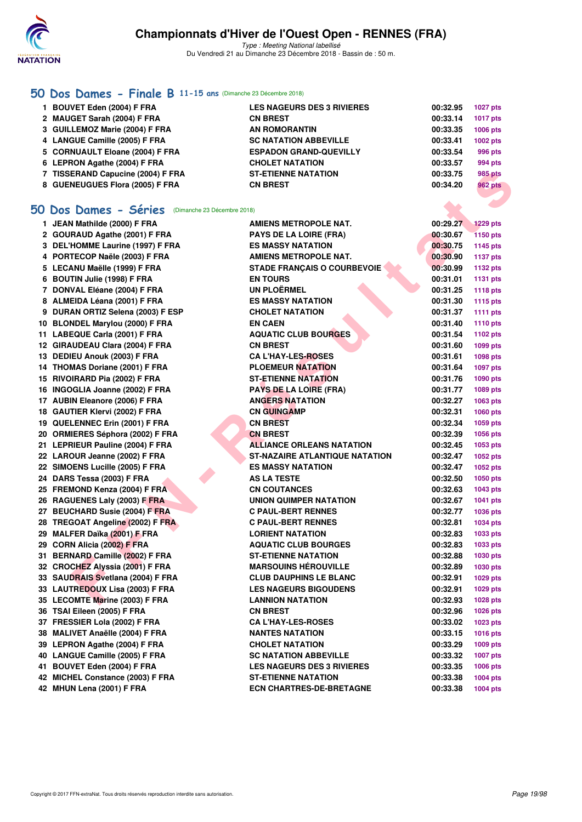

Type : Meeting National labellisé Du Vendredi 21 au Dimanche 23 Décembre 2018 - Bassin de : 50 m.

### **[50 Dos Dames - Finale B](http://www.ffnatation.fr/webffn/resultats.php?idact=nat&go=epr&idcpt=55947&idepr=11) 11-15 ans** (Dimanche 23 Décembre 2018)

| 1 BOUVET Eden (2004) F FRA<br><b>LES NAGEURS DES 3 RIVIERES</b>  | 00:32.95 | <b>1027 pts</b> |
|------------------------------------------------------------------|----------|-----------------|
| 2 MAUGET Sarah (2004) F FRA<br><b>CN BREST</b>                   | 00:33.14 | 1017 pts        |
| 3 GUILLEMOZ Marie (2004) F FRA<br><b>AN ROMORANTIN</b>           | 00:33.35 | 1006 pts        |
| 4 LANGUE Camille (2005) F FRA<br><b>SC NATATION ABBEVILLE</b>    | 00:33.41 | 1002 pts        |
| 5 CORNUAULT Eloane (2004) F FRA<br><b>ESPADON GRAND-QUEVILLY</b> | 00:33.54 | 996 pts         |
| 6 LEPRON Agathe (2004) F FRA<br><b>CHOLET NATATION</b>           | 00:33.57 | 994 pts         |
| 7 TISSERAND Capucine (2004) F FRA<br><b>ST-ETIENNE NATATION</b>  | 00:33.75 | 985 pts         |
| 8 GUENEUGUES Flora (2005) F FRA<br><b>CN BREST</b>               | 00:34.20 | <b>962 pts</b>  |

### **[50 Dos Dames - Séries](http://www.ffnatation.fr/webffn/resultats.php?idact=nat&go=epr&idcpt=55947&idepr=11)** (Dimanche 23 Décembre 2018)

| 7 TISSERAND Capucine (2004) F FRA                       | <b>ST-ETIENNE NATATION</b>            | 00:33.75 | <b>985 pts</b>  |
|---------------------------------------------------------|---------------------------------------|----------|-----------------|
| 8 GUENEUGUES Flora (2005) F FRA                         | <b>CN BREST</b>                       | 00:34.20 | <b>962 pts</b>  |
|                                                         |                                       |          |                 |
| <b>O Dos Dames - Séries</b> (Dimanche 23 Décembre 2018) |                                       |          |                 |
| 1 JEAN Mathilde (2000) F FRA                            | AMIENS METROPOLE NAT.                 | 00:29.27 | <b>1229 pts</b> |
| 2 GOURAUD Agathe (2001) F FRA                           | <b>PAYS DE LA LOIRE (FRA)</b>         | 00:30.67 | <b>1150 pts</b> |
| 3 DEL'HOMME Laurine (1997) F FRA                        | <b>ES MASSY NATATION</b>              | 00:30.75 | 1145 pts        |
| 4 PORTECOP Naële (2003) F FRA                           | AMIENS METROPOLE NAT.                 | 00:30.90 | <b>1137 pts</b> |
| 5 LECANU Maëlle (1999) F FRA                            | <b>STADE FRANÇAIS O COURBEVOIE</b>    | 00:30.99 | <b>1132 pts</b> |
| 6 BOUTIN Julie (1998) F FRA                             | <b>EN TOURS</b>                       | 00:31.01 | <b>1131 pts</b> |
| 7 DONVAL Eléane (2004) F FRA                            | <b>UN PLOËRMEL</b>                    | 00:31.25 | <b>1118 pts</b> |
| 8 ALMEIDA Léana (2001) F FRA                            | <b>ES MASSY NATATION</b>              | 00:31.30 | <b>1115 pts</b> |
| 9 DURAN ORTIZ Selena (2003) F ESP                       | <b>CHOLET NATATION</b>                | 00:31.37 | <b>1111 pts</b> |
| 10 BLONDEL Marylou (2000) F FRA                         | <b>EN CAEN</b>                        | 00:31.40 | 1110 pts        |
| 11 LABEQUE Carla (2001) F FRA                           | <b>AQUATIC CLUB BOURGES</b>           | 00:31.54 | 1102 pts        |
| 12 GIRAUDEAU Clara (2004) F FRA                         | <b>CN BREST</b>                       | 00:31.60 | 1099 pts        |
| 13 DEDIEU Anouk (2003) F FRA                            | <b>CA L'HAY-LES-ROSES</b>             | 00:31.61 | 1098 pts        |
| 14 THOMAS Doriane (2001) F FRA                          | <b>PLOEMEUR NATATION</b>              | 00:31.64 | 1097 pts        |
| 15 RIVOIRARD Pia (2002) F FRA                           | <b>ST-ETIENNE NATATION</b>            | 00:31.76 | 1090 pts        |
| 16 INGOGLIA Joanne (2002) F FRA                         | <b>PAYS DE LA LOIRE (FRA)</b>         | 00:31.77 | 1089 pts        |
| 17 AUBIN Eleanore (2006) F FRA                          | <b>ANGERS NATATION</b>                | 00:32.27 | 1063 pts        |
| 18 GAUTIER Klervi (2002) F FRA                          | <b>CN GUINGAMP</b>                    | 00:32.31 | 1060 pts        |
| 19 QUELENNEC Erin (2001) F FRA                          | <b>CN BREST</b>                       | 00:32.34 | 1059 pts        |
| 20 ORMIERES Séphora (2002) F FRA                        | <b>CN BREST</b>                       | 00:32.39 | 1056 pts        |
| 21 LEPRIEUR Pauline (2004) F FRA                        | <b>ALLIANCE ORLEANS NATATION</b>      | 00:32.45 | 1053 pts        |
| 22 LAROUR Jeanne (2002) F FRA                           | <b>ST-NAZAIRE ATLANTIQUE NATATION</b> | 00:32.47 | 1052 pts        |
| 22 SIMOENS Lucille (2005) F FRA                         | <b>ES MASSY NATATION</b>              | 00:32.47 | 1052 pts        |
| 24 DARS Tessa (2003) F FRA                              | <b>AS LA TESTE</b>                    | 00:32.50 | <b>1050 pts</b> |
| 25 FREMOND Kenza (2004) F FRA                           | <b>CN COUTANCES</b>                   | 00:32.63 | 1043 pts        |
| 26 RAGUENES Laly (2003) F FRA                           | UNION QUIMPER NATATION                | 00:32.67 | 1041 pts        |
| 27 BEUCHARD Susie (2004) F FRA                          | <b>C PAUL-BERT RENNES</b>             | 00:32.77 | 1036 pts        |
| 28 TREGOAT Angeline (2002) F FRA                        | <b>C PAUL-BERT RENNES</b>             | 00:32.81 | 1034 pts        |
| 29 MALFER Daïka (2001) F FRA                            | <b>LORIENT NATATION</b>               | 00:32.83 | 1033 pts        |
| 29 CORN Alicia (2002) F FRA                             | <b>AQUATIC CLUB BOURGES</b>           | 00:32.83 | 1033 pts        |
| 31 BERNARD Camille (2002) F FRA                         | <b>ST-ETIENNE NATATION</b>            | 00:32.88 | 1030 pts        |
| 32 CROCHEZ Alyssia (2001) F FRA                         | <b>MARSOUINS HÉROUVILLE</b>           | 00:32.89 | <b>1030 pts</b> |
| 33 SAUDRAIS Svetlana (2004) F FRA                       | <b>CLUB DAUPHINS LE BLANC</b>         | 00:32.91 | 1029 pts        |
| 33   LAUTR <mark>EDO</mark> UX Lisa (2003) F FRA        | <b>LES NAGEURS BIGOUDENS</b>          | 00:32.91 | 1029 pts        |
| 35 LECOMTE Marine (2003) F FRA                          | <b>LANNION NATATION</b>               | 00:32.93 | 1028 pts        |
| 36 TSAI Eileen (2005) F FRA                             | <b>CN BREST</b>                       | 00:32.96 | 1026 pts        |
| 37 FRESSIER Lola (2002) F FRA                           | <b>CA L'HAY-LES-ROSES</b>             | 00:33.02 | 1023 pts        |
| 38 MALIVET Anaëlle (2004) F FRA                         | <b>NANTES NATATION</b>                | 00:33.15 | 1016 pts        |
| 39 LEPRON Agathe (2004) F FRA                           | <b>CHOLET NATATION</b>                | 00:33.29 | 1009 pts        |
| 40 LANGUE Camille (2005) F FRA                          | <b>SC NATATION ABBEVILLE</b>          | 00:33.32 | <b>1007 pts</b> |
| 41 BOUVET Eden (2004) F FRA                             | <b>LES NAGEURS DES 3 RIVIERES</b>     | 00:33.35 | 1006 pts        |
| 42 MICHEL Constance (2003) F FRA                        | <b>ST-ETIENNE NATATION</b>            | 00:33.38 | 1004 pts        |
| 42 MHUN Lena (2001) F FRA                               | <b>ECN CHARTRES-DE-BRETAGNE</b>       | 00:33.38 | <b>1004 pts</b> |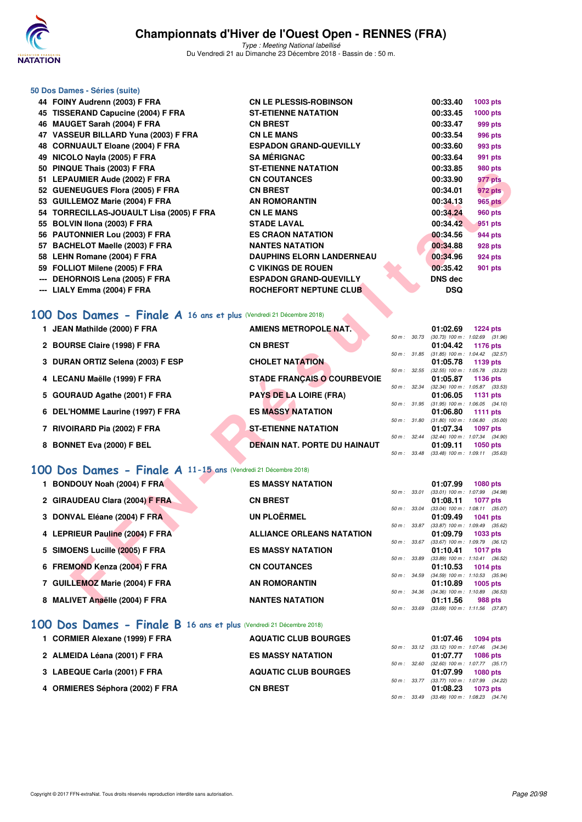

Type : Meeting National labellisé Du Vendredi 21 au Dimanche 23 Décembre 2018 - Bassin de : 50 m.

### **50 Dos Dames - Séries (suite)**

|       | 44 FOINY Audrenn (2003) F FRA            | <b>CN LE PLESSIS-ROBINSON</b>    | 00:33.40       | 1003 pts       |
|-------|------------------------------------------|----------------------------------|----------------|----------------|
|       | 45 TISSERAND Capucine (2004) F FRA       | <b>ST-ETIENNE NATATION</b>       | 00:33.45       | 1000 pts       |
|       | 46 MAUGET Sarah (2004) F FRA             | <b>CN BREST</b>                  | 00:33.47       | 999 pts        |
|       | 47 VASSEUR BILLARD Yuna (2003) F FRA     | <b>CN LE MANS</b>                | 00:33.54       | 996 pts        |
|       | 48 CORNUAULT Eloane (2004) F FRA         | <b>ESPADON GRAND-QUEVILLY</b>    | 00:33.60       | 993 pts        |
|       | 49 NICOLO Nayla (2005) F FRA             | <b>SA MÉRIGNAC</b>               | 00:33.64       | 991 pts        |
|       | 50 PINQUE Thais (2003) F FRA             | <b>ST-ETIENNE NATATION</b>       | 00:33.85       | 980 pts        |
|       | 51 LEPAUMIER Aude (2002) F FRA           | <b>CN COUTANCES</b>              | 00:33.90       | 977 pts        |
|       | 52 GUENEUGUES Flora (2005) F FRA         | <b>CN BREST</b>                  | 00:34.01       | 972 pts        |
|       | 53 GUILLEMOZ Marie (2004) F FRA          | <b>AN ROMORANTIN</b>             | 00:34.13       | 965 pts        |
|       | 54 TORRECILLAS-JOUAULT Lisa (2005) F FRA | <b>CN LE MANS</b>                | 00:34.24       | <b>960 pts</b> |
|       | 55 BOLVIN Ilona (2003) F FRA             | <b>STADE LAVAL</b>               | 00:34.42       | 951 pts        |
|       | 56 PAUTONNIER Lou (2003) F FRA           | <b>ES CRAON NATATION</b>         | 00:34.56       | 944 pts        |
|       | 57 BACHELOT Maelle (2003) F FRA          | <b>NANTES NATATION</b>           | 00:34.88       | <b>928 pts</b> |
|       | 58 LEHN Romane (2004) F FRA              | <b>DAUPHINS ELORN LANDERNEAU</b> | 00:34.96       | <b>924 pts</b> |
|       | 59 FOLLIOT Milene (2005) F FRA           | <b>C VIKINGS DE ROUEN</b>        | 00:35.42       | 901 pts        |
| $---$ | DEHORNOIS Lena (2005) F FRA              | <b>ESPADON GRAND-QUEVILLY</b>    | <b>DNS</b> dec |                |
|       | --- LIALY Emma (2004) F FRA              | ROCHEFORT NEPTUNE CLUB           | <b>DSQ</b>     |                |
|       |                                          |                                  |                |                |

### **[100 Dos Dames - Finale A](http://www.ffnatation.fr/webffn/resultats.php?idact=nat&go=epr&idcpt=55947&idepr=12) 16 ans et plus** (Vendredi 21 Décembre 2018)

|           | JU FINQUE IIIAIS (2003) FFNA                                                                    | JI E HENNE NATATIVN                 |              | 00.JJ.0J       | ອບບ µເວ                                                       |
|-----------|-------------------------------------------------------------------------------------------------|-------------------------------------|--------------|----------------|---------------------------------------------------------------|
|           | 51 LEPAUMIER Aude (2002) F FRA                                                                  | <b>CN COUTANCES</b>                 |              | 00:33.90       | 977 pts                                                       |
|           | 52 GUENEUGUES Flora (2005) F FRA                                                                | <b>CN BREST</b>                     |              | 00:34.01       | 972 pts                                                       |
|           | 53 GUILLEMOZ Marie (2004) F FRA                                                                 | <b>AN ROMORANTIN</b>                |              | 00:34.13       | <b>965 pts</b>                                                |
|           | 54   TORRECILLAS-JOUAULT Lisa (2005) F FRA                                                      | <b>CN LE MANS</b>                   |              | 00:34.24       | 960 pts                                                       |
|           | 55 BOLVIN Ilona (2003) F FRA                                                                    | <b>STADE LAVAL</b>                  |              | 00:34.42       | 951 pts                                                       |
|           | 56 PAUTONNIER Lou (2003) F FRA                                                                  | <b>ES CRAON NATATION</b>            |              | 00:34.56       | 944 pts                                                       |
|           | 57 BACHELOT Maelle (2003) F FRA                                                                 | <b>NANTES NATATION</b>              |              | 00:34.88       | 928 pts                                                       |
|           | 58 LEHN Romane (2004) F FRA                                                                     | <b>DAUPHINS ELORN LANDERNEAU</b>    |              | 00:34.96       | 924 pts                                                       |
|           | 59 FOLLIOT Milene (2005) F FRA                                                                  | <b>C VIKINGS DE ROUEN</b>           |              | 00:35.42       | 901 pts                                                       |
|           | --- DEHORNOIS Lena (2005) F FRA                                                                 | <b>ESPADON GRAND-QUEVILLY</b>       |              | <b>DNS dec</b> |                                                               |
|           | --- LIALY Emma (2004) F FRA                                                                     | ROCHEFORT NEPTUNE CLUB              |              | <b>DSQ</b>     |                                                               |
| <b>OO</b> | Dos Dames - Finale A 16 ans et plus (Vendredi 21 Décembre 2018)<br>1 JEAN Mathilde (2000) F FRA | <b>AMIENS METROPOLE NAT.</b>        | 50 m : 30.73 | 01:02.69       | <b>1224 pts</b><br>$(30.73)$ 100 m : 1:02.69 $(31.96)$        |
|           | 2 BOURSE Claire (1998) F FRA                                                                    | <b>CN BREST</b>                     | 50 m : 31.85 | 01:04.42       | 1176 pts<br>$(31.85)$ 100 m : 1:04.42 $(32.57)$               |
|           | 3 DURAN ORTIZ Selena (2003) F ESP                                                               | <b>CHOLET NATATION</b>              |              | 01:05.78       | 1139 pts                                                      |
|           |                                                                                                 |                                     | 50 m : 32.55 |                | $(32.55)$ 100 m : 1:05.78 $(33.23)$                           |
|           | 4 LECANU Maëlle (1999) F FRA                                                                    | <b>STADE FRANÇAIS O COURBEVOIE</b>  | 50 m : 32.34 | 01:05.87       | 1136 pts<br>$(32.34)$ 100 m : 1:05.87 $(33.53)$               |
|           | 5 GOURAUD Agathe (2001) F FRA                                                                   | <b>PAYS DE LA LOIRE (FRA)</b>       |              | 01:06.05       | 1131 pts                                                      |
|           |                                                                                                 |                                     |              |                | 50 m: 31.95 (31.95) 100 m: 1:06.05 (34.10)                    |
|           | 6 DEL'HOMME Laurine (1997) F FRA                                                                | <b>ES MASSY NATATION</b>            | 50 m : 31.80 | 01:06.80       | 1111 $pts$<br>$(31.80)$ 100 m : 1:06.80 $(35.00)$             |
|           | 7 RIVOIRARD Pia (2002) F FRA                                                                    | <b>ST-ETIENNE NATATION</b>          |              | 01:07.34       | <b>1097 pts</b>                                               |
|           |                                                                                                 |                                     |              |                | 50 m: 32.44 (32.44) 100 m: 1:07.34 (34.90)                    |
|           | 8 BONNET Eva (2000) F BEL                                                                       | <b>DENAIN NAT. PORTE DU HAINAUT</b> |              | 01:09.11       | <b>1050 pts</b><br>50 m: 33.48 (33.48) 100 m: 1:09.11 (35.63) |
|           |                                                                                                 |                                     |              |                |                                                               |
|           | 00 Dos Dames - Finale A 11-15 ans (Vendredi 21 Décembre 2018)                                   |                                     |              |                |                                                               |
|           | 1 BONDOUY Noah (2004) F FRA                                                                     | <b>ES MASSY NATATION</b>            |              | 01:07.99       | <b>1080 pts</b>                                               |
|           |                                                                                                 |                                     | 50 m : 33.01 |                | $(33.01)$ 100 m : 1:07.99 $(34.98)$                           |
|           | 2 GIRAUDEAU Clara (2004) F FRA                                                                  | <b>CN BREST</b>                     | 50 m : 33.04 | 01:08.11       | <b>1077 pts</b><br>$(33.04)$ 100 m : 1:08.11 $(35.07)$        |
|           | 3 DONVAL Eléane (2004) F FRA                                                                    | <b>UN PLOËRMEL</b>                  |              | 01:09.49       | <b>1041 pts</b>                                               |
|           |                                                                                                 |                                     | 50 m : 33.87 |                | $(33.87)$ 100 m : 1:09.49 $(35.62)$                           |
|           | 4 LEPRIEUR Pauline (2004) F FRA                                                                 | <b>ALLIANCE ORLEANS NATATION</b>    |              | 01:09.79       | 1033 pts                                                      |
|           | 5 SIMOENS Lucille (2005) F FRA                                                                  | <b>ES MASSY NATATION</b>            | 50 m: 33.67  | 01:10.41       | $(33.67)$ 100 m : 1:09.79 $(36.12)$<br><b>1017 pts</b>        |
|           |                                                                                                 |                                     | 50 m : 33.89 |                | $(33.89)$ 100 m : 1:10.41 $(36.52)$                           |
|           | 6 FREMOND Kenza (2004) F FRA                                                                    | <b>CN COUTANCES</b>                 |              | 01:10.53       | 1014 $pts$                                                    |
|           | 7 GUILLEMOZ Marie (2004) F FRA                                                                  | <b>AN ROMORANTIN</b>                | 50 m : 34.59 | 01:10.89       | $(34.59)$ 100 m : 1:10.53 $(35.94)$<br>1005 pts               |
|           |                                                                                                 |                                     | 50 m : 34.36 |                | $(34.36)$ 100 m : 1:10.89 $(36.53)$                           |
|           | 8 MALIVET Anaëlle (2004) F FRA                                                                  | <b>NANTES NATATION</b>              |              | 01:11.56       | 988 pts                                                       |

### **[100 Dos Dames - Finale A](http://www.ffnatation.fr/webffn/resultats.php?idact=nat&go=epr&idcpt=55947&idepr=12) 11-15 ans** (Vendredi 21 Décembre 2018)

| 1 BONDOUY Noah (2004) F FRA     | <b>ES MASSY NATATION</b>         |                  | 01:07.99                            | <b>1080 pts</b> |  |
|---------------------------------|----------------------------------|------------------|-------------------------------------|-----------------|--|
|                                 |                                  | 50 m: 33.01      | $(33.01)$ 100 m : 1:07.99 $(34.98)$ |                 |  |
| 2 GIRAUDEAU Clara (2004) F FRA  | <b>CN BREST</b>                  |                  | 01:08.11                            | <b>1077 pts</b> |  |
|                                 |                                  | 50 m: 33.04      | $(33.04)$ 100 m : 1:08.11 $(35.07)$ |                 |  |
| 3 DONVAL Eléane (2004) F FRA    | <b>UN PLOËRMEL</b>               |                  | 01:09.49                            | <b>1041 pts</b> |  |
|                                 |                                  | 50 m: 33.87      | $(33.87)$ 100 m : 1:09.49 $(35.62)$ |                 |  |
| 4 LEPRIEUR Pauline (2004) F FRA | <b>ALLIANCE ORLEANS NATATION</b> |                  | 01:09.79                            | 1033 pts        |  |
|                                 |                                  | $50 m$ : $33.67$ | $(33.67)$ 100 m : 1:09.79 $(36.12)$ |                 |  |
| 5 SIMOENS Lucille (2005) F FRA  | <b>ES MASSY NATATION</b>         |                  | 01:10.41                            | <b>1017 pts</b> |  |
|                                 |                                  | 50 m: 33.89      | $(33.89)$ 100 m : 1:10.41 $(36.52)$ |                 |  |
| 6 FREMOND Kenza (2004) F FRA    | <b>CN COUTANCES</b>              |                  | 01:10.53                            | 1014 $pts$      |  |
|                                 |                                  | $50 m$ : $34.59$ | $(34.59)$ 100 m : 1:10.53 $(35.94)$ |                 |  |
| 7 GUILLEMOZ Marie (2004) F FRA  | <b>AN ROMORANTIN</b>             |                  | 01:10.89                            | $1005$ pts      |  |
|                                 |                                  | $50 m$ : $34.36$ | $(34.36)$ 100 m : 1:10.89 $(36.53)$ |                 |  |
| 8 MALIVET Anaëlle (2004) F FRA  | <b>NANTES NATATION</b>           |                  | 01:11.56                            | 988 pts         |  |
|                                 |                                  | 50 m: 33.69      | $(33.69)$ 100 m : 1:11.56 $(37.87)$ |                 |  |

### **[100 Dos Dames - Finale B](http://www.ffnatation.fr/webffn/resultats.php?idact=nat&go=epr&idcpt=55947&idepr=12) 16 ans et plus** (Vendredi 21 Décembre 2018)

| 1 CORMIER Alexane (1999) F FRA  | <b>AQUATIC CLUB BOURGES</b> | 01:07.46<br>1094 pts                                             |
|---------------------------------|-----------------------------|------------------------------------------------------------------|
| 2 ALMEIDA Léana (2001) F FRA    | <b>ES MASSY NATATION</b>    | 50 m: 33.12 (33.12) 100 m: 1:07.46 (34.<br>01:07.77<br>1086 pts  |
| 3 LABEQUE Carla (2001) F FRA    | <b>AQUATIC CLUB BOURGES</b> | 50 m: 32.60 (32.60) 100 m: 1:07.77 (35.<br>01:07.99<br>1080 pts  |
| 4 ORMIERES Séphora (2002) F FRA | <b>CN BREST</b>             | 50 m: 33.77 (33.77) 100 m: 1:07.99 (34.)<br>01:08.23<br>1073 pts |

|  | 01:07.46 1094 pts                          |  |
|--|--------------------------------------------|--|
|  | 50 m: 33.12 (33.12) 100 m: 1:07.46 (34.34) |  |
|  | 01:07.77 1086 pts                          |  |
|  | 50 m: 32.60 (32.60) 100 m: 1:07.77 (35.17) |  |
|  | 01:07.99 1080 pts                          |  |
|  | 50 m: 33.77 (33.77) 100 m: 1:07.99 (34.22) |  |
|  | $01:08.23$ 1073 pts                        |  |
|  | 50 m: 33.49 (33.49) 100 m: 1:08.23 (34.74) |  |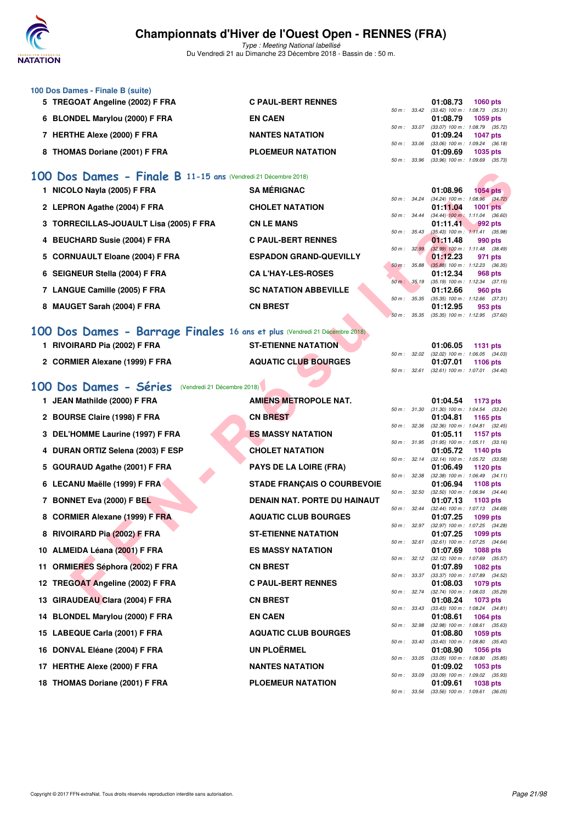

Type : Meeting National labellisé Du Vendredi 21 au Dimanche 23 Décembre 2018 - Bassin de : 50 m.

| 100 Dos Dames - Finale B (suite) |                           |              |          |                                     |
|----------------------------------|---------------------------|--------------|----------|-------------------------------------|
| 5 TREGOAT Angeline (2002) F FRA  | <b>C PAUL-BERT RENNES</b> |              | 01:08.73 | <b>1060 pts</b>                     |
|                                  |                           | 50 m : 33.42 |          | $(33.42)$ 100 m : 1:08.73 $(35.31)$ |
| 6 BLONDEL Marylou (2000) F FRA   | <b>EN CAEN</b>            |              | 01:08.79 | 1059 pts                            |
|                                  |                           | 50 m: 33.07  |          | $(33.07)$ 100 m : 1:08.79 $(35.72)$ |
| 7 HERTHE Alexe (2000) F FRA      | <b>NANTES NATATION</b>    |              | 01:09.24 | <b>1047 pts</b>                     |
|                                  |                           | 50 m: 33.06  |          | $(33.06)$ 100 m : 1:09.24 $(36.18)$ |
| 8 THOMAS Doriane (2001) F FRA    | <b>PLOEMEUR NATATION</b>  |              | 01:09.69 | <b>1035 pts</b>                     |
|                                  |                           | 50 m : 33.96 |          | $(33.96)$ 100 m : 1:09.69 $(35.73)$ |

### **[100 Dos Dames - Finale B](http://www.ffnatation.fr/webffn/resultats.php?idact=nat&go=epr&idcpt=55947&idepr=12) 11-15 ans** (Vendredi 21 Décembre 2018)

| 1 NICOLO Nayla (2005) F FRA             | <b>SA MÉRIGNAC</b>            |              |                        | 01:08.96                            | <b>1054 pts</b> |         |
|-----------------------------------------|-------------------------------|--------------|------------------------|-------------------------------------|-----------------|---------|
|                                         |                               |              | $50 \text{ m}$ : 34.24 | $(34.24)$ 100 m : 1:08.96 $(34.72)$ |                 |         |
| 2 LEPRON Agathe (2004) F FRA            | <b>CHOLET NATATION</b>        |              |                        | 01:11.04                            | <b>1001 pts</b> |         |
|                                         |                               |              | $50 \text{ m}$ : 34.44 | $(34.44)$ 100 m : 1:11.04 $(36.60)$ |                 |         |
| 3 TORRECILLAS-JOUAULT Lisa (2005) F FRA | <b>CN LE MANS</b>             |              |                        | 01:11.41                            | $992$ pts       |         |
|                                         |                               | 50 m: 35.43  |                        | $(35.43)$ 100 m : 1:11.41 $(35.98)$ |                 |         |
| 4 BEUCHARD Susie (2004) F FRA           | <b>C PAUL-BERT RENNES</b>     |              |                        | 01:11.48                            |                 | 990 pts |
|                                         |                               |              | 50 m: 32.99            | $(32.99)$ 100 m : 1:11.48 $(38.49)$ |                 |         |
| 5 CORNUAULT Eloane (2004) F FRA         | <b>ESPADON GRAND-QUEVILLY</b> |              |                        | 01:12.23                            |                 | 971 pts |
|                                         |                               |              | 50 m: 35.88            | $(35.88)$ 100 m : 1:12.23 (36.35)   |                 |         |
| 6 SEIGNEUR Stella (2004) F FRA          | <b>CA L'HAY-LES-ROSES</b>     |              |                        | 01:12.34                            |                 | 968 pts |
|                                         |                               | 50 m: 35.19  |                        | $(35.19)$ 100 m : 1:12.34 $(37.15)$ |                 |         |
| 7 LANGUE Camille (2005) F FRA           | <b>SC NATATION ABBEVILLE</b>  |              |                        | 01:12.66                            |                 | 960 pts |
|                                         |                               | 50 m : 35.35 |                        | $(35.35)$ 100 m : 1:12.66 $(37.31)$ |                 |         |
| 8 MAUGET Sarah (2004) F FRA             | <b>CN BREST</b>               |              |                        | 01:12.95                            |                 | 953 pts |
|                                         |                               | 50 m: 35.35  |                        | $(35.35)$ 100 m : 1:12.95 $(37.60)$ |                 |         |

## **[100 Dos Dames - Barrage Finales](http://www.ffnatation.fr/webffn/resultats.php?idact=nat&go=epr&idcpt=55947&idepr=12) 16 ans et plus** (Vendredi 21 Décembre 2018)

| RIVOIRARD Pia (2002) F FRA     | <b>ST-ETIENNE NATATION</b>  |          | $01:06.05$ 1131 pts                                      |
|--------------------------------|-----------------------------|----------|----------------------------------------------------------|
| 2 CORMIER Alexane (1999) F FRA | <b>AQUATIC CLUB BOURGES</b> | 01:07.01 | 50 m : 32.02 (32.02) 100 m : 1:06.05 (34.03)<br>1106 pts |
|                                |                             |          | 50 m: 32.61 (32.61) 100 m: 1:07.01 (34.40)               |

## [100 Dos Dames - Séries](http://www.ffnatation.fr/webffn/resultats.php?idact=nat&go=epr&idcpt=55947&idepr=12) (Vendredi 21 Décembre 2018)

| 00 Dos Dames - Finale B 11-15 ans (Vendredi 21 Décembre 2018)             |                                    |              |              |                                       |                                                        |  |
|---------------------------------------------------------------------------|------------------------------------|--------------|--------------|---------------------------------------|--------------------------------------------------------|--|
| 1 NICOLO Nayla (2005) F FRA                                               | <b>SA MÉRIGNAC</b>                 |              |              | 01:08.96                              | <b>1054 pts</b>                                        |  |
| 2 LEPRON Agathe (2004) F FRA                                              | <b>CHOLET NATATION</b>             |              | 50 m : 34.24 | 01:11.04                              | $(34.24)$ 100 m : 1:08.96 $(34.72)$<br><b>1001 pts</b> |  |
| 3 TORRECILLAS-JOUAULT Lisa (2005) F FRA                                   | <b>CN LE MANS</b>                  | 50 m: 34.44  |              | 01:11.41                              | $(34.44)$ 100 m : 1:11.04 $(36.60)$<br>992 pts         |  |
| 4 BEUCHARD Susie (2004) F FRA                                             | <b>C PAUL-BERT RENNES</b>          | 50 m: 35.43  |              | 01:11.48                              | $(35.43)$ 100 m : 1:11.41 $(35.98)$<br>990 pts         |  |
|                                                                           |                                    | 50 m: 32.99  |              |                                       | $(32.99)$ 100 m : 1:11.48 $(38.49)$                    |  |
| 5 CORNUAULT Eloane (2004) F FRA                                           | <b>ESPADON GRAND-QUEVILLY</b>      |              | 50 m: 35.88  | 01:12.23                              | 971 pts<br>$(35.88)$ 100 m : 1:12.23 $(36.35)$         |  |
| 6 SEIGNEUR Stella (2004) F FRA                                            | <b>CA L'HAY-LES-ROSES</b>          |              | 50 m : 35.19 | 01:12.34                              | 968 pts<br>$(35.19)$ 100 m : 1:12.34 $(37.15)$         |  |
| 7 LANGUE Camille (2005) F FRA                                             | <b>SC NATATION ABBEVILLE</b>       |              |              | 01:12.66                              | 960 pts                                                |  |
| 8 MAUGET Sarah (2004) F FRA                                               | <b>CN BREST</b>                    |              | 50 m : 35.35 | 01:12.95                              | $(35.35)$ 100 m : 1:12.66 $(37.31)$<br>953 pts         |  |
|                                                                           |                                    |              | 50 m: 35.35  |                                       | $(35.35)$ 100 m : 1:12.95 $(37.60)$                    |  |
| 00 Dos Dames - Barrage Finales 16 ans et plus (Vendredi 21 Décembre 2018) |                                    |              |              |                                       |                                                        |  |
| 1 RIVOIRARD Pia (2002) F FRA                                              | <b>ST-ETIENNE NATATION</b>         |              |              | 01:06.05                              | 1131 pts                                               |  |
| 2 CORMIER Alexane (1999) F FRA                                            | <b>AQUATIC CLUB BOURGES</b>        |              | 50 m: 32.02  | 01:07.01                              | (32.02) 100 m: 1:06.05 (34.03)<br>1106 pts             |  |
|                                                                           |                                    |              | 50 m : 32.61 |                                       | $(32.61)$ 100 m : 1:07.01 $(34.40)$                    |  |
| 00 Dos Dames - Séries<br>(Vendredi 21 Décembre 2018)                      |                                    |              |              |                                       |                                                        |  |
| 1 JEAN Mathilde (2000) F FRA                                              | <b>AMIENS METROPOLE NAT.</b>       |              |              | 01:04.54                              | 1173 pts                                               |  |
| 2 BOURSE Claire (1998) F FRA                                              | <b>CN BREST</b>                    |              | 50 m : 31.30 | 01:04.81                              | $(31.30)$ 100 m : 1:04.54 $(33.24)$<br>1165 pts        |  |
|                                                                           |                                    | 50 m: 32.36  |              |                                       | $(32.36)$ 100 m : 1:04.81 $(32.45)$                    |  |
| 3 DEL'HOMME Laurine (1997) F FRA                                          | <b>ES MASSY NATATION</b>           |              | 50 m : 31.95 | 01:05.11                              | 1157 pts<br>$(31.95)$ 100 m : 1:05.11 $(33.16)$        |  |
| 4 DURAN ORTIZ Selena (2003) F ESP                                         | <b>CHOLET NATATION</b>             |              | 50 m: 32.14  | 01:05.72                              | 1140 pts<br>(32.14) 100 m: 1:05.72 (33.58)             |  |
| 5 GOURAUD Agathe (2001) F FRA                                             | <b>PAYS DE LA LOIRE (FRA)</b>      |              |              | 01:06.49                              | 1120 pts                                               |  |
| 6 LECANU Maëlle (1999) F FRA                                              | <b>STADE FRANÇAIS O COURBEVOIE</b> |              | 50 m : 32.38 | 01:06.94                              | $(32.38)$ 100 m : 1:06.49 $(34.11)$<br>1108 pts        |  |
| 7 BONNET Eva (2000) F BEL                                                 | DENAIN NAT. PORTE DU HAINAUT       |              | 50 m : 32.50 | 01:07.13                              | (32.50) 100 m: 1:06.94 (34.44)<br>1103 pts             |  |
|                                                                           |                                    |              | 50 m : 32.44 |                                       | (32.44) 100 m: 1:07.13 (34.69)                         |  |
| 8 CORMIER Alexane (1999) F FRA                                            | <b>AQUATIC CLUB BOURGES</b>        |              | 50 m: 32.97  | 01:07.25                              | 1099 pts<br>(32.97) 100 m: 1:07.25 (34.28)             |  |
| 8 RIVOIRARD Pia (2002) F FRA                                              | <b>ST-ETIENNE NATATION</b>         | 50 m: 32.61  |              | 01:07.25                              | 1099 pts<br>(32.61) 100 m: 1:07.25 (34.64)             |  |
| 10 ALMEIDA Léana (2001) F FRA                                             | <b>ES MASSY NATATION</b>           |              |              | 01:07.69                              | 1088 pts                                               |  |
| 11 ORMIERES Séphora (2002) F FRA                                          | <b>CN BREST</b>                    |              | 50 m : 32.12 | 01:07.89                              | (32.12) 100 m: 1:07.69 (35.57)<br><b>1082 pts</b>      |  |
|                                                                           | <b>C PAUL-BERT RENNES</b>          |              | 50 m : 33.37 |                                       | (33.37) 100 m: 1:07.89 (34.52)                         |  |
| 12 TREGOAT Angeline (2002) F FRA                                          |                                    |              | 50 m : 32.74 | 01:08.03                              | 1079 pts<br>$(32.74)$ 100 m : 1:08.03 $(35.29)$        |  |
| 13 GIRAUDEAU Clara (2004) F FRA                                           | <b>CN BREST</b>                    | 50 m : 33.43 |              | 01:08.24                              | 1073 pts<br>$(33.43)$ 100 m : 1:08.24 $(34.81)$        |  |
| 14 BLONDEL Marylou (2000) F FRA                                           | <b>EN CAEN</b>                     |              |              | 01:08.61                              | 1064 pts                                               |  |
| 15 LABEQUE Carla (2001) F FRA                                             | <b>AQUATIC CLUB BOURGES</b>        |              | 50 m: 32.98  | $(32.98)$ 100 m : 1:08.61<br>01:08.80 | (35.63)<br>1059 pts                                    |  |
| 16 DONVAL Eléane (2004) F FRA                                             | <b>UN PLOËRMEL</b>                 |              | 50 m : 33.40 | 01:08.90                              | $(33.40)$ 100 m : 1:08.80 $(35.40)$<br><b>1056 pts</b> |  |
|                                                                           | <b>NANTES NATATION</b>             |              | 50 m : 33.05 |                                       | $(33.05)$ 100 m : 1:08.90 $(35.85)$                    |  |
| 17 HERTHE Alexe (2000) F FRA                                              |                                    |              | 50 m : 33.09 | 01:09.02                              | 1053 pts<br>$(33.09)$ 100 m : 1:09.02 $(35.93)$        |  |
| 18 THOMAS Doriane (2001) F FRA                                            | <b>PLOEMEUR NATATION</b>           |              |              | 01:09.61                              | 1038 pts                                               |  |

|          |       | 01:04.54          | 1173 pts            |
|----------|-------|-------------------|---------------------|
| 50 m :   | 31.30 | $(31.30) 100 m$ : | $1:04.54$ $(33.24)$ |
|          |       | 01:04.81          | 1165 pts            |
| $50 m$ : | 32.36 | $(32.36)$ 100 m : | $1:04.81$ (32.45)   |
|          |       | 01:05.11          | 1157 pts            |
| $50 m$ : | 31.95 | $(31.95) 100 m$ : | 1:05.11<br>(33.16)  |
|          |       | 01:05.72          | 1140 pts            |
| $50 m$ : | 32.14 | $(32.14)$ 100 m : | 1:05.72 (33.58)     |
|          |       | 01:06.49          | 1120 pts            |
| $50 m$ : | 32.38 | $(32.38) 100 m$ : | 1:06.49<br>(34.11)  |
|          |       | 01:06.94          | 1108 pts            |
| $50 m$ : | 32.50 | $(32.50)$ 100 m : | 1:06.94<br>(34.44)  |
|          |       | 01:07.13          | 1103 pts            |
| $50 m$ : | 32.44 | $(32.44)$ 100 m : | 1:07.13 (34.69)     |
|          |       | 01:07.25          | 1099 pts            |
| $50 m$ : | 32.97 | (32.97) 100 m :   | 1:07.25 (34.28)     |
|          |       | 01:07.25          | 1099 pts            |
| $50 m$ : | 32.61 | $(32.61)$ 100 m : | (34.64)<br>1:07.25  |
|          |       | 01:07.69          | 1088 pts            |
| $50 m$ : | 32.12 | $(32.12)$ 100 m : | 1:07.69 (35.57)     |
|          |       | 01:07.89          | 1082 pts            |
| $50 m$ : | 33.37 | $(33.37) 100 m$ : | 1:07.89 (34.52)     |
|          |       | 01:08.03          | 1079 pts            |
| $50 m$ : | 32.74 | $(32.74) 100 m$ : | 1:08.03 (35.29)     |
|          |       | 01:08.24          | 1073 pts            |
| $50 m$ : | 33.43 | $(33.43) 100 m$ : | $1:08.24$ $(34.81)$ |
|          |       | 01:08.61          | 1064 pts            |
| $50 m$ : | 32.98 | $(32.98) 100 m$ : | $1:08.61$ (35.63)   |
|          |       | 01:08.80          | $1059$ pts          |
| $50 m$ : | 33.40 | $(33.40)$ 100 m : | 1:08.80 (35.40)     |
|          |       | 01:08.90          | 1056 pts            |
| $50 m$ : | 33.05 | $(33.05)$ 100 m : | 1:08.90 (35.85)     |
|          |       | 01:09.02          | 1053 pts            |
| $50 m$ : | 33.09 | $(33.09)$ 100 m : | 1:09.02 (35.93)     |
|          |       | 01:09.61          | 1038 pts            |
| $50 m$ : | 33.56 | $(33.56) 100 m$ : | 1:09.61<br>(36.05)  |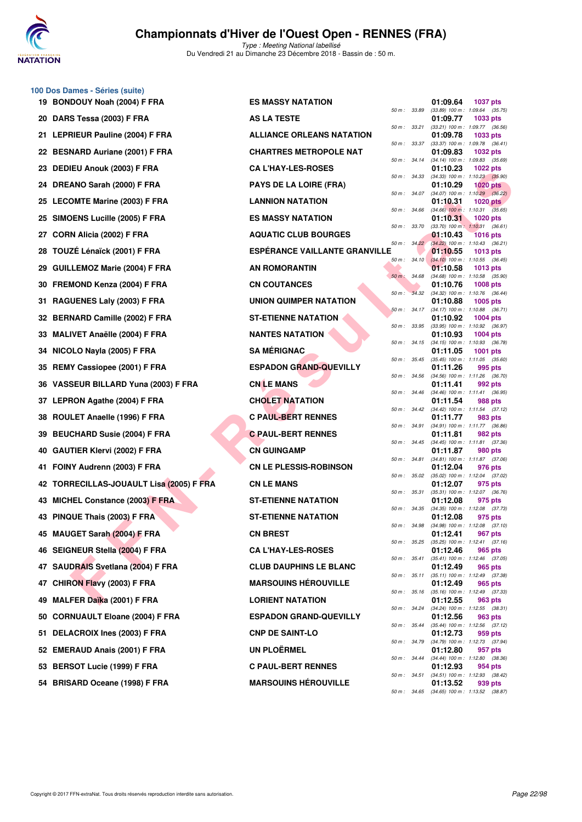

**100 Dos Dames - Séries (suite)**

## **Championnats d'Hiver de l'Ouest Open - RENNES (FRA)**

|    | 19 BONDOUY Noah (2004) F FRA             | <b>ES MASSY NATATION</b>             |                | 01:09.64                                                 | <b>1037 pts</b> |  |
|----|------------------------------------------|--------------------------------------|----------------|----------------------------------------------------------|-----------------|--|
|    | 20 DARS Tessa (2003) F FRA               | <b>AS LA TESTE</b>                   | 50 m : 33.89   | $(33.89)$ 100 m : 1:09.64 $(35.75)$<br>01:09.77          | 1033 pts        |  |
|    | 21 LEPRIEUR Pauline (2004) F FRA         | <b>ALLIANCE ORLEANS NATATION</b>     | 50 m : 33.21   | $(33.21)$ 100 m : 1:09.77 $(36.56)$<br>01:09.78          | 1033 pts        |  |
|    | 22 BESNARD Auriane (2001) F FRA          | <b>CHARTRES METROPOLE NAT</b>        | 50 m : 33.37   | $(33.37)$ 100 m : 1:09.78 $(36.41)$<br>01:09.83          | 1032 pts        |  |
|    | 23 DEDIEU Anouk (2003) F FRA             | <b>CA L'HAY-LES-ROSES</b>            | 50 m : 34.14   | $(34.14)$ 100 m : 1:09.83 $(35.69)$<br>01:10.23          | 1022 pts        |  |
|    | 24 DREANO Sarah (2000) F FRA             | <b>PAYS DE LA LOIRE (FRA)</b>        | 50 m: 34.33    | $(34.33)$ 100 m : 1:10.23 $(35.90)$<br>01:10.29          | $1020$ pts      |  |
|    | 25 LECOMTE Marine (2003) F FRA           | <b>LANNION NATATION</b>              | 50 m : 34.07   | $(34.07)$ 100 m : 1:10.29 $(36.22)$<br>01:10.31          | 1020 $pts$      |  |
|    | 25 SIMOENS Lucille (2005) F FRA          | <b>ES MASSY NATATION</b>             | 50 m : 34.66   | $(34.66)$ 100 m : 1:10.31 $(35.65)$<br>01:10.31          | $1020$ pts      |  |
|    | 27 CORN Alicia (2002) F FRA              | <b>AQUATIC CLUB BOURGES</b>          | 50 m : 33.70   | $(33.70)$ 100 m : 1:10.31 $(36.61)$<br>01:10.43          | <b>1016 pts</b> |  |
| 28 | TOUZÉ Lénaïck (2001) F FRA               | <b>ESPERANCE VAILLANTE GRANVILLE</b> | 50 m: 34.22    | (34.22) 100 m: 1:10.43 (36.21)<br>01:10.55               | <b>1013 pts</b> |  |
|    | 29 GUILLEMOZ Marie (2004) F FRA          | <b>AN ROMORANTIN</b>                 | $50 m$ : 34.10 | $(34.10)$ 100 m : 1:10.55 $(36.45)$<br>01:10.58          | 1013 pts        |  |
|    | 30 FREMOND Kenza (2004) F FRA            | <b>CN COUTANCES</b>                  | 50 m: 34.68    | $(34.68)$ 100 m : 1:10.58 $(35.90)$<br>01:10.76          | 1008 pts        |  |
|    | 31 RAGUENES Laly (2003) F FRA            | UNION QUIMPER NATATION               | 50 m : 34.32   | $(34.32)$ 100 m : 1:10.76 $(36.44)$<br>01:10.88          | <b>1005 pts</b> |  |
|    | 32 BERNARD Camille (2002) F FRA          | <b>ST-ETIENNE NATATION</b>           | 50 m : 34.17   | $(34.17)$ 100 m : 1:10.88 $(36.71)$<br>01:10.92          | $1004$ pts      |  |
|    | 33 MALIVET Anaëlle (2004) F FRA          | <b>NANTES NATATION</b>               | 50 m : 33.95   | $(33.95)$ 100 m : 1:10.92 $(36.97)$<br>01:10.93          | 1004 pts        |  |
|    | 34 NICOLO Nayla (2005) F FRA             | <b>SA MÉRIGNAC</b>                   | 50 m: 34.15    | $(34.15)$ 100 m : 1:10.93 $(36.78)$<br>01:11.05          | 1001 pts        |  |
|    | 35 REMY Cassiopee (2001) F FRA           | <b>ESPADON GRAND-QUEVILLY</b>        | 50 m : 35.45   | $(35.45)$ 100 m : 1:11.05 $(35.60)$<br>01:11.26          | 995 pts         |  |
|    | 36 VASSEUR BILLARD Yuna (2003) F FRA     | <b>CNLEMANS</b>                      | 50 m : 34.56   | (34.56) 100 m: 1:11.26 (36.70)<br>01:11.41               | 992 pts         |  |
|    | 37 LEPRON Agathe (2004) F FRA            | <b>CHOLET NATATION</b>               | 50 m : 34.46   | (34.46) 100 m: 1:11.41 (36.95)<br>01:11.54               | 988 pts         |  |
|    | 38 ROULET Anaelle (1996) F FRA           | <b>C PAUL-BERT RENNES</b>            | 50 m : 34.42   | (34.42) 100 m: 1:11.54 (37.12)<br>01:11.77               | 983 pts         |  |
|    | 39 BEUCHARD Susie (2004) F FRA           | <b>C PAUL-BERT RENNES</b>            | 50 m : 34.91   | (34.91) 100 m: 1:11.77 (36.86)<br>01:11.81               | 982 pts         |  |
|    | 40 GAUTIER Klervi (2002) F FRA           | <b>CN GUINGAMP</b>                   | 50 m : 34.45   | (34.45) 100 m: 1:11.81 (37.36)<br>01:11.87               | 980 pts         |  |
|    | 41 FOINY Audrenn (2003) F FRA            | <b>CN LE PLESSIS-ROBINSON</b>        | 50 m: 34.81    | $(34.81)$ 100 m : 1:11.87 $(37.06)$<br>01:12.04          | 976 pts         |  |
|    | 42 TORRECILLAS-JOUAULT Lisa (2005) F FRA | <b>CN LE MANS</b>                    | 50 m: 35.02    | (35.02) 100 m: 1:12.04 (37.02)<br>01:12.07               | 975 pts         |  |
|    | 43 MICHEL Constance (2003) F FRA         | <b>ST-ETIENNE NATATION</b>           | 50 m : 35.31   | $(35.31)$ 100 m : 1:12.07 $(36.76)$<br>01:12.08          | 975 pts         |  |
|    | 43 PINQUE Thais (2003) F FRA             | <b>ST-ETIENNE NATATION</b>           | 50 m : 34.35   | $(34.35)$ 100 m : 1:12.08 $(37.73)$<br>01:12.08          | 975 pts         |  |
|    | 45 MAUGET Sarah (2004) F FRA             | <b>CN BREST</b>                      | 50 m : 34.98   | $(34.98)$ 100 m : 1:12.08 $(37.10)$<br>01:12.41          | 967 pts         |  |
|    | 46 SEIGNEUR Stella (2004) F FRA          | <b>CA L'HAY-LES-ROSES</b>            |                | 50 m: 35.25 (35.25) 100 m: 1:12.41 (37.16)<br>01:12.46   | 965 pts         |  |
|    | 47 SAUDRAIS Svetlana (2004) F FRA        | <b>CLUB DAUPHINS LE BLANC</b>        |                | 50 m: 35.41 (35.41) 100 m: 1:12.46 (37.05)<br>01:12.49   | 965 pts         |  |
|    | 47 CHIRON Flavy (2003) F FRA             | <b>MARSOUINS HEROUVILLE</b>          |                | 50 m: 35.11 (35.11) 100 m: 1:12.49 (37.38)<br>01:12.49   | 965 pts         |  |
|    | 49 MALFER Daïka (2001) F FRA             | <b>LORIENT NATATION</b>              |                | 50 m: 35.16 (35.16) 100 m: 1:12.49 (37.33)<br>01:12.55   | 963 pts         |  |
|    | 50 CORNUAULT Eloane (2004) F FRA         | <b>ESPADON GRAND-QUEVILLY</b>        |                | 50 m : 34.24 (34.24) 100 m : 1:12.55 (38.31)<br>01:12.56 | 963 pts         |  |
|    | 51 DELACROIX Ines (2003) F FRA           | <b>CNP DE SAINT-LO</b>               |                | 50 m: 35.44 (35.44) 100 m: 1:12.56 (37.12)<br>01:12.73   | 959 pts         |  |
|    | 52 EMERAUD Anais (2001) F FRA            | <b>UN PLOËRMEL</b>                   |                | 50 m : 34.79 (34.79) 100 m : 1:12.73 (37.94)<br>01:12.80 | 957 pts         |  |
|    | 53 BERSOT Lucie (1999) F FRA             | <b>C PAUL-BERT RENNES</b>            |                | 50 m: 34.44 (34.44) 100 m: 1:12.80 (38.36)<br>01:12.93   | 954 pts         |  |
|    | 54 BRISARD Oceane (1998) F FRA           | <b>MARSOUINS HEROUVILLE</b>          | 50 m : 34.51   | (34.51) 100 m: 1:12.93 (38.42)<br>01:13.52               | 939 pts         |  |
|    |                                          |                                      |                |                                                          |                 |  |

|     | υu m.    | JJ.09 | . ווו טטו (פס.כפן             | 1.09.04<br>(၁၁.7၁)             |
|-----|----------|-------|-------------------------------|--------------------------------|
|     |          |       | 01:09.77                      | 1033 pts                       |
|     | $50 m$ : | 33.21 | $(33.21)$ 100 m :             | 1:09.77<br>(36.56)             |
|     | 50 m :   | 33.37 | 01:09.78<br>$(33.37) 100 m$ : | 1033 pts<br>1:09.78<br>(36.41) |
|     |          |       | 01:09.83                      | 1032 pts                       |
|     | $50 m$ : | 34.14 | $(34.14) 100 m$ :             | 1:09.83<br>(35.69)             |
|     |          |       | 01:10.23                      | 1022 pts                       |
|     | $50 m$ : | 34.33 | $(34.33) 100 m$ :             | 1:10.23<br>(35.90)             |
|     |          |       | 01:10.29                      | <b>1020 pts</b>                |
|     | $50 m$ : | 34.07 | $(34.07) 100 m$ :             | 1:10.29<br>(36.22)             |
|     |          |       | 01:10.31                      | <b>1020 pts</b>                |
|     | $50 m$ : | 34.66 | $(34.66)$ 100 m :             | 1:10.31<br>(35.65)             |
|     |          |       | 01:10.31                      | 1020 pts                       |
|     | $50 m$ : | 33.70 | $(33.70)$ 100 m :             | 1:10.31<br>(36.61)             |
|     |          |       | 01:10.43                      | <b>1016 pts</b>                |
|     | $50 m$ : | 34.22 | $(34.22)$ 100 m :             | 1:10.43<br>(36.21)             |
| LLE |          |       | 01:10.55                      | 1013 pts                       |
|     | $50 m$ : | 34.10 | $(34.10) 100 m$ :             | 1:10.55<br>(36.45)             |
|     |          |       | 01:10.58                      | 1013 pts                       |
|     | $50 m$ : | 34.68 | $(34.68) 100 m$ :             | 1:10.58<br>(35.90)             |
|     |          |       | 01:10.76                      | 1008 pts                       |
|     | 50 m :   | 34.32 | $(34.32) 100 m$ :             | 1:10.76<br>(36.44)             |
|     | $50 m$ : | 34.17 | 01:10.88<br>$(34.17) 100 m$ : | 1005 pts<br>1:10.88<br>(36.71) |
|     |          |       | 01:10.92                      | 1004 pts                       |
|     | 50 m :   | 33.95 | $(33.95)$ 100 m :             | 1:10.92<br>(36.97)             |
|     |          |       | 01:10.93                      | 1004 pts                       |
|     | $50 m$ : | 34.15 | $(34.15) 100 m$ :             | 1:10.93<br>(36.78)             |
|     |          |       | 01:11.05                      | 1001 pts                       |
|     | $50 m$ : | 35.45 | $(35.45) 100 m$ :             | 1:11.05<br>(35.60)             |
|     |          |       | 01:11.26                      | 995 pts                        |
|     | $50 m$ : | 34.56 | $(34.56)$ 100 m :             | 1:11.26<br>(36.70)             |
|     |          |       | 01:11.41                      | 992 pts                        |
|     | $50 m$ : | 34.46 | $(34.46) 100 m$ :             | 1:11.41<br>(36.95)             |
|     |          |       | 01:11.54                      | <b>988 pts</b>                 |
|     | $50 m$ : | 34.42 | (34.42) 100 m :               | 1:11.54<br>(37.12)             |
|     |          |       | 01:11.77                      | <b>983 pts</b>                 |
|     | $50 m$ : | 34.91 | $(34.91)$ 100 m :             | 1:11.77<br>(36.86)             |
|     |          |       | 01:11.81                      | 982 pts                        |
|     | 50 m :   | 34.45 | $(34.45) 100 m$ :             | 1:11.81<br>(37.36)             |
|     | $50 m$ : | 34.81 | 01:11.87<br>$(34.81)$ 100 m : | 980 pts<br>1:11.87<br>(37.06)  |
|     |          |       | 01:12.04                      | 976 pts                        |
|     | 50 m :   | 35.02 | $(35.02)$ 100 m :             | 1:12.04<br>(37.02)             |
|     |          |       | 01:12.07                      | 975 pts                        |
|     | 50 m :   | 35.31 | $(35.31) 100 m$ :             | 1:12.07<br>(36.76)             |
|     |          |       | 01:12.08                      | 975 pts                        |
|     | $50 m$ : | 34.35 | $(34.35) 100 m$ :             | 1:12.08<br>(37.73)             |
|     |          |       | 01:12.08                      | 975 pts                        |
|     | $50 m$ : | 34.98 | $(34.98) 100 m$ :             | 1:12.08<br>(37.10)             |
|     |          |       | 01:12.41                      | <b>967 pts</b>                 |
|     | $50 m$ : | 35.25 | $(35.25)$ 100 m :             | 1:12.41<br>(37.16)             |
|     |          |       | 01:12.46                      | 965 pts                        |
|     | $50 m$ : | 35.41 | $(35.41)$ 100 m :             | 1:12.46<br>(37.05)             |
|     |          |       | 01:12.49                      | 965 pts                        |
|     | $50 m$ : | 35.11 | $(35.11) 100 m$ :             | 1:12.49<br>(37.38)             |
|     | $50 m$ : | 35.16 | 01:12.49<br>$(35.16) 100 m$ : | 965 pts<br>1:12.49             |
|     |          |       | 01:12.55                      | (37.33)<br>963 pts             |
|     | $50 m$ : | 34.24 | $(34.24) 100 m$ :             | 1:12.55<br>(38.31)             |
|     |          |       | 01:12.56                      | <b>963 pts</b>                 |
|     | $50 m$ : | 35.44 | $(35.44) 100 m$ :             | 1:12.56<br>(37.12)             |
|     |          |       | 01:12.73                      | 959 pts                        |
|     | $50 m$ : | 34.79 | $(34.79) 100 m$ :             | 1:12.73<br>(37.94)             |
|     |          |       | 01:12.80                      | 957 pts                        |
|     | $50 m$ : | 34.44 | $(34.44) 100 m$ :             | 1:12.80<br>(38.36)             |
|     |          |       | 01:12.93                      | 954 pts                        |
|     | $50 m$ : | 34.51 | $(34.51)$ 100 m :             | 1:12.93<br>(38.42)             |
|     |          |       | 01:13.52                      | 939 pts                        |
|     | 50 m :   | 34.65 | $(34.65)$ 100 m : 1:13.52     | (38.87)                        |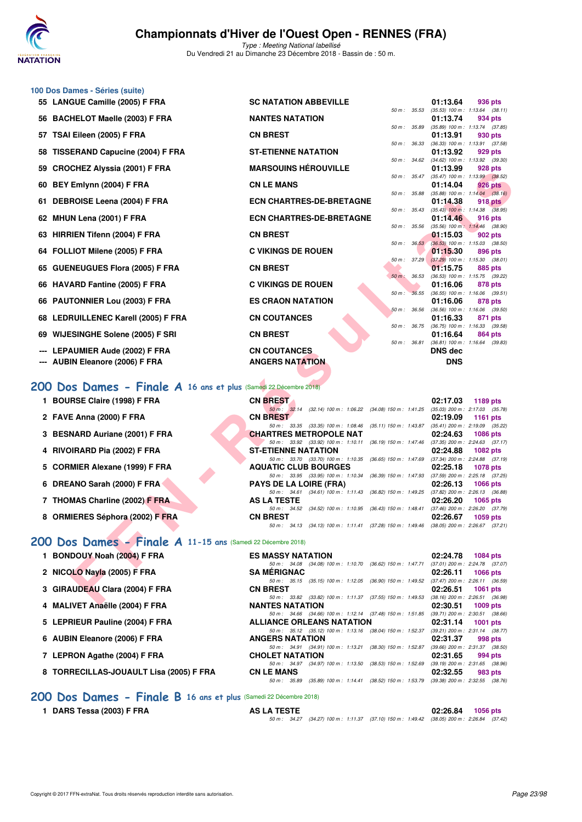

**100 Dos Dames - Séries (suite)**

Type : Meeting National labellisé Du Vendredi 21 au Dimanche 23 Décembre 2018 - Bassin de : 50 m.

|     | 55 LANGUE Camille (2005) F FRA                                            | <b>SC NATATION ABBEVILLE</b>                                                                                                   |              | 01:13.64              | 936 pts                                                |
|-----|---------------------------------------------------------------------------|--------------------------------------------------------------------------------------------------------------------------------|--------------|-----------------------|--------------------------------------------------------|
|     | 56 BACHELOT Maelle (2003) F FRA                                           | <b>NANTES NATATION</b>                                                                                                         | 50 m: 35.53  | 01:13.74              | $(35.53)$ 100 m : 1:13.64 $(38.11)$<br>934 pts         |
| 57  | TSAI Eileen (2005) F FRA                                                  | <b>CN BREST</b>                                                                                                                | 50 m : 35.89 | 01:13.91              | (35.89) 100 m: 1:13.74 (37.85)<br>930 pts              |
| 58  | <b>TISSERAND Capucine (2004) F FRA</b>                                    | <b>ST-ETIENNE NATATION</b>                                                                                                     | 50 m : 36.33 | 01:13.92              | $(36.33)$ 100 m : 1:13.91 $(37.58)$<br>929 pts         |
| 59  | <b>CROCHEZ Alyssia (2001) F FRA</b>                                       | <b>MARSOUINS HÉROUVILLE</b>                                                                                                    | 50 m : 34.62 | 01:13.99              | $(34.62)$ 100 m : 1:13.92 $(39.30)$<br>928 pts         |
|     |                                                                           |                                                                                                                                | 50 m : 35.47 |                       | (35.47) 100 m : 1:13.99 (38.52)                        |
| 60  | BEY Emlynn (2004) F FRA                                                   | <b>CN LE MANS</b>                                                                                                              | 50 m : 35.88 | 01:14.04              | 926 pts<br>$(35.88)$ 100 m : 1:14.04 $(38.16)$         |
| 61. | DEBROISE Leena (2004) F FRA                                               | <b>ECN CHARTRES-DE-BRETAGNE</b>                                                                                                | 50 m : 35.43 | 01:14.38              | <b>918 pts</b><br>$(35.43)$ 100 m : 1:14.38 $(38.95)$  |
|     | 62 MHUN Lena (2001) F FRA                                                 | <b>ECN CHARTRES-DE-BRETAGNE</b>                                                                                                |              | 01:14.46              | 916 pts                                                |
|     | 63 HIRRIEN Tifenn (2004) F FRA                                            | <b>CN BREST</b>                                                                                                                | 50 m : 35.56 | 01:15.03              | $(35.56)$ 100 m : 1:14.46 $(38.90)$<br>902 pts         |
|     | 64 FOLLIOT Milene (2005) F FRA                                            | <b>C VIKINGS DE ROUEN</b>                                                                                                      | 50 m: 36.53  | 01:15.30              | $(36.53)$ 100 m : 1:15.03 $(38.50)$<br>896 pts         |
|     | 65 GUENEUGUES Flora (2005) F FRA                                          | <b>CN BREST</b>                                                                                                                | 50 m : 37.29 | 01:15.75              | $(37.29)$ 100 m : 1:15.30 $(38.01)$<br>885 pts         |
|     |                                                                           |                                                                                                                                | 50 m : 36.53 |                       | (36.53) 100 m: 1:15.75 (39.22)                         |
|     | 66 HAVARD Fantine (2005) F FRA                                            | <b>C VIKINGS DE ROUEN</b><br>$50 m$ :                                                                                          | 36.55        | 01:16.06              | 878 pts<br>$(36.55)$ 100 m : 1:16.06 $(39.51)$         |
|     | 66 PAUTONNIER Lou (2003) F FRA                                            | <b>ES CRAON NATATION</b>                                                                                                       | 50 m: 36.56  | 01:16.06              | 878 pts<br>$(36.56)$ 100 m : 1:16.06 $(39.50)$         |
| 68  | LEDRUILLENEC Karell (2005) F FRA                                          | <b>CN COUTANCES</b>                                                                                                            |              | 01:16.33              | 871 pts                                                |
| 69  | <b>WIJESINGHE Solene (2005) F SRI</b>                                     | <b>CN BREST</b>                                                                                                                | 50 m : 36.75 | 01:16.64              | (36.75) 100 m: 1:16.33 (39.58)<br>864 pts              |
|     |                                                                           |                                                                                                                                | 50 m: 36.81  |                       | $(36.81)$ 100 m : 1:16.64 $(39.83)$                    |
|     |                                                                           |                                                                                                                                |              |                       |                                                        |
|     | LEPAUMIER Aude (2002) F FRA<br>--- AUBIN Eleanore (2006) F FRA            | <b>CN COUTANCES</b><br><b>ANGERS NATATION</b>                                                                                  |              | DNS dec<br><b>DNS</b> |                                                        |
|     |                                                                           |                                                                                                                                |              |                       |                                                        |
|     | 200 Dos Dames - Finale A 16 ans et plus (Samedi 22 Décembre 2018)         |                                                                                                                                |              |                       |                                                        |
|     | 1 BOURSE Claire (1998) F FRA                                              | <b>CN BREST</b>                                                                                                                |              | 02:17.03              | 1189 pts                                               |
|     | 2 FAVE Anna (2000) F FRA                                                  | 50 m: 32.14 (32.14) 100 m: 1:06.22 (34.08) 150 m: 1:41.25<br><b>CN BREST</b>                                                   |              | 02:19.09              | $(35.03)$ 200 m : 2:17.03 $(35.78)$<br>1161 pts        |
|     |                                                                           | 50 m: 33.35 (33.35) 100 m: 1:08.46 (35.11) 150 m: 1:43.87                                                                      |              |                       | $(35.41)$ 200 m : 2:19.09 $(35.22)$                    |
| 3.  | <b>BESNARD Auriane (2001) F FRA</b>                                       | <b>CHARTRES METROPOLE NAT</b><br>50 m: 33.92 (33.92) 100 m: 1:10.11 (36.19) 150 m: 1:47.46                                     |              | 02:24.63              | <b>1086 pts</b><br>$(37.35)$ 200 m : 2:24.63 $(37.17)$ |
| 4   | RIVOIRARD Pia (2002) F FRA                                                | <b>ST-ETIENNE NATATION</b><br>50 m : 33.70 (33.70) 100 m : 1:10.35 (36.65) 150 m : 1:47.69                                     |              | 02:24.88              | 1082 pts<br>$(37.34)$ 200 m : 2:24.88 $(37.19)$        |
|     | 5 CORMIER Alexane (1999) F FRA                                            | <b>AQUATIC CLUB BOURGES</b>                                                                                                    |              | 02:25.18              | <b>1078 pts</b>                                        |
|     | 6 DREANO Sarah (2000) F FRA                                               | 50 m: 33.95 (33.95) 100 m: 1:10.34 (36.39) 150 m: 1:47.93<br><b>PAYS DE LA LOIRE (FRA)</b>                                     |              | 02:26.13              | $(37.59)$ 200 m : 2:25.18 $(37.25)$<br><b>1066 pts</b> |
|     | 7 THOMAS Charline (2002) F FRA                                            | 50 m: 34.61 (34.61) 100 m: 1:11.43 (36.82) 150 m: 1:49.25<br><b>AS LA TESTE</b>                                                |              | 02:26.20              | $(37.82)$ 200 m : 2:26.13 $(36.88)$<br>1065 pts        |
|     |                                                                           | 50 m : 34.52<br>(34.52) 100 m : 1:10.95 (36.43) 150 m : 1:48.41                                                                |              |                       | $(37.46)$ 200 m : 2:26.20 $(37.79)$                    |
|     | 8 ORMIERES Séphora (2002) F FRA                                           | <b>CN BREST</b><br>50 m: 34.13 (34.13) 100 m: 1:11.41 (37.28) 150 m: 1:49.46 (38.05) 200 m: 2:26.67 (37.21)                    |              | 02:26.67              | 1059 pts                                               |
|     | 200 Dos Dames - Finale A 11-15 ans (Samedi 22 Décembre 2018)              |                                                                                                                                |              |                       |                                                        |
|     | 1 BONDOUY Noah (2004) F FRA                                               | <b>ES MASSY NATATION</b>                                                                                                       |              | 02:24.78              | <b>1084 pts</b>                                        |
|     | 2 NICOLO Nayla (2005) F FRA                                               | 50 m: 34.08 (34.08) 100 m: 1:10.70 (36.62) 150 m: 1:47.71<br><b>SA MERIGNAC</b>                                                |              | 02:26.11              | $(37.01)$ 200 m : 2:24.78 $(37.07)$<br>1066 pts        |
|     |                                                                           | 50 m: 35.15 (35.15) 100 m: 1:12.05 (36.90) 150 m: 1:49.52 (37.47) 200 m: 2:26.11 (36.59)                                       |              |                       |                                                        |
|     | 3 GIRAUDEAU Clara (2004) F FRA<br>$\lambda$ MALIVET A. 200 (000 A) F FD A | <b>CN BREST</b><br>50 m: 33.82 (33.82) 100 m: 1:11.37 (37.55) 150 m: 1:49.53 (38.16) 200 m: 2:26.51 (36.98)<br>MANTEO MATATION |              | 02:26.51<br>00.00.54  | <b>1061 pts</b><br>3000                                |

### **[200 Dos Dames - Finale A](http://www.ffnatation.fr/webffn/resultats.php?idact=nat&go=epr&idcpt=55947&idepr=13) 16 ans et plus** (Samedi 22 Décembre 2018)

| <b>BOURSE Claire (1998) F FRA</b> | <b>CN BREST</b> | 02:17.03 | 1189 pts |
|-----------------------------------|-----------------|----------|----------|
|                                   |                 |          |          |

- **3 BESNARD Auriane (2001) F FRA CHARTRES METROPOLE NAT 02:24.63**
- **4 RIVOIRARD Pia (2002) F FRA ST-ETIENNE NATATION 02:24.88 1082 pts**
- **5 CORMIER Alexane (1999) F FRA AQUATIC CLUB BOURGES 02:25.18 1078 pts**
- **6 DREANO Sarah (2000) F FRA**
- **7 THOMAS Charline (2002) F FRA**
- 8 ORMIERES Séphora (2002) F FRA

### **[200 Dos Dames - Finale A](http://www.ffnatation.fr/webffn/resultats.php?idact=nat&go=epr&idcpt=55947&idepr=13) 11-15 ans (Sam**

| 1 BONDOUY Noah (2004) F FRA |  |  |  |
|-----------------------------|--|--|--|
|-----------------------------|--|--|--|

- **2 NICOLO Nayla (2005) F FRA**
- **3 GIRAUDEAU Clara (2004) F FRA**
- **4 MALIVET Anaëlle (2004) F FRA**
- **5 LEPRIEUR Pauline (2004) F FRA**
- **6 AUBIN Eleanore (2006) F FRA**
- 7 LEPRON Agathe (2004) F FRA
- **8 TORRECILLAS-JOUAULT Lisa (2005) F FRA**

|                                                             | 50 m : 33.95 (33.95) 100 m : 1:10.34 (36.39) 150 m : 1:47.93                                 | $(37.59)$ 200 m : 2:25.18 $(37.25)$ |
|-------------------------------------------------------------|----------------------------------------------------------------------------------------------|-------------------------------------|
| 6 DREANO Sarah (2000) F FRA                                 | <b>PAYS DE LA LOIRE (FRA)</b>                                                                | 02:26.13<br>1066 pts                |
|                                                             | 50 m: 34.61 (34.61) 100 m: 1:11.43 (36.82) 150 m: 1:49.25 (37.82) 200 m: 2:26.13 (36.88)     |                                     |
| 7 THOMAS Charline (2002) F FRA                              | <b>AS LA TESTE</b>                                                                           | 02:26.20<br>$1065$ pts              |
|                                                             | (34.52) 100 m: 1:10.95 (36.43) 150 m: 1:48.41 (37.46) 200 m: 2:26.20 (37.79)<br>50 m : 34.52 |                                     |
| 8 ORMIERES Séphora (2002) F FRA                             | <b>CN BREST</b>                                                                              | $02:26.67$ 1059 pts                 |
|                                                             | 50 m: 34.13 (34.13) 100 m: 1:11.41 (37.28) 150 m: 1:49.46 (38.05) 200 m: 2:26.67 (37.21)     |                                     |
| 10 Dos Dames - Finale A 11-15 ans (Samedi 22 Décembre 2018) |                                                                                              |                                     |
| 1 BONDOUY Noah (2004) F FRA                                 | <b>ES MASSY NATATION</b>                                                                     | 02:24.78<br>1084 pts                |
|                                                             | 50 m: 34.08 (34.08) 100 m: 1:10.70 (36.62) 150 m: 1:47.71 (37.01) 200 m: 2:24.78 (37.07)     |                                     |
| 2 NICOLO Navla (2005) F FRA                                 | <b>SA MERIGNAC</b>                                                                           | 02:26.11<br>1066 pts                |
|                                                             | 50 m: 35.15 (35.15) 100 m: 1:12.05 (36.90) 150 m: 1:49.52 (37.47) 200 m: 2:26.11 (36.59)     |                                     |
| 3 GIRAUDEAU Clara (2004) F FRA                              | <b>CN BREST</b>                                                                              | 02:26.51<br>1061 $pts$              |
|                                                             | 50 m: 33.82 (33.82) 100 m: 1:11.37 (37.55) 150 m: 1:49.53 (38.16) 200 m: 2:26.51 (36.98)     |                                     |
| 4 MALIVET Anaëlle (2004) F FRA                              | <b>NANTES NATATION</b>                                                                       | 02:30.51<br>$1009$ pts              |
|                                                             | 50 m: 34.66 (34.66) 100 m: 1:12.14 (37.48) 150 m: 1:51.85 (39.71) 200 m: 2:30.51 (38.66)     |                                     |
| 5 LEPRIEUR Pauline (2004) F FRA                             | <b>ALLIANCE ORLEANS NATATION</b>                                                             | 02:31.14<br>1001 pts                |
|                                                             | 50 m: 35.12 (35.12) 100 m: 1:13.16 (38.04) 150 m: 1:52.37 (39.21) 200 m: 2:31.14 (38.77)     |                                     |

|                                              | <b>ANGERS NATATION</b> |  |  |  |  |                                                           |  | $02:31.37$ 998 pts                                                                       |  |  |
|----------------------------------------------|------------------------|--|--|--|--|-----------------------------------------------------------|--|------------------------------------------------------------------------------------------|--|--|
|                                              |                        |  |  |  |  | 50 m: 34.91 (34.91) 100 m: 1:13.21 (38.30) 150 m: 1:52.87 |  | $(39.66)$ 200 m : 2:31.37 $(38.50)$                                                      |  |  |
| <b>CHOLET NATATION</b><br>$02:31.65$ 994 pts |                        |  |  |  |  |                                                           |  |                                                                                          |  |  |
|                                              |                        |  |  |  |  |                                                           |  | 50 m: 34.97 (34.97) 100 m: 1:13.50 (38.53) 150 m: 1:52.69 (39.19) 200 m: 2:31.65 (38.96) |  |  |
|                                              | <b>CN LE MANS</b>      |  |  |  |  |                                                           |  | $02:32.55$ 983 pts                                                                       |  |  |
|                                              |                        |  |  |  |  |                                                           |  | 50 m: 35.89 (35.89) 100 m: 1:14.41 (38.52) 150 m: 1:53.79 (39.38) 200 m: 2:32.55 (38.76) |  |  |

### **[200 Dos Dames - Finale B](http://www.ffnatation.fr/webffn/resultats.php?idact=nat&go=epr&idcpt=55947&idepr=13) 16 ans et plus** (Samedi 22 Décembre 2018)

**1 DARS Tessa (2003) F FRA AS LA TESTE 02:26.84 1056 pts**

50 m : 34.27 (34.27) 100 m : 1:11.37 (37.10) 150 m : 1:49.42 (38.05) 200 m : 2:26.84 (37.42)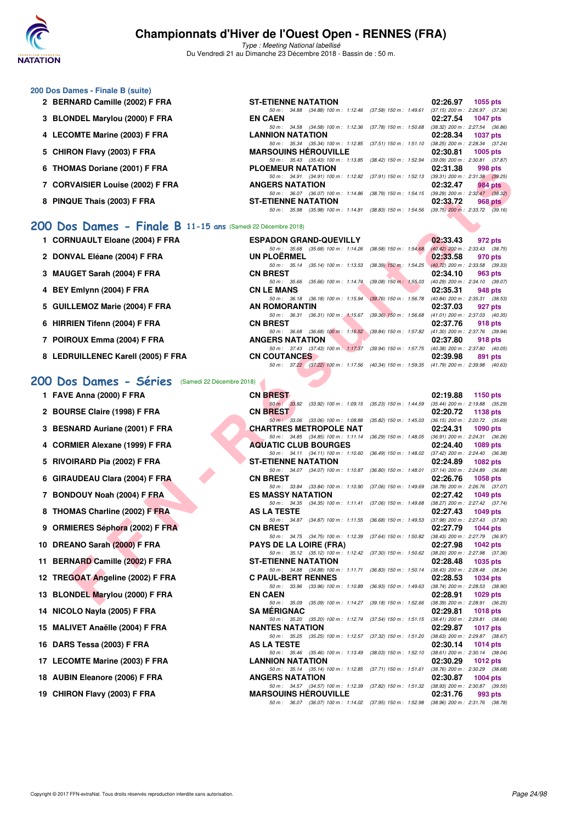

Type : Meeting National labellisé Du Vendredi 21 au Dimanche 23 Décembre 2018 - Bassin de : 50 m.

#### **200 Dos Dames - Finale B (suite) 2 BERNARD Camille (2002) F FRA** ST-ETIENNE NATATION 02:26.97 1055 pts<br>
50 m: 34.88 (34.88) 100 m: 1:12.46 (37.58) 150 m: 1:42.61 (37.15) 200 m: 2:26.97 (37.36) 50 m : 34.88 (34.88) 100 m : 1:12.46 (37.58) 150 m : 1:49.61 **3 BLONDEL Marylou (2000) F FRA EN CAEN 02:27.54 1047 pts** 50 m: 34.58 (34.58) 100 m: 1:12.36 (37.78) 150 m: 1:50.68 (38.32) 200 m: 2:27.54 (36.86)<br>**LANNION NATATION** 02:28.34 1037 pts **4 LECOMTE Marine (2003) F FRA** 50 m : 35.34 (35.34) 100 m : 1:12.85 (37.51) 150 m : 1:51.10 (38.25) 200 m : 2:28.34 (37.24)<br>MARSOUINS HÉROUVILLE 02:30.81 1005 pts **5 CHIRON Flavy (2003) F FRA** 50 m: 35.43 (35.43) 100 m: 1:13.85 (38.42) 150 m: 1:52.94 (39.09) 200 m: 2:30.81 (37.87)<br>PLOEMEUR NATATION 02:31.38 998 pts **6 THOMAS Doriane (2001) F FRA PLOEMEUR NATATION 02:31.38 998 pts** 50 m : 34.91 (34.91) 100 m : 1:12.82 (37.91) 150 m : 1:52.13 (39.31) 200 m : 2:31.38 (39.25) **7 CORVAISIER Louise (2002) F FRA ANGERS NATATION 02:32.47 984 pts** 50 m: 36.07 (36.07) 100 m: 1:14.86 (38.79) 150 m: 1:54.15 (39.29) 200 m: 2:32.47 (38.32)<br>ST-ETIENNE NATATION 02:33.72 968 pts **8 PINQUE Thais (2003) F FRA ST-ETIENNE NATATION 02:33.72 968 pts** 50 m : 35.98 (35.98) 100 m : 1:14.81 (38.83) 150 m : 1:54.56 (39.75) 200 m : 2:33.72 (39.16)

### **[200 Dos Dames - Finale B](http://www.ffnatation.fr/webffn/resultats.php?idact=nat&go=epr&idcpt=55947&idepr=13) 11-15 ans** (Samedi 22 Décembre 2018)

| 0 INVISIONAS DUNCILE (2001) F FRA                           | FLVEMEUR NATATIVN                                                                                                  | <b>UZ.JI.JU</b><br>່ວວບ ນເຣ                                                            |
|-------------------------------------------------------------|--------------------------------------------------------------------------------------------------------------------|----------------------------------------------------------------------------------------|
| 7 CORVAISIER Louise (2002) F FRA                            | 50 m: 34.91 (34.91) 100 m: 1:12.82 (37.91) 150 m: 1:52.13 (39.31) 200 m: 2:31.38 (39.25)<br><b>ANGERS NATATION</b> | 02:32.47<br><b>984 pts</b>                                                             |
|                                                             | 50 m: 36.07 (36.07) 100 m: 1:14.86 (38.79) 150 m: 1:54.15 (39.29) 200 m: 2:32.47 (38.32)                           |                                                                                        |
| 8 PINQUE Thais (2003) F FRA                                 | <b>ST-ETIENNE NATATION</b>                                                                                         | 02:33.72<br>968 pts                                                                    |
|                                                             | 50 m: 35.98 (35.98) 100 m: 1:14.81 (38.83) 150 m: 1:54.56 (39.75) 200 m: 2:33.72 (39.16)                           |                                                                                        |
| 10 Dos Dames - Finale B 11-15 ans (Samedi 22 Décembre 2018) |                                                                                                                    |                                                                                        |
| 1 CORNUAULT Eloane (2004) F FRA                             | <b>ESPADON GRAND-QUEVILLY</b>                                                                                      | 02:33.43<br>972 pts                                                                    |
|                                                             | 50 m: 35.68 (35.68) 100 m: 1:14.26 (38.58) 150 m: 1:54.68 (40.42) 200 m: 2:33.43 (38.75)                           |                                                                                        |
| 2 DONVAL Eléane (2004) F FRA                                | <b>UN PLOERMEL</b>                                                                                                 | 02:33.58<br>970 pts                                                                    |
| 3 MAUGET Sarah (2004) F FRA                                 | 50 m: 35.14 (35.14) 100 m: 1:13.53 (38.39) 150 m: 1:54.25 (40.72) 200 m: 2:33.58 (39.33)<br><b>CN BREST</b>        | 02:34.10<br>963 pts                                                                    |
|                                                             | 50 m: 35.66 (35.66) 100 m: 1:14.74 (39.08) 150 m: 1:55.03 (40.29) 200 m: 2:34.10 (39.07)                           |                                                                                        |
| 4 BEY Emlynn (2004) F FRA                                   | <b>CN LE MANS</b>                                                                                                  | 02:35.31<br>948 pts                                                                    |
|                                                             | 50 m: 36.18 (36.18) 100 m: 1:15.94 (39.76) 150 m: 1:56.78 (40.84) 200 m: 2:35.31 (38.53)                           |                                                                                        |
| 5 GUILLEMOZ Marie (2004) F FRA                              | AN ROMORANTIN                                                                                                      | 02:37.03<br>927 pts                                                                    |
|                                                             | 50 m: 36.31 (36.31) 100 m: 1:15.67 (39.36) 150 m: 1:56.68 (41.01) 200 m: 2:37.03 (40.35)                           |                                                                                        |
| 6 HIRRIEN Tifenn (2004) F FRA                               | <b>CN BREST</b>                                                                                                    | 02:37.76<br>918 pts                                                                    |
|                                                             | 50 m: 36.68 (36.68) 100 m: 1:16.52 (39.84) 150 m: 1:57.82 (41.30) 200 m: 2:37.76 (39.94)                           |                                                                                        |
| 7 POIROUX Emma (2004) F FRA                                 | <b>ANGERS NATATION</b><br>50 m: 37.43 (37.43) 100 m: 1:17.37 (39.94) 150 m: 1:57.75 (40.38) 200 m: 2:37.80 (40.05) | 02:37.80<br>918 pts                                                                    |
| 8 LEDRUILLENEC Karell (2005) F FRA                          | <b>CN COUTANCES</b>                                                                                                | 02:39.98<br>891 pts                                                                    |
|                                                             | 50 m: 37.22 (37.22) 100 m: 1:17.56 (40.34) 150 m: 1:59.35 (41.79) 200 m: 2:39.98 (40.63)                           |                                                                                        |
| 10 Dos Dames - Séries (Samedi 22 Décembre 2018)             |                                                                                                                    |                                                                                        |
| 1 FAVE Anna (2000) F FRA                                    | <b>CN BREST</b>                                                                                                    | 02:19.88<br>1150 pts                                                                   |
|                                                             | 50 m: 33.92 (33.92) 100 m: 1:09.15 (35.23) 150 m: 1:44.59 (35.44) 200 m: 2:19.88 (35.29)                           |                                                                                        |
| 2 BOURSE Claire (1998) F FRA                                | <b>CN BREST</b>                                                                                                    | 02:20.72<br>1138 pts                                                                   |
|                                                             | 50 m : 33.06 (33.06) 100 m : 1:08.88                                                                               | (35.82) 150 m: 1:45.03 (36.15) 200 m: 2:20.72 (35.69)                                  |
| 3 BESNARD Auriane (2001) F FRA                              | CHARTRES METROPOLE NAT                                                                                             | 02:24.31<br><b>1090 pts</b>                                                            |
|                                                             | 50 m: 34.85 (34.85) 100 m: 1:11.14 (36.29) 150 m: 1:48.05 (36.91) 200 m: 2:24.31 (36.26)                           |                                                                                        |
| 4 CORMIER Alexane (1999) F FRA                              | <b>AQUATIC CLUB BOURGES</b>                                                                                        | 02:24.40<br>1089 pts                                                                   |
| 5 RIVOIRARD Pia (2002) F FRA                                | 50 m: 34.11 (34.11) 100 m: 1:10.60<br><b>ST-ETIENNE NATATION</b>                                                   | (36.49) 150 m : 1:48.02 (37.42) 200 m : 2:24.40 (36.38)<br>02:24.89<br><b>1082 pts</b> |
|                                                             | 50 m: 34.07 (34.07) 100 m: 1:10.87                                                                                 | (36.80) 150 m: 1:48.01 (37.14) 200 m: 2:24.89 (36.88)                                  |
| 6 GIRAUDEAU Clara (2004) F FRA                              | <b>CN BREST</b>                                                                                                    | 02:26.76<br><b>1058 pts</b>                                                            |
|                                                             | 50 m: 33.84 (33.84) 100 m: 1:10.90 (37.06) 150 m: 1:49.69 (38.79) 200 m: 2:26.76 (37.07)                           |                                                                                        |
| 7 BONDOUY Noah (2004) F FRA                                 | <b>ES MASSY NATATION</b>                                                                                           | 02:27.42<br>1049 pts                                                                   |
|                                                             | 50 m: 34.35 (34.35) 100 m: 1:11.41 (37.06) 150 m: 1:49.68 (38.27) 200 m: 2:27.42 (37.74)                           |                                                                                        |
| 8 THOMAS Charline (2002) F FRA                              | <b>AS LA TESTE</b>                                                                                                 | 02:27.43<br>1049 pts                                                                   |
| 9 ORMIERES Séphora (2002) F FRA                             | 50 m: 34.87 (34.87) 100 m: 1:11.55 (36.68) 150 m: 1:49.53 (37.98) 200 m: 2:27.43 (37.90)<br><b>CN BREST</b>        | 02:27.79<br>1044 pts                                                                   |
|                                                             | 50 m: 34.75 (34.75) 100 m: 1:12.39                                                                                 | (37.64) 150 m: 1:50.82 (38.43) 200 m: 2:27.79 (36.97)                                  |
| 0 DREANO Sarah (2000) F FRA                                 | <b>PAYS DE LA LOIRE (FRA)</b>                                                                                      | 02:27.98<br>$1042$ pts                                                                 |
|                                                             | 50 m: 35.12 (35.12) 100 m: 1:12.42 (37.30) 150 m: 1:50.62 (38.20) 200 m: 2:27.98 (37.36)                           |                                                                                        |
| 1 BERNARD Camille (2002) F FRA                              | <b>ST-ETIENNE NATATION</b>                                                                                         | 02:28.48<br>1035 pts                                                                   |
|                                                             | 50 m: 34.88 (34.88) 100 m: 1:11.71 (36.83) 150 m: 1:50.14 (38.43) 200 m: 2:28.48 (38.34)                           |                                                                                        |
| 2 TREGOAT Angeline (2002) F FRA                             | <b>C PAUL-BERT RENNES</b>                                                                                          | 02:28.53<br>1034 pts                                                                   |
| 3   BLONDEL Marylou (2000) F FRA                            | 50 m: 33.96 (33.96) 100 m: 1:10.89 (36.93) 150 m: 1:49.63 (38.74) 200 m: 2:28.53 (38.90)<br><b>EN CAEN</b>         | 02:28.91<br>1029 pts                                                                   |
|                                                             | 50 m: 35.09 (35.09) 100 m: 1:14.27 (39.18) 150 m: 1:52.66 (38.39) 200 m: 2:28.91 (36.25)                           |                                                                                        |
|                                                             |                                                                                                                    |                                                                                        |

### [200 Dos Dames - Séries](http://www.ffnatation.fr/webffn/resultats.php?idact=nat&go=epr&idcpt=55947&idepr=13) (Samedi 22 Décembre 2018)

| 1 FAVE Anna (2000) F FRA |  |  |
|--------------------------|--|--|
|--------------------------|--|--|

- 2 BOURSE Claire (1998) F FRA
- **3 BESNARD Auriane (2001) F FRA**
- **4 CORMIER Alexane (1999) F FRA**
- **5 RIVOIRARD Pia (2002) F FRA**
- **6 GIRAUDEAU Clara (2004) F FRA**
- **7 BONDOUY Noah (2004) F FRA**
- **8 THOMAS Charline (2002) F FRA**
- **9 ORMIERES Séphora (2002) F FRA**
- **10 DREANO Sarah (2000) F FRA**
- **11 BERNARD Camille (2002) F FRA**
- **12 TREGOAT Angeline (2002) F FRA**
- **13 BLONDEL Marylou (2000) F FRA**
- **14 NICOLO Nayla (2005) F FRA**
- 15 MALIVET Anaëlle (2004) F FRA
- **16 DARS Tessa (2003) F FRA**
- **17 LECOMTE Marine (2003) F FRA**
- 18 AUBIN Eleanore (2006) F FRA
- **19 CHIRON Flavy (2003) F FRA**

| 1 FAVE Anna (2000) F FRA        | <b>CN BREST</b>                                                                                                      | 02:19.88 1150 pts           |
|---------------------------------|----------------------------------------------------------------------------------------------------------------------|-----------------------------|
|                                 | 50 m: 33.92 (33.92) 100 m: 1:09.15 (35.23) 150 m: 1:44.59 (35.44) 200 m: 2:19.88 (35.29                              |                             |
| 2 BOURSE Claire (1998) F FRA    | <b>CN BREST</b><br>50 m 33.06 (33.06) 100 m : 1:08.88 (35.82) 150 m : 1:45.03 (36.15) 200 m : 2:20.72 (35.69         | 02:20.72 1138 pts           |
| 3 BESNARD Auriane (2001) F FRA  | <b>CHARTRES METROPOLE NAT</b>                                                                                        | 02:24.31 1090 pts           |
|                                 | 50 m: 34.85 (34.85) 100 m: 1:11.14 (36.29) 150 m: 1:48.05 (36.91) 200 m: 2:24.31 (36.26                              |                             |
| 4 CORMIER Alexane (1999) F FRA  | <b>AQUATIC CLUB BOURGES</b>                                                                                          | 02:24.40 1089 pts           |
|                                 | 50 m: 34.11 (34.11) 100 m: 1:10.60 (36.49) 150 m: 1:48.02 (37.42) 200 m: 2:24.40 (36.38                              |                             |
| 5 RIVOIRARD Pia (2002) F FRA    | <b>ST-ETIENNE NATATION</b>                                                                                           | 02:24.89 1082 pts           |
|                                 | 50 m: 34.07 (34.07) 100 m: 1:10.87 (36.80) 150 m: 1:48.01 (37.14) 200 m: 2:24.89 (36.88                              |                             |
| 6 GIRAUDEAU Clara (2004) F FRA  | <b>CN BREST</b>                                                                                                      | 02:26.76 1058 pts           |
|                                 | 50 m: 33.84 (33.84) 100 m: 1:10.90 (37.06) 150 m: 1:49.69 (38.79) 200 m: 2:26.76 (37.07                              |                             |
| 7 BONDOUY Noah (2004) F FRA     | <b>ES MASSY NATATION</b>                                                                                             | 02:27.42 1049 pts           |
| 8 THOMAS Charline (2002) F FRA  | 50 m: 34.35 (34.35) 100 m: 1:11.41 (37.06) 150 m: 1:49.68 (38.27) 200 m: 2:27.42 (37.74<br><b>AS LA TESTE</b>        | 02:27.43<br>1049 pts        |
|                                 | 50 m: 34.87 (34.87) 100 m: 1:11.55 (36.68) 150 m: 1:49.53 (37.98) 200 m: 2:27.43 (37.90                              |                             |
| 9 ORMIERES Séphora (2002) F FRA | <b>CN BREST</b>                                                                                                      | 02:27.79<br>1044 pts        |
|                                 | 50 m: 34.75 (34.75) 100 m: 1:12.39 (37.64) 150 m: 1:50.82 (38.43) 200 m: 2:27.79 (36.97                              |                             |
| 0 DREANO Sarah (2000) F FRA     | <b>PAYS DE LA LOIRE (FRA)</b>                                                                                        | 02:27.98<br>1042 pts        |
|                                 | 50 m: 35.12 (35.12) 100 m: 1:12.42 (37.30) 150 m: 1:50.62 (38.20) 200 m: 2:27.98 (37.36                              |                             |
| 1 BERNARD Camille (2002) F FRA  | <b>ST-ETIENNE NATATION</b>                                                                                           | 02:28.48<br>1035 pts        |
|                                 | 50 m: 34.88 (34.88) 100 m: 1:11.71 (36.83) 150 m: 1:50.14 (38.43) 200 m: 2:28.48 (38.34<br><b>C PAUL-BERT RENNES</b> | 02:28.53                    |
| 2 TREGOAT Angeline (2002) F FRA | 50 m: 33.96 (33.96) 100 m: 1:10.89 (36.93) 150 m: 1:49.63 (38.74) 200 m: 2:28.53 (38.90                              | 1034 pts                    |
| 3 BLONDEL Marylou (2000) F FRA  | <b>EN CAEN</b>                                                                                                       | 02:28.91<br>1029 pts        |
|                                 | 50 m: 35.09 (35.09) 100 m: 1:14.27 (39.18) 150 m: 1:52.66 (38.39) 200 m: 2:28.91 (36.25                              |                             |
| 4 NICOLO Nayla (2005) F FRA     | <b>SA MÉRIGNAC</b>                                                                                                   | 02:29.81<br>1018 $pts$      |
|                                 | 50 m: 35.20 (35.20) 100 m: 1:12.74 (37.54) 150 m: 1:51.15 (38.41) 200 m: 2:29.81 (38.66                              |                             |
| 5 MALIVET Anaëlle (2004) F FRA  | <b>NANTES NATATION</b>                                                                                               | 02:29.87<br><b>1017 pts</b> |
|                                 | 50 m: 35.25 (35.25) 100 m: 1:12.57 (37.32) 150 m: 1:51.20 (38.63) 200 m: 2:29.87 (38.67                              |                             |
| 6 DARS Tessa (2003) F FRA       | <b>AS LA TESTE</b>                                                                                                   | 02:30.14<br>1014 $pts$      |
|                                 | 50 m: 35.46 (35.46) 100 m: 1:13.49 (38.03) 150 m: 1:52.10 (38.61) 200 m: 2:30.14 (38.04                              |                             |
| 7 LECOMTE Marine (2003) F FRA   | <b>LANNION NATATION</b>                                                                                              | 02:30.29<br>1012 $pts$      |
| 8 AUBIN Eleanore (2006) F FRA   | 50 m: 35.14 (35.14) 100 m: 1:12.85 (37.71) 150 m: 1:51.61 (38.76) 200 m: 2:30.29 (38.68<br><b>ANGERS NATATION</b>    | 02:30.87<br>1004 $pts$      |
|                                 | 50 m: 34.57 (34.57) 100 m: 1:12.39 (37.82) 150 m: 1:51.32 (38.93) 200 m: 2:30.87 (39.55                              |                             |
| 9 CHIRON Flavy (2003) F FRA     | <b>MARSOUINS HÉROUVILLE</b>                                                                                          | 02:31.76<br>993 pts         |
|                                 | 50 m: 36.07 (36.07) 100 m: 1:14.02 (37.95) 150 m: 1:52.98 (38.96) 200 m: 2:31.76 (38.78                              |                             |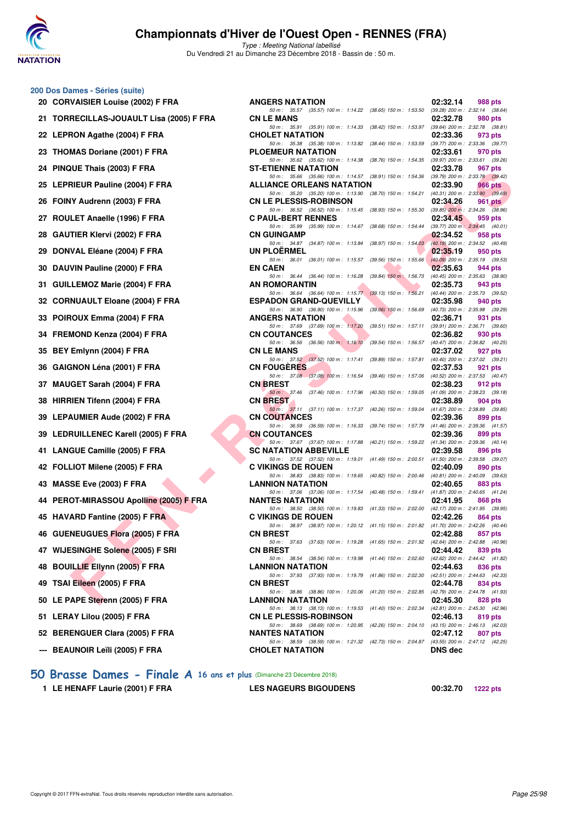

Type : Meeting National labellisé Du Vendredi 21 au Dimanche 23 Décembre 2018 - Bassin de : 50 m.

### **200 Dos Dames - Séries (suite)**

| 20 CORVAISIER Louise (2002) F FRA        | <b>ANGERS NATATION</b>                                                                                      |                                       | 02:32.14                  |
|------------------------------------------|-------------------------------------------------------------------------------------------------------------|---------------------------------------|---------------------------|
| 21 TORRECILLAS-JOUAULT Lisa (2005) F FRA | 50 m: 35.57 (35.57) 100 m: 1:14.22 (38.65) 150 m: 1:53.50<br><b>CN LE MANS</b>                              |                                       | (39.28) 200 m<br>02:32.78 |
| 22 LEPRON Agathe (2004) F FRA            | 50 m: 35.91 (35.91) 100 m: 1:14.33 (38.42) 150 m: 1:53.97 (39.64) 200 m<br><b>CHOLET NATATION</b>           |                                       | 02:33.36                  |
| 23 THOMAS Doriane (2001) F FRA           | 50 m: 35.38 (35.38) 100 m: 1:13.82 (38.44) 150 m: 1:53.59 (39.77) 200 m<br><b>PLOEMEUR NATATION</b>         |                                       | 02:33.61                  |
| 24 PINQUE Thais (2003) F FRA             | 50 m: 35.62 (35.62) 100 m: 1:14.38 (38.76) 150 m: 1:54.35 (39.97) 200 m<br><b>ST-ETIENNE NATATION</b>       |                                       | 02:33.78                  |
| 25 LEPRIEUR Pauline (2004) F FRA         | 50 m: 35.66 (35.66) 100 m: 1:14.57 (38.91) 150 m: 1:54.36 (39.79) 200 m<br>ALLIANCE ORLEANS NATATION        |                                       | 02:33.90                  |
| 26 FOINY Audrenn (2003) F FRA            | 50 m: 35.20 (35.20) 100 m: 1:13.90 (38.70) 150 m: 1:54.21 (40.31) 200 m<br><b>CN LE PLESSIS-ROBINSON</b>    |                                       | 02:34.26                  |
| 27 ROULET Anaelle (1996) F FRA           | 50 m: 36.52 (36.52) 100 m: 1:15.45 (38.93) 150 m: 1:55.30 (39.85) 200 m<br><b>C PAUL-BERT RENNES</b>        |                                       | 02:34.45                  |
| 28 GAUTIER Klervi (2002) F FRA           | 50 m: 35.99 (35.99) 100 m: 1:14.67 (38.68) 150 m: 1:54.44 (39.77) 200 m<br><b>CN GUINGAMP</b>               |                                       | 02:34.52                  |
| 29 DONVAL Eléane (2004) F FRA            | 50 m : 34.87 (34.87) 100 m : 1:13.84 (38.97) 150 m : 1:54.03 (40.19) 200 m<br><b>UN PLOERMEL</b>            |                                       | 02:35.19                  |
| 30 DAUVIN Pauline (2000) F FRA           | 50 m : 36.01 (36.01) 100 m : 1:15.57 (39.56) 150 m : 1:55.66 (40.09) 200 m<br><b>EN CAEN</b>                |                                       | 02:35.63                  |
| 31 GUILLEMOZ Marie (2004) F FRA          | 50 m : 36.44 (36.44) 100 m : 1:16.28 (39.84) 150 m : 1:56.73 (40.45) 200 m<br>AN ROMORANTIN                 |                                       | 02:35.73                  |
|                                          | 50 m: 36.64 (36.64) 100 m: 1:15.77 (39.13) 150 m: 1:56.21 (40.44) 200 m                                     |                                       |                           |
| 32 CORNUAULT Eloane (2004) F FRA         | <b>ESPADON GRAND-QUEVILLY</b><br>50 m : 36.90 (36.90) 100 m : 1:15.96 (39.06) 150 m : 1:56.69 (40.73) 200 m |                                       | 02:35.98                  |
| 33 POIROUX Emma (2004) F FRA             | <b>ANGERS NATATION</b><br>50 m: 37.69 (37.69) 100 m: 1:17.20 (39.51) 150 m: 1:57.11 (39.91) 200 m           |                                       | 02:36.71                  |
| 34 FREMOND Kenza (2004) F FRA            | <b>CN COUTANCES</b><br>50 m: 36.56 (36.56) 100 m: 1:16.10                                                   | (39.54) 150 m : 1:56.57 (40.47) 200 m | 02:36.82                  |
| 35 BEY Emlynn (2004) F FRA               | <b>CN LE MANS</b><br>50 m: 37.52 (37.52) 100 m: 1:17.41 (39.89) 150 m: 1:57.81 (40.40) 200 m                |                                       | 02:37.02                  |
| 36 GAIGNON Léna (2001) F FRA             | <b>CN FOUGERES</b><br>50 m : 37.08 (37.08) 100 m : 1:16.54 (39.46) 150 m : 1:57.06 (40.52) 200 m            |                                       | 02:37.53                  |
| 37 MAUGET Sarah (2004) F FRA             | <b>CN BREST</b><br>50 m: 37.46 (37.46) 100 m: 1:17.96 (40.50) 150 m: 1:59.05 (41.09) 200 m                  |                                       | 02:38.23                  |
| 38 HIRRIEN Tifenn (2004) F FRA           | <b>CN BREST</b><br>50 m: 37.11 (37.11) 100 m: 1:17.37 (40.26) 150 m: 1:59.04 (41.67) 200 m                  |                                       | 02:38.89                  |
| 39 LEPAUMIER Aude (2002) F FRA           | <b>CN COUTANCES</b>                                                                                         |                                       | 02:39.36                  |
| 39 LEDRUILLENEC Karell (2005) F FRA      | 50 m : 36.59 (36.59) 100 m : 1:16.33<br><b>CN COUTANCES</b>                                                 | (39.74) 150 m : 1:57.79 (41.46) 200 m | 02:39.36                  |
| 41 LANGUE Camille (2005) F FRA           | 50 m: 37.67 (37.67) 100 m: 1:17.88 (40.21) 150 m: 1:59.22 (41.34) 200 m<br><b>SC NATATION ABBEVILLE</b>     |                                       | 02:39.58                  |
| 42 FOLLIOT Milene (2005) F FRA           | 50 m: 37.52 (37.52) 100 m: 1:19.01 (41.49) 150 m: 2:00.51 (41.50) 200 m<br><b>C VIKINGS DE ROUEN</b>        |                                       | 02:40.09                  |
| 43 MASSE Eve (2003) F FRA                | 50 m : 38.83 (38.83) 100 m : 1:19.65 (40.82) 150 m : 2:00.46 (40.81) 200 m<br><b>LANNION NATATION</b>       |                                       | 02:40.65                  |
| 44 PEROT-MIRASSOU Apolline (2005) F FRA  | 50 m: 37.06 (37.06) 100 m: 1:17.54 (40.48) 150 m: 1:59.41 (41.87) 200 m<br><b>NANTES NATATION</b>           |                                       | 02:41.95                  |
| 45 HAVARD Fantine (2005) F FRA           | 50 m: 38.50 (38.50) 100 m: 1:19.83 (41.33) 150 m: 2:02.00 (42.17) 200 m<br><b>C VIKINGS DE ROUEN</b>        |                                       | 02:42.26                  |
| 46 GUENEUGUES Flora (2005) F FRA         | 50 m: 38.97 (38.97) 100 m: 1:20.12 (41.15) 150 m: 2:01.82 (41.70) 200 m<br><b>CN BREST</b>                  |                                       | 02:42.88                  |
| 47 WIJESINGHE Solene (2005) F SRI        | 50 m: 37.63 (37.63) 100 m: 1:19.28 (41.65) 150 m: 2:01.92 (42.64) 200 m<br><b>CN BREST</b>                  |                                       | 02:44.42                  |
| 48 BOUILLIE Ellynn (2005) F FRA          | 50 m: 38.54 (38.54) 100 m: 1:19.98 (41.44) 150 m: 2:02.60 (42.62) 200 m<br><b>LANNION NATATION</b>          |                                       | 02:44.63                  |
| 49 TSAI Eileen (2005) F FRA              | 50 m: 37.93 (37.93) 100 m: 1:19.79 (41.86) 150 m: 2:02.30 (42.51) 200 m<br><b>CN BREST</b>                  |                                       | 02:44.78                  |
| 50 LE PAPE Sterenn (2005) F FRA          | 50 m : 38.86 (38.86) 100 m : 1:20.06 (41.20) 150 m : 2:02.85 (42.79) 200 m<br><b>LANNION NATATION</b>       |                                       | 02:45.30                  |
| 51 LERAY Lilou (2005) F FRA              | 50 m : 38.13 (38.13) 100 m : 1:19.53<br><b>CN LE PLESSIS-ROBINSON</b>                                       | (41.40) 150 m : 2:02.34 (42.81) 200 m | 02:46.13                  |
| 52 BERENGUER Clara (2005) F FRA          | 50 m : 38.69 (38.69) 100 m : 1:20.95 (42.26) 150 m : 2:04.10 (43.15) 200 m<br><b>NANTES NATATION</b>        |                                       | 02:47.12                  |
|                                          | 50 m: 38.59 (38.59) 100 m: 1:21.32 (42.73) 150 m: 2:04.87 (43.55) 200 m                                     |                                       |                           |
| --- BEAUNOIR Leïli (2005) F FRA          | <b>CHOLET NATATION</b>                                                                                      |                                       | <b>DNS</b> dec            |
|                                          |                                                                                                             |                                       |                           |

| $\sigma$ Dos Danies - Oches (Suite)      |                                                                                                                               |          |         |
|------------------------------------------|-------------------------------------------------------------------------------------------------------------------------------|----------|---------|
| 20 CORVAISIER Louise (2002) F FRA        | <b>ANGERS NATATION</b>                                                                                                        | 02:32.14 | 988 pts |
| 21 TORRECILLAS-JOUAULT Lisa (2005) F FRA | 50 m: 35.57 (35.57) 100 m: 1:14.22 (38.65) 150 m: 1:53.50 (39.28) 200 m: 2:32.14 (38.64)<br><b>CN LE MANS</b>                 | 02:32.78 | 980 pts |
| 22 LEPRON Agathe (2004) F FRA            | 50 m: 35.91 (35.91) 100 m: 1:14.33 (38.42) 150 m: 1:53.97 (39.64) 200 m: 2:32.78 (38.81)<br><b>CHOLET NATATION</b>            | 02:33.36 | 973 pts |
|                                          | 50 m: 35.38 (35.38) 100 m: 1:13.82 (38.44) 150 m: 1:53.59 (39.77) 200 m: 2:33.36 (39.77)                                      | 02:33.61 |         |
| 23 THOMAS Doriane (2001) F FRA           | PLOEMEUR NATATION<br>50 m: 35.62 (35.62) 100 m: 1:14.38 (38.76) 150 m: 1:54.35 (39.97) 200 m: 2:33.61 (39.26)                 |          | 970 pts |
| 24 PINQUE Thais (2003) F FRA             | <b>ST-ETIENNE NATATION</b><br>50 m: 35.66 (35.66) 100 m: 1:14.57 (38.91) 150 m: 1:54.36 (39.79) 200 m: 2:33.78 (39.42)        | 02:33.78 | 967 pts |
| 25 LEPRIEUR Pauline (2004) F FRA         | <b>ALLIANCE ORLEANS NATATION</b>                                                                                              | 02:33.90 | 966 pts |
| 26 FOINY Audrenn (2003) F FRA            | 50 m: 35.20 (35.20) 100 m: 1:13.90 (38.70) 150 m: 1:54.21 (40.31) 200 m: 2:33.90 (39.69)<br><b>CN LE PLESSIS-ROBINSON</b>     | 02:34.26 | 961 pts |
| 27 ROULET Anaelle (1996) F FRA           | 50 m: 36.52 (36.52) 100 m: 1:15.45 (38.93) 150 m: 1:55.30 (39.85) 200 m: 2:34.26 (38.96)<br><b>C PAUL-BERT RENNES</b>         | 02:34.45 | 959 pts |
| 28 GAUTIER Klervi (2002) F FRA           | 50 m: 35.99 (35.99) 100 m: 1:14.67 (38.68) 150 m: 1:54.44 (39.77) 200 m: 2:34.45 (40.01)<br><b>CN GUINGAMP</b>                | 02:34.52 | 958 pts |
|                                          | 50 m: 34.87 (34.87) 100 m: 1:13.84 (38.97) 150 m: 1:54.03 (40.19) 200 m: 2:34.52 (40.49)                                      |          |         |
| 29 DONVAL Eléane (2004) F FRA            | <b>UN PLOERMEL</b><br>50 m: 36.01 (36.01) 100 m: 1:15.57 (39.56) 150 m: 1:55.66 (40.09) 200 m: 2:35.19 (39.53)                | 02:35.19 | 950 pts |
| 30 DAUVIN Pauline (2000) F FRA           | <b>EN CAEN</b><br>50 m: 36.44 (36.44) 100 m: 1:16.28<br>(39.84) 150 m : 1:56.73 (40.45) 200 m : 2:35.63 (38.90)               | 02:35.63 | 944 pts |
| 31 GUILLEMOZ Marie (2004) F FRA          | AN ROMORANTIN                                                                                                                 | 02:35.73 | 943 pts |
| 32   CORNUAULT Eloane (2004) F FRA       | 50 m: 36.64 (36.64) 100 m: 1:15.77 (39.13) 150 m: 1:56.21 (40.44) 200 m: 2:35.73 (39.52)<br><b>ESPADON GRAND-QUEVILLY</b>     | 02:35.98 | 940 pts |
|                                          | 50 m: 36.90 (36.90) 100 m: 1:15.96 (39.06) 150 m: 1:56.69 (40.73) 200 m: 2:35.98 (39.29)<br><b>ANGERS NATATION</b>            |          |         |
| 33 POIROUX Emma (2004) F FRA             | 50 m: 37.69 (37.69) 100 m: 1:17.20 (39.51) 150 m: 1:57.11 (39.91) 200 m: 2:36.71 (39.60)                                      | 02:36.71 | 931 pts |
| 34 FREMOND Kenza (2004) F FRA            | <b>CN COUTANCES</b><br>50 m: 36.56 (36.56) 100 m: 1:16.10 (39.54) 150 m: 1:56.57 (40.47) 200 m: 2:36.82 (40.25)               | 02:36.82 | 930 pts |
| 35 BEY Emlynn (2004) F FRA               | <b>CN LE MANS</b>                                                                                                             | 02:37.02 | 927 pts |
| 36 GAIGNON Léna (2001) F FRA             | 50 m: 37.52 (37.52) 100 m: 1:17.41 (39.89) 150 m: 1:57.81 (40.40) 200 m: 2:37.02 (39.21)<br><b>CN FOUGERES</b>                | 02:37.53 | 921 pts |
| 37 MAUGET Sarah (2004) F FRA             | 50 m: 37.08 (37.08) 100 m: 1:16.54 (39.46) 150 m: 1:57.06 (40.52) 200 m: 2:37.53 (40.47)<br><b>CN BREST</b>                   | 02:38.23 | 912 pts |
|                                          | 50 m: 37.46 (37.46) 100 m: 1:17.96 (40.50) 150 m: 1:59.05 (41.09) 200 m: 2:38.23 (39.18)                                      |          |         |
| 38 HIRRIEN Tifenn (2004) F FRA           | <b>CN BREST</b><br>50 m: 37.11 (37.11) 100 m: 1:17.37 (40.26) 150 m: 1:59.04 (41.67) 200 m: 2:38.89 (39.85)                   | 02:38.89 | 904 pts |
| 39 LEPAUMIER Aude (2002) F FRA           | <b>CN COUTANCES</b>                                                                                                           | 02:39.36 | 899 pts |
| 39 LEDRUILLENEC Karell (2005) F FRA      | 50 m: 36.59 (36.59) 100 m: 1:16.33 (39.74) 150 m: 1:57.79 (41.46) 200 m: 2:39.36 (41.57)<br><b>CN COUTANCES</b>               | 02:39.36 | 899 pts |
| 41 LANGUE Camille (2005) F FRA           | 50 m: 37.67 (37.67) 100 m: 1:17.88<br>(40.21) 150 m : 1:59.22 (41.34) 200 m : 2:39.36 (40.14)<br><b>SC NATATION ABBEVILLE</b> | 02:39.58 | 896 pts |
|                                          | 50 m: 37.52 (37.52) 100 m: 1:19.01 (41.49) 150 m: 2:00.51 (41.50) 200 m: 2:39.58 (39.07)                                      |          |         |
| 42 FOLLIOT Milene (2005) F FRA           | <b>C VIKINGS DE ROUEN</b><br>50 m: 38.83 (38.83) 100 m: 1:19.65 (40.82) 150 m: 2:00.46 (40.81) 200 m: 2:40.09 (39.63)         | 02:40.09 | 890 pts |
| 43 MASSE Eve (2003) F FRA                | <b>LANNION NATATION</b><br>50 m: 37.06 (37.06) 100 m: 1:17.54 (40.48) 150 m: 1:59.41 (41.87) 200 m: 2:40.65 (41.24)           | 02:40.65 | 883 pts |
| 44 PEROT-MIRASSOU Apolline (2005) F FRA  | <b>NANTES NATATION</b>                                                                                                        | 02:41.95 | 868 pts |
| 45 HAVARD Fantine (2005) F FRA           | 50 m: 38.50 (38.50) 100 m: 1:19.83 (41.33) 150 m: 2:02.00 (42.17) 200 m: 2:41.95 (39.95)<br><b>C VIKINGS DE ROUEN</b>         | 02:42.26 | 864 pts |
| 46 GUENEUGUES Flora (2005) F FRA         | 50 m: 38.97 (38.97) 100 m: 1:20.12 (41.15) 150 m: 2:01.82 (41.70) 200 m: 2:42.26 (40.44)<br><b>CN BREST</b>                   | 02:42.88 | 857 pts |
| 47 WIJESINGHE Solene (2005) F SRI        | 50 m: 37.63 (37.63) 100 m: 1:19.28 (41.65) 150 m: 2:01.92 (42.64) 200 m: 2:42.88 (40.96)<br><b>CN BREST</b>                   | 02:44.42 |         |
|                                          | 50 m: 38.54 (38.54) 100 m: 1.19.98 (41.44) 150 m: 2:02.60 (42.62) 200 m: 2:44.42 (41.82)                                      |          | 839 pts |
| 48 BOUILLIE Ellynn (2005) F FRA          | <b>LANNION NATATION</b><br>50 m: 37.93 (37.93) 100 m: 1:19.79 (41.86) 150 m: 2:02.30 (42.51) 200 m: 2:44.63 (42.33)           | 02:44.63 | 836 pts |
| 49 TSAI Eileen (2005) F FRA              | <b>CN BREST</b>                                                                                                               | 02:44.78 | 834 pts |
| 50 LE PAPE Sterenn (2005) F FRA          | 50 m: 38.86 (38.86) 100 m: 1:20.06 (41.20) 150 m: 2:02.85 (42.79) 200 m: 2:44.78 (41.93)<br><b>LANNION NATATION</b>           | 02:45.30 | 828 pts |
| 51 LERAY Lilou (2005) F FRA              | 50 m: 38.13 (38.13) 100 m: 1:19.53 (41.40) 150 m: 2:02.34 (42.81) 200 m: 2:45.30 (42.96)<br><b>CN LE PLESSIS-ROBINSON</b>     | 02:46.13 | 819 pts |
|                                          | 50 m: 38.69 (38.69) 100 m: 1:20.95 (42.26) 150 m: 2:04.10 (43.15) 200 m: 2:46.13 (42.03)                                      |          |         |
| 52 BERENGUER Clara (2005) F FRA          | <b>NANTES NATATION</b><br>50 m: 38.59 (38.59) 100 m: 1:21.32 (42.73) 150 m: 2:04.87 (43.55) 200 m: 2:47.12 (42.25)            | 02:47.12 | 807 pts |
| --- REAUNOIR Leïli (2005) F FRA          | CHOL FT NATATION                                                                                                              | DNS dec  |         |

**[50 Brasse Dames - Finale A](http://www.ffnatation.fr/webffn/resultats.php?idact=nat&go=epr&idcpt=55947&idepr=21) 16 ans et plus** (Dimanche 23 Décembre 2018)

**1 LE HENAFF Laurie (2001) F FRA LES NAGEURS BIGOUDENS 00:32.70 1222 pts**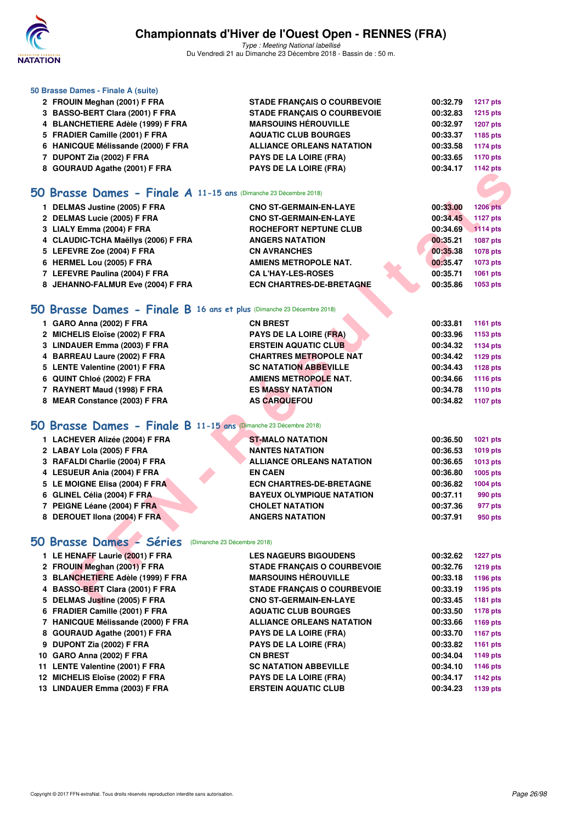

Type : Meeting National labellisé Du Vendredi 21 au Dimanche 23 Décembre 2018 - Bassin de : 50 m.

### **50 Brasse Dames - Finale A (suite)**

| 2 FROUIN Meghan (2001) F FRA       | <b>STADE FRANCAIS O COURBEVOIE</b> | 00:32.79 | <b>1217 pts</b> |
|------------------------------------|------------------------------------|----------|-----------------|
| 3 BASSO-BERT Clara (2001) F FRA    | <b>STADE FRANCAIS O COURBEVOIE</b> | 00:32.83 | <b>1215 pts</b> |
| 4 BLANCHETIERE Adèle (1999) F FRA  | <b>MARSOUINS HÉROUVILLE</b>        | 00:32.97 | <b>1207 pts</b> |
| 5 FRADIER Camille (2001) F FRA     | <b>AQUATIC CLUB BOURGES</b>        | 00:33.37 | 1185 pts        |
| 6 HANICQUE Mélissande (2000) F FRA | <b>ALLIANCE ORLEANS NATATION</b>   | 00:33.58 | 1174 pts        |
| 7 DUPONT Zia (2002) F FRA          | <b>PAYS DE LA LOIRE (FRA)</b>      | 00:33.65 | 1170 pts        |
| 8 GOURAUD Agathe (2001) F FRA      | <b>PAYS DE LA LOIRE (FRA)</b>      | 00:34.17 | 1142 pts        |

### **[50 Brasse Dames - Finale A](http://www.ffnatation.fr/webffn/resultats.php?idact=nat&go=epr&idcpt=55947&idepr=21) 11-15 ans** (Dimanche 23 Décembre 2018)

| <b>8 GOONAOD Agathe (2001) F FRA</b>                                 | <b>FAIS DE LA LUIRE (FRA)</b>      |          | בוע גידו ו      |
|----------------------------------------------------------------------|------------------------------------|----------|-----------------|
|                                                                      |                                    |          |                 |
| O Brasse Dames - Finale A 11-15 ans (Dimanche 23 Décembre 2018)      |                                    |          |                 |
| 1 DELMAS Justine (2005) F FRA                                        | <b>CNO ST-GERMAIN-EN-LAYE</b>      | 00:33.00 | <b>1206 pts</b> |
| 2 DELMAS Lucie (2005) F FRA                                          | <b>CNO ST-GERMAIN-EN-LAYE</b>      | 00:34.45 | <b>1127 pts</b> |
| 3 LIALY Emma (2004) F FRA                                            | <b>ROCHEFORT NEPTUNE CLUB</b>      | 00:34.69 | <b>1114 pts</b> |
| 4 CLAUDIC-TCHA Maëllys (2006) F FRA                                  | <b>ANGERS NATATION</b>             | 00:35.21 | <b>1087 pts</b> |
| 5 LEFEVRE Zoe (2004) F FRA                                           | <b>CN AVRANCHES</b>                | 00:35.38 | 1078 pts        |
| 6 HERMEL Lou (2005) F FRA                                            | <b>AMIENS METROPOLE NAT.</b>       | 00:35.47 | 1073 pts        |
| 7 LEFEVRE Paulina (2004) F FRA                                       | <b>CA L'HAY-LES-ROSES</b>          | 00:35.71 | 1061 pts        |
| 8 JEHANNO-FALMUR Eve (2004) F FRA                                    | <b>ECN CHARTRES-DE-BRETAGNE</b>    | 00:35.86 | 1053 pts        |
| O Brasse Dames - Finale B 16 ans et plus (Dimanche 23 Décembre 2018) |                                    |          |                 |
| 1 GARO Anna (2002) F FRA                                             | <b>CN BREST</b>                    | 00:33.81 | 1161 pts        |
| 2 MICHELIS Eloïse (2002) F FRA                                       | PAYS DE LA LOIRE (FRA)             | 00:33.96 | 1153 pts        |
| 3 LINDAUER Emma (2003) F FRA                                         | <b>ERSTEIN AQUATIC CLUB</b>        | 00:34.32 | 1134 pts        |
| 4 BARREAU Laure (2002) F FRA                                         | <b>CHARTRES METROPOLE NAT</b>      | 00:34.42 | 1129 pts        |
| 5 LENTE Valentine (2001) F FRA                                       | <b>SC NATATION ABBEVILLE</b>       | 00:34.43 | 1128 pts        |
| 6 QUINT Chloé (2002) F FRA                                           | <b>AMIENS METROPOLE NAT.</b>       | 00:34.66 | 1116 pts        |
| 7 RAYNERT Maud (1998) F FRA                                          | <b>ES MASSY NATATION</b>           | 00:34.78 | 1110 pts        |
| 8 MEAR Constance (2003) F FRA                                        | <b>AS CARQUEFOU</b>                | 00:34.82 | 1107 pts        |
|                                                                      |                                    |          |                 |
| O Brasse Dames - Finale B 11-15 ans (Dimanche 23 Décembre 2018)      |                                    |          |                 |
| 1 LACHEVER Alizée (2004) F FRA                                       | <b>ST-MALO NATATION</b>            | 00:36.50 | 1021 pts        |
| 2 LABAY Lola (2005) F FRA                                            | <b>NANTES NATATION</b>             | 00:36.53 | 1019 pts        |
| 3 RAFALDI Charlie (2004) F FRA                                       | <b>ALLIANCE ORLEANS NATATION</b>   | 00:36.65 | 1013 pts        |
| 4 LESUEUR Ania (2004) F FRA                                          | <b>EN CAEN</b>                     | 00:36.80 | 1005 pts        |
| 5 LE MOIGNE Elisa (2004) F FRA                                       | <b>ECN CHARTRES-DE-BRETAGNE</b>    | 00:36.82 | 1004 pts        |
| 6 GLINEL Célia (2004) F FRA                                          | <b>BAYEUX OLYMPIQUE NATATION</b>   | 00:37.11 | 990 pts         |
| 7 PEIGNE Léane (2004) F FRA                                          | <b>CHOLET NATATION</b>             | 00:37.36 | 977 pts         |
| 8 DEROUET IIona (2004) F FRA                                         | <b>ANGERS NATATION</b>             | 00:37.91 | 950 pts         |
|                                                                      |                                    |          |                 |
| <b>0 Brasse Dames - Séries</b><br>(Dimanche 23 Décembre 2018)        |                                    |          |                 |
| 1 LE HENAFF Laurie (2001) F FRA                                      | <b>LES NAGEURS BIGOUDENS</b>       | 00:32.62 | <b>1227 pts</b> |
| 2 FROUIN Meghan (2001) F FRA                                         | <b>STADE FRANCAIS O COURBEVOIE</b> | 00:32.76 | <b>1219 pts</b> |
| 3 BLANCHETIERE Adèle (1999) F FRA                                    | <b>MARSOUINS HÉROUVILLE</b>        | 00:33.18 | 1196 pts        |
| 4 BASSO-BERT Clara (2001) F FRA                                      | <b>STADE FRANCAIS O COURBEVOIE</b> | 00:33.19 | 1195 pts        |
| 5 DELMAS Justine (2005) F FRA                                        | <b>CNO ST-GERMAIN-EN-LAYE</b>      | 00:33.45 | 1181 pts        |

## **[50 Brasse Dames - Finale B](http://www.ffnatation.fr/webffn/resultats.php?idact=nat&go=epr&idcpt=55947&idepr=21) 16 ans et plus** (Dimanche 23 Décembre 2018)

| 1 GARO Anna (2002) F FRA       | <b>CN BREST</b>               | 00:33.81 | 1161 pts |
|--------------------------------|-------------------------------|----------|----------|
| 2 MICHELIS Eloïse (2002) F FRA | <b>PAYS DE LA LOIRE (FRA)</b> | 00:33.96 | 1153 pts |
| 3 LINDAUER Emma (2003) F FRA   | <b>ERSTEIN AQUATIC CLUB</b>   | 00:34.32 | 1134 pts |
| 4 BARREAU Laure (2002) F FRA   | <b>CHARTRES METROPOLE NAT</b> | 00:34.42 | 1129 pts |
| 5 LENTE Valentine (2001) F FRA | <b>SC NATATION ABBEVILLE</b>  | 00:34.43 | 1128 pts |
| 6 QUINT Chloé (2002) F FRA     | AMIENS METROPOLE NAT.         | 00:34.66 | 1116 pts |
| 7 RAYNERT Maud (1998) F FRA    | <b>ES MASSY NATATION</b>      | 00:34.78 | 1110 pts |
| 8 MEAR Constance (2003) F FRA  | <b>AS CARQUEFOU</b>           | 00:34.82 | 1107 pts |

### **[50 Brasse Dames - Finale B](http://www.ffnatation.fr/webffn/resultats.php?idact=nat&go=epr&idcpt=55947&idepr=21) 11-15 ans** (Dimanche 23 Décembre 2018)

| 1 LACHEVER Alizée (2004) F FRA | <b>ST-MALO NATATION</b>          | 00:36.50 | 1021 pts        |
|--------------------------------|----------------------------------|----------|-----------------|
| 2 LABAY Lola (2005) F FRA      | <b>NANTES NATATION</b>           | 00:36.53 | <b>1019 pts</b> |
| 3 RAFALDI Charlie (2004) F FRA | <b>ALLIANCE ORLEANS NATATION</b> | 00:36.65 | 1013 pts        |
| 4 LESUEUR Ania (2004) F FRA    | <b>EN CAEN</b>                   | 00:36.80 | 1005 pts        |
| 5 LE MOIGNE Elisa (2004) F FRA | <b>ECN CHARTRES-DE-BRETAGNE</b>  | 00:36.82 | 1004 pts        |
| 6 GLINEL Célia (2004) F FRA    | <b>BAYEUX OLYMPIQUE NATATION</b> | 00:37.11 | 990 pts         |
| 7 PEIGNE Léane (2004) F FRA    | <b>CHOLET NATATION</b>           | 00:37.36 | 977 pts         |
| 8 DEROUET IIona (2004) F FRA   | <b>ANGERS NATATION</b>           | 00:37.91 | 950 pts         |
|                                |                                  |          |                 |

## **[50 Brasse Dames - Séries](http://www.ffnatation.fr/webffn/resultats.php?idact=nat&go=epr&idcpt=55947&idepr=21)** (Dimanche 23 Décembre 2018)

| 1 LE HENAFF Laurie (2001) F FRA    | <b>LES NAGEURS BIGOUDENS</b>       | 00:32.62 | <b>1227 pts</b> |
|------------------------------------|------------------------------------|----------|-----------------|
| 2 FROUIN Meghan (2001) F FRA       | <b>STADE FRANCAIS O COURBEVOIE</b> | 00:32.76 | <b>1219 pts</b> |
| 3 BLANCHETIERE Adèle (1999) F FRA  | <b>MARSOUINS HÉROUVILLE</b>        | 00:33.18 | 1196 pts        |
| 4 BASSO-BERT Clara (2001) F FRA    | <b>STADE FRANCAIS O COURBEVOIE</b> | 00:33.19 | 1195 pts        |
| 5 DELMAS Justine (2005) F FRA      | <b>CNO ST-GERMAIN-EN-LAYE</b>      | 00:33.45 | 1181 pts        |
| 6 FRADIER Camille (2001) F FRA     | <b>AQUATIC CLUB BOURGES</b>        | 00:33.50 | 1178 pts        |
| 7 HANICQUE Mélissande (2000) F FRA | <b>ALLIANCE ORLEANS NATATION</b>   | 00:33.66 | 1169 pts        |
| 8 GOURAUD Agathe (2001) F FRA      | <b>PAYS DE LA LOIRE (FRA)</b>      | 00:33.70 | 1167 pts        |
| 9 DUPONT Zia (2002) F FRA          | <b>PAYS DE LA LOIRE (FRA)</b>      | 00:33.82 | 1161 pts        |
| 10 GARO Anna (2002) F FRA          | <b>CN BREST</b>                    | 00:34.04 | 1149 pts        |
| 11 LENTE Valentine (2001) F FRA    | <b>SC NATATION ABBEVILLE</b>       | 00:34.10 | 1146 pts        |
| 12 MICHELIS Eloïse (2002) F FRA    | <b>PAYS DE LA LOIRE (FRA)</b>      | 00:34.17 | 1142 pts        |
| 13 LINDAUER Emma (2003) F FRA      | <b>ERSTEIN AQUATIC CLUB</b>        | 00:34.23 | 1139 pts        |
|                                    |                                    |          |                 |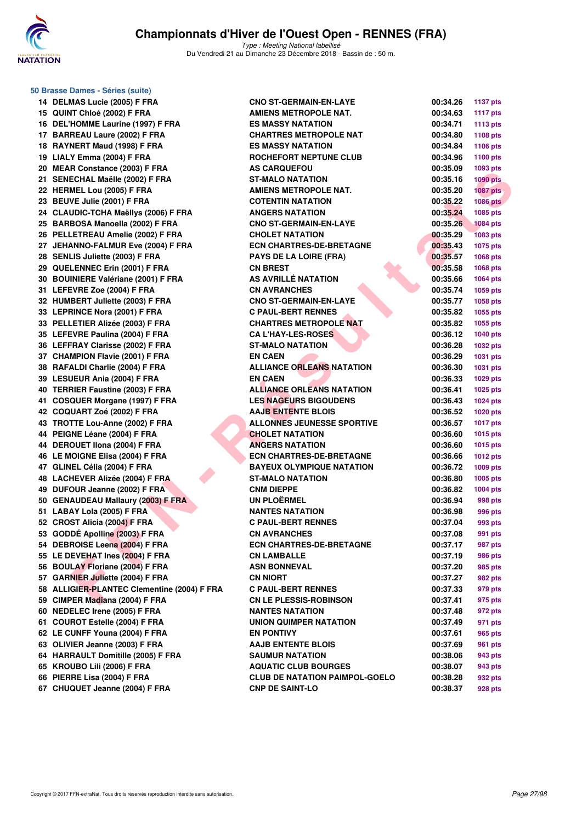

Type : Meeting National labellisé Du Vendredi 21 au Dimanche 23 Décembre 2018 - Bassin de : 50 m.

**50 Brasse Dames - Séries (suite) 14 DELMAS Lucie (2005) F FRA 15 QUINT Chloé (2002) F FRA 16 DEL'HOMME Laurine (1997) F FRA 17 BARREAU Laure (2002) F FRA 18 RAYNERT Maud (1998) F FRA** 19 LIALY Emma (2004) F FRA 20 MEAR Constance (2003) F FRA 21 SENECHAL Maëlle (2002) F FRA **22 HERMEL Lou (2005) F FRA** 23 BEUVE Julie (2001) **F FRA** 24 CLAUDIC-TCHA Maëllys (2006) F FRA 25 BARBOSA Manoella (2002) F FRA 26 PELLETREAU Amelie (2002) F FRA 27 JEHANNO-FALMUR Eve (2004) F FRA 28 SENLIS Juliette (2003) F FRA 29 QUELENNEC Erin (2001) F FRA **30 BOUINIERE Valériane (2001) F FRA 31 LEFEVRE Zoe (2004) F FRA CN AVRANCHES 00:35.74 1059 pts 32 HUMBERT Juliette (2003) F FRA 33 LEPRINCE Nora (2001) F FRA** 33 PELLETIER Alizée (2003) F FRA **35 LEFEVRE Paulina (2004) F FRA 36 LEFFRAY Clarisse (2002) F FRA 37 CHAMPION Flavie (2001) F FRA 38 RAFALDI Charlie (2004) F FRA 39 LESUEUR Ania (2004) F FRA 40 TERRIER Faustine (2003) F FRA** 41 COSQUER Morgane (1997) F FRA **42 COQUART Zoé (2002) F FRA 43 TROTTE Lou-Anne (2002) F FRA** 44 PEIGNE Léane (2004) F FRA **44 DEROUET IIona (2004) F FRA 46 LE MOIGNE Elisa (2004) F FRA** 47 GLINEL Célia (2004) F FRA **48 LACHEVER Alizée (2004) F FRA 49 DUFOUR Jeanne (2002) F FRA 50 GENAUDEAU Mallaury (2003) F FRA 51 LABAY Lola (2005) F FRA NANTES NATATION 00:36.98 996 pts** 52 CROST Alicia (2004) **F FRA** 53 GODDÉ Apolline (2003) F FRA 54 DEBROISE Leena (2004) F FRA **55 LE DEVEHAT Ines (2004) F FRA 56 BOULAY Floriane (2004) F FRA 57 GARNIER Juliette (2004) F FRA 58 ALLIGIER-PLANTEC Clementine (2004) F FRA** 59 CIMPER Madiana (2004) F FRA **60 NEDELEC Irene (2005) F FRA 61 COUROT Estelle (2004) F FRA 62 LE CUNFF Youna (2004) F FRA EN PONTIVY 00:37.61 965 pts 63 OLIVIER Jeanne (2003) F FRA 64 HARRAULT Domitille (2005) F FRA 65 KROUBO Lili (2006) F FRA 66 PIERRE Lisa (2004) F FRA CLUB DE NATATION PAIMPOL-GOELO 00:38.28 932 pts 67 CHUQUET Jeanne (2004) F FRA CNP DE SAINT-LO 00:38.37** 

| <b>MAS Lucie (2005) F FRA</b>        | <b>CNO ST-GERMAIN-EN-LAYE</b>         | 00:34.26 | <b>1137 pts</b> |
|--------------------------------------|---------------------------------------|----------|-----------------|
| IT Chloé (2002) F FRA                | <b>AMIENS METROPOLE NAT.</b>          | 00:34.63 | <b>1117 pts</b> |
| <b>HOMME Laurine (1997) F FRA</b>    | <b>ES MASSY NATATION</b>              | 00:34.71 | 1113 pts        |
| REAU Laure (2002) F FRA              | <b>CHARTRES METROPOLE NAT</b>         | 00:34.80 | 1108 pts        |
| NERT Maud (1998) F FRA               | <b>ES MASSY NATATION</b>              | 00:34.84 | 1106 pts        |
| Y Emma (2004) F FRA                  | ROCHEFORT NEPTUNE CLUB                | 00:34.96 | 1100 pts        |
| R Constance (2003) F FRA             | <b>AS CARQUEFOU</b>                   | 00:35.09 | 1093 pts        |
| ECHAL Maëlle (2002) F FRA            | <b>ST-MALO NATATION</b>               | 00:35.16 | <b>1090 pts</b> |
| <b>MEL Lou (2005) F FRA</b>          | <b>AMIENS METROPOLE NAT.</b>          | 00:35.20 | <b>1087 pts</b> |
| <b>VE Julie (2001) F FRA</b>         | <b>COTENTIN NATATION</b>              | 00:35.22 | <b>1086 pts</b> |
| UDIC-TCHA Maëllys (2006) F FRA       | <b>ANGERS NATATION</b>                | 00:35.24 | 1085 pts        |
| BOSA Manoella (2002) F FRA           | <b>CNO ST-GERMAIN-EN-LAYE</b>         | 00:35.26 | <b>1084 pts</b> |
| LETREAU Amelie (2002) F FRA          | <b>CHOLET NATATION</b>                | 00:35.29 | <b>1083 pts</b> |
| <b>ANNO-FALMUR Eve (2004) F FRA</b>  | <b>ECN CHARTRES-DE-BRETAGNE</b>       | 00:35.43 | <b>1075 pts</b> |
| LIS Juliette (2003) F FRA            | <b>PAYS DE LA LOIRE (FRA)</b>         | 00:35.57 | 1068 pts        |
| LENNEC Erin (2001) F FRA             | <b>CN BREST</b>                       | 00:35.58 | 1068 pts        |
| <b>INIERE Valériane (2001) F FRA</b> | AS AVRILLE NATATION                   | 00:35.66 | 1064 pts        |
| <b>EVRE Zoe (2004) F FRA</b>         | <b>CN AVRANCHES</b>                   | 00:35.74 | 1059 pts        |
| BERT Juliette (2003) F FRA           | <b>CNO ST-GERMAIN-EN-LAYE</b>         | 00:35.77 | 1058 pts        |
| RINCE Nora (2001) F FRA              | <b>C PAUL-BERT RENNES</b>             | 00:35.82 | 1055 pts        |
| LETIER Alizée (2003) F FRA           | <b>CHARTRES METROPOLE NAT</b>         | 00:35.82 | 1055 pts        |
| EVRE Paulina (2004) F FRA            | <b>CA L'HAY-LES-ROSES</b>             | 00:36.12 | 1040 pts        |
| FRAY Clarisse (2002) F FRA           | <b>ST-MALO NATATION</b>               | 00:36.28 | 1032 pts        |
| MPION Flavie (2001) F FRA            | <b>EN CAEN</b>                        | 00:36.29 | 1031 pts        |
| ALDI Charlie (2004) F FRA            | <b>ALLIANCE ORLEANS NATATION</b>      | 00:36.30 | 1031 pts        |
| JEUR Ania (2004) F FRA               | <b>EN CAEN</b>                        | 00:36.33 | 1029 pts        |
| RIER Faustine (2003) F FRA           | <b>ALLIANCE ORLEANS NATATION</b>      | 00:36.41 | <b>1025 pts</b> |
| QUER Morgane (1997) F FRA            | <b>LES NAGEURS BIGOUDENS</b>          | 00:36.43 | 1024 pts        |
| UART Zoé (2002) F FRA                | <b>AAJB ENTENTE BLOIS</b>             | 00:36.52 | <b>1020 pts</b> |
| TTE Lou-Anne (2002) F FRA            | <b>ALLONNES JEUNESSE SPORTIVE</b>     | 00:36.57 | <b>1017 pts</b> |
| INE Léane (2004) F FRA               | <b>CHOLET NATATION</b>                | 00:36.60 | <b>1015 pts</b> |
| OUET IIona (2004) F FRA              | <b>ANGERS NATATION</b>                | 00:36.60 | <b>1015 pts</b> |
| <b>IOIGNE Elisa (2004) F FRA</b>     | <b>ECN CHARTRES-DE-BRETAGNE</b>       | 00:36.66 | <b>1012 pts</b> |
| IEL Célia (2004) F FRA               | <b>BAYEUX OLYMPIQUE NATATION</b>      | 00:36.72 | $1009$ pts      |
| <b>HEVER Alizée (2004) F FRA</b>     | <b>ST-MALO NATATION</b>               | 00:36.80 | 1005 pts        |
| OUR Jeanne (2002) F FRA              | <b>CNM DIEPPE</b>                     | 00:36.82 | 1004 pts        |
| <b>AUDEAU Mallaury (2003) F FRA</b>  | <b>UN PLOËRMEL</b>                    | 00:36.94 | 998 pts         |
| AY Lola (2005) F FRA `               | <b>NANTES NATATION</b>                | 00:36.98 | 996 pts         |
| ST Alicia (2004) F FRA               | <b>C PAUL-BERT RENNES</b>             | 00:37.04 | 993 pts         |
| DÉ Apolline (2003) F FRA             | <b>CN AVRANCHES</b>                   | 00:37.08 | 991 pts         |
| ROISE Leena (2004) F FRA             | <b>ECN CHARTRES-DE-BRETAGNE</b>       | 00:37.17 | 987 pts         |
| <b>EVEHAT Ines (2004) F FRA</b>      | <b>CN LAMBALLE</b>                    | 00:37.19 | 986 pts         |
| LAY Floriane (2004) F FRA            | <b>ASN BONNEVAL</b>                   | 00:37.20 | 985 pts         |
| NIER Juliette (2004) F FRA           | <b>CN NIORT</b>                       | 00:37.27 | 982 pts         |
| GIER-PLANTEC Clementine (2004) F FRA | <b>C PAUL-BERT RENNES</b>             | 00:37.33 | 979 pts         |
| PER Madiana (2004) F FRA             | <b>CN LE PLESSIS-ROBINSON</b>         | 00:37.41 | 975 pts         |
| ELEC Irene (2005) F FRA              | <b>NANTES NATATION</b>                | 00:37.48 | 972 pts         |
| ROT Estelle (2004) F FRA             | UNION QUIMPER NATATION                | 00:37.49 | 971 pts         |
| UNFF Youna (2004) F FRA              | <b>EN PONTIVY</b>                     | 00:37.61 | 965 pts         |
| IER Jeanne (2003) F FRA              | <b>AAJB ENTENTE BLOIS</b>             | 00:37.69 | 961 pts         |
| RAULT Domitille (2005) F FRA         | <b>SAUMUR NATATION</b>                | 00:38.06 | 943 pts         |
| <b>UBO Lili (2006) F FRA</b>         | <b>AQUATIC CLUB BOURGES</b>           | 00:38.07 | 943 pts         |
| RE Lisa (2004) F FRA!                | <b>CLUB DE NATATION PAIMPOL-GOELO</b> | 00:38.28 | 932 pts         |
| OUFT Jeanne (2004) F FRA             | CNP DE SAINT-LO                       | 00:38.37 | 928 nts         |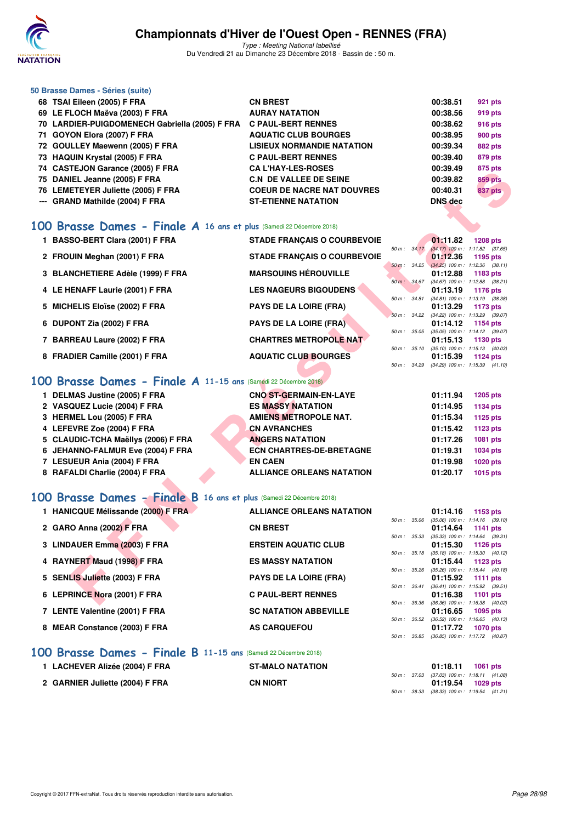

Type : Meeting National labellisé Du Vendredi 21 au Dimanche 23 Décembre 2018 - Bassin de : 50 m.

### **50 Brasse Dames - Séries (suite)**

| <b>CN BREST</b>                                                                                                                                                                                                                                                                                                 | 00:38.51                                                          | 921 pts        |
|-----------------------------------------------------------------------------------------------------------------------------------------------------------------------------------------------------------------------------------------------------------------------------------------------------------------|-------------------------------------------------------------------|----------------|
| <b>AURAY NATATION</b>                                                                                                                                                                                                                                                                                           | 00:38.56                                                          | 919 pts        |
|                                                                                                                                                                                                                                                                                                                 | 00:38.62                                                          | 916 pts        |
| <b>AQUATIC CLUB BOURGES</b>                                                                                                                                                                                                                                                                                     | 00:38.95                                                          | <b>900 pts</b> |
| <b>LISIEUX NORMANDIE NATATION</b>                                                                                                                                                                                                                                                                               | 00:39.34                                                          | <b>882 pts</b> |
| <b>C PAUL-BERT RENNES</b>                                                                                                                                                                                                                                                                                       | 00:39.40                                                          | 879 pts        |
| <b>CA L'HAY-LES-ROSES</b>                                                                                                                                                                                                                                                                                       | 00:39.49                                                          | 875 pts        |
| <b>C.N. DE VALLEE DE SEINE</b>                                                                                                                                                                                                                                                                                  | 00:39.82                                                          | <b>859 pts</b> |
| <b>COEUR DE NACRE NAT DOUVRES</b>                                                                                                                                                                                                                                                                               | 00:40.31                                                          | <b>837 pts</b> |
| <b>ST-ETIENNE NATATION</b>                                                                                                                                                                                                                                                                                      | <b>DNS</b> dec                                                    |                |
| 68 TSAI Eileen (2005) F FRA<br>69 LE FLOCH Maëva (2003) F FRA<br>71 GOYON Elora (2007) F FRA<br>72 GOULLEY Maewenn (2005) F FRA<br>73 HAQUIN Krystal (2005) F FRA<br>74 CASTEJON Garance (2005) F FRA<br>75 DANIEL Jeanne (2005) F FRA<br>76 LEMETEYER Juliette (2005) F FRA<br>--- GRAND Mathilde (2004) F FRA | 70 LARDIER-PUIGDOMENECH Gabriella (2005) F FRA C PAUL-BERT RENNES |                |

### **[100 Brasse Dames - Finale A](http://www.ffnatation.fr/webffn/resultats.php?idact=nat&go=epr&idcpt=55947&idepr=22) 16 ans et plus** (Samedi 22 Décembre 2018)

| $14$ CASTEJON Garance (2003) F FRA                                         | UA LIIAI LEJNUJEJ                  |              | UU.JJ.45       | or J pis                                                                  |
|----------------------------------------------------------------------------|------------------------------------|--------------|----------------|---------------------------------------------------------------------------|
| 75 DANIEL Jeanne (2005) F FRA                                              | <b>C.N. DE VALLEE DE SEINE</b>     |              | 00:39.82       | <b>859 pts</b>                                                            |
| 76 LEMETEYER Juliette (2005) F FRA                                         | <b>COEUR DE NACRE NAT DOUVRES</b>  |              | 00:40.31       | 837 pts                                                                   |
| --- GRAND Mathilde (2004) F FRA                                            | <b>ST-ETIENNE NATATION</b>         |              | <b>DNS</b> dec |                                                                           |
|                                                                            |                                    |              |                |                                                                           |
| <b>00 Brasse Dames - Finale A 16 ans et plus</b> (Samedi 22 Décembre 2018) |                                    |              |                |                                                                           |
| 1 BASSO-BERT Clara (2001) F FRA                                            | <b>STADE FRANÇAIS O COURBEVOIE</b> |              | 01:11.82       | <b>1208 pts</b>                                                           |
| 2 FROUIN Meghan (2001) F FRA                                               | <b>STADE FRANÇAIS O COURBEVOIE</b> | 50 m: 34.17  | 01:12.36       | $(34.17)$ 100 m : 1:11.82 $(37.65)$<br>1195 pts                           |
|                                                                            |                                    |              |                | 50 m: 34.25 (34.25) 100 m: 1:12.36 (38.11)                                |
| 3 BLANCHETIERE Adèle (1999) F FRA                                          | <b>MARSOUINS HÉROUVILLE</b>        |              | 01:12.88       | 1183 pts                                                                  |
| 4 LE HENAFF Laurie (2001) F FRA                                            | <b>LES NAGEURS BIGOUDENS</b>       |              | 01:13.19       | 50 m: 34.67 (34.67) 100 m: 1:12.88 (38.21)<br>1176 pts                    |
|                                                                            |                                    | 50 m : 34.81 |                | $(34.81)$ 100 m : 1:13.19 $(38.38)$                                       |
| 5 MICHELIS Eloïse (2002) F FRA                                             | <b>PAYS DE LA LOIRE (FRA)</b>      |              | 01:13.29       | 1173 pts                                                                  |
|                                                                            |                                    |              |                | 50 m: 34.22 (34.22) 100 m: 1:13.29 (39.07)                                |
| 6 DUPONT Zia (2002) F FRA                                                  | <b>PAYS DE LA LOIRE (FRA)</b>      | 50 m : 35.05 | 01:14.12       | 1154 pts<br>$(35.05)$ 100 m : 1:14.12 $(39.07)$                           |
| 7 BARREAU Laure (2002) F FRA                                               | <b>CHARTRES METROPOLE NAT-</b>     |              | 01:15.13       | 1130 pts                                                                  |
|                                                                            |                                    | 50 m : 35.10 |                | $(35.10)$ 100 m : 1:15.13 $(40.03)$                                       |
| 8 FRADIER Camille (2001) F FRA                                             | <b>AQUATIC CLUB BOURGES</b>        |              | 01:15.39       | 1124 $pts$                                                                |
|                                                                            |                                    |              |                | 50 m: 34.29 (34.29) 100 m: 1:15.39 (41.10)                                |
| 00 Brasse Dames - Finale A 11-15 ans (Samedi 22 Décembre 2018)             |                                    |              |                |                                                                           |
| 1 DELMAS Justine (2005) F FRA                                              | <b>CNO ST-GERMAIN-EN-LAYE</b>      |              | 01:11.94       | <b>1205 pts</b>                                                           |
| 2 VASQUEZ Lucie (2004) F FRA                                               | <b>ES MASSY NATATION</b>           |              | 01:14.95       | 1134 pts                                                                  |
| 3 HERMEL Lou (2005) F FRA                                                  | <b>AMIENS METROPOLE NAT.</b>       |              | 01:15.34       | 1125 pts                                                                  |
| 4 LEFEVRE Zoe (2004) F FRA                                                 | <b>CN AVRANCHES</b>                |              | 01:15.42       | <b>1123 pts</b>                                                           |
| 5 CLAUDIC-TCHA Maëllys (2006) F FRA                                        | <b>ANGERS NATATION</b>             |              | 01:17.26       | <b>1081 pts</b>                                                           |
| 6 JEHANNO-FALMUR Eve (2004) F FRA                                          | <b>ECN CHARTRES-DE-BRETAGNE</b>    |              | 01:19.31       | <b>1034 pts</b>                                                           |
| 7 LESUEUR Ania (2004) F FRA                                                | <b>EN CAEN</b>                     |              | 01:19.98       | 1020 $pts$                                                                |
| 8 RAFALDI Charlie (2004) F FRA                                             | <b>ALLIANCE ORLEANS NATATION</b>   |              | 01:20.17       | <b>1015 pts</b>                                                           |
|                                                                            |                                    |              |                |                                                                           |
|                                                                            |                                    |              |                |                                                                           |
| 00 Brasse Dames - Finale B 16 ans et plus (Samedi 22 Décembre 2018)        |                                    |              |                |                                                                           |
| 1 HANICQUE Mélissande (2000) F FRA                                         | <b>ALLIANCE ORLEANS NATATION</b>   |              | 01:14.16       | 1153 pts                                                                  |
|                                                                            |                                    |              |                | 50 m: 35.06 (35.06) 100 m: 1:14.16 (39.10)                                |
| 2 GARO Anna (2002) F FRA                                                   | <b>CN BREST</b>                    |              | 01:14.64       | <b>1141 pts</b><br>$50 m$ : $35.33$ $(35.33) 100 m$ : $1:14.64$ $(39.31)$ |
| 3 LINDAUER Emma (2003) F FRA                                               | <b>ERSTEIN AQUATIC CLUB</b>        |              | 01:15.30       | 1126 pts                                                                  |
|                                                                            |                                    | 50 m: 35.18  |                | $(35.18)$ 100 m : 1:15.30 $(40.12)$                                       |
| 4 RAYNERT Maud (1998) F FRA                                                | <b>ES MASSY NATATION</b>           |              | 01:15.44       | 1123 pts                                                                  |
| 5 SENLIS Juliette (2003) F FRA                                             | <b>PAYS DE LA LOIRE (FRA)</b>      |              | 01:15.92       | 50 m: 35.26 (35.26) 100 m: 1:15.44 (40.18)<br>1111 $pts$                  |
|                                                                            |                                    |              |                | 50 m: 36.41 (36.41) 100 m: 1:15.92 (39.51)                                |
| 6 LEPRINCE Nora (2001) F FRA                                               | <b>C PAUL-BERT RENNES</b>          |              | 01:16.38       | 1101 pts                                                                  |
|                                                                            |                                    |              |                | 50 m: 36.36 (36.36) 100 m: 1:16.38 (40.02)                                |

## **[100 Brasse Dames - Finale A](http://www.ffnatation.fr/webffn/resultats.php?idact=nat&go=epr&idcpt=55947&idepr=22) 11-15 ans** (Samedi 22 Décembre 2018)

| 1 DELMAS Justine (2005) F FRA       | CNO ST-GERMAIN-EN-LAYE           | 01:11.94 | 1205 pts        |
|-------------------------------------|----------------------------------|----------|-----------------|
| 2 VASQUEZ Lucie (2004) F FRA        | <b>ES MASSY NATATION</b>         | 01:14.95 | 1134 pts        |
| 3 HERMEL Lou (2005) F FRA           | <b>AMIENS METROPOLE NAT.</b>     | 01:15.34 | 1125 pts        |
| 4 LEFEVRE Zoe (2004) F FRA          | <b>CN AVRANCHES</b>              | 01:15.42 | 1123 pts        |
| 5 CLAUDIC-TCHA Maëllys (2006) F FRA | <b>ANGERS NATATION</b>           | 01:17.26 | 1081 pts        |
| 6 JEHANNO-FALMUR Eve (2004) F FRA   | <b>ECN CHARTRES-DE-BRETAGNE</b>  | 01:19.31 | 1034 pts        |
| 7 LESUEUR Ania (2004) F FRA         | <b>EN CAEN</b>                   | 01:19.98 | <b>1020 pts</b> |
| 8 RAFALDI Charlie (2004) F FRA      | <b>ALLIANCE ORLEANS NATATION</b> | 01:20.17 | 1015 pts        |
|                                     |                                  |          |                 |

### **[100 Brasse Dames - Finale B](http://www.ffnatation.fr/webffn/resultats.php?idact=nat&go=epr&idcpt=55947&idepr=22) 16 ans et plus** (Samedi 22 Décembre 2018)

| 1 HANICQUE Mélissande (2000) F FRA | <b>ALLIANCE ORLEANS NATATION</b> |                  | 01:14.16                                        |          | 1153 pts   |
|------------------------------------|----------------------------------|------------------|-------------------------------------------------|----------|------------|
|                                    |                                  | 50 m: 35.06      | $(35.06)$ 100 m : 1:14.16 $(39.10)$             |          |            |
| 2 GARO Anna (2002) F FRA           | <b>CN BREST</b>                  |                  | 01:14.64 1141 pts                               |          |            |
|                                    |                                  | $50 m$ : $35.33$ | $(35.33)$ 100 m : 1:14.64 $(39.31)$             |          |            |
| 3 LINDAUER Emma (2003) F FRA       | <b>ERSTEIN AQUATIC CLUB</b>      |                  | $01:15.30$ 1126 pts                             |          |            |
|                                    |                                  | $50 m$ : $35.18$ | (35.18) 100 m: 1:15.30 (40.12)                  |          |            |
| 4 RAYNERT Maud (1998) F FRA        | <b>ES MASSY NATATION</b>         |                  | 01:15.44                                        | 1123 pts |            |
|                                    |                                  | $50 m$ : $35.26$ | (35.26) 100 m: 1:15.44 (40.18                   |          |            |
| 5 SENLIS Juliette (2003) F FRA     | <b>PAYS DE LA LOIRE (FRA)</b>    |                  | 01:15.92 1111 pts                               |          |            |
|                                    |                                  | $50 m$ : $36.41$ | (36.41) 100 m: 1:15.92 (39.51                   |          |            |
| 6 LEPRINCE Nora (2001) F FRA       | <b>C PAUL-BERT RENNES</b>        |                  | 01:16.38                                        |          | 1101 $pts$ |
|                                    | <b>SC NATATION ABBEVILLE</b>     | $50 m$ : $36.36$ | (36.36) 100 m: 1:16.38 (40.02)                  |          |            |
| 7 LENTE Valentine (2001) F FRA     |                                  |                  | 01:16.65<br>$(36.52)$ 100 m : 1:16.65 $(40.13)$ |          | 1095 pts   |
| 8 MEAR Constance (2003) F FRA      |                                  | 50 m: 36.52      |                                                 |          |            |
|                                    | <b>AS CARQUEFOU</b>              | $50 m$ : $36.85$ | 01:17.72                                        |          | 1070 pts   |
|                                    |                                  |                  | (36.85) 100 m : 1:17.72 (40.87)                 |          |            |

## **[100 Brasse Dames - Finale B](http://www.ffnatation.fr/webffn/resultats.php?idact=nat&go=epr&idcpt=55947&idepr=22) 11-15 ans** (Samedi 22 Décembre 2018)

| 1 LACHEVER Alizée (2004) F FRA  | <b>ST-MALO NATATION</b> |  | 01:18.11                                     | 1061 pts |  |
|---------------------------------|-------------------------|--|----------------------------------------------|----------|--|
|                                 |                         |  | 50 m : 37.03 (37.03) 100 m : 1:18.11 (41.08) |          |  |
| 2 GARNIER Juliette (2004) F FRA | <b>CN NIORT</b>         |  | $01:19.54$ 1029 pts                          |          |  |
|                                 |                         |  | 50 m : 38.33 (38.33) 100 m : 1:19.54 (41.21) |          |  |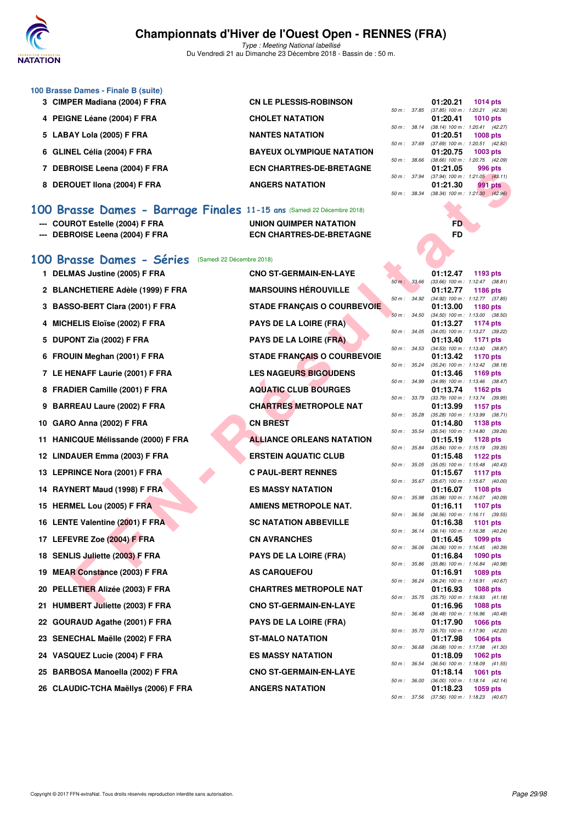

Type : Meeting National labellisé Du Vendredi 21 au Dimanche 23 Décembre 2018 - Bassin de : 50 m.

| 100 Brasse Dames - Finale B (suite) |  |  |  |
|-------------------------------------|--|--|--|
|-------------------------------------|--|--|--|

- 3 CIMPER Madiana (2004) F FRA CN LE PLESSIS-ROBINSON
- **4 PEIGNE Léane (2004) F FRA CHOLET NATATION 01:20.41 1010 pts**
- 
- 
- 
- 

| 0 DEROUET IIUIIA (2004) F FRA<br>ANGERS NATATION<br>100 Brasse Dames - Barrage Finales 11-15 ans (Samedi 22 Décembre 2018) |  |  |  |  |  |  |  |
|----------------------------------------------------------------------------------------------------------------------------|--|--|--|--|--|--|--|
|                                                                                                                            |  |  |  |  |  |  |  |

- **--- COUROT Estelle (2004) F FRA UNION QUIMPER NATATION FD**
- **--- DEBROISE Leena (2004) F FRA ECN CHARTRES-DE-BRETAGNE FD**
- 5 LABAY Lola (2005) F FRA NANTES NATATION **6 GLINEL Célia (2004) F FRA BAYEUX OLYMPIQUE NATATION 01:20.75 1003 pts** 7 DEBROISE Leena (2004) F FRA **ECN CHARTRES-DE-BRETAGNE 8 DEROUET IIona (2004) F FRA** ANGERS NATATION

|              |              | 01:20.21          | 1014 pts                            |
|--------------|--------------|-------------------|-------------------------------------|
|              | 50 m : 37.85 |                   | $(37.85)$ 100 m : 1:20.21 $(42.36)$ |
|              |              | 01:20.41 1010 pts |                                     |
| 50 m : 38.14 |              |                   | $(38.14)$ 100 m : 1:20.41 $(42.27)$ |
|              |              | 01:20.51 1008 pts |                                     |
| 50 m: 37.69  |              |                   | $(37.69)$ 100 m : 1:20.51 $(42.82)$ |
|              |              | 01:20.75 1003 pts |                                     |
| 50 m : 38.66 |              |                   | $(38.66)$ 100 m : 1:20.75 $(42.09)$ |
|              |              |                   |                                     |
|              |              | 01:21.05          | 996 pts                             |
| 50 m : 37.94 |              |                   | $(37.94)$ 100 m : 1:21.05 $(43.11)$ |
|              |              | 01:21.30 991 pts  |                                     |
|              | 50 m : 38.34 |                   | $(38.34)$ 100 m : 1:21.30 $(42.96)$ |

### **[100 Brasse Dames - Séries](http://www.ffnatation.fr/webffn/resultats.php?idact=nat&go=epr&idcpt=55947&idepr=22)** (Samedi 22 Décembre 2018)

- 2 BLANCHETIERE Adèle (1999) F FRA MARSOUINS HÉROUVILLE
- 
- 
- 
- 
- 
- 
- 10 GARO Anna (2002) F FRA **CN BREST**
- **11 HANICQUE Mélissande (2000) F FRA ALLIANCE ORLEANS NATATION**
- **12 LINDAUER Emma (2003) F FRA ERSTEIN AQUATIC CLUB**
- 13 LEPRINCE Nora (2001) F FRA **C PAUL-BERT RENNES**
- **14 RAYNERT Maud (1998) F FRA ES MASSY NATATION**
- 
- **16 LENTE Valentine (2001) F FRA SC NATATION ABBEVILLE**
- **17 LEFEVRE Zoe (2004) F FRA CN AVRANCHES**
- 18 SENLIS Juliette (2003) F FRA PAYS DE LA LOIRE (FRA)
- 19 MEAR Constance (2003) F FRA AS CARQUEFOU
- **20 PELLETIER Alizée (2003) F FRA CHARTRES METROPOLE NAT**
- **21 HUMBERT Juliette (2003) F FRA CNO ST-GERMAIN-EN-LAYE 01:16.96 1088 pts**
- 22 GOURAUD Agathe (2001) F FRA PAYS DE LA LOIRE (FRA)
- 23 SENECHAL Maëlle (2002) F FRA ST-MALO NATATION
- 24 VASQUEZ Lucie (2004) F FRA ES MASSY NATATION
- **25 BARBOSA Manoella (2002) F FRA CNO ST-GERMAIN-EN-LAYE 01:18.14 1061 pts**
- **26 CLAUDIC-TCHA Maëllys (2006) F FRA ANGERS NATATION**

**FOLLOW THE CAN CHE CONFIRM CONFIDENTIAL CONFIDENTIAL CONFIDENTIAL CONFIDENTIAL CONFIDENTIAL CONFIDENTIAL CONFIDENTIAL CONFIDENTIAL CONFIDENTIAL CONFIDENTIAL CONFIDENTIAL CONFIDENTIAL CONFIDENTIAL CONFIDENTIAL CONFIDENTIAL 1 DELMAS Justine (2005) F FRA CNO ST-GERMAIN-EN-LAYE 01:12.47 1193 pts 3 BASSO-BERT Clara (2001) F FRA STADE FRANÇAIS O COURBEVOIE** 4 MICHELIS Eloïse (2002) F FRA PAYS DE LA LOIRE (FRA) 5 DUPONT Zia (2002) F FRA PAYS DE LA LOIRE (FRA) **6 FROUIN Meghan (2001) F FRA STADE FRANÇAIS O COURBEVOIE 01:13.42 1170 pts** 7 LE HENAFF Laurie (2001) F FRA LES NAGEURS BIGOUDENS 8 FRADIER Camille (2001) F FRA AQUATIC CLUB BOURGES 9 BARREAU Laure (2002) F FRA **CHARTRES METROPOLE NAT 15 HERMEL Lou (2005) F FRA AMIENS METROPOLE NAT.** 

|          |       | U I . I Z.47      | 1199 pm            |
|----------|-------|-------------------|--------------------|
| $50 m$ : | 33.66 | $(33.66) 100 m$ : | 1:12.47<br>(38.81) |
|          |       | 01:12.77          | 1186 pts           |
| $50 m$ : | 34.92 | $(34.92)$ 100 m : | 1:12.77<br>(37.85) |
|          |       | 01:13.00          | 1180 pts           |
| $50 m$ : | 34.50 | $(34.50)$ 100 m : | 1:13.00<br>(38.50) |
|          |       | 01:13.27          | 1174 pts           |
| $50 m$ : | 34.05 | $(34.05)$ 100 m : | 1:13.27<br>(39.22) |
|          |       | 01:13.40          | 1171<br>pts        |
| $50 m$ : | 34.53 | $(34.53) 100 m$ : | 1:13.40<br>(38.87) |
|          |       | 01:13.42          | 1170 pts           |
| $50 m$ : | 35.24 | $(35.24) 100 m$ : | 1:13.42<br>(38.18) |
|          |       | 01:13.46          | 1169 pts           |
| $50 m$ : | 34.99 | (34.99) 100 m :   | 1:13.46<br>(38.47) |
|          |       | 01:13.74          | 1162 pts           |
| $50 m$ : | 33.79 | $(33.79) 100 m$ : | 1:13.74<br>(39.95) |
|          |       | 01:13.99          | 1157<br>pts        |
| $50 m$ : | 35.28 | $(35.28) 100 m$ : | 1:13.99<br>(38.71) |
|          |       | 01:14.80          | 1138 pts           |
| $50 m$ : | 35.54 | $(35.54) 100 m$ : | 1:14.80<br>(39.26) |
|          |       | 01:15.19          | 1128 pts           |
| $50 m$ : | 35.84 | $(35.84) 100 m$ : | 1:15.19<br>(39.35) |
|          |       | 01:15.48          | 1122 pts           |
| $50 m$ : | 35.05 | $(35.05) 100 m$ : | 1:15.48<br>(40.43) |
|          |       | 01:15.67          | 1117 pts           |
| $50 m$ : | 35.67 | $(35.67) 100 m$ : | 1:15.67<br>(40.00) |
|          |       | 01:16.07          | 1108 pts           |
| $50 m$ : | 35.98 | $(35.98) 100 m$ : | 1:16.07<br>(40.09) |
|          |       | 01:16.11          | 1107<br>pts        |
| $50 m$ : | 36.56 | $(36.56) 100 m$ : | 1:16.11<br>(39.55) |
|          |       | 01:16.38          | 1101<br>pts        |
| $50 m$ : | 36.14 | $(36.14) 100 m$ : | 1:16.38<br>(40.24) |
|          |       | 01:16.45          | 1099 pts           |
| $50 m$ : | 36.06 | $(36.06) 100 m$ : | 1:16.45<br>(40.39) |
|          |       | 01:16.84          | 1090 pts           |
| $50 m$ : | 35.86 | $(35.86) 100 m$ : | 1:16.84<br>(40.98) |
|          |       | 01:16.91          | 1089 pts           |
| $50 m$ : | 36.24 | $(36.24) 100 m$ : | 1:16.91<br>(40.67) |
|          |       | 01:16.93          | 1088 pts           |
| $50 m$ : | 35.75 | $(35.75)$ 100 m : | 1:16.93<br>(41.18) |
|          |       | 01:16.96          | 1088 pts           |
| $50 m$ : | 36.48 | $(36.48) 100 m$ : | 1:16.96<br>(40.48) |
|          |       | 01:17.90          | 1066 pts           |
| $50 m$ : | 35.70 | $(35.70)$ 100 m : | 1:17.90<br>(42.20) |
|          |       | 01:17.98          | 1064 pts           |
| $50 m$ : | 36.68 | $(36.68) 100 m$ : | 1:17.98<br>(41.30) |
|          |       | 01:18.09          | 1062 pts           |
| $50 m$ : | 36.54 | $(36.54) 100 m$ : | 1:18.09<br>(41.55) |
|          |       | 01:18.14          | 1061 pts           |
| $50 m$ : | 36.00 | (36.00) 100 m :   | 1:18.14<br>(42.14) |
|          |       | 01:18.23          | 1059 pts           |
| 50 m :   | 37.56 | $(37.56) 100 m$ : | 1:18.23<br>(40.67) |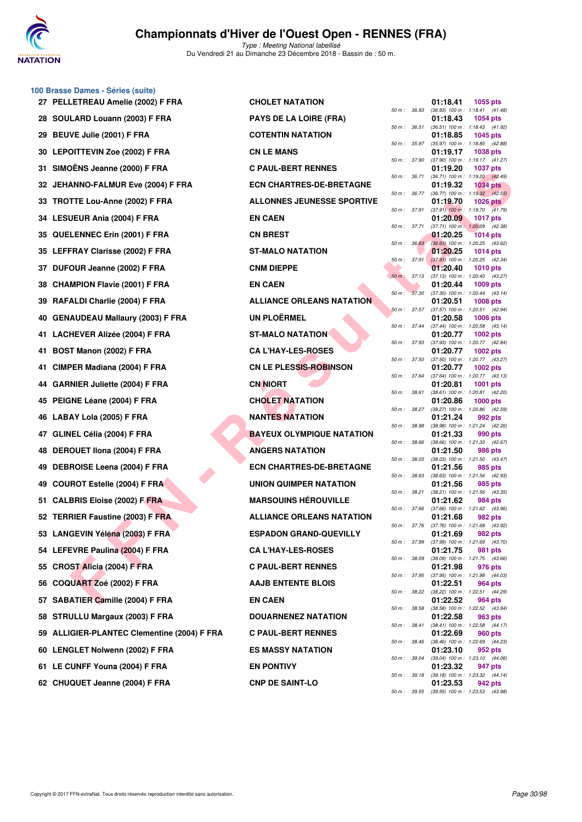

**100 Brasse Dames - Séries (suite)**

## **Championnats d'Hiver de l'Ouest Open - RENNES (FRA)**

|     | 27 PELLETREAU Amelie (2002) F FRA           | <b>CHOLET NATATION</b>            |                |              | 01:18.41 | 1055 pts                                               |
|-----|---------------------------------------------|-----------------------------------|----------------|--------------|----------|--------------------------------------------------------|
|     | 28 SOULARD Louann (2003) F FRA              | <b>PAYS DE LA LOIRE (FRA)</b>     | 50 m : 36.93   |              | 01:18.43 | $(36.93)$ 100 m : 1:18.41 $(41.48)$<br>1054 pts        |
|     | 29 BEUVE Julie (2001) F FRA                 | <b>COTENTIN NATATION</b>          | 50 m: 36.51    |              | 01:18.85 | (36.51) 100 m: 1:18.43 (41.92)<br>1045 pts             |
|     | 30 LEPOITTEVIN Zoe (2002) F FRA             | <b>CN LE MANS</b>                 |                | 50 m : 35.97 | 01:19.17 | (35.97) 100 m: 1:18.85 (42.88)<br>1038 pts             |
| 31. | SIMOËNS Jeanne (2000) F FRA                 | <b>C PAUL-BERT RENNES</b>         | 50 m : 37.90   |              | 01:19.20 | (37.90) 100 m: 1:19.17 (41.27)<br><b>1037 pts</b>      |
|     | 32 JEHANNO-FALMUR Eve (2004) F FRA          | <b>ECN CHARTRES-DE-BRETAGNE</b>   |                | 50 m : 36.71 | 01:19.32 | (36.71) 100 m: 1:19.20 (42.49)<br><b>1034 pts</b>      |
|     | 33 TROTTE Lou-Anne (2002) F FRA             | <b>ALLONNES JEUNESSE SPORTIVE</b> |                | 50 m : 36.77 | 01:19.70 | $(36.77)$ 100 m : 1:19.32 $(42.55)$<br>$1026$ pts      |
|     | 34 LESUEUR Ania (2004) F FRA                | <b>EN CAEN</b>                    | 50 m : 37.91   |              | 01:20.09 | $(37.91)$ 100 m : 1:19.70 $(41.79)$<br><b>1017 pts</b> |
|     | 35 QUELENNEC Erin (2001) F FRA              | <b>CN BREST</b>                   | 50 m : 37.71   |              | 01:20.25 | $(37.71)$ 100 m : 1:20.09 $(42.38)$<br>1014 pts        |
|     | 35 LEFFRAY Clarisse (2002) F FRA            | <b>ST-MALO NATATION</b>           |                | 50 m: 36.63  | 01:20.25 | (36.63) 100 m : 1:20.25 (43.62)<br>1014 pts            |
|     | 37 DUFOUR Jeanne (2002) F FRA               | <b>CNM DIEPPE</b>                 |                | 50 m: 37.91  | 01:20.40 | $(37.91)$ 100 m : 1:20.25 $(42.34)$<br><b>1010 pts</b> |
|     |                                             |                                   | $50 m$ : 37.13 |              |          | $(37.13)$ 100 m : 1:20.40 $(43.27)$                    |
|     | 38 CHAMPION Flavie (2001) F FRA             | <b>EN CAEN</b>                    |                | 50 m: 37.30  | 01:20.44 | 1009 pts<br>$(37.30)$ 100 m : 1:20.44 $(43.14)$        |
|     | 39 RAFALDI Charlie (2004) F FRA             | <b>ALLIANCE ORLEANS NATATION</b>  | 50 m: 37.57    |              | 01:20.51 | <b>1008 pts</b><br>(37.57) 100 m: 1:20.51 (42.94)      |
|     | 40 GENAUDEAU Mallaury (2003) F FRA          | <b>UN PLOËRMEL</b>                |                | 50 m: 37.44  | 01:20.58 | <b>1006 pts</b><br>(37.44) 100 m: 1:20.58 (43.14)      |
|     | 41 LACHEVER Alizée (2004) F FRA             | <b>ST-MALO NATATION</b>           | 50 m : 37.93   |              | 01:20.77 | 1002 pts<br>(37.93) 100 m : 1:20.77 (42.84)            |
| 41. | BOST Manon (2002) F FRA                     | <b>CA L'HAY-LES-ROSES</b>         |                | 50 m : 37.50 | 01:20.77 | 1002 pts<br>(37.50) 100 m: 1:20.77 (43.27)             |
| 41. | CIMPER Madiana (2004) F FRA                 | CN LE PLESSIS-ROBINSON            |                | 50 m : 37.64 | 01:20.77 | <b>1002 pts</b><br>(37.64) 100 m: 1:20.77 (43.13)      |
|     | 44 GARNIER Juliette (2004) F FRA            | <b>CN NIORT</b>                   | 50 m : 38.61   |              | 01:20.81 | 1001 pts<br>$(38.61)$ 100 m : 1:20.81 $(42.20)$        |
|     | 45 PEIGNE Léane (2004) F FRA                | <b>CHOLET NATATION</b>            |                |              | 01:20.86 | $1000$ pts                                             |
|     | 46 LABAY Lola (2005) F FRA                  | <b>NANTES NATATION</b>            | 50 m : 38.27   |              | 01:21.24 | (38.27) 100 m : 1:20.86 (42.59)<br>992 pts             |
| 47  | GLINEL Célia (2004) F FRA                   | <b>BAYEUX OLYMPIQUE NATATION</b>  | 50 m : 38.98   |              | 01:21.33 | (38.98) 100 m: 1:21.24 (42.26)<br>990 pts              |
| 48. | DEROUET IIona (2004) F FRA                  | <b>ANGERS NATATION</b>            | 50 m : 38.66   |              | 01:21.50 | (38.66) 100 m: 1:21.33 (42.67)<br>986 pts              |
|     | 49 DEBROISE Leena (2004) F FRA              | <b>ECN CHARTRES-DE-BRETAGNE</b>   | 50 m : 38.03   |              | 01:21.56 | $(38.03)$ 100 m : 1:21.50 $(43.47)$<br>985 pts         |
| 49. | <b>COUROT Estelle (2004) F FRA</b>          | UNION QUIMPER NATATION            | 50 m : 38.63   |              | 01:21.56 | $(38.63)$ 100 m : 1:21.56 $(42.93)$<br>985 pts         |
|     | 51 CALBRIS Eloise (2002) F FRA              | <b>MARSOUINS HÉROUVILLE</b>       |                | 50 m : 38.21 | 01:21.62 | $(38.21)$ 100 m : 1:21.56 $(43.35)$<br>984 pts         |
|     | 52 TERRIER Faustine (2003) F FRA            | <b>ALLIANCE ORLEANS NATATION</b>  | 50 m : 37.66   |              | 01:21.68 | $(37.66)$ 100 m : 1:21.62 $(43.96)$<br>982 pts         |
|     | 53 LANGEVIN Yéléna (2003) F FRA             | <b>ESPADON GRAND-QUEVILLY</b>     | 50 m : 37.76   |              | 01:21.69 | (37.76) 100 m: 1:21.68 (43.92)<br>982 pts              |
|     | 54 LEFEVRE Paulina (2004) F FRA             | <b>CA L'HAY-LES-ROSES</b>         |                | 50 m : 37.99 | 01:21.75 | $(37.99)$ 100 m : 1:21.69 $(43.70)$<br>981 pts         |
|     | 55 CROST Alicia (2004) F FRA                | <b>C PAUL-BERT RENNES</b>         |                | 50 m : 38.09 | 01:21.98 | (38.09) 100 m : 1:21.75 (43.66)<br>976 pts             |
|     | 56 COQUART Zoé (2002) F FRA                 | <b>AAJB ENTENTE BLOIS</b>         |                |              | 01:22.51 | 50 m: 37.95 (37.95) 100 m: 1:21.98 (44.03)             |
|     |                                             |                                   |                | 50 m : 38.22 |          | <b>964 pts</b><br>(38.22) 100 m: 1:22.51 (44.29)       |
|     | 57 SABATIER Camille (2004) F FRA            | <b>EN CAEN</b>                    | 50 m : 38.58   |              | 01:22.52 | 964 pts<br>$(38.58)$ 100 m : 1:22.52 $(43.94)$         |
|     | 58 STRULLU Margaux (2003) F FRA             | <b>DOUARNENEZ NATATION</b>        |                | 50 m : 38.41 | 01:22.58 | 963 pts<br>(38.41) 100 m: 1:22.58 (44.17)              |
|     | 59 ALLIGIER-PLANTEC Clementine (2004) F FRA | <b>C PAUL-BERT RENNES</b>         |                | 50 m : 38.46 | 01:22.69 | 960 pts<br>(38.46) 100 m: 1:22.69 (44.23)              |
|     | 60 LENGLET Nolwenn (2002) F FRA             | <b>ES MASSY NATATION</b>          |                | 50 m : 39.04 | 01:23.10 | <b>952 pts</b><br>(39.04) 100 m : 1:23.10 (44.06)      |
|     | 61 LE CUNFF Youna (2004) F FRA              | <b>EN PONTIVY</b>                 |                | 50 m : 39.18 | 01:23.32 | 947 pts<br>(39.18) 100 m: 1:23.32 (44.14)              |
|     | 62 CHUQUET Jeanne (2004) F FRA              | <b>CNP DE SAINT-LO</b>            |                |              | 01:23.53 | 942 pts                                                |

| <b>CHOLET NATATION</b>            |
|-----------------------------------|
| <b>PAYS DE LA LOIRE (FRA)</b>     |
| <b>COTENTIN NATATION</b>          |
| <b>CN LE MANS</b>                 |
| <b>C PAUL-BERT RENNES</b>         |
| <b>ECN CHARTRES-DE-BRETAGNE</b>   |
| <b>ALLONNES JEUNESSE SPORTIVE</b> |
| <b>EN CAEN</b>                    |
| <b>CN BREST</b>                   |
| ST-MALO NATATION                  |
| <b>CNM DIEPPE</b>                 |
| <b>EN CAEN</b>                    |
| <b>ALLIANCE ORLEANS NATATION</b>  |
| <b>UN PLOËRMEL</b>                |
| <b>ST-MALO NATATION</b>           |
| <b>CA L'HAY-LES-ROSES</b>         |
| <b>CN LE PLESSIS-ROBINSON</b>     |
| CN NIORT                          |
| <b>CHOLET NATATION</b>            |
| <b>NANTES NATATION</b>            |
| <b>BAYEUX OLYMPIQUE NATATION</b>  |
| <b>ANGERS NATATION</b>            |
| <b>ECN CHARTRES-DE-BRETAGNE</b>   |
| <b>UNION QUIMPER NATATION</b>     |
| <b>MARSOUINS HÉROUVILLE</b>       |
| <b>ALLIANCE ORLEANS NATATION</b>  |
| <b>ESPADON GRAND-QUEVILLY</b>     |
| <b>CA L'HAY-LES-ROSES</b>         |
| <b>C PAUL-BERT RENNES</b>         |
| <b>AAJB ENTENTE BLOIS</b>         |
| <b>EN CAEN</b>                    |
| <b>DOUARNENEZ NATATION</b>        |
| <b>C PAUL-BERT RENNES</b>         |
| <b>ES MASSY NATATION</b>          |
| <b>EN PONTIVY</b>                 |
| <b>CNP DE SAINT-LO</b>            |

| $50 m$ : | 36.93 | 01:18.41<br>$(36.93) 100 m$ : | 1055 pts<br>1:18.41<br>(41.48)    |
|----------|-------|-------------------------------|-----------------------------------|
|          |       | 01:18.43                      | 1054 pts                          |
| $50 m$ : | 36.51 | $(36.51)$ 100 m :             | 1:18.43<br>(41.92)                |
|          |       | 01:18.85                      | 1045<br>pts                       |
| 50 m :   | 35.97 | $(35.97) 100 m$ :             | (42.88)<br>1:18.85                |
|          |       | 01:19.17                      | 1038<br>pts                       |
| $50 m$ : | 37.90 | $(37.90)$ 100 m :             | 1:19.17<br>(41.27)                |
|          |       | 01:19.20                      | 1037<br>pts                       |
| $50 m$ : | 36.71 | $(36.71)$ 100 m :             | 1:19.20<br>(42.49)                |
|          |       | 01:19.32                      | 1034<br>pts                       |
| 50 m :   | 36.77 | $(36.77)$ 100 m :             | 1:19.32<br>(42.55)                |
|          |       | 01:19.70                      | 1026<br>pts                       |
| $50 m$ : | 37.91 | $(37.91)$ 100 m :<br>01:20.09 | 1:19.70<br>(41.79)                |
| $50 m$ : | 37.71 | $(37.71)$ 100 m :             | 1017<br>pts<br>1:20.09<br>(42.38) |
|          |       | 01:20.25                      | 1014<br>pts                       |
| 50 m :   | 36.63 | $(36.63)$ 100 m :             | 1:20.25<br>(43.62)                |
|          |       | 01:20.25                      | 1014<br>pts                       |
| $50 m$ : | 37.91 | $(37.91)$ 100 m :             | 1:20.25<br>(42.34)                |
|          |       | 01:20.40                      | 1010<br>pts                       |
| $50 m$ : | 37.13 | $(37.13) 100 m$ :             | 1:20.40<br>(43.27)                |
|          |       | 01:20.44                      | 1009<br>pts                       |
| $50 m$ : | 37.30 | $(37.30)$ 100 m :             | 1:20.44<br>(43.14)                |
|          |       | 01:20.51                      | 1008 pts                          |
| 50 m :   | 37.57 | $(37.57)$ 100 m :             | 1:20.51<br>(42.94)                |
|          |       | 01:20.58                      | 1006<br>pts                       |
| $50 m$ : | 37.44 | $(37.44) 100 m$ :             | 1:20.58<br>(43.14)                |
|          |       | 01:20.77<br>$(37.93)$ 100 m : | 1002<br>pts                       |
| $50 m$ : | 37.93 | 01:20.77                      | 1:20.77<br>(42.84)<br>1002 pts    |
| $50 m$ : | 37.50 | $(37.50)$ 100 m :             | 1:20.77<br>(43.27)                |
|          |       | 01:20.77                      | 1002 pts                          |
| $50 m$ : | 37.64 | $(37.64) 100 m$ :             | (43.13)<br>1:20.77                |
|          |       | 01:20.81                      | 1001<br>pts                       |
| $50 m$ : | 38.61 | $(38.61)$ 100 m :             | 1:20.81<br>(42.20)                |
|          |       | 01:20.86                      | 1000 pts                          |
| $50 m$ : | 38.27 | (38.27) 100 m :               | 1:20.86<br>(42.59)                |
|          |       | 01:21.24                      | 992.<br>pts                       |
| 50 m :   | 38.98 | $(38.98) 100 m$ :             | 1:21.24<br>(42.26)                |
|          |       | 01:21.33                      | 990<br>pts                        |
| 50 m :   | 38.66 | $(38.66) 100 m$ :             | 1:21.33<br>(42.67)                |
| $50 m$ : | 38.03 | 01:21.50<br>$(38.03)$ 100 m : | 986<br>pts<br>(43.47)<br>1:21.50  |
|          |       | 01:21.56                      | 985<br>pts                        |
| 50 m :   | 38.63 | $(38.63) 100 m$ :             | 1:21.56<br>(42.93)                |
|          |       | 01:21.56                      | 985<br>pts                        |
| $50 m$ : | 38.21 | $(38.21)$ 100 m :             | 1:21.56<br>(43.35)                |
|          |       | 01:21.62                      | 984<br>pts                        |
| $50 m$ : | 37.66 | $(37.66)$ 100 m :             | 1:21.62<br>(43.96)                |
|          |       | 01:21.68                      | 982<br>pts                        |
| $50 m$ : | 37.76 | $(37.76) 100 m$ :             | 1:21.68<br>(43.92)                |
|          |       | 01:21.69                      | 982 pts                           |
| $50 m$ : | 37.99 | $(37.99)$ 100 m :<br>01:21.75 | 1:21.69<br>(43.70)                |
| $50 m$ : | 38.09 | $(38.09) 100 m$ :             | 981 pts<br>1:21.75<br>(43.66)     |
|          |       | 01:21.98                      | 976 pts                           |
| $50 m$ : | 37.95 | $(37.95)$ 100 m :             | 1:21.98<br>(44.03)                |
|          |       | 01:22.51                      | 964 pts                           |
| $50 m$ : | 38.22 | $(38.22)$ 100 m :             | 1:22.51<br>(44.29)                |
|          |       | 01:22.52                      | 964 pts                           |
| $50 m$ : | 38.58 | $(38.58) 100 m$ :             | 1:22.52<br>(43.94)                |
|          |       | 01:22.58                      | 963 pts                           |
| $50 m$ : | 38.41 | $(38.41) 100 m$ :             | 1:22.58<br>(44.17)                |
|          |       | 01:22.69                      | <b>960 pts</b>                    |
| $50 m$ : | 38.46 | $(38.46) 100 m$ :             | 1:22.69<br>(44.23)                |
|          |       | 01:23.10                      | 952 pts                           |
| $50 m$ : | 39.04 | $(39.04) 100 m$ :             | 1:23.10<br>(44.06)                |
| $50 m$ : | 39.18 | 01:23.32<br>$(39.18) 100 m$ : | 947 pts<br>1:23.32<br>(44.14)     |
|          |       | 01:23.53                      | 942 pts                           |
| $50 m$ : | 39.55 | $(39.55)$ 100 m :             | (43.98)<br>1:23.53                |
|          |       |                               |                                   |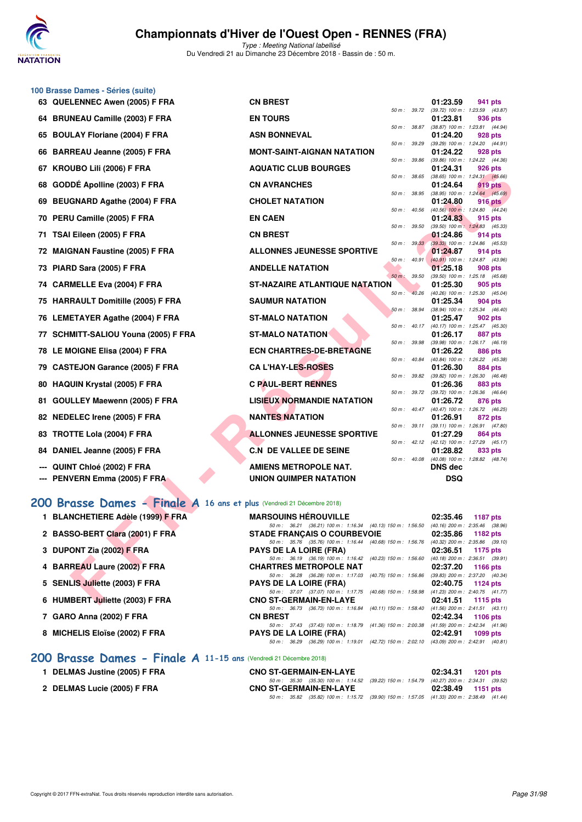

Type : Meeting National labellisé Du Vendredi 21 au Dimanche 23 Décembre 2018 - Bassin de : 50 m.

|    | 100 Brasse Dames - Séries (suite)                                      |                                                                                                    |                   |                                                          |                                                       |
|----|------------------------------------------------------------------------|----------------------------------------------------------------------------------------------------|-------------------|----------------------------------------------------------|-------------------------------------------------------|
|    | 63 QUELENNEC Awen (2005) F FRA                                         | <b>CN BREST</b>                                                                                    |                   | 01:23.59                                                 | 941 pts                                               |
| 64 | <b>BRUNEAU Camille (2003) F FRA</b>                                    | <b>EN TOURS</b>                                                                                    | 50 m : 39.72      | 01:23.81                                                 | (39.72) 100 m: 1:23.59 (43.87)<br>936 pts             |
| 65 | <b>BOULAY Floriane (2004) F FRA</b>                                    | <b>ASN BONNEVAL</b>                                                                                | 50 m : 38.87      | (38.87) 100 m: 1:23.81 (44.94)<br>01:24.20               | 928 pts                                               |
| 66 | BARREAU Jeanne (2005) F FRA                                            | <b>MONT-SAINT-AIGNAN NATATION</b>                                                                  | 50 m : 39.29      | 01:24.22                                                 | (39.29) 100 m: 1:24.20 (44.91)<br>928 pts             |
| 67 | KROUBO Lili (2006) F FRA                                               | <b>AQUATIC CLUB BOURGES</b>                                                                        | 50 m : 39.86      | 01:24.31                                                 | (39.86) 100 m: 1:24.22 (44.36)<br>926 pts             |
| 68 | GODDE Apolline (2003) F FRA                                            | <b>CN AVRANCHES</b>                                                                                | 50 m : 38.65      | $(38.65)$ 100 m : 1:24.31 $(45.66)$<br>01:24.64          | 919 pts                                               |
| 69 | <b>BEUGNARD Agathe (2004) F FRA</b>                                    | <b>CHOLET NATATION</b>                                                                             | 50 m : 38.95      | 01:24.80                                                 | $(38.95)$ 100 m : 1:24.64 $(45.69)$<br><b>916 pts</b> |
| 70 | PERU Camille (2005) F FRA                                              | <b>EN CAEN</b>                                                                                     | 50 m: 40.56       | $(40.56)$ 100 m : 1:24.80 $(44.24)$<br>01:24.83          | 915 pts                                               |
| 71 | TSAI Eileen (2005) F FRA                                               | <b>CN BREST</b>                                                                                    | 50 m : 39.50      | 01:24.86                                                 | $(39.50)$ 100 m : 1:24.83 $(45.33)$<br>914 pts        |
| 72 | <b>MAIGNAN Faustine (2005) F FRA</b>                                   | <b>ALLONNES JEUNESSE SPORTIVE</b>                                                                  | 50 m: 39.33       | 01:24.87                                                 | (39.33) 100 m : 1:24.86 (45.53)<br>914 pts            |
| 73 | PIARD Sara (2005) F FRA                                                | <b>ANDELLE NATATION</b>                                                                            | 50 m: 40.91       | 01:25.18                                                 | $(40.91)$ 100 m : 1:24.87 $(43.96)$<br>908 pts        |
| 74 | <b>CARMELLE Eva (2004) F FRA</b>                                       | <b>ST-NAZAIRE ATLANTIQUE NATATION</b>                                                              | $50 m$ :<br>39.50 | (39.50) 100 m: 1:25.18 (45.68)<br>01:25.30               | 905 pts                                               |
|    |                                                                        |                                                                                                    | 40.26<br>$50 m$ : | (40.26) 100 m: 1:25.30 (45.04)                           |                                                       |
|    | 75 HARRAULT Domitille (2005) F FRA                                     | <b>SAUMUR NATATION</b>                                                                             | 50 m: 38.94       | 01:25.34                                                 | 904 pts<br>(38.94) 100 m: 1:25.34 (46.40)             |
|    | 76 LEMETAYER Agathe (2004) F FRA                                       | <b>ST-MALO NATATION</b>                                                                            | 50 m : 40.17      | 01:25.47<br>(40.17) 100 m : 1:25.47 (45.30)              | 902 pts                                               |
| 77 | SCHMITT-SALIOU Youna (2005) F FRA                                      | <b>ST-MALO NATATION</b>                                                                            | 50 m : 39.98      | 01:26.17                                                 | 887 pts<br>(39.98) 100 m: 1:26.17 (46.19)             |
|    | 78 LE MOIGNE Elisa (2004) F FRA                                        | <b>ECN CHARTRES-DE-BRETAGNE</b>                                                                    | 50 m : 40.84      | 01:26.22                                                 | 886 pts<br>(40.84) 100 m: 1:26.22 (45.38)             |
| 79 | <b>CASTEJON Garance (2005) F FRA</b>                                   | <b>CA L'HAY-LES-ROSES</b>                                                                          |                   | 01:26.30                                                 | 884 pts                                               |
| 80 | <b>HAQUIN Krystal (2005) F FRA</b>                                     | <b>C PAUL-BERT RENNES</b>                                                                          | 50 m : 39.82      | 01:26.36                                                 | $(39.82)$ 100 m : 1:26.30 $(46.48)$<br>883 pts        |
| 81 | GOULLEY Maewenn (2005) F FRA                                           | LISIEUX NORMANDIE NATATION                                                                         | 50 m : 39.72      | (39.72) 100 m: 1:26.36 (46.64)<br>01:26.72               | 876 pts                                               |
| 82 | NEDELEC Irene (2005) F FRA                                             | <b>NANTES NATATION</b>                                                                             |                   | 50 m : 40.47 (40.47) 100 m : 1:26.72 (46.25)<br>01:26.91 | 872 pts                                               |
| 83 | TROTTE Lola (2004) F FRA                                               | <b>ALLONNES JEUNESSE SPORTIVE</b>                                                                  | 50 m : 39.11      | $(39.11)$ 100 m : 1:26.91 $(47.80)$<br>01:27.29          | 864 pts                                               |
| 84 | DANIEL Jeanne (2005) F FRA                                             | <b>C.N DE VALLEE DE SEINE</b>                                                                      |                   | 50 m: 42.12 (42.12) 100 m: 1:27.29 (45.17)<br>01:28.82   | 833 pts                                               |
|    | QUINT Chloé (2002) F FRA                                               | AMIENS METROPOLE NAT.                                                                              | 50 m: 40.08       | <b>DNS</b> dec                                           | (40.08) 100 m: 1:28.82 (48.74)                        |
|    | PENVERN Emma (2005) F FRA                                              | UNION QUIMPER NATATION                                                                             |                   | <b>DSQ</b>                                               |                                                       |
|    | 200 Brasse Dames - Finale A 16 ans et plus (Vendredi 21 Décembre 2018) |                                                                                                    |                   |                                                          |                                                       |
|    |                                                                        |                                                                                                    |                   |                                                          |                                                       |
|    | 1 BLANCHETIERE Adèle (1999) F FRA                                      | <b>MARSOUINS HÉROUVILLE</b><br>50 m: 36.21 (36.21) 100 m: 1:16.34 (40.13) 150 m: 1:56.50           |                   | 02:35.46<br>(40.16) 200 m : 2:35.46 (38.96)              | <b>1187 pts</b>                                       |
|    | 2 BASSO-BERT Clara (2001) F FRA                                        | <b>STADE FRANCAIS O COURBEVOIE</b><br>50 m : 35.76 (35.76) 100 m : 1:16.44 (40.68) 150 m : 1:56.76 |                   | 02:35.86<br>$(40.32)$ 200 m : 2:35.86 $(39.10)$          | <b>1182 pts</b>                                       |
|    | 3 DUPONT Zia (2002) F FRA                                              | <b>PAYS DE LA LOIRE (FRA)</b><br>50 m: 36.19 (36.19) 100 m: 1:16.42 (40.23) 150 m: 1:56.60         |                   | 02:36.51                                                 | 1175 pts<br>$(40.18)$ 200 m : 2:36.51 $(39.91)$       |
|    | 4 BARREAU Laure (2002) F FRA                                           | <b>CHARTRES METROPOLE NAT</b>                                                                      |                   | 02:37.20                                                 | <b>1166 pts</b>                                       |
|    | 5 SENLIS Juliette (2003) F FRA                                         | 50 m: 36.28 (36.28) 100 m: 1:17.03 (40.75) 150 m: 1:56.86<br><b>PAYS DE LA LOIRE (FRA)</b>         |                   | 02:40.75                                                 | (39.83) 200 m : 2:37.20 (40.34)<br>1124 pts           |
|    | 6 HUMBERT Juliette (2003) F FRA                                        | 50 m: 37.07 (37.07) 100 m: 1:17.75 (40.68) 150 m: 1:58.98<br><b>CNO ST-GERMAIN-EN-LAYE</b>         |                   | $(41.23)$ 200 m : 2:40.75 $(41.77)$<br>02:41.51          | 1115 pts                                              |

# **[200 Brasse Dames - Finale A](http://www.ffnatation.fr/webffn/resultats.php?idact=nat&go=epr&idcpt=55947&idepr=23) 16 ans et plus (Vendredi 21 Décembre 2018)**<br>1 BLANCHETIERE Adèle (1999) E FRA MARSOUINS HÉROUVILLE

- 
- 2 BASSO-BERT Clara (2001) F FRA
- 
- 
- 
- **6 HUMBERT Juliette (2003) F FRA**
- **7 GARO Anna (2002) F FRA CN BREST 02:42.34 1106 pts**
- 

| 1 BLANCHETIERE Adèle (1999) F FRA | <b>MARSOUINS HÉROUVILLE</b>                                                                                                                                                                                               |          | 02:35.46 1187 pts                                        |
|-----------------------------------|---------------------------------------------------------------------------------------------------------------------------------------------------------------------------------------------------------------------------|----------|----------------------------------------------------------|
| 2 BASSO-BERT Clara (2001) F FRA   | 50 m : 36.21 (36.21) 100 m : 1:16.34 (40.13) 150 m : 1:56.50<br><b>STADE FRANÇAIS O COURBEVOIE</b>                                                                                                                        |          | $(40.16)$ 200 m : 2:35.46 $(38.96)$<br>02:35.86 1182 pts |
| 3 DUPONT Zia (2002) F FRA         | 50 m: 35.76 (35.76) 100 m: 1:16.44 (40.68) 150 m: 1:56.76 (40.32) 200 m: 2:35.86 (39.10)<br><b>PAYS DE LA LOIRE (FRA)</b>                                                                                                 |          | $02:36.51$ 1175 pts                                      |
| 4 BARREAU Laure (2002) F FRA      | 50 m: 36.19 (36.19) 100 m: 1:16.42 (40.23) 150 m: 1:56.60 (40.18) 200 m: 2:36.51 (39.91)<br><b>CHARTRES METROPOLE NAT</b><br>50 m : 36.28 (36.28) 100 m : 1:17.03 (40.75) 150 m : 1:56.86 (39.83) 200 m : 2:37.20 (40.34) |          | 02:37.20 1166 pts                                        |
| 5 SENLIS Juliette (2003) F FRA    | <b>PAYS DE LA LOIRE (FRA)</b><br>50 m: 37.07 (37.07) 100 m: 1:17.75 (40.68) 150 m: 1:58.98 (41.23) 200 m: 2:40.75 (41.77)                                                                                                 |          | 02:40.75 1124 pts                                        |
| 6 HUMBERT Juliette (2003) F FRA   | <b>CNO ST-GERMAIN-EN-LAYE</b><br>50 m: 36.73 (36.73) 100 m: 1:16.84 (40.11) 150 m: 1:58.40 (41.56) 200 m: 2:41.51 (43.11)                                                                                                 |          | $02:41.51$ 1115 pts                                      |
| 7 GARO Anna (2002) F FRA          | <b>CN BREST</b><br>50 m: 37.43 (37.43) 100 m: 1:18.79 (41.36) 150 m: 2:00.38 (41.59) 200 m: 2:42.34 (41.96)                                                                                                               | 02:42.34 | 1106 pts                                                 |
| 8 MICHELIS Eloïse (2002) F FRA    | <b>PAYS DE LA LOIRE (FRA)</b><br>50 m: 36.29 (36.29) 100 m: 1:19.01 (42.72) 150 m: 2:02.10 (43.09) 200 m: 2:42.91 (40.81)                                                                                                 |          | 02:42.91 1099 pts                                        |

### **[200 Brasse Dames - Finale A](http://www.ffnatation.fr/webffn/resultats.php?idact=nat&go=epr&idcpt=55947&idepr=23) 11-15 ans** (Vendredi 21 Décembre 2018)

- **1 DELMAS Justine (2005) F FRA**
- **2 DELMAS Lucie (2005) F FRA CNO ST-GERMAIN-EN-LAYE 02:38.49 1151 pts**

|  | <b>CNO ST-GERMAIN-EN-LAYE</b> |  |                                                                                             | 02:34.31 1201 pts |  |
|--|-------------------------------|--|---------------------------------------------------------------------------------------------|-------------------|--|
|  |                               |  | 50 m : 35.30 (35.30) 100 m : 1:14.52 (39.22) 150 m : 1:54.79 (40.27) 200 m : 2:34.31 (39.52 |                   |  |
|  | <b>CNO ST-GERMAIN-EN-LAYE</b> |  |                                                                                             | 02:38.49 1151 pts |  |
|  |                               |  | 50 m : 35.82 (35.82) 100 m : 1:15.72 (39.90) 150 m : 1:57.05 (41.33) 200 m : 2:38.49 (41.44 |                   |  |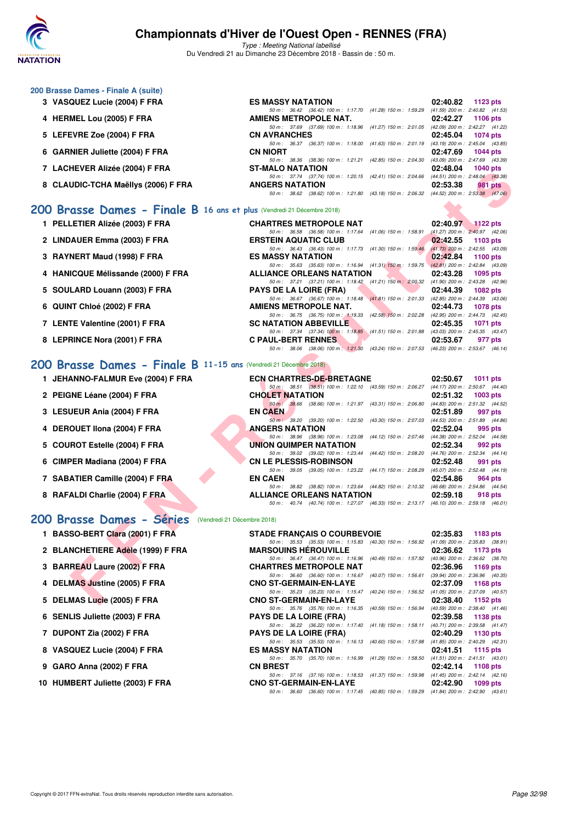

Type : Meeting National labellisé Du Vendredi 21 au Dimanche 23 Décembre 2018 - Bassin de : 50 m.

| 3 VASQUEZ Lucie (2004) F FRA        | <b>ES MASSY NATATION</b>                                                                 |                         | 02:40.82 | 1123 $pts$                          |
|-------------------------------------|------------------------------------------------------------------------------------------|-------------------------|----------|-------------------------------------|
|                                     | 50 m: 36.42 (36.42) 100 m: 1:17.70 (41.28) 150 m: 1:59.29                                |                         |          | $(41.59)$ 200 m : 2:40.82 $(41.53)$ |
| 4 HERMEL Lou (2005) F FRA           | <b>AMIENS METROPOLE NAT.</b>                                                             |                         |          | 02:42.27 1106 pts                   |
|                                     | 50 m: 37.69 (37.69) 100 m: 1:18.96 (41.27) 150 m: 2:01.05                                |                         |          | $(42.09)$ 200 m : 2:42.27 $(41.22)$ |
| 5 LEFEVRE Zoe (2004) F FRA          | <b>CN AVRANCHES</b>                                                                      |                         |          | 02:45.04 1074 pts                   |
|                                     | 50 m: 36.37 (36.37) 100 m: 1:18.00 (41.63) 150 m: 2:01.19                                |                         |          | $(43.19)$ 200 m : 2:45.04 $(43.85)$ |
| 6 GARNIER Juliette (2004) F FRA     | <b>CN NIORT</b>                                                                          |                         |          | 02:47.69 1044 pts                   |
|                                     | 50 m: 38.36 (38.36) 100 m: 1:21.21                                                       | (42.85) 150 m : 2:04.30 |          | $(43.09)$ 200 m : 2:47.69 $(43.39)$ |
| 7 LACHEVER Alizée (2004) F FRA      | <b>ST-MALO NATATION</b>                                                                  |                         | 02:48.04 | <b>1040 pts</b>                     |
|                                     | 50 m: 37.74 (37.74) 100 m: 1:20.15 (42.41) 150 m: 2:04.66                                |                         |          | $(44.51)$ 200 m : 2:48.04 $(43.38)$ |
| 8 CLAUDIC-TCHA Maëllys (2006) F FRA | <b>ANGERS NATATION</b>                                                                   |                         | 02:53.38 | 981 pts                             |
|                                     | 50 m: 38.62 (38.62) 100 m: 1:21.80 (43.18) 150 m: 2:06.32 (44.52) 200 m: 2:53.38 (47.06) |                         |          |                                     |

### **[200 Brasse Dames - Finale B](http://www.ffnatation.fr/webffn/resultats.php?idact=nat&go=epr&idcpt=55947&idepr=23) 16 ans et plus** (Vendredi 21 Décembre 2018)

**200 Brasse Dames - Finale A (suite)**

- **2 LINDAUER Emma (2003) F FRA** ERSTEIN AQUATIC CLUB **02:42.55 1103 pts**<br> **ERSTEIN AQUATIC CLUB 02:47.30** (41.30) 150 m: 1:52.48 (41.30) 150 m: 1:52.48 (41.73) 200 m: 2:42.55 (43.09)
- **3 RAYNERT Maud (1998) F FRA** ES MASSY NATATION 50m: 35.63 (35.63) 100 m: 1:16.94 (41.31) 150 m: 1:59.75 (42.81) 200 m: 2:42.84 (43.09)
- **4 HANICQUE Mélissande (2000) F FRA ALLIANCE ORLEANS NATATION** 02:43.28 **1095 pts**<br>  $\frac{50 \text{ m} \div 37.21}$  (37.21) 100 m: 1:18.42 (41.21) 150 m; 2:0.32 (41.90) 200 m: 2:43.28 (42.96)
- **5 SOULARD Louann (2003) F FRA** PAYS DE LA LOIRE (FRA) 02:44.39 1082 pts 67 (36.67) 100 m : 1:18.48 (41.81) 150 m : 2:01.33 (42.85) 200 m : 2:44.39 (43.06)
- **6 QUINT Chloé (2002) F FRA AMIENS METROPOLE NAT.** 02:44.73 **1078 pts**<br>  $\frac{60m}{30m}$  36.75 (36.75) 100 m; 419.33 (42.58) 150 m; 2:02.28 (42.95) 200 m; 2:44.73 (42.45)
- **7 LENTE Valentine (2001) F FRA SC NATATION ABBEVILLE 02:45.35 1071 pts**
- **8 LEPRINCE Nora (2001) F FRA C PAUL-BERT RENNES 02:53.67 977 pts**

### **[200 Brasse Dames - Finale B](http://www.ffnatation.fr/webffn/resultats.php?idact=nat&go=epr&idcpt=55947&idepr=23) 11-15 ans** (Vendredi 21 Décembre 2018)

- **1 JEHANNO-FALMUR Eve (2004) F FRA ECN CHARTRES-DE-BRETAGNE 02:50.67 1011 pts**
- **2 PEIGNE Léane (2004) F FRA CHOLET NATATION 02:51.32 1003 pts**
- **3 LESUEUR Ania (2004) F FRA EN CAEN EN CAEN 1997 per en CAEN 92:51.89**
- **4 DEROUET Ilona (2004) F FRA ANGERS NATATION 02:52.04 995 pts**
- **5 COUROT Estelle (2004) F FRA UNION QUIMPER NATATION 02:52.34 992 pts**
- **6 CIMPER Madiana (2004) F FRA CN LE PLESSIS-ROBINSON 02:52.48 991 pts**
- **7 SABATIER Camille (2004) F FRA EN CAEN 02:54.86 964 pts**
- **8 RAFALDI Charlie (2004) F FRA ALLIANCE ORLEANS NATATION 02:59.18 918 pts**

#### **[200 Brasse Dames - Séries](http://www.ffnatation.fr/webffn/resultats.php?idact=nat&go=epr&idcpt=55947&idepr=23)** (Vendredi 21 Décembre 2018)

| $\mu$ LAGHEVER AIRCC (2004) F FRA                                     | <b>I TIMALU INATATIUN</b><br><b>04.40.04</b><br>בוע ט <del>ו</del> יט ו                                                                                                                                                               |
|-----------------------------------------------------------------------|---------------------------------------------------------------------------------------------------------------------------------------------------------------------------------------------------------------------------------------|
| 8 CLAUDIC-TCHA Maëllys (2006) F FRA                                   | 50 m: 37.74 (37.74) 100 m: 1:20.15 (42.41) 150 m: 2:04.66 (44.51) 200 m: 2:48.04 (43.38)<br><b>ANGERS NATATION</b><br>02:53.38<br>981 pts<br>50 m: 38.62 (38.62) 100 m: 1:21.80 (43.18) 150 m: 2:06.32 (44.52) 200 m: 2:53.38 (47.06) |
| 00 Brasse Dames - Finale B 16 ans et plus (Vendredi 21 Décembre 2018) |                                                                                                                                                                                                                                       |
| 1 PELLETIER Alizée (2003) F FRA                                       | <b>CHARTRES METROPOLE NAT</b><br>02:40.97<br>$1122$ pts                                                                                                                                                                               |
|                                                                       | 50 m: 36.58 (36.58) 100 m: 1:17.64 (41.06) 150 m: 1:58.91 (41.27) 200 m: 2:40.97 (42.06)                                                                                                                                              |
| 2 LINDAUER Emma (2003) F FRA                                          | <b>ERSTEIN AQUATIC CLUB</b><br>02:42.55<br>1103 $pts$                                                                                                                                                                                 |
| 3 RAYNERT Maud (1998) F FRA                                           | 50 m: 36.43 (36.43) 100 m: 1:17.73 (41.30) 150 m: 1:59.46 (41.73) 200 m: 2:42.55 (43.09)<br><b>ES MASSY NATATION</b><br>02:42.84<br>1100 pts                                                                                          |
| 4 HANICQUE Mélissande (2000) F FRA                                    | 50 m: 35.63 (35.63) 100 m: 1:16.94 (41.31) 150 m: 1:59.75 (42.81) 200 m: 2:42.84 (43.09)<br><b>ALLIANCE ORLEANS NATATION</b><br>02:43.28<br>1095 pts                                                                                  |
| 5 SOULARD Louann (2003) F FRA                                         | 50 m: 37.21 (37.21) 100 m: 1:18.42 (41.21) 150 m: 2:00.32 (41.90) 200 m: 2:43.28 (42.96)<br><b>PAYS DE LA LOIRE (FRA)</b><br>02:44.39<br>1082 pts                                                                                     |
|                                                                       | 50 m: 36.67 (36.67) 100 m: 1:18.48 (41.81) 150 m: 2:01.33 (42.85) 200 m: 2:44.39 (43.06)                                                                                                                                              |
| 6 QUINT Chloé (2002) F FRA                                            | <b>AMIENS METROPOLE NAT.</b><br>02:44.73<br>1078 pts<br>50 m: 36.75 (36.75) 100 m: 1:19.33 (42.58) 150 m: 2:02.28 (42.95) 200 m: 2:44.73 (42.45)                                                                                      |
| 7 LENTE Valentine (2001) F FRA                                        | <b>SC NATATION ABBEVILLE</b><br>02:45.35<br>1071 pts                                                                                                                                                                                  |
| 8 LEPRINCE Nora (2001) F FRA                                          | 50 m: 37.34 (37.34) 100 m: 1:18.85 (41.51) 150 m: 2:01.88 (43.03) 200 m: 2:45.35 (43.47)<br><b>C PAUL-BERT RENNES</b><br>02:53.67<br>977 pts                                                                                          |
|                                                                       | 50 m: 38.06 (38.06) 100 m: 1:21.30 (43.24) 150 m: 2:07.53 (46.23) 200 m: 2:53.67 (46.14)                                                                                                                                              |
| 00 Brasse Dames - Finale B 11-15 ans (Vendredi 21 Décembre 2018)      |                                                                                                                                                                                                                                       |
| 1 JEHANNO-FALMUR Eve (2004) F FRA                                     | <b>ECN CHARTRES-DE-BRETAGNE</b><br>02:50.67<br>1011 $pts$                                                                                                                                                                             |
|                                                                       | 50 m: 38.51 (38.51) 100 m: 1:22.10 (43.59) 150 m: 2:06.27 (44.17) 200 m: 2:50.67 (44.40)                                                                                                                                              |
| 2 PEIGNE Léane (2004) F FRA                                           | <b>CHOLET NATATION</b><br>02:51.32<br>$1003$ pts<br>50 m: 38.66 (38.66) 100 m: 1:21.97 (43.31) 150 m: 2:06.80 (44.83) 200 m: 2:51.32 (44.52)                                                                                          |
| 3 LESUEUR Ania (2004) F FRA                                           | <b>EN CAEN</b><br>02:51.89<br>997 pts                                                                                                                                                                                                 |
| 4 DEROUET IIona (2004) F FRA                                          | 50 m · 39.20 (39.20) 100 m : 1:22.50 (43.30) 150 m : 2:07.03 (44.53) 200 m : 2:51.89 (44.86)<br><b>ANGERS NATATION</b><br>02:52.04<br>995 pts                                                                                         |
|                                                                       | 50 m: 38.96 (38.96) 100 m: 1:23.08 (44.12) 150 m: 2:07.46 (44.38) 200 m: 2:52.04 (44.58)                                                                                                                                              |
| 5 COUROT Estelle (2004) F FRA                                         | <b>UNION QUIMPER NATATION</b><br>02:52.34<br>992 pts                                                                                                                                                                                  |
| 6 CIMPER Madiana (2004) F FRA                                         | 50 m: 39.02 (39.02) 100 m: 1:23.44 (44.42) 150 m: 2:08.20 (44.76) 200 m: 2:52.34 (44.14)<br><b>CN LE PLESSIS-ROBINSON</b><br>02:52.48<br>991 pts                                                                                      |
|                                                                       | 50 m: 39.05 (39.05) 100 m: 1:23.22 (44.17) 150 m: 2:08.29 (45.07) 200 m: 2:52.48 (44.19)<br><b>EN CAEN</b>                                                                                                                            |
| 7 SABATIER Camille (2004) F FRA                                       | 02:54.86<br>964 pts<br>50 m: 38.82 (38.82) 100 m: 1:23.64 (44.82) 150 m: 2:10.32 (46.68) 200 m: 2:54.86 (44.54)                                                                                                                       |
| 8 RAFALDI Charlie (2004) F FRA                                        | <b>ALLIANCE ORLEANS NATATION</b><br>02:59.18<br>918 pts                                                                                                                                                                               |
|                                                                       | 50 m: 40.74 (40.74) 100 m: 1:27.07 (46.33) 150 m: 2:13.17 (46.10) 200 m: 2:59.18 (46.01)                                                                                                                                              |
| 00 Brasse Dames - Séries (Vendredi 21 Décembre 2018)                  |                                                                                                                                                                                                                                       |
| 1 BASSO-BERT Clara (2001) F FRA                                       | <b>STADE FRANÇAIS O COURBEVOIE</b><br>02:35.83<br>1183 pts                                                                                                                                                                            |
| 2 BLANCHETIERE Adèle (1999) F FRA                                     | 50 m: 35.53 (35.53) 100 m: 1:15.83 (40.30) 150 m: 1:56.92 (41.09) 200 m: 2:35.83 (38.91)<br><b>MARSOUINS HEROUVILLE</b><br>02:36.62                                                                                                   |
|                                                                       | 1173 pts<br>50 m: 36.47 (36.47) 100 m: 1:16.96 (40.49) 150 m: 1:57.92 (40.96) 200 m: 2:36.62 (38.70)                                                                                                                                  |
| 3 BARREAU Laure (2002) F FRA                                          | <b>CHARTRES METROPOLE NAT</b><br>02:36.96<br>1169 $pts$                                                                                                                                                                               |
| 4 DELMAS Justine (2005) F FRA                                         | 50 m: 36.60 (36.60) 100 m: 1:16.67 (40.07) 150 m: 1:56.61 (39.94) 200 m: 2:36.96 (40.35)<br><b>CNO ST-GERMAIN-EN-LAYE</b><br>02:37.09<br>1168 pts                                                                                     |
|                                                                       | 50 m: 35.23 (35.23) 100 m: 1:15.47 (40.24) 150 m: 1:56.52 (41.05) 200 m: 2:37.09 (40.57)                                                                                                                                              |
| 5 DELMAS Lucie (2005) F FRA                                           | <b>CNO ST-GERMAIN-EN-LAYE</b><br>02:38.40<br>1152 pts                                                                                                                                                                                 |
| 6 SENLIS Juliette (2003) F FRA                                        | 50 m: 35.76 (35.76) 100 m: 1:16.35 (40.59) 150 m: 1:56.94<br>$(40.59)$ 200 m : 2:38.40 $(41.46)$<br><b>PAYS DE LA LOIRE (FRA)</b><br>02:39.58<br><b>1138 pts</b>                                                                      |
| 7 DUPONT Zia (2002) F FRA                                             | 50 m: 36.22 (36.22) 100 m: 1:17.40 (41.18) 150 m: 1:58.11<br>(40.71) 200 m: 2:39.58 (41.47)<br><b>PAYS DE LA LOIRE (FRA)</b><br>02:40.29<br>1130 pts                                                                                  |
|                                                                       | 50 m: 35.53 (35.53) 100 m: 1:16.13 (40.60) 150 m: 1:57.98<br>(41.85) 200 m : 2:40.29 (42.31)                                                                                                                                          |
| 8 VASQUEZ Lucie (2004) F FRA                                          | <b>ES MASSY NATATION</b><br>02:41.51<br>1115 pts<br>50 m: 35.70 (35.70) 100 m: 1:16.99 (41.29) 150 m: 1:58.50<br>$(41.51)$ 200 m : 2:41.51 $(43.01)$                                                                                  |
| 9 GARO Anna (2002) F FRA                                              | <b>CN BREST</b><br>02:42.14<br><b>1108 pts</b>                                                                                                                                                                                        |
| 10 HUMBERT Juliette (2003) F FRA                                      | 50 m : 37.16 (37.16) 100 m : 1:18.53 (41.37) 150 m : 1:59.98<br>$(41.45)$ 200 m : 2:42.14 $(42.16)$<br><b>CNO ST-GERMAIN-EN-LAYE</b><br>02:42.90<br>1099 pts                                                                          |
|                                                                       | 50 m: 36.60 (36.60) 100 m: 1:17.45 (40.85) 150 m: 1:59.29 (41.84) 200 m: 2:42.90 (43.61)                                                                                                                                              |
|                                                                       |                                                                                                                                                                                                                                       |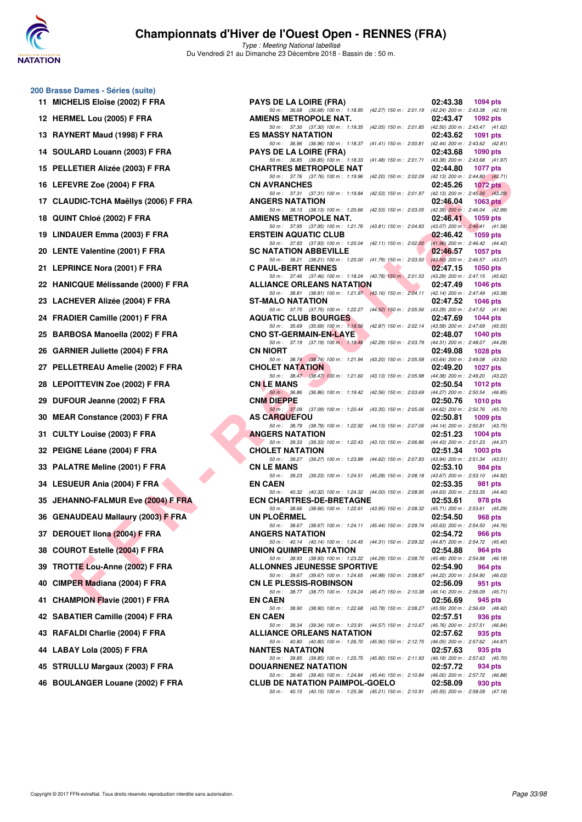

| 11   | 200 Brasse Dames - Séries (suite)<br><b>MICHELIS Eloïse (2002) F FRA</b> |
|------|--------------------------------------------------------------------------|
| 12   | HERMEL Lou (2005) F FRA                                                  |
|      | 13 RAYNERT Maud (1998) F FRA                                             |
| 14   | SOULARD Louann (2003) F FRA                                              |
|      | 15 PELLETIER Alizée (2003) F FRA                                         |
|      | 16 LEFEVRE Zoe (2004) F FRA                                              |
|      | 17 CLAUDIC-TCHA Maëllys (2006) F FRA                                     |
| 18   | QUINT Chloé (2002) F FRA                                                 |
| 19   | LINDAUER Emma (2003) F FRA                                               |
| 20 - | <b>LENTE Valentine (2001) F FRA</b>                                      |
| 21   | <b>LEPRINCE Nora (2001) F FRA</b>                                        |
|      | 22 HANICQUE Mélissande (2000) F FRA                                      |
|      | 23 LACHEVER Alizée (2004) F FRA                                          |
|      | 24 FRADIER Camille (2001) F FRA                                          |
|      | 25 BARBOSA Manoella (2002) F FRA                                         |
|      | 26 GARNIER Juliette (2004) F FRA                                         |
|      | 27 PELLETREAU Amelie (2002) F FRA                                        |
|      | 28 LEPOITTEVIN Zoe (2002) F FRA                                          |
| 29 - | DUFOUR Jeanne (2002) F FRA                                               |
|      | 30 MEAR Constance (2003) F FRA                                           |
| 31   | CULTY Louise (2003) F FRA                                                |
| 32   | PEIGNE Léane (2004) F FRA                                                |
|      | 33 PALATRE Meline (2001) F FRA                                           |
|      | 34 LESUEUR Ania (2004) F FRA                                             |
|      | 35 JEHANNO-FALMUR Eve (2004) F FRA                                       |
|      | 36 GENAUDEAU Mallaury (2003) F FRA                                       |
| 37   | <b>DEROUET Ilona (2004) F FRA</b>                                        |
| 38   | <b>COUROT Estelle (2004) F FRA</b>                                       |
| 39   | TROTTE Lou-Anne (2002) F FRA                                             |
| 40   | CIMPER Madiana (2004) F FRA                                              |
| 41   | <b>CHAMPION Flavie (2001) F FRA</b>                                      |
| 42   | <b>SABATIER Camille (2004) F FRA</b>                                     |
| 43   | RAFALDI Charlie (2004) F FRA                                             |
|      | 44 LABAY Lola (2005) F FRA                                               |
| 45   | <b>STRULLU Margaux (2003) F FRA</b>                                      |

| 11 MICHELIS Eloïse (2002) F FRA      | <b>PAYS DE LA LOIRE (FRA)</b>                                                                                                         | 02:43.38<br><b>1094 pts</b>                                                            |
|--------------------------------------|---------------------------------------------------------------------------------------------------------------------------------------|----------------------------------------------------------------------------------------|
| 12 HERMEL Lou (2005) F FRA           | 50 m: 36.68 (36.68) 100 m: 1:18.95 (42.27) 150 m: 2:01.19 (42.24) 200 m: 2:43.38 (42.19)<br>AMIENS METROPOLE NAT.                     | 02:43.47<br>1092 pts                                                                   |
| 13 RAYNERT Maud (1998) F FRA         | 50 m: 37.30 (37.30) 100 m: 1.19.35 (42.05) 150 m: 2:01.85 (42.50) 200 m: 2:43.47 (41.62)<br><b>ES MASSY NATATION</b>                  | 02:43.62<br>1091 pts                                                                   |
| 14 SOULARD Louann (2003) F FRA       | 50 m: 36.96 (36.96) 100 m: 1:18.37<br><b>PAYS DE LA LOIRE (FRA)</b>                                                                   | (41.41) 150 m : 2:00.81 (42.44) 200 m : 2:43.62 (42.81)<br>02:43.68<br>1090 pts        |
| 15 PELLETIER Alizée (2003) F FRA     | 50 m: 36.85 (36.85) 100 m: 1:18.33 (41.48) 150 m: 2:01.71 (43.38) 200 m: 2:43.68 (41.97)<br><b>CHARTRES METROPOLE NAT</b>             | 02:44.80<br><b>1077 pts</b>                                                            |
| 16 LEFEVRE Zoe (2004) F FRA          | 50 m: 37.76 (37.76) 100 m: 1:19.96 (42.20) 150 m: 2:02.09 (42.13) 200 m: 2:44.80 (42.71)<br><b>CN AVRANCHES</b>                       | 02:45.26<br>1072 pts                                                                   |
| 17 CLAUDIC-TCHA Maëllys (2006) F FRA | 50 m: 37.31 (37.31) 100 m: 1:19.84<br><b>ANGERS NATATION</b>                                                                          | (42.53) 150 m : 2:01.97 (42.13) 200 m : 2:45.26 (43.29)<br>02:46.04<br>1063 $pts$      |
| 18 QUINT Chloé (2002) F FRA          | 50 m: 38.13 (38.13) 100 m: 1:20.66<br>AMIENS METROPOLE NAT.                                                                           | $(42.53)$ 150 m : 2:03.05 $(42.39)$ 200 m : 2:46.04 $(42.99)$<br>02:46.41<br>1059 pts  |
| 19 LINDAUER Emma (2003) F FRA        | 50 m: 37.95 (37.95) 100 m: 1:21.76<br><b>ERSTEIN AQUATIC CLUB</b>                                                                     | (43.81) 150 m : 2:04.83 (43.07) 200 m : 2:46.41 (41.58)<br>02:46.42<br>1059 pts        |
| 20 LENTE Valentine (2001) F FRA      | 50 m: 37.93 (37.93) 100 m: 1:20.04 (42.11) 150 m: 2:02.00 (41.96) 200 m: 2:46.42 (44.42)<br><b>SC NATATION ABBEVILLE</b>              | 02:46.57<br>1057 pts                                                                   |
| 21 LEPRINCE Nora (2001) F FRA        | 50 m: 38.21 (38.21) 100 m: 1:20.00 (41.79) 150 m: 2:03.50 (43.50) 200 m: 2:46.57 (43.07)<br><b>C PAUL-BERT RENNES</b>                 | 02:47.15<br>1050 pts                                                                   |
| 22 HANICQUE Mélissande (2000) F FRA  | 50 m: 37.46 (37.46) 100 m: 1:18.24 (40.78) 150 m: 2:01.53 (43.29) 200 m: 2:47.15 (45.62)<br><b>ALLIANCE ORLEANS NATATION</b>          | 02:47.49<br><b>1046 pts</b>                                                            |
| 23 LACHEVER Alizée (2004) F FRA      | 50 m: 38.81 (38.81) 100 m: 1:21.97 (43.16) 150 m: 2:04.11 (42.14) 200 m: 2:47.49 (43.38)<br><b>ST-MALO NATATION</b>                   | 02:47.52<br>1046 pts                                                                   |
| 24 FRADIER Camille (2001) F FRA      | 50 m: 37.75 (37.75) 100 m: 1:22.27 (44.52) 150 m: 2:05.56 (43.29) 200 m: 2:47.52 (41.96)<br><b>AQUATIC CLUB BOURGES</b>               | 02:47.69<br>1044 pts                                                                   |
| 25 BARBOSA Manoella (2002) F FRA     | 50 m: 35.69 (35.69) 100 m: 1:18.56 (42.87) 150 m: 2:02.14 (43.58) 200 m: 2:47.69 (45.55)<br><b>CNO ST-GERMAIN-EN-LAYE</b>             | 02:48.07<br>1040 pts                                                                   |
| 26 GARNIER Juliette (2004) F FRA     | 50 m: 37.19 (37.19) 100 m: 1:19.48<br><b>CN NIORT</b>                                                                                 | (42.29) 150 m : 2:03.79 (44.31) 200 m : 2:48.07 (44.28)<br>02:49.08<br><b>1028 pts</b> |
| 27 PELLETREAU Amelie (2002) F FRA    | 50 m : 38.74 (38.74) 100 m : 1:21.94<br><b>CHOLET NATATION</b>                                                                        | (43.20) 150 m : 2:05.58 (43.64) 200 m : 2:49.08 (43.50)<br>02:49.20<br><b>1027 pts</b> |
| 28 LEPOITTEVIN Zoe (2002) F FRA      | 50 m: 38.47 (38.47) 100 m: 1:21.60 (43.13) 150 m: 2:05.98 (44.38) 200 m: 2:49.20 (43.22)<br><b>CNLE MANS</b>                          | 02:50.54<br>1012 pts                                                                   |
| 29 DUFOUR Jeanne (2002) F FRA        | 50 m : 36.86 (36.86) 100 m : 1:19.42<br>CNM DIEPPE                                                                                    | (42.56) 150 m : 2:03.69 (44.27) 200 m : 2:50.54 (46.85)<br>02:50.76<br><b>1010 pts</b> |
| 30 MEAR Constance (2003) F FRA       | 50 m : 37.09 (37.09) 100 m : 1:20.44 (43.35) 150 m : 2:05.06 (44.62) 200 m : 2:50.76 (45.70)<br><b>AS CARQUEFOU</b>                   | 02:50.81<br>1009 pts                                                                   |
| 31 CULTY Louise (2003) F FRA         | 50 m: 38.79 (38.79) 100 m: 1:22.92<br><b>ANGERS NATATION</b>                                                                          | (44.13) 150 m : 2:07.06 (44.14) 200 m : 2:50.81 (43.75)<br>02:51.23<br>1004 $pts$      |
| 32 PEIGNE Léane (2004) F FRA         | 50 m: 39.33 (39.33) 100 m: 1:22.43 (43.10) 150 m: 2:06.86 (44.43) 200 m: 2:51.23 (44.37)<br><b>CHOLET NATATION</b>                    | 02:51.34<br>1003 pts                                                                   |
| 33 PALATRE Meline (2001) F FRA       | 50 m: 39.27 (39.27) 100 m: 1:23.89 (44.62) 150 m: 2:07.83 (43.94) 200 m: 2:51.34 (43.51)<br>CN LE MANS                                | 02:53.10<br>984 pts                                                                    |
| 34 LESUEUR Ania (2004) F FRA         | 50 m: 39.23 (39.23) 100 m: 1:24.51 (45.28) 150 m: 2:08.18 (43.67) 200 m: 2:53.10 (44.92)<br><b>EN CAEN</b>                            | 02:53.35<br>981 pts                                                                    |
| 35 JEHANNO-FALMUR Eve (2004) F FRA   | 50 m: 40.32 (40.32) 100 m: 1:24.32 (44.00) 150 m: 2:08.95 (44.63) 200 m: 2:53.35 (44.40)<br><b>ECN CHARTRES-DE-BRETAGNE</b>           | 02:53.61<br>978 pts                                                                    |
| 36 GENAUDEAU Mallaury (2003) F FRA   | 50 m: 38.66 (38.66) 100 m: 1:22.61 (43.95) 150 m: 2:08.32 (45.71) 200 m: 2:53.61 (45.29)<br>UN PLOERMEL                               | 02:54.50<br>968 pts                                                                    |
| 37 DEROUET IIona (2004) F FRA        | 50 m: 38.67 (38.67) 100 m: 1:24.11 (45.44) 150 m: 2:09.74 (45.63) 200 m: 2:54.50 (44.76)<br>ANGERS NATATION                           | 02:54.72<br><b>966 pts</b>                                                             |
| 38 COUROT Estelle (2004) F FRA       | 50 m : 40.14 (40.14) 100 m : 1:24.45 (44.31) 150 m : 2:09.32 (44.87) 200 m : 2:54.72 (45.40)<br>UNION QUIMPER NATATION                | 02:54.88<br>964 pts                                                                    |
| 39 TROTTE Lou-Anne (2002) F FRA      | 50 m: 38.93 (38.93) 100 m: 1:23.22 (44.29) 150 m: 2:08.70 (45.48) 200 m: 2:54.88 (46.18)<br><b>ALLONNES JEUNESSE SPORTIVE</b>         | 02:54.90<br>964 pts                                                                    |
| 40 CIMPER Madiana (2004) F FRA       | 50 m: 39.67 (39.67) 100 m: 1:24.65 (44.98) 150 m: 2:08.87 (44.22) 200 m: 2:54.90 (46.03)<br><b>CN LE PLESSIS-ROBINSON</b>             | 02:56.09<br>951 pts                                                                    |
| 41 CHAMPION Flavie (2001) F FRA      | 50 m: 38.77 (38.77) 100 m: 1:24.24 (45.47) 150 m: 2:10.38 (46.14) 200 m: 2:56.09 (45.71)<br><b>EN CAEN</b>                            | 02:56.69<br>945 pts                                                                    |
| 42 SABATIER Camille (2004) F FRA     | 50 m: 38.90 (38.90) 100 m: 1:22.68 (43.78) 150 m: 2:08.27 (45.59) 200 m: 2:56.69 (48.42)<br><b>EN CAEN</b>                            | 02:57.51<br>936 pts                                                                    |
| 43 RAFALDI Charlie (2004) F FRA      | 50 m : 39.34 (39.34) 100 m : 1:23.91 (44.57) 150 m : 2:10.67 (46.76) 200 m : 2:57.51 (46.84)<br><b>ALLIANCE ORLEANS NATATION</b>      | 02:57.62<br>935 pts                                                                    |
| 44 LABAY Lola (2005) F FRA           | 50 m: 40.80 (40.80) 100 m: 1:26.70 (45.90) 150 m: 2:12.75 (46.05) 200 m: 2:57.62 (44.87)<br><b>NANTES NATATION</b>                    | 02:57.63<br>935 pts                                                                    |
| 45 STRULLU Margaux (2003) F FRA      | 50 m: 39.85 (39.85) 100 m: 1:25.75 (45.90) 150 m: 2:11.93 (46.18) 200 m: 2:57.63 (45.70)<br>DOUARNENEZ NATATION                       | 02:57.72<br>934 pts                                                                    |
| 46 BOULANGER Louane (2002) F FRA     | 50 m : 39.40 (39.40) 100 m : 1:24.84 (45.44) 150 m : 2:10.84 (46.00) 200 m : 2:57.72 (46.88)<br><b>CLUB DE NATATION PAIMPOL-GOELO</b> | 02:58.09<br>930 pts                                                                    |
|                                      | 50 m: 40.15 (40.15) 100 m: 1:25.36 (45.21) 150 m: 2:10.91 (45.55) 200 m: 2:58.09 (47.18)                                              |                                                                                        |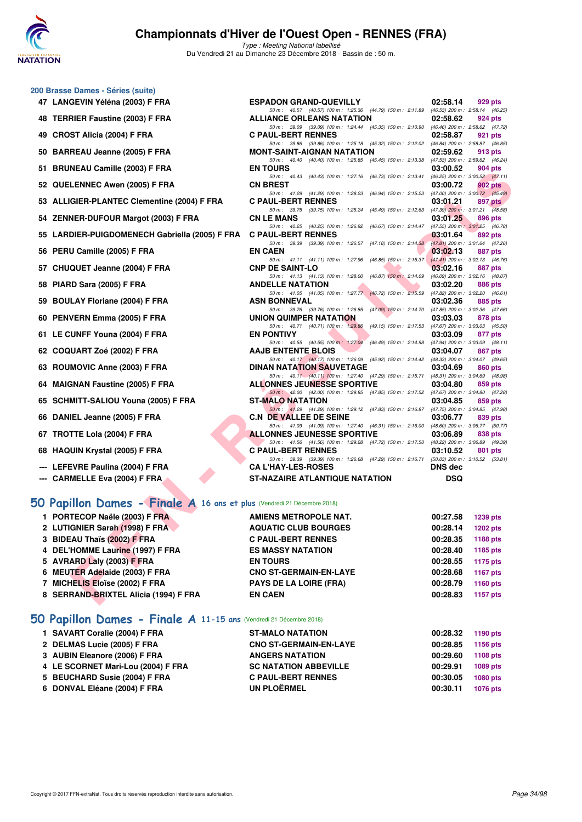

**200 Brasse Dames - Séries (suite)**

## **Championnats d'Hiver de l'Ouest Open - RENNES (FRA)**

Type : Meeting National labellisé Du Vendredi 21 au Dimanche 23 Décembre 2018 - Bassin de : 50 m.

| 48 TERRIER Faustine (2003) F FRA                                        | 50 m: 40.57 (40.57) 100 m: 1:25.36 (44.79) 150 m: 2:11.89 (46.53) 200 m: 2:58.14 (46.25)<br><b>ALLIANCE ORLEANS NATATION</b>  | 02:58.62<br>924 pts                                        |
|-------------------------------------------------------------------------|-------------------------------------------------------------------------------------------------------------------------------|------------------------------------------------------------|
| 49 CROST Alicia (2004) F FRA                                            | 50 m: 39.09 (39.09) 100 m: 1:24.44 (45.35) 150 m: 2:10.90 (46.46) 200 m: 2:58.62 (47.72)<br><b>C PAUL-BERT RENNES</b>         | 02:58.87<br>921 pts                                        |
|                                                                         | 50 m: 39.86 (39.86) 100 m: 1:25.18 (45.32) 150 m: 2:12.02 (46.84) 200 m: 2:58.87 (46.85)                                      |                                                            |
| 50 BARREAU Jeanne (2005) F FRA                                          | <b>MONT-SAINT-AIGNAN NATATION</b><br>50 m: 40.40 (40.40) 100 m: 1:25.85 (45.45) 150 m: 2:13.38 (47.53) 200 m: 2:59.62 (46.24) | 02:59.62<br>913 pts                                        |
| 51 BRUNEAU Camille (2003) F FRA                                         | <b>EN TOURS</b>                                                                                                               | 03:00.52<br>904 pts                                        |
|                                                                         | 50 m: 40.43 (40.43) 100 m: 1:27.16 (46.73) 150 m: 2:13.41                                                                     | $(46.25)$ 200 m : 3:00.52 $(47.11)$                        |
| 52 QUELENNEC Awen (2005) F FRA                                          | <b>CN BREST</b><br>50 m: 41.29 (41.29) 100 m: 1:28.23 (46.94) 150 m: 2:15.23                                                  | 03:00.72<br>902 pts<br>$(47.00)$ 200 m : 3:00.72 $(45.49)$ |
| 53 ALLIGIER-PLANTEC Clementine (2004) F FRA                             | <b>C PAUL-BERT RENNES</b>                                                                                                     | 03:01.21<br>897 pts                                        |
| 54 ZENNER-DUFOUR Margot (2003) F FRA                                    | 50 m: 39.75 (39.75) 100 m: 1:25.24 (45.49) 150 m: 2:12.63 (47.39) 200 m: 3:01.21 (48.58)<br><b>CN LE MANS</b>                 | 03:01.25<br>896 pts                                        |
|                                                                         | 50 m: 40.25 (40.25) 100 m: 1:26.92 (46.67) 150 m: 2:14.47                                                                     | $(47.55)$ 200 m : 3:01.25 $(46.78)$                        |
| 55 LARDIER-PUIGDOMENECH Gabriella (2005) F FRA                          | <b>C PAUL-BERT RENNES</b><br>50 m: 39.39 (39.39) 100 m: 1:26.57 (47.18) 150 m: 2:14.38 (47.81) 200 m: 3:01.64 (47.26)         | 03:01.64<br>892 pts                                        |
| 56 PERU Camille (2005) F FRA                                            | <b>EN CAEN</b>                                                                                                                | 03:02.13<br>887 pts                                        |
|                                                                         | 50 m: 41.11 (41.11) 100 m: 1:27.96 (46.85) 150 m: 2:15.37<br><b>CNP DE SAINT-LO</b>                                           | $(47.41)$ 200 m : 3:02.13 (46.76)                          |
| 57 CHUQUET Jeanne (2004) F FRA                                          | 50 m: 41.13 (41.13) 100 m: 1:28.00 (46.87) 150 m: 2:14.09 (46.09) 200 m: 3:02.16 (48.07)                                      | 03:02.16<br>887 pts                                        |
| 58 PIARD Sara (2005) F FRA                                              | <b>ANDELLE NATATION</b>                                                                                                       | 03:02.20<br>886 pts                                        |
| 59 BOULAY Floriane (2004) F FRA                                         | 50 m: 41.05 (41.05) 100 m: 1:27.77 (46.72) 150 m: 2:15.59 (47.82) 200 m: 3:02.20 (46.61)<br><b>ASN BONNEVAL</b>               | 03:02.36<br>885 pts                                        |
|                                                                         | 50 m: 39.76 (39.76) 100 m: 1:26.85 (47.09) 150 m: 2:14.70 (47.85) 200 m: 3:02.36 (47.66)                                      |                                                            |
| 60 PENVERN Emma (2005) F FRA                                            | UNION QUIMPER NATATION<br>50 m: 40.71 (40.71) 100 m: 1:29.86 (49.15) 150 m: 2:17.53 (47.67) 200 m: 3:03.03 (45.50)            | 03:03.03<br>878 pts                                        |
| 61 LE CUNFF Youna (2004) F FRA                                          | <b>EN PONTIVY</b>                                                                                                             | 03:03.09<br>877 pts                                        |
|                                                                         | 50 m: 40.55 (40.55) 100 m: 1:27.04 (46.49) 150 m: 2:14.98                                                                     | $(47.94)$ 200 m : 3:03.09 $(48.11)$                        |
| 62 COQUART Zoé (2002) F FRA                                             | <b>AAJB ENTENTE BLOIS</b><br>50 m: 40.17 (40.17) 100 m: 1:26.09 (45.92) 150 m: 2:14.42 (48.33) 200 m: 3:04.07 (49.65)         | 03:04.07<br>867 pts                                        |
| 63 ROUMOVIC Anne (2003) F FRA                                           | <b>DINAN NATATION SAUVETAGE</b>                                                                                               | 03:04.69<br>860 pts                                        |
| 64 MAIGNAN Faustine (2005) F FRA                                        | 50 m: 40.11 (40.11) 100 m: 1:27.40 (47.29) 150 m: 2:15.71 (48.31) 200 m: 3:04.69 (48.98)<br><b>ALLONNES JEUNESSE SPORTIVE</b> | 03:04.80<br>859 pts                                        |
|                                                                         | 50 m: 42.00 (42.00) 100 m: 1:29.85 (47.85) 150 m: 2:17.52 (47.67) 200 m: 3:04.80 (47.28)                                      |                                                            |
| 65 SCHMITT-SALIOU Youna (2005) F FRA                                    | <b>ST-MALO NATATION</b><br>50 m: 41.29 (41.29) 100 m: 1:29.12 (47.83) 150 m: 2:16.87 (47.75) 200 m: 3:04.85 (47.98)           | 03:04.85<br>859 pts                                        |
| 66 DANIEL Jeanne (2005) F FRA                                           | <b>C.N. DE VALLEE DE SEINE</b>                                                                                                | 03:06.77<br>839 pts                                        |
|                                                                         | 50 m: 41.09 (41.09) 100 m: 1:27.40 (46.31) 150 m: 2:16.00 (48.60) 200 m: 3:06.77 (50.77)                                      |                                                            |
| 67 TROTTE Lola (2004) F FRA                                             | <b>ALLONNES JEUNESSE SPORTIVE</b><br>50 m: 41.56 (41.56) 100 m: 1:29.28 (47.72) 150 m: 2:17.50 (48.22) 200 m: 3:06.89 (49.39) | 03:06.89<br>838 pts                                        |
| 68 HAQUIN Krystal (2005) F FRA                                          | <b>C PAUL-BERT RENNES</b>                                                                                                     | 03:10.52<br>801 pts                                        |
| --- LEFEVRE Paulina (2004) F FRA                                        | 50 m: 39.39 (39.39) 100 m: 1:26.68 (47.29) 150 m: 2:16.71<br><b>CA L'HAY-LES-ROSES</b>                                        | $(50.03)$ 200 m : 3:10.52 $(53.81)$<br>DNS dec             |
| --- CARMELLE Eva (2004) F FRA                                           | <b>ST-NAZAIRE ATLANTIQUE NATATION</b>                                                                                         | <b>DSQ</b>                                                 |
|                                                                         |                                                                                                                               |                                                            |
| 50 Papillon Dames - Finale A 16 ans et plus (Vendredi 21 Décembre 2018) |                                                                                                                               |                                                            |
| 1 PORTECOP Naële (2003) F FRA                                           | <b>AMIENS METROPOLE NAT.</b>                                                                                                  | 00:27.58<br><b>1239 pts</b>                                |
| 2 LUTIGNIER Sarah (1998) F FRA                                          | <b>AQUATIC CLUB BOURGES</b>                                                                                                   | 00:28.14<br><b>1202 pts</b>                                |
| 3 BIDEAU Thaïs (2002) F FRA                                             | <b>C PAUL-BERT RENNES</b>                                                                                                     | 00:28.35<br><b>1188 pts</b>                                |
| 4 DEL'HOMME Laurine (1997) F FRA                                        | <b>ES MASSY NATATION</b>                                                                                                      | 00:28.40<br>1185 pts                                       |
| 5 AVRARD Laly (2003) F FRA                                              | <b>EN TOURS</b>                                                                                                               | 00:28.55<br><b>1175 pts</b>                                |
| 6 MEUTER Adelaide (2003) F FRA                                          | <b>CNO ST-GERMAIN-EN-LAYE</b>                                                                                                 | 00:28.68<br><b>1167 pts</b>                                |
| 7 MICHELIS Eloïse (2002) F FRA                                          | <b>PAYS DE LA LOIRE (FRA)</b>                                                                                                 | 00:28.79<br>1160 pts                                       |
| 8 SERRAND-BRIXTEL Alicia (1994) F FRA                                   | <b>EN CAEN</b>                                                                                                                | 00:28.83<br><b>1157 pts</b>                                |
|                                                                         |                                                                                                                               |                                                            |

| 47 LANGEVIN Yéléna (2003) F FRA                | <b>ESPADON GRAND-QUEVILLY</b>                                                                                                | 02:58.14       | 929 pts |
|------------------------------------------------|------------------------------------------------------------------------------------------------------------------------------|----------------|---------|
| 48 TERRIER Faustine (2003) F FRA               | 50 m: 40.57 (40.57) 100 m: 1:25.36 (44.79) 150 m: 2:11.89 (46.53) 200 m: 2:58.14 (46.25)<br><b>ALLIANCE ORLEANS NATATION</b> | 02:58.62       | 924 pts |
|                                                | 50 m: 39.09 (39.09) 100 m: 1:24.44 (45.35) 150 m: 2:10.90 (46.46) 200 m: 2:58.62 (47.72)                                     |                |         |
| 49 CROST Alicia (2004) F FRA                   | <b>C PAUL-BERT RENNES</b>                                                                                                    | 02:58.87       | 921 pts |
|                                                | 50 m: 39.86 (39.86) 100 m: 1:25.18 (45.32) 150 m: 2:12.02 (46.84) 200 m: 2:58.87 (46.85)                                     |                |         |
| 50 BARREAU Jeanne (2005) F FRA                 | <b>MONT-SAINT-AIGNAN NATATION</b>                                                                                            | 02:59.62       | 913 pts |
|                                                | 50 m: 40.40 (40.40) 100 m: 1:25.85 (45.45) 150 m: 2:13.38 (47.53) 200 m: 2:59.62 (46.24)                                     |                |         |
| 51 BRUNEAU Camille (2003) F FRA                | <b>EN TOURS</b>                                                                                                              | 03:00.52       | 904 pts |
|                                                | 50 m: 40.43 (40.43) 100 m: 1:27.16 (46.73) 150 m: 2:13.41 (46.25) 200 m: 3:00.52 (47.11)                                     |                |         |
| 52 QUELENNEC Awen (2005) F FRA                 | <b>CN BREST</b>                                                                                                              | 03:00.72       | 902 pts |
|                                                | 50 m: 41.29 (41.29) 100 m: 1:28.23 (46.94) 150 m: 2:15.23 (47.00) 200 m: 3:00.72 (45.49)                                     |                |         |
| 53 ALLIGIER-PLANTEC Clementine (2004) F FRA    | <b>C PAUL-BERT RENNES</b>                                                                                                    | 03:01.21       | 897 pts |
|                                                | 50 m: 39.75 (39.75) 100 m: 1:25.24 (45.49) 150 m: 2:12.63 (47.39) 200 m: 3:01.21 (48.58)                                     |                |         |
| 54 ZENNER-DUFOUR Margot (2003) F FRA           | <b>CN LE MANS</b>                                                                                                            | 03:01.25       | 896 pts |
|                                                | 50 m: 40.25 (40.25) 100 m: 1:26.92 (46.67) 150 m: 2:14.47 (47.55) 200 m: 3:01.25 (46.78)                                     |                |         |
| 55 LARDIER-PUIGDOMENECH Gabriella (2005) F FRA | <b>C PAUL-BERT RENNES</b><br>50 m: 39.39 (39.39) 100 m: 1:26.57 (47.18) 150 m: 2:14.38 (47.81) 200 m: 3:01.64 (47.26)        | 03:01.64       | 892 pts |
| 56 PERU Camille (2005) F FRA                   | <b>EN CAEN</b>                                                                                                               | 03:02.13       | 887 pts |
|                                                | 50 m: 41.11 (41.11) 100 m: 1:27.96 (46.85) 150 m: 2:15.37 (47.41) 200 m: 3:02.13 (46.76)                                     |                |         |
| 57 CHUQUET Jeanne (2004) F FRA                 | <b>CNP DE SAINT-LO</b>                                                                                                       | 03:02.16       | 887 pts |
|                                                | 50 m: 41.13 (41.13) 100 m: 1:28.00 (46.87) 150 m: 2:14.09 (46.09) 200 m: 3:02.16 (48.07)                                     |                |         |
| 58 PIARD Sara (2005) F FRA                     | <b>ANDELLE NATATION</b>                                                                                                      | 03:02.20       | 886 pts |
|                                                | 50 m: 41.05 (41.05) 100 m: 1:27.77 (46.72) 150 m: 2:15.59 (47.82) 200 m: 3:02.20 (46.61)                                     |                |         |
| 59 BOULAY Floriane (2004) F FRA                | <b>ASN BONNEVAL</b>                                                                                                          | 03:02.36       | 885 pts |
|                                                | 50 m: 39.76 (39.76) 100 m: 1:26.85 (47.09) 150 m: 2:14.70 (47.85) 200 m: 3:02.36 (47.66)                                     |                |         |
| 60 PENVERN Emma (2005) F FRA                   | UNION QUIMPER NATATION                                                                                                       | 03:03.03       | 878 pts |
|                                                | 50 m: 40.71 (40.71) 100 m: 1:29.86 (49.15) 150 m: 2:17.53 (47.67) 200 m: 3:03.03 (45.50)                                     |                |         |
| 61 LE CUNFF Youna (2004) F FRA                 | <b>EN PONTIVY</b>                                                                                                            | 03:03.09       | 877 pts |
| 62 COQUART Zoé (2002) F FRA                    | 50 m: 40.55 (40.55) 100 m: 1:27.04 (46.49) 150 m: 2:14.98 (47.94) 200 m: 3:03.09 (48.11)<br><b>AAJB ENTENTE BLOIS</b>        | 03:04.07       | 867 pts |
|                                                | 50 m: 40.17 (40.17) 100 m: 1:26.09 (45.92) 150 m: 2:14.42 (48.33) 200 m: 3:04.07 (49.65)                                     |                |         |
| 63 ROUMOVIC Anne (2003) F FRA                  | <b>DINAN NATATION SAUVETAGE</b>                                                                                              | 03:04.69       | 860 pts |
|                                                | 50 m: 40.11 (40.11) 100 m: 1:27.40 (47.29) 150 m: 2:15.71 (48.31) 200 m: 3:04.69 (48.98)                                     |                |         |
| 64 MAIGNAN Faustine (2005) F FRA               | <b>ALLONNES JEUNESSE SPORTIVE</b>                                                                                            | 03:04.80       | 859 pts |
|                                                | 50 m: 42.00 (42.00) 100 m: 1:29.85 (47.85) 150 m: 2:17.52 (47.67) 200 m: 3:04.80 (47.28)                                     |                |         |
| 65 SCHMITT-SALIOU Youna (2005) F FRA           | <b>ST-MALO NATATION</b>                                                                                                      | 03:04.85       | 859 pts |
|                                                | 50 m: 41.29 (41.29) 100 m: 1:29.12 (47.83) 150 m: 2:16.87 (47.75) 200 m: 3:04.85 (47.98)                                     |                |         |
| 66 DANIEL Jeanne (2005) F FRA                  | <b>C.N. DE VALLEE DE SEINE</b>                                                                                               | 03:06.77       | 839 pts |
|                                                | 50 m: 41.09 (41.09) 100 m: 1:27.40 (46.31) 150 m: 2:16.00 (48.60) 200 m: 3:06.77 (50.77)                                     |                |         |
| 67 TROTTE Lola (2004) F FRA                    | <b>ALLONNES JEUNESSE SPORTIVE</b>                                                                                            | 03:06.89       | 838 pts |
|                                                | 50 m: 41.56 (41.56) 100 m: 1:29.28 (47.72) 150 m: 2:17.50 (48.22) 200 m: 3:06.89 (49.39)                                     |                |         |
| 68 HAQUIN Krystal (2005) F FRA                 | <b>C PAUL-BERT RENNES</b><br>50 m: 39.39 (39.39) 100 m: 1:26.68 (47.29) 150 m: 2:16.71 (50.03) 200 m: 3:10.52 (53.81)        | 03:10.52       | 801 pts |
| --- LEFEVRE Paulina (2004) F FRA               | <b>CA L'HAY-LES-ROSES</b>                                                                                                    | <b>DNS</b> dec |         |
|                                                |                                                                                                                              |                |         |
| --- CARMELLE Eva (2004) F FRA                  | <b>ST-NAZAIRE ATLANTIQUE NATATION</b>                                                                                        | <b>DSQ</b>     |         |

| 1 PORTECOP Naële (2003) F FRA         | AMIENS METROPOLE NAT.         | 00:27.58 | 1239 pts        |
|---------------------------------------|-------------------------------|----------|-----------------|
| 2 LUTIGNIER Sarah (1998) F FRA        | <b>AQUATIC CLUB BOURGES</b>   | 00:28.14 | <b>1202 pts</b> |
| 3 BIDEAU Thaïs (2002) F FRA           | <b>C PAUL-BERT RENNES</b>     | 00:28.35 | 1188 pts        |
| 4 DEL'HOMME Laurine (1997) F FRA      | <b>ES MASSY NATATION</b>      | 00:28.40 | 1185 pts        |
| 5 AVRARD Laly (2003) F FRA            | <b>EN TOURS</b>               | 00:28.55 | 1175 pts        |
| 6 MEUTER Adelaide (2003) F FRA        | <b>CNO ST-GERMAIN-EN-LAYE</b> | 00:28.68 | 1167 pts        |
| 7 MICHELIS Eloïse (2002) F FRA        | <b>PAYS DE LA LOIRE (FRA)</b> | 00:28.79 | 1160 pts        |
| 8 SERRAND-BRIXTEL Alicia (1994) F FRA | <b>EN CAEN</b>                | 00:28.83 | 1157 pts        |
|                                       |                               |          |                 |

### **[50 Papillon Dames - Finale A](http://www.ffnatation.fr/webffn/resultats.php?idact=nat&go=epr&idcpt=55947&idepr=31) 11-15 ans** (Vendredi 21 Décembre 2018)

| 1 SAVART Coralie (2004) F FRA      | <b>ST-MALO NATATION</b>       | 00:28.32 | 1190 pts |
|------------------------------------|-------------------------------|----------|----------|
| 2 DELMAS Lucie (2005) F FRA        | <b>CNO ST-GERMAIN-EN-LAYE</b> | 00:28.85 | 1156 pts |
| 3 AUBIN Eleanore (2006) F FRA      | <b>ANGERS NATATION</b>        | 00:29.60 | 1108 pts |
| 4 LE SCORNET Mari-Lou (2004) F FRA | <b>SC NATATION ABBEVILLE</b>  | 00:29.91 | 1089 pts |
| 5 BEUCHARD Susie (2004) F FRA      | <b>C PAUL-BERT RENNES</b>     | 00:30.05 | 1080 pts |
| 6 DONVAL Eléane (2004) F FRA       | UN PLOËRMEL                   | 00:30.11 | 1076 pts |
|                                    |                               |          |          |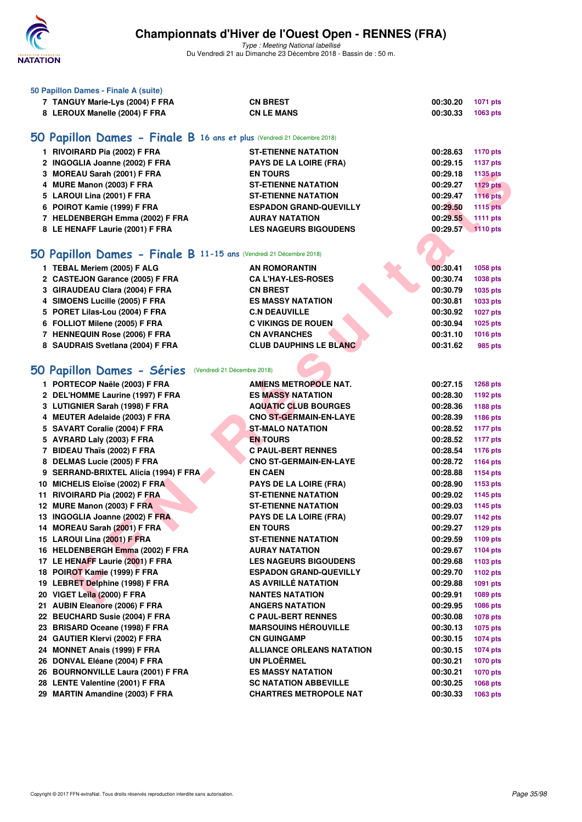

| 50 Papillon Dames - Finale A (suite)                                    |                               |          |                 |
|-------------------------------------------------------------------------|-------------------------------|----------|-----------------|
| 7 TANGUY Marie-Lys (2004) F FRA                                         | <b>CN BREST</b>               | 00:30.20 | 1071 pts        |
| 8 LEROUX Manelle (2004) F FRA                                           | <b>CN LE MANS</b>             | 00:30.33 | 1063 pts        |
| 50 Papillon Dames - Finale B 16 ans et plus (Vendredi 21 Décembre 2018) |                               |          |                 |
| 1 RIVOIRARD Pia (2002) F FRA                                            | <b>ST-ETIENNE NATATION</b>    | 00:28.63 | 1170 pts        |
| 2 INGOGLIA Joanne (2002) F FRA                                          | <b>PAYS DE LA LOIRE (FRA)</b> | 00:29.15 | <b>1137 pts</b> |
| 3 MOREAU Sarah (2001) F FRA                                             | <b>EN TOURS</b>               | 00:29.18 | 1135 pts        |
| 4 MURE Manon (2003) F FRA                                               | <b>ST-ETIENNE NATATION</b>    | 00:29.27 | <b>1129 pts</b> |
| 5 LAROUI Lina (2001) F FRA                                              | <b>ST-ETIENNE NATATION</b>    | 00:29.47 | <b>1116 pts</b> |
| 6 POIROT Kamie (1999) F FRA                                             | <b>ESPADON GRAND-QUEVILLY</b> | 00:29.50 | <b>1115 pts</b> |
| 7 HELDENBERGH Emma (2002) F FRA                                         | <b>AURAY NATATION</b>         | 00:29.55 | 1111 pts        |
| 8 LE HENAFF Laurie (2001) F FRA                                         | <b>LES NAGEURS BIGOUDENS</b>  | 00:29.57 | 1110 pts        |
|                                                                         |                               |          |                 |
| 50 Papillon Dames - Finale B 11-15 ans (Vendredi 21 Décembre 2018)      |                               |          |                 |
| 1 TEBAL Meriem (2005) F ALG                                             | <b>AN ROMORANTIN</b>          | 00:30.41 | 1058 pts        |
| 2 CASTEJON Garance (2005) F FRA                                         | <b>CA L'HAY-LES-ROSES</b>     | 00:30.74 | 1038 pts        |
| 3 GIRAUDEAU Clara (2004) F FRA                                          | <b>CN BREST</b>               | 00:30.79 | 1035 pts        |
| 4 SIMOENS Lucille (2005) F FRA                                          | <b>ES MASSY NATATION</b>      | 00:30.81 | 1033 pts        |
| 5 PORET Lilas-Lou (2004) F FRA                                          | <b>C.N DEAUVILLE</b>          | 00:30.92 | <b>1027 pts</b> |
| 6 FOLLIOT Milene (2005) F FRA                                           | <b>C VIKINGS DE ROUEN</b>     | 00:30.94 | 1025 pts        |
| 7 HENNEQUIN Rose (2006) F FRA                                           | <b>CN AVRANCHES</b>           | 00:31.10 | 1016 pts        |
| 8 SAUDRAIS Svetlana (2004) F FRA                                        | <b>CLUB DAUPHINS LE BLANC</b> | 00:31.62 | 985 pts         |
|                                                                         |                               |          |                 |
| 50 Papillon Dames - Séries<br>(Vendredi 21 Décembre 2018)               |                               |          |                 |
| 1 PORTECOP Naële (2003) F FRA                                           | <b>AMIENS METROPOLE NAT.</b>  | 00:27.15 | 1268 pts        |
| 2 DEL'HOMME Laurine (1997) F FRA                                        | <b>ES MASSY NATATION</b>      | 00:28.30 | 1192 pts        |
| 3 LUTIGNIER Sarah (1998) F FRA                                          | <b>AQUATIC CLUB BOURGES</b>   | 00:28.36 | 1188 pts        |
| 4 MEUTER Adelaide (2003) F FRA                                          | <b>CNO ST-GERMAIN-EN-LAYE</b> | 00:28.39 | 1186 pts        |
| 5 SAVART Coralie (2004) F FRA                                           | <b>ST-MALO NATATION</b>       | 00:28.52 | <b>1177 pts</b> |
| 5 AVRARD Laly (2003) F FRA                                              | <b>EN TOURS</b>               | 00:28.52 | <b>1177 pts</b> |
| 7 BIDEAU Thaïs (2002) F FRA                                             | <b>C PAUL-BERT RENNES</b>     | 00:28.54 | <b>1176 pts</b> |
| 8 DELMAS Lucie (2005) F FRA                                             | <b>CNO ST-GERMAIN-EN-LAYE</b> | 00:28.72 | 1164 pts        |
| 9 SERRAND-BRIXTEL Alicia (1994) F FRA                                   | <b>EN CAEN</b>                | 00:28.88 | 1154 pts        |
| 10 MICHELIS Eloïse (2002) F FRA                                         | <b>PAYS DE LA LOIRE (FRA)</b> | 00:28.90 | 1153 pts        |
| 11 RIVOIRARD Pia (2002) F FRA                                           | <b>ST-ETIENNE NATATION</b>    | 00:29.02 | 1145 pts        |
| 12 MURE Manon (2003) F FRA                                              | <b>ST-ETIENNE NATATION</b>    | 00:29.03 | 1145 pts        |
| 13 INGOGLIA Joanne (2002) F FRA                                         | PAYS DE LA LOIRE (FRA)        | 00:29.07 | <b>1142 pts</b> |
| 14 MOREAU Sarah (2001) F FRA                                            | <b>EN TOURS</b>               | 00:29.27 | 1129 pts        |
| 15 LAROUI Lina (2001) F FRA                                             | <b>ST-ETIENNE NATATION</b>    | 00:29.59 | 1109 pts        |
| 16 HELDENBERGH Emma (2002) F FRA                                        | <b>AURAY NATATION</b>         | 00:29.67 | <b>1104 pts</b> |
| 17 LE HENAFF Laurie (2001) F FRA                                        | <b>LES NAGEURS BIGOUDENS</b>  | 00:29.68 | 1103 pts        |
| 18 POIROT Kamie (1999) F FRA                                            | <b>ESPADON GRAND-QUEVILLY</b> | 00:29.70 | 1102 pts        |
| 19 LEBRET Delphine (1998) F FRA                                         | AS AVRILLÉ NATATION           | 00:29.88 | 1091 pts        |
| 20 VIGET Leïla (2000) F FRA                                             | <b>NANTES NATATION</b>        | 00:29.91 | 1089 pts        |
| ALIDINI Eleanova (000C) E EDA                                           | ANCEDO MATATION               | 00.00 OF | $1000 - 1$      |

| 5 SAVART Coralie (2004) F FRA         | <b>ST-MALO NATATION</b>          | 00:28.52 | <b>1177 pts</b> |
|---------------------------------------|----------------------------------|----------|-----------------|
| 5 AVRARD Laly (2003) F FRA            | <b>EN TOURS</b>                  | 00:28.52 | <b>1177 pts</b> |
| 7 BIDEAU Thaïs (2002) F FRA           | <b>C PAUL-BERT RENNES</b>        | 00:28.54 | 1176 pts        |
| 8 DELMAS Lucie (2005) F FRA           | <b>CNO ST-GERMAIN-EN-LAYE</b>    | 00:28.72 | 1164 pts        |
| 9 SERRAND-BRIXTEL Alicia (1994) F FRA | <b>EN CAEN</b>                   | 00:28.88 | 1154 pts        |
| 10 MICHELIS Eloïse (2002) F FRA       | <b>PAYS DE LA LOIRE (FRA)</b>    | 00:28.90 | 1153 pts        |
| 11 RIVOIRARD Pia (2002) F FRA         | <b>ST-ETIENNE NATATION</b>       | 00:29.02 | 1145 pts        |
| 12 MURE Manon (2003) F FRA            | <b>ST-ETIENNE NATATION</b>       | 00:29.03 | 1145 pts        |
| 13 INGOGLIA Joanne (2002) F FRA       | <b>PAYS DE LA LOIRE (FRA)</b>    | 00:29.07 | 1142 pts        |
| 14 MOREAU Sarah (2001) F FRA          | <b>EN TOURS</b>                  | 00:29.27 | 1129 pts        |
| 15 LAROUI Lina (2001) F FRA           | <b>ST-ETIENNE NATATION</b>       | 00:29.59 | 1109 pts        |
| 16 HELDENBERGH Emma (2002) F FRA      | <b>AURAY NATATION</b>            | 00:29.67 | 1104 pts        |
| 17 LE HENAFF Laurie (2001) F FRA      | <b>LES NAGEURS BIGOUDENS</b>     | 00:29.68 | 1103 pts        |
| 18 POIROT Kamie (1999) F FRA          | <b>ESPADON GRAND-QUEVILLY</b>    | 00:29.70 | 1102 pts        |
| 19 LEBRET Delphine (1998) F FRA       | AS AVRILLÉ NATATION              | 00:29.88 | 1091 pts        |
| 20 VIGET Leïla (2000) F FRA           | <b>NANTES NATATION</b>           | 00:29.91 | 1089 pts        |
| 21 AUBIN Eleanore (2006) F FRA        | <b>ANGERS NATATION</b>           | 00:29.95 | 1086 pts        |
| 22 BEUCHARD Susie (2004) F FRA        | <b>C PAUL-BERT RENNES</b>        | 00:30.08 | 1078 pts        |
| 23 BRISARD Oceane (1998) F FRA        | <b>MARSOUINS HÉROUVILLE</b>      | 00:30.13 | 1075 pts        |
| 24 GAUTIER Klervi (2002) F FRA        | <b>CN GUINGAMP</b>               | 00:30.15 | 1074 pts        |
| 24 MONNET Anais (1999) F FRA          | <b>ALLIANCE ORLEANS NATATION</b> | 00:30.15 | 1074 pts        |
| 26 DONVAL Eléane (2004) F FRA         | <b>UN PLOËRMEL</b>               | 00:30.21 | 1070 pts        |
| 26 BOURNONVILLE Laura (2001) F FRA    | <b>ES MASSY NATATION</b>         | 00:30.21 | 1070 pts        |
| 28 LENTE Valentine (2001) F FRA       | <b>SC NATATION ABBEVILLE</b>     | 00:30.25 | 1068 pts        |
| 29 MARTIN Amandine (2003) F FRA       | <b>CHARTRES METROPOLE NAT</b>    | 00:30.33 | 1063 pts        |
|                                       |                                  |          |                 |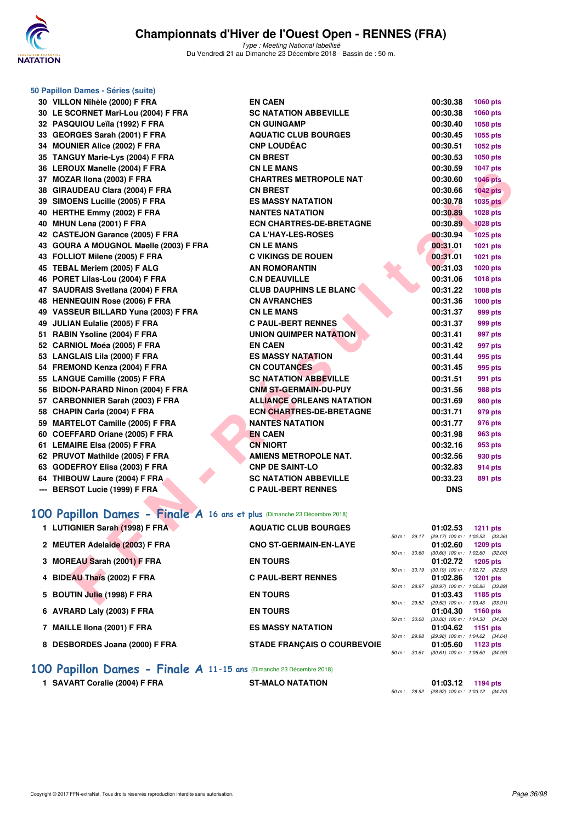

Type : Meeting National labellisé Du Vendredi 21 au Dimanche 23 Décembre 2018 - Bassin de : 50 m.

|   | 50 Papillon Dames - Séries (suite)                                       |                                  |              |            |                                                        |
|---|--------------------------------------------------------------------------|----------------------------------|--------------|------------|--------------------------------------------------------|
|   | 30 VILLON Nihèle (2000) F FRA                                            | <b>EN CAEN</b>                   |              | 00:30.38   | 1060 pts                                               |
|   | 30 LE SCORNET Mari-Lou (2004) F FRA                                      | <b>SC NATATION ABBEVILLE</b>     |              | 00:30.38   | 1060 pts                                               |
|   | 32 PASQUIOU Leïla (1992) F FRA                                           | <b>CN GUINGAMP</b>               |              | 00:30.40   | 1058 pts                                               |
|   | 33 GEORGES Sarah (2001) F FRA                                            | <b>AQUATIC CLUB BOURGES</b>      |              | 00:30.45   | 1055 pts                                               |
|   | 34 MOUNIER Alice (2002) F FRA                                            | <b>CNP LOUDÉAC</b>               |              | 00:30.51   | 1052 pts                                               |
|   | 35 TANGUY Marie-Lys (2004) F FRA                                         | <b>CN BREST</b>                  |              | 00:30.53   | 1050 pts                                               |
|   | 36 LEROUX Manelle (2004) F FRA                                           | <b>CN LE MANS</b>                |              | 00:30.59   | <b>1047 pts</b>                                        |
|   | 37 MOZAR IIona (2003) F FRA                                              | <b>CHARTRES METROPOLE NAT</b>    |              | 00:30.60   | <b>1046 pts</b>                                        |
|   | 38 GIRAUDEAU Clara (2004) F FRA                                          | <b>CN BREST</b>                  |              | 00:30.66   | $1042$ pts                                             |
|   | 39 SIMOENS Lucille (2005) F FRA                                          | <b>ES MASSY NATATION</b>         |              | 00:30.78   | <b>1035 pts</b>                                        |
|   | 40 HERTHE Emmy (2002) F FRA                                              | <b>NANTES NATATION</b>           |              | 00:30.89   | 1028 pts                                               |
|   | 40 MHUN Lena (2001) F FRA                                                | <b>ECN CHARTRES-DE-BRETAGNE</b>  |              | 00:30.89   | <b>1028 pts</b>                                        |
|   | 42 CASTEJON Garance (2005) F FRA                                         | <b>CA L'HAY-LES-ROSES</b>        |              | 00:30.94   | <b>1025 pts</b>                                        |
|   | 43 GOURA A MOUGNOL Maelle (2003) F FRA                                   | <b>CN LE MANS</b>                |              | 00:31.01   | 1021 pts                                               |
|   | 43 FOLLIOT Milene (2005) F FRA                                           | <b>C VIKINGS DE ROUEN</b>        |              | 00:31.01   | 1021 pts                                               |
|   | 45 TEBAL Meriem (2005) F ALG                                             | <b>AN ROMORANTIN</b>             |              | 00:31.03   | 1020 pts                                               |
|   | 46 PORET Lilas-Lou (2004) F FRA                                          | <b>C.N DEAUVILLE</b>             |              | 00:31.06   | 1018 pts                                               |
|   | 47 SAUDRAIS Svetlana (2004) F FRA                                        | <b>CLUB DAUPHINS LE BLANC</b>    |              | 00:31.22   | 1008 pts                                               |
|   | 48 HENNEQUIN Rose (2006) F FRA                                           | <b>CN AVRANCHES</b>              |              | 00:31.36   | 1000 pts                                               |
|   | 49 VASSEUR BILLARD Yuna (2003) F FRA                                     | <b>CN LE MANS</b>                |              | 00:31.37   | 999 pts                                                |
|   | 49 JULIAN Eulalie (2005) F FRA                                           | <b>C PAUL-BERT RENNES</b>        |              | 00:31.37   | 999 pts                                                |
|   | 51 RABIN Ysoline (2004) F FRA                                            | UNION QUIMPER NATATION           |              | 00:31.41   | 997 pts                                                |
|   | 52 CARNIOL Moéa (2005) F FRA                                             | <b>EN CAEN</b>                   |              | 00:31.42   | 997 pts                                                |
|   | 53 LANGLAIS Lila (2000) F FRA                                            | <b>ES MASSY NATATION</b>         |              | 00:31.44   | 995 pts                                                |
|   | 54 FREMOND Kenza (2004) F FRA                                            | <b>CN COUTANCES</b>              |              | 00:31.45   | 995 pts                                                |
|   | 55 LANGUE Camille (2005) F FRA                                           | <b>SC NATATION ABBEVILLE</b>     |              | 00:31.51   | 991 pts                                                |
|   | 56 BIDON-PARARD Ninon (2004) F FRA                                       | <b>CNM ST-GERMAIN-DU-PUY</b>     |              | 00:31.56   | 988 pts                                                |
|   | 57 CARBONNIER Sarah (2003) F FRA                                         | <b>ALLIANCE ORLEANS NATATION</b> |              | 00:31.69   | 980 pts                                                |
|   | 58 CHAPIN Carla (2004) F FRA                                             | <b>ECN CHARTRES-DE-BRETAGNE</b>  |              | 00:31.71   | 979 pts                                                |
|   | 59 MARTELOT Camille (2005) F FRA                                         | <b>NANTES NATATION</b>           |              | 00:31.77   | 976 pts                                                |
|   | 60 COEFFARD Oriane (2005) F FRA                                          | <b>EN CAEN</b>                   |              | 00:31.98   | <b>963 pts</b>                                         |
|   | 61 LEMAIRE Elsa (2005) F FRA                                             | <b>CN NIORT</b>                  |              | 00:32.16   | 953 pts                                                |
|   | 62 PRUVOT Mathilde (2005) F FRA                                          | <b>AMIENS METROPOLE NAT.</b>     |              | 00:32.56   | 930 pts                                                |
|   | 63 GODEFROY Elisa (2003) F FRA                                           | <b>CNP DE SAINT-LO</b>           |              | 00:32.83   | <b>914 pts</b>                                         |
|   | 64 THIBOUW Laure (2004) F FRA                                            | <b>SC NATATION ABBEVILLE</b>     |              | 00:33.23   | 891 pts                                                |
|   | --- BERSOT Lucie (1999) F FRA                                            | <b>C PAUL-BERT RENNES</b>        |              | <b>DNS</b> |                                                        |
|   | 100 Papillon Dames - Finale A 16 ans et plus (Dimanche 23 Décembre 2018) |                                  |              |            |                                                        |
|   |                                                                          |                                  |              |            |                                                        |
|   | 1 LUTIGNIER Sarah (1998) F FRA                                           | <b>AQUATIC CLUB BOURGES</b>      |              | 01:02.53   | <b>1211 pts</b>                                        |
|   | 2 MEUTER Adelaide (2003) F FRA                                           | <b>CNO ST-GERMAIN-EN-LAYE</b>    | 50 m : 29.17 | 01:02.60   | (29.17) 100 m : 1:02.53 (33.36)<br><b>1209 pts</b>     |
|   |                                                                          |                                  | 50 m : 30.60 |            | $(30.60)$ 100 m : 1:02.60 $(32.00)$                    |
|   | 3 MOREAU Sarah (2001) F FRA                                              | <b>EN TOURS</b>                  |              | 01:02.72   | 1205 pts                                               |
| 4 | <b>BIDEAU Thaïs (2002) F FRA</b>                                         | <b>C PAUL-BERT RENNES</b>        | 50 m : 30.19 | 01:02.86   | (30.19) 100 m: 1:02.72 (32.53)<br>1201 pts             |
|   |                                                                          |                                  | 50 m : 28.97 |            | (28.97) 100 m: 1:02.86 (33.89)                         |
|   | 5 BOUTIN Julie (1998) F FRA                                              | <b>EN TOURS</b>                  |              | 01:03.43   | 1185 pts<br>50 m: 29.52 (29.52) 100 m: 1:03.43 (33.91) |
|   |                                                                          |                                  |              |            |                                                        |

## **[100 Papillon Dames - Finale A](http://www.ffnatation.fr/webffn/resultats.php?idact=nat&go=epr&idcpt=55947&idepr=32) 16 ans et plus** (Dimanche 23 Décembre 2018)

| 1 LUTIGNIER Sarah (1998) F FRA | <b>AQUATIC CLUB BOURGES</b>        |                  | 01:02.53                            |          | 1211 $pts$  |
|--------------------------------|------------------------------------|------------------|-------------------------------------|----------|-------------|
|                                |                                    | $50 m$ : 29.17   | (29.17) 100 m: 1:02.53 (33.36       |          |             |
| 2 MEUTER Adelaide (2003) F FRA | <b>CNO ST-GERMAIN-EN-LAYE</b>      |                  | 01:02.60                            |          | 1209 pts    |
|                                |                                    | 50 m: 30.60      | $(30.60)$ 100 m : 1:02.60 $(32.00)$ |          |             |
| 3 MOREAU Sarah (2001) F FRA    | <b>EN TOURS</b>                    |                  | $01:02.72$ 1205 pts                 |          |             |
|                                |                                    | 50 m: 30.19      | $(30.19)$ 100 m : 1:02.72 $(32.53)$ |          |             |
| 4 BIDEAU Thaïs (2002) F FRA    | <b>C PAUL-BERT RENNES</b>          |                  | 01:02.86 1201 pts                   |          |             |
|                                |                                    | 50 m : 28.97     | (28.97) 100 m : 1:02.86 (33.89)     |          |             |
| 5 BOUTIN Julie (1998) F FRA    | <b>EN TOURS</b>                    |                  | 01:03.43 1185 pts                   |          |             |
|                                |                                    | $50 m$ : 29.52   | (29.52) 100 m: 1:03.43 (33.91       |          |             |
| 6 AVRARD Laly (2003) F FRA     | <b>EN TOURS</b>                    |                  | $01:04.30$ 1160 pts                 |          |             |
|                                |                                    | 50 m: 30.00      | $(30.00)$ 100 m : 1:04.30 $(34.30)$ |          |             |
| 7 MAILLE IIona (2001) F FRA    | <b>ES MASSY NATATION</b>           |                  | 01:04.62                            | 1151 pts |             |
|                                |                                    | 50 m: 29.98      | (29.98) 100 m : 1:04.62 (34.64      |          |             |
| 8 DESBORDES Joana (2000) F FRA | <b>STADE FRANCAIS O COURBEVOIE</b> |                  | 01:05.60                            |          | 1123 $p$ ts |
|                                |                                    | $50 m$ : $30.61$ | $(30.61)$ 100 m : 1.05.60 $(34.99)$ |          |             |

### **[100 Papillon Dames - Finale A](http://www.ffnatation.fr/webffn/resultats.php?idact=nat&go=epr&idcpt=55947&idepr=32) 11-15 ans** (Dimanche 23 Décembre 2018)

**1 SAVART Coralie (2004) F FRA ST-MALO NATATION 01:03.12 1194 pts**

50 m : 28.92 (28.92) 100 m : 1:03.12 (34.20)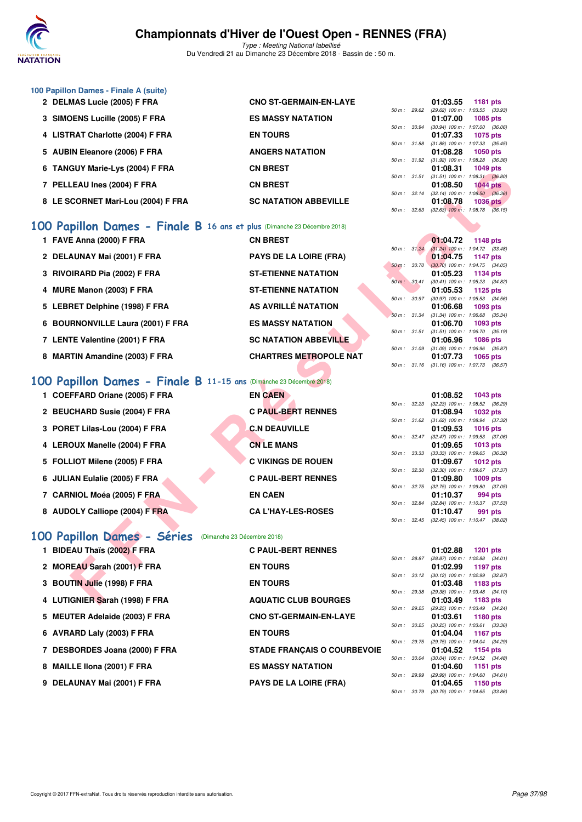

Type : Meeting National labellisé Du Vendredi 21 au Dimanche 23 Décembre 2018 - Bassin de : 50 m.

| 100 Papillon Dames - Finale A (suite) |                               |        |                          |                                     |                 |  |
|---------------------------------------|-------------------------------|--------|--------------------------|-------------------------------------|-----------------|--|
| 2 DELMAS Lucie (2005) F FRA           | <b>CNO ST-GERMAIN-EN-LAYE</b> |        |                          | 01:03.55                            | 1181 pts        |  |
|                                       |                               |        | 50 m: 29.62              | $(29.62)$ 100 m : 1:03.55 $(33.93)$ |                 |  |
| 3 SIMOENS Lucille (2005) F FRA        | <b>ES MASSY NATATION</b>      |        |                          | 01:07.00                            | 1085 pts        |  |
|                                       |                               |        | $50 \text{ m}$ : $30.94$ | $(30.94)$ 100 m : 1:07.00 $(36.06)$ |                 |  |
| 4 LISTRAT Charlotte (2004) F FRA      | <b>EN TOURS</b>               |        |                          | 01:07.33                            | 1075 pts        |  |
|                                       |                               |        | 50 m: 31.88              | $(31.88)$ 100 m : 1:07.33 $(35.45)$ |                 |  |
| 5 AUBIN Eleanore (2006) F FRA         | <b>ANGERS NATATION</b>        |        |                          | 01:08.28                            | <b>1050 pts</b> |  |
|                                       |                               |        | 50 m: 31.92              | $(31.92)$ 100 m : 1:08.28 $(36.36)$ |                 |  |
| 6 TANGUY Marie-Lys (2004) F FRA       | <b>CN BREST</b>               |        |                          | 01:08.31                            | <b>1049 pts</b> |  |
|                                       |                               |        | $50 m$ : $31.51$         | $(31.51)$ 100 m : 1:08.31 $(36.80)$ |                 |  |
| 7 PELLEAU Ines (2004) F FRA           | <b>CN BREST</b>               |        |                          | 01:08.50                            | $1044$ pts      |  |
|                                       |                               |        | $50 m$ : $32.14$         | $(32.14)$ 100 m : 1:08.50 $(36.36)$ |                 |  |
| 8 LE SCORNET Mari-Lou (2004) F FRA    | <b>SC NATATION ABBEVILLE</b>  |        |                          | 01:08.78                            | <b>1036 pts</b> |  |
|                                       |                               | 50 m : | 32.63                    | $(32.63)$ 100 m : 1:08.78           | (36.15)         |  |

#### **[100 Papillon Dames - Finale B](http://www.ffnatation.fr/webffn/resultats.php?idact=nat&go=epr&idcpt=55947&idepr=32) 16 ans et plus** (Dimanche 23 Décembre 2018)

| 0 IANGUT MAHE-LYS (2004) F FRA                                          |                               |              |              | U I .UO.J I                                            | כוט כדי ו       |  |
|-------------------------------------------------------------------------|-------------------------------|--------------|--------------|--------------------------------------------------------|-----------------|--|
| 7 PELLEAU Ines (2004) F FRA                                             | <b>CN BREST</b>               |              |              | 50 m: 31.51 (31.51) 100 m: 1:08.31 (36.80)<br>01:08.50 | <b>1044 pts</b> |  |
|                                                                         |                               |              |              | 50 m : 32.14 (32.14) 100 m : 1:08.50 (36.36)           |                 |  |
| 8 LE SCORNET Mari-Lou (2004) F FRA                                      | <b>SC NATATION ABBEVILLE</b>  |              |              | 01:08.78                                               | <b>1036 pts</b> |  |
|                                                                         |                               |              |              | 50 m : 32.63 (32.63) 100 m : 1:08.78 (36.15)           |                 |  |
| 00 Papillon Dames - Finale B 16 ans et plus (Dimanche 23 Décembre 2018) |                               |              |              |                                                        |                 |  |
| 1 FAVE Anna (2000) F FRA                                                | <b>CN BREST</b>               |              |              | 01:04.72                                               | 1148 pts        |  |
|                                                                         |                               | 50 m: 31.24  |              | $(31.24)$ 100 m : 1:04.72 $(33.48)$                    |                 |  |
| 2 DELAUNAY Mai (2001) F FRA                                             | <b>PAYS DE LA LOIRE (FRA)</b> |              |              | 01:04.75                                               | 1147 pts        |  |
| 3 RIVOIRARD Pia (2002) F FRA                                            | <b>ST-ETIENNE NATATION</b>    |              | 50 m : 30.70 | $(30.70)$ 100 m : 1:04.75 $(34.05)$<br>01:05.23        | 1134 pts        |  |
|                                                                         |                               |              | 50 m: 30.41  | (30.41) 100 m: 1:05.23 (34.82)                         |                 |  |
| 4 MURE Manon (2003) F FRA                                               | <b>ST-ETIENNE NATATION</b>    |              |              | 01:05.53                                               | 1125 pts        |  |
|                                                                         |                               |              | 50 m : 30.97 | $(30.97)$ 100 m : 1:05.53 $(34.56)$                    |                 |  |
| 5 LEBRET Delphine (1998) F FRA                                          | AS AVRILLÉ NATATION           |              |              | 01:06.68                                               | 1093 pts        |  |
| 6 BOURNONVILLE Laura (2001) F FRA                                       | <b>ES MASSY NATATION</b>      | 50 m: 31.34  |              | $(31.34)$ 100 m : 1:06.68 $(35.34)$<br>01:06.70        | 1093 pts        |  |
|                                                                         |                               | 50 m: 31.51  |              | $(31.51)$ 100 m : 1:06.70 $(35.19)$                    |                 |  |
| 7 LENTE Valentine (2001) F FRA                                          | <b>SC NATATION ABBEVILLE</b>  |              |              | 01:06.96                                               | <b>1086 pts</b> |  |
|                                                                         |                               |              | 50 m : 31.09 | $(31.09)$ 100 m : 1:06.96 $(35.87)$                    |                 |  |
| 8 MARTIN Amandine (2003) F FRA                                          | <b>CHARTRES METROPOLE NAT</b> |              |              | 01:07.73                                               | <b>1065 pts</b> |  |
|                                                                         |                               |              |              | 50 m: 31.16 (31.16) 100 m: 1:07.73 (36.57)             |                 |  |
| 00 Papillon Dames - Finale B 11-15 ans (Dimanche 23 Décembre 2018)      |                               |              |              |                                                        |                 |  |
| 1 COEFFARD Oriane (2005) F FRA                                          | <b>EN CAEN</b>                |              |              | 01:08.52                                               | <b>1043 pts</b> |  |
|                                                                         |                               |              | 50 m : 32.23 | $(32.23)$ 100 m : 1:08.52 $(36.29)$                    |                 |  |
| 2 BEUCHARD Susie (2004) F FRA                                           | <b>C PAUL-BERT RENNES</b>     |              |              | 01:08.94                                               | <b>1032 pts</b> |  |
|                                                                         |                               |              |              | 50 m: 31.62 (31.62) 100 m: 1:08.94 (37.32)             |                 |  |
| 3 PORET Lilas-Lou (2004) F FRA                                          | <b>C.N DEAUVILLE</b>          | 50 m: 32.47  |              | 01:09.53<br>$(32.47)$ 100 m : 1:09.53 $(37.06)$        | <b>1016 pts</b> |  |
| 4 LEROUX Manelle (2004) F FRA                                           | <b>CN LE MANS</b>             |              |              | 01:09.65                                               | 1013 pts        |  |
|                                                                         |                               | 50 m: 33.33  |              | (33.33) 100 m: 1:09.65 (36.32)                         |                 |  |
| 5 FOLLIOT Milene (2005) F FRA                                           | <b>C VIKINGS DE ROUEN</b>     |              |              | 01:09.67                                               | 1012 pts        |  |
|                                                                         |                               | 50 m: 32.30  |              | $(32.30)$ 100 m : 1:09.67 $(37.37)$                    |                 |  |
| 6 JULIAN Eulalie (2005) F FRA                                           | <b>C PAUL-BERT RENNES</b>     |              |              | 01:09.80                                               | 1009 pts        |  |
| 7 CARNIOL Moéa (2005) F FRA                                             | <b>EN CAEN</b>                |              |              | 50 m: 32.75 (32.75) 100 m: 1:09.80 (37.05)<br>01:10.37 | 994 pts         |  |
|                                                                         |                               |              | 50 m : 32.84 | $(32.84)$ 100 m : 1:10.37 $(37.53)$                    |                 |  |
| 8 AUDOLY Calliope (2004) F FRA                                          | <b>CA L'HAY-LES-ROSES</b>     |              |              | 01:10.47                                               | 991 pts         |  |
|                                                                         |                               |              |              | 50 m: 32.45 (32.45) 100 m: 1:10.47 (38.02)             |                 |  |
|                                                                         |                               |              |              |                                                        |                 |  |
| 00 Papillon Dames - Séries<br>(Dimanche 23 Décembre 2018)               |                               |              |              |                                                        |                 |  |
| 1 BIDEAU Thaïs (2002) F FRA                                             | <b>C PAUL-BERT RENNES</b>     |              |              | 01:02.88                                               | <b>1201 pts</b> |  |
|                                                                         |                               | 50 m : 28.87 |              | $(28.87)$ 100 m : 1:02.88 $(34.01)$                    |                 |  |
| 2 MOREAU Sarah (2001) F FRA                                             | <b>EN TOURS</b>               |              |              | 01:02.99                                               | 1197 pts        |  |
| 3 BOUTIN Julie (1998) F FRA                                             | <b>EN TOURS</b>               | 50 m: 30.12  |              | $(30.12)$ 100 m : 1:02.99 $(32.87)$<br>01:03.48        | 1183 pts        |  |
|                                                                         |                               |              | 50 m : 29.38 | $(29.38)$ 100 m : 1:03.48 $(34.10)$                    |                 |  |
| 4 LUTIGNIER Sarah (1998) F FRA                                          | <b>AQUATIC CLUB BOURGES</b>   |              |              | 01:03.49                                               | 1183 pts        |  |
|                                                                         |                               |              |              |                                                        |                 |  |

#### **[100 Papillon Dames - Finale B](http://www.ffnatation.fr/webffn/resultats.php?idact=nat&go=epr&idcpt=55947&idepr=32) 11-15 ans** (Dimanche 23 Décembre 2018)

| 1 COEFFARD Oriane (2005) F FRA | <b>EN CAEN</b>            |                        | 01:08.52<br>1043 pts           |
|--------------------------------|---------------------------|------------------------|--------------------------------|
|                                |                           | $50 \text{ m}$ : 32.23 | $(32.23)$ 100 m : 1:08.52 (36. |
| 2 BEUCHARD Susie (2004) F FRA  | <b>C PAUL-BERT RENNES</b> |                        | 01:08.94<br>1032 pts           |
|                                |                           | 50 m: 31.62            | $(31.62)$ 100 m : 1:08.94 (37. |
| 3 PORET Lilas-Lou (2004) F FRA | <b>C.N DEAUVILLE</b>      |                        | 01:09.53<br>1016 pts           |
|                                |                           | $50 \text{ m}$ : 32.47 | $(32.47)$ 100 m : 1:09.53 (37. |
| 4 LEROUX Manelle (2004) F FRA  | <b>CN LE MANS</b>         |                        | 01:09.65<br>1013 pts           |
|                                |                           | 50 m: 33.33            | $(33.33)$ 100 m : 1:09.65 (36. |
| 5 FOLLIOT Milene (2005) F FRA  | <b>C VIKINGS DE ROUEN</b> |                        | 01:09.67<br>1012 pts           |
|                                |                           | 50 m: 32.30            | $(32.30)$ 100 m : 1:09.67 (37. |
| 6 JULIAN Eulalie (2005) F FRA  | <b>C PAUL-BERT RENNES</b> |                        | 01:09.80<br>1009 pts           |
|                                |                           | 50 m: 32.75            | $(32.75)$ 100 m : 1:09.80 (37. |
| 7 CARNIOL Moéa (2005) F FRA    | <b>EN CAEN</b>            |                        | 01:10.37<br>994 pts            |
|                                |                           | 50 m: 32.84            | $(32.84)$ 100 m : 1:10.37 (37. |
| 8 AUDOLY Calliope (2004) F FRA | <b>CA L'HAY-LES-ROSES</b> |                        | 01:10.47<br>991 pts            |
|                                |                           | $50 \text{ m}$ : 32.45 | $(32.45)$ 100 m : 1:10.47 (38. |

## **[100 Papillon Dames - Séries](http://www.ffnatation.fr/webffn/resultats.php?idact=nat&go=epr&idcpt=55947&idepr=32)** (Dimanche 23 Décembre 2018)

| 1 BIDEAU Thaïs (2002) F FRA    | <b>C PAUL-BERT RENNES</b>          |                        | 01:02.88                                          | 1201 pts |  |
|--------------------------------|------------------------------------|------------------------|---------------------------------------------------|----------|--|
| 2 MOREAU Sarah (2001) F FRA    | <b>EN TOURS</b>                    | 50 m: 28.87            | (28.87) 100 m : 1:02.88 (34.<br>01:02.99          | 1197 pts |  |
| 3 BOUTIN Julie (1998) F FRA    | <b>EN TOURS</b>                    | $50 m$ : $30.12$       | $(30.12)$ 100 m : 1:02.99 (32.<br>01:03.48        | 1183 pts |  |
|                                |                                    | 50 m: 29.38            | (29.38) 100 m : 1:03.48 (34.                      |          |  |
| 4 LUTIGNIER Sarah (1998) F FRA | <b>AQUATIC CLUB BOURGES</b>        | $50 \text{ m}$ : 29.25 | 01:03.49 1183 pts<br>(29.25) 100 m : 1:03.49 (34. |          |  |
| 5 MEUTER Adelaide (2003) F FRA | <b>CNO ST-GERMAIN-EN-LAYE</b>      | $50 m$ : $30.25$       | 01:03.61<br>$(30.25)$ 100 m : 1:03.61 (33.        | 1180 pts |  |
| 6 AVRARD Laly (2003) F FRA     | <b>EN TOURS</b>                    | $50 m$ : 29.75         | 01:04.04<br>(29.75) 100 m : 1:04.04 (34.          | 1167 pts |  |
| 7 DESBORDES Joana (2000) F FRA | <b>STADE FRANCAIS O COURBEVOIE</b> |                        | 01:04.52                                          | 1154 pts |  |
| 8 MAILLE IIona (2001) F FRA    | <b>ES MASSY NATATION</b>           | 50 m: 30.04            | $(30.04)$ 100 m : 1:04.52 (34.<br>01:04.60        | 1151 pts |  |
| 9 DELAUNAY Mai (2001) F FRA    | <b>PAYS DE LA LOIRE (FRA)</b>      | 50 m: 29.99            | (29.99) 100 m: 1:04.60 (34.<br>01:04.65           | 1150 pts |  |
|                                |                                    |                        |                                                   |          |  |

|                  |       | 01:08.52          | 1043 pts            |  |
|------------------|-------|-------------------|---------------------|--|
| 50 m: 32.23      |       | $(32.23)$ 100 m : | 1:08.52 (36.29)     |  |
|                  |       | 01:08.94          | 1032 pts            |  |
| 50 m: 31.62      |       | $(31.62)$ 100 m : | 1:08.94 (37.32)     |  |
|                  |       | 01:09.53          | <b>1016 pts</b>     |  |
| 50 m: 32.47      |       | $(32.47)$ 100 m : | 1:09.53 (37.06)     |  |
|                  |       | 01:09.65          | 1013 pts            |  |
| 50 m :           | 33.33 | $(33.33)$ 100 m : | 1:09.65 (36.32)     |  |
|                  |       | 01:09.67          | 1012 pts            |  |
| 50 m: 32.30      |       | $(32.30)$ 100 m : | 1:09.67 (37.37)     |  |
|                  |       | 01:09.80          | 1009 pts            |  |
| $50 m$ : $32.75$ |       | $(32.75)$ 100 m : | 1:09.80 (37.05)     |  |
|                  |       | 01:10.37          | 994 pts             |  |
| 50 m: 32.84      |       | $(32.84)$ 100 m : | $1:10.37$ $(37.53)$ |  |
|                  |       | 01:10.47          | 991 pts             |  |
| $50 m$ :         | 32.45 | $(32.45)$ 100 m : | $1:10.47$ (38.02)   |  |

|                |              | 01:02.88          | <b>1201 pts</b>     |
|----------------|--------------|-------------------|---------------------|
|                | 50 m : 28.87 | $(28.87)$ 100 m : | $1:02.88$ $(34.01)$ |
|                |              | 01:02.99          | 1197 pts            |
|                | 50 m: 30.12  | $(30.12)$ 100 m : | 1:02.99 (32.87)     |
|                |              | 01:03.48          | 1183 pts            |
| 50 m : 29.38   |              | $(29.38) 100 m$ : | $1:03.48$ $(34.10)$ |
|                |              | 01:03.49          | 1183 pts            |
| $50 m$ : 29.25 |              | $(29.25)$ 100 m : | 1:03.49 (34.24)     |
|                |              | 01:03.61          | 1180 pts            |
|                | 50 m : 30.25 | $(30.25)$ 100 m : | 1:03.61 (33.36)     |
|                |              | 01:04.04          | 1167 pts            |
|                | 50 m : 29.75 | $(29.75)$ 100 m : | 1:04.04 (34.29)     |
|                |              | 01:04.52          | 1154 pts            |
| 50 m: 30.04    |              | $(30.04)$ 100 m : | $1:04.52$ $(34.48)$ |
|                |              | 01:04.60          | 1151 pts            |
|                | 50 m : 29.99 | $(29.99)$ 100 m : | $1:04.60$ $(34.61)$ |
|                |              |                   | 01:04.65 1150 pts   |
| 50 m : 30.79   |              | $(30.79)$ 100 m : | 1:04.65 (33.86)     |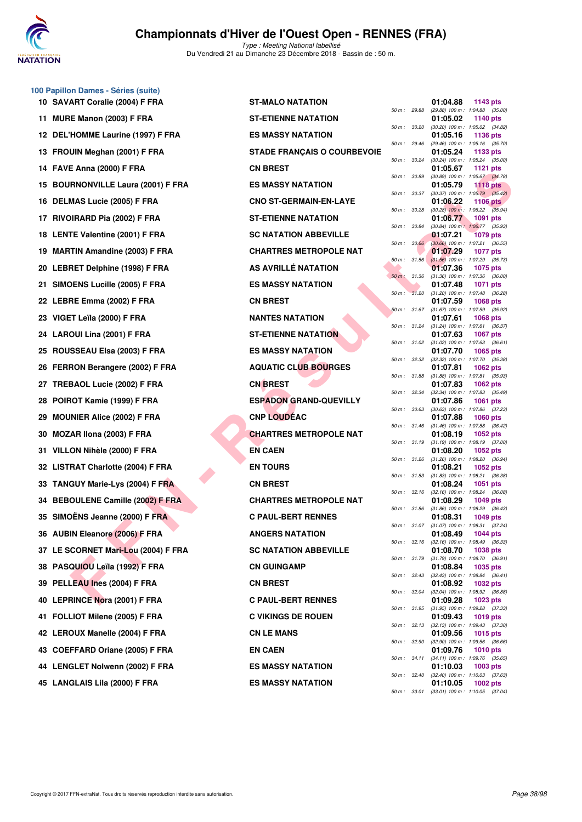

**100 Papillon Dames - Séries (suite)**

## **Championnats d'Hiver de l'Ouest Open - RENNES (FRA)**

|     | 10 SAVART Coralie (2004) F FRA         | ST-MALO NATATION                   |              |              | 01:04.88                                        | 1143 pts        |  |
|-----|----------------------------------------|------------------------------------|--------------|--------------|-------------------------------------------------|-----------------|--|
|     | 11 MURE Manon (2003) F FRA             | <b>ST-ETIENNE NATATION</b>         | 50 m : 29.88 |              | (29.88) 100 m: 1:04.88 (35.00)<br>01:05.02      | <b>1140 pts</b> |  |
|     | 12 DEL'HOMME Laurine (1997) F FRA      | <b>ES MASSY NATATION</b>           | 50 m : 30.20 |              | $(30.20)$ 100 m : 1:05.02 $(34.82)$<br>01:05.16 | 1136 pts        |  |
|     | 13 FROUIN Meghan (2001) F FRA          | <b>STADE FRANÇAIS O COURBEVOIE</b> | 50 m: 29.46  |              | (29.46) 100 m: 1:05.16 (35.70)<br>01:05.24      | 1133 pts        |  |
| 14  | FAVE Anna (2000) F FRA                 | <b>CN BREST</b>                    | 50 m: 30.24  |              | (30.24) 100 m: 1:05.24 (35.00)<br>01:05.67      | <b>1121 pts</b> |  |
| 15  | <b>BOURNONVILLE Laura (2001) F FRA</b> | <b>ES MASSY NATATION</b>           | 50 m : 30.89 |              | (30.89) 100 m : 1:05.67 (34.78)<br>01:05.79     | <b>1118 pts</b> |  |
| 16  | DELMAS Lucie (2005) F FRA              | <b>CNO ST-GERMAIN-EN-LAYE</b>      | 50 m: 30.37  |              | $(30.37)$ 100 m : 1:05.79 $(35.42)$<br>01:06.22 | 1106 $pts$      |  |
| 17  | RIVOIRARD Pia (2002) F FRA             | <b>ST-ETIENNE NATATION</b>         | 50 m : 30.28 |              | $(30.28)$ 100 m : 1:06.22 $(35.94)$<br>01:06.77 | 1091 pts        |  |
|     | 18 LENTE Valentine (2001) F FRA        | <b>SC NATATION ABBEVILLE</b>       | 50 m : 30.84 |              | (30.84) 100 m: 1:06.77 (35.93)<br>01:07.21      | 1079 pts        |  |
|     | <b>MARTIN Amandine (2003) F FRA</b>    | <b>CHARTRES METROPOLE NAT</b>      | 50 m: 30.66  |              | (30.66) 100 m: 1:07.21 (36.55)<br>01:07.29      |                 |  |
| 19  |                                        | AS AVRILLÉ NATATION                | 50 m : 31.56 |              | $(31.56)$ 100 m : 1:07.29 $(35.73)$             | 1077 pts        |  |
|     | 20 LEBRET Delphine (1998) F FRA        |                                    | 50 m: 31.36  |              | 01:07.36<br>$(31.36)$ 100 m : 1:07.36 $(36.00)$ | 1075 pts        |  |
| 21. | SIMOENS Lucille (2005) F FRA           | <b>ES MASSY NATATION</b>           | 50 m: 31.20  |              | 01:07.48<br>$(31.20)$ 100 m : 1:07.48 $(36.28)$ | <b>1071 pts</b> |  |
|     | 22 LEBRE Emma (2002) F FRA             | <b>CN BREST</b>                    | 50 m: 31.67  |              | 01:07.59<br>(31.67) 100 m: 1:07.59 (35.92)      | 1068 pts        |  |
|     | 23 VIGET Leïla (2000) F FRA            | <b>NANTES NATATION</b>             | 50 m: 31.24  |              | 01:07.61<br>(31.24) 100 m: 1:07.61 (36.37)      | <b>1068 pts</b> |  |
|     | 24 LAROUI Lina (2001) F FRA            | <b>ST-ETIENNE NATATION</b>         | 50 m: 31.02  |              | 01:07.63<br>$(31.02)$ 100 m : 1:07.63 $(36.61)$ | 1067 pts        |  |
|     | 25 ROUSSEAU Elsa (2003) F FRA          | <b>ES MASSY NATATION</b>           | 50 m: 32.32  |              | 01:07.70<br>(32.32) 100 m: 1:07.70 (35.38)      | 1065 pts        |  |
| 26  | FERRON Berangere (2002) F FRA          | <b>AQUATIC CLUB BOURGES</b>        | 50 m : 31.88 |              | 01:07.81<br>$(31.88)$ 100 m : 1:07.81 $(35.93)$ | <b>1062 pts</b> |  |
| 27  | TREBAOL Lucie (2002) F FRA             | <b>CN BREST</b>                    |              |              | 01:07.83                                        | 1062 pts        |  |
| 28  | POIROT Kamie (1999) F FRA              | <b>ESPADON GRAND-QUEVILLY</b>      | 50 m: 32.34  |              | (32.34) 100 m: 1:07.83 (35.49)<br>01:07.86      | 1061 pts        |  |
|     | 29 MOUNIER Alice (2002) F FRA          | <b>CNP LOUDEAC</b>                 | 50 m : 30.63 |              | (30.63) 100 m: 1:07.86 (37.23)<br>01:07.88      | <b>1060 pts</b> |  |
| 30  | MOZAR IIona (2003) F FRA               | <b>CHARTRES METROPOLE NAT</b>      | 50 m: 31.46  |              | (31.46) 100 m: 1:07.88 (36.42)<br>01:08.19      | 1052 pts        |  |
| 31. | VILLON Nihèle (2000) F FRA             | <b>EN CAEN</b>                     | 50 m : 31.19 |              | $(31.19)$ 100 m : 1:08.19 $(37.00)$<br>01:08.20 | 1052 pts        |  |
|     | 32 LISTRAT Charlotte (2004) F FRA      | <b>EN TOURS</b>                    | 50 m: 31.26  |              | $(31.26)$ 100 m : 1:08.20 $(36.94)$<br>01:08.21 | 1052 pts        |  |
| 33  | <b>TANGUY Marie-Lys (2004) F FRA</b>   | <b>CN BREST</b>                    | 50 m : 31.83 |              | $(31.83)$ 100 m : 1:08.21 $(36.38)$<br>01:08.24 | 1051 pts        |  |
| 34  | <b>BEBOULENE Camille (2002) F FRA</b>  | <b>CHARTRES METROPOLE NAT</b>      |              | 50 m : 32.16 | $(32.16)$ 100 m : 1:08.24 $(36.08)$<br>01:08.29 | 1049 pts        |  |
|     | 35 SIMOENS Jeanne (2000) F FRA         | <b>C PAUL-BERT RENNES</b>          | 50 m : 31.86 |              | $(31.86)$ 100 m : 1:08.29 $(36.43)$<br>01:08.31 | 1049 pts        |  |
|     | 36 AUBIN Eleanore (2006) F FRA         | <b>ANGERS NATATION</b>             | 50 m: 31.07  |              | $(31.07)$ 100 m : 1:08.31 $(37.24)$<br>01:08.49 | 1044 pts        |  |
|     | 37 LE SCORNET Mari-Lou (2004) F FRA    | <b>SC NATATION ABBEVILLE</b>       |              | 50 m : 32.16 | $(32.16)$ 100 m : 1:08.49 $(36.33)$<br>01:08.70 | <b>1038 pts</b> |  |
|     |                                        |                                    | 50 m : 31.79 |              | $(31.79)$ 100 m : 1:08.70 $(36.91)$             |                 |  |
|     | 38 PASQUIOU Leïla (1992) F FRA         | <b>CN GUINGAMP</b>                 |              | 50 m : 32.43 | 01:08.84<br>$(32.43)$ 100 m : 1:08.84 $(36.41)$ | 1035 pts        |  |
| 39  | PELLEAU Ines (2004) F FRA              | <b>CN BREST</b>                    |              | 50 m : 32.04 | 01:08.92<br>(32.04) 100 m: 1:08.92 (36.88)      | 1032 pts        |  |
| 40  | <b>LEPRINCE Nora (2001) F FRA</b>      | <b>C PAUL-BERT RENNES</b>          | 50 m: 31.95  |              | 01:09.28<br>$(31.95)$ 100 m : 1:09.28 $(37.33)$ | 1023 pts        |  |
| 41  | FOLLIOT Milene (2005) F FRA            | <b>C VIKINGS DE ROUEN</b>          |              | 50 m: 32.13  | 01:09.43<br>$(32.13)$ 100 m : 1:09.43 $(37.30)$ | 1019 pts        |  |
|     | 42 LEROUX Manelle (2004) F FRA         | <b>CN LE MANS</b>                  | 50 m : 32.90 |              | 01:09.56<br>(32.90) 100 m: 1:09.56 (36.66)      | 1015 pts        |  |
|     | 43 COEFFARD Oriane (2005) F FRA        | <b>EN CAEN</b>                     |              | 50 m : 34.11 | 01:09.76<br>$(34.11)$ 100 m : 1:09.76 $(35.65)$ | <b>1010 pts</b> |  |
|     | 44 LENGLET Nolwenn (2002) F FRA        | <b>ES MASSY NATATION</b>           | 50 m : 32.40 |              | 01:10.03<br>(32.40) 100 m: 1:10.03 (37.63)      | 1003 pts        |  |
|     | 45 LANGLAIS Lila (2000) F FRA          | <b>ES MASSY NATATION</b>           |              |              | 01:10.05                                        | 1002 pts        |  |

| <b>-MALO NATATION</b>            |
|----------------------------------|
| <b>-ETIENNE NATATION</b>         |
| <b>MASSY NATATION</b>            |
| <b>ADE FRANÇAIS O COURBEVOIE</b> |
| <b>I BREST</b>                   |
| <b>MASSY NATATION</b>            |
| <b>JO ST-GERMAIN-EN-LAYE</b>     |
| <b>-ETIENNE NATATION</b>         |
| <b>NATATION ABBEVILLE</b>        |
| <b>IARTRES METROPOLE NAT</b>     |
| S AVRILLÉ NATATION               |
| <b>MASSY NATATION</b>            |
| <b>IBREST</b>                    |
| <b>INTES NATATION</b>            |
| <b>-ETIENNE NATATION</b>         |
| <b>MASSY NATATION</b>            |
| <b>QUATIC CLUB BOURGES</b>       |
| <b>BREST</b>                     |
| <b>PADON GRAND-QUEVILLY</b>      |
| <b>IP LOUDÉAC</b>                |
| <b>JARTRES METROPOLE NAT</b>     |
| I CAEN                           |
| I TOURS                          |
| <b>IBREST</b>                    |
| HARTRES METROPOLE NAT            |
| <b>PAUL-BERT RENNES</b>          |
| <b>IGERS NATATION</b>            |
| <b>NATATION ABBEVILLE</b>        |
| <b>J GUINGAMP</b>                |
| <b>I BREST</b>                   |
| <b>PAUL-BERT RENNES</b>          |
| <b>VIKINGS DE ROUEN</b>          |
| <b>I LE MANS</b>                 |
| I CAEN                           |
| <b>MASSY NATATION</b>            |
| <b>MASSY NATATION</b>            |

|          |       | 01:04.88                      | 1143 pts            |                |
|----------|-------|-------------------------------|---------------------|----------------|
| 50 m :   | 29.88 | (29.88) 100 m :               | 1:04.88             | (35.00)        |
| 50 m :   | 30.20 | 01:05.02<br>$(30.20)$ 100 m : | 1140 pts<br>1:05.02 | (34.82)        |
|          |       | 01:05.16                      | 1136 pts            |                |
| $50 m$ : | 29.46 | (29.46) 100 m :<br>01:05.24   | 1:05.16<br>1133     | (35.70)        |
| 50 m :   | 30.24 | $(30.24) 100 m$ :             | 1:05.24             | pts<br>(35.00) |
|          |       | 01:05.67                      | 1121                | pts            |
| 50 m :   | 30.89 | $(30.89)$ 100 m :<br>01:05.79 | 1:05.67<br>1118     | (34.78)<br>pts |
| 50 m :   | 30.37 | $(30.37)$ 100 m :             | 1:05.79             | (35.42)        |
|          |       | 01:06.22                      | 1106                | pts            |
| $50 m$ : | 30.28 | $(30.28)$ 100 m :<br>01:06.77 | 1:06.22<br>1091     | (35.94)<br>pts |
| 50 m :   | 30.84 | $(30.84)$ 100 m :             | 1:06.77             | (35.93)        |
| 50 m :   | 30.66 | 01:07.21<br>$(30.66)$ 100 m : | 1079<br>1:07.21     | pts<br>(36.55) |
|          |       | 01:07.29                      | 1077                | pts            |
| 50 m :   | 31.56 | $(31.56) 100 m$ :             | 1:07.29             | (35.73)        |
| $50 m$ : | 31.36 | 01:07.36<br>$(31.36) 100 m$ : | 1075<br>1:07.36     | pts<br>(36.00) |
|          |       | 01:07.48                      | 1071                | pts            |
| 50 m :   | 31.20 | $(31.20)$ 100 m :             | 1:07.48             | (36.28)        |
| 50 m :   | 31.67 | 01:07.59<br>$(31.67) 100 m$ : | 1068<br>1:07.59     | pts<br>(35.92) |
|          |       | 01:07.61                      | 1068                | pts            |
| 50 m :   | 31.24 | $(31.24) 100 m$ :<br>01:07.63 | 1:07.61<br>1067     | (36.37)        |
| 50 m :   | 31.02 | $(31.02) 100 m$ :             | 1:07.63             | pts<br>(36.61) |
|          |       | 01:07.70                      | 1065                | pts            |
| $50 m$ : | 32.32 | $(32.32)$ 100 m :<br>01:07.81 | 1:07.70<br>1062 pts | (35.38)        |
| 50 m :   | 31.88 | (31.88) 100 m :               | 1:07.81             | (35.93)        |
|          |       | 01:07.83                      | 1062                | pts            |
| $50 m$ : | 32.34 | $(32.34) 100 m$ :<br>01:07.86 | 1:07.83<br>1061     | (35.49)<br>pts |
| 50 m :   | 30.63 | $(30.63) 100 m$ :             | 1:07.86             | (37.23)        |
| 50 m :   | 31.46 | 01:07.88<br>$(31.46) 100 m$ : | 1060<br>1:07.88     | pts<br>(36.42) |
|          |       | 01:08.19                      | 1052 pts            |                |
| 50 m :   | 31.19 | $(31.19) 100 m$ :             | 1:08.19             | (37.00)        |
| 50 m :   | 31.26 | 01:08.20<br>$(31.26)$ 100 m : | 1052 pts<br>1:08.20 | (36.94)        |
|          |       | 01:08.21                      | 1052 pts            |                |
| $50 m$ : | 31.83 | $(31.83) 100 m$ :<br>01:08.24 | 1:08.21<br>1051     | (36.38)<br>pts |
| $50 m$ : | 32.16 | $(32.16) 100 m$ :             | 1:08.24             | (36.08)        |
|          |       | 01:08.29                      | 1049 pts            |                |
| $50 m$ : | 31.86 | $(31.86) 100 m$ :<br>01:08.31 | 1:08.29<br>1049 pts | (36.43)        |
| 50 m :   | 31.07 | (31.07) 100 m :               | 1:08.31             | (37.24)        |
| 50 m :   | 32.16 | 01:08.49<br>$(32.16) 100 m$ : | 1044 pts<br>1:08.49 | (36.33)        |
|          |       | 01:08.70                      | 1038 pts            |                |
| $50 m$ : | 31.79 | $(31.79) 100 m$ :             | 1:08.70             | (36.91)        |
| $50 m$ : | 32.43 | 01:08.84<br>$(32.43) 100 m$ : | 1035 pts<br>1:08.84 | (36.41)        |
|          |       | 01:08.92                      | 1032 pts            |                |
| $50 m$ : | 32.04 | (32.04) 100 m :               | 1:08.92             | (36.88)        |
| 50 m :   | 31.95 | 01:09.28<br>$(31.95) 100 m$ : | 1023 pts<br>1:09.28 | (37.33)        |
|          |       | 01:09.43                      | 1019 pts            |                |
| $50 m$ : | 32.13 | $(32.13) 100 m$ :<br>01:09.56 | 1:09.43<br>1015 pts | (37.30)        |
| $50 m$ : | 32.90 | (32.90) 100 m :               | 1:09.56             | (36.66)        |
|          |       | 01:09.76                      | 1010 pts            |                |
| $50 m$ : | 34.11 | $(34.11)$ 100 m :<br>01:10.03 | 1:09.76<br>1003 pts | (35.65)        |
| $50 m$ : | 32.40 | $(32.40)$ 100 m :             | 1:10.03             | (37.63)        |
|          |       | 01:10.05                      | 1002 pts            |                |
| $50 m$ : | 33.01 | $(33.01)$ 100 m :             | 1:10.05             | (37.04)        |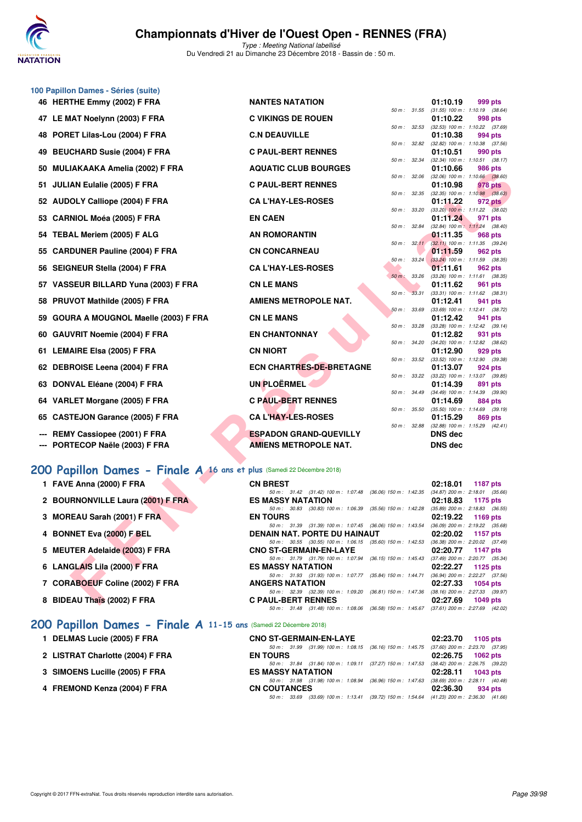

Type : Meeting National labellisé Du Vendredi 21 au Dimanche 23 Décembre 2018 - Bassin de : 50 m.

|     | 100 Papillon Dames - Séries (suite)                                    |                                                                                                                           |                  |                                                                    |
|-----|------------------------------------------------------------------------|---------------------------------------------------------------------------------------------------------------------------|------------------|--------------------------------------------------------------------|
|     | 46 HERTHE Emmy (2002) F FRA                                            | <b>NANTES NATATION</b>                                                                                                    |                  | 01:10.19<br>999 pts                                                |
|     | 47 LE MAT Noelynn (2003) F FRA                                         | <b>C VIKINGS DE ROUEN</b>                                                                                                 | 50 m : 31.55     | $(31.55)$ 100 m : 1:10.19 $(38.64)$<br>01:10.22<br>998 pts         |
| 48  | PORET Lilas-Lou (2004) F FRA                                           | <b>C.N DEAUVILLE</b>                                                                                                      | 50 m : 32.53     | $(32.53)$ 100 m : 1:10.22 $(37.69)$<br>01:10.38<br>994 pts         |
| 49  | <b>BEUCHARD Susie (2004) F FRA</b>                                     | <b>C PAUL-BERT RENNES</b>                                                                                                 | 50 m: 32.82      | $(32.82)$ 100 m : 1:10.38 $(37.56)$<br>01:10.51<br>990 pts         |
| 50  | <b>MULIAKAAKA Amelia (2002) F FRA</b>                                  | <b>AQUATIC CLUB BOURGES</b>                                                                                               | 50 m: 32.34      | (32.34) 100 m: 1:10.51 (38.17)<br>986 pts<br>01:10.66              |
| 51  | <b>JULIAN Eulalie (2005) F FRA</b>                                     | <b>C PAUL-BERT RENNES</b>                                                                                                 | 50 m: 32.06      | $(32.06)$ 100 m : 1:10.66 $(38.60)$<br>01:10.98<br>978 pts         |
|     | 52 AUDOLY Calliope (2004) F FRA                                        | <b>CA L'HAY-LES-ROSES</b>                                                                                                 | 50 m : 32.35     | $(32.35)$ 100 m : 1:10.98 $(38.63)$<br>01:11.22<br>972 pts         |
|     |                                                                        | <b>EN CAEN</b>                                                                                                            | 50 m : 33.20     | $(33.20)$ 100 m : 1:11.22 $(38.02)$                                |
|     | 53 CARNIOL Moéa (2005) F FRA                                           |                                                                                                                           | 50 m : 32.84     | 01:11.24<br>971 pts<br>(32.84) 100 m: 1:11.24 (38.40)              |
|     | 54 TEBAL Meriem (2005) F ALG                                           | <b>AN ROMORANTIN</b>                                                                                                      | 50 m: 32.11      | 01:11.35<br>968 pts<br>$(32.11)$ 100 m : 1:11.35 $(39.24)$         |
|     | 55 CARDUNER Pauline (2004) F FRA                                       | <b>CN CONCARNEAU</b>                                                                                                      | 50 m: 33.24      | 01:11.59<br>962 pts<br>$(33.24)$ 100 m : 1:11.59 $(38.35)$         |
|     | 56 SEIGNEUR Stella (2004) F FRA                                        | <b>CA L'HAY-LES-ROSES</b>                                                                                                 | $50 m$ : $33.26$ | 01:11.61<br>962 pts<br>$(33.26)$ 100 m : 1:11.61 $(38.35)$         |
| 57  | VASSEUR BILLARD Yuna (2003) F FRA                                      | <b>CN LE MANS</b>                                                                                                         |                  | 01:11.62<br>961 pts                                                |
| 58  | PRUVOT Mathilde (2005) F FRA                                           | <b>AMIENS METROPOLE NAT.</b>                                                                                              | 50 m : 33.31     | $(33.31)$ 100 m : 1:11.62 $(38.31)$<br>01:12.41<br>941 pts         |
| 59  | <b>GOURA A MOUGNOL Maelle (2003) F FRA</b>                             | <b>CN LE MANS</b>                                                                                                         | 50 m: 33.69      | $(33.69)$ 100 m : 1:12.41 $(38.72)$<br>01:12.42<br>941 pts         |
| 60  | <b>GAUVRIT Noemie (2004) F FRA</b>                                     | <b>EN CHANTONNAY</b>                                                                                                      | 50 m : 33.28     | $(33.28)$ 100 m : 1:12.42 $(39.14)$<br>01:12.82<br>931 pts         |
|     | 61 LEMAIRE Elsa (2005) F FRA                                           | <b>CN NIORT</b>                                                                                                           | 50 m: 34.20      | (34.20) 100 m : 1:12.82 (38.62)<br>01:12.90<br>929 pts             |
|     | 62 DEBROISE Leena (2004) F FRA                                         | <b>ECN CHARTRES-DE-BRETAGNE</b>                                                                                           | 50 m: 33.52      | (33.52) 100 m: 1:12.90 (39.38)<br>01:13.07<br>924 pts              |
|     |                                                                        | <b>UN PLOËRMEL</b>                                                                                                        | 50 m: 33.22      | $(33.22)$ 100 m : 1:13.07 $(39.85)$                                |
|     | 63 DONVAL Eléane (2004) F FRA                                          |                                                                                                                           | 50 m : 34.49     | 01:14.39<br>891 pts<br>(34.49) 100 m: 1:14.39 (39.90)              |
| 64  | VARLET Morgane (2005) F FRA                                            | <b>C PAUL-BERT RENNES</b>                                                                                                 | 50 m: 35.50      | 01:14.69<br>884 pts<br>$(35.50)$ 100 m : 1:14.69 $(39.19)$         |
| 65  | <b>CASTEJON Garance (2005) F FRA</b>                                   | <b>CA L'HAY-LES-ROSES</b>                                                                                                 | 50 m : 32.88     | 01:15.29<br>869 pts<br>(32.88) 100 m: 1:15.29 (42.41)              |
|     | REMY Cassiopee (2001) F FRA                                            | <b>ESPADON GRAND-QUEVILLY</b>                                                                                             |                  | DNS dec                                                            |
| --- | PORTECOP Naële (2003) F FRA                                            | <b>AMIENS METROPOLE NAT.</b>                                                                                              |                  | DNS dec                                                            |
|     | 200 Papillon Dames - Finale A 16 ans et plus (Samedi 22 Décembre 2018) |                                                                                                                           |                  |                                                                    |
|     | 1 FAVE Anna (2000) F FRA                                               | <b>CN BREST</b>                                                                                                           |                  | 02:18.01<br>1187 pts                                               |
|     | 2 BOURNONVILLE Laura (2001) F FRA                                      | 50 m: 31.42 (31.42) 100 m: 1:07.48 (36.06) 150 m: 1:42.35<br><b>ES MASSY NATATION</b>                                     |                  | $(34.87)$ 200 m : 2:18.01 $(35.66)$<br>02:18.83<br>1175 pts        |
|     | 3 MOREAU Sarah (2001) F FRA                                            | 50 m: 30.83 (30.83) 100 m: 1:06.39 (35.56) 150 m: 1:42.28<br><b>EN TOURS</b>                                              |                  | $(35.89)$ 200 m : 2:18.83 $(36.55)$<br>02:19.22<br>1169 pts        |
|     | 4 BONNET Eva (2000) F BEL                                              | 50 m: 31.39 (31.39) 100 m: 1:07.45 (36.06) 150 m: 1:43.54<br>DENAIN NAT. PORTE DU HAINAUT                                 |                  | $(36.09)$ 200 m : 2:19.22 $(35.68)$<br>02:20.02<br><b>1157 pts</b> |
|     | 5 MEUTER Adelaide (2003) F FRA                                         | 50 m: 30.55 (30.55) 100 m: 1:06.15 (35.60) 150 m: 1:42.53 (36.38) 200 m: 2:20.02 (37.49)<br><b>CNO ST-GERMAIN-EN-LAYE</b> |                  | 02:20.77<br><b>1147 pts</b>                                        |
|     |                                                                        | 50 m : 31.79 (31.79) 100 m : 1:07.94 (36.15) 150 m : 1:45.43                                                              |                  | (37.49) 200 m : 2:20.77 (35.34)                                    |
|     | 6 LANGLAIS Lila (2000) F FRA                                           | <b>ES MASSY NATATION</b><br>50 m: 31.93 (31.93) 100 m: 1:07.77 (35.84) 150 m: 1:44.71                                     |                  | 02:22.27<br>1125 pts<br>(36.94) 200 m : 2:22.27 (37.56)            |
|     | 7 CORABOEUF Coline (2002) F FRA                                        | <b>ANGERS NATATION</b><br>50 m: 32.39 (32.39) 100 m: 1:09.20 (36.81) 150 m: 1:47.36                                       |                  | 02:27.33<br>1054 pts<br>(38.16) 200 m : 2:27.33 (39.97)            |
|     | 8 BIDEAU Thaïs (2002) F FRA                                            | <b>C PAUL-BERT RENNES</b>                                                                                                 |                  | 02:27.69<br>1049 pts                                               |

# **[200 Papillon Dames - Finale A](http://www.ffnatation.fr/webffn/resultats.php?idact=nat&go=epr&idcpt=55947&idepr=33) 16 ans et plus** (Samedi 22 Décembre 2018)

- 
- **2 BOURNONVILLE Laura (2001) F FRA ESSENT RESPONSIVELY**
- **3 MOREAU Sarah (2001) F FRA**
- **4 BONNET Eva (2000) F BEL**
- **5 MEUTER Adelaide (2003) F FRA**
- **6 LANGLAIS Lila (2000) F FRA**
- **7 CORABOEUF Coline (2002) F FRA**
- **8 BIDEAU Thaïs (2002) F FRA C PAULE-BERT REN**

#### **[200 Papillon Dames - Finale A](http://www.ffnatation.fr/webffn/resultats.php?idact=nat&go=epr&idcpt=55947&idepr=33) 11-15 ans** (Samedi 22 Décembre 2018)

- **1 DELMAS Lucie (2005) F FRA**
- **2 LISTRAT Charlotte (2004) F FRA**
- **3 SIMOENS Lucille (2005) F FRA**
- **4 FREMOND Kenza (2004) F FRA**

| 1 FAVE Anna (2000) F FRA          | <b>CN BREST</b>                                                                          |  |  | 02:18.01 1187 pts                   |          |  |
|-----------------------------------|------------------------------------------------------------------------------------------|--|--|-------------------------------------|----------|--|
|                                   | 50 m: 31.42 (31.42) 100 m: 1:07.48 (36.06) 150 m: 1:42.35 (34.87) 200 m: 2:18.01 (35.66) |  |  |                                     |          |  |
| 2 BOURNONVILLE Laura (2001) F FRA | <b>ES MASSY NATATION</b>                                                                 |  |  | 02:18.83 1175 pts                   |          |  |
|                                   | 50 m : 30.83 (30.83) 100 m : 1:06.39 (35.56) 150 m : 1:42.28                             |  |  | $(35.89)$ 200 m : 2:18.83 $(36.55)$ |          |  |
| 3 MOREAU Sarah (2001) F FRA       | <b>EN TOURS</b>                                                                          |  |  | 02:19.22 1169 pts                   |          |  |
|                                   | 50 m: 31.39 (31.39) 100 m: 1:07.45 (36.06) 150 m: 1:43.54                                |  |  | $(36.09)$ 200 m : 2:19.22 $(35.68)$ |          |  |
| 4 BONNET Eva (2000) F BEL         | DENAIN NAT. PORTE DU HAINAUT                                                             |  |  | $02:20.02$ 1157 pts                 |          |  |
|                                   | 50 m: 30.55 (30.55) 100 m: 1:06.15 (35.60) 150 m: 1:42.53                                |  |  | $(36.38)$ 200 m : 2:20.02 $(37.49)$ |          |  |
| 5 MEUTER Adelaide (2003) F FRA    | <b>CNO ST-GERMAIN-EN-LAYE</b>                                                            |  |  | 02:20.77 1147 pts                   |          |  |
|                                   | 50 m: 31.79 (31.79) 100 m: 1:07.94 (36.15) 150 m: 1:45.43                                |  |  | $(37.49)$ 200 m : 2:20.77 $(35.34)$ |          |  |
| 6 LANGLAIS Lila (2000) F FRA      | <b>ES MASSY NATATION</b>                                                                 |  |  | 02:22.27 1125 pts                   |          |  |
|                                   | 50 m: 31.93 (31.93) 100 m: 1:07.77 (35.84) 150 m: 1:44.71                                |  |  | $(36.94)$ 200 m : 2:22.27 $(37.56)$ |          |  |
| 7 CORABOEUF Coline (2002) F FRA   | <b>ANGERS NATATION</b>                                                                   |  |  | 02:27.33                            | 1054 pts |  |
|                                   | 50 m: 32.39 (32.39) 100 m: 1:09.20 (36.81) 150 m: 1:47.36                                |  |  | $(38.16)$ 200 m : 2:27.33 $(39.97)$ |          |  |
| 8 BIDEAU Thais (2002) F FRA       | <b>C PAUL-BERT RENNES</b>                                                                |  |  | 02:27.69 1049 pts                   |          |  |
|                                   | 50 m: 31.48 (31.48) 100 m: 1:08.06 (36.58) 150 m: 1:45.67 (37.61) 200 m: 2:27.69 (42.02) |  |  |                                     |          |  |

| <b>CNO ST-GERMAIN-EN-LAYE</b> |                                                                                          | $02:23.70$ 1105 pts |
|-------------------------------|------------------------------------------------------------------------------------------|---------------------|
|                               | 50 m: 31.99 (31.99) 100 m: 1.08.15 (36.16) 150 m: 1.45.75 (37.60) 200 m: 2:23.70 (37.95) |                     |
| <b>EN TOURS</b>               |                                                                                          | 02:26.75 1062 pts   |
|                               | 50 m: 31.84 (31.84) 100 m: 1.09.11 (37.27) 150 m: 1.47.53 (38.42) 200 m: 2:26.75 (39.22) |                     |
| <b>ES MASSY NATATION</b>      |                                                                                          | 02:28.11 1043 pts   |
|                               | 50 m: 31.98 (31.98) 100 m: 1.08.94 (36.96) 150 m: 1.47.63 (38.69) 200 m: 2:28.11 (40.48) |                     |
| <b>CN COUTANCES</b>           |                                                                                          | 02:36.30 934 pts    |
| 50 m : 33.69                  | $(33.69)$ 100 m: 1:13.41 $(39.72)$ 150 m: 1:54.64 $(41.23)$ 200 m: 2:36.30 $(41.66)$     |                     |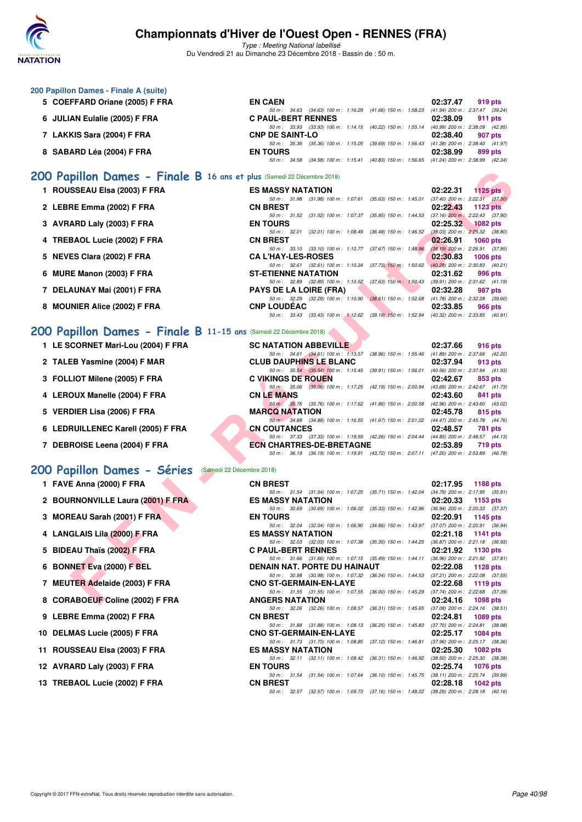

| 200 Papillon Dames - Finale A (suite)                                  |                                                                                                                                                                          |                                                                    |
|------------------------------------------------------------------------|--------------------------------------------------------------------------------------------------------------------------------------------------------------------------|--------------------------------------------------------------------|
| 5 COEFFARD Oriane (2005) F FRA                                         | <b>EN CAEN</b><br>50 m: 34.63 (34.63) 100 m: 1:16.29 (41.66) 150 m: 1:58.23                                                                                              | 02:37.47<br>919 pts<br>(41.94) 200 m : 2:37.47 (39.24)             |
| 6 JULIAN Eulalie (2005) F FRA                                          | <b>C PAUL-BERT RENNES</b><br>50 m : 33.93 (33.93) 100 m : 1:14.15 (40.22) 150 m : 1:55.14                                                                                | 02:38.09<br>911 pts<br>(40.99) 200 m : 2:38.09 (42.95)             |
| 7 LAKKIS Sara (2004) F FRA                                             | <b>CNP DE SAINT-LO</b><br>50 m: 35.36 (35.36) 100 m: 1:15.05 (39.69) 150 m: 1:56.43 (41.38) 200 m: 2:38.40 (41.97)                                                       | 02:38.40<br>907 pts                                                |
| 8 SABARD Léa (2004) F FRA                                              | <b>EN TOURS</b>                                                                                                                                                          | 02:38.99<br>899 pts                                                |
|                                                                        | 50 m: 34.58 (34.58) 100 m: 1:15.41 (40.83) 150 m: 1:56.65 (41.24) 200 m: 2:38.99 (42.34)                                                                                 |                                                                    |
| 200 Papillon Dames - Finale B 16 ans et plus (Samedi 22 Décembre 2018) |                                                                                                                                                                          |                                                                    |
| 1 ROUSSEAU Elsa (2003) F FRA                                           | <b>ES MASSY NATATION</b><br>50 m: 31.98 (31.98) 100 m: 1:07.61 (35.63) 150 m: 1:45.01                                                                                    | 02:22.31<br><b>1125 pts</b><br>$(37.40)$ 200 m : 2:22.31 $(37.30)$ |
| 2 LEBRE Emma (2002) F FRA                                              | <b>CN BREST</b><br>50 m: 31.52 (31.52) 100 m: 1:07.37 (35.85) 150 m: 1:44.53                                                                                             | 02:22.43<br>$1123$ pts                                             |
| 3 AVRARD Laly (2003) F FRA                                             | <b>EN TOURS</b>                                                                                                                                                          | $(37.16)$ 200 m : 2:22.43 $(37.90)$<br>02:25.32<br>1082 pts        |
| 4 TREBAOL Lucie (2002) F FRA                                           | 50 m: 32.01 (32.01) 100 m: 1:08.49 (36.48) 150 m: 1:46.52<br><b>CN BREST</b>                                                                                             | $(38.03)$ 200 m : 2:25.32 $(38.80)$<br>02:26.91<br><b>1060 pts</b> |
| 5 NEVES Clara (2002) F FRA                                             | 50 m: 33.10 (33.10) 100 m: 1:10.77 (37.67) 150 m: 1:48.96<br><b>CA L'HAY-LES-ROSES</b>                                                                                   | $(38.19)$ 200 m : 2:26.91 $(37.95)$<br>02:30.83<br>1006 pts        |
|                                                                        | 50 m: 32.61 (32.61) 100 m: 1:10.34 (37.73) 150 m: 1:50.62 (40.28) 200 m: 2:30.83 (40.21)                                                                                 |                                                                    |
| 6 MURE Manon (2003) F FRA                                              | <b>ST-ETIENNE NATATION</b><br>50 m: 32.89 (32.89) 100 m: 1:10.52 (37.63) 150 m: 1:50.43 (39.91) 200 m: 2:31.62 (41.19)                                                   | 02:31.62<br>996 pts                                                |
| 7 DELAUNAY Mai (2001) F FRA                                            | <b>PAYS DE LA LOIRE (FRA)</b><br>50 m: 32.29 (32.29) 100 m: 1:10.90 (38.61) 150 m: 1:52.68 (41.78) 200 m: 2:32.28 (39.60)                                                | 02:32.28<br>987 pts                                                |
| 8 MOUNIER Alice (2002) F FRA                                           | <b>CNP LOUDEAC</b><br>50 m: 33.43 (33.43) 100 m: 1:12.62 (39.19) 150 m: 1:52.94 (40.32) 200 m: 2:33.85 (40.91)                                                           | 02:33.85<br>966 pts                                                |
|                                                                        |                                                                                                                                                                          |                                                                    |
| 200 Papillon Dames - Finale B 11-15 ans (Samedi 22 Décembre 2018)      |                                                                                                                                                                          | 02:37.66                                                           |
| 1 LE SCORNET Mari-Lou (2004) F FRA                                     | <b>SC NATATION ABBEVILLE</b><br>50 m: 34.61 (34.61) 100 m: 1:13.57 (38.96) 150 m: 1:55.46 (41.89) 200 m: 2:37.66 (42.20)                                                 | 916 pts                                                            |
| 2 TALEB Yasmine (2004) F MAR                                           | <b>CLUB DAUPHINS LE BLANC</b><br>50 m: 35.54 (35.54) 100 m: 1:15.45 (39.91) 150 m: 1:56.01                                                                               | 02:37.94<br>913 pts<br>(40.56) 200 m : 2:37.94 (41.93)             |
| 3 FOLLIOT Milene (2005) F FRA                                          | <b>C VIKINGS DE ROUEN</b><br>50 m: 35.06 (35.06) 100 m: 1:17.25 (42.19) 150 m: 2:00.94                                                                                   | 02:42.67<br>853 pts<br>(43.69) 200 m : 2:42.67 (41.73)             |
| 4 LEROUX Manelle (2004) F FRA                                          | <b>CN LE MANS</b>                                                                                                                                                        | 02:43.60<br>841 pts                                                |
| 5 VERDIER Lisa (2006) F FRA                                            | 50 m : 35.76 (35.76) 100 m : 1:17.62 (41.86) 150 m : 2:00.58<br><b>MARCQ NATATION</b>                                                                                    | (42.96) 200 m : 2:43.60 (43.02)<br>02:45.78<br>815 pts             |
| 6 LEDRUILLENEC Karell (2005) F FRA                                     | 50 m · 34.88 (34.88) 100 m : 1:16.55 (41.67) 150 m : 2:01.02 (44.47) 200 m : 2:45.78 (44.76)<br><b>CN COUTANCES</b>                                                      | 02:48.57<br>781 pts                                                |
| 7 DEBROISE Leena (2004) F FRA                                          | 50 m: 37.33 (37.33) 100 m: 1:19.59 (42.26) 150 m: 2:04.44 (44.85) 200 m: 2:48.57 (44.13)<br><b>ECN CHARTRES-DE-BRETAGNE</b>                                              | 02:53.89<br>719 pts                                                |
|                                                                        | 50 m: 36.19 (36.19) 100 m: 1:19.91 (43.72) 150 m: 2:07.11 (47.20) 200 m: 2:53.89 (46.78)                                                                                 |                                                                    |
| 200 Papillon Dames - Séries<br>(Samedi 22 Décembre 2018)               |                                                                                                                                                                          |                                                                    |
| 1 FAVE Anna (2000) F FRA                                               | <b>CN BREST</b>                                                                                                                                                          | 02:17.95<br>1188 pts                                               |
| 2 BOURNONVILLE Laura (2001) F FRA                                      | 50 m: 31.54 (31.54) 100 m: 1:07.25 (35.71) 150 m: 1:42.04<br><b>ES MASSY NATATION</b>                                                                                    | $(34.79)$ 200 m : 2:17.95 $(35.91)$<br>02:20.33<br>1153 pts        |
| 3 MOREAU Sarah (2001) F FRA                                            | 50 m: 30.69 (30.69) 100 m: 1:06.02 (35.33) 150 m: 1:42.96<br><b>EN TOURS</b>                                                                                             | $(36.94)$ 200 m : 2:20.33 $(37.37)$<br>02:20.91<br>1145 pts        |
|                                                                        | 50 m : 32.04 (32.04) 100 m : 1:06.90 (34.86) 150 m : 1:43.97                                                                                                             | (37.07) 200 m : 2:20.91 (36.94)                                    |
| 4 LANGLAIS Lila (2000) F FRA                                           | <b>ES MASSY NATATION</b><br>50 m: 32.03 (32.03) 100 m: 1:07.38 (35.35) 150 m: 1:44.25 (36.87) 200 m: 2:21.18 (36.93)                                                     | 02:21.18<br><b>1141 pts</b>                                        |
| 5 BIDEAU Thaïs (2002) F FRA                                            | <b>C PAUL-BERT RENNES</b><br>50 m: 31.66 (31.66) 100 m: 1:07.15 (35.49) 150 m: 1:44.11 (36.96) 200 m: 2:21.92 (37.81)                                                    | 02:21.92<br>1130 pts                                               |
| 6 BONNET Eva (2000) F BEL                                              | DENAIN NAT. PORTE DU HAINAUT<br>50 m : 30.98 (30.98) 100 m : 1:07.32 (36.34) 150 m : 1:44.53                                                                             | 02:22.08<br>1128 pts<br>$(37.21)$ 200 m : 2:22.08 $(37.55)$        |
| 7 MEUTER Adelaide (2003) F FRA                                         | <b>CNO ST-GERMAIN-EN-LAYE</b>                                                                                                                                            | 02:22.68<br>1119 pts                                               |
| 8 CORABOEUF Coline (2002) F FRA                                        | 50 m: 31.55 (31.55) 100 m: 1:07.55 (36.00) 150 m: 1:45.29<br><b>ANGERS NATATION</b>                                                                                      | (37.74) 200 m : 2:22.68 (37.39)<br>02:24.16<br>1098 pts            |
| 9 LEBRE Emma (2002) F FRA                                              | 50 m: 32.26 (32.26) 100 m: 1:08.57 (36.31) 150 m: 1:45.65<br><b>CN BREST</b>                                                                                             | $(37.08)$ 200 m : 2:24.16 $(38.51)$<br>02:24.81<br>1089 pts        |
| 10 DELMAS Lucie (2005) F FRA                                           | 50 m : 31.88 (31.88) 100 m : 1:08.13 (36.25) 150 m : 1:45.83<br><b>CNO ST-GERMAIN-EN-LAYE</b>                                                                            | $(37.70)$ 200 m : 2:24.81 $(38.98)$<br>02:25.17<br>1084 pts        |
|                                                                        | 50 m : 31.73 (31.73) 100 m : 1:08.85 (37.12) 150 m : 1:46.81                                                                                                             | (37.96) 200 m : 2:25.17 (38.36)                                    |
| 11 ROUSSEAU Elsa (2003) F FRA                                          | <b>ES MASSY NATATION</b><br>50 m : 32.11 (32.11) 100 m : 1:08.42 (36.31) 150 m : 1:46.92                                                                                 | 02:25.30<br>1082 pts<br>$(38.50)$ 200 m : 2:25.30 $(38.38)$        |
| 12 AVRARD Laly (2003) F FRA                                            | <b>EN TOURS</b>                                                                                                                                                          | 02:25.74<br>1076 pts                                               |
|                                                                        |                                                                                                                                                                          |                                                                    |
| 13 TREBAOL Lucie (2002) F FRA                                          | 50 m: 31.54 (31.54) 100 m: 1:07.64 (36.10) 150 m: 1:45.75<br><b>CN BREST</b><br>50 m: 32.57 (32.57) 100 m: 1:09.73 (37.16) 150 m: 1:48.02 (38.29) 200 m: 2:28.18 (40.16) | (38.11) 200 m : 2:25.74 (39.99)<br>02:28.18<br>1042 pts            |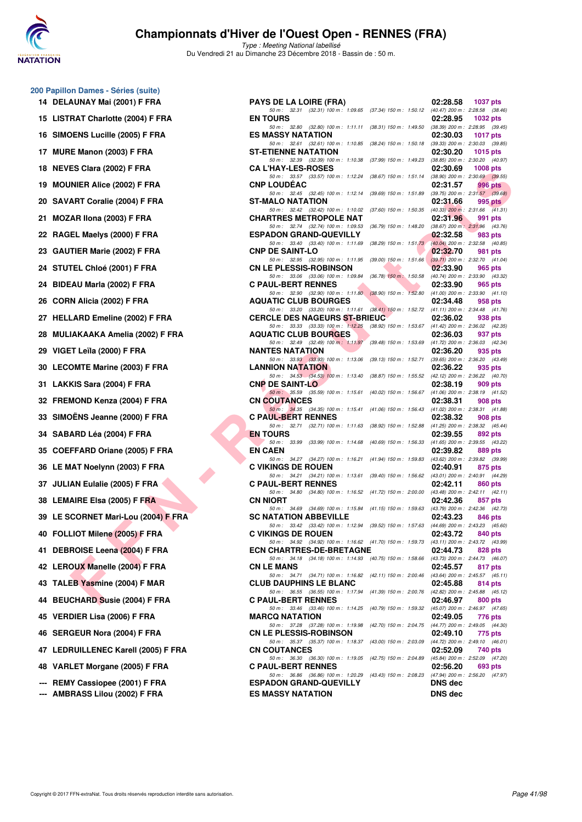

**200 Papillon Dames - Séries (suite)**

#### **Championnats d'Hiver de l'Ouest Open - RENNES (FRA)**

| 14  | DELAUNAY Mai (2001) F FRA             |
|-----|---------------------------------------|
| 15  | <b>LISTRAT Charlotte (2004) F FRA</b> |
| 16  | SIMOENS Lucille (2005) F FRA          |
| 17  | MURE Manon (2003) F FRA               |
| 18  | NEVES Clara (2002) F FRA              |
| 19  | <b>MOUNIER Alice (2002) F FRA</b>     |
| 20  | SAVART Coralie (2004) F FRA           |
| 21  | MOZAR IIona (2003) F FRA              |
| 22  | RAGEL Maelys (2000) F FRA             |
| 23  | GAUTIER Marie (2002) F FRA            |
|     | 24 STUTEL Chloé (2001) F FRA          |
| 24  | BIDEAU Marla (2002) F FRA             |
| 26  | CORN Alicia (2002) F FRA              |
| 27  | <b>HELLARD Emeline (2002) F FRA</b>   |
| 28  | MULIAKAAKA Amelia (2002) F FRA        |
| 29  | VIGET Leïla (2000) F FRA              |
| 30  | <b>LECOMTE Marine (2003) F FRA</b>    |
| 31  | LAKKIS Sara (2004) F FRA              |
| 32  | FREMOND Kenza (2004) F FRA            |
| 33  | SIMOËNS Jeanne (2000) F FRA           |
| 34  | SABARD Léa (2004) F FRA               |
| 35  | COEFFARD Oriane (2005) F FRA          |
| 36  | LE MAT Noelynn (2003) F FRA           |
| 37  | JULIAN Eulalie (2005) F FRA           |
| 38  | <b>LEMAIRE Elsa (2005) F FRA</b>      |
| 39  | LE SCORNET Mari-Lou (2004) F FR       |
|     | 40 FOLLIOT Milene (2005) F FRA        |
| 41  | DEBROISE Leena (2004) F FRA           |
| 42  | <b>LEROUX Manelle (2004) F FRA</b>    |
| 43  | TALEB Yasmine (2004) F MAR            |
| 44  | <b>BEUCHARD Susie (2004) F FRA</b>    |
| 45  | <b>VERDIER Lisa (2006) F FRA</b>      |
| 46  | <b>SERGEUR Nora (2004) F FRA</b>      |
| 47  | LEDRUILLENEC Karell (2005) F FR.      |
|     | 48 VARLET Morgane (2005) F FRA        |
|     | REMY Cassiopee (2001) F FRA           |
| --- | AMBRASS Lilou (2002) F FRA            |

| 14 DELAUNAY Mai (2001) F FRA         | <b>PAYS DE LA LOIRE (FRA)</b>                                                                                                                                                                                         | 02:28.58<br><b>1037 pts</b> |
|--------------------------------------|-----------------------------------------------------------------------------------------------------------------------------------------------------------------------------------------------------------------------|-----------------------------|
| 15 LISTRAT Charlotte (2004) F FRA    | 50 m: 32.31 (32.31) 100 m: 1:09.65 (37.34) 150 m: 1:50.12 (40.47) 200 m: 2:28.58 (38.46)<br><b>EN TOURS</b><br>50 m: 32.80 (32.80) 100 m: 1:11.11 (38.31) 150 m: 1:49.50 (38.39) 200 m: 2:28.95 (39.45)               | 02:28.95<br>1032 pts        |
| 16 SIMOENS Lucille (2005) F FRA      | <b>ES MASSY NATATION</b>                                                                                                                                                                                              | 02:30.03<br>1017 pts        |
| 17 MURE Manon (2003) F FRA           | 50 m: 32.61 (32.61) 100 m: 1:10.85 (38.24) 150 m: 1:50.18 (39.33) 200 m: 2:30.03 (39.85)<br><b>ST-ETIENNE NATATION</b>                                                                                                | 02:30.20<br>1015 pts        |
| 18 NEVES Clara (2002) F FRA          | 50 m: 32.39 (32.39) 100 m: 1:10.38 (37.99) 150 m: 1:49.23 (38.85) 200 m: 2:30.20 (40.97)<br><b>CA L'HAY-LES-ROSES</b>                                                                                                 | 02:30.69<br>$1008$ pts      |
| <b>19 MOUNIER Alice (2002) F FRA</b> | 50 m: 33.57 (33.57) 100 m: 1:12.24 (38.67) 150 m: 1:51.14 (38.90) 200 m: 2:30.69 (39.55)<br><b>CNP LOUDEAC</b>                                                                                                        | 02:31.57<br>996 pts         |
| 20 SAVART Coralie (2004) F FRA       | 50 m: 32.45 (32.45) 100 m: 1:12.14 (39.69) 150 m: 1:51.89 (39.75) 200 m: 2:31.57 (39.68)<br>ST-MALO NATATION                                                                                                          | 02:31.66<br>995 pts         |
| 21 MOZAR Ilona (2003) F FRA          | 50 m: 32.42 (32.42) 100 m: 1:10.02 (37.60) 150 m: 1:50.35 (40.33) 200 m: 2:31.66 (41.31)<br><b>CHARTRES METROPOLE NAT</b>                                                                                             | 02:31.96<br>991 pts         |
| 22 RAGEL Maelys (2000) F FRA         | 50 m: 32.74 (32.74) 100 m: 1:09.53 (36.79) 150 m: 1:48.20 (38.67) 200 m: 2:31.96 (43.76)<br><b>ESPADON GRAND-QUEVILLY</b>                                                                                             | 02:32.58<br>983 pts         |
| 23 GAUTIER Marie (2002) F FRA        | 50 m: 33.40 (33.40) 100 m: 1:11.69 (38.29) 150 m: 1:51.73 (40.04) 200 m: 2:32.58 (40.85)<br><b>CNP DE SAINT-LO</b>                                                                                                    | 02:32.70<br>981 pts         |
| 24 STUTEL Chloé (2001) F FRA         | 50 m: 32.95 (32.95) 100 m: 1:11.95 (39.00) 150 m: 1:51.66 (39.71) 200 m: 2:32.70 (41.04)<br><b>CN LE PLESSIS-ROBINSON</b>                                                                                             | 02:33.90<br>965 pts         |
| 24 BIDEAU Marla (2002) F FRA         | 50 m: 33.06 (33.06) 100 m: 1:09.84 (36.78) 150 m: 1:50.58 (40.74) 200 m: 2:33.90 (43.32)<br><b>C PAUL-BERT RENNES</b>                                                                                                 | 02:33.90<br>965 pts         |
| 26 CORN Alicia (2002) F FRA          | 50 m: 32.90 (32.90) 100 m: 1:11.80 (38.90) 150 m: 1:52.80 (41.00) 200 m: 2:33.90 (41.10)<br><b>AQUATIC CLUB BOURGES</b>                                                                                               | 02:34.48<br>958 pts         |
| 27 HELLARD Emeline (2002) F FRA      | 50 m: 33.20 (33.20) 100 m: 1:11.61 (38.41) 150 m: 1:52.72 (41.11) 200 m: 2:34.48 (41.76)<br><b>CERCLE DES NAGEURS ST-BRIEUC</b>                                                                                       | 02:36.02<br>938 pts         |
|                                      | 50 m: 33.33 (33.33) 100 m: 1:12.25 (38.92) 150 m: 1:53.67 (41.42) 200 m: 2:36.02 (42.35)                                                                                                                              |                             |
| 28   MULIAKAAKA Amelia (2002) F FRA  | <b>AQUATIC CLUB BOURGES</b><br>50 m: 32.49 (32.49) 100 m: 1:11.97 (39.48) 150 m: 1:53.69 (41.72) 200 m: 2:36.03 (42.34)                                                                                               | 02:36.03<br>937 pts         |
| 29 VIGET Leïla (2000) F FRA          | <b>NANTES NATATION</b><br>50 m: 33.93 (33.93) 100 m: 1:13.06 (39.13) 150 m: 1:52.71 (39.65) 200 m: 2:36.20 (43.49)                                                                                                    | 02:36.20<br>935 pts         |
| 30 LECOMTE Marine (2003) F FRA       | <b>LANNION NATATION</b><br>50 m: 34.53 (34.53) 100 m: 1:13.40 (38.87) 150 m: 1:55.52 (42.12) 200 m: 2:36.22 (40.70)                                                                                                   | 02:36.22<br>935 pts         |
| 31 LAKKIS Sara (2004) F FRA          | <b>CNP DE SAINT-LO</b>                                                                                                                                                                                                | 02:38.19<br>909 pts         |
| 32 FREMOND Kenza (2004) F FRA        | 50 m: 35.59 (35.59) 100 m: 1:15.61 (40.02) 150 m: 1:56.67 (41.06) 200 m: 2:38.19 (41.52)<br><b>CN COUTANCES</b>                                                                                                       | 02:38.31<br>908 pts         |
| 33 SIMOËNS Jeanne (2000) F FRA       | 50 m: 34.35 (34.35) 100 m: 1:15.41 (41.06) 150 m: 1:56.43 (41.02) 200 m: 2:38.31 (41.88)<br><b>C PAUL-BERT RENNES</b>                                                                                                 | 02:38.32<br>908 pts         |
| 34   SABARD Léa (2004) F FRA         | 50 m: 32.71 (32.71) 100 m: 1:11.63 (38.92) 150 m: 1:52.88 (41.25) 200 m: 2:38.32 (45.44)<br><b>EN TOURS</b>                                                                                                           | 02:39.55<br>892 pts         |
| 35 COEFFARD Oriane (2005) F FRA      | 50 m: 33.99 (33.99) 100 m: 1:14.68 (40.69) 150 m: 1:56.33 (41.65) 200 m: 2:39.55 (43.22)<br><b>EN CAEN</b>                                                                                                            | 02:39.82<br>889 pts         |
| 36 LE MAT Noelynn (2003) F FRA       | 50 m: 34.27 (34.27) 100 m: 1:16.21 (41.94) 150 m: 1:59.83 (43.62) 200 m: 2:39.82 (39.99)<br><b>C VIKINGS DE ROUEN</b>                                                                                                 | 02:40.91<br>875 pts         |
| 37 JULIAN Eulalie (2005) F FRA       | 50 m: 34.21 (34.21) 100 m: 1:13.61 (39.40) 150 m: 1:56.62 (43.01) 200 m: 2:40.91 (44.29)<br><b>C PAUL-BERT RENNES</b>                                                                                                 | 02:42.11<br>860 pts         |
| 38 LEMAIRE Elsa (2005) F FRA         | 50 m: 34.80 (34.80) 100 m: 1:16.52 (41.72) 150 m: 2:00.00 (43.48) 200 m: 2:42.11 (42.11)<br><b>CN NIORT</b>                                                                                                           | 02:42.36<br>857 pts         |
| 39 LE SCORNET Mari-Lou (2004) F FRA  | 50 m: 34.69 (34.69) 100 m: 1:15.84 (41.15) 150 m: 1:59.63 (43.79) 200 m: 2:42.36 (42.73)<br><b>SC NATATION ABBEVILLE</b>                                                                                              | 02:43.23<br>846 pts         |
| 40 FOLLIOT Milene (2005) F FRA       | 50 m: 33.42 (33.42) 100 m: 1:12.94 (39.52) 150 m: 1:57.63 (44.69) 200 m: 2:43.23 (45.60)                                                                                                                              |                             |
|                                      | <b>C VIKINGS DE ROUEN</b><br>50 m: 34.92 (34.92) 100 m: 1:16.62 (41.70) 150 m: 1:59.73 (43.11) 200 m: 2:43.72 (43.99)                                                                                                 | 02:43.72<br>840 pts         |
| 41 DEBROISE Leena (2004) F FRA       | <b>ECN CHARTRES-DE-BRETAGNE</b><br>50 m: 34.18 (34.18) 100 m: 1:14.93 (40.75) 150 m: 1:58.66 (43.73) 200 m: 2:44.73 (46.07)                                                                                           | 02:44.73<br>828 pts         |
| 42 LEROUX Manelle (2004) F FRA       | <b>CN LE MANS</b><br>50 m: 34.71 (34.71) 100 m: 1:16.82 (42.11) 150 m: 2:00.46 (43.64) 200 m: 2:45.57 (45.11)                                                                                                         | 02:45.57<br>817 pts         |
| 43 TALEB Yasmine (2004) F MAR        | <b>CLUB DAUPHINS LE BLANC</b><br>50 m: 36.55 (36.55) 100 m: 1:17.94 (41.39) 150 m: 2:00.76 (42.82) 200 m: 2:45.88 (45.12)                                                                                             | 02:45.88<br>814 pts         |
| 44   BEUCHARD Susie (2004) F FRA     | <b>C PAUL-BERT RENNES</b><br>50 m: 33.46 (33.46) 100 m: 1:14.25 (40.79) 150 m: 1:59.32 (45.07) 200 m: 2:46.97 (47.65)                                                                                                 | 02:46.97<br>800 pts         |
| 45   VERDIER Lisa (2006) F FRA       | <b>MARCQ NATATION</b>                                                                                                                                                                                                 | 02:49.05<br>776 pts         |
| 46 SERGEUR Nora (2004) F FRA         | 50 m: 37.28 (37.28) 100 m: 1:19.98 (42.70) 150 m: 2:04.75 (44.77) 200 m: 2:49.05 (44.30)<br><b>CN LE PLESSIS-ROBINSON</b><br>50 m: 35.37 (35.37) 100 m: 1:18.37 (43.00) 150 m: 2:03.09 (44.72) 200 m: 2:49.10 (46.01) | 02:49.10<br>775 pts         |
| 47 LEDRUILLENEC Karell (2005) F FRA  | <b>CN COUTANCES</b><br>50 m: 36.30 (36.30) 100 m: 1:19.05 (42.75) 150 m: 2:04.89 (45.84) 200 m: 2:52.09 (47.20)                                                                                                       | 02:52.09<br>740 pts         |
| 48 VARLET Morgane (2005) F FRA       | <b>C PAUL-BERT RENNES</b><br>50 m: 36.86 (36.86) 100 m: 1:20.29 (43.43) 150 m: 2:08.23 (47.94) 200 m: 2:56.20 (47.97)                                                                                                 | 02:56.20<br>693 pts         |
| --- REMY Cassiopee (2001) F FRA      | <b>ESPADON GRAND-QUEVILLY</b>                                                                                                                                                                                         | <b>DNS</b> dec              |
| --- AMBRASS Lilou (2002) F FRA       | <b>ES MASSY NATATION</b>                                                                                                                                                                                              | <b>DNS</b> dec              |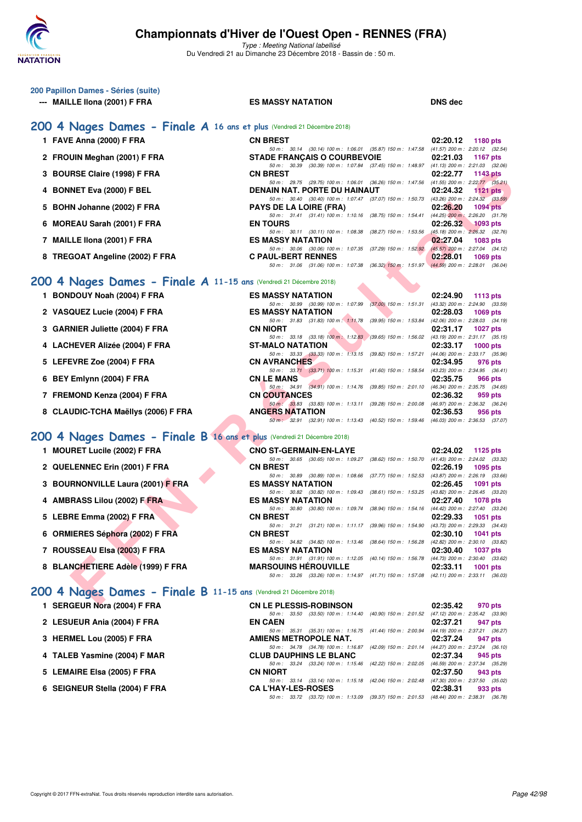

Type : Meeting National labellisé Du Vendredi 21 au Dimanche 23 Décembre 2018 - Bassin de : 50 m.

| 200 Papillon Dames - Séries (suite) |  |
|-------------------------------------|--|
| MAILLE IIona (2001) F FRA<br>---    |  |

**1 FAVE Anna (2000) F FRA** 

2 FROUIN Meghan (2001) F FRA

**3 BOURSE Claire (1998) F FRA** 

**5 BOHN Johanne (2002) F FRA** 

**6 MOREAU Sarah (2001) F FRA** 

**8 TREGOAT Angeline (2002) F FRA** 

**1 BONDOUY Noah (2004) F FRA** 

2 VASQUEZ Lucie (2004) F FRA

**3 GARNIER Juliette (2004) F FRA** 

**4 LACHEVER Alizée (2004) F FRA** 

7 FREMOND Kenza (2004) F FRA

8 CLAUDIC-TCHA Maëllys (2006) F FRA

**5 LEFEVRE Zoe (2004) F FRA** 

**6 BEY Emlynn (2004) F FRA** 

**7 MAILLE IIona (2001) F FRA** 

**4 BONNET Eva (2000) F BEL** 

#### **ES MASSY NATATION DNS dec**

#### **[200 4 Nages Dames - Finale A](http://www.ffnatation.fr/webffn/resultats.php?idact=nat&go=epr&idcpt=55947&idepr=41) 16 ans et plus** (Vendredi 21 Décembre 2018)

| <b>CN BREST</b>                     |  |                                                              | 02:20.12 1180 pts                                                                        |  |
|-------------------------------------|--|--------------------------------------------------------------|------------------------------------------------------------------------------------------|--|
|                                     |  | 50 m: 30.14 (30.14) 100 m: 1:06.01 (35.87) 150 m: 1:47.58    | $(41.57)$ 200 m : 2:20.12 $(32.54)$                                                      |  |
| <b>STADE FRANÇAIS O COURBEVOIE</b>  |  |                                                              | 02:21.03 1167 pts                                                                        |  |
|                                     |  | 50 m: 30.39 (30.39) 100 m: 1:07.84 (37.45) 150 m: 1:48.97    | $(41.13)$ 200 m : 2:21.03 $(32.06)$                                                      |  |
| <b>CN BREST</b>                     |  |                                                              | 02:22.77 1143 pts                                                                        |  |
|                                     |  | 50 m: 29.75 (29.75) 100 m: 1:06.01 (36.26) 150 m: 1:47.56    | $(41.55)$ 200 m : 2:22.77 $(35.21)$                                                      |  |
| <b>DENAIN NAT. PORTE DU HAINAUT</b> |  |                                                              | 02:24.32 1121 pts                                                                        |  |
|                                     |  | 50 m: 30.40 (30.40) 100 m: 1:07.47 (37.07) 150 m: 1:50.73    | $(43.26)$ 200 m : 2:24.32 $(33.59)$                                                      |  |
| <b>PAYS DE LA LOIRE (FRA)</b>       |  |                                                              | 02:26.20 1094 pts                                                                        |  |
|                                     |  | 50 m: 31.41 (31.41) 100 m: 1:10.16 (38.75) 150 m: 1:54.41    | $(44.25)$ 200 m : 2:26.20 $(31.79)$                                                      |  |
| <b>EN TOURS</b>                     |  |                                                              | 02:26.32 1093 pts                                                                        |  |
|                                     |  | 50 m: 30.11 (30.11) 100 m: 1:08.38 (38.27) 150 m: 1:53.56    | $(45.18)$ 200 m : $2:26.32$ (32.76)                                                      |  |
| <b>ES MASSY NATATION</b>            |  |                                                              | 02:27.04 1083 pts                                                                        |  |
|                                     |  | 50 m : 30.06 (30.06) 100 m : 1:07.35 (37.29) 150 m : 1:52.92 | $(45.57)$ 200 m : 2:27.04 $(34.12)$                                                      |  |
| <b>C PAUL-BERT RENNES</b>           |  |                                                              | 02:28.01 1069 pts                                                                        |  |
|                                     |  |                                                              | 50 m: 31.06 (31.06) 100 m: 1:07.38 (36.32) 150 m: 1:51.97 (44.59) 200 m: 2:28.01 (36.04) |  |

#### **[200 4 Nages Dames - Finale A](http://www.ffnatation.fr/webffn/resultats.php?idact=nat&go=epr&idcpt=55947&idepr=41) 11-15 ans** (Vendredi 21 Décembre 2018)

| RSE Claire (1998) F FRA                                           | <b>CN BREST</b>                                                                                                          | 02:22.77 1143 pts           |
|-------------------------------------------------------------------|--------------------------------------------------------------------------------------------------------------------------|-----------------------------|
| <b>NET Eva (2000) F BEL</b>                                       | 50 m: 29.75 (29.75) 100 m: 1:06.01 (36.26) 150 m: 1:47.56 (41.55) 200 m: 2:22.77 (35.21)<br>DENAIN NAT. PORTE DU HAINAUT | 02:24.32<br>1121 $pts$      |
|                                                                   | 50 m: 30.40 (30.40) 100 m: 1:07.47 (37.07) 150 m: 1:50.73 (43.26) 200 m: 2:24.32 (33.59)                                 |                             |
| N Johanne (2002) F FRA                                            | <b>PAYS DE LA LOIRE (FRA)</b>                                                                                            | 02:26.20<br><b>1094 pts</b> |
|                                                                   | 50 m: 31.41 (31.41) 100 m: 1:10.16 (38.75) 150 m: 1:54.41 (44.25) 200 m: 2:26.20 (31.79)                                 |                             |
| <b>EAU Sarah (2001) F FRA</b> :                                   | <b>EN TOURS</b>                                                                                                          | $02:26.32$ 1093 pts         |
| LE Ilona (2001) F FRA                                             | 50 m: 30.11 (30.11) 100 m: 1:08.38 (38.27) 150 m: 1:53.56 (45.18) 200 m: 2:26.32 (32.76)<br><b>ES MASSY NATATION</b>     | 02:27.04                    |
|                                                                   | 50 m: 30.06 (30.06) 100 m: 1:07.35 (37.29) 150 m: 1:52.92 (45.57) 200 m: 2:27.04 (34.12)                                 | 1083 pts                    |
| GOAT Angeline (2002) F FRA                                        | <b>C PAUL-BERT RENNES</b>                                                                                                | 02:28.01<br>1069 pts        |
|                                                                   | 50 m: 31.06 (31.06) 100 m: 1:07.38 (36.32) 150 m: 1:51.97 (44.59) 200 m: 2:28.01 (36.04)                                 |                             |
|                                                                   |                                                                                                                          |                             |
| Nages Dames - Finale A 11-15 ans (Vendredi 21 Décembre 2018)      |                                                                                                                          |                             |
| DOUY Noah (2004) F FRA                                            | <b>ES MASSY NATATION</b>                                                                                                 | 02:24.90 1113 pts           |
|                                                                   | 50 m: 30.99 (30.99) 100 m: 1:07.99 (37.00) 150 m: 1:51.31 (43.32) 200 m: 2:24.90 (33.59)                                 |                             |
| QUEZ Lucie (2004) F FRA                                           | <b>ES MASSY NATATION</b>                                                                                                 | 02:28.03<br>1069 pts        |
| NIER Juliette (2004) F FRA                                        | 50 m: 31.83 (31.83) 100 m: 1:11.78 (39.95) 150 m: 1:53.84 (42.06) 200 m: 2:28.03 (34.19)<br><b>CN NIORT</b>              |                             |
|                                                                   | 50 m: 33.18 (33.18) 100 m: 1:12.83 (39.65) 150 m: 1:56.02 (43.19) 200 m: 2:31.17 (35.15)                                 | 02:31.17<br>1027 $p$ ts     |
| HEVER Alizée (2004) F FRA                                         | <b>ST-MALO NATATION</b>                                                                                                  | 02:33.17<br>$1000$ pts      |
|                                                                   | 50 m: 33.33 (33.33) 100 m: 1:13.15 (39.82) 150 m: 1:57.21 (44.06) 200 m: 2:33.17 (35.96)                                 |                             |
| EVRE Zoe (2004) F FRA                                             | <b>CN AVRANCHES</b>                                                                                                      | 02:34.95<br>976 pts         |
|                                                                   | 50 m: 33.71 (33.71) 100 m: 1:15.31 (41.60) 150 m: 1:58.54 (43.23) 200 m: 2:34.95 (36.41)                                 |                             |
| Emlynn (2004) F FRA                                               | <b>CN LE MANS</b>                                                                                                        | 02:35.75<br>966 pts         |
| MOND Kenza (2004) F FRA                                           | 50 m: 34.91 (34.91) 100 m: 1:14.76 (39.85) 150 m: 2:01.10 (46.34) 200 m: 2:35.75 (34.65)<br><b>CN COUTANCES</b>          | 02:36.32<br>959 pts         |
|                                                                   | 50 m: 33.83 (33.83) 100 m: 1:13.11 (39.28) 150 m: 2:00.08 (46.97) 200 m: 2:36.32 (36.24)                                 |                             |
| UDIC-TCHA Maëllys (2006) F FRA                                    | <b>ANGERS NATATION</b>                                                                                                   | 02:36.53<br>956 pts         |
|                                                                   | 50 m: 32.91 (32.91) 100 m: 1:13.43 (40.52) 150 m: 1:59.46 (46.03) 200 m: 2:36.53 (37.07)                                 |                             |
|                                                                   |                                                                                                                          |                             |
| Nages Dames - Finale B 16 ans et plus (Vendredi 21 Décembre 2018) |                                                                                                                          |                             |
| <b>IRET Lucile (2002) F FRA</b>                                   | <b>CNO ST-GERMAIN-EN-LAYE</b>                                                                                            | 02:24.02<br>1125 $p$ ts     |
|                                                                   | 50 m: 30.65 (30.65) 100 m: 1:09.27 (38.62) 150 m: 1:50.70 (41.43) 200 m: 2:24.02 (33.32)                                 |                             |
| LENNEC Erin (2001) F FRA                                          | <b>CN BREST</b>                                                                                                          | 02:26.19<br>1095 pts        |
| <b>RNONVILLE Laura (2001) F FRA</b>                               | 50 m: 30.89 (30.89) 100 m: 1:08.66 (37.77) 150 m: 1:52.53 (43.87) 200 m: 2:26.19 (33.66)<br><b>ES MASSY NATATION</b>     | 02:26.45<br>1091 pts        |
|                                                                   | 50 m: 30.82 (30.82) 100 m: 1:09.43 (38.61) 150 m: 1:53.25 (43.82) 200 m: 2:26.45 (33.20)                                 |                             |
| RASS Lilou (2002) F FRA                                           | <b>ES MASSY NATATION</b>                                                                                                 | 02:27.40<br>1078 pts        |
|                                                                   | 50 m: 30.80 (30.80) 100 m: 1:09.74 (38.94) 150 m: 1:54.16 (44.42) 200 m: 2:27.40 (33.24)                                 |                             |
| <b>RE Emma (2002) F FRA</b>                                       | <b>CN BREST</b>                                                                                                          | 02:29.33<br>1051 pts        |
| IIERES Séphora (2002) F FRA                                       | 50 m: 31.21 (31.21) 100 m: 1:11.17 (39.96) 150 m: 1:54.90 (43.73) 200 m: 2:29.33 (34.43)<br><b>CN BREST</b>              | 02:30.10<br>1041 pts        |
|                                                                   | 50 m: 34.82 (34.82) 100 m: 1:13.46 (38.64) 150 m: 1:56.28 (42.82) 200 m: 2:30.10 (33.82)                                 |                             |
| <b>SSEAU Elsa (2003) F FRA</b>                                    | <b>ES MASSY NATATION</b>                                                                                                 | 02:30.40<br>1037 pts        |
|                                                                   | 50 m: 31.91 (31.91) 100 m: 1:12.05 (40.14) 150 m: 1:56.78 (44.73) 200 m: 2:30.40 (33.62)                                 |                             |
| NCHETIERE Adèle (1999) F FRA                                      | <b>MARSOUINS HEROUVILLE</b>                                                                                              | 02:33.11<br>$1001$ pts      |
|                                                                   | 50 m: 33.26 (33.26) 100 m: 1:14.97 (41.71) 150 m: 1:57.08 (42.11) 200 m: 2:33.11 (36.03)                                 |                             |
| Nages Dames - Finale B 11-15 ans (Vendredi 21 Décembre 2018)      |                                                                                                                          |                             |
|                                                                   |                                                                                                                          |                             |
| $C$ ELID Nasa (9004) E ED A                                       | CHILE BLECCIC BOBINGON                                                                                                   | 00.25.40<br>$070 - 44$      |

#### **[200 4 Nages Dames - Finale B](http://www.ffnatation.fr/webffn/resultats.php?idact=nat&go=epr&idcpt=55947&idepr=41) 16 ans et plus** (Vendredi 21 Décembre 2018)

|  | 1 MOURET Lucile (2002) F FRA |  |  |  |
|--|------------------------------|--|--|--|
|--|------------------------------|--|--|--|

- **2 QUELENNEC Erin (2001) F FRA** CN BREST<br>  $\frac{60m}{30.89}$  (30.89) 100 m; 1:08.66 (37.77) 150 m; 1:52.53 (43.87) 200 m; 2:26.19 (33.66)
- **3 BOURNONVILLE Laura (2001) F FRA** ES MASSY NATATION **02:26.45 1091 pts**<br>  $\frac{50 \text{ m} \div 30.82}$  (30.82) 100 m; 1:09.43 (38.61) 150 m; 1:53.25 (43.82) 200 m; 2:26.45 (33.20)
- **4 AMBRASS Lilou (2002) F FRA** ES MASSY NATATION 02:27.40 1078 pts 50 m : 30.80 (30.80) 100 m : 1:09.74 (38.94) 150 m : 1:54.16 (44.42) 200 m : 2:27.40 (33.24)
- 50 m : 30.80 (30.80) 100 m : 1:09.74 (38.94) 150 m : 1:54.16 (44.42) 200 m : 2:27.40 (33.24) **5 LEBRE Emma (2002) F FRA CN BREST 02:29.33 1051 pts**
- **6 ORMIERES Séphora (2002) F FRA CN BREST 02:30.10 1041 pts**
- **7 ROUSSEAU Elsa (2003) F FRA** ES MASSY NATATION 02:30.40 **1037 pts**<br>  $\frac{50 \text{ m}}{50 \text{ m}}$  31.91 (31.91) 100 m; 1:12.05 (40.14) 150 m; 1:56.78 (44.73) 200 m; 2:30.40 (33.6
- 8 BLANCHETIERE Adèle (1999) F FRA MARSOUINS HÉROUVILLE 02:33.11

#### **[200 4 Nages Dames - Finale B](http://www.ffnatation.fr/webffn/resultats.php?idact=nat&go=epr&idcpt=55947&idepr=41) 11-15 ans** (Vendredi 21 Décembre 2018)

| 1 SERGEUR Nora (2004) F FRA    | <b>CN LE PLESSIS-ROBINSON</b>                             | 02:35.42<br>970 pts                 |
|--------------------------------|-----------------------------------------------------------|-------------------------------------|
|                                | 50 m: 33.50 (33.50) 100 m: 1:14.40 (40.90) 150 m: 2:01.52 | $(47.12)$ 200 m : 2:35.42 $(33.90)$ |
| 2 LESUEUR Ania (2004) F FRA    | <b>EN CAEN</b>                                            | 02:37.21<br>947 pts                 |
|                                | 50 m: 35.31 (35.31) 100 m: 1:16.75 (41.44) 150 m: 2:00.94 | $(44.19)$ 200 m : 2:37.21 $(36.27)$ |
| 3 HERMEL Lou (2005) F FRA      | <b>AMIENS METROPOLE NAT.</b>                              | 02:37.24<br>947 pts                 |
|                                | 50 m: 34.78 (34.78) 100 m: 1:16.87 (42.09) 150 m: 2:01.14 | $(44.27)$ 200 m : 2:37.24 $(36.10)$ |
| 4 TALEB Yasmine (2004) F MAR   | <b>CLUB DAUPHINS LE BLANC</b>                             | 02:37.34<br>945 pts                 |
|                                | 50 m: 33.24 (33.24) 100 m: 1:15.46 (42.22) 150 m: 2:02.05 | $(46.59)$ 200 m : 2:37.34 $(35.29)$ |
| 5 LEMAIRE Elsa (2005) F FRA    | <b>CN NIORT</b>                                           | 02:37.50<br>943 pts                 |
|                                | 50 m: 33.14 (33.14) 100 m: 1:15.18 (42.04) 150 m: 2:02.48 | $(47.30)$ 200 m : 2:37.50 $(35.02)$ |
| 6 SEIGNEUR Stella (2004) F FRA | <b>CA L'HAY-LES-ROSES</b>                                 | 02:38.31<br>933 pts                 |
|                                | 50 m: 33.72 (33.72) 100 m: 1:13.09 (39.37) 150 m: 2:01.53 | $(48.44)$ 200 m : 2:38.31 $(36.78)$ |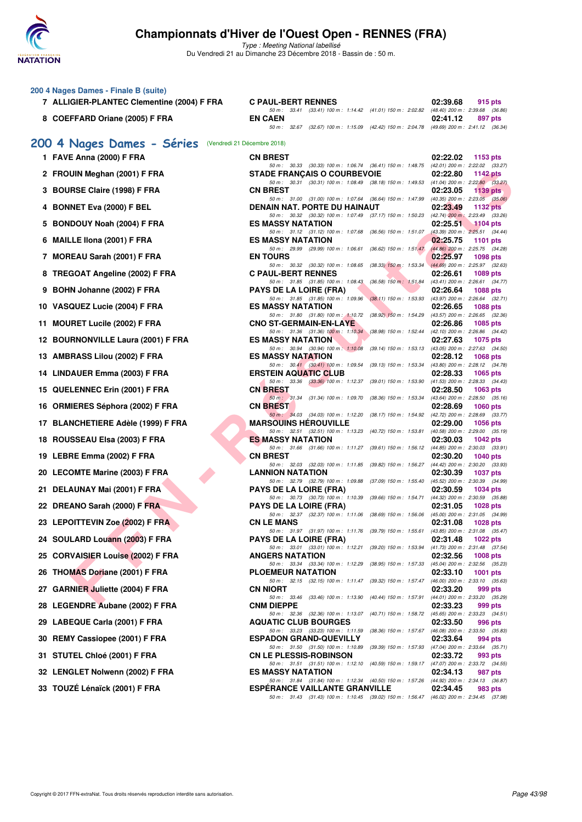

| 200 4 Nages Dames - Finale B (suite)<br>7 ALLIGIER-PLANTEC Clementine (2004) F FRA | <b>C PAUL-BERT RENNES</b>                                                                                                                | 02:39.68<br>915 pts                                                                       |
|------------------------------------------------------------------------------------|------------------------------------------------------------------------------------------------------------------------------------------|-------------------------------------------------------------------------------------------|
| 8 COEFFARD Oriane (2005) F FRA                                                     | 50 m: 33.41 (33.41) 100 m: 1:14.42 (41.01) 150 m: 2:02.82<br><b>EN CAEN</b><br>50 m: 32.67 (32.67) 100 m: 1:15.09 (42.42) 150 m: 2:04.78 | (48.40) 200 m : 2:39.68 (36.86)<br>02:41.12<br>897 pts<br>(49.69) 200 m : 2:41.12 (36.34) |
| 200 4 Nages Dames - Séries                                                         | (Vendredi 21 Décembre 2018)                                                                                                              |                                                                                           |
| 1 FAVE Anna (2000) F FRA                                                           | <b>CN BREST</b>                                                                                                                          | 02:22.02<br>1153 pts                                                                      |
| 2 FROUIN Meghan (2001) F FRA                                                       | 50 m: 30.33 (30.33) 100 m: 1:06.74 (36.41) 150 m: 1:48.75<br><b>STADE FRANCAIS O COURBEVOIE</b>                                          | (42.01) 200 m : 2:22.02 (33.27)<br>02:22.80<br><b>1142 pts</b>                            |
| <b>BOURSE Claire (1998) F FRA</b>                                                  | 50 m: 30.31 (30.31) 100 m: 1:08.49 (38.18) 150 m: 1:49.53 (41.04) 200 m: 2:22.80 (33.27)<br><b>CN BREST</b>                              |                                                                                           |
| 3.                                                                                 | 50 m : 31.00 (31.00) 100 m : 1:07.64 (36.64) 150 m : 1:47.99                                                                             | 02:23.05<br><b>1139 pts</b><br>$(40.35)$ 200 m : 2:23.05 $(35.06)$                        |
| 4 BONNET Eva (2000) F BEL                                                          | DENAIN NAT. PORTE DU HAINAUT<br>50 m : 30.32 (30.32) 100 m : 1:07.49 (37.17) 150 m : 1:50.23                                             | 02:23.49<br>1132 pts<br>$(42.74)$ 200 m : 2:23.49 $(33.26)$                               |
| 5 BONDOUY Noah (2004) F FRA                                                        | <b>ES MASSY NATATION</b><br>50 m: 31.12 (31.12) 100 m: 1:07.68<br>$(36.56)$ 150 m : 1:51.07                                              | 02:25.51<br>$1104$ pts<br>(43.39) 200 m : 2:25.51 (34.44)                                 |
| 6 MAILLE IIona (2001) F FRA                                                        | <b>ES MASSY NATATION</b><br>50 m: 29.99 (29.99) 100 m: 1:06.61 (36.62) 150 m: 1:51.47                                                    | 02:25.75<br>1101 pts<br>(44.86) 200 m : 2:25.75 (34.28)                                   |
| 7 MOREAU Sarah (2001) F FRA                                                        | <b>EN TOURS</b><br>50 m : 30.32 (30.32) 100 m : 1:08.65<br>$(38.33)$ 150 m : 1:53.34                                                     | 02:25.97<br>1098 pts<br>$(44.69)$ 200 m : 2:25.97 (32.63)                                 |
| TREGOAT Angeline (2002) F FRA<br>8                                                 | <b>C PAUL-BERT RENNES</b>                                                                                                                | 02:26.61<br>1089 pts                                                                      |
| BOHN Johanne (2002) F FRA<br>9                                                     | 50 m: 31.85 (31.85) 100 m: 1:08.43 (36.58) 150 m: 1:51.84<br><b>PAYS DE LA LOIRE (FRA)</b>                                               | (43.41) 200 m : 2:26.61 (34.77)<br>02:26.64<br><b>1088 pts</b>                            |
| 10 VASQUEZ Lucie (2004) F FRA                                                      | 50 m: 31.85 (31.85) 100 m: 1:09.96 (38.11) 150 m: 1:53.93<br><b>ES MASSY NATATION</b>                                                    | (43.97) 200 m : 2:26.64 (32.71)<br>02:26.65<br><b>1088 pts</b>                            |
| 11 MOURET Lucile (2002) F FRA                                                      | 50 m: 31.80 (31.80) 100 m: 1:10.72 (38.92) 150 m: 1:54.29<br><b>CNO ST-GERMAIN-EN-LAYE</b>                                               | (43.57) 200 m : 2:26.65 (32.36)<br>02:26.86<br>1085 pts                                   |
| 12 BOURNONVILLE Laura (2001) F FRA                                                 | 50 m: 31.36 (31.36) 100 m: 1:10.34<br>(38.98) 150 m : 1:52.44<br><b>ES MASSY NATATION</b>                                                | (42.10) 200 m : 2:26.86 (34.42)<br>02:27.63<br>1075 pts                                   |
| 13 AMBRASS Lilou (2002) F FRA                                                      | 50 m: 30.94 (30.94) 100 m: 1:10.08<br>$(39.14)$ 150 m : 1:53.13<br><b>ES MASSY NATATION</b>                                              | (43.05) 200 m : 2:27.63 (34.50)<br>02:28.12<br>1068 pts                                   |
| 14 LINDAUER Emma (2003) F FRA                                                      | 50 m : 30.41 (30.41) 100 m : 1:09.54<br>$(39.13)$ 150 m : 1:53.34<br><b>ERSTEIN AQUATIC CLUB</b>                                         | (43.80) 200 m : 2:28.12 (34.78)<br>02:28.33<br><b>1065 pts</b>                            |
|                                                                                    | 50 m : 33.36 (33.36) 100 m : 1:12.37<br>$(39.01)$ 150 m : 1:53.90                                                                        | $(41.53)$ 200 m : 2:28.33 $(34.43)$                                                       |
| 15 QUELENNEC Erin (2001) F FRA                                                     | <b>CN BREST</b><br>50 m : 31.34 (31.34) 100 m : 1:09.70<br>$(38.36)$ 150 m : 1:53.34                                                     | 02:28.50<br>1063 pts<br>(43.64) 200 m : 2:28.50 (35.16)                                   |
| 16 ORMIERES Séphora (2002) F FRA                                                   | <b>CN BREST</b><br>50 m: 34.03 (34.03) 100 m: 1:12.20<br>$(38.17)$ 150 m : 1:54.92                                                       | 02:28.69<br>1060 pts<br>(42.72) 200 m : 2:28.69 (33.77)                                   |
| 17 BLANCHETIERE Adèle (1999) F FRA                                                 | <b>MARSOUINS HEROUVILLE</b><br>50 m: 32.51 (32.51) 100 m: 1:13.23<br>$(40.72)$ 150 m : 1:53.81                                           | 02:29.00<br><b>1056 pts</b><br>(40.58) 200 m : 2:29.00 (35.19)                            |
| 18 ROUSSEAU Elsa (2003) F FRA                                                      | <b>ES MASSY NATATION</b><br>50 m: 31.66 (31.66) 100 m: 1:11.27 (39.61) 150 m: 1:56.12 (44.85) 200 m: 2:30.03 (33.91)                     | 02:30.03<br>1042 pts                                                                      |
| 19 LEBRE Emma (2002) F FRA                                                         | <b>CN BREST</b><br>50 m: 32.03 (32.03) 100 m: 1:11.85 (39.82) 150 m: 1:56.27                                                             | 02:30.20<br>1040 pts<br>$(44.42)$ 200 m : 2:30.20 $(33.93)$                               |
| 20 LECOMTE Marine (2003) F FRA                                                     | <b>LANNION NATATION</b><br>50 m : 32.79 (32.79) 100 m : 1:09.88<br>$(37.09)$ 150 m : 1:55.40                                             | 02:30.39<br><b>1037 pts</b><br>(45.52) 200 m : 2:30.39 (34.99)                            |
| 21 DELAUNAY Mai (2001) F FRA                                                       | <b>PAYS DE LA LOIRE (FRA)</b>                                                                                                            | 02:30.59<br>1034 pts                                                                      |
| 22 DREANO Sarah (2000) F FRA                                                       | 50 m: 30.73 (30.73) 100 m: 1:10.39 (39.66) 150 m: 1:54.71 (44.32) 200 m: 2:30.59 (35.88)<br><b>PAYS DE LA LOIRE (FRA)</b>                | 02:31.05<br>1028 pts                                                                      |
| 23 LEPOITTEVIN Zoe (2002) F FRA                                                    | 50 m: 32.37 (32.37) 100 m: 1:11.06 (38.69) 150 m: 1:56.06 (45.00) 200 m: 2:31.05 (34.99)<br><b>CN LE MANS</b>                            | 02:31.08<br><b>1028 pts</b>                                                               |
| 24 SOULARD Louann (2003) F FRA                                                     | 50 m: 31.97 (31.97) 100 m: 1:11.76 (39.79) 150 m: 1:55.61<br><b>PAYS DE LA LOIRE (FRA)</b>                                               | (43.85) 200 m: 2:31.08 (35.47)<br>02:31.48<br><b>1022 pts</b>                             |
| <b>CORVAISIER Louise (2002) F FRA</b><br>25                                        | 50 m : 33.01 (33.01) 100 m : 1:12.21<br>(39.20) 150 m : 1:53.94<br><b>ANGERS NATATION</b>                                                | (41.73) 200 m : 2:31.48 (37.54)<br>02:32.56<br><b>1008 pts</b>                            |
| <b>THOMAS Doriane (2001) F FRA</b><br>26                                           | 50 m: 33.34 (33.34) 100 m: 1:12.29<br>$(38.95)$ 150 m : 1:57.33<br>PLOEMEUR NATATION                                                     | (45.04) 200 m : 2:32.56 (35.23)<br>02:33.10<br>1001 pts                                   |
| <b>GARNIER Juliette (2004) F FRA</b><br>27                                         | 50 m: 32.15 (32.15) 100 m: 1:11.47 (39.32) 150 m: 1:57.47<br><b>CN NIORT</b>                                                             | $(46.00)$ 200 m : 2:33.10 $(35.63)$<br>02:33.20<br>999 pts                                |
|                                                                                    | 50 m: 33.46 (33.46) 100 m: 1:13.90<br>$(40.44)$ 150 m : 1:57.91                                                                          | $(44.01)$ 200 m : 2:33.20 $(35.29)$                                                       |
| <b>LEGENDRE Aubane (2002) F FRA</b><br>28                                          | <b>CNM DIEPPE</b><br>50 m : 32.36 (32.36) 100 m : 1:13.07<br>(40.71) 150 m : 1:58.72                                                     | 02:33.23<br>999 pts<br>$(45.65)$ 200 m : 2:33.23 $(34.51)$                                |
| LABEQUE Carla (2001) F FRA<br>29                                                   | <b>AQUATIC CLUB BOURGES</b><br>50 m: 33.23 (33.23) 100 m: 1:11.59<br>$(38.36)$ 150 m : 1:57.67                                           | 02:33.50<br>996 pts<br>(46.08) 200 m : 2:33.50 (35.83)                                    |
| 30<br><b>REMY Cassiopee (2001) F FRA</b>                                           | <b>ESPADON GRAND-QUEVILLY</b><br>50 m: 31.50 (31.50) 100 m: 1:10.89<br>(39.39) 150 m : 1:57.93                                           | 02:33.64<br>994 pts<br>(47.04) 200 m : 2:33.64 (35.71)                                    |
| STUTEL Chloé (2001) F FRA<br>31                                                    | <b>CN LE PLESSIS-ROBINSON</b><br>50 m : 31.51 (31.51) 100 m : 1:12.10 (40.59) 150 m : 1:59.17                                            | 02:33.72<br>993 pts<br>(47.07) 200 m : 2:33.72 (34.55)                                    |
| 32 LENGLET Nolwenn (2002) F FRA                                                    | <b>ES MASSY NATATION</b><br>50 m : 31.84 (31.84) 100 m : 1:12.34 (40.50) 150 m : 1:57.26                                                 | 02:34.13<br>987 pts<br>(44.92) 200 m : 2:34.13 (36.87)                                    |
| 33 TOUZÉ Lénaïck (2001) F FRA                                                      | <b>ESPERANCE VAILLANTE GRANVILLE</b><br>50 m : 31.43 (31.43) 100 m : 1:10.45 (39.02) 150 m : 1:56.47                                     | 02:34.45<br>983 pts<br>(46.02) 200 m : 2:34.45 (37.98)                                    |
|                                                                                    |                                                                                                                                          |                                                                                           |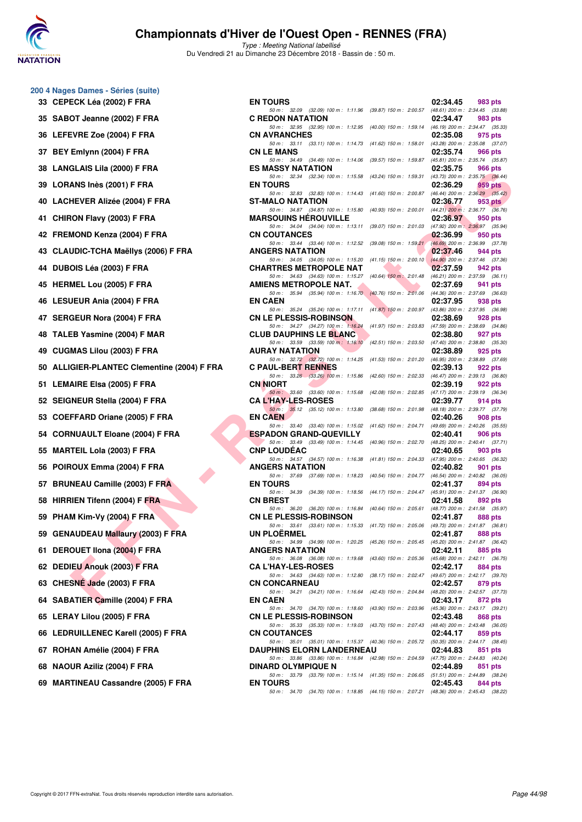

| 33 | 200 4 Nages Dames - Séries (suite)<br>CEPECK Léa (2002) F FRA |
|----|---------------------------------------------------------------|
| 35 | SABOT Jeanne (2002) F FRA                                     |
| 36 | LEFEVRE Zoe (2004) F FRA                                      |
| 37 | BEY Emlynn (2004) F FRA                                       |
| 38 | <b>LANGLAIS Lila (2000) F FRA</b>                             |
| 39 | LORANS Inès (2001) F FRA                                      |
| 40 | LACHEVER Alizée (2004) F FRA                                  |
| 41 | CHIRON Flavy (2003) F FRA                                     |
| 42 | FREMOND Kenza (2004) F FRA                                    |
| 43 | <b>CLAUDIC-TCHA Maëllys (2006) F FRA</b>                      |
| 44 | DUBOIS Léa (2003) F FRA                                       |
| 45 | <b>HERMEL Lou (2005) F FRA</b>                                |
| 46 | <b>LESUEUR Ania (2004) F FRA</b>                              |
| 47 | <b>SERGEUR Nora (2004) F FRA</b>                              |
| 48 | TALEB Yasmine (2004) F MAR                                    |
| 49 | <b>CUGMAS Lilou (2003) F FRA</b>                              |
| 50 | <b>ALLIGIER-PLANTEC Clementine (2004)</b>                     |
| 51 | <b>LEMAIRE Elsa (2005) F FRA</b>                              |
| 52 | SEIGNEUR Stella (2004) F FRA                                  |
| 53 | COEFFARD Oriane (2005) F FRA                                  |
| 54 | <b>CORNUAULT Eloane (2004) F FRA</b>                          |
| 55 | <b>MARTEIL Lola (2003) F FRA</b>                              |
| 56 | POIROUX Emma (2004) F FRA                                     |
| 57 | <b>BRUNEAU Camille (2003) F FRA</b>                           |
| 58 | HIRRIEN Tifenn (2004) F FRA                                   |
| 59 | PHAM Kim-Vy (2004) F FRA                                      |
| 59 | <b>GENAUDEAU Mallaury (2003) F FRA</b>                        |
| 61 | DEROUET IIona (2004) F FRA                                    |
| 62 | <b>DEDIEU Anouk (2003) F FRA</b>                              |
| 63 | CHESNÉ Jade (2003) F FRA                                      |
| 64 | SABATIER Camille (2004) F FRA                                 |
| 65 | LERAY Lilou (2005) F FRA                                      |
| 66 | LEDRUILLENEC Karell (2005) F FRA                              |
| 67 | ROHAN Amélie (2004) F FRA                                     |
| 68 | NAOUR Aziliz (2004) F FRA                                     |
| 69 | <b>MARTINEAU Cassandre (2005) F FRA</b>                       |

| 0 4 Nages Dames - Series (suite)             |                                                                                                                              |          |                                                |
|----------------------------------------------|------------------------------------------------------------------------------------------------------------------------------|----------|------------------------------------------------|
| 33   CEPECK Léa (2002) F FRA                 | <b>EN TOURS</b>                                                                                                              | 02:34.45 | 983 pts                                        |
| 35 SABOT Jeanne (2002) F FRA                 | 50 m: 32.09 (32.09) 100 m: 1:11.96 (39.87) 150 m: 2:00.57 (48.61) 200 m: 2:34.45 (33.88)<br><b>C REDON NATATION</b>          | 02:34.47 | 983 pts                                        |
| 36   LEFEVRE Zoe (2004) F FRA                | 50 m: 32.95 (32.95) 100 m: 1:12.95 (40.00) 150 m: 1:59.14 (46.19) 200 m: 2:34.47 (35.33)<br><b>CN AVRANCHES</b>              | 02:35.08 | 975 pts                                        |
| 37 BEY Emlynn (2004) F FRA                   | 50 m: 33.11 (33.11) 100 m: 1:14.73 (41.62) 150 m: 1:58.01 (43.28) 200 m: 2:35.08 (37.07)<br><b>CN LE MANS</b>                | 02:35.74 | 966 pts                                        |
| 38 LANGLAIS Lila (2000) F FRA                | 50 m: 34.49 (34.49) 100 m: 1:14.06 (39.57) 150 m: 1:59.87 (45.81) 200 m: 2:35.74 (35.87)<br><b>ES MASSY NATATION</b>         | 02:35.75 | 966 pts                                        |
|                                              | 50 m: 32.34 (32.34) 100 m: 1:15.58 (43.24) 150 m: 1:59.31 (43.73) 200 m: 2:35.75 (36.44)                                     |          |                                                |
| 39 LORANS Inès (2001) F FRA                  | <b>EN TOURS</b><br>50 m: 32.83 (32.83) 100 m: 1:14.43 (41.60) 150 m: 2:00.87 (46.44) 200 m: 2:36.29 (35.42)                  | 02:36.29 | 959 pts                                        |
| 40 LACHEVER Alizée (2004) F FRA              | <b>ST-MALO NATATION</b><br>50 m: 34.87 (34.87) 100 m: 1:15.80 (40.93) 150 m: 2:00.01 (44.21) 200 m: 2:36.77 (36.76)          | 02:36.77 | $953$ pts                                      |
| 41 CHIRON Flavy (2003) F FRA                 | <b>MARSOUINS HEROUVILLE</b><br>50 m: 34.04 (34.04) 100 m: 1:13.11 (39.07) 150 m: 2:01.03 (47.92) 200 m: 2:36.97 (35.94)      | 02:36.97 | 950 pts                                        |
| 42 FREMOND Kenza (2004) F FRA                | <b>CN COUTANCES</b><br>50 m: 33.44 (33.44) 100 m: 1:12.52 (39.08) 150 m: 1:59.21 (46.69) 200 m: 2:36.99 (37.78)              | 02:36.99 | 950 pts                                        |
| 43   CLAUDIC-TCHA Maëllys (2006) F FRA       | <b>ANGERS NATATION</b><br>50 m: 34.05 (34.05) 100 m: 1:15.20 (41.15) 150 m: 2:00.10 (44.90) 200 m: 2:37.46 (37.36)           | 02:37.46 | 944 pts                                        |
| 44 DUBOIS Léa (2003) F FRA                   | <b>CHARTRES METROPOLE NAT</b>                                                                                                | 02:37.59 | 942 pts                                        |
| 45 HERMEL Lou (2005) F FRA                   | 50 m: 34.63 (34.63) 100 m: 1:15.27 (40.64) 150 m: 2:01.48 (46.21) 200 m: 2:37.59 (36.11)<br>AMIENS METROPOLE NAT.            | 02:37.69 | 941 pts                                        |
| 46 LESUEUR Ania (2004) F FRA                 | 50 m: 35.94 (35.94) 100 m: 1:16.70 (40.76) 150 m: 2:01.06 (44.36) 200 m: 2:37.69 (36.63)<br><b>EN CAEN</b>                   | 02:37.95 | 938 pts                                        |
| 47 SERGEUR Nora (2004) F FRA                 | 50 m: 35.24 (35.24) 100 m: 1:17.11 (41.87) 150 m: 2:00.97 (43.86) 200 m: 2:37.95 (36.98)<br><b>CN LE PLESSIS-ROBINSON</b>    | 02:38.69 | 928 pts                                        |
| 48 TALEB Yasmine (2004) F MAR                | 50 m: 34.27 (34.27) 100 m: 1:16.24 (41.97) 150 m: 2:03.83 (47.59) 200 m: 2:38.69 (34.86)<br><b>CLUB DAUPHINS LE BLANC</b>    | 02:38.80 | 927 pts                                        |
| 49 CUGMAS Lilou (2003) F FRA                 | 50 m: 33.59 (33.59) 100 m: 1:16.10 (42.51) 150 m: 2:03.50 (47.40) 200 m: 2:38.80 (35.30)<br><b>AURAY NATATION</b>            | 02:38.89 | 925 pts                                        |
|                                              | 50 m: 32.72 (32.72) 100 m: 1:14.25 (41.53) 150 m: 2:01.20 (46.95) 200 m: 2:38.89 (37.69)                                     |          |                                                |
| 50 ALLIGIER-PLANTEC Clementine (2004) F FRA  | <b>C PAUL-BERT RENNES</b><br>50 m: 33.26 (33.26) 100 m: 1:15.86 (42.60) 150 m: 2:02.33 (46.47) 200 m: 2:39.13 (36.80)        | 02:39.13 | 922 pts                                        |
| 51 LEMAIRE Elsa (2005) F FRA                 | <b>CN NIORT</b><br>50 m : 33.60 (33.60) 100 m : 1:15.68<br>(42.08) 150 m : 2:02.85 (47.17) 200 m : 2:39.19 (36.34)           | 02:39.19 | 922 pts                                        |
| 52 SEIGNEUR Stella (2004) F FRA              | <b>CA L'HAY-LES-ROSES</b><br>50 m: 35.12 (35.12) 100 m: 1:13.80 (38.68) 150 m: 2:01.98 (48.18) 200 m: 2:39.77 (37.79)        | 02:39.77 | 914 pts                                        |
| 53 COEFFARD Oriane (2005) F FRA              | <b>EN CAEN</b><br>50 m: 33.40 (33.40) 100 m: 1:15.02 (41.62) 150 m: 2:04.71 (49.69) 200 m: 2:40.26 (35.55)                   | 02:40.26 | 908 pts                                        |
| 54 CORNUAULT Eloane (2004) F FRA             | <b>ESPADON GRAND-QUEVILLY</b><br>50 m: 33.49 (33.49) 100 m: 1:14.45 (40.96) 150 m: 2:02.70 (48.25) 200 m: 2:40.41 (37.71)    | 02:40.41 | 906 pts                                        |
| 55 MARTEIL Lola (2003) F FRA                 | <b>CNP LOUDEAC</b>                                                                                                           | 02:40.65 | 903 pts                                        |
| 56 POIROUX Emma (2004) F FRA                 | 50 m: 34.57 (34.57) 100 m: 1:16.38<br>(41.81) 150 m : 2:04.33 (47.95) 200 m : 2:40.65 (36.32)<br><b>ANGERS NATATION</b>      | 02:40.82 | 901 pts                                        |
| 57 BRUNEAU Camille (2003) F FRA              | 50 m: 37.69 (37.69) 100 m: 1:18.23 (40.54) 150 m: 2:04.77 (46.54) 200 m: 2:40.82 (36.05)<br><b>EN TOURS</b>                  | 02:41.37 | 894 pts                                        |
| 58 HIRRIEN Tifenn (2004) F FRA               | 50 m: 34.39 (34.39) 100 m: 1:18.56 (44.17) 150 m: 2:04.47 (45.91) 200 m: 2:41.37 (36.90)<br><b>CN BREST</b>                  | 02:41.58 | 892 pts                                        |
| 59 PHAM Kim-Vy (2004) F FRA                  | 50 m: 36.20 (36.20) 100 m: 1:16.84 (40.64) 150 m: 2:05.61 (48.77) 200 m: 2:41.58 (35.97)<br><b>CN LE PLESSIS-ROBINSON</b>    | 02:41.87 | 888 pts                                        |
| 59 GENAUDEAU Mallaury (2003) F FRA           | 50 m: 33.61 (33.61) 100 m: 1:15.33 (41.72) 150 m: 2:05.06 (49.73) 200 m: 2:41.87 (36.81)<br><b>UN PLOERMEL</b>               | 02:41.87 | 888 pts                                        |
| 61 DEROUET IIona (2004) F FRA                | 50 m: 34.99 (34.99) 100 m: 1:20.25 (45.26) 150 m: 2:05.45 (45.20) 200 m: 2:41.87 (36.42)<br><b>ANGERS NATATION</b>           | 02:42.11 |                                                |
|                                              | 50 m: 36.08 (36.08) 100 m: 1:19.68 (43.60) 150 m: 2:05.36                                                                    |          | 885 pts<br>$(45.68)$ 200 m : 2:42.11 $(36.75)$ |
| 62 DEDIEU Anouk (2003) F FRA                 | <b>CA L'HAY-LES-ROSES</b><br>50 m: 34.63 (34.63) 100 m: 1:12.80 (38.17) 150 m: 2:02.47                                       | 02:42.17 | 884 pts<br>(49.67) 200 m : 2:42.17 (39.70)     |
| 63   CHES <mark>NÉ Ja</mark> de (2003) F FRA | <b>CN CONCARNEAU</b><br>50 m: 34.21 (34.21) 100 m: 1:16.64 (42.43) 150 m: 2:04.84                                            | 02:42.57 | 879 pts<br>(48.20) 200 m : 2:42.57 (37.73)     |
| 64 SABATIER Camille (2004) F FRA             | <b>EN CAEN</b><br>50 m: 34.70 (34.70) 100 m: 1:18.60<br>(43.90) 150 m : 2:03.96 (45.36) 200 m : 2:43.17 (39.21)              | 02:43.17 | 872 pts                                        |
| 65 LERAY Lilou (2005) F FRA                  | <b>CN LE PLESSIS-ROBINSON</b><br>50 m: 35.33 (35.33) 100 m: 1:19.03 (43.70) 150 m: 2:07.43 (48.40) 200 m: 2:43.48 (36.05)    | 02:43.48 | 868 pts                                        |
| 66 LEDRUILLENEC Karell (2005) F FRA          | <b>CN COUTANCES</b>                                                                                                          | 02:44.17 | 859 pts                                        |
| 67 ROHAN Amélie (2004) F FRA                 | 50 m: 35.01 (35.01) 100 m: 1:15.37 (40.36) 150 m: 2:05.72 (50.35) 200 m: 2:44.17 (38.45)<br><b>DAUPHINS ELORN LANDERNEAU</b> | 02:44.83 | 851 pts                                        |
| 68 NAOUR Aziliz (2004) F FRA                 | 50 m: 33.86 (33.86) 100 m: 1:16.84 (42.98) 150 m: 2:04.59 (47.75) 200 m: 2:44.83 (40.24)<br><b>DINARD OLYMPIQUE N</b>        | 02:44.89 | 851 pts                                        |
| 69 MARTINEAU Cassandre (2005) F FRA          | 50 m: 33.79 (33.79) 100 m: 1:15.14 (41.35) 150 m: 2:06.65 (51.51) 200 m: 2:44.89 (38.24)<br><b>EN TOURS</b>                  | 02:45.43 | 844 pts                                        |
|                                              | 50 m: 34.70 (34.70) 100 m: 1:18.85 (44.15) 150 m: 2:07.21 (48.36) 200 m: 2:45.43 (38.22)                                     |          |                                                |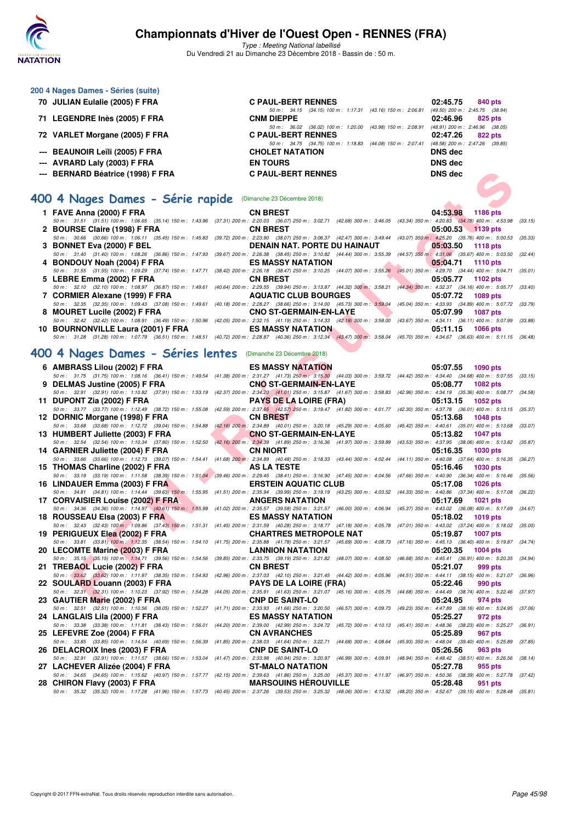

**200 4 Nages Dames - Séries (suite)**

## **Championnats d'Hiver de l'Ouest Open - RENNES (FRA)**

| 70 JULIAN Eulalie (2005) F FRA                                | <b>C PAUL-BERT RENNES</b><br>02:45.75<br>840 pts                                                                                                                                                                                                                                                                                                                                                                            |         |
|---------------------------------------------------------------|-----------------------------------------------------------------------------------------------------------------------------------------------------------------------------------------------------------------------------------------------------------------------------------------------------------------------------------------------------------------------------------------------------------------------------|---------|
| 71 LEGENDRE Inès (2005) F FRA                                 | $(49.50)$ 200 m : 2:45.75 $(38.94)$<br>50 m: 34.15 (34.15) 100 m: 1:17.31 (43.16) 150 m: 2:06.81<br><b>CNM DIEPPE</b><br>02:46.96<br>825 pts                                                                                                                                                                                                                                                                                |         |
| 72 VARLET Morgane (2005) F FRA                                | 50 m: 36.02 (36.02) 100 m: 1:20.00 (43.98) 150 m: 2:08.91 (48.91) 200 m: 2:46.96 (38.05)<br><b>C PAUL-BERT RENNES</b><br>02:47.26<br>822 pts                                                                                                                                                                                                                                                                                |         |
| --- BEAUNOIR Leïli (2005) F FRA                               | 50 m: 34.75 (34.75) 100 m: 1:18.83 (44.08) 150 m: 2:07.41<br>$(48.58)$ 200 m : 2:47.26 $(39.85)$<br><b>CHOLET NATATION</b><br><b>DNS</b> dec                                                                                                                                                                                                                                                                                |         |
| --- AVRARD Laly (2003) F FRA                                  | <b>DNS dec</b><br><b>EN TOURS</b>                                                                                                                                                                                                                                                                                                                                                                                           |         |
| --- BERNARD Béatrice (1998) F FRA                             | <b>C PAUL-BERT RENNES</b><br><b>DNS dec</b>                                                                                                                                                                                                                                                                                                                                                                                 |         |
|                                                               |                                                                                                                                                                                                                                                                                                                                                                                                                             |         |
| 400 4 Nages Dames - Série rapide (Dimanche 23 Décembre 2018)  |                                                                                                                                                                                                                                                                                                                                                                                                                             |         |
| 1 FAVE Anna (2000) F FRA                                      | 04:53.98<br><b>CN BREST</b><br>1186 pts                                                                                                                                                                                                                                                                                                                                                                                     |         |
| 2 BOURSE Claire (1998) F FRA                                  | 50 m: 31.51 (31.51) 100 m: 1:06.65 (35.14) 150 m: 1:43.96 (37.31) 200 m: 2:20.03 (36.07) 250 m: 3:02.71 (42.68) 300 m: 3:46.05 (43.34) 350 m: 4:20.83 (34.78) 400 m: 4:53.98<br><b>CN BREST</b><br>05:00.53<br>$\sqrt{1139}$ pts<br>50 m: 30.66 (30.66) 100 m: 1:06.11 (35.45) 150 m: 1:45.83 (39.72) 200 m: 2:23.90 (38.07) 250 m: 3:06.37 (42.47) 300 m: 3:49.44 (43.07) 350 m: 4:25.20 (35.76) 400 m: 5:00.53<br>(35.33) | (33.15) |
| 3 BONNET Eva (2000) F BEL                                     | DENAIN NAT. PORTE DU HAINAUT<br>05:03.50<br><b>1118 pts</b>                                                                                                                                                                                                                                                                                                                                                                 |         |
|                                                               | 50 m: 31.40 (31.40) 100 m: 1:08.26 (36.86) 150 m: 1:47.93 (39.67) 200 m: 2:26.38 (38.45) 250 m: 3:10.82 (44.44) 300 m: 3:55.39 (44.57) 350 m: 4:31.06 (35.67) 400 m: 5:03.50                                                                                                                                                                                                                                                | (32.44) |
| 4 BONDOUY Noah (2004) F FRA                                   | <b>ES MASSY NATATION</b><br>05:04.71<br><b>1110 pts</b><br>50 m: 31.55 (31.55) 100 m: 1:09.29 (37.74) 150 m: 1:47.71 (38.42) 200 m: 2:26.18 (38.47) 250 m: 3:10.25 (44.07) 300 m: 3:55.26 (45.01) 350 m: 4:29.70 (34.44) 400 m: 5:04.71 (35.01)                                                                                                                                                                             |         |
| 5 LEBRE Emma (2002) F FRA                                     | <b>CN BREST</b><br>05:05.77<br>1102 pts                                                                                                                                                                                                                                                                                                                                                                                     |         |
| 7 CORMIER Alexane (1999) F FRA                                | 50 m : 32.10 (32.10) 100 m : 1:08.97 (36.87) 150 m : 1:49.61 (40.64) 200 m : 2:29.55 (39.94) 250 m : 3:13.87 (44.32) 300 m : 3:58.21 (44.34) 350 m : 4:32.37 (34.16) 400 m : 5:05.77 (33.40)<br><b>AQUATIC CLUB BOURGES</b><br>05:07.72<br>1089 pts                                                                                                                                                                         |         |
|                                                               | 50 m : 32.35 (32.35) 100 m : 1:09.43 (37.08) 150 m : 1:49.61 (40.18) 200 m : 2:28.27 (38.66) 250 m : 3:14.00 (45.73) 300 m : 3:59.04 (45.04) 350 m : 4:33.93 (34.89) 400 m : 5:07.72 (33.79)                                                                                                                                                                                                                                |         |
| 8 MOURET Lucile (2002) F FRA                                  | <b>CNO ST-GERMAIN-EN-LAYE</b><br>05:07.99<br><b>1087 pts</b>                                                                                                                                                                                                                                                                                                                                                                |         |
| 10 BOURNONVILLE Laura (2001) F FRA                            | 50 m: 32.42 (32.42) 100 m: 1:08.91 (36.49) 150 m: 1:50.96 (42.05) 200 m: 2:32.15 (41.19) 250 m: 3:14.33 (42.18) 300 m: 3:58.00 (43.67) 350 m: 4:34.11 (36.11) 400 m: 5:07.99<br><b>ES MASSY NATATION</b><br>05:11.15<br><b>1066 pts</b>                                                                                                                                                                                     | (33.88) |
|                                                               | 50 m: 31.28 (31.28) 100 m: 1:07.79 (36.51) 150 m: 1:48.51 (40.72) 200 m: 2:28.87 (40.36) 250 m: 3:12.34 (43.47) 300 m: 3:58.04 (45.70) 350 m: 4:34.67 (36.63) 400 m: 5:11.15 (36.48)                                                                                                                                                                                                                                        |         |
| 400 4 Nages Dames - Séries lentes (Dimanche 23 Décembre 2018) |                                                                                                                                                                                                                                                                                                                                                                                                                             |         |
| 6 AMBRASS Lilou (2002) F FRA                                  | <b>ES MASSY NATATION</b><br>05:07.55<br><b>1090 pts</b>                                                                                                                                                                                                                                                                                                                                                                     |         |
| 9 DELMAS Justine (2005) F FRA                                 | 50 m: 31.75 (31.75) 100 m: 1:08.16 (36.41) 150 m: 1:49.54 (41.38) 200 m: 2:31.27 (41.73) 250 m: 3:15.30 (44.03) 300 m: 3:59.72 (44.42) 350 m: 4:34.40 (34.68) 400 m: 5:07.55 (33.15)<br><b>CNO ST-GERMAIN-EN-LAYE</b><br>05:08.77<br>1082 pts                                                                                                                                                                               |         |
|                                                               | 50 m: 32.91 (32.91) 100 m: 1:10.82 (37.91) 150 m: 1:53.19 (42.37) 200 m: 2:34.20 (41.01) 250 m: 3:15.87 (41.67) 300 m: 3:58.83 (42.96) 350 m: 4:34.19 (35.36) 400 m: 5:08.77 (34.58)                                                                                                                                                                                                                                        |         |
| 11 DUPONT Zia (2002) F FRA                                    | <b>PAYS DE LA LOIRE (FRA)</b><br>05:13.15<br>1052 pts<br>50 m : 33.77 (33.77) 100 m : 1:12.49 (38.72) 150 m : 1:55.08 (42.59) 200 m : 2:37.65 (42.57) 250 m : 3:19.47 (41.82) 300 m : 4:01.77 (42.30) 350 m : 4:37.78 (36.01) 400 m : 5:13.15 (35.37)                                                                                                                                                                       |         |
| 12 DORNIC Morgane (1998) F FRA                                | <b>CN BREST</b><br>05:13.68<br><b>1048 pts</b>                                                                                                                                                                                                                                                                                                                                                                              |         |
|                                                               | 50 m: 33.68 (33.68) 100 m: 1:12.72 (39.04) 150 m: 1:54.88 (42.16) 200 m: 2:34.89 (40.01) 250 m: 3:20.18 (45.29) 300 m: 4:05.60 (45.42) 350 m: 4:40.61 (35.01) 400 m: 5:13.68                                                                                                                                                                                                                                                | (33.07) |
| 13 HUMBERT Juliette (2003) F FRA                              | <b>CNO ST-GERMAIN-EN-LAYE</b><br>05:13.82<br><b>1047 pts</b><br>50 m: 32.54 (32.54) 100 m: 1:10.34 (37.80) 150 m: 1:52.50 (42.16) 200 m: 2:34.39 (41.89) 250 m: 3:16.36 (41.97) 300 m: 3:59.89 (43.53) 350 m: 4:37.95 (38.06) 400 m: 5:13.82<br>(35.87)                                                                                                                                                                     |         |
| 14 GARNIER Juliette (2004) F FRA                              | <b>CN NIORT</b><br>05:16.35<br>1030 pts                                                                                                                                                                                                                                                                                                                                                                                     |         |
| 15 THOMAS Charline (2002) F FRA                               | 50 m: 33.66 (33.66) 100 m: 1:12.73 (39.07) 150 m: 1:54.41 (41.68) 200 m: 2:34.89 (40.48) 250 m: 3:18.33 (43.44) 300 m: 4:02.44 (44.11) 350 m: 4:40.08 (37.64) 400 m: 5:16.35 (36.27)<br>AS LA TESTE<br>05:16.46<br><b>1030 pts</b>                                                                                                                                                                                          |         |
|                                                               | 50 m : 33.19 (33.19) 100 m : 1:11.58 (38.39) 150 m : 1:51.04 (39.46) 200 m : 2:29.45 (38.41) 250 m : 3:16.90 (47.45) 300 m : 4:04.56 (47.66) 350 m : 4:40.90 (36.34) 400 m : 5:16.46 (35.56)                                                                                                                                                                                                                                |         |
| 16 LINDAUER Emma (2003) F FRA                                 | <b>ERSTEIN AQUATIC CLUB</b><br>05:17.08<br>1026 pts<br>50 m: 34.81 (34.81) 100 m: 1:14.44 (39.63) 150 m: 1:55.95 (41.51) 200 m: 2:35.94 (39.99) 250 m: 3:19.19 (43.25) 300 m: 4:03.52 (44.33) 350 m: 4:40.86 (37.34) 400 m: 5:17.08 (36.22)                                                                                                                                                                                 |         |
| 17 CORVAISIER Louise (2002) F FRA                             | <b>ANGERS NATATION</b><br>05:17.69<br>1021 pts                                                                                                                                                                                                                                                                                                                                                                              |         |
|                                                               | 50 m: 34.36 (34.36) 100 m: 1:14.97 (40.61) 150 m: 1:55.99 (41.02) 200 m: 2:35.57 (39.58) 250 m: 3:21.57 (46.00) 300 m: 4:06.94 (45.37) 350 m: 4:43.02 (36.08) 400 m: 5:17.69 (34.67)<br><b>ES MASSY NATATION</b><br>05:18.02<br>1019 pts                                                                                                                                                                                    |         |
| 18 ROUSSEAU Elsa (2003) F FRA                                 | 50 m: 32.43 (32.43) 100 m: 1:09.86 (37.43) 150 m: 1:51.31 (41.45) 200 m: 2:31.59 (40.28) 250 m: 3:18.77 (47.18) 300 m: 4:05.78 (47.01) 350 m: 4:43.02 (37.24) 400 m: 5:18.02 (35.00)                                                                                                                                                                                                                                        |         |
| 19 PERIGUEUX Elea (2002) F FRA                                | <b>CHARTRES METROPOLE NAT</b><br>05:19.87<br><b>1007 pts</b>                                                                                                                                                                                                                                                                                                                                                                |         |
| 20 LECOMTE Marine (2003) F FRA                                | 50 m: 33.81 (33.81) 100 m: 1:12.35 (38.54) 150 m: 1:54.10 (41.75) 200 m: 2:35.88 (41.78) 250 m: 3:21.57 (45.69) 300 m: 4:08.73 (47.16) 350 m: 4:45.13 (36.40) 400 m: 5:19.87 (34.74)<br><b>LANNION NATATION</b><br>05:20.35<br><b>1004 pts</b>                                                                                                                                                                              |         |
|                                                               | 50 m: 35.15 (35.15) 100 m: 1:14.71 (39.56) 150 m: 1:54.56 (39.85) 200 m: 2:33.75 (39.19) 250 m: 3:21.82 (48.07) 300 m: 4:08.50 (46.68) 350 m: 4:45.41 (36.91) 400 m: 5:20.35 (34.94)                                                                                                                                                                                                                                        |         |
| 21 TREBAOL Lucie (2002) F FRA                                 | <b>CN BREST</b><br>05:21.07<br>999 pts<br>50 m: 33.62 (33.62) 100 m: 1:11.97 (38.35) 150 m: 1:54.93 (42.96) 200 m: 2:37.03 (42.10) 250 m: 3:21.45 (44.42) 300 m: 4:05.96 (44.51) 350 m: 4:44.11 (38.15) 400 m: 5:21.07 (36.96)                                                                                                                                                                                              |         |
| 22 SOULARD Louann (2003) F FRA                                | <b>PAYS DE LA LOIRE (FRA)</b><br>05:22.46<br>990 pts                                                                                                                                                                                                                                                                                                                                                                        |         |
|                                                               | 50 m: 32.31 (32.31) 100 m: 1:10.23 (37.92) 150 m: 1:54.28 (44.05) 200 m: 2:35.91 (41.63) 250 m: 3:21.07 (45.16) 300 m: 4:05.75 (44.68) 350 m: 4:44.49 (38.74) 400 m: 5:22.46 (37.97)                                                                                                                                                                                                                                        |         |
| 23 GAUTIER Marie (2002) F FRA                                 | <b>CNP DE SAINT-LO</b><br>05:24.95<br>974 pts<br>50 m: 32.51 (32.51) 100 m: 1:10.56 (38.05) 150 m: 1:52.27 (41.71) 200 m: 2:33.93 (41.66) 250 m: 3:20.50 (46.57) 300 m: 4:09.73 (49.23) 350 m: 4:47.89 (38.16) 400 m: 5:24.95<br>(37.06)                                                                                                                                                                                    |         |
| 24 LANGLAIS Lila (2000) F FRA                                 | <b>ES MASSY NATATION</b><br>05:25.27<br>972 pts                                                                                                                                                                                                                                                                                                                                                                             |         |
| 25 LEFEVRE Zoe (2004) F FRA                                   | 50 m: 33.38 (33.38) 100 m: 1:11.81 (38.43) 150 m: 1:56.01 (44.20) 200 m: 2:39.00 (42.99) 250 m: 3:24.72 (45.72) 300 m: 4:10.13 (45.41) 350 m: 4:48.36 (38.23) 400 m: 5:25.27<br><b>CN AVRANCHES</b><br>05:25.89<br>967 pts                                                                                                                                                                                                  | (36.91) |
|                                                               | 50 m: 33.85 (33.85) 100 m: 1:14.54 (40.69) 150 m: 1:56.39 (41.85) 200 m: 2:38.03 (41.64) 250 m: 3:22.71 (44.68) 300 m: 4:08.64 (45.93) 350 m: 4:48.04 (39.40) 400 m: 5:25.89<br>(37.85)                                                                                                                                                                                                                                     |         |
| 26 DELACROIX Ines (2003) F FRA                                | <b>CNP DE SAINT-LO</b><br>05:26.56<br>963 pts<br>50 m: 32.91 (32.91) 100 m: 1:11.57 (38.66) 150 m: 1:53.04 (41.47) 200 m: 2:33.98 (40.94) 250 m: 3:20.97 (46.99) 300 m: 4:09.91 (48.94) 350 m: 4:48.42 (38.51) 400 m: 5:26.56                                                                                                                                                                                               | (38.14) |
| 27 LACHEVER Alizée (2004) F FRA                               | 05:27.78<br><b>ST-MALO NATATION</b><br>955 pts                                                                                                                                                                                                                                                                                                                                                                              |         |
| 28 CHIRON Flavy (2003) F FRA                                  | 50 m : 34.65 (34.65) 100 m : 1:15.62 (40.97) 150 m : 1:57.77 (42.15) 200 m : 2:39.63 (41.86) 250 m : 3:25.00 (45.37) 300 m : 4:11.97 (46.97) 350 m : 4:50.36 (38.39) 400 m : 5:27.78 (37.42)<br><b>MARSOUINS HEROUVILLE</b><br>05:28.48<br>951 pts                                                                                                                                                                          |         |
|                                                               | 50 m : 35.32 (35.32) 100 m : 1:17.28 (41.96) 150 m : 1:57.73 (40.45) 200 m : 2:37.26 (39.53) 250 m : 3:25.32 (48.06) 300 m : 4:13.52 (48.20) 350 m : 4:52.67 (39.15) 400 m : 5:28.48 (35.81)                                                                                                                                                                                                                                |         |
|                                                               |                                                                                                                                                                                                                                                                                                                                                                                                                             |         |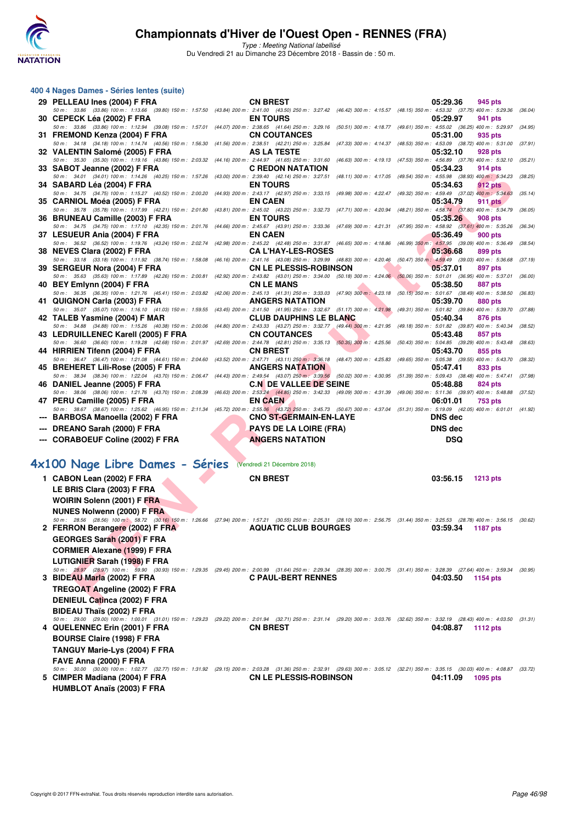

Type : Meeting National labellisé

Du Vendredi 21 au Dimanche 23 Décembre 2018 - Bassin de : 50 m.

| 400 4 Nages Dames - Séries lentes (suite)                                                                                           |                                                                                                                                                                                                                                                                                                                                                                                        |                                                                                                                                                                                                              |
|-------------------------------------------------------------------------------------------------------------------------------------|----------------------------------------------------------------------------------------------------------------------------------------------------------------------------------------------------------------------------------------------------------------------------------------------------------------------------------------------------------------------------------------|--------------------------------------------------------------------------------------------------------------------------------------------------------------------------------------------------------------|
| 29 PELLEAU Ines (2004) F FRA                                                                                                        | <b>CN BREST</b>                                                                                                                                                                                                                                                                                                                                                                        | 05:29.36<br>945 pts                                                                                                                                                                                          |
| 30 CEPECK Léa (2002) F FRA                                                                                                          | <b>EN TOURS</b>                                                                                                                                                                                                                                                                                                                                                                        | 50 m: 33.86 (33.86) 100 m: 1:13.66 (39.80) 150 m: 1:57.50 (43.84) 200 m: 2:41.00 (43.50) 250 m: 3:27.42 (46.42) 300 m: 4:15.57 (48.15) 350 m: 4:53.32 (37.75) 400 m: 5:29.36 (36.04)<br>05:29.97<br>941 pts  |
|                                                                                                                                     | <b>CN COUTANCES</b>                                                                                                                                                                                                                                                                                                                                                                    | 50 m: 33.86 (33.86) 100 m: 1:12.94 (39.08) 150 m: 1:57.01 (44.07) 200 m: 2:38.65 (41.64) 250 m: 3:29.16 (50.51) 300 m: 4:18.77 (49.61) 350 m: 4:55.02 (36.25) 400 m: 5:29.97 (34.95)<br>05:31.00<br>935 pts  |
| 31 FREMOND Kenza (2004) F FRA<br>32 VALENTIN Salomé (2005) F FRA                                                                    | 50 m: 34.18 (34.18) 100 m: 1:14.74 (40.56) 150 m: 1:56.30 (41.56) 200 m: 2:38.51 (42.21) 250 m: 3:25.84 (47.33) 300 m: 4:14.37 (48.53) 350 m: 4:53.09 (38.72) 400 m: 5:31.00<br>AS LA TESTE                                                                                                                                                                                            | (37.91)<br>05:32.10<br>928 pts                                                                                                                                                                               |
|                                                                                                                                     |                                                                                                                                                                                                                                                                                                                                                                                        | 50 m : 35.30 (35.30) 100 m : 1:19.16 (43.86) 150 m : 2:03.32 (44.16) 200 m : 2:44.97 (41.65) 250 m : 3:31.60 (46.63) 300 m : 4:19.13 (47.53) 350 m : 4:56.89 (37.76) 400 m : 5:32.10 (35.21)                 |
| 33 SABOT Jeanne (2002) F FRA                                                                                                        | <b>C REDON NATATION</b><br>50 m: 34.01 (34.01) 100 m: 1:14.26 (40.25) 150 m: 1:57.26 (43.00) 200 m: 2:39.40 (42.14) 250 m: 3:27.51 (48.11) 300 m: 4:17.05 (49.54) 350 m: 4:55.98 (38.93) 400 m: 5:34.23                                                                                                                                                                                | 05:34.23<br>914 pts<br>(38.25)                                                                                                                                                                               |
| 34   SABARD Léa (2004) F FRA                                                                                                        | <b>EN TOURS</b>                                                                                                                                                                                                                                                                                                                                                                        | 05:34.63<br>912 pts                                                                                                                                                                                          |
| 35 CARNIOL Moéa (2005) F FRA                                                                                                        | 50 m : 34.75 (34.75) 100 m : 1:15.27 (40.52) 150 m : 2:00.20 (44.93) 200 m : 2:43.17 (42.97) 250 m : 3:33.15 (49.98) 300 m : 4:22.47 (49.32) 350 m : 4:59.49 (37.02) 400 m : 5:34.63<br><b>EN CAEN</b><br>50 m: 35.78 (35.78) 100 m: 1:17.99 (42.21) 150 m: 2:01.80 (43.81) 200 m: 2:45.02 (43.22) 250 m: 3:32.73 (47.71) 300 m: 4:20.94 (48.21) 350 m: 4:58.74 (37.80) 400 m: 5:34.79 | (35.14)<br>05:34.79<br>911 pts<br>(36.05)                                                                                                                                                                    |
| 36 BRUNEAU Camille (2003) F FRA                                                                                                     | <b>EN TOURS</b><br>50 m: 34.75 (34.75) 100 m: 1:17.10 (42.35) 150 m: 2:01.76 (44.66) 200 m: 2:45.67 (43.91) 250 m: 3:33.36 (47.69) 300 m: 4:21.31 (47.95) 350 m: 4:58.92 (37.61) 400 m: 5:35.26                                                                                                                                                                                        | 05:35.26<br>908 pts<br>(36.34)                                                                                                                                                                               |
| 37 LESUEUR Ania (2004) F FRA                                                                                                        | <b>EN CAEN</b>                                                                                                                                                                                                                                                                                                                                                                         | 05:36.49<br><b>900 pts</b>                                                                                                                                                                                   |
| 38 NEVES Clara (2002) F FRA                                                                                                         | 50 m : 36.52 (36.52) 100 m : 1:19.76 (43.24) 150 m : 2:02.74 (42.98) 200 m : 2:45.22 (42.48) 250 m : 3:31.87 (46.65) 300 m : 4:18.86 (46.99) 350 m : 4:57.95 (39.09) 400 m : 5:36.49<br><b>CA L'HAY-LES-ROSES</b>                                                                                                                                                                      | (38.54)<br>05:36.68<br>899 pts                                                                                                                                                                               |
| 39 SERGEUR Nora (2004) F FRA                                                                                                        | 50 m: 33.18 (33.18) 100 m: 1:11.92 (38.74) 150 m: 1:58.08 (46.16) 200 m: 2:41.16 (43.08) 250 m: 3:29.99 (48.83) 300 m: 4:20.46 (50.47) 350 m: 4:59.49 (39.03) 400 m: 5:36.68<br><b>CN LE PLESSIS-ROBINSON</b>                                                                                                                                                                          | (37.19)<br>05:37.01<br>897 pts                                                                                                                                                                               |
|                                                                                                                                     | 50 m : 35.63 (35.63) 100 m : 1:17.89 (42.26) 150 m : 2:00.81 (42.92) 200 m : 2:43.82 (43.01) 250 m : 3:34.00 (50.18) 300 m : 4:24.06 (50.06) 350 m : 5:01.01 (36.95) 400 m : 5:37.01                                                                                                                                                                                                   | (36.00)                                                                                                                                                                                                      |
| 40 BEY Emlynn (2004) F FRA                                                                                                          | <b>CN LE MANS</b><br>50 m: 36.35 (36.35) 100 m: 1:21.76 (45.41) 150 m: 2:03.82 (42.06) 200 m: 2:45.13 (41.31) 250 m: 3:33.03 (47.90) 300 m: 4:23.18 (50.15) 350 m: 5:01.67 (38.49) 400 m: 5:38.50                                                                                                                                                                                      | 05:38.50<br>887 pts<br>(36.83)                                                                                                                                                                               |
| 41 QUIGNON Carla (2003) F FRA                                                                                                       | <b>ANGERS NATATION</b><br>50 m: 35.07 (35.07) 100 m: 1:16.10 (41.03) 150 m: 1:59.55 (43.45) 200 m: 2:41.50 (41.95) 250 m: 3:32.67 (51.17) 300 m: 4:21.98 (49.31) 350 m: 5:01.82 (39.84) 400 m: 5:39.70                                                                                                                                                                                 | 05:39.70<br>880 pts<br>(37.88)                                                                                                                                                                               |
| 42 TALEB Yasmine (2004) F MAR                                                                                                       | <b>CLUB DAUPHINS LE BLANC</b>                                                                                                                                                                                                                                                                                                                                                          | 05:40.34<br>876 pts                                                                                                                                                                                          |
| 43 LEDRUILLENEC Karell (2005) F FRA                                                                                                 | 50 m: 34.88 (34.88) 100 m: 1:15.26 (40.38) 150 m: 2:00.06 (44.80) 200 m: 2:43.33 (43.27) 250 m: 3:32.77 (49.44) 300 m: 4:21.95 (49.18) 350 m: 5:01.82 (39.87) 400 m: 5:40.34<br><b>CN COUTANCES</b>                                                                                                                                                                                    | (38.52)<br>05:43.48<br>857 pts                                                                                                                                                                               |
| 50 m: 36.60 (36.60) 100 m: 1:19.28 (42.68) 150 m: 2:01.97<br>44 HIRRIEN Tifenn (2004) F FRA                                         | (42.69) 200 m : 2:44.78 (42.81) 250 m : 3:35.13 (50.35) 300 m : 4:25.56 (50.43) 350 m : 5:04.85 (39.29) 400 m : 5:43.48<br><b>CN BREST</b>                                                                                                                                                                                                                                             | (38.63)<br>05:43.70<br>855 pts                                                                                                                                                                               |
| 45 BREHERET Lili-Rose (2005) F FRA                                                                                                  | 50 m : 36.47 (36.47) 100 m : 1:21.08 (44.61) 150 m : 2:04.60 (43.52) 200 m : 2:47.71 (43.11) 250 m : 3:36.18 (48.47) 300 m : 4:25.83 (49.65) 350 m : 5:05.38 (39.55) 400 m : 5:43.70<br><b>ANGERS NATATION</b>                                                                                                                                                                         | (38.32)<br>05:47.41<br>833 pts                                                                                                                                                                               |
| 46 DANIEL Jeanne (2005) F FRA                                                                                                       | 50 m : 38.34 (38.34) 100 m : 1:22.04 (43.70) 150 m : 2:06.47 (44.43) 200 m : 2:49.54 (43.07) 250 m : 3:39.56 (50.02) 300 m : 4:30.95 (51.39) 350 m : 5:09.43 (38.48) 400 m : 5:47.41<br><b>C.N. DE VALLEE DE SEINE</b>                                                                                                                                                                 | (37.98)<br>05:48.88<br>824 pts                                                                                                                                                                               |
| 47 PERU Camille (2005) F FRA                                                                                                        | <b>EN CAEN</b>                                                                                                                                                                                                                                                                                                                                                                         | 50 m : 38.06 (38.06) 100 m : 1:21.76 (43.70) 150 m : 2:08.39 (46.63) 200 m : 2:53.24 (44.85) 250 m : 342.33 (49.09) 300 m : 4:31.39 (49.06) 350 m : 5:11.36 (39.97) 400 m : 5:48.88 (37.52)<br>06:01.01      |
|                                                                                                                                     |                                                                                                                                                                                                                                                                                                                                                                                        |                                                                                                                                                                                                              |
|                                                                                                                                     |                                                                                                                                                                                                                                                                                                                                                                                        | 753 pts<br>50 m : 38.67 (38.67) 100 m : 1:25.62 (46.95) 150 m : 2:11.34 (45.72) 200 m : 2:55.06 (43.72) 250 m : 3:45.73 (50.67) 300 m : 4:37.04 (51.31) 350 m : 5:19.09 (42.05) 400 m : 6:01.01 (41.92)      |
| --- BARBOSA Manoella (2002) F FRA                                                                                                   | <b>CNO ST-GERMAIN-EN-LAYE</b>                                                                                                                                                                                                                                                                                                                                                          | <b>DNS</b> dec                                                                                                                                                                                               |
| --- DREANO Sarah (2000) F FRA                                                                                                       | <b>PAYS DE LA LOIRE (FRA)</b><br><b>ANGERS NATATION</b>                                                                                                                                                                                                                                                                                                                                | <b>DNS dec</b><br>DSQ                                                                                                                                                                                        |
| --- CORABOEUF Coline (2002) F FRA                                                                                                   |                                                                                                                                                                                                                                                                                                                                                                                        |                                                                                                                                                                                                              |
| 4x100 Nage Libre Dames - Séries (Vendredi 21 Décembre 2018)                                                                         |                                                                                                                                                                                                                                                                                                                                                                                        |                                                                                                                                                                                                              |
| 1 CABON Lean (2002) F FRA                                                                                                           | <b>CN BREST</b>                                                                                                                                                                                                                                                                                                                                                                        | 03:56.15<br><b>1213 pts</b>                                                                                                                                                                                  |
| LE BRIS Clara (2003) F FRA                                                                                                          |                                                                                                                                                                                                                                                                                                                                                                                        |                                                                                                                                                                                                              |
| WOIRIN Solenn (2001) F FRA                                                                                                          |                                                                                                                                                                                                                                                                                                                                                                                        |                                                                                                                                                                                                              |
| NUNES Nolwenn (2000) F FRA<br>50 m: 28.56 (28.56) 100 m: 58.72 (30.16) 150 m: 1:26.66 (27.94) 200 m: 1:57.21 (30.55) 250 m: 2:25.31 | (28.10) 300 m : 2:56.75                                                                                                                                                                                                                                                                                                                                                                | $(31.44)$ 350 m : 3:25.53<br>(28.78) 400 m : 3:56.15<br>(30.62)                                                                                                                                              |
| 2 FERRON Berangere (2002) F FRA                                                                                                     | <b>AQUATIC CLUB BOURGES</b>                                                                                                                                                                                                                                                                                                                                                            | 03:59.34<br><b>1187 pts</b>                                                                                                                                                                                  |
| <b>GEORGES Sarah (2001) F FRA</b>                                                                                                   |                                                                                                                                                                                                                                                                                                                                                                                        |                                                                                                                                                                                                              |
| <b>CORMIER Alexane (1999) F FRA</b>                                                                                                 |                                                                                                                                                                                                                                                                                                                                                                                        |                                                                                                                                                                                                              |
| <b>LUTIGNIER Sarah (1998) F FRA</b>                                                                                                 |                                                                                                                                                                                                                                                                                                                                                                                        | 50 m: 28.97 (28.97) 100 m: 59.90 (30.93) 150 m: 1:29.35 (29.45) 200 m: 2:00.99 (31.64) 250 m: 2:29.34 (28.35) 300 m: 3:00.75 (31.41) 350 m: 3:28.39 (27.64) 400 m: 3:59.34 (30.95)                           |
| 3 BIDEAU Marla (2002) F FRA                                                                                                         | <b>C PAUL-BERT RENNES</b>                                                                                                                                                                                                                                                                                                                                                              | 04:03.50<br>1154 pts                                                                                                                                                                                         |
| TREGOAT Angeline (2002) F FRA<br><b>DENIEUL Catinca (2002) F FRA</b>                                                                |                                                                                                                                                                                                                                                                                                                                                                                        |                                                                                                                                                                                                              |
| BIDEAU Thaïs (2002) F FRA                                                                                                           |                                                                                                                                                                                                                                                                                                                                                                                        |                                                                                                                                                                                                              |
| 4 QUELENNEC Erin (2001) F FRA                                                                                                       | <b>CN BREST</b>                                                                                                                                                                                                                                                                                                                                                                        | 50 m: 29.00 (29.00) 100 m: 1:00.01 (31.01) 150 m: 1:29.23 (29.22) 200 m: 2:01.94 (32.71) 250 m: 2:31.14 (29.20) 300 m: 3:03.76 (32.62) 350 m: 3:32.19 (28.43) 400 m: 4:03.50 (31.31)<br>04:08.87<br>1112 pts |
| <b>BOURSE Claire (1998) F FRA</b>                                                                                                   |                                                                                                                                                                                                                                                                                                                                                                                        |                                                                                                                                                                                                              |
| TANGUY Marie-Lys (2004) F FRA                                                                                                       |                                                                                                                                                                                                                                                                                                                                                                                        |                                                                                                                                                                                                              |
| FAVE Anna (2000) F FRA                                                                                                              |                                                                                                                                                                                                                                                                                                                                                                                        |                                                                                                                                                                                                              |
| 5 CIMPER Madiana (2004) F FRA<br><b>HUMBLOT Anaïs (2003) F FRA</b>                                                                  | <b>CN LE PLESSIS-ROBINSON</b>                                                                                                                                                                                                                                                                                                                                                          | 50 m: 30.00 (30.00) 100 m: 1:02.77 (32.77) 150 m: 1:31.92 (29.15) 200 m: 2:03.28 (31.36) 250 m: 2:32.91 (29.63) 300 m: 3:05.12 (32.21) 350 m: 3:35.15 (30.03) 400 m: 4:08.87 (33.72)<br>04:11.09<br>1095 pts |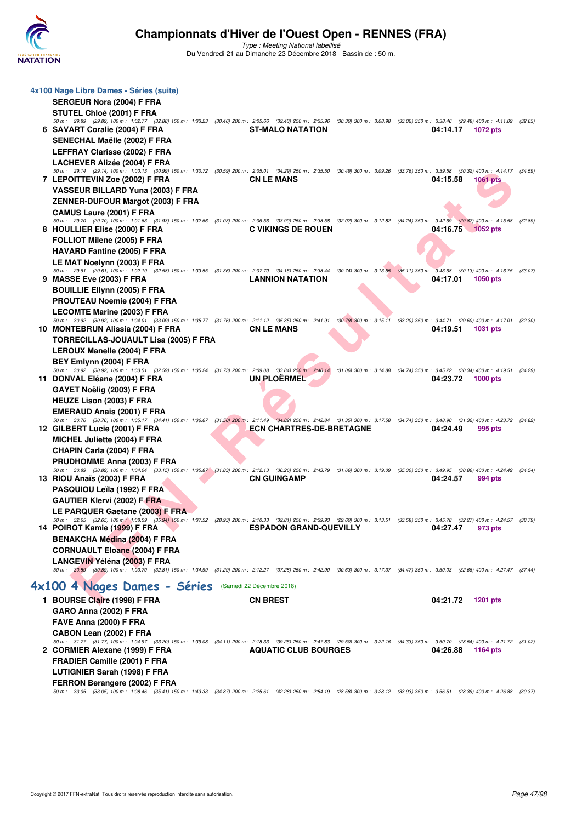

| 4x100 Nage Libre Dames - Séries (suite)<br>SERGEUR Nora (2004) F FRA                                                                                                                                                          |                                 |                             |         |
|-------------------------------------------------------------------------------------------------------------------------------------------------------------------------------------------------------------------------------|---------------------------------|-----------------------------|---------|
| <b>STUTEL Chloé (2001) F FRA</b>                                                                                                                                                                                              |                                 |                             |         |
| 50 m : 29.89 (29.89) 100 m : 1:02.77 (32.88) 150 m : 1:33.23 (30.46) 200 m : 2:05.66 (32.43) 250 m : 2:35.96 (30.30) 300 m : 3:08.98 (33.02) 350 m : 3:38.46 (29.48) 400 m : 4:11.09 (32.63)<br>6 SAVART Coralie (2004) F FRA | <b>ST-MALO NATATION</b>         | 04:14.17<br><b>1072 pts</b> |         |
| SENECHAL Maëlle (2002) F FRA                                                                                                                                                                                                  |                                 |                             |         |
| LEFFRAY Clarisse (2002) F FRA                                                                                                                                                                                                 |                                 |                             |         |
| <b>LACHEVER Alizée (2004) F FRA</b><br>50 m: 29.14 (29.14) 100 m: 1:00.13 (30.99) 150 m: 1:30.72 (30.59) 200 m: 2:05.01 (34.29) 250 m: 2:35.50 (30.49) 300 m: 3:09.26 (33.76) 350 m: 3:39.58 (30.32) 400 m: 4:14.17 (34.59)   |                                 |                             |         |
| 7 LEPOITTEVIN Zoe (2002) F FRA                                                                                                                                                                                                | <b>CN LE MANS</b>               | 04:15.58<br><b>1061 pts</b> |         |
| VASSEUR BILLARD Yuna (2003) F FRA                                                                                                                                                                                             |                                 |                             |         |
| ZENNER-DUFOUR Margot (2003) F FRA                                                                                                                                                                                             |                                 |                             |         |
| CAMUS Laure (2001) F FRA<br>50 m: 29.70 (29.70) 100 m: 1:01.63 (31.93) 150 m: 1:32.66 (31.03) 200 m: 2:06.56 (33.90) 250 m: 2:38.58 (32.02) 300 m: 3:12.82 (34.24) 350 m: 3:42.69 (29.87) 400 m: 4:15.58                      |                                 |                             | (32.89) |
| 8 HOULLIER Elise (2000) F FRA                                                                                                                                                                                                 | <b>C VIKINGS DE ROUEN</b>       | 04:16.75 1052 pts           |         |
| FOLLIOT Milene (2005) F FRA                                                                                                                                                                                                   |                                 |                             |         |
| <b>HAVARD Fantine (2005) F FRA</b>                                                                                                                                                                                            |                                 |                             |         |
| LE MAT Noelynn (2003) F FRA                                                                                                                                                                                                   |                                 |                             |         |
| 50 m: 29.61 (29.61) 100 m: 1:02.19 (32.58) 150 m: 1:33.55 (31.36) 200 m: 2:07.70 (34.15) 250 m: 2:38.44 (30.74) 300 m: 3:13.55 (35.11) 350 m: 3:43.68 (30.13) 400 m: 4:16.75 (33.07)<br>9 MASSE Eve (2003) F FRA              | <b>LANNION NATATION</b>         | 04:17.01<br>1050 pts        |         |
| <b>BOUILLIE Ellynn (2005) F FRA</b>                                                                                                                                                                                           |                                 |                             |         |
| PROUTEAU Noemie (2004) F FRA                                                                                                                                                                                                  |                                 |                             |         |
| LECOMTE Marine (2003) F FRA                                                                                                                                                                                                   |                                 |                             |         |
| 50 m: 30.92 (30.92) 100 m: 1:04.01 (33.09) 150 m: 1:35.77 (31.76) 200 m: 2:11.12 (35.35) 250 m: 2:41.91 (30.79) 300 m: 3:15.11 (33.20) 350 m: 3:44.71 (29.60) 400 m: 4:17.01 (32.30)<br>10 MONTEBRUN Alissia (2004) F FRA     | <b>CN LE MANS</b>               | 04:19.51<br><b>1031 pts</b> |         |
| TORRECILLAS-JOUAULT Lisa (2005) F FRA                                                                                                                                                                                         |                                 |                             |         |
| LEROUX Manelle (2004) F FRA                                                                                                                                                                                                   |                                 |                             |         |
| BEY Emlynn (2004) F FRA                                                                                                                                                                                                       |                                 |                             |         |
| 50 m: 30.92 (30.92) 100 m: 1:03.51 (32.59) 150 m: 1:35.24 (31.73) 200 m: 2:09.08 (33.84) 250 m: 2:40.14 (31.06) 300 m: 3:14.88 (34.74) 350 m: 3:45.22 (30.34) 400 m: 4:19.51 (34.29)                                          |                                 |                             |         |
| 11 DONVAL Eléane (2004) F FRA<br>GAYET Noëlig (2003) F FRA                                                                                                                                                                    | <b>UN PLOERMEL</b>              | 04:23.72<br><b>1000 pts</b> |         |
| <b>HEUZE Lison (2003) F FRA</b>                                                                                                                                                                                               |                                 |                             |         |
| <b>EMERAUD Anais (2001) F FRA</b>                                                                                                                                                                                             |                                 |                             |         |
| 50 m: 30.76 (30.76) 100 m: 1:05.17 (34.41) 150 m: 1:36.67 (31.50) 200 m: 2:11.49 (34.82) 250 m: 2:42.84 (31.35) 300 m: 3:17.58 (34.74) 350 m: 3:48.90 (31.32) 400 m: 4:23.72 (34.82)                                          |                                 |                             |         |
| 12 GILBERT Lucie (2001) F FRA                                                                                                                                                                                                 | <b>ECN CHARTRES-DE-BRETAGNE</b> | 04:24.49<br>995 pts         |         |
| <b>MICHEL Juliette (2004) F FRA</b>                                                                                                                                                                                           |                                 |                             |         |
| CHAPIN Carla (2004) F FRA<br><b>PRUDHOMME Anna (2003) F FRA</b>                                                                                                                                                               |                                 |                             |         |
| 50 m : 30.89 (30.89) 100 m : 1:04.04 (33.15) 150 m : 1:35.87 (31.83) 200 m : 2:12.13 (36.26) 250 m : 2:43.79 (31.66) 300 m : 3:19.09 (35.30) 350 m : 3:49.95 (30.86) 400 m : 4:24.49                                          |                                 |                             | (34.54) |
| 13 RIOU Anaïs (2003) F FRA                                                                                                                                                                                                    | <b>CN GUINGAMP</b>              | 04:24.57<br>994 pts         |         |
| PASQUIOU Leïla (1992) F FRA                                                                                                                                                                                                   |                                 |                             |         |
| <b>GAUTIER Klervi (2002) F FRA</b><br>LE PARQUER Gaetane (2003) F FRA                                                                                                                                                         |                                 |                             |         |
| 50 m : 32.65 (32.65) 100 m : 1:08.59 (35.94) 150 m : 1:37.52 (28.93) 200 m : 2:10.33 (32.81) 250 m : 2:39.93 (29.60) 300 m : 3:13.51 (33.58) 350 m : 3:45.78 (32.27) 400 m : 4:24.57 (38.79)                                  |                                 |                             |         |
| 14 POIROT Kamie (1999) F FRA                                                                                                                                                                                                  | <b>ESPADON GRAND-QUEVILLY</b>   | 04:27.47<br>973 pts         |         |
| <b>BENAKCHA Médina (2004) F FRA</b>                                                                                                                                                                                           |                                 |                             |         |
| <b>CORNUAULT Eloane (2004) F FRA</b>                                                                                                                                                                                          |                                 |                             |         |
| LANGEVIN Yéléna (2003) F FRA<br>50 m: 30.89 (30.89) 100 m: 1:03.70 (32.81) 150 m: 1:34.99 (31.29) 200 m: 2:12.27 (37.28) 250 m: 2:42.90 (30.63) 300 m: 3:17.37 (34.47) 350 m: 3:50.03 (32.66) 400 m: 4:27.47 (37.44)          |                                 |                             |         |
|                                                                                                                                                                                                                               |                                 |                             |         |
| 4x100 4 Nages Dames - Séries                                                                                                                                                                                                  | (Samedi 22 Décembre 2018)       |                             |         |
| 1 BOURSE Claire (1998) F FRA                                                                                                                                                                                                  | <b>CN BREST</b>                 | 04:21.72<br><b>1201 pts</b> |         |
| GARO Anna (2002) F FRA                                                                                                                                                                                                        |                                 |                             |         |
| FAVE Anna (2000) F FRA<br>CABON Lean (2002) F FRA                                                                                                                                                                             |                                 |                             |         |
| 50 m: 31.77 (31.77) 100 m: 1:04.97 (33.20) 150 m: 1:39.08 (34.11) 200 m: 2:18.33 (39.25) 250 m: 2:47.83 (29.50) 300 m: 3:22.16 (34.33) 350 m: 3:50.70 (28.54) 400 m: 4:21.72 (31.02)                                          |                                 |                             |         |
| 2 CORMIER Alexane (1999) F FRA                                                                                                                                                                                                | <b>AQUATIC CLUB BOURGES</b>     | 04:26.88<br><b>1164 pts</b> |         |
| FRADIER Camille (2001) F FRA                                                                                                                                                                                                  |                                 |                             |         |
| <b>LUTIGNIER Sarah (1998) F FRA</b>                                                                                                                                                                                           |                                 |                             |         |
| FERRON Berangere (2002) F FRA<br>50 m: 33.05 (33.05) 100 m: 1:08.46 (35.41) 150 m: 1:43.33 (34.87) 200 m: 2:25.61 (42.28) 250 m: 2:54.19 (28.58) 300 m: 3:28.12 (33.93) 350 m: 3:56.51 (28.39) 400 m: 4:26.88 (30.37)         |                                 |                             |         |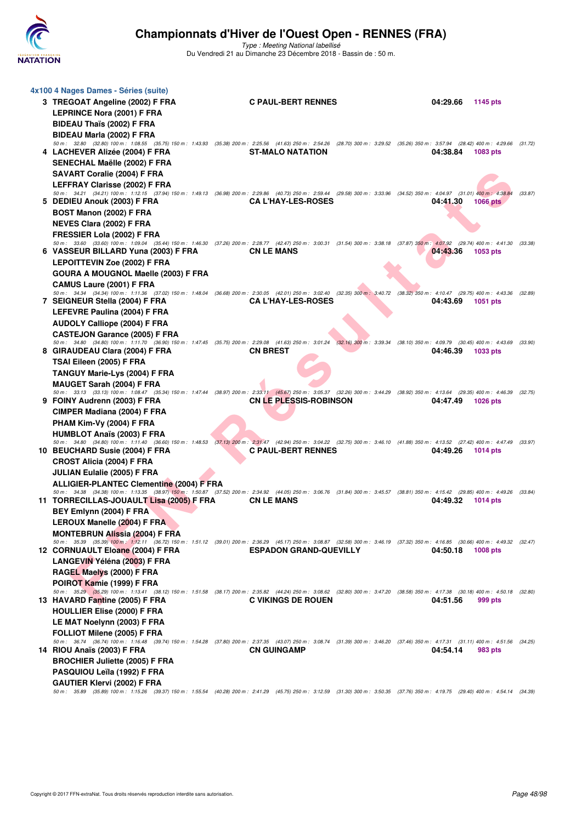

| 4x100 4 Nages Dames - Séries (suite)                                                                                                                                                                                          |                               |          |                 |         |
|-------------------------------------------------------------------------------------------------------------------------------------------------------------------------------------------------------------------------------|-------------------------------|----------|-----------------|---------|
| 3 TREGOAT Angeline (2002) F FRA                                                                                                                                                                                               | <b>C PAUL-BERT RENNES</b>     | 04:29.66 | 1145 pts        |         |
| <b>LEPRINCE Nora (2001) F FRA</b>                                                                                                                                                                                             |                               |          |                 |         |
| BIDEAU Thaïs (2002) F FRA                                                                                                                                                                                                     |                               |          |                 |         |
| BIDEAU Marla (2002) F FRA                                                                                                                                                                                                     |                               |          |                 |         |
| 50 m: 32.80 (32.80) 100 m: 1:08.55 (35.75) 150 m: 1:43.93 (35.38) 200 m: 2:25.56 (41.63) 250 m: 2:54.26 (28.70) 300 m: 3:29.52 (35.26) 350 m: 3:57.94 (28.42) 400 m: 4:29.66 (31.72)                                          |                               |          |                 |         |
| 4 LACHEVER Alizée (2004) F FRA                                                                                                                                                                                                | <b>ST-MALO NATATION</b>       | 04:38.84 | 1083 pts        |         |
| SENECHAL Maëlle (2002) F FRA                                                                                                                                                                                                  |                               |          |                 |         |
| SAVART Coralie (2004) F FRA                                                                                                                                                                                                   |                               |          |                 |         |
| LEFFRAY Clarisse (2002) F FRA<br>50 m : 34.21 (34.21) 100 m : 1:12.15 (37.94) 150 m : 1:49.13 (36.98) 200 m : 2:29.86 (40.73) 250 m : 2:59.44 (29.58) 300 m : 3:33.96 (34.52) 350 m : 4:04.97 (31.01) 400 m : 4:38.84         |                               |          |                 |         |
| 5 DEDIEU Anouk (2003) F FRA                                                                                                                                                                                                   | <b>CAL'HAY-LES-ROSES</b>      | 04:41.30 | 1066 pts        | (33.87) |
| BOST Manon (2002) F FRA                                                                                                                                                                                                       |                               |          |                 |         |
| NEVES Clara (2002) F FRA                                                                                                                                                                                                      |                               |          |                 |         |
| FRESSIER Lola (2002) F FRA                                                                                                                                                                                                    |                               |          |                 |         |
| 50 m : 33.60 (33.60) 100 m : 1:09.04 (35.44) 150 m : 1:46.30 (37.26) 200 m : 2:28.77 (42.47) 250 m : 3:00.31 (31.54) 300 m : 3:38.18 (37.87) 350 m : 4:07.92 (29.74) 400 m : 4:41.30 (33.38)                                  |                               |          |                 |         |
| 6 VASSEUR BILLARD Yuna (2003) F FRA                                                                                                                                                                                           | <b>CN LE MANS</b>             | 04:43.36 | 1053 pts        |         |
| <b>LEPOITTEVIN Zoe (2002) F FRA</b>                                                                                                                                                                                           |                               |          |                 |         |
| GOURA A MOUGNOL Maelle (2003) F FRA                                                                                                                                                                                           |                               |          |                 |         |
| <b>CAMUS Laure (2001) F FRA</b>                                                                                                                                                                                               |                               |          |                 |         |
| 50 m: 34.34 (34.34) 100 m: 1:11.36 (37.02) 150 m: 1:48.04 (36.68) 200 m: 2:30.05 (42.01) 250 m: 3:02.40 (32.35) 300 m: 3:40.72 (38.32) 350 m: 4:10.47 (29.75) 400 m: 4:43.36 (32.89)<br>7 SEIGNEUR Stella (2004) F FRA        | <b>CA L'HAY-LES-ROSES</b>     | 04:43.69 | <b>1051 pts</b> |         |
| LEFEVRE Paulina (2004) F FRA                                                                                                                                                                                                  |                               |          |                 |         |
| <b>AUDOLY Calliope (2004) F FRA</b>                                                                                                                                                                                           |                               |          |                 |         |
| <b>CASTEJON Garance (2005) F FRA</b>                                                                                                                                                                                          |                               |          |                 |         |
| 50 m : 34.80 (34.80) 100 m : 1:11.70 (36.90) 150 m : 1:47.45 (35.75) 200 m : 2:29.08 (41.63) 250 m : 3:01.24 (32.16) 300 m : 3:39.34 (38.10) 350 m : 4:09.79 (30.45) 400 m : 4:43.69 (33.90)                                  |                               |          |                 |         |
| 8 GIRAUDEAU Clara (2004) F FRA                                                                                                                                                                                                | <b>CN BREST</b>               | 04:46.39 | 1033 pts        |         |
| TSAI Eileen (2005) F FRA                                                                                                                                                                                                      |                               |          |                 |         |
| <b>TANGUY Marie-Lys (2004) F FRA</b>                                                                                                                                                                                          |                               |          |                 |         |
| <b>MAUGET Sarah (2004) F FRA</b>                                                                                                                                                                                              |                               |          |                 |         |
| 50 m : 33.13 (33.13) 100 m : 1:08.47 (35.34) 150 m : 1:47.44 (38.97) 200 m : 2:33.11 (45.67) 250 m : 3:05.37 (32.26) 300 m : 3:44.29 (38.92) 350 m : 4:13.64 (29.35) 400 m : 4:46.39 (32.75)                                  |                               |          |                 |         |
| 9 FOINY Audrenn (2003) F FRA                                                                                                                                                                                                  | <b>CN LE PLESSIS-ROBINSON</b> | 04:47.49 | 1026 pts        |         |
| CIMPER Madiana (2004) F FRA                                                                                                                                                                                                   |                               |          |                 |         |
| PHAM Kim-Vy (2004) F FRA                                                                                                                                                                                                      |                               |          |                 |         |
| <b>HUMBLOT Anaïs (2003) F FRA</b><br>50 m: 34.80 (34.80) 100 m: 1:11.40 (36.60) 150 m: 1:48.53 (37.13) 200 m: 2:31.47 (42.94) 250 m: 3:04.22 (32.75) 300 m: 3:46.10 (41.88) 350 m: 4:13.52 (27.42) 400 m: 4:47.49 (33.97)     |                               |          |                 |         |
| 10 BEUCHARD Susie (2004) F FRA                                                                                                                                                                                                | <b>C PAUL-BERT RENNES</b>     | 04:49.26 | <b>1014 pts</b> |         |
| CROST Alicia (2004) F FRA                                                                                                                                                                                                     |                               |          |                 |         |
| <b>JULIAN Eulalie (2005) F FRA</b>                                                                                                                                                                                            |                               |          |                 |         |
| <b>ALLIGIER-PLANTEC Clementine (2004) F FRA</b>                                                                                                                                                                               |                               |          |                 |         |
| 50 m: 34.38 (34.38) 100 m: 1:13.35 (38.97) 150 m: 1:50.87 (37.52) 200 m: 2:34.92 (44.05) 250 m: 3:06.76 (31.84) 300 m: 3:45.57 (38.81) 350 m: 4:15.42 (29.85) 400 m: 4:49.26 (33.84)                                          |                               |          |                 |         |
| 11 TORRECILLAS-JOUAULT Lisa (2005) F FRA                                                                                                                                                                                      | <b>CN LE MANS</b>             | 04:49.32 | 1014 pts        |         |
| BEY Emlynn (2004) F FRA                                                                                                                                                                                                       |                               |          |                 |         |
| LEROUX Manelle (2004) F FRA                                                                                                                                                                                                   |                               |          |                 |         |
| <b>MONTEBRUN Alissia (2004) F FRA</b><br>50 m: 35.39 (35.39) 100 m: 1:12.11 (36.72) 150 m: 1:51.12 (39.01) 200 m: 2:36.29 (45.17) 250 m: 3:08.87 (32.58) 300 m: 3:46.19 (37.32) 350 m: 4:16.85 (30.66) 400 m: 4:49.32 (32.47) |                               |          |                 |         |
| 12 CORNUAULT Eloane (2004) F FRA                                                                                                                                                                                              | <b>ESPADON GRAND-QUEVILLY</b> | 04:50.18 | <b>1008 pts</b> |         |
| LANGEVIN Yéléna (2003) F FRA                                                                                                                                                                                                  |                               |          |                 |         |
| RAGEL Maelys (2000) F FRA                                                                                                                                                                                                     |                               |          |                 |         |
| POIROT Kamie (1999) F FRA                                                                                                                                                                                                     |                               |          |                 |         |
| 50 m: 35.29 (35.29) 100 m: 1:13.41 (38.12) 150 m: 1:51.58 (38.17) 200 m: 2:35.82 (44.24) 250 m: 3:08.62 (32.80) 300 m: 3:47.20 (38.58) 350 m: 4:17.38 (30.18) 400 m: 4:50.18 (32.80)                                          |                               |          |                 |         |
| 13 HAVARD Fantine (2005) F FRA                                                                                                                                                                                                | <b>C VIKINGS DE ROUEN</b>     | 04:51.56 | 999 pts         |         |
| <b>HOULLIER Elise (2000) F FRA</b>                                                                                                                                                                                            |                               |          |                 |         |
| LE MAT Noelynn (2003) F FRA                                                                                                                                                                                                   |                               |          |                 |         |
| FOLLIOT Milene (2005) F FRA                                                                                                                                                                                                   |                               |          |                 |         |
| 50 m: 36.74 (36.74) 100 m: 1:16.48 (39.74) 150 m: 1:54.28 (37.80) 200 m: 2:37.35 (43.07) 250 m: 3:08.74 (31.39) 300 m: 3:46.20 (37.46) 350 m: 4:17.31 (31.11) 400 m: 4:51.56 (34.25)<br>14 RIOU Anaïs (2003) F FRA            | <b>CN GUINGAMP</b>            | 04:54.14 | 983 pts         |         |
| <b>BROCHIER Juliette (2005) F FRA</b>                                                                                                                                                                                         |                               |          |                 |         |
| <b>PASQUIOU Leïla (1992) F FRA</b>                                                                                                                                                                                            |                               |          |                 |         |
| GAUTIER Klervi (2002) F FRA                                                                                                                                                                                                   |                               |          |                 |         |
| 50 m : 35.89 (35.89) 100 m : 1:15.26 (39.37) 150 m : 1:55.54 (40.28) 200 m : 2:41.29 (45.75) 250 m : 3:12.59 (31.30) 300 m : 3:50.35 (37.76) 350 m : 4:19.75 (29.40) 400 m : 4:54.14 (34.39)                                  |                               |          |                 |         |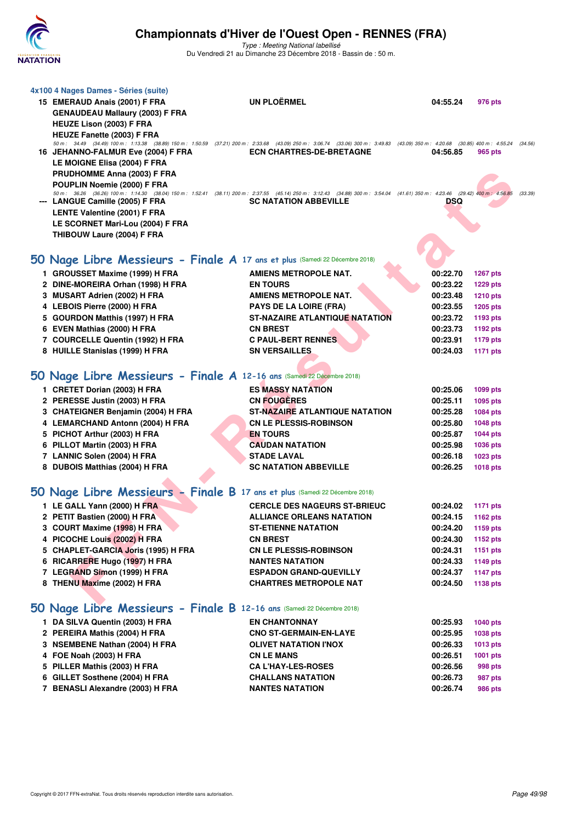

| 4x100 4 Nages Dames - Séries (suite)<br>15 EMERAUD Anais (2001) F FRA<br><b>GENAUDEAU Mallaury (2003) F FRA</b><br>HEUZE Lison (2003) F FRA                                                                                                                                                                                                                          | <b>UN PLOËRMEL</b>                             | 04:55.24<br>976 pts                          |         |
|----------------------------------------------------------------------------------------------------------------------------------------------------------------------------------------------------------------------------------------------------------------------------------------------------------------------------------------------------------------------|------------------------------------------------|----------------------------------------------|---------|
| <b>HEUZE Fanette (2003) F FRA</b><br>50 m: 34.49 (34.49) 100 m: 1:13.38 (38.89) 150 m: 1:50.59 (37.21) 200 m: 2:33.68 (43.09) 250 m: 3:06.74 (33.06) 300 m: 3:49.83 (43.09) 350 m: 4:20.68 (30.85) 400 m: 4:55.24 (34.56)<br>16 JEHANNO-FALMUR Eve (2004) F FRA<br>LE MOIGNE Elisa (2004) F FRA<br><b>PRUDHOMME Anna (2003) F FRA</b><br>POUPLIN Noemie (2000) F FRA | <b>ECN CHARTRES-DE-BRETAGNE</b>                | 04:56.85<br>965 pts                          |         |
| 50 m: 36.26 (36.26) 100 m: 1:14.30 (38.04) 150 m: 1:52.41 (38.11) 200 m: 2:37.55 (45.14) 250 m: 3:12.43 (34.88) 300 m: 3:54.04 (41.61) 350 m: 4:23.46 (29.42) 400 m: 4:56.85<br>--- LANGUE Camille (2005) F FRA<br><b>LENTE Valentine (2001) F FRA</b><br>LE SCORNET Mari-Lou (2004) F FRA<br>THIBOUW Laure (2004) F FRA                                             | <b>SC NATATION ABBEVILLE</b>                   | DSQ                                          | (33.39) |
| 50 Nage Libre Messieurs - Finale A 17 ans et plus (Samedi 22 Décembre 2018)                                                                                                                                                                                                                                                                                          |                                                |                                              |         |
| 1 GROUSSET Maxime (1999) H FRA                                                                                                                                                                                                                                                                                                                                       | AMIENS METROPOLE NAT.                          | 00:22.70<br><b>1267 pts</b>                  |         |
| 2 DINE-MOREIRA Orhan (1998) H FRA                                                                                                                                                                                                                                                                                                                                    | <b>EN TOURS</b>                                | 00:23.22<br><b>1229 pts</b>                  |         |
| 3 MUSART Adrien (2002) H FRA                                                                                                                                                                                                                                                                                                                                         | <b>AMIENS METROPOLE NAT.</b>                   | 00:23.48<br><b>1210 pts</b>                  |         |
| 4 LEBOIS Pierre (2000) H FRA                                                                                                                                                                                                                                                                                                                                         | <b>PAYS DE LA LOIRE (FRA)</b>                  | 00:23.55<br><b>1205 pts</b>                  |         |
| 5 GOURDON Matthis (1997) H FRA                                                                                                                                                                                                                                                                                                                                       | <b>ST-NAZAIRE ATLANTIQUE NATATION</b>          | 00:23.72<br>1193 pts                         |         |
| 6 EVEN Mathias (2000) H FRA                                                                                                                                                                                                                                                                                                                                          | <b>CN BREST</b>                                | 00:23.73<br>1192 pts                         |         |
| 7 COURCELLE Quentin (1992) H FRA                                                                                                                                                                                                                                                                                                                                     | <b>C PAUL-BERT RENNES</b>                      | 00:23.91<br><b>1179 pts</b>                  |         |
| 8 HUILLE Stanislas (1999) H FRA                                                                                                                                                                                                                                                                                                                                      | <b>SN VERSAILLES</b>                           | 00:24.03<br>1171 pts                         |         |
| 50 Nage Libre Messieurs - Finale A 12-16 ans (Samedi 22 Décembre 2018)                                                                                                                                                                                                                                                                                               |                                                |                                              |         |
|                                                                                                                                                                                                                                                                                                                                                                      |                                                |                                              |         |
| 1 CRETET Dorian (2003) H FRA                                                                                                                                                                                                                                                                                                                                         | <b>ES MASSY NATATION</b><br><b>CN FOUGERES</b> | 00:25.06<br>1099 pts                         |         |
| 2 PERESSE Justin (2003) H FRA<br>3 CHATEIGNER Benjamin (2004) H FRA                                                                                                                                                                                                                                                                                                  | <b>ST-NAZAIRE ATLANTIQUE NATATION</b>          | 00:25.11<br>1095 pts<br>00:25.28<br>1084 pts |         |
| 4 LEMARCHAND Antonn (2004) H FRA                                                                                                                                                                                                                                                                                                                                     | <b>CN LE PLESSIS-ROBINSON</b>                  | 00:25.80<br>1048 pts                         |         |
| 5 PICHOT Arthur (2003) H FRA                                                                                                                                                                                                                                                                                                                                         | <b>EN TOURS</b>                                | 00:25.87<br><b>1044 pts</b>                  |         |
| 6 PILLOT Martin (2003) H FRA                                                                                                                                                                                                                                                                                                                                         | <b>CAUDAN NATATION</b>                         | 00:25.98<br><b>1036 pts</b>                  |         |
| 7 LANNIC Solen (2004) H FRA                                                                                                                                                                                                                                                                                                                                          | <b>STADE LAVAL</b>                             | 00:26.18<br><b>1023 pts</b>                  |         |
| 8 DUBOIS Matthias (2004) H FRA                                                                                                                                                                                                                                                                                                                                       | <b>SC NATATION ABBEVILLE</b>                   | 00:26.25<br><b>1018 pts</b>                  |         |
|                                                                                                                                                                                                                                                                                                                                                                      |                                                |                                              |         |
| 50 Nage Libre Messieurs - Finale B 17 ans et plus (Samedi 22 Décembre 2018)                                                                                                                                                                                                                                                                                          |                                                |                                              |         |
| 1 LE GALL Yann (2000) H FRA                                                                                                                                                                                                                                                                                                                                          | <b>CERCLE DES NAGEURS ST-BRIEUC</b>            | 00:24.02<br><b>1171 pts</b>                  |         |
| 2 PETIT Bastien (2000) H FRA                                                                                                                                                                                                                                                                                                                                         | <b>ALLIANCE ORLEANS NATATION</b>               | 00:24.15<br>1162 pts                         |         |
| 3 COURT Maxime (1998) H FRA                                                                                                                                                                                                                                                                                                                                          | <b>ST-ETIENNE NATATION</b>                     | 00:24.20<br>1159 pts                         |         |
| 4 PICOCHE Louis (2002) H FRA                                                                                                                                                                                                                                                                                                                                         | <b>CN BREST</b>                                | 00:24.30<br><b>1152 pts</b>                  |         |
| 5 CHAPLET-GARCIA Joris (1995) H FRA                                                                                                                                                                                                                                                                                                                                  | <b>CN LE PLESSIS-ROBINSON</b>                  | 00:24.31<br>1151 pts                         |         |
| 6 RICARRERE Hugo (1997) H FRA                                                                                                                                                                                                                                                                                                                                        | <b>NANTES NATATION</b>                         | 00:24.33<br>1149 pts                         |         |
| 7 LEGRAND Simon (1999) H FRA                                                                                                                                                                                                                                                                                                                                         | <b>ESPADON GRAND-QUEVILLY</b>                  | 00:24.37<br><b>1147 pts</b>                  |         |
| 8 THENU Maxime (2002) H FRA                                                                                                                                                                                                                                                                                                                                          | <b>CHARTRES METROPOLE NAT</b>                  | 00:24.50<br>1138 pts                         |         |
| 50 Nage Libre Messieurs - Finale B 12-16 ans (Samedi 22 Décembre 2018)                                                                                                                                                                                                                                                                                               |                                                |                                              |         |
| 1 DA SILVA Quentin (2003) H FRA                                                                                                                                                                                                                                                                                                                                      | <b>EN CHANTONNAY</b>                           | 00:25.93<br>1040 pts                         |         |
| 2 PEREIRA Mathis (2004) H FRA                                                                                                                                                                                                                                                                                                                                        | <b>CNO ST-GERMAIN-EN-LAYE</b>                  | 00:25.95<br>1038 pts                         |         |
| 3 NSEMBENE Nathan (2004) H FRA                                                                                                                                                                                                                                                                                                                                       | <b>OLIVET NATATION I'NOX</b>                   | 00:26.33<br><b>1013 pts</b>                  |         |
| 4 FOE Noah (2003) H FRA                                                                                                                                                                                                                                                                                                                                              | <b>CN LE MANS</b>                              | 00:26.51<br>1001 pts                         |         |
| 5 PILLER Mathis (2003) H FRA                                                                                                                                                                                                                                                                                                                                         | <b>CA L'HAY-LES-ROSES</b>                      | 00:26.56<br>998 pts                          |         |
| 6 GILLET Sosthene (2004) H FRA                                                                                                                                                                                                                                                                                                                                       | <b>CHALLANS NATATION</b>                       | 00:26.73<br><b>987 pts</b>                   |         |
| 7 BENASLI Alexandre (2003) H FRA                                                                                                                                                                                                                                                                                                                                     | <b>NANTES NATATION</b>                         | 00:26.74<br><b>986 pts</b>                   |         |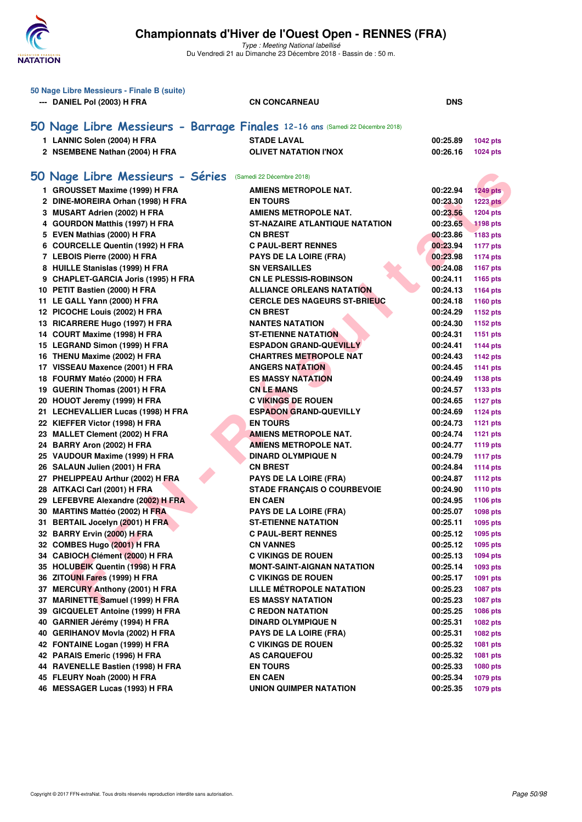

| 50 Nage Libre Messieurs - Finale B (suite)                            |                                                                               |                                  |  |  |  |
|-----------------------------------------------------------------------|-------------------------------------------------------------------------------|----------------------------------|--|--|--|
| --- DANIEL Pol (2003) H FRA                                           | <b>CN CONCARNEAU</b>                                                          | <b>DNS</b>                       |  |  |  |
|                                                                       |                                                                               |                                  |  |  |  |
|                                                                       | 50 Nage Libre Messieurs - Barrage Finales 12-16 ans (Samedi 22 Décembre 2018) |                                  |  |  |  |
| 1 LANNIC Solen (2004) H FRA                                           | <b>STADE LAVAL</b>                                                            | 00:25.89<br>1042 pts             |  |  |  |
| 2 NSEMBENE Nathan (2004) H FRA                                        | <b>OLIVET NATATION I'NOX</b>                                                  | 00:26.16<br><b>1024 pts</b>      |  |  |  |
|                                                                       |                                                                               |                                  |  |  |  |
|                                                                       |                                                                               |                                  |  |  |  |
| 50 Nage Libre Messieurs - Séries (Samedi 22 Décembre 2018)            |                                                                               |                                  |  |  |  |
| 1 GROUSSET Maxime (1999) H FRA                                        | <b>AMIENS METROPOLE NAT.</b>                                                  | 00:22.94<br><b>1249 pts</b>      |  |  |  |
| 2 DINE-MOREIRA Orhan (1998) H FRA                                     | <b>EN TOURS</b>                                                               | 00:23.30<br><b>1223 pts</b>      |  |  |  |
| 3 MUSART Adrien (2002) H FRA                                          | AMIENS METROPOLE NAT.                                                         | 00:23.56<br>1204 pts             |  |  |  |
| 4 GOURDON Matthis (1997) H FRA                                        | <b>ST-NAZAIRE ATLANTIQUE NATATION</b>                                         | 00:23.65<br><b>1198 pts</b>      |  |  |  |
| 5 EVEN Mathias (2000) H FRA                                           | <b>CN BREST</b>                                                               | 00:23.86<br><b>1183 pts</b>      |  |  |  |
| 6 COURCELLE Quentin (1992) H FRA                                      | <b>C PAUL-BERT RENNES</b>                                                     | 00:23.94<br><b>1177 pts</b>      |  |  |  |
| 7 LEBOIS Pierre (2000) H FRA                                          | <b>PAYS DE LA LOIRE (FRA)</b>                                                 | 00:23.98<br><b>1174 pts</b>      |  |  |  |
| 8 HUILLE Stanislas (1999) H FRA                                       | <b>SN VERSAILLES</b>                                                          | 00:24.08<br><b>1167 pts</b>      |  |  |  |
| 9 CHAPLET-GARCIA Joris (1995) H FRA                                   | <b>CN LE PLESSIS-ROBINSON</b>                                                 | 00:24.11<br>1165 pts             |  |  |  |
| 10 PETIT Bastien (2000) H FRA                                         | <b>ALLIANCE ORLEANS NATATION</b>                                              | 00:24.13<br><b>1164 pts</b>      |  |  |  |
| 11 LE GALL Yann (2000) H FRA                                          | <b>CERCLE DES NAGEURS ST-BRIEUC</b>                                           | 00:24.18<br><b>1160 pts</b>      |  |  |  |
| 12 PICOCHE Louis (2002) H FRA                                         | <b>CN BREST</b>                                                               | 00:24.29<br><b>1152 pts</b>      |  |  |  |
| 13 RICARRERE Hugo (1997) H FRA                                        | <b>NANTES NATATION</b>                                                        | 00:24.30<br>1152 pts             |  |  |  |
| 14 COURT Maxime (1998) H FRA                                          | <b>ST-ETIENNE NATATION</b>                                                    | 00:24.31<br><b>1151 pts</b>      |  |  |  |
| 15 LEGRAND Simon (1999) H FRA                                         | <b>ESPADON GRAND-QUEVILLY</b>                                                 | 00:24.41<br>1144 pts             |  |  |  |
| 16 THENU Maxime (2002) H FRA                                          | <b>CHARTRES METROPOLE NAT</b>                                                 | 00:24.43<br><b>1142 pts</b>      |  |  |  |
| 17 VISSEAU Maxence (2001) H FRA                                       | <b>ANGERS NATATION</b>                                                        | 00:24.45<br><b>1141 pts</b>      |  |  |  |
| 18 FOURMY Matéo (2000) H FRA                                          | <b>ES MASSY NATATION</b>                                                      | 00:24.49<br>1138 pts             |  |  |  |
| 19 GUERIN Thomas (2001) H FRA                                         | <b>CN LE MANS</b>                                                             | 00:24.57<br>1133 pts             |  |  |  |
| 20 HOUOT Jeremy (1999) H FRA                                          | <b>C VIKINGS DE ROUEN</b>                                                     | 00:24.65<br><b>1127 pts</b>      |  |  |  |
| 21 LECHEVALLIER Lucas (1998) H FRA                                    | <b>ESPADON GRAND-QUEVILLY</b>                                                 | 00:24.69<br><b>1124 pts</b>      |  |  |  |
| 22 KIEFFER Victor (1998) H FRA                                        | <b>EN TOURS</b>                                                               | 00:24.73<br>1121 $pts$           |  |  |  |
| 23 MALLET Clement (2002) H FRA                                        | <b>AMIENS METROPOLE NAT.</b>                                                  | 00:24.74<br><b>1121 pts</b>      |  |  |  |
| 24 BARRY Aron (2002) H FRA                                            | <b>AMIENS METROPOLE NAT.</b>                                                  | 00:24.77<br><b>1119 pts</b>      |  |  |  |
| 25 VAUDOUR Maxime (1999) H FRA                                        | <b>DINARD OLYMPIQUE N</b>                                                     | 00:24.79<br><b>1117 pts</b>      |  |  |  |
| 26 SALAUN Julien (2001) H FRA                                         | <b>CN BREST</b>                                                               | 00:24.84<br><b>1114 pts</b>      |  |  |  |
| 27 PHELIPPEAU Arthur (2002) H FRA                                     | <b>PAYS DE LA LOIRE (FRA)</b>                                                 | 00:24.87<br><b>1112 pts</b>      |  |  |  |
| 28 AITKACI Carl (2001) H FRA                                          | <b>STADE FRANÇAIS O COURBEVOIE</b>                                            | 00:24.90<br><b>1110 pts</b>      |  |  |  |
| 29 LEFEBVRE Alexandre (2002) H FRA                                    | <b>EN CAEN</b>                                                                | 00:24.95<br><b>1106 pts</b>      |  |  |  |
| 30 MARTINS Mattéo (2002) H FRA                                        | <b>PAYS DE LA LOIRE (FRA)</b>                                                 | 00:25.07<br><b>1098 pts</b>      |  |  |  |
| 31 BERTAIL Jocelyn (2001) H FRA                                       | <b>ST-ETIENNE NATATION</b>                                                    | 00:25.11<br>1095 pts             |  |  |  |
| 32 BARRY Ervin (2000) H FRA                                           | <b>C PAUL-BERT RENNES</b>                                                     | 00:25.12<br>1095 pts             |  |  |  |
| 32 COMBES Hugo (2001) H FRA                                           | <b>CN VANNES</b>                                                              | 00:25.12<br>1095 pts             |  |  |  |
| 34 CABIOCH Clément (2000) H FRA                                       | <b>C VIKINGS DE ROUEN</b>                                                     | 00:25.13<br>1094 pts             |  |  |  |
| 35 HOLUBEIK Quentin (1998) H FRA                                      | <b>MONT-SAINT-AIGNAN NATATION</b>                                             | 00:25.14<br>1093 pts             |  |  |  |
| 36 ZITOUNI Fares (1999) H FRA                                         | <b>C VIKINGS DE ROUEN</b><br>LILLE MÉTROPOLE NATATION                         | 00:25.17<br>1091 pts             |  |  |  |
| 37 MERCURY Anthony (2001) H FRA                                       |                                                                               | 00:25.23<br><b>1087 pts</b>      |  |  |  |
| 37 MARINETTE Samuel (1999) H FRA<br>39 GICQUELET Antoine (1999) H FRA | <b>ES MASSY NATATION</b><br><b>C REDON NATATION</b>                           | 00:25.23<br>1087 pts             |  |  |  |
|                                                                       | <b>DINARD OLYMPIQUE N</b>                                                     | 00:25.25<br>1086 pts             |  |  |  |
| 40 GARNIER Jérémy (1994) H FRA                                        |                                                                               | 00:25.31<br>1082 pts             |  |  |  |
| 40 GERIHANOV Movla (2002) H FRA                                       | <b>PAYS DE LA LOIRE (FRA)</b>                                                 | 00:25.31<br><b>1082 pts</b>      |  |  |  |
| 42 FONTAINE Logan (1999) H FRA                                        | <b>C VIKINGS DE ROUEN</b>                                                     | 00:25.32<br>1081 pts             |  |  |  |
| 42 PARAIS Emeric (1996) H FRA                                         | <b>AS CARQUEFOU</b>                                                           | 00:25.32<br>1081 pts             |  |  |  |
| 44 RAVENELLE Bastien (1998) H FRA                                     | <b>EN TOURS</b>                                                               | 00:25.33<br>1080 pts             |  |  |  |
| 45 FLEURY Noah (2000) H FRA<br>46 MESSAGER Lucas (1993) H FRA         | <b>EN CAEN</b><br><b>UNION QUIMPER NATATION</b>                               | 00:25.34<br>1079 pts<br>00:25.35 |  |  |  |
|                                                                       |                                                                               | 1079 pts                         |  |  |  |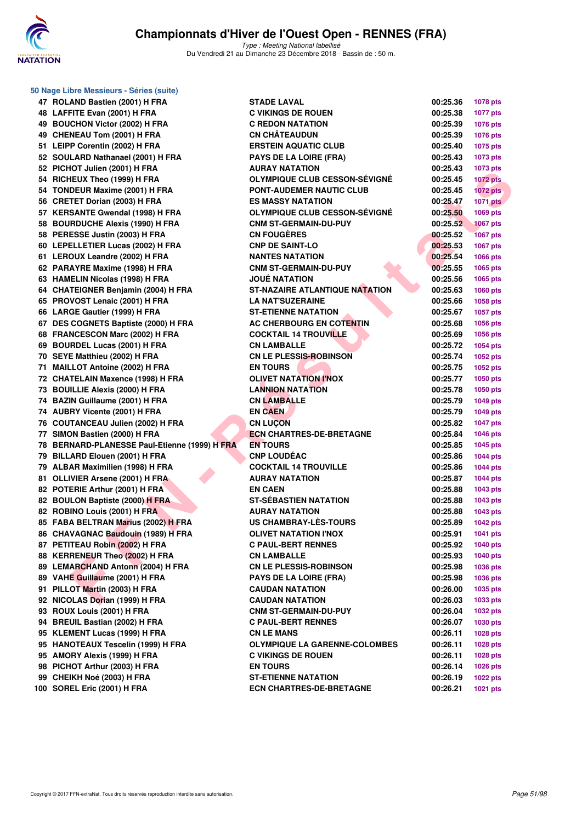

| 50 Nage Libre Messieurs - Séries (suite)      |                                       |          |                 |
|-----------------------------------------------|---------------------------------------|----------|-----------------|
| 47 ROLAND Bastien (2001) H FRA                | <b>STADE LAVAL</b>                    | 00:25.36 | <b>1078 pts</b> |
| 48 LAFFITE Evan (2001) H FRA                  | <b>C VIKINGS DE ROUEN</b>             | 00:25.38 | <b>1077 pts</b> |
| 49 BOUCHON Victor (2002) H FRA                | <b>C REDON NATATION</b>               | 00:25.39 | 1076 pts        |
| 49 CHENEAU Tom (2001) H FRA                   | <b>CN CHÂTEAUDUN</b>                  | 00:25.39 | 1076 pts        |
| 51 LEIPP Corentin (2002) H FRA                | <b>ERSTEIN AQUATIC CLUB</b>           | 00:25.40 | 1075 pts        |
| 52 SOULARD Nathanael (2001) H FRA             | <b>PAYS DE LA LOIRE (FRA)</b>         | 00:25.43 | 1073 pts        |
| 52 PICHOT Julien (2001) H FRA                 | <b>AURAY NATATION</b>                 | 00:25.43 | 1073 pts        |
| 54 RICHEUX Theo (1999) H FRA                  | <b>OLYMPIQUE CLUB CESSON-SEVIGNE</b>  | 00:25.45 | <b>1072 pts</b> |
| 54 TONDEUR Maxime (2001) H FRA                | PONT-AUDEMER NAUTIC CLUB              | 00:25.45 | <b>1072</b> pts |
| 56 CRETET Dorian (2003) H FRA                 | <b>ES MASSY NATATION</b>              | 00:25.47 | <b>1071 pts</b> |
| 57 KERSANTE Gwendal (1998) H FRA              | <b>OLYMPIQUE CLUB CESSON-SEVIGNE</b>  | 00:25.50 | 1069 pts        |
| 58 BOURDUCHE Alexis (1990) H FRA              | <b>CNM ST-GERMAIN-DU-PUY</b>          | 00:25.52 | <b>1067 pts</b> |
| 58 PERESSE Justin (2003) H FRA                | <b>CN FOUGERES</b>                    | 00:25.52 | <b>1067 pts</b> |
| 60 LEPELLETIER Lucas (2002) H FRA             | <b>CNP DE SAINT-LO</b>                | 00:25.53 | 1067 pts        |
| 61 LEROUX Leandre (2002) H FRA                | <b>NANTES NATATION</b>                | 00:25.54 | 1066 pts        |
| 62 PARAYRE Maxime (1998) H FRA                | <b>CNM ST-GERMAIN-DU-PUY</b>          | 00:25.55 | 1065 pts        |
| 63 HAMELIN Nicolas (1998) H FRA               | <b>JOUÉ NATATION</b>                  | 00:25.56 | 1065 pts        |
| 64 CHATEIGNER Benjamin (2004) H FRA           | <b>ST-NAZAIRE ATLANTIQUE NATATION</b> | 00:25.63 | 1060 pts        |
| 65 PROVOST Lenaic (2001) H FRA                | <b>LA NAT'SUZERAINE</b>               | 00:25.66 | <b>1058 pts</b> |
| 66 LARGE Gautier (1999) H FRA                 | <b>ST-ETIENNE NATATION</b>            | 00:25.67 | <b>1057 pts</b> |
| 67 DES COGNETS Baptiste (2000) H FRA          | AC CHERBOURG EN COTENTIN              | 00:25.68 | 1056 pts        |
| 68 FRANCESCON Marc (2002) H FRA               | <b>COCKTAIL 14 TROUVILLE</b>          | 00:25.69 | 1056 pts        |
| 69 BOURDEL Lucas (2001) H FRA                 | <b>CN LAMBALLE</b>                    | 00:25.72 | 1054 pts        |
| 70 SEYE Matthieu (2002) H FRA                 | <b>CN LE PLESSIS-ROBINSON</b>         | 00:25.74 | 1052 pts        |
| 71 MAILLOT Antoine (2002) H FRA               | <b>EN TOURS</b>                       | 00:25.75 | 1052 pts        |
| 72 CHATELAIN Maxence (1998) H FRA             | <b>OLIVET NATATION I'NOX</b>          | 00:25.77 | 1050 pts        |
| 73 BOUILLIE Alexis (2000) H FRA               | <b>LANNION NATATION</b>               | 00:25.78 | 1050 pts        |
| 74 BAZIN Guillaume (2001) H FRA               | <b>CN LAMBALLE</b>                    | 00:25.79 | <b>1049 pts</b> |
| 74 AUBRY Vicente (2001) H FRA                 | <b>EN CAEN</b>                        | 00:25.79 | <b>1049 pts</b> |
| 76 COUTANCEAU Julien (2002) H FRA             | <b>CN LUÇON</b>                       | 00:25.82 | <b>1047 pts</b> |
| 77 SIMON Bastien (2000) H FRA                 | <b>ECN CHARTRES-DE-BRETAGNE</b>       | 00:25.84 | 1046 pts        |
| 78 BERNARD-PLANESSE Paul-Etienne (1999) H FRA | <b>EN TOURS</b>                       | 00:25.85 | 1045 pts        |
| 79 BILLARD Elouen (2001) H FRA                | <b>CNP LOUDEAC</b>                    | 00:25.86 | <b>1044 pts</b> |
| 79 ALBAR Maximilien (1998) H FRA              | <b>COCKTAIL 14 TROUVILLE</b>          | 00:25.86 | <b>1044 pts</b> |
| 81 OLLIVIER Arsene (2001) H FRA               | <b>AURAY NATATION</b>                 | 00:25.87 | <b>1044 pts</b> |
| 82 POTERIE Arthur (2001) H FRA                | <b>EN CAEN</b>                        | 00:25.88 | 1043 pts        |
| 82 BOULON Baptiste (2000) H FRA               | <b>ST-SÉBASTIEN NATATION</b>          | 00:25.88 | 1043 pts        |
| 82 ROBINO Louis (2001) H FRA                  | <b>AURAY NATATION</b>                 | 00:25.88 | 1043 pts        |
| 85 FABA BELTRAN Marius (2002) H FRA           | US CHAMBRAY-LÈS-TOURS                 | 00:25.89 | <b>1042 pts</b> |
| 86 CHAVAGNAC Baudouin (1989) H FRA            | OLIVET NATATION I'NOX                 | 00:25.91 | 1041 pts        |
| 87 PETITEAU Robin (2002) H FRA                | <b>C PAUL-BERT RENNES</b>             | 00:25.92 | <b>1040 pts</b> |
| 88 KERRENEUR Theo (2002) H FRA                | <b>CN LAMBALLE</b>                    | 00:25.93 | 1040 pts        |
| 89 LEMARCHAND Antonn (2004) H FRA             | <b>CN LE PLESSIS-ROBINSON</b>         | 00:25.98 | 1036 pts        |
| 89 VAHE Guillaume (2001) H FRA                | PAYS DE LA LOIRE (FRA)                | 00:25.98 | 1036 pts        |
| 91 PILLOT Martin (2003) H FRA                 | <b>CAUDAN NATATION</b>                | 00:26.00 | 1035 pts        |
| 92 NICOLAS Dorian (1999) H FRA                | <b>CAUDAN NATATION</b>                | 00:26.03 | 1033 pts        |
| 93 ROUX Louis (2001) H FRA                    | <b>CNM ST-GERMAIN-DU-PUY</b>          | 00:26.04 | 1032 pts        |
| 94 BREUIL Bastian (2002) H FRA                | <b>C PAUL-BERT RENNES</b>             | 00:26.07 | 1030 pts        |
| 95 KLEMENT Lucas (1999) H FRA                 | <b>CN LE MANS</b>                     | 00:26.11 | 1028 pts        |
| 95 HANOTEAUX Tescelin (1999) H FRA            | <b>OLYMPIQUE LA GARENNE-COLOMBES</b>  | 00:26.11 | 1028 pts        |
| 95 AMORY Alexis (1999) H FRA                  | <b>C VIKINGS DE ROUEN</b>             | 00:26.11 | 1028 pts        |
| 98 PICHOT Arthur (2003) H FRA                 | <b>EN TOURS</b>                       | 00:26.14 | 1026 pts        |
| 99 CHEIKH Noé (2003) H FRA                    | <b>ST-ETIENNE NATATION</b>            | 00:26.19 | <b>1022 pts</b> |
| 100 SOREL Eric (2001) H FRA                   | <b>ECN CHARTRES-DE-BRETAGNE</b>       | 00:26.21 | 1021 pts        |
|                                               |                                       |          |                 |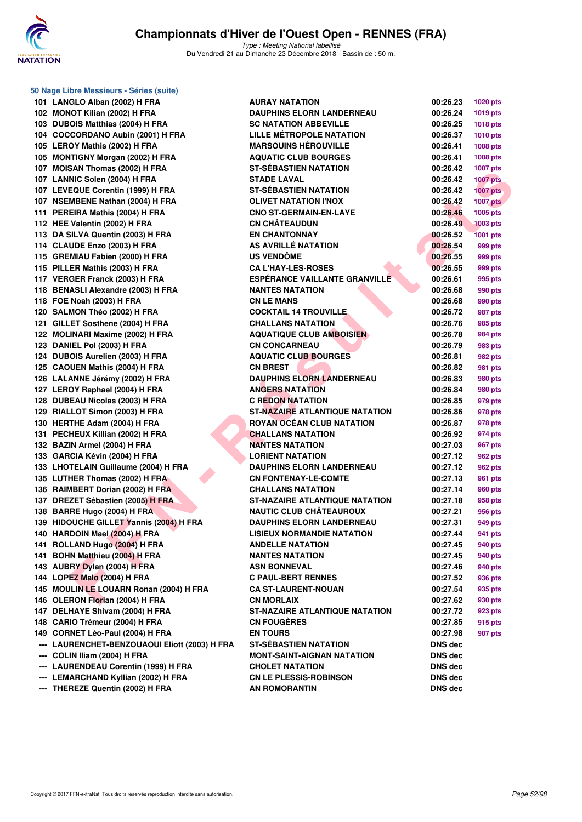

| 50 Nage Libre Messieurs - Séries (suite)      |                                       |                |                 |  |  |  |  |
|-----------------------------------------------|---------------------------------------|----------------|-----------------|--|--|--|--|
| 101 LANGLO Alban (2002) H FRA                 | <b>AURAY NATATION</b>                 | 00:26.23       | 1020 pts        |  |  |  |  |
| 102 MONOT Kilian (2002) H FRA                 | <b>DAUPHINS ELORN LANDERNEAU</b>      | 00:26.24       | <b>1019 pts</b> |  |  |  |  |
| 103 DUBOIS Matthias (2004) H FRA              | <b>SC NATATION ABBEVILLE</b>          | 00:26.25       | 1018 pts        |  |  |  |  |
| 104 COCCORDANO Aubin (2001) H FRA             | LILLE MÉTROPOLE NATATION              | 00:26.37       | <b>1010 pts</b> |  |  |  |  |
| 105 LEROY Mathis (2002) H FRA                 | <b>MARSOUINS HÉROUVILLE</b>           | 00:26.41       | 1008 pts        |  |  |  |  |
| 105 MONTIGNY Morgan (2002) H FRA              | <b>AQUATIC CLUB BOURGES</b>           | 00:26.41       | 1008 pts        |  |  |  |  |
| 107 MOISAN Thomas (2002) H FRA                | <b>ST-SÉBASTIEN NATATION</b>          | 00:26.42       | <b>1007 pts</b> |  |  |  |  |
| 107 LANNIC Solen (2004) H FRA                 | <b>STADE LAVAL</b>                    | 00:26.42       | <b>1007 pts</b> |  |  |  |  |
| 107 LEVEQUE Corentin (1999) H FRA             | <b>ST-SÉBASTIEN NATATION</b>          | 00:26.42       | <b>1007 pts</b> |  |  |  |  |
| 107 NSEMBENE Nathan (2004) H FRA              | <b>OLIVET NATATION I'NOX</b>          | 00:26.42       | <b>1007 pts</b> |  |  |  |  |
| 111 PEREIRA Mathis (2004) H FRA               | <b>CNO ST-GERMAIN-EN-LAYE</b>         | 00:26.46       | 1005 pts        |  |  |  |  |
| 112 HEE Valentin (2002) H FRA                 | <b>CN CHÂTEAUDUN</b>                  | 00:26.49       | <b>1003 pts</b> |  |  |  |  |
| 113 DA SILVA Quentin (2003) H FRA             | <b>EN CHANTONNAY</b>                  | 00:26.52       | <b>1001 pts</b> |  |  |  |  |
| 114 CLAUDE Enzo (2003) H FRA                  | AS AVRILLÉ NATATION                   | 00:26.54       | 999 pts         |  |  |  |  |
| 115 GREMIAU Fabien (2000) H FRA               | <b>US VENDÖME</b>                     | 00:26.55       | 999 pts         |  |  |  |  |
| 115 PILLER Mathis (2003) H FRA                | <b>CA L'HAY-LES-ROSES</b>             | 00:26.55       | 999 pts         |  |  |  |  |
| 117 VERGER Franck (2003) H FRA                | <b>ESPÉRANCE VAILLANTE GRANVILLE</b>  | 00:26.61       | 995 pts         |  |  |  |  |
| 118 BENASLI Alexandre (2003) H FRA            | <b>NANTES NATATION</b>                | 00:26.68       | 990 pts         |  |  |  |  |
| 118 FOE Noah (2003) H FRA                     | <b>CN LE MANS</b>                     | 00:26.68       | 990 pts         |  |  |  |  |
| 120 SALMON Théo (2002) H FRA                  | <b>COCKTAIL 14 TROUVILLE</b>          | 00:26.72       | 987 pts         |  |  |  |  |
| 121 GILLET Sosthene (2004) H FRA              | <b>CHALLANS NATATION</b>              | 00:26.76       | 985 pts         |  |  |  |  |
| 122 MOLINARI Maxime (2002) H FRA              | <b>AQUATIQUE CLUB AMBOISIEN</b>       | 00:26.78       | 984 pts         |  |  |  |  |
| 123 DANIEL Pol (2003) H FRA                   | <b>CN CONCARNEAU</b>                  | 00:26.79       | 983 pts         |  |  |  |  |
| 124 DUBOIS Aurelien (2003) H FRA              | <b>AQUATIC CLUB BOURGES</b>           | 00:26.81       | 982 pts         |  |  |  |  |
| 125 CAOUEN Mathis (2004) H FRA                | <b>CN BREST</b>                       | 00:26.82       | 981 pts         |  |  |  |  |
| 126 LALANNE Jérémy (2002) H FRA               | <b>DAUPHINS ELORN LANDERNEAU</b>      | 00:26.83       | 980 pts         |  |  |  |  |
| 127 LEROY Raphael (2004) H FRA                | <b>ANGERS NATATION</b>                | 00:26.84       | 980 pts         |  |  |  |  |
| 128 DUBEAU Nicolas (2003) H FRA               | <b>C REDON NATATION</b>               | 00:26.85       | 979 pts         |  |  |  |  |
| 129 RIALLOT Simon (2003) H FRA                | <b>ST-NAZAIRE ATLANTIQUE NATATION</b> | 00:26.86       | 978 pts         |  |  |  |  |
| 130 HERTHE Adam (2004) H FRA                  | <b>ROYAN OCÉAN CLUB NATATION</b>      | 00:26.87       | 978 pts         |  |  |  |  |
| 131 PECHEUX Killian (2002) H FRA              | <b>CHALLANS NATATION</b>              | 00:26.92       | 974 pts         |  |  |  |  |
| 132 BAZIN Armel (2004) H FRA                  | <b>NANTES NATATION</b>                | 00:27.03       | 967 pts         |  |  |  |  |
| 133 GARCIA Kévin (2004) H FRA                 | <b>LORIENT NATATION</b>               | 00:27.12       | 962 pts         |  |  |  |  |
| 133 LHOTELAIN Guillaume (2004) H FRA          | <b>DAUPHINS ELORN LANDERNEAU</b>      | 00:27.12       | 962 pts         |  |  |  |  |
| 135 LUTHER Thomas (2002) H FRA                | <b>CN FONTENAY-LE-COMTE</b>           | 00:27.13       | 961 pts         |  |  |  |  |
| 136 RAIMBERT Dorian (2002) H FRA              | <b>CHALLANS NATATION</b>              | 00:27.14       | 960 pts         |  |  |  |  |
| 137 DREZET Sébastien (2005) H FRA             | <b>ST-NAZAIRE ATLANTIQUE NATATION</b> | 00:27.18       | 958 pts         |  |  |  |  |
| 138 BARRE Hugo (2004) H FRA                   | <b>NAUTIC CLUB CHÂTEAUROUX</b>        | 00:27.21       | 956 pts         |  |  |  |  |
| 139 HIDOUCHE GILLET Yannis (2004) H FRA       | <b>DAUPHINS ELORN LANDERNEAU</b>      | 00:27.31       | 949 pts         |  |  |  |  |
| 140 HARDOIN Mael (2004) H FRA                 | <b>LISIEUX NORMANDIE NATATION</b>     | 00:27.44       | 941 pts         |  |  |  |  |
| 141 ROLLAND Hugo (2004) H FRA                 | <b>ANDELLE NATATION</b>               | 00:27.45       | 940 pts         |  |  |  |  |
| 141 BOHN Matthieu (2004) H FRA                | <b>NANTES NATATION</b>                | 00:27.45       | 940 pts         |  |  |  |  |
| 143 AUBRY Dylan (2004) H FRA                  | <b>ASN BONNEVAL</b>                   | 00:27.46       | 940 pts         |  |  |  |  |
| 144 LOPEZ Malo (2004) H FRA                   | <b>C PAUL-BERT RENNES</b>             | 00:27.52       | 936 pts         |  |  |  |  |
| 145 MOULIN LE LOUARN Ronan (2004) H FRA       | <b>CA ST-LAURENT-NOUAN</b>            | 00:27.54       | 935 pts         |  |  |  |  |
| 146 OLERON Florian (2004) H FRA               | <b>CN MORLAIX</b>                     | 00:27.62       | 930 pts         |  |  |  |  |
| 147 DELHAYE Shivam (2004) H FRA               | <b>ST-NAZAIRE ATLANTIQUE NATATION</b> | 00:27.72       | 923 pts         |  |  |  |  |
| 148 CARIO Trémeur (2004) H FRA                | <b>CN FOUGÈRES</b>                    | 00:27.85       | 915 pts         |  |  |  |  |
| 149 CORNET Léo-Paul (2004) H FRA              | <b>EN TOURS</b>                       | 00:27.98       | 907 pts         |  |  |  |  |
| --- LAURENCHET-BENZOUAOUI Eliott (2003) H FRA | <b>ST-SÉBASTIEN NATATION</b>          | DNS dec        |                 |  |  |  |  |
| --- COLIN Iliam (2004) H FRA                  | MONT-SAINT-AIGNAN NATATION            | DNS dec        |                 |  |  |  |  |
| --- LAURENDEAU Corentin (1999) H FRA          | <b>CHOLET NATATION</b>                | DNS dec        |                 |  |  |  |  |
| --- LEMARCHAND Kyllian (2002) H FRA           | <b>CN LE PLESSIS-ROBINSON</b>         | DNS dec        |                 |  |  |  |  |
| --- THEREZE Quentin (2002) H FRA              | <b>AN ROMORANTIN</b>                  | <b>DNS</b> dec |                 |  |  |  |  |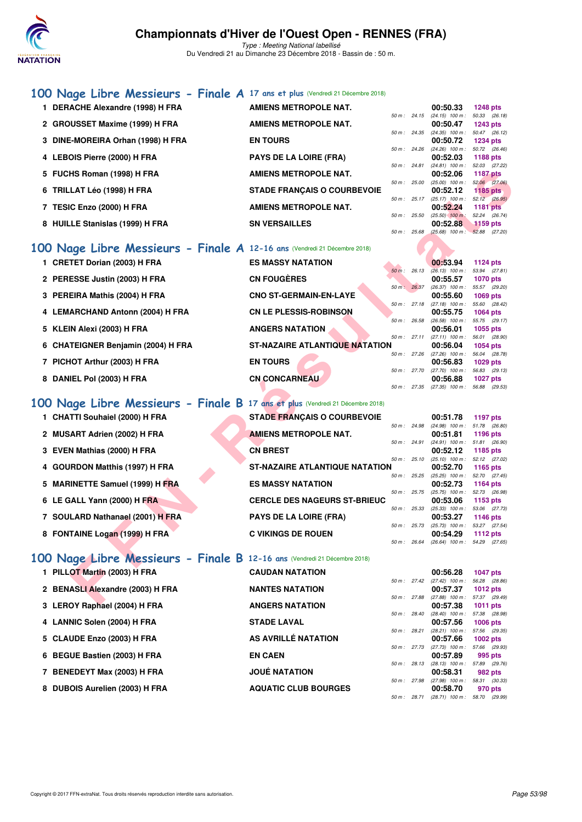

Type : Meeting National labellisé Du Vendredi 21 au Dimanche 23 Décembre 2018 - Bassin de : 50 m.

#### **[100 Nage Libre Messieurs - Finale A](http://www.ffnatation.fr/webffn/resultats.php?idact=nat&go=epr&idcpt=55947&idepr=52) 17 ans et plus** (Vendredi 21 Décembre 2018)

| 1 DERACHE Alexandre (1998) H FRA  | <b>AMIENS METROPOLE NAT.</b>       |                        | 00:50.33                          | <b>1248 pts</b>                  |  |
|-----------------------------------|------------------------------------|------------------------|-----------------------------------|----------------------------------|--|
|                                   | <b>AMIENS METROPOLE NAT.</b>       | 50 m: 24.15            | $(24.15)$ 100 m :<br>00:50.47     | 50.33 (26.18)                    |  |
| 2 GROUSSET Maxime (1999) H FRA    |                                    | 50 m : 24.35           | $(24.35)$ 100 m :                 | <b>1243 pts</b><br>50.47 (26.12) |  |
| 3 DINE-MOREIRA Orhan (1998) H FRA | <b>EN TOURS</b>                    |                        | 00:50.72                          | 1234 pts                         |  |
|                                   |                                    | $50 \text{ m}$ : 24.26 | $(24.26)$ 100 m :                 | 50.72 (26.46)                    |  |
| 4 LEBOIS Pierre (2000) H FRA      | <b>PAYS DE LA LOIRE (FRA)</b>      |                        | 00:52.03                          | 1188 $pts$                       |  |
|                                   |                                    | 50 m: 24.81            | $(24.81)$ 100 m :                 | 52.03 (27.22)                    |  |
| 5 FUCHS Roman (1998) H FRA        | AMIENS METROPOLE NAT.              |                        | 00:52.06                          | 1187 pts                         |  |
|                                   |                                    | 50 m: 25.00            | $(25.00)$ 100 m :                 | 52.06 (27.06)                    |  |
| 6 TRILLAT Léo (1998) H FRA        | <b>STADE FRANCAIS O COURBEVOIE</b> |                        | 00:52.12                          | $1185$ pts                       |  |
|                                   |                                    | 50 m: 25.17            | $(25.17)$ 100 m :                 | 52.12 (26.95)                    |  |
| 7 TESIC Enzo (2000) H FRA         | <b>AMIENS METROPOLE NAT.</b>       |                        | 00:52.24                          | $1181$ pts                       |  |
|                                   |                                    | $50 m$ : 25.50         | $(25.50)$ 100 m:                  | 52.24 (26.74)                    |  |
| 8 HUILLE Stanislas (1999) H FRA   | <b>SN VERSAILLES</b>               |                        | 00:52.88                          | $1159$ pts                       |  |
|                                   |                                    | 50 m : 25.68           | $(25.68)$ 100 m : 52.88 $(27.20)$ |                                  |  |

#### **[100 Nage Libre Messieurs - Finale A](http://www.ffnatation.fr/webffn/resultats.php?idact=nat&go=epr&idcpt=55947&idepr=52) 12-16 ans** (Vendredi 21 Décembre 2018)

| 5 FUCHS Roman (1998) H FRA                                                    | <b>AMIENS METROPOLE NAT.</b>          |              |              | 00:52.06                                               | <b>1187 pts</b> |  |
|-------------------------------------------------------------------------------|---------------------------------------|--------------|--------------|--------------------------------------------------------|-----------------|--|
| 6 TRILLAT Léo (1998) H FRA                                                    | <b>STADE FRANÇAIS O COURBEVOIE</b>    |              |              | 50 m : 25.00 (25.00) 100 m : 52.06 (27.06)<br>00:52.12 | 1185 $pts$      |  |
|                                                                               |                                       |              |              | 50 m : 25.17 (25.17) 100 m : 52.12 (26.95)             |                 |  |
| 7 TESIC Enzo (2000) H FRA                                                     | AMIENS METROPOLE NAT.                 |              |              | 00:52.24                                               | <b>1181 pts</b> |  |
| 8 HUILLE Stanislas (1999) H FRA                                               | <b>SN VERSAILLES</b>                  | 50 m: 25.50  |              | $(25.50)$ 100 m :<br>00:52.88                          | 52.24 (26.74)   |  |
|                                                                               |                                       |              | 50 m: 25.68  | $(25.68)$ 100 m : $52.88$ $(27.20)$                    | 1159 pts        |  |
|                                                                               |                                       |              |              |                                                        |                 |  |
| 10 Nage Libre Messieurs - Finale A 12-16 ans (Vendredi 21 Décembre 2018)      |                                       |              |              |                                                        |                 |  |
| 1 CRETET Dorian (2003) H FRA                                                  | <b>ES MASSY NATATION</b>              |              |              | 00:53.94                                               | 1124 pts        |  |
|                                                                               | <b>CN FOUGÈRES</b>                    |              | 50 m: 26.13  | $(26.13)$ 100 m : 53.94 $(27.81)$                      |                 |  |
| 2 PERESSE Justin (2003) H FRA                                                 |                                       |              |              | 00:55.57<br>50 m: 26.37 (26.37) 100 m: 55.57 (29.20)   | <b>1070 pts</b> |  |
| 3 PEREIRA Mathis (2004) H FRA                                                 | <b>CNO ST-GERMAIN-EN-LAYE</b>         |              |              | 00:55.60                                               | 1069 pts        |  |
|                                                                               |                                       |              |              | 50 m: 27.18 (27.18) 100 m: 55.60 (28.42)               |                 |  |
| 4 LEMARCHAND Antonn (2004) H FRA                                              | <b>CN LE PLESSIS-ROBINSON</b>         | 50 m : 26.58 |              | 00:55.75<br>$(26.58)$ 100 m : 55.75 $(29.17)$          | 1064 pts        |  |
| 5 KLEIN Alexi (2003) H FRA                                                    | <b>ANGERS NATATION</b>                |              |              | 00:56.01                                               | 1055 pts        |  |
|                                                                               |                                       | 50 m: 27.11  |              | $(27.11)$ 100 m : 56.01 $(28.90)$                      |                 |  |
| 6 CHATEIGNER Benjamin (2004) H FRA                                            | <b>ST-NAZAIRE ATLANTIQUE NATATION</b> |              |              | 00:56.04                                               | 1054 pts        |  |
|                                                                               |                                       |              |              | 50 m: 27.26 (27.26) 100 m: 56.04 (28.78)               |                 |  |
| 7 PICHOT Arthur (2003) H FRA                                                  | <b>EN TOURS</b>                       |              |              | 00:56.83<br>50 m: 27.70 (27.70) 100 m: 56.83 (29.13)   | 1029 pts        |  |
| 8 DANIEL Pol (2003) H FRA                                                     | <b>CN CONCARNEAU</b>                  |              |              | 00:56.88                                               | 1027 $p$ ts     |  |
|                                                                               |                                       |              |              | 50 m: 27.35 (27.35) 100 m: 56.88 (29.53)               |                 |  |
| 00 Nage Libre Messieurs - Finale B 17 ans et plus (Vendredi 21 Décembre 2018) |                                       |              |              |                                                        |                 |  |
|                                                                               |                                       |              |              |                                                        |                 |  |
| 1 CHATTI Souhaiel (2000) H FRA                                                | <b>STADE FRANÇAIS O COURBEVOIE</b>    |              |              | 00:51.78                                               | <b>1197 pts</b> |  |
| 2 MUSART Adrien (2002) H FRA                                                  | <b>AMIENS METROPOLE NAT.</b>          |              |              | 50 m: 24.98 (24.98) 100 m: 51.78 (26.80)<br>00:51.81   | 1196 pts        |  |
|                                                                               |                                       |              | 50 m : 24.91 | $(24.91)$ 100 m : 51.81 $(26.90)$                      |                 |  |
| 3 EVEN Mathias (2000) H FRA                                                   | <b>CN BREST</b>                       |              |              | 00:52.12                                               | 1185 pts        |  |
|                                                                               |                                       |              | 50 m : 25.10 | $(25.10)$ 100 m : 52.12 $(27.02)$                      |                 |  |
| 4 GOURDON Matthis (1997) H FRA                                                | <b>ST-NAZAIRE ATLANTIQUE NATATION</b> |              | 50 m : 25.25 | 00:52.70<br>$(25.25)$ 100 m : 52.70 $(27.45)$          | 1165 pts        |  |
| 5 MARINETTE Samuel (1999) H FRA                                               | <b>ES MASSY NATATION</b>              |              |              | 00:52.73                                               | 1164 pts        |  |
|                                                                               |                                       |              | 50 m : 25.75 | $(25.75)$ 100 m : 52.73 $(26.98)$                      |                 |  |
| 6 LE GALL Yann (2000) H FRA                                                   | <b>CERCLE DES NAGEURS ST-BRIEUC</b>   |              |              | 00:53.06                                               | 1153 pts        |  |
| 7 SOULARD Nathanael (2001) H FRA                                              | <b>PAYS DE LA LOIRE (FRA)</b>         |              |              | 50 m: 25.33 (25.33) 100 m: 53.06 (27.73)<br>00:53.27   | <b>1146 pts</b> |  |
|                                                                               |                                       |              |              | 50 m: 25.73 (25.73) 100 m: 53.27 (27.54)               |                 |  |
| 8 FONTAINE Logan (1999) H FRA                                                 | <b>C VIKINGS DE ROUEN</b>             |              |              | 00:54.29                                               | 1112 pts        |  |
|                                                                               |                                       |              |              | 50 m: 26.64 (26.64) 100 m: 54.29 (27.65)               |                 |  |
| 0 Nage Libre Messieurs - Finale B 12-16 ans (Vendredi 21 Décembre 2018)       |                                       |              |              |                                                        |                 |  |
|                                                                               |                                       |              |              |                                                        |                 |  |
| 1 PILLOT Martin (2003) H FRA                                                  | <b>CAUDAN NATATION</b>                |              |              | 00:56.28<br>50 m: 27.42 (27.42) 100 m: 56.28 (28.86)   | <b>1047 pts</b> |  |
| 2 BENASLI Alexandre (2003) H FRA                                              | <b>NANTES NATATION</b>                |              |              | 00:57.37                                               | 1012 pts        |  |
|                                                                               |                                       |              |              | 50 m: 27.88 (27.88) 100 m: 57.37 (29.49)               |                 |  |
| 2. LEDOV Bankael (2004) H.EDA                                                 | ANCEDO MATATION                       |              |              | 00.57.20                                               | $4044 - 44$     |  |

#### **[100 Nage Libre Messieurs - Finale B](http://www.ffnatation.fr/webffn/resultats.php?idact=nat&go=epr&idcpt=55947&idepr=52) 17 ans et plus** (Vendredi 21 Décembre 2018)

| 1 CHATTI Souhaiel (2000) H FRA   | <b>STADE FRANÇAIS O COURBEVOIE</b>    |                | 00:51.78                          | 1197 pts                    |  |
|----------------------------------|---------------------------------------|----------------|-----------------------------------|-----------------------------|--|
| 2 MUSART Adrien (2002) H FRA     | <b>AMIENS METROPOLE NAT.</b>          | 50 m: 24.98    | $(24.98)$ 100 m :<br>00:51.81     | 51.78 (26.80)<br>1196 pts   |  |
| 3 EVEN Mathias (2000) H FRA      | <b>CN BREST</b>                       | $50 m$ : 24.91 | $(24.91)$ 100 m :<br>00:52.12     | 51.81 (26.90)<br>1185 pts   |  |
| 4 GOURDON Matthis (1997) H FRA   | <b>ST-NAZAIRE ATLANTIQUE NATATION</b> | 50 m: 25.10    | $(25.10)$ 100 m :<br>00:52.70     | 52.12 (27.02)<br>1165 $pts$ |  |
| 5 MARINETTE Samuel (1999) H FRA  | <b>ES MASSY NATATION</b>              | 50 m: 25.25    | $(25.25)$ 100 m :<br>00:52.73     | 52.70 (27.45)<br>1164 $pts$ |  |
| 6 LE GALL Yann (2000) H FRA      | <b>CERCLE DES NAGEURS ST-BRIEUC</b>   | $50 m$ : 25.75 | $(25.75)$ 100 m :<br>00:53.06     | 52.73 (26.98)<br>1153 $pts$ |  |
| 7 SOULARD Nathanael (2001) H FRA | <b>PAYS DE LA LOIRE (FRA)</b>         | 50 m: 25.33    | $(25.33)$ 100 m :<br>00:53.27     | 53.06 (27.73)<br>1146 $pts$ |  |
| 8 FONTAINE Logan (1999) H FRA    | <b>C VIKINGS DE ROUEN</b>             | $50 m$ : 25.73 | $(25.73)$ 100 m :<br>00:54.29     | 53.27 (27.54)<br>1112 $pts$ |  |
|                                  |                                       | 50 m: 26.64    | $(26.64)$ 100 m : 54.29 $(27.65)$ |                             |  |

# 8 FONTAINE Logan (1999) H FRA **[100 Nage Libre Messieurs - Finale B](http://www.ffnatation.fr/webffn/resultats.php?idact=nat&go=epr&idcpt=55947&idepr=52) 12-16 ans** (Vendredi 21 Décembre 2018)

| 1 PILLOT Martin (2003) H FRA     | <b>CAUDAN NATATION</b>      |                | 00:56.28                      |              | 1047 $p$ ts   |
|----------------------------------|-----------------------------|----------------|-------------------------------|--------------|---------------|
|                                  |                             | 50 m: 27.42    | $(27.42)$ 100 m :             |              | 56.28 (28.86) |
| 2 BENASLI Alexandre (2003) H FRA | <b>NANTES NATATION</b>      |                | 00:57.37                      |              | 1012 $pts$    |
|                                  |                             | 50 m: 27.88    | $(27.88)$ 100 m :             | 57.37 (29.49 |               |
| 3 LEROY Raphael (2004) H FRA     | <b>ANGERS NATATION</b>      |                | 00:57.38                      |              | 1011 $pts$    |
|                                  |                             | 50 m: 28.40    | $(28.40)$ 100 m :             |              | 57.38 (28.98  |
| 4 LANNIC Solen (2004) H FRA      | <b>STADE LAVAL</b>          |                | 00:57.56                      |              | 1006 pts      |
|                                  |                             | 50 m: 28.21    | $(28.21)$ 100 m :             |              | 57.56 (29.35  |
| 5 CLAUDE Enzo (2003) H FRA       | AS AVRILLÉ NATATION         |                | 00:57.66                      |              | 1002 pts      |
|                                  |                             | 50 m: 27.73    | $(27.73)$ 100 m :             |              | 57.66 (29.93  |
| 6 BEGUE Bastien (2003) H FRA     | <b>EN CAEN</b>              |                | 00:57.89                      |              | 995 pts       |
|                                  | <b>JOUÉ NATATION</b>        | $50 m$ : 28.13 | $(28.13)$ 100 m :             |              | 57.89 (29.76  |
| 7 BENEDEYT Max (2003) H FRA      |                             |                | 00:58.31                      |              | 982 pts       |
|                                  |                             | 50 m: 27.98    | $(27.98)$ 100 m :             |              | 58.31 (30.33  |
| 8 DUBOIS Aurelien (2003) H FRA   | <b>AQUATIC CLUB BOURGES</b> |                | 00:58.70                      |              | 970 pts       |
|                                  |                             | 50 m : 28.71   | (28.71) 100 m : 58.70 (29.99) |              |               |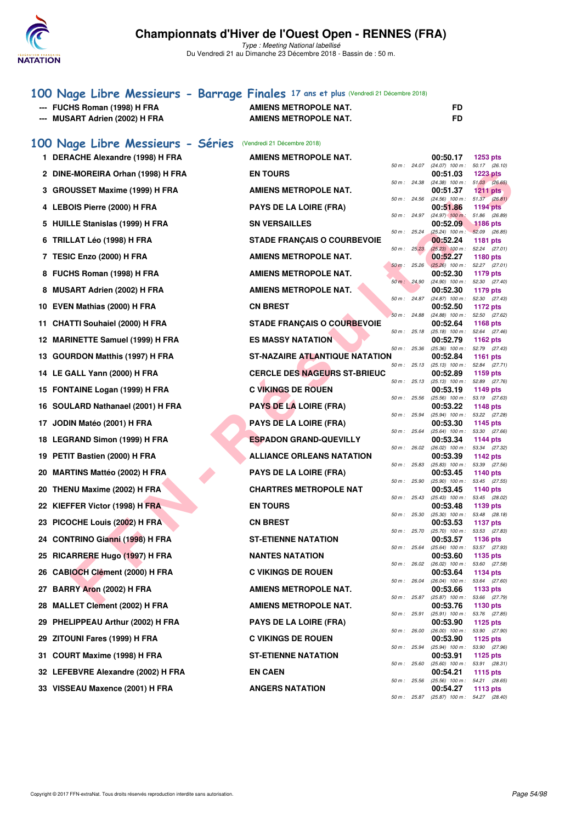

Type : Meeting National labellisé Du Vendredi 21 au Dimanche 23 Décembre 2018 - Bassin de : 50 m.

## **[100 Nage Libre Messieurs - Barrage Finales](http://www.ffnatation.fr/webffn/resultats.php?idact=nat&go=epr&idcpt=55947&idepr=52) 17 ans et plus** (Vendredi 21 Décembre 2018) --- FUCHS Roman (1998) H FRA AMIENS METROPOLE NAT. --- MUSART Adrien (2002) H FRA AMIENS METROPOLE NAT.

|  |  | 100 Nage Libre Messieurs - Séries (Vendredi 21 Décembre 2018) |
|--|--|---------------------------------------------------------------|
|  |  |                                                               |

| 1.  | DERACHE Alexandre (1998) H FRA       | <b>AMIENS METROPOLE NAT.</b>        |             |              | 00:50.17                                      | 1253 pts                         |
|-----|--------------------------------------|-------------------------------------|-------------|--------------|-----------------------------------------------|----------------------------------|
|     | 2 DINE-MOREIRA Orhan (1998) H FRA    | <b>EN TOURS</b>                     |             | 50 m: 24.07  | $(24.07)$ 100 m :<br>00:51.03                 | 50.17 (26.10)<br><b>1223 pts</b> |
|     | <b>GROUSSET Maxime (1999) H FRA</b>  | <b>AMIENS METROPOLE NAT.</b>        |             | 50 m: 24.38  | $(24.38)$ 100 m : 51.03 (26.65)<br>00:51.37   | 1211 pts                         |
|     | 4 LEBOIS Pierre (2000) H FRA         | <b>PAYS DE LA LOIRE (FRA)</b>       |             | 50 m: 24.56  | $(24.56)$ 100 m :<br>00:51.86                 | 51.37 (26.81)<br><b>1194 pts</b> |
| 5   | HUILLE Stanislas (1999) H FRA        | <b>SN VERSAILLES</b>                |             | 50 m: 24.97  | $(24.97)$ 100 m :<br>00:52.09                 | 51.86 (26.89)<br><b>1186 pts</b> |
| 6   | TRILLAT Léo (1998) H FRA             | <b>STADE FRANÇAIS O COURBEVOIE</b>  | 50 m: 25.24 |              | $(25.24)$ 100 m : 52.09 (26.85)<br>00:52.24   | 1181 pts                         |
| 7   | TESIC Enzo (2000) H FRA              | <b>AMIENS METROPOLE NAT.</b>        |             | 50 m: 25.23  | $(25.23)$ 100 m : 52.24 (27.01)<br>00:52.27   | 1180 pts                         |
|     | 8 FUCHS Roman (1998) H FRA           | <b>AMIENS METROPOLE NAT.</b>        |             | 50 m: 25.26  | $(25.26)$ 100 m : 52.27 (27.01)<br>00:52.30   | 1179 pts                         |
|     | <b>MUSART Adrien (2002) H FRA</b>    | <b>AMIENS METROPOLE NAT.</b>        |             | 50 m: 24.90  | $(24.90)$ 100 m :<br>00:52.30                 | 52.30 (27.40)<br>1179 pts        |
|     |                                      |                                     |             | 50 m : 24.87 | (24.87) 100 m: 52.30 (27.43)                  |                                  |
| 10  | EVEN Mathias (2000) H FRA            | <b>CN BREST</b>                     |             | 50 m: 24.88  | 00:52.50<br>$(24.88)$ 100 m :                 | 1172 pts<br>52.50 (27.62)        |
| 11  | <b>CHATTI Souhaiel (2000) H FRA</b>  | <b>STADE FRANÇAIS O COURBEVOIE</b>  |             | 50 m: 25.18  | 00:52.64<br>$(25.18)$ 100 m : 52.64 $(27.46)$ | <b>1168 pts</b>                  |
| 12  | <b>MARINETTE Samuel (1999) H FRA</b> | <b>ES MASSY NATATION</b>            |             | 50 m : 25.36 | 00:52.79<br>$(25.36)$ 100 m : 52.79 $(27.43)$ | 1162 pts                         |
| 13. | <b>GOURDON Matthis (1997) H FRA</b>  | ST-NAZAIRE ATLANTIQUE NATATION      |             | 50 m: 25.13  | 00:52.84<br>$(25.13)$ 100 m :                 | 1161 pts<br>52.84 (27.71)        |
|     | 14 LE GALL Yann (2000) H FRA         | <b>CERCLE DES NAGEURS ST-BRIEUC</b> |             | 50 m: 25.13  | 00:52.89<br>$(25.13)$ 100 m : 52.89 $(27.76)$ | 1159 pts                         |
|     | 15 FONTAINE Logan (1999) H FRA       | <b>C VIKINGS DE ROUEN</b>           |             |              | 00:53.19                                      | 1149 $pts$                       |
| 16. | SOULARD Nathanael (2001) H FRA       | PAYS DE LA LOIRE (FRA)              |             | 50 m: 25.56  | $(25.56)$ 100 m :<br>00:53.22                 | 53.19 (27.63)<br><b>1148 pts</b> |
| 17  | JODIN Matéo (2001) H FRA             | <b>PAYS DE LA LOIRE (FRA)</b>       |             | 50 m: 25.94  | (25.94) 100 m: 53.22 (27.28)<br>00:53.30      | 1145 pts                         |
| 18  | <b>LEGRAND Simon (1999) H FRA</b>    | <b>ESPADON GRAND-QUEVILLY</b>       |             | 50 m: 25.64  | $(25.64)$ 100 m : 53.30 $(27.66)$<br>00:53.34 | 1144 pts                         |
| 19  | PETIT Bastien (2000) H FRA           | <b>ALLIANCE ORLEANS NATATION</b>    |             | 50 m: 26.02  | $(26.02)$ 100 m :<br>00:53.39                 | 53.34 (27.32)<br>1142 pts        |
| 20  | <b>MARTINS Mattéo (2002) H FRA</b>   | <b>PAYS DE LA LOIRE (FRA)</b>       |             | 50 m: 25.83  | $(25.83)$ 100 m :<br>00:53.45                 | 53.39 (27.56)<br>1140 pts        |
| 20  | THENU Maxime (2002) H FRA            | <b>CHARTRES METROPOLE NAT</b>       |             | 50 m : 25.90 | $(25.90)$ 100 m :<br>00:53.45                 | 53.45 (27.55)<br>1140 pts        |
| 22  | KIEFFER Victor (1998) H FRA          | <b>EN TOURS</b>                     |             | 50 m : 25.43 | $(25.43)$ 100 m :<br>00:53.48                 | 53.45 (28.02)<br>1139 pts        |
|     |                                      |                                     |             | 50 m : 25.30 | $(25.30)$ 100 m :                             | 53.48 (28.18)                    |
| 23  | PICOCHE Louis (2002) H FRA           | <b>CN BREST</b>                     |             | 50 m : 25.70 | 00:53.53<br>(25.70) 100 m: 53.53 (27.83)      | <b>1137 pts</b>                  |
| 24  | <b>CONTRINO Gianni (1998) H FRA</b>  | <b>ST-ETIENNE NATATION</b>          |             | 50 m: 25.64  | 00:53.57<br>$(25.64)$ 100 m :                 | <b>1136 pts</b><br>53.57 (27.93) |
|     | 25 RICARRERE Hugo (1997) H FRA       | <b>NANTES NATATION</b>              |             | 50 m: 26.02  | 00:53.60<br>$(26.02)$ 100 m :                 | 1135 pts<br>53.60 (27.58)        |
|     | 26 CABIOCH Clément (2000) H FRA      | <b>C VIKINGS DE ROUEN</b>           |             | 50 m: 26.04  | 00:53.64<br>$(26.04)$ 100 m :                 | 1134 pts<br>53.64 (27.60)        |
| 27  | BARRY Aron (2002) H FRA              | <b>AMIENS METROPOLE NAT.</b>        |             | 50 m : 25.87 | 00:53.66<br>(25.87) 100 m : 53.66 (27.79)     | 1133 pts                         |
|     | 28 MALLET Clement (2002) H FRA       | <b>AMIENS METROPOLE NAT.</b>        |             |              | 00:53.76                                      | 1130 pts                         |
|     | 29 PHELIPPEAU Arthur (2002) H FRA    | <b>PAYS DE LA LOIRE (FRA)</b>       |             | 50 m: 25.91  | $(25.91)$ 100 m : 53.76 $(27.85)$<br>00:53.90 | 1125 pts                         |
| 29  | ZITOUNI Fares (1999) H FRA           | <b>C VIKINGS DE ROUEN</b>           |             | 50 m : 26.00 | (26.00) 100 m: 53.90 (27.90)<br>00:53.90      | 1125 pts                         |
| 31  | COURT Maxime (1998) H FRA            | <b>ST-ETIENNE NATATION</b>          |             | 50 m : 25.94 | $(25.94)$ 100 m :<br>00:53.91                 | 53.90 (27.96)<br>1125 pts        |
|     | 32 LEFEBVRE Alexandre (2002) H FRA   | <b>EN CAEN</b>                      |             | 50 m : 25.60 | (25.60) 100 m: 53.91 (28.31)<br>00:54.21      | 1115 pts                         |
|     | 33 VISSEAU Maxence (2001) H FRA      | <b>ANGERS NATATION</b>              |             | 50 m : 25.56 | (25.56) 100 m: 54.21 (28.65)<br>00:54.27      | 1113 pts                         |
|     |                                      |                                     |             | 50 m : 25.87 | (25.87) 100 m: 54.27 (28.40)                  |                                  |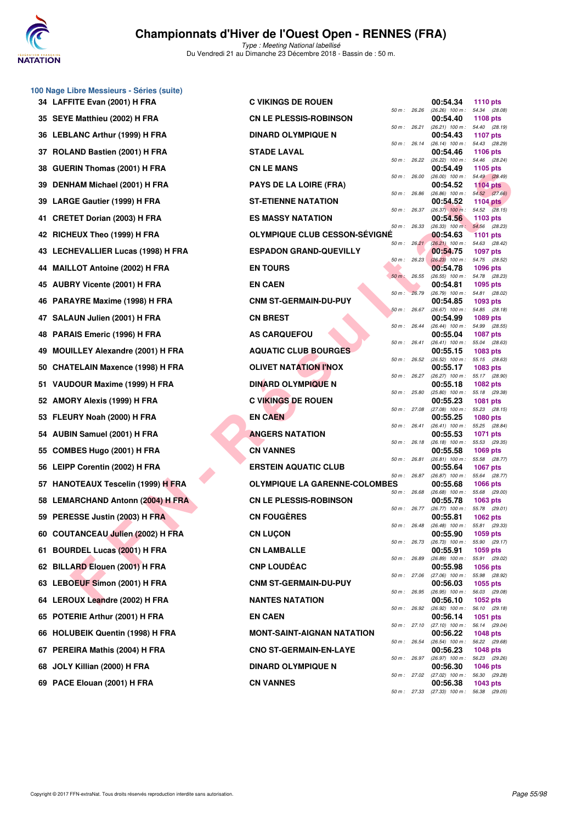

Type : Meeting National labellisé Du Vendredi 21 au Dimanche 23 Décembre 2018 - Bassin de : 50 m.

|    | 34 LAFFITE Evan (2001) H FRA         | C. |
|----|--------------------------------------|----|
|    | 35 SEYE Matthieu (2002) H FRA        | C١ |
|    | 36 LEBLANC Arthur (1999) H FRA       | DI |
|    | 37 ROLAND Bastien (2001) H FRA       | S1 |
|    | 38 GUERIN Thomas (2001) H FRA        | C١ |
|    | 39 DENHAM Michael (2001) H FRA       | P/ |
|    | 39 LARGE Gautier (1999) H FRA        | S1 |
|    | 41 CRETET Dorian (2003) H FRA        | ES |
|    | 42 RICHEUX Theo (1999) H FRA         | ΟΙ |
|    | 43 LECHEVALLIER Lucas (1998) H FRA   | ES |
|    | 44 MAILLOT Antoine (2002) H FRA      | E١ |
|    | 45 AUBRY Vicente (2001) H FRA        | E١ |
|    | 46 PARAYRE Maxime (1998) H FRA       | C١ |
|    | 47 SALAUN Julien (2001) H FRA        | C١ |
|    | 48 PARAIS Emeric (1996) H FRA        | A٤ |
|    | 49 MOUILLEY Alexandre (2001) H FRA   | A  |
|    | 50 CHATELAIN Maxence (1998) H FRA    | ΟΙ |
|    | 51 VAUDOUR Maxime (1999) H FRA       | DI |
|    | 52 AMORY Alexis (1999) H FRA         | C. |
|    | 53 FLEURY Noah (2000) H FRA          | E١ |
|    | 54 AUBIN Samuel (2001) H FRA         | AN |
|    | 55 COMBES Hugo (2001) H FRA          | C١ |
|    | 56 LEIPP Corentin (2002) H FRA       | EF |
|    | 57 HANOTEAUX Tescelin (1999) H FRA   | ΟΙ |
|    | 58 LEMARCHAND Antonn (2004) H FRA    | C١ |
|    | 59 PERESSE Justin (2003) H FRA       | C١ |
|    | 60 COUTANCEAU Julien (2002) H FRA    | C١ |
| 61 | <b>BOURDEL Lucas (2001) H FRA</b>    | C١ |
|    | 62 BILLARD Elouen (2001) H FRA       | C١ |
|    | 63 LEBOEUF Simon (2001) H FRA        | C١ |
|    | 64 LEROUX Leandre (2002) H FRA       | N  |
|    | 65 POTERIE Arthur (2001) H FRA       | E١ |
| 66 | <b>HOLUBEIK Quentin (1998) H FRA</b> | M  |
|    | 67 PEREIRA Mathis (2004) H FRA       | C١ |
|    | 68 JOLY Killian (2000) H FRA         | DI |
| 69 | PACE Elouan (2001) H FRA             | C١ |

**100 Nage Libre Messieurs - Séries (suite)**

| 34 LAFFITE Evan (2001) H FRA       | <b>C VIKINGS DE ROUEN</b>            |                |                | 00:54.34                                                      | <b>1110 pts</b>                  |  |
|------------------------------------|--------------------------------------|----------------|----------------|---------------------------------------------------------------|----------------------------------|--|
| 35 SEYE Matthieu (2002) H FRA      | <b>CN LE PLESSIS-ROBINSON</b>        | 50 m: 26.26    |                | $(26.26)$ 100 m :<br>00:54.40                                 | 54.34 (28.08)<br>1108 pts        |  |
| 36   LEBLANC Arthur (1999) H FRA   | <b>DINARD OLYMPIQUE N</b>            | 50 m: 26.21    |                | $(26.21)$ 100 m : 54.40 $(28.19)$<br>00:54.43                 | <b>1107 pts</b>                  |  |
| 37 ROLAND Bastien (2001) H FRA     | <b>STADE LAVAL</b>                   |                | 50 m : 26.14   | $(26.14)$ 100 m :<br>00:54.46                                 | 54.43 (28.29)<br>1106 pts        |  |
| 38   GUERIN Thomas (2001) H FRA    | <b>CN LE MANS</b>                    | 50 m : 26.22   |                | $(26.22)$ 100 m :<br>00:54.49                                 | 54.46 (28.24)<br>1105 pts        |  |
| 39 DENHAM Michael (2001) H FRA     | <b>PAYS DE LA LOIRE (FRA)</b>        | 50 m: 26.00    |                | $(26.00)$ 100 m :<br>00:54.52                                 | 54.49 (28.49)<br><b>1104 pts</b> |  |
| 39 LARGE Gautier (1999) H FRA      | <b>ST-ETIENNE NATATION</b>           | 50 m: 26.86    |                | $(26.86)$ 100 m : 54.52 $(27.66)$<br>00:54.52                 | 1104 $pts$                       |  |
| 41 CRETET Dorian (2003) H FRA      | <b>ES MASSY NATATION</b>             | 50 m: 26.37    |                | $(26.37)$ 100 m :<br>00:54.56                                 | 54.52 (28.15)<br>1103 pts        |  |
| 42 RICHEUX Theo (1999) H FRA       | <b>OLYMPIQUE CLUB CESSON-SEVIGNE</b> | 50 m: 26.33    |                | (26.33) 100 m; 54.56 (28.23)<br>00:54.63                      | <b>1101 pts</b>                  |  |
| 43 LECHEVALLIER Lucas (1998) H FRA | <b>ESPADON GRAND-QUEVILLY</b>        |                | 50 m: 26.21    | $(26.21)$ 100 m :<br>00:54.75                                 | 54.63 (28.42)<br><b>1097 pts</b> |  |
| 44 MAILLOT Antoine (2002) H FRA    | <b>EN TOURS</b>                      |                | $50 m$ : 26.23 | $(26.23)$ 100 m : 54.75 $(28.52)$<br>00:54.78                 | 1096 pts                         |  |
| 45 AUBRY Vicente (2001) H FRA      | <b>EN CAEN</b>                       | $50 m$ : 26.55 |                | (26.55) 100 m: 54.78 (28.23)<br>00:54.81                      | 1095 pts                         |  |
| 46 PARAYRE Maxime (1998) H FRA     | <b>CNM ST-GERMAIN-DU-PUY</b>         | 50 m : 26.79   |                | $(26.79)$ 100 m :<br>00:54.85                                 | 54.81 (28.02)<br>1093 pts        |  |
| 47 SALAUN Julien (2001) H FRA      | <b>CN BREST</b>                      | 50 m: 26.67    |                | $(26.67)$ 100 m : 54.85 $(28.18)$<br>00:54.99                 | 1089 pts                         |  |
| 48 PARAIS Emeric (1996) H FRA      | <b>AS CARQUEFOU</b>                  | 50 m : 26.44   |                | $(26.44)$ 100 m : 54.99 $(28.55)$<br>00:55.04                 | <b>1087 pts</b>                  |  |
| 49 MOUILLEY Alexandre (2001) H FRA | <b>AQUATIC CLUB BOURGES</b>          | 50 m : 26.41   |                | $(26.41)$ 100 m :<br>00:55.15                                 | 55.04 (28.63)<br><b>1083 pts</b> |  |
| 50 CHATELAIN Maxence (1998) H FRA  | <b>OLIVET NATATION I'NOX</b>         | 50 m: 26.52    |                | $(26.52)$ 100 m : 55.15 $(28.63)$<br>00:55.17                 | 1083 pts                         |  |
| 51   VAUDOUR Maxime (1999) H FRA   | <b>DINARD OLYMPIQUE N</b>            | 50 m: 26.27    |                | (26.27) 100 m: 55.17 (28.90)<br>00:55.18                      | 1082 pts                         |  |
| 52   AMORY Alexis (1999) H FRA     | <b>C VIKINGS DE ROUEN</b>            | 50 m: 25.80    |                | $(25.80)$ 100 m :<br>00:55.23                                 | 55.18 (29.38)<br>1081 pts        |  |
| 53 FLEURY Noah (2000) H FRA        | <b>EN CAEN</b>                       | 50 m: 27.08    |                | $(27.08)$ 100 m :<br>00:55.25                                 | 55.23 (28.15)<br><b>1080 pts</b> |  |
| 54 AUBIN Samuel (2001) H FRA       | <b>ANGERS NATATION</b>               | 50 m : 26.41   |                | $(26.41)$ 100 m :<br>00:55.53                                 | 55.25 (28.84)<br><b>1071 pts</b> |  |
| 55 COMBES Hugo (2001) H FRA        | <b>CN VANNES</b>                     | 50 m : 26.18   |                | $(26.18)$ 100 m :<br>00:55.58                                 | 55.53 (29.35)<br><b>1069 pts</b> |  |
| 56 LEIPP Corentin (2002) H FRA     | <b>ERSTEIN AQUATIC CLUB</b>          | 50 m : 26.81   |                | (26.81) 100 m :<br>00:55.64                                   | 55.58 (28.77)<br><b>1067 pts</b> |  |
| 57 HANOTEAUX Tescelin (1999) H FRA | <b>OLYMPIQUE LA GARENNE-COLOMBES</b> | 50 m : 26.87   |                | $(26.87)$ 100 m :<br>00:55.68                                 | 55.64 (28.77)<br><b>1066 pts</b> |  |
| 58 LEMARCHAND Antonn (2004) H FRA  | <b>CN LE PLESSIS-ROBINSON</b>        | 50 m: 26.68    |                | $(26.68)$ 100 m :<br>00:55.78                                 | 55.68 (29.00)<br>1063 pts        |  |
| 59 PERESSE Justin (2003) H FRA     | <b>CN FOUGÈRES</b>                   |                | 50 m : 26.77   | $(26.77)$ 100 m :<br>00:55.81                                 | 55.78 (29.01)<br>1062 pts        |  |
| 60 COUTANCEAU Julien (2002) H FRA  | <b>CN LUÇON</b>                      |                |                | 50 m: 26.48 (26.48) 100 m: 55.81 (29.33)<br>00:55.90 1059 pts |                                  |  |
| 61 BOURDEL Lucas (2001) H FRA      | <b>CN LAMBALLE</b>                   |                |                | 50 m: 26.73 (26.73) 100 m: 55.90 (29.17)<br>00:55.91          | 1059 pts                         |  |
| 62 BILLARD Elouen (2001) H FRA     | <b>CNP LOUDÉAC</b>                   |                |                | 50 m: 26.89 (26.89) 100 m: 55.91 (29.02)<br>00:55.98          | <b>1056 pts</b>                  |  |
| 63   LEBOEUF Simon (2001) H FRA    | <b>CNM ST-GERMAIN-DU-PUY</b>         |                |                | 50 m: 27.06 (27.06) 100 m: 55.98 (28.92)<br>00:56.03          | 1055 pts                         |  |
| 64   LEROUX Leandre (2002) H FRA   | <b>NANTES NATATION</b>               | 50 m : 26.95   |                | $(26.95)$ 100 m :<br>00:56.10                                 | 56.03 (29.08)<br><b>1052 pts</b> |  |
| 65 POTERIE Arthur (2001) H FRA     | <b>EN CAEN</b>                       |                | 50 m : 26.92   | $(26.92)$ 100 m : 56.10 $(29.18)$<br>00:56.14                 | <b>1051 pts</b>                  |  |
| 66 HOLUBEIK Quentin (1998) H FRA   | <b>MONT-SAINT-AIGNAN NATATION</b>    |                |                | 50 m: 27.10 (27.10) 100 m: 56.14 (29.04)<br>00:56.22          | 1048 pts                         |  |
| 67 PEREIRA Mathis (2004) H FRA     | <b>CNO ST-GERMAIN-EN-LAYE</b>        |                |                | 50 m : 26.54 (26.54) 100 m : 56.22 (29.68)<br>00:56.23        | <b>1048 pts</b>                  |  |
| 68 JOLY Killian (2000) H FRA       | <b>DINARD OLYMPIQUE N</b>            |                |                | 50 m: 26.97 (26.97) 100 m: 56.23 (29.26)<br>00:56.30          | <b>1046 pts</b>                  |  |
| 69 PACE Elouan (2001) H FRA        | <b>CN VANNES</b>                     |                |                | 50 m : 27.02 (27.02) 100 m :<br>00:56.38                      | 56.30 (29.28)<br>1043 pts        |  |
|                                    |                                      |                |                | 50 m: 27.33 (27.33) 100 m: 56.38 (29.05)                      |                                  |  |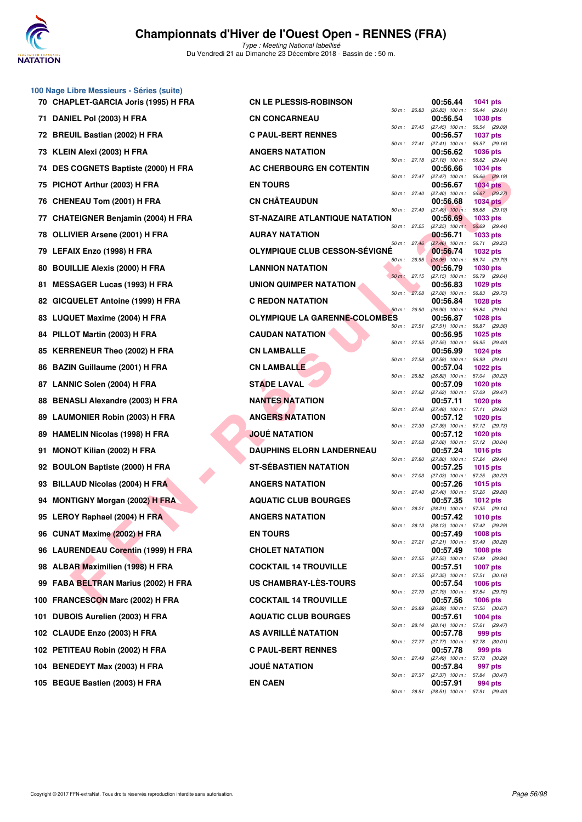

|     | 100 Nage Libre Messieurs - Séries (suite)                          |                                      |              |                                               |                                  |  |
|-----|--------------------------------------------------------------------|--------------------------------------|--------------|-----------------------------------------------|----------------------------------|--|
|     | 70 CHAPLET-GARCIA Joris (1995) H FRA                               | <b>CN LE PLESSIS-ROBINSON</b>        | 50 m: 26.83  | 00:56.44<br>$(26.83)$ 100 m :                 | 1041 pts<br>56.44 (29.61)        |  |
|     | 71 DANIEL Pol (2003) H FRA                                         | <b>CN CONCARNEAU</b>                 | 50 m: 27.45  | 00:56.54<br>$(27.45)$ 100 m :                 | 1038 pts<br>56.54 (29.09)        |  |
|     | 72 BREUIL Bastian (2002) H FRA                                     | <b>C PAUL-BERT RENNES</b>            | 50 m: 27.41  | 00:56.57                                      | <b>1037 pts</b><br>56.57 (29.16) |  |
|     | 73 KLEIN Alexi (2003) H FRA                                        | <b>ANGERS NATATION</b>               |              | $(27.41)$ 100 m :<br>00:56.62                 | 1036 pts                         |  |
|     | 74 DES COGNETS Baptiste (2000) H FRA                               | AC CHERBOURG EN COTENTIN             | 50 m: 27.18  | $(27.18)$ 100 m :<br>00:56.66                 | 56.62 (29.44)<br>1034 pts        |  |
|     | 75 PICHOT Arthur (2003) H FRA                                      | <b>EN TOURS</b>                      | 50 m: 27.47  | $(27.47)$ 100 m :<br>00:56.67                 | 56.66 (29.19)<br><b>1034 pts</b> |  |
|     | 76 CHENEAU Tom (2001) H FRA                                        | <b>CN CHÂTEAUDUN</b>                 | 50 m : 27.40 | $(27.40)$ 100 m : 56.67 $(29.27)$<br>00:56.68 | <b>1034 pts</b>                  |  |
| 77  | <b>CHATEIGNER Benjamin (2004) H FRA</b>                            | ST-NAZAIRE ATLANTIQUE NATATION       | 50 m: 27.49  | $(27.49)$ 100 m :<br>00:56.69                 | 56.68 (29.19)<br>1033 pts        |  |
|     | 78 OLLIVIER Arsene (2001) H FRA                                    | <b>AURAY NATATION</b>                | 50 m: 27.25  | $(27.25)$ 100 m :<br>00:56.71                 | 56.69 (29.44)<br>1033 pts        |  |
|     | 79 LEFAIX Enzo (1998) H FRA                                        | OLYMPIQUE CLUB CESSON-SÉVIGNÉ        | 50 m: 27.46  | $(27.46)$ 100 m :<br>00:56.74                 | 56.71 (29.25)<br>1032 pts        |  |
|     | 80 BOUILLIE Alexis (2000) H FRA                                    | <b>LANNION NATATION</b>              | 50 m: 26.95  | $(26.95)$ 100 m :<br>00:56.79                 | 56.74 (29.79)<br>1030 pts        |  |
| 81  | <b>MESSAGER Lucas (1993) H FRA</b>                                 | UNION QUIMPER NATATION               | 50 m: 27.15  | $(27.15)$ 100 m :<br>00:56.83                 | 56.79 (29.64)<br>1029 pts        |  |
|     | 82 GICQUELET Antoine (1999) H FRA                                  | <b>C REDON NATATION</b>              | 50 m: 27.08  | (27.08) 100 m: 56.83 (29.75)<br>00:56.84      | 1028 pts                         |  |
|     | 83 LUQUET Maxime (2004) H FRA                                      | <b>OLYMPIQUE LA GARENNE-COLOMBES</b> | 50 m: 26.90  | $(26.90)$ 100 m :<br>00:56.87                 | 56.84 (29.94)<br>1028 pts        |  |
|     | 84 PILLOT Martin (2003) H FRA                                      | <b>CAUDAN NATATION</b>               | 50 m : 27.51 | $(27.51)$ 100 m :<br>00:56.95                 | 56.87 (29.36)<br>1025 pts        |  |
|     | 85 KERRENEUR Theo (2002) H FRA                                     | <b>CN LAMBALLE</b>                   | 50 m: 27.55  | $(27.55)$ 100 m :<br>00:56.99                 | 56.95 (29.40)<br>1024 pts        |  |
|     | 86 BAZIN Guillaume (2001) H FRA                                    | <b>CN LAMBALLE</b>                   | 50 m: 27.58  | (27.58) 100 m: 56.99 (29.41)<br>00:57.04      | 1022 pts                         |  |
|     | 87 LANNIC Solen (2004) H FRA                                       | <b>STADE LAVAL</b>                   | 50 m: 26.82  | (26.82) 100 m :<br>00:57.09                   | 57.04 (30.22)<br>1020 pts        |  |
| 88  | <b>BENASLI Alexandre (2003) H FRA</b>                              | <b>NANTES NATATION</b>               | 50 m: 27.62  | (27.62) 100 m: 57.09 (29.47)<br>00:57.11      | 1020 pts                         |  |
|     |                                                                    | <b>ANGERS NATATION</b>               | 50 m: 27.48  | (27.48) 100 m: 57.11 (29.63)<br>00:57.12      |                                  |  |
|     | 89 LAUMONIER Robin (2003) H FRA<br>89 HAMELIN Nicolas (1998) H FRA | <b>JOUE NATATION</b>                 | 50 m : 27.39 | (27.39) 100 m: 57.12 (29.73)                  | 1020 pts                         |  |
|     |                                                                    |                                      | 50 m: 27.08  | 00:57.12<br>(27.08) 100 m: 57.12 (30.04)      | <b>1020 pts</b>                  |  |
| 91  | <b>MONOT Kilian (2002) H FRA</b>                                   | <b>DAUPHINS ELORN LANDERNEAU</b>     | 50 m: 27.80  | 00:57.24<br>$(27.80)$ 100 m :                 | 1016 pts<br>57.24 (29.44)        |  |
|     | 92 BOULON Baptiste (2000) H FRA                                    | <b>ST-SEBASTIEN NATATION</b>         | 50 m: 27.03  | 00:57.25<br>(27.03) 100 m: 57.25 (30.22)      | 1015 pts                         |  |
|     | 93 BILLAUD Nicolas (2004) H FRA                                    | <b>ANGERS NATATION</b>               | 50 m: 27.40  | 00:57.26<br>(27.40) 100 m: 57.26 (29.86)      | 1015 pts                         |  |
|     | 94 MONTIGNY Morgan (2002) H FRA                                    | <b>AQUATIC CLUB BOURGES</b>          | 50 m: 28.21  | 00:57.35<br>(28.21) 100 m: 57.35 (29.14)      | <b>1012 pts</b>                  |  |
|     | 95 LEROY Raphael (2004) H FRA                                      | <b>ANGERS NATATION</b>               | 50 m : 28.13 | 00:57.42<br>$(28.13)$ 100 m :                 | <b>1010 pts</b><br>57.42 (29.29) |  |
|     | 96 CUNAT Maxime (2002) H FRA                                       | <b>EN TOURS</b>                      | 50 m: 27.21  | 00:57.49<br>(27.21) 100 m: 57.49 (30.28)      | 1008 pts                         |  |
|     | 96 LAURENDEAU Corentin (1999) H FRA                                | <b>CHOLET NATATION</b>               | 50 m: 27.55  | 00:57.49<br>$(27.55)$ 100 m :                 | 1008 pts<br>57.49 (29.94)        |  |
|     | 98 ALBAR Maximilien (1998) H FRA                                   | <b>COCKTAIL 14 TROUVILLE</b>         | 50 m: 27.35  | 00:57.51<br>$(27.35)$ 100 m : 57.51 $(30.16)$ | <b>1007 pts</b>                  |  |
|     | 99 FABA BELTRAN Marius (2002) H FRA                                | US CHAMBRAY-LES-TOURS                | 50 m : 27.79 | 00:57.54<br>(27.79) 100 m: 57.54 (29.75)      | 1006 pts                         |  |
|     | 100 FRANCESCON Marc (2002) H FRA                                   | <b>COCKTAIL 14 TROUVILLE</b>         | 50 m : 26.89 | 00:57.56<br>(26.89) 100 m: 57.56 (30.67)      | <b>1006 pts</b>                  |  |
| 101 | DUBOIS Aurelien (2003) H FRA                                       | <b>AQUATIC CLUB BOURGES</b>          | 50 m : 28.14 | 00:57.61<br>(28.14) 100 m: 57.61 (29.47)      | 1004 pts                         |  |
|     | 102 CLAUDE Enzo (2003) H FRA                                       | AS AVRILLE NATATION                  | 50 m : 27.77 | 00:57.78<br>$(27.77)$ 100 m : 57.78 $(30.01)$ | 999 pts                          |  |
|     | 102 PETITEAU Robin (2002) H FRA                                    | <b>C PAUL-BERT RENNES</b>            |              | 00:57.78                                      | 999 pts                          |  |
|     | 104 BENEDEYT Max (2003) H FRA                                      | <b>JOUÉ NATATION</b>                 | 50 m : 27.49 | (27.49) 100 m : 57.78 (30.29)<br>00:57.84     | 997 pts                          |  |
|     | 105 BEGUE Bastien (2003) H FRA                                     | <b>EN CAEN</b>                       | 50 m : 27.37 | (27.37) 100 m : 57.84 (30.47)<br>00:57.91     | 994 pts                          |  |
|     |                                                                    |                                      | 50 m : 28.51 | (28.51) 100 m : 57.91 (29.40)                 |                                  |  |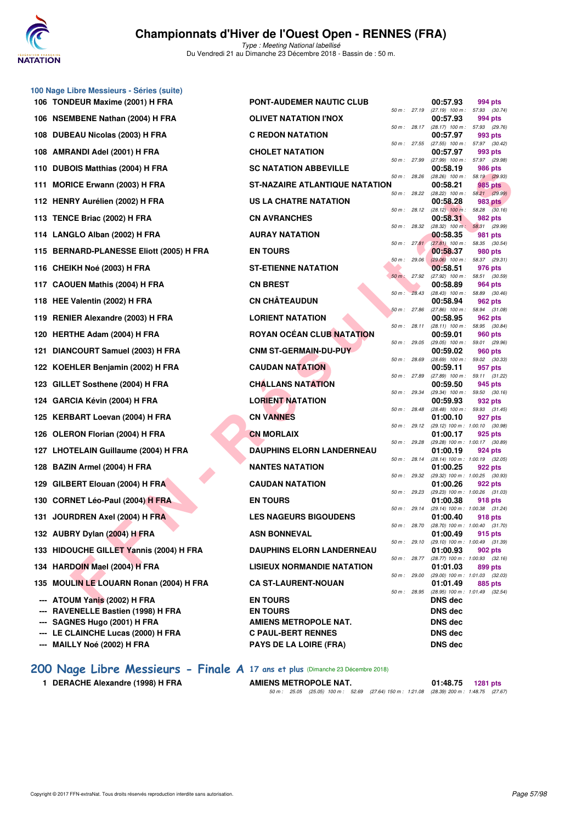

Type : Meeting National labellisé Du Vendredi 21 au Dimanche 23 Décembre 2018 - Bassin de : 50 m.

|     | 106 TONDEUR Maxime (2001) H FRA                            | <b>PONT-AUDEMER NAUTIC CLUB</b>                           |                | 00:57.93                      | 994 pts                                               |
|-----|------------------------------------------------------------|-----------------------------------------------------------|----------------|-------------------------------|-------------------------------------------------------|
|     | 106 NSEMBENE Nathan (2004) H FRA                           | <b>OLIVET NATATION I'NOX</b>                              |                |                               | 50 m: 27.19 (27.19) 100 m: 57.93 (30.74)              |
|     |                                                            |                                                           |                | 00:57.93                      | 994 pts<br>50 m: 28.17 (28.17) 100 m: 57.93 (29.76)   |
|     | 108 DUBEAU Nicolas (2003) H FRA                            | <b>C REDON NATATION</b>                                   | 50 m: 27.55    | 00:57.97<br>(27.55) 100 m :   | 993 pts<br>57.97 (30.42)                              |
|     | 108 AMRANDI Adel (2001) H FRA                              | <b>CHOLET NATATION</b>                                    | 50 m: 27.99    | 00:57.97                      | 993 pts<br>(27.99) 100 m: 57.97 (29.98)               |
|     | 110 DUBOIS Matthias (2004) H FRA                           | <b>SC NATATION ABBEVILLE</b>                              | 50 m: 28.26    | 00:58.19                      | 986 pts<br>(28.26) 100 m: 58.19 (29.93)               |
|     | 111 MORICE Erwann (2003) H FRA                             | ST-NAZAIRE ATLANTIQUE NATATION                            | 50 m : 28.22   | 00:58.21                      | 985 pts<br>$(28.22)$ 100 m : 58.21 $(29.99)$          |
|     | 112 HENRY Aurélien (2002) H FRA                            | US LA CHATRE NATATION                                     | $50 m$ : 28.12 | 00:58.28                      | 983 pts<br>$(28.12)$ 100 m : 58.28 $(30.16)$          |
|     | 113 TENCE Briac (2002) H FRA                               | <b>CN AVRANCHES</b>                                       | 50 m : 28.32   | 00:58.31                      | 982 pts<br>(28.32) 100 m: 58.31 (29.99)               |
|     | 114 LANGLO Alban (2002) H FRA                              | <b>AURAY NATATION</b>                                     | 50 m: 27.81    | 00:58.35<br>$(27.81)$ 100 m : | 981 pts<br>58.35 (30.54)                              |
|     | 115 BERNARD-PLANESSE Eliott (2005) H FRA                   | <b>EN TOURS</b>                                           | 50 m: 29.06    | 00:58.37                      | 980 pts                                               |
|     | 116 CHEIKH Noé (2003) H FRA                                | <b>ST-ETIENNE NATATION</b>                                |                | 00:58.51                      | $(29.06)$ 100 m : 58.37 (29.31)<br>976 pts            |
|     | 117 CAOUEN Mathis (2004) H FRA                             | <b>CN BREST</b>                                           | 50 m: 27.92    | 00:58.89                      | $(27.92)$ 100 m : 58.51 $(30.59)$<br>964 pts          |
|     | 118 HEE Valentin (2002) H FRA                              | <b>CN CHÂTEAUDUN</b>                                      | 50 m: 28.43    | 00:58.94                      | $(28.43)$ 100 m : 58.89 $(30.46)$<br>962 pts          |
|     | 119 RENIER Alexandre (2003) H FRA                          | <b>LORIENT NATATION</b>                                   | 50 m: 27.86    | 00:58.95                      | (27.86) 100 m: 58.94 (31.08)<br>962 pts               |
|     | 120 HERTHE Adam (2004) H FRA                               | ROYAN OCÉAN CLUB NATATION                                 | 50 m : 28.11   | 00:59.01                      | (28.11) 100 m: 58.95 (30.84)<br>960 pts               |
|     | 121 DIANCOURT Samuel (2003) H FRA                          | <b>CNM ST-GERMAIN-DU-PUY</b>                              | 50 m: 29.05    | (29.05) 100 m :<br>00:59.02   | 59.01 (29.96)<br>960 pts                              |
|     | 122 KOEHLER Benjamin (2002) H FRA                          | <b>CAUDAN NATATION</b>                                    | 50 m: 28.69    | 00:59.11                      | $(28.69)$ 100 m : 59.02 $(30.33)$<br>957 pts          |
|     | 123 GILLET Sosthene (2004) H FRA                           | <b>CHALLANS NATATION</b>                                  | 50 m: 27.89    | 00:59.50                      | (27.89) 100 m: 59.11 (31.22)<br>945 pts               |
|     | 124 GARCIA Kévin (2004) H FRA                              | <b>LORIENT NATATION</b>                                   | 50 m: 29.34    | 00:59.93                      | (29.34) 100 m: 59.50 (30.16)<br>932 pts               |
|     | 125 KERBART Loevan (2004) H FRA                            | <b>CN VANNES</b>                                          | 50 m : 28.48   | 01:00.10                      | $(28.48)$ 100 m : 59.93 $(31.45)$<br>927 pts          |
|     | 126 OLERON Florian (2004) H FRA                            | <b>CN MORLAIX</b>                                         | 50 m : 29.12   | 01:00.17                      | (29.12) 100 m: 1:00.10 (30.98)<br>925 pts             |
|     |                                                            | <b>DAUPHINS ELORN LANDERNEAU</b>                          | 50 m: 29.28    |                               | (29.28) 100 m : 1:00.17 (30.89)                       |
|     | 127 LHOTELAIN Guillaume (2004) H FRA                       |                                                           | 50 m : 28.14   | 01:00.19                      | 924 pts<br>(28.14) 100 m: 1:00.19 (32.05)             |
|     | 128 BAZIN Armel (2004) H FRA                               | <b>NANTES NATATION</b>                                    | 50 m : 29.32   | 01:00.25                      | 922 pts<br>(29.32) 100 m : 1:00.25 (30.93)            |
|     | 129 GILBERT Elouan (2004) H FRA                            | <b>CAUDAN NATATION</b>                                    | 50 m: 29.23    | 01:00.26                      | 922 pts<br>(29.23) 100 m : 1:00.26 (31.03)            |
|     | 130 CORNET Léo-Paul (2004) H FRA                           | <b>EN TOURS</b>                                           | 50 m : 29.14   | 01:00.38                      | 918 pts<br>(29.14) 100 m: 1:00.38 (31.24)             |
|     | 131 JOURDREN Axel (2004) H FRA                             | <b>LES NAGEURS BIGOUDENS</b>                              |                | 01:00.40                      | 918 pts<br>50 m: 28.70 (28.70) 100 m: 1:00.40 (31.70) |
|     | 132 AUBRY Dylan (2004) H FRA                               | <b>ASN BONNEVAL</b>                                       | 50 m : 29.10   | 01:00.49                      | 915 pts<br>$(29.10)$ 100 m : 1:00.49 $(31.39)$        |
|     | 133 HIDOUCHE GILLET Yannis (2004) H FRA                    | <b>DAUPHINS ELORN LANDERNEAU</b>                          | 50 m : 28.77   | 01:00.93                      | 902 pts<br>$(28.77)$ 100 m : 1:00.93 $(32.16)$        |
|     | 134 HARDOIN Mael (2004) H FRA                              | <b>LISIEUX NORMANDIE NATATION</b>                         | 50 m : 29.00   | 01:01.03                      | 899 pts<br>(29.00) 100 m: 1:01.03 (32.03)             |
|     | 135 MOULIN LE LOUARN Ronan (2004) H FRA                    | <b>CA ST-LAURENT-NOUAN</b>                                | 50 m : 28.95   | 01:01.49                      | 885 pts<br>(28.95) 100 m: 1:01.49 (32.54)             |
|     | <b>ATOUM Yanis (2002) H FRA</b>                            | <b>EN TOURS</b>                                           |                | <b>DNS</b> dec                |                                                       |
| --- | <b>RAVENELLE Bastien (1998) H FRA</b>                      | <b>EN TOURS</b>                                           |                | DNS dec                       |                                                       |
|     | SAGNES Hugo (2001) H FRA<br>LE CLAINCHE Lucas (2000) H FRA | <b>AMIENS METROPOLE NAT.</b><br><b>C PAUL-BERT RENNES</b> |                | DNS dec<br>DNS dec            |                                                       |
|     | MAILLY Noé (2002) H FRA                                    | <b>PAYS DE LA LOIRE (FRA)</b>                             |                | DNS dec                       |                                                       |

**[200 Nage Libre Messieurs - Finale A](http://www.ffnatation.fr/webffn/resultats.php?idact=nat&go=epr&idcpt=55947&idepr=53) 17 ans et plus** (Dimanche 23 Décembre 2018)

1 DERACHE Alexandre (1998) H FRA **AMIENS METROPOLE NAT.** 01:48.75 **1281** pts 50 m : 25.05 (25.05) 100 m : 52.69 (27.64) 150 m : 1:21.08 (28.39) 200 m : 1:48.75 (27.67)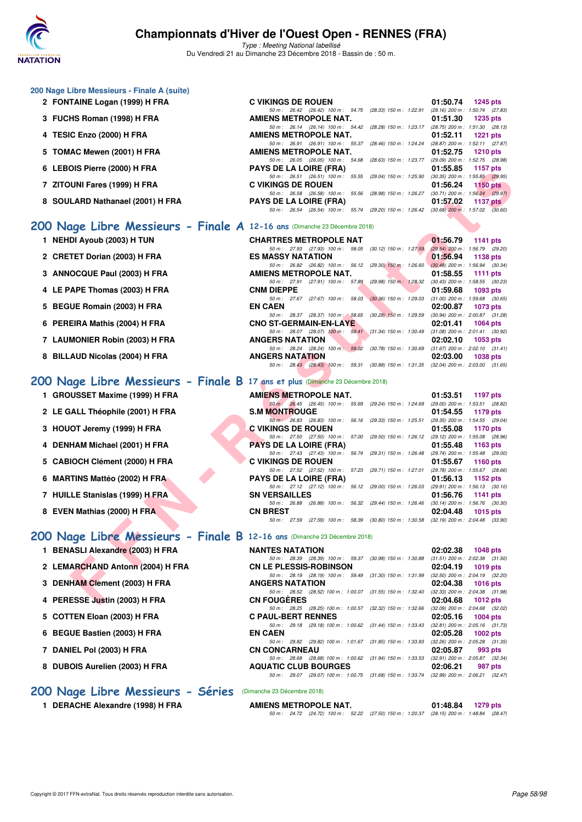

Type : Meeting National labellisé Du Vendredi 21 au Dimanche 23 Décembre 2018 - Bassin de : 50 m.

| 200 Nage Libre Messieurs - Finale A (suite)                                    |                                                                                                                                                                                                                     |                                                                    |
|--------------------------------------------------------------------------------|---------------------------------------------------------------------------------------------------------------------------------------------------------------------------------------------------------------------|--------------------------------------------------------------------|
| 2 FONTAINE Logan (1999) H FRA                                                  | <b>C VIKINGS DE ROUEN</b><br>50 m: 26.42 (26.42) 100 m: 54.75 (28.33) 150 m: 1:22.91 (28.16) 200 m: 1:50.74 (27.83)                                                                                                 | 01:50.74<br><b>1245 pts</b>                                        |
| 3 FUCHS Roman (1998) H FRA                                                     | AMIENS METROPOLE NAT.<br>50 m: 26.14 (26.14) 100 m: 54.42 (28.28) 150 m: 1:23.17 (28.75) 200 m: 1:51.30 (28.13)                                                                                                     | 01:51.30<br><b>1235 pts</b>                                        |
| 4 TESIC Enzo (2000) H FRA                                                      | AMIENS METROPOLE NAT.                                                                                                                                                                                               | 01:52.11<br><b>1221 pts</b>                                        |
| 5 TOMAC Mewen (2001) H FRA                                                     | 50 m: 26.91 (26.91) 100 m: 55.37 (28.46) 150 m: 1:24.24 (28.87) 200 m: 1:52.11 (27.87)<br>AMIENS METROPOLE NAT.                                                                                                     | 01:52.75<br><b>1210 pts</b>                                        |
| 6 LEBOIS Pierre (2000) H FRA                                                   | 50 m: 26.05 (26.05) 100 m: 54.68 (28.63) 150 m: 1:23.77 (29.09) 200 m: 1:52.75 (28.98)<br><b>PAYS DE LA LOIRE (FRA)</b>                                                                                             | 01:55.85<br>1157 pts                                               |
| 7 ZITOUNI Fares (1999) H FRA                                                   | 50 m: 26.51 (26.51) 100 m: 55.55 (29.04) 150 m: 1:25.90<br><b>C VIKINGS DE ROUEN</b>                                                                                                                                | $(30.35)$ 200 m : 1:55.85 $(29.95)$<br>01:56.24<br><b>1150 pts</b> |
| 8 SOULARD Nathanael (2001) H FRA                                               | 50 m: 26.58 (26.58) 100 m: 55.56 (28.98) 150 m: 1:26.27 (30.71) 200 m: 1:56.24 (29.97)<br><b>PAYS DE LA LOIRE (FRA)</b>                                                                                             | 01:57.02<br>1137 $p$ ts                                            |
|                                                                                | 50 m: 26.54 (26.54) 100 m: 55.74 (29.20) 150 m: 1:26.42 (30.68) 200 m: 1:57.02 (30.60)                                                                                                                              |                                                                    |
| 200 Nage Libre Messieurs - Finale A 12-16 ans (Dimanche 23 Décembre 2018)      |                                                                                                                                                                                                                     |                                                                    |
| 1 NEHDI Ayoub (2003) H TUN                                                     | <b>CHARTRES METROPOLE NAT</b><br>50 m: 27.93 (27.93) 100 m: 58.05 (30.12) 150 m: 1:27.59                                                                                                                            | 01:56.79<br>1141 pts<br>(29.54) 200 m : 1:56.79 (29.20)            |
| 2 CRETET Dorian (2003) H FRA                                                   | <b>ES MASSY NATATION</b>                                                                                                                                                                                            | 01:56.94<br>1138 pts                                               |
| 3 ANNOCQUE Paul (2003) H FRA                                                   | 50 m: 26.82 (26.82) 100 m: 56.12 (29.30) 150 m: 1:26.60<br>AMIENS METROPOLE NAT.                                                                                                                                    | $(30.48)$ 200 m : 1:56.94 $(30.34)$<br>01:58.55<br><b>1111 pts</b> |
| 4 LE PAPE Thomas (2003) H FRA                                                  | 50 m: 27.91 (27.91) 100 m: 57.89 (29.98) 150 m: 1:28.32<br><b>CNM DIEPPE</b>                                                                                                                                        | (30.43) 200 m: 1:58.55 (30.23)<br>01:59.68<br>1093 pts             |
| 5 BEGUE Romain (2003) H FRA                                                    | 50 m: 27.67 (27.67) 100 m: 58.03 (30.36) 150 m: 1:29.03<br><b>EN CAEN</b>                                                                                                                                           | $(31.00)$ 200 m : 1:59.68 $(30.65)$<br>02:00.87<br>1073 pts        |
| 6 PEREIRA Mathis (2004) H FRA                                                  | 50 m: 28.37 (28.37) 100 m: 58.65 (30.28) 150 m: 1:29.59 (30.94) 200 m: 2:00.87 (31.28)<br><b>CNO ST-GERMAIN-EN-LAYE</b>                                                                                             | 02:01.41<br><b>1064 pts</b>                                        |
|                                                                                | 50 m: 28.07 (28.07) 100 m: 59.41 (31.34) 150 m: 1:30.49 (31.08) 200 m: 2:01.41 (30.92)<br><b>ANGERS NATATION</b>                                                                                                    |                                                                    |
| 7 LAUMONIER Robin (2003) H FRA                                                 | 50 m: 28.24 (28.24) 100 m: 59.02 (30.78) 150 m: 1:30.69 (31.67) 200 m: 2:02.10 (31.41)                                                                                                                              | 02:02.10<br>1053 pts                                               |
| 8 BILLAUD Nicolas (2004) H FRA                                                 | <b>ANGERS NATATION</b><br>50 m: 28.43 (28.43) 100 m: 59.31 (30.88) 150 m: 1.31.35 (32.04) 200 m: 2.03.00 (31.65)                                                                                                    | 02:03.00<br><b>1038 pts</b>                                        |
| 200 Nage Libre Messieurs - Finale B 17 ans et plus (Dimanche 23 Décembre 2018) |                                                                                                                                                                                                                     |                                                                    |
| 1 GROUSSET Maxime (1999) H FRA                                                 | <b>AMIENS METROPOLE NAT.</b>                                                                                                                                                                                        | 01:53.51<br>1197 pts                                               |
| 2 LE GALL Théophile (2001) H FRA                                               | 50 m : 26.45 (26.45) 100 m : 55.69 (29.24) 150 m : 1:24.69 (29.00) 200 m : 1:53.51 (28.82)<br><b>S.M MONTROUGE</b>                                                                                                  | 01:54.55<br>1179 pts                                               |
| 3 HOUOT Jeremy (1999) H FRA                                                    | 50 m · 26.83 (26.83) 100 m · 56.16 (29.33) 150 m · 1:25.51 (29.35) 200 m · 1:54.55 (29.04)<br><b>C VIKINGS DE ROUEN</b>                                                                                             | 01:55.08<br><b>1170 pts</b>                                        |
| 4 DENHAM Michael (2001) H FRA                                                  | 50 m: 27.50 (27.50) 100 m: 57.00 (29.50) 150 m: 1:26.12 (29.12) 200 m: 1:55.08 (28.96)<br><b>PAYS DE LA LOIRE (FRA)</b>                                                                                             | 01:55.48<br>1163 pts                                               |
|                                                                                | 50 m: 27.43 (27.43) 100 m: 56.74 (29.31) 150 m: 1:26.48<br><b>C VIKINGS DE ROUEN</b>                                                                                                                                | (29.74) 200 m : 1:55.48 (29.00)<br>01:55.67                        |
| 5 CABIOCH Clément (2000) H FRA                                                 | 50 m: 27.52 (27.52) 100 m: 57.23 (29.71) 150 m: 1:27.01                                                                                                                                                             | <b>1160 pts</b><br>(29.78) 200 m : 1:55.67 (28.66)                 |
| 6 MARTINS Mattéo (2002) H FRA                                                  | <b>PAYS DE LA LOIRE (FRA)</b><br>50 m: 27.12 (27.12) 100 m: 56.12 (29.00) 150 m: 1:26.03 (29.91) 200 m: 1:56.13 (30.10)                                                                                             | 01:56.13<br>1152 pts                                               |
| 7 HUILLE Stanislas (1999) H FRA                                                | <b>SN VERSAILLES</b><br>50 m: 26.88 (26.88) 100 m: 56.32 (29.44) 150 m: 1:26.46 (30.14) 200 m: 1:56.76 (30.30)                                                                                                      | 01:56.76<br>1141 pts                                               |
| 8 EVEN Mathias (2000) H FRA                                                    | <b>CN BREST</b><br>50 m: 27.59 (27.59) 100 m: 58.39 (30.80) 150 m: 1:30.58 (32.19) 200 m: 2:04.48 (33.90)                                                                                                           | 02:04.48<br>1015 pts                                               |
| 200 Nage Libre Messieurs - Finale B 12-16 ans (Dimanche 23 Décembre 2018)      |                                                                                                                                                                                                                     |                                                                    |
| 1 BENASLI Alexandre (2003) H FRA                                               | <b>NANTES NATATION</b>                                                                                                                                                                                              | 02:02.38<br><b>1048 pts</b>                                        |
| 2 LEMARCHAND Antonn (2004) H FRA                                               | 50 m: 28.39 (28.39) 100 m: 59.37 (30.98) 150 m: 1:30.88 (31.51) 200 m: 2:02.38 (31.50)<br><b>CN LE PLESSIS-ROBINSON</b>                                                                                             | 02:04.19<br><b>1019 pts</b>                                        |
|                                                                                | 50 m : 28.19 (28.19) 100 m : 59.49 (31.30) 150 m : 1:31.99                                                                                                                                                          | $(32.50)$ 200 m : 2:04.19 $(32.20)$                                |
| 3 DENHAM Clement (2003) H FRA                                                  | <b>ANGERS NATATION</b><br>50 m : 28.52 (28.52) 100 m : 1:00.07 (31.55) 150 m : 1:32.40                                                                                                                              | 02:04.38<br><b>1016 pts</b><br>(32.33) 200 m : 2:04.38 (31.98)     |
| 4 PERESSE Justin (2003) H FRA                                                  | <b>CN FOUGERES</b><br>50 m : 28.25 (28.25) 100 m : 1:00.57 (32.32) 150 m : 1:32.66 (32.09) 200 m : 2:04.68 (32.02)                                                                                                  | 02:04.68<br>1012 pts                                               |
| 5 COTTEN Eloan (2003) H FRA                                                    | <b>C PAUL-BERT RENNES</b><br>50 m: 29.18 (29.18) 100 m: 1:00.62 (31.44) 150 m: 1:33.43 (32.81) 200 m: 2:05.16 (31.73)                                                                                               | 02:05.16<br>1004 pts                                               |
| 6 BEGUE Bastien (2003) H FRA                                                   | <b>EN CAEN</b><br>50 m : 29.82 (29.82) 100 m : 1:01.67 (31.85) 150 m : 1:33.93 (32.26) 200 m : 2:05.28 (31.35)                                                                                                      | 02:05.28<br>1002 pts                                               |
| 7 DANIEL Pol (2003) H FRA                                                      | <b>CN CONCARNEAU</b>                                                                                                                                                                                                | 02:05.87<br>993 pts                                                |
| 8 DUBOIS Aurelien (2003) H FRA                                                 | 50 m: 28.68 (28.68) 100 m: 1:00.62 (31.94) 150 m: 1:33.53 (32.91) 200 m: 2:05.87 (32.34)<br><b>AQUATIC CLUB BOURGES</b><br>50 m: 29.07 (29.07) 100 m: 1:00.75 (31.68) 150 m: 1:33.74 (32.99) 200 m: 2:06.21 (32.47) | 02:06.21<br>987 pts                                                |
| 200 Nage Libre Messieurs - Séries                                              | (Dimanche 23 Décembre 2018)                                                                                                                                                                                         |                                                                    |
| 1 DERACHE Alexandre (1998) H FRA                                               | AMIENS METROPOLE NAT.                                                                                                                                                                                               | 01:48.84<br>1279 pts                                               |

50 m : 24.72 (24.72) 100 m : 52.22 (27.50) 150 m : 1:20.37 (28.15) 200 m : 1:48.84 (28.47)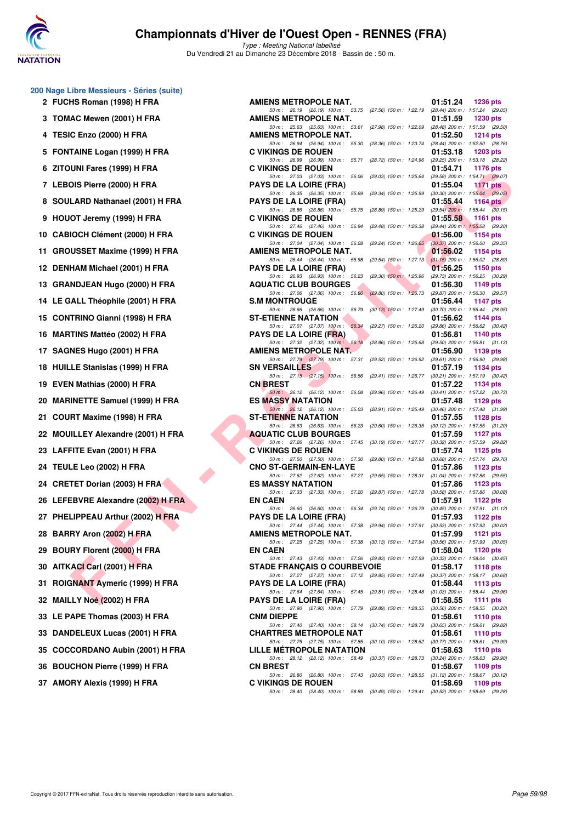

Type : Meeting National labellisé Du Vendredi 21 au Dimanche 23 Décembre 2018 - Bassin de : 50 m.

| 2 FUCHS Roman (1998) H FRA |
|----------------------------|
| 3 TOMAC Mewen (2001) H FRA |

**200 Nage Libre Messieurs - Séries (suite)**

- **4 TESIC Enzo (2000) H FRA AMIENS METROPOLE NAT. 01:52.50 1214 pts**
- 5 FONTAINE Logan (1999) H FRA
- **6 ZITOUNI Fares (1999) H FRA**
- 7 LEBOIS Pierre (2000) H FRA 8 SOULARD Nathanael (2001) H FRA
- **9 HOUOT Jeremy (1999) H FRA**
- 10 CABIOCH Clément (2000) H FRA
- **11 GROUSSET Maxime (1999) H FRA**
- **12 DENHAM Michael (2001) H FRA**
- 13 GRANDJEAN Hugo (2000) H FRA
- 14 LE GALL Théophile (2001) H FRA
- 15 CONTRINO Gianni (1998) H FRA
- 16 **MARTINS Mattéo (2002) H FRA**
- **17 SAGNES Hugo (2001) H FRA**
- 18 HUILLE Stanislas (1999) H FRA
- **19 EVEN Mathias (2000) H FRA**
- 20 MARINETTE Samuel (1999) H FRA
- **21 COURT Maxime (1998) H FRA**
- 22 MOUILLEY Alexandre (2001) H FRA
- 23 LAFFITE Evan (2001) H FRA
- **24 TEULE Leo (2002) H FRA CNO ST-GERMAIN-EN-LAYE 01:57.86 1123 pts**
- 24 CRETET Dorian (2003) H FRA
- 26 LEFEBVRE Alexandre (2002) H FRA
- 27 PHELIPPEAU Arthur (2002) H FRA
- **28 BARRY Aron (2002) H FRA**
- **29 BOURY Florent (2000) H FRA**
- **30 AITKACI Carl (2001) H FRA**
- **31 ROIGNANT Aymeric (1999) H FRA**
- **32 MAILLY Noé (2002) H FRA**
- **33 LE PAPE Thomas (2003) H FRA**
- **33 DANDELEUX Lucas (2001) H FRA**
- 35 COCCORDANO Aubin (2001) H FRA
- **36 BOUCHON Pierre (1999) H FRA**
- **37 AMORY Alexis (1999) H FRA**

| Nage Libre Messieurs - Series (suite) |                                                                                                                              |                                                                                      |
|---------------------------------------|------------------------------------------------------------------------------------------------------------------------------|--------------------------------------------------------------------------------------|
| 2 FUCHS Roman (1998) H FRA            | AMIENS METROPOLE NAT.                                                                                                        | 01:51.24<br><b>1236 pts</b>                                                          |
| 3 TOMAC Mewen (2001) H FRA            | 50 m: 26.19 (26.19) 100 m: 53.75 (27.56) 150 m: 1:22.19 (28.44) 200 m: 1:51.24 (29.05)<br><b>AMIENS METROPOLE NAT.</b>       | 01:51.59<br><b>1230 pts</b>                                                          |
| 4   TESIC Enzo (2000) H FRA           | 50 m: 25.63 (25.63) 100 m: 53.61 (27.98) 150 m: 1:22.09 (28.48) 200 m: 1:51.59 (29.50)<br>AMIENS METROPOLE NAT.              | 01:52.50<br>1214 pts                                                                 |
| 5 FONTAINE Logan (1999) H FRA         | 50 m : 26.94 (26.94) 100 m : 55.30<br><b>C VIKINGS DE ROUEN</b>                                                              | (28.36) 150 m : 1:23.74 (28.44) 200 m : 1:52.50 (28.76)<br>01:53.18<br>$1203$ pts    |
| 6 ZITOUNI Fares (1999) H FRA          | 50 m: 26.99 (26.99) 100 m: 55.71<br>(28.72) 150 m : 1:24.96<br><b>C VIKINGS DE ROUEN</b>                                     | (29.25) 200 m: 1:53.18 (28.22)<br>01:54.71<br>1176 pts                               |
| 7 LEBOIS Pierre (2000) H FRA          | 50 m: 27.03 (27.03) 100 m: 56.06<br>(29.03) 150 m : 1:25.64<br><b>PAYS DE LA LOIRE (FRA)</b>                                 | (29.58) 200 m: 1:54.71 (29.07)<br>01:55.04<br><b>1171 pts</b>                        |
| 8 SOULARD Nathanael (2001) H FRA      | 50 m: 26.35 (26.35) 100 m: 55.69<br>(29.34) 150 m : 1:25.99<br><b>PAYS DE LA LOIRE (FRA)</b>                                 | $(30.30)$ 200 m : 1:55.04 $(29.05)$<br>01:55.44<br>1164 $pts$                        |
| 9 HOUOT Jeremy (1999) H FRA           | 50 m : 26.86 (26.86) 100 m : 55.75<br><b>C VIKINGS DE ROUEN</b>                                                              | (28.89) 150 m : 1:25.29 (29.54) 200 m : 1:55.44 (30.15)<br>01:55.58<br>1161 pts      |
| 0 CABIOCH Clément (2000) H FRA        | 50 m: 27.46 (27.46) 100 m: 56.94<br><b>C VIKINGS DE ROUEN</b>                                                                | (29.48) 150 m : 1:26.38 (29.44) 200 m : 1:55.58 (29.20)<br>01:56.00<br>1154 pts      |
|                                       | 50 m: 27.04 (27.04) 100 m: 56.28                                                                                             | (29.24) 150 m: 1:26.65 (30.37) 200 m: 1:56.00 (29.35)                                |
| 1 GROUSSET Maxime (1999) H FRA        | AMIENS METROPOLE NAT.<br>50 m: 26.44 (26.44) 100 m: 55.98<br>$(29.54)$ 150 m : 1:27.13                                       | 01:56.02<br>1154 pts<br>$(31.15)$ 200 m : 1:56.02 $(28.89)$                          |
| 2 DENHAM Michael (2001) H FRA         | <b>PAYS DE LA LOIRE (FRA)</b><br>50 m: 26.93 (26.93) 100 m: 56.23<br>$(29.30)$ 150 m : 1:25.96                               | 01:56.25<br>1150 pts<br>(29.73) 200 m: 1:56.25 (30.29)                               |
| 3 GRANDJEAN Hugo (2000) H FRA         | <b>AQUATIC CLUB BOURGES</b><br>50 m : 27.06 (27.06) 100 m : 56.86                                                            | 01:56.30<br>1149 pts<br>(29.80) 150 m : 1:26.73 (29.87) 200 m : 1:56.30 (29.57)      |
| 4 LE GALL Théophile (2001) H FRA      | <b>S.M MONTROUGE</b>                                                                                                         | 01:56.44<br>1147 pts                                                                 |
| 5 CONTRINO Gianni (1998) H FRA        | 50 m: 26.66 (26.66) 100 m: 56.79<br><b>ST-ETIENNE NATATION</b>                                                               | (30.13) 150 m: 1:27.49 (30.70) 200 m: 1:56.44 (28.95)<br>01:56.62<br>1144 $pts$      |
| 6 MARTINS Mattéo (2002) H FRA         | 50 m: 27.07 (27.07) 100 m: 56.34<br><b>PAYS DE LA LOIRE (FRA)</b>                                                            | (29.27) 150 m: 1:26.20 (29.86) 200 m: 1:56.62 (30.42)<br>01:56.81<br>1140 pts        |
| 7 SAGNES Hugo (2001) H FRA            | 50 m : 27.32 (27.32) 100 m : 56.18<br>AMIENS METROPOLE NAT.                                                                  | (28.86) 150 m: 1:25.68 (29.50) 200 m: 1:56.81 (31.13)<br>01:56.90<br>1139 pts        |
| 8 HUILLE Stanislas (1999) H FRA       | 50 m: 27.79 (27.79) 100 m: 57.31<br><b>SN VERSAILLES</b>                                                                     | (29.52) 150 m: 1:26.92 (29.61) 200 m: 1:56.90 (29.98)<br>01:57.19<br>1134 pts        |
|                                       | 50 m: 27.15 (27.15) 100 m: 56.56                                                                                             | (29.41) 150 m: 1:26.77 (30.21) 200 m: 1:57.19 (30.42)                                |
| 9 EVEN Mathias (2000) H FRA           | <b>CN BREST</b><br>50 m : 26.12 (26.12) 100 m : 56.08<br>(29.96) 150 m : 1:26.49                                             | 01:57.22<br>1134 pts<br>$(30.41)$ 200 m : 1:57.22 $(30.73)$                          |
| 0 MARINETTE Samuel (1999) H FRA       | <b>ES MASSY NATATION</b><br>50 m : 26.12 (26.12) 100 m : 55.03                                                               | 01:57.48<br>1129 pts<br>(28.91) 150 m: 1:25.49 (30.46) 200 m: 1:57.48 (31.99)        |
| 1 COURT Maxime (1998) H FRA           | <b>ST-ETIENNE NATATION</b><br>50 m : 26.63 (26.63) 100 m : 56.23                                                             | 01:57.55<br>1128 $pts$<br>(29.60) 150 m : 1:26.35 (30.12) 200 m : 1:57.55 (31.20)    |
| 2 MOUILLEY Alexandre (2001) H FRA     | <b>AQUATIC CLUB BOURGES</b><br>50 m: 27.26 (27.26) 100 m: 57.45                                                              | 01:57.59<br>1127 $pts$<br>(30.19) 150 m : 1:27.77 (30.32) 200 m : 1:57.59 (29.82)    |
| 3 LAFFITE Evan (2001) H FRA           | <b>C VIKINGS DE ROUEN</b><br>50 m: 27.50 (27.50) 100 m: 57.30<br>(29.80) 150 m : 1:27.98                                     | 01:57.74<br>1125 $pts$<br>(30.68) 200 m: 1:57.74 (29.76)                             |
| 4 TEULE Leo (2002) H FRA              | <b>CNO ST-GERMAIN-EN-LAYE</b>                                                                                                | 01:57.86<br>1123 $pts$                                                               |
| 4 CRETET Dorian (2003) H FRA          | 50 m : 27.62 (27.62) 100 m : 57.27<br>(29.65) 150 m : 1:28.31<br><b>ES MASSY NATATION</b>                                    | $(31.04)$ 200 m : 1:57.86 $(29.55)$<br>01:57.86<br>1123 pts                          |
| 6 LEFEBVRE Alexandre (2002) H FRA     | 50 m: 27.33 (27.33) 100 m: 57.20<br>(29.87) 150 m : 1:27.78<br><b>EN CAEN</b>                                                | $(30.58)$ 200 m : 1:57.86 $(30.08)$<br>01:57.91<br>1122 $pts$                        |
| 7 PHELIPPEAU Arthur (2002) H FRA      | 50 m : 26.60 (26.60) 100 m : 56.34<br><b>PAYS DE LA LOIRE (FRA)</b>                                                          | (29.74) 150 m: 1:26.79 (30.45) 200 m: 1:57.91 (31.12)<br>01:57.93<br>1122 pts        |
| 8 BARRY Aron (2002) H FRA             | 50 m : 27.44 (27.44) 100 m : 57.38<br>AMIENS METROPOLE NAT.                                                                  | (29.94) 150 m: 1:27.91 (30.53) 200 m: 1:57.93 (30.02)<br>01:57.99<br><b>1121 pts</b> |
|                                       | 50 m: 27.25 (27.25) 100 m: 57.38 (30.13) 150 m: 1:27.94 (30.56) 200 m: 1:57.99 (30.05)                                       |                                                                                      |
| 9 BOURY Florent (2000) H FRA          | <b>EN CAEN</b><br>50 m: 27.43 (27.43) 100 m: 57.26 (29.83) 150 m: 1:27.59 (30.33) 200 m: 1:58.04 (30.45)                     | 01:58.04<br><b>1120 pts</b>                                                          |
| 0 AITKACI Carl (2001) H FRA           | <b>STADE FRANÇAIS O COURBEVOIE</b><br>50 m: 27.27 (27.27) 100 m: 57.12 (29.85) 150 m: 1:27.49 (30.37) 200 m: 1:58.17 (30.68) | 01:58.17<br>1118 $pts$                                                               |
| 1 ROIGNANT Aymeric (1999) H FRA       | <b>PAYS DE LA LOIRE (FRA)</b><br>50 m : 27.64 (27.64) 100 m : 57.45 (29.81) 150 m : 1:28.48 (31.03) 200 m : 1:58.44 (29.96)  | 01:58.44<br>1113 $pts$                                                               |
| 2  MAILLY Noé (2002) H FRA            | <b>PAYS DE LA LOIRE (FRA)</b>                                                                                                | 01:58.55<br>1111 $pts$                                                               |
| 3 LE PAPE Thomas (2003) H FRA         | 50 m: 27.90 (27.90) 100 m: 57.79 (29.89) 150 m: 1:28.35 (30.56) 200 m: 1:58.55 (30.20)<br><b>CNM DIEPPE</b>                  | 01:58.61<br>1110 $pts$                                                               |
| 3 DANDELEUX Lucas (2001) H FRA        | 50 m : 27.40 (27.40) 100 m : 58.14<br><b>CHARTRES METROPOLE NAT</b>                                                          | (30.74) 150 m: 1:28.79 (30.65) 200 m: 1:58.61 (29.82)<br>01:58.61<br>1110 $pts$      |
| 5 COCCORDANO Aubin (2001) H FRA       | 50 m : 27.75 (27.75) 100 m : 57.85 (30.10) 150 m : 1:28.62 (30.77) 200 m : 1:58.61 (29.99)<br>LILLE METROPOLE NATATION       | 01:58.63<br>1110 pts                                                                 |
| 6 BOUCHON Pierre (1999) H FRA         | 50 m: 28.12 (28.12) 100 m: 58.49 (30.37) 150 m: 1:28.73 (30.24) 200 m: 1:58.63 (29.90)<br><b>CN BREST</b>                    | 01:58.67<br>1109 pts                                                                 |
| 7 AMORY Alexis (1999) H FRA           | 50 m : 26.80 (26.80) 100 m : 57.43<br><b>C VIKINGS DE ROUEN</b>                                                              | (30.63) 150 m: 1:28.55 (31.12) 200 m: 1:58.67 (30.12)<br>01:58.69<br>1109 pts        |
|                                       | 50 m: 28.40 (28.40) 100 m: 58.89 (30.49) 150 m: 1:29.41 (30.52) 200 m: 1:58.69 (29.28)                                       |                                                                                      |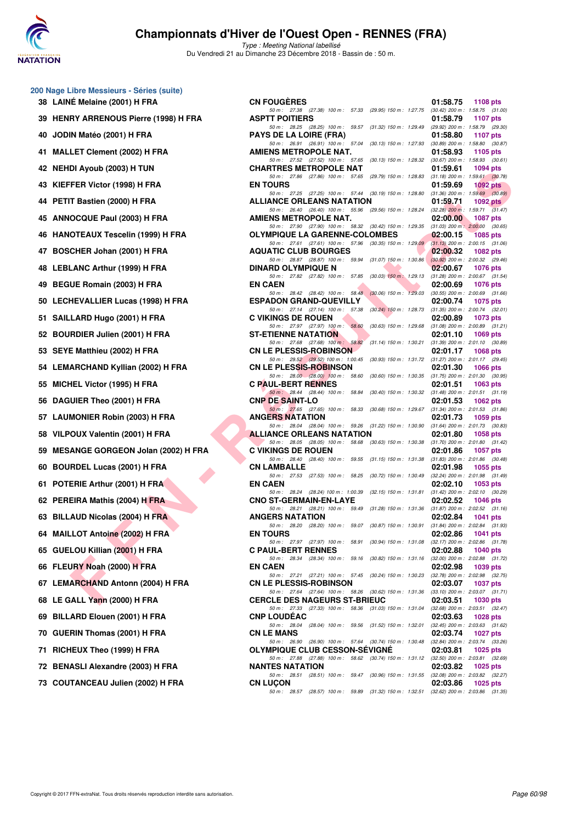

Type : Meeting National labellisé Du Vendredi 21 au Dimanche 23 Décembre 2018 - Bassin de : 50 m.

| 39 | <b>HENRY ARRENOUS Pierre (1998) H FRA</b> |
|----|-------------------------------------------|
| 40 | JODIN Matéo (2001) H FRA                  |
| 41 | <b>MALLET Clement (2002) H FRA</b>        |
| 42 | <b>NEHDI Ayoub (2003) H TUN</b>           |
| 43 | KIEFFER Victor (1998) H FRA               |
| 44 | PETIT Bastien (2000) H FRA                |
| 45 | ANNOCQUE Paul (2003) H FRA                |
| 46 | <b>HANOTEAUX Tescelin (1999) H FRA</b>    |
| 47 | BOSCHER Johan (2001) H FRA                |
| 48 | <b>LEBLANC Arthur (1999) H FRA</b>        |
| 49 | BEGUE Romain (2003) H FRA                 |
| 50 | <b>LECHEVALLIER Lucas (1998) H FRA</b>    |
| 51 | SAILLARD Hugo (2001) H FRA                |
| 52 | BOURDIER Julien (2001) H FRA              |
| 53 | SEYE Matthieu (2002) H FRA                |
| 54 | <b>LEMARCHAND Kyllian (2002) H FRA</b>    |
| 55 | MICHEL Victor (1995) H FRA                |
| 56 | DAGUIER Theo (2001) H FRA                 |
| 57 | <b>LAUMONIER Robin (2003) H FRA</b>       |
| 58 | VILPOUX Valentin (2001) H FRA             |
| 59 | <b>MESANGE GORGEON Jolan (2002) H FRA</b> |
| 60 | <b>BOURDEL Lucas (2001) H FRA</b>         |
| 61 | POTERIE Arthur (2001) H FRA               |
| 62 | PEREIRA Mathis (2004) H FRA               |
| 63 | <b>BILLAUD Nicolas (2004) H FRA</b>       |
| 64 | <b>MAILLOT Antoine (2002) H FRA</b>       |
| 65 | GUELOU Killian (2001) H FRA               |
| 66 | FLEURY Noah (2000) H FRA                  |
|    | 67 LEMARCHAND Antonn (2004) H FRA         |
| 68 | LE GALL Yann (2000) H FRA                 |
| 69 | BILLARD Elouen (2001) H FRA               |
| 70 | <b>GUERIN Thomas (2001) H FRA</b>         |
| 71 | RICHEUX Theo (1999) H FRA                 |
|    | 72 BENASLI Alexandre (2003) H FRA         |

**200 Nage Libre Messieurs - Séries (suite) 38 LAINÉ Melaine (2001) H FRA** 

| <b>U Nage Libre Messieurs - Series (Suite)</b> |                                                                                                                                                                                                                 |                                                                                         |
|------------------------------------------------|-----------------------------------------------------------------------------------------------------------------------------------------------------------------------------------------------------------------|-----------------------------------------------------------------------------------------|
| 38 LAINÉ Melaine (2001) H FRA                  | <b>CN FOUGERES</b>                                                                                                                                                                                              | 01:58.75<br>1108 pts                                                                    |
| 39 HENRY ARRENOUS Pierre (1998) H FRA          | 50 m: 27.38 (27.38) 100 m: 57.33 (29.95) 150 m: 1:27.75 (30.42) 200 m: 1:58.75 (31.00)<br><b>ASPTT POITIERS</b>                                                                                                 | 01:58.79<br>1107 pts                                                                    |
| 40   JODIN Matéo (2001) H FRA                  | 50 m: 28.25 (28.25) 100 m: 59.57 (31.32) 150 m: 1:29.49 (29.92) 200 m: 1:58.79 (29.30)<br><b>PAYS DE LA LOIRE (FRA)</b>                                                                                         | 01:58.80<br>1107 pts                                                                    |
|                                                | 50 m: 26.91 (26.91) 100 m: 57.04 (30.13) 150 m: 1:27.93 (30.89) 200 m: 1:58.80 (30.87)                                                                                                                          |                                                                                         |
| 41 MALLET Clement (2002) H FRA                 | AMIENS METROPOLE NAT.<br>50 m: 27.52 (27.52) 100 m: 57.65 (30.13) 150 m: 1.28.32 (30.67) 200 m: 1.58.93 (30.61)                                                                                                 | 01:58.93<br>1105 $pts$                                                                  |
| 42 NEHDI Ayoub (2003) H TUN                    | <b>CHARTRES METROPOLE NAT</b><br>50 m: 27.86 (27.86) 100 m: 57.65 (29.79) 150 m: 1:28.83 (31.18) 200 m: 1:59.61 (30.78)                                                                                         | 01:59.61<br>1094 pts                                                                    |
| 43 KIEFFER Victor (1998) H FRA                 | <b>EN TOURS</b>                                                                                                                                                                                                 | 01:59.69<br>1092 $pts$                                                                  |
| 44 PETIT Bastien (2000) H FRA                  | 50 m: 27.25 (27.25) 100 m: 57.44 (30.19) 150 m: 1:28.80 (31.36) 200 m: 1:59.69 (30.89)<br><b>ALLIANCE ORLEANS NATATION</b>                                                                                      | 01:59.71<br>1092 $pts$                                                                  |
| 45 ANNOCQUE Paul (2003) H FRA                  | 50 m: 26.40 (26.40) 100 m: 55.96 (29.56) 150 m: 1.28.24 (32.28) 200 m: 1.59.71 (31.47)<br>AMIENS METROPOLE NAT.                                                                                                 | 02:00.00<br>1087 pts                                                                    |
| 46   HANOTEAUX Tescelin (1999) H FRA           | 50 m: 27.90 (27.90) 100 m: 58.32 (30.42) 150 m: 1:29.35 (31.03) 200 m: 2:00.00 (30.65)<br><b>OLYMPIQUE LA GARENNE-COLOMBES</b>                                                                                  | 02:00.15<br><b>1085 pts</b>                                                             |
| 47 BOSCHER Johan (2001) H FRA                  | 50 m: 27.61 (27.61) 100 m: 57.96 (30.35) 150 m: 1:29.09 (31.13) 200 m: 2:00.15 (31.06)<br><b>AQUATIC CLUB BOURGES</b><br>50 m: 28.87 (28.87) 100 m: 59.94 (31.07) 150 m: 1:30.86 (30.92) 200 m: 2:00.32 (29.46) | 02:00.32<br>1082 pts                                                                    |
| 48 LEBLANC Arthur (1999) H FRA                 | <b>DINARD OLYMPIQUE N</b>                                                                                                                                                                                       | 02:00.67<br><b>1076 pts</b>                                                             |
| 49 BEGUE Romain (2003) H FRA                   | 50 m: 27.82 (27.82) 100 m: 57.85 (30.03) 150 m: 1:29.13 (31.28) 200 m: 2:00.67 (31.54)<br><b>EN CAEN</b>                                                                                                        | 02:00.69<br>1076 pts                                                                    |
| 50   LECHEVALLIER Lucas (1998) H FRA           | 50 m: 28.42 (28.42) 100 m: 58.48 (30.06) 150 m: 1:29.03 (30.55) 200 m: 2:00.69 (31.66)<br><b>ESPADON GRAND-QUEVILLY</b>                                                                                         | 02:00.74<br>1075 pts                                                                    |
| 51 SAILLARD Hugo (2001) H FRA                  | 50 m: 27.14 (27.14) 100 m: 57.38 (30.24) 150 m: 1:28.73 (31.35) 200 m: 2:00.74 (32.01)<br><b>C VIKINGS DE ROUEN</b>                                                                                             | 02:00.89                                                                                |
|                                                | 50 m: 27.97 (27.97) 100 m: 58.60                                                                                                                                                                                | 1073 pts<br>(30.63) 150 m : 1:29.68 (31.08) 200 m : 2:00.89 (31.21)                     |
| 52 BOURDIER Julien (2001) H FRA                | <b>ST-ETIENNE NATATION</b><br>50 m : 27.68 (27.68) 100 m : 58.82                                                                                                                                                | 02:01.10<br>$1069$ pts<br>$(31.14)$ 150 m : 1:30.21 $(31.39)$ 200 m : 2:01.10 $(30.89)$ |
| 53 SEYE Matthieu (2002) H FRA                  | <b>CN LE PLESSIS-ROBINSON</b><br>50 m: 29.52 (29.52) 100 m: 1:00.45 (30.93) 150 m: 1:31.72 (31.27) 200 m: 2:01.17 (29.45)                                                                                       | 02:01.17<br><b>1068 pts</b>                                                             |
| 54 LEMARCHAND Kyllian (2002) H FRA             | <b>CN LE PLESSIS-ROBINSON</b>                                                                                                                                                                                   | 02:01.30<br>1066 pts                                                                    |
| 55 MICHEL Victor (1995) H FRA                  | 50 m: 28.00 (28.00) 100 m: 58.60 (30.60) 150 m: 1:30.35 (31.75) 200 m: 2:01.30 (30.95)<br><b>C PAUL-BERT RENNES</b>                                                                                             | 02:01.51<br>1063 $pts$                                                                  |
| 56 DAGUIER Theo (2001) H FRA                   | 50 m: 28.44 (28.44) 100 m: 58.84 (30.40) 150 m: 1:30.32 (31.48) 200 m: 2:01.51 (31.19)<br><b>CNP DE SAINT-LO</b>                                                                                                | 02:01.53<br>1062 pts                                                                    |
| 57 LAUMONIER Robin (2003) H FRA                | 50 m: 27.65 (27.65) 100 m: 58.33 (30.68) 150 m: 1:29.67 (31.34) 200 m: 2:01.53 (31.86)<br><b>ANGERS NATATION</b>                                                                                                | 02:01.73<br>1059 pts                                                                    |
| 58 VILPOUX Valentin (2001) H FRA               | 50 m: 28.04 (28.04) 100 m: 59.26 (31.22) 150 m: 1:30.90 (31.64) 200 m: 2:01.73 (30.83)<br><b>ALLIANCE ORLEANS NATATION</b>                                                                                      | 02:01.80<br>1058 pts                                                                    |
| 59 MESANGE GORGEON Jolan (2002) H FRA          | 50 m: 28.05 (28.05) 100 m: 58.68 (30.63) 150 m: 1:30.38 (31.70) 200 m: 2:01.80 (31.42)<br><b>C VIKINGS DE ROUEN</b>                                                                                             | 02:01.86<br>1057 pts                                                                    |
| 60 BOURDEL Lucas (2001) H FRA                  | 50 m: 28.40 (28.40) 100 m: 59.55 (31.15) 150 m: 1:31.38 (31.83) 200 m: 2:01.86 (30.48)<br><b>CN LAMBALLE</b>                                                                                                    | 02:01.98<br>1055 pts                                                                    |
|                                                | 50 m: 27.53 (27.53) 100 m: 58.25 (30.72) 150 m: 1:30.49 (32.24) 200 m: 2:01.98 (31.49)                                                                                                                          |                                                                                         |
| 61 POTERIE Arthur (2001) H FRA                 | <b>EN CAEN</b><br>50 m: 28.24 (28.24) 100 m: 1:00.39 (32.15) 150 m: 1:31.81 (31.42) 200 m: 2:02.10 (30.29)                                                                                                      | 02:02.10<br>1053 pts                                                                    |
| 62 PEREIRA Mathis (2004) H FRA                 | <b>CNO ST-GERMAIN-EN-LAYE</b><br>50 m: 28.21 (28.21) 100 m: 59.49 (31.28) 150 m: 1:31.36 (31.87) 200 m: 2:02.52 (31.16)                                                                                         | 02:02.52<br>1046 pts                                                                    |
| 63 BILLAUD Nicolas (2004) H FRA                | <b>ANGERS NATATION</b><br>50 m: 28.20 (28.20) 100 m: 59.07 (30.87) 150 m: 1:30.91 (31.84) 200 m: 2:02.84 (31.93)                                                                                                | 02:02.84<br>1041 pts                                                                    |
| 64 MAILLOT Antoine (2002) H FRA                | <b>EN TOURS</b>                                                                                                                                                                                                 | 02:02.86<br>1041 pts                                                                    |
| 65 GUELOU Killian (2001) H FRA                 | 50 m: 27.97 (27.97) 100 m: 58.91 (30.94) 150 m: 1:31.08<br><b>C PAUL-BERT RENNES</b>                                                                                                                            | $(32.17)$ 200 m : 2:02.86 $(31.78)$<br>02:02.88<br><b>1040 pts</b>                      |
| 66 FLEURY Noah (2000) H FRA                    | 50 m: 28.34 (28.34) 100 m: 59.16 (30.82) 150 m: 1:31.16<br><b>EN CAEN</b>                                                                                                                                       | $(32.00)$ 200 m : $2.02.88$ $(31.72)$<br>02:02.98<br>1039 pts                           |
| 67   LEMARCHAND Antonn (2004) H FRA            | 50 m: 27.21 (27.21) 100 m: 57.45 (30.24) 150 m: 1:30.23 (32.78) 200 m: 2:02.98 (32.75)<br><b>CN LE PLESSIS-ROBINSON</b>                                                                                         | 02:03.07<br><b>1037 pts</b>                                                             |
| 68 LE GALL Yann (2000) H FRA                   | 50 m: 27.64 (27.64) 100 m: 58.26 (30.62) 150 m: 1:31.36 (33.10) 200 m: 2:03.07 (31.71)<br><b>CERCLE DES NAGEURS ST-BRIEUC</b>                                                                                   | 02:03.51<br><b>1030 pts</b>                                                             |
|                                                | 50 m: 27.33 (27.33) 100 m: 58.36 (31.03) 150 m: 1:31.04 (32.68) 200 m: 2:03.51 (32.47)                                                                                                                          |                                                                                         |
| 69 BILLARD Elouen (2001) H FRA                 | <b>CNP LOUDEAC</b><br>50 m: 28.04 (28.04) 100 m: 59.56 (31.52) 150 m: 1:32.01 (32.45) 200 m: 2:03.63 (31.62)                                                                                                    | 02:03.63<br>1028 pts                                                                    |
| 70 GUERIN Thomas (2001) H FRA                  | <b>CN LE MANS</b><br>50 m: 26.90 (26.90) 100 m: 57.64 (30.74) 150 m: 1:30.48 (32.84) 200 m: 2:03.74 (33.26)                                                                                                     | 02:03.74<br>1027 pts                                                                    |
| 71 RICHEUX Theo (1999) H FRA                   | <b>OLYMPIQUE CLUB CESSON-SEVIGNE</b><br>50 m: 27.88 (27.88) 100 m: 58.62 (30.74) 150 m: 1:31.12 (32.50) 200 m: 2:03.81 (32.69)                                                                                  | 02:03.81<br><b>1025 pts</b>                                                             |
| 72 BENASLI Alexandre (2003) H FRA              | <b>NANTES NATATION</b>                                                                                                                                                                                          | 02:03.82<br>1025 pts                                                                    |
| 73 COUTANCEAU Julien (2002) H FRA              | 50 m: 28.51 (28.51) 100 m: 59.47 (30.96) 150 m: 1:31.55 (32.08) 200 m: 2:03.82 (32.27)<br><b>CN LUCON</b>                                                                                                       | 02:03.86<br>1025 pts                                                                    |
|                                                | 50 m: 28.57 (28.57) 100 m: 59.89 (31.32) 150 m: 1:32.51 (32.62) 200 m: 2:03.86 (31.35)                                                                                                                          |                                                                                         |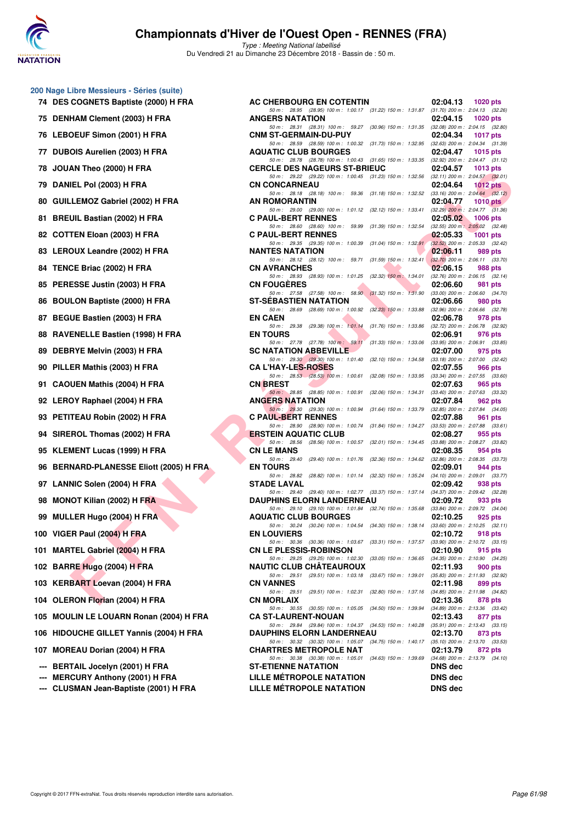

| 200 Nage Libre Messieurs - Séries (suite) |
|-------------------------------------------|
| 74 DES COGNETS Baptiste (2000) H FRA      |

- 75 DENHAM Clement (2003) H FRA **76 LEBOEUF Simon (2001) H FRA**
- 77 DUBOIS Aurelien (2003) H FRA
- **78 JOUAN Theo (2000) H FRA**
- **79 DANIEL Pol (2003) H FRA CN CONCARNEAU 02:04.64 1012 pts**
- 80 GUILLEMOZ Gabriel (2002) H FRA
- 81 BREUIL Bastian (2002) H FRA
- 82 COTTEN Eloan (2003) H FRA
- 83 LEROUX Leandre (2002) H FRA
- **84 TENCE Briac (2002) H FRA**
- 85 PERESSE Justin (2003) H FRA
- 86 BOULON Baptiste (2000) H FRA
- **87 BEGUE Bastien (2003) H FRA**
- **88 RAVENELLE Bastien (1998) H FRA**
- 89 DEBRYE Melvin (2003) H FRA
- **90 PILLER Mathis (2003) H FRA**
- 91 CAOUEN Mathis (2004) H FRA
- **92 LEROY Raphael (2004) H FRA**
- 93 PETITEAU Robin (2002) H FRA
- **94 SIREROL Thomas (2002) H FRA**
- **95 KLEMENT Lucas (1999) H FRA**
- **96 BERNARD-PLANESSE Eliott (2005) H FRA**
- **97 LANNIC Solen (2004) H FRA**
- **98 MONOT Kilian (2002) H FRA**
- **99 MULLER Hugo (2004) H FRA**
- **100 VIGER Paul (2004) H FRA**
- 101 MARTEL Gabriel (2004) H FRA
- **102 BARRE Hugo (2004) H FRA**
- **103 KERBART Loevan (2004) H FRA**
- **104 OLERON Florian (2004) H FRA**
- **105 MOULIN LE LOUARN Ronan (2004) H FRA**
- 106 HIDOUCHE GILLET Yannis (2004) H FRA
- 107 **MOREAU Dorian (2004) H FRA**
- **--- BERTAIL Jocelyn (2001) H FRA**
- **--- MERCURY Anthony (2001) H FRA**
- --- CLUSMAN Jean-Baptiste (2001) H FRA

| .ibre Messieurs - Séries (suite)                       |                                                                                                                                                                                                              |                                                            |
|--------------------------------------------------------|--------------------------------------------------------------------------------------------------------------------------------------------------------------------------------------------------------------|------------------------------------------------------------|
| <b>COGNETS Baptiste (2000) H FRA</b>                   | AC CHERBOURG EN COTENTIN                                                                                                                                                                                     | 02:04.13<br>1020 $pts$                                     |
| <b>HAM Clement (2003) H FRA</b>                        | 50 m: 28.95 (28.95) 100 m: 1:00.17 (31.22) 150 m: 1:31.87 (31.70) 200 m: 2:04.13 (32.26)<br><b>ANGERS NATATION</b><br>50 m: 28.31 (28.31) 100 m: 59.27 (30.96) 150 m: 1:31.35 (32.08) 200 m: 2:04.15 (32.80) | 02:04.15<br>1020 $pts$                                     |
| <b>OEUF Simon (2001) H FRA</b>                         | <b>CNM ST-GERMAIN-DU-PUY</b>                                                                                                                                                                                 | 02:04.34<br>1017 pts                                       |
| OIS Aurelien (2003) H FRA                              | 50 m: 28.59 (28.59) 100 m: 1:00.32 (31.73) 150 m: 1:32.95 (32.63) 200 m: 2:04.34 (31.39)<br><b>AQUATIC CLUB BOURGES</b>                                                                                      | 02:04.47<br><b>1015 pts</b>                                |
| AN Theo (2000) H FRA                                   | 50 m: 28.78 (28.78) 100 m: 1:00.43 (31.65) 150 m: 1:33.35 (32.92) 200 m: 2:04.47 (31.12)<br><b>CERCLE DES NAGEURS ST-BRIEUC</b>                                                                              | 02:04.57<br>1013 pts                                       |
| IEL Pol (2003) H FRA                                   | 50 m: 29.22 (29.22) 100 m: 1:00.45 (31.23) 150 m: 1:32.56 (32.11) 200 m: 2:04.57 (32.01)<br><b>CN CONCARNEAU</b>                                                                                             | 02:04.64<br>1012 $pts$                                     |
| LEMOZ Gabriel (2002) H FRA                             | 50 m: 28.18 (28.18) 100 m: 59.36 (31.18) 150 m: 1:32.52 (33.16) 200 m: 2:04.64 (32.12)<br>AN ROMORANTIN                                                                                                      | 02:04.77<br>1010 $pts$                                     |
| UIL Bastian (2002) H FRA                               | 50 m: 29.00 (29.00) 100 m: 1:01.12 (32.12) 150 m: 1:33.41 (32.29) 200 m: 2:04.77 (31.36)<br><b>C PAUL-BERT RENNES</b>                                                                                        | 02:05.02 1006 pts                                          |
| TEN Eloan (2003) H FRA                                 | 50 m: 28.60 (28.60) 100 m: 59.99 (31.39) 150 m: 1:32.54 (32.55) 200 m: 2:05.02 (32.48)<br><b>C PAUL-BERT RENNES</b>                                                                                          | 02:05.33<br>1001 pts                                       |
| OUX Leandre (2002) H FRA                               | 50 m: 29.35 (29.35) 100 m: 1:00.39 (31.04) 150 m: 1:32.91 (32.52) 200 m: 2:05.33 (32.42)<br><b>NANTES NATATION</b>                                                                                           | 02:06.11<br>989 pts                                        |
| CE Briac (2002) H FRA                                  | 50 m: 28.12 (28.12) 100 m: 59.71 (31.59) 150 m: 1:32.41 (32.70) 200 m: 2:06.11 (33.70)<br><b>CN AVRANCHES</b>                                                                                                | 02:06.15<br>988 pts                                        |
| ESSE Justin (2003) H FRA                               | 50 m: 28.93 (28.93) 100 m: 1:01.25 (32.32) 150 m: 1:34.01 (32.76) 200 m: 2:06.15 (32.14)<br><b>CN FOUGERES</b>                                                                                               | 02:06.60<br>981 pts                                        |
| LON Baptiste (2000) H FRA                              | 50 m: 27.58 (27.58) 100 m: 58.90 (31.32) 150 m: 1:31.90 (33.00) 200 m: 2:06.60 (34.70)<br><b>ST-SEBASTIEN NATATION</b>                                                                                       | 02:06.66<br>980 pts                                        |
| UE Bastien (2003) H FRA                                | 50 m: 28.69 (28.69) 100 m: 1:00.92 (32.23) 150 m: 1:33.88 (32.96) 200 m: 2:06.66 (32.78)<br><b>EN CAEN</b>                                                                                                   | 02:06.78<br>978 pts                                        |
| ENELLE Bastien (1998) H FRA                            | 50 m: 29.38 (29.38) 100 m: 1:01.14 (31.76) 150 m: 1:33.86 (32.72) 200 m: 2:06.78 (32.92)<br><b>EN TOURS</b>                                                                                                  | 02:06.91<br>976 pts                                        |
| RYE Melvin (2003) H FRA                                | 50 m: 27.78 (27.78) 100 m: 59.11 (31.33) 150 m: 1:33.06 (33.95) 200 m: 2:06.91 (33.85)<br><b>SC NATATION ABBEVILLE</b>                                                                                       | 02:07.00<br>975 pts                                        |
| ER Mathis (2003) H FRA                                 | 50 m: 29.30 (29.30) 100 m: 1:01.40 (32.10) 150 m: 1:34.58 (33.18) 200 m: 2:07.00 (32.42)<br><b>CA L'HAY-LES-ROSES</b>                                                                                        | 02:07.55<br>966 pts                                        |
| UEN Mathis (2004) H FRA                                | 50 m: 28.53 (28.53) 100 m: 1:00.61 (32.08) 150 m: 1:33.95 (33.34) 200 m: 2:07.55 (33.60)<br><b>CN BREST</b>                                                                                                  | 02:07.63<br>965 pts                                        |
| OY Raphael (2004) H FRA                                | 50 m: 28.85 (28.85) 100 m: 1:00.91 (32.06) 150 m: 1:34.31 (33.40) 200 m: 2:07.63 (33.32)<br><b>ANGERS NATATION</b>                                                                                           | 02:07.84<br>962 pts                                        |
| TEAU Robin (2002) H FRA                                | 50 m: 29.30 (29.30) 100 m: 1:00.94 (31.64) 150 m: 1:33.79 (32.85) 200 m: 2:07.84 (34.05)<br><b>C PAUL-BERT RENNES</b>                                                                                        | 02:07.88<br>961 pts                                        |
| :ROL Thomas (2002) H FRA                               | 50 m: 28.90 (28.90) 100 m: 1:00.74 (31.84) 150 m: 1:34.27 (33.53) 200 m: 2:07.88 (33.61)<br><b>ERSTEIN AQUATIC CLUB</b>                                                                                      | 02:08.27<br>955 pts                                        |
| MENT Lucas (1999) H FRA                                | 50 m: 28.56 (28.56) 100 m: 1:00.57 (32.01) 150 m: 1:34.45 (33.88) 200 m: 2:08.27 (33.82)<br><b>CN LE MANS</b>                                                                                                | 02:08.35<br>954 pts                                        |
| <b>NARD-PLANESSE Eliott (2005) H FRA</b>               | 50 m: 29.40 (29.40) 100 m: 1:01.76 (32.36) 150 m: 1:34.62 (32.86) 200 m: 2:08.35 (33.73)<br><b>EN TOURS</b>                                                                                                  | 02:09.01<br>944 pts                                        |
| NIC Solen (2004) H FRA                                 | 50 m: 28.82 (28.82) 100 m: 1:01.14 (32.32) 150 m: 1:35.24 (34.10) 200 m: 2:09.01 (33.77)<br><b>STADE LAVAL</b>                                                                                               | 02:09.42<br>938 pts                                        |
| IOT Kilian (2002) H FRA                                | 50 m: 29.40 (29.40) 100 m: 1:02.77 (33.37) 150 m: 1:37.14 (34.37) 200 m: 2:09.42 (32.28)<br><b>DAUPHINS ELORN LANDERNEAU</b>                                                                                 | 02:09.72<br>933 pts                                        |
| LER Hugo (2004) H FRA                                  | 50 m: 29.10 (29.10) 100 m: 1:01.84 (32.74) 150 m: 1:35.68 (33.84) 200 m: 2:09.72 (34.04)<br><b>AQUATIC CLUB BOURGES</b>                                                                                      | 02:10.25<br>925 pts                                        |
| <b>ER Paul (2004) H FRA</b>                            | 50 m: 30.24 (30.24) 100 m: 1:04.54 (34.30) 150 m: 1:38.14 (33.60) 200 m: 2:10.25 (32.11)<br><b>EN LOUVIERS</b>                                                                                               | 02:10.72<br>918 pts                                        |
| TEL Gabriel (2004) H FRA                               | 50 m: 30.36 (30.36) 100 m: 1:03.67 (33.31) 150 m: 1:37.57<br><b>CN LE PLESSIS-ROBINSON</b>                                                                                                                   | $(33.90)$ 200 m : 2:10.72 $(33.15)$<br>02:10.90<br>915 pts |
| <b>RE Hugo (2004) H FRA</b>                            | 50 m : 29.25 (29.25) 100 m : 1:02.30 (33.05) 150 m : 1:36.65 (34.35) 200 m : 2:10.90 (34.25)<br><b>NAUTIC CLUB CHATEAUROUX</b>                                                                               | 02:11.93<br>900 pts                                        |
| BART Loevan (2004) H FRA                               | 50 m: 29.51 (29.51) 100 m: 1:03.18 (33.67) 150 m: 1:39.01<br><b>CN VANNES</b>                                                                                                                                | $(35.83)$ 200 m : 2:11.93 $(32.92)$<br>02:11.98<br>899 pts |
| RON Florian (2004) H FRA                               | 50 m: 29.51 (29.51) 100 m: 1:02.31 (32.80) 150 m: 1:37.16 (34.85) 200 m: 2:11.98 (34.82)<br><b>CN MORLAIX</b>                                                                                                | 02:13.36                                                   |
|                                                        | 50 m : 30.55 (30.55) 100 m : 1:05.05 (34.50) 150 m : 1:39.94                                                                                                                                                 | 878 pts<br>$(34.89)$ 200 m : 2:13.36 $(33.42)$             |
| ILIN LE LOUARN Ronan (2004) H FRA                      | <b>CA ST-LAURENT-NOUAN</b><br>50 m : 29.84 (29.84) 100 m : 1:04.37 (34.53) 150 m : 1:40.28                                                                                                                   | 02:13.43<br>877 pts<br>$(35.91)$ 200 m : 2:13.43 $(33.15)$ |
| <b>OUCHE GILLET Yannis (2004) H FRA</b>                | <b>DAUPHINS ELORN LANDERNEAU</b><br>50 m : 30.32 (30.32) 100 m : 1:05.07 (34.75) 150 m : 1:40.17 (35.10) 200 m : 2:13.70 (33.53)                                                                             | 02:13.70<br>873 pts                                        |
| <b>EAU Dorian (2004) H FRA</b> :                       | <b>CHARTRES METROPOLE NAT</b><br>50 m: 30.38 (30.38) 100 m: 1:05.01 (34.63) 150 m: 1:39.69 (34.68) 200 m: 2:13.79 (34.10)                                                                                    | 02:13.79<br>872 pts                                        |
| TAIL Jocelyn (2001) H FRA<br>CURY Anthony (2001) H FRA | <b>ST-ETIENNE NATATION</b><br>LILLE METROPOLE NATATION                                                                                                                                                       | <b>DNS</b> dec<br><b>DNS dec</b>                           |
| SMAN Jean-Baptiste (2001) H FRA                        | LILLE MÉTROPOLE NATATION                                                                                                                                                                                     | <b>DNS</b> dec                                             |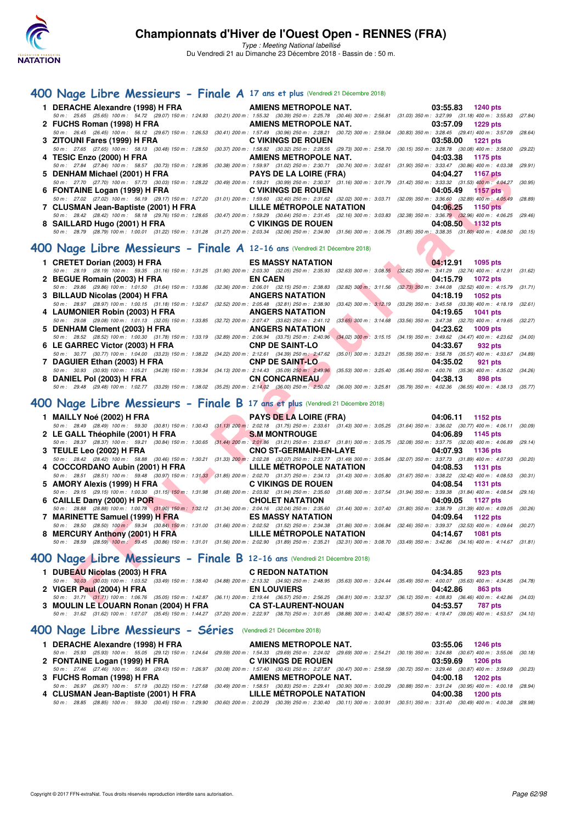

Type : Meeting National labellisé Du Vendredi 21 au Dimanche 23 Décembre 2018 - Bassin de : 50 m.

#### **[400 Nage Libre Messieurs - Finale A](http://www.ffnatation.fr/webffn/resultats.php?idact=nat&go=epr&idcpt=55947&idepr=54) 17 ans et plus** (Vendredi 21 Décembre 2018)

|  | 1 DERACHE Alexandre (1998) H FRA <b>AMIENS METROPOLE NAT.</b> 03:55.83 1240 pts                                                                                                              |                   |
|--|----------------------------------------------------------------------------------------------------------------------------------------------------------------------------------------------|-------------------|
|  | 50 m: 25.65 (25.65) 100 m: 54.72 (29.07) 150 m: 1:24.93 (30.21) 200 m: 1:55.32 (30.39) 250 m: 2:25.78 (30.46) 300 m: 2:56.81 (31.03) 350 m: 3:27.99 (31.18) 400 m: 3:55.83 (27.84)           |                   |
|  | 2 FUCHS Roman (1998) H FRA <b>AMIENS METROPOLE NAT.</b> 03:57.09 1229 pts                                                                                                                    |                   |
|  | 50 m : 26.45 (26.45) 100 m : 56.12 (29.67) 150 m : 1:26.53 (30.41) 200 m : 1:57.49 (30.96) 250 m : 2:28.21 (30.72) 300 m : 2:59.04 (30.83) 350 m : 3:28.45 (29.41) 400 m : 3:57.09 (28.64)   |                   |
|  |                                                                                                                                                                                              | 03:58.00 1221 pts |
|  | 50 m : 27.65 (27.65) 100 m : 58.13 (30.48) 150 m : 1:28.50 (30.37) 200 m : 1:58.82 (30.32) 250 m : 2:28.55 (29.73) 300 m : 2:58.70 (30.15) 350 m : 3:28.78 (30.08) 400 m : 3:58.00 (29.22)   |                   |
|  | 4 TESIC Enzo (2000) H FRA <b>AMIENS METROPOLE NAT.</b> 04:03.38 1175 pts                                                                                                                     |                   |
|  | 50 m : 27.84 (27.84) 100 m : 58.57 (30.73) 150 m : 1:28.95 (30.38) 200 m : 1:59.97 (31.02) 250 m : 2:30.71 (30.74) 300 m : 3:02.61 (31.90) 350 m : 3:33.47 (30.86) 400 m : 4:03.38 (29.91)   |                   |
|  | 5 DENHAM Michael (2001) H FRA <b>PAYS DE LA LOIRE (FRA)</b> 04:04.27 1167 pts                                                                                                                |                   |
|  | 50 m: 27.70 (27.70) 100 m: 57.73 (30.03) 150 m: 1:28.22 (30.49) 200 m: 1:59.21 (30.99) 250 m: 2:30.37 (31.16) 300 m: 3:01.79 (31.42) 350 m: 3:33.32 (31.53) 400 m: 4:04.27 (30.95)           |                   |
|  | 6 FONTAINE Logan (1999) H FRA C VIKINGS DE ROUEN                                                                                                                                             | 04:05.49 1157 pts |
|  | 50 m : 27.02 (27.02) 100 m : 56.19 (29.17) 150 m : 1:27.20 (31.01) 200 m : 1:59.60 (32.40) 250 m : 2:31.62 (32.02) 300 m : 3:03.71 (32.09) 350 m : 3:36.60 (32.89) 400 m : 4:05.49 (28.89)   |                   |
|  | 7 CLUSMAN Jean-Baptiste (2001) H FRA LILLE METROPOLE NATATION                                                                                                                                | 04:06.25 1150 pts |
|  | 50 m : 28.42 (28.42) 100 m : 58.18 (29.76) 150 m : 1:28.65 (30.47) 200 m : 1:59.29 (30.64) 250 m : 2:31.45 (32.16) 300 m : 3:03.83 (32.38) 350 m : 3:36.79 (32.96) 400 m : 4:06.25 (29.46)   |                   |
|  |                                                                                                                                                                                              | 04:08.50 1132 pts |
|  | 50 m : 28.79 (28.79) 100 m : 1:00.01 (31.22) 150 m : 1:31.28 (31.27) 200 m : 2:03.34 (32.06) 250 m : 2:34.90 (31.56) 300 m : 3:06.75 (31.85) 350 m : 3:38.35 (31.60) 400 m : 4:08.50 (30.15) |                   |

#### **[400 Nage Libre Messieurs - Finale A](http://www.ffnatation.fr/webffn/resultats.php?idact=nat&go=epr&idcpt=55947&idepr=54) 12-16 ans** (Vendredi 21 Décembre 2018)

| 1 CRETET Dorian (2003) H FRA ES MASSY NATATION                                                                                                                                       |                      | 04:12.91 1095 pts                                                                       |
|--------------------------------------------------------------------------------------------------------------------------------------------------------------------------------------|----------------------|-----------------------------------------------------------------------------------------|
| 50 m: 28.19 (28.19) 100 m: 59.35 (31.16) 150 m: 1:31.25 (31.90) 200 m: 2:03.30 (32.05) 250 m: 2:35.93 (32.63) 300 m: 3:08.55 (32.62) 350 m: 3:41.29 (32.74) 400 m: 4:12.91 (31.62)   |                      |                                                                                         |
| 2 BEGUE Romain (2003) H FRA EN CAEN                                                                                                                                                  |                      | 04:15.79 1072 pts                                                                       |
| 50 m: 29.86 (29.86) 100 m: 1:01.50 (31.64) 150 m: 1:33.86 (32.36) 200 m: 2:06.01 (32.15) 250 m: 2:38.83 (32.82) 300 m: 3:11.56 (32.73) 350 m: 3:44.08 (32.52) 400 m: 4:15.79 (31.71) |                      |                                                                                         |
| 3 BILLAUD Nicolas (2004) H FRA ANGERS NATATION                                                                                                                                       |                      | 04:18.19 1052 pts                                                                       |
| 50 m: 28.97 (28.97) 100 m: 1:00.15 (31.18) 150 m: 1:32.67 (32.52) 200 m: 2:05.48 (32.81) 250 m: 2:38.90 (33.42) 300 m: 3:12.19 (33.29) 350 m: 3:45.58 (33.39) 400 m: 4:18.19 (32.61) |                      |                                                                                         |
| 4 LAUMONIER Robin (2003) H FRA ANGERS NATATION                                                                                                                                       |                      | 04:19.65 1041 pts                                                                       |
| 50 m: 29.08 (29.08) 100 m: 1:01.13 (32.05) 150 m: 1:33.85 (32.72) 200 m: 2:07.47 (33.62) 250 m: 2:41.12 (33.65) 300 m: 3:14.68 (33.56) 350 m: 3:47.38 (32.70) 400 m: 4:19.65 (32.27) |                      |                                                                                         |
| 5 DENHAM Clement (2003) H FRA ANGERS NATATION                                                                                                                                        |                      | 04:23.62 1009 pts                                                                       |
| 50 m: 28.52 (28.52) 100 m: 1:00.30 (31.78) 150 m: 1:33.19 (32.89) 200 m: 2:06.94 (33.75) 250 m: 2:40.96 (34.02) 300 m: 3:15.15 (34.19) 350 m: 3:49.62 (34.47) 400 m: 4:23.62 (34.00) |                      |                                                                                         |
| 6 LE GARREC Victor (2003) H FRA CNP DE SAINT-LO                                                                                                                                      |                      | 04:33.67 932 pts                                                                        |
| 50 m: 30.77 (30.77) 100 m: 1:04.00 (33.23) 150 m: 1:38.22 (34.22) 200 m: 2:12.61 (34.39) 250 m: 2:47.62                                                                              |                      | (35.01) 300 m: 3:23.21 (35.59) 350 m: 3:58.78 (35.57) 400 m: 4:33.67 (34.89)            |
| 7 DAGUIER Ethan (2003) H FRA CNP DE SAINT-LO                                                                                                                                         |                      | 04:35.02<br>921 pts                                                                     |
| 50 m : 30.93 (30.93) 100 m : 1:05.21 (34.28) 150 m : 1:39.34 (34.13) 200 m : 2:14.43 (35.09) 250 m : 2:49.96                                                                         |                      | $(35.53)$ 300 m : 3:25.40 $(35.44)$ 350 m : 4:00.76 $(35.36)$ 400 m : 4:35.02 $(34.26)$ |
| 8 DANIEL Pol (2003) H FRA                                                                                                                                                            | <b>CN CONCARNEAU</b> | 04:38.13<br>898 pts                                                                     |
| 50 m: 29.48 (29.48) 100 m: 1:02.77 (33.29) 150 m: 1:38.02 (35.25) 200 m: 2:14.02 (36.00) 250 m: 2:50.02 (36.00) 300 m: 3:25.81 (35.79) 350 m: 4:02.36 (36.55) 400 m: 4:38.13 (35.77) |                      |                                                                                         |

#### **[400 Nage Libre Messieurs - Finale B](http://www.ffnatation.fr/webffn/resultats.php?idact=nat&go=epr&idcpt=55947&idepr=54) 17 ans et plus** (Vendredi 21 Décembre 2018)

| 5 DENHAM Michael (2001) H FRA                                                                                                                                                                                                                                            |                          | <b>PAYS DE LA LOIRE (FRA)</b>   | 04:04.27 1167 pts           |         |
|--------------------------------------------------------------------------------------------------------------------------------------------------------------------------------------------------------------------------------------------------------------------------|--------------------------|---------------------------------|-----------------------------|---------|
| 50 m: 27.70 (27.70) 100 m: 57.73 (30.03) 150 m: 1:28.22 (30.49) 200 m: 1:59.21 (30.99) 250 m: 2:30.37 (31.16) 300 m: 3:01.79 (31.42) 350 m: 3:33.32 (31.53) 400 m: 4:04.27 (30.95)                                                                                       |                          |                                 |                             |         |
| 6 FONTAINE Logan (1999) H FRA                                                                                                                                                                                                                                            |                          | <b>C VIKINGS DE ROUEN</b>       | 04:05.49<br><b>1157 pts</b> |         |
| 50 m: 27.02 (27.02) 100 m: 56.19 (29.17) 150 m: 1:27.20 (31.01) 200 m: 1:59.60 (32.40) 250 m: 2:31.62 (32.02) 300 m: 3:03.71 (32.09) 350 m: 3:36.60 (32.89) 400 m: 4:05.49                                                                                               |                          |                                 |                             | (28.89) |
| 7 CLUSMAN Jean-Baptiste (2001) H FRA                                                                                                                                                                                                                                     |                          | LILLE METROPOLE NATATION        | 04:06.25<br>1150 pts        |         |
| 50 m : 28.42 (28.42) 100 m : 58.18 (29.76) 150 m : 1:28.65 (30.47) 200 m : 1:59.29 (30.64) 250 m : 2:31.45 (32.16) 300 m : 3:03.83 (32.38) 350 m : 3:36.79 (32.96) 400 m : 4:06.25 (29.46)                                                                               |                          |                                 |                             |         |
| 8 SAILLARD Hugo (2001) H FRA                                                                                                                                                                                                                                             |                          | <b>C VIKINGS DE ROUEN</b>       | 04:08.50<br>1132 pts        |         |
| 50 m: 28.79 (28.79) 100 m: 1:00.01 (31.22) 150 m: 1:31.28 (31.27) 200 m: 2:03.34 (32.06) 250 m: 2:34.90 (31.56) 300 m: 3:06.75 (31.85) 350 m: 3:38.35 (31.60) 400 m: 4:08.50 (30.15)                                                                                     |                          |                                 |                             |         |
|                                                                                                                                                                                                                                                                          |                          |                                 |                             |         |
| 00 Nage Libre Messieurs - Finale A 12-16 ans (Vendredi 21 Décembre 2018)                                                                                                                                                                                                 |                          |                                 |                             |         |
|                                                                                                                                                                                                                                                                          |                          |                                 |                             |         |
| 1 CRETET Dorian (2003) H FRA                                                                                                                                                                                                                                             |                          | <b>ES MASSY NATATION</b>        | 04:12.91<br>1095 pts        |         |
| 50 m: 28.19 (28.19) 100 m: 59.35 (31.16) 150 m: 1:31.25 (31.90) 200 m: 2:03.30 (32.05) 250 m: 2:35.93 (32.63) 300 m: 3:08.55 (32.62) 350 m: 3:41.29 (32.74) 400 m: 4:12.91 (31.62)                                                                                       |                          |                                 |                             |         |
| 2 BEGUE Romain (2003) H FRA                                                                                                                                                                                                                                              |                          | <b>EN CAEN</b>                  | 04:15.79<br>1072 pts        |         |
| 50 m: 29.86 (29.86) 100 m: 1:01.50 (31.64) 150 m: 1:33.86 (32.36) 200 m: 2:06.01 (32.15) 250 m: 2:38.83 (32.82) 300 m: 3:11.56 (32.73) 350 m: 3:44.08 (32.52) 400 m: 4:15.79 (31.71)                                                                                     |                          |                                 |                             |         |
| 3 BILLAUD Nicolas (2004) H FRA                                                                                                                                                                                                                                           |                          | <b>ANGERS NATATION</b>          | 04:18.19<br><b>1052 pts</b> |         |
| 50 m: 28.97 (28.97) 100 m: 1:00.15 (31.18) 150 m: 1:32.67 (32.52) 200 m: 2:05.48 (32.81) 250 m: 2:38.90 (33.42) 300 m: 3:12.19 (33.29) 350 m: 3:45.58 (33.39) 400 m: 4:18.19 (32.61)                                                                                     |                          |                                 |                             |         |
| 4 LAUMONIER Robin (2003) H FRA                                                                                                                                                                                                                                           |                          | <b>ANGERS NATATION</b>          | 04:19.65<br><b>1041 pts</b> |         |
| 50 m: 29.08 (29.08) 100 m: 1:01.13 (32.05) 150 m: 1:33.85 (32.72) 200 m: 2:07.47 (33.62) 250 m: 2:41.12 (33.65) 300 m: 3:14.68 (33.56) 350 m: 3:47.38 (32.70) 400 m: 4:19.65 (32.27)                                                                                     |                          |                                 |                             |         |
| 5 DENHAM Clement (2003) H FRA                                                                                                                                                                                                                                            |                          | <b>ANGERS NATATION</b>          | 04:23.62<br>1009 pts        |         |
| 50 m: 28.52 (28.52) 100 m: 1:00.30 (31.78) 150 m: 1:33.19 (32.89) 200 m: 2:06.94 (33.75) 250 m: 2:40.96 (34.02) 300 m: 3:15.15 (34.19) 350 m: 3:49.62 (34.47) 400 m: 4:23.62 (34.47)                                                                                     |                          |                                 |                             |         |
| 6 LE GARREC Victor (2003) H FRA                                                                                                                                                                                                                                          |                          | <b>CNP DE SAINT-LO</b>          | 04:33.67<br>932 pts         |         |
| 50 m: 30.77 (30.77) 100 m: 1:04.00 (33.23) 150 m: 1:38.22 (34.22) 200 m: 2:12.61 (34.39) 250 m: 2:47.62 (35.01) 300 m: 3:23.21 (35.59) 350 m: 3:58.78 (35.57) 400 m: 4:33.67 (34.89)                                                                                     |                          |                                 |                             |         |
| 7 DAGUIER Ethan (2003) H FRA                                                                                                                                                                                                                                             |                          | <b>CNP DE SAINT-LO</b>          | 04:35.02<br>921 pts         |         |
| 50 m : 30.93 (30.93) 100 m : 1:05.21 (34.28) 150 m : 1:39.34 (34.13) 200 m : 2:14.43 (35.09) 250 m : 2:49.96 (35.53) 300 m : 3:25.40 (35.44) 350 m : 4:00.76 (35.36) 400 m : 4:35.02 (34.26)                                                                             |                          |                                 |                             |         |
| 8 DANIEL Pol (2003) H FRA                                                                                                                                                                                                                                                |                          | <b>CN CONCARNEAU</b>            | 04:38.13<br>898 pts         |         |
|                                                                                                                                                                                                                                                                          |                          |                                 |                             |         |
| 50 m: 29.48 (29.48) 100 m: 1:02.77 (33.29) 150 m: 1:38.02 (35.25) 200 m: 2:14.02 (36.00) 250 m: 2:50.02 (36.00) 300 m: 3:25.81 (35.79) 350 m: 4:02.36 (36.55) 400 m: 4:38.13 (35.77)                                                                                     |                          |                                 |                             |         |
|                                                                                                                                                                                                                                                                          |                          |                                 |                             |         |
| 00 Nage Libre Messieurs - Finale B 17 ans et plus (Vendredi 21 Décembre 2018)                                                                                                                                                                                            |                          |                                 |                             |         |
|                                                                                                                                                                                                                                                                          |                          |                                 |                             |         |
| 1 MAILLY Noé (2002) H FRA                                                                                                                                                                                                                                                |                          | <b>PAYS DE LA LOIRE (FRA)</b>   | 04:06.11 1152 pts           |         |
| 50 m: 28.49 (28.49) 100 m: 59.30 (30.81) 150 m: 1:30.43 (31.13) 200 m: 2:02.18 (31.75) 250 m: 2:33.61 (31.43) 300 m: 3:05.25 (31.64) 350 m: 3:36.02 (30.77) 400 m: 4:06.11 (30.09)                                                                                       |                          |                                 |                             |         |
| <b>Contract Contract Contract</b><br>2 LE GALL Théophile (2001) H FRA                                                                                                                                                                                                    |                          | <b>S.M MONTROUGE</b>            | 04:06.89<br>1145 pts        |         |
| 50 m: 28.37 (28.37) 100 m: 59.21 (30.84) 150 m: 1:30.65 (31.44) 200 m: 2:01.86 (31.21) 250 m: 2:33.67 (31.81) 300 m: 3:05.75 (32.08) 350 m: 3:37.75 (32.00) 400 m: 4:06.89                                                                                               |                          |                                 |                             | (29.14) |
| <b>Contract Contract Contract Contract Contract</b><br>3 TEULE Leo (2002) H FRA                                                                                                                                                                                          |                          | <b>CNO ST-GERMAIN-EN-LAYE</b>   | 04:07.93<br>1136 pts        |         |
| 50 m: 28.42 (28.42) 100 m: 58.88 (30.46) 150 m: 1:30.21 (31.33) 200 m: 2:02.28 (32.07) 250 m: 2:33.77 (31.49) 300 m: 3:05.84 (32.07) 350 m: 3:37.73 (31.89) 400 m: 4:07.93                                                                                               |                          |                                 |                             | (30.20) |
| 4 COCCORDANO Aubin (2001) H FRA                                                                                                                                                                                                                                          |                          | <b>LILLE METROPOLE NATATION</b> | 04:08.53<br>1131 pts        |         |
| 50 m: 28.51 (28.51) 100 m: 59.48 (30.97) 150 m: 1:31.33 (31.85) 200 m: 2:02.70 (31.37) 250 m: 2:34.13 (31.43) 300 m: 3:05.80 (31.67) 350 m: 3:38.22 (32.42) 400 m: 4:08.53                                                                                               |                          |                                 |                             | (30.31) |
| 5 AMORY Alexis (1999) H FRA                                                                                                                                                                                                                                              | <b>Contract Contract</b> | <b>C VIKINGS DE ROUEN</b>       | 04:08.54<br><b>1131 pts</b> |         |
| 50 m: 29.15 (29.15) 100 m: 1:00.30 (31.15) 150 m: 1:31.98 (31.68) 200 m: 2:03.92 (31.94) 250 m: 2:35.60 (31.68) 300 m: 3:07.54 (31.94) 350 m: 3:39.38 (31.84) 400 m: 4:08.54                                                                                             |                          |                                 |                             | (29.16) |
| 6 CAILLE Dany (2000) H POR                                                                                                                                                                                                                                               |                          | <b>CHOLET NATATION</b>          | 04:09.05<br><b>1127 pts</b> |         |
| 50 m: 28.88 (28.88) 100 m: 1:00.78 (31.90) 150 m: 1:32.12 (31.34) 200 m: 2:04.16 (32.04) 250 m: 2:35.60 (31.44) 300 m: 3:07.40 (31.80) 350 m: 3:38.79 (31.39) 400 m: 4:09.05 (30.26)                                                                                     |                          |                                 |                             |         |
| 7 MARINETTE Samuel (1999) H FRA                                                                                                                                                                                                                                          |                          | <b>ES MASSY NATATION</b>        | 04:09.64<br>1122 pts        |         |
| 50 m : 28.50 (28.50) 100 m : 59.34 (30.84) 150 m : 1:31.00 (31.66) 200 m : 2:02.52 (31.52) 250 m : 2:34.38 (31.86) 300 m : 3:06.84 (32.46) 350 m : 3:39.37 (32.53) 400 m : 4:09.64 (30.27)                                                                               |                          |                                 | <b>1081 pts</b>             |         |
| 8 MERCURY Anthony (2001) H FRA                                                                                                                                                                                                                                           |                          | LILLE MÉTROPOLE NATATION        | 04:14.67                    |         |
| 50 m : 28.59 (28.59) 100 m : 59.45 (30.86) 150 m : 1:31.01 (31.56) 200 m : 2:02.90 (31.89) 250 m : 2:35.21 (32.31) 300 m : 3:08.70 (33.49) 350 m : 3:42.86 (34.16) 400 m : 4:14.67 (31.81)                                                                               |                          |                                 |                             |         |
|                                                                                                                                                                                                                                                                          |                          |                                 |                             |         |
| 00 Nage Libre Messieurs - Finale B 12-16 ans (Vendredi 21 Décembre 2018)                                                                                                                                                                                                 |                          |                                 |                             |         |
| 1 DUBEAU Nicolas (2003) H FRA                                                                                                                                                                                                                                            |                          | <b>C REDON NATATION</b>         | 04:34.85<br>923 pts         |         |
| 50 m: 30.03 (30.03) 100 m: 1:03.52 (33.49) 150 m: 1:38.40 (34.88) 200 m: 2:13.32 (34.92) 250 m: 2:48.95 (35.63) 300 m: 3:24.44 (35.49) 350 m: 4:00.07 (35.63) 400 m: 4:34.85 (34.78)                                                                                     |                          |                                 |                             |         |
| 2 VIGER Paul (2004) H FRA                                                                                                                                                                                                                                                |                          | <b>EN LOUVIERS</b>              | 04:42.86<br>863 pts         |         |
| 50 m: 31.71 (31.71) 100 m: 1:06.76 (35.05) 150 m: 1:42.87 (36.11) 200 m: 2:19.44 (36.57) 250 m: 2:56.25 (36.81) 300 m: 3:32.37 (36.12) 350 m: 4:08.83 (36.46) 400 m: 4:42.86 (34.03)<br>2. MOULIN LE LOUADN Danan (2004) LIEDA CA CT LAUDENT NOUAN (2005) ALEGEZ 207 ata |                          |                                 |                             |         |

#### **[400 Nage Libre Messieurs - Finale B](http://www.ffnatation.fr/webffn/resultats.php?idact=nat&go=epr&idcpt=55947&idepr=54) 12-16 ans** (Vendredi 21 Décembre 2018)

| DUBEAU Nicolas (2003) H FRA                               | <b>C REDON NATATION</b>                                                                                                                                                              | 04:34.85 923 pts |
|-----------------------------------------------------------|--------------------------------------------------------------------------------------------------------------------------------------------------------------------------------------|------------------|
|                                                           | 50 m: 30.03 (30.03) 100 m: 1:03.52 (33.49) 150 m: 1:38.40 (34.88) 200 m: 2:13.32 (34.92) 250 m: 2:48.95 (35.63) 300 m: 3:24.44 (35.49) 350 m: 4:00.07 (35.63) 400 m: 4:34.85 (34.78) |                  |
| 2 VIGER Paul (2004) H FRA                                 | <b>EN LOUVIERS</b>                                                                                                                                                                   | 04:42.86 863 pts |
|                                                           | 50 m: 31.71 (31.71) 100 m: 1:06.76 (35.05) 150 m: 1:42.87 (36.11) 200 m: 2:19.44 (36.57) 250 m: 2:56.25 (36.81) 300 m: 3:32.37 (36.12) 350 m: 4:08.83 (36.46) 400 m: 4:42.86 (34.03) |                  |
| 3 MOULIN LE LOUARN Ronan (2004) H FRA CA ST-LAURENT-NOUAN |                                                                                                                                                                                      | 04:53.57 787 pts |
|                                                           | 50 m: 31.62 (31.62) 100 m: 1:07.07 (35.45) 150 m: 1:44.27 (37.20) 200 m: 2:22.97 (38.70) 250 m: 3:01.85 (38.88) 300 m: 3:40.42 (38.57) 350 m: 4:19.47 (39.05) 400 m: 4:53.57 (34.10) |                  |

#### **[400 Nage Libre Messieurs - Séries](http://www.ffnatation.fr/webffn/resultats.php?idact=nat&go=epr&idcpt=55947&idepr=54)** (Vendredi 21 Décembre 2018)

| 1 DERACHE Alexandre (1998) H FRA     | AMIENS METROPOLE NAT.                                                                                                                                                                      | $03:55.06$ 1246 pts |
|--------------------------------------|--------------------------------------------------------------------------------------------------------------------------------------------------------------------------------------------|---------------------|
|                                      | 50 m : 25.93 (25.93) 100 m : 55.05 (29.12) 150 m : 1:24.64 (29.59) 200 m : 1:54.33 (29.69) 250 m : 2:24.02 (29.69) 300 m : 2:54.21 (30.19) 350 m : 3:24.88 (30.67) 400 m : 3:55.06 (30.18) |                     |
| 2 FONTAINE Logan (1999) H FRA        | <b>C VIKINGS DE ROUEN</b>                                                                                                                                                                  | 03:59.69 1206 pts   |
|                                      | 50 m : 27.46 (27.46) 100 m : 56.89 (29.43) 150 m : 1:26.97 (30.08) 200 m : 1:57.40 (30.43) 250 m : 2:27.87 (30.47) 300 m : 2:58.59 (30.72) 350 m : 3:29.46 (30.87) 400 m : 3:59.69 (30.23) |                     |
| 3 FUCHS Roman (1998) H FRA           | AMIENS METROPOLE NAT.                                                                                                                                                                      | 04:00.18 1202 pts   |
|                                      | 50 m : 26.97 (26.97) 100 m : 57.19 (30.22) 150 m : 1:27.68 (30.49) 200 m : 1:58.51 (30.83) 250 m : 2:29.41 (30.90) 300 m : 3:00.29 (30.88) 350 m : 3:31.24 (30.95) 400 m : 4:00.18 (28.94) |                     |
| 4 CLUSMAN Jean-Baptiste (2001) H FRA | <b>LILLE MÉTROPOLE NATATION</b>                                                                                                                                                            | 04:00.38 1200 pts   |
|                                      | 50 m: 28.85 (28.85) 100 m: 59.30 (30.45) 150 m: 1:29.90 (30.60) 200 m: 2:00.29 (30.39) 250 m: 2:30.40 (30.11) 300 m: 3:00.91 (30.51) 350 m: 3:31.40 (30.49) 400 m: 4:00.38 (28.98)         |                     |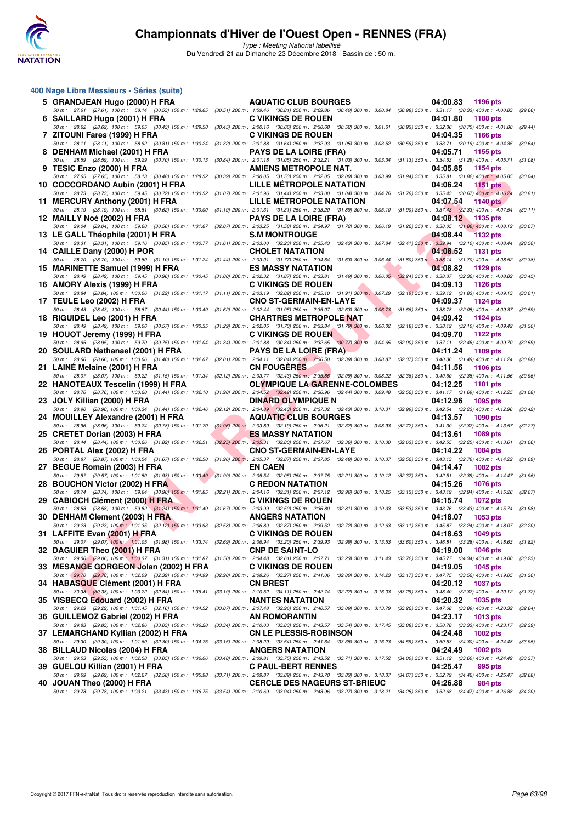

| 400 Nage Libre Messieurs - Séries (suite)                                                                                                                                                                                          |                                                                                                                                                                |                             |         |
|------------------------------------------------------------------------------------------------------------------------------------------------------------------------------------------------------------------------------------|----------------------------------------------------------------------------------------------------------------------------------------------------------------|-----------------------------|---------|
| 5 GRANDJEAN Hugo (2000) H FRA                                                                                                                                                                                                      | <b>AQUATIC CLUB BOURGES</b>                                                                                                                                    | 04:00.83<br>1196 pts        |         |
| 50 m: 27.61 (27.61) 100 m: 58.14 (30.53) 150 m: 1:28.65 (30.51) 200 m: 1:59.46 (30.81) 250 m: 2:29.86 (30.40) 300 m: 3:00.84 (30.98) 350 m: 3:31.17 (30.33) 400 m: 4:00.83<br>6 SAILLARD Hugo (2001) H FRA                         | <b>C VIKINGS DE ROUEN</b>                                                                                                                                      | 04:01.80<br><b>1188 pts</b> | (29.66) |
| 50 m : 28.62 (28.62) 100 m : 59.05 (30.43) 150 m : 1:29.50<br>7 ZITOUNI Fares (1999) H FRA                                                                                                                                         | (30.45) 200 m : 2:00.16 (30.66) 250 m : 2:30.68 (30.52) 300 m : 3:01.61 (30.93) 350 m : 3:32.36 (30.75) 400 m : 4:01.80 (29.44)<br><b>C VIKINGS DE ROUEN</b>   | 04:04.35<br>1166 pts        |         |
| 50 m: 28.11 (28.11) 100 m: 58.92 (30.81) 150 m: 1:30.24 (31.32) 200 m: 2:01.88 (31.64) 250 m: 2:32.93 (31.05) 300 m: 3:03.52 (30.59) 350 m: 3:33.71 (30.19) 400 m: 4:04.35                                                         |                                                                                                                                                                |                             | (30.64) |
| 8 DENHAM Michael (2001) H FRA<br>50 m: 28.59 (28.59) 100 m: 59.29 (30.70) 150 m: 1:30.13                                                                                                                                           | <b>PAYS DE LA LOIRE (FRA)</b><br>(30.84) 200 m : 2:01.18 (31.05) 250 m : 2:32.21 (31.03) 300 m : 3:03.34 (31.13) 350 m : 3:34.63 (31.29) 400 m : 4:05.71       | 04:05.71<br>1155 pts        | (31.08) |
| 9 TESIC Enzo (2000) H FRA                                                                                                                                                                                                          | <b>AMIENS METROPOLE NAT.</b>                                                                                                                                   | 04:05.85<br>1154 pts        |         |
| 50 m : 27.65 (27.65) 100 m : 58.13 (30.48) 150 m : 1:28.52 (30.39) 200 m : 2:00.05 (31.53) 250 m : 2:32.05 (32.00) 300 m : 3:03.99 (31.94) 350 m : 3:35.81 (31.82) 400 m : 4:05.85<br>10 COCCORDANO Aubin (2001) H FRA             | LILLE METROPOLE NATATION                                                                                                                                       | 04:06.24<br><b>1151 pts</b> | (30.04) |
| 50 m : 28.73 (28.73) 100 m : 59.45 (30.72) 150 m : 1:30.52 (31.07) 200 m : 2:01.96 (31.44) 250 m : 2:33.00 (31.04) 300 m : 3:04.76 (31.76) 350 m : 3:35.43 (30.67) 400 m : 4:06.24                                                 |                                                                                                                                                                |                             | (30.81) |
| 11 MERCURY Anthony (2001) H FRA<br>50 m: 28.19 (28.19) 100 m: 58.81 (30.62) 150 m: 1:30.00 (31.19) 200 m: 2:01.31 (31.31) 250 m: 2:33.20 (31.89) 300 m: 3:05.10 (31.90) 350 m: 3:37.43 (32.33) 400 m: 4:07.54                      | LILLE METROPOLE NATATION                                                                                                                                       | 04:07.54<br><b>1140 pts</b> | (30.11) |
| 12 MAILLY Noé (2002) H FRA<br>50 m: 29.04 (29.04) 100 m: 59.60 (30.56) 150 m: 1:31.67 (32.07) 200 m: 2:03.25 (31.58) 250 m: 2:34.97 (31.72) 300 m: 3:06.19 (31.22) 350 m: 3:38.05 (31.66) 400 m: 4:08.12                           | <b>PAYS DE LA LOIRE (FRA)</b>                                                                                                                                  | 04:08.12<br>1135 pts        | (30.07) |
| 13 LE GALL Théophile (2001) H FRA                                                                                                                                                                                                  | <b>S.M MONTROUGE</b>                                                                                                                                           | 04:08.44<br><b>1132 pts</b> |         |
| 50 m: 28.31 (28.31) 100 m: 59.16 (30.85) 150 m: 1:30.77 (31.61) 200 m: 2:03.00 (32.23) 250 m: 2:35.43 (32.43) 300 m: 3:07.84 (32.41) 350 m: 3:39.94 (32.10) 400 m: 4:08.44<br>14 CAILLE Dany (2000) H POR                          | <b>CHOLET NATATION</b>                                                                                                                                         | 04:08.52<br><b>1131 pts</b> | (28.50) |
| 50 m : 28.70 (28.70) 100 m : 59.80 (31.10) 150 m : 1:31.24 (31.44) 200 m : 2:03.01 (31.77) 250 m : 2:34.64 (31.63) 300 m : 3:06.44 (31.80) 350 m : 3:38.14 (31.70) 400 m : 4:08.52                                                 |                                                                                                                                                                |                             | (30.38) |
| 15 MARINETTE Samuel (1999) H FRA<br>50 m : 28.49 (28.49) 100 m : 59.45 (30.96) 150 m : 1:30.45 (31.00) 200 m : 2:02.32 (31.87) 250 m : 2:33.81 (31.49) 300 m : 3:06.05 (32.24) 350 m : 3:38.37 (32.32) 400 m : 4:08.82             | <b>ES MASSY NATATION</b>                                                                                                                                       | 04:08.82<br>1129 pts        | (30.45) |
| 16 AMORY Alexis (1999) H FRA<br>50 m: 28.84 (28.84) 100 m: 1:00.06 (31.22) 150 m: 1:31.17 (31.11) 200 m: 2:03.19 (32.02) 250 m: 2:35.10 (31.91) 300 m: 3:07.29 (32.19) 350 m: 3:39.12 (31.83) 400 m: 4:09.13                       | <b>C VIKINGS DE ROUEN</b>                                                                                                                                      | 04:09.13<br>1126 pts        | (30.01) |
| 17 TEULE Leo (2002) H FRA                                                                                                                                                                                                          | <b>CNO ST-GERMAIN-EN-LAYE</b>                                                                                                                                  | 04:09.37<br>1124 pts        |         |
| 50 m : 28.43 (28.43) 100 m : 58.87 (30.44) 150 m : 1:30.49 (31.62) 200 m : 2:02.44 (31.95) 250 m : 2:35.07 (32.63) 300 m : 3:06.73 (31.66) 350 m : 3:38.78 (32.05) 400 m : 4:09.37<br>18 RIGUIDEL Leo (2001) H FRA                 | <b>CHARTRES METROPOLE NAT</b>                                                                                                                                  | 04:09.42<br><b>1124 pts</b> | (30.59) |
| 50 m : 28.49 (28.49) 100 m : 59.06 (30.57) 150 m : 1:30.35 (31.29) 200 m : 2:02.05 (31.70) 250 m : 2:33.84 (31.79) 300 m : 3:06.02 (32.18) 350 m : 3:38.12 (32.10) 400 m : 4:09.42 (31.30)                                         |                                                                                                                                                                |                             |         |
| 19 HOUOT Jeremy (1999) H FRA<br>50 m: 28.95 (28.95) 100 m: 59.70 (30.75) 150 m: 1:31.04 (31.34) 200 m: 2:01.88 (30.84) 250 m: 2:32.65 (30.77) 300 m: 3:04.65 (32.00) 350 m: 3:37.11 (32.46) 400 m: 4:09.70                         | <b>C VIKINGS DE ROUEN</b>                                                                                                                                      | 04:09.70<br>1122 pts        | (32.59) |
| 20 SOULARD Nathanael (2001) H FRA<br>50 m: 28.66 (28.66) 100 m: 1:00.06 (31.40) 150 m: 1:32.07 (32.01) 200 m: 2:04.11 (32.04) 250 m 2:36.50 (32.39) 300 m: 3:08.87 (32.37) 350 m: 3:40.36 (31.49) 400 m: 4:11.24                   | <b>PAYS DE LA LOIRE (FRA)</b>                                                                                                                                  | 04:11.24<br>1109 pts        | (30.88) |
| 21 LAINE Melaine (2001) H FRA                                                                                                                                                                                                      | <b>CN FOUGERES</b>                                                                                                                                             | 04:11.56<br>1106 pts        |         |
| 50 m : 28.07 (28.07) 100 m : 59.22 (31.15) 150 m : 1:31.34 (32.12) 200 m : 2:03.77 (32.43) 250 m : 2:35.86 (32.09) 300 m : 3:08.22 (32.36) 350 m : 3:40.60 (32.38) 400 m : 4:11.56<br>22 HANOTEAUX Tescelin (1999) H FRA           | <b>OLYMPIQUE LA GARENNE-COLOMBES</b>                                                                                                                           | 04:12.25<br>1101 pts        | (30.96) |
| 50 m: 28.76 (28.76) 100 m: 1:00.20 (31.44) 150 m: 1:32.10 (31.90) 200 m: 2:04.52 (32.42) 250 m: 2:36.96 (32.44) 300 m: 3:09.48 (32.52) 350 m: 3:41.17 (31.69) 400 m: 4:12.25<br>23 JOLY Killian (2000) H FRA                       | <b>DINARD OLYMPIQUE N</b>                                                                                                                                      | 04:12.96<br>1095 pts        | (31.08) |
| 50 m : 28.90 (28.90) 100 m : 1:00.34 (31.44) 150 m : 1:32.46                                                                                                                                                                       | (32.12) 200 m : 2:04.89 (32.43) 250 m : 2:37.32 (32.43) 300 m : 3:10.31 (32.99) 350 m : 3:42.54 (32.23) 400 m : 4:12.96                                        |                             | (30.42) |
| 24 MOUILLEY Alexandre (2001) H FRA<br>50 m: 28.96 (28.96) 100 m: 59.74 (30.78) 150 m: 1:31.70                                                                                                                                      | <b>AQUATIC CLUB BOURGES</b><br>(31.96) 200 m : 2:03.89 (32.19) 250 m : 2:36.21 (32.32) 300 m : 3:08.93 (32.72) 350 m : 3:41.30 (32.37) 400 m : 4:13.57 (32.27) | 04:13.57<br><b>1090 pts</b> |         |
| 25 CRETET Dorian (2003) H FRA<br>50 m : 28.44 (28.44) 100 m : 1:00.26 (31.82) 150 m : 1:32.51                                                                                                                                      | <b>ES MASSY NATATION</b><br>(32.25) 200 m : 2:05.31 (32.80) 250 m : 2:37.67 (32.36) 300 m : 3:10.30 (32.63) 350 m : 3:42.55 (32.25) 400 m : 4:13.61 (31.06)    | 04:13.61<br>1089 pts        |         |
| 26 PORTAL Alex (2002) H FRA                                                                                                                                                                                                        | <b>CNO ST-GERMAIN-EN-LAYE</b>                                                                                                                                  | 04:14.22<br>1084 pts        |         |
| 50 m : 28.87 (28.87) 100 m : 1:00.54 (31.67) 150 m : 1:32.50 (31.96) 200 m : 2:05.37 (32.87) 250 m : 2:37.85 (32.48) 300 m : 3:10.37 (32.52) 350 m : 3:43.13 (32.76) 400 m : 4:14.22<br>27 BEGUE Romain (2003) H FRA               | <b>EN CAEN</b>                                                                                                                                                 | 04:14.47<br><b>1082 pts</b> | (31.09) |
| 50 m : 29.57 (29.57) 100 m : 1:01.50 (31.93) 150 m : 1:33.49 (31.99) 200 m : 2:05.54 (32.05) 250 m : 2:37.75 (32.21) 300 m : 3:10.12 (32.37) 350 m : 3:42.51 (32.39) 400 m : 4:14.47 (31.96)                                       |                                                                                                                                                                |                             |         |
| 28 BOUCHON Victor (2002) H FRA<br>50 m: 28.74 (28.74) 100 m: 59.64 (30.90) 150 m: 1:31.85 (32.21) 200 m: 2:04.16 (32.31) 250 m: 2:37.12 (32.96) 300 m: 3:10.25 (33.13) 350 m: 3:43.19 (32.94) 400 m: 4:15.26 (32.07)               | <b>C REDON NATATION</b>                                                                                                                                        | 04:15.26<br><b>1076 pts</b> |         |
| 29 CABIOCH Clément (2000) H FRA<br>50 m : 28.58 (28.58) 100 m : 59.82 (31.24) 150 m : 1;31.49 (31.67) 200 m : 2:03.99 (32.50) 250 m : 2:36.80 (32.81) 300 m : 3:10.33 (33.53) 350 m : 3:43.76 (33.43) 400 m : 4:15.74 (31.98)      | <b>C VIKINGS DE ROUEN</b>                                                                                                                                      | 04:15.74<br><b>1072 pts</b> |         |
| 30 DENHAM Clement (2003) H FRA                                                                                                                                                                                                     | <b>ANGERS NATATION</b>                                                                                                                                         | 04:18.07<br>1053 pts        |         |
| 50 m : 29.23 (29.23) 100 m : 1:01.35 (32.12) 150 m : 1:33.93 (32.58) 200 m : 2:06.80 (32.87) 250 m : 2:39.52 (32.72) 300 m : 3:12.63 (33.11) 350 m : 3:45.87 (33.24) 400 m : 4:18.07<br>31 LAFFITE Evan (2001) H FRA               | <b>C VIKINGS DE ROUEN</b>                                                                                                                                      | 04:18.63<br>1049 pts        | (32.20) |
| 50 m : 29.07 (29.07) 100 m : 1:01.05 (31.98) 150 m : 1:33.74 (32.69) 200 m : 2:06.94 (33.20) 250 m : 2:39.93 (32.99) 300 m : 3:13.53 (33.60) 350 m : 3:46.81 (33.28) 400 m : 4:18.63 (31.82)<br>32 DAGUIER Theo (2001) H FRA       | <b>CNP DE SAINT-LO</b>                                                                                                                                         | 04:19.00                    |         |
| 50 m: 29.06 (29.06) 100 m: 1:00.37 (31.31) 150 m: 1:31.87 (31.50) 200 m: 2:04.48 (32.61) 250 m: 2:37.71 (33.23) 300 m: 3:11.43 (33.72) 350 m: 3:45.77 (34.34) 400 m: 4:19.00 (33.23)                                               |                                                                                                                                                                | <b>1046 pts</b>             |         |
| 33 MESANGE GORGEON Jolan (2002) H FRA<br>50 m: 29.70 (29.70) 100 m: 1:02.09 (32.39) 150 m: 1:34.99 (32.90) 200 m: 2:08.26 (33.27) 250 m: 2:41.06 (32.80) 300 m: 3:14.23 (33.17) 350 m: 3:47.75 (33.52) 400 m: 4:19.05 (31.30)      | <b>C VIKINGS DE ROUEN</b>                                                                                                                                      | 04:19.05<br>1045 pts        |         |
| 34 HABASQUE Clément (2001) H FRA                                                                                                                                                                                                   | <b>CN BREST</b>                                                                                                                                                | 04:20.12<br><b>1037 pts</b> |         |
| 50 m : 30.38 (30.38) 100 m : 1:03.22 (32.84) 150 m : 1:36.41<br>35 VISBECQ Edouard (2002) H FRA                                                                                                                                    | (33.19) 200 m: 2:10.52 (34.11) 250 m: 2:42.74 (32.22) 300 m: 3:16.03 (33.29) 350 m: 3:48.40 (32.37) 400 m: 4:20.12 (31.72)<br><b>NANTES NATATION</b>           | 04:20.32<br>1035 pts        |         |
| 50 m: 29.29 (29.29) 100 m: 1:01.45 (32.16) 150 m: 1:34.52 (33.07) 200 m: 2:07.48 (32.96) 250 m: 2:40.57 (33.09) 300 m: 3:13.79 (33.22) 350 m: 3:47.68 (33.89) 400 m: 4:20.32 (32.64)<br>36 GUILLEMOZ Gabriel (2002) H FRA          | AN ROMORANTIN                                                                                                                                                  | 04:23.17<br>1013 pts        |         |
| 50 m : 29.83 (29.83) 100 m : 1:02.86 (33.03) 150 m : 1:36.20 (33.34) 200 m : 2:10.03 (33.83) 250 m : 2:43.57 (33.54) 300 m : 3:17.45 (33.88) 350 m : 3:50.78 (33.33) 400 m : 4:23.17 (32.39)                                       |                                                                                                                                                                |                             |         |
| 37 LEMARCHAND Kyllian (2002) H FRA<br>50 m : 29.30 (29.30) 100 m : 1:01.60 (32.30) 150 m : 1:34.75 (33.15) 200 m : 2:08.29 (33.54) 250 m : 2:41.64 (33.35) 300 m : 3:16.23 (34.59) 350 m : 3:50.53 (34.30) 400 m : 4:24.48 (33.95) | <b>CN LE PLESSIS-ROBINSON</b>                                                                                                                                  | 04:24.48<br>1002 pts        |         |
| 38 BILLAUD Nicolas (2004) H FRA<br>50 m : 29.53 (29.53) 100 m : 1:02.58 (33.05) 150 m : 1:36.06 (33.48) 200 m : 2:09.81 (33.75) 250 m : 2:43.52 (33.71) 300 m : 3:17.52 (34.00) 350 m : 3:51.12 (33.60) 400 m : 4:24.49 (33.37)    | <b>ANGERS NATATION</b>                                                                                                                                         | 04:24.49<br>1002 pts        |         |
| 39 GUELOU Killian (2001) H FRA                                                                                                                                                                                                     | <b>C PAUL-BERT RENNES</b>                                                                                                                                      | 04:25.47<br>995 pts         |         |
| 50 m : 29.69 (29.69) 100 m : 1:02.27 (32.58) 150 m : 1:35.98 (33.71) 200 m : 2:09.87 (33.89) 250 m : 2:43.70 (33.83) 300 m : 3:18.37 (34.67) 350 m : 3:52.79 (34.42) 400 m : 4:25.47 (32.68)<br>40 JOUAN Theo (2000) H FRA         | <b>CERCLE DES NAGEURS ST-BRIEUC</b>                                                                                                                            | 04:26.88<br>984 pts         |         |
| 50 m: 29.78 (29.78) 100 m: 1:03.21 (33.43) 150 m: 1:36.75 (33.54) 200 m: 2:10.69 (33.94) 250 m: 2:43.96 (33.27) 300 m: 3:18.21 (34.25) 350 m: 3:52.68 (34.47) 400 m: 4:26.88 (34.20)                                               |                                                                                                                                                                |                             |         |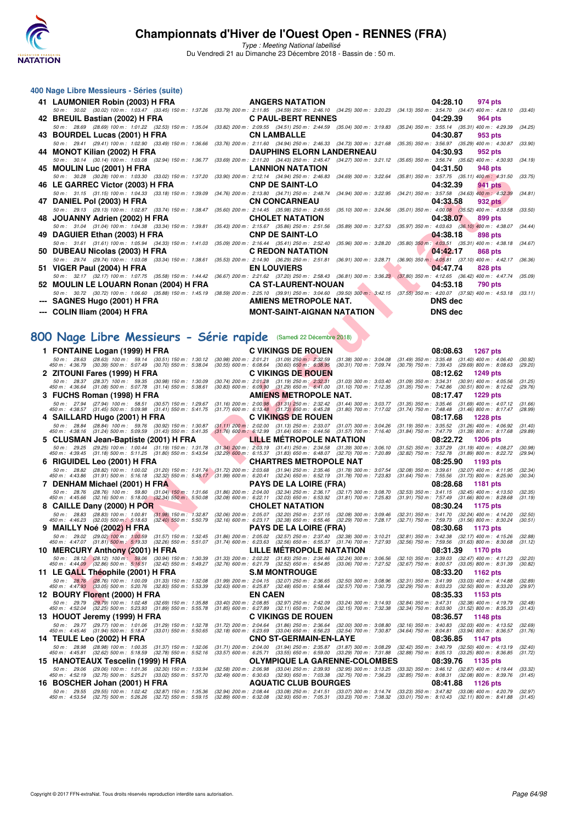

Type : Meeting National labellisé

Du Vendredi 21 au Dimanche 23 Décembre 2018 - Bassin de : 50 m.

| 400 Nage Libre Messieurs - Séries (suite)     |                                                                                                                                                                                      |                     |
|-----------------------------------------------|--------------------------------------------------------------------------------------------------------------------------------------------------------------------------------------|---------------------|
| 41 LAUMONIER Robin (2003) H FRA               | <b>ANGERS NATATION</b>                                                                                                                                                               | 04:28.10<br>974 pts |
|                                               | 50 m: 30.02 (30.02) 100 m: 1:03.47 (33.45) 150 m: 1:37.26 (33.79) 200 m: 2:11.85 (34.59) 250 m: 2:46.10 (34.25) 300 m: 3:20.23 (34.13) 350 m: 3:54.70 (34.47) 400 m: 4:28.10 (33.40  |                     |
|                                               | 42 BREUIL Bastian (2002) H FRA C PAUL-BERT RENNES                                                                                                                                    | 04:29.39<br>964 pts |
|                                               | 50 m: 28.69 (28.69) 100 m: 1:01.22 (32.53) 150 m: 1:35.04 (33.82) 200 m: 2:09.55 (34.51) 250 m: 2:44.59 (35.04) 300 m: 3:19.83 (35.24) 350 m: 3:55.14 (35.31) 400 m: 4:29.39 (34.25) |                     |
| 43 BOURDEL Lucas (2001) H FRA CN LAMBALLE     |                                                                                                                                                                                      | 04:30.87<br>953 pts |
|                                               | 50 m: 29.41 (29.41) 100 m: 1:02.90 (33.49) 150 m: 1:36.66 (33.76) 200 m: 2:11.60 (34.94) 250 m: 2:46.33 (34.73) 300 m: 3:21.68 (35.35) 350 m: 3:56.97 (35.29) 400 m: 4:30.87         | (33.90)             |
| 44 MONOT Kilian (2002) H FRA                  | <b>DAUPHINS ELORN LANDERNEAU</b>                                                                                                                                                     | 04:30.93<br>952 pts |
|                                               | 50 m: 30.14 (30.14) 100 m: 1:03.08 (32.94) 150 m: 1:36.77 (33.69) 200 m: 2:11.20 (34.43) 250 m: 2:45.47 (34.27) 300 m: 3:21.12 (35.65) 350 m: 3:56.74 (35.62) 400 m: 4:30.93         | (34.19)             |
| 45 MOULIN Luc (2001) H FRA LANNION NATATION   |                                                                                                                                                                                      | 04:31.50<br>948 pts |
|                                               | 50 m: 30.28 (30.28) 100 m: 1:03.30 (33.02) 150 m: 1:37.20 (33.90) 200 m: 2:12.14 (34.94) 250 m: 2:46.83 (34.69) 300 m: 3:22.64 (35.81) 350 m: 3:57.75 (35.11) 400 m: 4:31.50         | (33.75)             |
|                                               |                                                                                                                                                                                      | 04:32.39<br>941 pts |
|                                               | 50 m: 31.15 (31.15) 100 m: 1:04.33 (33.18) 150 m: 1:39.09 (34.76) 200 m: 2:13.80 (34.71) 250 m: 2:48.74 (34.94) 300 m: 3:22.95 (34.21) 350 m: 3:57.58 (34.63) 400 m: 4:32.39         | (34.81)             |
| 47 DANIEL Pol (2003) H FRA                    | CN CONCARNEAU                                                                                                                                                                        | 04:33.58<br>932 pts |
|                                               | 50 m: 29.13 (29.13) 100 m: 1:02.87 (33.74) 150 m: 1:38.47 (35.60) 200 m: 2:14.45 (35.98) 250 m: 2:49.55 (35.10) 300 m: 3:24.56 (35.01) 350 m: 4:00.08 (35.52) 400 m: 4:33.58         | (33.50)             |
|                                               |                                                                                                                                                                                      | 04:38.07<br>899 pts |
|                                               | 50 m: 31.04 (31.04) 100 m: 1:04.38 (33.34) 150 m: 1:39.81 (35.43) 200 m: 2:15.67 (35.86) 250 m: 2:51.56 (35.89) 300 m: 3:27.53 (35.97) 350 m: 4:03.63 (36.10) 400 m: 4:38.07 (34.44) |                     |
| 49 DAGUIER Ethan (2003) H FRA CNP DE SAINT-LO |                                                                                                                                                                                      | 04:38.18<br>898 pts |
|                                               | 50 m: 31.61 (31.61) 100 m: 1:05.94 (34.33) 150 m: 1:41.03 (35.09) 200 m: 2:16.44 (35.41) 250 m: 2:52.40 (35.96) 300 m: 3:28.20 (35.80) 350 m: 4:03.51 (35.31) 400 m: 4:38.18 (34.67) |                     |
|                                               |                                                                                                                                                                                      | 04:42.17<br>868 pts |
|                                               | 50 m: 29.74 (29.74) 100 m: 1:03.08 (33.34) 150 m: 1:38.61 (35.53) 200 m: 2:14.90 (36.29) 250 m: 2:51.81 (36.91) 300 m: 3:28.71 (36.90) 350 m: 4:05.81 (37.10) 400 m: 4:42.17         | (36.36)             |
| 51 VIGER Paul (2004) H FRA                    | <b>EN LOUVIERS</b>                                                                                                                                                                   | 04:47.74<br>828 pts |
|                                               | 50 m: 32.17 (32.17) 100 m: 1:07.75 (35.58) 150 m: 1:44.42 (36.67) 200 m: 2:21.62 (37.20) 250 m: 2:58.43 (36.81) 300 m: 3:36.23 (37.80) 350 m: 4:12.65 (36.42) 400 m: 4:47.74 (35.09) |                     |
|                                               | 52 MOULIN LE LOUARN Ronan (2004) H FRA CA ST-LAURENT-NOUAN                                                                                                                           | 04:53.18<br>790 pts |
|                                               | 50 m: 30.72 (30.72) 100 m: 1:06.60 (35.88) 150 m: 1:45.19 (38.59) 200 m: 2:25.10 (39.91) 250 m: 3:04.60 (39.50) 300 m: 3:42.15 (37.55) 350 m: 4:20.07 (37.92) 400 m: 4:53.18 (33.11) |                     |
| --- SAGNES Hugo (2001) H FRA                  |                                                                                                                                                                                      | DNS dec             |
|                                               | <b>AMIENS METROPOLE NAT.<br/>MONT-SAINT-AIGNAN NATATION</b>                                                                                                                          |                     |
| --- COLIN Iliam (2004) H FRA                  | MONT-SAINT-AIGNAN NATATION                                                                                                                                                           | <b>DNS</b> dec      |

#### **[800 Nage Libre Messieurs - Série rapide](http://www.ffnatation.fr/webffn/resultats.php?idact=nat&go=epr&idcpt=55947&idepr=55)** (Samedi 22 Décembre 2018)

|   | HJ MUULIN LUU (ZUUT) II FRA                                                                                                                                                                                                                             |                           | LAINNUN INATATIUN                                                                                                                                                                                                                                                                                      |                                                        | 04.JI.JU                                                                                                                                                                                        | อฯง pเจ                                                |                    |
|---|---------------------------------------------------------------------------------------------------------------------------------------------------------------------------------------------------------------------------------------------------------|---------------------------|--------------------------------------------------------------------------------------------------------------------------------------------------------------------------------------------------------------------------------------------------------------------------------------------------------|--------------------------------------------------------|-------------------------------------------------------------------------------------------------------------------------------------------------------------------------------------------------|--------------------------------------------------------|--------------------|
|   | 50 m: 30.28 (30.28) 100 m: 1:03.30 (33.02) 150 m: 1:37.20 (33.90) 200 m: 2:12.14 (34.94) 250 m: 2:46.83 (34.69) 300 m: 3:22.64 (35.81) 350 m: 3:57.75 (35.11) 400 m: 4:31.50                                                                            |                           |                                                                                                                                                                                                                                                                                                        |                                                        |                                                                                                                                                                                                 |                                                        | (33.75)            |
|   | 46 LE GARREC Victor (2003) H FRA                                                                                                                                                                                                                        |                           | <b>CNP DE SAINT-LO</b>                                                                                                                                                                                                                                                                                 |                                                        | 04:32.39                                                                                                                                                                                        | 941 pts                                                |                    |
|   | 50 m: 31.15 (31.15) 100 m: 1:04.33 (33.18) 150 m: 1:39.09<br>47   DANIEL Pol (2003) H FRA                                                                                                                                                               |                           | (34.76) 200 m : 2:13.80 (34.71) 250 m : 2:48.74<br><b>CN CONCARNEAU</b>                                                                                                                                                                                                                                | (34.94) 300 m : 3:22.95                                | (34.21) 350 m: 3:57.58 (34.63) 400 m: 4:32.39<br>04:33.58                                                                                                                                       | 932 pts                                                | (34.81)            |
|   | 50 m: 29.13 (29.13) 100 m: 1:02.87 (33.74) 150 m: 1:38.47                                                                                                                                                                                               |                           | (35.60) 200 m : 2:14.45 (35.98) 250 m : 2:49.55 (35.10) 300 m : 3:24.56 (35.01) 350 m : 4:00.08 (35.52) 400 m : 4:33.58                                                                                                                                                                                |                                                        |                                                                                                                                                                                                 |                                                        | (33.50)            |
|   | 48   JOUANNY Adrien (2002) H FRA                                                                                                                                                                                                                        |                           | <b>CHOLET NATATION</b>                                                                                                                                                                                                                                                                                 |                                                        | 04:38.07                                                                                                                                                                                        | 899 pts                                                |                    |
|   | 50 m: 31.04 (31.04) 100 m: 1:04.38 (33.34) 150 m: 1:39.81                                                                                                                                                                                               |                           | (35.43) 200 m : 2:15.67 (35.86) 250 m : 2:51.56                                                                                                                                                                                                                                                        | $(35.89)$ 300 m : 3:27.53                              | (35.97) 350 m : 4:03.63 (36.10) 400 m : 4:38.07                                                                                                                                                 |                                                        | (34.44)            |
|   | 49 DAGUIER Ethan (2003) H FRA                                                                                                                                                                                                                           |                           | <b>CNP DE SAINT-LO</b>                                                                                                                                                                                                                                                                                 |                                                        | 04:38.18                                                                                                                                                                                        | 898 pts                                                |                    |
|   | 50 m: 31.61 (31.61) 100 m: 1:05.94 (34.33) 150 m: 1:41.03 (35.09) 200 m: 2:16.44 (35.41) 250 m: 2:52.40                                                                                                                                                 |                           |                                                                                                                                                                                                                                                                                                        | $(35.96)$ 300 m : 3:28.20                              | $(35.80)$ 350 m : 4:03.51 $(35.31)$ 400 m : 4:38.18                                                                                                                                             |                                                        | (34.67)            |
|   | 50   DUBEAU Nicolas (2003) H FRA<br>50 m : 29.74 (29.74) 100 m : 1:03.08 (33.34) 150 m : 1:38.61 (35.53) 200 m : 2:14.90 (36.29) 250 m : 2:51.81                                                                                                        |                           | C REDON NATATION                                                                                                                                                                                                                                                                                       | $(36.91)$ 300 m : 3:28.71                              | 04:42.17<br>$(36.90)$ 350 m : 4:05.81 $(37.10)$ 400 m : 4:42.17                                                                                                                                 | 868 pts                                                | (36.36)            |
|   | 51 VIGER Paul (2004) H FRA                                                                                                                                                                                                                              |                           | <b>EN LOUVIERS</b>                                                                                                                                                                                                                                                                                     |                                                        | 04:47.74                                                                                                                                                                                        | 828 pts                                                |                    |
|   | 50 m: 32.17 (32.17) 100 m: 1:07.75 (35.58) 150 m: 1:44.42 (36.67) 200 m: 2:21.62 (37.20) 250 m: 2:58.43 (36.81) 300 m: 3:36.23 (37.80) 350 m: 4:12.65 (36.42) 400 m: 4:47.74                                                                            |                           |                                                                                                                                                                                                                                                                                                        |                                                        |                                                                                                                                                                                                 |                                                        | (35.09)            |
|   | 52   MOULIN LE LOUARN Ronan (2004) H FRA                                                                                                                                                                                                                |                           | <b>CA ST-LAURENT-NOUAN</b>                                                                                                                                                                                                                                                                             |                                                        | 04:53.18                                                                                                                                                                                        | 790 pts                                                |                    |
|   | 50 m : 30.72 (30.72) 100 m : 1:06.60 (35.88) 150 m : 1:45.19 (38.59) 200 m : 2:25.10 (39.91) 250 m : 3:04.60 (39.50) 300 m : 3:42.15 (37.55) 350 m : 4:20.07 (37.92) 400 m : 4:53.18 (33.11)                                                            |                           |                                                                                                                                                                                                                                                                                                        |                                                        |                                                                                                                                                                                                 |                                                        |                    |
|   | ---   SAGNES Hugo (2001) H FRA                                                                                                                                                                                                                          |                           | AMIENS METROPOLE NAT.                                                                                                                                                                                                                                                                                  |                                                        | <b>DNS</b> dec                                                                                                                                                                                  |                                                        |                    |
|   | --- COLIN Iliam (2004) H FRA                                                                                                                                                                                                                            |                           | <b>MONT-SAINT-AIGNAN NATATION</b>                                                                                                                                                                                                                                                                      |                                                        | <b>DNS dec</b>                                                                                                                                                                                  |                                                        |                    |
|   |                                                                                                                                                                                                                                                         |                           |                                                                                                                                                                                                                                                                                                        |                                                        |                                                                                                                                                                                                 |                                                        |                    |
|   | 00 Nage Libre Messieurs - Série rapide (Samedi 22 Décembre 2018)                                                                                                                                                                                        |                           |                                                                                                                                                                                                                                                                                                        |                                                        |                                                                                                                                                                                                 |                                                        |                    |
|   |                                                                                                                                                                                                                                                         |                           |                                                                                                                                                                                                                                                                                                        |                                                        |                                                                                                                                                                                                 |                                                        |                    |
|   | 1 FONTAINE Logan (1999) H FRA                                                                                                                                                                                                                           |                           | <b>C VIKINGS DE ROUEN</b>                                                                                                                                                                                                                                                                              |                                                        | 08:08.63                                                                                                                                                                                        | <b>1267 pts</b>                                        |                    |
|   | 50 m: 28.63 (28.63) 100 m: 59.14 (30.51) 150 m: 1:30.12<br>450 m : 4:36.79 (30.39) 500 m : 5:07.49 (30.70) 550 m : 5:38.04                                                                                                                              | $(30.98)$ 200 m : 2:01.21 | $(31.09)$ 250 m : 2:32.59<br>$(30.55)$ 600 m : 6:08.64 $(30.60)$ 650 m : 6:38.95                                                                                                                                                                                                                       | $(31.38)$ 300 m : 3:04.08<br>$(30.31)$ 700 m : 7:09.74 | $(31.49)$ 350 m : 3:35.48 $(31.40)$ 400 m : 4:06.40<br>(30.79) 750 m : 7:39.43 (29.69) 800 m : 8:08.63                                                                                          |                                                        | (30.92)<br>(29.20) |
|   | 2 ZITOUNI Fares (1999) H FRA                                                                                                                                                                                                                            |                           | <b>C VIKINGS DE ROUEN</b>                                                                                                                                                                                                                                                                              |                                                        | 08:12.62                                                                                                                                                                                        | 1249 pts                                               |                    |
|   | 50 m : 28.37 (28.37) 100 m : 59.35<br>$(30.98)$ 150 m : 1:30.09<br>450 m : 4:36.64 (31.08) 500 m : 5:07.78<br>$(31.14)$ 550 m : 5:38.61                                                                                                                 |                           | (30.74) 200 m : 2:01.28 (31.19) 250 m : 2:32.31<br>$(30.83)$ 600 m : 6:09.90 $(31.29)$ 650 m : 6:41.00                                                                                                                                                                                                 | $(31.03)$ 300 m : 3:03.40<br>$(31.10)$ 700 m : 7:12.35 | (31.09) 350 m : 3:34.31<br>$(31.35)$ 750 m : 7:42.86 $(30.51)$ 800 m : 8:12.62                                                                                                                  | $(30.91)$ 400 m : 4:05.56                              | (31.25)<br>(29.76) |
|   | 3 FUCHS Roman (1998) H FRA                                                                                                                                                                                                                              |                           | AMIENS METROPOLE NAT.                                                                                                                                                                                                                                                                                  |                                                        | 08:17.47                                                                                                                                                                                        | 1229 pts                                               |                    |
|   | 50 m : 27.94 (27.94) 100 m : 58.51<br>$(30.57)$ 150 m : 1:29.67                                                                                                                                                                                         |                           | $(31.16)$ 200 m : 2:00.98 $(31.31)$ 250 m : 2:32.42<br>$(31.77)$ 600 m : 6:13.48 $(31.73)$ 650 m : 6:45.28                                                                                                                                                                                             | $(31.44)$ 300 m : 3:03.77                              | (31.35) 350 m: 3:35.46 (31.69) 400 m: 4:07.12                                                                                                                                                   |                                                        | (31.66)            |
|   | 450 m: 4:38.57 (31.45) 500 m: 5:09.98 (31.41) 550 m: 5:41.75                                                                                                                                                                                            |                           |                                                                                                                                                                                                                                                                                                        | $(31.80)$ 700 m : 7:17.02                              | (31.74) 750 m: 7:48.48 (31.46) 800 m: 8:17.47                                                                                                                                                   |                                                        | (28.99)            |
|   | 4 SAILLARD Hugo (2001) H FRA<br>50 m: 28.84 (28.84) 100 m: 59.76 (30.92) 150 m: 1:30.87                                                                                                                                                                 |                           | C VIKINGS DE ROUEN<br>$(31.11)$ 200 m : 2:02.00 $(31.13)$ 250 m : 2:33.07 $(31.07)$ 300 m : 3:04.26                                                                                                                                                                                                    |                                                        | 08:17.68<br>(31.19) 350 m: 3:35.52 (31.26) 400 m: 4:06.92                                                                                                                                       | <b>1228 pts</b>                                        | (31.40)            |
|   | 450 m : 4:38.16 (31.24) 500 m : 5:09.59<br>$(31.43)$ 550 m : 5:41.35                                                                                                                                                                                    |                           | $(31.76)$ 600 m : 6:12.99 $(31.64)$ 650 m : 6:44.56 $(31.57)$ 700 m : 7:16.40                                                                                                                                                                                                                          |                                                        | (31.84) 750 m: 7:47.79 (31.39) 800 m: 8:17.68                                                                                                                                                   |                                                        | (29.89)            |
|   | 5 CLUSMAN Jean-Baptiste (2001) H FRA                                                                                                                                                                                                                    |                           | <b>LILLE METROPOLE NATATION</b>                                                                                                                                                                                                                                                                        |                                                        | 08:22.72                                                                                                                                                                                        | <b>1206 pts</b>                                        |                    |
|   | 50 m: 29.25 (29.25) 100 m: 1:00.44 (31.19) 150 m: 1:31.78<br>450 m: 4:39.45 (31.18) 500 m: 5:11.25 (31.80) 550 m: 5:43.54                                                                                                                               |                           | $(31.34)$ 200 m : 2:03.19 $(31.41)$ 250 m : 2:34.58 $(31.39)$ 300 m : 3:06.10<br>$(32.29)$ 600 m : 6:15.37 $(31.83)$ 650 m : 6:48.07 $(32.70)$ 700 m : 7:20.89                                                                                                                                         |                                                        | (31.52) 350 m: 3:37.29 (31.19) 400 m: 4:08.27<br>(32.82) 750 m : 7:52.78 (31.89) 800 m : 8:22.72                                                                                                |                                                        | (30.98)<br>(29.94) |
|   | 6 RIGUIDEL Leo (2001) H FRA                                                                                                                                                                                                                             |                           | <b>CHARTRES METROPOLE NAT</b>                                                                                                                                                                                                                                                                          |                                                        | 08:25.90                                                                                                                                                                                        | 1193 pts                                               |                    |
|   | 50 m : 28.82 (28.82) 100 m : 1:00.02 (31.20) 150 m : 1:31.74 (31.72) 200 m : 2:03.68 (31.94) 250 m : 2:35.46 (31.78) 300 m : 3:07.54                                                                                                                    |                           |                                                                                                                                                                                                                                                                                                        |                                                        | $(32.08)$ 350 m : 3:39.61                                                                                                                                                                       | $(32.07)$ 400 m : 4:11.95                              | (32.34)            |
|   | 450 m : 4:43.86 (31.91) 500 m : 5:16.18 (32.32) 550 m : 5:48.17<br>7 DENHAM Michael (2001) H FRA                                                                                                                                                        |                           | (31.99) 600 m: 6:20.41 (32.24) 650 m: 6:52.19 (31.78) 700 m: 7:23.83<br><b>PAYS DE LA LOIRE (FRA)</b>                                                                                                                                                                                                  |                                                        | $(31.64)$ 750 m : 7:55.56 $(31.73)$ 800 m : 8:25.90<br>08:28.68                                                                                                                                 | <b>1181 pts</b>                                        | (30.34)            |
|   | 50 m: 28.76<br>(28.76) 100 m: 59.80 (31.04) 150 m: 1:31.66                                                                                                                                                                                              |                           | (31.86) 200 m : 2:04.00 (32.34) 250 m : 2:36.17 (32.17) 300 m : 3:08.70                                                                                                                                                                                                                                |                                                        | (32.53) 350 m: 3:41.15 (32.45) 400 m: 4:13.50                                                                                                                                                   |                                                        | (32.35)            |
|   | 450 m : 4:45.66 (32.16) 500 m : 5:18.00 (32.34) 550 m : 5:50.08                                                                                                                                                                                         |                           | (32.08) 600 m: 6:22.11 (32.03) 650 m: 6:53.92 (31.81) 700 m: 7:25.83                                                                                                                                                                                                                                   |                                                        | (31.91) 750 m : 7:57.49 (31.66) 800 m : 8:28.68                                                                                                                                                 |                                                        | (31.19)            |
|   | 8 CAILLE Dany (2000) H POR<br>50 m: 28.83 (28.83) 100 m: 1:00.81                                                                                                                                                                                        |                           | <b>CHOLET NATATION</b>                                                                                                                                                                                                                                                                                 |                                                        | 08:30.24<br>(32.31) 350 m : 3:41.70                                                                                                                                                             | <b>1175 pts</b>                                        |                    |
|   | $(31.98)$ 150 m : 1:32.87<br>$(32.03)$ 500 m $: 5:18.63$<br>450 m : 4:46.23<br>$(32.40)$ 550 m : 5:50.79                                                                                                                                                |                           | (32.06) 200 m: 2:05.07 (32.20) 250 m: 2:37.15<br>(32.16) 600 m: 6:23.17 (32.38) 650 m: 6:55.46                                                                                                                                                                                                         | $(32.08)$ 300 m : 3:09.46<br>$(32.29)$ 700 m : 7:28.17 | (32.71) 750 m : 7:59.73                                                                                                                                                                         | $(32.24)$ 400 m : 4:14.20<br>$(31.56)$ 800 m : 8:30.24 | (32.50)<br>(30.51) |
| 9 | MAILLY Noé (2002) H FRA                                                                                                                                                                                                                                 |                           | <b>PAYS DE LA LOIRE (FRA)</b>                                                                                                                                                                                                                                                                          |                                                        | 08:30.68                                                                                                                                                                                        | 1173 pts                                               |                    |
|   | 50 m : 29.02 (29.02) 100 m : 1:00.59<br>$(31.57)$ 150 m : 1:32.45<br>450 m : 4:47.07 (31.81) 500 m : 5:19.33<br>$(32.26)$ 550 m : 5:51.07                                                                                                               | $(31.74)$ 600 m : 6:23.63 | (31.86) 200 m : 2:05.02 (32.57) 250 m : 2:37.40<br>$(32.56)$ 650 m : 6:55.37                                                                                                                                                                                                                           | $(32.38)$ 300 m : 3:10.21<br>(31.74) 700 m : 7:27.93   | $(32.81)$ 350 m : 3:42.38<br>$(32.56)$ 750 m : 7:59.56                                                                                                                                          | $(32.17)$ 400 m : 4:15.26<br>$(31.63)$ 800 m : 8:30.68 | (32.88)<br>(31.12) |
|   | 10 MERCURY Anthony (2001) H FRA                                                                                                                                                                                                                         |                           | LILLE METROPOLE NATATION                                                                                                                                                                                                                                                                               |                                                        | 08:31.39                                                                                                                                                                                        | 1170 pts                                               |                    |
|   | 50 m: 28.12 (28.12) 100 m: 59.06 (30.94) 150 m: 1:30.39                                                                                                                                                                                                 |                           | (31.33) 200 m: 2:02.22 (31.83) 250 m: 2:34.46                                                                                                                                                                                                                                                          | $(32.24)$ 300 m : 3:06.56                              | $(32.10)$ 350 m : 3:39.03                                                                                                                                                                       | $(32.47)$ 400 m : 4:11.23                              | (32.20)            |
|   | 450 m : 4:44.09 (32.86) 500 m : 5:16.51 (32.42) 550 m : 5:49.27<br>11   LE GALL Théophile (2001) H FRA                                                                                                                                                  |                           | (32.76) 600 m: 6:21.79 (32.52) 650 m: 6:54.85<br><b>S.M MONTROUGE</b>                                                                                                                                                                                                                                  | $(33.06)$ 700 m : 7:27.52                              | (32.67) 750 m: 8:00.57 (33.05) 800 m: 8:31.39<br>08:33.20                                                                                                                                       | 1162 pts                                               | (30.82)            |
|   | 50 m: 28.76 (28.76) 100 m: 1:00.09 (31.33) 150 m: 1:32.08                                                                                                                                                                                               |                           | (31.99) 200 m : 2:04.15 (32.07) 250 m : 2:36.65                                                                                                                                                                                                                                                        | $(32.50)$ 300 m : 3:08.96                              | (32.31) 350 m : 3:41.99                                                                                                                                                                         | $(33.03)$ 400 m : 4:14.88                              | (32.89)            |
|   | 450 m : 4:47.93 (33.05) 500 m : 5:20.76<br>$(32.83)$ 550 m : 5:53.39                                                                                                                                                                                    |                           | (32.63) 600 m : 6:25.87 (32.48) 650 m : 6:58.44                                                                                                                                                                                                                                                        | $(32.57)$ 700 m : 7:30.73                              | $(32.29)$ 750 m : 8:03.23                                                                                                                                                                       | $(32.50)$ 800 m : 8:33.20                              | (29.97)            |
|   | 12 BOURY Florent (2000) H FRA                                                                                                                                                                                                                           |                           | <b>EN CAEN</b>                                                                                                                                                                                                                                                                                         |                                                        | 08:35.33                                                                                                                                                                                        | 1153 pts                                               |                    |
|   | 50 m : 29.79 (29.79) 100 m : 1:02.48 (32.69) 150 m : 1:35.88 (33.40) 200 m : 2:08.85 (32.97) 250 m : 2:42.09 (33.24) 300 m : 3:14.93 (32.84) 350 m : 3:47.31 (32.38) 400 m : 4:19.79<br>450 m : 4:52.04 (32.25) 500 m : 5:23.93 (31.89) 550 m : 5:55.78 |                           | (31.85) 600 m : 6:27.89 (32.11) 650 m : 7:00.04 (32.15) 700 m : 7:32.38                                                                                                                                                                                                                                |                                                        | (32.34) 750 m : 8:03.90 (31.52) 800 m : 8:35.33                                                                                                                                                 |                                                        | (32.48)<br>(31.43) |
|   | 13 HOUOT Jeremy (1999) H FRA                                                                                                                                                                                                                            |                           | <b>C VIKINGS DE ROUEN</b>                                                                                                                                                                                                                                                                              |                                                        | 08:36.57                                                                                                                                                                                        | 1148 pts                                               |                    |
|   | 50 m : 29.77 (29.77) 100 m : 1:01.06 (31.29) 150 m : 1:32.78<br>450 m : 4:45.46 (31.94) 500 m : 5:18.47 (33.01) 550 m : 5:50.65                                                                                                                         |                           | $\begin{array}{cccc} (31.72) \ 200 \ m \ \vdots \ 2.04.64 & (31.86) \ 250 \ m \ \vdots \ 2.36.64 \\ (32.18) \ 600 \ m \ \vdots \ 6.23.69 & (33.04) \ 650 \ m \ \vdots \ 6.56.23 \end{array}$                                                                                                           | $(32.00)$ 300 m : 3:08.80<br>(32.54) 700 m : 7:30.87   | $\begin{array}{lll} (32.16) \ 350 \ m \colon \ 3:40.83 \quad \ (32.03) \ 400 \ m \colon \ 4:13.52 \\ (34.64) \ 750 \ m \colon \ 8:04.81 \quad \ (33.94) \ 800 \ m \colon \ 8:36.57 \end{array}$ |                                                        | (32.69)<br>(31.76) |
|   | 14   TEULE Leo (2002) H FRA                                                                                                                                                                                                                             |                           | <b>CNO ST-GERMAIN-EN-LAYE</b>                                                                                                                                                                                                                                                                          |                                                        | 08:36.85                                                                                                                                                                                        | 1147 pts                                               |                    |
|   | 50 m : 28.98 (28.98) 100 m : 1:00.35 (31.37) 150 m : 1:32.06<br>450 m : 4:45.81 (32.62) 500 m : 5:18.59 (32.78) 550 m : 5:52.16                                                                                                                         |                           | $\begin{array}{cccc} (31.71) \ 200 \ m \colon \ 2.04.00 \quad \  \  (31.94) \ 250 \ m \colon \ 2.35.87 \quad \  \  (31.87) \ 300 \ m \colon \ 3.08.29 \\ (33.57) \ 600 \ m \colon \ 6.25.71 \quad \  \  (33.55) \ 650 \ m \colon \ 6.59.00 \quad \  \  (33.29) \ 700 \ m \colon \ 7.31.88 \end{array}$ |                                                        | (32.42) 350 m: 3:40.79 (32.50) 400 m: 4:13.19                                                                                                                                                   |                                                        | (32.40)            |
|   |                                                                                                                                                                                                                                                         |                           |                                                                                                                                                                                                                                                                                                        |                                                        | (32.88) 750 m : 8:05.13 (33.25) 800 m : 8:36.85                                                                                                                                                 |                                                        | (31.72)            |
|   | 15   HANOTEAUX Tescelin (1999) H FRA                                                                                                                                                                                                                    |                           | <b>OLYMPIQUE LA GARENNE-COLOMBES</b>                                                                                                                                                                                                                                                                   |                                                        | 08:39.76<br>(33.32) 350 m : 3:46.12 (32.87) 400 m : 4:19.44                                                                                                                                     | 1135 pts                                               | (33.32)            |
|   | 50 m : 29.06 (29.06) 100 m : 1:01.36 (32.30) 150 m : 1:33.94<br>450 m : 4:52.19 (32.75) 500 m : 5:25.21 (33.02) 550 m : 5:57.70                                                                                                                         |                           | $\begin{array}{cccc} (32.58) \ 200 \ m \ \vdots \ \ 2.06.98 \ \ (33.04) \ 250 \ m \ \vdots \ \ 2.39.93 \ \ (32.95) \ 300 \ m \ \vdots \ \ 3.13.25 \\ (32.49) \ 600 \ m \ \vdots \ \ 6.30.63 \ \ (32.93) \ 650 \ m \ \vdots \ \ 7.03.38 \ \ (32.75) \ 700 \ m \ \vdots \ \ 7.36.23 \end{array}$         |                                                        | (32.85) 750 m: 8:08.31 (32.08) 800 m: 8:39.76                                                                                                                                                   |                                                        | (31.45)            |
|   | 16 BOSCHER Johan (2001) H FRA                                                                                                                                                                                                                           |                           | <b>AQUATIC CLUB BOURGES</b>                                                                                                                                                                                                                                                                            |                                                        | 08:41.88                                                                                                                                                                                        | <b>1126 pts</b>                                        |                    |
|   | 50 m: 29.55 (29.55) 100 m: 1:02.42 (32.87) 150 m: 1:35.36<br>450 m : 4:53.54 (32.75) 500 m : 5:26.26 (32.72) 550 m : 5:59.15                                                                                                                            |                           | (32.94) 200 m: 2:08.44 (33.08) 250 m: 2:41.51 (33.07) 300 m: 3:14.74<br>(32.89) 600 m : 6:32.08 (32.93) 650 m : 7:05.31 (33.23) 700 m : 7:38.32                                                                                                                                                        |                                                        | $(33.23)$ 350 m : 3:47.82 $(33.08)$ 400 m : 4:20.79<br>$(33.01)$ 750 m : 8:10.43 $(32.11)$ 800 m : 8:41.88                                                                                      |                                                        | (32.97)<br>(31.45) |
|   |                                                                                                                                                                                                                                                         |                           |                                                                                                                                                                                                                                                                                                        |                                                        |                                                                                                                                                                                                 |                                                        |                    |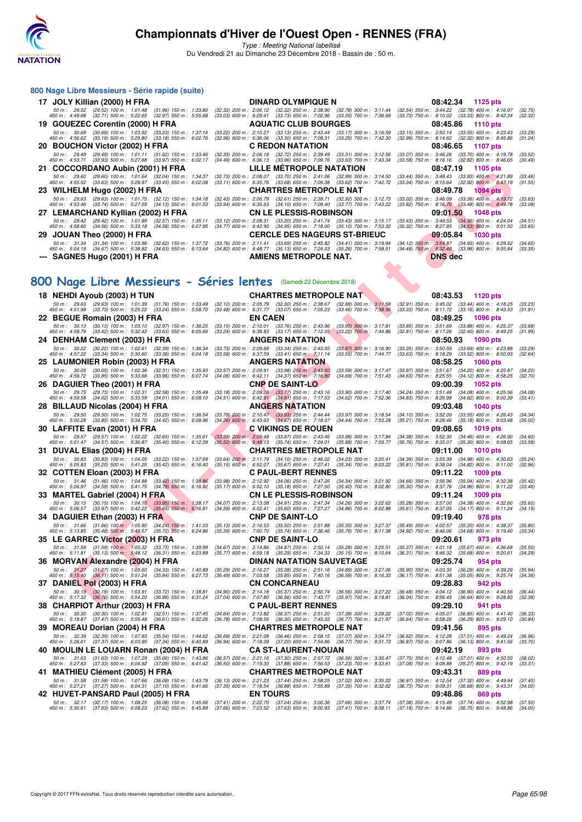

Type : Meeting National labellisé Du Vendredi 21 au Dimanche 23 Décembre 2018 - Bassin de : 50 m.

| 800 Nage Libre Messieurs - Série rapide (suite)                                                                                                                                                                                                                                 |                                                                         |                                                                                                                                                                                                                                                                                                                                       |
|---------------------------------------------------------------------------------------------------------------------------------------------------------------------------------------------------------------------------------------------------------------------------------|-------------------------------------------------------------------------|---------------------------------------------------------------------------------------------------------------------------------------------------------------------------------------------------------------------------------------------------------------------------------------------------------------------------------------|
| 17 JOLY Killian (2000) H FRA                                                                                                                                                                                                                                                    | <b>DINARD OLYMPIQUE N</b>                                               | 08:42.34<br>1125 pts                                                                                                                                                                                                                                                                                                                  |
| 450 m : 4:49.68 (32.71) 500 m : 5:22.65 (32.97) 550 m : 5:55.68                                                                                                                                                                                                                 |                                                                         | 50 m : 29.52 (29.52) 100 m : 1:01.48 (31.96) 150 m : 1:33.80 (32.32) 200 m : 2:06.12 (32.32) 250 m : 2:38.90 (32.78) 300 m : 3:11.44 (32.54) 350 m : 3:44.22 (32.78) 400 m : 4:16.97<br>(32.75)<br>(33.03) 600 m : 6:29.41 (33.73) 650 m : 7:02.96 (33.55) 700 m : 7:36.69 (33.73) 750 m : 8:10.02 (33.33) 800 m : 8:42.34<br>(32.32) |
| 19 GOUEZEC Corentin (2000) H FRA                                                                                                                                                                                                                                                | <b>AQUATIC CLUB BOURGES</b>                                             | 08:45.86<br>1110 $pts$                                                                                                                                                                                                                                                                                                                |
| 50 m: 30.69 (30.69) 100 m: 1:03.92 (33.23) 150 m: 1:37.14 (33.22) 200 m: 2:10.27 (33.13) 250 m: 2:43.44 (33.17) 300 m: 3:16.59<br>450 m : 4:56.62 (33.19) 500 m : 5:29.80 (33.18) 550 m : 6:02.76 (32.96) 600 m : 6:36.06 (33.30) 650 m : 7:09.31 (33.25) 700 m : 7:42.30       |                                                                         | $(33.15)$ 350 m : 3:50.14 $(33.55)$ 400 m : 4:23.43<br>(33.29<br>(32.99) 750 m : 8:14.62 (32.32) 800 m : 8:45.86<br>(31.24)                                                                                                                                                                                                           |
| 20 BOUCHON Victor (2002) H FRA                                                                                                                                                                                                                                                  | <b>C REDON NATATION</b>                                                 | 08:46.65<br>1107 pts                                                                                                                                                                                                                                                                                                                  |
| 450 m : 4:53.71 (33.93) 500 m : 5:27.68 (33.97) 550 m : 6:02.17                                                                                                                                                                                                                 | (34.49) 600 m : 6:36.13 (33.96) 650 m : 7:09.76 (33.63) 700 m : 7:43.34 | 50 m: 29.49 (29.49) 100 m: 1:01.11 (31.62) 150 m: 1:33.46 (32.35) 200 m: 2:06.18 (32.72) 250 m: 2:39.49 (33.31) 300 m: 3:12.56 (33.07) 350 m: 3:46.26 (33.70) 400 m: 4:19.78<br>(33.52)<br>$(33.58)$ 750 m : $8:16.16$ $(32.82)$ 800 m : $8:46.65$<br>(30.49)                                                                         |
| 21 COCCORDANO Aubin (2001) H FRA                                                                                                                                                                                                                                                | LILLE MÉTROPOLE NATATION                                                | 08:47.19<br>1105 pts                                                                                                                                                                                                                                                                                                                  |
| 50 m : 29.60 (29.60) 100 m : 1:01.64 (32.04) 150 m : 1:34.37 (32.73) 200 m : 2:08.07 (33.70) 250 m : 2:41.06 (32.99) 300 m : 3:14.50<br>450 m : 4.55.52 (33.63) 500 m : 5:28.97 (33.45) 550 m : 6:02.08                                                                         | (33.11) 600 m : 6:35.76 (33.68) 650 m : 7:09.38 (33.62) 700 m : 7:42.72 | $(33.44)$ 350 m : 3:48.43 $(33.93)$ 400 m : 4:21.89<br>(33.46)<br>(33.34) 750 m : 8:15.64 (32.92) 800 m : 8:47.19<br>(31.55)                                                                                                                                                                                                          |
| 23 WILHELM Hugo (2002) H FRA                                                                                                                                                                                                                                                    | <b>CHARTRES METROPOLE NAT</b>                                           | 08:49.78<br>$1094$ pts                                                                                                                                                                                                                                                                                                                |
| 50 m: 29.63 (29.63) 100 m: 1:01.75 (32.12) 150 m: 1:34.18 (32.43) 200 m: 2:06.79 (32.61) 250 m: 2:39.71 (32.92) 300 m: 3:12.73<br>450 m : 4:53.46 (33.74) 500 m : 5:27.59 (34.13) 550 m : 6:01.53 (33.94) 600 m : 6:35.63 (34.10) 650 m : 7:09.40 (33.77) 700 m : 7:43.22       |                                                                         | (33.02) 350 m : 3:46.09 (33.36) 400 m : 4:19.72<br>(33.63)<br>$(33.82)$ 750 m : $8:16.70$ $(33.48)$ 800 m : $8:49.78$<br>(33.08)                                                                                                                                                                                                      |
| 27 LEMARCHAND Kyllian (2002) H FRA CN LE PLESSIS-ROBINSON                                                                                                                                                                                                                       |                                                                         | 09:01.50<br>1048 pts                                                                                                                                                                                                                                                                                                                  |
| 50 m: 29.42 (29.42) 100 m: 1:01.99 (32.57) 150 m: 1:35.11 (33.12) 200 m: 2:08.31 (33.20) 250 m: 2:41.74 (33.43) 300 m: 3:15.17<br>450 m : 4:58.60 (34.56) 500 m : 5:33.18 (34.58) 550 m : 6:07.95                                                                               | (34.77) 600 m : 6:42.90 (34.95) 650 m : 7:18.00 (35.10) 700 m : 7:53.32 | $(33.43)$ 350 m : 3:49.53 $(34.36)$ 400 m : 4:24.04<br>(34.51)<br>$(35.32)$ 750 m : 8:27.85 $(34.53)$ 800 m : 9:01.50<br>(33.65)                                                                                                                                                                                                      |
| 29 JOUAN Theo (2000) H FRA                                                                                                                                                                                                                                                      | <b>CERCLE DES NAGEURS ST-BRIEUC</b>                                     | 09:05.84<br><b>1030 pts</b>                                                                                                                                                                                                                                                                                                           |
| 50 m : 31.34 (31.34) 100 m : 1:03.96 (32.62) 150 m : 1:37.72 (33.76) 200 m : 2:11.41 (33.69) 250 m : 2:45.82 (34.41) 300 m : 3:19.94<br>450 m : 5:04.19 (34.67) 500 m : 5:38.82 (34.63) 550 m : 6:13.64 (34.82) 600 m : 6:48.77 (35.13) 650 m : 7:24.03 (35.26) 700 m : 7:58.51 |                                                                         | $(34.12)$ 350 m : 3:54.87 $(34.93)$ 400 m : 4:29.52<br>(34.65)<br>(33.35)<br>$(34.48)$ 750 m $: 8:32.49$ $(33.98)$ 800 m $: 9:05.84$                                                                                                                                                                                                  |
| --- SAGNES Hugo (2001) H FRA                                                                                                                                                                                                                                                    | AMIENS METROPOLE NAT.                                                   | <b>DNS</b> dec                                                                                                                                                                                                                                                                                                                        |

## **[800 Nage Libre Messieurs - Séries lentes](http://www.ffnatation.fr/webffn/resultats.php?idact=nat&go=epr&idcpt=55947&idepr=55)** (Samedi 22 Décembre 2018)

| COCCONDANO AGDIII (2001) II FRA                                                                                                       |                                                                                                                                                                         | 00.47.19<br>1100 pm                                                                                                                      |
|---------------------------------------------------------------------------------------------------------------------------------------|-------------------------------------------------------------------------------------------------------------------------------------------------------------------------|------------------------------------------------------------------------------------------------------------------------------------------|
| 50 m : 29.60 (29.60) 100 m : 1:01.64 (32.04) 150 m : 1:34.37                                                                          | (32.73) 200 m : 2:08.07 (33.70) 250 m : 2:41.06 (32.99) 300 m : 3:14.50                                                                                                 | (33.44) 350 m: 3:48.43 (33.93) 400 m: 4:21.89<br>(33.46)                                                                                 |
| 450 m : 4:55.52 (33.63) 500 m : 5:28.97 (33.45) 550 m : 6:02.08<br>23 WILHELM Hugo (2002) H FRA                                       | (33.11) 600 m: 6:35.76 (33.68) 650 m: 7:09.38 (33.62) 700 m: 7:42.72<br><b>CHARTRES METROPOLE NAT</b>                                                                   | (33.34) 750 m : 8:15.64 (32.92) 800 m : 8:47.19<br>(31.55)<br>08:49.78<br>1094 pts                                                       |
| 50 m: 29.63 (29.63) 100 m: 1:01.75 (32.12) 150 m: 1:34.18                                                                             | $(32.43)$ 200 m : 2:06.79<br>(32.61) 250 m : 2:39.71<br>$(32.92)$ 300 m : 3:12.73                                                                                       | $(33.36)$ 400 m : 4:19.72<br>$(33.02)$ 350 m : 3:46.09<br>(33.63)                                                                        |
| 450 m : 4:53.46 (33.74) 500 m : 5:27.59 (34.13) 550 m : 6:01.53                                                                       | (33.94) 600 m: 6:35.63 (34.10) 650 m: 7:09.40 (33.77) 700 m: 7:43.22                                                                                                    | $(33.82)$ 750 m : $8:16.70$<br>$(33.48)$ 800 m : 8:49.78<br>(33.08)                                                                      |
| 27 LEMARCHAND Kyllian (2002) H FRA                                                                                                    | <b>CN LE PLESSIS-ROBINSON</b>                                                                                                                                           | 09:01.50<br><b>1048 pts</b>                                                                                                              |
| 50 m: 29.42 (29.42) 100 m: 1:01.99 (32.57) 150 m: 1:35.11<br>450 m : 4:58.60 (34.56) 500 m : 5:33.18 (34.58) 550 m : 6:07.95          | $(33.12)$ 200 m : 2:08.31<br>$(33.20)$ 250 m : 2:41.74 $(33.43)$ 300 m : 3:15.17<br>$(34.95)$ 650 m : 7:18.00<br>$(34.77)$ 600 m : 6:42.90<br>$(35.10)$ 700 m : 7:53.32 | $(33.43)$ 350 m : 3:49.53 $(34.36)$ 400 m : 4:24.04<br>(34.51)<br>$(34.53)$ 800 m : 9:01.50<br>$(35.32)$ 750 m : 8:27.85<br>(33.65)      |
| 29 JOUAN Theo (2000) H FRA                                                                                                            | <b>CERCLE DES NAGEURS ST-BRIEUC</b>                                                                                                                                     | 09:05.84<br><b>1030 pts</b>                                                                                                              |
| 50 m: 31.34 (31.34) 100 m: 1:03.96 (32.62) 150 m: 1:37.72                                                                             | (33.76) 200 m : 2:11.41 (33.69) 250 m : 2:45.82 (34.41) 300 m : 3:19.94                                                                                                 | (34.12) 350 m: 3:54.87 (34.93) 400 m: 4:29.52<br>(34.65)                                                                                 |
| 450 m : 5:04.19 (34.67) 500 m : 5:38.82 (34.63) 550 m : 6:13.64                                                                       | (34.82) 600 m : 6:48.77 (35.13) 650 m : 7:24.03 (35.26) 700 m : 7:58.51                                                                                                 | (34.48) 750 m : 8:32.49 (33.98) 800 m : 9:05.84<br>(33.35)                                                                               |
| --- SAGNES Hugo (2001) H FRA                                                                                                          | AMIENS METROPOLE NAT.                                                                                                                                                   | <b>DNS dec</b>                                                                                                                           |
|                                                                                                                                       |                                                                                                                                                                         |                                                                                                                                          |
| 00 Nage Libre Messieurs - Séries lentes (Samedi 22 Décembre 2018)                                                                     |                                                                                                                                                                         |                                                                                                                                          |
|                                                                                                                                       |                                                                                                                                                                         |                                                                                                                                          |
| 18 NEHDI Ayoub (2003) H TUN                                                                                                           | <b>CHARTRES METROPOLE NAT</b>                                                                                                                                           | 08:43.53<br>1120 pts                                                                                                                     |
| 50 m: 29.63 (29.63) 100 m: 1:01.39 (31.76) 150 m: 1:33.49<br>450 m : 4:51.98 (33.73) 500 m : 5:25.22 (33.24) 550 m : 5:58.70          | (32.10) 200 m: 2:05.79 (32.30) 250 m: 2:38.67<br>$(32.88)$ 300 m : $3:11.58$<br>(33.48) 600 m : 6:31.77 (33.07) 650 m : 7:05.23<br>$(33.46)$ 700 m : 7:38.56            | $(32.91)$ 350 m : 3:45.02<br>$(33.44)$ 400 m : 4:18.25<br>(33.23)<br>$(33.33)$ 750 m : $8.11.72$<br>$(33.16)$ 800 m : 8:43.53<br>(31.81) |
| 22 BEGUE Romain (2003) H FRA                                                                                                          | <b>EN CAEN</b>                                                                                                                                                          | 08:49.25<br><b>1096 pts</b>                                                                                                              |
| 50 m: 30.13 (30.13) 100 m: 1:03.10 (32.97) 150 m: 1:36.25                                                                             | (33.15) 200 m: 2:10.01 (33.76) 250 m: 2:43.96<br>$(33.95)$ 300 m : 3:17.81                                                                                              | $(33.85)$ 350 m : $3.51.69$ $(33.88)$ 400 m : 4:25.37<br>(33.68)                                                                         |
| 450 m : 4:58.79 (33.42) 500 m : 5:32.42 (33.63) 550 m : 6:05.66                                                                       | (33.24) 600 m: 6:38.83 (33.17) 650 m: 7:12.05<br>$(33.22)$ 700 m : 7:44.86<br><b>ANGERS NATATION</b>                                                                    | (32.81) 750 m : 8:17.26<br>(31.99)<br>$(32.40)$ 800 m : 8:49.25<br>08:50.93<br>1090 pts                                                  |
| 24 DENHAM Clement (2003) H FRA<br>50 m: 30.22 (30.22) 100 m: 1:02.61 (32.39) 150 m: 1:36.34                                           | (33.73) 200 m : 2:09.68 (33.34) 250 m : 2:43.55<br>$(33.87)$ 300 m : 3:16.90                                                                                            | $(33.35)$ 350 m : 3:50.59<br>$(33.69)$ 400 m : 4:23.88<br>(33.29)                                                                        |
| 450 m : 4:57.22 (33.34) 500 m : 5:30.60 (33.38) 550 m : 6:04.18                                                                       | (33.58) 600 m : 6:37.59 (33.41) 650 m : 7:11.14<br>(33.55) 700 m : 7:44.77                                                                                              | (33.63) 750 m : 8:18.29<br>$(33.52)$ 800 m : 8:50.93<br>(32.64)                                                                          |
| 25 LAUMONIER Robin (2003) H FRA                                                                                                       | <b>ANGERS NATATION</b>                                                                                                                                                  | 08:58.25<br><b>1060 pts</b>                                                                                                              |
| 50 m: 30.05 (30.05) 100 m: 1:02.36 (32.31) 150 m: 1:35.93<br>450 m : 4:59.72 (33.85) 500 m : 5:33.68 (33.96) 550 m : 6:07.74          | (33.57) 200 m : 2:09.91 (33.98) 250 m : 2:43.50<br>$(33.59)$ 300 m : 3:17.47<br>$(34.06)$ 600 m : 6:42.11 $(34.37)$ 650 m : 7:16.80<br>$(34.69)$ 700 m : 7:51.43        | $(34.20)$ 400 m : 4:25.87<br>(33.97) 350 m : 3:51.67<br>(34.20)<br>(34.63) 750 m: 8:25.55 (34.12) 800 m: 8:58.25<br>(32.70)              |
| 26 DAGUIER Theo (2001) H FRA                                                                                                          | <b>CNP DE SAINT-LO</b>                                                                                                                                                  | 09:00.39<br><b>1052 pts</b>                                                                                                              |
| 50 m : 29.73 (29.73) 100 m : 1:02.31 (32.58) 150 m : 1:35.49                                                                          | (33.18) 200 m : 2:09.26 (33.77) 250 m : 2:43.16<br>$(33.90)$ 300 m : 3:17.40                                                                                            | (34.24) 350 m: 3:51.48 (34.08) 400 m: 4:25.56<br>(34.08)                                                                                 |
| 450 m : 4:59.58 (34.02) 500 m : 5:33.59 (34.01) 550 m : 6:08.10                                                                       | $(34.51)$ 600 m : 6:42.91 $(34.81)$ 650 m : 7:17.53<br>$(34.62)$ 700 m : 7:52.36                                                                                        | (34.83) 750 m : 8:26.98 (34.62) 800 m : 9:00.39<br>(33.41)<br><b>1040 pts</b>                                                            |
| 28 BILLAUD Nicolas (2004) H FRA<br>50 m: 29.50 (29.50) 100 m: 1:02.75 (33.25) 150 m: 1:36.54                                          | <b>ANGERS NATATION</b><br>$(33.97)$ 300 m : 3:18.54                                                                                                                     | 09:03.48<br>(34.10) 350 m : 3:52.09<br>$(33.55)$ 400 m : 4:26.43<br>(34.34)                                                              |
| 450 m :   5:00.28<br>(33.85) 500 m : 5:34.70<br>$(34.42)$ 550 m : 6:08.96                                                             | $(33.79)$ 200 m : 2:10.47 $(33.93)$ 250 m : 2:44.44<br>$(34.26)$ 600 m : 6:43.63 $(34.67)$ 650 m : 7:18.07<br>(34.44) 700 m : 7:53.28                                   | $(35.21)$ 750 m : 8:28.46<br>$(35.18)$ 800 m : 9:03.48<br>(35.02)                                                                        |
| 30 LAFFITE Evan (2001) H FRA                                                                                                          | C VIKINGS DE ROUEN                                                                                                                                                      | 09:08.65<br><b>1019 pts</b>                                                                                                              |
| 50 m: 29.57 (29.57) 100 m: 1:02.22 (32.65) 150 m: 1:35.61<br>450 m : 5:01.47 (34.57) 500 m : 5:36.87 (35.40) 550 m : 6:12.39          | $(33.39)$ 200 m : 2:09.48 $(33.87)$ 250 m : 2:43.46<br>$(33.98)$ 300 m : 3:17.84<br>(35.52) 600 m: 6:48.13 (35.74) 650 m: 7:24.01<br>(35.88) 700 m : 7:59.77            | (34.38) 350 m: 3:52.30 (34.46) 400 m: 4:26.90<br>(34.60)<br>(35.76) 750 m : 8:35.07<br>$(35.30)$ 800 m : 9:08.65<br>(33.58)              |
| 31 DUVAL Elias (2004) H FRA                                                                                                           | <b>CHARTRES METROPOLE NAT</b>                                                                                                                                           | 09:11.00<br>1010 pts                                                                                                                     |
| 50 m: 30.83 (30.83) 100 m: 1:04.05 (33.22) 150 m: 1:37.69                                                                             | $(33.64)$ 200 m : 2:11.79 $(34.10)$ 250 m : 2:46.02<br>$(34.23)$ 300 m : 3:20.41                                                                                        | (34.39) 350 m : 3:55.39<br>$(34.98)$ 400 m : 4:30.63<br>(35.24)                                                                          |
| 450 m: 5:05.83 (35.20) 500 m: 5:41.25 (35.42) 550 m: 6:16.40                                                                          | (35.15) 600 m : 6:52.07 (35.67) 650 m : 7:27.41<br>$(35.34)$ 700 m : 8:03.22                                                                                            | (35.81) 750 m : 8:38.04<br>$(34.82)$ 800 m : 9:11.00<br>(32.96)                                                                          |
| 32 COTTEN Eloan (2003) H FRA<br>50 m: 31.46 (31.46) 100 m: 1:04.88 (33.42) 150 m: 1:38.86                                             | <b>C PAUL-BERT RENNES</b><br>(33.98) 200 m : 2:12.92 (34.06) 250 m : 2:47.26<br>$(34.34)$ 300 m : 3:21.92                                                               | 09:11.22<br><b>1009 pts</b><br>(34.66) 350 m: 3:56.96 (35.04) 400 m: 4:32.38<br>(35.42)                                                  |
| 450 m : 5:06.97 (34.59) 500 m : 5:41.75 (34.78) 550 m : 6:16.92                                                                       | (35.17) 600 m: 6:52.10 (35.18) 650 m: 7:27.50<br>$(35.40)$ 700 m : 8:02.80                                                                                              | (35.30) 750 m : 8:37.76 (34.96) 800 m : 9:11.22<br>(33.46)                                                                               |
| 33 MARTEL Gabriel (2004) H FRA                                                                                                        | <b>CN LE PLESSIS-ROBINSON</b>                                                                                                                                           | 09:11.24<br>1009 pts                                                                                                                     |
| 50 m: 30.15 (30.15) 100 m: 1:04.10 (33.95) 150 m: 1:38.17<br>450 m : 5:06.57 (33.97) 500 m : 5:42.22 (35.65) 550 m : 6:16.81          | (34.07) 200 m : 2:13.08 (34.91) 250 m : 2:47.34<br>$(34.26)$ 300 m : 3:22.62<br>(34.59) 600 m: 6:52.41 (35.60) 650 m: 7:27.27<br>$(34.86)$ 700 m : 8:02.88              | (35.28) 350 m : 3:57.00<br>$(34.38)$ 400 m : 4:32.60<br>(35.60)<br>(35.61) 750 m : 8:37.05<br>$(34.17)$ 800 m : 9:11.24<br>(34.19)       |
| 34 DAGUIER Ethan (2003) H FRA                                                                                                         | <b>CNP DE SAINT-LO</b>                                                                                                                                                  | 09:19.40<br>978 pts                                                                                                                      |
| 50 m: 31.66 (31.66) 100 m: 1:05.90 (34.24) 150 m: 1:41.03                                                                             | (35.13) 200 m: 2:16.53 (35.50) 250 m: 2:51.88<br>$(35.35)$ 300 m : 3:27.37                                                                                              | $(35.20)$ 400 m : 4:38.37<br>(35.49) 350 m : 4:02.57<br>(35.80)                                                                          |
| $(35.48) 500 \text{ m}$ : 5:49.57<br>450 m : 5:13.85<br>$(35.72)$ 550 m : 6:24.96                                                     | (35.39) 600 m : 7:00.70<br>$(35.74)$ 650 m : 7:36.46<br>$(35.76)$ 700 m : 8:11.38                                                                                       | $(34.92)$ 750 m : 8:46.06<br>$(34.68)$ 800 m : 9:19.40<br>(33.34)                                                                        |
| 35 LE GARREC Victor (2003) H FRA<br>50 m: 31.59 (31.59) 100 m: 1:05.32 (33.73) 150 m: 1:39.99                                         | <b>CNP DE SAINT-LO</b><br>(34.67) 200 m : 2:14.86 (34.87) 250 m : 2:50.14<br>$(35.28)$ 300 m : 3:25.51                                                                  | 09:20.61<br>973 pts<br>(35.37) 350 m : 4:01.18<br>$(35.67)$ 400 m : 4:36.68<br>(35.50)                                                   |
| 450 m : 5:11.81 (35.13) 500 m : 5:48.12 (36.31) 550 m : 6:23.89                                                                       | (35.77) 600 m : 6:59.18 (35.29) 650 m : 7:34.33<br>$(35.15)$ 700 m : 8:10.64                                                                                            | (36.31) 750 m : 8:46.32<br>$(35.68)$ 800 m : 9:20.61<br>(34.29)                                                                          |
| 36 MORVAN Alexandre (2004) H FRA                                                                                                      | DINAN NATATION SAUVETAGE                                                                                                                                                | 09:25.74<br>954 pts                                                                                                                      |
| 50 m: 31.27 (31.27) 100 m: 1:05.60<br>$(34.33)$ 150 m : 1:40.89<br>450 m: 5:15.40 (36.11) 500 m: 5:51.24<br>$(35.84)$ 550 m : 6:27.73 | (35.29) 200 m : 2:16.27 (35.38) 250 m : 2:51.16<br>$(34.89)$ 300 m : 3:27.06<br>(36.49) 600 m : 7:03.58 (35.85) 650 m : 7:40.16<br>$(36.58)$ 700 m : 8:16.33            | $(35.90)$ 350 m : 4:03.35<br>(36.29) 400 m : 4:39.29<br>(35.94)<br>(36.17) 750 m : 8:51.38<br>$(35.05)$ 800 m : 9:25.74<br>(34.36)       |
| 37 DANIEL Pol (2003) H FRA                                                                                                            | <b>CN CONCARNEAU</b>                                                                                                                                                    | 09:28.83<br>942 pts                                                                                                                      |
| 50 m: 30.19 (30.19) 100 m: 1:03.91 (33.72) 150 m: 1:38.81                                                                             | (34.90) 200 m : 2:14.18 (35.37) 250 m : 2:50.74 (36.56) 300 m : 3:27.22                                                                                                 | $(36.48)$ 350 m : 4:04.12 $(36.90)$ 400 m : 4:40.56<br>(36.44)                                                                           |
| 450 m : 5:17.32 (36.76) 500 m : 5:54.20 (36.88) 550 m : 6:31.24                                                                       | (37.04) 600 m : 7:07.80 (36.56) 650 m : 7:43.77 (35.97) 700 m : 8:19.81<br><b>C PAUL-BERT RENNES</b>                                                                    | $(36.04)$ 750 m : 8:56.45 $(36.64)$ 800 m : 9:28.83<br>(32.38)                                                                           |
| 38 CHARPIOT Arthur (2003) H FRA<br>50 m: 30.30 (30.30) 100 m: 1:02.81 (32.51) 150 m: 1:37.45                                          | (34.64) 200 m : 2:13.82 (36.37) 250 m : 2:51.20 (37.38) 300 m : 3:28.22                                                                                                 | 09:29.10<br>941 pts<br>(37.02) 350 m: 4:05.07 (36.85) 400 m: 4:41.40<br>(36.33)                                                          |
| 450 m : 5:18.87 (37.47) 500 m : 5:55.48 (36.61) 550 m : 6:32.26                                                                       | (36.78) 600 m : 7:08.56 (36.30) 650 m : 7:45.33 (36.77) 700 m : 8:21.97                                                                                                 | (36.64) 750 m : 8:58.26 (36.29) 800 m : 9:29.10<br>(30.84)                                                                               |
| 39 MOREAU Dorian (2004) H FRA                                                                                                         | <b>CHARTRES METROPOLE NAT</b>                                                                                                                                           | 09:41.56<br>895 pts                                                                                                                      |
| 50 m: 32.39 (32.39) 100 m: 1:07.93 (35.54) 150 m: 1:44.62<br>450 m : 5:26.61 (37.37) 500 m : 6:03.95 (37.34) 550 m : 6:40.89          | (36.69) 200 m : 2:21.08 (36.46) 250 m : 2:58.15 (37.07) 300 m : 3:34.77<br>(36.94) 600 m: 7:18.09 (37.20) 650 m: 7:54.86 (36.77) 700 m: 8:31.73                         | (36.62) 350 m: 4:12.28 (37.51) 400 m: 4:49.24<br>(36.96)<br>(36.87) 750 m : 9:07.86 (36.13) 800 m : 9:41.56<br>(33.70)                   |
| 40 MOULIN LE LOUARN Ronan (2004) H FRA                                                                                                | <b>CA ST-LAURENT-NOUAN</b>                                                                                                                                              | 09:42.19<br>893 pts                                                                                                                      |
| 50 m: 31.63 (31.63) 100 m: 1:07.29 (35.66) 150 m: 1:43.86                                                                             | (36.57) 200 m : 2:21.16 (37.30) 250 m : 2:57.72<br>$(36.56)$ 300 m : 3:35.47                                                                                            | $(37.75)$ 350 m : 4:12.48 $(37.01)$ 400 m : 4:50.50<br>(38.02)                                                                           |
| 450 m : 5:27.83 (37.33) 500 m : 6:04.92 (37.09) 550 m : 6:41.42                                                                       | (36.50) 600 m : 7:19.30 (37.88) 650 m : 7:56.53 (37.23) 700 m : 8:33.61                                                                                                 | (37.08) 750 m : 9:08.88 (35.27) 800 m : 9:42.19<br>(33.31)                                                                               |
| 41 MATHIEU Clément (2005) H FRA<br>50 m: 31.58 (31.58) 100 m: 1:07.66 (36.08) 150 m: 1:43.79                                          | <b>CHARTRES METROPOLE NAT</b>                                                                                                                                           | 09:43.31<br>889 pts                                                                                                                      |
| 450 m : 5:27.21 (37.27) 500 m : 6:04.31 (37.10) 550 m : 6:41.66                                                                       | (36.13) 200 m : 2:21.23 (37.44) 250 m : 2:58.25 (37.02) 300 m : 3:35.22<br>(37.35) 600 m : 7:18.54 (36.88) 650 m : 7:55.89<br>$(37.35)$ 700 m : 8:32.62                 | (36.97) 350 m: 4:12.54 (37.32) 400 m: 4:49.94<br>(37.40)<br>(36.73) 750 m : 9:09.31 (36.69) 800 m : 9:43.31<br>(34.00)                   |
| 42 HUVET-PANSARD Paul (2005) H FRA                                                                                                    | <b>EN TOURS</b>                                                                                                                                                         | 09:48.86<br>869 pts                                                                                                                      |
| 50 m: 32.17 (32.17) 100 m: 1:08.25 (36.08) 150 m: 1:45.66<br>450 m : 5:30.61 (37.63) 500 m : 6:08.23 (37.62) 550 m : 6:45.89          | (37.41) 200 m : 2:22.70 (37.04) 250 m : 3:00.36 (37.66) 300 m : 3:37.74 (37.38) 350 m : 4:15.48 (37.74) 400 m : 4:52.98                                                 | (37.50)<br>(34.00)                                                                                                                       |
|                                                                                                                                       | (37.66) 600 m : 7:23.52 (37.63) 650 m : 8:00.93 (37.41) 700 m : 8:38.11                                                                                                 | (37.18) 750 m : 9:14.86 (36.75) 800 m : 9:48.86                                                                                          |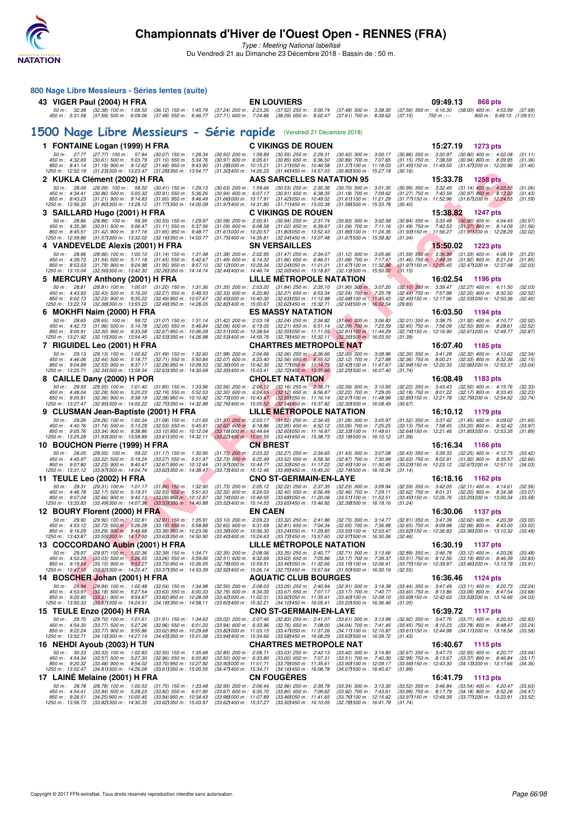

Type : Meeting National labellisé

Du Vendredi 21 au Dimanche 23 Décembre 2018 - Bassin de : 50 m.

|   | 800 Nage Libre Messieurs - Séries lentes (suite)                                      |                                                                |                                                                 |                                                                |                 |                                                                                              |                                                                                                                                                                                                                   |                                                                                                      |                                                        |                          |                    |
|---|---------------------------------------------------------------------------------------|----------------------------------------------------------------|-----------------------------------------------------------------|----------------------------------------------------------------|-----------------|----------------------------------------------------------------------------------------------|-------------------------------------------------------------------------------------------------------------------------------------------------------------------------------------------------------------------|------------------------------------------------------------------------------------------------------|--------------------------------------------------------|--------------------------|--------------------|
|   | 43 VIGER Paul (2004) H FRA                                                            |                                                                |                                                                 |                                                                |                 | <b>EN LOUVIERS</b>                                                                           |                                                                                                                                                                                                                   |                                                                                                      | 09:49.13                                               | 868 pts                  |                    |
|   | 450 m : 5:31.58 (37.59) 500 m : 6:09.06                                               | 50 m: 32.38 (32.38) 100 m: 1:08.50                             |                                                                 |                                                                |                 |                                                                                              | (36.12) 150 m : 1:45.74 (37.24) 200 m : 2:23.26 (37.52) 250 m : 3:00.74 (37.48) 300 m : 3:38.30<br>(37.48) 550 m : 6:46.77 (37.71) 600 m : 7:24.86 (38.09) 650 m : 8:02.47 (37.61) 700 m : 8:39.62                | (37.56) 350 m: 4:16.30 (38.00) 400 m: 4:53.99 (37.69)<br>(37.15)<br>$750 m: -$                       |                                                        | 800 m: 9:49.13 (1:09.51) |                    |
|   |                                                                                       |                                                                |                                                                 |                                                                |                 | 1500 Nage Libre Messieurs - Série rapide (Vendredi 21 Décembre 2018)                         |                                                                                                                                                                                                                   |                                                                                                      |                                                        |                          |                    |
|   | 1 FONTAINE Logan (1999) H FRA                                                         |                                                                |                                                                 |                                                                |                 | <b>C VIKINGS DE ROUEN</b>                                                                    |                                                                                                                                                                                                                   |                                                                                                      | 15:27.19<br><b>1273 pts</b>                            |                          |                    |
|   | 50 m: 27.77 (27.77) 100 m: 57.84                                                      |                                                                | (30.07) 150 m : 1:28.34                                         | $(30.50)$ 200 m : 1:58.89                                      |                 | $(30.55)$ 250 m : 2:29.31                                                                    | (30.42) 300 m : 3:00.17                                                                                                                                                                                           | (30.86) 350 m: 3:30.97 (30.80) 400 m: 4:02.08                                                        |                                                        |                          | (31.11)            |
|   | 450 m : 4:32.69<br>850 m: 8:41.14                                                     | $(30.61)$ 500 m : 5:03.79<br>$(31.19)$ 900 m : 9:12.62         | $(31.10)$ 550 m : 5:34.76<br>$(31.48)$ 950 m : 9:43.90          | $(30.97)$ 600 m : 6:05.61<br>(31.28) 000 m: 10:15.21           |                 | $(30.85)$ 650 m : 6:36.50<br>$(31.31)050 \text{ m}$ : 10:46.58                               | $(30.89)$ 700 m : 7:07.65<br>$(31.37)100 \text{ m}$ : 11:18.03                                                                                                                                                    | $(31.15)$ 750 m : 7:38.59<br>(31.45) 150 m : 11:49.50                                                | $(30.94)$ 800 m : 8:09.95<br>(31.47) 200 m : 12:20.96  |                          | (31.36)<br>(31.46) |
|   | 1250 m : 12:52.19                                                                     | (31.23) 300 m : 13:23.47                                       | (31.281350 m: 13:54.77                                          | $(31.30)400 \text{ m}$ : 14:26.23                              |                 | (31.46)450 m : 14.57.03                                                                      | (30.80) 500 m : 15:27.19                                                                                                                                                                                          | (30.16)                                                                                              |                                                        |                          |                    |
|   | 2 KUKLA Clément (2002) H FRA                                                          |                                                                |                                                                 |                                                                |                 | AAS SARCELLES NATATION 95                                                                    |                                                                                                                                                                                                                   |                                                                                                      | 15:33.78<br><b>1258 pts</b>                            |                          |                    |
|   | 50 m: 28.09<br>450 m : 4:34.41                                                        | $(28.09)$ 100 m : 58.50<br>$(30.86)$ 500 m : 5:05.32           | $(30.41)$ 150 m : 1:29.13<br>$(30.91)$ 550 m : 5:36.26          | $(30.63)$ 200 m : 1:59.66<br>$(30.94)$ 600 m : 6:07.17         |                 | $(30.53)$ 250 m : 2:30.36<br>$(30.91)$ 650 m : 6:38.35                                       | $(30.70)$ 300 m : 3:01.35<br>$(31.18)$ 700 m : 7:09.62                                                                                                                                                            | $(30.99)$ 350 m : 3:32.49<br>$(31.27)$ 750 m : 7:40.59                                               | $(31.14)$ 400 m : 4:03.55<br>$(30.97)$ 800 m : 8:12.02 |                          | (31.06)<br>(31.43) |
|   | 850 m: 8:43.23<br>1250 m: 12:56.35                                                    | $(31.21)$ 900 m : 9:14.83<br>$(31.80)300 \text{ m}$ : 13:28.12 | $(31.60)$ 950 m : 9:46.49<br>(31.771350 m: 14:00.09             | (31.661000 m: 10:17.91<br>(31.971400 m: 14:31.80               |                 | (31.42) 050 m : 10:49.52<br>(31.711450 m : 15:03.38                                          | (31.611100 m: 11:21.29)<br>$(31.58)500 \text{ m}$ : 15:33.78                                                                                                                                                      | (31.77) 150 m: 11:52.96 (31.67) 200 m: 12:24.55<br>(30.40)                                           |                                                        |                          | (31.59)            |
|   | 3 SAILLARD Hugo (2001) H FRA                                                          |                                                                |                                                                 |                                                                |                 | <b>C VIKINGS DE ROUEN</b>                                                                    |                                                                                                                                                                                                                   |                                                                                                      | 15:38.82<br><b>1247 pts</b>                            |                          |                    |
|   | 50 m: 28.86                                                                           | $(28.86)$ 100 m : 59.39                                        | $(30.53)$ 150 m : 1:29.97                                       | $(30.58)$ 200 m : 2:00.91                                      |                 | $(30.94)$ 250 m : 2:31.74                                                                    | $(30.83)$ 300 m : 3:02.58                                                                                                                                                                                         | $(30.84)$ 350 m : 3:33.48                                                                            | $(30.90)$ 400 m : 4:04.45                              |                          | (30.97)            |
|   | 450 m : 4:35.36<br>850 m : 8:45.51                                                    | $(30.91)$ 500 m : 5:06.47<br>$(31.42)$ 900 m : 9:17.16         | $(31.11)$ 550 m : 5:37.56<br>(31.65) 950 m : 9:48.77            | $(31.09)$ 600 m : 6:08.58<br>(31.611000 m: 10:20.57            |                 | $(31.02)$ 650 m : 6:39.67<br>(31.80) 050 m: 10:52.43                                         | $(31.09)$ 700 m : 7:11.16<br>(31.86) 100 m : 11:24.36                                                                                                                                                             | $(31.49)$ 750 m : 7:42.53<br>(31.93) 150 m : 11:56.27                                                | $(31.37)$ 800 m : 8:14.09<br>(31.911200 m : 12:28.29   |                          | (31.56)<br>(32.02) |
|   | 1250 m: 12:59.86                                                                      | (31.57) 300 m : 13:32.02                                       | (32.16) 350 m : 14:03.77                                        | $(31.75)400 \text{ m}$ : 14:35.81                              |                 | (32.04) 450 m : 15:07.48                                                                     | (31.671500 m: 15:38.82                                                                                                                                                                                            | (31.34)                                                                                              |                                                        |                          |                    |
|   | 4 VANDEVELDE Alexis (2001) H FRA<br>50 m : 28.96                                      | $(28.96)$ 100 m : 1:00.10                                      | $(31.14)$ 150 m : 1:31.48                                       | $(31.38)$ 200 m : 2:02.95                                      |                 | <b>SN VERSAILLES</b><br>$(31.47)$ 250 m : 2:34.07                                            | $(31.12)$ 300 m : 3:05.66                                                                                                                                                                                         | $(31.59)$ 350 m : 3:36.99                                                                            | 15:50.02<br>1223 pts<br>$(31.33)$ 400 m : 4:08.19      |                          | (31.20)            |
|   | 450 m : 4:39.73                                                                       | $(31.54)$ 500 m : 5:11.18                                      | $(31.45)$ 550 m : 5:42.67                                       | $(31.49)$ 600 m : 6:14.33                                      |                 | $(31.66)$ 650 m : 6:46.01                                                                    | $(31.68)$ 700 m : 7:17.47                                                                                                                                                                                         | $(31.46)$ 750 m : 7:49.39                                                                            | $(31.92)$ 800 m : 8:21.24                              |                          | (31.85)            |
|   | 850 m : 8:53.03<br>1250 m : 13:10.04                                                  | $(31.79)$ 900 m : 9:24.98<br>$(32.56)300 \text{ m}$ : 13:42.30 | $(31.95)$ 950 m : 9:57.10<br>(32.261350 m : 14:14.74            | (32.12) 000 m: 10:29.34<br>(32.44) 400 m : 14:46.74            |                 | (32.24) 050 m: 11:01.01<br>(32.00)450 m : 15:18.87                                           | (31.67) 100 m : 11:32.98<br>$(32.13)500 \; m: 15.50.02$                                                                                                                                                           | (31.97)150 m : 12.05.45<br>(31.15)                                                                   | (32.47) 200 m : 12:37.48                               |                          | (32.03)            |
|   | 5 MERCURY Anthony (2001) H FRA                                                        |                                                                |                                                                 |                                                                |                 | <b>LILLE METROPOLE NATATION</b>                                                              |                                                                                                                                                                                                                   |                                                                                                      | 16:02.54<br>1196 pts                                   |                          |                    |
|   | 50 m: 28.81<br>450 m: 4:43.93                                                         | $(28.81)$ 100 m : 1:00.01<br>$(32.43)$ 500 m : 5:16.20         | $(31.20)$ 150 m : 1:31.36<br>$(32.27)$ 550 m : 5:48.53          | $(31.35)$ 200 m : 2:03.20<br>$(32.33)$ 600 m : 6:20.80         |                 | $(31.84)$ 250 m : 2:35.10<br>$(32.27)$ 650 m : 6:53.34                                       | $(31.90)$ 300 m; 3:07.20<br>$(32.54)$ 700 m : 7:25.78                                                                                                                                                             | (32.10) 350 m: 3:39.47 (32.27) 400 m: 4:11.50<br>(32.44) 750 m : 7:57.98                             | $(32.20)$ 800 m : 8:30.50                              |                          | (32.03)<br>(32.52) |
|   | 850 m : 9:02.73                                                                       | $(32.23)$ 900 m : 9:35.22                                      | (32.49) 950 m : 10:07.67                                        | (32.451000 m: 10:40.30                                         |                 | $(32.63)050$ m : 11:12.98                                                                    | (32.68) 100 m: 11:45.43<br>(32.041500 m : 16:02.54                                                                                                                                                                | (32.45) 150 m: 12:17.96 (32.53) 200 m: 12:50.36                                                      |                                                        |                          | (32.40)            |
| 6 | 1250 m : 13:22.74<br>MOKHFI Naim (2000) H FRA                                         | (32.38) 300 m : 13:55.23                                       | (32.49) 350 m : 14:28.05                                        | (32.82) 400 m : 15:00.67                                       |                 | (32.62) 450 m : 15:32.71<br><b>ES MASSY NATATION</b>                                         |                                                                                                                                                                                                                   | (29.83)                                                                                              | 16:03.50<br>1194 pts                                   |                          |                    |
|   | 50 m: 28.65                                                                           | $(28.65)$ 100 m : 59.72                                        | $(31.07)$ 150 m : 1:31.14                                       | $(31.42)$ 200 m : 2:03.18                                      |                 | (32.04) 250 m : 2:34.82                                                                      | $(31.64)$ 300 m : 3:06.83                                                                                                                                                                                         | (32.01) 350 m: 3:38.75 (31.92) 400 m: 4:10.77                                                        |                                                        |                          | (32.02)            |
|   | 450 m : 4:42.73<br>850 m : 9:00.91                                                    | $(31.96)$ 500 m : 5:14.78<br>$(32.30)$ 900 m : 9:33.58         | $(32.05)$ 550 m : 5:46.84<br>$(32.67)$ 950 m : 10:06.09         | $(32.06)$ 600 m : 6:19.05<br>(32.511000 m: 10:38.64            |                 | $(32.21)$ 650 m : 6:51.14<br>$(32.55)050 \text{ m}$ : 11:11.55                               | $(32.09)$ 700 m : 7:23.59<br>(32.91) 100 m: 11:44.29                                                                                                                                                              | $(32.45)$ 750 m : 7:56.09<br>(32.74) 150 m : 12:16.90 (32.61) 200 m : 12:49.77                       | $(32.50)$ 800 m : 8:28.61                              |                          | (32.52)<br>(32.87) |
|   | 1250 m: 13:21.92                                                                      | (32.151300 m : 13:54.45                                        | (32.53) 350 m : 14:26.98                                        | (32.531400 m : 14:59.76                                        |                 | $(32.78)1450 \text{ m}$ : 15:32.11                                                           | (32.35) 500 m : 16:03.50                                                                                                                                                                                          | (31.39)                                                                                              |                                                        |                          |                    |
|   | 7 RIGUIDEL Leo (2001) H FRA<br>50 m: 29.13                                            | $(29.13)$ 100 m : 1:00.62                                      | $(31.49)$ 150 m : 1:32.60                                       | $(31.98)$ 200 m : 2:04.66                                      |                 | <b>CHARTRES METROPOLE NAT</b><br>$(32.06)$ 250 m : 2:36.66                                   | $(32.00)$ 300 m : 3:08.96                                                                                                                                                                                         | (32.30) 350 m: 3:41.28 (32.32) 400 m: 4:13.62                                                        | 16:07.40<br>1185 pts                                   |                          | (32.34)            |
|   | 450 m : 4:46.06<br>850 m : 9:04.89                                                    | $(32.44)$ 500 m : 5:18.77                                      | (32.71) 550 m : 5:50.84                                         | $(32.07)$ 600 m : 6:23.40                                      |                 | $(32.56)$ 650 m : 6:55.52                                                                    | $(32.12)$ 700 m : 7:27.88                                                                                                                                                                                         | $(32.36)$ 750 m : 8:00.21<br>(32.941150 m : 12:20.33                                                 | $(32.33)$ 800 m : 8:32.36<br>(32.661200 m: 12.53.37)   |                          | (32.15)            |
|   | 1250 m : 13:25.71                                                                     | (32.53) 900 m : 9:37.17<br>(32.34) 300 m : 13:58.34            | (32.28) 950 m : 10:09.53<br>(32.63) 350 m : 14:30.69            | (32.36) 000 m : 10:42.30<br>(32.351400 m: 15:03.41             |                 | (32.77) 050 m : 11:14.73<br>$(32.72)450 \text{ m}$ : 15:35.66                                | (32.43) 100 m : 11:47.67<br>(32.251500 m: 16:07.40                                                                                                                                                                | (31.74)                                                                                              |                                                        |                          | (33.04)            |
|   | 8 CAILLE Dany (2000) H POR                                                            |                                                                |                                                                 |                                                                |                 | <b>CHOLET NATATION</b>                                                                       |                                                                                                                                                                                                                   |                                                                                                      | 16:08.49<br>1183 pts                                   |                          |                    |
|   | 50 m: 29.55<br>450 m: 4:48.04                                                         | $(29.55)$ 100 m : 1:01.40<br>$(32.28)$ 500 m : 5:20.23         | $(31.85)$ 150 m : 1:33.96<br>$(32.19)$ 550 m : 5:52.53          | $(32.56)$ 200 m : $2:06.12$<br>$(32.30)$ 600 m : 6:24.65       |                 | $(32.16)$ 250 m : 2:38.71<br>$(32.12)$ 650 m : 6:56.87                                       | $(32.59)$ 300 m : 3:10.93<br>(32.22) 700 m : 7:29.05                                                                                                                                                              | $(32.22)$ 350 m : 3:43.43 $(32.50)$ 400 m : 4:15.76<br>(32.18) 750 m: 8:01.22 (32.17) 800 m: 8:33.45 |                                                        |                          | (32.33)<br>(32.23) |
|   | 850 m : 9:05.81<br>1250 m : 13:27.47                                                  | (32.36) 900 m : 9:38.19<br>(32.95) 300 m : 14:00.22            | $(32.38)$ 950 m : 10:10.92<br>(32.75) 350 m : 14:32.98          | (32.731000 m: 10:43.47)                                        |                 | (32.55) 050 m: 11:16.14<br>$(32.76)400 \text{ m}: 15:05.52$ $(32.54)450 \text{ m}: 15:37.82$ | (32.671100 m: 11:48.99)<br>(32.301500 m: 16:08.49)                                                                                                                                                                | (32.85) 150 m: 12:21.78 (32.79) 200 m: 12:54.52<br>(30.67)                                           |                                                        |                          | (32.74)            |
| 9 | CLUSMAN Jean-Baptiste (2001) H FRA                                                    |                                                                |                                                                 |                                                                |                 | LILLE METROPOLE NATATION                                                                     |                                                                                                                                                                                                                   |                                                                                                      | 16:10.12<br>1179 pts                                   |                          |                    |
|   | 50 m: 29.26                                                                           |                                                                | (29.26) 100 m: 1:00.34 (31.08) 150 m: 1:31.65                   | $(31.31)$ 200 m : 2:03.17                                      |                 | $(31.52)$ 250 m : 2:34.45                                                                    | $(31.28)$ 300 m : 3:05.97                                                                                                                                                                                         | $(31.52)$ 350 m : 3:37.42 $(31.45)$ 400 m : 4:09.02                                                  |                                                        |                          | (31.60)            |
|   | 450 m : 4:40.76<br>850 m : 9:05.76                                                    | $(31.74)$ 500 m : 5:13.29<br>(33.34) 900 m : 9:38.86           | (32.53) 550 m : 5:45.91<br>$(33.10)$ 950 m : 10:12.04           | $(32.62)$ 600 m : 6:18.86<br>$(33.18)000 \text{ m}$ : 10:44.64 |                 | $(32.95)$ 650 m : 6:52.12<br>(32.60)050 m : 11:16.97                                         | $(33.26)$ 700 m : 7:25.25<br>$(32.33)100 \text{ m}$ : 11:49.61                                                                                                                                                    | (33.13) 750 m: 7:58.45 (33.20) 800 m: 8:32.42<br>(32.64) 150 m : 12:21.46 (31.85) 200 m : 12:53.35   |                                                        |                          | (33.97)<br>(31.89) |
|   | 1250 m : 13:25.28                                                                     | (31.93) 300 m : 13:58.89                                       | (33.61)350 m : 14.32.11                                         | $(33.22)$ 400 m : 15:05.55                                     |                 | (33.44) 450 m : 15:38.73                                                                     | $(33.18)500 \text{ m}$ : 16:10.12                                                                                                                                                                                 | (31.39)                                                                                              |                                                        |                          |                    |
|   | 10 BOUCHON Pierre (1999) H FRA<br>50 m : 28.05                                        | $(28.05)$ 100 m : 59.22                                        | $(31.17)$ 150 m : 1:30.95                                       | $(31.73)$ 200 m : 2:03.22                                      | <b>CN BREST</b> | $(32.27)$ 250 m : 2:34.65                                                                    | $(31.43)$ 300 m : 3:07.08                                                                                                                                                                                         | (32.43) 350 m: 3:39.33 (32.25) 400 m: 4:12.75                                                        | 16:16.34<br>1166 pts                                   |                          | (33.42)            |
|   | 450 m : 4:45.97<br>850 m: 9:07.80                                                     | $(33.22)$ 500 m : 5:19.24<br>$(32.23)$ 900 m : 9:40.47         | (33.27) 550 m : 5:51.97<br>$(32.67)$ 950 m : 10:12.44           | $(32.73)$ 600 m : 6:25.49<br>(31.971000 m: 10:44.77            |                 | $(33.52)$ 650 m : 6:58.36<br>(32.33) 050 m: 11:17.22                                         | (32.87) 700 m : 7:30.99<br>(32.45) 100 m : 11:50.45                                                                                                                                                               | $(32.63)$ 750 m : 8:02.91<br>(33.23) 150 m : 12:23.12 (32.67) 200 m : 12:57.15                       | $(31.92)$ 800 m : 8:35.57                              |                          | (32.66)<br>(34.03) |
|   | 1250 m: 13:31.12 (33.97) 300 m: 14:04.74                                              |                                                                | (33.621350 m: 14:38.47)                                         | $(33.73)400 \text{ m}$ : 15:12.46                              |                 | (33.99) 450 m : 15:45.20                                                                     | (32.741500 m: 16:16.34                                                                                                                                                                                            | (31.14)                                                                                              |                                                        |                          |                    |
|   | 11 TEULE Leo (2002) H FRA                                                             |                                                                |                                                                 |                                                                |                 | <b>CNO ST-GERMAIN-EN-LAYE</b>                                                                |                                                                                                                                                                                                                   |                                                                                                      | 16:18.16<br>1162 pts                                   |                          |                    |
|   | 50 m: 29.31<br>450 m : 4:46.78                                                        | $(29.31)$ 100 m : 1:01.17<br>$(32.17)$ 500 m : 5:19.31         | $(31.86)$ 150 m : 1:32.90<br>$(32.53)$ 550 m : 5:51.63          | $(31.73)$ 200 m : 2:05.12<br>$(32.32)$ 600 m : 6:24.03         |                 | $(32.22)$ 250 m : 2:37.35<br>$(32.40)$ 650 m : 6:56.49                                       | (32.23) 300 m : 3:09.94<br>$(32.46)$ 700 m : 7:29.11                                                                                                                                                              | (32.59) 350 m: 3:42.05 (32.11) 400 m: 4:14.61<br>(32.62) 750 m : 8:01.31 (32.20) 800 m : 8:34.38     |                                                        |                          | (32.56)<br>(33.07) |
|   | 850 m : 9:07.04<br>1250 m : 13:33.83                                                  | $(32.66)$ 900 m : 9:40.13<br>(33.49) 300 m : 14:07.36          | $(33.09)$ 950 m : 10:12.87<br>$(33.53)350 \text{ m}$ : 14:40.88 | (32.741000 m: 10:46.55<br>(33.52) 400 m : 15:14.53             |                 | (33.68)050 m : 11.20.06<br>(33.65)450 m : 15:46.92                                           | (33.511100 m: 11:53.51<br>$(32.391500 \text{ m} : 16.18.16)$                                                                                                                                                      | (33.45) 150 m : 12:26.76 (33.25) 200 m : 13:00.34<br>(31.24)                                         |                                                        |                          | (33.58)            |
|   | 12 BOURY Florent (2000) H FRA                                                         |                                                                |                                                                 |                                                                | <b>EN CAEN</b>  |                                                                                              |                                                                                                                                                                                                                   |                                                                                                      | 16:30.06<br>1137 pts                                   |                          |                    |
|   | 450 m : 4:53.12                                                                       | $(32.73)$ 500 m : 5:26.28                                      | $(33.16)$ 550 m : 5:58.88                                       |                                                                |                 | (32.60) 600 m : 6:31.69 (32.81) 650 m : 7:04.34                                              | 50 m: 29.90 (29.90) 100 m: 1:02.81 (32.91) 150 m: 1:35.91 (33.10) 200 m: 2:09.23 (33.32) 250 m: 2:41.96 (32.73) 300 m: 3:14.77 (32.81) 350 m: 3:47.39 (32.62) 400 m: 4:20.39 (33.00)<br>$(32.65)$ 700 m : 7:36.99 | $(32.65)$ 750 m : 8:09.98 $(32.99)$ 800 m : 8:43.00                                                  |                                                        |                          | (33.02)            |
|   | 850 m : 9:16.29                                                                       | $(33.29)$ 900 m : 9:49.68                                      | $(33.39)$ 950 m : 10:23.06                                      | (33.38) 000 m : 10:56.30                                       |                 | (33.24) 050 m: 11:29.85                                                                      | (33.551100 m: 12:03.47)                                                                                                                                                                                           | (33.62) 150 m : 12:36.83 (33.36) 200 m : 13:10.32                                                    |                                                        |                          | (33.49)            |
|   | 1250 m : 13:43.87<br>13 COCCORDANO Aubin (2001) H FRA                                 | (33.55 <b>1300 m</b> : 14:17.50                                | (33.631350 m: 14:50.90                                          |                                                                |                 | (33.40) 400 m: 15:24.63 (33.73) 450 m: 15:57.60<br>LILLE METROPOLE NATATION                  | (32.971500 m: 16:30.06                                                                                                                                                                                            | (32.46)                                                                                              | 16:30.19<br>1137 pts                                   |                          |                    |
|   | 50 m : 29.97                                                                          | $(29.97)$ 100 m : 1:02.36                                      | $(32.39)$ 150 m : 1:34.71                                       | $(32.35)$ 200 m : 2:08.06                                      |                 | $(33.35)$ 250 m : 2:40.77                                                                    | $(32.71)$ 300 m : 3:13.66                                                                                                                                                                                         | $(32.89)$ 350 m : 3:46.78                                                                            | $(33.12)$ 400 m : 4:20.26                              |                          | (33.48)            |
|   | 450 m : 4:53.29<br>850 m : 9:19.54                                                    | $(33.03)$ 500 m : 5:26.55<br>$(33.15)$ 900 m : 9:53.27         | $(33.26)$ 550 m : 5:59.06<br>$(33.73)$ 950 m : 10:26.05         | $(32.51)$ 600 m : 6:32.69<br>(32.78) 000 m : 10:59.51          |                 | $(33.63)$ 650 m : 7:05.86<br>$(33.46)050 \text{ m}$ : 11:32.66                               | $(33.17)$ 700 m : 7:39.37<br>(33.15) 100 m : 12:06.41                                                                                                                                                             | $(33.51)$ 750 m : 8:12.56<br>(33.75) 150 m : 12:39.87                                                | $(33.19)$ 800 m : 8:46.39<br>(33.46) 200 m : 13:13.78  |                          | (33.83)<br>(33.91) |
|   | 1250 m : 13:47.10                                                                     | (33.32) 300 m : 14:20.47                                       | (33.37) 350 m : 14:53.39                                        | (32.92) 400 m : 15:26.14                                       |                 | (32.75) 450 m : 15:57.64                                                                     | (31.50) 500 m : 16:30.19                                                                                                                                                                                          | (32.55)                                                                                              |                                                        |                          |                    |
|   | 14 BOSCHER Johan (2001) H FRA<br>50 m: 29.94 (29.94) 100 m: 1:02.48                   |                                                                |                                                                 | $(32.50)$ 200 m : 2:08.03                                      |                 | <b>AQUATIC CLUB BOURGES</b>                                                                  | $(32.91)$ 300 m : 3:14.38                                                                                                                                                                                         | (33.44) 350 m: 3:47.49 (33.11) 400 m: 4:20.73                                                        | 16:36.46<br>1124 pts                                   |                          |                    |
|   | 450 m : 4:53.91                                                                       | (33.18) 500 m : 5:27.54                                        | $(32.54)$ 150 m : 1:34.98<br>$(33.63)$ 550 m : 6:00.33          | $(32.79)$ 600 m : 6:34.00                                      |                 | $(33.05)$ 250 m : 2:40.94<br>$(33.67)$ 650 m : 7:07.17                                       | $(33.17)$ 700 m : 7:40.77                                                                                                                                                                                         | $(33.60)$ 750 m : 8:13.86                                                                            | $(33.09)$ 800 m : 8:47.54                              |                          | (33.24)<br>(33.68) |
|   | 850 m : 9:20.85<br>1250 m: 13:50.33 (33.67) 300 m: 14:24.51                           | $(33.31)$ 900 m : 9:54.67                                      | (33.82) 950 m : 10:28.09<br>(34.181350 m : 14:58.11             | (33.42) 000 m: 11:02.01<br>(33.60) 400 m : 15:32.21            |                 | (33.92) 050 m : 11:35.41<br>(34.10)(450 m : 16:05.41                                         | (33.40) 100 m : 12:09.10<br>(33.201500 m: 16:36.46                                                                                                                                                                | (33.69) 150 m : 12:42.63 (33.53) 200 m : 13:16.66<br>(31.05)                                         |                                                        |                          | (34.03)            |
|   | 15 TEULE Enzo (2004) H FRA                                                            |                                                                |                                                                 |                                                                |                 | <b>CNO ST-GERMAIN-EN-LAYE</b>                                                                |                                                                                                                                                                                                                   |                                                                                                      | 16:39.72<br>1117 pts                                   |                          |                    |
|   | 50 m : 29.70<br>450 m : 4:54.30                                                       | $(29.70)$ 100 m : 1:01.61<br>$(33.77)$ 500 m : 5:27.26         | $(31.91)$ 150 m : 1:34.63<br>$(32.96)$ 550 m : 6:01.20          | $(33.02)$ 200 m : 2:07.46<br>$(33.94)$ 600 m : 6:33.96         |                 | $(32.83)$ 250 m : 2:41.07<br>$(32.76)$ 650 m : 7:08.00                                       | $(33.61)$ 300 m : 3:13.99<br>$(34.04)$ 700 m : 7:41.45                                                                                                                                                            | (32.92) 350 m: 3:47.70 (33.71) 400 m: 4:20.53<br>$(33.45)$ 750 m : 8:15.23                           | $(33.78)$ 800 m : 8:48.47                              |                          | (32.83)<br>(33.24) |
|   | 850 m : 9:22.24 (33.77) 900 m : 9:55.86<br>1250 m : 13:52.71 (34.15) 300 m : 14:27.14 |                                                                | $(33.62)$ 950 m : 10:29.68<br>(34.43) 350 m : 15:01.08          | $(33.82)000 \text{ m}$ : 11:03.15<br>(33.94) 400 m : 15:34.66  |                 | (33.47) 050 m : 11:37.26<br>(33.58)450 m : 16:08.29                                          | $(34.11)100 \text{ m}$ : 12:10.87<br>(33.631500 m : 16:39.72                                                                                                                                                      | (33.611150 m: 12:44.98 (34.111200 m: 13:18.56)<br>(31.43)                                            |                                                        |                          | (33.58)            |
|   | 16 NEHDI Ayoub (2003) H TUN                                                           |                                                                |                                                                 |                                                                |                 | <b>CHARTRES METROPOLE NAT</b>                                                                |                                                                                                                                                                                                                   |                                                                                                      | 16:40.67<br>1115 pts                                   |                          |                    |
|   | 50 m : 30.33                                                                          | $(30.33)$ 100 m : 1:02.83                                      | $(32.50)$ 150 m : 1:35.68                                       | $(32.85)$ 200 m : 2:08.71                                      |                 | (33.03) 250 m : 2:42.13<br>(33.00) 650 m : 7:07.31                                           | $(33.42)$ 300 m : 3:14.80                                                                                                                                                                                         | (32.67) 350 m: 3:47.73 (32.93) 400 m: 4:20.77                                                        |                                                        |                          | (33.04)            |
|   | 450 m : 4:54.34<br>850 m : 9:20.32                                                    | $(33.57)$ 500 m : 5:27.30<br>$(33.48)$ 900 m : 9:54.02         | $(32.96)$ 550 m : 6:00.80<br>(33.70) 950 m : 10:27.92           | $(33.50)$ 600 m : 6:33.80<br>(33.90) 000 m: 11:01.71           |                 | (33.79) 050 m : 11:35.61                                                                     | $(33.51)$ 700 m : 7:40.30<br>(33.90) 100 m : 12:09.17                                                                                                                                                             | (32.99) 750 m : 8:13.67<br>(33.56 <b>)</b> 150 m : 12:43.30                                          | $(33.37)$ 800 m : 8:46.84<br>(34.13) 200 m : 13:17.66  |                          | (33.17)<br>(34.36) |
|   | 1250 m : 13:52.47                                                                     | (34.811300 m: 14:26.08                                         | (33.611350 m: 15:00.55                                          | (34.47) 400 m : 15:34.71                                       |                 | (34.16) 450 m : 16:08.78                                                                     | (34.071500 m: 16:40.67                                                                                                                                                                                            | (31.89)                                                                                              |                                                        |                          |                    |
|   | 17 LAINE Melaine (2001) H FRA<br>50 m: 28.78 (28.78) 100 m: 1:00.53                   |                                                                | $(31.75)$ 150 m : 1:33.48                                       | $(32.95)$ 200 m : 2:06.44                                      |                 | <b>CN FOUGERES</b><br>$(32.96)$ 250 m : 2:39.78                                              | $(33.34)$ 300 m : 3:13.30                                                                                                                                                                                         | $(33.52)$ 350 m : 3:46.84                                                                            | 16:41.79<br>1113 pts<br>$(33.54)$ 400 m : 4:20.47      |                          | (33.63)            |
|   | 450 m : 4:54.41<br>850 m : 9:26.51                                                    | $(33.94)$ 500 m : 5:28.23<br>(34.25) 900 m : 10:00.45          | $(33.82)$ 550 m : 6:01.90<br>(33.94) 950 m : 10:34.43           | $(33.67)$ 600 m : 6:35.70<br>(33.98) 000 m: 11:07.89           |                 | $(33.80)$ 650 m : 7:09.62<br>$(33.46)050 \text{ m}$ : 11:41.65                               | $(33.92)$ 700 m : 7:43.61<br>(33.76) 100 m : 12:15.62                                                                                                                                                             | $(33.99)$ 750 m : 8:17.79<br>(33.97) 150 m : 12:49.39                                                | $(34.18)$ 800 m : 8:52.26<br>(33.77) 200 m : 13:22.91  |                          | (34.47)<br>(33.52) |
|   | 1250 m : 13:56.73                                                                     | (33.82) 300 m : 14:30.35                                       | (33.62) 350 m : 15:03.97                                        | (33.62) 400 m : 15:37.27                                       |                 | (33.30) 450 m : 16:10.05                                                                     | (32.781500 m: 16:41.79                                                                                                                                                                                            | (31.74)                                                                                              |                                                        |                          |                    |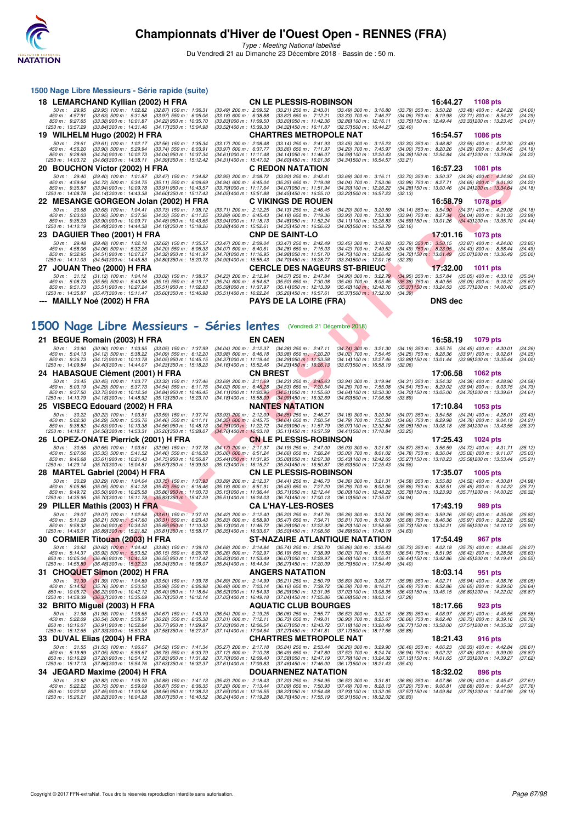

Type : Meeting National labellisé Du Vendredi 21 au Dimanche 23 Décembre 2018 - Bassin de : 50 m.

| 1500 Nage Libre Messieurs - Série rapide (suite)                                                                                                                                                                            |                                                                                                                  |                                                                                                                                                |                                                                                                                                     |                                                                                                                                   |                                                                                                                                                      |                                                                                   |                               |
|-----------------------------------------------------------------------------------------------------------------------------------------------------------------------------------------------------------------------------|------------------------------------------------------------------------------------------------------------------|------------------------------------------------------------------------------------------------------------------------------------------------|-------------------------------------------------------------------------------------------------------------------------------------|-----------------------------------------------------------------------------------------------------------------------------------|------------------------------------------------------------------------------------------------------------------------------------------------------|-----------------------------------------------------------------------------------|-------------------------------|
| 18 LEMARCHAND Kyllian (2002) H FRA                                                                                                                                                                                          |                                                                                                                  |                                                                                                                                                | <b>CN LE PLESSIS-ROBINSON</b>                                                                                                       |                                                                                                                                   | 16:44.27                                                                                                                                             | 1108 pts                                                                          |                               |
| 50 m: 29.95<br>(29.95) 100 m : 1:02.82 (32.87) 150 m : 1:36.31<br>450 m : 4:57.91<br>$(33.63)$ 500 m : 5:31.88<br>$850 \text{ m}$ : $9:27.65$<br>$(33.38)$ 900 m : 10:01.87<br>1250 m : 13:57.29<br>(33.841300 m : 14:31.46 | $(33.97)$ 550 m : 6:05.06<br>(34.22) 950 m : 10:35.70<br>(34.171350 m : 15:04.98                                 | $(33.49)$ 200 m : 2:09.52<br>$(33.18)$ 600 m : 6:38.88<br>(33.831000 m: 11.09.50<br>(33.52) 400 m : 15:39.30                                   | $(33.21)$ 250 m : 2:43.01<br>$(33.82)$ 650 m : 7:12.21<br>(33.801050 m : 11:42.36<br>(34.321450 m : 16:11.87                        | $(33.49)$ 300 m : 3:16.80<br>$(33.33)$ 700 m : 7:46.27<br>$(32.861100 \text{ m} : 12.16.11)$<br>(32.571500 m : 16:44.27           | $(33.79)$ 350 m : 3:50.28<br>$(34.06)$ 750 m : 8:19.98<br>(33.75) 150 m : 12:49.44<br>(32.40)                                                        | $(33.48)$ 400 m : 4:24.28<br>(33.71) 800 m : 8:54.27<br>(33.331200 m: 13:23.45    | (34.00)<br>(34.29)<br>(34.01) |
| 19 WILHELM Hugo (2002) H FRA                                                                                                                                                                                                |                                                                                                                  |                                                                                                                                                | <b>CHARTRES METROPOLE NAT</b>                                                                                                       |                                                                                                                                   | 16:54.57                                                                                                                                             | <b>1086 pts</b>                                                                   |                               |
| 50 m: 29.61<br>$(29.61)$ 100 m : 1:02.17<br>450 m : 4:56.20<br>$(33.90)$ 500 m : 5:29.94<br>850 m : 9:28.69<br>(34.24) 900 m : 10:02.73<br>1250 m: 14:03.72<br>$(34.661300 \text{ m} : 14.38.11)$                           | $(32.56)$ 150 m : 1:35.34<br>$(33.74)$ 550 m : 6:03.91<br>(34.04) 950 m : 10:37.34<br>(34.391350 m : 15:12.42)   | $(33.17)$ 200 m : 2.08.48<br>$(33.97)$ 600 m : 6:37.77<br>$(34.611000 \text{ m} : 11.11.48)$<br>(34.311400 m: 15:47.02 (34.601450 m: 16:21.36) | $(33.14)$ 250 m : 2:41.93<br>$(33.86)$ 650 m : 7:11.97<br>(34.141050 m : 11:46.07                                                   | $(33.45)$ 300 m : 3:15.23<br>$(34.20)$ 700 m : 7:45.97<br>(34.59) 100 m : 12:20.43<br>(34.341500 m : 16:54.57                     | $(33.30)$ 350 m : 3:48.82<br>$(34.00)$ 750 m : 8:20.26<br>(34.36) 150 m : 12:54.84<br>(33.21)                                                        | $(33.59)$ 400 m : 4:22.30<br>$(34.29)$ 800 m : 8:54.45<br>(34.411200 m: 13:29.06  | (33.48)<br>(34.19)<br>(34.22) |
| <b>BOUCHON Victor (2002) H FRA</b><br>20                                                                                                                                                                                    |                                                                                                                  |                                                                                                                                                | <b>C REDON NATATION</b>                                                                                                             |                                                                                                                                   | 16:57.23                                                                                                                                             | <b>1081 pts</b>                                                                   |                               |
| 50 m: 29.40<br>$(29.40)$ 100 m : 1:01.87<br>450 m : 4:59.64<br>$(34.72)$ 500 m : 5:34.75<br>850 m : 9:35.87<br>(33.94) 900 m : 10:09.78<br>1250 m: 14:08.78<br>(34.141300 m : 14:43.38                                      | $(32.47)$ 150 m : 1:34.82<br>$(35.11)$ 550 m : 6:09.69<br>$(33.91)$ 950 m : 10:43.57<br>(34.601350 m : 15:17.43) | $(32.95)$ 200 m : 2:08.72<br>$(34.94)$ 600 m : 6:45.04<br>(33.791000 m: 11:17.64<br>(34.051400 m: 15:51.88                                     | $(33.90)$ 250 m : 2:42.41<br>$(35.35)$ 650 m : 7:19.08<br>(34.071050 m : 11.51.94)<br>(34.451450 m : 16:25.10                       | $(33.69)$ 300 m : 3:16.11<br>(34.04) 700 m : 7:53.06<br>(34.30) 100 m : 12:26.22<br>(33.221500 m : 16:57.23                       | $(33.70)$ 350 m : 3:50.37<br>$(33.98)$ 750 m : 8:27.71<br>(34.28) 150 m : 13:00.46<br>(32.13)                                                        | $(34.26)$ 400 m : 4:24.92<br>$(34.65)$ 800 m : 9.01.93<br>(34.241200 m: 13:34.64  | (34.55)<br>(34.22)<br>(34.18) |
| 22 MESANGE GORGEON Jolan (2002) H FRA                                                                                                                                                                                       |                                                                                                                  |                                                                                                                                                | <b>C VIKINGS DE ROUEN</b>                                                                                                           |                                                                                                                                   | 16:58.79                                                                                                                                             | 1078 pts                                                                          |                               |
| 50 m: 30.68<br>$(30.68)$ 100 m : 1.04.41<br>450 m : 5:03.03<br>$(33.95)$ 500 m : 5:37.36<br>850 m : 9:35.23<br>$(33.90)$ 900 m : 10:09.71<br>1250 m : 14:10.19<br>(34.491300 m : 14:44.38)                                  | $(33.73)$ 150 m : 1:38.12<br>$(34.33)$ 550 m : 6:11.25<br>$(34.48)$ 950 m : 10:43.65<br>(34.191350 m : 15:18.26  | $(33.71)$ 200 m : 2:12.25<br>$(33.89)$ 600 m : 6:45.43<br>$(33.941000 \text{ m} : 11.18.13)$<br>(33.881400 m : 15:52.61                        | $(34.13)$ 250 m : 2:46.45<br>$(34.18)$ 650 m : 7:19.36<br>(34.481050 m : 11:52.24)<br>(34.351450 m : 16:26.63                       | $(34.20)$ 300 m : 3:20.59<br>(33.93) 700 m : 7:53.30<br>(34.111100 m: 12:26.83)<br>(34.021500 m : 16:58.79                        | $(34.14)$ 350 m : 3:54.90<br>$(33.94)$ 750 m : 8:27.34 $(34.04)$ 800 m : 9:01.33<br>(34.59) 150 m : 13:01.26 (34.43) 200 m : 13:35.70<br>(32.16)     | $(34.31)$ 400 m : 4:29.08                                                         | (34.18)<br>(33.99)<br>(34.44) |
| DAGUIER Theo (2001) H FRA<br>23.                                                                                                                                                                                            |                                                                                                                  |                                                                                                                                                | <b>CNP DE SAINT-LO</b>                                                                                                              |                                                                                                                                   | 17:01.16                                                                                                                                             | <b>1073 pts</b>                                                                   |                               |
| 50 m: 29.48<br>$(29.48)$ 100 m : 1:02.10<br>450 m: 4:58.06<br>$(34.06)$ 500 m : 5:32.26<br>850 m : 9:32.95<br>$(34.51)900 \text{ m}$ : 10:07.27<br>1250 m : 14:11.03<br>(34.541300 m : 14:45.83                             | $(32.62)$ 150 m : 1:35.57<br>$(34.20)$ 550 m : 6:06.33<br>$(34.32)$ 950 m : 10:41.97<br>(34.80) 350 m : 15:20.73 | $(33.47)$ 200 m : 2:09.04<br>$(34.07)$ 600 m : 6:40.61<br>(34.701000 m: 11:16.95)<br>(34.901400 m : 15.55.43)                                  | $(33.47)$ 250 m : 2:42.49<br>$(34.28)$ 650 m : 7:15.03<br>(34.981050 m : 11:51.70<br>(34.701450 m : 16:28.77                        | $(33.45)$ 300 m : 3:16.28<br>$(34.42)$ 700 m : 7:49.52<br>(34.751100 m : 12:26.42)<br>(33.341500 m : 17:01.16                     | $(33.79)$ 350 m : 3:50.15<br>$(34.49)$ 750 m $: 8:23.95$ $(34.43)$ 800 m $: 8:58.44$<br>(34.72) 150 m : 13:01.49 (35.07) 200 m : 13:36.49<br>(32.39) | $(33.87)$ 400 m : 4:24.00                                                         | (33.85)<br>(34.49)<br>(35.00) |
| JOUAN Theo (2000) H FRA<br>27.                                                                                                                                                                                              |                                                                                                                  |                                                                                                                                                | <b>CERCLE DES NAGEURS ST-BRIEUC</b>                                                                                                 |                                                                                                                                   | 17:32.00                                                                                                                                             | <b>1011 pts</b>                                                                   |                               |
| $50 \text{ m}$ : $31.12$<br>$(31.12)$ 100 m : 1:04.14<br>450 m : 5:08.73<br>$(35.55)$ 500 m : 5:43.88<br>850 m : 9:51.73<br>(35.51) 900 m : 10:27.24<br>(35.471300 m: 15:11.47)<br>1250 m : 14:35.87                        | $(33.02)$ 150 m : 1:38.37<br>$(35.15)$ 550 m : 6:19.12<br>$(35.51)$ 950 m : 11:02.83<br>(35.601350 m : 15:46.98) | $(34.23)$ 200 m : 2:12.94<br>$(35.24)$ 600 m : 6:54.62<br>(35.591000 m: 11:37.97                                                               | $(34.57)$ 250 m : 2:47.84<br>$(35.50)$ 650 m : 7:30.08<br>(35.141050 m : 12:13.39<br>(35.511400 m: 16:22.24 (35.261450 m: 16:57.61) | $(34.90)$ 300 m : 3:22.79<br>$(35.46)$ 700 m : 8:05.46<br>$(35.42)100 \text{ m}$ : 12:48.76<br>$(35.371500 \text{ m} : 17.32.00)$ | $(34.95)$ 350 m : 3:57.84<br>$(35.38)$ 750 m : 8:40.55<br>(35.37) 150 m : 13:24.53<br>(34.39)                                                        | $(35.05)$ 400 m : 4:33.18<br>$(35.09)$ 800 m : 9:16.22<br>(35.771200 m : 14:00.40 | (35.34)<br>(35.67)<br>(35.87) |
| <b>MAILLY Noé (2002) H FRA</b>                                                                                                                                                                                              |                                                                                                                  |                                                                                                                                                | <b>PAYS DE LA LOIRE (FRA)</b>                                                                                                       |                                                                                                                                   | <b>DNS</b> dec                                                                                                                                       |                                                                                   |                               |
|                                                                                                                                                                                                                             |                                                                                                                  |                                                                                                                                                |                                                                                                                                     |                                                                                                                                   |                                                                                                                                                      |                                                                                   |                               |

# **[1500 Nage Libre Messieurs - Séries lentes](http://www.ffnatation.fr/webffn/resultats.php?idact=nat&go=epr&idcpt=55947&idepr=56)** (Vendredi 21 Décembre 2018)

|                                                   | <b>DUUGHUN VIGIUI (2002) II FRA</b>                                                |                                                                                      |                                                                                | v ncv                                                                             |                                                                                  | 10.37.23                                                 | <b>TUOT PIS</b>                                                                                                                   |                               |
|---------------------------------------------------|------------------------------------------------------------------------------------|--------------------------------------------------------------------------------------|--------------------------------------------------------------------------------|-----------------------------------------------------------------------------------|----------------------------------------------------------------------------------|----------------------------------------------------------|-----------------------------------------------------------------------------------------------------------------------------------|-------------------------------|
| 50 m : 29.40<br>450 m: 4:59.64<br>850 m : 9:35.87 | $(29.40)$ 100 m : 1:01.87<br>$(34.72)$ 500 m : 5:34.75<br>(33.94) 900 m : 10:09.78 | $(32.47)$ 150 m : 1:34.82<br>$(35.11)$ 550 m : 6:09.69<br>$(33.91)$ 950 m : 10:43.57 | (32.95) 200 m : 2:08.72<br>$(34.94)$ 600 m : 6:45.04<br>(33.791000 m: 11:17.64 | $(33.90)$ 250 m : 2:42.41<br>$(35.35)$ 650 m : 7:19.08<br>(34.07) 050 m: 11:51.94 | $(33.69)$ 300 m : 3:16.11<br>(34.04) 700 m : 7:53.06<br>(34.30) 100 m : 12:26.22 | $(33.70)$ 350 m : 3:50.37                                | $(34.26)$ 400 m : 4:24.92<br>(33.98) 750 m : 8:27.71 (34.65) 800 m : 9:01.93<br>(34.28) 150 m : 13:00.46 (34.24) 200 m : 13:34.64 | (34.55)<br>(34.22)<br>(34.18) |
| 1250 m : 14:08.78                                 | $(34.14)300 \text{ m}$ : 14:43.38                                                  | (34.60)350 m : 15:17.43                                                              | $(34.05)400 \text{ m}$ : 15:51.88                                              | (34.45) 450 m : 16:25.10<br>C VIKINGS DE ROUEN                                    | (33.22) 500 m : 16:57.23                                                         | (32.13)                                                  |                                                                                                                                   |                               |
| 50 m : 30.68                                      | $(30.68)$ 100 m : 1:04.41                                                          | 22 MESANGE GORGEON Jolan (2002) H FRA<br>(33.73) 150 m : 1:38.12                     | (33.71) 200 m : 2:12.25                                                        | $(34.13)$ 250 m : 2:46.45                                                         | (34.20) 300 m : 3:20.59                                                          | 16:58.79                                                 | <b>1078 pts</b><br>$(34.14)$ 350 m : 3:54.90 $(34.31)$ 400 m : 4:29.08                                                            | (34.18)                       |
| 450 m : 5:03.03<br>850 m : 9:35.23                | $(33.95)$ 500 m : 5:37.36<br>$(33.90)$ 900 m : 10:09.71                            | $(34.33)$ 550 m : 6:11.25<br>(34.48) 950 m : 10:43.65                                | $(33.89)$ 600 m : 6:45.43<br>(33.941000 m: 11:18.13)                           | $(34.18)$ 650 m : 7:19.36<br>(34.481050 m : 11:52.24)                             | (33.93) 700 m : 7:53.30<br>(34.11) 100 m : 12:26.83                              | $(34.591150 \text{ m} : 13.01.26)$                       | (33.94) 750 m : 8:27.34 (34.04) 800 m : 9:01.33<br>(34.43) 200 m : 13:35.70                                                       | (33.99)<br>(34.44)            |
| 1250 m : 14:10.19                                 | $(34.49)300 \text{ m}$ : 14:44.38                                                  | (34.19) 350 m : 15:18.26                                                             | (33.881400 m: 15:52.61                                                         | (34.35)450 m : 16.26.63                                                           | (34.02) 500 m : 16:58.79                                                         | (32.16)                                                  |                                                                                                                                   |                               |
| 50 m : 29.48                                      | 23 DAGUIER Theo (2001) H FRA<br>$(29.48)$ 100 m : 1:02.10                          | $(32.62)$ 150 m : 1:35.57                                                            | $(33.47)$ 200 m : 2:09.04                                                      | <b>CNP DE SAINT-LO</b><br>$(33.47)$ 250 m : 2:42.49                               | $(33.45)$ 300 m : 3:16.28                                                        | 17:01.16                                                 | <b>1073 pts</b><br>(33.79) 350 m : 3:50.15 (33.87) 400 m : 4:24.00                                                                | (33.85)                       |
| 450 m : 4:58.06                                   | $(34.06)$ 500 m : 5:32.26                                                          | $(34.20)$ 550 m : 6:06.33                                                            | $(34.07)$ 600 m : 6:40.61                                                      | $(34.28)$ 650 m : 7:15.03                                                         | (34.42) 700 m : 7:49.52                                                          |                                                          | $(34.49)$ 750 m $: 8:23.95$ $(34.43)$ 800 m $: 8:58.44$                                                                           | (34.49)                       |
| 850 m : 9:32.95<br>1250 m : 14:11.03              | $(34.51)$ 900 m : 10:07.27<br>(34.54) 300 m : 14:45.83                             | (34.32) 950 m : 10:41.97<br>(34.801350 m : 15:20.73                                  | (34.70) 000 m: 11:16.95<br>$(34.90)400 \text{ m}$ : 15:55.43                   | (34.98) 050 m: 11:51.70<br>(34.70) 450 m : 16:28.77                               | (34.75) 100 m : 12:26.42<br>(33.341500 m: 17:01.16                               | (34.72) 150 m : 13:01.49<br>(32.39)                      | (35.07) 200 m : 13:36.49                                                                                                          | (35.00)                       |
|                                                   | 27 JOUAN Theo (2000) H FRA                                                         |                                                                                      |                                                                                | <b>CERCLE DES NAGEURS ST-BRIEUC</b>                                               |                                                                                  | 17:32.00                                                 | <b>1011 pts</b>                                                                                                                   |                               |
| 50 m: 31.12<br>450 m : 5:08.73                    | $(31.12)$ 100 m : 1:04.14<br>$(35.55)$ 500 m : 5:43.88                             | $(33.02)$ 150 m : 1:38.37<br>$(35.15)$ 550 m : 6:19.12                               | (34.23) 200 m : 2:12.94<br>$(35.24)$ 600 m : 6:54.62                           | $(34.57)$ 250 m : 2:47.84<br>$(35.50)$ 650 m : 7:30.08                            | $(34.90)$ 300 m : 3:22.79<br>$(35.46)$ 700 m : 8:05.46                           | $(34.95)$ 350 m : 3:57.84<br>$(35.38)$ 750 m : 8:40.55   | $(35.05)$ 400 m : 4:33.18<br>$(35.09)$ 800 m : 9:16.22                                                                            | (35.34)<br>(35.67)            |
| 850 m : 9:51.73                                   | $(35.51)$ 900 m : 10:27.24<br>1250 m : 14:35.87 (35.47) 300 m : 15:11.47           | $(35.51)$ 950 m : 11:02.83<br>(35.601350 m : 15:46.98                                | (35.59) 000 m: 11:37.97<br>(35.511400 m : 16:22.24                             | (35.14) 050 m: 12:13.39<br>(35.26) 450 m : 16:57.61                               | (35.42) 100 m : 12:48.76<br>$(35.37)500 \text{ m}$ : 17:32.00                    | (34.39)                                                  | (35.371150 m: 13:24.53 (35.771200 m: 14:00.40)                                                                                    | (35.87)                       |
|                                                   | --- MAILLY Noé (2002) H FRA                                                        |                                                                                      |                                                                                | <b>PAYS DE LA LOIRE (FRA)</b>                                                     |                                                                                  | <b>DNS dec</b>                                           |                                                                                                                                   |                               |
|                                                   |                                                                                    |                                                                                      |                                                                                |                                                                                   |                                                                                  |                                                          |                                                                                                                                   |                               |
|                                                   |                                                                                    |                                                                                      |                                                                                | 500 Nage Libre Messieurs - Séries lentes (Vendredi 21 Décembre 2018)              |                                                                                  |                                                          |                                                                                                                                   |                               |
|                                                   | 21 BEGUE Romain (2003) H FRA                                                       |                                                                                      |                                                                                | <b>EN CAEN</b>                                                                    |                                                                                  | 16:58.19                                                 | 1079 pts                                                                                                                          |                               |
| 50 m : 30.90<br>450 m : 5:04.13                   | $(30.90)$ 100 m : 1:03.95<br>$(34.12)$ 500 m : 5:38.22                             | $(33.05)$ 150 m : 1:37.99<br>$(34.09)$ 550 m : 6:12.20                               | (34.04) 200 m : 2:12.37<br>$(33.98)$ 600 m : 6:46.18                           | $(34.38)$ 250 m : 2:47.11<br>$(33.98)$ 650 m : 7:20.20                            | $(34.74)$ 300 m : 3:21.30<br>(34.02) 700 m : 7:54.45                             | $(34.19)$ 350 m : 3:55.75<br>$(34.25)$ 750 m : 8:28.36   | $(34.45)$ 400 m : 4:30.01<br>$(33.91)$ 800 m : 9:02.61                                                                            | (34.26)<br>(34.25)            |
| 850 m : 9:36.73<br>1250 m : 14:09.84              | $(34.12)$ 900 m : 10:10.78<br>(34.40) 300 m : 14:44.07                             | $(34.05)$ 950 m : 10:45.15<br>(34.23) 350 m : 15:18.23                               | (34.37) 000 m: 11:19.44<br>(34.16) 400 m : 15:52.46                            | $(34.29)050 \text{ m}$ : 11:53.58<br>(34.23) 450 m : 16:26.13                     | (34.14) 100 m : 12:27.46<br>(33.671500 m: 16:58.19                               | (32.06)                                                  | (33.88) 150 m: 13:01.44 (33.98) 200 m: 13:35.44                                                                                   | (34.00)                       |
|                                                   | 24 HABASQUE Clément (2001) H FRA                                                   |                                                                                      |                                                                                | <b>CN BREST</b>                                                                   |                                                                                  | 17:06.58                                                 | 1062 pts                                                                                                                          |                               |
| 50 m: 30.45<br>450 m : 5:03.19                    | $(30.45)$ 100 m : 1:03.77<br>$(34.29)$ 500 m : 5:37.73                             | $(33.32)$ 150 m : 1:37.46<br>(34.54) 550 m : 6:11.75                                 | $(33.69)$ 200 m : 2:11.69<br>$(34.02)$ 600 m : 6:46.28                         | $(34.23)$ 250 m : 2:45.63<br>$(34.53)$ 650 m : 7:20.54                            | (33.94) 300 m : 3:19.94<br>(34.26) 700 m : 7:55.08                               | $(34.31)$ 350 m : 3:54.32<br>$(34.54)$ 750 m : 8:29.02   | $(34.38)$ 400 m : 4:28.90<br>$(33.94)$ 800 m : 9:03.75                                                                            | (34.58)<br>(34.73)            |
| 850 m : 9:37.50<br>1250 m : 14:13.79              | $(33.75)$ 900 m : 10:12.34<br>(34.18) 300 m : 14:48.92                             | $(34.84)$ 950 m : 10:46.45<br>(35.131350 m : 15:23.10                                | (34.111000 m: 11:20.96)<br>$(34.18)400 \text{ m}$ : 15:58.09                   | (34.51)050 m : 11.55.60<br>(34.99) 450 m : 16:32.69                               | (34.64) 100 m : 12:30.30<br>$(34.601500 \text{ m} : 17.06.58)$                   | (34.70) 150 m : 13:05.00<br>(33.89)                      | (34.701200 m: 13:39.61                                                                                                            | (34.61)                       |
|                                                   | 25 VISBECQ Edouard (2002) H FRA                                                    |                                                                                      |                                                                                | NANTES NATATION                                                                   |                                                                                  | 17:10.84                                                 | 1053 pts                                                                                                                          |                               |
| 50 m: 30.22                                       | $(30.22)$ 100 m : 1:03.81                                                          | $(33.59)$ 150 m : 1:37.74                                                            | $(33.93)$ 200 m : 2:12.09                                                      | $(34.35)$ 250 m : 2:46.27                                                         | $(34.18)$ 300 m : 3:20.34                                                        | $(34.07)$ 350 m : 3:54.58                                | $(34.24)$ 400 m : 4:28.01                                                                                                         | (33.43)                       |
| 450 m : 5:02.30<br>850 m : 9:38.82                | $(34.29)$ 500 m : 5:36.76<br>$(34.63)$ 900 m : 10:13.38                            | $(34.46)$ 550 m : 6:11.11<br>$(34.56)$ 950 m : 10:48.13                              | $(34.35)$ 600 m : 6:45.75<br>(34.75) 000 m: 11:22.72                           | $(34.64)$ 650 m : 7:20.54<br>(34.59) 050 m : 11:57.79                             | (34.79) 700 m : 7:55.20<br>(35.07) 100 m : 12:32.84                              | $(34.66)$ 750 m : 8:29.98<br>(35.05) 150 m : 13:08.18    | (34.78) 800 m : 9:04.19<br>(35.34) 200 m : 13:43.55                                                                               | (34.21)<br>(35.37)            |
| 1250 m : 14:18.11                                 | (34.56) 300 m : 14:53.31<br>26 LOPEZ-ONATE Pierrick (2001) H FRA                   | (35.201350 m: 15:28.07                                                               | $(34.76)400$ m : 16:03.18                                                      | (35.111450 m: 16:37.59)<br><b>CN LE PLESSIS-ROBINSON</b>                          | (34.411500 m: 17:10.84                                                           | (33.25)<br>17:25.43                                      | 1024 pts                                                                                                                          |                               |
| 50 m : 30.65                                      | $(30.65)$ 100 m : 1:03.61                                                          | $(32.96)$ 150 m : 1:37.78                                                            | $(34.17)$ 200 m : 2:11.97                                                      | $(34.19)$ 250 m : 2:47.00                                                         | $(35.03)$ 300 m : 3:21.87                                                        | $(34.87)$ 350 m : 3:56.59                                | $(34.72)$ 400 m : 4:31.71                                                                                                         | (35.12)                       |
| 450 m : 5:07.06<br>850 m : 9:46.68                | $(35.35)$ 500 m : 5:41.52<br>$(35.61)$ 900 m : 10:21.43                            | $(34.46)$ 550 m : 6:16.58<br>(34.75) 950 m : 10:56.87                                | $(35.06)$ 600 m : 6:51.24<br>(35.441000 m: 11:31.95                            | $(34.66)$ 650 m : 7:26.24<br>(35.08) 050 m : 12:07.38                             | $(35.00)$ 700 m : 8:01.02<br>(35.43) 100 m : 12:42.65                            | $(34.78)$ 750 m : 8:36.04<br>(35.27) 150 m : 13:18.23    | $(35.02)$ 800 m : 9:11.07<br>(35.58) 200 m : 13:53.44                                                                             | (35.03)<br>(35.21)            |
| 1250 m : 14:29.14                                 | (35.70) 300 m : 15:04.81                                                           | (35.67) 350 m : 15:39.93                                                             | (35.12) 400 m : 16:15.27                                                       | (35.34) 450 m : 16:50.87                                                          | (35.60) 500 m: 17:25.43                                                          | (34.56)                                                  |                                                                                                                                   |                               |
| 50 m: 30.29                                       | 28 MARTEL Gabriel (2004) H FRA<br>$(30.29)$ 100 m : 1:04.04                        | $(33.75)$ 150 m : 1:37.93                                                            | $(33.89)$ 200 m : 2:12.37                                                      | <b>CN LE PLESSIS-ROBINSON</b><br>$(34.44)$ 250 m : 2:46.73                        | $(34.36)$ 300 m : 3:21.31                                                        | 17:35.07<br>$(34.58)$ 350 m : 3:55.83                    | 1005 pts<br>$(34.52)$ 400 m : 4:30.81                                                                                             | (34.98)                       |
| 450 m: 5:05.86<br>850 m : 9:49.72                 | $(35.05)$ 500 m : 5:41.28<br>$(35.50)$ 900 m : 10:25.58                            | $(35.42)$ 550 m : 6:16.46<br>$(35.86)$ 950 m : 11:00.73                              | $(35.18)$ 600 m : 6:51.91<br>(35.151000 m: 11:36.44                            | $(35.45)$ 650 m : 7:27.20<br>(35.711050 m: 12:12.44                               | $(35.29)$ 700 m : 8:03.06<br>(36.00) 100 m : 12:48.22                            | (35.86) 750 m : 8:38.51<br>(35.78) 150 m : 13:23.93      | $(35.45)$ 800 m : 9:14.22<br>(35.71) 200 m : 14:00.25                                                                             | (35.71)<br>(36.32)            |
| 1250 m : 14:35.95                                 | $(35.70)300 \text{ m}$ : 15:11.78                                                  | $(35.83)350 \text{ m}$ : 15:47.29                                                    | (35.511400 m: 16:24.03                                                         | (36.74)450 m : 17:00.13                                                           | (36.10) 500 m : 17:35.07                                                         | (34.94)                                                  |                                                                                                                                   |                               |
| 50 m: 29.07                                       | 29 PILLER Mathis (2003) H FRA<br>$(29.07)$ 100 m : 1:02.68                         | $(33.61)$ 150 m : 1:37.10                                                            | $(34.42)$ 200 m : 2:12.40                                                      | <b>CA L'HAY-LES-ROSES</b><br>$(35.30)$ 250 m : 2:47.76                            | (35.36) 300 m : 3:23.74                                                          | 17:43.19<br>$(35.98)$ 350 m : 3:59.26                    | <b>989 pts</b><br>$(35.52)$ 400 m : 4:35.08                                                                                       | (35.82)                       |
| 450 m: 5:11.29<br>850 m : 9:58.32                 | $(36.21)$ 500 m : 5:47.60<br>$(36.04)$ 900 m : 10:34.20                            | $(36.31)$ 550 m : 6:23.43<br>$(35.88)$ 950 m : 11:10.33                              | $(35.83)$ 600 m : 6:58.90<br>(36.13) 000 m: 11:46.72                           | $(35.47)$ 650 m : 7:34.71<br>(36.39) 050 m : 12:22.92                             | $(35.81)$ 700 m : 8:10.39<br>(36.20) 100 m : 12:58.65                            | $(35.68)$ 750 m : 8:46.36<br>(35.73) 150 m : 13:34.21    | $(35.97)$ 800 m : 9:22.28<br>(35.56) 200 m : 14:10.12                                                                             | (35.92)<br>(35.91)            |
| 1250 m : 14:46.01                                 | (35.89) 300 m / 15:21.82                                                           | (35.81)350 m : 15.58.17                                                              | (36.35) 400 m : 16:33.67                                                       | (35.50) 450 m : 17:08.56                                                          | (34.89) 500 m : 17:43.19                                                         | (34.63)                                                  |                                                                                                                                   |                               |
| 50 m: 30.62                                       | 30 CORMIER Titouan (2003) H FRA<br>$(30.62)$ 100 m : 1:04.42                       | $(33.80)$ 150 m : 1:39.10                                                            | $(34.68)$ 200 m : 2:14.84                                                      | ST-NAZAIRE ATLANTIQUE NATATION<br>$(35.74)$ 250 m : 2:50.70                       | $(35.86)$ 300 m : 3:26.43                                                        | 17:54.49<br>$(35.73)$ 350 m : 4:02.18                    | 967 pts<br>$(35.75)$ 400 m : 4:38.45                                                                                              | (36.27)                       |
| 450 m : 5:14.37                                   | $(35.92)$ 500 m : 5:50.52<br>$(36.46)$ 900 m : 10:41.59                            | $(36.15)$ 550 m : 6:26.78                                                            | (36.26) 600 m : 7:02.97<br>(35.831000 m: 11:53.49)                             | $(36.19)$ 650 m : 7:38.99                                                         | (36.02) 700 m : 8:15.53                                                          | $(36.54)$ 750 m : $8:51.95$                              | $(36.42)$ 800 m : 9:28.58                                                                                                         | (36.63)                       |
| 850 m : 10:05.04<br>1250 m: 14:55.89              | (36.48) 300 m : 15:32.23                                                           | (36.55) 950 m : 11:17.42<br>(36.341350 m: 16:08.07                                   | (35.841400 m : 16:44.34)                                                       | (36.07) 050 m : 12:29.97<br>(36.27) 450 m : 17:20.09                              | (36.48) 100 m : 13:06.41<br>(35.751500 m: 17:54.49)                              | (34.40)                                                  | (36.44) 150 m: 13:42.86 (36.45) 200 m: 14:19.41                                                                                   | (36.55)                       |
|                                                   | 31 CHOQUET Simon (2002) H FRA                                                      |                                                                                      |                                                                                | <b>ANGERS NATATION</b>                                                            |                                                                                  | 18:03.14                                                 | 951 pts                                                                                                                           |                               |
| 50 m: 31.39<br>450 m : 5:14.52                    | $(31.39)$ 100 m : 1:04.89<br>(35.76) 500 m : 5:50.50                               | $(33.50)$ 150 m : 1:39.78<br>(35.98) 550 m : 6:26.98                                 | (34.89) 200 m : 2:14.99<br>$(36.48)$ 600 m : 7:03.14                           | $(35.21)$ 250 m : 2:50.79<br>$(36.16)$ 650 m : 7:39.72                            | (35.80) 300 m : 3:26.77<br>$(36.58)$ 700 m : 8:16.21                             | (35.98) 350 m : 4:02.71<br>$(36.49)$ 750 m : 8:52.86     | (35.94) 400 m : 4:38.76<br>$(36.65)$ 800 m : 9:29.50                                                                              | (36.05)<br>(36.64)            |
| 850 m : 10:05.72<br>1250 m: 14:58.39              | $(36.22)$ 900 m : 10:42.12<br>$(36.37)300 \text{ m}$ : 15:35.09                    | $(36.40)$ 950 m : 11:18.64<br>(36.701350 m : 16:12.14                                | (36.521000 m: 11.54.93)<br>$(37.05)400 \text{ m}$ : 16:49.18                   | (36.29) 050 m: 12:31.95<br>(37.041450 m : 17:25.86                                | (37.02) 100 m : 13:08.35<br>(36.681500 m : 18:03.14                              | (37.28)                                                  | (36.40) 150 m: 13:45.15 (36.80) 200 m: 14:22.02                                                                                   | (36.87)                       |
|                                                   | 32 BRITO Miguel (2003) H FRA                                                       |                                                                                      |                                                                                | <b>AQUATIC CLUB BOURGES</b>                                                       |                                                                                  | 18:17.66                                                 | 923 pts                                                                                                                           |                               |
| 450 m : 5:22.09                                   | 50 m: 31.98 (31.98) 100 m: 1:06.65<br>(36.54) 500 m : 5.58.37                      | $(34.67)$ 150 m : 1:43.19<br>$(36.28)$ 550 m : 6:35.38                               | (36.54) 200 m : 2:19.25<br>$(37.01)$ 600 m : 7:12.11                           | $(36.06)$ 250 m : 2:55.77<br>$(36.73)$ 650 m : 7:49.01                            | (36.52) 300 m : 3:32.16<br>(36.90) 700 m : 8:25.67                               | $(36.66)$ 750 m : $9.02.40$                              | (36.39) 350 m: 4:08.97 (36.81) 400 m: 4:45.55<br>$(36.73)$ 800 m : 9:39.16                                                        | (36.58)<br>(36.76)            |
| 850 m : 10:16.07<br>1250 m : 15:12.65             | $(36.91)$ 900 m : 10:52.84<br>(37.33) 300 m : 15:50.23                             | (36.77) 950 m: 11:29.87<br>(37.581350 m : 16:27.37                                   | (37.031000 m : 12:06.54<br>(37.14) 400 m : 17:04.64                            | (36.67) 050 m : 12:43.72<br>(37.27) 450 m : 17:41.81                              | (37.18) 100 m : 13:20.49<br>(37.171500 m: 18:17.66                               | (36.77) 150 m : 13:58.00<br>(35.85)                      | (37.51) 200 m : 14:35.32                                                                                                          | (37.32)                       |
|                                                   | 33 DUVAL Elias (2004) H FRA                                                        |                                                                                      |                                                                                | <b>CHARTRES METROPOLE NAT</b>                                                     |                                                                                  | 18:21.43                                                 | 916 pts                                                                                                                           |                               |
| 50 m: 31.55<br>450 m : 5:19.89                    | $(31.55)$ 100 m : 1:06.07<br>$(37.05)$ 500 m : 5:56.67                             | $(34.52)$ 150 m : 1:41.34<br>$(36.78)$ 550 m : 6:33.79                               | $(35.27)$ 200 m : 2:17.18<br>$(37.12)$ 600 m : 7:10.28                         | $(35.84)$ 250 m : 2:53.44<br>$(36.49)$ 650 m : 7:47.80                            | (36.26) 300 m : 3:29.90<br>(37.52) 700 m : 8:24.74                               | $(36.46)$ 350 m : 4:06.23<br>$(36.94)$ 750 m : $9:02.22$ | $(36.33)$ 400 m : 4:42.84<br>$(37.48)$ 800 m : 9:39.09                                                                            | (36.61)<br>(36.87)            |
| 850 m : 10:16.29<br>1250 m : 15:17.13             | (37.20) 900 m : 10:54.12<br>(37.86) 300 m : 15:54.76                               | $(37.83)$ 950 m : 11:31.82<br>(37.631350 m : 16:32.37                                | (37.701000 m: 12:09.40<br>(37.611400 m: 17:09.83                               | (37.58) 050 m : 12:47.19<br>(37.46) 450 m : 17:46.00                              | (37.791100 m: 13:24.32)<br>(36.171500 m: 18:21.43)                               | (37.13) 150 m : 14:01.65<br>(35.43)                      | (37.33) 200 m : 14:39.27                                                                                                          | (37.62)                       |
|                                                   | 34 JEGARD Maxime (2004) H FRA                                                      |                                                                                      |                                                                                | <b>DOUARNENEZ NATATION</b>                                                        |                                                                                  | 18:32.02                                                 | 896 pts                                                                                                                           |                               |
| 50 m: 30.82<br>450 m : 5:22.22                    | $(30.82)$ 100 m : 1:05.70<br>$(36.75)$ 500 m : 5:59.09                             | $(34.88)$ 150 m : 1:41.13<br>$(36.87)$ 550 m : 6:36.35                               | $(35.43)$ 200 m : 2:18.43<br>$(37.26)$ 600 m : 7:13.44                         | $(37.30)$ 250 m : 2:54.95<br>$(37.09)$ 650 m : 7:50.93                            | (36.52) 300 m: 3:31.81<br>$(37.49)$ 700 m : 8:28.13                              | $(36.86)$ 350 m : 4:07.86<br>$(37.20)$ 750 m : 9:06.81   | $(36.05)$ 400 m : 4:45.47<br>$(38.68)$ 800 m : 9:44.57                                                                            | (37.61)<br>(37.76)            |
| 850 m: 10:22.02                                   | $(37.45)$ 900 m : 11:00.58                                                         | $(38.56)$ 950 m : 11:38.23<br>(38.071350 m : 16:40.52)                               | (37.65) 000 m : 12:16.55                                                       | (38.321050 m: 12:54.48)                                                           | (37.93) 100 m : 13:32.05                                                         | (37.57) 150 m : 14:09.84                                 | (37.79) 200 m : 14:47.99                                                                                                          | (38.15)                       |
|                                                   | 1250 m: 15:26.21 (38.22) 300 m: 16:04.28                                           |                                                                                      | (36.241400 m : 17:19.28                                                        | (38.76) 450 m : 17:55.19                                                          | (35.911500 m: 18:32.02                                                           | (36.83)                                                  |                                                                                                                                   |                               |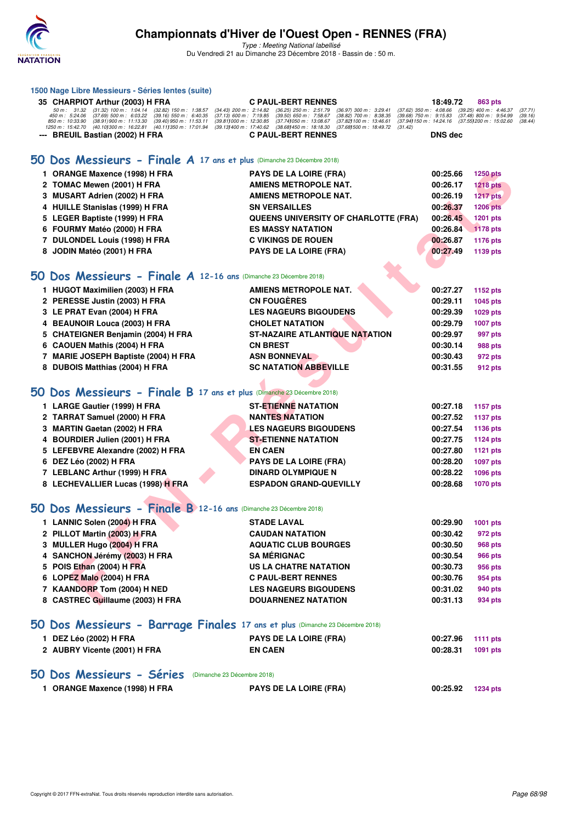

**1500 Nage Libre Messieurs - Séries lentes (suite)**

#### **Championnats d'Hiver de l'Ouest Open - RENNES (FRA)**

| 35 CHARPIOT Arthur (2003) H FRA                                                                                                                                                                                   | <b>C PAUL-BERT RENNES</b>                                                                                                                                              | 18:49.72       | 863 pts                                                |                    |
|-------------------------------------------------------------------------------------------------------------------------------------------------------------------------------------------------------------------|------------------------------------------------------------------------------------------------------------------------------------------------------------------------|----------------|--------------------------------------------------------|--------------------|
| 50 m : 31.32 (31.32) 100 m : 1:04.14<br>50 m : 5:24.06 (37.69) 500 m : 6:03.22<br>$(32.82)$ 150 m : 1:38.57<br>(34.43) 200 m : 2:14.82<br>450 m : 5:24.06<br>(39.16) 550 m : 6:40.35<br>$(37.13)$ 600 m : 7:19.85 | $(36.25)$ 250 m : 2:51.79<br>(37.62) 350 m : 4:08.66<br>$(36.97)$ 300 m : 3:29.41<br>$(39.50)$ 650 m : 7:58.67<br>$(38.82)$ 700 m : 8:38.35<br>(39.68) 750 m : 9:15.83 |                | $(39.25)$ 400 m : 4:46.37<br>$(37.48)$ 800 m : 9:54.99 | (37.71)<br>(39.16) |
| 850 m: 10:33.90 (38.91) 900 m: 11:13.30<br>$(39.40)$ 950 m : 11:53.11<br>(39.811000 m: 12:30.85<br>1250 m : 15:42.70 (40.101300 m : 16:22.81<br>(40.111350 m : 17:01.94                                           | (37.74) 050 m : 13:08.67<br>(37.82) 100 m : 13:46.61<br>(39.131400 m : 17:40.62 (38.681450 m : 18:18.30)<br>(37.681500 m : 18:49.72<br>(31.42)                         |                | (37.94) 150 m : 14:24.16 (37.55) 200 m : 15:02.60      | (38.44)            |
| --- BREUIL Bastian (2002) H FRA                                                                                                                                                                                   | <b>C PAUL-BERT RENNES</b>                                                                                                                                              | <b>DNS dec</b> |                                                        |                    |
|                                                                                                                                                                                                                   |                                                                                                                                                                        |                |                                                        |                    |
| 50 Dos Messieurs - Finale A 17 ans et plus (Dimanche 23 Décembre 2018)                                                                                                                                            |                                                                                                                                                                        |                |                                                        |                    |
| 1 ORANGE Maxence (1998) H FRA                                                                                                                                                                                     | <b>PAYS DE LA LOIRE (FRA)</b>                                                                                                                                          | 00:25.66       | <b>1250 pts</b>                                        |                    |
| 2 TOMAC Mewen (2001) H FRA                                                                                                                                                                                        | AMIENS METROPOLE NAT.                                                                                                                                                  | 00:26.17       | <b>1218 pts</b>                                        |                    |
| 3 MUSART Adrien (2002) H FRA                                                                                                                                                                                      | <b>AMIENS METROPOLE NAT.</b>                                                                                                                                           | 00:26.19       | 1217 pts                                               |                    |
| 4 HUILLE Stanislas (1999) H FRA                                                                                                                                                                                   | <b>SN VERSAILLES</b>                                                                                                                                                   | 00:26.37       | <b>1206 pts</b>                                        |                    |
| 5 LEGER Baptiste (1999) H FRA                                                                                                                                                                                     | QUEENS UNIVERSITY OF CHARLOTTE (FRA)                                                                                                                                   | 00:26.45       | <b>1201 pts</b>                                        |                    |
| 6 FOURMY Matéo (2000) H FRA                                                                                                                                                                                       | <b>ES MASSY NATATION</b>                                                                                                                                               | 00:26.84       | 1178 pts                                               |                    |
| 7 DULONDEL Louis (1998) H FRA                                                                                                                                                                                     | <b>C VIKINGS DE ROUEN</b>                                                                                                                                              | 00:26.87       | 1176 pts                                               |                    |
| 8 JODIN Matéo (2001) H FRA                                                                                                                                                                                        | <b>PAYS DE LA LOIRE (FRA)</b>                                                                                                                                          | 00:27.49       | 1139 pts                                               |                    |
|                                                                                                                                                                                                                   |                                                                                                                                                                        |                |                                                        |                    |
| 50 Dos Messieurs - Finale A 12-16 ans (Dimanche 23 Décembre 2018)                                                                                                                                                 |                                                                                                                                                                        |                |                                                        |                    |
|                                                                                                                                                                                                                   |                                                                                                                                                                        |                |                                                        |                    |
| 1 HUGOT Maximilien (2003) H FRA                                                                                                                                                                                   | <b>AMIENS METROPOLE NAT.</b>                                                                                                                                           | 00:27.27       | 1152 pts                                               |                    |
| 2 PERESSE Justin (2003) H FRA                                                                                                                                                                                     | <b>CN FOUGÈRES</b>                                                                                                                                                     | 00:29.11       | 1045 pts                                               |                    |
| 3 LE PRAT Evan (2004) H FRA                                                                                                                                                                                       | <b>LES NAGEURS BIGOUDENS</b>                                                                                                                                           | 00:29.39       | 1029 pts                                               |                    |
| 4 BEAUNOIR Louca (2003) H FRA                                                                                                                                                                                     | <b>CHOLET NATATION</b>                                                                                                                                                 | 00:29.79       | <b>1007 pts</b>                                        |                    |
| 5 CHATEIGNER Benjamin (2004) H FRA                                                                                                                                                                                | ST-NAZAIRE ATLANTIQUE NATATION                                                                                                                                         | 00:29.97       | 997 pts                                                |                    |
| 6 CAOUEN Mathis (2004) H FRA                                                                                                                                                                                      | <b>CN BREST</b>                                                                                                                                                        | 00:30.14       | 988 pts                                                |                    |
| 7 MARIE JOSEPH Baptiste (2004) H FRA                                                                                                                                                                              | <b>ASN BONNEVAL</b>                                                                                                                                                    | 00:30.43       | 972 pts                                                |                    |
| 8 DUBOIS Matthias (2004) H FRA                                                                                                                                                                                    | <b>SC NATATION ABBEVILLE</b>                                                                                                                                           | 00:31.55       | 912 pts                                                |                    |
|                                                                                                                                                                                                                   |                                                                                                                                                                        |                |                                                        |                    |
| 50 Dos Messieurs - Finale B 17 ans et plus (Dimanche 23 Décembre 2018)                                                                                                                                            |                                                                                                                                                                        |                |                                                        |                    |
| 1 LARGE Gautier (1999) H FRA                                                                                                                                                                                      | <b>ST-ETIENNE NATATION</b>                                                                                                                                             | 00:27.18       | 1157 pts                                               |                    |
| 2 TARRAT Samuel (2000) H FRA                                                                                                                                                                                      | <b>NANTES NATATION</b>                                                                                                                                                 | 00:27.52       | <b>1137 pts</b>                                        |                    |
| 3 MARTIN Gaetan (2002) H FRA                                                                                                                                                                                      | <b>LES NAGEURS BIGOUDENS</b>                                                                                                                                           | 00:27.54       | 1136 pts                                               |                    |
| 4 BOURDIER Julien (2001) H FRA                                                                                                                                                                                    | <b>ST-ETIENNE NATATION</b>                                                                                                                                             | 00:27.75       | <b>1124 pts</b>                                        |                    |
| 5 LEFEBVRE Alexandre (2002) H FRA                                                                                                                                                                                 | <b>EN CAEN</b>                                                                                                                                                         | 00:27.80       | <b>1121 pts</b>                                        |                    |
| 6 DEZ Léo (2002) H FRA                                                                                                                                                                                            | <b>PAYS DE LA LOIRE (FRA)</b>                                                                                                                                          | 00:28.20       | <b>1097 pts</b>                                        |                    |
| 7 LEBLANC Arthur (1999) H FRA                                                                                                                                                                                     | <b>DINARD OLYMPIQUE N</b>                                                                                                                                              | 00:28.22       | 1096 pts                                               |                    |
| 8 LECHEVALLIER Lucas (1998) H FRA                                                                                                                                                                                 | <b>ESPADON GRAND-QUEVILLY</b>                                                                                                                                          | 00:28.68       | <b>1070 pts</b>                                        |                    |
|                                                                                                                                                                                                                   |                                                                                                                                                                        |                |                                                        |                    |
| 50 Dos Messieurs - Finale B 12-16 ans (Dimanche 23 Décembre 2018)                                                                                                                                                 |                                                                                                                                                                        |                |                                                        |                    |
| 1 LANNIC Solen (2004) H FRA                                                                                                                                                                                       | <b>STADE LAVAL</b>                                                                                                                                                     | 00:29.90       | <b>1001 pts</b>                                        |                    |
| 2 PILLOT Martin (2003) H FRA                                                                                                                                                                                      | <b>CAUDAN NATATION</b>                                                                                                                                                 | 00:30.42       | 972 pts                                                |                    |
| 3 MULLER Hugo (2004) H FRA                                                                                                                                                                                        | <b>AQUATIC CLUB BOURGES</b>                                                                                                                                            | 00:30.50       |                                                        |                    |
| 4 SANCHON Jérémy (2003) H FRA                                                                                                                                                                                     | <b>SA MÉRIGNAC</b>                                                                                                                                                     | 00:30.54       | 968 pts                                                |                    |
|                                                                                                                                                                                                                   |                                                                                                                                                                        | 00:30.73       | <b>966 pts</b>                                         |                    |
| 5 POIS Ethan (2004) H FRA                                                                                                                                                                                         | <b>US LA CHATRE NATATION</b>                                                                                                                                           |                | 956 pts                                                |                    |
| 6 LOPEZ Malo (2004) H FRA                                                                                                                                                                                         | <b>C PAUL-BERT RENNES</b>                                                                                                                                              | 00:30.76       | 954 pts                                                |                    |
| 7 KAANDORP Tom (2004) H NED                                                                                                                                                                                       | <b>LES NAGEURS BIGOUDENS</b>                                                                                                                                           | 00:31.02       | 940 pts                                                |                    |
| 8 CASTREC Guillaume (2003) H FRA                                                                                                                                                                                  | <b>DOUARNENEZ NATATION</b>                                                                                                                                             | 00:31.13       | 934 pts                                                |                    |
|                                                                                                                                                                                                                   |                                                                                                                                                                        |                |                                                        |                    |
| 50 Dos Messieurs - Barrage Finales 17 ans et plus (Dimanche 23 Décembre 2018)                                                                                                                                     |                                                                                                                                                                        |                |                                                        |                    |
| 1 DEZ Léo (2002) H FRA                                                                                                                                                                                            | <b>PAYS DE LA LOIRE (FRA)</b>                                                                                                                                          | 00:27.96       | <b>1111 pts</b>                                        |                    |
| 2 AUBRY Vicente (2001) H FRA                                                                                                                                                                                      | <b>EN CAEN</b>                                                                                                                                                         | 00:28.31       | 1091 pts                                               |                    |
|                                                                                                                                                                                                                   |                                                                                                                                                                        |                |                                                        |                    |
| 50 Dos Messieurs - Séries (Dimanche 23 Décembre 2018)                                                                                                                                                             |                                                                                                                                                                        |                |                                                        |                    |
| 1 ORANGE Maxence (1998) H FRA                                                                                                                                                                                     | <b>PAYS DE LA LOIRE (FRA)</b>                                                                                                                                          | 00:25.92       | <b>1234 pts</b>                                        |                    |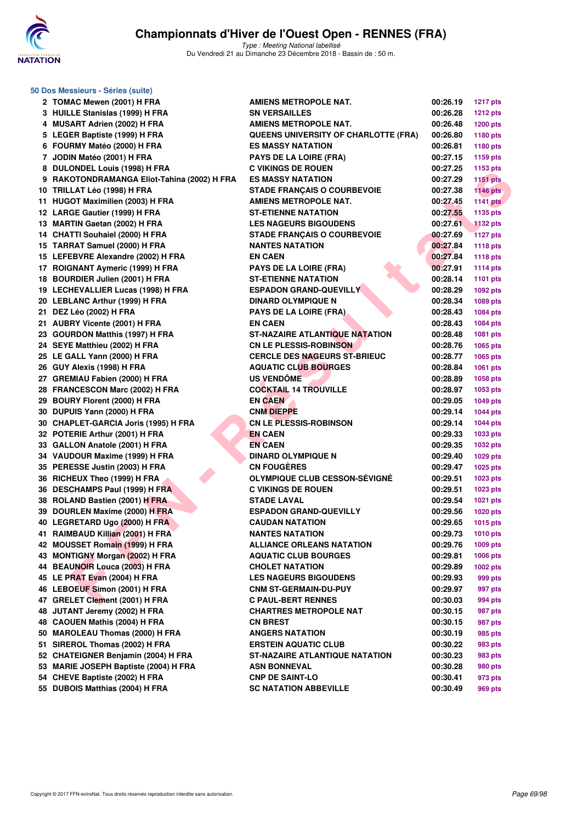

| 50 Dos Messieurs - Séries (suite)           |                                       |          |                 |
|---------------------------------------------|---------------------------------------|----------|-----------------|
| 2 TOMAC Mewen (2001) H FRA                  | AMIENS METROPOLE NAT.                 | 00:26.19 | <b>1217 pts</b> |
| 3 HUILLE Stanislas (1999) H FRA             | <b>SN VERSAILLES</b>                  | 00:26.28 | <b>1212 pts</b> |
| 4 MUSART Adrien (2002) H FRA                | <b>AMIENS METROPOLE NAT.</b>          | 00:26.48 | <b>1200 pts</b> |
| 5 LEGER Baptiste (1999) H FRA               | QUEENS UNIVERSITY OF CHARLOTTE (FRA)  | 00:26.80 | 1180 pts        |
| 6 FOURMY Matéo (2000) H FRA                 | <b>ES MASSY NATATION</b>              | 00:26.81 | 1180 pts        |
| 7 JODIN Matéo (2001) H FRA                  | <b>PAYS DE LA LOIRE (FRA)</b>         | 00:27.15 | 1159 pts        |
| 8 DULONDEL Louis (1998) H FRA               | <b>C VIKINGS DE ROUEN</b>             | 00:27.25 | 1153 pts        |
| 9 RAKOTONDRAMANGA Eliot-Tahina (2002) H FRA | <b>ES MASSY NATATION</b>              | 00:27.29 | <b>1151 pts</b> |
| 10 TRILLAT Léo (1998) H FRA                 | <b>STADE FRANÇAIS O COURBEVOIE</b>    | 00:27.38 | <b>1146 pts</b> |
| 11 HUGOT Maximilien (2003) H FRA            | <b>AMIENS METROPOLE NAT.</b>          | 00:27.45 | <b>1141 pts</b> |
| 12 LARGE Gautier (1999) H FRA               | <b>ST-ETIENNE NATATION</b>            | 00:27.55 | 1135 pts        |
| 13 MARTIN Gaetan (2002) H FRA               | <b>LES NAGEURS BIGOUDENS</b>          | 00:27.61 | <b>1132 pts</b> |
| 14 CHATTI Souhaiel (2000) H FRA             | <b>STADE FRANÇAIS O COURBEVOIE</b>    | 00:27.69 | <b>1127 pts</b> |
| 15 TARRAT Samuel (2000) H FRA               | <b>NANTES NATATION</b>                | 00:27.84 | <b>1118 pts</b> |
| 15 LEFEBVRE Alexandre (2002) H FRA          | <b>EN CAEN</b>                        | 00:27.84 | <b>1118 pts</b> |
| 17 ROIGNANT Aymeric (1999) H FRA            | <b>PAYS DE LA LOIRE (FRA)</b>         | 00:27.91 | <b>1114 pts</b> |
| 18 BOURDIER Julien (2001) H FRA             | <b>ST-ETIENNE NATATION</b>            | 00:28.14 | <b>1101 pts</b> |
| 19 LECHEVALLIER Lucas (1998) H FRA          | <b>ESPADON GRAND-QUEVILLY</b>         | 00:28.29 | 1092 pts        |
| 20 LEBLANC Arthur (1999) H FRA              | <b>DINARD OLYMPIQUE N</b>             | 00:28.34 | 1089 pts        |
| 21 DEZ Léo (2002) H FRA                     | <b>PAYS DE LA LOIRE (FRA)</b>         | 00:28.43 | 1084 pts        |
| 21 AUBRY Vicente (2001) H FRA               | <b>EN CAEN</b>                        | 00:28.43 | 1084 pts        |
| 23 GOURDON Matthis (1997) H FRA             | <b>ST-NAZAIRE ATLANTIQUE NATATION</b> | 00:28.48 | 1081 pts        |
| 24 SEYE Matthieu (2002) H FRA               | <b>CN LE PLESSIS-ROBINSON</b>         | 00:28.76 | 1065 pts        |
| 25 LE GALL Yann (2000) H FRA                | <b>CERCLE DES NAGEURS ST-BRIEUC</b>   | 00:28.77 | 1065 pts        |
| 26 GUY Alexis (1998) H FRA                  | <b>AQUATIC CLUB BOURGES</b>           | 00:28.84 | 1061 pts        |
| 27 GREMIAU Fabien (2000) H FRA              | <b>US VENDÔME</b>                     | 00:28.89 | 1058 pts        |
| 28 FRANCESCON Marc (2002) H FRA             | <b>COCKTAIL 14 TROUVILLE</b>          | 00:28.97 | 1053 pts        |
| 29 BOURY Florent (2000) H FRA               | <b>EN CAEN</b>                        | 00:29.05 | <b>1049 pts</b> |
| 30 DUPUIS Yann (2000) H FRA                 | <b>CNM DIEPPE</b>                     | 00:29.14 | <b>1044 pts</b> |
| 30 CHAPLET-GARCIA Joris (1995) H FRA        | <b>CN LE PLESSIS-ROBINSON</b>         | 00:29.14 | <b>1044 pts</b> |
| 32 POTERIE Arthur (2001) H FRA              | <b>EN CAEN</b>                        | 00:29.33 | 1033 pts        |
| 33 GALLON Anatole (2001) H FRA              | <b>EN CAEN</b>                        | 00:29.35 | 1032 pts        |
| 34 VAUDOUR Maxime (1999) H FRA              | <b>DINARD OLYMPIQUE N</b>             | 00:29.40 | 1029 pts        |
| 35 PERESSE Justin (2003) H FRA              | <b>CN FOUGÈRES</b>                    | 00:29.47 | 1025 pts        |
| 36 RICHEUX Theo (1999) H FRA                | <b>OLYMPIQUE CLUB CESSON-SÉVIGNÉ</b>  | 00:29.51 | 1023 pts        |
| 36 DESCHAMPS Paul (1999) H FRA              | <b>C VIKINGS DE ROUEN</b>             | 00:29.51 | 1023 pts        |
| 38 ROLAND Bastien (2001) H FRA              | <b>STADE LAVAL</b>                    | 00:29.54 | 1021 pts        |
| 39 DOURLEN Maxime (2000) H FRA              | <b>ESPADON GRAND-QUEVILLY</b>         | 00:29.56 | <b>1020 pts</b> |
| 40 LEGRETARD Ugo (2000) H FRA               | <b>CAUDAN NATATION</b>                | 00:29.65 | <b>1015 pts</b> |
| 41 RAIMBAUD Killian (2001) H FRA            | <b>NANTES NATATION</b>                | 00:29.73 | <b>1010 pts</b> |
| 42 MOUSSET Romain (1999) H FRA              | <b>ALLIANCE ORLEANS NATATION</b>      | 00:29.76 | 1009 pts        |
| 43 MONTIGNY Morgan (2002) H FRA             | <b>AQUATIC CLUB BOURGES</b>           | 00:29.81 | 1006 pts        |
| 44 BEAUNOIR Louca (2003) H FRA              | <b>CHOLET NATATION</b>                | 00:29.89 | 1002 pts        |
| 45 LE PRAT Evan (2004) H FRA                | <b>LES NAGEURS BIGOUDENS</b>          | 00:29.93 | 999 pts         |
| 46 LEBOEUF Simon (2001) H FRA               | <b>CNM ST-GERMAIN-DU-PUY</b>          | 00:29.97 | 997 pts         |
| 47 GRELET Clement (2001) H FRA              | <b>C PAUL-BERT RENNES</b>             | 00:30.03 | 994 pts         |
| 48 JUTANT Jeremy (2002) H FRA               | <b>CHARTRES METROPOLE NAT</b>         | 00:30.15 | 987 pts         |
| 48 CAOUEN Mathis (2004) H FRA               | <b>CN BREST</b>                       | 00:30.15 | 987 pts         |
| 50 MAROLEAU Thomas (2000) H FRA             | <b>ANGERS NATATION</b>                | 00:30.19 | 985 pts         |
| 51 SIREROL Thomas (2002) H FRA              | <b>ERSTEIN AQUATIC CLUB</b>           | 00:30.22 | 983 pts         |
| 52 CHATEIGNER Benjamin (2004) H FRA         | <b>ST-NAZAIRE ATLANTIQUE NATATION</b> | 00:30.23 | 983 pts         |
| 53 MARIE JOSEPH Baptiste (2004) H FRA       | <b>ASN BONNEVAL</b>                   | 00:30.28 | 980 pts         |
| 54 CHEVE Baptiste (2002) H FRA              | <b>CNP DE SAINT-LO</b>                | 00:30.41 | 973 pts         |
| 55 DUBOIS Matthias (2004) H FRA             | <b>SC NATATION ABBEVILLE</b>          | 00:30.49 | 969 pts         |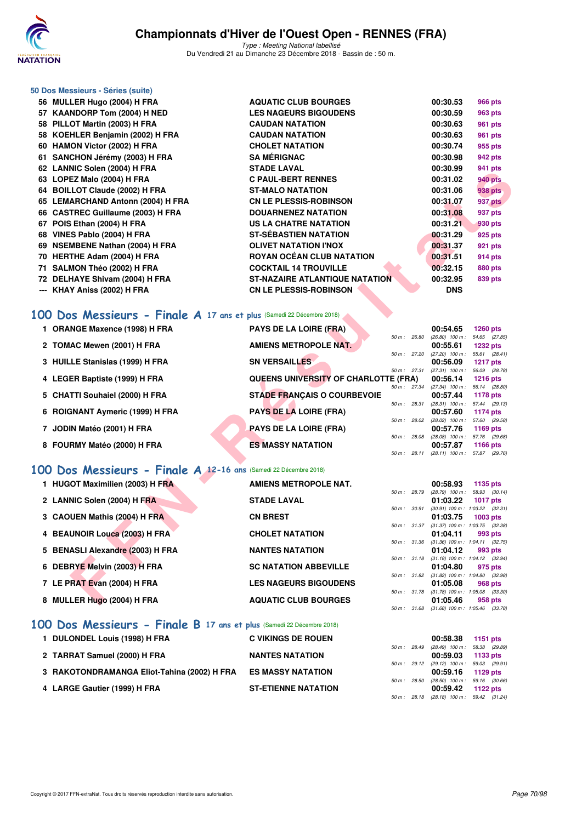

Type : Meeting National labellisé Du Vendredi 21 au Dimanche 23 Décembre 2018 - Bassin de : 50 m.

#### **50 Dos Messieurs - Séries (suite)**

| 56   MULLER Hugo (2004) H FRA                                        | <b>AQUATIC CLUB BOURGES</b>                                           |              | 00:30.53                                               | 966 pts            |  |
|----------------------------------------------------------------------|-----------------------------------------------------------------------|--------------|--------------------------------------------------------|--------------------|--|
| 57 KAANDORP Tom (2004) H NED                                         | <b>LES NAGEURS BIGOUDENS</b>                                          |              | 00:30.59                                               | 963 pts            |  |
| 58 PILLOT Martin (2003) H FRA                                        | <b>CAUDAN NATATION</b>                                                |              | 00:30.63                                               | 961 pts            |  |
| 58 KOEHLER Benjamin (2002) H FRA                                     | <b>CAUDAN NATATION</b>                                                |              | 00:30.63                                               | 961 pts            |  |
| 60 HAMON Victor (2002) H FRA                                         | <b>CHOLET NATATION</b>                                                |              | 00:30.74                                               | 955 pts            |  |
| 61 SANCHON Jérémy (2003) H FRA                                       | <b>SA MÉRIGNAC</b>                                                    |              | 00:30.98                                               | 942 pts            |  |
| 62 LANNIC Solen (2004) H FRA                                         | <b>STADE LAVAL</b>                                                    |              | 00:30.99                                               | 941 pts            |  |
| 63 LOPEZ Malo (2004) H FRA                                           | <b>C PAUL-BERT RENNES</b>                                             |              | 00:31.02                                               | <b>940 pts</b>     |  |
| 64 BOILLOT Claude (2002) H FRA                                       | <b>ST-MALO NATATION</b>                                               |              | 00:31.06                                               | 938 pts            |  |
| 65 LEMARCHAND Antonn (2004) H FRA                                    | <b>CN LE PLESSIS-ROBINSON</b>                                         |              | 00:31.07                                               | 937 pts            |  |
| 66 CASTREC Guillaume (2003) H FRA                                    | <b>DOUARNENEZ NATATION</b>                                            |              | 00:31.08                                               | 937 pts            |  |
| 67 POIS Ethan (2004) H FRA                                           | <b>US LA CHATRE NATATION</b>                                          |              | 00:31.21                                               | 930 pts            |  |
| 68 VINES Pablo (2004) H FRA                                          | <b>ST-SÉBASTIEN NATATION</b>                                          |              | 00:31.29                                               | 925 pts            |  |
| 69 NSEMBENE Nathan (2004) H FRA                                      | <b>OLIVET NATATION I'NOX</b>                                          |              | 00:31.37                                               | 921 pts            |  |
| 70 HERTHE Adam (2004) H FRA                                          | <b>ROYAN OCÉAN CLUB NATATION</b>                                      |              | 00:31.51                                               | 914 pts            |  |
| 71 SALMON Théo (2002) H FRA<br>72 DELHAYE Shivam (2004) H FRA        | <b>COCKTAIL 14 TROUVILLE</b><br><b>ST-NAZAIRE ATLANTIQUE NATATION</b> |              | 00:32.15<br>00:32.95                                   | 880 pts<br>839 pts |  |
| --- KHAY Aniss (2002) H FRA                                          | <b>CN LE PLESSIS-ROBINSON</b>                                         |              | <b>DNS</b>                                             |                    |  |
|                                                                      |                                                                       |              |                                                        |                    |  |
| 00 Dos Messieurs - Finale A 17 ans et plus (Samedi 22 Décembre 2018) |                                                                       |              |                                                        |                    |  |
|                                                                      |                                                                       |              |                                                        |                    |  |
| 1 ORANGE Maxence (1998) H FRA                                        | <b>PAYS DE LA LOIRE (FRA)</b>                                         | 50 m: 26.80  | 00:54.65<br>$(26.80)$ 100 m : 54.65 $(27.85)$          | <b>1260 pts</b>    |  |
| 2 TOMAC Mewen (2001) H FRA                                           | <b>AMIENS METROPOLE NAT.</b>                                          |              | 00:55.61                                               | <b>1232 pts</b>    |  |
|                                                                      |                                                                       | 50 m : 27.20 | $(27.20)$ 100 m : 55.61 $(28.41)$                      |                    |  |
| 3 HUILLE Stanislas (1999) H FRA                                      | <b>SN VERSAILLES</b>                                                  | 50 m : 27.31 | 00:56.09<br>$(27.31)$ 100 m : 56.09 $(28.78)$          | <b>1217 pts</b>    |  |
| 4 LEGER Baptiste (1999) H FRA                                        | QUEENS UNIVERSITY OF CHARLOTTE (FRA)                                  |              | 00:56.14                                               | <b>1216 pts</b>    |  |
| 5 CHATTI Souhaiel (2000) H FRA                                       | <b>STADE FRANÇAIS O COURBEVOIE</b>                                    | 50 m : 27.34 | (27.34) 100 m: 56.14 (28.80)<br>00:57.44               | 1178 pts           |  |
|                                                                      |                                                                       | 50 m : 28.31 | $(28.31)$ 100 m : 57.44 $(29.13)$                      |                    |  |
| 6 ROIGNANT Aymeric (1999) H FRA                                      | <b>PAYS DE LA LOIRE (FRA)</b>                                         |              | 00:57.60                                               | 1174 pts           |  |
| 7 JODIN Matéo (2001) H FRA                                           | <b>PAYS DE LA LOIRE (FRA)</b>                                         |              | 50 m : 28.02 (28.02) 100 m : 57.60 (29.58)<br>00:57.76 | 1169 $pts$         |  |
|                                                                      |                                                                       | 50 m : 28.08 | $(28.08)$ 100 m : 57.76 $(29.68)$                      |                    |  |
| 8 FOURMY Matéo (2000) H FRA                                          | <b>ES MASSY NATATION</b>                                              | 50 m: 28.11  | 00:57.87<br>$(28.11)$ 100 m : 57.87 $(29.76)$          | <b>1166 pts</b>    |  |
|                                                                      |                                                                       |              |                                                        |                    |  |
| 00 Dos Messieurs - Finale A 12-16 ans (Samedi 22 Décembre 2018)      |                                                                       |              |                                                        |                    |  |
| 1 HUGOT Maximilien (2003) H FRA                                      | AMIENS METROPOLE NAT.                                                 |              | 00:58.93                                               | 1135 pts           |  |
|                                                                      |                                                                       | 50 m : 28.79 | $(28.79)$ 100 m : 58.93 $(30.14)$                      |                    |  |
| 2 LANNIC Solen (2004) H FRA                                          | <b>STADE LAVAL</b>                                                    | 50 m : 30.91 | 01:03.22<br>$(30.91)$ 100 m : 1:03.22 $(32.31)$        | <b>1017 pts</b>    |  |
| 3 CAOUEN Mathis (2004) H FRA                                         | <b>CN BREST</b>                                                       |              | 01:03.75                                               | $1003$ pts         |  |
| 4 BEAUNOIR Louca (2003) H FRA                                        | <b>CHOLET NATATION</b>                                                |              | 50 m: 31.37 (31.37) 100 m: 1:03.75 (32.38)<br>01:04.11 | 993 pts            |  |
|                                                                      |                                                                       |              | 50 m: 31.36 (31.36) 100 m: 1:04.11 (32.75)             |                    |  |
| 5 BENASLI Alexandre (2003) H FRA                                     | <b>NANTES NATATION</b>                                                |              | 01:04.12                                               | 993 pts            |  |
| 6 DEBRYE Melvin (2003) H FRA                                         | <b>SC NATATION ABBEVILLE</b>                                          |              | 50 m: 31.18 (31.18) 100 m: 1:04.12 (32.94)<br>01:04.80 | 975 pts            |  |
|                                                                      |                                                                       |              | 50 m: 31.82 (31.82) 100 m: 1:04.80 (32.98)             |                    |  |
| 7 LE PRAT Evan (2004) H FRA                                          | <b>LES NAGEURS BIGOUDENS</b>                                          |              | 01:05.08                                               | 968 pts            |  |
| 8 MULLER Hugo (2004) H FRA                                           | <b>AQUATIC CLUB BOURGES</b>                                           |              | 50 m: 31.78 (31.78) 100 m: 1:05.08 (33.30)<br>01:05.46 | 958 pts            |  |
|                                                                      |                                                                       |              |                                                        |                    |  |

## **[100 Dos Messieurs - Finale A](http://www.ffnatation.fr/webffn/resultats.php?idact=nat&go=epr&idcpt=55947&idepr=62) 17 ans et plus** (Samedi 22 Décembre 2018)

| 1 ORANGE Maxence (1998) H FRA   | <b>PAYS DE LA LOIRE (FRA)</b>                                | 00:54.65<br><b>1260 pts</b>                                       |
|---------------------------------|--------------------------------------------------------------|-------------------------------------------------------------------|
| 2 TOMAC Mewen (2001) H FRA      | 50 m: 26.80<br><b>AMIENS METROPOLE NAT.</b>                  | $(26.80)$ 100 m :<br>54.65 (27.85)<br>00:55.61<br><b>1232 pts</b> |
| 3 HUILLE Stanislas (1999) H FRA | 50 m: 27.20<br><b>SN VERSAILLES</b>                          | $(27.20)$ 100 m :<br>55.61 (28.41)<br>00:56.09<br>1217 $p$ ts     |
| 4 LEGER Baptiste (1999) H FRA   | $50 m$ : 27.31<br>QUEENS UNIVERSITY OF CHARLOTTE (FRA)       | $(27.31)$ 100 m :<br>56.09 (28.78)<br>00:56.14<br>$1216$ pts      |
| 5 CHATTI Souhaiel (2000) H FRA  | $50 \text{ m}$ : 27.34<br><b>STADE FRANÇAIS O COURBEVOIE</b> | $(27.34)$ 100 m :<br>56.14 (28.80)<br>00:57.44<br>1178 $pts$      |
| 6 ROIGNANT Aymeric (1999) H FRA | 50 m: 28.31<br><b>PAYS DE LA LOIRE (FRA)</b>                 | 57.44 (29.13)<br>$(28.31)$ 100 m :<br>00:57.60<br><b>1174 pts</b> |
| 7 JODIN Matéo (2001) H FRA      | 50 m: 28.02<br><b>PAYS DE LA LOIRE (FRA)</b>                 | 57.60 (29.58)<br>$(28.02)$ 100 m :<br>00:57.76<br>1169 $pts$      |
| 8 FOURMY Matéo (2000) H FRA     | 50 m: 28.08<br><b>ES MASSY NATATION</b>                      | $(28.08)$ 100 m :<br>57.76 (29.68)<br>00:57.87<br><b>1166 pts</b> |
|                                 | 50 m: 28.11                                                  | $(28.11)$ 100 m : 57.87 $(29.76)$                                 |

#### **[100 Dos Messieurs - Finale A](http://www.ffnatation.fr/webffn/resultats.php?idact=nat&go=epr&idcpt=55947&idepr=62) 12-16 ans** (Samedi 22 Décembre 2018)

| 1 HUGOT Maximilien (2003) H FRA  | AMIENS METROPOLE NAT.        |              |              | 00:58.93                                               | 1135 pts    |               |
|----------------------------------|------------------------------|--------------|--------------|--------------------------------------------------------|-------------|---------------|
|                                  |                              | 50 m : 28.79 |              | $(28.79)$ 100 m :                                      |             | 58.93 (30.14) |
| 2 LANNIC Solen (2004) H FRA      | <b>STADE LAVAL</b>           |              |              | 01:03.22                                               | 1017 $p$ ts |               |
|                                  |                              |              | 50 m : 30.91 | $(30.91)$ 100 m : 1:03.22 $(32.31)$                    |             |               |
| 3 CAOUEN Mathis (2004) H FRA     | <b>CN BREST</b>              |              |              | 01:03.75<br>50 m: 31.37 (31.37) 100 m: 1:03.75 (32.38) | $1003$ pts  |               |
| 4 BEAUNOIR Louca (2003) H FRA    | <b>CHOLET NATATION</b>       |              |              | 01:04.11                                               |             | 993 pts       |
|                                  |                              |              | 50 m : 31.36 | $(31.36)$ 100 m : 1:04.11 $(32.75)$                    |             |               |
| 5 BENASLI Alexandre (2003) H FRA | <b>NANTES NATATION</b>       |              |              | 01:04.12                                               |             | 993 pts       |
|                                  |                              |              |              | 50 m: 31.18 (31.18) 100 m: 1:04.12 (32.94)             |             |               |
| 6 DEBRYE Melvin (2003) H FRA     | <b>SC NATATION ABBEVILLE</b> |              |              | 01:04.80                                               |             | 975 pts       |
|                                  |                              |              |              | 50 m: 31.82 (31.82) 100 m: 1:04.80 (32.98)             |             |               |
| 7 LE PRAT Evan (2004) H FRA      | <b>LES NAGEURS BIGOUDENS</b> |              |              | 01:05.08                                               |             | 968 pts       |
|                                  |                              |              | 50 m: 31.78  | $(31.78)$ 100 m : 1:05.08 $(33.30)$                    |             |               |
| 8 MULLER Hugo (2004) H FRA       | <b>AQUATIC CLUB BOURGES</b>  |              |              | 01:05.46                                               |             | 958 pts       |
|                                  |                              |              |              | 50 m: 31.68 (31.68) 100 m: 1:05.46 (33.78)             |             |               |

#### **[100 Dos Messieurs - Finale B](http://www.ffnatation.fr/webffn/resultats.php?idact=nat&go=epr&idcpt=55947&idepr=62) 17 ans et plus** (Samedi 22 Décembre 2018)

| 1 DULONDEL Louis (1998) H FRA               | <b>C VIKINGS DE ROUEN</b>  |  | 00:58.38                                                      | 1151 pts        |
|---------------------------------------------|----------------------------|--|---------------------------------------------------------------|-----------------|
| 2 TARRAT Samuel (2000) H FRA                | <b>NANTES NATATION</b>     |  | 50 m : 28.49 (28.49) 100 m : 58.38 (29.89)<br>00:59.03        | 1133 pts        |
| 3 RAKOTONDRAMANGA Eliot-Tahina (2002) H FRA | <b>ES MASSY NATATION</b>   |  | 50 m: 29.12 (29.12) 100 m: 59.03 (29.91)<br>00:59.16 1129 pts |                 |
| 4 LARGE Gautier (1999) H FRA                | <b>ST-ETIENNE NATATION</b> |  | 50 m : 28.50 (28.50) 100 m : 59.16 (30.66)<br>00:59.42        | <b>1122 pts</b> |
|                                             |                            |  | 50 m: 28.18 (28.18) 100 m: 59.42 (31.24)                      |                 |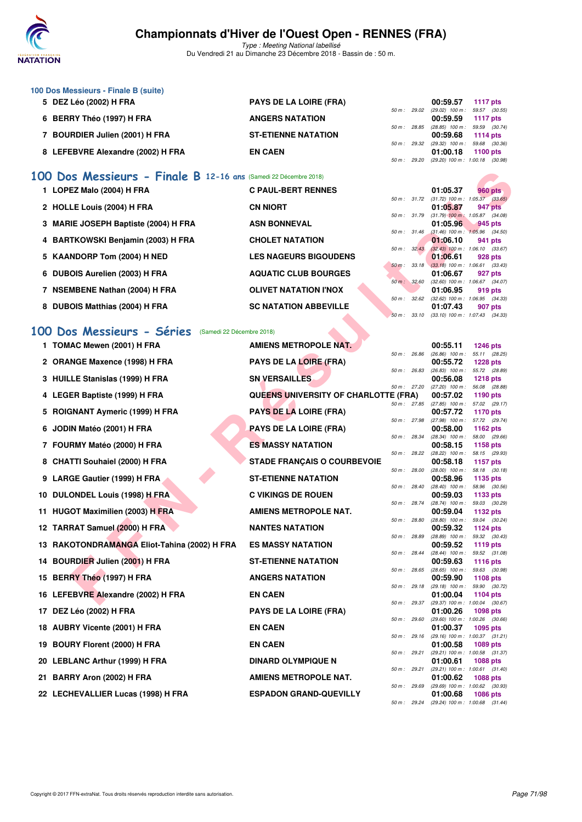

Type : Meeting National labellisé Du Vendredi 21 au Dimanche 23 Décembre 2018 - Bassin de : 50 m.

| 100 Dos Messieurs - Finale B (suite) |                               |                        |                                     |                 |
|--------------------------------------|-------------------------------|------------------------|-------------------------------------|-----------------|
| 5 DEZ Léo (2002) H FRA               | <b>PAYS DE LA LOIRE (FRA)</b> |                        | 00:59.57                            | 1117 pts        |
|                                      |                               | 50 m: 29.02            | $(29.02)$ 100 m : 59.57 $(30.55)$   |                 |
| 6 BERRY Théo (1997) H FRA            | <b>ANGERS NATATION</b>        |                        | 00:59.59                            | <b>1117 pts</b> |
|                                      |                               | 50 m : 28.85           | $(28.85)$ 100 m : 59.59 $(30.74)$   |                 |
| <b>BOURDIER Julien (2001) H FRA</b>  | <b>ST-ETIENNE NATATION</b>    |                        | 00:59.68                            | 1114 $pts$      |
|                                      |                               | $50 \text{ m}$ : 29.32 | $(29.32)$ 100 m : 59.68 $(30.36)$   |                 |
| 8 LEFEBVRE Alexandre (2002) H FRA    | <b>EN CAEN</b>                |                        | 01:00.18                            | $1100$ pts      |
|                                      |                               | 50 m : 29.20           | $(29.20)$ 100 m : 1:00.18 $(30.98)$ |                 |

## **[100 Dos Messieurs - Finale B](http://www.ffnatation.fr/webffn/resultats.php?idact=nat&go=epr&idcpt=55947&idepr=62) 12-16 ans** (Samedi 22 Décembre 2018)

| 1 LOPEZ Malo (2004) H FRA            | <b>C PAUL-BERT RENNES</b>    |             |              | 01:05.37                                        |                     | <b>960 pts</b> |
|--------------------------------------|------------------------------|-------------|--------------|-------------------------------------------------|---------------------|----------------|
|                                      |                              |             | 50 m : 31.72 | $(31.72)$ 100 m : 1:05.37 $(33.65)$             |                     |                |
| 2 HOLLE Louis (2004) H FRA           | <b>CN NIORT</b>              |             |              | 01:05.87                                        |                     | 947 pts        |
|                                      |                              |             | 50 m: 31.79  | $(31.79)$ 100 m :                               | $1:05.87$ $(34.08)$ |                |
| 3 MARIE JOSEPH Baptiste (2004) H FRA | <b>ASN BONNEVAL</b>          |             | 50 m: 31.46  | 01:05.96<br>$(31.46)$ 100 m : 1:05.96 $(34.50)$ |                     | $945$ pts      |
| 4 BARTKOWSKI Benjamin (2003) H FRA   | <b>CHOLET NATATION</b>       |             |              | 01:06.10                                        |                     | 941 pts        |
|                                      |                              |             | 50 m: 32.43  | $(32.43)$ 100 m : 1:06.10 $(33.67)$             |                     |                |
| 5 KAANDORP Tom (2004) H NED          | <b>LES NAGEURS BIGOUDENS</b> |             |              | 01:06.61                                        |                     | 928 pts        |
|                                      |                              |             |              | 50 m : 33.18 (33.18) 100 m : 1:06.61 (33.43)    |                     |                |
| 6 DUBOIS Aurelien (2003) H FRA       | <b>AQUATIC CLUB BOURGES</b>  |             |              | 01:06.67                                        |                     | 927 pts        |
|                                      |                              | 50 m: 32.60 |              | $(32.60)$ 100 m : 1:06.67 $(34.07)$             |                     |                |
| 7 NSEMBENE Nathan (2004) H FRA       | <b>OLIVET NATATION I'NOX</b> |             |              | 01:06.95                                        |                     | 919 pts        |
|                                      |                              | 50 m: 32.62 |              | $(32.62)$ 100 m : 1:06.95 $(34.33)$             |                     |                |
| 8 DUBOIS Matthias (2004) H FRA       | <b>SC NATATION ABBEVILLE</b> |             |              | 01:07.43                                        |                     | 907 pts        |
|                                      |                              |             | 50 m: 33.10  | $(33.10)$ 100 m : 1:07.43 $(34.33)$             |                     |                |

## **[100 Dos Messieurs - Séries](http://www.ffnatation.fr/webffn/resultats.php?idact=nat&go=epr&idcpt=55947&idepr=62)** (Samedi 22 Décembre 2018)

| 00  | Dos Messieurs - Finale B 12-16 ans (Samedi 22 Décembre 2018) |                                             |              |              |                                                        |                                  |  |
|-----|--------------------------------------------------------------|---------------------------------------------|--------------|--------------|--------------------------------------------------------|----------------------------------|--|
|     | 1 LOPEZ Malo (2004) H FRA                                    | <b>C PAUL-BERT RENNES</b>                   |              |              | 01:05.37                                               | <b>960 pts</b>                   |  |
|     | 2 HOLLE Louis (2004) H FRA                                   | <b>CN NIORT</b>                             |              | 50 m : 31.72 | $(31.72)$ 100 m : 1:05.37 $(33.65)$<br>01:05.87        | 947 pts                          |  |
|     | 3 MARIE JOSEPH Baptiste (2004) H FRA                         | <b>ASN BONNEVAL</b>                         | 50 m: 31.79  |              | $(31.79)$ 100 m : 1:05.87 $(34.08)$<br>01:05.96        | 945 pts                          |  |
|     | 4 BARTKOWSKI Benjamin (2003) H FRA                           | <b>CHOLET NATATION</b>                      | 50 m: 31.46  |              | $(31.46)$ 100 m : 1:05.96 $(34.50)$<br>01:06.10        | 941 pts                          |  |
|     | 5 KAANDORP Tom (2004) H NED                                  | <b>LES NAGEURS BIGOUDENS</b>                | 50 m: 32.43  |              | $(32.43)$ 100 m : 1:06.10 $(33.67)$<br>01:06.61        | 928 pts                          |  |
|     | 6 DUBOIS Aurelien (2003) H FRA                               | <b>AQUATIC CLUB BOURGES</b>                 | 50 m: 33.18  |              | $(33.18)$ 100 m : 1:06.61 $(33.43)$<br>01:06.67        | 927 pts                          |  |
|     |                                                              |                                             | 50 m: 32.60  |              | $(32.60)$ 100 m : 1:06.67 $(34.07)$                    |                                  |  |
|     | 7 NSEMBENE Nathan (2004) H FRA                               | <b>OLIVET NATATION I'NOX</b>                | 50 m : 32.62 |              | 01:06.95<br>$(32.62)$ 100 m : 1:06.95 $(34.33)$        | 919 pts                          |  |
|     | 8 DUBOIS Matthias (2004) H FRA                               | <b>SC NATATION ABBEVILLE</b>                | 50 m: 33.10  |              | 01:07.43<br>$(33.10)$ 100 m : 1:07.43 $(34.33)$        | 907 pts                          |  |
|     | 00 Dos Messieurs - Séries (Samedi 22 Décembre 2018)          |                                             |              |              |                                                        |                                  |  |
|     | 1 TOMAC Mewen (2001) H FRA                                   | <b>AMIENS METROPOLE NAT.</b>                |              |              | 00:55.11                                               | 1246 pts                         |  |
|     |                                                              |                                             | 50 m : 26.86 |              | $(26.86)$ 100 m : 55.11 $(28.25)$                      |                                  |  |
|     | 2 ORANGE Maxence (1998) H FRA                                | <b>PAYS DE LA LOIRE (FRA)</b>               | 50 m : 26.83 |              | 00:55.72<br>$(26.83)$ 100 m :                          | <b>1228 pts</b><br>55.72 (28.89) |  |
|     | 3 HUILLE Stanislas (1999) H FRA                              | <b>SN VERSAILLES</b>                        | 50 m : 27.20 |              | 00:56.08<br>$(27.20)$ 100 m :                          | <b>1218 pts</b><br>56.08 (28.88) |  |
|     | 4 LEGER Baptiste (1999) H FRA                                | <b>QUEENS UNIVERSITY OF CHARLOTTE (FRA)</b> |              |              | 00:57.02                                               | 1190 pts                         |  |
|     | 5 ROIGNANT Aymeric (1999) H FRA                              | <b>PAYS DE LA LOIRE (FRA)</b>               | 50 m : 27.85 |              | $(27.85)$ 100 m :<br>00:57.72                          | 57.02 (29.17)<br><b>1170 pts</b> |  |
|     | 6 JODIN Matéo (2001) H FRA                                   | <b>PAYS DE LA LOIRE (FRA)</b>               | 50 m : 27.98 |              | (27.98) 100 m :<br>00:58.00                            | 57.72 (29.74)<br>1162 pts        |  |
|     |                                                              |                                             | 50 m: 28.34  |              | $(28.34)$ 100 m :                                      | 58.00 (29.66)                    |  |
|     | 7 FOURMY Matéo (2000) H FRA                                  | <b>ES MASSY NATATION</b>                    | 50 m : 28.22 |              | 00:58.15<br>$(28.22)$ 100 m :                          | <b>1158 pts</b><br>58.15 (29.93) |  |
|     | 8 CHATTI Souhaiel (2000) H FRA                               | <b>STADE FRANÇAIS O COURBEVOIE</b>          |              |              | 00:58.18                                               | <b>1157 pts</b>                  |  |
|     | 9 LARGE Gautier (1999) H FRA                                 | <b>ST-ETIENNE NATATION</b>                  | 50 m : 28.00 |              | $(28.00)$ 100 m :<br>00:58.96                          | 58.18 (30.18)<br>1135 pts        |  |
|     | 10 DULONDEL Louis (1998) H FRA                               | <b>C VIKINGS DE ROUEN</b>                   | 50 m : 28.40 |              | $(28.40)$ 100 m :<br>00:59.03                          | 58.96 (30.56)<br>1133 pts        |  |
|     | 11 HUGOT Maximilien (2003) H FRA                             | <b>AMIENS METROPOLE NAT.</b>                | 50 m : 28.74 |              | $(28.74)$ 100 m :<br>00:59.04                          | 59.03 (30.29)<br>1132 pts        |  |
|     |                                                              |                                             | 50 m : 28.80 |              | $(28.80)$ 100 m :                                      | 59.04 (30.24)                    |  |
|     | 12 TARRAT Samuel (2000) H FRA                                | <b>NANTES NATATION</b>                      | 50 m : 28.89 |              | 00:59.32<br>$(28.89)$ 100 m :                          | <b>1124 pts</b><br>59.32 (30.43) |  |
|     | 13 RAKOTONDRAMANGA Eliot-Tahina (2002) H FRA                 | <b>ES MASSY NATATION</b>                    | 50 m : 28.44 |              | 00:59.52<br>$(28.44)$ 100 m :                          | 1119 pts<br>59.52 (31.08)        |  |
|     | 14 BOURDIER Julien (2001) H FRA                              | <b>ST-ETIENNE NATATION</b>                  |              |              | 00:59.63                                               | <b>1116 pts</b>                  |  |
|     | 15 BERRY Théo (1997) H FRA                                   | <b>ANGERS NATATION</b>                      | 50 m : 28.65 |              | $(28.65)$ 100 m :<br>00:59.90                          | 59.63 (30.98)<br>1108 pts        |  |
|     | 16 LEFEBVRE Alexandre (2002) H FRA                           | <b>EN CAEN</b>                              |              | 50 m : 29.18 | $(29.18)$ 100 m :<br>01:00.04                          | 59.90 (30.72)<br>1104 pts        |  |
|     | 17 DEZ Léo (2002) H FRA                                      | <b>PAYS DE LA LOIRE (FRA)</b>               |              |              | 50 m: 29.37 (29.37) 100 m: 1:00.04 (30.67)<br>01:00.26 | <b>1098 pts</b>                  |  |
|     | 18 AUBRY Vicente (2001) H FRA                                | <b>EN CAEN</b>                              | 50 m: 29.60  |              | (29.60) 100 m: 1:00.26 (30.66)<br>01:00.37             | 1095 pts                         |  |
|     | 19 BOURY Florent (2000) H FRA                                | <b>EN CAEN</b>                              |              | 50 m : 29.16 | (29.16) 100 m: 1:00.37 (31.21)<br>01:00.58             | <b>1089 pts</b>                  |  |
|     |                                                              |                                             | 50 m : 29.21 |              | (29.21) 100 m: 1:00.58 (31.37)                         |                                  |  |
|     | 20 LEBLANC Arthur (1999) H FRA                               | <b>DINARD OLYMPIQUE N</b>                   |              | 50 m : 29.21 | 01:00.61<br>$(29.21)$ 100 m : 1:00.61 $(31.40)$        | <b>1088 pts</b>                  |  |
| 21. | BARRY Aron (2002) H FRA                                      | <b>AMIENS METROPOLE NAT.</b>                |              | 50 m : 29.69 | 01:00.62<br>(29.69) 100 m: 1:00.62 (30.93)             | <b>1088 pts</b>                  |  |
|     | 22 LECHEVALLIER Lucas (1998) H FRA                           | <b>ESPADON GRAND-QUEVILLY</b>               |              |              | 01:00.68                                               | 1086 pts                         |  |
|     |                                                              |                                             |              |              | 50 m: 29.24 (29.24) 100 m: 1:00.68 (31.44)             |                                  |  |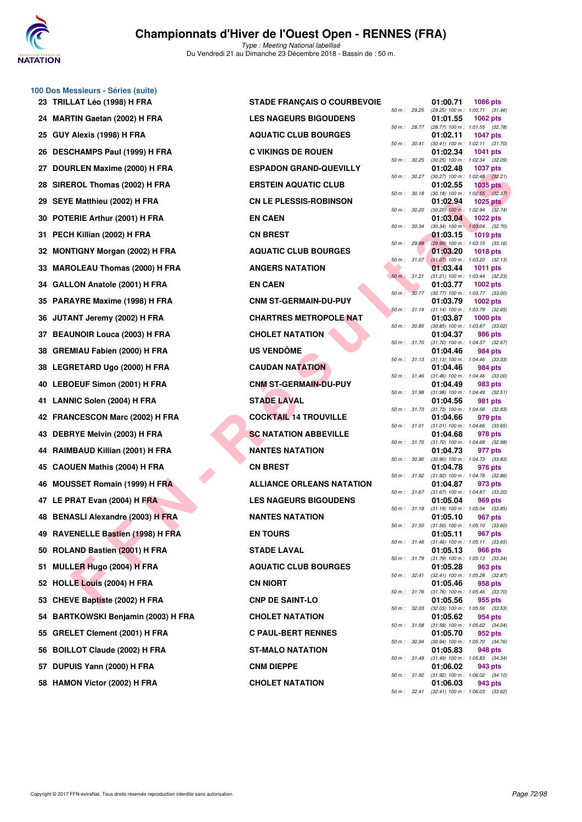

**100 Dos Messieurs - Séries (suite)**

# **Championnats d'Hiver de l'Ouest Open - RENNES (FRA)**

|     | 23 TRILLAT Léo (1998) H FRA         | <b>STADE FRANÇAIS O COURBEVOIE</b> |              |              | 01:00.71                                            | 1086 pts        |
|-----|-------------------------------------|------------------------------------|--------------|--------------|-----------------------------------------------------|-----------------|
|     | 24 MARTIN Gaetan (2002) H FRA       | <b>LES NAGEURS BIGOUDENS</b>       | 50 m : 29.25 |              | (29.25) 100 m: 1:00.71 (31.<br>01:01.55             | 1062 pts        |
|     | 25 GUY Alexis (1998) H FRA          | <b>AQUATIC CLUB BOURGES</b>        |              | 50 m : 28.77 | (28.77) 100 m: 1:01.55 (32.<br>01:02.11             | <b>1047 pts</b> |
|     | 26 DESCHAMPS Paul (1999) H FRA      | <b>C VIKINGS DE ROUEN</b>          |              | 50 m : 30.41 | (30.41) 100 m: 1:02.11 (31.<br>01:02.34             | 1041 pts        |
|     | 27 DOURLEN Maxime (2000) H FRA      | <b>ESPADON GRAND-QUEVILLY</b>      | 50 m : 30.25 |              | (30.25) 100 m : 1:02.34 (32.<br>01:02.48            | <b>1037 pts</b> |
|     | 28 SIREROL Thomas (2002) H FRA      | <b>ERSTEIN AQUATIC CLUB</b>        | 50 m :       | 30.27        | (30.27) 100 m: 1:02.48 (32.<br>01:02.55             | <b>1035 pts</b> |
|     | 29 SEYE Matthieu (2002) H FRA       | <b>CN LE PLESSIS-ROBINSON</b>      | 50 m: 30.18  |              | $(30.18)$ 100 m : 1:02.55 $(32.$<br>01:02.94        | <b>1025 pts</b> |
|     | 30 POTERIE Arthur (2001) H FRA      | <b>EN CAEN</b>                     | 50 m: 30.20  |              | $(30.20)$ 100 m : 1:02.94 $(32.$<br>01:03.04        | <b>1022 pts</b> |
| 31. | PECH Killian (2002) H FRA           | <b>CN BREST</b>                    |              | 50 m : 30.34 | (30.34) 100 m: 1:03.04 (32.<br>01:03.15             | <b>1019 pts</b> |
|     | 32 MONTIGNY Morgan (2002) H FRA     | <b>AQUATIC CLUB BOURGES</b>        |              | 50 m: 29.99  | (29.99) 100 m : 1:03.15 (33.<br>01:03.20            | <b>1018 pts</b> |
|     | 33 MAROLEAU Thomas (2000) H FRA     | <b>ANGERS NATATION</b>             |              | 50 m: 31.07  | $(31.07)$ 100 m : 1:03.20 $(32.$<br>01:03.44        | <b>1011 pts</b> |
|     | 34 GALLON Anatole (2001) H FRA      | <b>EN CAEN</b>                     | 50 m: 31.21  |              | (31.21) 100 m: 1:03.44 (32.<br>01:03.77             | 1002 pts        |
|     | 35 PARAYRE Maxime (1998) H FRA      | <b>CNM ST-GERMAIN-DU-PUY</b>       | $50 m$ :     | 30.77        | (30.77) 100 m : 1:03.77 (33.<br>01:03.79            |                 |
|     |                                     |                                    |              | 50 m: 31.14  | (31.14) 100 m: 1:03.79 (32.                         | 1002 pts        |
|     | 36 JUTANT Jeremy (2002) H FRA       | <b>CHARTRES METROPOLE NAT</b>      |              | 50 m : 30.85 | 01:03.87<br>(30.85) 100 m: 1:03.87 (33.             | <b>1000 pts</b> |
|     | 37 BEAUNOIR Louca (2003) H FRA      | <b>CHOLET NATATION</b>             | 50 m : 31.70 |              | 01:04.37<br>(31.70) 100 m: 1:04.37 (32.             | 986 pts         |
|     | 38 GREMIAU Fabien (2000) H FRA      | <b>US VENDÔME</b>                  | 50 m: 31.13  |              | 01:04.46<br>$(31.13)$ 100 m : 1:04.46 (33.          | 984 pts         |
|     | 38 LEGRETARD Ugo (2000) H FRA       | <b>CAUDAN NATATION</b>             | 50 m: 31.46  |              | 01:04.46<br>$(31.46)$ 100 m : 1:04.46 (33.          | 984 pts         |
|     | 40 LEBOEUF Simon (2001) H FRA       | <b>CNM ST-GERMAIN-DU-PUY</b>       | 50 m : 31.98 |              | 01:04.49<br>$(31.98)$ 100 m : 1:04.49 (32.          | 983 pts         |
|     | 41 LANNIC Solen (2004) H FRA        | <b>STADE LAVAL</b>                 |              | 50 m : 31.73 | 01:04.56<br>$(31.73)$ 100 m : 1:04.56 (32.          | 981 pts         |
|     | 42 FRANCESCON Marc (2002) H FRA     | <b>COCKTAIL 14 TROUVILLE</b>       |              | 50 m : 31.01 | 01:04.66<br>$(31.01)$ 100 m : 1:04.66 (33.          | 979 pts         |
|     | 43 DEBRYE Melvin (2003) H FRA       | <b>SC NATATION ABBEVILLE</b>       |              | 50 m : 31.70 | 01:04.68<br>$(31.70)$ 100 m : 1:04.68 (32.          | 978 pts         |
|     | 44 RAIMBAUD Killian (2001) H FRA    | <b>NANTES NATATION</b>             |              |              | 01:04.73                                            | 977 pts         |
|     | 45 CAOUEN Mathis (2004) H FRA       | <b>CN BREST</b>                    | 50 m: 30.90  |              | (30.90) 100 m: 1:04.73 (33.<br>01:04.78             | 976 pts         |
|     | 46 MOUSSET Romain (1999) H FRA      | <b>ALLIANCE ORLEANS NATATION</b>   |              | 50 m : 31.92 | $(31.92)$ 100 m : 1:04.78 (32.<br>01:04.87          | 973 pts         |
|     | 47 LE PRAT Evan (2004) H FRA        | <b>LES NAGEURS BIGOUDENS</b>       |              | 50 m: 31.67  | (31.67) 100 m: 1:04.87 (33.<br>01:05.04             | 969 pts         |
|     | 48 BENASLI Alexandre (2003) H FRA   | <b>NANTES NATATION</b>             |              | 50 m : 31.19 | $(31.19)$ 100 m : 1:05.04 (33.<br>01:05.10          | 967 pts         |
|     | 49 RAVENELLE Bastien (1998) H FRA   | <b>EN TOURS</b>                    | 50 m: 31.50  |              | $(31.50)$ 100 m : 1:05.10 (33.<br>01:05.11          | 967 pts         |
|     | 50 ROLAND Bastien (2001) H FRA      | <b>STADE LAVAL</b>                 |              |              | 50 m: 31.46 (31.46) 100 m: 1:05.11 (33.<br>01:05.13 | 966 pts         |
|     | 51 MULLER Hugo (2004) H FRA         | <b>AQUATIC CLUB BOURGES</b>        |              |              | 50 m: 31.79 (31.79) 100 m: 1:05.13 (33.<br>01:05.28 | 963 pts         |
|     | 52 HOLLE Louis (2004) H FRA         | <b>CN NIORT</b>                    |              |              | 50 m: 32.41 (32.41) 100 m: 1:05.28 (32.<br>01:05.46 | 958 pts         |
|     | 53 CHEVE Baptiste (2002) H FRA      | <b>CNP DE SAINT-LO</b>             |              |              | 50 m: 31.76 (31.76) 100 m: 1:05.46 (33.<br>01:05.56 | 955 pts         |
|     | 54 BARTKOWSKI Benjamin (2003) H FRA | <b>CHOLET NATATION</b>             |              | 50 m : 32.03 | $(32.03)$ 100 m : 1:05.56 (33.<br>01:05.62          | 954 pts         |
|     | 55 GRELET Clement (2001) H FRA      | <b>C PAUL-BERT RENNES</b>          |              |              | 50 m: 31.58 (31.58) 100 m: 1:05.62 (34.<br>01:05.70 | 952 pts         |
|     | 56 BOILLOT Claude (2002) H FRA      | ST-MALO NATATION                   |              | 50 m : 30.94 | (30.94) 100 m : 1:05.70 (34.<br>01:05.83            | 948 pts         |
|     | 57 DUPUIS Yann (2000) H FRA         | <b>CNM DIEPPE</b>                  |              |              | 50 m: 31.49 (31.49) 100 m: 1:05.83 (34.<br>01:06.02 | 943 pts         |
|     | 58 HAMON Victor (2002) H FRA        | <b>CHOLET NATATION</b>             |              |              | 50 m: 31.92 (31.92) 100 m: 1:06.02 (34.<br>01:06.03 | 943 pts         |
|     |                                     |                                    |              |              |                                                     |                 |

| <b>STADE FRANÇAIS O COURBEVO</b> |
|----------------------------------|
| <b>LES NAGEURS BIGOUDENS</b>     |
| <b>AQUATIC CLUB BOURGES</b>      |
| <b>C VIKINGS DE ROUEN</b>        |
| <b>ESPADON GRAND-QUEVILLY</b>    |
| <b>ERSTEIN AQUATIC CLUB</b>      |
| <b>CN LE PLESSIS-ROBINSON</b>    |
| <b>EN CAEN</b>                   |
| <b>CN BREST</b>                  |
| <b>AQUATIC CLUB BOURGES</b>      |
| <b>ANGERS NATATION</b>           |
| <b>EN CAEN</b>                   |
| <b>CNM ST-GERMAIN-DU-PUY</b>     |
| <b>CHARTRES METROPOLE NAT</b>    |
| <b>CHOLET NATATION</b>           |
| <b>US VENDÖME</b>                |
| <b>CAUDAN NATATION</b>           |
| <b>CNM ST-GERMAIN-DU-PUY</b>     |
| <b>STADE LAVAL</b>               |
| <b>COCKTAIL 14 TROUVILLE</b>     |
| <b>SC NATATION ABBEVILLE</b>     |
| <b>NANTES NATATION</b>           |
| <b>CN BREST</b>                  |
| <b>ALLIANCE ORLEANS NATATION</b> |
| <b>LES NAGEURS BIGOUDENS</b>     |
| <b>NANTES NATATION</b>           |
| <b>EN TOURS</b>                  |
| <b>STADE LAVAL</b>               |
| <b>AQUATIC CLUB BOURGES</b>      |
| <b>CN NIORT</b>                  |
| <b>CNP DE SAINT-LO</b>           |
| <b>CHOLET NATATION</b>           |
| <b>C PAUL-BERT RENNES</b>        |
| <b>ST-MALO NATATION</b>          |
| <b>CNM DIEPPE</b>                |
| <b>CHOLET NATATION</b>           |
|                                  |

| essieurs - Series (suite)<br>LAT Léo (1998) H FRA | <b>STADE FRANÇAIS O COURBEVOIE</b> |        |              | 01:00.71                                         | <b>1086 pts</b>                                                 |  |
|---------------------------------------------------|------------------------------------|--------|--------------|--------------------------------------------------|-----------------------------------------------------------------|--|
| TIN Gaetan (2002) H FRA                           | <b>LES NAGEURS BIGOUDENS</b>       |        |              | 01:01.55                                         | 50 m : 29.25 (29.25) 100 m : 1:00.71 (31.46)<br><b>1062 pts</b> |  |
| Alexis (1998) H FRA                               | <b>AQUATIC CLUB BOURGES</b>        |        |              | 01:02.11                                         | 50 m : 28.77 (28.77) 100 m : 1:01.55 (32.78)<br>1047 pts        |  |
|                                                   |                                    |        | 50 m : 30.41 |                                                  | $(30.41)$ 100 m : 1:02.11 $(31.70)$                             |  |
| CHAMPS Paul (1999) H FRA                          | <b>C VIKINGS DE ROUEN</b>          | 50 m : | 30.25        | 01:02.34                                         | <b>1041 pts</b><br>$(30.25)$ 100 m : 1:02.34 $(32.09)$          |  |
| RLEN Maxime (2000) H FRA                          | <b>ESPADON GRAND-QUEVILLY</b>      |        | 50 m : 30.27 | 01:02.48                                         | 1037 pts<br>$(30.27)$ 100 m : 1:02.48 $(32.21)$                 |  |
| :ROL Thomas (2002) H FRA                          | <b>ERSTEIN AQUATIC CLUB</b>        |        |              | 01:02.55                                         | <b>1035 pts</b><br>50 m: 30.18 (30.18) 100 m: 1:02.55 (32.37)   |  |
| E Matthieu (2002) H FRA                           | <b>CN LE PLESSIS-ROBINSON</b>      |        | 50 m : 30.20 | 01:02.94                                         | 1025 $p$ ts<br>$(30.20)$ 100 m : 1:02.94 $(32.74)$              |  |
| ERIE Arthur (2001) H FRA                          | <b>EN CAEN</b>                     |        | 50 m : 30.34 | 01:03.04                                         | 1022 $pts$<br>$(30.34)$ 100 m : 1:03.04 $(32.70)$               |  |
| H Killian (2002) H FRA                            | <b>CN BREST</b>                    |        |              | 01:03.15                                         | <b>1019 pts</b>                                                 |  |
| ITIGNY Morgan (2002) H FRA                        | <b>AQUATIC CLUB BOURGES</b>        |        | 50 m: 29.99  | 01:03.20                                         | $(29.99)$ 100 m : 1:03.15 $(33.16)$<br>1018 pts                 |  |
| OLEAU Thomas (2000) H FRA                         | <b>ANGERS NATATION</b>             |        | 50 m: 31.07  | 01:03.44                                         | $(31.07)$ 100 m : 1:03.20 $(32.13)$<br>1011 pts                 |  |
| LON Anatole (2001) H FRA                          | <b>EN CAEN</b>                     |        |              | 01:03.77                                         | 50 m: 31.21 (31.21) 100 m: 1:03.44 (32.23)<br>1002 $pts$        |  |
| AYRE Maxime (1998) H FRA                          | <b>CNM ST-GERMAIN-DU-PUY</b>       |        |              | 01:03.79                                         | 50 m: 30.77 (30.77) 100 m: 1:03.77 (33.00)<br>1002 $pts$        |  |
| <b>ANT Jeremy (2002) H FRA</b>                    | <b>CHARTRES METROPOLE NAT</b>      |        |              | 01:03.87                                         | 50 m: 31.14 (31.14) 100 m: 1:03.79 (32.65)<br>$1000$ pts        |  |
| UNOIR Louca (2003) H FRA                          | <b>CHOLET NATATION</b>             |        |              | 01:04.37                                         | 50 m : 30.85 (30.85) 100 m : 1:03.87 (33.02)<br>986 pts         |  |
| MIAU Fabien (2000) H FRA                          | <b>US VENDOME</b>                  |        |              | 01:04.46                                         | 50 m: 31.70 (31.70) 100 m: 1:04.37 (32.67)<br>984 pts           |  |
|                                                   |                                    |        | 50 m : 31.13 |                                                  | $(31.13)$ 100 m : 1:04.46 $(33.33)$                             |  |
| RETARD Ugo (2000) H FRA                           | <b>CAUDAN NATATION</b>             |        |              | 01:04.46                                         | 984 pts<br>50 m: 31.46 (31.46) 100 m: 1:04.46 (33.00)           |  |
| <b>OEUF Simon (2001) H FRA</b>                    | <b>CNM ST-GERMAIN-DU-PUY</b>       |        |              | 01:04.49                                         | 983 pts<br>50 m: 31.98 (31.98) 100 m: 1:04.49 (32.51)           |  |
| NIC Solen (2004) H FRA                            | <b>STADE LAVAL</b>                 |        |              | 01:04.56                                         | 981 pts<br>50 m : 31.73 (31.73) 100 m : 1:04.56 (32.83)         |  |
| NCESCON Marc (2002) H FRA                         | <b>COCKTAIL 14 TROUVILLE</b>       |        |              | 01:04.66                                         | 979 pts<br>50 m: 31.01 (31.01) 100 m: 1:04.66 (33.65)           |  |
| RYE Melvin (2003) H FRA                           | <b>SC NATATION ABBEVILLE</b>       |        |              | 01:04.68                                         | 978 pts<br>50 m: 31.70 (31.70) 100 m: 1:04.68 (32.98)           |  |
| <b>IBAUD Killian (2001) H FRA</b>                 | <b>NANTES NATATION</b>             |        |              | 01:04.73                                         | 977 pts                                                         |  |
| UEN Mathis (2004) H FRA                           | <b>CN BREST</b>                    |        | 50 m : 30.90 | 01:04.78                                         | $(30.90)$ 100 m : 1:04.73 $(33.83)$<br>976 pts                  |  |
| <b>ISSET Romain (1999) H FRA</b>                  | <b>ALLIANCE ORLEANS NATATION</b>   |        |              | 01:04.87                                         | 50 m: 31.92 (31.92) 100 m: 1:04.78 (32.86)<br>973 pts           |  |
| RAT Evan (2004) H FRA                             | <b>LES NAGEURS BIGOUDENS</b>       |        |              | 01:05.04                                         | 50 m: 31.67 (31.67) 100 m: 1:04.87 (33.20)<br>969 pts           |  |
| ASLI Alexandre (2003) H FRA                       | <b>NANTES NATATION</b>             |        |              | 50 m : 31.19 (31.19) 100 m : 1:05.04<br>01:05.10 | (33.85)<br>967 pts                                              |  |
| ENELLE Bastien (1998) H FRA                       | <b>EN TOURS</b>                    |        | 50 m : 31.50 | 01:05.11                                         | $(31.50)$ 100 m : 1:05.10 $(33.60)$<br>967 pts                  |  |
| AND Bastien (2001) H FRA                          | <b>STADE LAVAL</b>                 |        |              | 01:05.13                                         | 50 m: 31.46 (31.46) 100 m: 1:05.11 (33.65)<br>966 pts           |  |
| LER Hugo (2004) H FRA                             | <b>AQUATIC CLUB BOURGES</b>        |        |              |                                                  | 50 m: 31.79 (31.79) 100 m: 1:05.13 (33.34)                      |  |
|                                                   |                                    |        |              | 01:05.28                                         | 963 pts<br>50 m: 32.41 (32.41) 100 m: 1:05.28 (32.87)           |  |
| LE Louis (2004) H FRA                             | <b>CN NIORT</b>                    |        |              | 01:05.46                                         | 958 pts<br>50 m: 31.76 (31.76) 100 m: 1:05.46 (33.70)           |  |
| VE Baptiste (2002) H FRA                          | <b>CNP DE SAINT-LO</b>             |        |              | 01:05.56                                         | 955 pts<br>50 m: 32.03 (32.03) 100 m: 1:05.56 (33.53)           |  |
| TKOWSKI Benjamin (2003) H FRA                     | <b>CHOLET NATATION</b>             |        |              | 01:05.62                                         | 954 pts<br>50 m: 31.58 (31.58) 100 m: 1:05.62 (34.04)           |  |
| LET Clement (2001) H FRA                          | <b>C PAUL-BERT RENNES</b>          |        |              | 01:05.70                                         | 952 pts<br>50 m: 30.94 (30.94) 100 m: 1:05.70 (34.76)           |  |
| .LOT Claude (2002) H FRA                          | <b>ST-MALO NATATION</b>            |        |              | 01:05.83                                         | 948 pts<br>50 m: 31.49 (31.49) 100 m: 1:05.83 (34.34)           |  |
| UIS Yann (2000) H FRA                             | <b>CNM DIEPPE</b>                  |        |              | 01:06.02                                         | 943 pts<br>50 m : 31.92 (31.92) 100 m : 1:06.02 (34.10)         |  |
| ION Victor (2002) H FRA                           | <b>CHOLET NATATION</b>             |        |              | 01:06.03                                         | 943 pts                                                         |  |
|                                                   |                                    |        |              |                                                  | 50 m: 32.41 (32.41) 100 m: 1:06.03 (33.62)                      |  |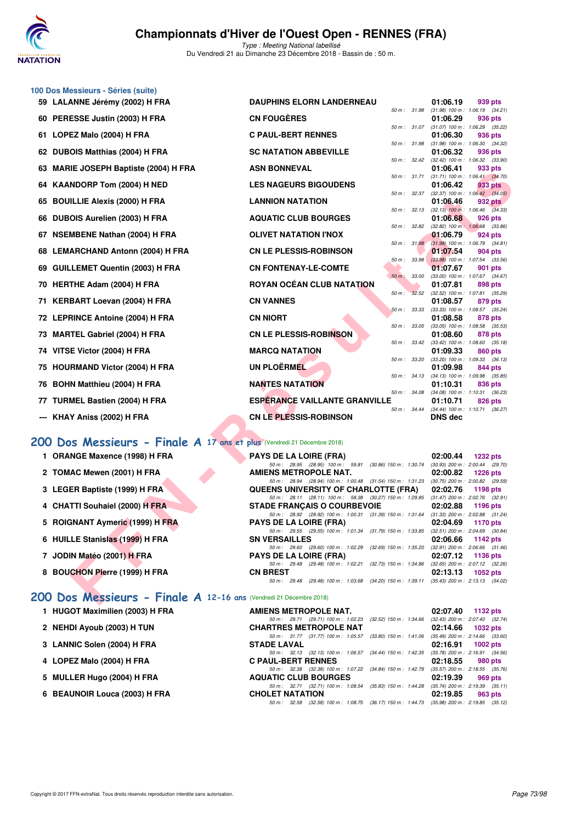

**100 Dos Messieurs - Séries (suite)**

# **Championnats d'Hiver de l'Ouest Open - RENNES (FRA)**

Type : Meeting National labellisé Du Vendredi 21 au Dimanche 23 Décembre 2018 - Bassin de : 50 m.

| 59   LALANNE Jérémy (2002) H FRA                                       | <b>DAUPHINS ELORN LANDERNEAU</b>                                                                            |              |       | 01:06.19                                         | 939 pts         |  |
|------------------------------------------------------------------------|-------------------------------------------------------------------------------------------------------------|--------------|-------|--------------------------------------------------|-----------------|--|
| 60 PERESSE Justin (2003) H FRA                                         | <b>CN FOUGERES</b>                                                                                          | 50 m: 31.98  |       | $(31.98)$ 100 m : 1:06.19 $(34.21)$<br>01:06.29  | 936 pts         |  |
| 61 LOPEZ Malo (2004) H FRA                                             | <b>C PAUL-BERT RENNES</b>                                                                                   | 50 m : 31.07 |       | $(31.07)$ 100 m : 1:06.29 $(35.22)$<br>01:06.30  | 936 pts         |  |
| 62 DUBOIS Matthias (2004) H FRA                                        | <b>SC NATATION ABBEVILLE</b>                                                                                | 50 m: 31.98  |       | $(31.98)$ 100 m : 1:06.30 $(34.32)$<br>01:06.32  | 936 pts         |  |
| 63 MARIE JOSEPH Baptiste (2004) H FRA                                  | <b>ASN BONNEVAL</b>                                                                                         | 50 m : 32.42 |       | $(32.42)$ 100 m : 1:06.32 $(33.90)$<br>01:06.41  | 933 pts         |  |
|                                                                        |                                                                                                             | 50 m : 31.71 |       | $(31.71)$ 100 m : 1:06.41 $(34.70)$              |                 |  |
| 64 KAANDORP Tom (2004) H NED                                           | <b>LES NAGEURS BIGOUDENS</b>                                                                                | 50 m : 32.37 |       | 01:06.42<br>$(32.37)$ 100 m : 1:06.42 $(34.05)$  | 933 pts         |  |
| 65 BOUILLIE Alexis (2000) H FRA                                        | <b>LANNION NATATION</b>                                                                                     |              |       | 01:06.46                                         | 932 pts         |  |
| 66 DUBOIS Aurelien (2003) H FRA                                        | <b>AQUATIC CLUB BOURGES</b>                                                                                 | 50 m: 32.13  |       | $(32.13)$ 100 m : 1:06.46 $(34.33)$<br>01:06.68  | 926 pts         |  |
| 67 NSEMBENE Nathan (2004) H FRA                                        | <b>OLIVET NATATION I'NOX</b>                                                                                | 50 m : 32.82 |       | $(32.82)$ 100 m : 1:06.68 $(33.86)$<br>01:06.79  | 924 pts         |  |
| 68 LEMARCHAND Antonn (2004) H FRA                                      | <b>CN LE PLESSIS-ROBINSON</b>                                                                               | 50 m: 31.98  |       | $(31.98)$ 100 m : 1:06.79 $(34.81)$<br>01:07.54  | 904 pts         |  |
|                                                                        |                                                                                                             | 50 m : 33.98 |       | $(33.98)$ 100 m : 1:07.54 $(33.56)$              |                 |  |
| 69 GUILLEMET Quentin (2003) H FRA                                      | <b>CN FONTENAY-LE-COMTE</b>                                                                                 | 50 m: 33.00  |       | 01:07.67<br>(33.00) 100 m: 1:07.67 (34.67)       | 901 pts         |  |
| 70 HERTHE Adam (2004) H FRA                                            | ROYAN OCÉAN CLUB NATATION                                                                                   |              |       | 01:07.81                                         | 898 pts         |  |
| 71 KERBART Loevan (2004) H FRA                                         | <b>CN VANNES</b>                                                                                            | $50 m$ :     | 32.52 | (32.52) 100 m: 1:07.81 (35.29)<br>01:08.57       | 879 pts         |  |
|                                                                        |                                                                                                             | 50 m: 33.33  |       | $(33.33)$ 100 m : 1:08.57 $(35.24)$              |                 |  |
| 72 LEPRINCE Antoine (2004) H FRA                                       | <b>CN NIORT</b>                                                                                             | 50 m: 33.05  |       | 01:08.58<br>$(33.05)$ 100 m : 1:08.58 $(35.53)$  | 878 pts         |  |
| 73 MARTEL Gabriel (2004) H FRA                                         | CN LE PLESSIS-ROBINSON                                                                                      |              |       | 01:08.60                                         | 878 pts         |  |
| 74   VITSE Victor (2004) H FRA                                         | <b>MARCQ NATATION</b>                                                                                       | 50 m : 33.42 |       | $(33.42)$ 100 m : 1:08.60 $(35.18)$<br>01:09.33  | 860 pts         |  |
| 75 HOURMAND Victor (2004) H FRA                                        | UN PLOËRMEL                                                                                                 | 50 m : 33.20 |       | $(33.20)$ 100 m : 1:09.33 $(36.13)$<br>01:09.98  | 844 pts         |  |
|                                                                        |                                                                                                             | 50 m: 34.13  |       | $(34.13)$ 100 m : 1:09.98 $(35.85)$              |                 |  |
| 76 BOHN Matthieu (2004) H FRA                                          | <b>NANTES NATATION</b>                                                                                      | 50 m : 34.08 |       | 01:10.31<br>$(34.08)$ 100 m : 1:10.31 $(36.23)$  | 836 pts         |  |
| 77 TURMEL Bastien (2004) H FRA                                         | <b>ESPERANCE VAILLANTE GRANVILLE</b>                                                                        |              |       | 01:10.71                                         | 826 pts         |  |
| --- KHAY Aniss (2002) H FRA                                            | <b>CN LE PLESSIS-ROBINSON</b>                                                                               | 50 m : 34.44 |       | (34.44) 100 m: 1:10.71 (36.27)<br><b>DNS dec</b> |                 |  |
|                                                                        |                                                                                                             |              |       |                                                  |                 |  |
| 00 Dos Messieurs - Finale A 17 ans et plus (Vendredi 21 Décembre 2018) |                                                                                                             |              |       |                                                  |                 |  |
| 1 ORANGE Maxence (1998) H FRA                                          | <b>PAYS DE LA LOIRE (FRA)</b>                                                                               |              |       | 02:00.44                                         | <b>1232 pts</b> |  |
| 2 TOMAC Mewen (2001) H FRA                                             | 50 m: 28.95 (28.95) 100 m: 59.81 (30.86) 150 m: 1:30.74<br><b>AMIENS METROPOLE NAT.</b>                     |              |       | $(30.93)$ 200 m : 2:00.44 $(29.70)$<br>02:00.82  | <b>1226 pts</b> |  |
|                                                                        | 50 m: 28.94 (28.94) 100 m: 1:00.48 (31.54) 150 m: 1:31.23                                                   |              |       | $(30.75)$ 200 m : 2:00.82 $(29.59)$              |                 |  |
| 3 LEGER Baptiste (1999) H FRA                                          | QUEENS UNIVERSITY OF CHARLOTTE (FRA)<br>50 m: 28.11 (28.11) 100 m: 58.38 (30.27) 150 m: 1:29.85             |              |       | 02:02.76<br>$(31.47)$ 200 m : 2:02.76 $(32.91)$  | 1198 pts        |  |
| 4 CHATTI Souhaiel (2000) H FRA                                         | <b>STADE FRANÇAIS O COURBEVOIE</b>                                                                          |              |       | 02:02.88                                         | 1196 pts        |  |
|                                                                        | 50 m: 28.92 (28.92) 100 m: 1:00.31 (31.39) 150 m: 1:31.64 (31.33) 200 m: 2:02.88 (31.24)                    |              |       |                                                  |                 |  |
| 5 ROIGNANT Aymeric (1999) H FRA                                        | <b>PAYS DE LA LOIRE (FRA)</b><br>50 m: 29.55 (29.55) 100 m: 1:01.34 (31.79) 150 m: 1:33.85                  |              |       | 02:04.69<br>$(32.51)$ 200 m : 2:04.69 $(30.84)$  | 1170 pts        |  |
| 6 HUILLE Stanislas (1999) H FRA                                        | <b>SN VERSAILLES</b>                                                                                        |              |       | 02:06.66                                         | 1142 pts        |  |
| 7 JODIN Matéo (2001) H FRA                                             | 50 m : 29.60 (29.60) 100 m : 1:02.29 (32.69) 150 m : 1:35.20<br><b>PAYS DE LA LOIRE (FRA)</b>               |              |       | $(32.91)$ 200 m : 2:06.66 $(31.46)$<br>02:07.12  | <b>1136 pts</b> |  |
|                                                                        | 50 m: 29.48 (29.48) 100 m: 1:02.21 (32.73) 150 m: 1:34.86                                                   |              |       | $(32.65)$ 200 m : 2:07.12 $(32.26)$              |                 |  |
| 8 BOUCHON Pierre (1999) H FRA                                          | <b>CN BREST</b><br>50 m: 29.48 (29.48) 100 m: 1:03.68 (34.20) 150 m: 1:39.11 (35.43) 200 m: 2:13.13 (34.02) |              |       | 02:13.13                                         | 1052 pts        |  |
| 00 Dos Messieurs - Finale A 12-16 ans (Vendredi 21 Décembre 2018)      |                                                                                                             |              |       |                                                  |                 |  |

### **[200 Dos Messieurs - Finale A](http://www.ffnatation.fr/webffn/resultats.php?idact=nat&go=epr&idcpt=55947&idepr=63) 17 ans et plus** (Vendredi 21 Décembre 2018)

- **1 ORANGE Maxence (1998) H FRA PAYS DE LA LOIRE (FRA) 02:00.44 1232 pts**<br>  $^{50m}$ ;  $^{28.95}$  ( $^{28.95}$  ( $^{28.95}$  100 m;  $^{59.81}$  (30.86) 150 m; 1:30.74 (30.83) 200 m; 2:00.44 (23.74)
- **2 TOMAC Mewen (2001) H FRA AMIENS METROPOLE NAT. 02:00.82 1226 pts**
- **3 LEGER Baptiste (1999) H FRA QUEENS UNIVERSITY OF CHARLOTTE (FRA)** 02:02.76 **1198 pts**<br>  $\frac{50 \text{ m} \cdot 28.11 \quad (28.11) \quad 100 \text{ m} \cdot 58.38 \quad (30.27) \quad 150 \text{ m} \cdot 1.29.85 \quad (31.47) \quad 200 \text{ m} \cdot 2.02.76 \quad (22.91) \quad (32.91) \quad (40.1$
- **4 CHATTI Souhaiel (2000) H FRA** STADE FRANÇAIS O COURBEVOIE 02:02.88 **1196 pts**<br>  $\frac{60 \text{ m} \times 389 \text{ m}}{60 \text{ m} \times 39 \text{ m}} \times \frac{(31.29 \text{ m}) \times 170 \text{ m}}{60 \text{ m} \times 31 \text{ m}} \times \frac{(31.29 \text{ m}) \times 170 \text{ m}}{60 \text{ m} \times 31 \text{ m}} \times \frac{(31.29 \text$
- **5 ROIGNANT Aymeric (1999) H FRA PAYS DE LA LOIRE (FRA) 02:04.69 1170 pts**<br>  $50m: 29.55$  (29.55) 100 m: 1:01.34 (31.79) 150 m: 1:33.85 (32.51) 200 m: 2:04.69 (30.84)
- **6 HUILLE Stanislas (1999) H FRA** SN VERSAILLES **02:06.66 1142 pts**<br>  $50 \text{ m}$ : 29.60 (29.60) 100 m : 1:02.29 (32.69) 150 m : 1:35.20 (32.41) 200 m : 2:06.66 (31.4
- **7 JODIN Matéo (2001) H FRA PAYS DE LA LOIRE (FRA) 02:07.12 1136 pts**<br>  $\frac{50 \text{ m} \div 29.48 \div (29.48) \div 100 \text{ m} \div 1.02.21}$  (32.73) 150 m; 1:34.86 (32.65) 200 m; 2:07.12 (32.26)
- **8 BOUCHON Pierre (1999) H FRA CN BREST 02:13.13 1052 pts**

#### **[200 Dos Messieurs - Finale A](http://www.ffnatation.fr/webffn/resultats.php?idact=nat&go=epr&idcpt=55947&idepr=63) 12-16 ans** (Vendredi 21 Décembre 2018)

| AMIENS METROPOLE NAT.                                                                   |  | 02:07.40 1132 pts                   |
|-----------------------------------------------------------------------------------------|--|-------------------------------------|
| 50 m: 29.71 (29.71) 100 m: 1:02.23 (32.52) 150 m: 1:34.66                               |  | (32.43) 200 m : 2:07.40 (32.74)     |
| <b>CHARTRES METROPOLE NAT</b>                                                           |  | $02:14.66$ 1032 pts                 |
| 50 m: 31.77 (31.77) 100 m: 1:05.57 (33.80) 150 m: 1:41.06                               |  | $(35.49)$ 200 m : 2:14.66 $(33.60)$ |
| <b>STADE LAVAL</b>                                                                      |  | 02:16.91 1002 pts                   |
| 50 m: 32.13 (32.13) 100 m: 1:06.57 (34.44) 150 m: 1:42.35                               |  | $(35.78)$ 200 m : 2:16.91 $(34.56)$ |
| <b>C PAUL-BERT RENNES</b>                                                               |  | $02:18.55$ 980 pts                  |
| 50 m: 32.38 (32.38) 100 m: 1:07.22 (34.84) 150 m: 1:42.79                               |  | $(35.57)$ 200 m : 2:18.55 $(35.76)$ |
| <b>AQUATIC CLUB BOURGES</b>                                                             |  | 02:19.39 969 pts                    |
| 50 m: 32.71 (32.71) 100 m: 1:08.54 (35.83) 150 m: 1:44.28                               |  | $(35.74)$ 200 m : 2:19.39 $(35.11)$ |
| <b>CHOLET NATATION</b>                                                                  |  | 02:19.85 963 pts                    |
| 50 m: 32.58 (32.58) 100 m: 1:08.75 (36.17) 150 m: 1:44.73 (35.98) 200 m: 2:19.85 (35.12 |  |                                     |

## **1 HUGOT Maximilien (2003) H FRA**

- **2 NEHDI Ayoub (2003) H TUN CHARTRES METROPOLE NAT 02:14.66 1032 pts**
- **3 LANNIC Solen (2004) H FRA**
- **4 LOPEZ Malo (2004) H FRA**
- **5 MULLER Hugo (2004) H FRA**
- **6 BEAUNOIR Louca (2003) H FRA**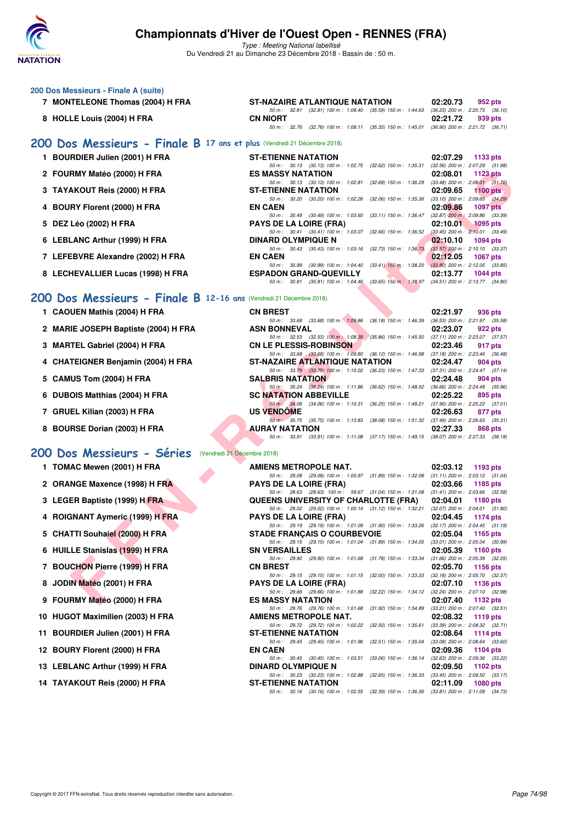

| 200 Dos Messieurs - Finale A (suite)                                    |                                                                                                                                |                                                                    |
|-------------------------------------------------------------------------|--------------------------------------------------------------------------------------------------------------------------------|--------------------------------------------------------------------|
| 7 MONTELEONE Thomas (2004) H FRA                                        | ST-NAZAIRE ATLANTIQUE NATATION                                                                                                 | 02:20.73<br>952 pts                                                |
| 8 HOLLE Louis (2004) H FRA                                              | 50 m: 32.81 (32.81) 100 m: 1:08.40 (35.59) 150 m: 1:44.63<br><b>CN NIORT</b>                                                   | $(36.23)$ 200 m : 2:20.73 $(36.10)$<br>02:21.72<br>939 pts         |
|                                                                         | 50 m : 32.76 (32.76) 100 m : 1:08.11 (35.35) 150 m : 1:45.01                                                                   | $(36.90)$ 200 m : 2:21.72 $(36.71)$                                |
| 200 Dos Messieurs - Finale B 17 ans et plus (Vendredi 21 Décembre 2018) |                                                                                                                                |                                                                    |
| 1 BOURDIER Julien (2001) H FRA                                          | <b>ST-ETIENNE NATATION</b><br>50 m: 30.13 (30.13) 100 m: 1:02.75 (32.62) 150 m: 1:35.31                                        | 02:07.29<br>1133 pts<br>$(32.56)$ 200 m : 2:07.29 $(31.98)$        |
| 2 FOURMY Matéo (2000) H FRA                                             | <b>ES MASSY NATATION</b>                                                                                                       | 02:08.01<br><b>1123 pts</b>                                        |
| 3 TAYAKOUT Reis (2000) H FRA                                            | 50 m: 30.13 (30.13) 100 m: 1:02.81 (32.68) 150 m: 1:36.29<br><b>ST-ETIENNE NATATION</b>                                        | $(33.48)$ 200 m : 2:08.01 $(31.72)$<br>02:09.65<br>$1100$ pts      |
| 4 BOURY Florent (2000) H FRA                                            | 50 m: 30.20 (30.20) 100 m: 1:02.26 (32.06) 150 m: 1:35.36<br><b>EN CAEN</b>                                                    | $(33.10)$ 200 m : 2:09.65 $(34.29)$<br>02:09.86<br><b>1097 pts</b> |
| 5 DEZ Léo (2002) H FRA                                                  | 50 m : 30.49 (30.49) 100 m : 1:03.60<br>$(33.11)$ 150 m : 1:36.47<br><b>PAYS DE LA LOIRE (FRA)</b>                             | $(32.87)$ 200 m : 2:09.86 $(33.39)$<br>02:10.01<br><b>1095 pts</b> |
| 6 LEBLANC Arthur (1999) H FRA                                           | 50 m: 30.41 (30.41) 100 m: 1:03.07 (32.66) 150 m: 1:36.52<br><b>DINARD OLYMPIQUE N</b>                                         | $(33.45)$ 200 m : 2:10.01 $(33.49)$<br>02:10.10<br>$1094$ pts      |
| 7 LEFEBVRE Alexandre (2002) H FRA                                       | 50 m: 30.43 (30.43) 100 m: 1:03.16 (32.73) 150 m: 1:36.73<br><b>EN CAEN</b>                                                    | $(33.57)$ 200 m : 2:10.10 $(33.37)$<br>02:12.05<br><b>1067 pts</b> |
|                                                                         | 50 m : 30.99 (30.99) 100 m : 1:04.40 (33.41) 150 m : 1:38.20<br><b>ESPADON GRAND-QUEVILLY</b>                                  | $(33.80)$ 200 m : 2:12.05 $(33.85)$                                |
| 8 LECHEVALLIER Lucas (1998) H FRA                                       | 50 m : 30.81 (30.81) 100 m : 1:04.46 (33.65) 150 m : 1:38.97                                                                   | 02:13.77<br>1044 pts<br>$(34.51)$ 200 m : 2:13.77 $(34.80)$        |
| 200 Dos Messieurs - Finale B 12-16 ans (Vendredi 21 Décembre 2018)      |                                                                                                                                |                                                                    |
| 1 CAOUEN Mathis (2004) H FRA                                            | <b>CN BREST</b>                                                                                                                | 02:21.97<br>936 pts                                                |
| 2 MARIE JOSEPH Baptiste (2004) H FRA                                    | 50 m: 33.68 (33.68) 100 m: 1:09.86 (36.18) 150 m: 1:46.39<br><b>ASN BONNEVAL</b>                                               | $(36.53)$ 200 m : 2:21.97 $(35.58)$<br>02:23.07<br>922 pts         |
| 3 MARTEL Gabriel (2004) H FRA                                           | 50 m : 32.53 (32.53) 100 m : 1:08.39 (35.86) 150 m : 1:45.50<br><b>CN LE PLESSIS-ROBINSON</b>                                  | $(37.11)$ 200 m : 2:23.07 $(37.57)$<br>02:23.46<br>917 pts         |
| 4 CHATEIGNER Benjamin (2004) H FRA                                      | 50 m: 33.68 (33.68) 100 m: 1:09.80 (36.12) 150 m: 1:46.98<br>ST-NAZAIRE ATLANTIQUE NATATION                                    | $(37.18)$ 200 m : 2:23.46 $(36.48)$<br>02:24.47<br>904 pts         |
| 5 CAMUS Tom (2004) H FRA                                                | 50 m: 33.79 (33.79) 100 m: 1:10.02 (36.23) 150 m: 1:47.33 (37.31) 200 m: 2:24.47 (37.14)<br><b>SALBRIS NATATION</b>            | 02:24.48<br>904 pts                                                |
| 6 DUBOIS Matthias (2004) H FRA                                          | 50 m : 35.24 (35.24) 100 m : 1:11.86 (36.62) 150 m : 1:48.52<br><b>SC NATATION ABBEVILLE</b>                                   | $(36.66)$ 200 m : 2:24.48 $(35.96)$<br>02:25.22<br>895 pts         |
|                                                                         | 50 m : 34.06 (34.06) 100 m : 1:10.31 (36.25) 150 m : 1:48.21                                                                   | $(37.90)$ 200 m : 2:25.22 $(37.01)$                                |
| 7 GRUEL Kilian (2003) H FRA                                             | <b>US VENDOME</b><br>50 m · 35.75 (35.75) 100 m · 1:13.83 (38.08) 150 m · 1:51.32 (37.49) 200 m · 2:26.63 (35.31)              | 02:26.63<br>877 pts                                                |
| 8 BOURSE Dorian (2003) H FRA                                            | AURAY NATATION<br>50 m: 33.91 (33.91) 100 m: 1:11.08 (37.17) 150 m: 1:49.15 (38.07) 200 m: 2:27.33 (38.18)                     | 02:27.33<br>868 pts                                                |
| 200 Dos Messieurs - Séries<br>(Vendredi 21 Décembre 2018)               |                                                                                                                                |                                                                    |
| 1 TOMAC Mewen (2001) H FRA                                              | AMIENS METROPOLE NAT.                                                                                                          | 02:03.12<br>1193 pts                                               |
| 2 ORANGE Maxence (1998) H FRA                                           | 50 m: 29.08 (29.08) 100 m: 1:00.97 (31.89) 150 m: 1:32.08<br><b>PAYS DE LA LOIRE (FRA)</b>                                     | $(31.11)$ 200 m : 2:03.12 $(31.04)$<br>02:03.66<br>1185 pts        |
| 3 LEGER Baptiste (1999) H FRA                                           | 50 m: 28.63 (28.63) 100 m: 59.67 (31.04) 150 m: 1.31.08 (31.41) 200 m: 2.03.66 (32.58)<br>QUEENS UNIVERSITY OF CHARLOTTE (FRA) | 02:04.01<br>1180 pts                                               |
|                                                                         | 50 m : 29.02 (29.02) 100 m : 1:00.14 (31.12) 150 m : 1:32.21                                                                   | $(32.07)$ 200 m : 2:04.01 $(31.80)$                                |
| 4 ROIGNANT Aymeric (1999) H FRA                                         | <b>PAYS DE LA LOIRE (FRA)</b><br>50 m: 29.19 (29.19) 100 m: 1:01.09 (31.90) 150 m: 1:33.26                                     | 02:04.45<br>1174 pts<br>$(32.17)$ 200 m : 2:04.45 $(31.19)$        |
| 5 CHATTI Souhaiel (2000) H FRA                                          | <b>STADE FRANCAIS O COURBEVOIE</b><br>50 m : 29.15 (29.15) 100 m : 1:01.04 (31.89) 150 m : 1:34.05                             | 02:05.04<br>1165 pts<br>$(33.01)$ 200 m : 2:05.04 $(30.99)$        |
| 6 HUILLE Stanislas (1999) H FRA                                         | <b>SN VERSAILLES</b><br>50 m: 29.90 (29.90) 100 m: 1:01.68 (31.78) 150 m: 1:33.34                                              | 02:05.39<br><b>1160 pts</b><br>$(31.66)$ 200 m : 2:05.39 $(32.05)$ |
| 7 BOUCHON Pierre (1999) H FRA                                           | <b>CN BREST</b><br>50 m: 29.15 (29.15) 100 m: 1:01.15 (32.00) 150 m: 1:33.33                                                   | 02:05.70<br>1156 pts<br>$(32.18)$ 200 m : 2:05.70 $(32.37)$        |
| JODIN Matéo (2001) H FRA<br>8                                           | <b>PAYS DE LA LOIRE (FRA)</b><br>50 m: 29.66 (29.66) 100 m: 1:01.88 (32.22) 150 m: 1:34.12                                     | 02:07.10<br><b>1136 pts</b><br>$(32.24)$ 200 m : 2:07.10 $(32.98)$ |
| 9 FOURMY Matéo (2000) H FRA                                             | <b>ES MASSY NATATION</b>                                                                                                       | 02:07.40<br>1132 pts                                               |
| 10 HUGOT Maximilien (2003) H FRA                                        | 50 m: 29.76 (29.76) 100 m: 1:01.68 (31.92) 150 m: 1:34.89<br>AMIENS METROPOLE NAT.                                             | $(33.21)$ 200 m : 2:07.40 $(32.51)$<br>02:08.32<br>1119 pts        |
| <b>BOURDIER Julien (2001) H FRA</b><br>11                               | 50 m : 29.72 (29.72) 100 m : 1:02.22 (32.50) 150 m : 1:35.61<br><b>ST-ETIENNE NATATION</b>                                     | $(33.39)$ 200 m : 2:08.32 $(32.71)$<br>02:08.64<br>1114 pts        |
| 12 BOURY Florent (2000) H FRA                                           | 50 m: 29.45 (29.45) 100 m: 1:01.96 (32.51) 150 m: 1:35.04<br><b>EN CAEN</b>                                                    | $(33.08)$ 200 m : 2:08.64 $(33.60)$<br>02:09.36<br>1104 pts        |
| 13 LEBLANC Arthur (1999) H FRA                                          | 50 m : 30.45 (30.45) 100 m : 1:03.51 (33.06) 150 m : 1:36.14<br><b>DINARD OLYMPIQUE N</b>                                      | $(32.63)$ 200 m : 2:09.36 $(33.22)$<br>02:09.50<br>1102 pts        |
| 14 TAYAKOUT Reis (2000) H FRA                                           | 50 m : 30.23 (30.23) 100 m : 1:02.88 (32.65) 150 m : 1:36.33                                                                   | $(33.45)$ 200 m : 2:09.50 $(33.17)$                                |
|                                                                         | <b>ST-ETIENNE NATATION</b><br>50 m : 30.16 (30.16) 100 m : 1:02.55 (32.39) 150 m : 1:36.36 (33.81) 200 m : 2:11.09 (34.73)     | 02:11.09<br>1080 pts                                               |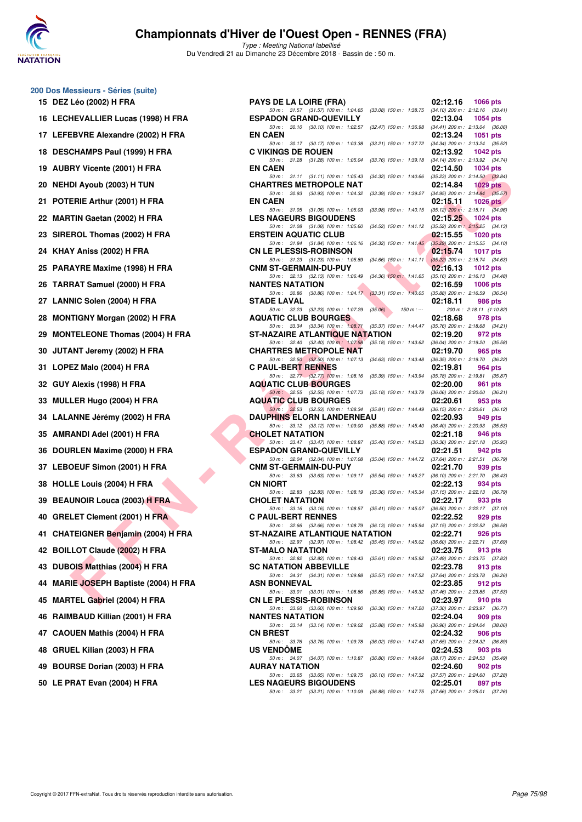

Type : Meeting National labellisé Du Vendredi 21 au Dimanche 23 Décembre 2018 - Bassin de : 50 m.

## **200 Dos Messieurs - Séries (suite)**

| 15 | DEZ Léo (2002) H FRA                 |
|----|--------------------------------------|
| 16 | LECHEVALLIER Lucas (1998) H FR       |
| 17 | LEFEBVRE Alexandre (2002) H FR/      |
| 18 | <b>DESCHAMPS Paul (1999) H FRA</b>   |
| 19 | <b>AUBRY Vicente (2001) H FRA</b>    |
| 20 | <b>NEHDI Ayoub (2003) H TUN</b>      |
| 21 | POTERIE Arthur (2001) H FRA          |
| 22 | <b>MARTIN Gaetan (2002) H FRA</b>    |
| 23 | SIREROL Thomas (2002) H FRA          |
| 24 | KHAY Aniss (2002) H FRA              |
| 25 | PARAYRE Maxime (1998) H FRA          |
| 26 | <b>TARRAT Samuel (2000) H FRA</b>    |
| 27 | LANNIC Solen (2004) H FRA            |
| 28 | <b>MONTIGNY Morgan (2002) H FRA</b>  |
| 29 | <b>MONTELEONE Thomas (2004) H FI</b> |
| 30 | JUTANT Jeremy (2002) H FRA           |
| 31 | LOPEZ Malo (2004) H FRA              |
| 32 | GUY Alexis (1998) H FRA              |
| 33 | MULLER Hugo (2004) H FRA             |
| 34 | LALANNE Jérémy (2002) H FRA          |
| 35 | AMRANDI Adel (2001) H FRA            |
| 36 | DOURLEN Maxime (2000) H FRA          |
| 37 | LEBOEUF Simon (2001) H FRA           |
| 38 | HOLLE Louis (2004) H FRA             |
| 39 | <b>BEAUNOIR Louca (2003) H FRA</b>   |
| 40 | GRELET Clement (2001) H FRA          |
| 41 | CHATEIGNER Benjamin (2004) H F       |
| 42 | <b>BOILLOT Claude (2002) H FRA</b>   |
| 43 | DUBOIS Matthias (2004) H FRA         |
| 44 | MARIE JOSEPH Baptiste (2004) H I     |
| 45 | <b>MARTEL Gabriel (2004) H FRA</b>   |
| 46 | RAIMBAUD Killian (2001) H FRA        |
| 47 | <b>CAOUEN Mathis (2004) H FRA</b>    |
| 48 | GRUEL Kilian (2003) H FRA            |
| 49 | <b>BOURSE Dorian (2003) H FRA</b>    |
| 50 | LE PRAT Evan (2004) H FRA            |

| <u>U DUS MESSIEURS - JEITES (SUITE)</u> |                                                                                                                                   |          |                                                |
|-----------------------------------------|-----------------------------------------------------------------------------------------------------------------------------------|----------|------------------------------------------------|
| 15 DEZ Léo (2002) H FRA                 | <b>PAYS DE LA LOIRE (FRA)</b>                                                                                                     | 02:12.16 | 1066 pts                                       |
| 16 LECHEVALLIER Lucas (1998) H FRA      | 50 m: 31.57 (31.57) 100 m: 1:04.65 (33.08) 150 m: 1:38.75 (34.10) 200 m: 2:12.16 (33.41)<br><b>ESPADON GRAND-QUEVILLY</b>         | 02:13.04 | <b>1054 pts</b>                                |
| 17 LEFEBVRE Alexandre (2002) H FRA      | 50 m: 30.10 (30.10) 100 m: 1:02.57 (32.47) 150 m: 1:36.98 (34.41) 200 m: 2:13.04 (36.06)<br><b>EN CAEN</b>                        | 02:13.24 | 1051 pts                                       |
| 18 DESCHAMPS Paul (1999) H FRA          | 50 m: 30.17 (30.17) 100 m: 1:03.38<br>(33.21) 150 m : 1:37.72 (34.34) 200 m : 2:13.24 (35.52)<br><b>C VIKINGS DE ROUEN</b>        | 02:13.92 | 1042 pts                                       |
| 19 AUBRY Vicente (2001) H FRA           | 50 m: 31.28 (31.28) 100 m: 1:05.04<br>(33.76) 150 m : 1:39.18 (34.14) 200 m : 2:13.92 (34.74)<br><b>EN CAEN</b>                   | 02:14.50 | 1034 pts                                       |
| 20 NEHDI Ayoub (2003) H TUN             | 50 m: 31.11 (31.11) 100 m: 1:05.43<br>(34.32) 150 m : 1:40.66 (35.23) 200 m : 2:14.50 (33.84)<br><b>CHARTRES METROPOLE NAT</b>    | 02:14.84 | 1029 pts                                       |
|                                         | 50 m: 30.93 (30.93) 100 m: 1:04.32<br>(33.39) 150 m : 1:39.27 (34.95) 200 m : 2:14.84 (35.57)                                     |          |                                                |
| 21 POTERIE Arthur (2001) H FRA          | <b>EN CAEN</b><br>50 m: 31.05 (31.05) 100 m: 1:05.03<br>$(33.98)$ 150 m : 1:40.15 $(35.12)$ 200 m : 2:15.11 $(34.96)$             | 02:15.11 | 1026 $pts$                                     |
| 22 MARTIN Gaetan (2002) H FRA           | <b>LES NAGEURS BIGOUDENS</b><br>50 m: 31.08 (31.08) 100 m: 1:05.60<br>(34.52) 150 m : 1:41.12 (35.52) 200 m : 2:15.25 (34.13)     | 02:15.25 | 1024 pts                                       |
| 23 SIREROL Thomas (2002) H FRA          | <b>ERSTEIN AQUATIC CLUB</b><br>50 m: 31.84 (31.84) 100 m: 1:06.16 (34.32) 150 m: 1:41.45 (35.29) 200 m: 2:15.55 (34.10)           | 02:15.55 | <b>1020 pts</b>                                |
| 24   KHAY Aniss (2002) H FRA            | <b>CN LE PLESSIS-ROBINSON</b><br>50 m: 31.23 (31.23) 100 m: 1:05.89 (34.66) 150 m: 1:41.11 (35.22) 200 m: 2:15.74 (34.63)         | 02:15.74 | 1017 pts                                       |
| 25 PARAYRE Maxime (1998) H FRA          | <b>CNM ST-GERMAIN-DU-PUY</b><br>50 m: 32.13 (32.13) 100 m: 1:06.49 (34.36) 150 m: 1:41.65 (35.16) 200 m: 2:16.13 (34.48)          | 02:16.13 | 1012 pts                                       |
| 26   TARRAT Samuel (2000) H FRA         | <b>NANTES NATATION</b>                                                                                                            | 02:16.59 | 1006 pts                                       |
| 27 LANNIC Solen (2004) H FRA            | 50 m: 30.86 (30.86) 100 m: 1:04.17 (33.31) 150 m: 1:40.05 (35.88) 200 m: 2:16.59 (36.54)<br><b>STADE LAVAL</b>                    | 02:18.11 | 986 pts                                        |
| 28 MONTIGNY Morgan (2002) H FRA         | 50 m: 32.23 (32.23) 100 m: 1:07.29 (35.06)<br>$150 m : -$<br><b>AQUATIC CLUB BOURGES</b>                                          | 02:18.68 | 200 m: 2:18.11 (1:10.82)<br>978 pts            |
| 29 MONTELEONE Thomas (2004) H FRA       | 50 m: 33.34 (33.34) 100 m: 1:08.71 (35.37) 150 m: 1:44.47 (35.76) 200 m: 2:18.68 (34.21)<br><b>ST-NAZAIRE ATLANTIQUE NATATION</b> | 02:19.20 | 972 pts                                        |
| 30 JUTANT Jeremy (2002) H FRA           | 50 m: 32.40 (32.40) 100 m: 1:07.58 (35.18) 150 m: 1:43.62 (36.04) 200 m: 2:19.20 (35.58)<br><b>CHARTRES METROPOLE NAT</b>         | 02:19.70 | 965 pts                                        |
| 31 LOPEZ Malo (2004) H FRA              | 50 m: 32.50 (32.50) 100 m: 1:07.13 (34.63) 150 m: 1:43.48 (36.35) 200 m: 2:19.70 (36.22)<br><b>C PAUL-BERT RENNES</b>             | 02:19.81 | 964 pts                                        |
| 32 GUY Alexis (1998) H FRA              | 50 m: 32.77 (32.77) 100 m: 1:08.16 (35.39) 150 m: 1:43.94 (35.78) 200 m: 2:19.81 (35.87)<br><b>AQUATIC CLUB BOURGES</b>           | 02:20.00 | 961 pts                                        |
| 33 MULLER Hugo (2004) H FRA             | 50 m : 32.55 (32.55) 100 m : 1:07.73 (35.18) 150 m : 1:43.79 (36.06) 200 m : 2:20.00 (36.21)<br><b>AQUATIC CLUB BOURGES</b>       | 02:20.61 | 953 pts                                        |
| 34 LALANNE Jérémy (2002) H FRA          | 50 m: 32.53 (32.53) 100 m: 1:08.34 (35.81) 150 m: 1:44.49 (36.15) 200 m: 2:20.61 (36.12)<br><b>DAUPHINS ELORN LANDERNEAU</b>      | 02:20.93 |                                                |
|                                         | 50 m: 33.12 (33.12) 100 m: 1:09.00 (35.88) 150 m: 1:45.40 (36.40) 200 m: 2:20.93 (35.53)                                          |          | 949 pts                                        |
| 35 AMRANDI Adel (2001) H FRA            | <b>CHOLET NATATION</b><br>50 m: 33.47 (33.47) 100 m: 1:08.87 (35.40) 150 m: 1:45.23 (36.36) 200 m: 2:21.18 (35.95)                | 02:21.18 | 946 pts                                        |
| 36 DOURLEN Maxime (2000) H FRA          | <b>ESPADON GRAND-QUEVILLY</b><br>50 m: 32.04 (32.04) 100 m: 1:07.08 (35.04) 150 m: 1:44.72 (37.64) 200 m: 2:21.51 (36.79)         | 02:21.51 | 942 pts                                        |
| 37 LEBOEUF Simon (2001) H FRA           | <b>CNM ST-GERMAIN-DU-PUY</b><br>50 m: 33.63 (33.63) 100 m: 1:09.17 (35.54) 150 m: 1:45.27 (36.10) 200 m: 2:21.70 (36.43)          | 02:21.70 | 939 pts                                        |
| 38 HOLLE Louis (2004) H FRA             | <b>CN NIORT</b>                                                                                                                   | 02:22.13 | 934 pts                                        |
| 39 BEAUNOIR Louca (2003) H FRA          | 50 m: 32.83 (32.83) 100 m: 1:08.19 (35.36) 150 m: 1:45.34 (37.15) 200 m: 2:22.13 (36.79)<br><b>CHOLET NATATION</b>                | 02:22.17 | 933 pts                                        |
| 40 GRELET Clement (2001) H FRA          | 50 m: 33.16 (33.16) 100 m: 1:08.57 (35.41) 150 m: 1:45.07 (36.50) 200 m: 2:22.17 (37.10)<br><b>C PAUL-BERT RENNES</b>             | 02:22.52 | 929 pts                                        |
| 41 CHATEIGNER Benjamin (2004) H FRA     | 50 m: 32.66 (32.66) 100 m: 1:08.79 (36.13) 150 m: 1:45.94 (37.15) 200 m: 2:22.52 (36.58)<br>ST-NAZAIRE ATLANTIQUE NATATION        | 02:22.71 | 926 pts                                        |
|                                         | 50 m: 32.97 (32.97) 100 m: 1:08.42 (35.45) 150 m: 1:45.02                                                                         |          | $(36.60)$ 200 m : 2:22.71 $(37.69)$            |
| 42 BOILLOT Claude (2002) H FRA          | <b>ST-MALO NATATION</b><br>(35.61) 150 m : 1:45.92 (37.49) 200 m : 2:23.75 (37.83)<br>50 m : 32.82 (32.82) 100 m : 1:08.43        | 02:23.75 | 913 pts                                        |
| 43 DUBOIS Matthias (2004) H FRA         | <b>SC NATATION ABBEVILLE</b><br>50 m: 34.31 (34.31) 100 m: 1:09.88<br>(35.57) 150 m : 1:47.52                                     | 02:23.78 | 913 pts<br>$(37.64)$ 200 m : 2:23.78 $(36.26)$ |
| 44 MARIE JOSEPH Baptiste (2004) H FRA   | <b>ASN BONNEVAL</b><br>50 m: 33.01 (33.01) 100 m: 1:08.86<br>$(35.85)$ 150 m : 1:46.32                                            | 02:23.85 | 912 pts<br>$(37.46)$ 200 m : 2:23.85 $(37.53)$ |
| 45 MARTEL Gabriel (2004) H FRA          | <b>CN LE PLESSIS-ROBINSON</b>                                                                                                     | 02:23.97 | 910 pts                                        |
| 46 RAIMBAUD Killian (2001) H FRA        | 50 m : 33.60 (33.60) 100 m : 1:09.90<br>(36.30) 150 m : 1:47.20 (37.30) 200 m : 2:23.97 (36.77)<br><b>NANTES NATATION</b>         | 02:24.04 | 909 pts                                        |
| 47 CAOUEN Mathis (2004) H FRA           | 50 m: 33.14 (33.14) 100 m: 1:09.02<br>(35.88) 150 m : 1:45.98<br><b>CN BREST</b>                                                  | 02:24.32 | $(36.96)$ 200 m : 2:24.04 $(38.06)$<br>906 pts |
| 48 GRUEL Kilian (2003) H FRA            | 50 m : 33.76 (33.76) 100 m : 1:09.78<br>(36.02) 150 m : 1:47.43<br><b>US VENDOME</b>                                              | 02:24.53 | (37.65) 200 m : 2:24.32 (36.89)<br>903 pts     |
| 49 BOURSE Dorian (2003) H FRA           | 50 m: 34.07 (34.07) 100 m: 1:10.87<br>$(36.80)$ 150 m : 1:49.04<br><b>AURAY NATATION</b>                                          | 02:24.60 | (38.17) 200 m : 2:24.53 (35.49)<br>902 pts     |
| 50 LE PRAT Evan (2004) H FRA            | 50 m: 33.65 (33.65) 100 m: 1:09.75 (36.10) 150 m: 1:47.32 (37.57) 200 m: 2:24.60 (37.28)<br><b>LES NAGEURS BIGOUDENS</b>          | 02:25.01 | 897 pts                                        |
|                                         | 50 m: 33.21 (33.21) 100 m: 1:10.09 (36.88) 150 m: 1:47.75 (37.66) 200 m: 2:25.01 (37.26)                                          |          |                                                |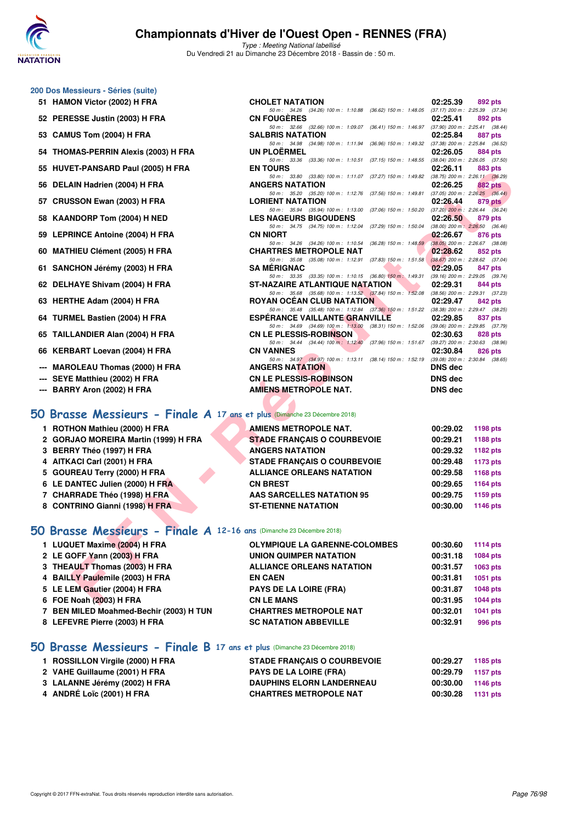

Type : Meeting National labellisé Du Vendredi 21 au Dimanche 23 Décembre 2018 - Bassin de : 50 m.

## **200 Dos Messieurs - Séries (suite)**

- **51 HAMON Victor (2002) H FRA CHOLET NATATION 02:25.39 892 pts 692 pts 50 m**: 34.26 (34.26) 100 m: 1:10.88 (36.62) 150 m: 1:48.05 (37.17) 200 m: 2:25.39 (37.34)
- **52 PERESSE Justin (2003) H FRA CN FOUGÈRES 02:25.41 02:25.41 892 pts 62.66 100 pts 62:05.1100 pts 62.66 100 pts 63.44 150 pts 6441 150 pts 6441 150 pts 6441 150 pts 6441 150 pts 67.**
- **53 CAMUS Tom (2004) H FRA**
- **54 THOMAS-PERRIN Alexis (2003) H FRA** UN PLOËRMEL **UNE ALGU EN EXECUTE ALGU EN 1999 PD 02:26.05 884 pts**<br>
50 **m 50 m 148.55** (38.04) 200 m **226.05** (37.50)
- **55 HUVET-PANSARD Paul (2005) H FRA EN TOURS 02:26.11 <b>02:26.11 02:26.11 02:26.11 03:39 03:49 14:11.07 03:89 100 m**: 1:11.07 **(37.27)** 150 m: 1:49.82 **(38.75)** 200 m: 2:26.11 **(36.29**)
- **56 DELAIN Hadrien (2004) H FRA ANGERS NATATION 02:26.25 882 pts**
- **57 CRUSSON Ewan (2003) H FRA LORIENT NATATION 02:26.44 879 pts 02:26.44 879 pts 150 pts 150 pts 150 pts 150 pts 150 pts 150 pts 150 pts 150 pts 150 pts 150 pts 150 pts 150 pts 150 pts**
- **58 KAANDORP Tom (2004) H NED LES NAGEURS BIGOUDENS 02:26.50 879 pts**
- **59 LEPRINCE Antoine (2004) H FRA CN NIORT 50 m:** 34.26 (34.26) 100 m: 1:10.54 (36.28) 150 m: 1:48.59 (38.05) 200 m: 2:26.67 (38.0
- **60 MATHIEU Clément (2005) H FRA CHARTRES METROPOLE NAT 02:28.62 852 pts**
- **61 SANCHON Jérémy (2003) H FRA SA MÉRIGNAC 02:29.05 847 pts**
- **62 DELHAYE Shivam (2004) H FRA** ST-NAZAIRE ATLANTIQUE NATATION 02:29.31 **844 pts**<br>50 m: 35.68 (35.68) 100 m: 1:13.52 (37.84) 150 m: 1:52.08 (38.56) 200 m: 2:29.31
- **63 HERTHE Adam (2004) H FRA ROYAN OCÉAN CLUB NATATION 02:29.47 842 pts**
- **64 TURMEL Bastien (2004) H FRA** ESPÉRANCE VAILLANTE GRANVILLE 02:29.85 837 pts<br> **69 m:** 34.69 (34.69) 100 m: 1:13.00 (38.31) 150 m: 1:52.06 (39.06) 200 m: 2:29.85 (37.79)
- **65 TAILLANDIER Alan (2004) H FRA CN LE PLESSIS-ROBINSON 02:30.63 828 pts**<br> **69 CN LE PLESSIS-ROBINSON** 1:12,40 (37.96) 150 m : 1:51.67 (39.27) 200 m : 2:30.63 (38.96)
- **66 KERBART Loevan (2004) H FRA CN VANNES CN VANNES 84 pts 02:30.84**

- --- MAROLEAU Thomas (2000) H FRA
- **--- SEYE Matthieu (2002) H FRA CN LE PLESSIS-ROBINSON DNS dec**
- **--- BARRY Aron (2002) H FRA AMIENS METROPOLE NAT. DNS dec**

### **[50 Brasse Messieurs - Finale A](http://www.ffnatation.fr/webffn/resultats.php?idact=nat&go=epr&idcpt=55947&idepr=71) 17 ans et plus** (Dimanche 23 Décembre 2018)

| <b>AMIENS METROPOLE NAT.</b>       | 00:29.02 | 1198 pts        |
|------------------------------------|----------|-----------------|
| <b>STADE FRANÇAIS O COURBEVOIE</b> | 00:29.21 | 1188 pts        |
| <b>ANGERS NATATION</b>             | 00:29.32 | 1182 pts        |
| <b>STADE FRANÇAIS O COURBEVOIE</b> | 00:29.48 | 1173 pts        |
| <b>ALLIANCE ORLEANS NATATION</b>   | 00:29.58 | 1168 pts        |
| <b>CN BREST</b>                    | 00:29.65 | <b>1164 pts</b> |
| <b>AAS SARCELLES NATATION 95</b>   | 00:29.75 | 1159 pts        |
| <b>ST-ETIENNE NATATION</b>         | 00:30.00 | 1146 pts        |

50 m : 34.26) 100 m : 1:10.88 (36.62) 150 m : 1:48.05 (37.17) 200 m : 2:25.39 (37.34)<br>50 m : 31.25.41 (392 pts

50 m: 32.66 (32.66) 100 m: 1:09.07 (36.41) 150 m: 1:46.97 (37.90) 200 m: 2:25.41 (38.4<br> **SALBRIS NATATION** 02:25.84 887 pts

50 m: 34.98 (34.98) 100 m: 1:11.94 (36.96) 150 m: 1:49.32 (37.38) 200 m: 2:25.84 (36.52)<br>**UN PLOËRMEL 02:26.05** 884 pts

 $50 \text{ m}$ :  $33.36$   $(33.36)$   $100 \text{ m}$ :  $1:10.51$   $(37.15)$   $150 \text{ m}$ :  $1:48.55$ 

#### **[50 Brasse Messieurs - Finale A](http://www.ffnatation.fr/webffn/resultats.php?idact=nat&go=epr&idcpt=55947&idepr=71) 12-16 ans** (Dimanche 23 Décembre 2018)

| 33 TIO VET "FAN SAND Faul (2003) IT FAA                                  | EN IVURJ                                                                                                                     | <b>UZ.ZU.II</b> | <b>OOJ PIS</b>  |
|--------------------------------------------------------------------------|------------------------------------------------------------------------------------------------------------------------------|-----------------|-----------------|
| 56 DELAIN Hadrien (2004) H FRA                                           | 50 m: 33.80 (33.80) 100 m: 1:11.07 (37.27) 150 m: 1:49.82 (38.75) 200 m: 2:26.11 (36.29)<br><b>ANGERS NATATION</b>           | 02:26.25        | <b>882 pts</b>  |
|                                                                          | 50 m: 35.20 (35.20) 100 m: 1:12.76 (37.56) 150 m: 1:49.81 (37.05) 200 m: 2:26.25 (36.44)                                     |                 |                 |
| 57 CRUSSON Ewan (2003) H FRA                                             | <b>LORIENT NATATION</b><br>50 m: 35.94 (35.94) 100 m: 1:13.00 (37.06) 150 m: 1:50.20 (37.20) 200 m: 2:26.44 (36.24)          | 02:26.44        | 879 pts         |
| 58 KAANDORP Tom (2004) H NED                                             | <b>LES NAGEURS BIGOUDENS</b>                                                                                                 | 02:26.50        | 879 pts         |
|                                                                          | 50 m: 34.75 (34.75) 100 m: 1:12.04 (37.29) 150 m: 1:50.04 (38.00) 200 m: 2:26.50 (36.46)<br><b>CN NIORT</b>                  | 02:26.67        |                 |
| 59 LEPRINCE Antoine (2004) H FRA                                         | 50 m: 34.26 (34.26) 100 m: 1:10.54 (36.28) 150 m: 1:48.59 (38.05) 200 m: 2:26.67 (38.08)                                     |                 | 876 pts         |
| 60 MATHIEU Clément (2005) H FRA                                          | <b>CHARTRES METROPOLE NAT</b>                                                                                                | 02:28.62        | 852 pts         |
| 61 SANCHON Jérémy (2003) H FRA                                           | 50 m: 35.08 (35.08) 100 m: 1:12.91 (37.83) 150 m: 1:51.58 (38.67) 200 m: 2:28.62 (37.04)<br><b>SA MERIGNAC</b>               | 02:29.05        | 847 pts         |
|                                                                          | 50 m: 33.35 (33.35) 100 m: 1:10.15 (36.80) 150 m: 1:49.31 (39.16) 200 m: 2:29.05 (39.74)                                     |                 |                 |
| 62 DELHAYE Shivam (2004) H FRA                                           | <b>ST-NAZAIRE ATLANTIQUE NATATION</b>                                                                                        | 02:29.31        | 844 pts         |
| 63 HERTHE Adam (2004) H FRA                                              | 50 m: 35.68 (35.68) 100 m: 1:13.52 (37.84) 150 m: 1:52.08 (38.56) 200 m: 2:29.31 (37.23)<br><b>ROYAN OCEAN CLUB NATATION</b> | 02:29.47        | 842 pts         |
|                                                                          | 50 m: 35.48 (35.48) 100 m: 1:12.84 (37.36) 150 m: 1:51.22 (38.38) 200 m: 2:29.47 (38.25)                                     |                 |                 |
| 64 TURMEL Bastien (2004) H FRA                                           | <b>ESPERANCE VAILLANTE GRANVILLE</b>                                                                                         | 02:29.85        | 837 pts         |
|                                                                          | 50 m: 34.69 (34.69) 100 m: 1:13.00 (38.31) 150 m: 1:52.06 (39.06) 200 m: 2:29.85 (37.79)<br><b>CN LE PLESSIS-ROBINSON</b>    |                 |                 |
| 65 TAILLANDIER Alan (2004) H FRA                                         | 50 m: 34.44 (34.44) 100 m: 1:12.40 (37.96) 150 m: 1:51.67 (39.27) 200 m: 2:30.63 (38.96)                                     | 02:30.63        | 828 pts         |
| 66   KERBART Loevan (2004) H FRA                                         | <b>CN VANNES</b>                                                                                                             | 02:30.84        | 826 pts         |
| --- MAROLEAU Thomas (2000) H FRA                                         | 50 m: 34.97 (34.97) 100 m: 1:13.11 (38.14) 150 m: 1:52.19 (39.08) 200 m: 2:30.84 (38.65)<br><b>ANGERS NATATION</b>           | <b>DNS</b> dec  |                 |
| --- SEYE Matthieu (2002) H FRA                                           | <b>CN LE PLESSIS-ROBINSON</b>                                                                                                | <b>DNS</b> dec  |                 |
| --- BARRY Aron (2002) H FRA                                              | <b>AMIENS METROPOLE NAT.</b>                                                                                                 | <b>DNS</b> dec  |                 |
|                                                                          |                                                                                                                              |                 |                 |
|                                                                          |                                                                                                                              |                 |                 |
| O Brasse Messieurs - Finale A 17 ans et plus (Dimanche 23 Décembre 2018) |                                                                                                                              |                 |                 |
| 1 ROTHON Mathieu (2000) H FRA                                            | <b>AMIENS METROPOLE NAT.</b>                                                                                                 | 00:29.02        | 1198 pts        |
| 2 GORJAO MOREIRA Martin (1999) H FRA                                     | <b>STADE FRANÇAIS O COURBEVOIE</b>                                                                                           | 00:29.21        | <b>1188 pts</b> |
| 3 BERRY Théo (1997) H FRA                                                | <b>ANGERS NATATION</b>                                                                                                       | 00:29.32        | 1182 pts        |
| 4 AITKACI Carl (2001) H FRA                                              | <b>STADE FRANÇAIS O COURBEVOIE</b>                                                                                           | 00:29.48        | <b>1173 pts</b> |
| 5 GOUREAU Terry (2000) H FRA                                             | <b>ALLIANCE ORLEANS NATATION</b>                                                                                             | 00:29.58        | 1168 pts        |
| 6 LE DANTEC Julien (2000) H FRA                                          | <b>CN BREST</b>                                                                                                              | 00:29.65        | <b>1164 pts</b> |
| 7 CHARRADE Théo (1998) H FRA                                             | <b>AAS SARCELLES NATATION 95</b>                                                                                             | 00:29.75        | 1159 pts        |
| 8 CONTRINO Gianni (1998) H FRA                                           | <b>ST-ETIENNE NATATION</b>                                                                                                   | 00:30.00        | 1146 pts        |
|                                                                          |                                                                                                                              |                 |                 |
| O Brasse Messieurs - Finale A 12-16 ans (Dimanche 23 Décembre 2018)      |                                                                                                                              |                 |                 |
| 1 LUQUET Maxime (2004) H FRA                                             | <b>OLYMPIQUE LA GARENNE-COLOMBES</b>                                                                                         | 00:30.60        | 1114 $pts$      |
| 2 LE GOFF Yann (2003) H FRA                                              | UNION QUIMPER NATATION                                                                                                       | 00:31.18        | <b>1084 pts</b> |
| 3 THEAULT Thomas (2003) H FRA                                            | <b>ALLIANCE ORLEANS NATATION</b>                                                                                             | 00:31.57        | 1063 pts        |
| 4 BAILLY Paulemile (2003) H FRA                                          | <b>EN CAEN</b>                                                                                                               | 00:31.81        | <b>1051 pts</b> |
| 5 LE LEM Gautier (2004) H FRA                                            | PAYS DE LA LOIRE (FRA)                                                                                                       | 00:31.87        | 1048 pts        |
| 6 FOE Noah (2003) H FRA                                                  | <b>CN LE MANS</b>                                                                                                            | 00:31.95        | <b>1044 pts</b> |
| 7 BEN MILED Moahmed-Bechir (2003) H TUN                                  | <b>CHARTRES METROPOLE NAT</b>                                                                                                | 00:32.01        | 1041 pts        |
| 8 LEFEVRE Pierre (2003) H FRA                                            | <b>SC NATATION ABBEVILLE</b>                                                                                                 | 00:32.91        | 996 pts         |
|                                                                          |                                                                                                                              |                 |                 |

#### **[50 Brasse Messieurs - Finale B](http://www.ffnatation.fr/webffn/resultats.php?idact=nat&go=epr&idcpt=55947&idepr=71) 17 ans et plus** (Dimanche 23 Décembre 2018)

| 1 ROSSILLON Virgile (2000) H FRA | <b>STADE FRANÇAIS O COURBEVOIE</b> | 00:29.27 | 1185 pts |
|----------------------------------|------------------------------------|----------|----------|
| 2 VAHE Guillaume (2001) H FRA    | <b>PAYS DE LA LOIRE (FRA)</b>      | 00:29.79 | 1157 pts |
| 3 LALANNE Jérémy (2002) H FRA    | <b>DAUPHINS ELORN LANDERNEAU</b>   | 00:30.00 | 1146 pts |
| 4 ANDRÉ Loïc (2001) H FRA        | <b>CHARTRES METROPOLE NAT</b>      | 00:30.28 | 1131 pts |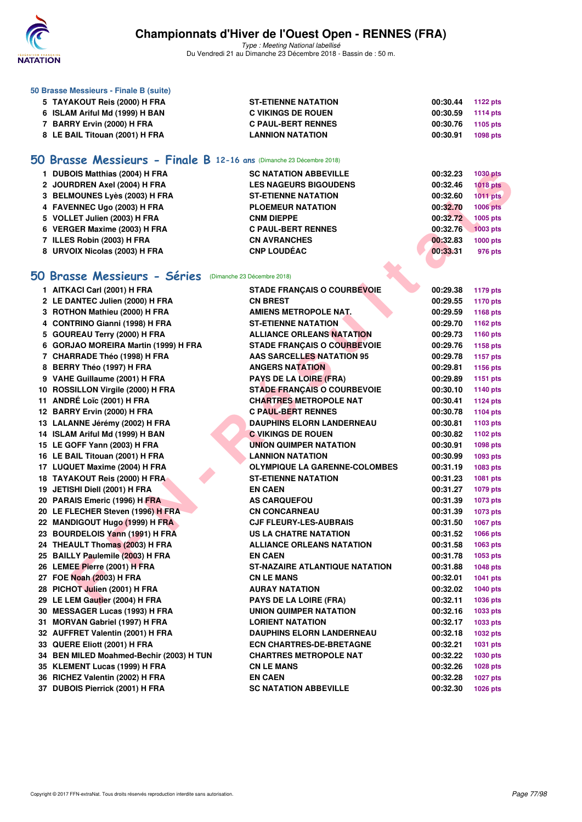

| 50 Brasse Messieurs - Finale B (suite)                               |                                       |          |                 |
|----------------------------------------------------------------------|---------------------------------------|----------|-----------------|
| 5 TAYAKOUT Reis (2000) H FRA                                         | <b>ST-ETIENNE NATATION</b>            | 00:30.44 | <b>1122 pts</b> |
| 6 ISLAM Ariful Md (1999) H BAN                                       | <b>C VIKINGS DE ROUEN</b>             | 00:30.59 | <b>1114 pts</b> |
| 7 BARRY Ervin (2000) H FRA                                           | <b>C PAUL-BERT RENNES</b>             | 00:30.76 | 1105 pts        |
| 8 LE BAIL Titouan (2001) H FRA                                       | <b>LANNION NATATION</b>               | 00:30.91 | 1098 pts        |
|                                                                      |                                       |          |                 |
| 50 Brasse Messieurs - Finale B 12-16 ans (Dimanche 23 Décembre 2018) |                                       |          |                 |
| 1 DUBOIS Matthias (2004) H FRA                                       | <b>SC NATATION ABBEVILLE</b>          | 00:32.23 | <b>1030 pts</b> |
| 2 JOURDREN Axel (2004) H FRA                                         | <b>LES NAGEURS BIGOUDENS</b>          | 00:32.46 | <b>1018 pts</b> |
| 3 BELMOUNES Lyès (2003) H FRA                                        | <b>ST-ETIENNE NATATION</b>            | 00:32.60 | $1011$ pts      |
| 4 FAVENNEC Ugo (2003) H FRA                                          | <b>PLOEMEUR NATATION</b>              | 00:32.70 | <b>1006 pts</b> |
| 5 VOLLET Julien (2003) H FRA                                         | <b>CNM DIEPPE</b>                     | 00:32.72 | 1005 pts        |
| 6 VERGER Maxime (2003) H FRA                                         | <b>C PAUL-BERT RENNES</b>             | 00:32.76 | 1003 pts        |
| 7 ILLES Robin (2003) H FRA                                           | <b>CN AVRANCHES</b>                   | 00:32.83 | <b>1000 pts</b> |
| 8 URVOIX Nicolas (2003) H FRA                                        | <b>CNP LOUDÉAC</b>                    | 00:33.31 | 976 pts         |
|                                                                      |                                       |          |                 |
| 50 Brasse Messieurs - Séries (Dimanche 23 Décembre 2018)             |                                       |          |                 |
| 1 AITKACI Carl (2001) H FRA                                          | <b>STADE FRANÇAIS O COURBEVOIE</b>    | 00:29.38 | <b>1179 pts</b> |
| 2 LE DANTEC Julien (2000) H FRA                                      | <b>CN BREST</b>                       | 00:29.55 | <b>1170 pts</b> |
| 3 ROTHON Mathieu (2000) H FRA                                        | <b>AMIENS METROPOLE NAT.</b>          | 00:29.59 | 1168 pts        |
| 4 CONTRINO Gianni (1998) H FRA                                       | <b>ST-ETIENNE NATATION</b>            | 00:29.70 | 1162 pts        |
| 5 GOUREAU Terry (2000) H FRA                                         | <b>ALLIANCE ORLEANS NATATION</b>      | 00:29.73 | 1160 pts        |
| 6 GORJAO MOREIRA Martin (1999) H FRA                                 | <b>STADE FRANÇAIS O COURBEVOIE</b>    | 00:29.76 | 1158 pts        |
| 7 CHARRADE Théo (1998) H FRA                                         | <b>AAS SARCELLES NATATION 95</b>      | 00:29.78 | <b>1157 pts</b> |
| 8 BERRY Théo (1997) H FRA                                            | <b>ANGERS NATATION</b>                | 00:29.81 | 1156 pts        |
| 9 VAHE Guillaume (2001) H FRA                                        | <b>PAYS DE LA LOIRE (FRA)</b>         | 00:29.89 | 1151 pts        |
| 10 ROSSILLON Virgile (2000) H FRA                                    | <b>STADE FRANÇAIS O COURBEVOIE</b>    | 00:30.10 | 1140 pts        |
| 11 ANDRÉ Loïc (2001) H FRA                                           | <b>CHARTRES METROPOLE NAT</b>         | 00:30.41 | <b>1124 pts</b> |
| 12 BARRY Ervin (2000) H FRA                                          | <b>C PAUL-BERT RENNES</b>             | 00:30.78 | 1104 pts        |
| 13 LALANNE Jérémy (2002) H FRA                                       | <b>DAUPHINS ELORN LANDERNEAU</b>      | 00:30.81 | 1103 pts        |
| 14 ISLAM Ariful Md (1999) H BAN                                      | <b>C VIKINGS DE ROUEN</b>             | 00:30.82 | 1102 pts        |
| 15 LE GOFF Yann (2003) H FRA                                         | <b>UNION QUIMPER NATATION</b>         | 00:30.91 | 1098 pts        |
| 16 LE BAIL Titouan (2001) H FRA                                      | <b>LANNION NATATION</b>               | 00:30.99 | 1093 pts        |
| 17 LUQUET Maxime (2004) H FRA                                        | <b>OLYMPIQUE LA GARENNE-COLOMBES</b>  | 00:31.19 | 1083 pts        |
| 18 TAYAKOUT Reis (2000) H FRA                                        | <b>ST-ETIENNE NATATION</b>            | 00:31.23 | 1081 pts        |
| 19 JETISHI Diell (2001) H FRA                                        | <b>EN CAEN</b>                        | 00:31.27 | 1079 pts        |
| 20 PARAIS Emeric (1996) H FRA                                        | <b>AS CARQUEFOU</b>                   | 00:31.39 | 1073 pts        |
| 20 LE FLECHER Steven (1996) H FRA                                    | <b>CN CONCARNEAU</b>                  | 00:31.39 | 1073 pts        |
| 22 MANDIGOUT Hugo (1999) H FRA                                       | <b>CJF FLEURY-LES-AUBRAIS</b>         | 00:31.50 | 1067 pts        |
| 23 BOURDELOIS Yann (1991) H FRA                                      | <b>US LA CHATRE NATATION</b>          | 00:31.52 | 1066 pts        |
| 24 THEAULT Thomas (2003) H FRA                                       | <b>ALLIANCE ORLEANS NATATION</b>      | 00:31.58 | 1063 pts        |
| 25 BAILLY Paulemile (2003) H FRA                                     | <b>EN CAEN</b>                        | 00:31.78 | 1053 pts        |
| 26 LEMEE Pierre (2001) H FRA                                         | <b>ST-NAZAIRE ATLANTIQUE NATATION</b> | 00:31.88 | <b>1048 pts</b> |
| 27 FOE Noah (2003) H FRA                                             | <b>CN LE MANS</b>                     | 00:32.01 | 1041 pts        |
| 28 PICHOT Julien (2001) H FRA                                        | <b>AURAY NATATION</b>                 | 00:32.02 | <b>1040 pts</b> |
| 29 LE LEM Gautier (2004) H FRA                                       | <b>PAYS DE LA LOIRE (FRA)</b>         | 00:32.11 | 1036 pts        |
| 30 MESSAGER Lucas (1993) H FRA                                       | <b>UNION QUIMPER NATATION</b>         | 00:32.16 | 1033 pts        |
| 31 MORVAN Gabriel (1997) H FRA                                       | <b>LORIENT NATATION</b>               | 00:32.17 | 1033 pts        |
| 32 AUFFRET Valentin (2001) H FRA                                     | <b>DAUPHINS ELORN LANDERNEAU</b>      | 00:32.18 | 1032 pts        |
| 33 QUERE Eliott (2001) H FRA                                         | <b>ECN CHARTRES-DE-BRETAGNE</b>       | 00:32.21 | 1031 pts        |
| 34 BEN MILED Moahmed-Bechir (2003) H TUN                             | <b>CHARTRES METROPOLE NAT</b>         | 00:32.22 | 1030 pts        |
| 35 KLEMENT Lucas (1999) H FRA                                        | <b>CN LE MANS</b>                     | 00:32.26 | 1028 pts        |
| 36 RICHEZ Valentin (2002) H FRA                                      | <b>EN CAEN</b>                        | 00:32.28 | <b>1027 pts</b> |
| 37 DUBOIS Pierrick (2001) H FRA                                      | <b>SC NATATION ABBEVILLE</b>          | 00:32.30 | 1026 pts        |
|                                                                      |                                       |          |                 |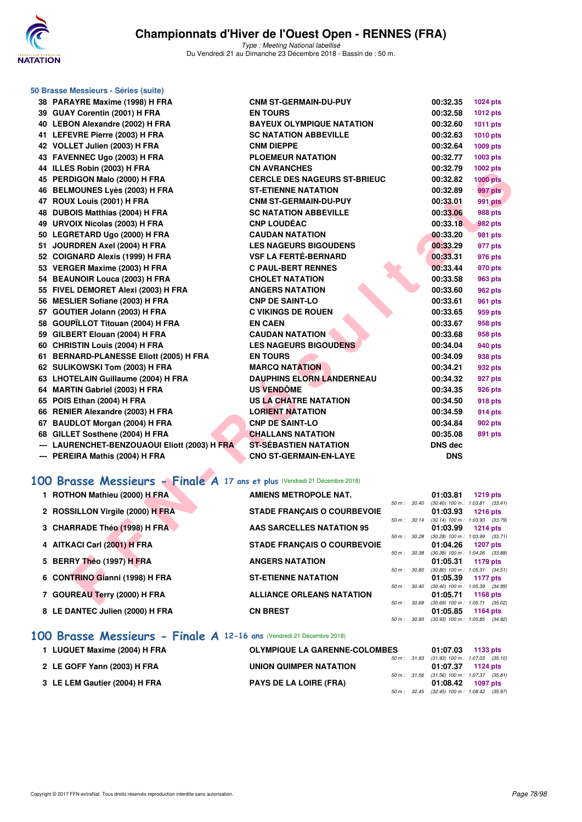

Type : Meeting National labellisé Du Vendredi 21 au Dimanche 23 Décembre 2018 - Bassin de : 50 m.

|   | 50 Brasse Messieurs - Séries (suite)                                             |                                                   |              |                      |                                                        |
|---|----------------------------------------------------------------------------------|---------------------------------------------------|--------------|----------------------|--------------------------------------------------------|
|   | 38 PARAYRE Maxime (1998) H FRA                                                   | <b>CNM ST-GERMAIN-DU-PUY</b>                      |              | 00:32.35             | 1024 pts                                               |
|   | 39 GUAY Corentin (2001) H FRA                                                    | <b>EN TOURS</b>                                   |              | 00:32.58             | 1012 pts                                               |
|   | 40 LEBON Alexandre (2002) H FRA                                                  | <b>BAYEUX OLYMPIQUE NATATION</b>                  |              | 00:32.60             | <b>1011 pts</b>                                        |
|   | 41 LEFEVRE Pierre (2003) H FRA                                                   | <b>SC NATATION ABBEVILLE</b>                      |              | 00:32.63             | 1010 pts                                               |
|   | 42 VOLLET Julien (2003) H FRA                                                    | <b>CNM DIEPPE</b>                                 |              | 00:32.64             | 1009 pts                                               |
|   | 43 FAVENNEC Ugo (2003) H FRA                                                     | <b>PLOEMEUR NATATION</b>                          |              | 00:32.77             | 1003 pts                                               |
|   | 44 ILLES Robin (2003) H FRA                                                      | <b>CN AVRANCHES</b>                               |              | 00:32.79             | 1002 pts                                               |
|   | 45 PERDIGON Malo (2000) H FRA                                                    | <b>CERCLE DES NAGEURS ST-BRIEUC</b>               |              | 00:32.82             | <b>1000 pts</b>                                        |
|   | 46 BELMOUNES Lyès (2003) H FRA                                                   | <b>ST-ETIENNE NATATION</b>                        |              | 00:32.89             | 997 pts                                                |
|   | 47 ROUX Louis (2001) H FRA                                                       | <b>CNM ST-GERMAIN-DU-PUY</b>                      |              | 00:33.01             | <b>991 pts</b>                                         |
|   | 48 DUBOIS Matthias (2004) H FRA                                                  | <b>SC NATATION ABBEVILLE</b>                      |              | 00:33.06             | <b>988 pts</b>                                         |
|   | 49 URVOIX Nicolas (2003) H FRA                                                   | <b>CNP LOUDEAC</b>                                |              | 00:33.18             | 982 pts                                                |
|   | 50 LEGRETARD Ugo (2000) H FRA                                                    | <b>CAUDAN NATATION</b>                            |              | 00:33.20             | <b>981 pts</b>                                         |
|   | 51 JOURDREN Axel (2004) H FRA                                                    | <b>LES NAGEURS BIGOUDENS</b>                      |              | 00:33.29             | 977 pts                                                |
|   | 52 COIGNARD Alexis (1999) H FRA                                                  | <b>VSF LA FERTÉ-BERNARD</b>                       |              | 00:33.31             | 976 pts                                                |
|   | 53 VERGER Maxime (2003) H FRA                                                    | <b>C PAUL-BERT RENNES</b>                         |              | 00:33.44             | 970 pts                                                |
|   | 54 BEAUNOIR Louca (2003) H FRA                                                   | <b>CHOLET NATATION</b>                            |              | 00:33.58             | 963 pts                                                |
|   | 55 FIVEL DEMORET Alexi (2003) H FRA                                              | <b>ANGERS NATATION</b>                            |              | 00:33.60             | <b>962 pts</b>                                         |
|   | 56 MESLIER Sofiane (2003) H FRA                                                  | <b>CNP DE SAINT-LO</b>                            |              | 00:33.61             | 961 pts                                                |
|   | 57 GOUTIER Jolann (2003) H FRA                                                   | <b>C VIKINGS DE ROUEN</b>                         |              | 00:33.65             | 959 pts                                                |
|   | 58 GOUPÏLLOT Titouan (2004) H FRA                                                | <b>EN CAEN</b>                                    |              | 00:33.67             | 958 pts                                                |
|   | 59 GILBERT Elouan (2004) H FRA                                                   | <b>CAUDAN NATATION</b>                            |              | 00:33.68             | 958 pts                                                |
|   | 60 CHRISTIN Louis (2004) H FRA                                                   | <b>LES NAGEURS BIGOUDENS</b>                      |              | 00:34.04             | 940 pts                                                |
|   | 61 BERNARD-PLANESSE Eliott (2005) H FRA                                          | <b>EN TOURS</b>                                   |              | 00:34.09             | 938 pts                                                |
|   | 62 SULIKOWSKI Tom (2003) H FRA                                                   | <b>MARCQ NATATION</b>                             |              | 00:34.21             | 932 pts                                                |
|   | 63 LHOTELAIN Guillaume (2004) H FRA                                              | <b>DAUPHINS ELORN LANDERNEAU</b>                  |              | 00:34.32             | 927 pts                                                |
|   | 64 MARTIN Gabriel (2003) H FRA                                                   | <b>US VENDÔME</b>                                 |              | 00:34.35             | 926 pts                                                |
|   | 65 POIS Ethan (2004) H FRA                                                       | US LA CHATRE NATATION                             |              | 00:34.50             | 918 pts                                                |
|   | 66 RENIER Alexandre (2003) H FRA<br>67 BAUDLOT Morgan (2004) H FRA               | <b>LORIENT NATATION</b><br><b>CNP DE SAINT-LO</b> |              | 00:34.59             | 914 pts                                                |
|   |                                                                                  | <b>CHALLANS NATATION</b>                          |              | 00:34.84<br>00:35.08 | 902 pts                                                |
|   | 68 GILLET Sosthene (2004) H FRA<br>--- LAURENCHET-BENZOUAOUI Eliott (2003) H FRA | <b>ST-SEBASTIEN NATATION</b>                      |              | <b>DNS dec</b>       | 891 pts                                                |
|   | --- PEREIRA Mathis (2004) H FRA                                                  | <b>CNO ST-GERMAIN-EN-LAYE</b>                     |              | <b>DNS</b>           |                                                        |
|   |                                                                                  |                                                   |              |                      |                                                        |
|   | 100 Brasse Messieurs - Finale A 17 ans et plus (Vendredi 21 Décembre 2018)       |                                                   |              |                      |                                                        |
|   | 1 ROTHON Mathieu (2000) H FRA                                                    | AMIENS METROPOLE NAT.                             |              | 01:03.81             | <b>1219 pts</b>                                        |
|   |                                                                                  |                                                   | 50 m: 30.40  |                      | $(30.40)$ 100 m : 1:03.81 $(33.41)$                    |
|   | 2 ROSSILLON Virgile (2000) H FRA                                                 | <b>STADE FRANÇAIS O COURBEVOIE</b>                | $50\,m$ :    | 01:03.93             | <b>1216 pts</b>                                        |
|   | 3 CHARRADE Théo (1998) H FRA                                                     | <b>AAS SARCELLES NATATION 95</b>                  | 30.14        | 01:03.99             | $(30.14)$ 100 m : 1:03.93 $(33.79)$<br><b>1214 pts</b> |
|   |                                                                                  |                                                   | 50 m: 30.28  |                      | $(30.28)$ 100 m : 1:03.99 $(33.71)$                    |
|   | 4 AITKACI Carl (2001) H FRA                                                      | <b>STADE FRANÇAIS O COURBEVOIE</b>                | 50 m : 30.38 | 01:04.26             | <b>1207 pts</b><br>(30.38) 100 m: 1:04.26 (33.88)      |
| 5 | BERRY Théo (1997) H FRA                                                          | <b>ANGERS NATATION</b>                            |              | 01:05.31             | 1179 pts                                               |
|   | <b>CONTRINO Gianni (1998) H FRA</b>                                              | <b>ST-ETIENNE NATATION</b>                        | 50 m : 30.80 |                      | $(30.80)$ 100 m : 1:05.31 $(34.51)$                    |
| 6 |                                                                                  |                                                   | 50 m : 30.40 | 01:05.39             | 1177 pts<br>(30.40) 100 m: 1:05.39 (34.99)             |
|   | 7 GOUREAU Terry (2000) H FRA                                                     | <b>ALLIANCE ORLEANS NATATION</b>                  |              | 01:05.71             | 1168 pts                                               |
|   |                                                                                  |                                                   |              |                      | 50 m : 30.69 (30.69) 100 m : 1:05.71 (35.02)           |

| 1 ROTHON Mathieu (2000) H FRA    | <b>AMIENS METROPOLE NAT.</b>       |                          |                          | 01:03.81                                        | <b>1219 pts</b> |  |
|----------------------------------|------------------------------------|--------------------------|--------------------------|-------------------------------------------------|-----------------|--|
| 2 ROSSILLON Virgile (2000) H FRA | <b>STADE FRANCAIS O COURBEVOIE</b> |                          | $50 \text{ m}$ : $30.40$ | $(30.40)$ 100 m : 1:03.81 $(33.41)$<br>01:03.93 | $1216$ pts      |  |
|                                  |                                    | $50 m$ : $30.14$         |                          | $(30.14)$ 100 m : 1:03.93 $(33.79)$             |                 |  |
| 3 CHARRADE Théo (1998) H FRA     | AAS SARCELLES NATATION 95          | 50 m: 30.28              |                          | 01:03.99<br>$(30.28)$ 100 m : 1:03.99 $(33.71)$ | 1214 pts        |  |
| 4 AITKACI Carl (2001) H FRA      | <b>STADE FRANCAIS O COURBEVOIE</b> |                          | 50 m: 30.38              | 01:04.26<br>$(30.38)$ 100 m : 1:04.26 $(33.88)$ | <b>1207 pts</b> |  |
| 5 BERRY Théo (1997) H FRA        | <b>ANGERS NATATION</b>             |                          |                          | 01:05.31                                        | 1179 pts        |  |
| 6 CONTRINO Gianni (1998) H FRA   | <b>ST-ETIENNE NATATION</b>         |                          | 50 m: 30.80              | $(30.80)$ 100 m : 1:05.31 $(34.51)$<br>01:05.39 | 1177 pts        |  |
| 7 GOUREAU Terry (2000) H FRA     | <b>ALLIANCE ORLEANS NATATION</b>   | $50 \text{ m}$ : $30.40$ |                          | $(30.40)$ 100 m : 1:05.39 $(34.99)$<br>01:05.71 | 1168 pts        |  |
|                                  |                                    | 50 m: 30.69              |                          | $(30.69)$ 100 m : 1:05.71 $(35.02)$             |                 |  |
| 8 LE DANTEC Julien (2000) H FRA  | <b>CN BREST</b>                    |                          | 50 m : 30.93             | 01:05.85<br>$(30.93)$ 100 m : 1:05.85 $(34.92)$ | 1164 $pts$      |  |

## **[100 Brasse Messieurs - Finale A](http://www.ffnatation.fr/webffn/resultats.php?idact=nat&go=epr&idcpt=55947&idepr=72) 12-16 ans** (Vendredi 21 Décembre 2018)

| 1 LUQUET Maxime (2004) H FRA  | <b>OLYMPIQUE LA GARENNE-COLOMBES</b> |  | 01:07.03 1133 pts                          |  |
|-------------------------------|--------------------------------------|--|--------------------------------------------|--|
|                               |                                      |  | 50 m: 31.93 (31.93) 100 m: 1:07.03 (35.10) |  |
| 2 LE GOFF Yann (2003) H FRA   | UNION QUIMPER NATATION               |  | 01:07.37 1124 pts                          |  |
|                               |                                      |  | 50 m: 31.56 (31.56) 100 m: 1:07.37 (35.81  |  |
| 3 LE LEM Gautier (2004) H FRA | <b>PAYS DE LA LOIRE (FRA)</b>        |  | 01:08.42 1097 pts                          |  |
|                               |                                      |  | 50 m: 32.45 (32.45) 100 m: 1:08.42 (35.97  |  |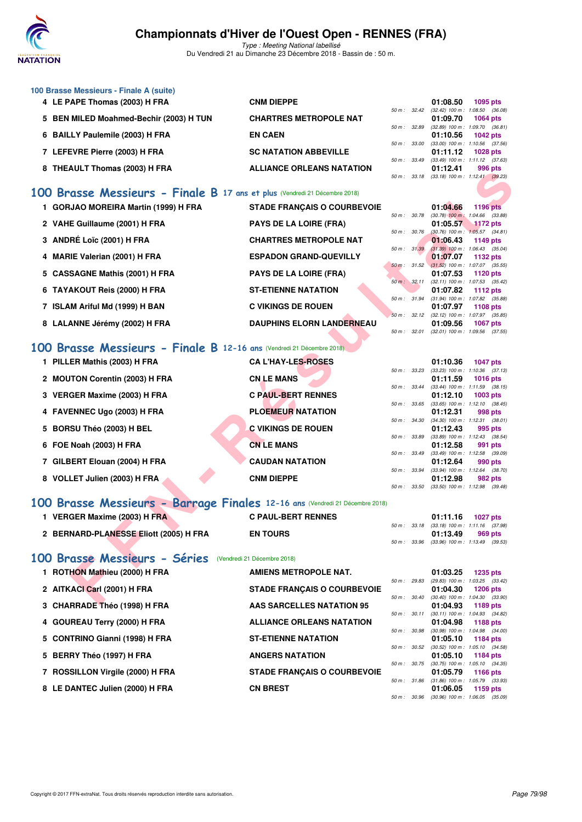

Type : Meeting National labellisé Du Vendredi 21 au Dimanche 23 Décembre 2018 - Bassin de : 50 m.

| 100 Brasse Messieurs - Finale A (suite) |                                  |                  |                                |                                            |
|-----------------------------------------|----------------------------------|------------------|--------------------------------|--------------------------------------------|
| 4 LE PAPE Thomas (2003) H FRA           | <b>CNM DIEPPE</b>                |                  | 01:08.50                       | $1095$ pts                                 |
|                                         |                                  |                  |                                | 50 m: 32.42 (32.42) 100 m: 1:08.50 (36.08) |
| 5 BEN MILED Moahmed-Bechir (2003) H TUN | <b>CHARTRES METROPOLE NAT</b>    |                  | 01:09.70                       | 1064 pts                                   |
|                                         |                                  | 50 m: 32.89      | (32.89) 100 m : 1:09.70 (36.81 |                                            |
| 6 BAILLY Paulemile (2003) H FRA         | <b>EN CAEN</b>                   |                  | 01:10.56                       | 1042 pts                                   |
|                                         |                                  | 50 m: 33.00      |                                | $(33.00)$ 100 m : 1:10.56 $(37.56)$        |
| 7 LEFEVRE Pierre (2003) H FRA           | <b>SC NATATION ABBEVILLE</b>     |                  | 01:11.12                       | <b>1028 pts</b>                            |
|                                         |                                  | $50 m$ : $33.49$ |                                | $(33.49)$ 100 m : 1:11.12 $(37.63)$        |
| 8 THEAULT Thomas (2003) H FRA           | <b>ALLIANCE ORLEANS NATATION</b> |                  | 01:12.41                       | 996 pts                                    |
|                                         |                                  | $50 m$ : $33.18$ |                                | $(33.18)$ 100 m : 1:12.41 $(39.23)$        |

## **[100 Brasse Messieurs - Finale B](http://www.ffnatation.fr/webffn/resultats.php?idact=nat&go=epr&idcpt=55947&idepr=72) 17 ans et plus** (Vendredi 21 Décembre 2018)

| 0 THEADLI HIDHIAS (2003) IT FAA                                             | ALLIANCE ORLEANS NATATION          |              |              | ,,,,,,,,,,                                               | ่ 550 มเร       |  |
|-----------------------------------------------------------------------------|------------------------------------|--------------|--------------|----------------------------------------------------------|-----------------|--|
|                                                                             |                                    |              |              | 50 m: 33.18 (33.18) 100 m: 1:12.41 (39.23)               |                 |  |
| 00 Brasse Messieurs - Finale B 17 ans et plus (Vendredi 21 Décembre 2018)   |                                    |              |              |                                                          |                 |  |
| 1 GORJAO MOREIRA Martin (1999) H FRA                                        | <b>STADE FRANÇAIS O COURBEVOIE</b> |              |              | 01:04.66                                                 | 1196 pts        |  |
|                                                                             |                                    | 50 m : 30.78 |              | $(30.78)$ 100 m : 1:04.66 $(33.88)$                      |                 |  |
| 2 VAHE Guillaume (2001) H FRA                                               | <b>PAYS DE LA LOIRE (FRA)</b>      | 50 m : 30.76 |              | 01:05.57<br>$(30.76)$ 100 m : 1:05.57 $(34.81)$          | <b>1172 pts</b> |  |
| 3 ANDRÉ Loïc (2001) H FRA                                                   | <b>CHARTRES METROPOLE NAT</b>      |              |              | 01:06.43                                                 | 1149 pts        |  |
|                                                                             | <b>ESPADON GRAND-QUEVILLY</b>      | 50 m: 31.39  |              | $(31.39)$ 100 m : 1:06.43 $(35.04)$                      |                 |  |
| 4 MARIE Valerian (2001) H FRA                                               |                                    |              |              | 01:07.07<br>50 m : 31.52 (31.52) 100 m : 1:07.07 (35.55) | 1132 pts        |  |
| 5 CASSAGNE Mathis (2001) H FRA                                              | <b>PAYS DE LA LOIRE (FRA)</b>      |              |              | 01:07.53                                                 | 1120 pts        |  |
|                                                                             |                                    |              | 50 m: 32.11  | $(32.11)$ 100 m : 1:07.53 $(35.42)$                      |                 |  |
| 6 TAYAKOUT Reis (2000) H FRA                                                | <b>ST-ETIENNE NATATION</b>         |              | 50 m : 31.94 | 01:07.82<br>$(31.94)$ 100 m : 1:07.82 $(35.88)$          | <b>1112 pts</b> |  |
| 7 ISLAM Ariful Md (1999) H BAN                                              | <b>C VIKINGS DE ROUEN</b>          |              |              | 01:07.97                                                 | 1108 pts        |  |
|                                                                             |                                    |              |              | 50 m: 32.12 (32.12) 100 m: 1:07.97 (35.85)               |                 |  |
| 8 LALANNE Jérémy (2002) H FRA                                               | <b>DAUPHINS ELORN LANDERNEAU</b>   |              |              | 01:09.56                                                 | <b>1067 pts</b> |  |
|                                                                             |                                    |              | 50 m : 32.01 | $(32.01)$ 100 m : 1:09.56 $(37.55)$                      |                 |  |
| 00 Brasse Messieurs - Finale B 12-16 ans (Vendredi 21 Décembre 2018)        |                                    |              |              |                                                          |                 |  |
| 1 PILLER Mathis (2003) H FRA                                                | <b>CA L'HAY-LES-ROSES</b>          |              |              | 01:10.36                                                 | <b>1047 pts</b> |  |
|                                                                             |                                    |              |              | 50 m: 33.23 (33.23) 100 m: 1:10.36 (37.13)               |                 |  |
| 2 MOUTON Corentin (2003) H FRA                                              | <b>CN LE MANS</b>                  |              |              | 01:11.59                                                 | <b>1016 pts</b> |  |
| 3 VERGER Maxime (2003) H FRA                                                | <b>C PAUL-BERT RENNES</b>          |              | 50 m: 33.44  | $(33.44)$ 100 m : 1:11.59 $(38.15)$<br>01:12.10          | 1003 pts        |  |
|                                                                             |                                    |              |              | 50 m: 33.65 (33.65) 100 m: 1:12.10 (38.45)               |                 |  |
| 4 FAVENNEC Ugo (2003) H FRA                                                 | <b>PLOEMEUR NATATION</b>           |              |              | 01:12.31                                                 | 998 pts         |  |
|                                                                             |                                    |              | 50 m : 34.30 | $(34.30)$ 100 m : 1:12.31 $(38.01)$                      |                 |  |
| 5 BORSU Théo (2003) H BEL                                                   | <b>C VIKINGS DE ROUEN</b>          | 50 m : 33.89 |              | 01:12.43<br>$(33.89)$ 100 m : 1:12.43 $(38.54)$          | 995 pts         |  |
| 6 FOE Noah (2003) H FRA                                                     | <b>CN LE MANS</b>                  |              |              | 01:12.58                                                 | 991 pts         |  |
|                                                                             |                                    | 50 m: 33.49  |              | $(33.49)$ 100 m : 1:12.58 $(39.09)$                      |                 |  |
| 7 GILBERT Elouan (2004) H FRA                                               | <b>CAUDAN NATATION</b>             |              |              | 01:12.64                                                 | 990 pts         |  |
|                                                                             |                                    | 50 m: 33.94  |              | $(33.94)$ 100 m : 1:12.64 $(38.70)$                      |                 |  |
| 8 VOLLET Julien (2003) H FRA                                                | <b>CNM DIEPPE</b>                  |              | 50 m : 33.50 | 01:12.98<br>$(33.50)$ 100 m : 1:12.98 $(39.48)$          | 982 pts         |  |
|                                                                             |                                    |              |              |                                                          |                 |  |
| 00 Brasse Messieurs - Barrage Finales 12-16 ans (Vendredi 21 Décembre 2018) |                                    |              |              |                                                          |                 |  |
| 1 VERGER Maxime (2003) H FRA                                                | <b>C PAUL-BERT RENNES</b>          |              |              | 01:11.16                                                 | 1027 $p$ ts     |  |
|                                                                             |                                    |              |              | 50 m: 33.18 (33.18) 100 m: 1:11.16 (37.98)               |                 |  |
| 2 BERNARD-PLANESSE Eliott (2005) H FRA                                      | <b>EN TOURS</b>                    | 50 m : 33.96 |              | 01:13.49<br>$(33.96)$ 100 m : 1:13.49 $(39.53)$          | 969 pts         |  |
|                                                                             |                                    |              |              |                                                          |                 |  |
| 00 Brasse Messieurs - Séries (Vendredi 21 Décembre 2018)                    |                                    |              |              |                                                          |                 |  |
| 1 ROTHON Mathieu (2000) H FRA                                               | AMIENS METROPOLE NAT.              |              |              | 01:03.25                                                 | <b>1235 pts</b> |  |
|                                                                             |                                    |              |              | 50 m: 29.83 (29.83) 100 m: 1:03.25 (33.42)               |                 |  |
| 2 AITKACI Carl (2001) H FRA                                                 | <b>STADE FRANÇAIS O COURBEVOIE</b> |              |              | 01:04.30                                                 | <b>1206 pts</b> |  |
|                                                                             | A AC CADCELLEC MATATION OF         |              | 50 m : 30.40 | $(30.40)$ 100 m : 1:04.30 $(33.90)$<br><b>04-04-09</b>   | $-4.400 - 4.4$  |  |

## **[100 Brasse Messieurs - Finale B](http://www.ffnatation.fr/webffn/resultats.php?idact=nat&go=epr&idcpt=55947&idepr=72) 12-16 ans** (Vendredi 21 Décembre 2018)

| 1 PILLER Mathis (2003) H FRA   | <b>CAL'HAY-LES-ROSES</b>  |              | 01:10.36                                        | <b>1047 pts</b> |
|--------------------------------|---------------------------|--------------|-------------------------------------------------|-----------------|
| 2 MOUTON Corentin (2003) H FRA | <b>CN LE MANS</b>         | 50 m: 33.23  | $(33.23)$ 100 m : 1:10.36 $(37.13)$<br>01:11.59 | $1016$ pts      |
| 3 VERGER Maxime (2003) H FRA   | <b>C PAUL-BERT RENNES</b> | 50 m : 33.44 | $(33.44)$ 100 m : 1:11.59 $(38.15)$<br>01:12.10 | $1003$ pts      |
| 4 FAVENNEC Ugo (2003) H FRA    | <b>PLOEMEUR NATATION</b>  | 50 m: 33.65  | $(33.65)$ 100 m : 1:12.10 $(38.45)$<br>01:12.31 | 998 pts         |
| 5 BORSU Théo (2003) H BEL      | <b>C VIKINGS DE ROUEN</b> | 50 m : 34.30 | $(34.30)$ 100 m : 1:12.31 $(38.01)$<br>01:12.43 | 995 pts         |
| 6 FOE Noah (2003) H FRA        | <b>CN LE MANS</b>         | 50 m: 33.89  | $(33.89)$ 100 m : 1:12.43 $(38.54)$<br>01:12.58 | 991 pts         |
| 7 GILBERT Elouan (2004) H FRA  | <b>CAUDAN NATATION</b>    | 50 m : 33.49 | $(33.49)$ 100 m : 1:12.58 $(39.09)$<br>01:12.64 | 990 pts         |
| 8 VOLLET Julien (2003) H FRA   | <b>CNM DIEPPE</b>         | 50 m: 33.94  | $(33.94)$ 100 m : 1:12.64 $(38.70)$<br>01:12.98 | 982 pts         |
|                                |                           | 50 m : 33.50 | $(33.50)$ 100 m : 1:12.98 $(39.48)$             |                 |

## **[100 Brasse Messieurs - Barrage Finales](http://www.ffnatation.fr/webffn/resultats.php?idact=nat&go=epr&idcpt=55947&idepr=72) 12-16 ans** (Vendredi 21 Décembre 2018)

| VERGER Maxime (2003) H FRA             | <b>C PAUL-BERT RENNES</b> |  | 01:11.16                                               | 1027 pts |  |
|----------------------------------------|---------------------------|--|--------------------------------------------------------|----------|--|
| 2 BERNARD-PLANESSE Eliott (2005) H FRA | <b>EN TOURS</b>           |  | 50 m: 33.18 (33.18) 100 m: 1:11.16 (37.98)<br>01:13.49 | 969 pts  |  |
|                                        |                           |  | 50 m : 33.96 (33.96) 100 m : 1:13.49 (39.53)           |          |  |

## **[100 Brasse Messieurs - Séries](http://www.ffnatation.fr/webffn/resultats.php?idact=nat&go=epr&idcpt=55947&idepr=72)** (Vendredi 21 Décembre 2018)

| 1 ROTHON Mathieu (2000) H FRA    | <b>AMIENS METROPOLE NAT.</b>       |                  |             | 01:03.25                                        | 1235 pts   |
|----------------------------------|------------------------------------|------------------|-------------|-------------------------------------------------|------------|
|                                  |                                    | 50 m: 29.83      |             | (29.83) 100 m : 1:03.25 (33.42)                 |            |
| 2 AITKACI Carl (2001) H FRA      | <b>STADE FRANCAIS O COURBEVOIE</b> | $50 m$ : $30.40$ |             | 01:04.30<br>$(30.40)$ 100 m : 1:04.30 $(33.90)$ | 1206 pts   |
| 3 CHARRADE Théo (1998) H FRA     | <b>AAS SARCELLES NATATION 95</b>   |                  |             | 01:04.93                                        | 1189 $pts$ |
|                                  |                                    |                  | 50 m: 30.11 | $(30.11)$ 100 m : 1:04.93 $(34.82)$             |            |
| 4 GOUREAU Terry (2000) H FRA     | <b>ALLIANCE ORLEANS NATATION</b>   |                  |             | 01:04.98                                        | 1188 $pts$ |
|                                  |                                    | 50 m: 30.98      |             | (30.98) 100 m: 1:04.98 (34.00                   |            |
| 5 CONTRINO Gianni (1998) H FRA   | <b>ST-ETIENNE NATATION</b>         |                  |             | 01:05.10                                        | 1184 pts   |
|                                  |                                    | $50 m$ : $30.52$ |             | $(30.52)$ 100 m : 1:05.10 $(34.58)$             |            |
| 5 BERRY Théo (1997) H FRA        | <b>ANGERS NATATION</b>             |                  |             | 01:05.10                                        | 1184 pts   |
|                                  |                                    | $50 m$ : $30.75$ |             | (30.75) 100 m: 1:05.10 (34.35                   |            |
| 7 ROSSILLON Virgile (2000) H FRA | <b>STADE FRANCAIS O COURBEVOIE</b> |                  |             | 01:05.79                                        | 1166 $pts$ |
|                                  |                                    | 50 m: 31.86      |             | $(31.86)$ 100 m : 1:05.79 $(33.93)$             |            |
| 8 LE DANTEC Julien (2000) H FRA  | <b>CN BREST</b>                    |                  |             | 01:06.05                                        | 1159 $pts$ |
|                                  |                                    | 50 m: 30.96      |             | (30.96) 100 m: 1:06.05 (35.09)                  |            |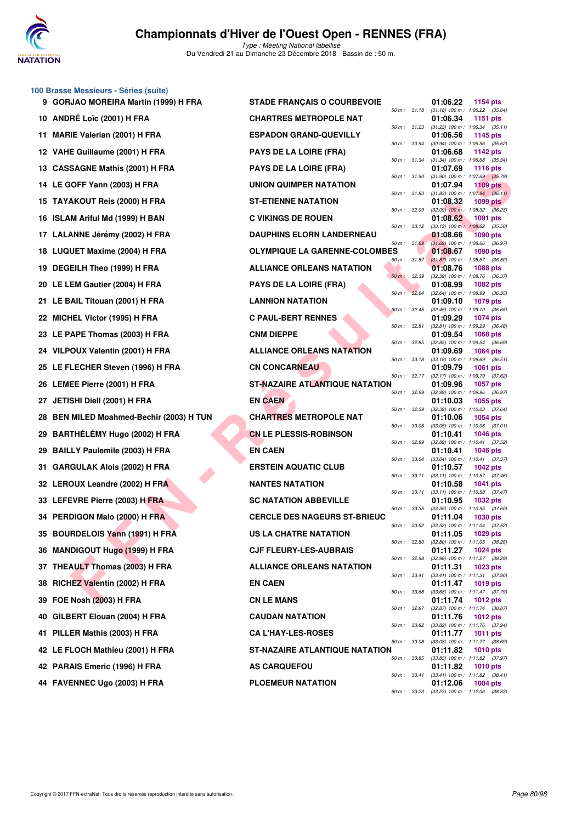

Du Vendredi 21 au Dimanche 23 Décembre 2018 - Bassin de : 50 m.

#### **100 Brasse Messieurs - Séries (suite)**

|     | 9 GORJAO MOREIRA Martin (1999) H FRA     | <b>STADE FRANÇAIS O COURBEVOIE</b>    |                |              | 01:06.22                                        | 1154 pts        |  |
|-----|------------------------------------------|---------------------------------------|----------------|--------------|-------------------------------------------------|-----------------|--|
|     | 10 ANDRÉ Loïc (2001) H FRA               | <b>CHARTRES METROPOLE NAT</b>         | 50 m: 31.18    |              | $(31.18)$ 100 m : 1:06.22 $(35.04)$<br>01:06.34 | 1151 pts        |  |
|     | 11 MARIE Valerian (2001) H FRA           | <b>ESPADON GRAND-QUEVILLY</b>         | 50 m: 31.23    |              | $(31.23)$ 100 m : 1:06.34 $(35.11)$<br>01:06.56 | 1145 pts        |  |
|     | 12 VAHE Guillaume (2001) H FRA           | <b>PAYS DE LA LOIRE (FRA)</b>         | 50 m : 30.94   |              | (30.94) 100 m: 1:06.56 (35.62)<br>01:06.68      | 1142 pts        |  |
|     | 13 CASSAGNE Mathis (2001) H FRA          | <b>PAYS DE LA LOIRE (FRA)</b>         | 50 m: 31.34    |              | $(31.34)$ 100 m : 1:06.68 $(35.34)$<br>01:07.69 | <b>1116 pts</b> |  |
|     | 14 LE GOFF Yann (2003) H FRA             | UNION QUIMPER NATATION                | 50 m : 31.90   |              | $(31.90)$ 100 m : 1:07.69 $(35.79)$<br>01:07.94 | <b>1109 pts</b> |  |
|     | 15 TAYAKOUT Reis (2000) H FRA            | <b>ST-ETIENNE NATATION</b>            | 50 m : 31.83   |              | $(31.83)$ 100 m : 1:07.94 $(36.11)$<br>01:08.32 | 1099 pts        |  |
|     | 16 ISLAM Ariful Md (1999) H BAN          | <b>C VIKINGS DE ROUEN</b>             | 50 m: 32.09    |              | $(32.09)$ 100 m : 1:08.32 $(36.23)$<br>01:08.62 | 1091 pts        |  |
|     | 17 LALANNE Jérémy (2002) H FRA           | <b>DAUPHINS ELORN LANDERNEAU</b>      | 50 m: 33.12    |              | $(33.12)$ 100 m : 1:08.62 $(35.50)$<br>01:08.66 | <b>1090 pts</b> |  |
|     | 18 LUQUET Maxime (2004) H FRA            | <b>OLYMPIQUE LA GARENNE-COLOMBES</b>  | 50 m: 31.69    |              | $(31.69)$ 100 m : 1:08.66 $(36.97)$<br>01:08.67 | 1090 pts        |  |
|     | 19 DEGEILH Theo (1999) H FRA             | <b>ALLIANCE ORLEANS NATATION</b>      | $50 m$ : 31.87 |              | $(31.87)$ 100 m : 1:08.67 $(36.80)$<br>01:08.76 | 1088 pts        |  |
|     | 20 LE LEM Gautier (2004) H FRA           | <b>PAYS DE LA LOIRE (FRA)</b>         | 50 m : 32.39   |              | (32.39) 100 m : 1:08.76 (36.37)<br>01:08.99     | <b>1082 pts</b> |  |
|     | 21 LE BAIL Titouan (2001) H FRA          | <b>LANNION NATATION</b>               | 50 m : 32.64   |              | (32.64) 100 m: 1:08.99 (36.35)<br>01:09.10      | 1079 pts        |  |
|     | 22 MICHEL Victor (1995) H FRA            | <b>C PAUL-BERT RENNES</b>             | $50 m$ : 32.45 |              | (32.45) 100 m: 1:09.10 (36.65)<br>01:09.29      | 1074 pts        |  |
|     | 23 LE PAPE Thomas (2003) H FRA           | <b>CNM DIEPPE</b>                     | 50 m: 32.81    |              | $(32.81)$ 100 m : 1:09.29 $(36.48)$<br>01:09.54 | <b>1068 pts</b> |  |
|     | 24 VILPOUX Valentin (2001) H FRA         | <b>ALLIANCE ORLEANS NATATION</b>      | 50 m : 32.85   |              | (32.85) 100 m : 1:09.54 (36.69)<br>01:09.69     | 1064 pts        |  |
|     | 25 LE FLECHER Steven (1996) H FRA        | <b>CN CONCARNEAU</b>                  | 50 m: 33.18    |              | $(33.18)$ 100 m : 1:09.69 $(36.51)$<br>01:09.79 | <b>1061 pts</b> |  |
|     | 26 LEMEE Pierre (2001) H FRA             | ST-NAZAIRE ATLANTIQUE NATATION        |                | 50 m : 32.17 | (32.17) 100 m : 1:09.79 (37.62)<br>01:09.96     | <b>1057 pts</b> |  |
|     | 27 JETISHI Diell (2001) H FRA            | <b>EN CAEN</b>                        | 50 m : 32.99   |              | $(32.99)$ 100 m : 1:09.96 $(36.97)$<br>01:10.03 | 1055 pts        |  |
|     | 28 BEN MILED Moahmed-Bechir (2003) H TUN | <b>CHARTRES METROPOLE NAT</b>         | 50 m : 32.39   |              | $(32.39)$ 100 m : 1:10.03 $(37.64)$<br>01:10.06 | <b>1054 pts</b> |  |
|     | 29 BARTHÉLÉMY Hugo (2002) H FRA          | <b>CN LE PLESSIS-ROBINSON</b>         | 50 m : 33.05   |              | $(33.05)$ 100 m : 1:10.06 $(37.01)$<br>01:10.41 | 1046 pts        |  |
|     | 29 BAILLY Paulemile (2003) H FRA         | <b>EN CAEN</b>                        | 50 m : 32.89   |              | (32.89) 100 m: 1:10.41 (37.52)<br>01:10.41      | <b>1046 pts</b> |  |
| 31. | GARGULAK Alois (2002) H FRA              | <b>ERSTEIN AQUATIC CLUB</b>           | 50 m : 33.04   |              | $(33.04)$ 100 m : 1:10.41 $(37.37)$<br>01:10.57 | <b>1042 pts</b> |  |
|     | 32 LEROUX Leandre (2002) H FRA           | <b>NANTES NATATION</b>                | 50 m : 33.11   |              | $(33.11)$ 100 m : 1:10.57 $(37.46)$<br>01:10.58 | <b>1041 pts</b> |  |
|     | 33 LEFEVRE Pierre (2003) HFRA            | <b>SC NATATION ABBEVILLE</b>          | 50 m : 33.11   |              | $(33.11)$ 100 m : 1:10.58 $(37.47)$<br>01:10.95 | <b>1032 pts</b> |  |
|     | 34 PERDIGON Malo (2000) H FRA            | <b>CERCLE DES NAGEURS ST-BRIEUC</b>   | 50 m : 33.35   |              | $(33.35)$ 100 m : 1:10.95 $(37.60)$<br>01:11.04 | 1030 pts        |  |
|     | 35 BOURDELOIS Yann (1991) H FRA          | US LA CHATRE NATATION                 | 50 m: 33.52    |              | (33.52) 100 m: 1:11.04 (37.52)<br>01:11.05      | 1029 pts        |  |
|     | 36 MANDIGOUT Hugo (1999) H FRA           | <b>CJF FLEURY-LES-AUBRAIS</b>         | 50 m : 32.80   |              | (32.80) 100 m : 1:11.05 (38.25)<br>01:11.27     | 1024 pts        |  |
|     | 37 THEAULT Thomas (2003) H FRA           | <b>ALLIANCE ORLEANS NATATION</b>      | 50 m: 32.98    |              | (32.98) 100 m: 1:11.27 (38.29)<br>01:11.31      | 1023 pts        |  |
|     | 38 RICHEZ Valentin (2002) H FRA          | <b>EN CAEN</b>                        | 50 m : 33.41   |              | $(33.41)$ 100 m : 1:11.31 $(37.90)$<br>01:11.47 | <b>1019 pts</b> |  |
|     | 39 FOE Noah (2003) H FRA                 | <b>CN LE MANS</b>                     | 50 m : 33.68   |              | (33.68) 100 m: 1:11.47 (37.79)<br>01:11.74      | <b>1012 pts</b> |  |
|     | 40 GILBERT Elouan (2004) H FRA           | <b>CAUDAN NATATION</b>                | 50 m: 32.87    |              | (32.87) 100 m: 1:11.74 (38.87)<br>01:11.76      | <b>1012 pts</b> |  |
| 41  | PILLER Mathis (2003) H FRA               | <b>CA L'HAY-LES-ROSES</b>             | 50 m : 33.82   |              | (33.82) 100 m: 1:11.76 (37.94)<br>01:11.77      | 1011 pts        |  |
|     | 42 LE FLOCH Mathieu (2001) H FRA         | <b>ST-NAZAIRE ATLANTIQUE NATATION</b> | 50 m : 33.08   |              | $(33.08)$ 100 m : 1:11.77 $(38.69)$<br>01:11.82 | <b>1010 pts</b> |  |
|     | 42 PARAIS Emeric (1996) H FRA            | <b>AS CARQUEFOU</b>                   | 50 m : 33.85   |              | (33.85) 100 m: 1:11.82 (37.97)<br>01:11.82      | <b>1010 pts</b> |  |
|     | 44 FAVENNEC Ugo (2003) H FRA             | <b>PLOEMEUR NATATION</b>              | 50 m : 33.41   |              | $(33.41)$ 100 m : 1:11.82 $(38.41)$<br>01:12.06 | 1004 pts        |  |
|     |                                          |                                       |                |              | 50 m: 33.23 (33.23) 100 m: 1:12.06 (38.83)      |                 |  |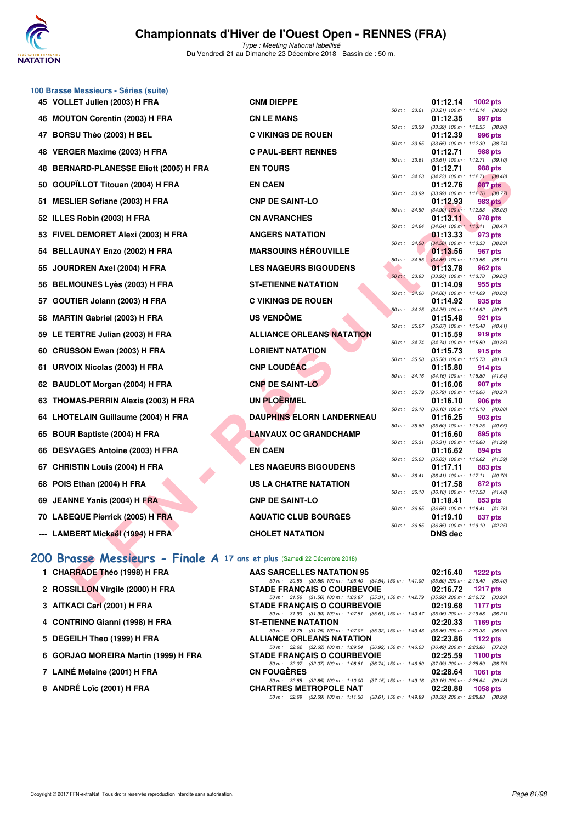

Type : Meeting National labellisé Du Vendredi 21 au Dimanche 23 Décembre 2018 - Bassin de : 50 m.

|     | 100 Brasse Messieurs - Séries (suite)                                    |                                                                                                                                |                              |       |                                                                                                   |  |
|-----|--------------------------------------------------------------------------|--------------------------------------------------------------------------------------------------------------------------------|------------------------------|-------|---------------------------------------------------------------------------------------------------|--|
|     | 45 VOLLET Julien (2003) H FRA                                            | <b>CNM DIEPPE</b>                                                                                                              |                              |       | 01:12.14<br>1002 pts                                                                              |  |
| 46  | <b>MOUTON Corentin (2003) H FRA</b>                                      | <b>CN LE MANS</b>                                                                                                              | 50 m : 33.21                 |       | (33.21) 100 m: 1:12.14 (38.93)<br>01:12.35<br>997 pts                                             |  |
| 47  | BORSU Théo (2003) H BEL                                                  | <b>C VIKINGS DE ROUEN</b>                                                                                                      | 50 m : 33.39                 |       | (33.39) 100 m: 1:12.35 (38.96)<br>01:12.39<br>996 pts                                             |  |
|     |                                                                          |                                                                                                                                | 50 m: 33.65                  |       | $(33.65)$ 100 m : 1:12.39 $(38.74)$                                                               |  |
| 48  | VERGER Maxime (2003) H FRA                                               | <b>C PAUL-BERT RENNES</b>                                                                                                      | 50 m : 33.61                 |       | 01:12.71<br>988 pts<br>(33.61) 100 m: 1:12.71 (39.10)                                             |  |
| 48  | <b>BERNARD-PLANESSE Eliott (2005) H FRA</b>                              | <b>EN TOURS</b>                                                                                                                |                              |       | 01:12.71<br>988 pts                                                                               |  |
| 50  | GOUPÏLLOT Titouan (2004) H FRA                                           | <b>EN CAEN</b>                                                                                                                 | 50 m: 34.23                  |       | $(34.23)$ 100 m : 1:12.71 $(38.48)$<br>01:12.76<br>987 pts                                        |  |
| 51  | <b>MESLIER Sofiane (2003) H FRA</b>                                      | <b>CNP DE SAINT-LO</b>                                                                                                         | 50 m : 33.99                 |       | $(33.99)$ 100 m : 1:12.76 $(38.77)$<br>01:12.93<br>983 pts                                        |  |
| 52  | ILLES Robin (2003) H FRA                                                 | <b>CN AVRANCHES</b>                                                                                                            | 50 m : 34.90<br>50 m : 34.64 |       | $(34.90)$ 100 m : 1:12.93 $(38.03)$<br>01:13.11<br>978 pts<br>$(34.64)$ 100 m : 1:13.11 $(38.47)$ |  |
|     | 53 FIVEL DEMORET Alexi (2003) H FRA                                      | <b>ANGERS NATATION</b>                                                                                                         | 50 m: 34.50                  |       | 01:13.33<br>973 pts<br>$(34.50)$ 100 m : 1:13.33 $(38.83)$                                        |  |
|     | 54 BELLAUNAY Enzo (2002) H FRA                                           | <b>MARSOUINS HÉROUVILLE</b>                                                                                                    |                              |       | 01:13.56<br>967 pts                                                                               |  |
| 55  | JOURDREN Axel (2004) H FRA                                               | <b>LES NAGEURS BIGOUDENS</b>                                                                                                   | 50 m :                       | 34.85 | $(34.85)$ 100 m : 1:13.56 $(38.71)$<br>01:13.78<br>962 pts                                        |  |
|     |                                                                          |                                                                                                                                | $50 m$ :                     | 33.93 | $(33.93)$ 100 m : 1:13.78 $(39.85)$                                                               |  |
| 56  | <b>BELMOUNES Lyès (2003) H FRA</b>                                       | <b>ST-ETIENNE NATATION</b>                                                                                                     | 50 m : 34.06                 |       | 01:14.09<br>955 pts<br>$(34.06)$ 100 m : 1:14.09 $(40.03)$                                        |  |
| 57  | GOUTIER Jolann (2003) H FRA                                              | <b>C VIKINGS DE ROUEN</b>                                                                                                      |                              |       | 01:14.92<br>935 pts                                                                               |  |
| 58  | <b>MARTIN Gabriel (2003) H FRA</b>                                       | <b>US VENDÔME</b>                                                                                                              | 50 m: 34.25                  |       | (34.25) 100 m: 1:14.92 (40.67)<br>01:15.48<br>921 pts                                             |  |
|     |                                                                          |                                                                                                                                | 50 m : 35.07                 |       | $(35.07)$ 100 m : 1:15.48 $(40.41)$                                                               |  |
|     | 59 LE TERTRE Julian (2003) H FRA                                         | <b>ALLIANCE ORLEANS NATATION</b>                                                                                               | 50 m : 34.74                 |       | 01:15.59<br>919 pts<br>(34.74) 100 m: 1:15.59 (40.85)                                             |  |
| 60  | <b>CRUSSON Ewan (2003) H FRA</b>                                         | <b>LORIENT NATATION</b>                                                                                                        |                              |       | 01:15.73<br>915 pts                                                                               |  |
| 61  | URVOIX Nicolas (2003) H FRA                                              | <b>CNP LOUDÉAC</b>                                                                                                             | 50 m : 35.58                 |       | (35.58) 100 m: 1:15.73 (40.15)<br>01:15.80<br>914 pts                                             |  |
| 62  | <b>BAUDLOT Morgan (2004) H FRA</b>                                       | <b>CNP DE SAINT-LO</b>                                                                                                         | 50 m: 34.16                  |       | $(34.16)$ 100 m : 1:15.80 $(41.64)$<br>01:16.06<br>907 pts                                        |  |
| 63  | <b>THOMAS-PERRIN Alexis (2003) H FRA</b>                                 | <b>UN PLOËRMEL</b>                                                                                                             | 50 m : 35.79                 |       | (35.79) 100 m: 1:16.06 (40.27)<br>01:16.10<br>906 pts                                             |  |
|     |                                                                          |                                                                                                                                | 50 m : 36.10                 |       | $(36.10)$ 100 m : 1:16.10 $(40.00)$                                                               |  |
| 64  | <b>LHOTELAIN Guillaume (2004) H FRA</b>                                  | <b>DAUPHINS ELORN LANDERNEAU</b>                                                                                               | 50 m : 35.60                 |       | 01:16.25<br>903 pts<br>$(35.60)$ 100 m : 1:16.25 $(40.65)$                                        |  |
| 65  | <b>BOUR Baptiste (2004) H FRA</b>                                        | <b>LANVAUX OC GRANDCHAMP</b>                                                                                                   |                              |       | 01:16.60<br>895 pts                                                                               |  |
| 66  | DESVAGES Antoine (2003) H FRA                                            | <b>EN CAEN</b>                                                                                                                 | 50 m: 35.31                  |       | (35.31) 100 m: 1:16.60 (41.29)<br>01:16.62<br>894 pts                                             |  |
|     |                                                                          |                                                                                                                                | 50 m: 35.03                  |       | $(35.03)$ 100 m : 1:16.62 $(41.59)$                                                               |  |
| 67  | <b>CHRISTIN Louis (2004) H FRA</b>                                       | <b>LES NAGEURS BIGOUDENS</b>                                                                                                   | 50 m : 36.41                 |       | 01:17.11<br>883 pts<br>(36.41) 100 m: 1:17.11 (40.70)                                             |  |
| 68  | POIS Ethan (2004) H FRA                                                  | US LA CHATRE NATATION                                                                                                          |                              |       | 01:17.58<br>872 pts                                                                               |  |
| 69. | JEANNE Yanis (2004) H FRA                                                | <b>CNP DE SAINT-LO</b>                                                                                                         | 50 m : 36.10                 |       | (36.10) 100 m: 1:17.58 (41.48)<br>01:18.41<br>853 pts                                             |  |
|     |                                                                          |                                                                                                                                | 50 m : 36.65                 |       | $(36.65)$ 100 m : 1:18.41 $(41.76)$                                                               |  |
|     | 70 LABEQUE Pierrick (2005) H FRA                                         | <b>AQUATIC CLUB BOURGES</b>                                                                                                    |                              |       | 01:19.10<br>837 pts<br>50 m : 36.85 (36.85) 100 m : 1:19.10 (42.25)                               |  |
|     | --- LAMBERT Mickaël (1994) H FRA                                         | <b>CHOLET NATATION</b>                                                                                                         |                              |       | DNS dec                                                                                           |  |
|     | 200 Brasse Messieurs - Finale A 17 ans et plus (Samedi 22 Décembre 2018) |                                                                                                                                |                              |       |                                                                                                   |  |
|     | 1 CHARRADE Théo (1998) H FRA                                             | AAS SARCELLES NATATION 95                                                                                                      |                              |       | 02:16.40<br><b>1222 pts</b>                                                                       |  |
|     | 2 ROSSILLON Virgile (2000) H FRA                                         | 50 m: 30.86 (30.86) 100 m: 1:05.40 (34.54) 150 m: 1:41.00 (35.60) 200 m: 2:16.40 (35.40)<br><b>STADE FRANÇAIS O COURBEVOIE</b> |                              |       | 02:16.72<br><b>1217 pts</b>                                                                       |  |
|     | <b>CAUTIVAOLOGH (0004) LIEDA</b>                                         | 50 m: 31.56 (31.56) 100 m: 1:06.87 (35.31) 150 m: 1:42.79 (35.92) 200 m: 2:16.72 (33.93)<br><b>CTADE EDANCAIO O COUDDEVOIE</b> |                              |       | 00.40.60                                                                                          |  |
|     |                                                                          |                                                                                                                                |                              |       |                                                                                                   |  |

- **3 AITKACI Carl (2001) H FRA** ST
- 4 CONTRINO Gianni (1998) H FRA ST
- **5 DEGEILH Theo (1999) H FRA ALLIANCE OR ALL**
- **6 GORJAO MOREIRA Martin (1999) H FRA** ST
- **7 LAINÉ Melaine (2001) H FRA CN GNUME**
- **8 ANDRÉ Loïc (2001) H FRA CHARTRES METALE CHARGE OF STATISTIC RESPONSE DESCRIPTION OF STATISTIC RESPONSE PROPORTION**

| <b>CNM DIEPPE</b>                |          |       | 01:12.14<br><b>1002 pts</b>                                        |
|----------------------------------|----------|-------|--------------------------------------------------------------------|
|                                  | $50 m$ : | 33.21 | $(33.21)$ 100 m : 1:12.14<br>(38.93)                               |
| <b>CN LE MANS</b>                | $50 m$ : | 33.39 | 01:12.35<br>997 pts<br>(33.39) 100 m: 1:12.35<br>(38.96)           |
| <b>C VIKINGS DE ROUEN</b>        |          |       | 01:12.39<br>996 pts                                                |
|                                  | $50 m$ : | 33.65 | $(33.65)$ 100 m : 1:12.39<br>(38.74)                               |
| <b>C PAUL-BERT RENNES</b>        |          |       | 01:12.71<br>988 pts                                                |
| <b>EN TOURS</b>                  | $50 m$ : | 33.61 | $(33.61)$ 100 m : 1:12.71<br>(39.10)<br>01:12.71<br>988 pts        |
|                                  | $50 m$ : | 34.23 | $(34.23)$ 100 m : 1:12.71<br>(38.48)                               |
| <b>EN CAEN</b>                   |          |       | 01:12.76<br>987 pts                                                |
|                                  | $50 m$ : | 33.99 | $(33.99)$ 100 m : 1:12.76<br>(38.77)                               |
| <b>CNP DE SAINT-LO</b>           | 50m      | 34.90 | 01:12.93<br><b>983 pts</b><br>$(34.90)$ 100 m : 1:12.93<br>(38.03) |
| <b>CN AVRANCHES</b>              |          |       | 01:13.11<br>978 pts                                                |
|                                  | $50 m$ : | 34.64 | (34.64) 100 m: 1:13.11<br>(38.47)                                  |
| <b>ANGERS NATATION</b>           |          | 34.50 | 01:13.33<br>973 pts                                                |
| <b>MARSOUINS HÉROUVILLE</b>      | $50 m$ : |       | $(34.50)$ 100 m : 1:13.33<br>(38.83)<br>01:13.56<br><b>967 pts</b> |
|                                  | $50 m$ : | 34.85 | $(34.85)$ 100 m : 1:13.56<br>(38.71)                               |
| <b>LES NAGEURS BIGOUDENS</b>     |          |       | 01:13.78<br>962 pts                                                |
| <b>ST-ETIENNE NATATION</b>       | $50 m$ : | 33.93 | (33.93) 100 m: 1:13.78<br>(39.85)<br>01:14.09<br>955 pts           |
|                                  | $50 m$ : | 34.06 | $(34.06)$ 100 m : 1:14.09<br>(40.03)                               |
| <b>C VIKINGS DE ROUEN</b>        |          |       | 01:14.92<br>935 pts                                                |
|                                  | $50 m$ : | 34.25 | $(34.25)$ 100 m : 1:14.92<br>(40.67)                               |
| <b>US VENDÔME</b>                | $50 m$ : | 35.07 | 01:15.48<br>921 pts<br>(35.07) 100 m : 1:15.48<br>(40.41)          |
| <b>ALLIANCE ORLEANS NATATION</b> |          |       | 01:15.59<br>919 pts                                                |
|                                  | $50 m$ : | 34.74 | $(34.74)$ 100 m : 1:15.59<br>(40.85)                               |
| <b>LORIENT NATATION</b>          |          |       | 01:15.73<br>915 pts                                                |
| <b>CNP LOUDÉAC</b>               | $50 m$ : | 35.58 | $(35.58)$ 100 m : 1:15.73<br>(40.15)<br>01:15.80<br>914 pts        |
|                                  | $50 m$ : | 34.16 | $(34.16)$ 100 m : 1:15.80<br>(41.64)                               |
| <b>CNP DE SAINT-LO</b>           |          |       | 01:16.06<br>907 pts                                                |
| UN PLOËRMEL                      | $50 m$ : | 35.79 | $(35.79)$ 100 m : 1:16.06<br>(40.27)<br>01:16.10<br><b>906 pts</b> |
|                                  | $50 m$ : | 36.10 | $(36.10)$ 100 m : 1:16.10<br>(40.00)                               |
| <b>DAUPHINS ELORN LANDERNEAU</b> |          |       | 01:16.25<br>903 pts                                                |
|                                  | $50 m$ : | 35.60 | $(35.60)$ 100 m : 1:16.25<br>(40.65)                               |
| <b>LANVAUX OC GRANDCHAMP</b>     | $50 m$ : | 35.31 | 01:16.60<br>895 pts<br>$(35.31)$ 100 m : 1:16.60<br>(41.29)        |
| <b>EN CAEN</b>                   |          |       | 01:16.62<br>894 pts                                                |
|                                  | 50m      | 35.03 | $(35.03)$ 100 m : 1:16.62<br>(41.59)                               |
| <b>LES NAGEURS BIGOUDENS</b>     | $50 m$ : | 36.41 | 01:17.11<br>883 pts                                                |
| <b>US LA CHATRE NATATION</b>     |          |       | (36.41) 100 m : 1:17.11<br>(40.70)<br>01:17.58<br>872 pts          |
|                                  | $50 m$ : | 36.10 | $(36.10)$ 100 m : 1:17.58<br>(41.48)                               |
| <b>CNP DE SAINT-LO</b>           |          |       | 01:18.41<br>853 pts                                                |
| <b>AQUATIC CLUB BOURGES</b>      | $50 m$ : | 36.65 | $(36.65)$ 100 m : 1:18.41<br>(41.76)<br>01:19.10<br>837 pts        |
|                                  | $50 m$ : | 36.85 | $(36.85)$ 100 m : 1:19.10<br>(42.25)                               |
| <b>CHOLET NATATION</b>           |          |       | <b>DNS</b> dec                                                     |
|                                  |          |       |                                                                    |

| 1 CHARRADE Théo (1998) H FRA         | AAS SARCELLES NATATION 95                                                                   | 02:16.40 1222 pts                   |
|--------------------------------------|---------------------------------------------------------------------------------------------|-------------------------------------|
|                                      | 50 m: 30.86 (30.86) 100 m: 1:05.40 (34.54) 150 m: 1:41.00                                   | $(35.60)$ 200 m : 2:16.40 $(35.40)$ |
| 2 ROSSILLON Virgile (2000) H FRA     | <b>STADE FRANÇAIS O COURBEVOIE</b>                                                          | 02:16.72 1217 pts                   |
|                                      | 50 m: 31.56 (31.56) 100 m: 1:06.87 (35.31) 150 m: 1:42.79                                   | (35.92) 200 m : 2:16.72 (33.93      |
| 3 AITKACI Carl (2001) H FRA          | <b>STADE FRANCAIS O COURBEVOIE</b>                                                          | 02:19.68 1177 pts                   |
|                                      | 50 m: 31.90 (31.90) 100 m: 1:07.51 (35.61) 150 m: 1:43.47                                   | $(35.96)$ 200 m : 2:19.68 $(36.21)$ |
| 4 CONTRINO Gianni (1998) H FRA       | <b>ST-ETIENNE NATATION</b>                                                                  | 02:20.33 1169 pts                   |
|                                      | 50 m: 31.75 (31.75) 100 m: 1:07.07 (35.32) 150 m: 1:43.43                                   | $(36.36)$ 200 m : 2:20.33 $(36.90)$ |
| 5 DEGEILH Theo (1999) H FRA          | <b>ALLIANCE ORLEANS NATATION</b>                                                            | 02:23.86 1122 pts                   |
|                                      | 50 m: 32.62 (32.62) 100 m: 1:09.54 (36.92) 150 m: 1:46.03 (36.49) 200 m: 2:23.86 (37.83     |                                     |
| 6 GORJAO MOREIRA Martin (1999) H FRA | <b>STADE FRANÇAIS O COURBEVOIE</b>                                                          | 02:25.59 1100 pts                   |
|                                      | 50 m : 32.07 (32.07) 100 m : 1:08.81 (36.74) 150 m : 1:46.80 (37.99) 200 m : 2:25.59 (38.79 |                                     |
| 7 LAINÉ Melaine (2001) H FRA         | <b>CN FOUGERES</b>                                                                          | $02:28.64$ 1061 pts                 |
|                                      | 50 m: 32.85 (32.85) 100 m: 1:10.00 (37.15) 150 m: 1:49.16                                   | (39.16) 200 m : 2:28.64 (39.48      |
| 8 ANDRÉ Loïc (2001) H FRA            | <b>CHARTRES METROPOLE NAT</b>                                                               | 02:28.88 1058 pts                   |
|                                      | 50 m: 32.69 (32.69) 100 m: 1:11.30 (38.61) 150 m: 1:49.89 (38.59) 200 m: 2:28.88 (38.99     |                                     |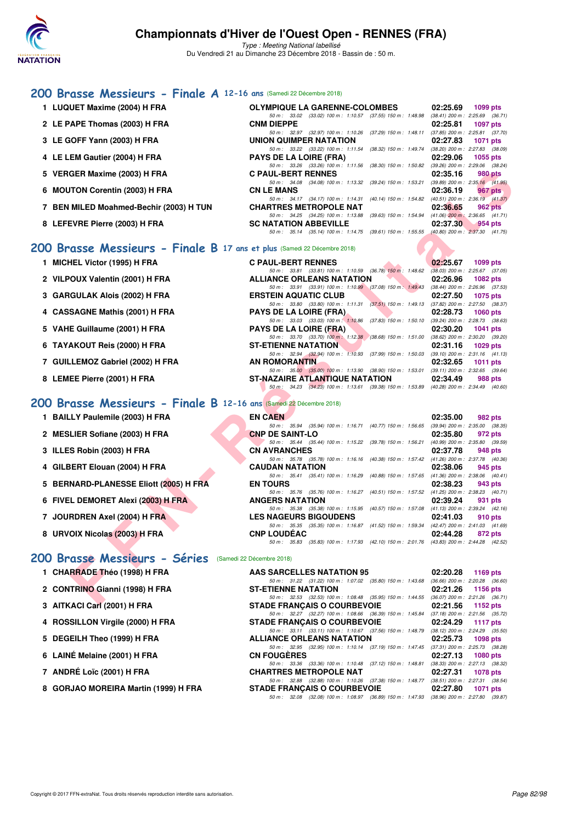

Type : Meeting National labellisé Du Vendredi 21 au Dimanche 23 Décembre 2018 - Bassin de : 50 m.

## **[200 Brasse Messieurs - Finale A](http://www.ffnatation.fr/webffn/resultats.php?idact=nat&go=epr&idcpt=55947&idepr=73) 12-16 ans** (Samedi 22 Décembre 2018)

| 1 LUQUET Maxime (2004) H FRA                                            | <b>OLYMPIQUE LA GARENNE-COLOMBES</b>                                                                                                                                   | 02:25.69<br>1099 pts        |
|-------------------------------------------------------------------------|------------------------------------------------------------------------------------------------------------------------------------------------------------------------|-----------------------------|
| 2 LE PAPE Thomas (2003) H FRA                                           | $50\,m\!:\quad 33.02\quad (33.02)\ 100\,m\!:\quad 1:10.57\quad (37.55)\ 150\,m\!:\quad 1:48.98\quad (38.41)\ 200\,m\!:\quad 2:25.69\quad (36.71)$<br><b>CNM DIEPPE</b> | 02:25.81<br><b>1097 pts</b> |
|                                                                         | 50 m: 32.97 (32.97) 100 m: 1:10.26 (37.29) 150 m: 1:48.11 (37.85) 200 m: 2:25.81 (37.70)                                                                               |                             |
| 3 LE GOFF Yann (2003) H FRA                                             | UNION QUIMPER NATATION                                                                                                                                                 | 02:27.83<br><b>1071 pts</b> |
|                                                                         | 50 m: 33.22 (33.22) 100 m: 1:11.54 (38.32) 150 m: 1:49.74 (38.20) 200 m: 2:27.83 (38.09)                                                                               |                             |
| 4 LE LEM Gautier (2004) H FRA                                           | <b>PAYS DE LA LOIRE (FRA)</b><br>$50 m: 33.26 (33.26) 100 m: 1:11.56 (38.30) 150 m: 1:50.82 (39.26) 200 m: 2:29.06 (38.24)$                                            | 02:29.06<br>1055 pts        |
| 5 VERGER Maxime (2003) H FRA                                            | <b>C PAUL-BERT RENNES</b>                                                                                                                                              | 02:35.16<br><b>980 pts</b>  |
| 6 MOUTON Corentin (2003) H FRA                                          | 50 m: 34.08 (34.08) 100 m: 1:13.32 (39.24) 150 m: 1:53.21 (39.89) 200 m: 2:35.16 (41.95)<br><b>CN LE MANS</b>                                                          | 02:36.19<br>967 pts         |
|                                                                         | 50 m: 34.17 (34.17) 100 m: 1:14.31 (40.14) 150 m: 1:54.82 (40.51) 200 m: 2:36.19 (41.37)                                                                               |                             |
| 7 BEN MILED Moahmed-Bechir (2003) H TUN                                 | <b>CHARTRES METROPOLE NAT</b>                                                                                                                                          | 02:36.65<br><b>962 pts</b>  |
| 8 LEFEVRE Pierre (2003) H FRA                                           | 50 m: 34.25 (34.25) 100 m: 1:13.88 (39.63) 150 m: 1:54.94 (41.06) 200 m: 2:36.65 (41.71)<br><b>SC NATATION ABBEVILLE</b>                                               | 02:37.30<br>954 pts         |
|                                                                         | 50 m: 35.14 (35.14) 100 m: 1:14.75 (39.61) 150 m: 1:55.55 (40.80) 200 m: 2:37.30 (41.75)                                                                               |                             |
|                                                                         |                                                                                                                                                                        |                             |
| 00 Brasse Messieurs - Finale B 17 ans et plus (Samedi 22 Décembre 2018) |                                                                                                                                                                        |                             |
| 1 MICHEL Victor (1995) H FRA                                            | <b>C PAUL-BERT RENNES</b>                                                                                                                                              | 02:25.67<br>1099 pts        |
|                                                                         | 50 m: 33.81 (33.81) 100 m: 1:10.59 (36.78) 150 m: 1:48.62 (38.03) 200 m: 2:25.67 (37.05)                                                                               |                             |
| 2 VILPOUX Valentin (2001) H FRA                                         | <b>ALLIANCE ORLEANS NATATION</b><br>50 m: 33.91 (33.91) 100 m: 1:10.99 (37.08) 150 m: 1:49.43 (38.44) 200 m: 2:26.96 (37.53)                                           | 02:26.96<br>1082 pts        |
| 3   GARGULAK Alois (2002) H FRA                                         | <b>ERSTEIN AQUATIC CLUB</b>                                                                                                                                            | 02:27.50<br>1075 pts        |
|                                                                         | 50 m: 33.80 (33.80) 100 m: 1:11.31 (37.51) 150 m: 1:49.13 (37.82) 200 m: 2:27.50 (38.37)                                                                               |                             |
| 4 CASSAGNE Mathis (2001) H FRA                                          | <b>PAYS DE LA LOIRE (FRA)</b>                                                                                                                                          | 02:28.73<br><b>1060 pts</b> |
| 5 VAHE Guillaume (2001) H FRA                                           | 50 m: 33.03 (33.03) 100 m: 1:10.86 (37.83) 150 m: 1:50.10 (39.24) 200 m: 2:28.73 (38.63)<br><b>PAYS DE LA LOIRE (FRA)</b>                                              | 02:30.20<br><b>1041 pts</b> |
|                                                                         | 50 m: 33.70 (33.70) 100 m: 1:12.38 (38.68) 150 m: 1:51.00 (38.62) 200 m: 2:30.20 (39.20)                                                                               |                             |
| 6 TAYAKOUT Reis (2000) H FRA                                            | <b>ST-ETIENNE NATATION</b>                                                                                                                                             | 02:31.16<br>1029 pts        |
|                                                                         | 50 m: 32.94 (32.94) 100 m: 1:10.93 (37.99) 150 m: 1:50.03 (39.10) 200 m: 2:31.16 (41.13)                                                                               |                             |
| 7 GUILLEMOZ Gabriel (2002) H FRA                                        | <b>AN ROMORANTIN</b><br>50 m: 35.00 (35.00) 100 m: 1:13.90 (38.90) 150 m: 1:53.01 (39.11) 200 m: 2:32.65 (39.64)                                                       | 02:32.65<br>1011 $pts$      |
| 8 LEMEE Pierre (2001) H FRA                                             | ST-NAZAIRE ATLANTIQUE NATATION                                                                                                                                         | 02:34.49<br>988 pts         |
|                                                                         | 50 m: 34.23 (34.23) 100 m: 1:13.61 (39.38) 150 m: 1:53.89 (40.28) 200 m: 2:34.49 (40.60)                                                                               |                             |
| 10 Brasse Messieurs - Finale B 12-16 ans (Samedi 22 Décembre 2018)      |                                                                                                                                                                        |                             |
|                                                                         |                                                                                                                                                                        |                             |
| 1 BAILLY Paulemile (2003) H FRA                                         | <b>EN CAEN</b><br>50 m: 35.94 (35.94) 100 m: 1:16.71 (40.77) 150 m: 1:56.65 (39.94) 200 m: 2:35.00 (38.35)                                                             | 02:35.00<br>982 pts         |
| 2 MESLIER Sofiane (2003) H FRA                                          | <b>CNP DE SAINT-LO</b>                                                                                                                                                 | 02:35.80<br>972 pts         |
|                                                                         | 50 m: 35.44 (35.44) 100 m: 1:15.22 (39.78) 150 m: 1:56.21 (40.99) 200 m: 2:35.80 (39.59)                                                                               |                             |
| 3 ILLES Robin (2003) H FRA                                              | <b>CN AVRANCHES</b>                                                                                                                                                    | 02:37.78<br>948 pts         |
| 4 GILBERT Elouan (2004) H FRA                                           | 50 m: 35.78 (35.78) 100 m: 1:16.16 (40.38) 150 m: 1:57.42 (41.26) 200 m: 2:37.78 (40.36)<br><b>CAUDAN NATATION</b>                                                     | 02:38.06<br>945 pts         |
|                                                                         | 50 m: 35.41 (35.41) 100 m: 1:16.29 (40.88) 150 m: 1:57.65 (41.36) 200 m: 2:38.06 (40.41)                                                                               |                             |
| 5 BERNARD-PLANESSE Eliott (2005) H FRA                                  | <b>EN TOURS</b>                                                                                                                                                        | 02:38.23<br>943 pts         |
| 6   FIVEL DEMORET Alexi (2003) H FRA                                    | 50 m: 35.76 (35.76) 100 m: 1:16.27 (40.51) 150 m: 1:57.52 (41.25) 200 m: 2:38.23 (40.71)<br><b>ANGERS NATATION</b>                                                     | 02:39.24<br>931 pts         |
|                                                                         | 50 m: 35.38 (35.38) 100 m: 1:15.95 (40.57) 150 m: 1:57.08 (41.13) 200 m: 2:39.24 (42.16)                                                                               |                             |
| 7 JOURDREN Axel (2004) H FRA                                            | <b>LES NAGEURS BIGOUDENS</b>                                                                                                                                           | 02:41.03<br>910 pts         |
|                                                                         | 50 m: 35.35 (35.35) 100 m: 1:16.87 (41.52) 150 m: 1:59.34 (42.47) 200 m: 2:41.03 (41.69)                                                                               |                             |
| 8 URVOIX Nicolas (2003) H FRA                                           | <b>CNP LOUDEAC</b><br>50 m: 35.83 (35.83) 100 m: 1:17.93 (42.10) 150 m: 2:01.76 (43.83) 200 m: 2:44.28 (42.52)                                                         | 02:44.28<br>872 pts         |
|                                                                         |                                                                                                                                                                        |                             |
| 10 Brasse Messieurs - Séries (Samedi 22 Décembre 2018)                  |                                                                                                                                                                        |                             |
| 1 CHARRADE Théo (1998) H FRA                                            | AAS SARCELLES NATATION 95                                                                                                                                              | 02:20.28<br>1169 pts        |
|                                                                         | 50 m: 31.22 (31.22) 100 m: 1:07.02 (35.80) 150 m: 1:43.68 (36.66) 200 m: 2:20.28 (36.60)                                                                               |                             |
| 2 CONTRINO Gianni (1998) H FRA                                          | <b>ST-ETIENNE NATATION</b>                                                                                                                                             | 02:21.26<br>1156 pts        |
| 0.1517171010 <sub>1</sub> 10004111501                                   | 50 m: 32.53 (32.53) 100 m: 1:08.48 (35.95) 150 m: 1:44.55 (36.07) 200 m: 2:21.26 (36.71)<br>CTABE FRAMOAIC O COURREVOIE                                                | $0.0450 \pm 0.450 \pm 0.00$ |

## **[200 Brasse Messieurs - Finale B](http://www.ffnatation.fr/webffn/resultats.php?idact=nat&go=epr&idcpt=55947&idepr=73) 17 ans et plus** (Samedi 22 Décembre 2018)

- 
- 
- 
- 
- 
- 
- 
- 

## **[200 Brasse Messieurs - Finale B](http://www.ffnatation.fr/webffn/resultats.php?idact=nat&go=epr&idcpt=55947&idepr=73) 12-16 ans** (Samedi 22 Décembre 2018)

- **1 BAILLY Paulemile (2003) H FRA EN CAEN 02:35.00 982 pts**
- **2 MESLIER Sofiane (2003) H FRA CNP DE SAINT-LO 02:35.80 972 pts**
- **3 ILLES Robin (2003) H FRA CN AVRANCHES 02:37.78 948 pts**
- **4 GILBERT Elouan (2004) H FRA CAUDAN NATATION 02:38.06 945 pts**
- **5 BERNARD-PLANESSE Eliott (2005) H FRA EN TOURS 02:38.23 943 pts**
- **6 FIVEL DEMORET Alexi (2003) H FRA ANGERS NATATION 02:39.24 931 pts**
- **7 JOURDREN Axel (2004) H FRA LES NAGEURS BIGOUDENS 02:41.03 910 pts**
- **8 URVOIX Nicolas (2003) H FRA CONPUTER**

## **200 Brassé Messieurs - Séries (Samedi 22 D**

- **1 CHARRADE Théo (1998) H FRA**
- **2 CONTRINO Gianni (1998) H FRA STATES IN STRANGE NATA STATES IN STRANGE IN STATES IN STRANGE IN STATES IN STRANGE IN STRANGE IN STRANGE IN STRANGE IN STRANGE IN STRANGE IN STRANGE IN STRANGE IN STRANGE IN STRANGE IN STRAN**
- **3 AITKACI Carl (2001) H FRA** STADE 5
- 4 ROSSILLON Virgile (2000) H FRA STADE STADLES
- 
- 
- 
- 

|                     |  |                                    |  |                                                              | 50 m: 35.35 (35.35) 100 m: 1:16.87 (41.52) 150 m: 1:59.34 (42.47) 200 m: 2:41.03 (41.69) |  |
|---------------------|--|------------------------------------|--|--------------------------------------------------------------|------------------------------------------------------------------------------------------|--|
| <b>CNP LOUDEAC</b>  |  |                                    |  |                                                              | 02:44.28 872 pts                                                                         |  |
|                     |  |                                    |  |                                                              | 50 m: 35.83 (35.83) 100 m: 1:17.93 (42.10) 150 m: 2:01.76 (43.83) 200 m: 2:44.28 (42.52) |  |
| Décembre 2018)      |  |                                    |  |                                                              |                                                                                          |  |
|                     |  | <b>AAS SARCELLES NATATION 95</b>   |  |                                                              | 02:20.28 1169 pts                                                                        |  |
|                     |  |                                    |  |                                                              | 50 m: 31.22 (31.22) 100 m: 1:07.02 (35.80) 150 m: 1:43.68 (36.66) 200 m: 2:20.28 (36.60) |  |
| ST-ETIENNE NATATION |  |                                    |  |                                                              | $02:21.26$ 1156 pts                                                                      |  |
|                     |  |                                    |  | 50 m : 32.53 (32.53) 100 m : 1:08.48 (35.95) 150 m : 1:44.55 | (36.07) 200 m : 2:21.26 (36.71)                                                          |  |
|                     |  | <b>STADE FRANCAIS O COURBEVOIE</b> |  |                                                              | 02:21.56 1152 pts                                                                        |  |
|                     |  |                                    |  |                                                              | 50 m: 32.27 (32.27) 100 m: 1:08.66 (36.39) 150 m: 1:45.84 (37.18) 200 m: 2:21.56 (35.72) |  |
|                     |  | <b>STADE FRANCAIS O COURBEVOIE</b> |  |                                                              | 02:24.29 1117 pts                                                                        |  |
|                     |  |                                    |  |                                                              | 50 m: 33.11 (33.11) 100 m: 1:10.67 (37.56) 150 m: 1:48.79 (38.12) 200 m: 2:24.29 (35.50) |  |
|                     |  | ALLIANCE ODLEANS NATATION          |  |                                                              | $0.000722 - 4000y + 1$                                                                   |  |

| 5 DEGEILH Theo (1999) H FRA          | <b>ALLIANCE ORLEANS NATATION</b>                                                             | 02:25.73 | 1098 pts          |
|--------------------------------------|----------------------------------------------------------------------------------------------|----------|-------------------|
|                                      | 50 m: 32.95 (32.95) 100 m: 1:10.14 (37.19) 150 m: 1:47.45 (37.31) 200 m: 2:25.73 (38.28)     |          |                   |
| 6 LAINÉ Melaine (2001) H FRA         | <b>CN FOUGERES</b>                                                                           |          | 02:27.13 1080 pts |
|                                      | 50 m : 33.36 (33.36) 100 m : 1:10.48 (37.12) 150 m : 1:48.81 (38.33) 200 m : 2:27.13 (38.32) |          |                   |
| 7 ANDRÉ Loïc (2001) H FRA            | <b>CHARTRES METROPOLE NAT</b>                                                                |          | 02:27.31 1078 pts |
|                                      | 50 m: 32.88 (32.88) 100 m: 1:10.26 (37.38) 150 m: 1:48.77 (38.51) 200 m: 2:27.31 (38.54)     |          |                   |
| 8 GORJAO MOREIRA Martin (1999) H FRA | <b>STADE FRANCAIS O COURBEVOIE</b>                                                           |          | 02:27.80 1071 pts |
|                                      | 50 m : 32.08 (32.08) 100 m : 1.08.97 (36.89) 150 m : 1.47.93 (38.96) 200 m : 2.27.80 (39.87) |          |                   |

| 1 MICHEL Victor (1995) H FRA     |                      | <b>C PAUL-BERT RENNES</b>             |                                                                                              | 02:25.67                            | 1099 pts |         |
|----------------------------------|----------------------|---------------------------------------|----------------------------------------------------------------------------------------------|-------------------------------------|----------|---------|
|                                  |                      |                                       | 50 m: 33.81 (33.81) 100 m: 1:10.59 (36.78) 150 m: 1:48.62                                    | $(38.03)$ 200 m : 2:25.67 $(37.05)$ |          |         |
| 2 VILPOUX Valentin (2001) H FRA  |                      | <b>ALLIANCE ORLEANS NATATION</b>      |                                                                                              | 02:26.96 1082 pts                   |          |         |
|                                  |                      |                                       | 50 m: 33.91 (33.91) 100 m: 1:10.99 (37.08) 150 m: 1:49.43                                    | $(38.44)$ 200 m : 2:26.96 $(37.53)$ |          |         |
| 3 GARGULAK Alois (2002) H FRA    |                      | <b>ERSTEIN AQUATIC CLUB</b>           |                                                                                              | 02:27.50 1075 pts                   |          |         |
|                                  |                      |                                       | 50 m : 33.80 (33.80) 100 m : 1:11.31 (37.51) 150 m : 1:49.13                                 | $(37.82)$ 200 m : 2:27.50 $(38.37)$ |          |         |
| 4 CASSAGNE Mathis (2001) H FRA   |                      | <b>PAYS DE LA LOIRE (FRA)</b>         |                                                                                              | 02:28.73 1060 pts                   |          |         |
|                                  |                      | 50 m: 33.03 (33.03) 100 m: 1:10.86    | $(37.83)$ 150 m : 1:50.10                                                                    | (39.24) 200 m : 2:28.73 (38.63)     |          |         |
| 5 VAHE Guillaume (2001) H FRA    |                      | <b>PAYS DE LA LOIRE (FRA)</b>         |                                                                                              | $02:30.20$ 1041 pts                 |          |         |
|                                  |                      |                                       | 50 m : 33.70 (33.70) 100 m : 1:12.38 (38.68) 150 m : 1:51.00                                 | $(38.62)$ 200 m : 2:30.20 $(39.20)$ |          |         |
| 6 TAYAKOUT Reis (2000) H FRA     |                      | <b>ST-ETIENNE NATATION</b>            |                                                                                              | 02:31.16 1029 pts                   |          |         |
|                                  |                      |                                       | 50 m : 32.94 (32.94) 100 m : 1:10.93 (37.99) 150 m : 1:50.03                                 | $(39.10)$ 200 m : 2:31.16 $(41.13)$ |          |         |
| 7 GUILLEMOZ Gabriel (2002) H FRA | <b>AN ROMORANTIN</b> |                                       |                                                                                              | $02:32.65$ 1011 pts                 |          |         |
|                                  |                      |                                       | 50 m : 35.00 (35.00) 100 m : 1:13.90 (38.90) 150 m : 1:53.01                                 | $(39.11)$ 200 m : 2:32.65 $(39.64)$ |          |         |
| 8 LEMEE Pierre (2001) H FRA      |                      | <b>ST-NAZAIRE ATLANTIQUE NATATION</b> |                                                                                              | 02:34.49                            |          | 988 pts |
|                                  |                      |                                       | 50 m : 34.23 (34.23) 100 m : 1:13.61 (39.38) 150 m : 1:53.89 (40.28) 200 m : 2:34.49 (40.60) |                                     |          |         |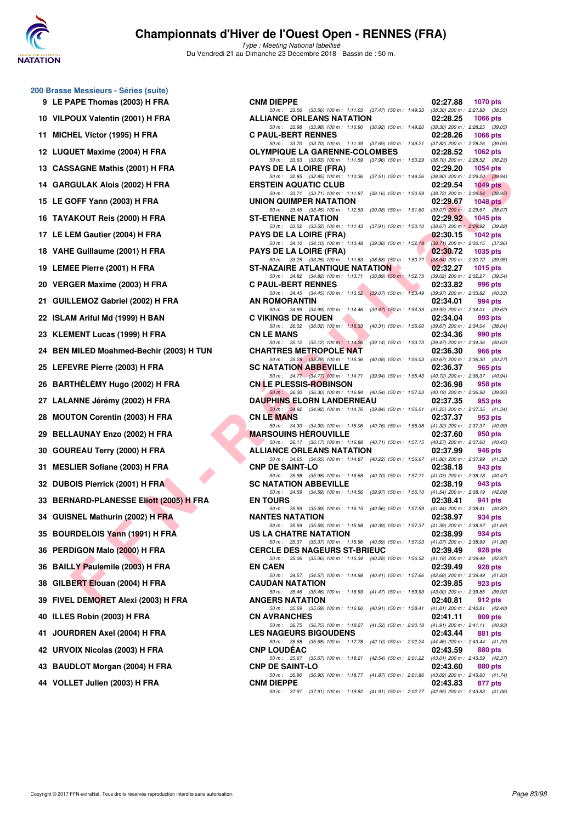

**200 Brasse Messieurs - Séries (suite)**

## **Championnats d'Hiver de l'Ouest Open - RENNES (FRA)**

| 9    | LE PAPE Thomas (2003) H FRA                |
|------|--------------------------------------------|
| 10   | VILPOUX Valentin (2001) H FRA              |
| 11   | MICHEL Victor (1995) H FRA                 |
| 12   | LUQUET Maxime (2004) H FRA                 |
| 13   | <b>CASSAGNE Mathis (2001) H FRA</b>        |
| 14   | <b>GARGULAK Alois (2002) H FRA</b>         |
| 15   | LE GOFF Yann (2003) H FRA                  |
| 16   | TAYAKOUT Reis (2000) H FRA                 |
| 17   | LE LEM Gautier (2004) H FRA                |
| 18   | VAHE Guillaume (2001) H FRA                |
| 19   | LEMEE Pierre (2001) H FRA                  |
| 20 - | VERGER Maxime (2003) H FRA                 |
| 21   | GUILLEMOZ Gabriel (2002) H FRA             |
| 22   | ISLAM Ariful Md (1999) H BAN               |
| 23   | KLEMENT Lucas (1999) H FRA                 |
| 24   | BEN MILED Moahmed-Bechir (2003) H T        |
| 25   | LEFEVRE Pierre (2003) H FRA                |
| 26   | BARTHÉLÉMY Hugo (2002) H FRA               |
| 27   | LALANNE Jérémy (2002) H FRA                |
| 28   | <b>MOUTON Corentin (2003) H FRA</b>        |
| 29   | BELLAUNAY Enzo (2002) H FRA                |
| 30   | <b>GOUREAU Terry (2000) H FRA</b>          |
| 31   | <b>MESLIER Sofiane (2003) H FRA</b>        |
| 32   | <b>DUBOIS Pierrick (2001) H FRA</b>        |
| 33   | <b>BERNARD-PLANESSE Eliott (2005) H FF</b> |
| 34   | <b>GUISNEL Mathurin (2002) H FRA</b>       |
| 35   | <b>BOURDELOIS Yann (1991) H FRA</b>        |
| 36   | PERDIGON Malo (2000) H FRA                 |
| 36   | <b>BAILLY Paulemile (2003) H FRA</b>       |
| 38   | GILBERT Elouan (2004) H FRA                |
| 39   | FIVEL DEMORET Alexi (2003) H FRA           |
| 40   | ILLES Robin (2003) H FRA                   |
| 41   | JOURDREN Axel (2004) H FRA                 |
| 42   | <b>URVOIX Nicolas (2003) H FRA</b>         |
| 43   | <b>BAUDLOT Morgan (2004) H FRA</b>         |
|      | 44 VOLLET Julien (2003) H FRA              |

| $\frac{1}{2}$ bits do information to the set of $\frac{1}{2}$ |                                                                                                                                                                                                                          |          |                 |
|---------------------------------------------------------------|--------------------------------------------------------------------------------------------------------------------------------------------------------------------------------------------------------------------------|----------|-----------------|
| 9 LE PAPE Thomas (2003) H FRA                                 | <b>CNM DIEPPE</b>                                                                                                                                                                                                        | 02:27.88 | 1070 pts        |
| 10 VILPOUX Valentin (2001) H FRA                              | 50 m: 33.56 (33.56) 100 m: 1:11.03 (37.47) 150 m: 1:49.33 (38.30) 200 m: 2:27.88 (38.55)<br><b>ALLIANCE ORLEANS NATATION</b><br>50 m: 33.98 (33.98) 100 m: 1:10.90 (36.92) 150 m: 1:49.20 (38.30) 200 m: 2:28.25 (39.05) | 02:28.25 | <b>1066 pts</b> |
| 11 MICHEL Victor (1995) H FRA                                 | <b>C PAUL-BERT RENNES</b>                                                                                                                                                                                                | 02:28.26 | 1066 pts        |
| 12 LUQUET Maxime (2004) H FRA                                 | 50 m: 33.70 (33.70) 100 m: 1:11.39 (37.69) 150 m: 1:49.21 (37.82) 200 m: 2:28.26 (39.05)<br>OLYMPIQUE LA GARENNE-COLOMBES                                                                                                | 02:28.52 | 1062 pts        |
| 13 CASSAGNE Mathis (2001) H FRA                               | 50 m: 33.63 (33.63) 100 m: 1:11.59 (37.96) 150 m: 1:50.29 (38.70) 200 m: 2:28.52 (38.23)<br><b>PAYS DE LA LOIRE (FRA)</b>                                                                                                | 02:29.20 | 1054 pts        |
| 14 GARGULAK Alois (2002) H FRA                                | 50 m: 32.85 (32.85) 100 m: 1:10.36 (37.51) 150 m: 1:49.26 (38.90) 200 m: 2:29.20 (39.94)<br><b>ERSTEIN AQUATIC CLUB</b>                                                                                                  | 02:29.54 | $1049$ pts      |
| 15 LE GOFF Yann (2003) H FRA                                  | 50 m: 33.71 (33.71) 100 m: 1:11.87 (38.16) 150 m: 1:50.59 (38.72) 200 m: 2:29.54 (38.95)<br>UNION QUIMPER NATATION                                                                                                       | 02:29.67 | 1048 $pts$      |
| 16 TAYAKOUT Reis (2000) H FRA                                 | 50 m: 33.45 (33.45) 100 m: 1:12.53 (39.08) 150 m: 1:51.60 (39.07) 200 m: 2:29.67 (38.07)<br><b>ST-ETIENNE NATATION</b>                                                                                                   | 02:29.92 | 1045 pts        |
| 17 LE LEM Gautier (2004) H FRA                                | 50 m: 33.52 (33.52) 100 m: 1:11.43 (37.91) 150 m: 1:50.10 (38.67) 200 m: 2:29.92 (39.82)<br><b>PAYS DE LA LOIRE (FRA)</b>                                                                                                | 02:30.15 | <b>1042 pts</b> |
| 18 VAHE Guillaume (2001) H FRA                                | 50 m: 34.10 (34.10) 100 m: 1:13.48 (39.38) 150 m: 1:52.19 (38.71) 200 m: 2:30.15 (37.96)<br><b>PAYS DE LA LOIRE (FRA)</b>                                                                                                | 02:30.72 | 1035 pts        |
| 19 LEMEE Pierre (2001) H FRA                                  | 50 m: 33.25 (33.25) 100 m: 1:11.83 (38.58) 150 m: 1:50.77 (38.94) 200 m: 2:30.72 (39.95)<br>ST-NAZAIRE ATLANTIQUE NATATION                                                                                               | 02:32.27 | 1015 $pts$      |
| 20 VERGER Maxime (2003) H FRA                                 | 50 m: 34.82 (34.82) 100 m: 1:13.71 (38.89) 150 m: 1:52.73 (39.02) 200 m: 2:32.27 (39.54)<br><b>C PAUL-BERT RENNES</b>                                                                                                    | 02:33.82 | 996 pts         |
| 21 GUILLEMOZ Gabriel (2002) H FRA                             | 50 m: 34.45 (34.45) 100 m: 1:13.52 (39.07) 150 m: 1:53.49 (39.97) 200 m: 2:33.82 (40.33)<br>AN ROMORANTIN                                                                                                                | 02:34.01 | 994 pts         |
| 22 ISLAM Ariful Md (1999) H BAN                               | 50 m: 34.99 (34.99) 100 m: 1:14.46 (39.47) 150 m: 1:54.39 (39.93) 200 m: 2:34.01 (39.62)<br><b>C VIKINGS DE ROUEN</b>                                                                                                    | 02:34.04 | 993 pts         |
| 23 KLEMENT Lucas (1999) H FRA                                 | 50 m: 36.02 (36.02) 100 m: 1:16.33 (40.31) 150 m: 1:56.00 (39.67) 200 m: 2:34.04 (38.04)<br><b>CN LE MANS</b>                                                                                                            | 02:34.36 | 990 pts         |
| 24 BEN MILED Moahmed-Bechir (2003) H TUN                      | 50 m: 35.12 (35.12) 100 m: 1:14.26 (39.14) 150 m: 1:53.73 (39.47) 200 m: 2:34.36 (40.63)<br><b>CHARTRES METROPOLE NAT</b>                                                                                                | 02:36.30 | 966 pts         |
| 25 LEFEVRE Pierre (2003) H FRA                                | 50 m: 35.28 (35.28) 100 m: 1:15.36 (40.08) 150 m: 1:56.03 (40.67) 200 m: 2:36.30 (40.27)<br><b>SC NATATION ABBEVILLE</b>                                                                                                 | 02:36.37 | 965 pts         |
| 26   BARTHÉLÉMY Hugo (2002) H FRA                             | 50 m: 34.77 (34.77) 100 m: 1:14.71 (39.94) 150 m: 1:55.43 (40.72) 200 m: 2:36.37 (40.94)<br><b>CN LE PLESSIS-ROBINSON</b>                                                                                                | 02:36.98 | 958 pts         |
| 27 LALANNE Jérémy (2002) H FRA                                | 50 m: 36.30 (36.30) 100 m: 1:16.84 (40.54) 150 m: 1:57.03 (40.19) 200 m: 2:36.98 (39.95)<br><b>DAUPHINS ELORN LANDERNEAU</b>                                                                                             | 02:37.35 | 953 pts         |
| 28 MOUTON Corentin (2003) H FRA                               | 50 m: 34.92 (34.92) 100 m: 1:14.76 (39.84) 150 m: 1:56.01 (41.25) 200 m: 2:37.35 (41.34)<br><b>CN LE MANS</b>                                                                                                            | 02:37.37 | 953 pts         |
| 29 BELLAUNAY Enzo (2002) H FRA                                | 50 m: 34.30 (34.30) 100 m: 1:15.06 (40.76) 150 m: 1:56.38 (41.32) 200 m: 2:37.37 (40.99)<br><b>MARSOUINS HEROUVILLE</b>                                                                                                  | 02:37.60 | 950 pts         |
| 30 GOUREAU Terry (2000) H FRA                                 | 50 m: 36.17 (36.17) 100 m: 1:16.88 (40.71) 150 m: 1:57.15 (40.27) 200 m: 2:37.60 (40.45)<br><b>ALLIANCE ORLEANS NATATION</b>                                                                                             | 02:37.99 | 946 pts         |
| 31 MESLIER Sofiane (2003) H FRA                               | 50 m: 34.65 (34.65) 100 m: 1:14.87 (40.22) 150 m: 1:56.67 (41.80) 200 m: 2:37.99 (41.32)<br><b>CNP DE SAINT-LO</b>                                                                                                       | 02:38.18 | 943 pts         |
| 32 DUBOIS Pierrick (2001) H FRA                               | 50 m: 35.98 (35.98) 100 m: 1:16.68 (40.70) 150 m: 1:57.71 (41.03) 200 m: 2:38.18 (40.47)<br><b>SC NATATION ABBEVILLE</b>                                                                                                 | 02:38.19 | 943 pts         |
| 33   BERNARD-PLANESSE Eliott (2005) H FRA                     | 50 m: 34.59 (34.59) 100 m: 1:14.56 (39.97) 150 m: 1:56.10 (41.54) 200 m: 2:38.19 (42.09)<br><b>EN TOURS</b>                                                                                                              | 02:38.41 | 941 pts         |
| 34 GUISNEL Mathurin (2002) H FRA                              | 50 m: 35.59 (35.59) 100 m: 1:16.15 (40.56) 150 m: 1:57.59 (41.44) 200 m: 2:38.41 (40.82)<br><b>NANTES NATATION</b>                                                                                                       | 02:38.97 | 934 pts         |
| 35 BOURDELOIS Yann (1991) H FRA                               | 50 m: 35.59 (35.59) 100 m: 1:15.98 (40.39) 150 m: 1:57.37 (41.39) 200 m: 2:38.97 (41.60)<br>US LA CHAIRE NATATION                                                                                                        | 02:38.99 | 934 pts         |
| 36 PERDIGON Malo (2000) H FRA                                 | 50 m: 35.37 (35.37) 100 m: 1:15.96 (40.59) 150 m: 1:57.03 (41.07) 200 m: 2:38.99 (41.96)<br><b>CERCLE DES NAGEURS ST-BRIEUC</b>                                                                                          | 02:39.49 | 928 pts         |
| 36 BAILLY Paulemile (2003) H FRA                              | 50 m: 35.06 (35.06) 100 m: 1:15.34 (40.28) 150 m: 1:56.52 (41.18) 200 m: 2:39.49 (42.97)<br><b>EN CAEN</b>                                                                                                               | 02:39.49 | 928 pts         |
| 38 GILBERT Elouan (2004) H FRA                                | 50 m: 34.57 (34.57) 100 m: 1:14.98 (40.41) 150 m: 1:57.66 (42.68) 200 m: 2:39.49 (41.83)<br><b>CAUDAN NATATION</b>                                                                                                       | 02:39.85 | 923 pts         |
| 39 FIVEL DEMORET Alexi (2003) H FRA                           | 50 m: 35.46 (35.46) 100 m: 1:16.93 (41.47) 150 m: 1:59.93 (43.00) 200 m: 2:39.85 (39.92)<br><b>ANGERS NATATION</b>                                                                                                       | 02:40.81 | 912 pts         |
| 40 ILLES Robin (2003) H FRA                                   | 50 m: 35.69 (35.69) 100 m: 1:16.60 (40.91) 150 m: 1:58.41 (41.81) 200 m: 2:40.81 (42.40)<br><b>CN AVRANCHES</b>                                                                                                          | 02:41.11 | 909 pts         |
| 41   JOURDREN Axel (2004) H FRA                               | 50 m: 36.75 (36.75) 100 m: 1:18.27 (41.52) 150 m: 2:00.18 (41.91) 200 m: 2:41.11 (40.93)<br><b>LES NAGEURS BIGOUDENS</b>                                                                                                 | 02:43.44 | 881 pts         |
| 42 URVOIX Nicolas (2003) H FRA                                | 50 m: 35.68 (35.68) 100 m: 1:17.78 (42.10) 150 m: 2:02.24 (44.46) 200 m: 2:43.44 (41.20)<br><b>CNP LOUDEAC</b>                                                                                                           | 02:43.59 | 880 pts         |
| 43 BAUDLOT Morgan (2004) H FRA                                | 50 m: 35.67 (35.67) 100 m: 1:18.21 (42.54) 150 m: 2:01.22 (43.01) 200 m: 2:43.59 (42.37)<br><b>CNP DE SAINT-LO</b>                                                                                                       | 02:43.60 | 880 pts         |
| 44 VOLLET Julien (2003) H FRA                                 | 50 m: 36.90 (36.90) 100 m: 1:18.77 (41.87) 150 m: 2:01.86 (43.09) 200 m: 2:43.60 (41.74)<br><b>CNM DIEPPE</b>                                                                                                            | 02:43.83 | 877 pts         |
|                                                               | 50 m: 37.91 (37.91) 100 m: 1:19.82 (41.91) 150 m: 2:02.77 (42.95) 200 m: 2:43.83 (41.06)                                                                                                                                 |          |                 |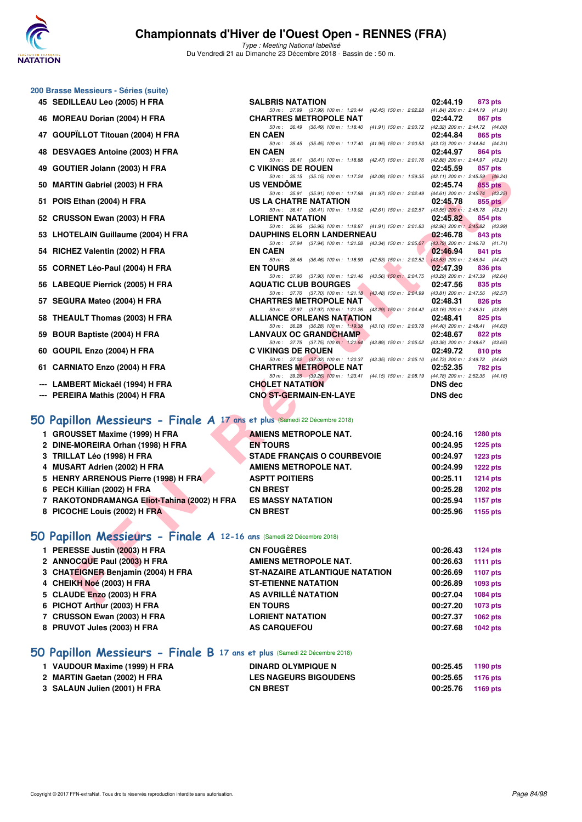

Type : Meeting National labellisé Du Vendredi 21 au Dimanche 23 Décembre 2018 - Bassin de : 50 m.

50 m : 37.99 (37.99) 100 m : 1:20.44 (42.45) 150 m : 2:02.28

50 m : 35.45 (35.45) 100 m : 1:17.40 (41.95) 150 m : 2:00.53 (43.13) 200 m : 2:44.84 (44.31)

50 m : 36.41 (36.41) 100 m : 1:18.88 (42.47) 150 m : 2:01.76 (42.88) 200 m : 2:44.97 (43.21)

#### **200 Brasse Messieurs - Séries (suite)**

- **45 SEDILLEAU Leo (2005) H FRA** SALBRIS NATATION 02:44.19 873 pts 50 m: 37.99 (37.99) 100 m: 1:20.44 (42.45) 150 m: 2:0228 (41.84) 200 m: 2:44.19 (41.91)
- **46 MOREAU Dorian (2004) H FRA CHARTRES METROPOLE NAT 02:44.72 867 pts**<br> **60m**: 3649 (3649) 100m: 1:1840 (41.91) 150m: 2:00 72 (42.32) 200m: 2:44.72 (44.00)
- 50 m : 36.49 (36.49) 100 m : 1:18.40 (41.91) 150 m : 2:00.72 (42.32) 200 m : 2:44.72 (44.00) **47 GOUPÏLLOT Titouan (2004) H FRA EN CAEN 02:44.84 865 pts**
- **48 DESVAGES Antoine (2003) H FRA EN CAEN 02:44.97 864 pts**
- **49 GOUTIER Jolann (2003) H FRA C VIKINGS DE ROUEN 02:45.59 857 pts**
- **50 MARTIN Gabriel (2003) H FRA US VENDÔME 02:45.74 855 pts**
- **51 POIS Ethan (2004) H FRA**
- **52 CRUSSON Ewan (2003) H FRA LORIENT NATATION 02:45.82 854 pts**
- **53 LHOTELAIN Guillaume (2004) H FRA DAUPHINS ELORN LANDERNEAU 02:46.78 843 pts**<br> **50 m:** 37.94 (37.94) 100 m: 1:21.28 (43.34) 150 m: 2:05.07 (43.79) 200 m: 2:46.78 (41.71)
- **54 RICHEZ Valentin (2002) H FRA EN CAEN 02:46.94 841 pts**
- **55 CORNET Léo-Paul (2004) H FRA EN TOURS 02:47.39 836 pts**
- **56 LABEQUE Pierrick (2005) H FRA AQUATIC CLUB BOURGES 02:47.56 835 pts 02:47.56 835 pts 50 m**: 37.70 **(37.70) 100 m:** 1:21.18 **(43.48)** 150 m: 2:04.99 **(43.81)** 200 m: 2:47.56 **(42.57)**
- **57 SEGURA Mateo (2004) H FRA CHARTRES METROPOLE NAT 02:48.31**
- **58 THEAULT Thomas (2003) H FRA ALLIANCE ORLEANS NATATION** 02:48.41 **825 pts**<br>50 m: 36.28 (36.28) 100 m: 119.38 (43.10) 150 m: 203.78 (44.40) 200 m: 2.48.41 (44.6
- **59 BOUR Baptiste (2004) H FRA** LANVAUX OC GRANDCHAMP 02:48.67 **822 pts**<br>50 m: 37.75 (37.75) 100 m: 1:21.64 (43.89) 150 m: 2:05.02 (43.38) 200 m: 2:48.67 (43.6
- **60 GOUPIL Enzo (2004) H FRA C VIKINGS DE ROUEN 02:49.72 810 pts**
- **61 CARNIATO Enzo (2004) H FRA CHARTRES METROPOLE NAT 02:52.35 782 pts**
- **--- LAMBERT Mickaël (1994) H FRA CHOLET NATATION DNS dec**
- **--- PEREIRA Mathis (2004) H FRA CNO ST-GERMAIN-EN-LAYE DNS dec**

## **[50 Papillon Messieurs - Finale A](http://www.ffnatation.fr/webffn/resultats.php?idact=nat&go=epr&idcpt=55947&idepr=81) 17 ans et plus** (Samedi 22 Décembre 2018)

| <b>43 GOUTIER JUMINI (2003) IT FRA</b>                                    | U VININGJ DE NUUEN                                                                                                           | <u>,,,,,,,,,,,,,,,,</u> | ວວາ ນເຣ         |
|---------------------------------------------------------------------------|------------------------------------------------------------------------------------------------------------------------------|-------------------------|-----------------|
| 50 MARTIN Gabriel (2003) H FRA                                            | 50 m: 35.15 (35.15) 100 m: 1:17.24 (42.09) 150 m: 1:59.35 (42.11) 200 m: 2:45.59 (46.24)<br><b>US VENDOME</b>                | 02:45.74                | 855 pts         |
|                                                                           | 50 m: 35.91 (35.91) 100 m: 1:17.88 (41.97) 150 m: 2:02.49 (44.61) 200 m: 2:45.74 (43.25)                                     |                         |                 |
| 51 POIS Ethan (2004) H FRA                                                | US LA CHATRE NATATION                                                                                                        | 02:45.78                | 855 pts         |
|                                                                           | 50 m: 36.41 (36.41) 100 m: 1:19.02 (42.61) 150 m: 2:02.57 (43.55) 200 m: 2:45.78 (43.21)                                     |                         |                 |
| 52 CRUSSON Ewan (2003) H FRA                                              | <b>LORIENT NATATION</b>                                                                                                      | 02:45.82                | 854 pts         |
| 53 LHOTELAIN Guillaume (2004) H FRA                                       | 50 m: 36.96 (36.96) 100 m: 1:18.87 (41.91) 150 m: 2:01.83 (42.96) 200 m: 2:45.82 (43.99)<br><b>DAUPHINS ELORN LANDERNEAU</b> | 02:46.78                | 843 pts         |
|                                                                           | 50 m: 37.94 (37.94) 100 m: 1:21.28 (43.34) 150 m: 2:05.07 (43.79) 200 m: 2:46.78 (41.71)                                     |                         |                 |
| 54 RICHEZ Valentin (2002) H FRA                                           | <b>EN CAEN</b>                                                                                                               | 02:46.94                | 841 pts         |
|                                                                           | 50 m: 36.46 (36.46) 100 m: 1:18.99 (42.53) 150 m: 2:02.52 (43.53) 200 m: 2:46.94 (44.42)                                     |                         |                 |
| 55 CORNET Léo-Paul (2004) H FRA                                           | <b>EN TOURS</b>                                                                                                              | 02:47.39                | 836 pts         |
|                                                                           | 50 m: 37.90 (37.90) 100 m: 1:21.46 (43.56) 150 m: 2:04.75 (43.29) 200 m: 2:47.39 (42.64)                                     |                         |                 |
| 56 LABEQUE Pierrick (2005) H FRA                                          | <b>AQUATIC CLUB BOURGES</b><br>50 m: 37.70 (37.70) 100 m: 1:21.18 (43.48) 150 m: 2:04.99 (43.81) 200 m: 2:47.56 (42.57)      | 02:47.56                | 835 pts         |
| 57 SEGURA Mateo (2004) H FRA                                              | <b>CHARTRES METROPOLE NAT</b>                                                                                                | 02:48.31                | 826 pts         |
|                                                                           | 50 m: 37.97 (37.97) 100 m: 1:21.26 (43.29) 150 m: 2:04.42 (43.16) 200 m: 2:48.31 (43.89)                                     |                         |                 |
| 58 THEAULT Thomas (2003) H FRA                                            | <b>ALLIANCE ORLEANS NATATION</b>                                                                                             | 02:48.41                | 825 pts         |
|                                                                           | 50 m: 36.28 (36.28) 100 m: 1:19.38 (43.10) 150 m: 2:03.78 (44.40) 200 m: 2:48.41 (44.63)                                     |                         |                 |
| 59 BOUR Baptiste (2004) H FRA                                             | <b>LANVAUX OC GRANDCHAMP</b>                                                                                                 | 02:48.67                | 822 pts         |
|                                                                           | 50 m: 37.75 (37.75) 100 m: 1:21.64 (43.89) 150 m: 2:05.02 (43.38) 200 m: 2:48.67 (43.65)                                     |                         |                 |
| 60 GOUPIL Enzo (2004) H FRA                                               | <b>C VIKINGS DE ROUEN</b><br>50 m: 37.02 (37.02) 100 m: 1:20.37 (43.35) 150 m: 2:05.10 (44.73) 200 m: 2:49.72 (44.62)        | 02:49.72                | 810 pts         |
| 61 CARNIATO Enzo (2004) H FRA                                             | <b>CHARTRES METROPOLE NAT</b>                                                                                                | 02:52.35                | 782 pts         |
|                                                                           | 50 m: 39.26 (39.26) 100 m: 1:23.41 (44.15) 150 m: 2:08.19 (44.78) 200 m: 2:52.35 (44.16)                                     |                         |                 |
| --- LAMBERT Mickaël (1994) H FRA                                          | <b>CHOLET NATATION</b>                                                                                                       | <b>DNS</b> dec          |                 |
| --- PEREIRA Mathis (2004) H FRA                                           | <b>CNO ST-GERMAIN-EN-LAYE</b>                                                                                                | <b>DNS</b> dec          |                 |
|                                                                           |                                                                                                                              |                         |                 |
|                                                                           |                                                                                                                              |                         |                 |
| 50 Papillon Messieurs - Finale A 17 ans et plus (Samedi 22 Décembre 2018) |                                                                                                                              |                         |                 |
| 1 GROUSSET Maxime (1999) H FRA                                            | <b>AMIENS METROPOLE NAT.</b>                                                                                                 | 00:24.16                | <b>1280 pts</b> |
| 2 DINE-MOREIRA Orhan (1998) H FRA                                         | <b>EN TOURS</b>                                                                                                              | 00:24.95                | <b>1225 pts</b> |
| 3 TRILLAT Léo (1998) H FRA                                                | <b>STADE FRANÇAIS O COURBEVOIE</b>                                                                                           | 00:24.97                | <b>1223 pts</b> |
| 4 MUSART Adrien (2002) H FRA                                              | <b>AMIENS METROPOLE NAT.</b>                                                                                                 | 00:24.99                | <b>1222 pts</b> |
| 5 HENRY ARRENOUS Pierre (1998) H FRA                                      | <b>ASPTT POITIERS</b>                                                                                                        | 00:25.11                | <b>1214 pts</b> |
| 6 PECH Killian (2002) H FRA                                               | <b>CN BREST</b>                                                                                                              | 00:25.28                | <b>1202 pts</b> |
| 7 RAKOTONDRAMANGA Eliot-Tahina (2002) H FRA                               | <b>ES MASSY NATATION</b>                                                                                                     | 00:25.94                | 1157 pts        |
| 8 PICOCHE Louis (2002) H FRA                                              | <b>CN BREST</b>                                                                                                              | 00:25.96                | 1155 pts        |
|                                                                           |                                                                                                                              |                         |                 |
| 50 Papillon Messieurs - Finale A 12-16 ans (Samedi 22 Décembre 2018)      |                                                                                                                              |                         |                 |
|                                                                           |                                                                                                                              |                         |                 |
| 1 PERESSE Justin (2003) H FRA                                             | <b>CN FOUGERES</b>                                                                                                           | 00:26.43                | <b>1124 pts</b> |
| 2 ANNOCQUE Paul (2003) H FRA                                              | AMIENS METROPOLE NAT.                                                                                                        | 00:26.63                | <b>1111 pts</b> |
| 3 CHATEIGNER Benjamin (2004) H FRA                                        | <b>ST-NAZAIRE ATLANTIQUE NATATION</b>                                                                                        | 00:26.69                | <b>1107 pts</b> |
| 4 CHEIKH Noé (2003) H FRA                                                 | <b>ST-ETIENNE NATATION</b>                                                                                                   | 00:26.89                | 1093 pts        |
| 5 CLAUDE Enzo (2003) H FRA                                                | AS AVRILLÉ NATATION                                                                                                          | 00:27.04                | 1084 pts        |
| C. DIOUGT Avisive (0000) U.C.D.A.                                         | <b>EN TOUDE</b>                                                                                                              | 00.07.00                | $4079 - 44$     |

## **[50 Papillon Messieurs - Finale A](http://www.ffnatation.fr/webffn/resultats.php?idact=nat&go=epr&idcpt=55947&idepr=81) 12-16 ans** (Samedi 22 Décembre 2018)

| 1 PERESSE Justin (2003) H FRA      | <b>CN FOUGÈRES</b>                    | 00:26.43 | 1124 pts |
|------------------------------------|---------------------------------------|----------|----------|
| 2 ANNOCQUE Paul (2003) H FRA       | <b>AMIENS METROPOLE NAT.</b>          | 00:26.63 | 1111 pts |
| 3 CHATEIGNER Benjamin (2004) H FRA | <b>ST-NAZAIRE ATLANTIQUE NATATION</b> | 00:26.69 | 1107 pts |
| 4 CHEIKH Noé (2003) H FRA          | <b>ST-ETIENNE NATATION</b>            | 00:26.89 | 1093 pts |
| 5 CLAUDE Enzo (2003) H FRA         | AS AVRILLÉ NATATION                   | 00:27.04 | 1084 pts |
| 6 PICHOT Arthur (2003) H FRA       | <b>EN TOURS</b>                       | 00:27.20 | 1073 pts |
| 7 CRUSSON Ewan (2003) H FRA        | <b>LORIENT NATATION</b>               | 00:27.37 | 1062 pts |
| 8 PRUVOT Jules (2003) H FRA        | <b>AS CARQUEFOU</b>                   | 00:27.68 | 1042 pts |

#### **[50 Papillon Messieurs - Finale B](http://www.ffnatation.fr/webffn/resultats.php?idact=nat&go=epr&idcpt=55947&idepr=81) 17 ans et plus** (Samedi 22 Décembre 2018)

| 1 VAUDOUR Maxime (1999) H FRA | <b>DINARD OLYMPIQUE N</b>    | 00:25.45 | 1190 pts |
|-------------------------------|------------------------------|----------|----------|
| 2 MARTIN Gaetan (2002) H FRA  | <b>LES NAGEURS BIGOUDENS</b> | 00:25.65 | 1176 pts |
| 3 SALAUN Julien (2001) H FRA  | <b>CN BREST</b>              | 00:25.76 | 1169 pts |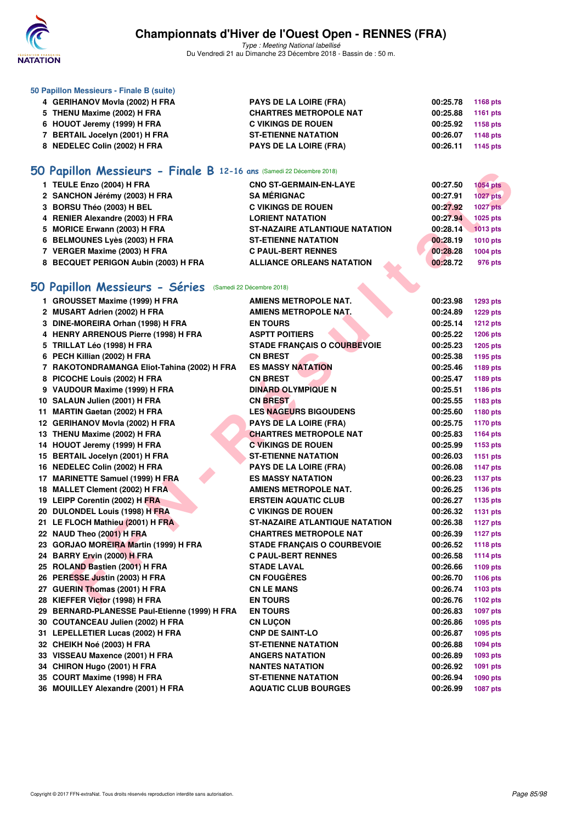

Type : Meeting National labellisé Du Vendredi 21 au Dimanche 23 Décembre 2018 - Bassin de : 50 m.

| 50 Papillon Messieurs - Finale B (suite) |                               |          |          |
|------------------------------------------|-------------------------------|----------|----------|
| 4 GERIHANOV Movia (2002) H FRA           | <b>PAYS DE LA LOIRE (FRA)</b> | 00:25.78 | 1168 pts |
| 5 THENU Maxime (2002) H FRA              | <b>CHARTRES METROPOLE NAT</b> | 00:25.88 | 1161 pts |
| 6 HOUOT Jeremy (1999) H FRA              | <b>C VIKINGS DE ROUEN</b>     | 00:25.92 | 1158 pts |
| <b>BERTAIL Jocelyn (2001) H FRA</b>      | <b>ST-ETIENNE NATATION</b>    | 00:26.07 | 1148 pts |
| 8 NEDELEC Colin (2002) H FRA             | <b>PAYS DE LA LOIRE (FRA)</b> | 00:26.11 | 1145 pts |
|                                          |                               |          |          |

## **[50 Papillon Messieurs - Finale B](http://www.ffnatation.fr/webffn/resultats.php?idact=nat&go=epr&idcpt=55947&idepr=81) 12-16 ans** (Samedi 22 Décembre 2018)

| 1 TEULE Enzo (2004) H FRA            | <b>CNO ST-GERMAIN-EN-LAYE</b>         | 00:27.50 | <b>1054 pts</b> |
|--------------------------------------|---------------------------------------|----------|-----------------|
| 2 SANCHON Jérémy (2003) H FRA        | <b>SA MÉRIGNAC</b>                    | 00:27.91 | <b>1027 pts</b> |
| 3 BORSU Théo (2003) H BEL            | <b>C VIKINGS DE ROUEN</b>             | 00:27.92 | <b>1027 pts</b> |
| 4 RENIER Alexandre (2003) H FRA      | <b>LORIENT NATATION</b>               | 00:27.94 | 1025 pts        |
| 5 MORICE Erwann (2003) H FRA         | <b>ST-NAZAIRE ATLANTIQUE NATATION</b> | 00:28.14 | 1013 pts        |
| 6 BELMOUNES Lyès (2003) H FRA        | <b>ST-ETIENNE NATATION</b>            | 00:28.19 | 1010 pts        |
| 7 VERGER Maxime (2003) H FRA         | <b>C PAUL-BERT RENNES</b>             | 00:28.28 | 1004 pts        |
| 8 BECQUET PERIGON Aubin (2003) H FRA | <b>ALLIANCE ORLEANS NATATION</b>      | 00:28.72 | 976 pts         |

## **[50 Papillon Messieurs - Séries](http://www.ffnatation.fr/webffn/resultats.php?idact=nat&go=epr&idcpt=55947&idepr=81)** (Samedi 22 Décembre 2018)

| <b>10 Papillon Messieurs - Finale B</b> 12-16 ans (Samedi 22 Décembre 2018) |                                             |                      |                 |
|-----------------------------------------------------------------------------|---------------------------------------------|----------------------|-----------------|
| 1 TEULE Enzo (2004) H FRA                                                   | <b>CNO ST-GERMAIN-EN-LAYE</b>               | 00:27.50             | <b>1054 pts</b> |
| 2 SANCHON Jérémy (2003) H FRA                                               | <b>SA MERIGNAC</b>                          | 00:27.91             | 1027 pts        |
| 3 BORSU Théo (2003) H BEL                                                   | <b>C VIKINGS DE ROUEN</b>                   | 00:27.92             | <b>1027 pts</b> |
| 4 RENIER Alexandre (2003) H FRA                                             | <b>LORIENT NATATION</b>                     | 00:27.94             | 1025 pts        |
| 5 MORICE Erwann (2003) H FRA                                                | <b>ST-NAZAIRE ATLANTIQUE NATATION</b>       | 00:28.14             | <b>1013 pts</b> |
| 6 BELMOUNES Lyès (2003) H FRA                                               | <b>ST-ETIENNE NATATION</b>                  | 00:28.19             | 1010 pts        |
| 7 VERGER Maxime (2003) H FRA                                                | <b>C PAUL-BERT RENNES</b>                   | 00:28.28             | 1004 pts        |
| 8 BECQUET PERIGON Aubin (2003) H FRA                                        | <b>ALLIANCE ORLEANS NATATION</b>            | 00:28.72             | 976 pts         |
|                                                                             |                                             |                      |                 |
| iO Papillon Messieurs - Séries (Samedi 22 Décembre 2018)                    |                                             |                      |                 |
| 1 GROUSSET Maxime (1999) H FRA                                              | <b>AMIENS METROPOLE NAT.</b>                | 00:23.98             | <b>1293 pts</b> |
| 2 MUSART Adrien (2002) H FRA                                                | <b>AMIENS METROPOLE NAT.</b>                | 00:24.89             | <b>1229 pts</b> |
| 3 DINE-MOREIRA Orhan (1998) H FRA                                           | <b>EN TOURS</b>                             | 00:25.14             | <b>1212 pts</b> |
|                                                                             | <b>ASPTT POITIERS</b>                       | 00:25.22             |                 |
| 4 HENRY ARRENOUS Pierre (1998) H FRA                                        |                                             |                      | <b>1206 pts</b> |
| 5 TRILLAT Léo (1998) H FRA                                                  | <b>STADE FRANÇAIS O COURBEVOIE</b>          | 00:25.23             | <b>1205 pts</b> |
| 6 PECH Killian (2002) H FRA                                                 | <b>CN BREST</b><br><b>ES MASSY NATATION</b> | 00:25.38             | 1195 pts        |
| 7 RAKOTONDRAMANGA Eliot-Tahina (2002) H FRA                                 |                                             | 00:25.46<br>00:25.47 | 1189 pts        |
| 8 PICOCHE Louis (2002) H FRA                                                | <b>CN BREST</b>                             |                      | 1189 pts        |
| 9 VAUDOUR Maxime (1999) H FRA                                               | DINARD OLYMPIQUE N                          | 00:25.51             | 1186 pts        |
| 10 SALAUN Julien (2001) H FRA                                               | <b>CN BREST</b>                             | 00:25.55             | 1183 pts        |
| 11 MARTIN Gaetan (2002) H FRA                                               | <b>LES NAGEURS BIGOUDENS</b>                | 00:25.60             | 1180 pts        |
| 12 GERIHANOV Movia (2002) H FRA                                             | <b>PAYS DE LA LOIRE (FRA)</b>               | 00:25.75             | 1170 pts        |
| 13 THENU Maxime (2002) H FRA                                                | <b>CHARTRES METROPOLE NAT</b>               | 00:25.83             | 1164 pts        |
| 14 HOUOT Jeremy (1999) H FRA                                                | <b>C VIKINGS DE ROUEN</b>                   | 00:25.99             | 1153 pts        |
| 15 BERTAIL Jocelyn (2001) H FRA                                             | <b>ST-ETIENNE NATATION</b>                  | 00:26.03             | <b>1151 pts</b> |
| 16 NEDELEC Colin (2002) H FRA                                               | PAYS DE LA LOIRE (FRA)                      | 00:26.08             | <b>1147 pts</b> |
| 17 MARINETTE Samuel (1999) H FRA                                            | <b>ES MASSY NATATION</b>                    | 00:26.23             | <b>1137 pts</b> |
| 18 MALLET Clement (2002) H FRA                                              | <b>AMIENS METROPOLE NAT.</b>                | 00:26.25             | <b>1136 pts</b> |
| 19 LEIPP Corentin (2002) H FRA                                              | <b>ERSTEIN AQUATIC CLUB</b>                 | 00:26.27             | 1135 pts        |
| 20 DULONDEL Louis (1998) H FRA                                              | <b>C VIKINGS DE ROUEN</b>                   | 00:26.32             | 1131 pts        |
| 21 LE FLOCH Mathieu (2001) H FRA                                            | <b>ST-NAZAIRE ATLANTIQUE NATATION</b>       | 00:26.38             | <b>1127 pts</b> |
| 22 NAUD Theo (2001) H FRA                                                   | <b>CHARTRES METROPOLE NAT</b>               | 00:26.39             | <b>1127 pts</b> |
| 23 GORJAO MOREIRA Martin (1999) H FRA                                       | <b>STADE FRANÇAIS O COURBEVOIE</b>          | 00:26.52             | <b>1118 pts</b> |
| 24 BARRY Ervin (2000) H FRA                                                 | <b>C PAUL-BERT RENNES</b>                   | 00:26.58             | <b>1114 pts</b> |
| 25 ROLAND Bastien (2001) H FRA                                              | <b>STADE LAVAL</b>                          | 00:26.66             | 1109 pts        |
| 26 PERESSE Justin (2003) H FRA                                              | <b>CN FOUGERES</b>                          | 00:26.70             | 1106 pts        |
| 27 GUERIN Thomas (2001) H FRA                                               | <b>CN LE MANS</b>                           | 00:26.74             | 1103 pts        |
| 28 KIEFFER Victor (1998) H FRA                                              | <b>EN TOURS</b>                             | 00:26.76             | 1102 pts        |
| 29 BERNARD-PLANESSE Paul-Etienne (1999) H FRA                               | EN TOURS                                    | 00:26.83             | 1097 pts        |
| 30 COUTANCEAU Julien (2002) H FRA                                           | <b>CN LUÇON</b>                             | 00:26.86             | 1095 pts        |
| 31 LEPELLETIER Lucas (2002) H FRA                                           | <b>CNP DE SAINT-LO</b>                      | 00:26.87             | 1095 pts        |
| 32 CHEIKH Noé (2003) H FRA                                                  | <b>ST-ETIENNE NATATION</b>                  | 00:26.88             | 1094 pts        |
| 33 VISSEAU Maxence (2001) H FRA                                             | <b>ANGERS NATATION</b>                      | 00:26.89             | 1093 pts        |
| 34 CHIRON Hugo (2001) H FRA                                                 | <b>NANTES NATATION</b>                      | 00:26.92             | 1091 pts        |
| 35 COURT Maxime (1998) H FRA                                                | <b>ST-ETIENNE NATATION</b>                  | 00:26.94             | 1090 pts        |
| 36 MOUILLEY Alexandre (2001) H FRA                                          | <b>AQUATIC CLUB BOURGES</b>                 | 00:26.99             | <b>1087 pts</b> |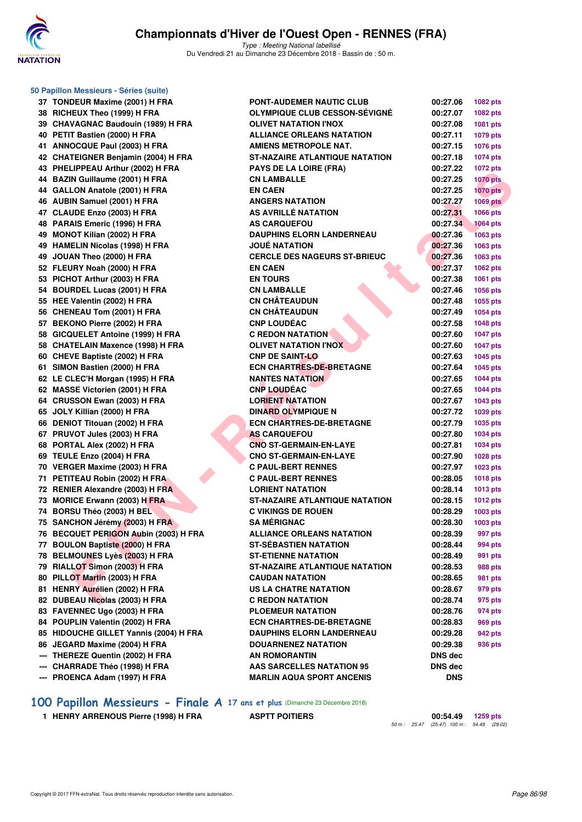

Type : Meeting National labellisé Du Vendredi 21 au Dimanche 23 Décembre 2018 - Bassin de : 50 m.

| 50 Papillon Messieurs - Séries (suite) |                                       |            |                 |
|----------------------------------------|---------------------------------------|------------|-----------------|
| 37 TONDEUR Maxime (2001) H FRA         | <b>PONT-AUDEMER NAUTIC CLUB</b>       | 00:27.06   | <b>1082 pts</b> |
| 38 RICHEUX Theo (1999) H FRA           | <b>OLYMPIQUE CLUB CESSON-SÉVIGNÉ</b>  | 00:27.07   | 1082 pts        |
| 39 CHAVAGNAC Baudouin (1989) H FRA     | <b>OLIVET NATATION I'NOX</b>          | 00:27.08   | 1081 pts        |
| 40 PETIT Bastien (2000) H FRA          | <b>ALLIANCE ORLEANS NATATION</b>      | 00:27.11   | 1079 pts        |
| 41 ANNOCQUE Paul (2003) H FRA          | <b>AMIENS METROPOLE NAT.</b>          | 00:27.15   | 1076 pts        |
| 42 CHATEIGNER Benjamin (2004) H FRA    | <b>ST-NAZAIRE ATLANTIQUE NATATION</b> | 00:27.18   | 1074 pts        |
| 43 PHELIPPEAU Arthur (2002) H FRA      | <b>PAYS DE LA LOIRE (FRA)</b>         | 00:27.22   | 1072 pts        |
| 44 BAZIN Guillaume (2001) H FRA        | <b>CN LAMBALLE</b>                    | 00:27.25   | <b>1070 pts</b> |
| 44 GALLON Anatole (2001) H FRA         | <b>EN CAEN</b>                        | 00:27.25   | <b>1070 pts</b> |
| 46 AUBIN Samuel (2001) H FRA           | <b>ANGERS NATATION</b>                | 00:27.27   | <b>1069 pts</b> |
| 47 CLAUDE Enzo (2003) H FRA            | AS AVRILLÉ NATATION                   | 00:27.31   | 1066 pts        |
| 48 PARAIS Emeric (1996) H FRA          | <b>AS CARQUEFOU</b>                   | 00:27.34   | <b>1064 pts</b> |
| 49 MONOT Kilian (2002) H FRA           | <b>DAUPHINS ELORN LANDERNEAU</b>      | 00:27.36   | 1063 pts        |
| 49 HAMELIN Nicolas (1998) H FRA        | <b>JOUÉ NATATION</b>                  | 00:27.36   | 1063 pts        |
| 49 JOUAN Theo (2000) H FRA             | <b>CERCLE DES NAGEURS ST-BRIEUC</b>   | 00:27.36   | 1063 pts        |
| 52 FLEURY Noah (2000) H FRA            | <b>EN CAEN</b>                        | 00:27.37   | 1062 pts        |
| 53 PICHOT Arthur (2003) H FRA          | <b>EN TOURS</b>                       | 00:27.38   | 1061 pts        |
| 54 BOURDEL Lucas (2001) H FRA          | <b>CN LAMBALLE</b>                    | 00:27.46   | 1056 pts        |
| 55 HEE Valentin (2002) H FRA           | <b>CN CHÂTEAUDUN</b>                  | 00:27.48   | 1055 pts        |
| 56 CHENEAU Tom (2001) H FRA            | <b>CN CHÂTEAUDUN</b>                  | 00:27.49   | <b>1054 pts</b> |
| 57 BEKONO Pierre (2002) H FRA          | <b>CNP LOUDÉAC</b>                    | 00:27.58   | <b>1048 pts</b> |
| 58 GICQUELET Antoine (1999) H FRA      | <b>C REDON NATATION</b>               | 00:27.60   | <b>1047 pts</b> |
| 58 CHATELAIN Maxence (1998) H FRA      | <b>OLIVET NATATION I'NOX</b>          | 00:27.60   | <b>1047 pts</b> |
| 60 CHEVE Baptiste (2002) H FRA         | <b>CNP DE SAINT-LO</b>                | 00:27.63   | 1045 pts        |
| 61 SIMON Bastien (2000) H FRA          | <b>ECN CHARTRES-DE-BRETAGNE</b>       | 00:27.64   | 1045 pts        |
| 62 LE CLEC'H Morgan (1995) H FRA       | <b>NANTES NATATION</b>                | 00:27.65   | <b>1044 pts</b> |
| 62 MASSE Victorien (2001) H FRA        | <b>CNP LOUDEAC</b>                    | 00:27.65   | <b>1044 pts</b> |
| 64 CRUSSON Ewan (2003) H FRA           | <b>LORIENT NATATION</b>               | 00:27.67   | 1043 pts        |
| 65 JOLY Killian (2000) H FRA           | <b>DINARD OLYMPIQUE N</b>             | 00:27.72   | 1039 pts        |
| 66 DENIOT Titouan (2002) H FRA         | <b>ECN CHARTRES-DE-BRETAGNE</b>       | 00:27.79   | 1035 pts        |
| 67 PRUVOT Jules (2003) H FRA           | <b>AS CARQUEFOU</b>                   | 00:27.80   | 1034 pts        |
| 68 PORTAL Alex (2002) H FRA            | <b>CNO ST-GERMAIN-EN-LAYE</b>         | 00:27.81   | 1034 pts        |
| 69 TEULE Enzo (2004) H FRA             | <b>CNO ST-GERMAIN-EN-LAYE</b>         | 00:27.90   | 1028 pts        |
| 70 VERGER Maxime (2003) H FRA          | <b>C PAUL-BERT RENNES</b>             | 00:27.97   | 1023 pts        |
| 71 PETITEAU Robin (2002) H FRA         | <b>C PAUL-BERT RENNES</b>             | 00:28.05   | <b>1018 pts</b> |
| 72 RENIER Alexandre (2003) H FRA       | <b>LORIENT NATATION</b>               | 00:28.14   | 1013 pts        |
| 73 MORICE Erwann (2003) H FRA          | <b>ST-NAZAIRE ATLANTIQUE NATATION</b> | 00:28.15   | 1012 pts        |
| 74 BORSU Théo (2003) H BEL             | <b>C VIKINGS DE ROUEN</b>             | 00:28.29   | 1003 pts        |
| 75 SANCHON Jérémy (2003) H FRA         | <b>SA MÉRIGNAC</b>                    | 00:28.30   | 1003 pts        |
| 76 BECQUET PERIGON Aubin (2003) H FRA  | <b>ALLIANCE ORLEANS NATATION</b>      | 00:28.39   | 997 pts         |
| 77 BOULON Baptiste (2000) H FRA        | <b>ST-SEBASTIEN NATATION</b>          | 00:28.44   | 994 pts         |
| 78 BELMOUNES Lyès (2003) H FRA         | <b>ST-ETIENNE NATATION</b>            | 00:28.49   | 991 pts         |
| 79 RIALLOT Simon (2003) H FRA          | <b>ST-NAZAIRE ATLANTIQUE NATATION</b> | 00:28.53   | 988 pts         |
| 80 PILLOT Martin (2003) H FRA          | <b>CAUDAN NATATION</b>                | 00:28.65   | 981 pts         |
| 81 HENRY Aurélien (2002) H FRA         | US LA CHATRE NATATION                 | 00:28.67   | 979 pts         |
| 82 DUBEAU Nicolas (2003) H FRA         | <b>C REDON NATATION</b>               | 00:28.74   | 975 pts         |
| 83 FAVENNEC Ugo (2003) H FRA           | <b>PLOEMEUR NATATION</b>              | 00:28.76   | 974 pts         |
| 84 POUPLIN Valentin (2002) H FRA       | <b>ECN CHARTRES-DE-BRETAGNE</b>       | 00:28.83   | 969 pts         |
| 85 HIDOUCHE GILLET Yannis (2004) H FRA | <b>DAUPHINS ELORN LANDERNEAU</b>      | 00:29.28   | 942 pts         |
| 86 JEGARD Maxime (2004) H FRA          | <b>DOUARNENEZ NATATION</b>            | 00:29.38   | 936 pts         |
| --- THEREZE Quentin (2002) H FRA       | AN ROMORANTIN                         | DNS dec    |                 |
| --- CHARRADE Théo (1998) H FRA         | <b>AAS SARCELLES NATATION 95</b>      | DNS dec    |                 |
| --- PROENCA Adam (1997) H FRA          | <b>MARLIN AQUA SPORT ANCENIS</b>      | <b>DNS</b> |                 |
|                                        |                                       |            |                 |

**[100 Papillon Messieurs - Finale A](http://www.ffnatation.fr/webffn/resultats.php?idact=nat&go=epr&idcpt=55947&idepr=82) 17 ans et plus** (Dimanche 23 Décembre 2018)

1 HENRY ARRENOUS Pierre (1998) H FRA **ASPTT POITIERS** 

**00:54.49** 1259 pts<br>50 m : 25.47 (25.47) 100 m : 54.49 (29.02)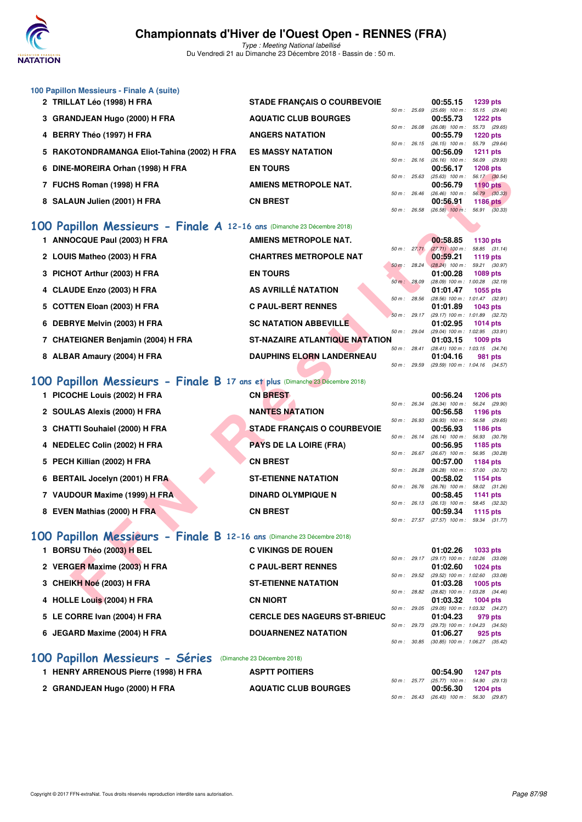

Type : Meeting National labellisé Du Vendredi 21 au Dimanche 23 Décembre 2018 - Bassin de : 50 m.

|                                           |                                                                                                                                                                                                                                                                                                                                                                                                                                                                                                                                                                                                                                                                                                                                                                                                                                                                                                            |                                                                                                                                                                                                                                                                                                                                                                                                                                                                                                                                                                                                      |                                       |                                                                                                                                                                                                                                                                                                                | 1239 pts                                                                                                                                                                                                                                                                                                                                                                                                                                                                                                                                                                                                                                                                                                                                          |
|-------------------------------------------|------------------------------------------------------------------------------------------------------------------------------------------------------------------------------------------------------------------------------------------------------------------------------------------------------------------------------------------------------------------------------------------------------------------------------------------------------------------------------------------------------------------------------------------------------------------------------------------------------------------------------------------------------------------------------------------------------------------------------------------------------------------------------------------------------------------------------------------------------------------------------------------------------------|------------------------------------------------------------------------------------------------------------------------------------------------------------------------------------------------------------------------------------------------------------------------------------------------------------------------------------------------------------------------------------------------------------------------------------------------------------------------------------------------------------------------------------------------------------------------------------------------------|---------------------------------------|----------------------------------------------------------------------------------------------------------------------------------------------------------------------------------------------------------------------------------------------------------------------------------------------------------------|---------------------------------------------------------------------------------------------------------------------------------------------------------------------------------------------------------------------------------------------------------------------------------------------------------------------------------------------------------------------------------------------------------------------------------------------------------------------------------------------------------------------------------------------------------------------------------------------------------------------------------------------------------------------------------------------------------------------------------------------------|
|                                           |                                                                                                                                                                                                                                                                                                                                                                                                                                                                                                                                                                                                                                                                                                                                                                                                                                                                                                            |                                                                                                                                                                                                                                                                                                                                                                                                                                                                                                                                                                                                      |                                       |                                                                                                                                                                                                                                                                                                                | $(25.69)$ 100 m : 55.15 $(29.46)$                                                                                                                                                                                                                                                                                                                                                                                                                                                                                                                                                                                                                                                                                                                 |
|                                           |                                                                                                                                                                                                                                                                                                                                                                                                                                                                                                                                                                                                                                                                                                                                                                                                                                                                                                            |                                                                                                                                                                                                                                                                                                                                                                                                                                                                                                                                                                                                      |                                       |                                                                                                                                                                                                                                                                                                                | <b>1222 pts</b><br>(26.08) 100 m: 55.73 (29.65)                                                                                                                                                                                                                                                                                                                                                                                                                                                                                                                                                                                                                                                                                                   |
|                                           | <b>ANGERS NATATION</b>                                                                                                                                                                                                                                                                                                                                                                                                                                                                                                                                                                                                                                                                                                                                                                                                                                                                                     |                                                                                                                                                                                                                                                                                                                                                                                                                                                                                                                                                                                                      |                                       | 00:55.79                                                                                                                                                                                                                                                                                                       | <b>1220 pts</b>                                                                                                                                                                                                                                                                                                                                                                                                                                                                                                                                                                                                                                                                                                                                   |
| RAKOTONDRAMANGA Eliot-Tahina (2002) H FRA | <b>ES MASSY NATATION</b>                                                                                                                                                                                                                                                                                                                                                                                                                                                                                                                                                                                                                                                                                                                                                                                                                                                                                   |                                                                                                                                                                                                                                                                                                                                                                                                                                                                                                                                                                                                      |                                       | 00:56.09                                                                                                                                                                                                                                                                                                       | 55.79 (29.64)<br>1211 pts                                                                                                                                                                                                                                                                                                                                                                                                                                                                                                                                                                                                                                                                                                                         |
|                                           |                                                                                                                                                                                                                                                                                                                                                                                                                                                                                                                                                                                                                                                                                                                                                                                                                                                                                                            |                                                                                                                                                                                                                                                                                                                                                                                                                                                                                                                                                                                                      |                                       |                                                                                                                                                                                                                                                                                                                | $(26.16)$ 100 m : 56.09 $(29.93)$                                                                                                                                                                                                                                                                                                                                                                                                                                                                                                                                                                                                                                                                                                                 |
|                                           |                                                                                                                                                                                                                                                                                                                                                                                                                                                                                                                                                                                                                                                                                                                                                                                                                                                                                                            |                                                                                                                                                                                                                                                                                                                                                                                                                                                                                                                                                                                                      |                                       |                                                                                                                                                                                                                                                                                                                | <b>1208 pts</b><br>56.17 (30.54)                                                                                                                                                                                                                                                                                                                                                                                                                                                                                                                                                                                                                                                                                                                  |
|                                           | AMIENS METROPOLE NAT.                                                                                                                                                                                                                                                                                                                                                                                                                                                                                                                                                                                                                                                                                                                                                                                                                                                                                      |                                                                                                                                                                                                                                                                                                                                                                                                                                                                                                                                                                                                      |                                       | 00:56.79                                                                                                                                                                                                                                                                                                       | <b>1190 pts</b>                                                                                                                                                                                                                                                                                                                                                                                                                                                                                                                                                                                                                                                                                                                                   |
|                                           | <b>CN BREST</b>                                                                                                                                                                                                                                                                                                                                                                                                                                                                                                                                                                                                                                                                                                                                                                                                                                                                                            |                                                                                                                                                                                                                                                                                                                                                                                                                                                                                                                                                                                                      |                                       | 00:56.91                                                                                                                                                                                                                                                                                                       | 56.79 (30.33)<br>1186 pts                                                                                                                                                                                                                                                                                                                                                                                                                                                                                                                                                                                                                                                                                                                         |
|                                           |                                                                                                                                                                                                                                                                                                                                                                                                                                                                                                                                                                                                                                                                                                                                                                                                                                                                                                            |                                                                                                                                                                                                                                                                                                                                                                                                                                                                                                                                                                                                      |                                       |                                                                                                                                                                                                                                                                                                                |                                                                                                                                                                                                                                                                                                                                                                                                                                                                                                                                                                                                                                                                                                                                                   |
|                                           |                                                                                                                                                                                                                                                                                                                                                                                                                                                                                                                                                                                                                                                                                                                                                                                                                                                                                                            |                                                                                                                                                                                                                                                                                                                                                                                                                                                                                                                                                                                                      |                                       |                                                                                                                                                                                                                                                                                                                |                                                                                                                                                                                                                                                                                                                                                                                                                                                                                                                                                                                                                                                                                                                                                   |
|                                           |                                                                                                                                                                                                                                                                                                                                                                                                                                                                                                                                                                                                                                                                                                                                                                                                                                                                                                            |                                                                                                                                                                                                                                                                                                                                                                                                                                                                                                                                                                                                      |                                       |                                                                                                                                                                                                                                                                                                                | 1130 pts                                                                                                                                                                                                                                                                                                                                                                                                                                                                                                                                                                                                                                                                                                                                          |
|                                           |                                                                                                                                                                                                                                                                                                                                                                                                                                                                                                                                                                                                                                                                                                                                                                                                                                                                                                            |                                                                                                                                                                                                                                                                                                                                                                                                                                                                                                                                                                                                      |                                       |                                                                                                                                                                                                                                                                                                                | 58.85 (31.14)                                                                                                                                                                                                                                                                                                                                                                                                                                                                                                                                                                                                                                                                                                                                     |
|                                           | <b>CHARTRES METROPOLE NAT</b>                                                                                                                                                                                                                                                                                                                                                                                                                                                                                                                                                                                                                                                                                                                                                                                                                                                                              |                                                                                                                                                                                                                                                                                                                                                                                                                                                                                                                                                                                                      |                                       | 00:59.21                                                                                                                                                                                                                                                                                                       | 1119 pts                                                                                                                                                                                                                                                                                                                                                                                                                                                                                                                                                                                                                                                                                                                                          |
|                                           | <b>EN TOURS</b>                                                                                                                                                                                                                                                                                                                                                                                                                                                                                                                                                                                                                                                                                                                                                                                                                                                                                            |                                                                                                                                                                                                                                                                                                                                                                                                                                                                                                                                                                                                      |                                       | 01:00.28                                                                                                                                                                                                                                                                                                       | 1089 pts                                                                                                                                                                                                                                                                                                                                                                                                                                                                                                                                                                                                                                                                                                                                          |
|                                           |                                                                                                                                                                                                                                                                                                                                                                                                                                                                                                                                                                                                                                                                                                                                                                                                                                                                                                            |                                                                                                                                                                                                                                                                                                                                                                                                                                                                                                                                                                                                      |                                       |                                                                                                                                                                                                                                                                                                                | (28.09) 100 m: 1:00.28 (32.19)                                                                                                                                                                                                                                                                                                                                                                                                                                                                                                                                                                                                                                                                                                                    |
|                                           |                                                                                                                                                                                                                                                                                                                                                                                                                                                                                                                                                                                                                                                                                                                                                                                                                                                                                                            |                                                                                                                                                                                                                                                                                                                                                                                                                                                                                                                                                                                                      |                                       |                                                                                                                                                                                                                                                                                                                | 1055 pts                                                                                                                                                                                                                                                                                                                                                                                                                                                                                                                                                                                                                                                                                                                                          |
|                                           | <b>C PAUL-BERT RENNES</b>                                                                                                                                                                                                                                                                                                                                                                                                                                                                                                                                                                                                                                                                                                                                                                                                                                                                                  |                                                                                                                                                                                                                                                                                                                                                                                                                                                                                                                                                                                                      |                                       | 01:01.89                                                                                                                                                                                                                                                                                                       | 1043 pts                                                                                                                                                                                                                                                                                                                                                                                                                                                                                                                                                                                                                                                                                                                                          |
|                                           |                                                                                                                                                                                                                                                                                                                                                                                                                                                                                                                                                                                                                                                                                                                                                                                                                                                                                                            |                                                                                                                                                                                                                                                                                                                                                                                                                                                                                                                                                                                                      |                                       |                                                                                                                                                                                                                                                                                                                | (29.17) 100 m: 1:01.89 (32.72)                                                                                                                                                                                                                                                                                                                                                                                                                                                                                                                                                                                                                                                                                                                    |
|                                           |                                                                                                                                                                                                                                                                                                                                                                                                                                                                                                                                                                                                                                                                                                                                                                                                                                                                                                            |                                                                                                                                                                                                                                                                                                                                                                                                                                                                                                                                                                                                      |                                       |                                                                                                                                                                                                                                                                                                                | 1014 pts<br>(29.04) 100 m: 1:02.95 (33.91)                                                                                                                                                                                                                                                                                                                                                                                                                                                                                                                                                                                                                                                                                                        |
|                                           |                                                                                                                                                                                                                                                                                                                                                                                                                                                                                                                                                                                                                                                                                                                                                                                                                                                                                                            |                                                                                                                                                                                                                                                                                                                                                                                                                                                                                                                                                                                                      |                                       | 01:03.15                                                                                                                                                                                                                                                                                                       | 1009 pts                                                                                                                                                                                                                                                                                                                                                                                                                                                                                                                                                                                                                                                                                                                                          |
|                                           |                                                                                                                                                                                                                                                                                                                                                                                                                                                                                                                                                                                                                                                                                                                                                                                                                                                                                                            |                                                                                                                                                                                                                                                                                                                                                                                                                                                                                                                                                                                                      |                                       |                                                                                                                                                                                                                                                                                                                | 981 pts                                                                                                                                                                                                                                                                                                                                                                                                                                                                                                                                                                                                                                                                                                                                           |
|                                           |                                                                                                                                                                                                                                                                                                                                                                                                                                                                                                                                                                                                                                                                                                                                                                                                                                                                                                            |                                                                                                                                                                                                                                                                                                                                                                                                                                                                                                                                                                                                      |                                       |                                                                                                                                                                                                                                                                                                                | (29.59) 100 m: 1:04.16 (34.57)                                                                                                                                                                                                                                                                                                                                                                                                                                                                                                                                                                                                                                                                                                                    |
|                                           |                                                                                                                                                                                                                                                                                                                                                                                                                                                                                                                                                                                                                                                                                                                                                                                                                                                                                                            |                                                                                                                                                                                                                                                                                                                                                                                                                                                                                                                                                                                                      |                                       |                                                                                                                                                                                                                                                                                                                |                                                                                                                                                                                                                                                                                                                                                                                                                                                                                                                                                                                                                                                                                                                                                   |
|                                           |                                                                                                                                                                                                                                                                                                                                                                                                                                                                                                                                                                                                                                                                                                                                                                                                                                                                                                            |                                                                                                                                                                                                                                                                                                                                                                                                                                                                                                                                                                                                      |                                       |                                                                                                                                                                                                                                                                                                                |                                                                                                                                                                                                                                                                                                                                                                                                                                                                                                                                                                                                                                                                                                                                                   |
|                                           |                                                                                                                                                                                                                                                                                                                                                                                                                                                                                                                                                                                                                                                                                                                                                                                                                                                                                                            |                                                                                                                                                                                                                                                                                                                                                                                                                                                                                                                                                                                                      |                                       |                                                                                                                                                                                                                                                                                                                | <b>1206 pts</b><br>56.24 (29.90)                                                                                                                                                                                                                                                                                                                                                                                                                                                                                                                                                                                                                                                                                                                  |
|                                           | <b>NANTES NATATION</b>                                                                                                                                                                                                                                                                                                                                                                                                                                                                                                                                                                                                                                                                                                                                                                                                                                                                                     |                                                                                                                                                                                                                                                                                                                                                                                                                                                                                                                                                                                                      |                                       | 00:56.58                                                                                                                                                                                                                                                                                                       | 1196 pts                                                                                                                                                                                                                                                                                                                                                                                                                                                                                                                                                                                                                                                                                                                                          |
|                                           |                                                                                                                                                                                                                                                                                                                                                                                                                                                                                                                                                                                                                                                                                                                                                                                                                                                                                                            |                                                                                                                                                                                                                                                                                                                                                                                                                                                                                                                                                                                                      |                                       |                                                                                                                                                                                                                                                                                                                | 56.58 (29.65)                                                                                                                                                                                                                                                                                                                                                                                                                                                                                                                                                                                                                                                                                                                                     |
|                                           |                                                                                                                                                                                                                                                                                                                                                                                                                                                                                                                                                                                                                                                                                                                                                                                                                                                                                                            |                                                                                                                                                                                                                                                                                                                                                                                                                                                                                                                                                                                                      |                                       |                                                                                                                                                                                                                                                                                                                | 1186 pts<br>56.93 (30.79)                                                                                                                                                                                                                                                                                                                                                                                                                                                                                                                                                                                                                                                                                                                         |
|                                           | <b>PAYS DE LA LOIRE (FRA)</b>                                                                                                                                                                                                                                                                                                                                                                                                                                                                                                                                                                                                                                                                                                                                                                                                                                                                              |                                                                                                                                                                                                                                                                                                                                                                                                                                                                                                                                                                                                      |                                       | 00:56.95                                                                                                                                                                                                                                                                                                       | 1185 pts                                                                                                                                                                                                                                                                                                                                                                                                                                                                                                                                                                                                                                                                                                                                          |
|                                           |                                                                                                                                                                                                                                                                                                                                                                                                                                                                                                                                                                                                                                                                                                                                                                                                                                                                                                            |                                                                                                                                                                                                                                                                                                                                                                                                                                                                                                                                                                                                      |                                       |                                                                                                                                                                                                                                                                                                                | 56.95 (30.28)<br>1184 pts                                                                                                                                                                                                                                                                                                                                                                                                                                                                                                                                                                                                                                                                                                                         |
|                                           |                                                                                                                                                                                                                                                                                                                                                                                                                                                                                                                                                                                                                                                                                                                                                                                                                                                                                                            |                                                                                                                                                                                                                                                                                                                                                                                                                                                                                                                                                                                                      |                                       |                                                                                                                                                                                                                                                                                                                | $(26.28)$ 100 m : 57.00 $(30.72)$                                                                                                                                                                                                                                                                                                                                                                                                                                                                                                                                                                                                                                                                                                                 |
|                                           | <b>ST-ETIENNE NATATION</b>                                                                                                                                                                                                                                                                                                                                                                                                                                                                                                                                                                                                                                                                                                                                                                                                                                                                                 |                                                                                                                                                                                                                                                                                                                                                                                                                                                                                                                                                                                                      |                                       | 00:58.02                                                                                                                                                                                                                                                                                                       | 1154 pts                                                                                                                                                                                                                                                                                                                                                                                                                                                                                                                                                                                                                                                                                                                                          |
|                                           | <b>DINARD OLYMPIQUE N</b>                                                                                                                                                                                                                                                                                                                                                                                                                                                                                                                                                                                                                                                                                                                                                                                                                                                                                  |                                                                                                                                                                                                                                                                                                                                                                                                                                                                                                                                                                                                      |                                       | 00:58.45                                                                                                                                                                                                                                                                                                       | 58.02 (31.26)<br>1141 pts                                                                                                                                                                                                                                                                                                                                                                                                                                                                                                                                                                                                                                                                                                                         |
|                                           |                                                                                                                                                                                                                                                                                                                                                                                                                                                                                                                                                                                                                                                                                                                                                                                                                                                                                                            |                                                                                                                                                                                                                                                                                                                                                                                                                                                                                                                                                                                                      |                                       |                                                                                                                                                                                                                                                                                                                | 58.45 (32.32)                                                                                                                                                                                                                                                                                                                                                                                                                                                                                                                                                                                                                                                                                                                                     |
|                                           |                                                                                                                                                                                                                                                                                                                                                                                                                                                                                                                                                                                                                                                                                                                                                                                                                                                                                                            |                                                                                                                                                                                                                                                                                                                                                                                                                                                                                                                                                                                                      |                                       |                                                                                                                                                                                                                                                                                                                | 1115 $pts$                                                                                                                                                                                                                                                                                                                                                                                                                                                                                                                                                                                                                                                                                                                                        |
|                                           |                                                                                                                                                                                                                                                                                                                                                                                                                                                                                                                                                                                                                                                                                                                                                                                                                                                                                                            |                                                                                                                                                                                                                                                                                                                                                                                                                                                                                                                                                                                                      |                                       |                                                                                                                                                                                                                                                                                                                |                                                                                                                                                                                                                                                                                                                                                                                                                                                                                                                                                                                                                                                                                                                                                   |
|                                           |                                                                                                                                                                                                                                                                                                                                                                                                                                                                                                                                                                                                                                                                                                                                                                                                                                                                                                            |                                                                                                                                                                                                                                                                                                                                                                                                                                                                                                                                                                                                      |                                       |                                                                                                                                                                                                                                                                                                                |                                                                                                                                                                                                                                                                                                                                                                                                                                                                                                                                                                                                                                                                                                                                                   |
|                                           | <b>C VIKINGS DE ROUEN</b>                                                                                                                                                                                                                                                                                                                                                                                                                                                                                                                                                                                                                                                                                                                                                                                                                                                                                  |                                                                                                                                                                                                                                                                                                                                                                                                                                                                                                                                                                                                      |                                       | 01:02.26                                                                                                                                                                                                                                                                                                       | 1033 pts                                                                                                                                                                                                                                                                                                                                                                                                                                                                                                                                                                                                                                                                                                                                          |
|                                           |                                                                                                                                                                                                                                                                                                                                                                                                                                                                                                                                                                                                                                                                                                                                                                                                                                                                                                            |                                                                                                                                                                                                                                                                                                                                                                                                                                                                                                                                                                                                      |                                       |                                                                                                                                                                                                                                                                                                                | 1024 pts                                                                                                                                                                                                                                                                                                                                                                                                                                                                                                                                                                                                                                                                                                                                          |
|                                           |                                                                                                                                                                                                                                                                                                                                                                                                                                                                                                                                                                                                                                                                                                                                                                                                                                                                                                            |                                                                                                                                                                                                                                                                                                                                                                                                                                                                                                                                                                                                      |                                       |                                                                                                                                                                                                                                                                                                                |                                                                                                                                                                                                                                                                                                                                                                                                                                                                                                                                                                                                                                                                                                                                                   |
|                                           | <b>ST-ETIENNE NATATION</b>                                                                                                                                                                                                                                                                                                                                                                                                                                                                                                                                                                                                                                                                                                                                                                                                                                                                                 |                                                                                                                                                                                                                                                                                                                                                                                                                                                                                                                                                                                                      |                                       | 01:03.28                                                                                                                                                                                                                                                                                                       | $1005$ pts                                                                                                                                                                                                                                                                                                                                                                                                                                                                                                                                                                                                                                                                                                                                        |
|                                           |                                                                                                                                                                                                                                                                                                                                                                                                                                                                                                                                                                                                                                                                                                                                                                                                                                                                                                            |                                                                                                                                                                                                                                                                                                                                                                                                                                                                                                                                                                                                      |                                       |                                                                                                                                                                                                                                                                                                                | 1004 $pts$                                                                                                                                                                                                                                                                                                                                                                                                                                                                                                                                                                                                                                                                                                                                        |
|                                           | 100 Papillon Messieurs - Finale A (suite)<br>2 TRILLAT Léo (1998) H FRA<br>3 GRANDJEAN Hugo (2000) H FRA<br>4 BERRY Théo (1997) H FRA<br>5<br>DINE-MOREIRA Orhan (1998) H FRA<br>6<br>7 FUCHS Roman (1998) H FRA<br>8 SALAUN Julien (2001) H FRA<br>1 ANNOCQUE Paul (2003) H FRA<br>2 LOUIS Matheo (2003) H FRA<br>PICHOT Arthur (2003) H FRA<br>4 CLAUDE Enzo (2003) H FRA<br>5 COTTEN Eloan (2003) H FRA<br>6 DEBRYE Melvin (2003) H FRA<br>7 CHATEIGNER Benjamin (2004) H FRA<br>8 ALBAR Amaury (2004) H FRA<br>1 PICOCHE Louis (2002) H FRA<br>2 SOULAS Alexis (2000) H FRA<br>3 CHATTI Souhaiel (2000) H FRA<br>4 NEDELEC Colin (2002) H FRA<br>5 PECH Killian (2002) H FRA<br>6 BERTAIL Jocelyn (2001) H FRA<br>7 VAUDOUR Maxime (1999) H FRA<br>8 EVEN Mathias (2000) H FRA<br>1 BORSU Théo (2003) H BEL<br>2 VERGER Maxime (2003) H FRA<br>3 CHEIKH Noé (2003) H FRA<br>4 HOLLE Louis (2004) H FRA | <b>STADE FRANÇAIS O COURBEVOIE</b><br><b>AQUATIC CLUB BOURGES</b><br><b>EN TOURS</b><br>100 Papillon Messieurs - Finale A 12-16 ans (Dimanche 23 Décembre 2018)<br><b>AMIENS METROPOLE NAT.</b><br>AS AVRILLÉ NATATION<br><b>SC NATATION ABBEVILLE</b><br><b>DAUPHINS ELORN LANDERNEAU</b><br>100 Papillon Messieurs - Finale B 17 ans et plus (Dimanche 23 Décembre 2018)<br><b>CN BREST</b><br><b>STADE FRANÇAIS O COURBEVOIE</b><br><b>CN BREST</b><br><b>CN BREST</b><br>100 Papillon Messieurs - Finale B 12-16 ans (Dimanche 23 Décembre 2018)<br><b>C PAUL-BERT RENNES</b><br><b>CN NIORT</b> | <b>ST-NAZAIRE ATLANTIQUE NATATION</b> | 50 m: 25.69<br>50 m: 26.08<br>50 m: 26.15<br>$50 m$ : 26.16<br>50 m: 25.63<br>50 m: 26.46<br>50 m : 26.58<br>50 m: 27.71<br>50 m: 28.09<br>50 m: 28.56<br>50 m: 29.17<br>50 m: 29.04<br>50 m: 28.41<br>50 m : 29.59<br>50 m: 26.34<br>50 m: 26.93<br>50 m: 26.14<br>50 m : 26.67<br>50 m: 26.76<br>50 m: 26.13 | 00:55.15<br>00:55.73<br>$(26.15)$ 100 m :<br>00:56.17<br>$(25.63)$ 100 m :<br>$(26.46)$ 100 m :<br>$(26.58)$ 100 m : 56.91 $(30.33)$<br>00:58.85<br>$(27.71)$ 100 m :<br>$(28.24)$ 100 m : 59.21 $(30.97)$<br>50 m: 28.24<br>01:01.47<br>(28.56) 100 m: 1:01.47 (32.91)<br>01:02.95<br>(28.41) 100 m: 1:03.15 (34.74)<br>01:04.16<br>00:56.24<br>$(26.34)$ 100 m :<br>$(26.93)$ 100 m :<br>00:56.93<br>$(26.14)$ 100 m :<br>$(26.67)$ 100 m :<br>00:57.00<br>50 m : 26.28<br>$(26.76)$ 100 m :<br>$(26.13)$ 100 m :<br>00:59.34<br>50 m: 27.57 (27.57) 100 m: 59.34 (31.77)<br>50 m: 29.17 (29.17) 100 m: 1:02.26 (33.09)<br>01:02.60<br>50 m : 29.52 (29.52) 100 m : 1:02.60 (33.08)<br>50 m : 28.82 (28.82) 100 m : 1:03.28 (34.46)<br>01:03.32 |

|                              |                                     |                | 50 m : 29.17 (29.17) 100 m : 1:02.26 (33.09)    |            |  |
|------------------------------|-------------------------------------|----------------|-------------------------------------------------|------------|--|
| 2 VERGER Maxime (2003) H FRA | <b>C PAUL-BERT RENNES</b>           |                | 01:02.60                                        | 1024 pts   |  |
| 3 CHEIKH Noé (2003) H FRA    | <b>ST-ETIENNE NATATION</b>          |                | 50 m: 29.52 (29.52) 100 m: 1:02.60 (33.08)      |            |  |
|                              |                                     | 50 m: 28.82    | 01:03.28<br>$(28.82)$ 100 m : 1:03.28 $(34.46)$ | 1005 pts   |  |
| 4 HOLLE Louis (2004) H FRA   | <b>CN NIORT</b>                     |                | 01:03.32                                        | $1004$ pts |  |
| 5 LE CORRE Ivan (2004) H FRA | <b>CERCLE DES NAGEURS ST-BRIEUC</b> | $50 m$ : 29.05 | (29.05) 100 m: 1:03.32 (34.27)<br>01:04.23      | 979 pts    |  |
|                              |                                     | 50 m : 29.73   | $(29.73)$ 100 m : 1:04.23 $(34.50)$             |            |  |
| 6 JEGARD Maxime (2004) H FRA | <b>DOUARNENEZ NATATION</b>          | 50 m: 30.85    | 01:06.27<br>$(30.85)$ 100 m : 1:06.27 $(35.42)$ | 925 pts    |  |
|                              |                                     |                |                                                 |            |  |

## **[100 Papillon Messieurs - Séries](http://www.ffnatation.fr/webffn/resultats.php?idact=nat&go=epr&idcpt=55947&idepr=82)** (Dimanche 23 Décembre 2018)

| <b>HENRY ARRENOUS Pierre (1998) H FRA</b> | <b>ASPTT POITIERS</b>       |  | 00:54.90 1247 pts                                               |  |
|-------------------------------------------|-----------------------------|--|-----------------------------------------------------------------|--|
| 2 GRANDJEAN Hugo (2000) H FRA             | <b>AQUATIC CLUB BOURGES</b> |  | 50 m : 25.77 (25.77) 100 m : 54.90 (29.13)<br>00:56.30 1204 pts |  |
|                                           |                             |  | 50 m : 26.43 (26.43) 100 m : 56.30 (29.87)                      |  |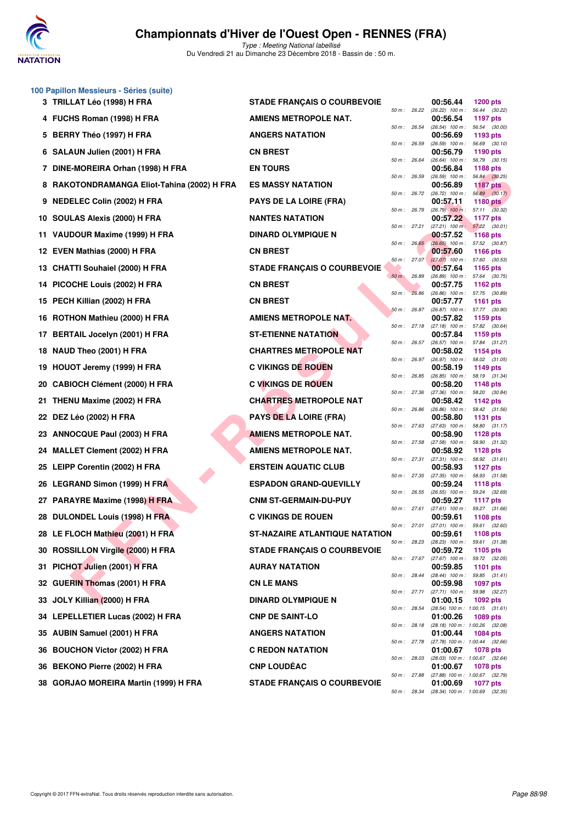

|    | 100 Papillon Messieurs - Séries (suite)   |                                    |                |       |                                                 |                                  |  |
|----|-------------------------------------------|------------------------------------|----------------|-------|-------------------------------------------------|----------------------------------|--|
|    | 3 TRILLAT Léo (1998) H FRA                | <b>STADE FRANÇAIS O COURBEVOIE</b> | 50 m : 26.22   |       | 00:56.44<br>$(26.22)$ 100 m :                   | <b>1200 pts</b><br>56.44 (30.22) |  |
|    | 4 FUCHS Roman (1998) H FRA                | AMIENS METROPOLE NAT.              | 50 m: 26.54    |       | 00:56.54<br>$(26.54)$ 100 m :                   | 1197 pts<br>56.54 (30.00)        |  |
|    | 5 BERRY Théo (1997) H FRA                 | <b>ANGERS NATATION</b>             | 50 m: 26.59    |       | 00:56.69<br>$(26.59)$ 100 m :                   | 1193 pts<br>56.69 (30.10)        |  |
|    | 6 SALAUN Julien (2001) H FRA              | <b>CN BREST</b>                    |                |       | 00:56.79                                        | 1190 pts                         |  |
| 7  | DINE-MOREIRA Orhan (1998) H FRA           | <b>EN TOURS</b>                    | 50 m : 26.64   |       | $(26.64)$ 100 m :<br>00:56.84                   | 56.79 (30.15)<br>1188 pts        |  |
| 8  | RAKOTONDRAMANGA Eliot-Tahina (2002) H FRA | <b>ES MASSY NATATION</b>           | 50 m: 26.59    |       | $(26.59)$ 100 m : 56.84 $(30.25)$<br>00:56.89   | <b>1187 pts</b>                  |  |
| 9  | <b>NEDELEC Colin (2002) H FRA</b>         | <b>PAYS DE LA LOIRE (FRA)</b>      | 50 m : 26.72   |       | $(26.72)$ 100 m : 56.89 $(30.17)$<br>00:57.11   | 1180 pts                         |  |
|    | 10 SOULAS Alexis (2000) H FRA             | <b>NANTES NATATION</b>             | 50 m : 26.79   |       | $(26.79)$ 100 m : 57.11 $(30.32)$<br>00:57.22   | 1177 pts                         |  |
|    | 11 VAUDOUR Maxime (1999) H FRA            | <b>DINARD OLYMPIQUE N</b>          | 50 m: 27.21    |       | $(27.21)$ 100 m :<br>00:57.52                   | 57.22 (30.01)<br><b>1168 pts</b> |  |
|    | 12 EVEN Mathias (2000) H FRA              | <b>CN BREST</b>                    | 50 m: 26.65    |       | (26.65) 100 m: 57.52 (30.87)<br>00:57.60        | <b>1166 pts</b>                  |  |
|    | 13 CHATTI Souhaiel (2000) H FRA           | <b>STADE FRANÇAIS O COURBEVOIE</b> | 50 m: 27.07    |       | $(27.07)$ 100 m :<br>00:57.64                   | 57.60 (30.53)<br>1165 pts        |  |
| 14 | PICOCHE Louis (2002) H FRA                | <b>CN BREST</b>                    | $50 m$ :       | 26.89 | $(26.89)$ 100 m : 57.64 $(30.75)$<br>00:57.75   | 1162 pts                         |  |
|    | 15 PECH Killian (2002) H FRA              | <b>CN BREST</b>                    | 50 m: 26.86    |       | (26.86) 100 m: 57.75 (30.89)<br>00:57.77        | <b>1161 pts</b>                  |  |
|    | 16 ROTHON Mathieu (2000) H FRA            | AMIENS METROPOLE NAT.              | 50 m: 26.87    |       | (26.87) 100 m: 57.77 (30.90)<br>00:57.82        | 1159 pts                         |  |
|    | 17 BERTAIL Jocelyn (2001) H FRA           | <b>ST-ETIENNE NATATION</b>         | 50 m: 27.18    |       | $(27.18)$ 100 m : 57.82 $(30.64)$<br>00:57.84   | 1159 pts                         |  |
|    | 18 NAUD Theo (2001) H FRA                 | <b>CHARTRES METROPOLE NAT</b>      | $50 m$ : 26.57 |       | $(26.57)$ 100 m :<br>00:58.02                   | 57.84 (31.27)<br>1154 pts        |  |
| 19 | HOUOT Jeremy (1999) H FRA                 | <b>C VIKINGS DE ROUEN</b>          | 50 m: 26.97    |       | $(26.97)$ 100 m : 58.02 $(31.05)$<br>00:58.19   | 1149 pts                         |  |
| 20 | <b>CABIOCH Clément (2000) H FRA</b>       | <b>C VIKINGS DE ROUEN</b>          | 50 m : 26.85   |       | $(26.85)$ 100 m : 58.19 $(31.34)$<br>00:58.20   | 1148 pts                         |  |
|    | 21 THENU Maxime (2002) H FRA              | <b>CHARTRES METROPOLE NAT</b>      | 50 m : 27.36   |       | $(27.36)$ 100 m : 58.20 $(30.84)$<br>00:58.42   | 1142 pts                         |  |
|    | 22 DEZ Léo (2002) H FRA                   | <b>PAYS DE LA LOIRE (FRA)</b>      | 50 m : 26.86   |       | $(26.86)$ 100 m : 58.42 $(31.56)$<br>00:58.80   | 1131 pts                         |  |
|    | 23 ANNOCQUE Paul (2003) H FRA             | <b>AMIENS METROPOLE NAT.</b>       | 50 m: 27.63    |       | $(27.63)$ 100 m :<br>00:58.90                   | 58.80 (31.17)<br>1128 pts        |  |
|    | 24 MALLET Clement (2002) H FRA            | <b>AMIENS METROPOLE NAT.</b>       | 50 m: 27.58    |       | $(27.58)$ 100 m :<br>00:58.92                   | 58.90 (31.32)<br><b>1128 pts</b> |  |
|    | 25 LEIPP Corentin (2002) H FRA            | <b>ERSTEIN AQUATIC CLUB</b>        | 50 m: 27.31    |       | $(27.31)$ 100 m :<br>00:58.93                   | 58.92 (31.61)<br><b>1127 pts</b> |  |
|    | 26 LEGRAND Simon (1999) H FRA             | <b>ESPADON GRAND-QUEVILLY</b>      | 50 m: 27.35    |       | (27.35) 100 m: 58.93 (31.58)<br>00:59.24        | <b>1118 pts</b>                  |  |
|    | 27 PARAYRE Maxime (1998) H FRA            | <b>CNM ST-GERMAIN-DU-PUY</b>       | 50 m : 26.55   |       | (26.55) 100 m: 59.24 (32.69)<br>00:59.27        | <b>1117 pts</b>                  |  |
|    | 28 DULONDEL Louis (1998) H FRA            | <b>C VIKINGS DE ROUEN</b>          | 50 m: 27.61    |       | $(27.61)$ 100 m :<br>00:59.61                   | 59.27 (31.66)<br>1108 pts        |  |
|    | 28 LE FLOCH Mathieu (2001) H FRA          | ST-NAZAIRE ATLANTIQUE NATATION     | 50 m : 27.01   |       | $(27.01)$ 100 m :<br>00:59.61                   | 59.61 (32.60)<br>1108 pts        |  |
|    | 30 ROSSILLON Virgile (2000) H FRA         | <b>STADE FRANÇAIS O COURBEVOIE</b> | 50 m: 28.23    |       | $(28.23)$ 100 m :<br>00:59.72                   | 59.61 (31.38)<br>1105 pts        |  |
|    | 31 PICHOT Julien (2001) H FRA             | <b>AURAY NATATION</b>              | 50 m: 27.67    |       | $(27.67)$ 100 m :<br>00:59.85                   | 59.72 (32.05)<br>1101 pts        |  |
|    | 32 GUERIN Thomas (2001) H FRA             | <b>CN LE MANS</b>                  | 50 m: 28.44    |       | (28.44) 100 m: 59.85 (31.41)<br>00:59.98        | 1097 pts                         |  |
| 33 | JOLY Killian (2000) H FRA                 | <b>DINARD OLYMPIQUE N</b>          | 50 m: 27.71    |       | (27.71) 100 m: 59.98 (32.27)<br>01:00.15        | 1092 pts                         |  |
|    | 34 LEPELLETIER Lucas (2002) H FRA         | <b>CNP DE SAINT-LO</b>             | 50 m : 28.54   |       | $(28.54)$ 100 m : 1:00.15 $(31.61)$<br>01:00.26 | 1089 pts                         |  |
|    | 35 AUBIN Samuel (2001) H FRA              | <b>ANGERS NATATION</b>             | 50 m: 28.18    |       | (28.18) 100 m: 1:00.26 (32.08)<br>01:00.44      | 1084 pts                         |  |
|    |                                           |                                    | 50 m : 27.78   |       | (27.78) 100 m: 1:00.44 (32.66)                  |                                  |  |
|    | 36 BOUCHON Victor (2002) H FRA            | <b>C REDON NATATION</b>            | 50 m: 28.03    |       | 01:00.67<br>(28.03) 100 m: 1:00.67 (32.64)      | 1078 pts                         |  |
| 36 | <b>BEKONO Pierre (2002) H FRA</b>         | <b>CNP LOUDÉAC</b>                 | 50 m : 27.88   |       | 01:00.67<br>(27.88) 100 m : 1:00.67 (32.79)     | 1078 pts                         |  |
|    | 38 GORJAO MOREIRA Martin (1999) H FRA     | <b>STADE FRANÇAIS O COURBEVOIE</b> | 50 m : 28.34   |       | 01:00.69<br>(28.34) 100 m: 1:00.69 (32.35)      | 1077 pts                         |  |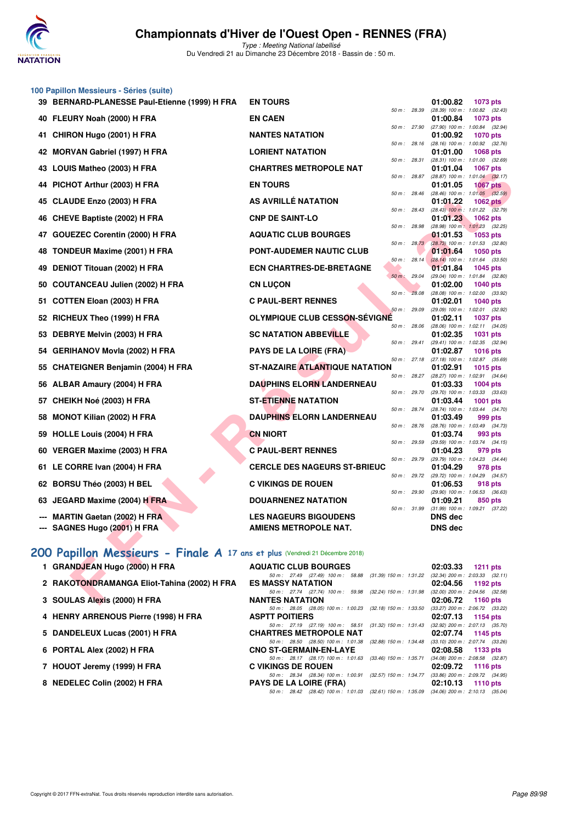

Type : Meeting National labellisé Du Vendredi 21 au Dimanche 23 Décembre 2018 - Bassin de : 50 m.

#### **100 Papillon Messieurs - Séries (suite)**

| 39 BERNARD-PLANESSE Paul-Etienne (1999) H FRA                               | <b>EN TOURS</b>                                                                     |              |                | 01:00.82                            | 1073 pts                                               |
|-----------------------------------------------------------------------------|-------------------------------------------------------------------------------------|--------------|----------------|-------------------------------------|--------------------------------------------------------|
| 40 FLEURY Noah (2000) H FRA                                                 | <b>EN CAEN</b>                                                                      | 50 m : 28.39 |                | 01:00.84                            | $(28.39)$ 100 m : 1:00.82 $(32.43)$<br>1073 pts        |
| 41 CHIRON Hugo (2001) H FRA                                                 | <b>NANTES NATATION</b>                                                              |              | 50 m : 27.90   | 01:00.92                            | $(27.90)$ 100 m : 1:00.84 $(32.94)$<br><b>1070 pts</b> |
| 42 MORVAN Gabriel (1997) H FRA                                              | <b>LORIENT NATATION</b>                                                             |              | 50 m: 28.16    | 01:01.00                            | $(28.16)$ 100 m : 1:00.92 $(32.76)$<br><b>1068 pts</b> |
| 43 LOUIS Matheo (2003) H FRA                                                | <b>CHARTRES METROPOLE NAT</b>                                                       | 50 m: 28.31  |                | 01:01.04                            | $(28.31)$ 100 m : 1:01.00 $(32.69)$<br><b>1067 pts</b> |
|                                                                             |                                                                                     |              | 50 m : 28.87   |                                     | $(28.87)$ 100 m : 1:01.04 $(32.17)$                    |
| 44 PICHOT Arthur (2003) H FRA                                               | <b>EN TOURS</b>                                                                     | 50 m: 28.46  |                | 01:01.05                            | <b>1067 pts</b><br>$(28.46)$ 100 m : 1:01.05 $(32.59)$ |
| 45 CLAUDE Enzo (2003) H FRA                                                 | AS AVRILLÉ NATATION                                                                 |              | 50 m : 28.43   | 01:01.22                            | 1062 $pts$<br>$(28.43)$ 100 m : 1:01.22 $(32.79)$      |
| 46 CHEVE Baptiste (2002) H FRA                                              | <b>CNP DE SAINT-LO</b>                                                              |              |                | 01:01.23                            | 1062 pts                                               |
| 47 GOUEZEC Corentin (2000) H FRA                                            | <b>AQUATIC CLUB BOURGES</b>                                                         | 50 m: 28.98  |                | 01:01.53                            | (28.98) 100 m: 1:01.23 (32.25)<br><b>1053 pts</b>      |
| 48 TONDEUR Maxime (2001) H FRA                                              | <b>PONT-AUDEMER NAUTIC CLUB</b>                                                     |              | $50 m$ : 28.73 | 01:01.64                            | $(28.73)$ 100 m : 1:01.53 $(32.80)$<br>1050 pts        |
| 49 DENIOT Titouan (2002) H FRA                                              | <b>ECN CHARTRES-DE-BRETAGNE</b>                                                     |              | $50 m$ : 28.14 | 01:01.84                            | $(28.14)$ 100 m : 1:01.64 $(33.50)$<br><b>1045 pts</b> |
|                                                                             |                                                                                     |              | 50 m: 29.04    |                                     | (29.04) 100 m: 1:01.84 (32.80)                         |
| 50   COUTANCEAU Julien (2002) H FRA                                         | <b>CN LUCON</b>                                                                     |              | 50 m: 28.08    | 01:02.00                            | <b>1040 pts</b><br>$(28.08)$ 100 m : 1:02.00 $(33.92)$ |
| 51 COTTEN Eloan (2003) H FRA                                                | <b>C PAUL-BERT RENNES</b>                                                           |              |                | 01:02.01                            | <b>1040 pts</b>                                        |
| 52 RICHEUX Theo (1999) H FRA                                                | <b>OLYMPIQUE CLUB CESSON-SÉVIGNÉ</b>                                                | 50 m: 29.09  |                | 01:02.11                            | (29.09) 100 m: 1:02.01 (32.92)<br><b>1037 pts</b>      |
| 53 DEBRYE Melvin (2003) H FRA                                               | <b>SC NATATION ABBEVILLE</b>                                                        |              | 50 m : 28.06   | 01:02.35                            | $(28.06)$ 100 m : 1:02.11 $(34.05)$<br><b>1031 pts</b> |
| 54   GERIHANOV Movla (2002) H FRA                                           | <b>PAYS DE LA LOIRE (FRA)</b>                                                       | 50 m: 29.41  |                | 01:02.87                            | $(29.41)$ 100 m : 1:02.35 $(32.94)$<br><b>1016 pts</b> |
|                                                                             |                                                                                     |              | 50 m : 27.18   |                                     | $(27.18)$ 100 m : 1:02.87 $(35.69)$                    |
| 55 CHATEIGNER Benjamin (2004) H FRA                                         | <b>ST-NAZAIRE ATLANTIQUE NATATION</b>                                               | 50 m: 28.27  |                | 01:02.91                            | <b>1015 pts</b><br>(28.27) 100 m: 1:02.91 (34.64)      |
| 56 ALBAR Amaury (2004) H FRA                                                | <b>DAUPHINS ELORN LANDERNEAU</b>                                                    |              | 50 m : 29.70   | 01:03.33<br>(29.70) 100 m : 1:03.33 | <b>1004 pts</b><br>(33.63)                             |
| 57   CHEIKH Noé (2003) H FRA                                                | <b>ST-ETIENNE NATATION</b>                                                          |              |                | 01:03.44                            | <b>1001 pts</b>                                        |
| 58 MONOT Kilian (2002) H FRA                                                | <b>DAUPHINS ELORN LANDERNEAU</b>                                                    | 50 m: 28.74  |                | (28.74) 100 m : 1:03.44<br>01:03.49 | (34.70)<br>999 pts                                     |
| 59 HOLLE Louis (2004) H FRA                                                 | <b>CN NIORT</b>                                                                     | 50 m: 28.76  |                | 01:03.74                            | (28.76) 100 m : 1:03.49 (34.73)<br>993 pts             |
|                                                                             |                                                                                     | 50 m : 29.59 |                |                                     | (29.59) 100 m: 1:03.74 (34.15)                         |
| 60 VERGER Maxime (2003) H FRA                                               | <b>C PAUL-BERT RENNES</b>                                                           |              | 50 m : 29.79   | 01:04.23                            | 979 pts<br>(29.79) 100 m: 1:04.23 (34.44)              |
| 61 LE CORRE Ivan (2004) H FRA                                               | <b>CERCLE DES NAGEURS ST-BRIEUC</b>                                                 |              | 50 m : 29.72   | 01:04.29                            | 978 pts                                                |
| 62 BORSU Théo (2003) H BEL                                                  | <b>C VIKINGS DE ROUEN</b>                                                           |              |                | 01:06.53                            | (29.72) 100 m: 1:04.29 (34.57)<br>918 pts              |
| 63 JEGARD Maxime (2004) H FRA                                               | <b>DOUARNENEZ NATATION</b>                                                          |              | 50 m : 29.90   | 01:09.21                            | $(29.90)$ 100 m : 1:06.53 $(36.63)$<br>850 pts         |
| --- MARTIN Gaetan (2002) H FRA                                              | <b>LES NAGEURS BIGOUDENS</b>                                                        |              |                | <b>DNS</b> dec                      | 50 m: 31.99 (31.99) 100 m: 1:09.21 (37.22)             |
| --- SAGNES Hugo (2001) H FRA                                                | AMIENS METROPOLE NAT.                                                               |              |                | <b>DNS dec</b>                      |                                                        |
|                                                                             |                                                                                     |              |                |                                     |                                                        |
| 00 Papillon Messieurs - Finale A 17 ans et plus (Vendredi 21 Décembre 2018) |                                                                                     |              |                |                                     |                                                        |
| 1 GRANDJEAN Hugo (2000) H FRA                                               | <b>AQUATIC CLUB BOURGES</b>                                                         |              |                | 02:03.33                            | <b>1211 pts</b>                                        |
| 2 RAKOTONDRAMANGA Eliot-Tahina (2002) H FRA                                 | 50 m: 27.49 (27.49) 100 m: 58.88 (31.39) 150 m: 1:31.22<br><b>ES MASSY NATATION</b> |              |                | 02:04.56                            | $(32.34)$ 200 m : 2:03.33 $(32.11)$<br>1192 pts        |
| 3 SOULAS Alexis (2000) H FRA                                                | 50 m: 27.74 (27.74) 100 m: 59.98 (32.24) 150 m: 1:31.98<br><b>NANTES NATATION</b>   |              |                | 02:06.72                            | $(32.00)$ 200 m : 2:04.56 $(32.58)$<br><b>1160 pts</b> |

## **[200 Papillon Messieurs - Finale A](http://www.ffnatation.fr/webffn/resultats.php?idact=nat&go=epr&idcpt=55947&idepr=83) 17 ans et plus** (Vendredi 21 Décembre 2018)

| 1 GRANDJEAN Hugo (2000) H FRA               | <b>AQUATIC CLUB BOURGES</b>                               | 02:03.33 1211 pts |                                       |
|---------------------------------------------|-----------------------------------------------------------|-------------------|---------------------------------------|
|                                             | 50 m: 27.49 (27.49) 100 m: 58.88 (31.39) 150 m: 1:31.22   |                   | $(32.34)$ 200 m : 2:03.33 $(32.11)$   |
| 2 RAKOTONDRAMANGA Eliot-Tahina (2002) H FRA | <b>ES MASSY NATATION</b>                                  | 02:04.56 1192 pts |                                       |
|                                             | 50 m: 27.74 (27.74) 100 m: 59.98 (32.24) 150 m: 1:31.98   |                   | $(32.00)$ 200 m : $2:04.56$ $(32.58)$ |
| 3 SOULAS Alexis (2000) H FRA                | <b>NANTES NATATION</b>                                    | 02:06.72 1160 pts |                                       |
|                                             | 50 m: 28.05 (28.05) 100 m: 1:00.23 (32.18) 150 m: 1:33.50 |                   | $(33.27)$ 200 m : 2:06.72 $(33.22)$   |
| 4 HENRY ARRENOUS Pierre (1998) H FRA        | <b>ASPTT POITIERS</b>                                     | 02:07.13 1154 pts |                                       |
|                                             | 50 m: 27.19 (27.19) 100 m: 58.51 (31.32) 150 m: 1:31.43   |                   | $(32.92)$ 200 m : 2:07.13 $(35.70)$   |
| 5 DANDELEUX Lucas (2001) H FRA              | <b>CHARTRES METROPOLE NAT</b>                             | 02:07.74 1145 pts |                                       |
|                                             | 50 m: 28.50 (28.50) 100 m: 1:01.38 (32.88) 150 m: 1:34.48 |                   | $(33.10)$ 200 m : 2:07.74 $(33.26)$   |
| 6 PORTAL Alex (2002) H FRA                  | <b>CNO ST-GERMAIN-EN-LAYE</b>                             | 02:08.58 1133 pts |                                       |
|                                             | 50 m: 28.17 (28.17) 100 m: 1:01.63 (33.46) 150 m: 1:35.71 |                   | $(34.08)$ 200 m : 2:08.58 $(32.87)$   |
| 7 HOUOT Jeremy (1999) H FRA                 | <b>C VIKINGS DE ROUEN</b>                                 | 02:09.72 1116 pts |                                       |
|                                             | 50 m: 28.34 (28.34) 100 m: 1:00.91 (32.57) 150 m: 1:34.77 |                   | $(33.86)$ 200 m : 2:09.72 $(34.95)$   |
| 8 NEDELEC Colin (2002) H FRA                | <b>PAYS DE LA LOIRE (FRA)</b>                             | 02:10.13 1110 pts |                                       |
|                                             | 50 m: 28.42 (28.42) 100 m: 1:01.03 (32.61) 150 m: 1:35.09 |                   | $(34.06)$ 200 m : 2:10.13 $(35.04)$   |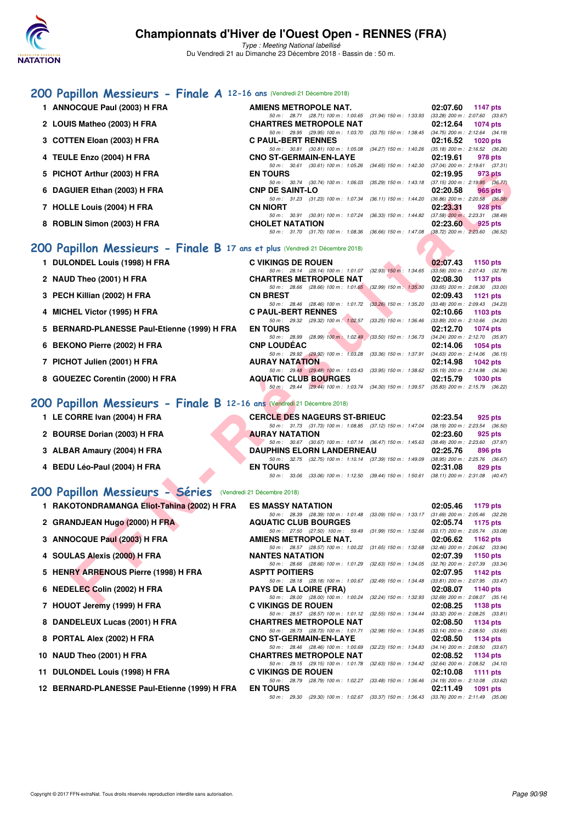

Type : Meeting National labellisé Du Vendredi 21 au Dimanche 23 Décembre 2018 - Bassin de : 50 m.

## **[200 Papillon Messieurs - Finale A](http://www.ffnatation.fr/webffn/resultats.php?idact=nat&go=epr&idcpt=55947&idepr=83) 12-16 ans** (Vendredi 21 Décembre 2018)

**1 ANNOCQUE Paul (2003) H FRA AMIENS METROPOLE NAT. 02:07.60 1147 pts** 50 m: 28.71 (28.71) 100 m: 1:00.65 (31.94) 150 m: 1:33.93 (33.28) 200 m: 2:07.60 (33.67)<br>CHARTRES METROPOLE NAT 02:12.64 1074 pts **2 LOUIS Matheo (2003) H FRA CHARTRES METROPOLE NAT 02:12.64 1074 pts** 50 m : 29.95 (29.95) 100 m : 1:03.70 (33.75) 150 m : 1:38.45 (34.75) 200 m : 2:12.64 (34.19)<br>**C PAUL-BERT RENNES** 02:16.52 1020 pts **3 COTTEN Eloan (2003) H FRA** 50 m : 30.81 (30.81) 100 m : 1:05.08 (34.27) 150 m : 1:40.26 (35.18) 200 m : 2:16.52 (36.26) **4 TEULE Enzo (2004) H FRA CNO ST-GERMAIN-EN-LAYE 02:19.61 978 pts** 50 m: 30.61 (30.61) 100 m: 1:05.26 (34.65) 150 m: 1:42.30 (37.04) 200 m: 2:19.61 (37.31)<br>EN TOURS 02:19.95 973 pts **5 PICHOT Arthur (2003) H FRA EN TOURS 02:19.95 973 pts** 50 m : 30.74 (30.74) 100 m : 1:06.03 (35.29) 150 m : 1:43.18 (37.15) 200 m : 2:19.95 (36.77)<br>**CNP DE SAINT-LO** 02:20.58 965 pts **6 DAGUIER Ethan (2003) H FRA** 50 m : 31.23 (31.23) 100 m : 1:07.34 (36.11) 150 m : 1:44.20 (36.86) 200 m : 2:20.58 (36.38) **7 HOLLE Louis (2004) H FRA CN NIORT 02:23.31 928 pts** 50 m : 30.91 (30.91) 100 m : 1:07.24 (36.33) 150 m : 1:44.82 (37.58) 200 m : 2:23.31 (38.49)<br>**CHOLET NATATION** 02:23.60 925 pts **8 ROBLIN Simon (2003) H FRA CHOLET NATATION 02:23.60 925 pts** 50 m : 31.70 (31.70) 100 m : 1:08.36 (36.66) 150 m : 1:47.08 (38.72) 200 m : 2:23.60 (36.52)

## **[200 Papillon Messieurs - Finale B](http://www.ffnatation.fr/webffn/resultats.php?idact=nat&go=epr&idcpt=55947&idepr=83) 17 ans et plus** (Vendredi 21 Décembre 2018)

| 1 DULONDEL Louis (1998) H FRA                | <b>C VIKINGS DE ROUEN</b>     |                                                                                          | 02:07.43 1150 pts |                                     |
|----------------------------------------------|-------------------------------|------------------------------------------------------------------------------------------|-------------------|-------------------------------------|
|                                              |                               | 50 m: 28.14 (28.14) 100 m: 1:01.07 (32.93) 150 m: 1:34.65                                |                   | $(33.58)$ 200 m : 2:07.43 $(32.78)$ |
| 2 NAUD Theo (2001) H FRA                     | <b>CHARTRES METROPOLE NAT</b> |                                                                                          | 02:08.30 1137 pts |                                     |
|                                              |                               | 50 m: 28.66 (28.66) 100 m: 1:01.65 (32.99) 150 m: 1:35.30                                |                   | $(33.65)$ 200 m : 2:08.30 $(33.00)$ |
| 3 PECH Killian (2002) H FRA                  | <b>CN BREST</b>               |                                                                                          | 02:09.43          | 1121 pts                            |
|                                              |                               | 50 m: 28.46 (28.46) 100 m: 1:01.72 (33.26) 150 m: 1:35.20                                |                   | $(33.48)$ 200 m : 2:09.43 $(34.23)$ |
| 4 MICHEL Victor (1995) H FRA                 | <b>C PAUL-BERT RENNES</b>     |                                                                                          |                   | $02:10.66$ 1103 pts                 |
|                                              |                               | 50 m: 29.32 (29.32) 100 m: 1:02.57 (33.25) 150 m: 1:36.46 (33.89) 200 m: 2:10.66 (34.20) |                   |                                     |
|                                              |                               |                                                                                          |                   |                                     |
| 5 BERNARD-PLANESSE Paul-Etienne (1999) H FRA | <b>EN TOURS</b>               |                                                                                          | 02:12.70          | 1074 pts                            |
|                                              |                               | 50 m: 28.99 (28.99) 100 m: 1:02.49 (33.50) 150 m: 1:36.73 (34.24) 200 m: 2:12.70 (35.97) |                   |                                     |
| 6 BEKONO Pierre (2002) H FRA                 | <b>CNP LOUDEAC</b>            |                                                                                          |                   | 02:14.06 1054 pts                   |
|                                              |                               | 50 m : 29.92 (29.92) 100 m : 1:03.28 (33.36) 150 m : 1:37.91                             |                   | $(34.63)$ 200 m : 2:14.06 $(36.15)$ |
| 7 PICHOT Julien (2001) H FRA                 | <b>AURAY NATATION</b>         |                                                                                          | 02:14.98          | 1042 pts                            |
|                                              |                               | 50 m: 29.48 (29.48) 100 m: 1:03.43 (33.95) 150 m: 1:38.62 (35.19) 200 m: 2:14.98 (36.36) |                   |                                     |
| 8 GOUEZEC Corentin (2000) H FRA              | <b>AQUATIC CLUB BOURGES</b>   |                                                                                          | 02:15.79          | 1030 pts                            |

## **[200 Papillon Messieurs - Finale B](http://www.ffnatation.fr/webffn/resultats.php?idact=nat&go=epr&idcpt=55947&idepr=83) 12-16 ans** (Vendredi 21 Décembre 2018)

|                       | <b>CERCLE DES NAGEURS ST-BRIEUC</b>                                                     |  | 02:23.54 | 925 pts |
|-----------------------|-----------------------------------------------------------------------------------------|--|----------|---------|
|                       | 50 m: 31.73 (31.73) 100 m: 1:08.85 (37.12) 150 m: 1:47.04 (38.19) 200 m: 2:23.54 (36.50 |  |          |         |
| <b>AURAY NATATION</b> |                                                                                         |  | 02:23.60 | 925 pts |
|                       | 50 m: 30.67 (30.67) 100 m: 1:07.14 (36.47) 150 m: 1:45.63 (38.49) 200 m: 2:23.60 (37.97 |  |          |         |
|                       | <b>DAUPHINS ELORN LANDERNEAU</b>                                                        |  | 02:25.76 | 896 pts |
|                       | 50 m: 32.75 (32.75) 100 m: 1:10.14 (37.39) 150 m: 1:49.09 (38.95) 200 m: 2:25.76 (36.67 |  |          |         |
| <b>EN TOURS</b>       |                                                                                         |  | 02:31.08 | 829 pts |
|                       | 50 m: 33.06 (33.06) 100 m: 1:12.50 (39.44) 150 m: 1:50.61 (38.11) 200 m: 2:31.08 (40.47 |  |          |         |

## **[200 Papillon Messieurs - Séries](http://www.ffnatation.fr/webffn/resultats.php?idact=nat&go=epr&idcpt=55947&idepr=83)** (Vendredi 21 Décembre 2018)

| 5 PICHOT Arthur (2003) H FRA                                                | <b>EN TOURS</b>                                                                                                                                                                               | 02:19.95 | 973 pts                                                |
|-----------------------------------------------------------------------------|-----------------------------------------------------------------------------------------------------------------------------------------------------------------------------------------------|----------|--------------------------------------------------------|
| 6 DAGUIER Ethan (2003) H FRA                                                | 50 m: 30.74 (30.74) 100 m: 1:06.03 (35.29) 150 m: 1:43.18 (37.15) 200 m: 2:19.95 (36.77)<br><b>CNP DE SAINT-LO</b>                                                                            | 02:20.58 | 965 pts                                                |
| 7 HOLLE Louis (2004) H FRA                                                  | 50 m: 31.23 (31.23) 100 m: 1:07.34<br>$(36.11)$ 150 m : 1:44.20 $(36.86)$ 200 m : 2:20.58 $(36.38)$<br>CN NIORT                                                                               | 02:23.31 | 928 <sub>pts</sub>                                     |
| 8 ROBLIN Simon (2003) H FRA                                                 | 50 m : 30.91 (30.91) 100 m : 1:07.24 (36.33) 150 m : 1:44.82<br><b>CHOLET NATATION</b>                                                                                                        | 02:23.60 | $(37.58)$ 200 m : 2:23.31 $(38.49)$<br>925 pts         |
|                                                                             | 50 m: 31.70 (31.70) 100 m: 1:08.36 (36.66) 150 m: 1:47.08 (38.72) 200 m: 2:23.60 (36.52)                                                                                                      |          |                                                        |
| 00 Papillon Messieurs - Finale B 17 ans et plus (Vendredi 21 Décembre 2018) |                                                                                                                                                                                               |          |                                                        |
| 1 DULONDEL Louis (1998) H FRA                                               | <b>C VIKINGS DE ROUEN</b>                                                                                                                                                                     | 02:07.43 | 1150 pts                                               |
| 2 NAUD Theo (2001) H FRA                                                    | 50 m : 28.14 (28.14) 100 m : 1:01.07 (32.93) 150 m : 1:34.65<br><b>CHARTRES METROPOLE NAT</b><br>50 m : 28.66 (28.66) 100 m : 1:01.65 (32.99) 150 m : 1:35.30 (33.65) 200 m : 2:08.30 (33.00) | 02:08.30 | $(33.58)$ 200 m : 2:07.43 $(32.78)$<br><b>1137 pts</b> |
| 3 PECH Killian (2002) H FRA                                                 | <b>CN BREST</b>                                                                                                                                                                               | 02:09.43 | 1121 $pts$                                             |
| 4 MICHEL Victor (1995) H FRA                                                | 50 m : 28.46 (28.46) 100 m : 1:01.72 (33.26) 150 m : 1:35.20<br><b>C PAUL-BERT RENNES</b>                                                                                                     | 02:10.66 | $(33.48)$ 200 m : 2:09.43 $(34.23)$<br>1103 $pts$      |
| 5 BERNARD-PLANESSE Paul-Etienne (1999) H FRA                                | 50 m : 29.32 (29.32) 100 m : 1:02.57 (33.25) 150 m : 1:36.46<br><b>EN TOURS</b>                                                                                                               | 02:12.70 | $(33.89)$ 200 m : 2:10.66 $(34.20)$<br>1074 pts        |
|                                                                             | 50 m: 28.99 (28.99) 100 m: 1:02.49 (33.50) 150 m: 1:36.73 (34.24) 200 m: 2:12.70 (35.97)                                                                                                      |          |                                                        |
| 6 BEKONO Pierre (2002) H FRA                                                | <b>CNP LOUDEAC</b><br>50 m: 29.92 (29.92) 100 m: 1:03.28 (33.36) 150 m: 1:37.91 (34.63) 200 m: 2:14.06 (36.15)                                                                                | 02:14.06 | 1054 pts                                               |
| 7 PICHOT Julien (2001) H FRA                                                | <b>AURAY NATATION</b>                                                                                                                                                                         | 02:14.98 | 1042 pts                                               |
|                                                                             | 50 m: 29.48 (29.48) 100 m: 1:03.43 (33.95) 150 m: 1:38.62 (35.19) 200 m: 2:14.98 (36.36)                                                                                                      |          |                                                        |
| 8 GOUEZEC Corentin (2000) H FRA                                             | <b>AQUATIC CLUB BOURGES</b><br>50 m: 29.44 (29.44) 100 m: 1:03.74 (34.30) 150 m: 1:39.57 (35.83) 200 m: 2:15.79 (36.22)                                                                       | 02:15.79 | <b>1030 pts</b>                                        |
| 00 Papillon Messieurs - Finale B 12-16 ans (Vendredi 21 Décembre 2018)      |                                                                                                                                                                                               |          |                                                        |
| 1 LE CORRE Ivan (2004) H FRA                                                | <b>CERCLE DES NAGEURS ST-BRIEUC</b>                                                                                                                                                           | 02:23.54 | 925 pts                                                |
|                                                                             | 50 m: 31.73 (31.73) 100 m: 1:08.85 (37.12) 150 m: 1:47.04 (38.19) 200 m: 2:23.54 (36.50)                                                                                                      |          |                                                        |
| 2 BOURSE Dorian (2003) H FRA                                                | <b>AURAY NATATION</b><br>50 m: 30.67 (30.67) 100 m: 1:07.14 (36.47) 150 m: 1:45.63 (38.49) 200 m: 2:23.60 (37.97)                                                                             | 02:23.60 | 925 pts                                                |
| 3 ALBAR Amaury (2004) H FRA                                                 | <b>DAUPHINS ELORN LANDERNEAU</b>                                                                                                                                                              | 02:25.76 | 896 pts                                                |
| 4 BEDU Léo-Paul (2004) H FRA                                                | 50 m: 32.75 (32.75) 100 m: 1:10.14 (37.39) 150 m: 1:49.09 (38.95) 200 m: 2:25.76 (36.67)<br><b>EN TOURS</b>                                                                                   | 02:31.08 | 829 pts                                                |
|                                                                             | 50 m: 33.06 (33.06) 100 m: 1:12.50 (39.44) 150 m: 1:50.61 (38.11) 200 m: 2:31.08 (40.47)                                                                                                      |          |                                                        |
| 00 Papillon Messieurs - Séries (Vendredi 21 Décembre 2018)                  |                                                                                                                                                                                               |          |                                                        |
| 1 RAKOTONDRAMANGA Eliot-Tahina (2002) H FRA                                 | <b>ES MASSY NATATION</b>                                                                                                                                                                      | 02:05.46 | 1179 pts                                               |
| 2 GRANDJEAN Hugo (2000) H FRA                                               | 50 m: 28.39 (28.39) 100 m: 1:01.48 (33.09) 150 m: 1:33.17 (31.69) 200 m: 2:05.46 (32.29)<br><b>AQUATIC CLUB BOURGES</b>                                                                       | 02:05.74 | 1175 pts                                               |
|                                                                             | 50 m: 27.50 (27.50) 100 m: 59.49<br>(31.99) 150 m: 1:32.66 (33.17) 200 m: 2:05.74 (33.08)                                                                                                     |          |                                                        |
| 3 ANNOCQUE Paul (2003) H FRA                                                | AMIENS METROPOLE NAT.                                                                                                                                                                         | 02:06.62 | 1162 $pts$                                             |
| 4 SOULAS Alexis (2000) H FRA                                                | (31.65) 150 m : 1:32.68 (32.46) 200 m : 2:06.62 (33.94)<br>50 m : 28.57 (28.57) 100 m : 1:00.22<br><b>NANTES NATATION</b>                                                                     | 02:07.39 | <b>1150 pts</b>                                        |
|                                                                             | 50 m: 28.66 (28.66) 100 m: 1:01.29 (32.63) 150 m: 1:34.05 (32.76) 200 m: 2:07.39 (33.34)                                                                                                      |          |                                                        |
| 5 HENRY ARRENOUS Pierre (1998) H FRA                                        | <b>ASPTT POITIERS</b><br>50 m: 28.18 (28.18) 100 m: 1:00.67 (32.49) 150 m: 1:34.48 (33.81) 200 m: 2:07.95 (33.47)                                                                             | 02:07.95 | 1142 pts                                               |
| 6 NEDELEC Colin (2002) H FRA                                                | <b>PAYS DE LA LOIRE (FRA)</b>                                                                                                                                                                 | 02:08.07 | 1140 pts                                               |
|                                                                             | 50 m: 28.00 (28.00) 100 m: 1:00.24 (32.24) 150 m: 1:32.93 (32.69) 200 m: 2:08.07 (35.14)                                                                                                      | 02:08.25 |                                                        |
| 7 HOUOT Jeremy (1999) H FRA                                                 | <b>C VIKINGS DE ROUEN</b><br>50 m: 28.57 (28.57) 100 m: 1:01.12<br>(32.55) 150 m: 1:34.44 (33.32) 200 m: 2:08.25 (33.81)                                                                      |          | 1138 pts                                               |
| 8 DANDELEUX Lucas (2001) H FRA                                              | <b>CHARTRES METROPOLE NAT</b>                                                                                                                                                                 | 02:08.50 | 1134 pts                                               |
| 8 PORTAL Alex (2002) H FRA                                                  | 50 m: 28.73 (28.73) 100 m: 1:01.71 (32.98) 150 m: 1:34.85 (33.14) 200 m: 2:08.50 (33.65)<br><b>CNO ST-GERMAIN-EN-LAYE</b>                                                                     | 02:08.50 | 1134 pts                                               |
| 10 NAUD Theo (2001) H FRA                                                   | 50 m: 28.46 (28.46) 100 m: 1:00.69<br>(32.23) 150 m: 1:34.83 (34.14) 200 m: 2:08.50 (33.67)<br><b>CHARTRES METROPOLE NAT</b>                                                                  | 02:08.52 | 1134 pts                                               |
|                                                                             | 50 m: 29.15 (29.15) 100 m: 1:01.78<br>(32.63) 150 m : 1:34.42 (32.64) 200 m : 2:08.52 (34.10)                                                                                                 |          |                                                        |
| 11 DULONDEL Louis (1998) H FRA                                              | <b>C VIKINGS DE ROUEN</b><br>50 m: 28.79 (28.79) 100 m: 1:02.27<br>(33.48) 150 m: 1:36.46 (34.19) 200 m: 2:10.08 (33.62)                                                                      | 02:10.08 | 1111 pts                                               |
| 12 BERNARD-PLANESSE Paul-Etienne (1999) H FRA                               | <b>EN TOURS</b>                                                                                                                                                                               | 02:11.49 | 1091 pts                                               |
|                                                                             | 50 m: 29.30 (29.30) 100 m: 1:02.67 (33.37) 150 m: 1:36.43 (33.76) 200 m: 2:11.49 (35.06)                                                                                                      |          |                                                        |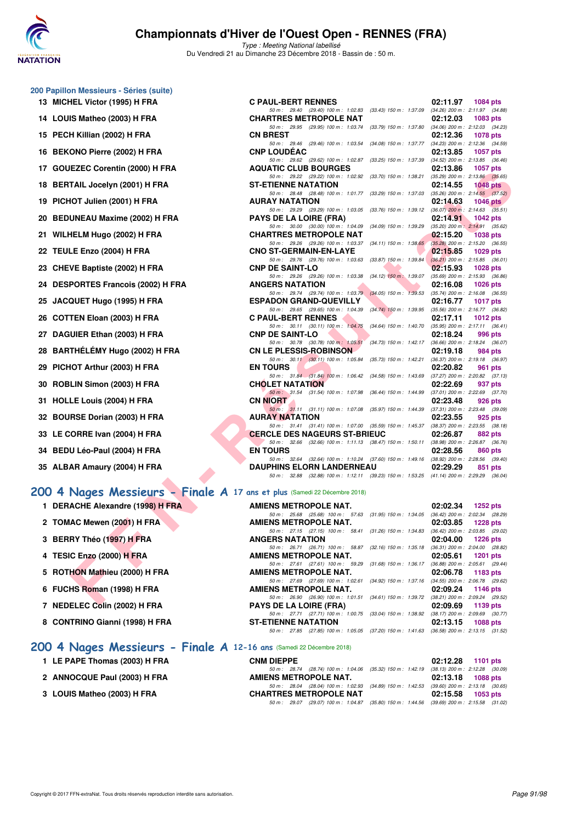

Type : Meeting National labellisé Du Vendredi 21 au Dimanche 23 Décembre 2018 - Bassin de : 50 m.

| 200 Papillon Messieurs - Séries (suite) |  |
|-----------------------------------------|--|
| 13 MICHEL Victor (1995) H FRA           |  |

- **14 LOUIS Matheo (2003) H FRA**
- **15 PECH Killian (2002) H FRA**
- 16 BEKONO Pierre (2002) H FRA
- **17 GOUEZEC Corentin (2000) H FRA**
- 18 BERTAIL Jocelyn (2001) H FRA
- **19 PICHOT Julien (2001) H FRA**
- 20 BEDUNEAU Maxime (2002) H FRA
- **21 WILHELM Hugo (2002) H FRA CHARTRES METROPOLE NAT 02:15.20 1038 pts**
- **22 TEULE Enzo (2004) H FRA CNO ST-GERMAIN-EN-LAYE 02:15.85 1029 pts**
- 23 CHEVE Baptiste (2002) H FRA
- 24 DESPORTES Francois (2002) H FRA
- **25 JACQUET Hugo (1995) H FRA**
- **26 COTTEN Eloan (2003) H FRA**
- 27 DAGUIER Ethan (2003) H FRA
- 28 BARTHÉLÉMY Hugo (2002) H FRA
- **29 PICHOT Arthur (2003) H FRA**
- **30 ROBLIN Simon (2003) H FRA**
- **31 HOLLE Louis (2004) H FRA**
- **32 BOURSE Dorian (2003) H FRA**
- **33 LE CORRE Ivan (2004) H FRA**
- **34 BEDU Léo-Paul (2004) H FRA**
- **35 ALBAR Amaury (2004) H FRA**

- **1 DERACHE Alexandre (1998) H FRA**
- **2 TOMAC Mewen (2001) H FRA**
- **3 BERRY Théo (1997) H FRA**
- **4 TESIC Enzo (2000) H FRA AMIENS METROPOLE NAT. 02:05.61 1201 pts**
- **5 ROTHON Mathieu (2000) H FRA**
- **6 FUCHS Roman (1998) H FRA**
- **7 NEDELEC Colin (2002) H FRA**
- 8 CONTRINO Gianni (1998) H FRA

### **[200 4 Nages Messieurs - Finale A](http://www.ffnatation.fr/webffn/resultats.php?idact=nat&go=epr&idcpt=55947&idepr=91) 12-16 ans** (Samedi 22 Décembre 2018)

- **1 LE PAPE Thomas (2003) H FRA CNM DIEPPE 02:12.28 1101 pts**
- 2 ANNOCQUE Paul (2003) H FRA
- **3 LOUIS Matheo (2003) H FRA**

| <b>IEL Victor (1995) H FRA</b>                                      | <b>C PAUL-BERT RENNES</b>                                                                                                       | 02:11.97<br><b>1084 pts</b> |
|---------------------------------------------------------------------|---------------------------------------------------------------------------------------------------------------------------------|-----------------------------|
| IS Matheo (2003) H FRA                                              | 50 m: 29.40 (29.40) 100 m: 1:02.83 (33.43) 150 m: 1:37.09 (34.26) 200 m: 2:11.97 (34.88)<br><b>CHARTRES METROPOLE NAT</b>       | 02:12.03 1083 pts           |
| H Killian (2002) H FRA                                              | 50 m: 29.95 (29.95) 100 m: 1:03.74 (33.79) 150 m: 1:37.80 (34.06) 200 m: 2:12.03 (34.23)<br><b>CN BREST</b>                     | 02:12.36<br>1078 pts        |
|                                                                     | 50 m: 29.46 (29.46) 100 m: 1:03.54 (34.08) 150 m: 1:37.77 (34.23) 200 m: 2:12.36 (34.59)                                        |                             |
| <b>ONO Pierre (2002) H FRA</b>                                      | <b>CNP LOUDEAC</b><br>50 m: 29.62 (29.62) 100 m: 1:02.87 (33.25) 150 m: 1:37.39 (34.52) 200 m: 2:13.85 (36.46)                  | 02:13.85<br><b>1057 pts</b> |
| EZEC Corentin (2000) H FRA                                          | <b>AQUATIC CLUB BOURGES</b>                                                                                                     | 02:13.86<br>1057 pts        |
| TAIL Jocelyn (2001) H FRA                                           | 50 m: 29.22 (29.22) 100 m: 1:02.92 (33.70) 150 m: 1:38.21 (35.29) 200 m: 2:13.86 (35.65)<br><b>ST-ETIENNE NATATION</b>          | 02:14.55<br>$1048$ pts      |
| IOT Julien (2001) H FRA                                             | 50 m: 28.48 (28.48) 100 m: 1:01.77 (33.29) 150 m: 1:37.03 (35.26) 200 m: 2:14.55 (37.52)<br><b>AURAY NATATION</b>               | 02:14.63<br><b>1046 pts</b> |
|                                                                     | 50 m: 29.29 (29.29) 100 m: 1:03.05 (33.76) 150 m: 1:39.12 (36.07) 200 m: 2:14.63 (35.51)                                        |                             |
| UNEAU Maxime (2002) H FRA                                           | <b>PAYS DE LA LOIRE (FRA)</b><br>50 m: 30.00 (30.00) 100 m: 1:04.09 (34.09) 150 m: 1:39.29 (35.20) 200 m: 2:14.91 (35.62)       | 02:14.91 1042 pts           |
| IELM Hugo (2002) H FRA                                              | <b>CHARTRES METROPOLE NAT</b>                                                                                                   | 02:15.20<br><b>1038 pts</b> |
| LE Enzo (2004) H FRA                                                | 50 m: 29.26 (29.26) 100 m: 1:03.37 (34.11) 150 m: 1:38.65 (35.28) 200 m: 2:15.20 (36.55)<br><b>CNO ST-GERMAIN-EN-LAYE</b>       | 02:15.85<br>$1029$ pts      |
|                                                                     | 50 m : 29.76 (29.76) 100 m : 1:03.63 (33.87) 150 m : 1:39.84 (36.21) 200 m : 2:15.85 (36.01)                                    |                             |
| VE Baptiste (2002) H FRA                                            | <b>CNP DE SAINT-LO</b><br>50 m: 29.26 (29.26) 100 m: 1:03.38 (34.12) 150 m: 1:39.07 (35.69) 200 m: 2:15.93 (36.86)              | 02:15.93<br>1028 pts        |
| PORTES Francois (2002) H FRA                                        | <b>ANGERS NATATION</b>                                                                                                          | 02:16.08<br>1026 pts        |
|                                                                     | 50 m: 29.74 (29.74) 100 m: 1:03.79 (34.05) 150 m: 1:39.53 (35.74) 200 m: 2:16.08 (36.55)                                        |                             |
| QUET Hugo (1995) H FRA                                              | <b>ESPADON GRAND-QUEVILLY</b><br>50 m: 29.65 (29.65) 100 m: 1:04.39 (34.74) 150 m: 1:39.95 (35.56) 200 m: 2:16.77 (36.82)       | 02:16.77<br><b>1017 pts</b> |
| TEN Eloan (2003) H FRA                                              | <b>C PAUL-BERT RENNES</b>                                                                                                       | 02:17.11<br>1012 pts        |
| UIER Ethan (2003) H FRA                                             | 50 m: 30.11 (30.11) 100 m: 1:04.75 (34.64) 150 m: 1:40.70 (35.95) 200 m: 2:17.11 (36.41)<br><b>CNP DE SAINT-LO</b>              | 02:18.24<br>996 pts         |
|                                                                     | 50 m: 30.78 (30.78) 100 m: 1:05.51 (34.73) 150 m: 1:42.17 (36.66) 200 m: 2:18.24 (36.07)                                        |                             |
| THÉLÉMY Hugo (2002) H FRA                                           | <b>CN LE PLESSIS-ROBINSON</b><br>50 m: 30.11 (30.11) 100 m: 1:05.84 (35.73) 150 m: 1:42.21 (36.37) 200 m: 2:19.18 (36.97)       | 02:19.18<br>984 pts         |
| IOT Arthur (2003) H FRA                                             | <b>EN TOURS</b>                                                                                                                 | 02:20.82<br>961 pts         |
| LIN Simon (2003) H FRA                                              | 50 m: 31.84 (31.84) 100 m: 1:06.42 (34.58) 150 m: 1:43.69 (37.27) 200 m: 2:20.82 (37.13)<br><b>CHOLET NATATION</b>              | 02:22.69<br>937 pts         |
|                                                                     | 50 m: 31.54 (31.54) 100 m: 1:07.98 (36.44) 150 m: 1:44.99 (37.01) 200 m: 2:22.69 (37.70)                                        |                             |
| LE Louis (2004) H FRA                                               | <b>CN NIORT</b><br>50 m: 31.11 (31.11) 100 m: 1:07.08 (35.97) 150 m: 1:44.39 (37.31) 200 m: 2:23.48 (39.09)                     | 02:23.48<br>926 pts         |
| RSE Dorian (2003) H FRA                                             | <b>AURAY NATATION</b>                                                                                                           | 02:23.55<br>925 pts         |
|                                                                     | 50 m: 31.41 (31.41) 100 m: 1:07.00 (35.59) 150 m: 1:45.37 (38.37) 200 m: 2:23.55 (38.18)                                        |                             |
| ORRE Ivan (2004) H FRA                                              | <b>CERCLE DES NAGEURS ST-BRIEUC</b><br>50 m: 32.66 (32.66) 100 m: 1:11.13 (38.47) 150 m: 1:50.11 (38.98) 200 m: 2:26.87 (36.76) | 02:26.87<br>882 pts         |
| U Léo-Paul (2004) H FRA                                             | <b>EN TOURS</b>                                                                                                                 | 02:28.56<br>860 pts         |
|                                                                     | 50 m: 32.64 (32.64) 100 m: 1:10.24 (37.60) 150 m: 1:49.16 (38.92) 200 m: 2:28.56 (39.40)                                        |                             |
| AR Amaury (2004) H FRA                                              | <b>DAUPHINS ELORN LANDERNEAU</b><br>50 m: 32.88 (32.88) 100 m: 1:12.11 (39.23) 150 m: 1:53.25 (41.14) 200 m: 2:29.29 (36.04)    | 02:29.29<br>851 pts         |
|                                                                     |                                                                                                                                 |                             |
| Nages Messieurs - Finale A 17 ans et plus (Samedi 22 Décembre 2018) |                                                                                                                                 |                             |
| ACHE Alexandre (1998) H FRA                                         | AMIENS METROPOLE NAT.                                                                                                           | 02:02.34<br>$1252$ pts      |
|                                                                     | 50 m: 25.68 (25.68) 100 m: 57.63 (31.95) 150 m: 1:34.05 (36.42) 200 m: 2:02.34 (28.29)                                          |                             |
| <b>AC Mewen (2001) H FRA</b>                                        | AMIENS METROPOLE NAT.                                                                                                           | 02:03.85<br><b>1228 pts</b> |
| RY Théo (1997) H FRA                                                | 50 m: 27.15 (27.15) 100 m: 58.41 (31.26) 150 m: 1:34.83 (36.42) 200 m: 2:03.85 (29.02)<br><b>ANGERS NATATION</b>                | 02:04.00<br>1226 $pts$      |
|                                                                     | 50 m: 26.71 (26.71) 100 m: 58.87 (32.16) 150 m: 1:35.18 (36.31) 200 m: 2:04.00 (28.82)                                          |                             |
| C Enzo (2000) H FRA                                                 | AMIENS METROPOLE NAT.<br>50 m: 27.61 (27.61) 100 m: 59.29 (31.68) 150 m: 1:36.17 (36.88) 200 m: 2:05.61 (29.44)                 | 02:05.61<br>1201 pts        |
| HON Mathieu (2000) H FRA                                            | AMIENS METROPOLE NAT.                                                                                                           | 02:06.78<br>1183 pts        |
|                                                                     | 50 m: 27.69 (27.69) 100 m: 1:02.61 (34.92) 150 m: 1:37.16 (34.55) 200 m: 2:06.78 (29.62)                                        |                             |
| HS <mark>Rom</mark> an (1998) H FRA                                 | <b>AMIENS METROPOLE NAT.</b><br>50 m: 26.90 (26.90) 100 m: 1:01.51 (34.61) 150 m: 1:39.72 (38.21) 200 m: 2:09.24 (29.52)        | 02:09.24<br>1146 pts        |
| ELEO O-B- (0000) U EDA                                              | <b>DAVO DE LA LOIDE (FRA)</b>                                                                                                   | $0.00000 - 4400 + 1$        |

#### **[200 4 Nages Messieurs - Finale A](http://www.ffnatation.fr/webffn/resultats.php?idact=nat&go=epr&idcpt=55947&idepr=91) 17 ans et plus** (Samedi 22 Décembre 2018)

| AMIENS METROPOLE NAT.                                                                    |                           | 02:02.34 1252 pts                   |
|------------------------------------------------------------------------------------------|---------------------------|-------------------------------------|
| 50 m: 25.68 (25.68) 100 m: 57.63 (31.95) 150 m: 1:34.05                                  |                           | (36.42) 200 m : 2:02.34 (28.29)     |
| <b>AMIENS METROPOLE NAT.</b>                                                             |                           | 02:03.85 1228 pts                   |
| 50 m: 27.15 (27.15) 100 m: 58.41 (31.26) 150 m: 1:34.83                                  |                           | (36.42) 200 m : 2:03.85 (29.02)     |
| <b>ANGERS NATATION</b>                                                                   |                           | 02:04.00 1226 pts                   |
| 50 m: 26.71 (26.71) 100 m: 58.87 (32.16) 150 m: 1:35.18                                  |                           | $(36.31)$ 200 m : 2:04.00 $(28.82)$ |
| <b>AMIENS METROPOLE NAT.</b>                                                             |                           | 02:05.61 1201 pts                   |
| 50 m: 27.61 (27.61) 100 m: 59.29 (31.68) 150 m: 1:36.17                                  |                           | $(36.88)$ 200 m : 2:05.61 $(29.44)$ |
| <b>AMIENS METROPOLE NAT.</b>                                                             |                           | 02:06.78 1183 pts                   |
| 50 m : 27.69 (27.69) 100 m : 1:02.61                                                     | $(34.92)$ 150 m : 1:37.16 | (34.55) 200 m : 2:06.78 (29.62)     |
| AMIENS METROPOLE NAT.                                                                    |                           | 02:09.24 1146 pts                   |
| 50 m: 26.90 (26.90) 100 m: 1:01.51                                                       | $(34.61)$ 150 m : 1:39.72 | (38.21) 200 m : 2:09.24 (29.52)     |
| <b>PAYS DE LA LOIRE (FRA)</b>                                                            |                           | 02:09.69 1139 pts                   |
| 50 m: 27.71 (27.71) 100 m: 1:00.75 (33.04) 150 m: 1:38.92                                |                           | (38.17) 200 m : 2:09.69 (30.77)     |
| <b>ST-ETIENNE NATATION</b>                                                               |                           | $02:13.15$ 1088 pts                 |
| 50 m: 27.85 (27.85) 100 m: 1:05.05 (37.20) 150 m: 1:41.63 (36.58) 200 m: 2:13.15 (31.52) |                           |                                     |

| <b>UNNEVILLE</b>                                                                            | $V = L L U$ 101 $V =$ |
|---------------------------------------------------------------------------------------------|-----------------------|
| 50 m : 28.74 (28.74) 100 m : 1:04.06 (35.32) 150 m : 1:42.19 (38.13) 200 m : 2:12.28 (30.09 |                       |
| AMIENS METROPOLE NAT.                                                                       | 02:13.18 1088 pts     |
| 50 m : 28.04 (28.04) 100 m : 1:02.93 (34.89) 150 m : 1:42.53 (39.60) 200 m : 2:13.18 (30.65 |                       |
| <b>CHARTRES METROPOLE NAT</b>                                                               | $02:15.58$ 1053 pts   |
| 50 m: 29.07 (29.07) 100 m: 1:04.87 (35.80) 150 m: 1:44.56 (39.69) 200 m: 2:15.58 (31.02     |                       |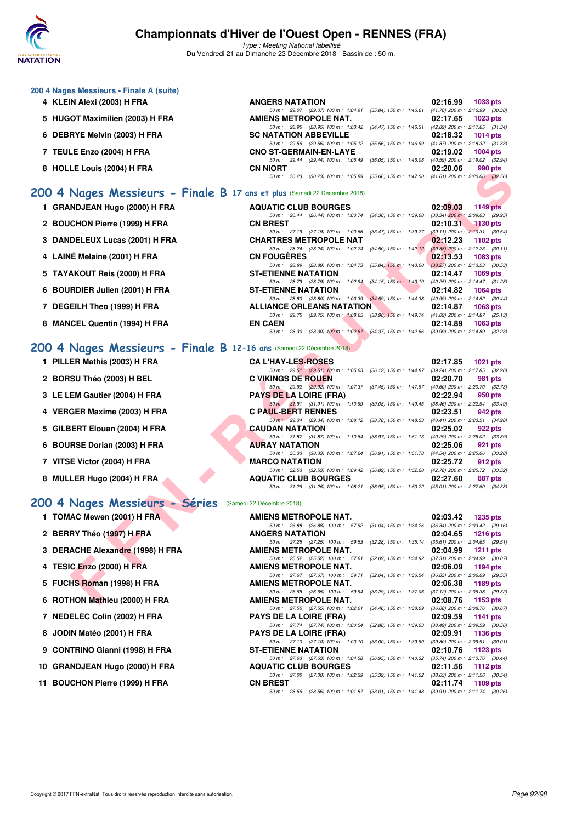

Type : Meeting National labellisé Du Vendredi 21 au Dimanche 23 Décembre 2018 - Bassin de : 50 m.

| 200 4 Nages Messieurs - Finale A (suite)                                  |                                                                                                         |                                                             |
|---------------------------------------------------------------------------|---------------------------------------------------------------------------------------------------------|-------------------------------------------------------------|
| 4 KLEIN Alexi (2003) H FRA                                                | <b>ANGERS NATATION</b>                                                                                  | 02:16.99<br>1033 pts                                        |
| 5 HUGOT Maximilien (2003) H FRA                                           | 50 m: 29.07 (29.07) 100 m: 1:04.91 (35.84) 150 m: 1:46.61<br>AMIENS METROPOLE NAT.                      | (41.70) 200 m : 2:16.99 (30.38<br>02:17.65<br>1023 pts      |
|                                                                           | 50 m: 28.95 (28.95) 100 m: 1:03.42 (34.47) 150 m: 1:46.31                                               | (42.89) 200 m : 2:17.65 (31.34                              |
| 6 DEBRYE Melvin (2003) H FRA                                              | <b>SC NATATION ABBEVILLE</b>                                                                            | 02:18.32<br>1014 $pts$                                      |
| 7 TEULE Enzo (2004) H FRA                                                 | 50 m: 29.56 (29.56) 100 m: 1:05.12 (35.56) 150 m: 1:46.99<br><b>CNO ST-GERMAIN-EN-LAYE</b>              | $(41.87)$ 200 m : 2:18.32 $(31.33)$<br>02:19.02<br>1004 pts |
| 8 HOLLE Louis (2004) H FRA                                                | $(36.05)$ 150 m : 1:46.08<br>(29.44) 100 m : 1:05.49<br>50 m: 29.44<br><b>CN NIORT</b>                  | (40.59) 200 m : 2:19.02 (32.94)<br>02:20.06<br>990 pts      |
|                                                                           | $(30.23)$ 100 m: 1:05.89 $(35.66)$ 150 m: 1:47.50 $(41.61)$ 200 m: 2:20.06 $(32.56)$<br>30.23<br>50 m : |                                                             |
| 200 4 Nages Messieurs - Finale B 17 ans et plus (Samedi 22 Décembre 2018) |                                                                                                         |                                                             |
| <b>GRANDJEAN Hugo (2000) H FRA</b>                                        | <b>AQUATIC CLUB BOURGES</b>                                                                             | 02:09.03<br><b>1149 pts</b>                                 |

|  |  |  | 1 GRANDJEAN Hugo (2000) H FRA |  |  |  |
|--|--|--|-------------------------------|--|--|--|
|--|--|--|-------------------------------|--|--|--|

- 50 m : 26.44 (26.44) 100 m : 1:00.74 (34.30) 150 m : 1:39.08 (38.34) 200 m : 2:09.03 (29.95) **2 BOUCHON Pierre (1999) H FRA CN BREST 02:10.31 1130 pts**
- **3 DANDELEUX Lucas (2001) H FRA**
- **4 LAINÉ Melaine (2001) H FRA**
- 5 TAYAKOUT Reis (2000) H FRA
- **6 BOURDIER Julien (2001) H FRA**
- **7 DEGEILH Theo (1999) H FRA**
- **8 MANCEL Quentin (1994) H FRA**

### **[200 4 Nages Messieurs - Finale B](http://www.ffnatation.fr/webffn/resultats.php?idact=nat&go=epr&idcpt=55947&idepr=91) 12**

- **1 PILLER Mathis (2003) H FRA**
- **2 BORSU Théo (2003) H BEL**
- **3 LE LEM Gautier (2004) H FRA**
- **4 VERGER Maxime (2003) H FRA**
- 5 GILBERT Elouan (2004) H FRA
- **6 BOURSE Dorian (2003) H FRA**
- **7 VITSE Victor (2004) H FRA**
- **8 MULLER Hugo (2004) H FRA**

#### **[200 4 Nages Messieurs - Séries](http://www.ffnatation.fr/webffn/resultats.php?idact=nat&go=epr&idcpt=55947&idepr=91)** (Samedi 22 Décembre 2018)

- **1 TOMAC Mewen (2001) H FRA**
- **2 BERRY Théo (1997) H FRA**
- **3 DERACHE Alexandre (1998) H FRA**
- **4 TESIC Enzo (2000) H FRA**
- **5 FUCHS Roman (1998) H FRA**
- **6 ROTHON Mathieu (2000) H FRA**
- 7 NEDELEC Colin (2002) H FRA
- **8 JODIN Matéo (2001) H FRA**
- **9 CONTRINO Gianni (1998) H FRA**
- **10 GRANDJEAN Hugo (2000) H FRA**
- 11 BOUCHON Pierre (1999) H FRA

| LE LUUIS (ZUU4) II FRA                                              | ו חשוויו ויו                                                                                                            | <u>vz.zv.vv</u><br>່ວວບ ນເວ |
|---------------------------------------------------------------------|-------------------------------------------------------------------------------------------------------------------------|-----------------------------|
|                                                                     | 50 m: 30.23 (30.23) 100 m: 1.05.89 (35.66) 150 m: 1.47.50 (41.61) 200 m: 2.20.06 (32.56)                                |                             |
| Nages Messieurs - Finale B 17 ans et plus (Samedi 22 Décembre 2018) |                                                                                                                         |                             |
|                                                                     |                                                                                                                         |                             |
| NDJEAN Hugo (2000) H FRA                                            | <b>AQUATIC CLUB BOURGES</b><br>50 m: 26.44 (26.44) 100 m: 1:00.74 (34.30) 150 m: 1:39.08 (38.34) 200 m: 2:09.03 (29.95) | 02:09.03<br>1149 pts        |
| <b>CHON Pierre (1999) H FRA</b>                                     | <b>CN BREST</b>                                                                                                         | 02:10.31<br>$1130$ pts      |
|                                                                     | 50 m: 27.19 (27.19) 100 m: 1:00.66 (33.47) 150 m: 1:39.77 (39.11) 200 m: 2:10.31 (30.54)                                |                             |
| DELEUX Lucas (2001) H FRA                                           | <b>CHARTRES METROPOLE NAT</b>                                                                                           | 02:12.23<br>1102 pts        |
|                                                                     | 50 m: 28.24 (28.24) 100 m: 1:02.74 (34.50) 150 m: 1:42.12 (39.38) 200 m: 2:12.23 (30.11)                                |                             |
| IÉ Melaine (2001) H FRA                                             | <b>CN FOUGERES</b>                                                                                                      | 02:13.53<br>1083 pts        |
| <b>AKOUT Reis (2000) H FRA</b>                                      | 50 m: 28.89 (28.89) 100 m: 1:04.73 (35.84) 150 m: 1:43.00 (38.27) 200 m: 2:13.53 (30.53)<br><b>ST-ETIENNE NATATION</b>  | 02:14.47                    |
|                                                                     | 50 m: 28.79 (28.79) 100 m: 1:02.94 (34.15) 150 m: 1:43.19 (40.25) 200 m: 2:14.47 (31.28)                                | 1069 pts                    |
| RDIER Julien (2001) H FRA                                           | <b>ST-ETIENNE NATATION</b>                                                                                              | 02:14.82<br>1064 pts        |
|                                                                     | 50 m: 28.80 (28.80) 100 m: 1:03.39 (34.59) 150 m: 1:44.38 (40.99) 200 m: 2:14.82 (30.44)                                |                             |
| EILH Theo (1999) H FRA                                              | <b>ALLIANCE ORLEANS NATATION</b>                                                                                        | 02:14.87<br>1063 pts        |
|                                                                     | 50 m: 29.75 (29.75) 100 m: 1:08.65 (38.90) 150 m: 1:49.74 (41.09) 200 m: 2:14.87 (25.13)                                |                             |
| CEL Quentin (1994) H FRA                                            | <b>EN CAEN</b>                                                                                                          | 02:14.89<br>$1063$ pts      |
|                                                                     | 50 m: 28.30 (28.30) 100 m: 1:02.67 (34.37) 150 m: 1:42.66 (39.99) 200 m: 2:14.89 (32.23)                                |                             |
| Nages Messieurs - Finale B 12-16 ans (Samedi 22 Décembre 2018)      |                                                                                                                         |                             |
|                                                                     |                                                                                                                         |                             |
| ER Mathis (2003) H FRA                                              | <b>CA L'HAY-LES-ROSES</b>                                                                                               | 02:17.85<br>1021 $pts$      |
|                                                                     | 50 m: 29.51 (29.51) 100 m: 1:05.63 (36.12) 150 m: 1:44.87 (39.24) 200 m: 2:17.85 (32.98)                                |                             |
| SU Théo (2003) H BEL                                                | <b>C VIKINGS DE ROUEN</b><br>50 m: 29.92 (29.92) 100 m: 1:07.37 (37.45) 150 m: 1:47.97 (40.60) 200 m: 2:20.70 (32.73)   | 02:20.70<br>981 pts         |
| EM Gautier (2004) H FRA                                             | <b>PAYS DE LA LOIRE (FRA)</b>                                                                                           | 02:22.94<br>950 pts         |
|                                                                     | 50 m: 31.91 (31.91) 100 m: 1:10.99 (39.08) 150 m: 1:49.45 (38.46) 200 m: 2:22.94 (33.49)                                |                             |
| GER Maxime (2003) H FRA                                             | <b>C PAUL-BERT RENNES</b>                                                                                               | 02:23.51<br>942 pts         |
|                                                                     | 50 m : 29.34 (29.34) 100 m : 1:08.12 (38.78) 150 m : 1:48.53 (40.41) 200 m : 2:23.51 (34.98)                            |                             |
| ERT Elouan (2004) H FRA                                             | <b>CAUDAN NATATION</b>                                                                                                  | 02:25.02<br>922 pts         |
|                                                                     | 50 m: 31.87 (31.87) 100 m: 1:10.84 (38.97) 150 m: 1:51.13 (40.29) 200 m: 2:25.02 (33.89)                                |                             |
| RSE Dorian (2003) H FRA                                             | <b>AURAY NATATION</b><br>50 m: 30.33 (30.33) 100 m: 1:07.24 (36.91) 150 m: 1:51.78 (44.54) 200 m: 2:25.06 (33.28)       | 02:25.06<br>921 pts         |
| E Victor (2004) H FRA                                               | <b>MARCQ NATATION</b>                                                                                                   | 02:25.72<br>912 pts         |
|                                                                     | 50 m: 32.53 (32.53) 100 m: 1:09.42 (36.89) 150 m: 1:52.20 (42.78) 200 m: 2:25.72 (33.52)                                |                             |
| LER Hugo (2004) H FRA                                               | <b>AQUATIC CLUB BOURGES</b>                                                                                             | 02:27.60<br>887 pts         |
|                                                                     | 50 m: 31.26 (31.26) 100 m: 1:08.21 (36.95) 150 m: 1:53.22 (45.01) 200 m: 2:27.60 (34.38)                                |                             |
|                                                                     |                                                                                                                         |                             |
| Nages Messieurs - Séries                                            | (Samedi 22 Décembre 2018)                                                                                               |                             |
| AC Mewen (2001) H FRA                                               | AMIENS METROPOLE NAT.                                                                                                   | 02:03.42<br>1235 pts        |
|                                                                     | 50 m: 26.88 (26.88) 100 m: 57.92 (31.04) 150 m: 1:34.26 (36.34) 200 m: 2:03.42 (29.16)                                  |                             |
| RY Théo (1997) H FRA                                                | <b>ANGERS NATATION</b>                                                                                                  | 02:04.65<br>1216 pts        |
|                                                                     | 50 m: 27.25 (27.25) 100 m: 59.53 (32.28) 150 m: 1:35.14 (35.61) 200 m: 2:04.65 (29.51)                                  |                             |
| ACHE Alexandre (1998) H FRA                                         | AMIENS METROPOLE NAT.<br>50 m: 25.52 (25.52) 100 m: 57.61 (32.09) 150 m: 1:34.92 (37.31) 200 m: 2:04.99 (30.07)         | 02:04.99<br><b>1211 pts</b> |
| C Enzo (2000) H FRA                                                 | <b>AMIENS METROPOLE NAT.</b>                                                                                            | 02:06.09<br>1194 pts        |
|                                                                     | 50 m: 27.67 (27.67) 100 m: 59.71 (32.04) 150 m: 1:36.54 (36.83) 200 m: 2:06.09 (29.55)                                  |                             |
| HS Roman (1998) H FRA                                               | AMIENS METROPOLE NAT.                                                                                                   | 02:06.38<br>1189 pts        |
|                                                                     | 50 m: 26.65 (26.65) 100 m: 59.94 (33.29) 150 m: 1:37.06 (37.12) 200 m: 2:06.38 (29.32)                                  |                             |
| HON Mathieu (2000) H FRA                                            | <b>AMIENS METROPOLE NAT.</b>                                                                                            | 02:08.76<br>1153 $pts$      |

| <b>PAYS DE LA LOIRE (FRA)</b> |                                                              |  |  | $02:22.94$ 950 pts                                                                           |  |
|-------------------------------|--------------------------------------------------------------|--|--|----------------------------------------------------------------------------------------------|--|
|                               |                                                              |  |  | 50 m: 31.91 (31.91) 100 m: 1:10.99 (39.08) 150 m: 1:49.45 (38.46) 200 m: 2:22.94 (33.49)     |  |
| <b>C PAUL-BERT RENNES</b>     |                                                              |  |  | $02:23.51$ 942 pts                                                                           |  |
|                               | 50 m : 29.34 (29.34) 100 m : 1:08.12 (38.78) 150 m : 1:48.53 |  |  | (40.41) 200 m: 2:23.51 (34.98)                                                               |  |
| <b>CAUDAN NATATION</b>        |                                                              |  |  | 02:25.02 922 pts                                                                             |  |
|                               |                                                              |  |  | 50 m: 31.87 (31.87) 100 m: 1:10.84 (38.97) 150 m: 1:51.13 (40.29) 200 m: 2:25.02 (33.89)     |  |
| <b>AURAY NATATION</b>         |                                                              |  |  | $02:25.06$ 921 pts                                                                           |  |
|                               |                                                              |  |  | 50 m: 30.33 (30.33) 100 m: 1:07.24 (36.91) 150 m: 1:51.78 (44.54) 200 m: 2:25.06 (33.28)     |  |
| <b>MARCQ NATATION</b>         |                                                              |  |  | $02:25.72$ 912 pts                                                                           |  |
|                               |                                                              |  |  | 50 m: 32.53 (32.53) 100 m: 1:09.42 (36.89) 150 m: 1:52.20 (42.78) 200 m: 2:25.72 (33.52)     |  |
| <b>AQUATIC CLUB BOURGES</b>   |                                                              |  |  | 02:27.60 887 pts                                                                             |  |
|                               |                                                              |  |  | 50 m : 31.26 (31.26) 100 m : 1:08.21 (36.95) 150 m : 1:53.22 (45.01) 200 m : 2:27.60 (34.38) |  |

| AMIENS METROPOLE NAT.                                                                    | 02:03.42 1235 pts                   |
|------------------------------------------------------------------------------------------|-------------------------------------|
| 50 m: 26.88 (26.88) 100 m: 57.92 (31.04) 150 m: 1:34.26                                  | (36.34) 200 m : 2:03.42 (29.16)     |
| <b>ANGERS NATATION</b>                                                                   | 02:04.65 1216 pts                   |
| 50 m: 27.25 (27.25) 100 m: 59.53 (32.28) 150 m: 1:35.14                                  | $(35.61)$ 200 m : 2:04.65 (29.51)   |
| AMIENS METROPOLE NAT.                                                                    | 02:04.99 1211 pts                   |
| 50 m : 25.52 (25.52) 100 m : 57.61<br>$(32.09)$ 150 m : 1:34.92                          | (37.31) 200 m : 2:04.99 (30.07)     |
| <b>AMIENS METROPOLE NAT.</b>                                                             | 02:06.09 1194 pts                   |
| 50 m : 27.67 (27.67) 100 m : 59.71<br>$(32.04)$ 150 m : 1:36.54                          | $(36.83)$ 200 m : 2:06.09 $(29.55)$ |
| <b>AMIENS METROPOLE NAT.</b>                                                             | 02:06.38 1189 pts                   |
| 50 m : 26.65 (26.65) 100 m : 59.94<br>$(33.29)$ 150 m : 1:37.06                          | (37.12) 200 m : 2:06.38 (29.32)     |
| <b>AMIENS METROPOLE NAT.</b>                                                             | $02:08.76$ 1153 pts                 |
| 50 m : 27.55 (27.55) 100 m : 1:02.01<br>$(34.46)$ 150 m : 1:38.09                        | (36.08) 200 m : 2:08.76 (30.67)     |
| <b>PAYS DE LA LOIRE (FRA)</b>                                                            | 02:09.59 1141 pts                   |
| 50 m : 27.74 (27.74) 100 m : 1:00.54<br>$(32.80)$ 150 m : 1:39.03                        | $(38.49)$ 200 m : 2:09.59 $(30.56)$ |
| <b>PAYS DE LA LOIRE (FRA)</b>                                                            | 02:09.91 1136 pts                   |
| 50 m: 27.10 (27.10) 100 m: 1:00.10 (33.00) 150 m: 1:39.90                                | (39.80) 200 m : 2:09.91 (30.01)     |
| <b>ST-ETIENNE NATATION</b>                                                               | 02:10.76 1123 pts                   |
| 50 m: 27.63 (27.63) 100 m: 1:04.58 (36.95) 150 m: 1:40.32                                | (35.74) 200 m : 2:10.76 (30.44)     |
| <b>AQUATIC CLUB BOURGES</b>                                                              | $02:11.56$ 1112 pts                 |
| 50 m: 27.00 (27.00) 100 m: 1:02.39 (35.39) 150 m: 1:41.02 (38.63) 200 m: 2:11.56 (30.54, |                                     |
| <b>CN BREST</b>                                                                          | 02:11.74 1109 pts                   |
| 50 m: 28.56 (28.56) 100 m: 1:01.57 (33.01) 150 m: 1:41.48 (39.91) 200 m: 2:11.74 (30.26) |                                     |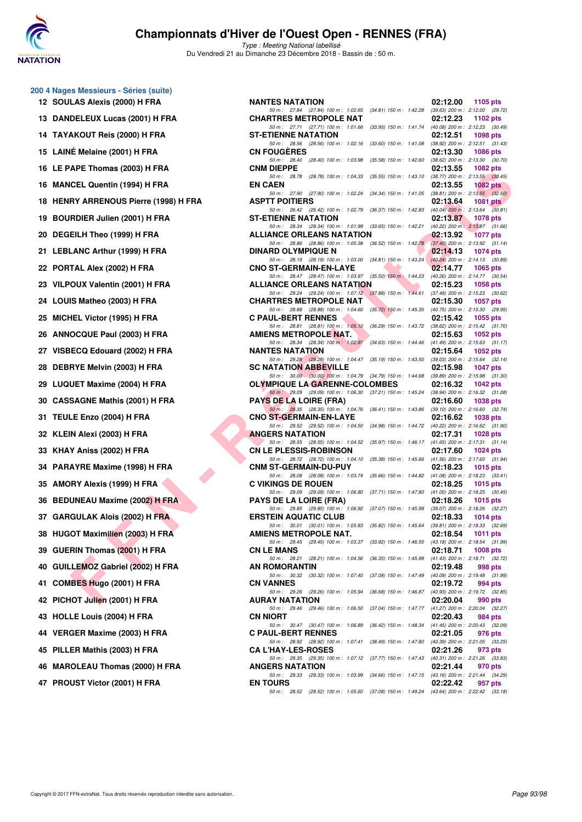

|     | 200 4 Nages Messieurs - Séries (suite)<br>12 SOULAS Alexis (2000) H FRA |
|-----|-------------------------------------------------------------------------|
|     | 13 DANDELEUX Lucas (2001) H FRA                                         |
|     | 14 TAYAKOUT Reis (2000) H FRA                                           |
|     | 15 LAINÉ Melaine (2001) H FRA                                           |
|     | 16 LE PAPE Thomas (2003) H FRA                                          |
|     | 16 MANCEL Quentin (1994) H FRA                                          |
|     | 18 HENRY ARRENOUS Pierre (1998) H FRA                                   |
| 19  | <b>BOURDIER Julien (2001) H FRA</b>                                     |
| 20  | DEGEILH Theo (1999) H FRA                                               |
| 21  | <b>LEBLANC Arthur (1999) H FRA</b>                                      |
|     | 22 PORTAL Alex (2002) H FRA                                             |
|     | 23 VILPOUX Valentin (2001) H FRA                                        |
|     | 24 LOUIS Matheo (2003) H FRA                                            |
|     | 25 MICHEL Victor (1995) H FRA                                           |
| 26  | <b>ANNOCQUE Paul (2003) H FRA</b>                                       |
|     | 27 VISBECQ Edouard (2002) H FRA                                         |
|     | 28 DEBRYE Melvin (2003) H FRA                                           |
|     | 29 LUQUET Maxime (2004) H FRA                                           |
|     | 30 CASSAGNE Mathis (2001) H FRA                                         |
| 31. | TEULE Enzo (2004) H FRA                                                 |
|     | 32 KLEIN Alexi (2003) H FRA                                             |
|     | 33 KHAY Aniss (2002) H FRA                                              |
|     | 34 PARAYRE Maxime (1998) H FRA                                          |
|     | 35 AMORY Alexis (1999) H FRA                                            |
|     | 36 BEDUNEAU Maxime (2002) H FRA                                         |
|     | 37 GARGULAK Alois (2002) H FRA                                          |
| 38  | <b>HUGOT Maximilien (2003) H FRA</b>                                    |
| 39  | <b>GUERIN Thomas (2001) H FRA</b>                                       |
| 40  | GUILLEMOZ Gabriel (2002) H FRA                                          |
| 41  | COMBES Hugo (2001) H FRA                                                |
|     | 42 PICHOT Julien (2001) H FRA                                           |
| 43  | <b>HOLLE Louis (2004) H FRA</b>                                         |
| 44  | VERGER Maxime (2003) H FRA                                              |
| 45  | PILLER Mathis (2003) H FRA                                              |
|     | 46 MAROLEAU Thomas (2000) H FRA                                         |
|     | 47 PROUST Victor (2001) H FRA                                           |

| 0 4 Nages Messieurs - Series (Suite)  |                                                                                                                                                                                                                |                                                 |                 |
|---------------------------------------|----------------------------------------------------------------------------------------------------------------------------------------------------------------------------------------------------------------|-------------------------------------------------|-----------------|
| 12 SOULAS Alexis (2000) H FRA         | <b>NANTES NATATION</b>                                                                                                                                                                                         | 02:12.00                                        | 1105 pts        |
| 13 DANDELEUX Lucas (2001) H FRA       | 50 m: 27.84 (27.84) 100 m: 1:02.65 (34.81) 150 m: 1:42.28 (39.63) 200 m: 2:12.00 (29.72)<br><b>CHARTRES METROPOLE NAT</b>                                                                                      | 02:12.23                                        | 1102 pts        |
| 14 TAYAKOUT Reis (2000) H FRA         | 50 m: 27.71 (27.71) 100 m: 1:01.66 (33.95) 150 m: 1:41.74 (40.08) 200 m: 2:12.23 (30.49)<br><b>ST-ETIENNE NATATION</b>                                                                                         | 02:12.51                                        | 1098 pts        |
| 15 LAINÉ Melaine (2001) H FRA         | 50 m: 28.56 (28.56) 100 m: 1:02.16 (33.60) 150 m: 1:41.08 (38.92) 200 m: 2:12.51 (31.43)<br><b>CN FOUGERES</b>                                                                                                 | 02:13.30                                        | <b>1086 pts</b> |
|                                       | 50 m: 28.40 (28.40) 100 m: 1:03.98<br>(35.58) 150 m : 1:42.60 (38.62) 200 m : 2:13.30 (30.70)                                                                                                                  |                                                 |                 |
| 16 LE PAPE Thomas (2003) H FRA        | <b>CNM DIEPPE</b><br>50 m: 28.78 (28.78) 100 m: 1:04.33 (35.55) 150 m: 1:43.10 (38.77) 200 m: 2:13.55 (30.45)                                                                                                  | 02:13.55                                        | 1082 pts        |
| 16 MANCEL Quentin (1994) H FRA        | <b>EN CAEN</b><br>50 m: 27.90 (27.90) 100 m: 1:02.24 (34.34) 150 m: 1:41.05 (38.81) 200 m: 2:13.55 (32.50)                                                                                                     | 02:13.55                                        | 1082 pts        |
| 18 HENRY ARRENOUS Pierre (1998) H FRA | <b>ASPTT POITIERS</b><br>50 m: 26.42 (26.42) 100 m: 1:02.79 (36.37) 150 m: 1:42.83 (40.04) 200 m: 2:13.64 (30.81)                                                                                              | 02:13.64                                        | $1081$ pts      |
| 19 BOURDIER Julien (2001) H FRA       | <b>ST-ETIENNE NATATION</b><br>50 m: 28.34 (28.34) 100 m: 1:01.99 (33.65) 150 m: 1:42.21 (40.22) 200 m: 2:13.87 (31.66)                                                                                         | 02:13.87 1078 pts                               |                 |
| 20 DEGEILH Theo (1999) H FRA          | <b>ALLIANCE ORLEANS NATATION</b>                                                                                                                                                                               | 02:13.92                                        | <b>1077 pts</b> |
| 21   LEBLANC Arthur (1999) H FRA      | 50 m: 28.86 (28.86) 100 m: 1:05.38 (36.52) 150 m: 1:42.78 (37.40) 200 m: 2:13.92 (31.14)<br><b>DINARD OLYMPIQUE N</b>                                                                                          | 02:14.13                                        | 1074 pts        |
| 22 PORTAL Alex (2002) H FRA           | 50 m: 28.19 (28.19) 100 m: 1:03.00 (34.81) 150 m: 1:43.24 (40.24) 200 m: 2:14.13 (30.89)<br><b>START CONTINUES.</b><br><b>CNO ST-GERMAIN-EN-LAYE</b>                                                           | 02:14.77                                        | 1065 $pts$      |
| 23 VILPOUX Valentin (2001) H FRA      | 50 m: 28.47 (28.47) 100 m: 1:03.97 (35.50) 150 m: 1:44.23 (40.26) 200 m: 2:14.77 (30.54)<br><b>ALLIANCE ORLEANS NATATION</b>                                                                                   | 02:15.23                                        | 1058 pts        |
| 24 LOUIS Matheo (2003) H FRA          | 50 m: 29.24 (29.24) 100 m: 1:07.12 (37.88) 150 m: 1:44.61 (37.49) 200 m: 2:15.23 (30.62)<br><b>CHARTRES METROPOLE NAT</b>                                                                                      | 02:15.30                                        | 1057 pts        |
| 25 MICHEL Victor (1995) H FRA         | 50 m: 28.88 (28.88) 100 m: 1:04.60 (35.72) 150 m: 1:45.35 (40.75) 200 m: 2:15.30 (29.95)<br><b>C PAUL-BERT RENNES</b>                                                                                          | 02:15.42                                        | 1055 pts        |
| 26 ANNOCQUE Paul (2003) H FRA         | 50 m: 28.81 (28.81) 100 m: 1:05.10 (36.29) 150 m: 1:43.72 (38.62) 200 m: 2:15.42 (31.70)<br><b>AMIENS METROPOLE NAT.</b>                                                                                       | 02:15.63                                        |                 |
|                                       | 50 m: 28.34 (28.34) 100 m: 1.02.97 (34.63) 150 m: 1.44.46 (41.49) 200 m: 2.15.63 (31.17)                                                                                                                       |                                                 | 1052 pts        |
| 27 VISBECQ Edouard (2002) H FRA       | <b>NANTES NATATION</b><br>50 m: 29.28 (29.28) 100 m: 1:04.47 (35.19) 150 m: 1:43.50 (39.03) 200 m: 2:15.64 (32.14)                                                                                             | 02:15.64                                        | 1052 pts        |
| 28 DEBRYE Melvin (2003) H FRA         | <b>SC NATATION ABBEVILLE</b><br>50 m: 30.00 (30.00) 100 m: 1:04.79 (34.79) 150 m: 1:44.68 (39.89) 200 m: 2:15.98 (31.30)                                                                                       | 02:15.98                                        | 1047 pts        |
| 29 LUQUET Maxime (2004) H FRA         | <b>OLYMPIQUE LA GARENNE-COLOMBES</b><br>50 m: 29.09 (29.09) 100 m: 1:06.30 (37.21) 150 m: 1:45.24 (38.94) 200 m: 2:16.32 (31.08)                                                                               | 02:16.32                                        | 1042 pts        |
| 30   CASSAGNE Mathis (2001) H FRA     | <b>PAYS DE LA LOIRE (FRA)</b>                                                                                                                                                                                  | 02:16.60                                        | 1038 pts        |
| <b>31 TEULE Enzo (2004) H FRA</b>     | 50 m: 28.35 (28.35) 100 m: 1:04.76 (36.41) 150 m: 1:43.86 (39.10) 200 m: 2:16.60 (32.74)<br><b>CNO ST-GERMAIN-EN-LAYE</b>                                                                                      | 02:16.62                                        | 1038 pts        |
| 32 KLEIN Alexi (2003) H FRA           | 50 m: 29.52 (29.52) 100 m: 1:04.50 (34.98) 150 m: 1:44.72 (40.22) 200 m: 2:16.62 (31.90)<br><b>ANGERS NATATION</b><br>50 m: 28.55 (28.55) 100 m: 1:04.52 (35.97) 150 m: 1:46.17 (41.65) 200 m: 2:17.31 (31.14) | 02:17.31                                        | 1028 pts        |
| 33   KHAY Aniss (2002) H FRA          | <b>CN LE PLESSIS-ROBINSON</b>                                                                                                                                                                                  | 02:17.60                                        | 1024 pts        |
| 34 PARAYRE Maxime (1998) H FRA        | 50 m: 28.72 (28.72) 100 m: 1:04.10 (35.38) 150 m: 1:45.66 (41.56) 200 m: 2:17.60 (31.94)<br><b>CNM ST-GERMAIN-DU-PUY</b>                                                                                       | 02:18.23                                        | 1015 $pts$      |
| 35 AMORY Alexis (1999) H FRA ·        | 50 m: 28.08 (28.08) 100 m: 1:03.74 (35.66) 150 m: 1:44.82 (41.08) 200 m: 2:18.23 (33.41)<br><b>C VIKINGS DE ROUEN</b>                                                                                          | 02:18.25                                        | 1015 pts        |
| 36 BEDUNEAU Maxime (2002) H FRA       | 50 m: 29.09 (29.09) 100 m: 1:06.80 (37.71) 150 m: 1:47.80 (41.00) 200 m: 2:18.25 (30.45)<br><b>PAYS DE LA LOIRE (FRA)</b>                                                                                      | 02:18.26                                        | 1015 pts        |
| 37 GARGULAK Alois (2002) H FRA        | 50 m: 29.85 (29.85) 100 m: 1:06.92 (37.07) 150 m: 1:45.99 (39.07) 200 m: 2:18.26 (32.27)<br><b>ERSTEIN AQUATIC CLUB</b>                                                                                        | 02:18.33                                        | 1014 pts        |
|                                       | 50 m: 30.01 (30.01) 100 m: 1:05.83 (35.82) 150 m: 1:45.64 (39.81) 200 m: 2:18.33 (32.69)                                                                                                                       |                                                 |                 |
| 38 HUGOT Maximilien (2003) H FRA      | AMIENS METROPOLE NAT.<br>50 m: 29.45 (29.45) 100 m: 1:03.37 (33.92) 150 m: 1:46.55                                                                                                                             | 02:18.54<br>$(43.18)$ 200 m : 2:18.54 $(31.99)$ | <b>1011 pts</b> |
| 39 GUERIN Thomas (2001) H FRA         | <b>CN LE MANS</b><br>50 m: 28.21 (28.21) 100 m: 1:04.56<br>$(36.35)$ 150 m : 1:45.99                                                                                                                           | 02:18.71<br>(41.43) 200 m : 2:18.71 (32.72)     | <b>1008 pts</b> |
| 40 GUILLEMOZ Gabriel (2002) H FRA     | AN ROMORANTIN<br>50 m: 30.32 (30.32) 100 m: 1:07.40<br>$(37.08)$ 150 m : 1:47.49                                                                                                                               | 02:19.48<br>(40.09) 200 m : 2:19.48 (31.99)     | 998 pts         |
| 41 COMBES Hugo (2001) H FRA           | <b>CN VANNES</b><br>50 m : 29.26 (29.26) 100 m : 1:05.94<br>(36.68) 150 m : 1:46.87                                                                                                                            | 02:19.72<br>(40.93) 200 m : 2:19.72 (32.85)     | 994 pts         |
| 42 PICHOT Julien (2001) H FRA         | AURAY NATATION<br>50 m: 29.46 (29.46) 100 m: 1:06.50<br>$(37.04)$ 150 m : 1:47.77                                                                                                                              | 02:20.04<br>$(41.27)$ 200 m : 2:20.04 $(32.27)$ | 990 pts         |
| 43 HOLLE Louis (2004) H FRA           | <b>CN NIORT</b>                                                                                                                                                                                                | 02:20.43                                        | 984 pts         |
| 44 VERGER Maxime (2003) H FRA         | 50 m: 30.47 (30.47) 100 m: 1:06.89<br>(36.42) 150 m: 1:48.34 (41.45) 200 m: 2:20.43 (32.09)<br><b>C PAUL-BERT RENNES</b>                                                                                       | 02:21.05                                        | 976 pts         |
| 45 PILLER Mathis (2003) H FRA         | 50 m: 28.92 (28.92) 100 m: 1:07.41<br>$(38.49)$ 150 m : 1:47.80<br><b>CA L'HAY-LES-ROSES</b>                                                                                                                   | (40.39) 200 m : 2:21.05 (33.25)<br>02:21.26     | 973 pts         |
| 46 MAROLEAU Thomas (2000) H FRA       | 50 m: 29.35 (29.35) 100 m: 1:07.12<br>(37.77) 150 m : 1:47.43<br><b>ANGERS NATATION</b>                                                                                                                        | (40.31) 200 m : 2:21.26 (33.83)<br>02:21.44     | 970 pts         |
| 47 PROUST Victor (2001) H FRA         | 50 m: 29.33 (29.33) 100 m: 1:03.99<br>(34.66) 150 m : 1:47.15 (43.16) 200 m : 2:21.44 (34.29)<br><b>EN TOURS</b>                                                                                               | 02:22.42                                        | 957 pts         |
|                                       | 50 m: 28.52 (28.52) 100 m: 1:05.60 (37.08) 150 m: 1:49.24 (43.64) 200 m: 2:22.42 (33.18)                                                                                                                       |                                                 |                 |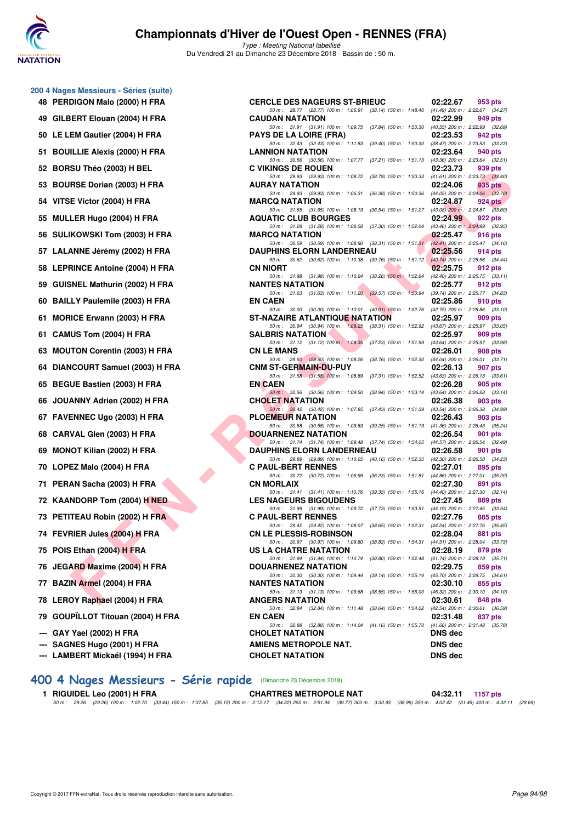

Type : Meeting National labellisé Du Vendredi 21 au Dimanche 23 Décembre 2018 - Bassin de : 50 m.

| 48  | 200 4 Nages Messieurs - Séries (suite)<br>PERDIGON Malo (2000) H FRA |
|-----|----------------------------------------------------------------------|
| 49  | GILBERT Elouan (2004) H FRA                                          |
| 50  | LE LEM Gautier (2004) H FRA                                          |
| 51  | <b>BOUILLIE Alexis (2000) H FRA</b>                                  |
| 52  | BORSU Théo (2003) H BEL                                              |
| 53  | <b>BOURSE Dorian (2003) H FRA</b>                                    |
| 54  | VITSE Victor (2004) H FRA                                            |
| 55  | MULLER Hugo (2004) H FRA                                             |
| 56  | SULIKOWSKI Tom (2003) H FRA                                          |
| 57  | LALANNE Jérémy (2002) H FRA                                          |
| 58  | <b>LEPRINCE Antoine (2004) H FRA</b>                                 |
| 59  | <b>GUISNEL Mathurin (2002) H FRA</b>                                 |
| 60  | <b>BAILLY Paulemile (2003) H FRA</b>                                 |
| 61  | <b>MORICE Erwann (2003) H FRA</b>                                    |
| 61  | CAMUS Tom (2004) H FRA                                               |
| 63  | <b>MOUTON Corentin (2003) H FRA</b>                                  |
| 64  | DIANCOURT Samuel (2003) H FRA                                        |
| 65  | <b>BEGUE Bastien (2003) H FRA</b>                                    |
| 66  | JOUANNY Adrien (2002) H FRA                                          |
| 67  | FAVENNEC Ugo (2003) H FRA                                            |
| 68  | CARVAL Glen (2003) H FRA                                             |
| 69  | <b>MONOT Kilian (2002) H FRA</b>                                     |
| 70  | LOPEZ Malo (2004) H FRA                                              |
| 71  | PERAN Sacha (2003) H FRA                                             |
|     | 72 KAANDORP Tom (2004) H NED                                         |
| 73  | PETITEAU Robin (2002) H FRA                                          |
|     | 74 FEVRIER Jules (2004) H FRA                                        |
| 75  | POIS Ethan (2004) H FRA                                              |
|     | 76 JEGARD Maxime (2004) H FRA                                        |
|     | 77 BAZIN Armel (2004) H FRA                                          |
| 78  | LEROY Raphael (2004) H FRA                                           |
|     | 79 GOUPÏLLOT Titouan (2004) H FRA                                    |
|     | --- GAY Yael (2002) H FRA                                            |
| --- | --- SAGNES Hugo (2001) H FRA<br>LAMBERT Mickaël (1994) H FRA         |

| 48 PERDIGON Malo (2000) H FRA                             | <b>CERCLE DES NAGEURS ST-BRIEUC</b>                                                                                          | 02:22.67<br>953 pts                                        |
|-----------------------------------------------------------|------------------------------------------------------------------------------------------------------------------------------|------------------------------------------------------------|
| 49 GILBERT Elouan (2004) H FRA                            | 50 m: 28.77 (28.77) 100 m: 1:06.91 (38.14) 150 m: 1:48.40 (41.49) 200 m: 2:22.67 (34.27)<br><b>CAUDAN NATATION</b>           | 02:22.99<br>949 pts                                        |
| 50 LE LEM Gautier (2004) H FRA                            | 50 m: 31.91 (31.91) 100 m: 1:09.75 (37.84) 150 m: 1:50.30 (40.55) 200 m: 2:22.99 (32.69)<br><b>PAYS DE LA LOIRE (FRA)</b>    | 02:23.53<br>942 pts                                        |
| 51 BOUILLIE Alexis (2000) H FRA                           | 50 m: 32.43 (32.43) 100 m: 1:11.83 (39.40) 150 m: 1:50.30 (38.47) 200 m: 2:23.53 (33.23)<br><b>LANNION NATATION</b>          | 02:23.64<br>940 pts                                        |
|                                                           | 50 m: 30.56 (30.56) 100 m: 1:07.77 (37.21) 150 m: 1:51.13 (43.36) 200 m: 2:23.64 (32.51)                                     |                                                            |
| 52 BORSU Théo (2003) H BEL                                | <b>C VIKINGS DE ROUEN</b><br>50 m: 29.93 (29.93) 100 m: 1:08.72 (38.79) 150 m: 1:50.33 (41.61) 200 m: 2:23.73 (33.40)        | 02:23.73<br>939 pts                                        |
| 53 BOURSE Dorian (2003) H FRA                             | <b>AURAY NATATION</b><br>50 m: 29.93 (29.93) 100 m: 1:06.31 (36.38) 150 m: 1:50.36 (44.05) 200 m: 2:24.06 (33.70)            | 02:24.06<br>935 pts                                        |
| 54 VITSE Victor (2004) H FRA                              | <b>MARCQ NATATION</b>                                                                                                        | 02:24.87<br>$924$ pts                                      |
| 55 MULLER Hugo (2004) H FRA                               | 50 m: 31.65 (31.65) 100 m: 1:08.19 (36.54) 150 m: 1:51.27 (43.08) 200 m: 2:24.87 (33.60)<br><b>AQUATIC CLUB BOURGES</b>      | 02:24.99<br>922 pts                                        |
| 56 SULIKOWSKI Tom (2003) H FRA                            | 50 m: 31.28 (31.28) 100 m: 1:08.58 (37.30) 150 m: 1:52.04 (43.46) 200 m: 2:24.99 (32.95)<br><b>MARCQ NATATION</b>            | 02:25.47<br>916 pts                                        |
| 57 LALANNE Jérémy (2002) H FRA                            | 50 m: 30.59 (30.59) 100 m: 1:08.90 (38.31) 150 m: 1:51.31 (42.41) 200 m: 2:25.47 (34.16)<br><b>DAUPHINS ELORN LANDERNEAU</b> | 02:25.56<br>914 pts                                        |
| 58 LEPRINCE Antoine (2004) H FRA                          | 50 m: 30.62 (30.62) 100 m: 1:10.38 (39.76) 150 m: 1:51.12 (40.74) 200 m: 2:25.56 (34.44)<br><b>CN NIORT</b>                  | 02:25.75<br>912 pts                                        |
|                                                           | 50 m: 31.98 (31.98) 100 m: 1:10.24 (38.26) 150 m: 1:52.64 (42.40) 200 m: 2:25.75 (33.11)                                     |                                                            |
| 59 GUISNEL Mathurin (2002) H FRA                          | <b>NANTES NATATION</b><br>50 m: 31.63 (31.63) 100 m: 1:11.20 (39.57) 150 m: 1:50.94 (39.74) 200 m: 2:25.77 (34.83)           | 02:25.77<br>912 pts                                        |
| 60 BAILLY Paulemile (2003) H FRA                          | <b>EN CAEN</b><br>50 m: 30.00 (30.00) 100 m: 1:10.01 (40.01) 150 m: 1:52.76 (42.75) 200 m: 2:25.86 (33.10)                   | 02:25.86<br>910 pts                                        |
| 61 MORICE Erwann (2003) H FRA                             | ST-NAZAIRE ATLANTIQUE NATATION                                                                                               | 02:25.97<br>909 pts                                        |
| 61 CAMUS Tom (2004) H FRA                                 | 50 m: 30.94 (30.94) 100 m: 1:09.25 (38.31) 150 m: 1:52.92 (43.67) 200 m: 2:25.97 (33.05)<br><b>SALBRIS NATATION</b>          | 02:25.97<br>909 pts                                        |
| 63 MOUTON Corentin (2003) H FRA                           | 50 m: 31.12 (31.12) 100 m: 1.08.35 (37.23) 150 m: 1.51.99 (43.64) 200 m: 2.25.97 (33.98)<br><b>CN LE MANS</b>                | 02:26.01<br>908 pts                                        |
|                                                           | 50 m: 29.50 (29.50) 100 m: 1:08.26 (38.76) 150 m: 1:52.30 (44.04) 200 m: 2:26.01 (33.71)                                     |                                                            |
| 64 DIANCOURT Samuel (2003) H FRA                          | <b>CNM ST-GERMAIN-DU-PUY</b><br>50 m: 31.58 (31.58) 100 m: 1:08.89 (37.31) 150 m: 1:52.52 (43.63) 200 m: 2:26.13 (33.61)     | 02:26.13<br>907 pts                                        |
| 65 BEGUE Bastien (2003) H FRA                             | <b>EN CAEN</b><br>50 m: 30.56 (30.56) 100 m: 1:09.50 (38.94) 150 m: 1:53.14 (43.64) 200 m: 2:26.28 (33.14)                   | 02:26.28<br>905 pts                                        |
| 66 JOUANNY Adrien (2002) H FRA                            | <b>CHOLET NATATION</b>                                                                                                       | 02:26.38<br>903 pts                                        |
| 67 FAVENNEC Ugo (2003) H FRA                              | 50 m: 30.42 (30.42) 100 m: 1:07.85 (37.43) 150 m: 1:51.39 (43.54) 200 m: 2:26.38 (34.99)<br>PLOEMEUR NATATION                | 02:26.43<br>903 pts                                        |
| 68 CARVAL Glen (2003) H FRA                               | 50 m: 30.58 (30.58) 100 m: 1:09.83 (39.25) 150 m: 1:51.19 (41.36) 200 m: 2:26.43 (35.24)<br><b>DOUARNENEZ NATATION</b>       | 02:26.54<br>901 pts                                        |
| 69 MONOT Kilian (2002) H FRA                              | 50 m: 31.74 (31.74) 100 m: 1:09.48 (37.74) 150 m: 1:54.05 (44.57) 200 m: 2:26.54 (32.49)<br><b>DAUPHINS ELORN LANDERNEAU</b> | 02:26.58<br>901 pts                                        |
| 70 LOPEZ Malo (2004) H FRA                                | 50 m: 29.89 (29.89) 100 m: 1:10.05 (40.16) 150 m: 1:52.35 (42.30) 200 m: 2:26.58 (34.23)<br><b>C PAUL-BERT RENNES</b>        | 02:27.01<br>895 pts                                        |
|                                                           | 50 m: 30.72 (30.72) 100 m: 1:06.95 (36.23) 150 m: 1:51.81 (44.86) 200 m: 2:27.01 (35.20)                                     |                                                            |
| 71 PERAN Sacha (2003) H FRA                               | <b>CN MORLAIX</b><br>50 m: 31.41 (31.41) 100 m: 1:10.76 (39.35) 150 m: 1:55.16 (44.40) 200 m: 2:27.30 (32.14)                | 02:27.30<br>891 pts                                        |
| 72 KAANDORP Tom (2004) H NED                              | <b>LES NAGEURS BIGOUDENS</b><br>50 m: 31.99 (31.99) 100 m: 1:09.72 (37.73) 150 m: 1:53.91 (44.19) 200 m: 2:27.45 (33.54)     | 02:27.45<br>889 pts                                        |
| 73 PETITEAU Robin (2002) H FRA                            | <b>C PAUL-BERT RENNES</b>                                                                                                    | 02:27.76<br>885 pts                                        |
| 74 FEVRIER Jules (2004) H FRA                             | 50 m: 29.42 (29.42) 100 m: 1:08.07 (38.65) 150 m: 1:52.31 (44.24) 200 m: 2:27.76 (35.45)<br><b>CN LE PLESSIS-ROBINSON</b>    | 02:28.04<br>881 pts                                        |
| 75 POIS Ethan (2004) H FRA                                | 50 m: 30.97 (30.97) 100 m: 1:09.80 (38.83) 150 m: 1:54.31 (44.51) 200 m: 2:28.04 (33.73)<br>US LA CHATRE NATATION            | 02:28.19<br>879 pts                                        |
| 76 JEGARD Maxime (2004) H FRA                             | 50 m: 31.94 (31.94) 100 m: 1:10.74 (38.80) 150 m: 1:52.48 (41.74) 200 m: 2:28.19 (35.71)<br><b>DOUARNENEZ NATATION</b>       | 02:29.75<br>859 pts                                        |
| 77 BAZIN Armel (2004) H FRA                               | 50 m: 30.30 (30.30) 100 m: 1:09.44 (39.14) 150 m: 1:55.14<br><b>NANTES NATATION</b>                                          | (45.70) 200 m : 2:29.75 (34.61)<br>02:30.10<br>855 pts     |
| 78 LEROY Raphael (2004) H FRA                             | 50 m: 31.13 (31.13) 100 m: 1:09.68<br>$(38.55)$ 150 m : 1:56.00<br><b>ANGERS NATATION</b>                                    | $(46.32)$ 200 m : 2:30.10 $(34.10)$<br>02:30.61<br>848 pts |
| 79 GOUPÏLLOT Titouan (2004) H FRA                         | 50 m : 32.84 (32.84) 100 m : 1:11.48 (38.64) 150 m : 1:54.02<br><b>EN CAEN</b>                                               | (42.54) 200 m : 2:30.61 (36.59)<br>02:31.48<br>837 pts     |
|                                                           | 50 m: 32.88 (32.88) 100 m: 1:14.04 (41.16) 150 m: 1:55.70 (41.66) 200 m: 2:31.48 (35.78)                                     |                                                            |
| --- GAY Yael (2002) H FRA<br>--- SAGNES Hugo (2001) H FRA | <b>CHOLET NATATION</b><br>AMIENS METROPOLE NAT.                                                                              | <b>DNS</b> dec<br><b>DNS dec</b>                           |
| --- LAMBERT Mickaël (1994) H FRA                          | <b>CHOLET NATATION</b>                                                                                                       | <b>DNS</b> dec                                             |

## **[400 4 Nages Messieurs - Série rapide](http://www.ffnatation.fr/webffn/resultats.php?idact=nat&go=epr&idcpt=55947&idepr=92)** (Dimanche 23 Décembre 2018)

1 RIGUIDEL Leo (2001) H FRA CHARTRES METROPOLE NAT 04:32.11 1157 pts<br>50 m : 29.26 (29.26) 100 m : 1:02.70 (33.44) 150 m : 1:37.85 (35.15) 200 m : 2:12.17 (34.32) 250 m : 2:51.94 (39.77) 300 m : 3:30.93 (38.99) 350 m : 4:02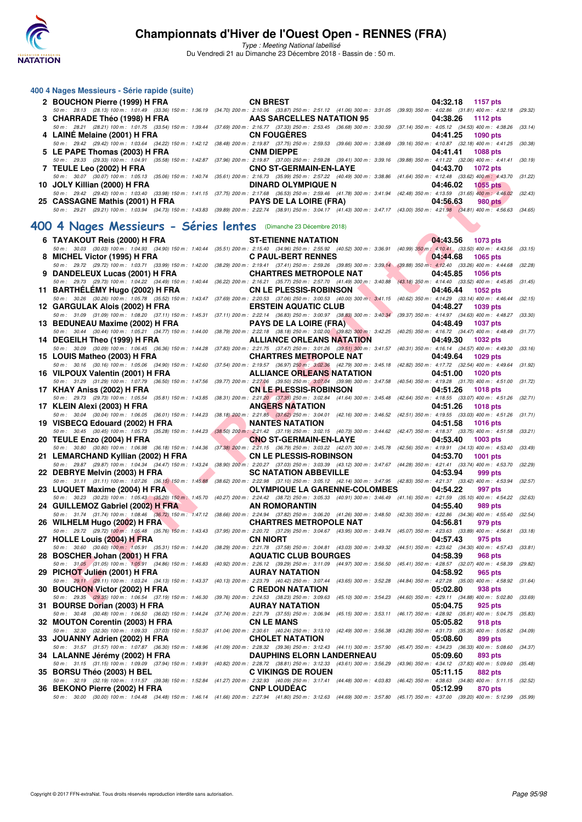

Type : Meeting National labellisé

Du Vendredi 21 au Dimanche 23 Décembre 2018 - Bassin de : 50 m.

| 400 4 Nages Messieurs - Série rapide (suite)                                                                                                                                                                                                                         |                                                                                                                                                                     |                                                                               |  |
|----------------------------------------------------------------------------------------------------------------------------------------------------------------------------------------------------------------------------------------------------------------------|---------------------------------------------------------------------------------------------------------------------------------------------------------------------|-------------------------------------------------------------------------------|--|
| 2 BOUCHON Pierre (1999) H FRA<br>50 m: 28.13 (28.13) 100 m: 1:01.49 (33.36) 150 m: 1:36.19 (34.70) 200 m: 2:10.06 (33.87) 250 m: 2:51.12 (41.06) 300 m: 3:31.05 (39.93) 350 m: 4:02.86 (31.81) 400 m: 4:32.18 (29.32)                                                | <b>CN BREST</b>                                                                                                                                                     | 04:32.18 1157 pts                                                             |  |
| 3 CHARRADE Théo (1998) H FRA                                                                                                                                                                                                                                         | AAS SARCELLES NATATION 95                                                                                                                                           | 04:38.26<br>1112 pts                                                          |  |
| 50 m: 28.21 (28.21) 100 m: 1:01.75 (33.54) 150 m: 1:39.44 (37.69) 200 m: 2:16.77 (37.33) 250 m: 2:53.45 (36.68) 300 m: 3:30.59 (37.14) 350 m: 4:05.12 (34.53) 400 m: 4:38.26 (33.14)<br>4 LAINE Melaine (2001) H FRA                                                 | <b>CN FOUGERES</b>                                                                                                                                                  | 04:41.25<br><b>1090 pts</b>                                                   |  |
| 50 m : 29.42 (29.42) 100 m : 1:03.64 (34.22) 150 m : 1:42.12 (38.48) 200 m : 2:19.87 (37.75) 250 m : 2:59.53 (39.66) 300 m : 3:38.69<br>5 LE PAPE Thomas (2003) H FRA                                                                                                | <b>CNM DIEPPE</b>                                                                                                                                                   | (39.16) 350 m: 4:10.87 (32.18) 400 m: 4:41.25 (30.38)<br>04:41.41<br>1088 pts |  |
| 50 m: 29.33 (29.33) 100 m: 1:04.91 (35.58) 150 m: 1:42.87 (37.96) 200 m: 2:19.87 (37.00) 250 m: 2:59.28 (39.41) 300 m: 3:39.16 (39.88) 350 m: 4:11.22 (32.06) 400 m: 4:41.41 (30.19)<br>7 TEULE Leo (2002) H FRA                                                     | <b>CNO ST-GERMAIN-EN-LAYE</b>                                                                                                                                       | 04:43.70<br><b>1072 pts</b>                                                   |  |
| 50 m : 30.07 (30.07) 100 m : 1:05.13 (35.06) 150 m : 1:40.74 (35.61) 200 m : 2:16.73 (35.99) 250 m : 2:57.22 (40.49) 300 m : 3:38.86 (41.64) 350 m : 4:12.48 (33.62) 400 m : 4:43.70 (31.22)<br>10 JOLY Killian (2000) H FRA                                         | <b>DINARD OLYMPIQUE N</b>                                                                                                                                           | 04:46.02<br><b>1055 pts</b>                                                   |  |
| 50 m : 29.42 (29.42) 100 m : 1:03.40 (33.98) 150 m : 1:41.15 (37.75) 200 m : 2:17.68 (36.53) 250 m : 2:59.46 (41.78) 300 m : 3:41.94 (42.48) 350 m : 4:13.59 (31.65) 40 <mark>0 m : 4:46.02</mark> (32.43)<br>25 CASSAGNE Mathis (2001) H FRA                        | <b>PAYS DE LA LOIRE (FRA)</b>                                                                                                                                       | 04:56.63<br>980 pts                                                           |  |
| 50 m: 29.21 (29.21) 100 m: 1:03.94 (34.73) 150 m: 1:43.83 (39.89) 200 m: 2:22.74 (38.91) 250 m: 3:04.17 (41.43) 300 m: 3:47.17 (43.00) 350 m: 4:21.98 (34.81) 400 m: 4:56.63 (34.65)                                                                                 |                                                                                                                                                                     |                                                                               |  |
| 400 4 Nages Messieurs - Séries lentes (Dimanche 23 Décembre 2018)                                                                                                                                                                                                    |                                                                                                                                                                     |                                                                               |  |
| 6 TAYAKOUT Reis (2000) H FRA<br>50 m : 30.03 (30.03) 100 m : 1:04.93 (34.90) 150 m : 1:40.44 (35.51) 200 m : 2:15.40 (34.96) 250 m : 2:55.92 (40.52) 300 m : 3:36.91 (40.99) 350 m : 4:10.41 (33.50) 400 m : 4:43.56 (33.15)                                         | <b>ST-ETIENNE NATATION</b>                                                                                                                                          | 04:43.56<br>1073 pts                                                          |  |
| 8 MICHEL Victor (1995) H FRA<br>50 m :   29.72    (29.72)  100 m :   1:03.71    (33.99)  150 m :   1:42.00    (38.29)  200 m :   1:19.41    (37.41)  250 m :   2:59.26    (39.85)  300 m :    3:39.14    (39.88)  350 m :   4:12.40    (33.26)  400 m :   4:44       | <b>C PAUL-BERT RENNES</b>                                                                                                                                           | 04:44.68<br>1065 pts                                                          |  |
| 9 DANDELEUX Lucas (2001) H FRA                                                                                                                                                                                                                                       | <b>CHARTRES METROPOLE NAT</b>                                                                                                                                       | 04:45.85<br><b>1056 pts</b>                                                   |  |
| 50 m :   29.73   (29.73)  100 m :   1:04.22    (34.49)  150 m :   1:40.44    (36.22)  200 m :   2:16.21    (35.77)   250 m :   2:57.70    (41.49)  300 m :   3:40.88    (43.18)  350 m :  4:14.40    (33.52)  400 m :   4:45.8<br>11 BARTHELEMY Hugo (2002) H FRA    | <b>CN LE PLESSIS-ROBINSON</b>                                                                                                                                       | 04:46.44<br><b>1052 pts</b>                                                   |  |
| 50 m : 30.26 (30.26) 100 m : 1:05.78 (35.52) 150 m : 1:43.47 (37.69) 200 m : 2:20.53 (37.06) 250 m : 3:00.53 (40.00) 300 m : 3:41.15 (40.62) 350 m : 4:14.29 (33.14) 400 m : 4:46.44 (32.15)<br>12 GARGULAK Alois (2002) H FRA                                       | <b>ERSTEIN AQUATIC CLUB</b>                                                                                                                                         | 04:48.27<br>1039 pts                                                          |  |
| 50 m : 31.09 (31.09) 100 m : 1:08.20 (37.11) 150 m : 1:45.31 (37.11) 200 m : 2:22.14 (36.83) 250 m : 3:00.97 (38.83) 300 m : 3:40.34 (39.37) 350 m : 4:14.97 (34.63) 400 m : 4:48.27 (33.30)<br>13 BEDUNEAU Maxime (2002) H FRA                                      | <b>PAYS DE LA LOIRE (FRA)</b>                                                                                                                                       | 04:48.49<br><b>1037 pts</b>                                                   |  |
| 50 m : 30.44 (30.44) 100 m : 1:05.21 (34.77) 150 m : 1:44.00<br>14 DEGEILH Theo (1999) H FRA                                                                                                                                                                         | (38.79) 200 m : 2:22.18 (38.18) 250 m : 3:02.00 (39.82) 300 m : 3:42.25 (40.25) 350 m : 4:16.72 (34.47) 400 m : 4:48.49 (31.77)<br><b>ALLIANCE ORLEANS NATATION</b> | 04:49.30<br><b>1032 pts</b>                                                   |  |
| 50 m : 30.09 (30.09) 100 m : 1:06.45 (36.36) 150 m : 1:44.28 (37.83) 200 m : 2:21.75 (37.47) 250 m : 3:01.26 (39.51) 300 m : 3:41.57 (40.31) 350 m : 4:16.14 (34.57) 400 m : 4:49.30 (33.16)<br>15 LOUIS Matheo (2003) H FRA                                         | <b>CHARTRES METROPOLE NAT</b>                                                                                                                                       | 04:49.64<br>1029 pts                                                          |  |
| 50 m :    30.16    (30.16)  100 m :   1:05.06    (34.90)  150 m :    1:42.60    (37.54)  200 m :   2:19.57    (36.97)  250 m :   3:02.36    (42.79)  300 m :    3:45.18    (42.82)  350 m :   4:17.72    (32.54)  400 m :   4:<br>16 VILPOUX Valentin (2001) H FRA   | <b>ALLIANCE ORLEANS NATATION</b>                                                                                                                                    | 04:51.00<br><b>1020 pts</b>                                                   |  |
| 50 m: 31.29 (31.29) 100 m: 1:07.79 (36.50) 150 m: 1:47.56 (39.77) 200 m: 2:27.06 (39.50) 250 m: 3:07.04 (39.98) 300 m: 3:47.58 (40.54) 350 m: 4:19.28 (31.70) 400 m: 4:51.00 (31.72)                                                                                 |                                                                                                                                                                     |                                                                               |  |
| 17 KHAY Aniss (2002) H FRA<br>50 m : 29.73 (29.73) 100 m : 1:05.54 (35.81) 150 m : 1:43.85 (38.31) 200 m : 2:21. <mark>20</mark> (37.35) 250 m : 3:02.84 (41.64) 300 m : 3:45.48 (42.64) 350 m : 4:18.55 (33.07) 400 m : 4:51.26 (32.71)                             | <b>CN LE PLESSIS-ROBINSON</b>                                                                                                                                       | 04:51.26<br><b>1018 pts</b>                                                   |  |
| 17 KLEIN Alexi (2003) H FRA<br>50 m: 30.04 (30.04) 100 m: 1:06.05 (36.01) 150 m: 1:44.23 (38.18) 200 m: 2:21.85 (37.62) 250 m: 3:04.01 (42.16) 300 m: 3:46.52 (42.51) 350 m: 4:19.55 (33.03) 400 m: 4:51.26 (31.71)                                                  | <b>ANGERS NATATION</b>                                                                                                                                              | 04:51.26<br><b>1018 pts</b>                                                   |  |
| 19 VISBECQ Edouard (2002) H FRA<br>50 m: 30.45 (30.45) 100 m: 1:05.73 (35.28) 150 m: 1:44.23                                                                                                                                                                         | <b>NANTES NATATION</b><br>$(38.50)$ 200 m : 2:21.42 (37.19) 250 m : 3:02.15 (40.73) 300 m : 3:44.62 (42.47) 350 m : 4:18.37 (33.75) 400 m : 4:51.58 (33.21)         | 04:51.58<br><b>1016 pts</b>                                                   |  |
| 20 TEULE Enzo (2004) H FRA<br>50 m : 30.80 (30.80) 100 m : 1:06.98 (36.18) 150 m : 1:44.36                                                                                                                                                                           | <b>CNO ST-GERMAIN-EN-LAYE</b><br>(37.38) 200 m : 2:21.15 (36.79) 250 m : 3:03.22 (42.07) 300 m : 3:45.78 (42.56) 350 m : 4:19.91 (34.13) 400 m : 4:53.40 (33.49)    | 04:53.40<br><b>1003 pts</b>                                                   |  |
| 21 LEMARCHAND Kyllian (2002) H FRA<br>50 m :   29.87   (29.87)  100 m :   1:04.34    (34.47)  150 m :   1:43.24    (38.90)  200 m :   2:20.27    (37.03)  250 m :   3:03.39    (43.12)  300 m :    3:47.67    (44.28)  350 m :   4:21.41    (33.74)  400 m :   4:53. | <b>CN LE PLESSIS-ROBINSON</b>                                                                                                                                       | 04:53.70<br>1001 pts                                                          |  |
| 22 DEBRYE Melvin (2003) H FRA<br>50 m: 31.11 (31.11) 100 m: 1:07.26 (36.15) 150 m: 1:45.88 (38.62) 200 m: 2:22.98 (37.10) 250 m: 3:05.12 (42.14) 300 m: 3:47.95 (42.83) 350 m: 4:21.37 (33.42) 400 m: 4:53.94 (32.57)                                                | <b>SC NATATION ABBEVILLE</b>                                                                                                                                        | 04:53.94<br>999 pts                                                           |  |
| 23 LUQUET Maxime (2004) H FRA                                                                                                                                                                                                                                        | <b>OLYMPIQUE LA GARENNE-COLOMBES</b>                                                                                                                                | 04:54.22<br>997 pts                                                           |  |
| 50 m : 30.23 (30.23) 100 m : 1:05.43 (35.20) 150 m : 1:45.70 (40.27) 200 m : 2:24.42 (38.72) 250 m : 3:05.33 (40.91) 300 m : 3:46.49 (41.16) 350 m : 4:21.59 (35.10) 400 m : 4:54.22 (32.63)<br>24 GUILLEMOZ Gabriel (2002) H FRA                                    | AN ROMORANTIN                                                                                                                                                       | 04:55.40<br>989 pts                                                           |  |
| 50 m: 31.74 (31.74) 100 m: 1:08.46 (36.72) 150 m: 1:47.12 (38.66) 200 m: 2:24.94 (37.82) 250 m: 3:06.20 (41.26) 300 m: 3:48.50 (42.30) 350 m: 4:22.86 (34.36) 400 m: 4:55.40 (32.54)<br>26 WILHELM Hugo (2002) H FRA CHARTRES METROPOLE NAT 04:56.81 979 pts         |                                                                                                                                                                     |                                                                               |  |
| 50 m: 29.72 (29.72) 100 m: 1:05.48 (35.76) 150 m: 1:43.43 (37.95) 200 m: 2:20.72 (37.29) 250 m: 3:04.67 (43.95) 300 m: 3:49.74 (45.07) 350 m: 4:23.63 (33.89) 400 m: 4:56.81 (33.18)<br>27 HOLLE Louis (2004) H FRA                                                  | <b>CN NIORT</b>                                                                                                                                                     | 04:57.43<br>975 pts                                                           |  |
| 50 m : 30.60 (30.60) 100 m : 1:05.91 (35.31) 150 m : 1:44.20 (38.29) 200 m : 2:21.78 (37.58) 250 m : 3:04.81 (43.03) 300 m : 3:49.32 (44.51) 350 m : 4:23.62 (34.30) 400 m : 4:57.43 (33.81)<br>28 BOSCHER Johan (2001) H FRA                                        | <b>AQUATIC CLUB BOURGES</b>                                                                                                                                         | 04:58.39<br>968 pts                                                           |  |
| 50 m : 31.05 (31.05) 100 m : 1:05.91 (34.86) 150 m : 1:46.83 (40.92) 200 m : 2:26.12 (39.29) 250 m : 3:11.09 (44.97) 300 m : 3:56.50 (45.41) 350 m : 4:28.57 (32.07) 400 m : 4:58.39 (29.82)<br>29 PICHOT Julien (2001) H FRA                                        | <b>AURAY NATATION</b>                                                                                                                                               | 04:58.92<br>965 pts                                                           |  |
| 50 m : 29.11 (29.11) 100 m : 1:03.24 (34.13) 150 m : 1:43.37 (40.13) 200 m : 2:23.79 (40.42) 250 m : 3:07.44 (43.65) 300 m : 3:52.28 (44.84) 350 m : 4:27.28 (35.00) 400 m : 4:58.92 (31.64)<br>30 BOUCHON Victor (2002) H FRA                                       | <b>C REDON NATATION</b>                                                                                                                                             | 05:02.80<br>938 pts                                                           |  |
| 50 m : 29.35 (29.35) 100 m : 1:06.54 (37.19) 150 m : 1:46.30 (39.76) 200 m : 2:24.53 (38.23) 250 m : 3:09.63 (45.10) 300 m : 3:54.23 (44.60) 350 m : 4:29.11 (34.88) 400 m : 5:02.80<br>31 BOURSE Dorian (2003) H FRA                                                | <b>AURAY NATATION</b>                                                                                                                                               | (33.69)<br>05:04.75<br>925 pts                                                |  |
| 50 m : 30.48 (30.48) 100 m : 1:06.50 (36.02) 150 m : 1:44.24 (37.74) 200 m : 2:21.79 (37.55) 250 m : 3:06.94 (45.15) 300 m : 3:53.11 (46.17) 350 m : 4:28.92 (35.81) 400 m : 5:04.75 (35.83)                                                                         | <b>CN LE MANS</b>                                                                                                                                                   | 05:05.82                                                                      |  |
| 32 MOUTON Corentin (2003) H FRA<br>50 m : 32.30 (32.30) 100 m : 1:09.33 (37.03) 150 m : 1:50.37 (41.04) 200 m : 2:30.61 (40.24) 250 m : 3:13.10 (42.49) 300 m : 3:56.38 (43.28) 350 m : 4:31.73 (35.35) 400 m : 5:05.82 (34.09)                                      |                                                                                                                                                                     | 918 pts                                                                       |  |
| 33 JOUANNY Adrien (2002) H FRA<br>50 m : 31.57 (31.57) 100 m : 1:07.87 (36.30) 150 m : 1:48.96 (41.09) 200 m : 2:28.32 (39.36) 250 m : 3:12.43 (44.11) 300 m : 3:57.90 (45.47) 350 m : 4:34.23 (36.33) 400 m : 5:08.60 (34.37)                                       | <b>CHOLET NATATION</b>                                                                                                                                              | 05:08.60<br>899 pts                                                           |  |
| 34 LALANNE Jérémy (2002) H FRA<br>50 m : 31.15 (31.15) 100 m : 1:09.09 (37.94) 150 m : 1:49.91 (40.82) 200 m : 2:28.72 (38.81) 250 m : 3:12.33 (43.61) 300 m : 3:56.29 (43.96) 350 m : 4:34.12 (37.83) 400 m : 5:09.60 (35.48)                                       | <b>DAUPHINS ELORN LANDERNEAU</b>                                                                                                                                    | 05:09.60<br>893 pts                                                           |  |
| 35 BORSU Théo (2003) H BEL<br>50 m: 32.19 (32.19) 100 m: 1:11.57 (39.38) 150 m: 1:52.84 (41.27) 200 m: 2:32.93 (40.09) 250 m: 3:17.41 (44.48) 300 m: 4:03.83 (46.42) 350 m: 4:38.63 (34.80) 400 m: 5:11.15 (32.52)                                                   | <b>C VIKINGS DE ROUEN</b>                                                                                                                                           | 05:11.15<br>882 pts                                                           |  |
| 36 BEKONO Pierre (2002) H FRA<br>50 m : 30.00 (30.00) 100 m : 1:04.48 (34.48) 150 m : 1:46.14 (41.66) 200 m : 2:27.94 (41.80) 250 m : 3:12.63 (44.69) 300 m : 3:57.80 (45.17) 350 m : 4:37.00 (39.20) 400 m : 5:12.99 (35.99)                                        | <b>CNP LOUDEAC</b>                                                                                                                                                  | 05:12.99<br>870 pts                                                           |  |
|                                                                                                                                                                                                                                                                      |                                                                                                                                                                     |                                                                               |  |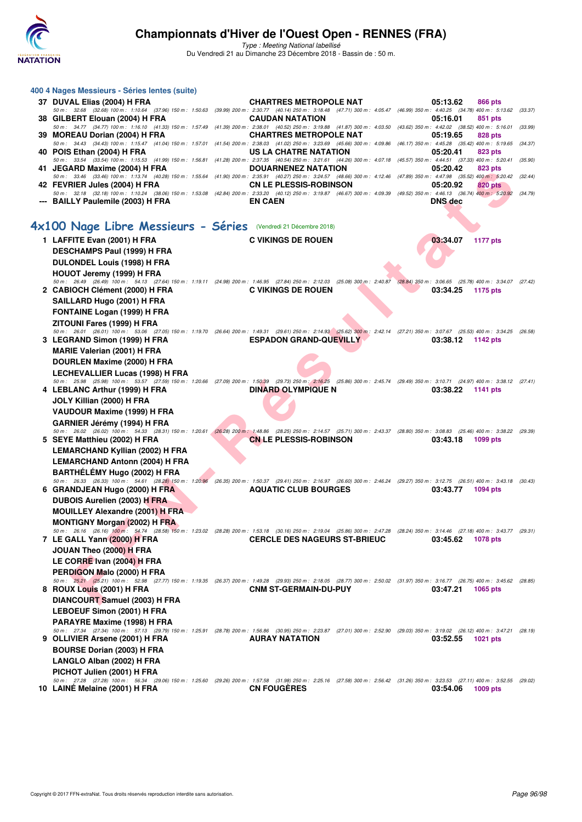

| 400 4 Nages Messieurs - Séries lentes (suite)                                                                                                                                                                                                                                              |                                                                                                                                                                  |                             |         |
|--------------------------------------------------------------------------------------------------------------------------------------------------------------------------------------------------------------------------------------------------------------------------------------------|------------------------------------------------------------------------------------------------------------------------------------------------------------------|-----------------------------|---------|
| 37 DUVAL Elias (2004) H FRA                                                                                                                                                                                                                                                                | <b>CHARTRES METROPOLE NAT</b>                                                                                                                                    | 05:13.62<br>866 pts         |         |
| 50 m: 32.68 (32.68) 100 m: 1:10.64 (37.96) 150 m: 1:50.63<br>38 GILBERT Elouan (2004) H FRA                                                                                                                                                                                                | (39.99) 200 m : 2:30.77 (40.14) 250 m : 3:18.48 (47.71) 300 m : 4:05.47 (46.99) 350 m : 4:40.25 (34.78) 400 m : 5:13.62<br><b>CAUDAN NATATION</b>                | 05:16.01<br>851 pts         | (33.37) |
| 50 m: 34.77 (34.77) 100 m: 1:16.10 (41.33) 150 m: 1:57.49<br>39 MOREAU Dorian (2004) H FRA                                                                                                                                                                                                 | (41.39) 200 m : 2:38.01 (40.52) 250 m : 3:19.88 (41.87) 300 m : 4:03.50 (43.62) 350 m : 4:42.02 (38.52) 400 m : 5:16.01<br><b>CHARTRES METROPOLE NAT</b>         | 05:19.65<br>828 pts         | (33.99) |
| 50 m: 34.43 (34.43) 100 m: 1:15.47 (41.04) 150 m: 1:57.01<br>40 POIS Ethan (2004) H FRA                                                                                                                                                                                                    | (41.54) 200 m : 2:38.03 (41.02) 250 m : 3:23.69 (45.66) 300 m : 4:09.86 (46.17) 350 m : 4:45.28 (35.42) 400 m : 5:19.65<br>US LA CHATRE NATATION                 | 05:20.41<br>823 pts         | (34.37) |
| 50 m: 33.54 (33.54) 100 m: 1:15.53 (41.99) 150 m: 1:56.81<br>41 JEGARD Maxime (2004) H FRA                                                                                                                                                                                                 | (41.28) 200 m : 2:37.35 (40.54) 250 m : 3:21.61 (44.26) 300 m : 4:07.18 (45.57) 350 m : 4:44.51 (37.33) 400 m : 5:20.41<br><b>DOUARNENEZ NATATION</b>            | 05:20.42<br>823 pts         | (35.90) |
| 50 m: 33.46 (33.46) 100 m: 1:13.74 (40.28) 150 m: 1:55.64<br>42 FEVRIER Jules (2004) H FRA<br>50 m : 32.18 (32.18) 100 m : 1:10.24 (38.06) 150 m : 1:53.08 (42.84) 200 m : 2:33.20 (40.12) 250 m : 3:19.87 (46.67) 300 m : 4:09.39 (49.52) 350 m : 4:46.13 (36.74) 400 m : 5:20.92 (34.79) | (41.90) 200 m : 2:35.91 (40.27) 250 m : 3:24.57 (48.66) 300 m : 4:12.46 (47.89) 350 m : 4:47.98 (35.52) 400 m : 5:20.42 (32.44)<br><b>CN LE PLESSIS-ROBINSON</b> | 05:20.92<br><b>820 pts</b>  |         |
| --- BAILLY Paulemile (2003) H FRA                                                                                                                                                                                                                                                          | <b>EN CAEN</b>                                                                                                                                                   | <b>DNS</b> dec              |         |
| 4x100 Nage Libre Messieurs - Séries (Vendredi 21 Décembre 2018)                                                                                                                                                                                                                            |                                                                                                                                                                  |                             |         |
| 1 LAFFITE Evan (2001) H FRA                                                                                                                                                                                                                                                                | <b>C VIKINGS DE ROUEN</b>                                                                                                                                        | 03:34.07<br><b>1177 pts</b> |         |
|                                                                                                                                                                                                                                                                                            |                                                                                                                                                                  |                             |         |
| <b>DESCHAMPS Paul (1999) H FRA</b>                                                                                                                                                                                                                                                         |                                                                                                                                                                  |                             |         |
| DULONDEL Louis (1998) H FRA                                                                                                                                                                                                                                                                |                                                                                                                                                                  |                             |         |
| HOUOT Jeremy (1999) H FRA<br>50 m : 26.49 (26.49) 100 m : 54.13 (27.64) 150 m : 1:19.11 (24.98) 200 m : 1:46.95 (27.84) 250 m : 2:12.03 (25.08) 300 m : 2:40.87 (28.84) 350 m : 3:06.65 (25.78) 400 m : 3:34.07 (27.42)                                                                    |                                                                                                                                                                  |                             |         |
| 2 CABIOCH Clément (2000) H FRA                                                                                                                                                                                                                                                             | <b>C VIKINGS DE ROUEN</b>                                                                                                                                        | 03:34.25<br>1175 pts        |         |
| SAILLARD Hugo (2001) H FRA                                                                                                                                                                                                                                                                 |                                                                                                                                                                  |                             |         |
| <b>FONTAINE Logan (1999) H FRA</b>                                                                                                                                                                                                                                                         |                                                                                                                                                                  |                             |         |
| ZITOUNI Fares (1999) H FRA                                                                                                                                                                                                                                                                 |                                                                                                                                                                  |                             |         |
| 50 m: 26.01 (26.01) 100 m: 53.06 (27.05) 150 m: 1:19.70 (26.64) 200 m: 1:49.31 (29.61) 250 m: 2:14.93 (25.62) 300 m: 2:42.14 (27.21) 350 m: 3:07.67 (25.53) 400 m: 3:34.25 (26.58)                                                                                                         |                                                                                                                                                                  |                             |         |
| 3 LEGRAND Simon (1999) H FRA                                                                                                                                                                                                                                                               | <b>ESPADON GRAND-QUEVILLY</b>                                                                                                                                    | 03:38.12<br>1142 pts        |         |
| <b>MARIE Valerian (2001) H FRA</b>                                                                                                                                                                                                                                                         |                                                                                                                                                                  |                             |         |
| DOURLEN Maxime (2000) H FRA                                                                                                                                                                                                                                                                |                                                                                                                                                                  |                             |         |
| <b>LECHEVALLIER Lucas (1998) H FRA</b>                                                                                                                                                                                                                                                     |                                                                                                                                                                  |                             |         |
| 50 m: 25.98 (25.98) 100 m: 53.57 (27.59) 150 m: 1:20.66 (27.09) 200 m: 1:50.39 (29.73) 250 m: 2:16.25 (25.86) 300 m: 2:45.74 (29.49) 350 m: 3:10.71 (24.97) 400 m: 3:38.12 (27.41)<br>4 LEBLANC Arthur (1999) H FRA                                                                        | <b>DINARD OLYMPIQUE N</b>                                                                                                                                        | 03:38.22<br>1141 pts        |         |
| JOLY Killian (2000) H FRA                                                                                                                                                                                                                                                                  |                                                                                                                                                                  |                             |         |
| VAUDOUR Maxime (1999) H FRA                                                                                                                                                                                                                                                                |                                                                                                                                                                  |                             |         |
| GARNIER Jérémy (1994) H FRA                                                                                                                                                                                                                                                                |                                                                                                                                                                  |                             |         |
| 50 m : 26.02 (26.02) 100 m : 54.33 (28.31) 150 m : 1:20.61 (26.28) 200 m : 1:48.86 (28.25) 250 m : 2:14.57 (25.71) 300 m : 2:43.37 (28.80) 350 m : 3:08.83 (25.46) 400 m : 3:38.22 (29.39)                                                                                                 |                                                                                                                                                                  |                             |         |
| 5 SEYE Matthieu (2002) H FRA                                                                                                                                                                                                                                                               | <b>CN LE PLESSIS-ROBINSON</b>                                                                                                                                    | 03:43.18<br>1099 pts        |         |
| LEMARCHAND Kyllian (2002) H FRA                                                                                                                                                                                                                                                            |                                                                                                                                                                  |                             |         |
| <b>LEMARCHAND Antonn (2004) H FRA</b>                                                                                                                                                                                                                                                      |                                                                                                                                                                  |                             |         |
| BARTHÉLÉMY Hugo (2002) H FRA                                                                                                                                                                                                                                                               |                                                                                                                                                                  |                             |         |
| 50 m: 26.33 (26.33) 100 m: 54.61 (28.28) 150 m: 1:20.96 (26.35) 200 m: 1:50.37 (29.41) 250 m: 2:16.97 (26.60) 300 m: 2:46.24 (29.27) 350 m: 3:12.75 (26.51) 400 m: 3:43.18 (30.43)                                                                                                         |                                                                                                                                                                  |                             |         |
| 6 GRANDJEAN Hugo (2000) H FRA                                                                                                                                                                                                                                                              | <b>AQUATIC CLUB BOURGES</b>                                                                                                                                      | 03:43.77<br><b>1094 pts</b> |         |
| DUBOIS Aurelien (2003) H FRA                                                                                                                                                                                                                                                               |                                                                                                                                                                  |                             |         |
| <b>MOUILLEY Alexandre (2001) H FRA</b>                                                                                                                                                                                                                                                     |                                                                                                                                                                  |                             |         |
| <b>MONTIGNY Morgan (2002) H FRA</b><br>50 m: 26.16 (26.16) 100 m: 54.74 (28.58) 150 m: 1:23.02 (28.28) 200 m: 1:53.18 (30.16) 250 m: 2:19.04 (25.86) 300 m: 2:47.28 (28.24) 350 m: 3:14.46 (27.18) 400 m: 3:43.77 (29.31)                                                                  |                                                                                                                                                                  |                             |         |
| 7 LE GALL Yann (2000) H FRA                                                                                                                                                                                                                                                                | <b>CERCLE DES NAGEURS ST-BRIEUC</b>                                                                                                                              | 03:45.62<br>1078 pts        |         |
| JOUAN Theo (2000) H FRA                                                                                                                                                                                                                                                                    |                                                                                                                                                                  |                             |         |
| LE CORRE Ivan (2004) H FRA                                                                                                                                                                                                                                                                 |                                                                                                                                                                  |                             |         |
| PERDIGON Malo (2000) H FRA                                                                                                                                                                                                                                                                 |                                                                                                                                                                  |                             |         |
| 50 m: 25.21 (25.21) 100 m: 52.98 (27.77) 150 m: 1:19.35 (26.37) 200 m: 1:49.28 (29.93) 250 m: 2:18.05 (28.77) 300 m: 2:50.02 (31.97) 350 m: 3:16.77 (26.75) 400 m: 3:45.62 (28.85)                                                                                                         |                                                                                                                                                                  |                             |         |
| 8 ROUX Louis (2001) H FRA                                                                                                                                                                                                                                                                  | <b>CNM ST-GERMAIN-DU-PUY</b>                                                                                                                                     | 03:47.21<br>1065 pts        |         |
| DIANCOURT Samuel (2003) H FRA                                                                                                                                                                                                                                                              |                                                                                                                                                                  |                             |         |
| LEBOEUF Simon (2001) H FRA                                                                                                                                                                                                                                                                 |                                                                                                                                                                  |                             |         |
| PARAYRE Maxime (1998) H FRA                                                                                                                                                                                                                                                                |                                                                                                                                                                  |                             |         |
| 50 m: 27.34 (27.34) 100 m: 57.13 (29.79) 150 m: 1:25.91 (28.78) 200 m: 1:56.86 (30.95) 250 m: 2:23.87 (27.01) 300 m: 2:52.90 (29.03) 350 m: 3:19.02 (26.12) 400 m: 3:47.21 (28.19)<br>9 OLLIVIER Arsene (2001) H FRA                                                                       | <b>AURAY NATATION</b>                                                                                                                                            | 03:52.55<br><b>1021 pts</b> |         |
|                                                                                                                                                                                                                                                                                            |                                                                                                                                                                  |                             |         |
| <b>BOURSE Dorian (2003) H FRA</b>                                                                                                                                                                                                                                                          |                                                                                                                                                                  |                             |         |
| LANGLO Alban (2002) H FRA                                                                                                                                                                                                                                                                  |                                                                                                                                                                  |                             |         |
| PICHOT Julien (2001) H FRA<br>50 m : 27.28 (27.28) 100 m : 56.34 (29.06) 150 m : 1:25.60 (29.26) 200 m : 1:57.58 (31.38) 250 m : 2:516 (27.58) 300 m : 2:56.42 (31.26) 350 m : 3:23.53 (27.11) 400 m : 3:52.55 (29.02)                                                                     |                                                                                                                                                                  |                             |         |
| 10 LAINE Melaine (2001) H FRA                                                                                                                                                                                                                                                              | <b>CN FOUGERES</b>                                                                                                                                               | 03:54.06<br>1009 pts        |         |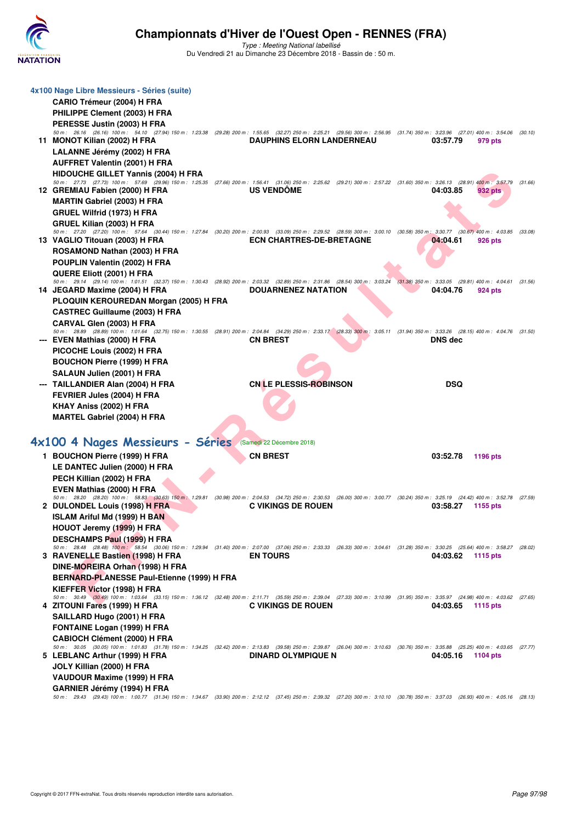

| 4x100 Nage Libre Messieurs - Séries (suite)                                                                                                                                                                             |                                  |                                     |         |
|-------------------------------------------------------------------------------------------------------------------------------------------------------------------------------------------------------------------------|----------------------------------|-------------------------------------|---------|
| CARIO Trémeur (2004) H FRA                                                                                                                                                                                              |                                  |                                     |         |
| PHILIPPE Clement (2003) H FRA                                                                                                                                                                                           |                                  |                                     |         |
| PERESSE Justin (2003) H FRA<br>50 m: 26.16 (26.16) 100 m: 54.10 (27.94) 150 m: 1:23.38 (29.28) 200 m: 1:55.65 (32.27) 250 m: 2:25.21 (29.56) 300 m: 2:56.95 (31.74) 350 m: 3:23.96 (27.01) 400 m: 3:54.06 (30.10)       |                                  |                                     |         |
| 11 MONOT Kilian (2002) H FRA                                                                                                                                                                                            | <b>DAUPHINS ELORN LANDERNEAU</b> | 03:57.79<br>979 pts                 |         |
| LALANNE Jérémy (2002) H FRA                                                                                                                                                                                             |                                  |                                     |         |
| <b>AUFFRET Valentin (2001) H FRA</b>                                                                                                                                                                                    |                                  |                                     |         |
| <b>HIDOUCHE GILLET Yannis (2004) H FRA</b>                                                                                                                                                                              |                                  |                                     |         |
| 50 m: 27.73 (27.73) 100 m: 57.69 (29.96) 150 m: 1:25.35 (27.66) 200 m: 1:56.41 (31.06) 250 m: 2:25.62 (29.21) 300 m: 2:57.22 (31.60) 350 m: 3:26.13 (28.91) 400 m: 3:57.79                                              |                                  |                                     | (31.66) |
| 12 GREMIAU Fabien (2000) H FRA                                                                                                                                                                                          | <b>US VENDOME</b>                | 04:03.85<br>932 pts                 |         |
| <b>MARTIN Gabriel (2003) H FRA</b>                                                                                                                                                                                      |                                  |                                     |         |
| GRUEL Wilfrid (1973) H FRA                                                                                                                                                                                              |                                  |                                     |         |
| GRUEL Kilian (2003) H FRA                                                                                                                                                                                               |                                  |                                     |         |
| 50 m : 27.20 (27.20) 100 m : 57.64 (30.44) 150 m : 1:27.84 (30.20) 200 m : 2:00.93 (33.09) 250 m : 2:29.52 (28.59) 300 m : 3:00.10 (30.58) 350 m : 3:30.77 (30.67) 400 m : 4:03.85 (33.08)                              |                                  |                                     |         |
| 13 VAGLIO Titouan (2003) H FRA                                                                                                                                                                                          | <b>ECN CHARTRES-DE-BRETAGNE</b>  | 04:04.61<br>926 pts                 |         |
| ROSAMOND Nathan (2003) H FRA                                                                                                                                                                                            |                                  |                                     |         |
| POUPLIN Valentin (2002) H FRA                                                                                                                                                                                           |                                  |                                     |         |
| QUERE Eliott (2001) H FRA<br>50 m : 29.14 (29.14) 100 m : 1:01.51 (32.37) 150 m : 1:30.43 (28.92) 200 m : 2:03.32 (32.89) 250 m : 2:31.86 (28.54) 300 m : 3:03.24 (31.38) 350 m : 3:33.05                               |                                  | $(29.81)$ 400 m : 4:04.61 $(31.56)$ |         |
| 14 JEGARD Maxime (2004) H FRA                                                                                                                                                                                           | DOUARNENEZ NATATION              | 04:04.76<br>924 pts                 |         |
| PLOQUIN KEROUREDAN Morgan (2005) H FRA                                                                                                                                                                                  |                                  |                                     |         |
| <b>CASTREC Guillaume (2003) H FRA</b>                                                                                                                                                                                   |                                  |                                     |         |
| CARVAL Glen (2003) H FRA                                                                                                                                                                                                |                                  |                                     |         |
| 50 m: 28.89 (28.89) 100 m: 1:01.64 (32.75) 150 m: 1:30.55 (28.91) 200 m: 2:04.84 (34.29) 250 m: 2:33.17 (28.33) 300 m: 3:05.11 (31.94) 350 m: 3:33.26 (28.15) 400 m: 4:04.76 (31.50)                                    |                                  |                                     |         |
| --- EVEN Mathias (2000) H FRA                                                                                                                                                                                           | <b>CN BREST</b>                  | <b>DNS</b> dec                      |         |
| PICOCHE Louis (2002) H FRA                                                                                                                                                                                              |                                  |                                     |         |
| <b>BOUCHON Pierre (1999) H FRA</b>                                                                                                                                                                                      |                                  |                                     |         |
| SALAUN Julien (2001) H FRA                                                                                                                                                                                              |                                  |                                     |         |
| --- TAILLANDIER Alan (2004) H FRA                                                                                                                                                                                       | <b>CN LE PLESSIS-ROBINSON</b>    | <b>DSQ</b>                          |         |
| FEVRIER Jules (2004) H FRA                                                                                                                                                                                              |                                  |                                     |         |
| KHAY Aniss (2002) H FRA                                                                                                                                                                                                 |                                  |                                     |         |
| <b>MARTEL Gabriel (2004) H FRA</b>                                                                                                                                                                                      |                                  |                                     |         |
|                                                                                                                                                                                                                         |                                  |                                     |         |
|                                                                                                                                                                                                                         |                                  |                                     |         |
|                                                                                                                                                                                                                         | (Samedi 22 Décembre 2018)        |                                     |         |
| 4x100 4 Nages Messieurs - Séries                                                                                                                                                                                        |                                  |                                     |         |
| 1 BOUCHON Pierre (1999) H FRA                                                                                                                                                                                           | <b>CN BREST</b>                  | 03:52.78<br>1196 pts                |         |
| LE DANTEC Julien (2000) H FRA                                                                                                                                                                                           |                                  |                                     |         |
| PECH Killian (2002) H FRA                                                                                                                                                                                               |                                  |                                     |         |
| EVEN Mathias (2000) H FRA<br>50 m : 28.20 (28.20) 100 m : 58.83 (30.63) 150 m : 1:29.81 (30.98) 200 m : 2:04.53 (34.72) 250 m : 2:30.53 (26.00) 300 m : 3:00.77 (30.24) 350 m : 3:25.19 (24.42) 400 m : 3:52.78 (27.59) |                                  |                                     |         |
| 2 DULONDEL Louis (1998) H FRA                                                                                                                                                                                           | <b>C VIKINGS DE ROUEN</b>        | 03:58.27<br>1155 pts                |         |
| <b>ISLAM Ariful Md (1999) H BAN</b>                                                                                                                                                                                     |                                  |                                     |         |
| HOUOT Jeremy (1999) H FRA                                                                                                                                                                                               |                                  |                                     |         |
| <b>DESCHAMPS Paul (1999) H FRA</b>                                                                                                                                                                                      |                                  |                                     |         |
| 50 m: 28.48 (28.48) 100 m: 58.54 (30.06) 150 m: 1:29.94 (31.40) 200 m: 2:07.00 (37.06) 250 m: 2:33.33 (26.33) 300 m: 3:04.61 (31.28) 350 m: 3:30.25 (25.64) 400 m: 3:58.27 (28.02)                                      |                                  |                                     |         |
| 3 RAVENELLE Bastien (1998) H FRA                                                                                                                                                                                        | <b>EN TOURS</b>                  | 04:03.62<br><b>1115 pts</b>         |         |
| DINE-MOREIRA Orhan (1998) H FRA                                                                                                                                                                                         |                                  |                                     |         |
| <b>BERNARD-PLANESSE Paul-Etienne (1999) H FRA</b>                                                                                                                                                                       |                                  |                                     |         |
| KIEFFER Victor (1998) H FRA                                                                                                                                                                                             |                                  |                                     |         |
| 50 m: 30.49 (30.49) 100 m: 1:03.64 (33.15) 150 m: 1:36.12 (32.48) 200 m: 2:11.71 (35.59) 250 m: 2:39.04 (27.33) 300 m: 3:10.99 (31.95) 350 m: 3:35.97 (24.98) 400 m: 4:03.62 (27.65)<br>4 ZITOUNI Fares (1999) H FRA    | <b>C VIKINGS DE ROUEN</b>        | 04:03.65<br>1115 pts                |         |
|                                                                                                                                                                                                                         |                                  |                                     |         |
| SAILLARD Hugo (2001) H FRA<br><b>FONTAINE Logan (1999) H FRA</b>                                                                                                                                                        |                                  |                                     |         |
| <b>CABIOCH Clément (2000) H FRA</b>                                                                                                                                                                                     |                                  |                                     |         |
| 50 m: 30.05 (30.05) 100 m: 1:01.83 (31.78) 150 m: 1:34.25 (32.42) 200 m: 2:13.83 (39.58) 250 m: 2:39.87 (26.04) 300 m: 3:10.63 (30.76) 350 m: 3:35.88 (25.25) 400 m: 4:03.65 (27.77)                                    |                                  |                                     |         |
| 5 LEBLANC Arthur (1999) H FRA                                                                                                                                                                                           | <b>DINARD OLYMPIQUE N</b>        | 04:05.16<br><b>1104 pts</b>         |         |
| JOLY Killian (2000) H FRA                                                                                                                                                                                               |                                  |                                     |         |
| VAUDOUR Maxime (1999) H FRA                                                                                                                                                                                             |                                  |                                     |         |
| GARNIER Jérémy (1994) H FRA<br>50 m: 29.43 (29.43) 100 m: 1:00.77 (31.34) 150 m: 1:34.67 (33.90) 200 m: 2:12.12 (37.45) 250 m: 2:39.32 (27.20) 300 m: 3:10.10 (30.78) 350 m: 3:37.03 (26.93) 400 m: 4:05.16 (28.13)     |                                  |                                     |         |